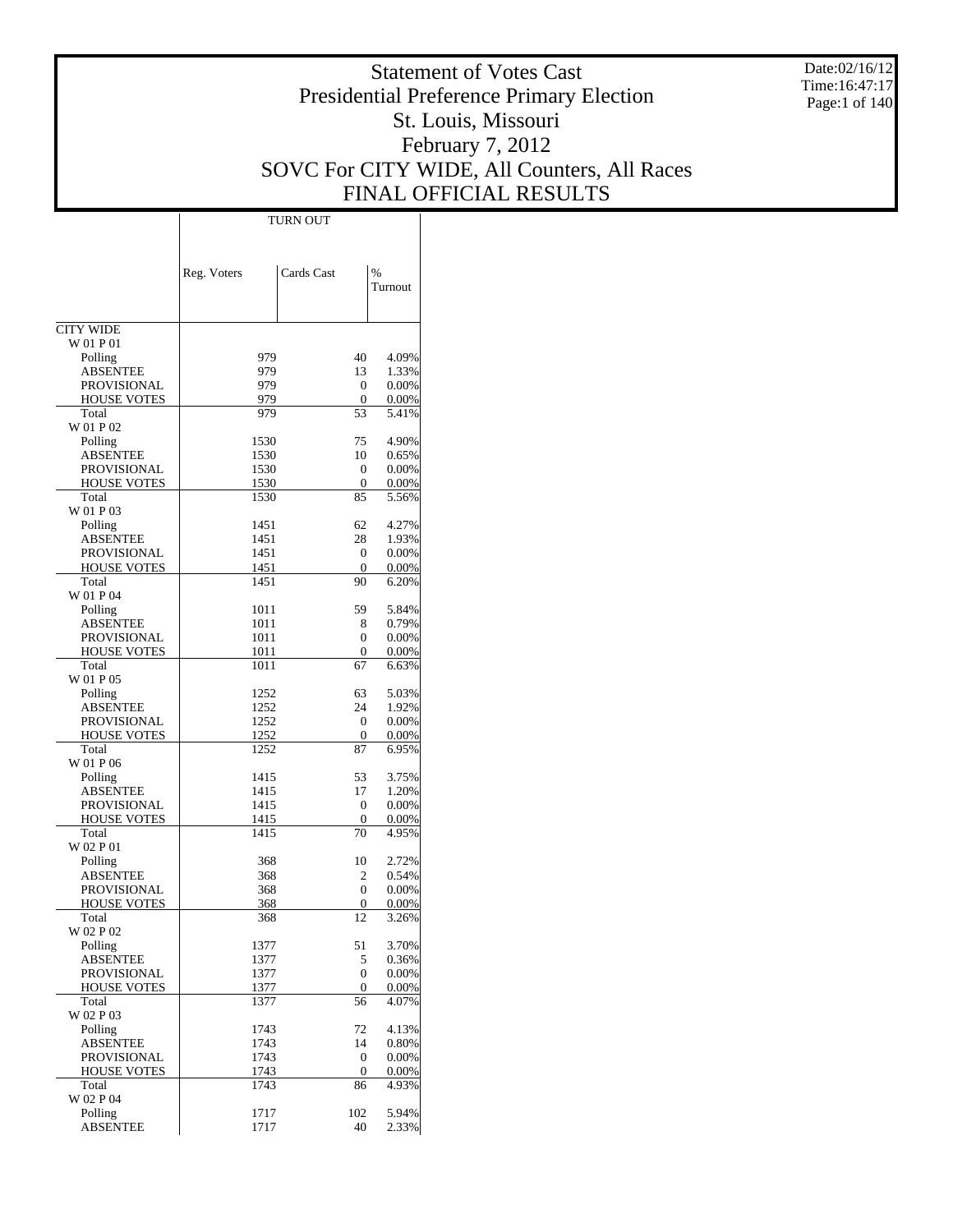Date:02/16/12 Time:16:47:17 Page:1 of 140

# Statement of Votes Cast Presidential Preference Primary Election St. Louis, Missouri February 7, 2012 SOVC For CITY WIDE, All Counters, All Races FINAL OFFICIAL RESULTS

Τ

|                                          | TURN OUT     |                     |                   |
|------------------------------------------|--------------|---------------------|-------------------|
|                                          |              |                     |                   |
|                                          |              |                     |                   |
|                                          | Reg. Voters  | Cards Cast          | %                 |
|                                          |              |                     | Turnout           |
|                                          |              |                     |                   |
| <b>CITY WIDE</b>                         |              |                     |                   |
| W 01 P 01                                |              |                     |                   |
| Polling                                  | 979          | 40                  | 4.09%             |
| <b>ABSENTEE</b>                          | 979          | 13                  | 1.33%             |
| <b>PROVISIONAL</b>                       | 979          | $\mathbf{0}$        | 0.00%             |
| <b>HOUSE VOTES</b><br>Total              | 979<br>979   | 0<br>53             | 0.00%<br>5.41%    |
| W 01 P 02                                |              |                     |                   |
| Polling                                  | 1530         | 75                  | 4.90%             |
| ABSENTEE                                 | 1530         | 10                  | 0.65%             |
| PROVISIONAL                              | 1530         | 0                   | 0.00%             |
| HOUSE VOTES                              | 1530         | 0                   | 0.00%             |
| Total                                    | 1530         | 85                  | 5.56%             |
| W 01 P 03                                | 1451         | 62                  | 4.27%             |
| Polling<br>ABSENTEE                      | 1451         | 28                  | 1.93%             |
| <b>PROVISIONAL</b>                       | 1451         | $\mathbf{0}$        | 0.00%             |
| HOUSE VOTES                              | 1451         | 0                   | 0.00%             |
| Total                                    | 1451         | 90                  | 6.20%             |
| W 01 P 04                                |              |                     |                   |
| Polling                                  | 1011         | 59                  | 5.84%             |
| ABSENTEE                                 | 1011         | 8                   | 0.79%             |
| <b>PROVISIONAL</b>                       | 1011         | 0                   | 0.00%             |
| <b>HOUSE VOTES</b><br>Total              | 1011<br>1011 | 0<br>67             | 0.00%<br>6.63%    |
| W 01 P 05                                |              |                     |                   |
| Polling                                  | 1252         | 63                  | 5.03%             |
| ABSENTEE                                 | 1252         | 24                  | 1.92%             |
| PROVISIONAL                              | 1252         | 0                   | 0.00%             |
| <b>HOUSE VOTES</b>                       | 1252         | 0                   | 0.00%             |
| Total                                    | 1252         | 87                  | 6.95%             |
| W 01 P 06                                | 1415         | 53                  | 3.75%             |
| Polling<br>ABSENTEE                      | 1415         | 17                  | 1.20%             |
| PROVISIONAL                              | 1415         | 0                   | 0.00%             |
| <b>HOUSE VOTES</b>                       | 1415         | 0                   | 0.00%             |
| Total                                    | 1415         | 70                  | 4.95%             |
| W 02 P 01                                |              |                     |                   |
| Polling                                  | 368          | 10                  | 2.72%             |
| ABSENTEE                                 | 368          | 2                   | 0.54%             |
| <b>PROVISIONAL</b><br><b>HOUSE VOTES</b> | 368<br>368   | 0<br>$\overline{0}$ | 0.00%<br>$0.00\%$ |
| Total                                    | 368          | 12                  | 3.26%             |
| W 02 P 02                                |              |                     |                   |
| Polling                                  | 1377         | 51                  | 3.70%             |
| <b>ABSENTEE</b>                          | 1377         | 5                   | 0.36%             |
| PROVISIONAL                              | 1377         | $\overline{0}$      | 0.00%             |
| <b>HOUSE VOTES</b>                       | 1377         | 0                   | 0.00%             |
| Total<br>W 02 P 03                       | 1377         | 56                  | 4.07%             |
| Polling                                  | 1743         | 72                  | 4.13%             |
| <b>ABSENTEE</b>                          | 1743         | 14                  | 0.80%             |
| PROVISIONAL                              | 1743         | 0                   | 0.00%             |
| HOUSE VOTES                              | 1743         | 0                   | 0.00%             |
| Total                                    | 1743         | 86                  | 4.93%             |
| W 02 P 04                                |              |                     |                   |
| Polling                                  | 1717         | 102                 | 5.94%             |
| <b>ABSENTEE</b>                          | 1717         | 40                  | 2.33%             |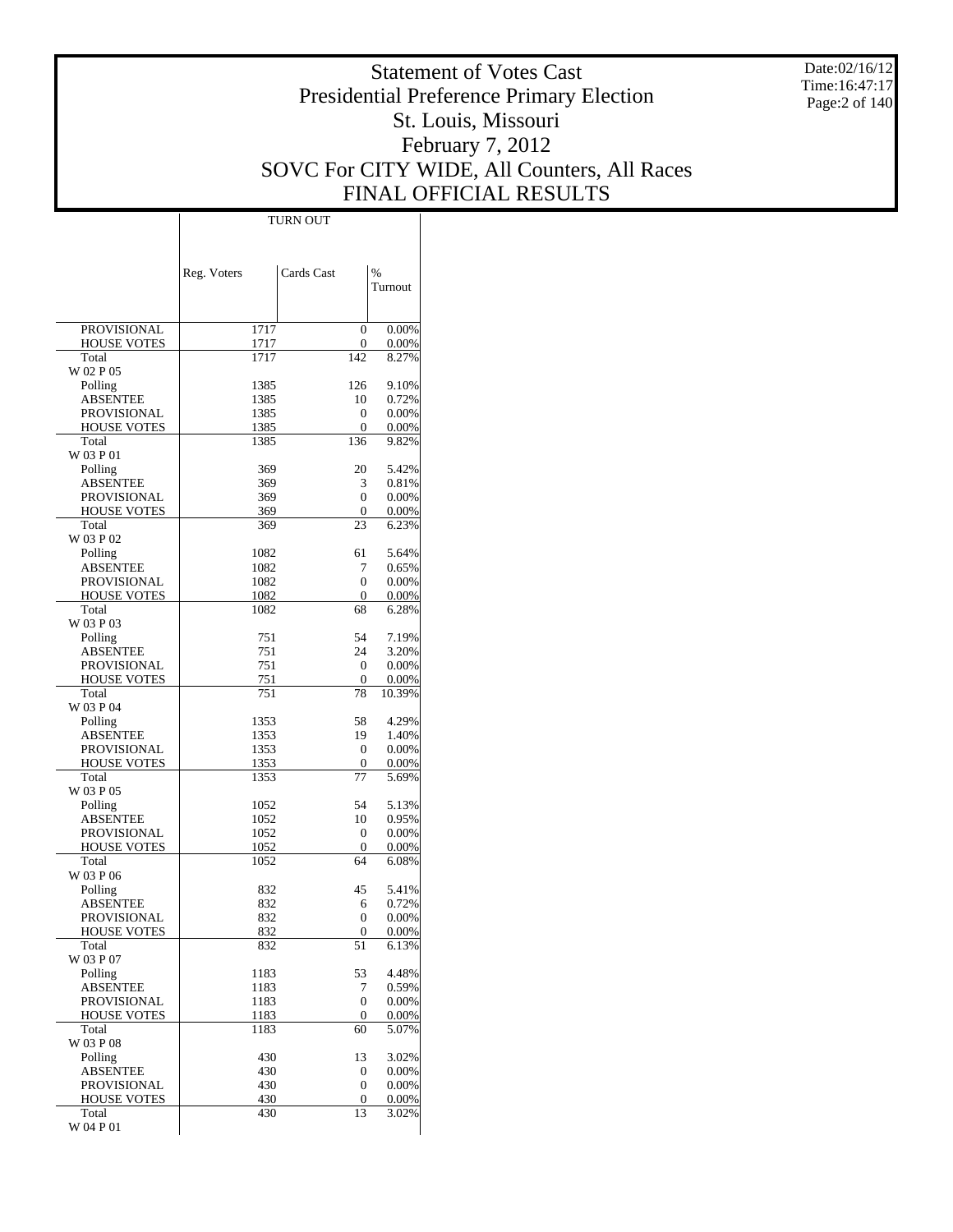Date:02/16/12 Time:16:47:17 Page:2 of 140

# Statement of Votes Cast Presidential Preference Primary Election St. Louis, Missouri February 7, 2012 SOVC For CITY WIDE, All Counters, All Races FINAL OFFICIAL RESULTS

 $\overline{\phantom{a}}$ 

|                                   | Reg. Voters  | Cards Cast | %              |
|-----------------------------------|--------------|------------|----------------|
|                                   |              |            | Turnout        |
|                                   |              |            |                |
| PROVISIONAL                       | 1717         | 0          | 0.00%          |
| <b>HOUSE VOTES</b>                | 1717         | 0          | 0.00%          |
| Total                             | 1717         | 142        | 8.27%          |
| W 02 P 05<br>Polling              | 1385         | 126        | 9.10%          |
| ABSENTEE                          | 1385         | 10         | 0.72%          |
| <b>PROVISIONAL</b>                | 1385         | 0          | 0.00%          |
| <b>HOUSE VOTES</b>                | 1385         | 0          | 0.00%          |
| Total                             | 1385         | 136        | 9.82%          |
| W 03 P 01                         |              |            |                |
| Polling<br>ABSENTEE               | 369<br>369   | 20<br>3    | 5.42%<br>0.81% |
| PROVISIONAL                       | 369          | 0          | 0.00%          |
| <b>HOUSE VOTES</b>                | 369          | $\theta$   | 0.00%          |
| Total                             | 369          | 23         | 6.23%          |
| W 03 P 02                         |              |            |                |
| Polling                           | 1082         | 61         | 5.64%          |
| ABSENTEE                          | 1082         | 7          | 0.65%          |
| PROVISIONAL<br><b>HOUSE VOTES</b> | 1082<br>1082 | 0<br>0     | 0.00%<br>0.00% |
| Total                             | 1082         | 68         | 6.28%          |
| W 03 P 03                         |              |            |                |
| Polling                           | 751          | 54         | 7.19%          |
| ABSENTEE                          | 751          | 24         | 3.20%          |
| PROVISIONAL                       | 751          | 0          | 0.00%          |
| <b>HOUSE VOTES</b>                | 751          | $\theta$   | 0.00%          |
| Total<br>W 03 P 04                | 751          | 78         | 10.39%         |
| Polling                           | 1353         | 58         | 4.29%          |
| ABSENTEE                          | 1353         | 19         | 1.40%          |
| PROVISIONAL                       | 1353         | 0          | 0.00%          |
| <b>HOUSE VOTES</b>                | 1353         | 0          | 0.00%          |
| Total                             | 1353         | 77         | 5.69%          |
| W 03 P 05                         |              |            |                |
| Polling<br>ABSENTEE               | 1052<br>1052 | 54<br>10   | 5.13%<br>0.95% |
| PROVISIONAL                       | 1052         | 0          | 0.00%          |
| <b>HOUSE VOTES</b>                | 1052         | 0          | 0.00%          |
| Total                             | 1052         | 64         | 6.08%          |
| W 03 P 06                         |              |            |                |
| Polling                           | 832          | 45         | 5.41%          |
| ABSENTEE<br>PROVISIONAL           | 832<br>832   | 6<br>0     | 0.72%<br>0.00% |
| <b>HOUSE VOTES</b>                | 832          | $\Omega$   | 0.00%          |
| Total                             | 832          | 51         | 6.13%          |
| W 03 P 07                         |              |            |                |
| Polling                           | 1183         | 53         | 4.48%          |
| ABSENTEE                          | 1183         | 7          | 0.59%          |
| PROVISIONAL                       | 1183         | 0          | 0.00%          |
| <b>HOUSE VOTES</b>                | 1183<br>1183 | 0          | 0.00%<br>5.07% |
| Total<br>W 03 P 08                |              | 60         |                |
| Polling                           | 430          | 13         | 3.02%          |
| <b>ABSENTEE</b>                   | 430          | 0          | 0.00%          |
| PROVISIONAL                       | 430          | 0          | 0.00%          |
| <b>HOUSE VOTES</b>                | 430          | 0          | 0.00%          |
| Total<br>W 04 P 01                | 430          | 13         | 3.02%          |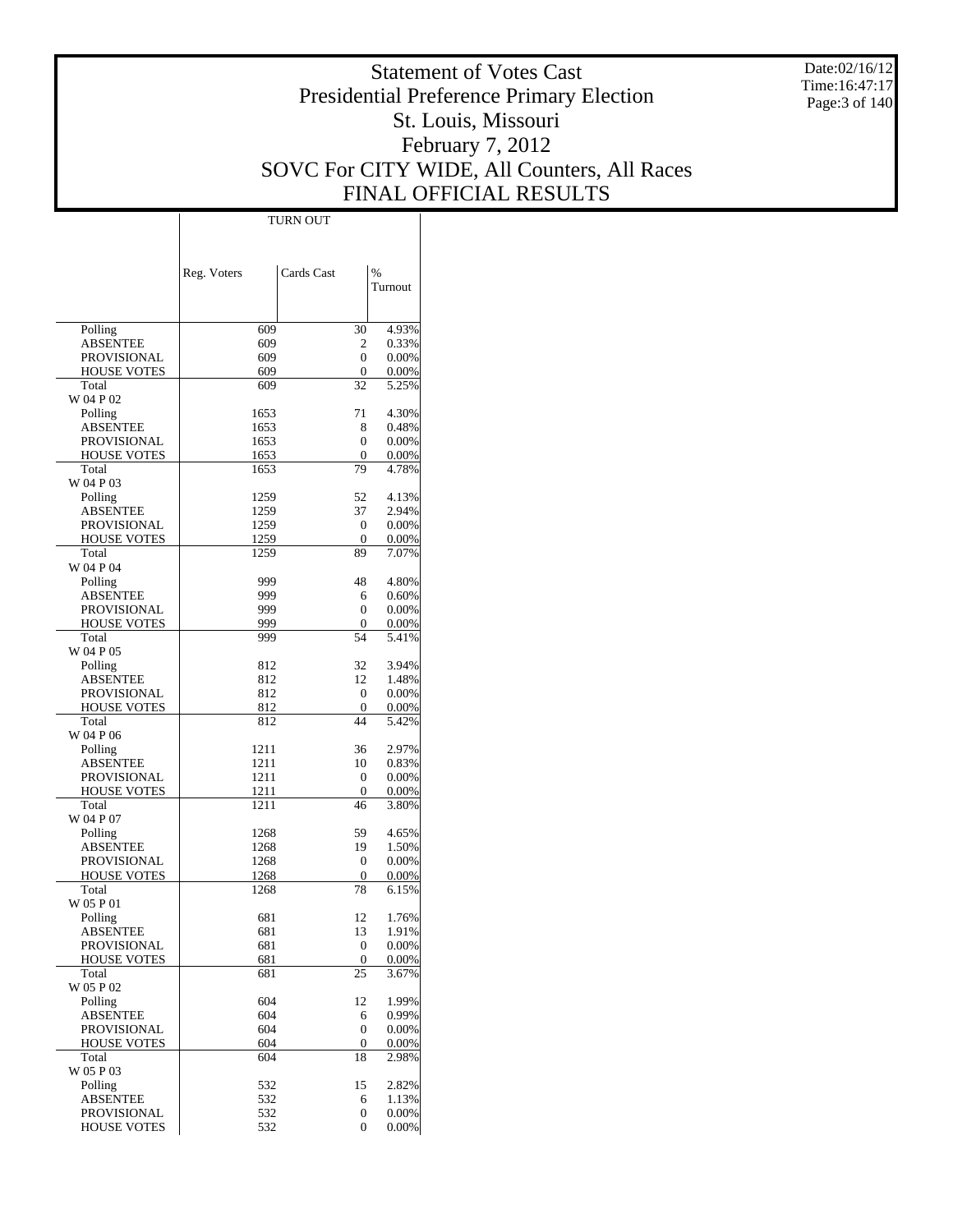Date:02/16/12 Time:16:47:17 Page:3 of 140

# Statement of Votes Cast Presidential Preference Primary Election St. Louis, Missouri February 7, 2012 SOVC For CITY WIDE, All Counters, All Races FINAL OFFICIAL RESULTS

Τ

|                                          | Reg. Voters  | Cards Cast       | $\frac{0}{0}$  |
|------------------------------------------|--------------|------------------|----------------|
|                                          |              |                  | Turnout        |
|                                          |              |                  |                |
| Polling                                  | 609          | 30               | 4.93%          |
| ABSENTEE                                 | 609          | 2                | 0.33%          |
| <b>PROVISIONAL</b><br><b>HOUSE VOTES</b> | 609<br>609   | $\Omega$<br>0    | 0.00%<br>0.00% |
| Total                                    | 609          | 32               | 5.25%          |
| W 04 P 02                                |              |                  |                |
| Polling<br>ABSENTEE                      | 1653<br>1653 | 71<br>8          | 4.30%<br>0.48% |
| <b>PROVISIONAL</b>                       | 1653         | 0                | 0.00%          |
| <b>HOUSE VOTES</b>                       | 1653         | 0                | 0.00%          |
| Total                                    | 1653         | 79               | 4.78%          |
| W 04 P 03                                |              |                  |                |
| Polling<br>ABSENTEE                      | 1259<br>1259 | 52<br>37         | 4.13%<br>2.94% |
| <b>PROVISIONAL</b>                       | 1259         | 0                | 0.00%          |
| <b>HOUSE VOTES</b>                       | 1259         | 0                | 0.00%          |
| Total                                    | 1259         | 89               | 7.07%          |
| W 04 P 04                                |              |                  |                |
| Polling<br><b>ABSENTEE</b>               | 999<br>999   | 48<br>6          | 4.80%<br>0.60% |
| <b>PROVISIONAL</b>                       | 999          | $\Omega$         | 0.00%          |
| <b>HOUSE VOTES</b>                       | 999          | 0                | 0.00%          |
| Total                                    | 999          | 54               | 5.41%          |
| W 04 P 05                                |              |                  |                |
| Polling<br><b>ABSENTEE</b>               | 812<br>812   | 32<br>12         | 3.94%<br>1.48% |
| <b>PROVISIONAL</b>                       | 812          | $\mathbf{0}$     | 0.00%          |
| <b>HOUSE VOTES</b>                       | 812          | 0                | 0.00%          |
| Total                                    | 812          | 44               | 5.42%          |
| W 04 P 06                                |              |                  |                |
| Polling<br>ABSENTEE                      | 1211<br>1211 | 36<br>10         | 2.97%<br>0.83% |
| <b>PROVISIONAL</b>                       | 1211         | 0                | 0.00%          |
| <b>HOUSE VOTES</b>                       | 1211         | 0                | 0.00%          |
| Total                                    | 1211         | 46               | 3.80%          |
| W 04 P 07                                |              |                  |                |
| Polling<br>ABSENTEE                      | 1268<br>1268 | 59<br>19         | 4.65%<br>1.50% |
| PROVISIONAL                              | 1268         | 0                | 0.00%          |
| <b>HOUSE VOTES</b>                       | 1268         | 0                | 0.00%          |
| Total                                    | 1268         | 78               | 6.15%          |
| W 05 P 01                                | 681          | 12               |                |
| Polling<br>ABSENTEE                      | 681          | 13               | 1.76%<br>1.91% |
| PROVISIONAL                              | 681          | 0                | 0.00%          |
| <b>HOUSE VOTES</b>                       | 681          | $\boldsymbol{0}$ | 0.00%          |
| Total                                    | 681          | 25               | 3.67%          |
| W 05 P 02<br>Polling                     | 604          | 12               | 1.99%          |
| <b>ABSENTEE</b>                          | 604          | 6                | 0.99%          |
| <b>PROVISIONAL</b>                       | 604          | $\mathbf{0}$     | 0.00%          |
| HOUSE VOTES                              | 604          | 0                | 0.00%          |
| Total                                    | 604          | 18               | 2.98%          |
| W 05 P 03<br>Polling                     | 532          | 15               | 2.82%          |
| ABSENTEE                                 | 532          | 6                | 1.13%          |
| <b>PROVISIONAL</b>                       | 532          | 0                | 0.00%          |
| <b>HOUSE VOTES</b>                       | 532          | $\Omega$         | 0.00%          |

TURN OUT

 $\perp$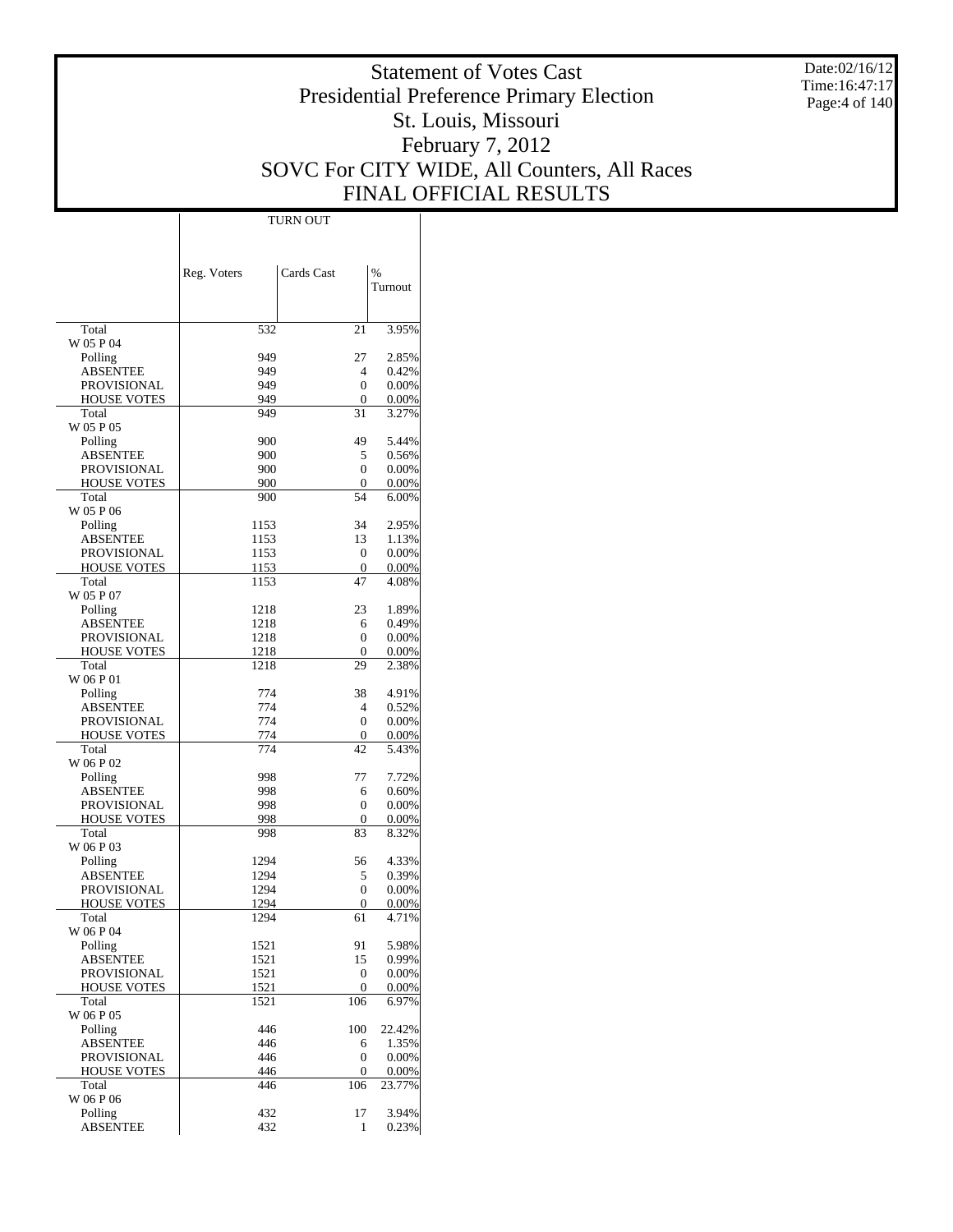Date:02/16/12 Time:16:47:17 Page:4 of 140

# Statement of Votes Cast Presidential Preference Primary Election St. Louis, Missouri February 7, 2012 SOVC For CITY WIDE, All Counters, All Races FINAL OFFICIAL RESULTS

 $\mathbf{I}$ 

|                                | Reg. Voters  | Cards Cast | %              |
|--------------------------------|--------------|------------|----------------|
|                                |              |            | Turnout        |
|                                |              |            |                |
| Total                          | 532          | 21         | 3.95%          |
| W 05 P 04                      |              |            |                |
| Polling<br>ABSENTEE            | 949<br>949   | 27<br>4    | 2.85%<br>0.42% |
| <b>PROVISIONAL</b>             | 949          | 0          | 0.00%          |
| <b>HOUSE VOTES</b>             | 949          | 0          | 0.00%          |
| Total                          | 949          | 31         | 3.27%          |
| W 05 P 05                      |              |            |                |
| Polling                        | 900          | 49         | 5.44%          |
| ABSENTEE                       | 900          | 5          | 0.56%          |
| PROVISIONAL                    | 900          | 0          | 0.00%          |
| <b>HOUSE VOTES</b>             | 900          | 0          | 0.00%          |
| Total                          | 900          | 54         | 6.00%          |
| W 05 P 06<br>Polling           | 1153         | 34         | 2.95%          |
| ABSENTEE                       | 1153         | 13         | 1.13%          |
| <b>PROVISIONAL</b>             | 1153         | 0          | 0.00%          |
| <b>HOUSE VOTES</b>             | 1153         | 0          | 0.00%          |
| Total                          | 1153         | 47         | 4.08%          |
| W 05 P 07                      |              |            |                |
| Polling                        | 1218         | 23         | 1.89%          |
| ABSENTEE                       | 1218         | 6          | 0.49%          |
| <b>PROVISIONAL</b>             | 1218         | 0          | 0.00%          |
| <b>HOUSE VOTES</b>             | 1218         | 0          | 0.00%          |
| Total                          | 1218         | 29         | 2.38%          |
| W 06 P 01                      |              |            |                |
| Polling                        | 774          | 38         | 4.91%          |
| ABSENTEE<br><b>PROVISIONAL</b> | 774<br>774   | 4<br>0     | 0.52%<br>0.00% |
| <b>HOUSE VOTES</b>             | 774          | 0          | 0.00%          |
| Total                          | 774          | 42         | 5.43%          |
| W 06 P 02                      |              |            |                |
| Polling                        | 998          | 77         | 7.72%          |
| ABSENTEE                       | 998          | 6          | 0.60%          |
| PROVISIONAL                    | 998          | 0          | 0.00%          |
| <b>HOUSE VOTES</b>             | 998          | 0          | 0.00%          |
| Total                          | 998          | 83         | 8.32%          |
| W 06 P 03                      |              |            |                |
| Polling                        | 1294         | 56         | 4.33%          |
| ABSENTEE                       | 1294         | 5          | 0.39%          |
| <b>PROVISIONAL</b>             | 1294         | 0          | 0.00%          |
| <b>HOUSE VOTES</b><br>Total    | 1294<br>1294 | 0<br>61    | 0.00%<br>4.71% |
| W 06 P 04                      |              |            |                |
| Polling                        | 1521         | 91         | 5.98%          |
| <b>ABSENTEE</b>                | 1521         | 15         | 0.99%          |
| PROVISIONAL                    | 1521         | 0          | 0.00%          |
| <b>HOUSE VOTES</b>             | 1521         | 0          | 0.00%          |
| Total                          | 1521         | 106        | 6.97%          |
| W 06 P 05                      |              |            |                |
| Polling                        | 446          | 100        | 22.42%         |
| <b>ABSENTEE</b>                | 446          | 6          | 1.35%          |
| PROVISIONAL                    | 446          | 0          | 0.00%          |
| <b>HOUSE VOTES</b>             | 446          | 0          | 0.00%          |
| Total<br>W 06 P 06             | 446          | 106        | 23.77%         |
| Polling                        | 432          | 17         | 3.94%          |
| <b>ABSENTEE</b>                | 432          | 1          | 0.23%          |
|                                |              |            |                |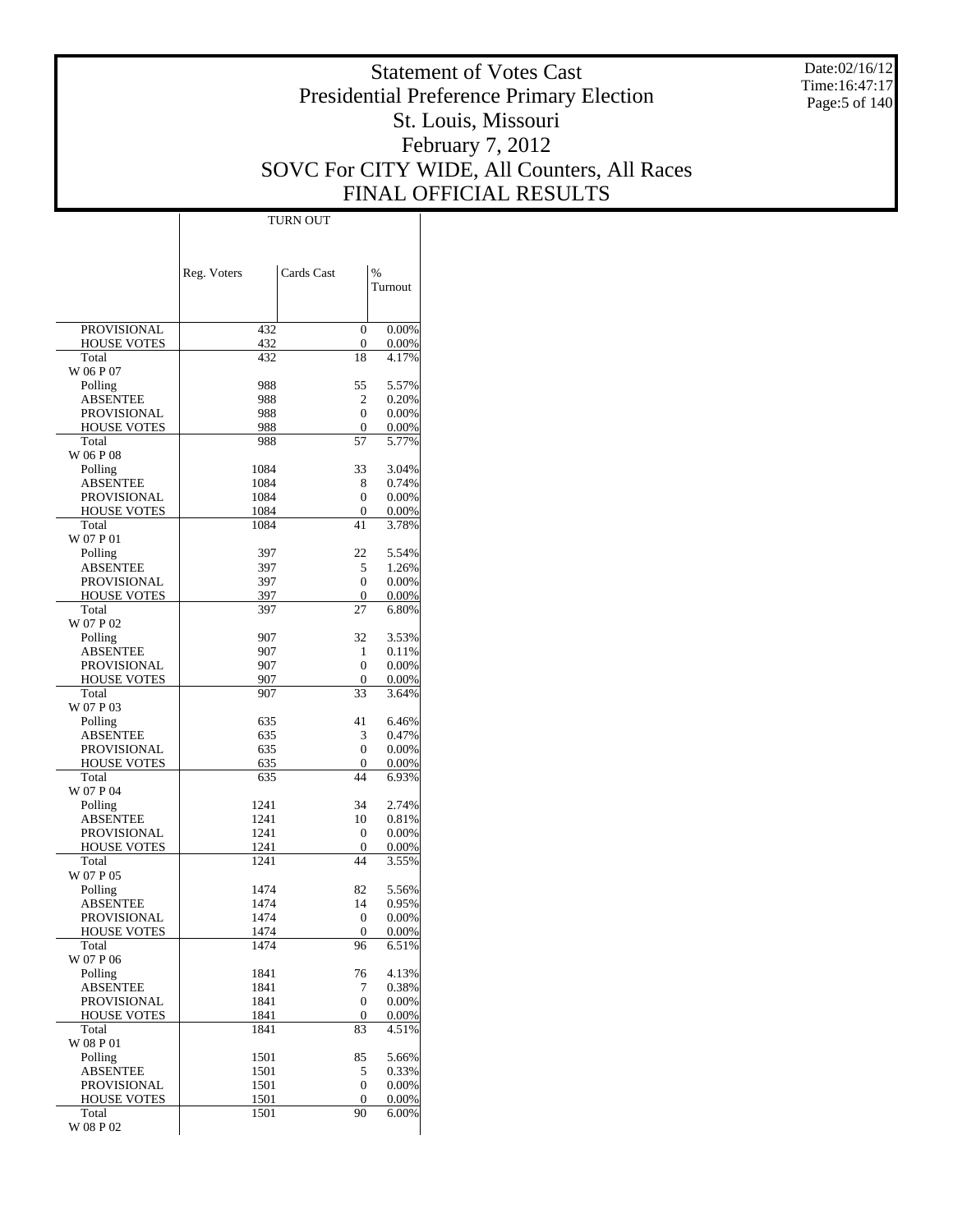Date:02/16/12 Time:16:47:17 Page:5 of 140

# Statement of Votes Cast Presidential Preference Primary Election St. Louis, Missouri February 7, 2012 SOVC For CITY WIDE, All Counters, All Races FINAL OFFICIAL RESULTS

 $\overline{\phantom{a}}$ 

|                                          | Reg. Voters  | Cards Cast         | %              |
|------------------------------------------|--------------|--------------------|----------------|
|                                          |              |                    | Turnout        |
|                                          |              |                    |                |
| <b>PROVISIONAL</b>                       | 432          | 0                  | 0.00%          |
| <b>HOUSE VOTES</b>                       | 432          | 0                  | 0.00%          |
| Total                                    | 432          | 18                 | 4.17%          |
| W 06 P 07<br>Polling                     | 988          | 55                 | 5.57%          |
| <b>ABSENTEE</b>                          | 988          | 2                  | 0.20%          |
| <b>PROVISIONAL</b>                       | 988          | 0                  | 0.00%          |
| <b>HOUSE VOTES</b>                       | 988          | $\mathbf{0}$       | 0.00%          |
| Total                                    | 988          | 57                 | 5.77%          |
| W 06 P 08                                |              |                    |                |
| Polling                                  | 1084         | 33                 | 3.04%          |
| <b>ABSENTEE</b><br><b>PROVISIONAL</b>    | 1084<br>1084 | 8<br>0             | 0.74%<br>0.00% |
| <b>HOUSE VOTES</b>                       | 1084         | 0                  | 0.00%          |
| Total                                    | 1084         | 41                 | 3.78%          |
| W 07 P 01                                |              |                    |                |
| Polling                                  | 397          | 22                 | 5.54%          |
| <b>ABSENTEE</b>                          | 397          | 5                  | 1.26%          |
| <b>PROVISIONAL</b>                       | 397          | 0                  | 0.00%          |
| <b>HOUSE VOTES</b><br>Total              | 397<br>397   | $\mathbf{0}$<br>27 | 0.00%<br>6.80% |
| W 07 P 02                                |              |                    |                |
| Polling                                  | 907          | 32                 | 3.53%          |
| <b>ABSENTEE</b>                          | 907          | 1                  | 0.11%          |
| <b>PROVISIONAL</b>                       | 907          | 0                  | 0.00%          |
| <b>HOUSE VOTES</b>                       | 907          | 0                  | 0.00%          |
| Total                                    | 907          | 33                 | 3.64%          |
| W 07 P 03                                |              |                    |                |
| Polling<br><b>ABSENTEE</b>               | 635<br>635   | 41<br>3            | 6.46%<br>0.47% |
| PROVISIONAL                              | 635          | 0                  | 0.00%          |
| <b>HOUSE VOTES</b>                       | 635          | $\mathbf{0}$       | 0.00%          |
| Total                                    | 635          | 44                 | 6.93%          |
| W 07 P 04                                |              |                    |                |
| Polling                                  | 1241         | 34                 | 2.74%          |
| <b>ABSENTEE</b>                          | 1241         | 10                 | 0.81%          |
| <b>PROVISIONAL</b><br><b>HOUSE VOTES</b> | 1241<br>1241 | 0<br>0             | 0.00%<br>0.00% |
| Total                                    | 1241         | 44                 | 3.55%          |
| W 07 P 05                                |              |                    |                |
| Polling                                  | 1474         | 82                 | 5.56%          |
| ABSENTEE                                 | 1474         | 14                 | 0.95%          |
| <b>PROVISIONAL</b>                       | 1474         | 0                  | 0.00%          |
| <b>HOUSE VOTES</b>                       | 1474         | $\boldsymbol{0}$   | 0.00%          |
| Total<br>W 07 P 06                       | 1474         | 96                 | 6.51%          |
| Polling                                  | 1841         | 76                 | 4.13%          |
| <b>ABSENTEE</b>                          | 1841         | 7                  | 0.38%          |
| <b>PROVISIONAL</b>                       | 1841         | 0                  | 0.00%          |
| <b>HOUSE VOTES</b>                       | 1841         | $\boldsymbol{0}$   | 0.00%          |
| Total                                    | 1841         | 83                 | 4.51%          |
| W 08 P 01                                |              |                    |                |
| Polling<br><b>ABSENTEE</b>               | 1501<br>1501 | 85<br>5            | 5.66%<br>0.33% |
| PROVISIONAL                              | 1501         | 0                  | 0.00%          |
| <b>HOUSE VOTES</b>                       | 1501         | $\boldsymbol{0}$   | 0.00%          |
| Total                                    | 1501         | 90                 | 6.00%          |
| W 08 P 02                                |              |                    |                |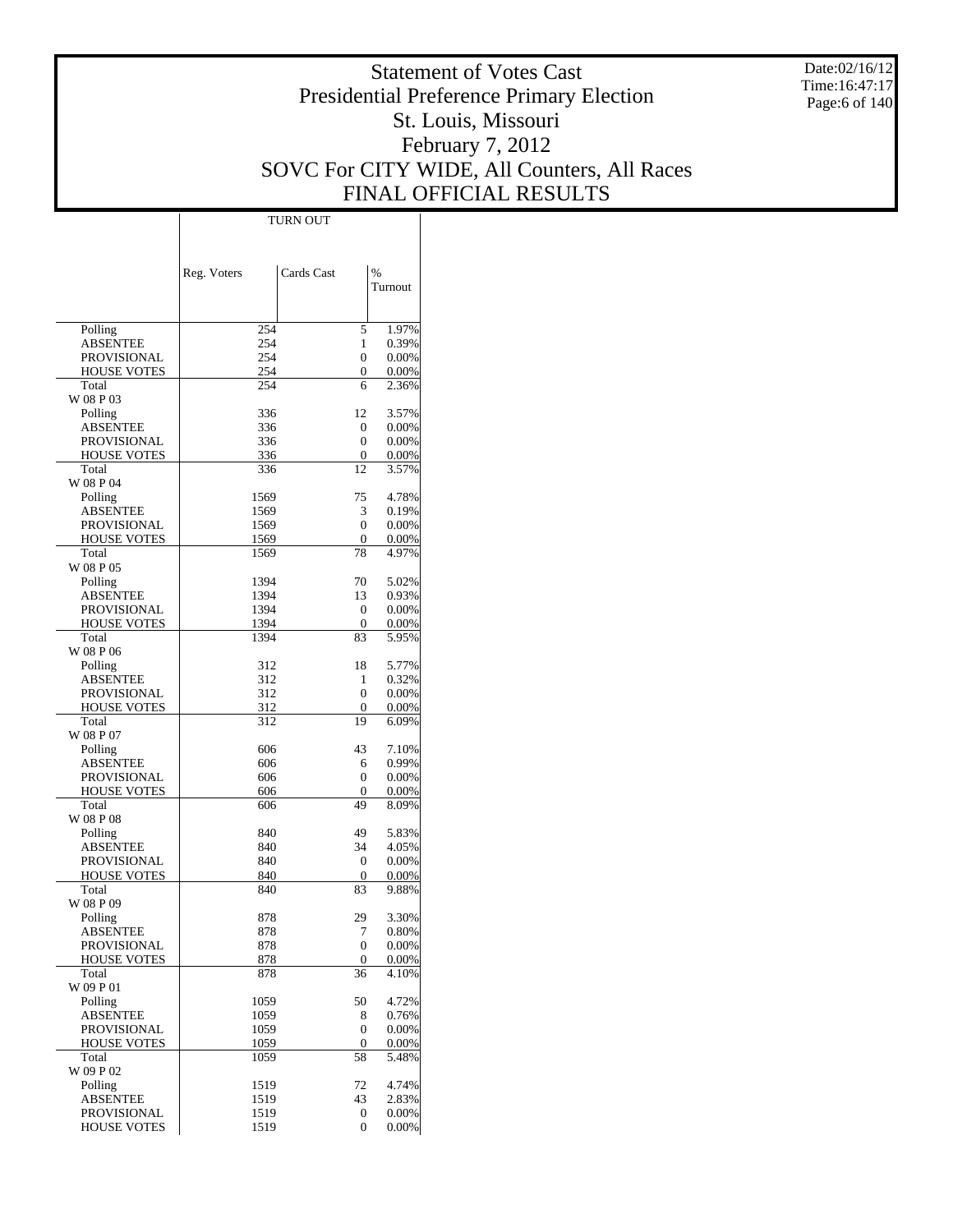Date:02/16/12 Time:16:47:17 Page:6 of 140

# Statement of Votes Cast Presidential Preference Primary Election St. Louis, Missouri February 7, 2012 SOVC For CITY WIDE, All Counters, All Races FINAL OFFICIAL RESULTS

Τ

|                                          | Reg. Voters  | Cards Cast   | $\frac{0}{0}$  |
|------------------------------------------|--------------|--------------|----------------|
|                                          |              |              | Turnout        |
|                                          |              |              |                |
| Polling                                  | 254          | 5            | 1.97%          |
| ABSENTEE                                 | 254          | 1            | 0.39%          |
| <b>PROVISIONAL</b><br><b>HOUSE VOTES</b> | 254<br>254   | 0<br>0       | 0.00%<br>0.00% |
| Total                                    | 254          | 6            | 2.36%          |
| W 08 P 03                                |              |              |                |
| Polling                                  | 336          | 12           | 3.57%          |
| ABSENTEE                                 | 336          | 0            | 0.00%          |
| PROVISIONAL<br><b>HOUSE VOTES</b>        | 336<br>336   | 0<br>0       | 0.00%<br>0.00% |
| Total                                    | 336          | 12           | 3.57%          |
| W 08 P 04                                |              |              |                |
| Polling                                  | 1569         | 75           | 4.78%          |
| ABSENTEE                                 | 1569         | 3            | 0.19%          |
| PROVISIONAL                              | 1569         | 0            | 0.00%          |
| <b>HOUSE VOTES</b><br>Total              | 1569<br>1569 | 0<br>78      | 0.00%          |
| W 08 P 05                                |              |              | 4.97%          |
| Polling                                  | 1394         | 70           | 5.02%          |
| <b>ABSENTEE</b>                          | 1394         | 13           | 0.93%          |
| PROVISIONAL                              | 1394         | 0            | 0.00%          |
| <b>HOUSE VOTES</b>                       | 1394         | 0            | 0.00%          |
| Total                                    | 1394         | 83           | 5.95%          |
| W 08 P 06<br>Polling                     | 312          | 18           | 5.77%          |
| ABSENTEE                                 | 312          | 1            | 0.32%          |
| PROVISIONAL                              | 312          | 0            | 0.00%          |
| <b>HOUSE VOTES</b>                       | 312          | 0            | 0.00%          |
| Total                                    | 312          | 19           | 6.09%          |
| W 08 P 07                                |              |              |                |
| Polling<br>ABSENTEE                      | 606<br>606   | 43<br>6      | 7.10%<br>0.99% |
| PROVISIONAL                              | 606          | 0            | 0.00%          |
| <b>HOUSE VOTES</b>                       | 606          | $\mathbf{0}$ | 0.00%          |
| Total                                    | 606          | 49           | 8.09%          |
| W 08 P 08                                |              |              |                |
| Polling                                  | 840          | 49           | 5.83%          |
| ABSENTEE<br>PROVISIONAL                  | 840<br>840   | 34<br>0      | 4.05%<br>0.00% |
| <b>HOUSE VOTES</b>                       | 840          | 0            | 0.00%          |
| Total                                    | 840          | 83           | 9.88%          |
| W 08 P 09                                |              |              |                |
| Polling                                  | 878          | 29           | 3.30%          |
| ABSENTEE                                 | 878          | 7            | 0.80%          |
| PROVISIONAL<br><b>HOUSE VOTES</b>        | 878<br>878   | 0<br>0       | 0.00%<br>0.00% |
| Total                                    | 878          | 36           | 4.10%          |
| W 09 P 01                                |              |              |                |
| Polling                                  | 1059         | 50           | 4.72%          |
| <b>ABSENTEE</b>                          | 1059         | 8            | 0.76%          |
| PROVISIONAL                              | 1059         | 0            | 0.00%          |
| HOUSE VOTES                              | 1059         | 0<br>58      | 0.00%          |
| Total<br>W 09 P 02                       | 1059         |              | 5.48%          |
| Polling                                  | 1519         | 72           | 4.74%          |
| <b>ABSENTEE</b>                          | 1519         | 43           | 2.83%          |
| PROVISIONAL                              | 1519         | 0            | 0.00%          |
| <b>HOUSE VOTES</b>                       | 1519         | 0            | 0.00%          |

TURN OUT

 $\perp$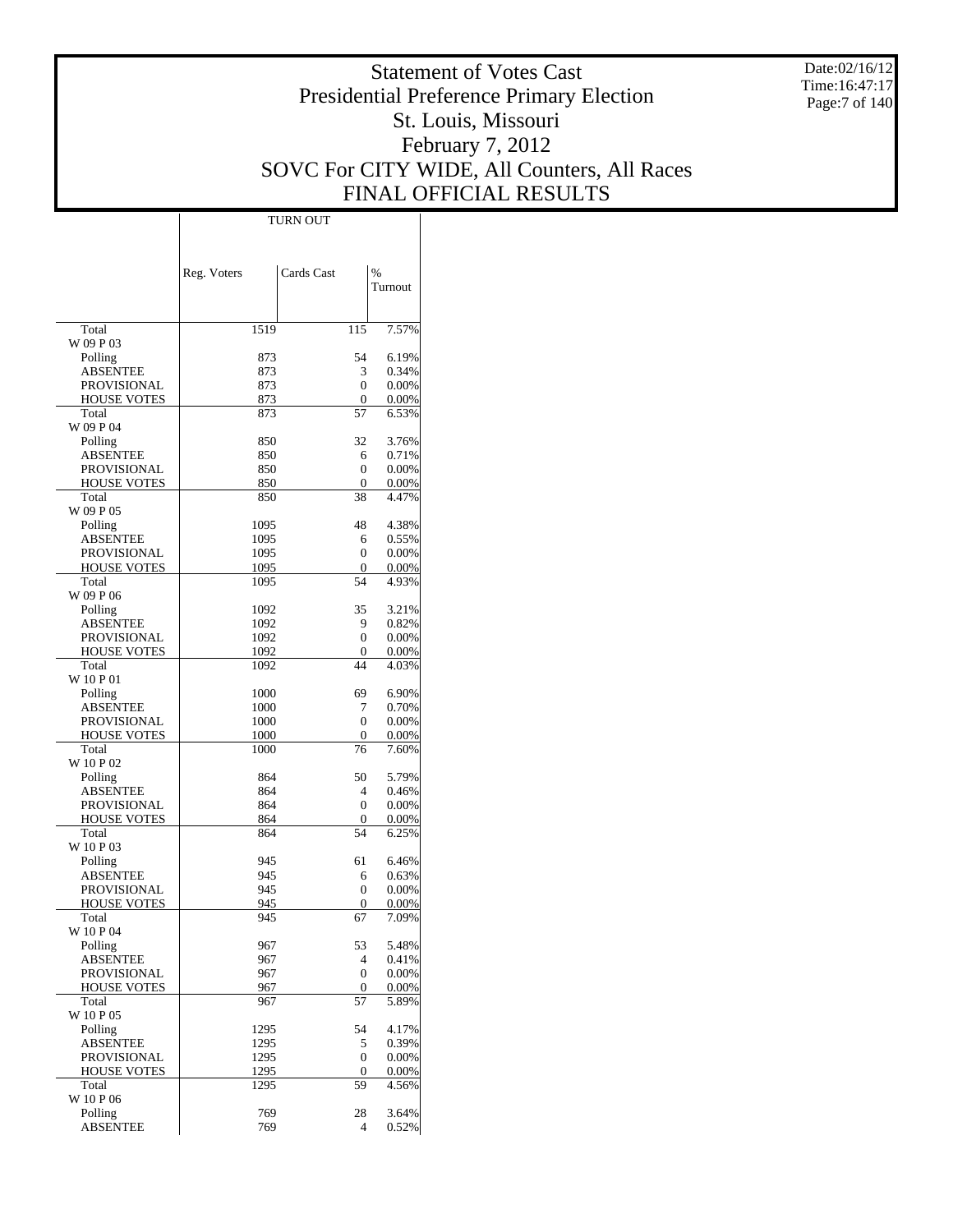Date:02/16/12 Time:16:47:17 Page:7 of 140

# Statement of Votes Cast Presidential Preference Primary Election St. Louis, Missouri February 7, 2012 SOVC For CITY WIDE, All Counters, All Races FINAL OFFICIAL RESULTS

 $\mathbf{I}$ 

|                                   | Reg. Voters  | Cards Cast        | %              |
|-----------------------------------|--------------|-------------------|----------------|
|                                   |              |                   | Turnout        |
|                                   |              |                   |                |
| Total                             | 1519         | 115               | 7.57%          |
| W 09 P 03                         |              |                   |                |
| Polling<br><b>ABSENTEE</b>        | 873<br>873   | 54<br>3           | 6.19%<br>0.34% |
| PROVISIONAL                       | 873          | $\theta$          | 0.00%          |
| <b>HOUSE VOTES</b>                | 873          | 0                 | 0.00%          |
| Total                             | 873          | 57                | 6.53%          |
| W 09 P 04                         |              |                   |                |
| Polling                           | 850          | 32                | 3.76%          |
| <b>ABSENTEE</b>                   | 850          | 6                 | 0.71%          |
| PROVISIONAL<br><b>HOUSE VOTES</b> | 850<br>850   | 0<br>0            | 0.00%<br>0.00% |
| Total                             | 850          | 38                | 4.47%          |
| W 09 P 05                         |              |                   |                |
| Polling                           | 1095         | 48                | 4.38%          |
| <b>ABSENTEE</b>                   | 1095         | 6                 | 0.55%          |
| PROVISIONAL                       | 1095         | 0                 | 0.00%          |
| <b>HOUSE VOTES</b>                | 1095         | $\mathbf{0}$      | 0.00%          |
| Total                             | 1095         | 54                | 4.93%          |
| W 09 P 06                         |              |                   |                |
| Polling                           | 1092         | 35                | 3.21%          |
| <b>ABSENTEE</b><br>PROVISIONAL    | 1092<br>1092 | 9<br>0            | 0.82%<br>0.00% |
| <b>HOUSE VOTES</b>                | 1092         | $\mathbf{0}$      | 0.00%          |
| Total                             | 1092         | 44                | 4.03%          |
| W 10 P 01                         |              |                   |                |
| Polling                           | 1000         | 69                | 6.90%          |
| <b>ABSENTEE</b>                   | 1000         | 7                 | 0.70%          |
| PROVISIONAL                       | 1000         | 0                 | 0.00%          |
| <b>HOUSE VOTES</b>                | 1000         | 0                 | 0.00%          |
| Total                             | 1000         | 76                | 7.60%          |
| W 10 P 02                         | 864          | 50                | 5.79%          |
| Polling<br>ABSENTEE               | 864          | 4                 | 0.46%          |
| PROVISIONAL                       | 864          | 0                 | 0.00%          |
| <b>HOUSE VOTES</b>                | 864          | 0                 | 0.00%          |
| Total                             | 864          | 54                | 6.25%          |
| W 10 P 03                         |              |                   |                |
| Polling                           | 945          | 61                | 6.46%          |
| ABSENTEE                          | 945          | 6                 | 0.63%          |
| PROVISIONAL                       | 945          | 0                 | 0.00%          |
| <b>HOUSE VOTES</b><br>Total       | 945<br>945   | 0<br>67           | 0.00%<br>7.09% |
| W 10 P 04                         |              |                   |                |
| Polling                           | 967          | 53                | 5.48%          |
| <b>ABSENTEE</b>                   | 967          | $\overline{4}$    | 0.41%          |
| PROVISIONAL                       | 967          | 0                 | 0.00%          |
| <b>HOUSE VOTES</b>                | 967          | $\mathbf{0}$      | 0.00%          |
| Total                             | 967          | 57                | 5.89%          |
| W 10 P 05                         |              |                   |                |
| Polling                           | 1295         | 54                | 4.17%          |
| <b>ABSENTEE</b>                   | 1295<br>1295 | 5<br>$\mathbf{0}$ | 0.39%          |
| PROVISIONAL<br><b>HOUSE VOTES</b> | 1295         | $\mathbf{0}$      | 0.00%<br>0.00% |
| Total                             | 1295         | 59                | 4.56%          |
| W 10 P 06                         |              |                   |                |
| Polling                           | 769          | 28                | 3.64%          |
| <b>ABSENTEE</b>                   | 769          | 4                 | 0.52%          |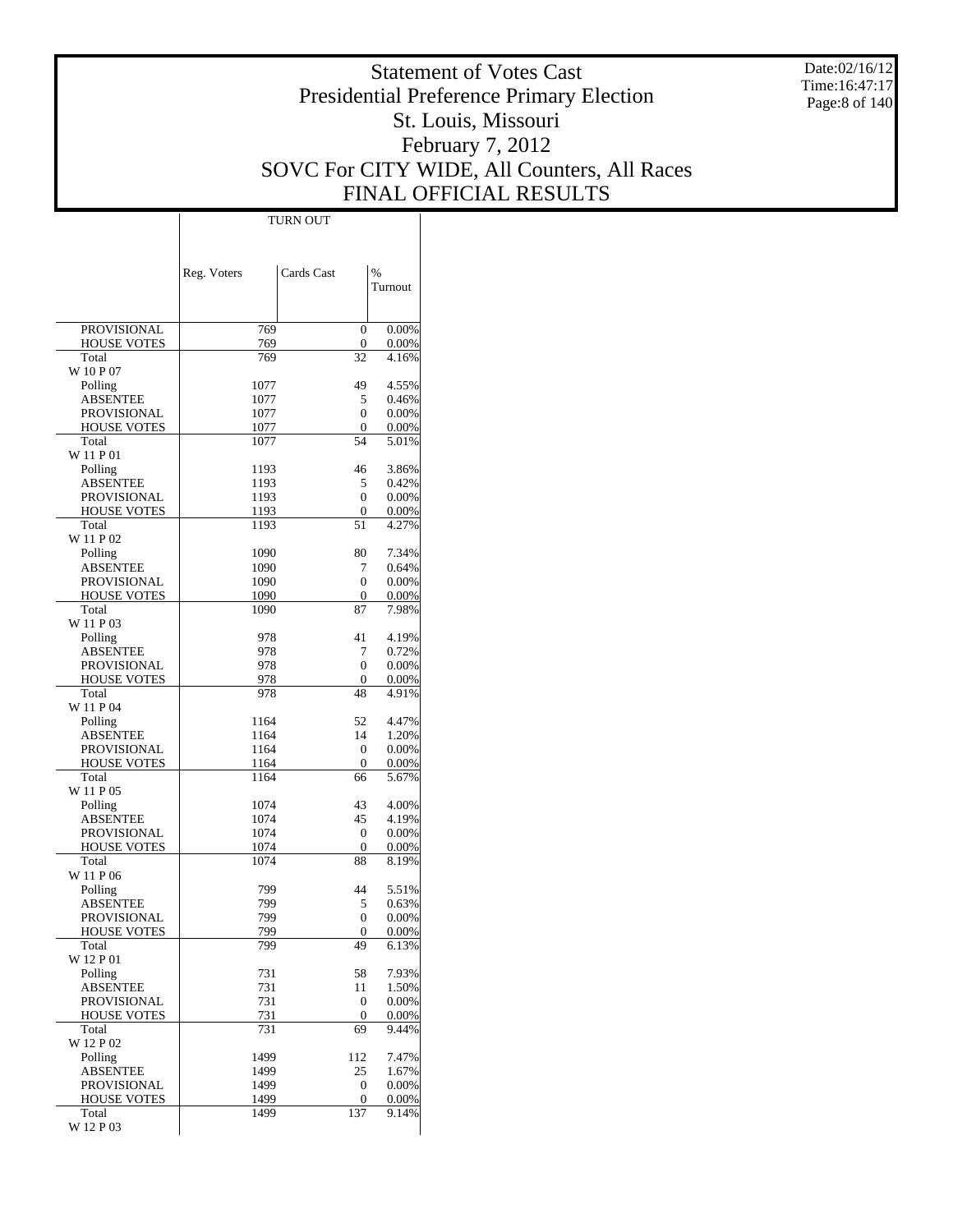Date:02/16/12 Time:16:47:17 Page:8 of 140

# Statement of Votes Cast Presidential Preference Primary Election St. Louis, Missouri February 7, 2012 SOVC For CITY WIDE, All Counters, All Races FINAL OFFICIAL RESULTS

|                                       | Reg. Voters  | Cards Cast         | $\%$              |
|---------------------------------------|--------------|--------------------|-------------------|
|                                       |              |                    | Turnout           |
|                                       |              |                    |                   |
| PROVISIONAL                           | 769          | 0                  | 0.00%             |
| <b>HOUSE VOTES</b>                    | 769          | $\boldsymbol{0}$   | 0.00%             |
| Total                                 | 769          | 32                 | 4.16%             |
| W 10 P 07                             |              |                    |                   |
| Polling<br><b>ABSENTEE</b>            | 1077<br>1077 | 49<br>5            | 4.55%<br>0.46%    |
| <b>PROVISIONAL</b>                    | 1077         | $\mathbf{0}$       | 0.00%             |
| <b>HOUSE VOTES</b>                    | 1077         | 0                  | 0.00%             |
| Total                                 | 1077         | 54                 | 5.01%             |
| W 11 P 01                             |              |                    |                   |
| Polling                               | 1193         | 46                 | 3.86%             |
| <b>ABSENTEE</b><br><b>PROVISIONAL</b> | 1193<br>1193 | 5<br>$\mathbf{0}$  | 0.42%<br>0.00%    |
| <b>HOUSE VOTES</b>                    | 1193         | $\mathbf{0}$       | 0.00%             |
| Total                                 | 1193         | 51                 | 4.27%             |
| W 11 P 02                             |              |                    |                   |
| Polling                               | 1090         | 80                 | 7.34%             |
| <b>ABSENTEE</b>                       | 1090         | 7                  | 0.64%             |
| <b>PROVISIONAL</b>                    | 1090         | $\mathbf{0}$       | 0.00%             |
| <b>HOUSE VOTES</b><br>Total           | 1090<br>1090 | $\mathbf{0}$<br>87 | 0.00%<br>7.98%    |
| W 11 P 03                             |              |                    |                   |
| Polling                               | 978          | 41                 | 4.19%             |
| <b>ABSENTEE</b>                       | 978          | 7                  | 0.72%             |
| <b>PROVISIONAL</b>                    | 978          | $\mathbf{0}$       | 0.00%             |
| <b>HOUSE VOTES</b>                    | 978          | 0                  | 0.00%             |
| Total                                 | 978          | 48                 | 4.91%             |
| W 11 P 04<br>Polling                  | 1164         | 52                 | 4.47%             |
| <b>ABSENTEE</b>                       | 1164         | 14                 | 1.20%             |
| PROVISIONAL                           | 1164         | $\mathbf{0}$       | 0.00%             |
| <b>HOUSE VOTES</b>                    | 1164         | 0                  | 0.00%             |
| Total                                 | 1164         | 66                 | 5.67%             |
| W 11 P 05                             |              |                    |                   |
| Polling<br><b>ABSENTEE</b>            | 1074<br>1074 | 43<br>45           | 4.00%<br>4.19%    |
| <b>PROVISIONAL</b>                    | 1074         | $\mathbf{0}$       | 0.00%             |
| <b>HOUSE VOTES</b>                    | 1074         | 0                  | 0.00%             |
| Total                                 | 1074         | 88                 | 8.19%             |
| W 11 P 06                             |              |                    |                   |
| Polling                               | 799          | 44                 | 5.51%             |
| <b>ABSENTEE</b>                       | 799<br>799   | 5<br>$\mathbf{0}$  | 0.63%             |
| PROVISIONAL<br><b>HOUSE VOTES</b>     | 799          | $\Omega$           | 0.00%<br>$0.00\%$ |
| Total                                 | 799          | 49                 | 6.13%             |
| W 12 P 01                             |              |                    |                   |
| Polling                               | 731          | 58                 | 7.93%             |
| <b>ABSENTEE</b>                       | 731          | 11                 | 1.50%             |
| PROVISIONAL                           | 731          | 0                  | 0.00%<br>0.00%    |
| <b>HOUSE VOTES</b><br>Total           | 731<br>731   | $\mathbf{0}$<br>69 | 9.44%             |
| W 12 P 02                             |              |                    |                   |
| Polling                               | 1499         | 112                | 7.47%             |
| <b>ABSENTEE</b>                       | 1499         | 25                 | 1.67%             |
| <b>PROVISIONAL</b>                    | 1499         | $\boldsymbol{0}$   | 0.00%             |
| <b>HOUSE VOTES</b>                    | 1499         | 0                  | 0.00%             |
| Total<br>W 12 P 03                    | 1499         | 137                | 9.14%             |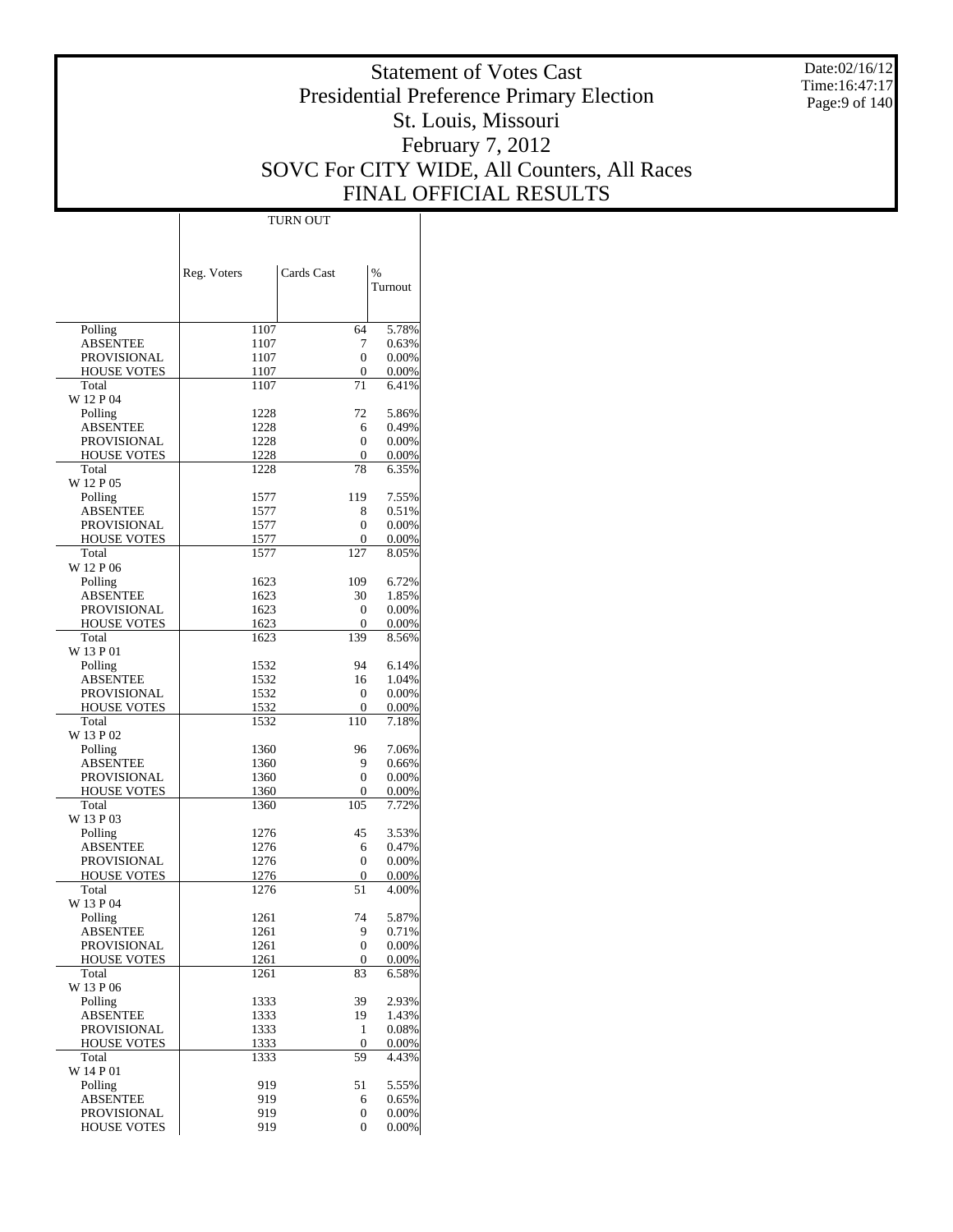Date:02/16/12 Time:16:47:17 Page:9 of 140

# Statement of Votes Cast Presidential Preference Primary Election St. Louis, Missouri February 7, 2012 SOVC For CITY WIDE, All Counters, All Races FINAL OFFICIAL RESULTS

Τ

|                                          | <b>TURN OUT</b> |            |                |
|------------------------------------------|-----------------|------------|----------------|
|                                          |                 |            |                |
|                                          |                 |            |                |
|                                          |                 | Cards Cast | $\frac{9}{6}$  |
|                                          | Reg. Voters     |            | Turnout        |
|                                          |                 |            |                |
|                                          |                 |            |                |
| Polling                                  | 1107            | 64         | 5.78%          |
| <b>ABSENTEE</b>                          | 1107            | 7          | 0.63%          |
| <b>PROVISIONAL</b>                       | 1107            | 0          | 0.00%          |
| HOUSE VOTES                              | 1107            | 0          | 0.00%          |
| Total                                    | 1107            | 71         | 6.41%          |
| W 12 P 04                                |                 |            |                |
| Polling                                  | 1228            | 72         | 5.86%          |
| <b>ABSENTEE</b>                          | 1228            | 6          | 0.49%          |
| <b>PROVISIONAL</b>                       | 1228            | 0          | 0.00%          |
| HOUSE VOTES<br>Total                     | 1228<br>1228    | 0<br>78    | 0.00%<br>6.35% |
| W 12 P 05                                |                 |            |                |
| Polling                                  | 1577            | 119        | 7.55%          |
| <b>ABSENTEE</b>                          | 1577            | 8          | 0.51%          |
| <b>PROVISIONAL</b>                       | 1577            | 0          | 0.00%          |
| <b>HOUSE VOTES</b>                       | 1577            | 0          | 0.00%          |
| Total                                    | 1577            | 127        | 8.05%          |
| W 12 P 06                                |                 |            |                |
| Polling                                  | 1623            | 109        | 6.72%          |
| ABSENTEE                                 | 1623            | 30         | 1.85%          |
| <b>PROVISIONAL</b>                       | 1623            | 0          | 0.00%          |
| HOUSE VOTES                              | 1623            | 0          | 0.00%          |
| Total                                    | 1623            | 139        | 8.56%          |
| W 13 P 01                                |                 |            |                |
| Polling                                  | 1532            | 94         | 6.14%          |
| <b>ABSENTEE</b>                          | 1532            | 16         | 1.04%          |
| <b>PROVISIONAL</b><br><b>HOUSE VOTES</b> | 1532<br>1532    | 0<br>0     | 0.00%<br>0.00% |
| Total                                    | 1532            | 110        | 7.18%          |
| W 13 P 02                                |                 |            |                |
| Polling                                  | 1360            | 96         | 7.06%          |
| <b>ABSENTEE</b>                          | 1360            | 9          | 0.66%          |
| <b>PROVISIONAL</b>                       | 1360            | 0          | 0.00%          |
| HOUSE VOTES                              | 1360            | 0          | 0.00%          |
| Total                                    | 1360            | 105        | 7.72%          |
| W 13 P 03                                |                 |            |                |
| Polling                                  | 1276            | 45         | 3.53%          |
| <b>ABSENTEE</b>                          | 1276            | 6          | 0.47%          |
| PROVISIONAL                              | 1276            | 0          | 0.00%          |
| HOUSE VOTES                              | 1276            | 0          | 0.00%          |
| Total<br>W 13 P 04                       | 1276            | 51         | 4.00%          |
| Polling                                  | 1261            | 74         | 5.87%          |
| <b>ABSENTEE</b>                          | 1261            | 9          | 0.71%          |
| <b>PROVISIONAL</b>                       | 1261            | 0          | 0.00%          |
| HOUSE VOTES                              | 1261            | 0          | 0.00%          |
| Total                                    | 1261            | 83         | 6.58%          |
| W 13 P 06                                |                 |            |                |
| Polling                                  | 1333            | 39         | 2.93%          |
| <b>ABSENTEE</b>                          | 1333            | 19         | 1.43%          |
| <b>PROVISIONAL</b>                       | 1333            | 1          | 0.08%          |
| HOUSE VOTES                              | 1333            | 0          | 0.00%          |
| Total                                    | 1333            | 59         | 4.43%          |
| W 14 P 01                                |                 |            |                |
| Polling                                  | 919             | 51         | 5.55%          |
| <b>ABSENTEE</b>                          | 919             | 6          | 0.65%          |
| <b>PROVISIONAL</b><br><b>HOUSE VOTES</b> | 919<br>919      | 0<br>0     | 0.00%<br>0.00% |
|                                          |                 |            |                |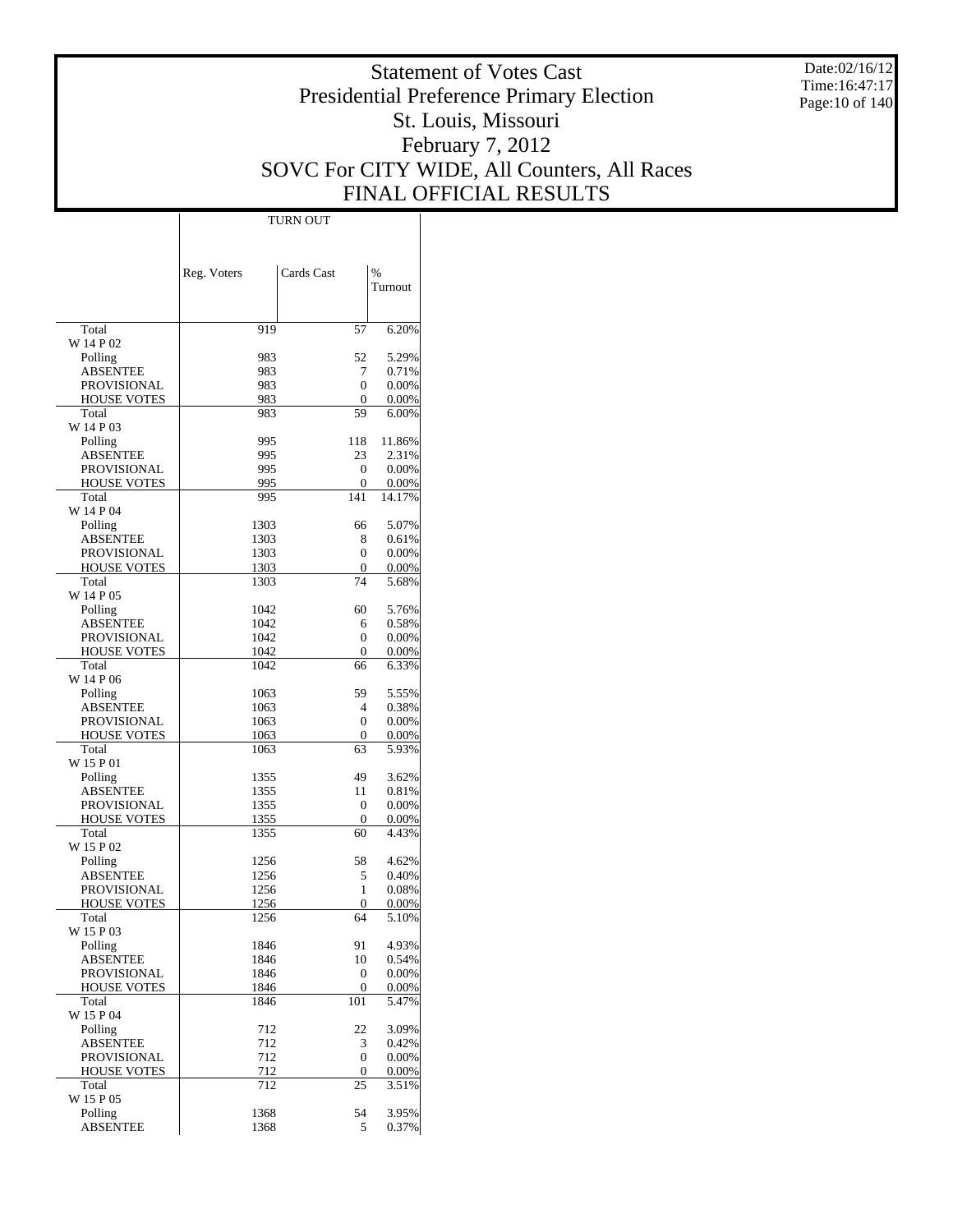Date:02/16/12 Time:16:47:17 Page:10 of 140

# Statement of Votes Cast Presidential Preference Primary Election St. Louis, Missouri February 7, 2012 SOVC For CITY WIDE, All Counters, All Races FINAL OFFICIAL RESULTS

 $\top$ 

|                                          | Reg. Voters  | Cards Cast             | $\frac{0}{0}$     |
|------------------------------------------|--------------|------------------------|-------------------|
|                                          |              |                        | Turnout           |
|                                          |              |                        |                   |
| Total                                    | 919          | 57                     | 6.20%             |
| W 14 P 02                                | 983          | 52                     | 5.29%             |
| Polling<br><b>ABSENTEE</b>               | 983          | 7                      | 0.71%             |
| PROVISIONAL                              | 983          | $\mathbf{0}$           | 0.00%             |
| <b>HOUSE VOTES</b>                       | 983          | $\mathbf{0}$           | 0.00%             |
| Total                                    | 983          | 59                     | 6.00%             |
| W 14 P 03                                |              |                        |                   |
| Polling<br><b>ABSENTEE</b>               | 995<br>995   | 118<br>23              | 11.86%<br>2.31%   |
| <b>PROVISIONAL</b>                       | 995          | $\mathbf{0}$           | 0.00%             |
| <b>HOUSE VOTES</b>                       | 995          | $\mathbf{0}$           | $0.00\%$          |
| Total                                    | 995          | 141                    | 14.17%            |
| W 14 P 04                                |              |                        |                   |
| Polling                                  | 1303         | 66                     | 5.07%             |
| <b>ABSENTEE</b>                          | 1303         | 8                      | 0.61%             |
| <b>PROVISIONAL</b><br><b>HOUSE VOTES</b> | 1303<br>1303 | 0<br>$\mathbf{0}$      | 0.00%<br>$0.00\%$ |
| Total                                    | 1303         | 74                     | 5.68%             |
| W 14 P 05                                |              |                        |                   |
| Polling                                  | 1042         | 60                     | 5.76%             |
| <b>ABSENTEE</b>                          | 1042         | 6                      | 0.58%             |
| PROVISIONAL                              | 1042         | 0                      | 0.00%             |
| <b>HOUSE VOTES</b><br>Total              | 1042<br>1042 | $\mathbf{0}$<br>66     | $0.00\%$          |
| W 14 P 06                                |              |                        | 6.33%             |
| Polling                                  | 1063         | 59                     | 5.55%             |
| <b>ABSENTEE</b>                          | 1063         | $\overline{4}$         | 0.38%             |
| <b>PROVISIONAL</b>                       | 1063         | $\mathbf{0}$           | 0.00%             |
| <b>HOUSE VOTES</b>                       | 1063         | $\mathbf{0}$           | $0.00\%$          |
| Total<br>W 15 P 01                       | 1063         | 63                     | 5.93%             |
| Polling                                  | 1355         | 49                     | 3.62%             |
| <b>ABSENTEE</b>                          | 1355         | 11                     | 0.81%             |
| <b>PROVISIONAL</b>                       | 1355         | $\mathbf{0}$           | 0.00%             |
| <b>HOUSE VOTES</b>                       | 1355         | $\mathbf{0}$           | $0.00\%$          |
| Total                                    | 1355         | 60                     | 4.43%             |
| W 15 P 02                                |              |                        |                   |
| Polling<br><b>ABSENTEE</b>               | 1256<br>1256 | 58<br>5                | 4.62%<br>0.40%    |
| PROVISIONAL                              | 1256         | 1                      | 0.08%             |
| <b>HOUSE VOTES</b>                       | 1256         | 0                      | 0.00%             |
| Total                                    | 1256         | 64                     | 5.10%             |
| W 15 P 03                                |              |                        |                   |
| Polling                                  | 1846         | 91                     | 4.93%             |
| <b>ABSENTEE</b><br><b>PROVISIONAL</b>    | 1846<br>1846 | 10<br>$\boldsymbol{0}$ | 0.54%             |
| <b>HOUSE VOTES</b>                       | 1846         | $\mathbf{0}$           | 0.00%<br>0.00%    |
| Total                                    | 1846         | 101                    | 5.47%             |
| W 15 P 04                                |              |                        |                   |
| Polling                                  | 712          | 22                     | 3.09%             |
| <b>ABSENTEE</b>                          | 712          | 3                      | 0.42%             |
| <b>PROVISIONAL</b>                       | 712          | $\mathbf{0}$           | 0.00%             |
| <b>HOUSE VOTES</b><br>Total              | 712<br>712   | 0<br>25                | 0.00%<br>3.51%    |
| W 15 P 05                                |              |                        |                   |
| Polling                                  | 1368         | 54                     | 3.95%             |
| ABSENTEE                                 | 1368         | 5                      | 0.37%             |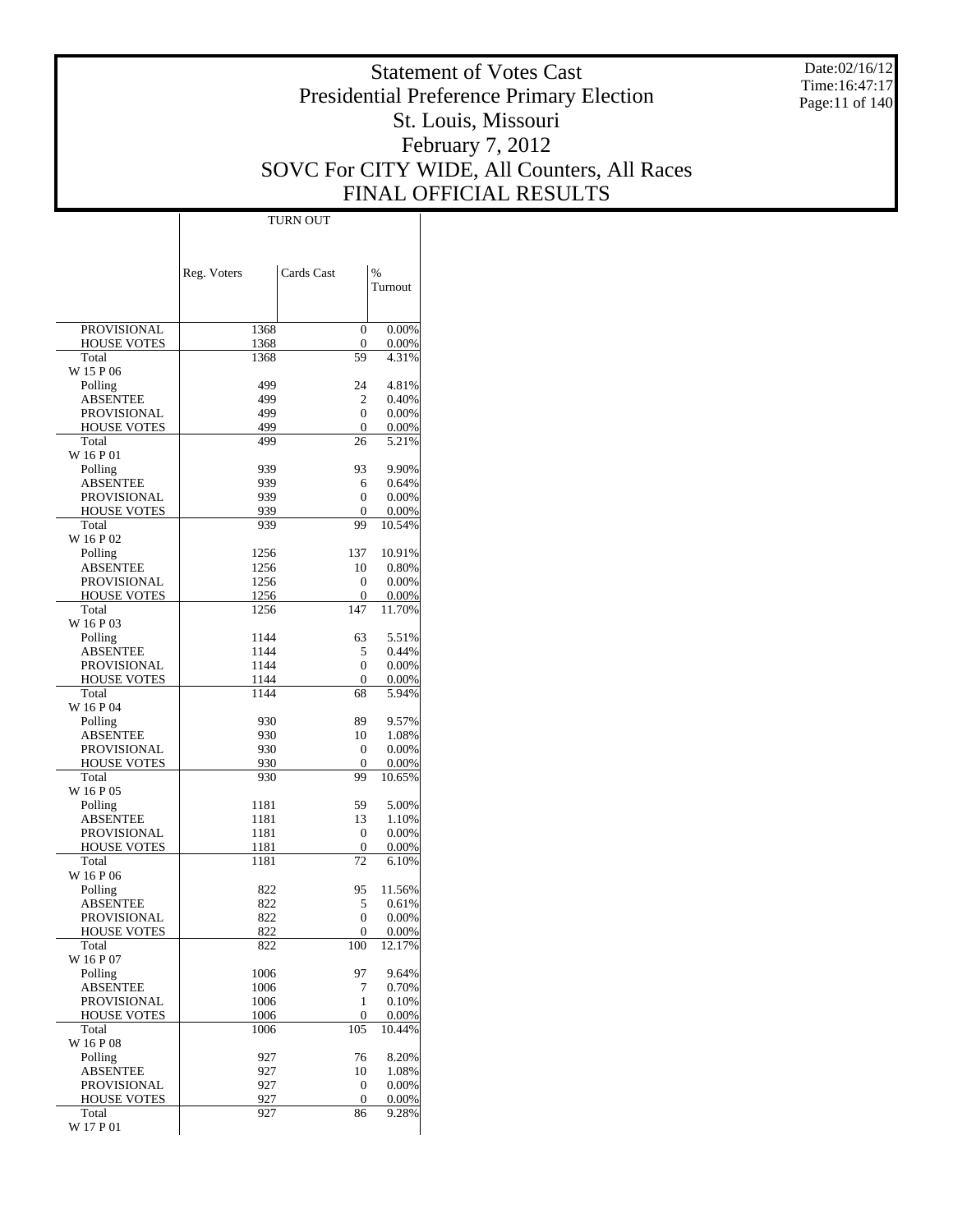Date:02/16/12 Time:16:47:17 Page:11 of 140

# Statement of Votes Cast Presidential Preference Primary Election St. Louis, Missouri February 7, 2012 SOVC For CITY WIDE, All Counters, All Races FINAL OFFICIAL RESULTS

|                                   | Reg. Voters  | Cards Cast       | %               |
|-----------------------------------|--------------|------------------|-----------------|
|                                   |              |                  | Turnout         |
|                                   |              |                  |                 |
| <b>PROVISIONAL</b>                | 1368         | $\mathbf{0}$     | 0.00%           |
| <b>HOUSE VOTES</b>                | 1368         | 0                | 0.00%           |
| Total                             | 1368         | 59               | 4.31%           |
| W 15 P 06<br>Polling              | 499          | 24               | 4.81%           |
| <b>ABSENTEE</b>                   | 499          | 2                | 0.40%           |
| PROVISIONAL                       | 499          | $\Omega$         | 0.00%           |
| <b>HOUSE VOTES</b>                | 499          | $\mathbf{0}$     | 0.00%           |
| Total                             | 499          | 26               | 5.21%           |
| W 16 P 01                         |              |                  |                 |
| Polling<br><b>ABSENTEE</b>        | 939          | 93<br>6          | 9.90%           |
| PROVISIONAL                       | 939<br>939   | 0                | 0.64%<br>0.00%  |
| <b>HOUSE VOTES</b>                | 939          | $\mathbf{0}$     | 0.00%           |
| Total                             | 939          | 99               | 10.54%          |
| W 16 P 02                         |              |                  |                 |
| Polling                           | 1256         | 137              | 10.91%          |
| <b>ABSENTEE</b>                   | 1256         | 10               | 0.80%           |
| PROVISIONAL<br><b>HOUSE VOTES</b> | 1256<br>1256 | 0<br>0           | 0.00%           |
| Total                             | 1256         | 147              | 0.00%<br>11.70% |
| W 16 P 03                         |              |                  |                 |
| Polling                           | 1144         | 63               | 5.51%           |
| <b>ABSENTEE</b>                   | 1144         | 5                | 0.44%           |
| PROVISIONAL                       | 1144         | $\Omega$         | 0.00%           |
| <b>HOUSE VOTES</b>                | 1144         | $\mathbf{0}$     | 0.00%           |
| Total<br>W 16 P 04                | 1144         | 68               | 5.94%           |
| Polling                           | 930          | 89               | 9.57%           |
| ABSENTEE                          | 930          | 10               | 1.08%           |
| PROVISIONAL                       | 930          | 0                | 0.00%           |
| <b>HOUSE VOTES</b>                | 930          | $\mathbf{0}$     | 0.00%           |
| Total                             | 930          | 99               | 10.65%          |
| W 16 P 05                         |              |                  |                 |
| Polling<br><b>ABSENTEE</b>        | 1181<br>1181 | 59<br>13         | 5.00%<br>1.10%  |
| <b>PROVISIONAL</b>                | 1181         | $\mathbf{0}$     | 0.00%           |
| <b>HOUSE VOTES</b>                | 1181         | 0                | 0.00%           |
| Total                             | 1181         | 72               | 6.10%           |
| W 16 P 06                         |              |                  |                 |
| Polling                           | 822          | 95               | 11.56%          |
| <b>ABSENTEE</b>                   | 822          | 5                | 0.61%           |
| PROVISIONAL<br><b>HOUSE VOTES</b> | 822<br>822   | 0<br>$\Omega$    | 0.00%<br>0.00%  |
| Total                             | 822          | 100              | 12.17%          |
| W 16 P 07                         |              |                  |                 |
| Polling                           | 1006         | 97               | 9.64%           |
| <b>ABSENTEE</b>                   | 1006         | 7                | 0.70%           |
| PROVISIONAL                       | 1006         | 1                | 0.10%           |
| <b>HOUSE VOTES</b>                | 1006         | 0                | 0.00%           |
| Total<br>W 16 P 08                | 1006         | 105              | 10.44%          |
| Polling                           | 927          | 76               | 8.20%           |
| <b>ABSENTEE</b>                   | 927          | 10               | 1.08%           |
| PROVISIONAL                       | 927          | 0                | 0.00%           |
| <b>HOUSE VOTES</b>                | 927          | $\boldsymbol{0}$ | 0.00%           |
| Total<br>W 17 P 01                | 927          | 86               | 9.28%           |
|                                   |              |                  |                 |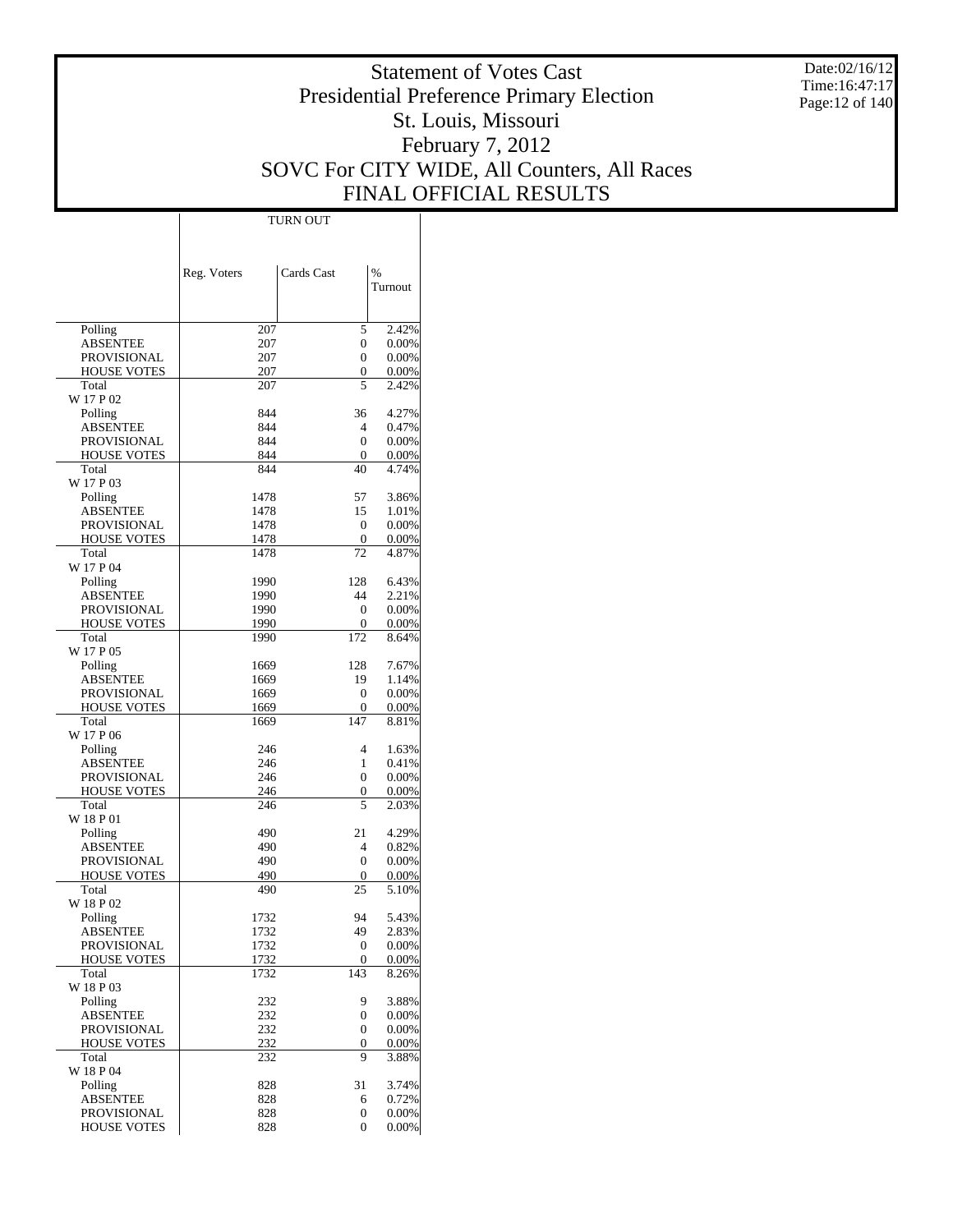Date:02/16/12 Time:16:47:17 Page:12 of 140

# Statement of Votes Cast Presidential Preference Primary Election St. Louis, Missouri February 7, 2012 SOVC For CITY WIDE, All Counters, All Races FINAL OFFICIAL RESULTS

Τ

|                                   | Reg. Voters  | Cards Cast | $\frac{0}{0}$  |
|-----------------------------------|--------------|------------|----------------|
|                                   |              |            | Turnout        |
|                                   |              |            |                |
| Polling                           | 207          | 5          | 2.42%          |
| ABSENTEE                          | 207          | 0          | 0.00%          |
| PROVISIONAL<br>HOUSE VOTES        | 207<br>207   | 0<br>0     | 0.00%<br>0.00% |
| Total                             | 207          | 5          | 2.42%          |
| W 17 P 02                         |              |            |                |
| Polling                           | 844          | 36         | 4.27%          |
| ABSENTEE                          | 844          | 4          | 0.47%          |
| PROVISIONAL<br><b>HOUSE VOTES</b> | 844<br>844   | 0<br>0     | 0.00%<br>0.00% |
| Total                             | 844          | 40         | 4.74%          |
| W 17 P 03                         |              |            |                |
| Polling                           | 1478         | 57         | 3.86%          |
| ABSENTEE                          | 1478         | 15         | 1.01%          |
| PROVISIONAL                       | 1478         | 0          | 0.00%          |
| <b>HOUSE VOTES</b><br>Total       | 1478<br>1478 | 0<br>72    | 0.00%<br>4.87% |
| W 17 P 04                         |              |            |                |
| Polling                           | 1990         | 128        | 6.43%          |
| <b>ABSENTEE</b>                   | 1990         | 44         | 2.21%          |
| PROVISIONAL                       | 1990         | 0          | 0.00%          |
| <b>HOUSE VOTES</b>                | 1990         | 0          | 0.00%          |
| Total<br>W 17 P 05                | 1990         | 172        | 8.64%          |
| Polling                           | 1669         | 128        | 7.67%          |
| <b>ABSENTEE</b>                   | 1669         | 19         | 1.14%          |
| PROVISIONAL                       | 1669         | 0          | 0.00%          |
| <b>HOUSE VOTES</b>                | 1669         | 0          | 0.00%          |
| Total<br>W 17 P 06                | 1669         | 147        | 8.81%          |
| Polling                           | 246          | 4          | 1.63%          |
| ABSENTEE                          | 246          | 1          | 0.41%          |
| PROVISIONAL                       | 246          | 0          | 0.00%          |
| <b>HOUSE VOTES</b>                | 246          | 0          | 0.00%          |
| Total                             | 246          | 5          | 2.03%          |
| W 18 P 01                         | 490          | 21         | 4.29%          |
| Polling<br>ABSENTEE               | 490          | 4          | 0.82%          |
| PROVISIONAL                       | 490          | 0          | 0.00%          |
| <b>HOUSE VOTES</b>                | 490          | 0          | 0.00%          |
| Total                             | 490          | 25         | 5.10%          |
| W 18 P 02                         |              |            |                |
| Polling<br>ABSENTEE               | 1732<br>1732 | 94<br>49   | 5.43%<br>2.83% |
| PROVISIONAL                       | 1732         | 0          | 0.00%          |
| <b>HOUSE VOTES</b>                | 1732         | 0          | 0.00%          |
| Total                             | 1732         | 143        | 8.26%          |
| W 18 P 03                         |              |            |                |
| Polling                           | 232          | 9<br>0     | 3.88%          |
| <b>ABSENTEE</b><br>PROVISIONAL    | 232<br>232   | 0          | 0.00%<br>0.00% |
| HOUSE VOTES                       | 232          | 0          | 0.00%          |
| Total                             | 232          | 9          | 3.88%          |
| W 18 P 04                         |              |            |                |
| Polling                           | 828          | 31         | 3.74%          |
| <b>ABSENTEE</b>                   | 828<br>828   | 6<br>0     | 0.72%<br>0.00% |
| PROVISIONAL<br>HOUSE VOTES        | 828          | 0          | 0.00%          |
|                                   |              |            |                |

TURN OUT

 $\overline{1}$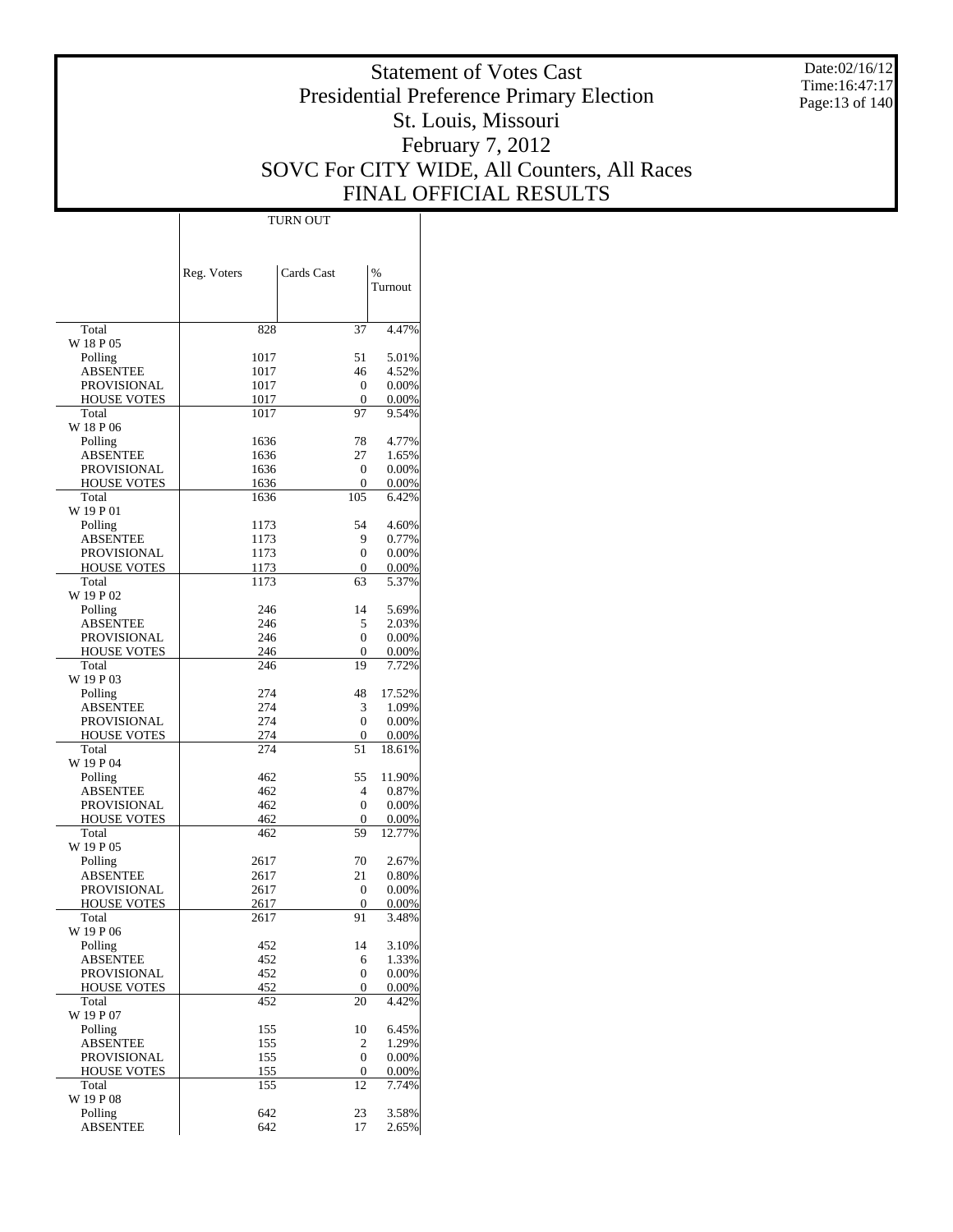Date:02/16/12 Time:16:47:17 Page:13 of 140

# Statement of Votes Cast Presidential Preference Primary Election St. Louis, Missouri February 7, 2012 SOVC For CITY WIDE, All Counters, All Races FINAL OFFICIAL RESULTS

 $\overline{\phantom{a}}$ 

|                                   | Reg. Voters  | Cards Cast | %              |
|-----------------------------------|--------------|------------|----------------|
|                                   |              |            | Turnout        |
|                                   |              |            |                |
| Total                             | 828          | 37         | 4.47%          |
| W 18 P 05                         |              |            |                |
| Polling                           | 1017         | 51         | 5.01%          |
| ABSENTEE                          | 1017         | 46<br>0    | 4.52%          |
| PROVISIONAL<br><b>HOUSE VOTES</b> | 1017<br>1017 | 0          | 0.00%<br>0.00% |
| Total                             | 1017         | 97         | 9.54%          |
| W 18 P 06                         |              |            |                |
| Polling                           | 1636         | 78         | 4.77%          |
| <b>ABSENTEE</b>                   | 1636         | 27         | 1.65%          |
| PROVISIONAL                       | 1636         | 0          | 0.00%          |
| <b>HOUSE VOTES</b>                | 1636         | 0          | 0.00%          |
| Total                             | 1636         | 105        | 6.42%          |
| W 19 P 01                         |              |            |                |
| Polling                           | 1173         | 54         | 4.60%          |
| ABSENTEE                          | 1173<br>1173 | 9<br>0     | 0.77%          |
| PROVISIONAL<br><b>HOUSE VOTES</b> | 1173         | 0          | 0.00%<br>0.00% |
| Total                             | 1173         | 63         | 5.37%          |
| W 19 P 02                         |              |            |                |
| Polling                           | 246          | 14         | 5.69%          |
| <b>ABSENTEE</b>                   | 246          | 5          | 2.03%          |
| PROVISIONAL                       | 246          | 0          | 0.00%          |
| <b>HOUSE VOTES</b>                | 246          | 0          | 0.00%          |
| Total                             | 246          | 19         | 7.72%          |
| W 19 P 03                         |              |            |                |
| Polling                           | 274          | 48         | 17.52%         |
| ABSENTEE                          | 274          | 3          | 1.09%          |
| PROVISIONAL                       | 274          | 0          | 0.00%          |
| <b>HOUSE VOTES</b>                | 274          | 0          | 0.00%          |
| Total                             | 274          | 51         | 18.61%         |
| W 19 P 04                         |              |            |                |
| Polling                           | 462          | 55         | 11.90%         |
| ABSENTEE                          | 462          | 4<br>0     | 0.87%          |
| PROVISIONAL<br><b>HOUSE VOTES</b> | 462<br>462   | 0          | 0.00%<br>0.00% |
| Total                             | 462          | 59         | 12.77%         |
| W 19 P 05                         |              |            |                |
| Polling                           | 2617         | 70         | 2.67%          |
| <b>ABSENTEE</b>                   | 2617         | 21         | 0.80%          |
| PROVISIONAL                       | 2617         | 0          | 0.00%          |
| <b>HOUSE VOTES</b>                | 2617         | 0          | 0.00%          |
| Total                             | 2617         | 91         | 3.48%          |
| W 19 P 06                         |              |            |                |
| Polling                           | 452          | 14         | 3.10%          |
| <b>ABSENTEE</b>                   | 452          | 6          | 1.33%          |
| PROVISIONAL                       | 452          | 0          | 0.00%          |
| <b>HOUSE VOTES</b>                | 452          | 0          | 0.00%          |
| Total<br>W 19 P 07                | 452          | 20         | 4.42%          |
| Polling                           | 155          | 10         | 6.45%          |
| <b>ABSENTEE</b>                   | 155          | 2          | 1.29%          |
| PROVISIONAL                       | 155          | 0          | 0.00%          |
| <b>HOUSE VOTES</b>                | 155          | 0          | 0.00%          |
| Total                             | 155          | 12         | 7.74%          |
| W 19 P 08                         |              |            |                |
| Polling                           | 642          | 23         | 3.58%          |
| <b>ABSENTEE</b>                   | 642          | 17         | 2.65%          |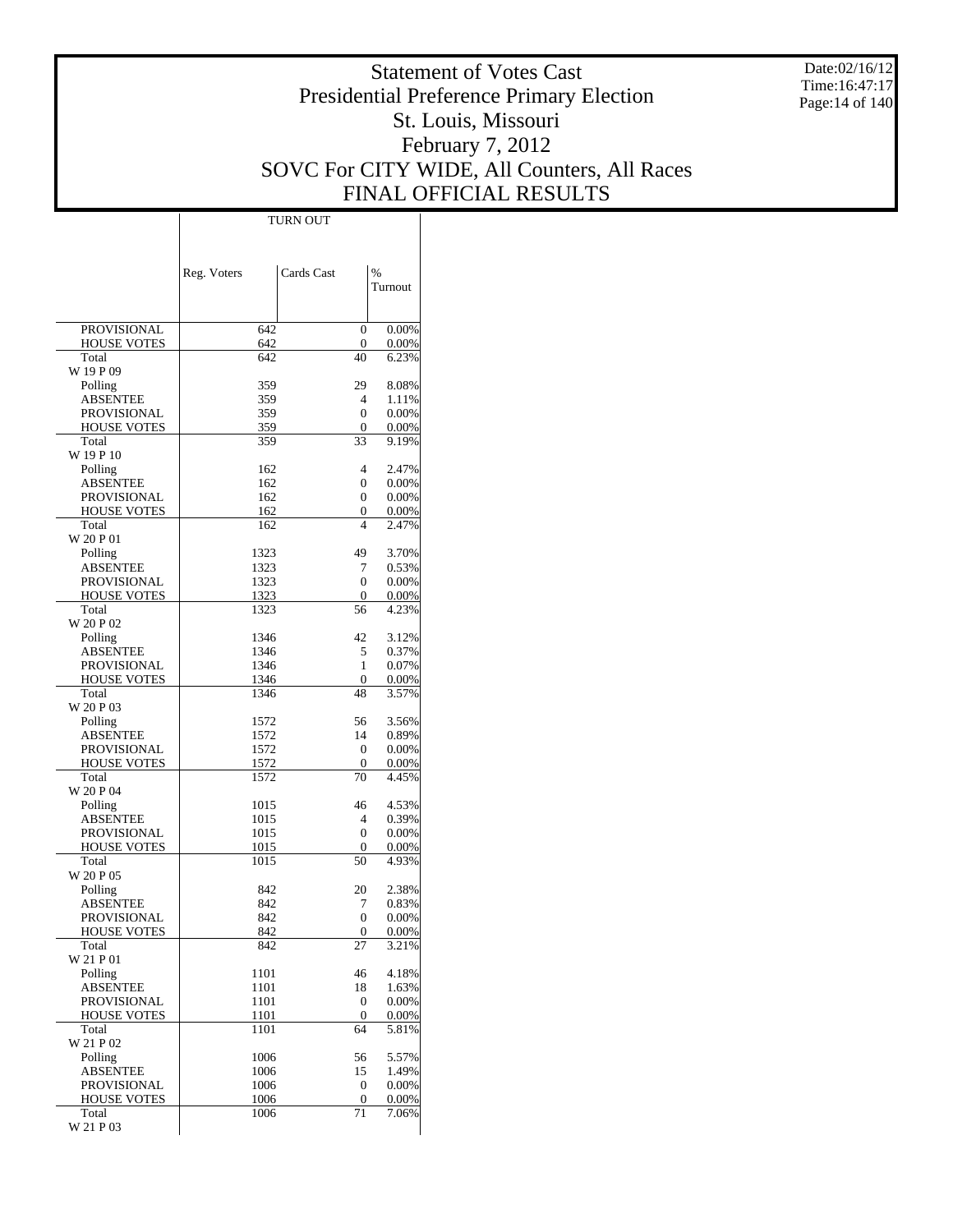Date:02/16/12 Time:16:47:17 Page:14 of 140

# Statement of Votes Cast Presidential Preference Primary Election St. Louis, Missouri February 7, 2012 SOVC For CITY WIDE, All Counters, All Races FINAL OFFICIAL RESULTS

 $\overline{\phantom{a}}$ 

|                                   | Reg. Voters  | Cards Cast         | $\frac{0}{0}$  |
|-----------------------------------|--------------|--------------------|----------------|
|                                   |              |                    | Turnout        |
|                                   |              |                    |                |
| <b>PROVISIONAL</b>                | 642          | 0                  | 0.00%          |
| <b>HOUSE VOTES</b>                | 642          | 0                  | 0.00%          |
| Total                             | 642          | 40                 | 6.23%          |
| W 19 P 09<br>Polling              | 359          | 29                 | 8.08%          |
| <b>ABSENTEE</b>                   | 359          | $\overline{4}$     | 1.11%          |
| PROVISIONAL                       | 359          | 0                  | 0.00%          |
| <b>HOUSE VOTES</b>                | 359          | 0                  | 0.00%          |
| Total                             | 359          | 33                 | 9.19%          |
| W 19 P 10                         | 162          | 4                  | 2.47%          |
| Polling<br>ABSENTEE               | 162          | 0                  | 0.00%          |
| PROVISIONAL                       | 162          | 0                  | 0.00%          |
| <b>HOUSE VOTES</b>                | 162          | 0                  | 0.00%          |
| Total                             | 162          | 4                  | 2.47%          |
| W 20 P 01                         |              |                    |                |
| Polling                           | 1323         | 49                 | 3.70%          |
| ABSENTEE<br><b>PROVISIONAL</b>    | 1323<br>1323 | 7<br>0             | 0.53%<br>0.00% |
| <b>HOUSE VOTES</b>                | 1323         | 0                  | 0.00%          |
| Total                             | 1323         | 56                 | 4.23%          |
| W 20 P 02                         |              |                    |                |
| Polling                           | 1346         | 42                 | 3.12%          |
| ABSENTEE                          | 1346         | 5                  | 0.37%          |
| PROVISIONAL                       | 1346         | 1                  | 0.07%          |
| <b>HOUSE VOTES</b><br>Total       | 1346<br>1346 | $\mathbf{0}$<br>48 | 0.00%<br>3.57% |
| W 20 P 03                         |              |                    |                |
| Polling                           | 1572         | 56                 | 3.56%          |
| ABSENTEE                          | 1572         | 14                 | 0.89%          |
| PROVISIONAL                       | 1572         | 0                  | 0.00%          |
| <b>HOUSE VOTES</b>                | 1572         | 0                  | 0.00%          |
| Total<br>W 20 P 04                | 1572         | 70                 | 4.45%          |
| Polling                           | 1015         | 46                 | 4.53%          |
| ABSENTEE                          | 1015         | 4                  | 0.39%          |
| PROVISIONAL                       | 1015         | 0                  | 0.00%          |
| <b>HOUSE VOTES</b>                | 1015         | 0                  | 0.00%          |
| Total                             | 1015         | 50                 | 4.93%          |
| W 20 P 05<br>Polling              | 842          | 20                 | 2.38%          |
| ABSENTEE                          | 842          | 7                  | 0.83%          |
| PROVISIONAL                       | 842          | 0                  | 0.00%          |
| <b>HOUSE VOTES</b>                | 842          | $\Omega$           | 0.00%          |
| Total                             | 842          | 27                 | 3.21%          |
| W 21 P 01                         |              |                    |                |
| Polling                           | 1101         | 46                 | 4.18%          |
| <b>ABSENTEE</b><br>PROVISIONAL    | 1101<br>1101 | 18<br>0            | 1.63%<br>0.00% |
| <b>HOUSE VOTES</b>                | 1101         | 0                  | 0.00%          |
| Total                             | 1101         | 64                 | 5.81%          |
| W 21 P 02                         |              |                    |                |
| Polling                           | 1006         | 56                 | 5.57%          |
| <b>ABSENTEE</b>                   | 1006         | 15                 | 1.49%          |
| PROVISIONAL<br><b>HOUSE VOTES</b> | 1006<br>1006 | 0<br>0             | 0.00%<br>0.00% |
| Total                             | 1006         | 71                 | 7.06%          |
| W 21 P 03                         |              |                    |                |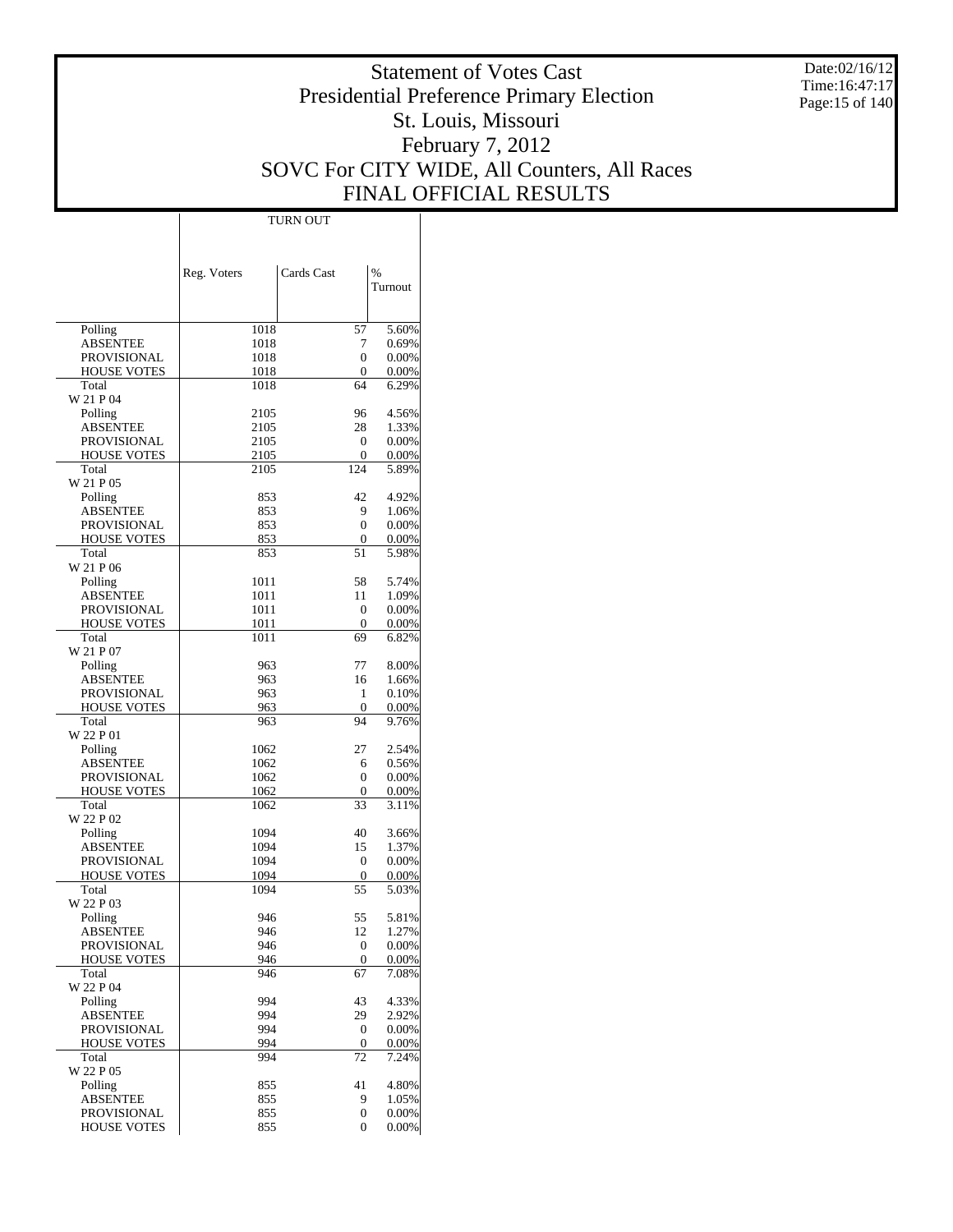Date:02/16/12 Time:16:47:17 Page:15 of 140

# Statement of Votes Cast Presidential Preference Primary Election St. Louis, Missouri February 7, 2012 SOVC For CITY WIDE, All Counters, All Races FINAL OFFICIAL RESULTS

|                                          | TURN OUT    |                   |                |  |
|------------------------------------------|-------------|-------------------|----------------|--|
|                                          |             |                   |                |  |
|                                          |             |                   |                |  |
|                                          |             |                   |                |  |
|                                          | Reg. Voters | Cards Cast        | %              |  |
|                                          |             |                   | Turnout        |  |
|                                          |             |                   |                |  |
| Polling                                  | 1018        | 57                | 5.60%          |  |
| <b>ABSENTEE</b>                          | 1018        | 7                 | 0.69%          |  |
| <b>PROVISIONAL</b>                       | 1018        | $\mathbf{0}$      | 0.00%          |  |
| <b>HOUSE VOTES</b>                       | 1018        | $\mathbf{0}$      | 0.00%          |  |
| Total                                    | 1018        | 64                | 6.29%          |  |
| W 21 P 04                                |             |                   |                |  |
| Polling                                  | 2105        | 96                | 4.56%          |  |
| <b>ABSENTEE</b>                          | 2105        | 28                | 1.33%          |  |
| <b>PROVISIONAL</b>                       | 2105        | $\mathbf{0}$      | 0.00%          |  |
| <b>HOUSE VOTES</b>                       | 2105        | $\mathbf{0}$      | 0.00%          |  |
| Total                                    | 2105        | 124               | 5.89%          |  |
| W 21 P 05<br>Polling                     | 853         | 42                | 4.92%          |  |
| <b>ABSENTEE</b>                          | 853         | 9                 | 1.06%          |  |
| <b>PROVISIONAL</b>                       | 853         | $\mathbf{0}$      | 0.00%          |  |
| <b>HOUSE VOTES</b>                       | 853         | $\mathbf{0}$      | 0.00%          |  |
| Total                                    | 853         | 51                | 5.98%          |  |
| W 21 P 06                                |             |                   |                |  |
| Polling                                  | 1011        | 58                | 5.74%          |  |
| <b>ABSENTEE</b>                          | 1011        | 11                | 1.09%          |  |
| <b>PROVISIONAL</b>                       | 1011        | $\mathbf{0}$      | 0.00%          |  |
| <b>HOUSE VOTES</b>                       | 1011        | $\mathbf{0}$      | 0.00%          |  |
| Total                                    | 1011        | 69                | 6.82%          |  |
| W 21 P 07                                |             |                   |                |  |
| Polling                                  | 963         | 77                | 8.00%          |  |
| <b>ABSENTEE</b>                          | 963         | 16                | 1.66%          |  |
| <b>PROVISIONAL</b><br><b>HOUSE VOTES</b> | 963<br>963  | 1<br>$\mathbf{0}$ | 0.10%          |  |
| Total                                    | 963         | 94                | 0.00%<br>9.76% |  |
| W 22 P 01                                |             |                   |                |  |
| Polling                                  | 1062        | 27                | 2.54%          |  |
| <b>ABSENTEE</b>                          | 1062        | 6                 | 0.56%          |  |
| <b>PROVISIONAL</b>                       | 1062        | $\mathbf{0}$      | 0.00%          |  |
| <b>HOUSE VOTES</b>                       | 1062        | $\mathbf{0}$      | 0.00%          |  |
| Total                                    | 1062        | 33                | 3.11%          |  |
| W 22 P 02                                |             |                   |                |  |
| Polling                                  | 1094        | 40                | 3.66%          |  |
| <b>ABSENTEE</b>                          | 1094        | 15                | 1.37%          |  |
| <b>PROVISIONAL</b>                       | 1094        | $\mathbf{0}$      | 0.00%          |  |
| <b>HOUSE VOTES</b>                       | 1094        | $\mathbf{0}$      | 0.00%          |  |
| Total<br>W 22 P 03                       | 1094        | 55                | 5.03%          |  |
| Polling                                  | 946         | 55                | 5.81%          |  |
| <b>ABSENTEE</b>                          | 946         | 12                | 1.27%          |  |
| <b>PROVISIONAL</b>                       | 946         | $\boldsymbol{0}$  | 0.00%          |  |
| <b>HOUSE VOTES</b>                       | 946         | $\boldsymbol{0}$  | 0.00%          |  |
| Total                                    | 946         | 67                | 7.08%          |  |
| W 22 P 04                                |             |                   |                |  |
| Polling                                  | 994         | 43                | 4.33%          |  |
| <b>ABSENTEE</b>                          | 994         | 29                | 2.92%          |  |
| <b>PROVISIONAL</b>                       | 994         | $\boldsymbol{0}$  | 0.00%          |  |
| <b>HOUSE VOTES</b>                       | 994         | $\boldsymbol{0}$  | 0.00%          |  |
| Total                                    | 994         | 72                | 7.24%          |  |
| W 22 P 05                                |             |                   |                |  |
| Polling<br><b>ABSENTEE</b>               | 855<br>855  | 41<br>9           | 4.80%<br>1.05% |  |
| <b>PROVISIONAL</b>                       | 855         | 0                 | 0.00%          |  |
| <b>HOUSE VOTES</b>                       | 855         | 0                 | 0.00%          |  |
|                                          |             |                   |                |  |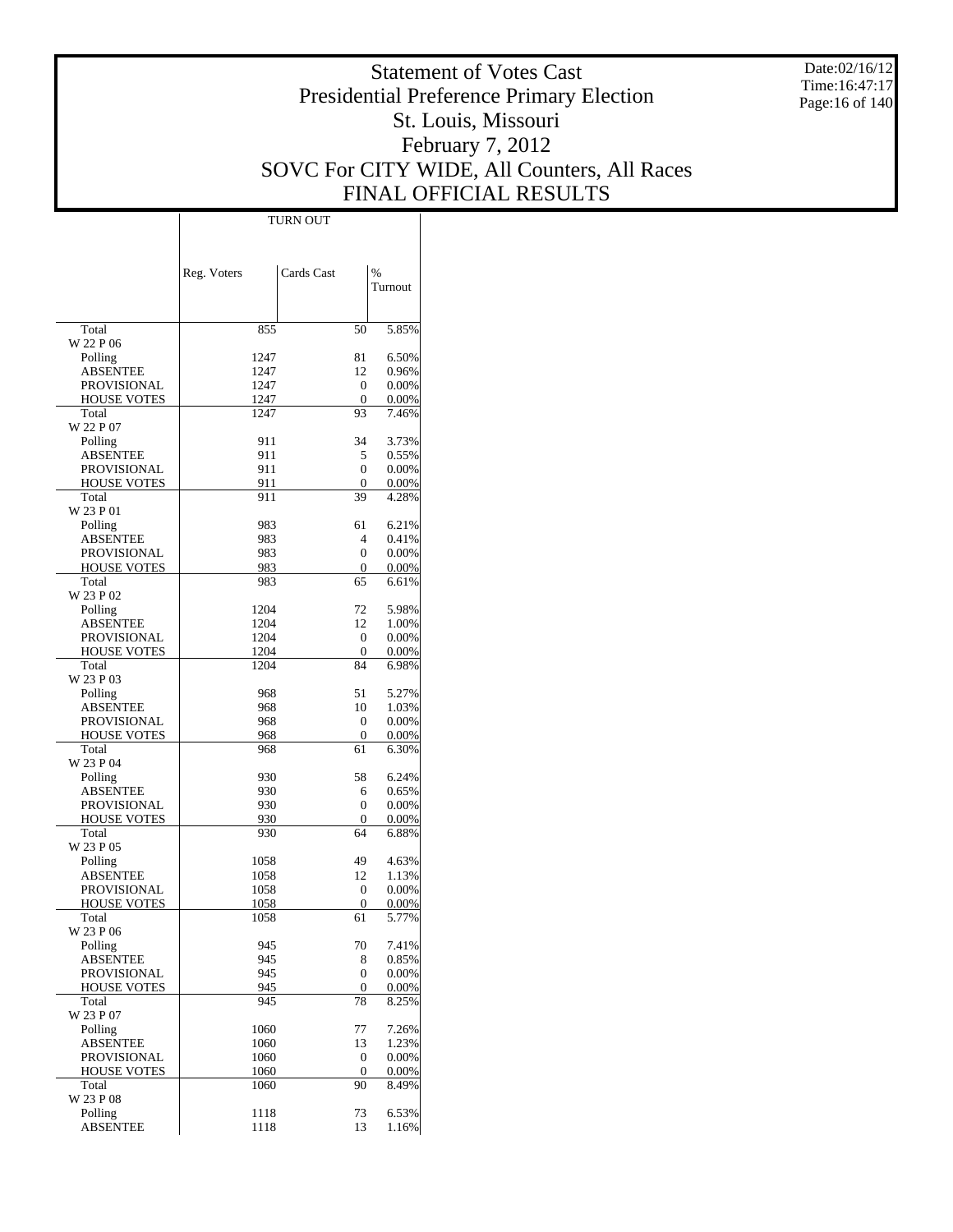Date:02/16/12 Time:16:47:17 Page:16 of 140

# Statement of Votes Cast Presidential Preference Primary Election St. Louis, Missouri February 7, 2012 SOVC For CITY WIDE, All Counters, All Races FINAL OFFICIAL RESULTS

 $\mathbf{I}$ 

|                             | Reg. Voters  | Cards Cast   | %              |
|-----------------------------|--------------|--------------|----------------|
|                             |              |              | Turnout        |
|                             |              |              |                |
| Total                       | 855          | 50           | 5.85%          |
| W 22 P 06                   |              |              |                |
| Polling<br>ABSENTEE         | 1247<br>1247 | 81<br>12     | 6.50%<br>0.96% |
| <b>PROVISIONAL</b>          | 1247         | 0            | 0.00%          |
| <b>HOUSE VOTES</b>          | 1247         | $\mathbf{0}$ | 0.00%          |
| Total                       | 1247         | 93           | 7.46%          |
| W 22 P 07                   |              |              |                |
| Polling                     | 911          | 34           | 3.73%          |
| ABSENTEE                    | 911          | 5            | 0.55%          |
| PROVISIONAL                 | 911          | 0            | 0.00%          |
| <b>HOUSE VOTES</b>          | 911          | 0            | 0.00%          |
| Total<br>W 23 P 01          | 911          | 39           | 4.28%          |
| Polling                     | 983          | 61           | 6.21%          |
| <b>ABSENTEE</b>             | 983          | 4            | 0.41%          |
| <b>PROVISIONAL</b>          | 983          | 0            | 0.00%          |
| <b>HOUSE VOTES</b>          | 983          | 0            | 0.00%          |
| Total                       | 983          | 65           | 6.61%          |
| W 23 P 02                   |              |              |                |
| Polling                     | 1204         | 72           | 5.98%          |
| ABSENTEE                    | 1204         | 12           | 1.00%          |
| <b>PROVISIONAL</b>          | 1204         | 0            | 0.00%          |
| <b>HOUSE VOTES</b><br>Total | 1204<br>1204 | 0<br>84      | 0.00%<br>6.98% |
| W 23 P 03                   |              |              |                |
| Polling                     | 968          | 51           | 5.27%          |
| ABSENTEE                    | 968          | 10           | 1.03%          |
| <b>PROVISIONAL</b>          | 968          | 0            | 0.00%          |
| <b>HOUSE VOTES</b>          | 968          | 0            | 0.00%          |
| Total                       | 968          | 61           | 6.30%          |
| W 23 P 04                   | 930          | 58           | 6.24%          |
| Polling<br>ABSENTEE         | 930          | 6            | 0.65%          |
| PROVISIONAL                 | 930          | 0            | $0.00\%$       |
| <b>HOUSE VOTES</b>          | 930          | 0            | 0.00%          |
| Total                       | 930          | 64           | 6.88%          |
| W 23 P 05                   |              |              |                |
| Polling                     | 1058         | 49           | 4.63%          |
| ABSENTEE                    | 1058         | 12           | 1.13%          |
| <b>PROVISIONAL</b>          | 1058         | 0            | 0.00%          |
| <b>HOUSE VOTES</b><br>Total | 1058<br>1058 | 0<br>61      | 0.00%<br>5.77% |
| W 23 P 06                   |              |              |                |
| Polling                     | 945          | 70           | 7.41%          |
| <b>ABSENTEE</b>             | 945          | 8            | 0.85%          |
| <b>PROVISIONAL</b>          | 945          | 0            | 0.00%          |
| <b>HOUSE VOTES</b>          | 945          | 0            | 0.00%          |
| Total                       | 945          | 78           | 8.25%          |
| W 23 P 07                   |              |              |                |
| Polling<br>ABSENTEE         | 1060<br>1060 | 77<br>13     | 7.26%<br>1.23% |
| PROVISIONAL                 | 1060         | 0            | 0.00%          |
| <b>HOUSE VOTES</b>          | 1060         | 0            | 0.00%          |
| Total                       | 1060         | 90           | 8.49%          |
| W 23 P 08                   |              |              |                |
| Polling                     | 1118         | 73           | 6.53%          |
| <b>ABSENTEE</b>             | 1118         | 13           | 1.16%          |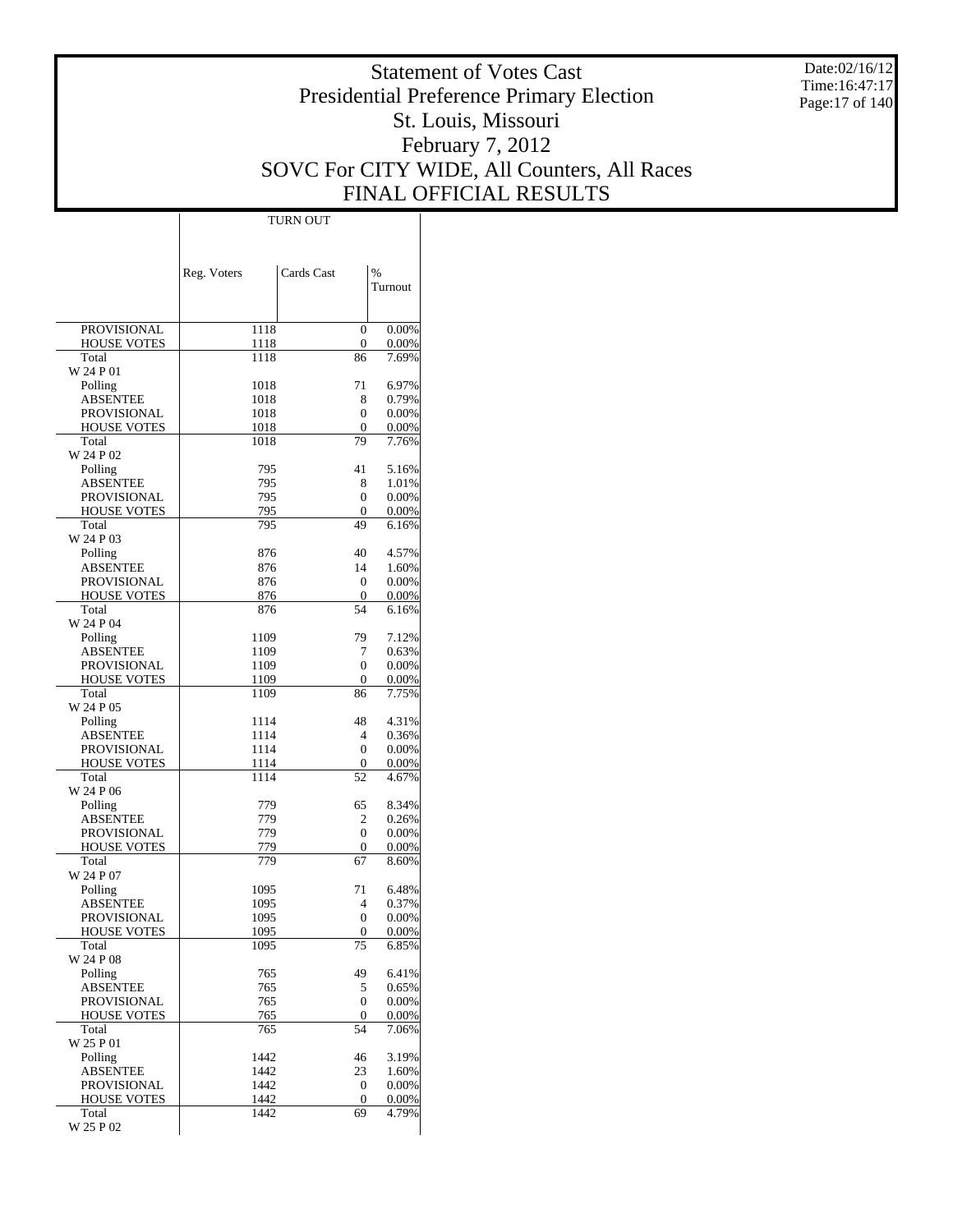Date:02/16/12 Time:16:47:17 Page:17 of 140

# Statement of Votes Cast Presidential Preference Primary Election St. Louis, Missouri February 7, 2012 SOVC For CITY WIDE, All Counters, All Races FINAL OFFICIAL RESULTS

|                                          | Reg. Voters  | Cards Cast        | %              |
|------------------------------------------|--------------|-------------------|----------------|
|                                          |              |                   | Turnout        |
|                                          |              |                   |                |
| <b>PROVISIONAL</b>                       | 1118         | $\mathbf{0}$      | 0.00%          |
| <b>HOUSE VOTES</b>                       | 1118         | 0                 | 0.00%          |
| Total                                    | 1118         | 86                | 7.69%          |
| W 24 P 01                                |              |                   |                |
| Polling                                  | 1018         | 71                | 6.97%          |
| <b>ABSENTEE</b><br><b>PROVISIONAL</b>    | 1018<br>1018 | 8<br>0            | 0.79%<br>0.00% |
| <b>HOUSE VOTES</b>                       | 1018         | $\mathbf{0}$      | 0.00%          |
| Total                                    | 1018         | 79                | 7.76%          |
| W 24 P 02                                |              |                   |                |
| Polling                                  | 795          | 41                | 5.16%          |
| <b>ABSENTEE</b>                          | 795          | 8                 | 1.01%          |
| <b>PROVISIONAL</b>                       | 795          | 0                 | 0.00%          |
| <b>HOUSE VOTES</b>                       | 795          | $\mathbf{0}$      | 0.00%          |
| Total<br>W 24 P 03                       | 795          | 49                | 6.16%          |
| Polling                                  | 876          | 40                | 4.57%          |
| ABSENTEE                                 | 876          | 14                | 1.60%          |
| <b>PROVISIONAL</b>                       | 876          | $\mathbf{0}$      | 0.00%          |
| <b>HOUSE VOTES</b>                       | 876          | 0                 | 0.00%          |
| Total                                    | 876          | 54                | 6.16%          |
| W 24 P 04                                |              |                   |                |
| Polling                                  | 1109         | 79                | 7.12%          |
| <b>ABSENTEE</b>                          | 1109         | 7                 | 0.63%          |
| <b>PROVISIONAL</b><br><b>HOUSE VOTES</b> | 1109         | 0<br>0            | 0.00%          |
| Total                                    | 1109<br>1109 | 86                | 0.00%<br>7.75% |
| W 24 P 05                                |              |                   |                |
| Polling                                  | 1114         | 48                | 4.31%          |
| <b>ABSENTEE</b>                          | 1114         | 4                 | 0.36%          |
| PROVISIONAL                              | 1114         | 0                 | 0.00%          |
| <b>HOUSE VOTES</b>                       | 1114         | 0                 | 0.00%          |
| Total                                    | 1114         | 52                | 4.67%          |
| W 24 P 06                                |              |                   |                |
| Polling                                  | 779          | 65                | 8.34%          |
| <b>ABSENTEE</b><br><b>PROVISIONAL</b>    | 779<br>779   | 2<br>0            | 0.26%<br>0.00% |
| <b>HOUSE VOTES</b>                       | 779          | 0                 | 0.00%          |
| Total                                    | 779          | 67                | 8.60%          |
| W 24 P 07                                |              |                   |                |
| Polling                                  | 1095         | 71                | 6.48%          |
| ABSENTEE                                 | 1095         | 4                 | 0.37%          |
| PROVISIONAL                              | 1095         | 0                 | 0.00%          |
| <b>HOUSE VOTES</b>                       | 1095         | 0                 | 0.00%          |
| Total<br>W 24 P 08                       | 1095         | 75                | 6.85%          |
| Polling                                  | 765          | 49                | 6.41%          |
| <b>ABSENTEE</b>                          | 765          | 5                 | 0.65%          |
| PROVISIONAL                              | 765          | $\mathbf{0}$      | 0.00%          |
| <b>HOUSE VOTES</b>                       | 765          | 0                 | 0.00%          |
| Total                                    | 765          | 54                | 7.06%          |
| W 25 P 01                                |              |                   |                |
| Polling                                  | 1442         | 46                | 3.19%          |
| <b>ABSENTEE</b>                          | 1442         | 23                | 1.60%          |
| <b>PROVISIONAL</b>                       | 1442<br>1442 | 0                 | 0.00%          |
| HOUSE VOTES<br>Total                     | 1442         | $\mathbf 0$<br>69 | 0.00%<br>4.79% |
| W 25 P 02                                |              |                   |                |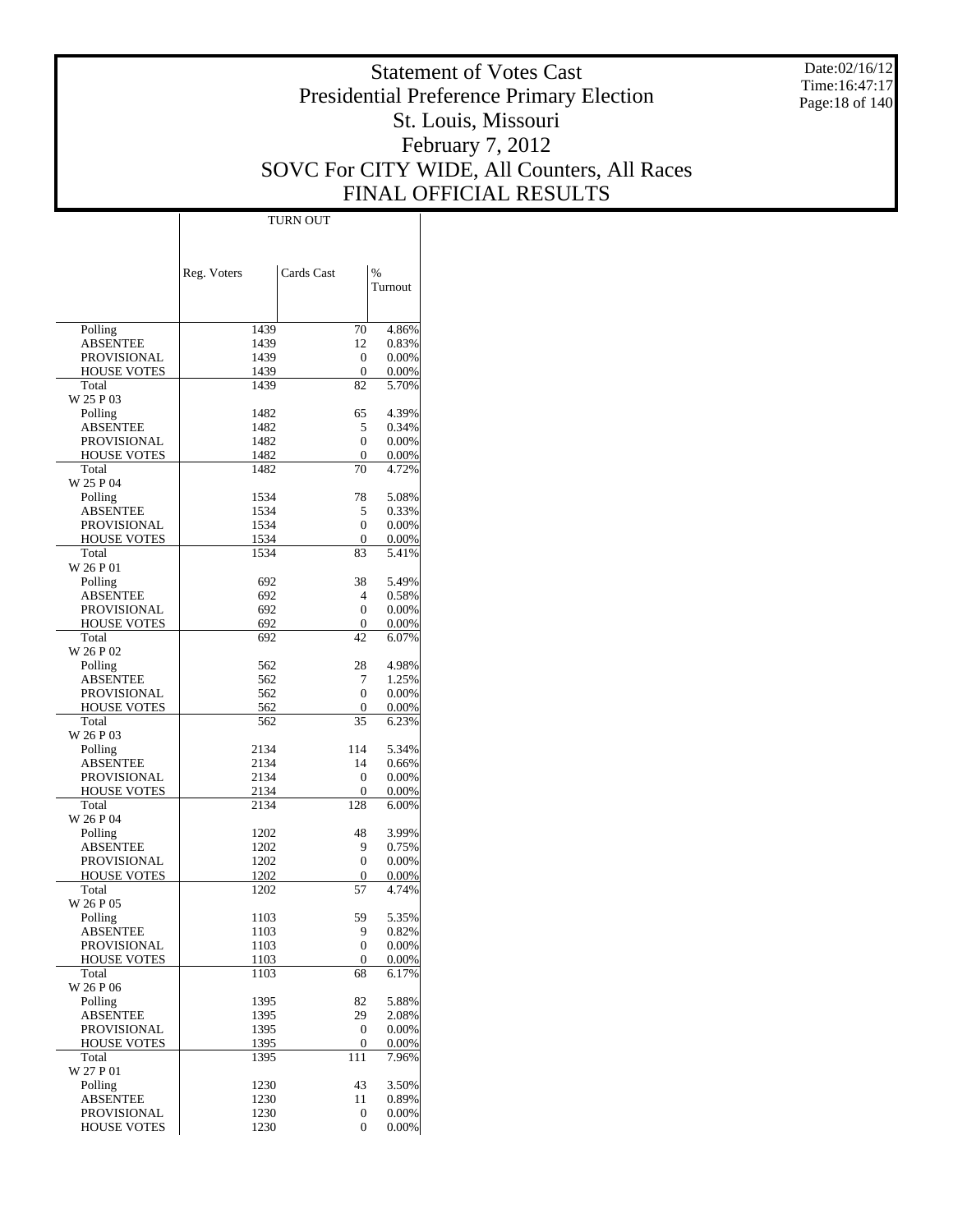Date:02/16/12 Time:16:47:17 Page:18 of 140

# Statement of Votes Cast Presidential Preference Primary Election St. Louis, Missouri February 7, 2012 SOVC For CITY WIDE, All Counters, All Races FINAL OFFICIAL RESULTS

 $\top$ 

|                             | Reg. Voters  | Cards Cast        | %              |
|-----------------------------|--------------|-------------------|----------------|
|                             |              |                   | Turnout        |
|                             |              |                   |                |
| Polling                     | 1439         | 70                | 4.86%          |
| <b>ABSENTEE</b>             | 1439         | 12                | 0.83%          |
| <b>PROVISIONAL</b>          | 1439         | $\mathbf{0}$<br>0 | 0.00%          |
| <b>HOUSE VOTES</b><br>Total | 1439<br>1439 | 82                | 0.00%<br>5.70% |
| W 25 P 03                   |              |                   |                |
| Polling                     | 1482         | 65                | 4.39%          |
| ABSENTEE                    | 1482         | 5                 | 0.34%          |
| <b>PROVISIONAL</b>          | 1482         | 0                 | 0.00%          |
| <b>HOUSE VOTES</b><br>Total | 1482<br>1482 | 0<br>70           | 0.00%<br>4.72% |
| W 25 P 04                   |              |                   |                |
| Polling                     | 1534         | 78                | 5.08%          |
| ABSENTEE                    | 1534         | 5                 | 0.33%          |
| <b>PROVISIONAL</b>          | 1534         | 0                 | 0.00%          |
| <b>HOUSE VOTES</b>          | 1534         | $\mathbf{0}$      | 0.00%          |
| Total<br>W 26 P 01          | 1534         | 83                | 5.41%          |
| Polling                     | 692          | 38                | 5.49%          |
| ABSENTEE                    | 692          | 4                 | 0.58%          |
| <b>PROVISIONAL</b>          | 692          | $\mathbf{0}$      | 0.00%          |
| <b>HOUSE VOTES</b>          | 692          | 0                 | 0.00%          |
| Total                       | 692          | 42                | 6.07%          |
| W 26 P 02                   |              |                   |                |
| Polling                     | 562          | 28                | 4.98%          |
| ABSENTEE<br>PROVISIONAL     | 562<br>562   | 7<br>0            | 1.25%<br>0.00% |
| <b>HOUSE VOTES</b>          | 562          | 0                 | 0.00%          |
| Total                       | 562          | 35                | 6.23%          |
| W 26 P 03                   |              |                   |                |
| Polling                     | 2134         | 114               | 5.34%          |
| ABSENTEE                    | 2134         | 14                | 0.66%          |
| PROVISIONAL                 | 2134         | $\mathbf{0}$<br>0 | 0.00%          |
| <b>HOUSE VOTES</b><br>Total | 2134<br>2134 | 128               | 0.00%<br>6.00% |
| W 26 P 04                   |              |                   |                |
| Polling                     | 1202         | 48                | 3.99%          |
| ABSENTEE                    | 1202         | 9                 | 0.75%          |
| <b>PROVISIONAL</b>          | 1202         | $\mathbf{0}$      | 0.00%          |
| <b>HOUSE VOTES</b>          | 1202         | 0                 | 0.00%          |
| Total                       | 1202         | 57                | 4.74%          |
| W 26 P 05<br>Polling        | 1103         | 59                | 5.35%          |
| ABSENTEE                    | 1103         | У                 | 0.82%          |
| PROVISIONAL                 | 1103         | $\boldsymbol{0}$  | 0.00%          |
| <b>HOUSE VOTES</b>          | 1103         | $\boldsymbol{0}$  | 0.00%          |
| Total                       | 1103         | 68                | 6.17%          |
| W 26 P 06                   |              |                   |                |
| Polling<br><b>ABSENTEE</b>  | 1395<br>1395 | 82<br>29          | 5.88%          |
| PROVISIONAL                 | 1395         | $\boldsymbol{0}$  | 2.08%<br>0.00% |
| <b>HOUSE VOTES</b>          | 1395         | $\mathbf{0}$      | 0.00%          |
| Total                       | 1395         | 111               | 7.96%          |
| W 27 P 01                   |              |                   |                |
| Polling                     | 1230         | 43                | 3.50%          |
| <b>ABSENTEE</b>             | 1230         | 11                | 0.89%          |
| PROVISIONAL                 | 1230         | 0                 | 0.00%          |
| <b>HOUSE VOTES</b>          | 1230         | 0                 | 0.00%          |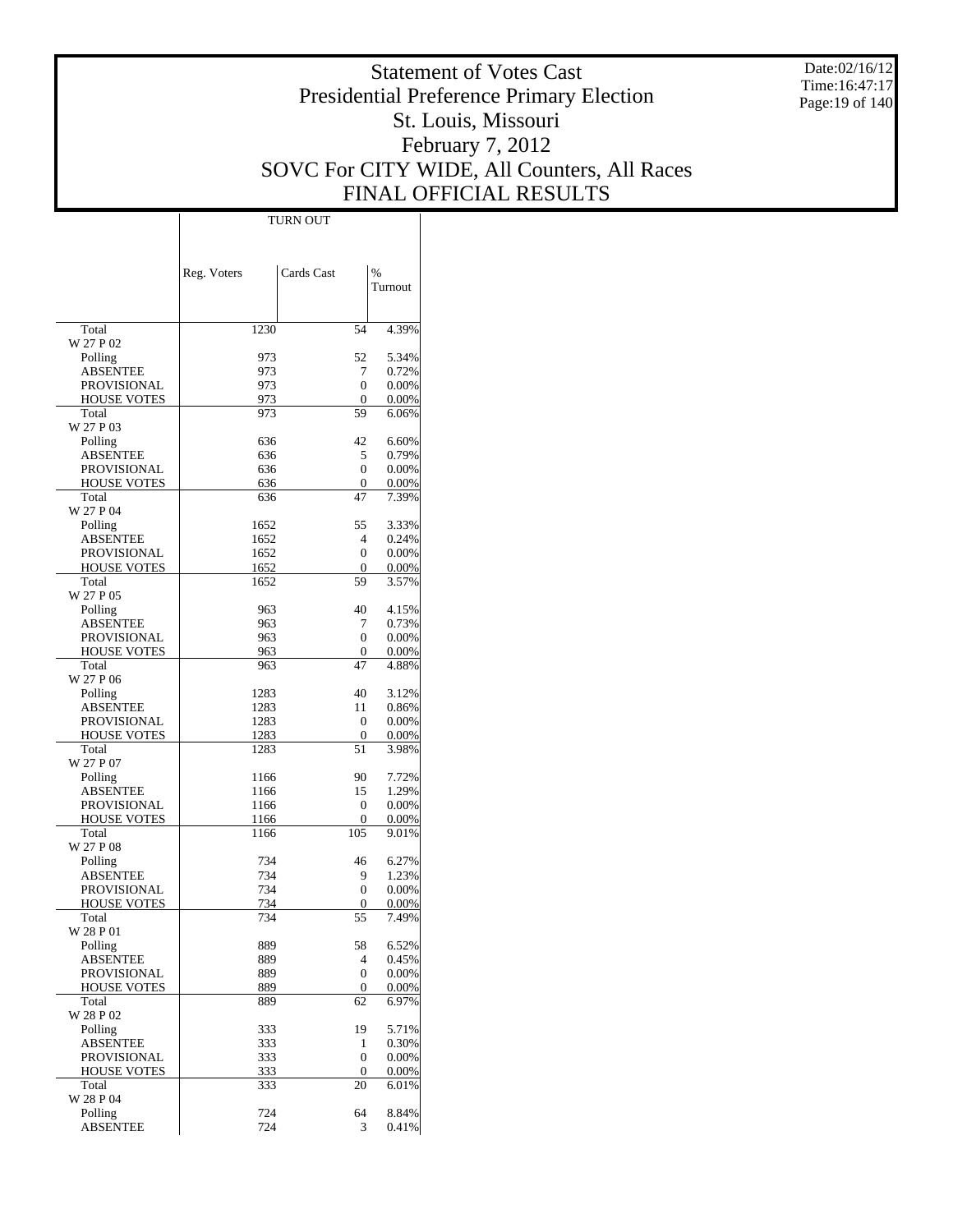Date:02/16/12 Time:16:47:17 Page:19 of 140

# Statement of Votes Cast Presidential Preference Primary Election St. Louis, Missouri February 7, 2012 SOVC For CITY WIDE, All Counters, All Races FINAL OFFICIAL RESULTS

 $\mathbf{I}$ 

|                                | Reg. Voters | Cards Cast        | %              |
|--------------------------------|-------------|-------------------|----------------|
|                                |             |                   | Turnout        |
|                                |             |                   |                |
| Total                          | 1230        | 54                | 4.39%          |
| W 27 P 02                      |             |                   |                |
| Polling                        | 973         | 52                | 5.34%          |
| <b>ABSENTEE</b><br>PROVISIONAL | 973<br>973  | 7<br>0            | 0.72%<br>0.00% |
| <b>HOUSE VOTES</b>             | 973         | 0                 | 0.00%          |
| Total                          | 973         | 59                | 6.06%          |
| W 27 P 03                      |             |                   |                |
| Polling                        | 636         | 42                | 6.60%          |
| <b>ABSENTEE</b>                | 636         | 5                 | 0.79%          |
| PROVISIONAL                    | 636         | 0                 | 0.00%          |
| <b>HOUSE VOTES</b>             | 636         | $\mathbf{0}$      | 0.00%          |
| Total                          | 636         | 47                | 7.39%          |
| W 27 P 04                      |             |                   |                |
| Polling                        | 1652        | 55                | 3.33%          |
| ABSENTEE                       | 1652        | 4                 | 0.24%          |
| PROVISIONAL                    | 1652        | 0                 | 0.00%          |
| <b>HOUSE VOTES</b>             | 1652        | 0                 | 0.00%          |
| Total                          | 1652        | 59                | 3.57%          |
| W 27 P 05                      |             |                   |                |
| Polling                        | 963         | 40                | 4.15%          |
| <b>ABSENTEE</b>                | 963         | 7                 | 0.73%          |
| PROVISIONAL                    | 963         | 0<br>$\mathbf{0}$ | 0.00%          |
| <b>HOUSE VOTES</b><br>Total    | 963<br>963  | 47                | 0.00%<br>4.88% |
| W 27 P 06                      |             |                   |                |
| Polling                        | 1283        | 40                | 3.12%          |
| ABSENTEE                       | 1283        | 11                | 0.86%          |
| PROVISIONAL                    | 1283        | $\mathbf{0}$      | 0.00%          |
| <b>HOUSE VOTES</b>             | 1283        | $\mathbf{0}$      | 0.00%          |
| Total                          | 1283        | 51                | 3.98%          |
| W 27 P 07                      |             |                   |                |
| Polling                        | 1166        | 90                | 7.72%          |
| <b>ABSENTEE</b>                | 1166        | 15                | 1.29%          |
| PROVISIONAL                    | 1166        | 0                 | 0.00%          |
| <b>HOUSE VOTES</b>             | 1166        | 0                 | 0.00%          |
| Total                          | 1166        | 105               | 9.01%          |
| W 27 P 08                      |             |                   |                |
| Polling                        | 734         | 46                | 6.27%          |
| ABSENTEE<br>PROVISIONAL        | 734<br>734  | 9<br>0            | 1.23%<br>0.00% |
| <b>HOUSE VOTES</b>             | 734         | 0                 | 0.00%          |
| Total                          | 734         | 55                | 7.49%          |
| W 28 P 01                      |             |                   |                |
| Polling                        | 889         | 58                | 6.52%          |
| <b>ABSENTEE</b>                | 889         | 4                 | 0.45%          |
| PROVISIONAL                    | 889         | 0                 | 0.00%          |
| <b>HOUSE VOTES</b>             | 889         | $\mathbf{0}$      | 0.00%          |
| Total                          | 889         | 62                | 6.97%          |
| W 28 P 02                      |             |                   |                |
| Polling                        | 333         | 19                | 5.71%          |
| <b>ABSENTEE</b>                | 333         | 1                 | 0.30%          |
| PROVISIONAL                    | 333         | 0                 | 0.00%          |
| <b>HOUSE VOTES</b>             | 333         | 0                 | 0.00%          |
| Total                          | 333         | 20                | 6.01%          |
| W 28 P 04                      |             |                   | 8.84%          |
| Polling<br><b>ABSENTEE</b>     | 724         | 64<br>3           |                |
|                                | 724         |                   | 0.41%          |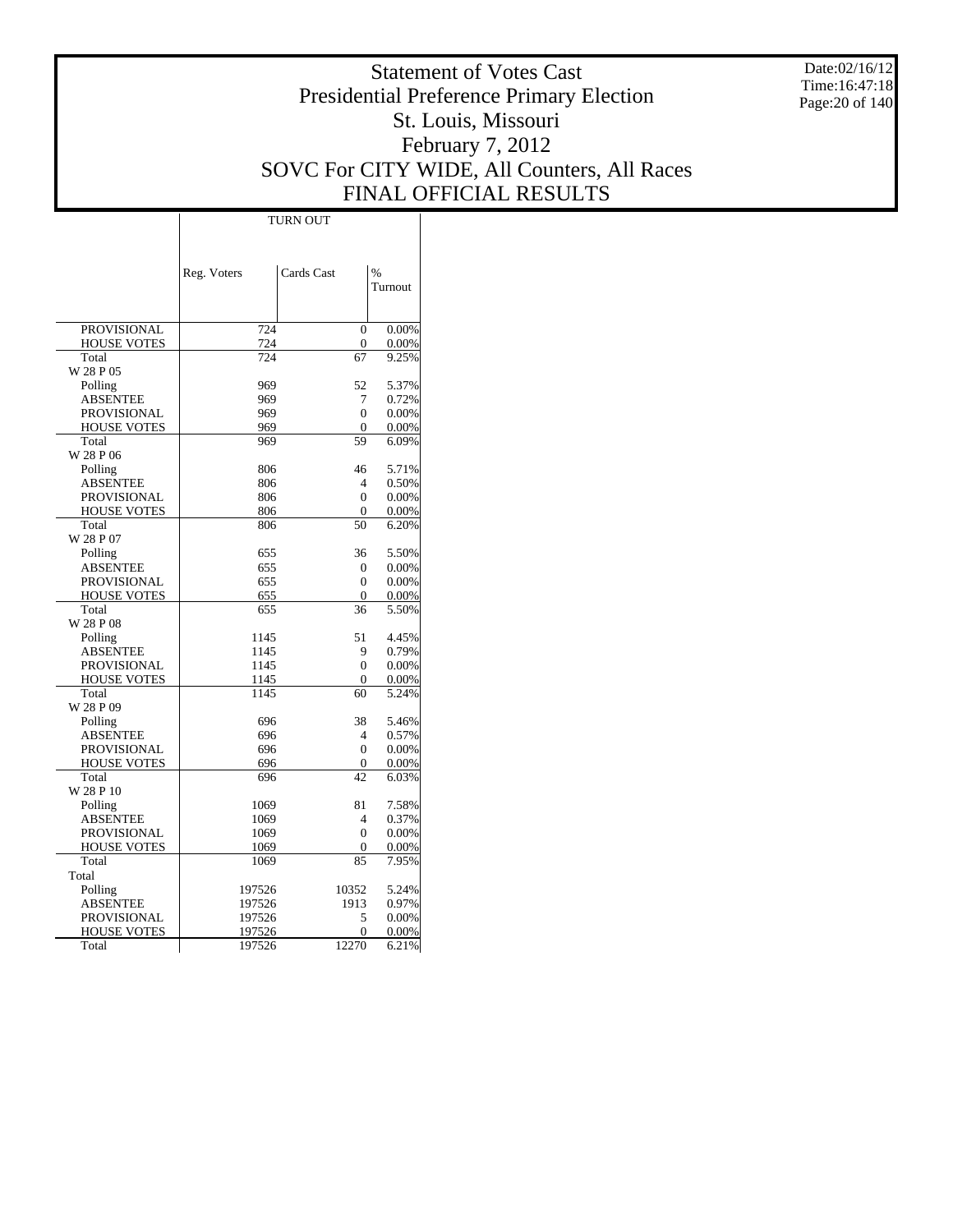Date:02/16/12 Time:16:47:18 Page:20 of 140

# Statement of Votes Cast Presidential Preference Primary Election St. Louis, Missouri February 7, 2012 SOVC For CITY WIDE, All Counters, All Races FINAL OFFICIAL RESULTS

|                    | Reg. Voters | Cards Cast     | $\%$     |
|--------------------|-------------|----------------|----------|
|                    |             |                | Turnout  |
|                    |             |                |          |
| <b>PROVISIONAL</b> | 724         | $\theta$       | 0.00%    |
| <b>HOUSE VOTES</b> | 724         | $\overline{0}$ | 0.00%    |
| Total              | 724         | 67             | 9.25%    |
| W 28 P 05          |             |                |          |
| Polling            | 969         | 52             | 5.37%    |
| <b>ABSENTEE</b>    | 969         | 7              | 0.72%    |
| <b>PROVISIONAL</b> | 969         | $\mathbf{0}$   | 0.00%    |
| <b>HOUSE VOTES</b> | 969         | $\mathbf{0}$   | 0.00%    |
| Total              | 969         | 59             | 6.09%    |
| W 28 P 06          |             |                |          |
| Polling            | 806         | 46             | 5.71%    |
| <b>ABSENTEE</b>    | 806         | $\overline{4}$ | 0.50%    |
| <b>PROVISIONAL</b> | 806         | $\mathbf{0}$   | 0.00%    |
| <b>HOUSE VOTES</b> | 806         | $\Omega$       | 0.00%    |
| Total<br>W 28 P 07 | 806         | 50             | 6.20%    |
| Polling            | 655         | 36             | 5.50%    |
| <b>ABSENTEE</b>    | 655         | $\mathbf{0}$   | 0.00%    |
| <b>PROVISIONAL</b> | 655         | $\theta$       | 0.00%    |
| <b>HOUSE VOTES</b> | 655         | 0              | 0.00%    |
| Total              | 655         | 36             | 5.50%    |
| W 28 P 08          |             |                |          |
| Polling            | 1145        | 51             | 4.45%    |
| <b>ABSENTEE</b>    | 1145        | 9              | 0.79%    |
| <b>PROVISIONAL</b> | 1145        | $\theta$       | 0.00%    |
| <b>HOUSE VOTES</b> | 1145        | $\Omega$       | $0.00\%$ |
| Total              | 1145        | 60             | 5.24%    |
| W 28 P 09          |             |                |          |
| Polling            | 696         | 38             | 5.46%    |
| <b>ABSENTEE</b>    | 696         | 4              | 0.57%    |
| <b>PROVISIONAL</b> | 696         | $\theta$       | 0.00%    |
| <b>HOUSE VOTES</b> | 696         | $\mathbf{0}$   | 0.00%    |
| Total              | 696         | 42             | 6.03%    |
| W 28 P 10          |             |                |          |
| Polling            | 1069        | 81             | 7.58%    |
| <b>ABSENTEE</b>    | 1069        | $\overline{4}$ | 0.37%    |
| <b>PROVISIONAL</b> | 1069        | $\overline{0}$ | 0.00%    |
| <b>HOUSE VOTES</b> | 1069        | $\mathbf{0}$   | 0.00%    |
| Total              | 1069        | 85             | 7.95%    |
| Total              |             |                |          |
| Polling            | 197526      | 10352          | 5.24%    |
| <b>ABSENTEE</b>    | 197526      | 1913           | 0.97%    |
| <b>PROVISIONAL</b> | 197526      | 5              | 0.00%    |
| <b>HOUSE VOTES</b> | 197526      | 0              | $0.00\%$ |
| Total              | 197526      | 12270          | 6.21%    |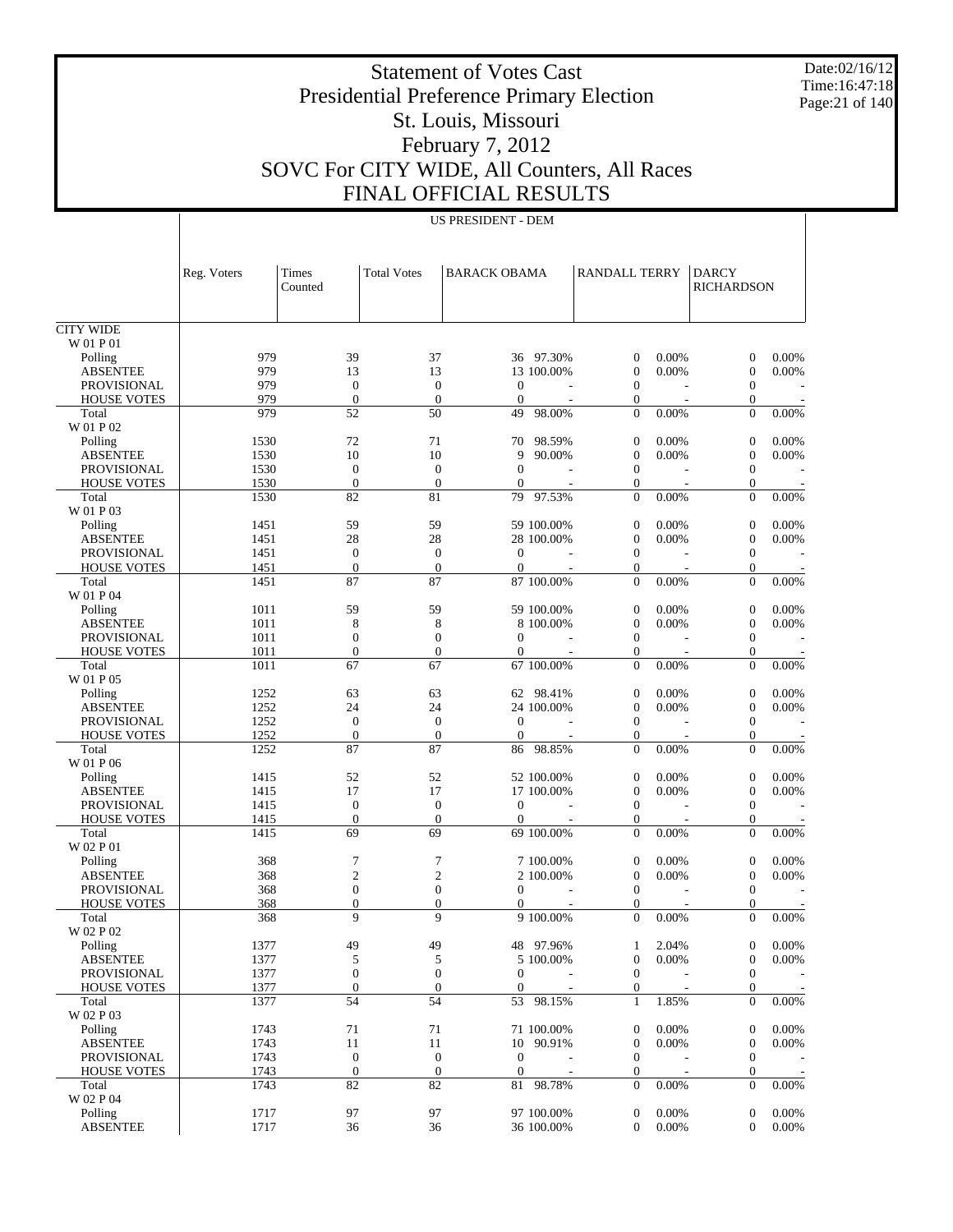Date:02/16/12 Time:16:47:18 Page:21 of 140

## Statement of Votes Cast Presidential Preference Primary Election St. Louis, Missouri February 7, 2012 SOVC For CITY WIDE, All Counters, All Races FINAL OFFICIAL RESULTS

US PRESIDENT - DEM

CITY WIDE W 01 P 01 Polling ABSENTEE PROVISIONAL HOUSE VOTES Total W 01 P 02 Polling ABSENTEE PROVISIONAL HOUSE VOTES Total W 01 P 03 Polling ABSENTEE PROVISIONAL HOUSE VOTES Total W 01 P 04 Polling ABSENTEE PROVISIONAL HOUSE VOTES Total W 01 P 05 Polling ABSENTEE PROVISIONAL HOUSE VOTES Total W 01 P 06 Polling ABSENTEE PROVISIONAL HOUSE VOTES Total W 02 P 01 Polling ABSENTEE PROVISIONAL HOUSE VOTES Total W 02 P 02 Polling ABSENTEE PROVISIONAL HOUSE VOTES Total W 02 P 03 Polling ABSENTEE PROVISIONAL HOUSE VOTES Total W 02 P 04 Polling ABSENTEE Reg. Voters Times Counted Total Votes | BARACK OBAMA | RANDALL TERRY | DARCY RICHARDSON 979 39 37 36 97.30% 0 0.00% 0 0.00%<br>979 13 13 13 100.00% 0 0.00% 0 0.00% 979 13 13 13 13 100.00% 0 0.00% 0 0.00% 979 0 0 0 - 0 - 0 -979 0 0 0 - 0 - 0 -979 52 50 49 98.00% 0 0.00% 0 0.00% 1530 72 71 70 98.59% 0 0.00% 0 0.00% 1530 10 10 9 90.00% 0 0.00% 0 0.00% 1530 0 0 0 - 0 - 0 -1530 0 0 0 - 0 - 0 -1530 82 81 79 97.53% 0 0.00% 0 0.00% 1451 59 59 59 100.00% 0 0.00% 0 0.00% 1451 28 28 28 100.00% 0 0.00% 0 0.00% 1451 0 0 0 - 0 - 0 -1451 0 0 0 - 0 - 0 - 0 1451 87 87 87 100.00% 0 0.00% 0 0.00% 1011 59 59 59 100.00% 0 0.00% 0 0.00% 1011 8 8 8 100.00% 0 0.00% 0 0.00% 1011 0 0 0 0 - 0 - 0 -1011 0 0 0 0 - 0 - 0 -1011 67 67 67 100.00% 0 0.00% 0 0.00%  $1252$  63 63 62 98.41% 0 0.00% 0 0.00%<br>  $1252$  24 24 24 00.00% 0 0.00% 0 0.00% 1252 24 24 24 100.00% 0 0.00% 0 0.00% 1252 0 0 0 - 0 - 0 - $1252$  0 0 0 0 0 0 0 0 0 1252 87 87 86 98.85% 0 0.00% 0 0.00% 1415 52 52 52 100.00% 0 0.00% 0 0.00%  $\begin{array}{ccccccccccc} 1415 &&&& 17 &&&& 17 & 100.00\% && 0 & 0.00\% && 0 & 0.00\% \\ 1415 && 0 && 0 && 0 && - && 0 & & - && 0 & & - && 0 & & - \end{array}$ 1415 0 0 0 - 0 - 0 -1415 0 0 0 - 0 - 0 - 0 1415 69 69 69 100.00% 0 0.00% 0 0.00% 368 7 7 7 100.00% 0 0.00% 0 0.00% 368 2 2 2 100.00% 0 0.00% 0 0.00% 368 0 0 0 - 0 - 0 - $368$  0 0 0 - 0 - 0 -368 9 9 9 100.00% 0 0.00% 0 0.00% 1377 49 49 48 97.96% 1 2.04% 0 0.00%  $\begin{array}{ccccccccccc} 1377 &&& 5 &&& 5 && 5 && 100.00\% && 0 && 0.00\% && 0 && 0.00\% \end{array}$ 1377 0 0 0 0 - 0 - 0 -1377 0 0 0 0 - 0 - 0 -1377 54 54 53 98.15% 1 1.85% 0 0.00%  $\begin{array}{ccccccccccc} 1743 &&&& 71 &&&& 71 && 71 & 100.00\% && 0 && 0.00\% && && 0 && 0.00\% \\ 1743 && && 11 && && 11 && && 10 && 90.91\% && && 0 && 0.00\% && && 0 && 0.00\% \end{array}$ 1743 11 11 10 90.91% 1743 0 0 0 1743 0 0 0 - 0 - 0 -1743 0 0 0 0 - 0 - 0 -1743 82 82 81 98.78% 0 0.00% 0 0.00%  $\begin{array}{ccccccccccc} 1717 & & & 97 & & & 97 & & 100.00\% & & & 0 & 0.00\% & & & 0 & 0.00\% \\ 1717 & & & 36 & & & 36 & & & 36 & 100.00\% & & & 0 & 0.00\% & & & & 0 & 0.00\% \end{array}$ 1717 36 36 36 100.00% 0 0.00% 0 0.00%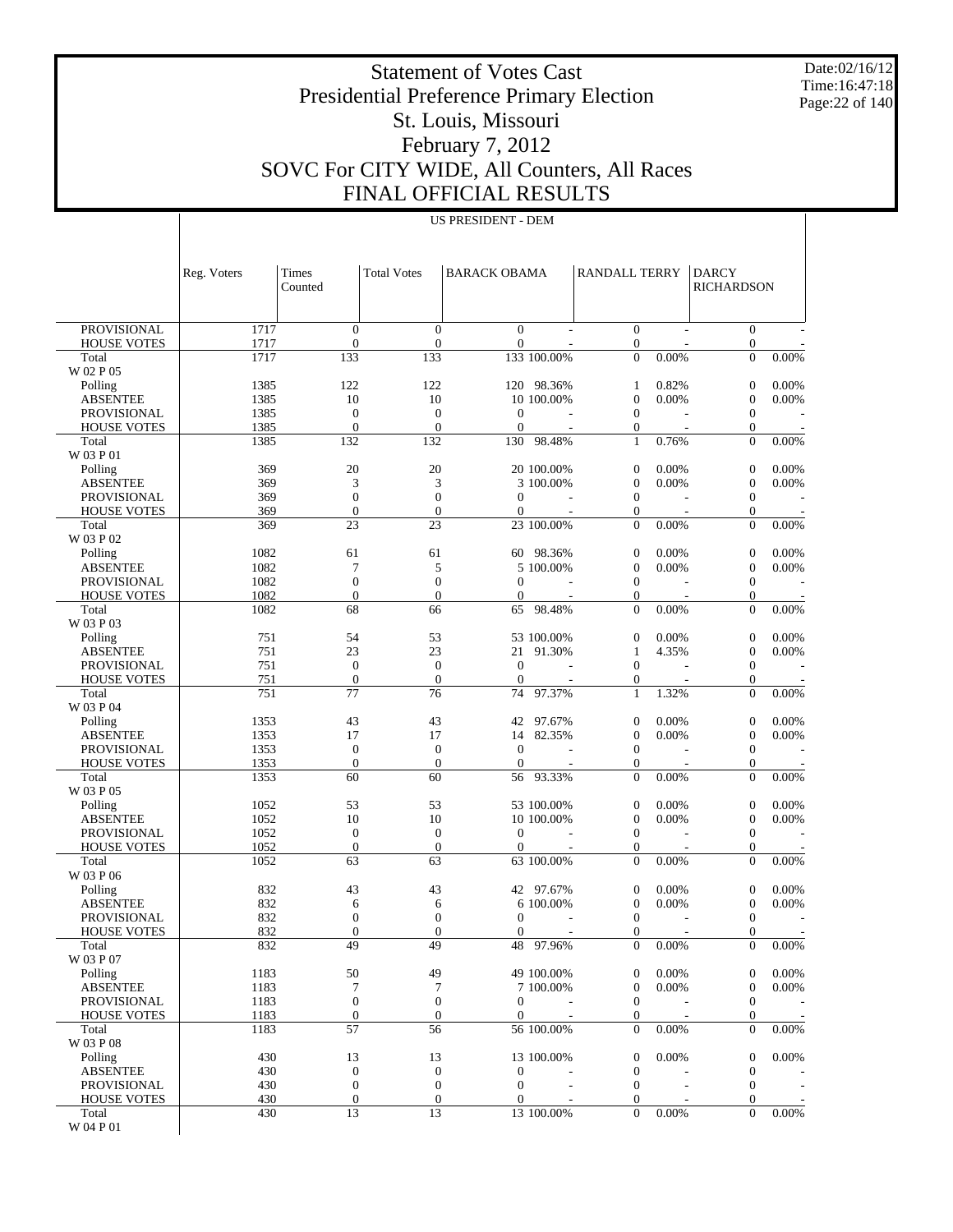Date:02/16/12 Time:16:47:18 Page:22 of 140

 $\overline{1}$ 

# Statement of Votes Cast Presidential Preference Primary Election St. Louis, Missouri February 7, 2012 SOVC For CITY WIDE, All Counters, All Races FINAL OFFICIAL RESULTS

US PRESIDENT - DEM

|                                          | Reg. Voters  | Times<br>Counted                     | <b>Total Votes</b>               | <b>BARACK OBAMA</b>            |                          | <b>RANDALL TERRY</b>               |                | <b>DARCY</b><br><b>RICHARDSON</b>    |                |
|------------------------------------------|--------------|--------------------------------------|----------------------------------|--------------------------------|--------------------------|------------------------------------|----------------|--------------------------------------|----------------|
| <b>PROVISIONAL</b>                       |              | $\boldsymbol{0}$                     | $\overline{0}$                   | $\mathbf{0}$                   |                          | $\overline{0}$                     |                | $\boldsymbol{0}$                     |                |
| <b>HOUSE VOTES</b>                       | 1717<br>1717 | $\boldsymbol{0}$                     | $\mathbf{0}$                     | $\mathbf{0}$                   | $\sim$                   | $\mathbf{0}$                       |                | $\boldsymbol{0}$                     |                |
| Total                                    | 1717         | 133                                  | 133                              |                                | 133 100.00%              | $\theta$                           | 0.00%          | $\overline{0}$                       | 0.00%          |
| W 02 P 05                                |              |                                      |                                  |                                |                          |                                    |                |                                      |                |
| Polling<br><b>ABSENTEE</b>               | 1385<br>1385 | 122<br>10                            | 122<br>10                        |                                | 120 98.36%<br>10 100.00% | 1<br>$\boldsymbol{0}$              | 0.82%<br>0.00% | $\boldsymbol{0}$<br>$\boldsymbol{0}$ | 0.00%<br>0.00% |
| <b>PROVISIONAL</b>                       | 1385         | $\boldsymbol{0}$                     | $\boldsymbol{0}$                 | $\boldsymbol{0}$               |                          | $\overline{0}$                     |                | $\boldsymbol{0}$                     |                |
| <b>HOUSE VOTES</b>                       | 1385         | $\boldsymbol{0}$                     | $\overline{0}$                   | $\mathbf{0}$                   |                          | 0                                  |                | $\boldsymbol{0}$                     |                |
| Total                                    | 1385         | 132                                  | 132                              | 130                            | 98.48%                   | $\mathbf{1}$                       | 0.76%          | $\overline{0}$                       | 0.00%          |
| W 03 P 01                                |              |                                      |                                  |                                |                          |                                    |                |                                      |                |
| Polling                                  | 369          | 20                                   | 20                               |                                | 20 100.00%               | 0                                  | 0.00%          | $\mathbf{0}$                         | 0.00%          |
| <b>ABSENTEE</b><br><b>PROVISIONAL</b>    | 369<br>369   | 3<br>$\boldsymbol{0}$                | 3<br>$\mathbf{0}$                | $\mathbf{0}$                   | 3 100.00%                | $\boldsymbol{0}$<br>$\overline{0}$ | 0.00%          | $\boldsymbol{0}$<br>$\boldsymbol{0}$ | 0.00%          |
| <b>HOUSE VOTES</b>                       | 369          | $\boldsymbol{0}$                     | $\mathbf{0}$                     | $\overline{0}$                 |                          | 0                                  |                | $\boldsymbol{0}$                     |                |
| Total                                    | 369          | 23                                   | 23                               |                                | 23 100.00%               | $\theta$                           | 0.00%          | $\overline{0}$                       | 0.00%          |
| W 03 P 02                                |              |                                      |                                  |                                |                          |                                    |                |                                      |                |
| Polling                                  | 1082         | 61                                   | 61                               |                                | 60 98.36%                | 0                                  | 0.00%          | $\boldsymbol{0}$                     | 0.00%          |
| <b>ABSENTEE</b>                          | 1082         | 7                                    | 5                                |                                | 5 100.00%                | $\boldsymbol{0}$                   | 0.00%          | $\boldsymbol{0}$                     | 0.00%          |
| <b>PROVISIONAL</b><br><b>HOUSE VOTES</b> | 1082<br>1082 | $\boldsymbol{0}$<br>$\boldsymbol{0}$ | $\boldsymbol{0}$<br>$\mathbf{0}$ | $\mathbf{0}$<br>$\overline{0}$ |                          | $\overline{0}$<br>0                |                | $\boldsymbol{0}$<br>$\boldsymbol{0}$ |                |
| Total                                    | 1082         | 68                                   | 66                               |                                | 65 98.48%                | $\overline{0}$                     | 0.00%          | $\overline{0}$                       | 0.00%          |
| W 03 P 03                                |              |                                      |                                  |                                |                          |                                    |                |                                      |                |
| Polling                                  | 751          | 54                                   | 53                               |                                | 53 100.00%               | 0                                  | 0.00%          | $\mathbf{0}$                         | 0.00%          |
| <b>ABSENTEE</b>                          | 751          | 23                                   | 23                               | 21                             | 91.30%                   | 1                                  | 4.35%          | $\boldsymbol{0}$                     | 0.00%          |
| <b>PROVISIONAL</b>                       | 751          | $\boldsymbol{0}$                     | $\mathbf{0}$<br>$\overline{0}$   | $\mathbf{0}$                   |                          | $\overline{0}$                     |                | $\boldsymbol{0}$                     |                |
| <b>HOUSE VOTES</b><br>Total              | 751<br>751   | $\boldsymbol{0}$<br>77               | 76                               | $\overline{0}$                 | 74 97.37%                | 0<br>$\mathbf{1}$                  | 1.32%          | $\boldsymbol{0}$<br>$\overline{0}$   | 0.00%          |
| W 03 P 04                                |              |                                      |                                  |                                |                          |                                    |                |                                      |                |
| Polling                                  | 1353         | 43                                   | 43                               |                                | 42 97.67%                | 0                                  | 0.00%          | $\boldsymbol{0}$                     | 0.00%          |
| <b>ABSENTEE</b>                          | 1353         | 17                                   | 17                               |                                | 14 82.35%                | $\boldsymbol{0}$                   | 0.00%          | $\boldsymbol{0}$                     | 0.00%          |
| PROVISIONAL                              | 1353         | $\boldsymbol{0}$                     | $\mathbf{0}$                     | $\mathbf{0}$                   |                          | $\mathbf{0}$                       |                | $\boldsymbol{0}$                     |                |
| <b>HOUSE VOTES</b><br>Total              | 1353<br>1353 | $\boldsymbol{0}$<br>60               | $\mathbf{0}$<br>60               | $\overline{0}$<br>56           | 93.33%                   | $\mathbf{0}$<br>$\overline{0}$     | 0.00%          | $\boldsymbol{0}$<br>$\overline{0}$   | 0.00%          |
| W 03 P 05                                |              |                                      |                                  |                                |                          |                                    |                |                                      |                |
| Polling                                  | 1052         | 53                                   | 53                               |                                | 53 100.00%               | 0                                  | 0.00%          | $\mathbf{0}$                         | 0.00%          |
| <b>ABSENTEE</b>                          | 1052         | 10                                   | 10                               |                                | 10 100.00%               | $\boldsymbol{0}$                   | 0.00%          | $\mathbf{0}$                         | 0.00%          |
| PROVISIONAL                              | 1052         | $\boldsymbol{0}$                     | $\mathbf{0}$                     | $\mathbf{0}$                   |                          | $\overline{0}$                     |                | $\boldsymbol{0}$                     |                |
| <b>HOUSE VOTES</b>                       | 1052         | $\boldsymbol{0}$<br>63               | $\mathbf{0}$                     | $\overline{0}$                 | 63 100.00%               | $\overline{0}$<br>$\theta$         |                | $\boldsymbol{0}$<br>$\overline{0}$   | 0.00%          |
| Total<br>W 03 P 06                       | 1052         |                                      | 63                               |                                |                          |                                    | 0.00%          |                                      |                |
| Polling                                  | 832          | 43                                   | 43                               |                                | 42 97.67%                | 0                                  | 0.00%          | $\boldsymbol{0}$                     | 0.00%          |
| <b>ABSENTEE</b>                          | 832          | 6                                    | 6                                |                                | 6 100.00%                | $\boldsymbol{0}$                   | 0.00%          | $\boldsymbol{0}$                     | 0.00%          |
| <b>PROVISIONAL</b>                       | 832          | $\boldsymbol{0}$                     | $\overline{0}$                   | $\boldsymbol{0}$               | $\overline{\phantom{a}}$ | $\boldsymbol{0}$                   | ÷,             | $\boldsymbol{0}$                     |                |
| <b>HOUSE VOTES</b>                       | 832          | $\boldsymbol{0}$                     | $\boldsymbol{0}$                 | $\overline{0}$                 |                          | $\mathbf{0}$                       |                | $\boldsymbol{0}$                     |                |
| Total<br>W 03 P 07                       | 832          | 49                                   | 49                               |                                | 48 97.96%                | $\overline{0}$                     | 0.00%          | $\mathbf{0}$                         | 0.00%          |
| Polling                                  | 1183         | 50                                   | 49                               |                                | 49 100.00%               | 0                                  | 0.00%          | $\mathbf{0}$                         | 0.00%          |
| <b>ABSENTEE</b>                          | 1183         | $\tau$                               | 7                                |                                | 7 100.00%                | $\boldsymbol{0}$                   | 0.00%          | $\boldsymbol{0}$                     | 0.00%          |
| PROVISIONAL                              | 1183         | $\boldsymbol{0}$                     | $\boldsymbol{0}$                 | $\overline{0}$                 |                          | 0                                  |                | $\boldsymbol{0}$                     |                |
| <b>HOUSE VOTES</b>                       | 1183         | $\boldsymbol{0}$                     | $\boldsymbol{0}$                 | $\overline{0}$                 |                          | $\overline{0}$                     |                | $\boldsymbol{0}$                     |                |
| Total                                    | 1183         | 57                                   | 56                               |                                | 56 100.00%               | $\mathbf{0}$                       | 0.00%          | $\mathbf{0}$                         | 0.00%          |
| W 03 P 08<br>Polling                     | 430          | 13                                   | 13                               |                                | 13 100.00%               | 0                                  | 0.00%          | $\boldsymbol{0}$                     | 0.00%          |
| <b>ABSENTEE</b>                          | 430          | $\boldsymbol{0}$                     | $\boldsymbol{0}$                 | $\boldsymbol{0}$               |                          | $\boldsymbol{0}$                   |                | $\boldsymbol{0}$                     |                |
| PROVISIONAL                              | 430          | $\boldsymbol{0}$                     | $\boldsymbol{0}$                 | $\boldsymbol{0}$               |                          | $\boldsymbol{0}$                   |                | $\boldsymbol{0}$                     |                |
| <b>HOUSE VOTES</b>                       | 430          | $\boldsymbol{0}$                     | $\mathbf{0}$                     | $\overline{0}$                 |                          | $\overline{0}$                     |                | $\boldsymbol{0}$                     |                |
| Total                                    | 430          | 13                                   | 13                               |                                | 13 100.00%               | $\overline{0}$                     | 0.00%          | $\overline{0}$                       | 0.00%          |
| W 04 P 01                                |              |                                      |                                  |                                |                          |                                    |                |                                      |                |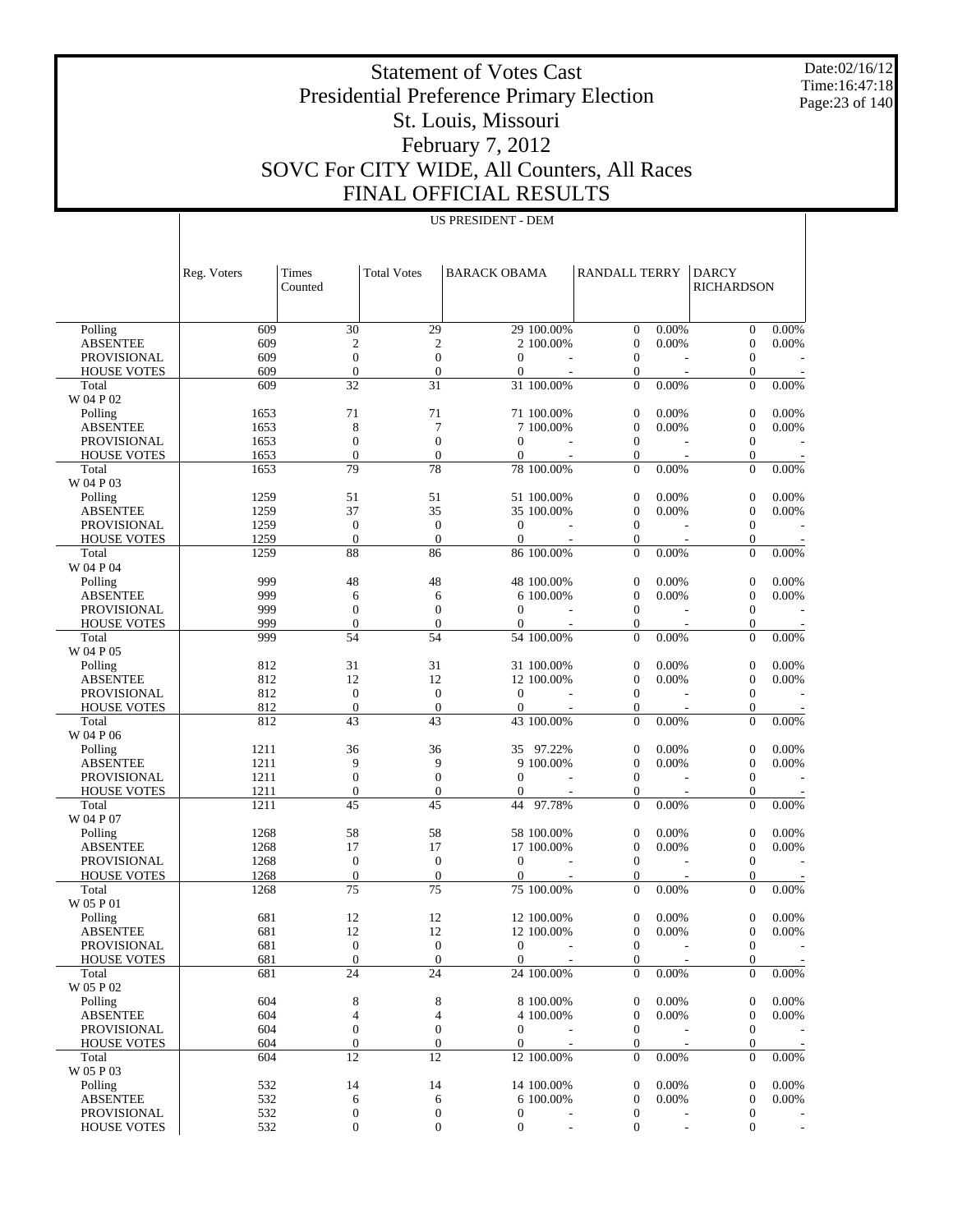Date:02/16/12 Time:16:47:18 Page:23 of 140

# Statement of Votes Cast Presidential Preference Primary Election St. Louis, Missouri February 7, 2012 SOVC For CITY WIDE, All Counters, All Races FINAL OFFICIAL RESULTS

|                                       | Reg. Voters  | Times<br>Counted                 | <b>Total Votes</b>                   | <b>BARACK OBAMA</b>              |                          | <b>RANDALL TERRY</b>                 |                          | <b>DARCY</b><br><b>RICHARDSON</b>    |                          |
|---------------------------------------|--------------|----------------------------------|--------------------------------------|----------------------------------|--------------------------|--------------------------------------|--------------------------|--------------------------------------|--------------------------|
|                                       |              |                                  |                                      |                                  |                          |                                      |                          |                                      |                          |
|                                       |              |                                  |                                      |                                  |                          |                                      |                          |                                      |                          |
| Polling                               | 609          | 30                               | 29                                   | 29 100.00%                       |                          | $\mathbf{0}$                         | 0.00%                    | $\boldsymbol{0}$                     | 0.00%                    |
| <b>ABSENTEE</b>                       | 609          | $\mathfrak{2}$                   | $\overline{c}$                       | 2 100.00%                        |                          | $\boldsymbol{0}$                     | 0.00%                    | $\boldsymbol{0}$                     | 0.00%                    |
| <b>PROVISIONAL</b>                    | 609          | $\boldsymbol{0}$                 | $\mathbf{0}$                         | $\mathbf{0}$                     |                          | $\mathbf{0}$                         |                          | $\boldsymbol{0}$                     |                          |
| <b>HOUSE VOTES</b>                    | 609          | $\boldsymbol{0}$                 | $\boldsymbol{0}$                     | $\mathbf{0}$                     |                          | $\boldsymbol{0}$                     | $\overline{\phantom{a}}$ | $\boldsymbol{0}$                     |                          |
| Total                                 | 609          | 32                               | 31                                   | 31 100.00%                       |                          | $\overline{0}$                       | 0.00%                    | $\overline{0}$                       | 0.00%                    |
| W 04 P 02                             |              |                                  |                                      |                                  |                          |                                      |                          |                                      |                          |
| Polling                               | 1653         | 71                               | 71                                   | 71 100.00%                       |                          | $\boldsymbol{0}$                     | 0.00%                    | $\boldsymbol{0}$                     | 0.00%                    |
| <b>ABSENTEE</b><br>PROVISIONAL        | 1653<br>1653 | $\,$ 8 $\,$<br>$\boldsymbol{0}$  | 7<br>$\mathbf{0}$                    | 7 100.00%<br>$\mathbf{0}$        |                          | $\boldsymbol{0}$<br>$\boldsymbol{0}$ | 0.00%                    | $\boldsymbol{0}$<br>$\boldsymbol{0}$ | 0.00%                    |
| <b>HOUSE VOTES</b>                    | 1653         | $\overline{0}$                   | $\boldsymbol{0}$                     | $\overline{0}$                   |                          | $\boldsymbol{0}$                     |                          | $\mathbf{0}$                         |                          |
| Total                                 | 1653         | 79                               | 78                                   | 78 100,00%                       |                          | $\mathbf{0}$                         | 0.00%                    | $\overline{0}$                       | 0.00%                    |
| W 04 P 03                             |              |                                  |                                      |                                  |                          |                                      |                          |                                      |                          |
| Polling                               | 1259         | 51                               | 51                                   | 51 100.00%                       |                          | $\boldsymbol{0}$                     | 0.00%                    | $\boldsymbol{0}$                     | 0.00%                    |
| <b>ABSENTEE</b>                       | 1259         | 37                               | 35                                   | 35 100.00%                       |                          | $\boldsymbol{0}$                     | 0.00%                    | $\boldsymbol{0}$                     | 0.00%                    |
| <b>PROVISIONAL</b>                    | 1259         | $\boldsymbol{0}$                 | $\mathbf{0}$                         | $\mathbf{0}$                     |                          | $\mathbf{0}$                         |                          | $\boldsymbol{0}$                     |                          |
| <b>HOUSE VOTES</b>                    | 1259         | $\overline{0}$                   | $\boldsymbol{0}$                     | $\mathbf{0}$                     |                          | $\boldsymbol{0}$                     |                          | $\boldsymbol{0}$                     |                          |
| Total                                 | 1259         | 88                               | 86                                   | 86 100.00%                       |                          | $\overline{0}$                       | 0.00%                    | $\overline{0}$                       | 0.00%                    |
| W 04 P 04                             |              |                                  |                                      |                                  |                          |                                      |                          |                                      |                          |
| Polling                               | 999          | 48                               | 48                                   | 48 100.00%                       |                          | $\boldsymbol{0}$                     | 0.00%                    | $\boldsymbol{0}$                     | 0.00%                    |
| <b>ABSENTEE</b>                       | 999          | 6                                | 6                                    | 6 100.00%                        |                          | $\boldsymbol{0}$                     | 0.00%                    | $\boldsymbol{0}$                     | 0.00%                    |
| PROVISIONAL                           | 999          | $\boldsymbol{0}$                 | $\mathbf{0}$                         | $\theta$                         |                          | $\boldsymbol{0}$                     |                          | $\boldsymbol{0}$                     |                          |
| <b>HOUSE VOTES</b>                    | 999          | $\mathbf{0}$                     | $\boldsymbol{0}$                     | $\overline{0}$                   |                          | $\boldsymbol{0}$                     |                          | $\boldsymbol{0}$                     |                          |
| Total                                 | 999          | 54                               | 54                                   | 54 100.00%                       |                          | $\mathbf{0}$                         | 0.00%                    | $\overline{0}$                       | 0.00%                    |
| W 04 P 05                             |              |                                  |                                      |                                  |                          |                                      |                          |                                      |                          |
| Polling                               | 812          | 31                               | 31                                   | 31 100.00%                       |                          | $\boldsymbol{0}$                     | 0.00%                    | $\boldsymbol{0}$                     | 0.00%                    |
| <b>ABSENTEE</b>                       | 812          | 12                               | 12                                   | 12 100.00%                       |                          | $\boldsymbol{0}$                     | 0.00%                    | $\boldsymbol{0}$                     | 0.00%                    |
| <b>PROVISIONAL</b>                    | 812          | $\boldsymbol{0}$                 | $\mathbf{0}$                         | $\mathbf{0}$                     |                          | $\mathbf{0}$                         |                          | $\boldsymbol{0}$                     |                          |
| <b>HOUSE VOTES</b>                    | 812          | $\boldsymbol{0}$                 | $\boldsymbol{0}$                     | $\mathbf{0}$                     | $\overline{\phantom{a}}$ | $\boldsymbol{0}$                     | ÷.                       | $\boldsymbol{0}$                     |                          |
| Total                                 | 812          | 43                               | 43                                   | 43 100.00%                       |                          | $\overline{0}$                       | 0.00%                    | $\overline{0}$                       | 0.00%                    |
| W 04 P 06                             |              |                                  |                                      |                                  |                          |                                      |                          |                                      |                          |
| Polling                               | 1211         | 36                               | 36                                   | 35 97.22%                        |                          | $\boldsymbol{0}$                     | 0.00%                    | $\boldsymbol{0}$                     | 0.00%                    |
| <b>ABSENTEE</b>                       | 1211         | 9                                | 9                                    | 9 100.00%                        |                          | $\boldsymbol{0}$                     | 0.00%                    | $\boldsymbol{0}$                     | 0.00%                    |
| PROVISIONAL                           | 1211<br>1211 | $\boldsymbol{0}$<br>$\mathbf{0}$ | $\boldsymbol{0}$<br>$\boldsymbol{0}$ | $\mathbf{0}$                     |                          | $\boldsymbol{0}$<br>$\boldsymbol{0}$ |                          | $\mathbf{0}$                         |                          |
| <b>HOUSE VOTES</b><br>Total           | 1211         | 45                               | 45                                   | $\theta$<br>44                   | 97.78%                   | $\mathbf{0}$                         | 0.00%                    | $\boldsymbol{0}$<br>$\overline{0}$   | 0.00%                    |
| W 04 P 07                             |              |                                  |                                      |                                  |                          |                                      |                          |                                      |                          |
| Polling                               | 1268         | 58                               | 58                                   | 58 100.00%                       |                          | $\boldsymbol{0}$                     | 0.00%                    | $\boldsymbol{0}$                     | 0.00%                    |
| <b>ABSENTEE</b>                       | 1268         | 17                               | 17                                   | 17 100.00%                       |                          | $\boldsymbol{0}$                     | 0.00%                    | $\boldsymbol{0}$                     | 0.00%                    |
| <b>PROVISIONAL</b>                    | 1268         | $\boldsymbol{0}$                 | $\mathbf{0}$                         | $\overline{0}$                   |                          | $\mathbf{0}$                         |                          | $\mathbf{0}$                         |                          |
| <b>HOUSE VOTES</b>                    | 1268         | $\boldsymbol{0}$                 | $\boldsymbol{0}$                     | $\mathbf{0}$                     |                          | $\boldsymbol{0}$                     | $\overline{\phantom{a}}$ | $\mathbf{0}$                         |                          |
| Total                                 | 1268         | 75                               | 75                                   | 75 100.00%                       |                          | $\mathbf{0}$                         | 0.00%                    | $\Omega$                             | 0.00%                    |
| W 05 P 01                             |              |                                  |                                      |                                  |                          |                                      |                          |                                      |                          |
| Polling                               | 681          | 12                               | 12                                   | 12 100.00%                       |                          | $\mathbf{0}$                         | 0.00%                    | $\overline{0}$                       | 0.00%                    |
| <b>ABSENTEE</b>                       | 681          | 12                               | 12                                   | 12 100.00%                       |                          | $\boldsymbol{0}$                     | 0.00%                    | $\boldsymbol{0}$                     | 0.00%                    |
| PROVISIONAL                           | 681          | $\boldsymbol{0}$                 | $\mathbf{0}$                         | $\Omega$                         |                          | $\mathbf{0}$                         |                          | $\mathbf{0}$                         |                          |
| <b>HOUSE VOTES</b>                    | 681          | $\boldsymbol{0}$                 | $\boldsymbol{0}$                     | $\overline{0}$                   |                          | $\boldsymbol{0}$                     |                          | $\boldsymbol{0}$                     | $\overline{\phantom{a}}$ |
| Total                                 | 681          | 24                               | $\overline{24}$                      | 24 100.00%                       |                          | $\Omega$                             | 0.00%                    | $\Omega$                             | $0.00\%$                 |
| W 05 P 02                             |              |                                  |                                      |                                  |                          |                                      |                          |                                      |                          |
| Polling                               | 604          | 8                                | 8                                    | 8 100.00%                        |                          | $\boldsymbol{0}$                     | 0.00%                    | 0                                    | $0.00\%$                 |
| <b>ABSENTEE</b>                       | 604          | 4                                | $\overline{4}$                       | 4 100.00%                        |                          | $\mathbf{0}$                         | 0.00%                    | $\mathbf{0}$                         | 0.00%                    |
| PROVISIONAL                           | 604          | $\boldsymbol{0}$                 | $\boldsymbol{0}$                     | $\overline{0}$                   | ÷                        | $\mathbf{0}$                         | ÷.                       | $\mathbf{0}$                         |                          |
| <b>HOUSE VOTES</b>                    | 604          | $\boldsymbol{0}$                 | $\mathbf{0}$                         | $\overline{0}$                   |                          | $\mathbf{0}$                         |                          | $\mathbf{0}$                         |                          |
| Total                                 | 604          | 12                               | 12                                   | 12 100.00%                       |                          | $\mathbf{0}$                         | 0.00%                    | $\mathbf{0}$                         | 0.00%                    |
| W 05 P 03                             |              |                                  |                                      |                                  |                          |                                      |                          |                                      |                          |
| Polling                               | 532          | 14                               | 14                                   | 14 100.00%                       |                          | $\boldsymbol{0}$                     | 0.00%                    | $\mathbf{0}$                         | $0.00\%$                 |
| <b>ABSENTEE</b><br><b>PROVISIONAL</b> | 532<br>532   | 6                                | 6<br>$\boldsymbol{0}$                | 6 100.00%                        |                          | $\boldsymbol{0}$                     | 0.00%                    | $\mathbf{0}$<br>$\mathbf{0}$         | 0.00%                    |
| <b>HOUSE VOTES</b>                    | 532          | 0<br>$\boldsymbol{0}$            | $\boldsymbol{0}$                     | $\boldsymbol{0}$<br>$\mathbf{0}$ |                          | $\boldsymbol{0}$<br>$\mathbf{0}$     |                          | $\overline{0}$                       | $\overline{\phantom{a}}$ |
|                                       |              |                                  |                                      |                                  |                          |                                      |                          |                                      |                          |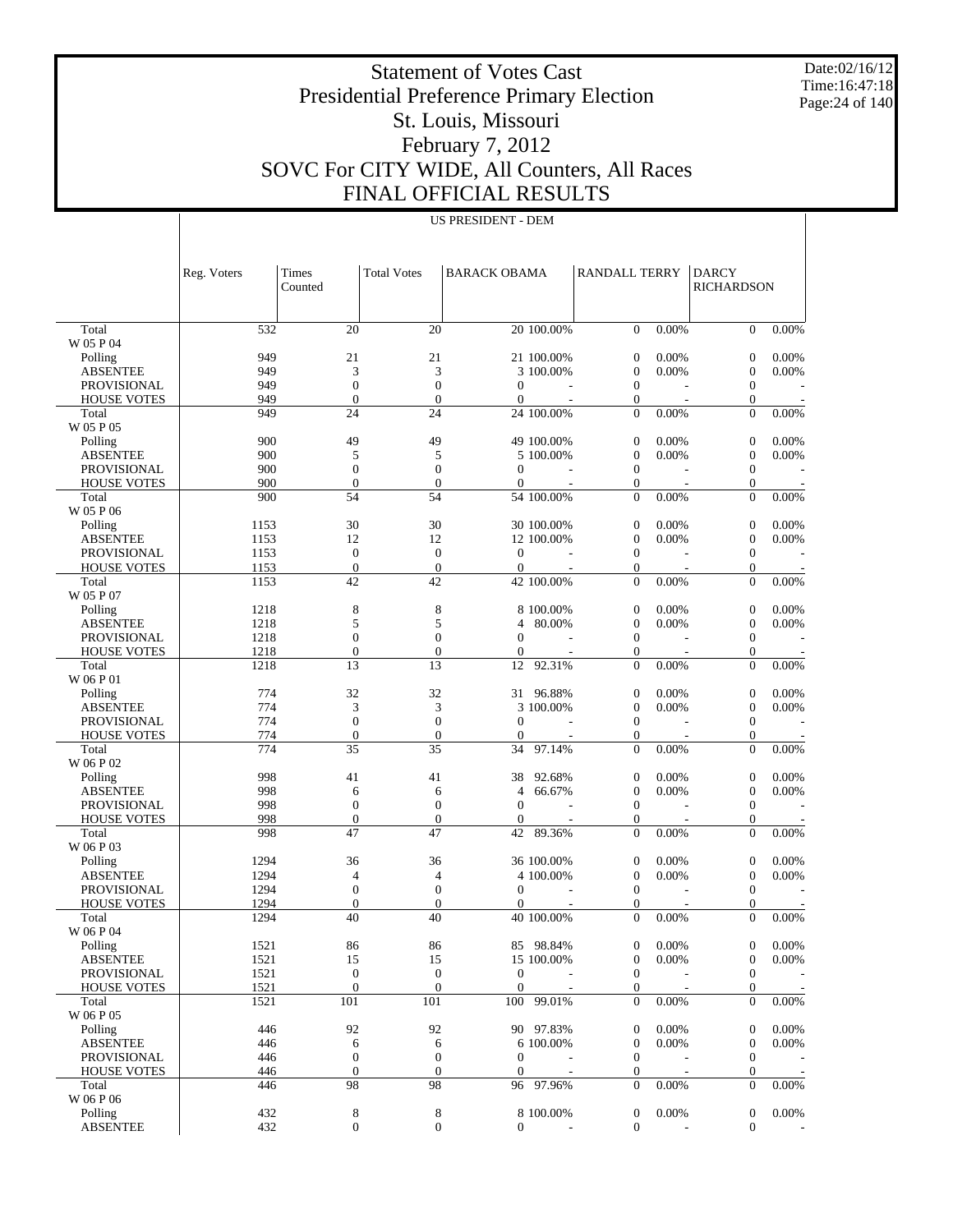Date:02/16/12 Time:16:47:18 Page:24 of 140

 $\overline{1}$ 

# Statement of Votes Cast Presidential Preference Primary Election St. Louis, Missouri February 7, 2012 SOVC For CITY WIDE, All Counters, All Races FINAL OFFICIAL RESULTS

US PRESIDENT - DEM

|                                          | Reg. Voters  | Times<br>Counted                 | <b>Total Votes</b>           | <b>BARACK OBAMA</b>          |                         | <b>RANDALL TERRY</b>             |       | <b>DARCY</b><br><b>RICHARDSON</b>    |          |
|------------------------------------------|--------------|----------------------------------|------------------------------|------------------------------|-------------------------|----------------------------------|-------|--------------------------------------|----------|
|                                          |              |                                  |                              |                              |                         |                                  |       |                                      |          |
| Total<br>W 05 P 04                       | 532          | 20                               | 20                           |                              | 20 100.00%              | $\mathbf{0}$                     | 0.00% | $\overline{0}$                       | 0.00%    |
| Polling                                  | 949          | 21                               | 21                           |                              | 21 100.00%              | $\mathbf{0}$                     | 0.00% | $\boldsymbol{0}$                     | 0.00%    |
| <b>ABSENTEE</b>                          | 949          | 3                                | 3                            |                              | 3 100.00%               | $\boldsymbol{0}$                 | 0.00% | $\boldsymbol{0}$                     | 0.00%    |
| PROVISIONAL                              | 949          | $\overline{0}$                   | $\mathbf{0}$                 | $\mathbf{0}$                 |                         | $\mathbf{0}$                     |       | $\boldsymbol{0}$                     |          |
| <b>HOUSE VOTES</b>                       | 949          | $\overline{0}$<br>24             | $\mathbf{0}$<br>24           | $\mathbf{0}$                 |                         | 0<br>$\Omega$                    | 0.00% | 0<br>$\overline{0}$                  | 0.00%    |
| Total<br>W 05 P 05                       | 949          |                                  |                              |                              | 24 100.00%              |                                  |       |                                      |          |
| Polling                                  | 900          | 49                               | 49                           |                              | 49 100.00%              | $\boldsymbol{0}$                 | 0.00% | $\boldsymbol{0}$                     | 0.00%    |
| <b>ABSENTEE</b>                          | 900          | 5                                | 5                            |                              | 5 100,00%               | $\boldsymbol{0}$                 | 0.00% | 0                                    | 0.00%    |
| <b>PROVISIONAL</b><br><b>HOUSE VOTES</b> | 900<br>900   | $\overline{0}$<br>$\overline{0}$ | $\mathbf{0}$<br>$\mathbf{0}$ | $\mathbf{0}$<br>$\mathbf{0}$ |                         | $\mathbf{0}$<br>0                |       | $\boldsymbol{0}$<br>$\boldsymbol{0}$ |          |
| Total                                    | 900          | 54                               | 54                           |                              | 54 100.00%              | $\mathbf{0}$                     | 0.00% | $\overline{0}$                       | 0.00%    |
| W 05 P 06                                |              |                                  |                              |                              |                         |                                  |       |                                      |          |
| Polling                                  | 1153         | 30                               | 30                           |                              | 30 100.00%              | $\mathbf{0}$                     | 0.00% | $\boldsymbol{0}$                     | 0.00%    |
| <b>ABSENTEE</b>                          | 1153         | 12                               | 12                           |                              | 12 100.00%              | $\boldsymbol{0}$                 | 0.00% | $\boldsymbol{0}$                     | 0.00%    |
| <b>PROVISIONAL</b>                       | 1153         | $\boldsymbol{0}$                 | $\mathbf{0}$                 | $\theta$                     |                         | $\mathbf{0}$                     |       | $\boldsymbol{0}$                     |          |
| <b>HOUSE VOTES</b>                       | 1153         | $\boldsymbol{0}$                 | $\boldsymbol{0}$             | $\overline{0}$               |                         | $\boldsymbol{0}$                 |       | 0                                    |          |
| Total<br>W 05 P 07                       | 1153         | 42                               | 42                           |                              | 42 100.00%              | $\Omega$                         | 0.00% | $\overline{0}$                       | 0.00%    |
| Polling                                  | 1218         | 8                                | $\,$ 8 $\,$                  |                              | 8 100.00%               | $\boldsymbol{0}$                 | 0.00% | $\boldsymbol{0}$                     | 0.00%    |
| <b>ABSENTEE</b>                          | 1218         | 5                                | 5                            | 4                            | 80.00%                  | $\boldsymbol{0}$                 | 0.00% | $\boldsymbol{0}$                     | 0.00%    |
| PROVISIONAL                              | 1218         | $\overline{0}$                   | $\overline{0}$               | $\overline{0}$               |                         | $\mathbf{0}$                     |       | $\boldsymbol{0}$                     |          |
| <b>HOUSE VOTES</b>                       | 1218         | $\overline{0}$                   | $\mathbf{0}$                 | $\overline{0}$               |                         | 0                                |       | $\boldsymbol{0}$                     |          |
| Total<br>W 06 P 01                       | 1218         | 13                               | 13                           | 12                           | 92.31%                  | $\mathbf{0}$                     | 0.00% | $\overline{0}$                       | 0.00%    |
| Polling                                  | 774          | 32                               | 32                           | 31                           | 96.88%                  | $\mathbf{0}$                     | 0.00% | $\boldsymbol{0}$                     | 0.00%    |
| <b>ABSENTEE</b>                          | 774          | 3                                | 3                            |                              | 3 100.00%               | $\boldsymbol{0}$                 | 0.00% | $\boldsymbol{0}$                     | 0.00%    |
| PROVISIONAL                              | 774          | $\overline{0}$                   | $\mathbf{0}$                 | $\mathbf{0}$                 |                         | $\mathbf{0}$                     |       | $\boldsymbol{0}$                     |          |
| <b>HOUSE VOTES</b>                       | 774          | $\overline{0}$                   | $\boldsymbol{0}$             | $\mathbf{0}$                 |                         | $\boldsymbol{0}$                 |       | 0                                    |          |
| Total<br>W 06 P 02                       | 774          | 35                               | 35                           | 34                           | 97.14%                  | $\Omega$                         | 0.00% | $\overline{0}$                       | 0.00%    |
| Polling                                  | 998          | 41                               | 41                           | 38                           | 92.68%                  | $\boldsymbol{0}$                 | 0.00% | $\boldsymbol{0}$                     | 0.00%    |
| <b>ABSENTEE</b>                          | 998          | 6                                | 6                            | 4                            | 66.67%                  | $\mathbf{0}$                     | 0.00% | 0                                    | 0.00%    |
| <b>PROVISIONAL</b>                       | 998          | $\overline{0}$                   | $\mathbf{0}$                 | $\mathbf{0}$                 |                         | $\mathbf{0}$                     |       | $\boldsymbol{0}$                     |          |
| <b>HOUSE VOTES</b>                       | 998          | $\boldsymbol{0}$<br>47           | $\mathbf{0}$<br>47           | $\mathbf{0}$<br>42           |                         | $\boldsymbol{0}$<br>$\mathbf{0}$ |       | 0<br>$\overline{0}$                  | 0.00%    |
| Total<br>W 06 P 03                       | 998          |                                  |                              |                              | 89.36%                  |                                  | 0.00% |                                      |          |
| Polling                                  | 1294         | 36                               | 36                           |                              | 36 100.00%              | $\mathbf{0}$                     | 0.00% | $\boldsymbol{0}$                     | 0.00%    |
| <b>ABSENTEE</b>                          | 1294         | 4                                | $\overline{4}$               |                              | 4 100.00%               | $\boldsymbol{0}$                 | 0.00% | $\boldsymbol{0}$                     | 0.00%    |
| <b>PROVISIONAL</b>                       | 1294         | $\overline{0}$                   | $\mathbf{0}$                 | $\mathbf{0}$                 |                         | $\mathbf{0}$                     |       | $\boldsymbol{0}$                     |          |
| <b>HOUSE VOTES</b>                       | 1294         | $\overline{0}$                   | $\mathbf{0}$                 | 0                            |                         | $\mathbf{0}$                     |       | $\mathbf{0}$                         |          |
| Total                                    | 1294         | 40                               | 40                           |                              | 40 100.00%              | $\Omega$                         | 0.00% | $\overline{0}$                       | 0.00%    |
| $\rm W$ 06 P $04$                        |              |                                  |                              |                              |                         | $\boldsymbol{0}$                 | 0.00% |                                      | $0.00\%$ |
| Polling<br><b>ABSENTEE</b>               | 1521<br>1521 | 86<br>15                         | 86<br>15                     |                              | 85 98.84%<br>15 100.00% | $\boldsymbol{0}$                 | 0.00% | 0<br>$\boldsymbol{0}$                | 0.00%    |
| PROVISIONAL                              | 1521         | $\boldsymbol{0}$                 | $\boldsymbol{0}$             | $\mathbf{0}$                 |                         | $\boldsymbol{0}$                 |       | $\boldsymbol{0}$                     |          |
| <b>HOUSE VOTES</b>                       | 1521         | $\boldsymbol{0}$                 | $\boldsymbol{0}$             | $\mathbf{0}$                 |                         | $\boldsymbol{0}$                 |       | $\boldsymbol{0}$                     |          |
| Total                                    | 1521         | 101                              | 101                          |                              | 100 99.01%              | $\mathbf{0}$                     | 0.00% | $\boldsymbol{0}$                     | 0.00%    |
| W 06 P 05                                |              |                                  |                              |                              |                         |                                  |       |                                      |          |
| Polling                                  | 446          | 92                               | 92                           |                              | 90 97.83%               | $\boldsymbol{0}$                 | 0.00% | $\boldsymbol{0}$                     | 0.00%    |
| <b>ABSENTEE</b>                          | 446          | 6                                | 6                            |                              | 6 100.00%               | $\boldsymbol{0}$                 | 0.00% | $\boldsymbol{0}$                     | 0.00%    |
| PROVISIONAL                              | 446          | $\boldsymbol{0}$                 | $\boldsymbol{0}$             | $\boldsymbol{0}$             |                         | $\mathbf{0}$                     |       | $\boldsymbol{0}$                     |          |
| <b>HOUSE VOTES</b>                       | 446          | $\boldsymbol{0}$                 | $\boldsymbol{0}$             | 0                            |                         | $\mathbf{0}$                     |       | $\boldsymbol{0}$                     |          |
| Total<br>W 06 P 06                       | 446          | 98                               | 98                           |                              | 96 97.96%               | $\mathbf{0}$                     | 0.00% | $\boldsymbol{0}$                     | $0.00\%$ |
| Polling                                  | 432          | 8                                | 8                            |                              | 8 100.00%               | $\boldsymbol{0}$                 | 0.00% | $\boldsymbol{0}$                     | 0.00%    |
| <b>ABSENTEE</b>                          | 432          | $\boldsymbol{0}$                 | $\boldsymbol{0}$             | $\overline{0}$               |                         | $\boldsymbol{0}$                 |       | $\boldsymbol{0}$                     |          |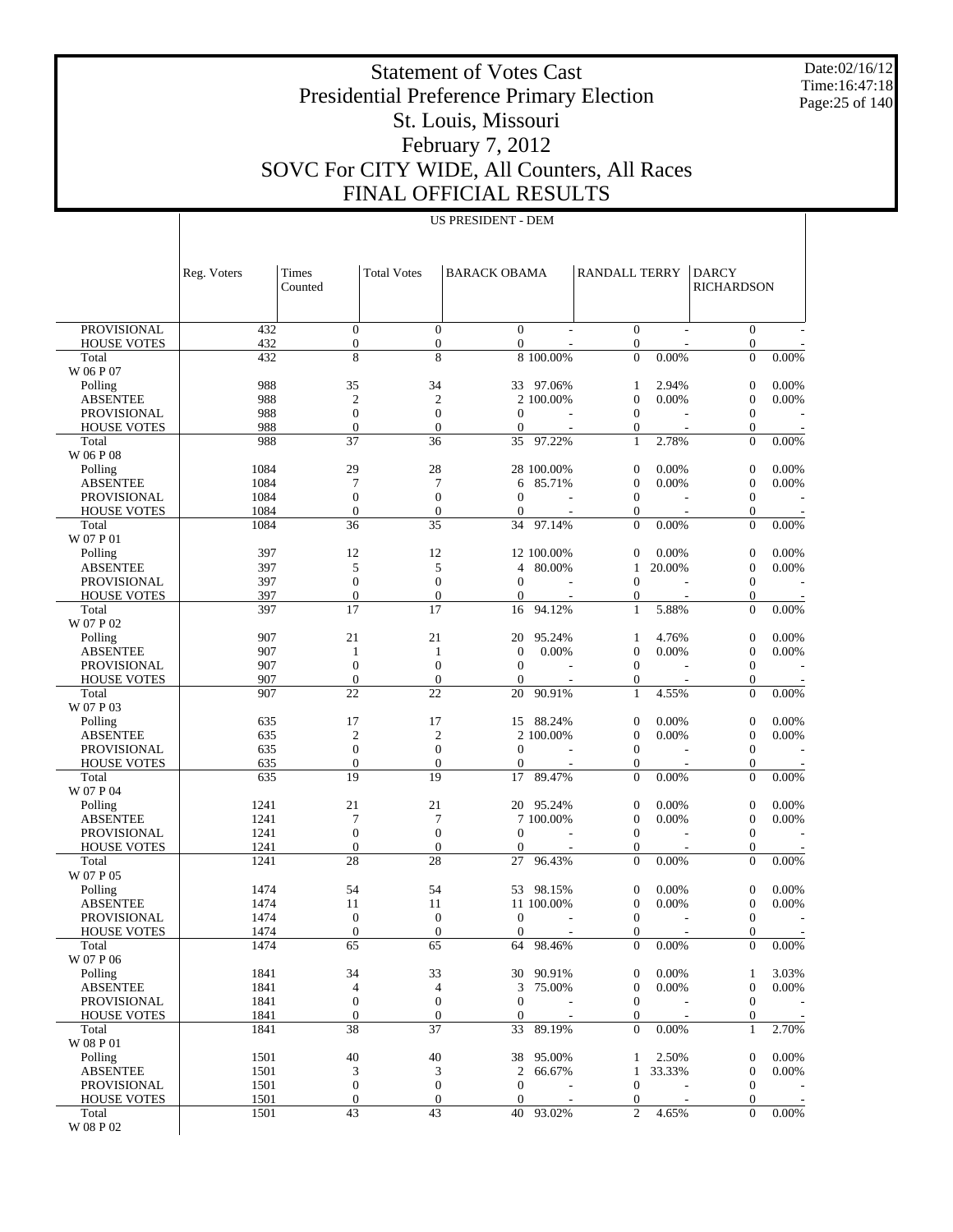Date:02/16/12 Time:16:47:18 Page:25 of 140

 $\overline{1}$ 

# Statement of Votes Cast Presidential Preference Primary Election St. Louis, Missouri February 7, 2012 SOVC For CITY WIDE, All Counters, All Races FINAL OFFICIAL RESULTS

US PRESIDENT - DEM

|                             | Reg. Voters  | <b>Times</b><br>Counted | <b>Total Votes</b>     | <b>BARACK OBAMA</b>    |            | <b>RANDALL TERRY</b>             |        | <b>DARCY</b><br><b>RICHARDSON</b>    |          |
|-----------------------------|--------------|-------------------------|------------------------|------------------------|------------|----------------------------------|--------|--------------------------------------|----------|
|                             |              |                         |                        |                        |            |                                  |        |                                      |          |
| <b>PROVISIONAL</b>          | 432          | $\boldsymbol{0}$        | $\mathbf{0}$           | $\mathbf{0}$           |            | $\boldsymbol{0}$                 |        | $\boldsymbol{0}$                     |          |
| <b>HOUSE VOTES</b>          | 432          | $\boldsymbol{0}$<br>8   | $\boldsymbol{0}$<br>8  | $\mathbf{0}$           |            | $\mathbf{0}$<br>$\Omega$         | 0.00%  | $\boldsymbol{0}$<br>$\overline{0}$   | 0.00%    |
| Total<br>W 06 P 07          | 432          |                         |                        |                        | 8 100.00%  |                                  |        |                                      |          |
| Polling                     | 988          | 35                      | 34                     |                        | 33 97.06%  | 1                                | 2.94%  | $\boldsymbol{0}$                     | 0.00%    |
| <b>ABSENTEE</b>             | 988          | $\mathfrak{2}$          | $\overline{c}$         |                        | 2 100.00%  | $\mathbf{0}$                     | 0.00%  | $\boldsymbol{0}$                     | 0.00%    |
| <b>PROVISIONAL</b>          | 988          | $\boldsymbol{0}$        | $\boldsymbol{0}$       | $\boldsymbol{0}$       |            | $\mathbf{0}$                     |        | $\boldsymbol{0}$                     |          |
| <b>HOUSE VOTES</b><br>Total | 988<br>988   | $\overline{0}$<br>37    | $\mathbf{0}$<br>36     | $\mathbf{0}$<br>35     | 97.22%     | $\mathbf{0}$<br>1                | 2.78%  | $\boldsymbol{0}$<br>$\boldsymbol{0}$ | $0.00\%$ |
| W 06 P 08                   |              |                         |                        |                        |            |                                  |        |                                      |          |
| Polling                     | 1084         | 29                      | 28                     |                        | 28 100.00% | $\boldsymbol{0}$                 | 0.00%  | $\boldsymbol{0}$                     | 0.00%    |
| <b>ABSENTEE</b>             | 1084         | 7                       | $\tau$                 | 6                      | 85.71%     | $\mathbf{0}$                     | 0.00%  | $\boldsymbol{0}$                     | 0.00%    |
| PROVISIONAL                 | 1084         | $\boldsymbol{0}$        | $\boldsymbol{0}$       | $\boldsymbol{0}$       |            | $\mathbf{0}$                     |        | $\boldsymbol{0}$                     |          |
| <b>HOUSE VOTES</b><br>Total | 1084<br>1084 | $\overline{0}$<br>36    | $\mathbf{0}$<br>35     | $\mathbf{0}$<br>34     | 97.14%     | $\mathbf{0}$<br>$\Omega$         | 0.00%  | $\boldsymbol{0}$<br>$\overline{0}$   | 0.00%    |
| W 07 P 01                   |              |                         |                        |                        |            |                                  |        |                                      |          |
| Polling                     | 397          | 12                      | 12                     |                        | 12 100.00% | $\boldsymbol{0}$                 | 0.00%  | $\boldsymbol{0}$                     | 0.00%    |
| <b>ABSENTEE</b>             | 397          | 5                       | 5                      | $\overline{4}$         | 80.00%     | 1                                | 20.00% | $\boldsymbol{0}$                     | 0.00%    |
| <b>PROVISIONAL</b>          | 397          | $\boldsymbol{0}$        | $\boldsymbol{0}$       | $\mathbf{0}$           |            | $\mathbf{0}$                     |        | $\boldsymbol{0}$                     |          |
| <b>HOUSE VOTES</b><br>Total | 397<br>397   | $\overline{0}$<br>17    | $\mathbf{0}$<br>17     | $\mathbf{0}$<br>16     | 94.12%     | $\boldsymbol{0}$<br>1            | 5.88%  | $\boldsymbol{0}$<br>$\boldsymbol{0}$ | $0.00\%$ |
| W 07 P 02                   |              |                         |                        |                        |            |                                  |        |                                      |          |
| Polling                     | 907          | 21                      | 21                     | 20                     | 95.24%     | 1                                | 4.76%  | $\boldsymbol{0}$                     | 0.00%    |
| <b>ABSENTEE</b>             | 907          | 1                       | $\mathbf{1}$           | $\mathbf{0}$           | 0.00%      | $\mathbf{0}$                     | 0.00%  | $\boldsymbol{0}$                     | 0.00%    |
| PROVISIONAL                 | 907          | $\boldsymbol{0}$        | $\boldsymbol{0}$       | $\mathbf{0}$           |            | $\mathbf{0}$                     |        | $\boldsymbol{0}$                     |          |
| <b>HOUSE VOTES</b><br>Total | 907<br>907   | $\mathbf{0}$<br>22      | $\mathbf{0}$<br>22     | $\mathbf{0}$<br>20     | 90.91%     | $\mathbf{0}$<br>1                | 4.55%  | $\boldsymbol{0}$<br>$\overline{0}$   | 0.00%    |
| W 07 P 03                   |              |                         |                        |                        |            |                                  |        |                                      |          |
| Polling                     | 635          | 17                      | 17                     | 15                     | 88.24%     | $\boldsymbol{0}$                 | 0.00%  | $\boldsymbol{0}$                     | 0.00%    |
| <b>ABSENTEE</b>             | 635          | $\mathfrak{2}$          | $\overline{2}$         |                        | 2 100.00%  | $\mathbf{0}$                     | 0.00%  | $\boldsymbol{0}$                     | 0.00%    |
| <b>PROVISIONAL</b>          | 635          | $\boldsymbol{0}$        | $\boldsymbol{0}$       | $\boldsymbol{0}$       |            | $\mathbf{0}$                     |        | $\boldsymbol{0}$                     |          |
| <b>HOUSE VOTES</b><br>Total | 635<br>635   | $\overline{0}$<br>19    | $\mathbf{0}$<br>19     | $\mathbf{0}$<br>17     | 89.47%     | $\mathbf{0}$<br>$\mathbf{0}$     | 0.00%  | $\boldsymbol{0}$<br>$\boldsymbol{0}$ | 0.00%    |
| W 07 P 04                   |              |                         |                        |                        |            |                                  |        |                                      |          |
| Polling                     | 1241         | 21                      | 21                     |                        | 20 95.24%  | $\mathbf{0}$                     | 0.00%  | $\boldsymbol{0}$                     | 0.00%    |
| <b>ABSENTEE</b>             | 1241         | 7                       | 7                      |                        | 7 100.00%  | $\mathbf{0}$                     | 0.00%  | $\boldsymbol{0}$                     | 0.00%    |
| PROVISIONAL                 | 1241         | $\boldsymbol{0}$        | $\boldsymbol{0}$       | $\boldsymbol{0}$       |            | $\mathbf{0}$                     |        | $\boldsymbol{0}$                     |          |
| <b>HOUSE VOTES</b><br>Total | 1241<br>1241 | $\boldsymbol{0}$<br>28  | $\mathbf{0}$<br>28     | $\mathbf{0}$<br>27     | 96.43%     | $\mathbf{0}$<br>$\Omega$         | 0.00%  | $\boldsymbol{0}$<br>$\overline{0}$   | 0.00%    |
| W 07 P 05                   |              |                         |                        |                        |            |                                  |        |                                      |          |
| Polling                     | 1474         | 54                      | 54                     | 53                     | 98.15%     | $\boldsymbol{0}$                 | 0.00%  | $\boldsymbol{0}$                     | 0.00%    |
| <b>ABSENTEE</b>             | 1474         | 11                      | 11                     |                        | 11 100.00% | $\mathbf{0}$                     | 0.00%  | $\boldsymbol{0}$                     | 0.00%    |
| <b>PROVISIONAL</b>          | 1474         | $\boldsymbol{0}$        | $\mathbf{0}$           | $\boldsymbol{0}$       |            | $\boldsymbol{0}$                 |        | 0                                    |          |
| <b>HOUSE VOTES</b><br>Total | 1474<br>1474 | $\boldsymbol{0}$<br>65  | $\boldsymbol{0}$<br>65 | $\mathbf{0}$<br>64     | 98.46%     | $\mathbf{0}$<br>$\mathbf{0}$     | 0.00%  | $\overline{0}$<br>$\mathbf{0}$       | 0.00%    |
| W 07 P 06                   |              |                         |                        |                        |            |                                  |        |                                      |          |
| Polling                     | 1841         | 34                      | 33                     | 30                     | 90.91%     | $\mathbf 0$                      | 0.00%  | 1                                    | 3.03%    |
| <b>ABSENTEE</b>             | 1841         | 4                       | 4                      | 3                      | 75.00%     | $\mathbf{0}$                     | 0.00%  | $\boldsymbol{0}$                     | 0.00%    |
| PROVISIONAL                 | 1841         | $\boldsymbol{0}$        | $\boldsymbol{0}$       | $\boldsymbol{0}$       |            | $\mathbf{0}$                     |        | $\boldsymbol{0}$                     |          |
| <b>HOUSE VOTES</b><br>Total | 1841<br>1841 | $\mathbf{0}$<br>38      | $\boldsymbol{0}$<br>37 | $\boldsymbol{0}$<br>33 | 89.19%     | $\boldsymbol{0}$<br>$\mathbf{0}$ | 0.00%  | $\boldsymbol{0}$<br>$\mathbf{1}$     | 2.70%    |
| W 08 P 01                   |              |                         |                        |                        |            |                                  |        |                                      |          |
| Polling                     | 1501         | 40                      | 40                     | 38                     | 95.00%     | 1                                | 2.50%  | $\boldsymbol{0}$                     | 0.00%    |
| <b>ABSENTEE</b>             | 1501         | 3                       | 3                      | 2                      | 66.67%     | $\mathbf{1}$                     | 33.33% | 0                                    | 0.00%    |
| PROVISIONAL                 | 1501         | $\boldsymbol{0}$        | $\mathbf{0}$           | $\mathbf{0}$           |            | $\mathbf{0}$                     |        | $\boldsymbol{0}$                     |          |
| <b>HOUSE VOTES</b><br>Total | 1501<br>1501 | $\boldsymbol{0}$<br>43  | $\mathbf{0}$<br>43     | $\mathbf{0}$           | 40 93.02%  | $\boldsymbol{0}$<br>2            | 4.65%  | $\boldsymbol{0}$<br>$\boldsymbol{0}$ | 0.00%    |
| W 08 P 02                   |              |                         |                        |                        |            |                                  |        |                                      |          |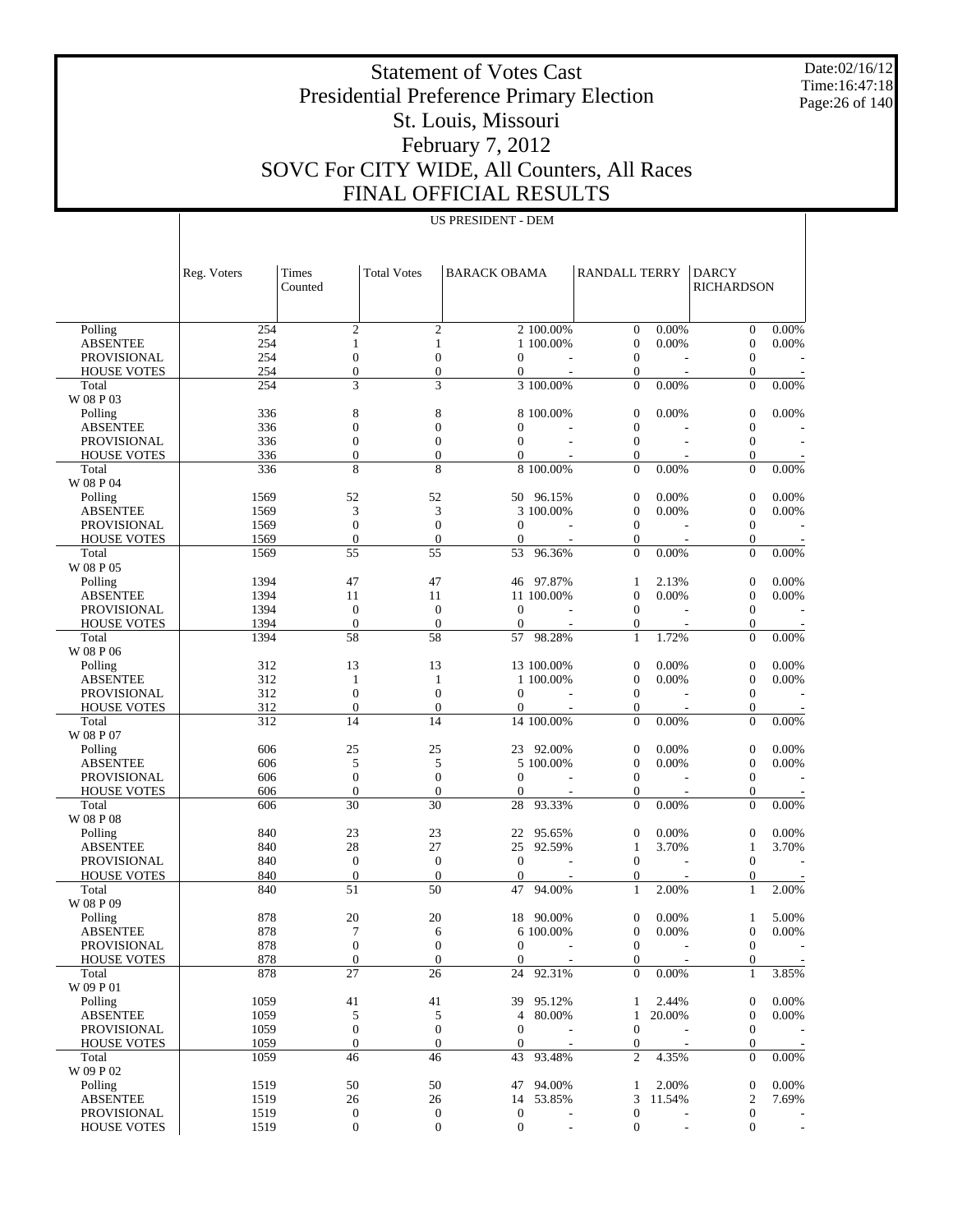Date:02/16/12 Time:16:47:18 Page:26 of 140

 $\overline{a}$ 

# Statement of Votes Cast Presidential Preference Primary Election St. Louis, Missouri February 7, 2012 SOVC For CITY WIDE, All Counters, All Races FINAL OFFICIAL RESULTS

US PRESIDENT - DEM

|                            | Reg. Voters | Times<br>Counted | <b>Total Votes</b> | <b>BARACK OBAMA</b> |            | <b>RANDALL TERRY</b> |        | <b>DARCY</b><br><b>RICHARDSON</b> |            |
|----------------------------|-------------|------------------|--------------------|---------------------|------------|----------------------|--------|-----------------------------------|------------|
|                            |             |                  |                    |                     |            |                      |        |                                   |            |
| Polling                    | 254         | $\mathbf{2}$     | $\mathfrak{2}$     |                     | 2 100.00%  | $\overline{0}$       | 0.00%  | $\mathbf{0}$                      | 0.00%      |
| <b>ABSENTEE</b>            | 254         | $\mathbf{1}$     | $\mathbf{1}$       |                     | 1 100.00%  | $\theta$             | 0.00%  | $\mathbf{0}$                      | 0.00%      |
| <b>PROVISIONAL</b>         | 254         | $\mathbf{0}$     | $\boldsymbol{0}$   | $\mathbf{0}$        |            | $\boldsymbol{0}$     |        | $\mathbf{0}$                      |            |
| <b>HOUSE VOTES</b>         | 254         | $\overline{0}$   | $\boldsymbol{0}$   | $\overline{0}$      |            | $\overline{0}$       |        | $\boldsymbol{0}$                  |            |
| Total<br>W 08 P 03         | 254         | 3                | 3                  |                     | 3 100.00%  | $\Omega$             | 0.00%  | $\overline{0}$                    | 0.00%      |
| Polling                    | 336         | 8                | 8                  |                     | 8 100.00%  | $\mathbf{0}$         | 0.00%  | $\boldsymbol{0}$                  | 0.00%      |
| <b>ABSENTEE</b>            | 336         | $\boldsymbol{0}$ | $\boldsymbol{0}$   | $\mathbf{0}$        |            | $\mathbf{0}$         |        | $\boldsymbol{0}$                  |            |
| <b>PROVISIONAL</b>         | 336         | $\boldsymbol{0}$ | $\boldsymbol{0}$   | $\overline{0}$      |            | $\overline{0}$       |        | $\boldsymbol{0}$                  |            |
| <b>HOUSE VOTES</b>         | 336         | $\overline{0}$   | $\boldsymbol{0}$   | $\Omega$            |            | $\theta$             |        | $\boldsymbol{0}$                  |            |
| Total                      | 336         | 8                | 8                  |                     | 8 100.00%  | $\Omega$             | 0.00%  | $\overline{0}$                    | 0.00%      |
| W 08 P 04                  |             |                  |                    |                     |            |                      |        |                                   |            |
| Polling                    | 1569        | 52               | 52                 |                     | 50 96.15%  | $\boldsymbol{0}$     | 0.00%  | $\boldsymbol{0}$                  | 0.00%      |
| <b>ABSENTEE</b>            | 1569        | 3                | 3                  |                     | 3 100.00%  | $\theta$             | 0.00%  | $\boldsymbol{0}$                  | 0.00%      |
| <b>PROVISIONAL</b>         | 1569        | $\boldsymbol{0}$ | $\boldsymbol{0}$   | $\overline{0}$      |            | $\boldsymbol{0}$     |        | $\mathbf{0}$                      |            |
| <b>HOUSE VOTES</b>         | 1569        | $\theta$         | $\mathbf{0}$       | $\overline{0}$      |            | $\theta$             |        | $\boldsymbol{0}$                  |            |
| Total<br>W 08 P 05         | 1569        | 55               | 55                 | 53                  | 96.36%     | $\Omega$             | 0.00%  | $\overline{0}$                    | 0.00%      |
| Polling                    | 1394        | 47               | 47                 |                     | 46 97.87%  | $\mathbf{1}$         | 2.13%  | $\mathbf{0}$                      | 0.00%      |
| <b>ABSENTEE</b>            | 1394        | 11               | 11                 |                     | 11 100.00% | $\theta$             | 0.00%  | $\mathbf{0}$                      | 0.00%      |
| <b>PROVISIONAL</b>         | 1394        | $\mathbf{0}$     | $\mathbf{0}$       | $\boldsymbol{0}$    |            | $\boldsymbol{0}$     |        | $\mathbf{0}$                      |            |
| <b>HOUSE VOTES</b>         | 1394        | $\mathbf{0}$     | $\boldsymbol{0}$   | $\overline{0}$      |            | $\boldsymbol{0}$     |        | $\mathbf{0}$                      |            |
| Total<br>$\rm W$ 08 P $06$ | 1394        | 58               | 58                 |                     | 57 98.28%  | 1                    | 1.72%  | $\overline{0}$                    | 0.00%      |
| Polling                    | 312         | 13               | 13                 |                     | 13 100.00% | $\boldsymbol{0}$     | 0.00%  | $\mathbf{0}$                      | 0.00%      |
| <b>ABSENTEE</b>            | 312         | $\mathbf{1}$     | $\mathbf{1}$       |                     | 1 100.00%  | $\theta$             | 0.00%  | $\mathbf{0}$                      | 0.00%      |
| <b>PROVISIONAL</b>         | 312         | $\mathbf{0}$     | $\mathbf{0}$       | $\overline{0}$      |            | $\boldsymbol{0}$     |        | $\mathbf{0}$                      |            |
| <b>HOUSE VOTES</b>         | 312         | $\theta$         | $\boldsymbol{0}$   | $\overline{0}$      |            | $\theta$             |        | $\mathbf{0}$                      |            |
| Total<br>W 08 P 07         | 312         | 14               | 14                 |                     | 14 100.00% | $\Omega$             | 0.00%  | $\overline{0}$                    | 0.00%      |
| Polling                    | 606         | 25               | 25                 |                     | 23 92.00%  | $\mathbf{0}$         | 0.00%  | $\mathbf{0}$                      | 0.00%      |
| <b>ABSENTEE</b>            | 606         | 5                | 5                  |                     | 5 100.00%  | $\theta$             | 0.00%  | $\mathbf{0}$                      | 0.00%      |
| <b>PROVISIONAL</b>         | 606         | $\mathbf{0}$     | $\boldsymbol{0}$   | $\overline{0}$      |            | $\boldsymbol{0}$     |        | $\mathbf{0}$                      |            |
| <b>HOUSE VOTES</b>         | 606         | $\mathbf{0}$     | $\boldsymbol{0}$   | $\overline{0}$      |            | $\theta$             |        | $\mathbf{0}$                      |            |
| Total                      | 606         | 30               | 30                 | 28                  | 93.33%     | $\Omega$             | 0.00%  | $\mathbf{0}$                      | 0.00%      |
| W 08 P 08                  | 840         | 23               | 23                 | 22                  | 95.65%     | $\boldsymbol{0}$     | 0.00%  | $\mathbf{0}$                      | 0.00%      |
| Polling<br><b>ABSENTEE</b> | 840         | 28               | 27                 | 25                  | 92.59%     | $\mathbf{1}$         | 3.70%  | $\mathbf{1}$                      | 3.70%      |
| <b>PROVISIONAL</b>         | 840         | $\mathbf{0}$     | $\mathbf{0}$       | $\overline{0}$      |            | $\boldsymbol{0}$     |        | $\mathbf{0}$                      |            |
| <b>HOUSE VOTES</b>         | 840         | $\mathbf{0}$     | $\mathbf{0}$       | $\overline{0}$      |            | $\overline{0}$       |        | $\mathbf{0}$                      |            |
| Total                      | 840         | 51               | 50                 | 47                  | 94.00%     | 1                    | 2.00%  | $\mathbf{1}$                      | 2.00%      |
| W 08 P 09                  |             |                  |                    |                     |            |                      |        |                                   |            |
| Polling                    | 878         | 20               | 20                 |                     | 18 90.00%  | $\overline{0}$       | 0.00%  | $\mathbf{1}$                      | 5.00%      |
| <b>ABSENTEE</b>            | 878         | 7                | 6                  |                     | 6 100.00%  | $\overline{0}$       | 0.00%  |                                   | $0 0.00\%$ |
| <b>PROVISIONAL</b>         | 878         | $\boldsymbol{0}$ | $\mathbf{0}$       | $\mathbf{0}$        |            | $\boldsymbol{0}$     |        | $\mathbf{0}$                      |            |
| <b>HOUSE VOTES</b>         | 878         | $\boldsymbol{0}$ | $\boldsymbol{0}$   | $\overline{0}$      |            | $\overline{0}$       |        | $\mathbf{0}$                      |            |
| Total<br>W 09 P 01         | 878         | 27               | 26                 | 24                  | 92.31%     | $\Omega$             | 0.00%  | $\mathbf{1}$                      | 3.85%      |
| Polling                    | 1059        | 41               | 41                 |                     | 39 95.12%  | 1                    | 2.44%  | $\mathbf{0}$                      | 0.00%      |
| <b>ABSENTEE</b>            | 1059        | 5                | 5                  | $\overline{4}$      | 80.00%     | $\mathbf{1}$         | 20.00% | $\mathbf{0}$                      | 0.00%      |
| PROVISIONAL                | 1059        | $\boldsymbol{0}$ | $\boldsymbol{0}$   | $\mathbf{0}$        |            | $\boldsymbol{0}$     |        | $\mathbf{0}$                      |            |
| <b>HOUSE VOTES</b>         | 1059        | $\boldsymbol{0}$ | $\boldsymbol{0}$   | $\overline{0}$      |            | $\boldsymbol{0}$     |        | $\mathbf{0}$                      |            |
| Total<br>W 09 P 02         | 1059        | 46               | 46                 | 43                  | 93.48%     | 2                    | 4.35%  | $\mathbf{0}$                      | 0.00%      |
| Polling                    | 1519        | 50               | 50                 |                     | 47 94.00%  | 1                    | 2.00%  | $\boldsymbol{0}$                  | 0.00%      |
| <b>ABSENTEE</b>            | 1519        | 26               | 26                 |                     | 14 53.85%  | 3                    | 11.54% | 2                                 | 7.69%      |
| <b>PROVISIONAL</b>         | 1519        | $\boldsymbol{0}$ | $\mathbf{0}$       | $\boldsymbol{0}$    |            | $\boldsymbol{0}$     |        | $\mathbf{0}$                      |            |
| <b>HOUSE VOTES</b>         | 1519        | $\mathbf{0}$     | $\mathbf{0}$       | $\mathbf{0}$        |            | $\boldsymbol{0}$     |        | $\boldsymbol{0}$                  |            |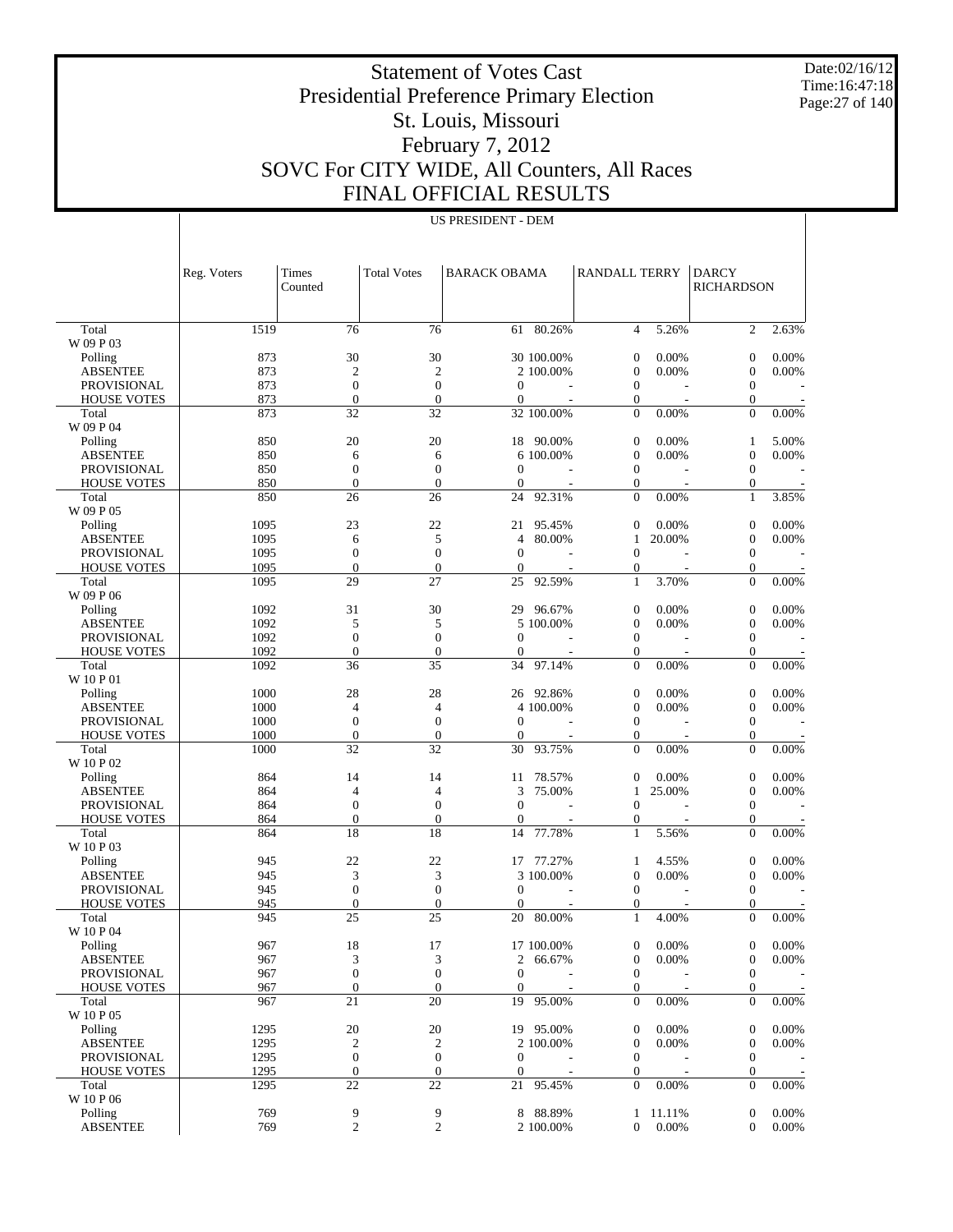Date:02/16/12 Time:16:47:18 Page:27 of 140

 $\overline{\phantom{a}}$ 

# Statement of Votes Cast Presidential Preference Primary Election St. Louis, Missouri February 7, 2012 SOVC For CITY WIDE, All Counters, All Races FINAL OFFICIAL RESULTS

US PRESIDENT - DEM

 $\overline{\phantom{a}}$ 

|                                          | Reg. Voters  | Times<br>Counted       | <b>Total Votes</b>               | <b>BARACK OBAMA</b> |                         | <b>RANDALL TERRY</b>               |                 | <b>DARCY</b><br><b>RICHARDSON</b>    |                |
|------------------------------------------|--------------|------------------------|----------------------------------|---------------------|-------------------------|------------------------------------|-----------------|--------------------------------------|----------------|
|                                          |              |                        |                                  |                     |                         |                                    |                 |                                      |                |
| Total                                    | 1519         | 76                     | 76                               |                     | $61 - 80.26%$           | $\overline{4}$                     | 5.26%           | $\overline{2}$                       | 2.63%          |
| W 09 P 03                                |              |                        |                                  |                     |                         |                                    |                 |                                      |                |
| Polling<br><b>ABSENTEE</b>               | 873<br>873   | 30<br>2                | 30<br>$\overline{c}$             |                     | 30 100.00%<br>2 100.00% | $\mathbf{0}$<br>$\boldsymbol{0}$   | 0.00%<br>0.00%  | $\boldsymbol{0}$<br>$\boldsymbol{0}$ | 0.00%<br>0.00% |
| <b>PROVISIONAL</b>                       | 873          | $\boldsymbol{0}$       | $\mathbf{0}$                     | $\mathbf{0}$        |                         | $\mathbf{0}$                       |                 | 0                                    |                |
| <b>HOUSE VOTES</b>                       | 873          | $\theta$               | $\boldsymbol{0}$                 | $\mathbf{0}$        |                         | 0                                  |                 | 0                                    |                |
| Total                                    | 873          | 32                     | 32                               |                     | 32 100.00%              | $\Omega$                           | 0.00%           | $\overline{0}$                       | 0.00%          |
| W 09 P 04                                |              |                        |                                  |                     |                         |                                    |                 |                                      |                |
| Polling                                  | 850          | 20                     | 20                               | 18                  | 90.00%                  | $\boldsymbol{0}$                   | 0.00%           | $\mathbf{1}$                         | 5.00%          |
| <b>ABSENTEE</b>                          | 850          | 6<br>$\overline{0}$    | 6                                | $\Omega$            | 6 100.00%               | $\mathbf{0}$<br>$\mathbf{0}$       | 0.00%           | $\boldsymbol{0}$                     | 0.00%          |
| <b>PROVISIONAL</b><br><b>HOUSE VOTES</b> | 850<br>850   | $\overline{0}$         | $\boldsymbol{0}$<br>$\mathbf{0}$ | $\mathbf{0}$        |                         | $\mathbf{0}$                       |                 | 0<br>$\boldsymbol{0}$                |                |
| Total                                    | 850          | 26                     | 26                               | 24                  | 92.31%                  | $\Omega$                           | 0.00%           | $\mathbf{1}$                         | 3.85%          |
| W 09 P 05                                |              |                        |                                  |                     |                         |                                    |                 |                                      |                |
| Polling                                  | 1095         | 23                     | 22                               | 21                  | 95.45%                  | $\mathbf{0}$                       | 0.00%           | $\boldsymbol{0}$                     | 0.00%          |
| <b>ABSENTEE</b>                          | 1095         | 6                      | 5                                | $\overline{4}$      | 80.00%                  | $\mathbf{1}$                       | 20.00%          | $\boldsymbol{0}$                     | 0.00%          |
| <b>PROVISIONAL</b>                       | 1095         | 0                      | $\boldsymbol{0}$                 | $\mathbf{0}$        |                         | $\mathbf{0}$                       |                 | 0                                    |                |
| <b>HOUSE VOTES</b><br>Total              | 1095<br>1095 | $\overline{0}$<br>29   | $\mathbf{0}$<br>27               | $\mathbf{0}$<br>25  | 92.59%                  | 0<br>$\mathbf{1}$                  | 3.70%           | $\boldsymbol{0}$<br>$\overline{0}$   | 0.00%          |
| W 09 P 06                                |              |                        |                                  |                     |                         |                                    |                 |                                      |                |
| Polling                                  | 1092         | 31                     | 30                               | 29                  | 96.67%                  | $\boldsymbol{0}$                   | 0.00%           | $\boldsymbol{0}$                     | 0.00%          |
| <b>ABSENTEE</b>                          | 1092         | 5                      | 5                                |                     | 5 100,00%               | $\mathbf{0}$                       | 0.00%           | $\boldsymbol{0}$                     | 0.00%          |
| <b>PROVISIONAL</b>                       | 1092         | $\overline{0}$         | $\mathbf{0}$                     | $\Omega$            |                         | $\mathbf{0}$                       |                 | 0                                    |                |
| <b>HOUSE VOTES</b>                       | 1092         | $\overline{0}$         | $\boldsymbol{0}$                 | $\mathbf{0}$        |                         | 0                                  |                 | $\boldsymbol{0}$                     |                |
| Total<br>W 10 P 01                       | 1092         | 36                     | 35                               | 34                  | 97.14%                  | $\Omega$                           | 0.00%           | $\overline{0}$                       | 0.00%          |
| Polling                                  | 1000         | 28                     | 28                               | 26                  | 92.86%                  | $\boldsymbol{0}$                   | 0.00%           | $\boldsymbol{0}$                     | 0.00%          |
| <b>ABSENTEE</b>                          | 1000         | 4                      | $\overline{4}$                   |                     | 4 100.00%               | $\mathbf{0}$                       | 0.00%           | $\boldsymbol{0}$                     | 0.00%          |
| <b>PROVISIONAL</b>                       | 1000         | $\overline{0}$         | $\boldsymbol{0}$                 | $\mathbf{0}$        |                         | $\mathbf{0}$                       |                 | 0                                    |                |
| <b>HOUSE VOTES</b>                       | 1000         | $\overline{0}$         | $\mathbf{0}$                     | $\mathbf{0}$        |                         | 0                                  |                 | $\boldsymbol{0}$                     |                |
| Total                                    | 1000         | 32                     | 32                               | 30                  | 93.75%                  | $\overline{0}$                     | 0.00%           | $\overline{0}$                       | 0.00%          |
| W 10 P 02                                |              |                        |                                  |                     |                         |                                    |                 |                                      |                |
| Polling<br><b>ABSENTEE</b>               | 864<br>864   | 14<br>4                | 14<br>$\overline{4}$             | 11<br>3             | 78.57%<br>75.00%        | $\mathbf{0}$<br>1                  | 0.00%<br>25.00% | $\boldsymbol{0}$<br>$\boldsymbol{0}$ | 0.00%<br>0.00% |
| <b>PROVISIONAL</b>                       | 864          | $\overline{0}$         | $\mathbf{0}$                     | $\Omega$            |                         | $\mathbf{0}$                       |                 | 0                                    |                |
| <b>HOUSE VOTES</b>                       | 864          | $\overline{0}$         | $\boldsymbol{0}$                 | $\mathbf{0}$        |                         | 0                                  |                 | $\boldsymbol{0}$                     |                |
| Total                                    | 864          | 18                     | 18                               | 14                  | 77.78%                  | 1                                  | 5.56%           | $\theta$                             | 0.00%          |
| W 10 P 03                                |              |                        |                                  |                     |                         |                                    |                 |                                      |                |
| Polling                                  | 945          | 22                     | 22                               | 17                  | 77.27%                  | 1                                  | 4.55%           | $\boldsymbol{0}$                     | 0.00%          |
| <b>ABSENTEE</b><br><b>PROVISIONAL</b>    | 945<br>945   | 3<br>0                 | 3<br>$\boldsymbol{0}$            | $\mathbf{0}$        | 3 100.00%               | $\boldsymbol{0}$<br>$\mathbf{0}$   | 0.00%           | $\boldsymbol{0}$<br>0                | 0.00%          |
| <b>HOUSE VOTES</b>                       | 945          | $\overline{0}$         | $\mathbf{0}$                     | $\mathbf{0}$        |                         | $\mathbf{0}$                       |                 | $\mathbf{0}$                         |                |
| Total                                    | 945          | 25                     | 25                               | 20                  | 80.00%                  | $\mathbf{1}$                       | 4.00%           | $\overline{0}$                       | 0.00%          |
| W 10 P 04                                |              |                        |                                  |                     |                         |                                    |                 |                                      |                |
| Polling                                  | 967          | 18                     | 17                               |                     | 17 100.00%              | $\boldsymbol{0}$                   | 0.00%           | $\boldsymbol{0}$                     | 0.00%          |
| <b>ABSENTEE</b>                          | 967          | 3                      | 3                                | 2                   | 66.67%                  | $\boldsymbol{0}$                   | 0.00%           | $\boldsymbol{0}$                     | 0.00%          |
| <b>PROVISIONAL</b>                       | 967          | $\boldsymbol{0}$       | $\mathbf{0}$                     | $\mathbf{0}$        |                         | $\boldsymbol{0}$                   |                 | $\boldsymbol{0}$                     |                |
| <b>HOUSE VOTES</b><br>Total              | 967<br>967   | $\boldsymbol{0}$<br>21 | $\mathbf{0}$<br>20               | $\mathbf{0}$<br>19  | 95.00%                  | $\boldsymbol{0}$<br>$\overline{0}$ | 0.00%           | $\boldsymbol{0}$<br>$\overline{0}$   | 0.00%          |
| W 10 P 05                                |              |                        |                                  |                     |                         |                                    |                 |                                      |                |
| Polling                                  | 1295         | 20                     | 20                               |                     | 19 95.00%               | $\boldsymbol{0}$                   | 0.00%           | $\boldsymbol{0}$                     | 0.00%          |
| <b>ABSENTEE</b>                          | 1295         | $\boldsymbol{2}$       | $\overline{c}$                   |                     | 2 100.00%               | $\boldsymbol{0}$                   | 0.00%           | 0                                    | 0.00%          |
| <b>PROVISIONAL</b>                       | 1295         | $\boldsymbol{0}$       | $\boldsymbol{0}$                 | $\mathbf{0}$        |                         | $\boldsymbol{0}$                   |                 | $\boldsymbol{0}$                     |                |
| <b>HOUSE VOTES</b>                       | 1295         | $\boldsymbol{0}$       | $\mathbf{0}$                     | $\mathbf{0}$        |                         | $\boldsymbol{0}$                   |                 | $\boldsymbol{0}$                     |                |
| Total<br>W 10 P 06                       | 1295         | 22                     | 22                               | 21                  | 95.45%                  | $\mathbf{0}$                       | 0.00%           | $\overline{0}$                       | 0.00%          |
| Polling                                  | 769          | 9                      | 9                                | 8                   | 88.89%                  | 1                                  | 11.11%          | $\boldsymbol{0}$                     | 0.00%          |
| <b>ABSENTEE</b>                          | 769          | $\overline{c}$         | 2                                |                     | 2 100.00%               | $\mathbf{0}$                       | 0.00%           | $\overline{0}$                       | 0.00%          |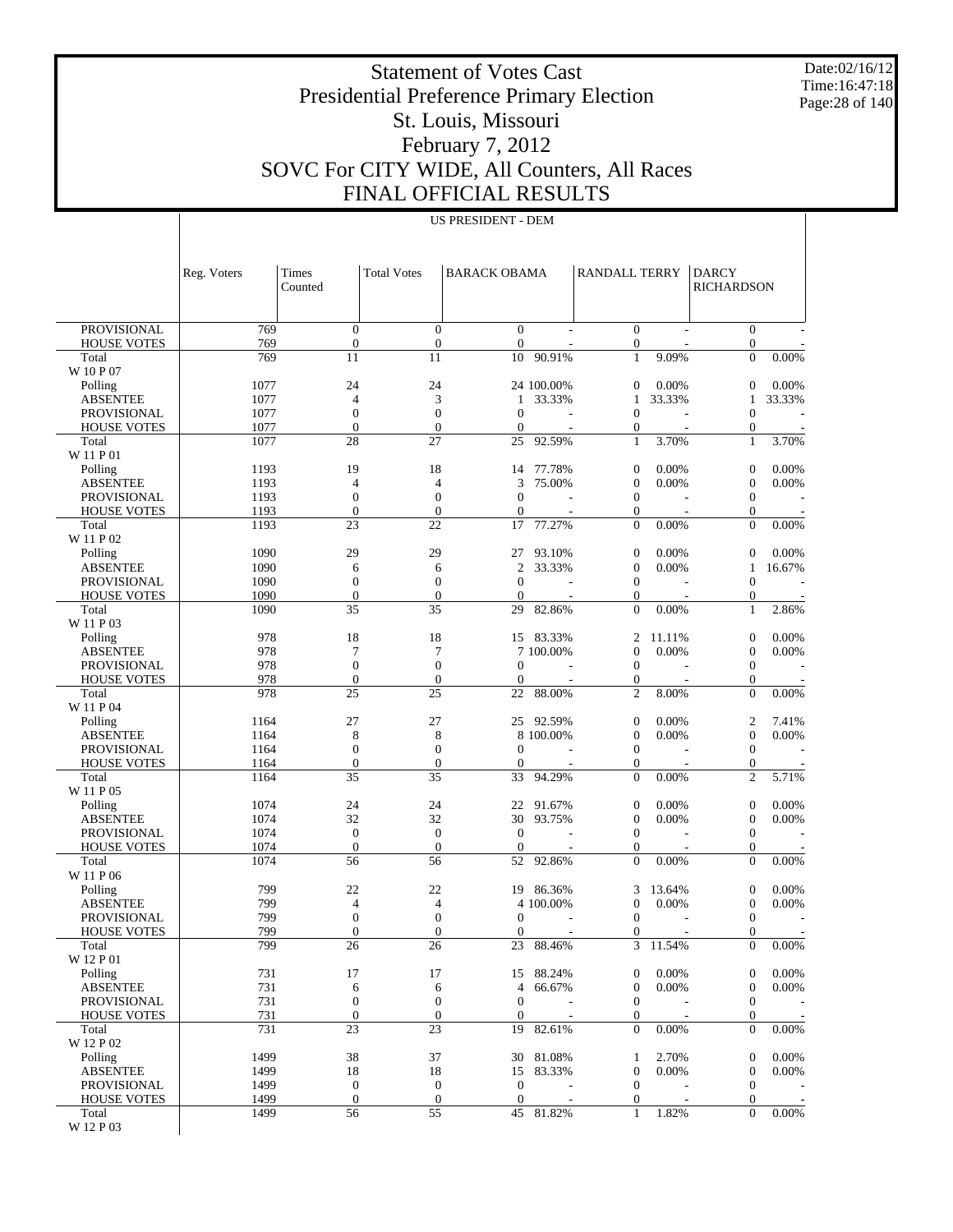Date:02/16/12 Time:16:47:18 Page:28 of 140

 $\overline{a}$ 

# Statement of Votes Cast Presidential Preference Primary Election St. Louis, Missouri February 7, 2012 SOVC For CITY WIDE, All Counters, All Races FINAL OFFICIAL RESULTS

US PRESIDENT - DEM

|                                          | Reg. Voters  | Times<br>Counted                 | <b>Total Votes</b>               | <b>BARACK OBAMA</b>          |            | <b>RANDALL TERRY</b>             |        | <b>DARCY</b><br><b>RICHARDSON</b>  |          |
|------------------------------------------|--------------|----------------------------------|----------------------------------|------------------------------|------------|----------------------------------|--------|------------------------------------|----------|
|                                          |              |                                  |                                  |                              |            |                                  |        |                                    |          |
| <b>PROVISIONAL</b>                       | 769          | $\boldsymbol{0}$                 | $\boldsymbol{0}$                 | $\mathbf{0}$                 |            | $\overline{0}$                   |        | $\mathbf{0}$                       |          |
| <b>HOUSE VOTES</b>                       | 769<br>769   | $\boldsymbol{0}$<br>11           | $\mathbf{0}$<br>11               | $\mathbf{0}$                 | 90.91%     | $\boldsymbol{0}$<br>$\mathbf{1}$ | 9.09%  | $\mathbf{0}$<br>$\Omega$           | 0.00%    |
| Total<br>W 10 P 07                       |              |                                  |                                  | 10                           |            |                                  |        |                                    |          |
| Polling                                  | 1077         | 24                               | 24                               |                              | 24 100.00% | $\mathbf{0}$                     | 0.00%  | $\theta$                           | 0.00%    |
| <b>ABSENTEE</b>                          | 1077         | 4                                | 3                                | 1                            | 33.33%     | 1                                | 33.33% | 1                                  | 33.33%   |
| <b>PROVISIONAL</b>                       | 1077         | $\boldsymbol{0}$                 | $\mathbf{0}$                     | $\boldsymbol{0}$             |            | $\boldsymbol{0}$                 |        | $\mathbf{0}$                       |          |
| <b>HOUSE VOTES</b>                       | 1077         | $\overline{0}$                   | $\overline{0}$                   | $\mathbf{0}$                 |            | $\mathbf{0}$                     |        | $\mathbf{0}$                       |          |
| Total<br>W 11 P 01                       | 1077         | 28                               | 27                               | 25                           | 92.59%     | $\mathbf{1}$                     | 3.70%  | $\mathbf{1}$                       | 3.70%    |
| Polling                                  | 1193         | 19                               | 18                               | 14                           | 77.78%     | $\boldsymbol{0}$                 | 0.00%  | $\boldsymbol{0}$                   | 0.00%    |
| <b>ABSENTEE</b>                          | 1193         | $\overline{4}$                   | $\overline{4}$                   | 3                            | 75.00%     | $\mathbf{0}$                     | 0.00%  | $\boldsymbol{0}$                   | 0.00%    |
| <b>PROVISIONAL</b>                       | 1193         | $\boldsymbol{0}$                 | $\boldsymbol{0}$                 | $\boldsymbol{0}$             |            | $\mathbf{0}$                     |        | $\mathbf{0}$                       |          |
| <b>HOUSE VOTES</b>                       | 1193         | $\overline{0}$                   | $\mathbf{0}$                     | $\theta$                     |            | $\mathbf{0}$                     |        | $\boldsymbol{0}$                   |          |
| Total<br>W 11 P 02                       | 1193         | 23                               | 22                               | 17                           | 77.27%     | $\Omega$                         | 0.00%  | $\overline{0}$                     | $0.00\%$ |
| Polling                                  | 1090         | 29                               | 29                               | 27                           | 93.10%     | $\boldsymbol{0}$                 | 0.00%  | $\theta$                           | 0.00%    |
| <b>ABSENTEE</b>                          | 1090         | 6                                | 6                                | $\overline{c}$               | 33.33%     | $\boldsymbol{0}$                 | 0.00%  | 1                                  | 16.67%   |
| PROVISIONAL                              | 1090         | $\boldsymbol{0}$                 | $\mathbf{0}$                     | $\boldsymbol{0}$             |            | $\mathbf{0}$                     |        | $\mathbf{0}$                       |          |
| <b>HOUSE VOTES</b><br>Total              | 1090<br>1090 | $\overline{0}$<br>35             | $\overline{0}$<br>35             | $\mathbf{0}$<br>29           | 82.86%     | $\mathbf{0}$<br>$\mathbf{0}$     | 0.00%  | $\mathbf{0}$<br>$\mathbf{1}$       | 2.86%    |
| W 11 P 03                                |              |                                  |                                  |                              |            |                                  |        |                                    |          |
| Polling                                  | 978          | 18                               | 18                               |                              | 15 83.33%  | 2                                | 11.11% | $\boldsymbol{0}$                   | 0.00%    |
| <b>ABSENTEE</b>                          | 978          | 7                                | $\overline{7}$                   |                              | 7 100.00%  | $\mathbf{0}$                     | 0.00%  | $\boldsymbol{0}$                   | 0.00%    |
| PROVISIONAL                              | 978          | $\boldsymbol{0}$                 | $\boldsymbol{0}$                 | $\mathbf{0}$                 |            | $\boldsymbol{0}$                 |        | $\mathbf{0}$                       |          |
| <b>HOUSE VOTES</b>                       | 978          | $\overline{0}$                   | $\mathbf{0}$                     | $\theta$                     |            | $\boldsymbol{0}$                 |        | $\boldsymbol{0}$                   |          |
| Total<br>W 11 P 04                       | 978          | 25                               | 25                               | 22                           | 88.00%     | $\overline{c}$                   | 8.00%  | $\overline{0}$                     | 0.00%    |
| Polling                                  | 1164         | 27                               | 27                               | 25                           | 92.59%     | $\boldsymbol{0}$                 | 0.00%  | $\overline{c}$                     | 7.41%    |
| <b>ABSENTEE</b>                          | 1164         | 8                                | 8                                |                              | 8 100.00%  | $\boldsymbol{0}$                 | 0.00%  | $\boldsymbol{0}$                   | 0.00%    |
| PROVISIONAL                              | 1164         | $\boldsymbol{0}$                 | $\mathbf{0}$                     | $\theta$                     |            | $\mathbf{0}$                     |        | $\mathbf{0}$                       |          |
| <b>HOUSE VOTES</b>                       | 1164         | $\overline{0}$                   | $\overline{0}$                   | $\theta$                     | ÷,         | $\mathbf{0}$                     |        | $\boldsymbol{0}$                   |          |
| Total<br>W 11 P 05                       | 1164         | 35                               | 35                               | 33                           | 94.29%     | $\mathbf{0}$                     | 0.00%  | $\overline{2}$                     | 5.71%    |
| Polling                                  | 1074         | 24                               | 24                               | 22                           | 91.67%     | $\boldsymbol{0}$                 | 0.00%  | $\boldsymbol{0}$                   | 0.00%    |
| <b>ABSENTEE</b>                          | 1074         | 32                               | 32                               | 30                           | 93.75%     | $\boldsymbol{0}$                 | 0.00%  | $\mathbf{0}$                       | 0.00%    |
| PROVISIONAL                              | 1074         | $\boldsymbol{0}$<br>$\theta$     | $\mathbf{0}$<br>$\overline{0}$   | $\mathbf{0}$                 |            | $\mathbf{0}$<br>$\mathbf{0}$     |        | $\mathbf{0}$                       |          |
| <b>HOUSE VOTES</b><br>Total              | 1074<br>1074 | 56                               | 56                               | $\overline{0}$<br>52         | 92.86%     | $\Omega$                         | 0.00%  | $\boldsymbol{0}$<br>$\overline{0}$ | 0.00%    |
| W 11 P 06                                |              |                                  |                                  |                              |            |                                  |        |                                    |          |
| Polling                                  | 799          | 22                               | 22                               | 19                           | 86.36%     | 3                                | 13.64% | $\boldsymbol{0}$                   | 0.00%    |
| <b>ABSENTEE</b>                          | 799          | 4                                | $\overline{4}$                   |                              | 4 100.00%  | $\mathbf{0}$                     | 0.00%  | $\mathbf{0}$                       | 0.00%    |
| PROVISIONAL                              | 799          | $\boldsymbol{0}$                 | $\mathbf{0}$                     | $\mathbf{0}$                 |            | $\boldsymbol{0}$                 |        | $\boldsymbol{0}$                   |          |
| <b>HOUSE VOTES</b>                       | 799<br>799   | $\overline{0}$<br>26             | $\mathbf{0}$<br>26               | $\overline{0}$               | 23 88.46%  | $\Omega$<br>$\mathfrak{Z}$       | 11.54% | $\overline{0}$<br>$\mathbf{0}$     | 0.00%    |
| Total<br>W 12 P 01                       |              |                                  |                                  |                              |            |                                  |        |                                    |          |
| Polling                                  | 731          | 17                               | 17                               | 15                           | 88.24%     | 0                                | 0.00%  | $\boldsymbol{0}$                   | 0.00%    |
| <b>ABSENTEE</b>                          | 731          | 6                                | 6                                | 4                            | 66.67%     | $\boldsymbol{0}$                 | 0.00%  | $\mathbf{0}$                       | 0.00%    |
| <b>PROVISIONAL</b><br><b>HOUSE VOTES</b> | 731<br>731   | $\boldsymbol{0}$<br>$\mathbf{0}$ | $\boldsymbol{0}$<br>$\mathbf{0}$ | $\mathbf{0}$<br>$\mathbf{0}$ |            | $\mathbf{0}$<br>$\boldsymbol{0}$ |        | $\boldsymbol{0}$<br>$\mathbf{0}$   |          |
| Total                                    | 731          | 23                               | 23                               | 19                           | 82.61%     | $\mathbf{0}$                     | 0.00%  | $\mathbf{0}$                       | 0.00%    |
| W 12 P 02                                |              |                                  |                                  |                              |            |                                  |        |                                    |          |
| Polling                                  | 1499         | 38                               | 37                               | 30                           | 81.08%     | 1                                | 2.70%  | $\boldsymbol{0}$                   | 0.00%    |
| <b>ABSENTEE</b>                          | 1499         | 18                               | 18                               | 15                           | 83.33%     | $\mathbf{0}$                     | 0.00%  | $\mathbf{0}$                       | 0.00%    |
| <b>PROVISIONAL</b>                       | 1499         | $\boldsymbol{0}$                 | $\boldsymbol{0}$                 | $\mathbf{0}$                 |            | $\mathbf{0}$                     |        | $\mathbf{0}$                       |          |
| <b>HOUSE VOTES</b><br>Total              | 1499<br>1499 | $\boldsymbol{0}$<br>56           | $\mathbf{0}$<br>55               | $\theta$                     | 45 81.82%  | $\boldsymbol{0}$<br>1            | 1.82%  | $\boldsymbol{0}$<br>$\mathbf{0}$   | 0.00%    |
| W 12 P 03                                |              |                                  |                                  |                              |            |                                  |        |                                    |          |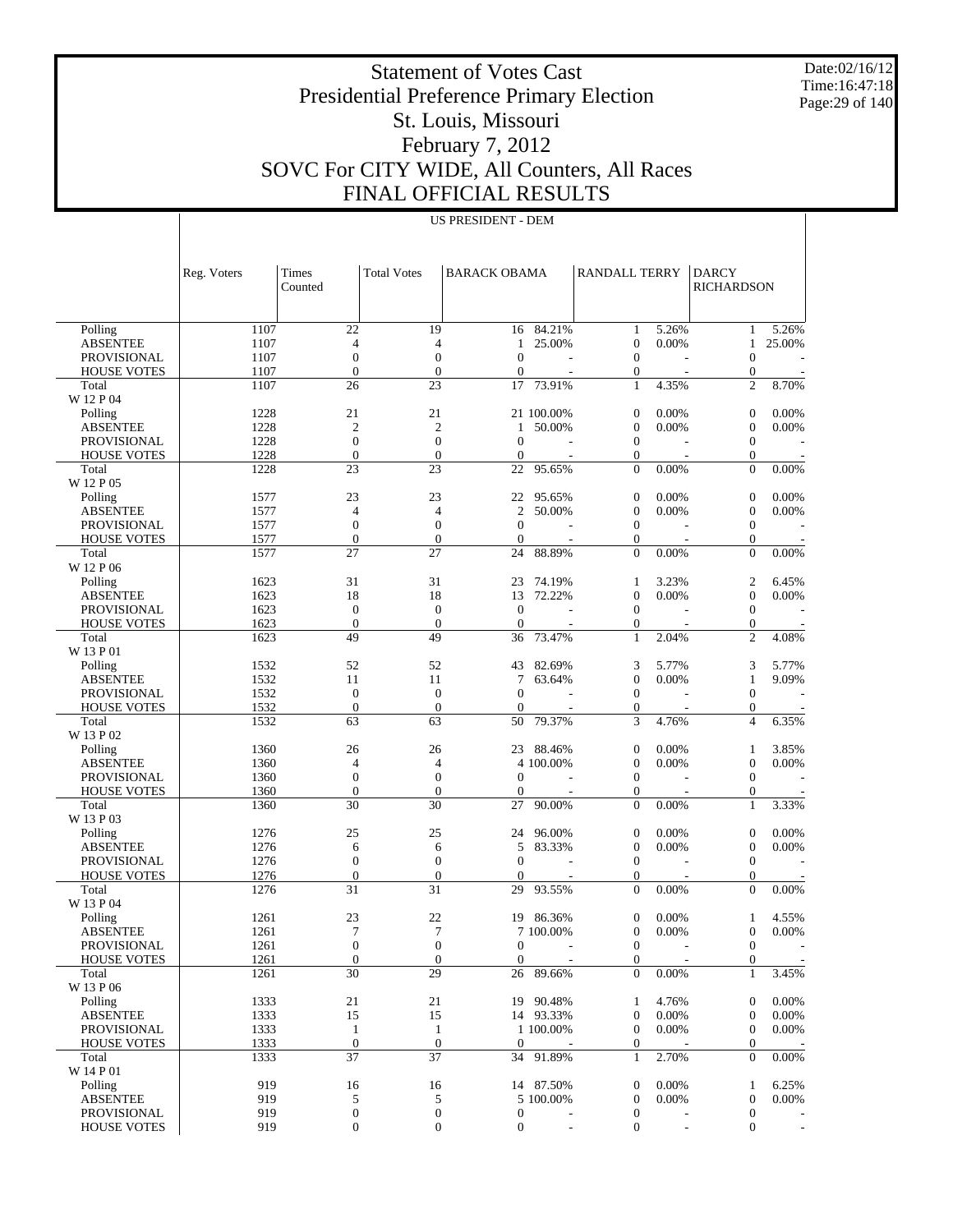Date:02/16/12 Time:16:47:18 Page:29 of 140

# Statement of Votes Cast Presidential Preference Primary Election St. Louis, Missouri February 7, 2012 SOVC For CITY WIDE, All Counters, All Races FINAL OFFICIAL RESULTS

| US PRESIDENT - DEM |  |
|--------------------|--|
|--------------------|--|

|                    | Reg. Voters | Times<br>Counted | <b>Total Votes</b> | <b>BARACK OBAMA</b> |            | <b>RANDALL TERRY</b> |                          | <b>DARCY</b><br><b>RICHARDSON</b> |                |
|--------------------|-------------|------------------|--------------------|---------------------|------------|----------------------|--------------------------|-----------------------------------|----------------|
| Polling            | 1107        | 22               | 19                 | 16                  | 84.21%     | 1                    | 5.26%                    | 1                                 | 5.26%          |
| <b>ABSENTEE</b>    | 1107        | 4                | 4                  | 1                   | 25.00%     | $\boldsymbol{0}$     | 0.00%                    | 1                                 | 25.00%         |
| <b>PROVISIONAL</b> | 1107        | $\boldsymbol{0}$ | $\mathbf{0}$       | $\mathbf{0}$        |            | $\mathbf{0}$         |                          | $\overline{0}$                    |                |
| <b>HOUSE VOTES</b> | 1107        | $\overline{0}$   | $\overline{0}$     | $\mathbf{0}$        |            | $\boldsymbol{0}$     |                          | $\boldsymbol{0}$                  |                |
| Total              | 1107        | 26               | 23                 | 17                  | 73.91%     | $\mathbf{1}$         | 4.35%                    | $\overline{c}$                    | 8.70%          |
| W 12 P 04          |             |                  |                    |                     |            |                      |                          |                                   |                |
| Polling            | 1228        | 21               | 21                 |                     | 21 100.00% | $\theta$             | 0.00%                    | $\overline{0}$                    | 0.00%          |
| <b>ABSENTEE</b>    | 1228        | $\mathfrak{2}$   | $\overline{2}$     | 1                   | 50.00%     | $\overline{0}$       | 0.00%                    | $\boldsymbol{0}$                  | 0.00%          |
| <b>PROVISIONAL</b> | 1228        | $\boldsymbol{0}$ | $\boldsymbol{0}$   | $\mathbf{0}$        |            | $\mathbf{0}$         |                          | $\mathbf{0}$                      |                |
| <b>HOUSE VOTES</b> | 1228        | $\overline{0}$   | $\overline{0}$     | $\theta$            |            | $\boldsymbol{0}$     |                          | $\boldsymbol{0}$                  |                |
| Total              | 1228        | 23               | 23                 | 22                  | 95.65%     | $\overline{0}$       | 0.00%                    | $\theta$                          | 0.00%          |
| W 12 P 05          |             |                  |                    |                     |            |                      |                          |                                   |                |
| Polling            | 1577        | 23               | 23                 | 22                  | 95.65%     | $\theta$             | 0.00%                    | $\boldsymbol{0}$                  | 0.00%          |
| <b>ABSENTEE</b>    | 1577        | 4                | $\overline{4}$     | $\overline{2}$      | 50.00%     | $\mathbf{0}$         | 0.00%                    | $\boldsymbol{0}$                  | 0.00%          |
| <b>PROVISIONAL</b> | 1577        | $\boldsymbol{0}$ | $\mathbf{0}$       | $\mathbf{0}$        |            | $\mathbf{0}$         |                          | $\mathbf{0}$                      |                |
| <b>HOUSE VOTES</b> | 1577        | $\overline{0}$   | $\mathbf{0}$       | $\mathbf{0}$        |            | $\boldsymbol{0}$     |                          | $\boldsymbol{0}$                  |                |
| Total              | 1577        | 27               | 27                 | 24                  | 88.89%     | $\overline{0}$       | 0.00%                    | $\theta$                          | 0.00%          |
| W 12 P 06          |             |                  |                    |                     |            |                      |                          |                                   |                |
| Polling            | 1623        | 31               | 31                 | 23                  | 74.19%     | 1                    | 3.23%                    | 2                                 | 6.45%          |
| <b>ABSENTEE</b>    | 1623        | 18               | 18                 | 13                  | 72.22%     | $\overline{0}$       | 0.00%                    | $\boldsymbol{0}$                  | 0.00%          |
| <b>PROVISIONAL</b> | 1623        | $\boldsymbol{0}$ | $\mathbf{0}$       | $\theta$            |            | $\mathbf{0}$         |                          | $\mathbf{0}$                      |                |
| <b>HOUSE VOTES</b> | 1623        | $\overline{0}$   | $\overline{0}$     | $\theta$            |            | $\boldsymbol{0}$     |                          | $\mathbf{0}$                      |                |
| Total              | 1623        | 49               | 49                 | 36                  | 73.47%     | $\mathbf{1}$         | 2.04%                    | $\overline{2}$                    | 4.08%          |
| W 13 P 01          |             |                  |                    |                     |            |                      |                          |                                   |                |
| Polling            | 1532        | 52               | 52                 | 43                  | 82.69%     | 3                    | 5.77%                    | 3                                 | 5.77%          |
| <b>ABSENTEE</b>    | 1532        | 11               | 11                 | 7                   | 63.64%     | $\mathbf{0}$         | 0.00%                    | $\mathbf{1}$                      | 9.09%          |
| <b>PROVISIONAL</b> | 1532        | $\boldsymbol{0}$ | $\mathbf{0}$       | $\overline{0}$      |            | $\mathbf{0}$         |                          | $\mathbf{0}$                      |                |
| <b>HOUSE VOTES</b> | 1532        | $\overline{0}$   | $\boldsymbol{0}$   | $\theta$            |            | $\boldsymbol{0}$     |                          | $\boldsymbol{0}$                  |                |
| Total              | 1532        | 63               | 63                 | 50                  | 79.37%     | 3                    | 4.76%                    | $\overline{4}$                    | 6.35%          |
| W 13 P 02          |             |                  |                    |                     |            |                      |                          |                                   |                |
| Polling            | 1360        | 26               | 26                 | 23                  | 88.46%     | $\theta$             | 0.00%                    | 1                                 | 3.85%          |
| <b>ABSENTEE</b>    | 1360        | 4                | 4                  |                     | 4 100.00%  | $\overline{0}$       | 0.00%                    | $\boldsymbol{0}$                  | 0.00%          |
| PROVISIONAL        | 1360        | $\boldsymbol{0}$ | $\boldsymbol{0}$   | $\theta$            |            | $\mathbf{0}$         |                          | $\mathbf{0}$                      |                |
| <b>HOUSE VOTES</b> | 1360        | $\overline{0}$   | $\overline{0}$     | $\theta$            |            | $\boldsymbol{0}$     |                          | $\boldsymbol{0}$                  |                |
| Total              | 1360        | 30               | 30                 | 27                  | 90.00%     | $\overline{0}$       | 0.00%                    | $\mathbf{1}$                      | 3.33%          |
| W 13 P 03          |             |                  |                    |                     |            |                      |                          |                                   |                |
| Polling            | 1276        | 25               | 25                 | 24                  | 96.00%     | $\mathbf{0}$         | 0.00%                    | $\boldsymbol{0}$                  | 0.00%          |
| <b>ABSENTEE</b>    | 1276        | 6                | 6                  | 5                   | 83.33%     | $\theta$             | 0.00%                    | $\boldsymbol{0}$                  | 0.00%          |
| PROVISIONAL        | 1276        | $\boldsymbol{0}$ | $\mathbf{0}$       | $\theta$            |            | $\mathbf{0}$         |                          | $\mathbf{0}$                      |                |
| <b>HOUSE VOTES</b> | 1276        | $\boldsymbol{0}$ | $\boldsymbol{0}$   | $\theta$            |            | $\boldsymbol{0}$     |                          | $\boldsymbol{0}$                  |                |
| Total              | 1276        | 31               | 31                 | 29                  | 93.55%     | $\Omega$             | 0.00%                    | $\theta$                          | 0.00%          |
| W 13 P 04          |             |                  |                    |                     |            |                      |                          |                                   |                |
| Polling            | 1261        | 23               | 22                 | 19                  | 86.36%     | $\mathbf{0}$         | 0.00%                    | 1                                 | 4.55%          |
| <b>ABSENTEE</b>    | 1261        | 7                | 7                  |                     | 7 100.00%  | $\mathbf{0}$         | 0.00%                    | $\boldsymbol{0}$                  | 0.00%          |
| PROVISIONAL        | 1261        | $\boldsymbol{0}$ | $\boldsymbol{0}$   | $\overline{0}$      |            | $\mathbf{0}$         |                          | $\mathbf{0}$                      |                |
| <b>HOUSE VOTES</b> | 1261        | $\boldsymbol{0}$ | $\boldsymbol{0}$   | $\overline{0}$      |            | $\mathbf{0}$         |                          | $\boldsymbol{0}$                  |                |
| Total              | 1261        | 30               | 29                 |                     | 26 89.66%  | $\Omega$             | 0.00%                    | $\mathbf{1}$                      | 3.45%          |
| W 13 P 06          |             |                  |                    |                     |            |                      |                          |                                   |                |
| Polling            | 1333        | 21               | 21                 |                     | 19 90.48%  | 1                    | 4.76%                    | 0                                 | 0.00%          |
| <b>ABSENTEE</b>    | 1333        | 15               | 15                 |                     | 14 93.33%  | $\mathbf{0}$         | 0.00%                    | $\boldsymbol{0}$                  | 0.00%          |
| PROVISIONAL        | 1333        | $\mathbf{1}$     | $\mathbf{1}$       |                     | 1 100.00%  | $\mathbf{0}$         | 0.00%                    | $\boldsymbol{0}$                  | 0.00%          |
| <b>HOUSE VOTES</b> | 1333        | $\boldsymbol{0}$ | $\mathbf{0}$       | $\overline{0}$      |            | 0                    |                          | 0                                 |                |
| Total              | 1333        | 37               | 37                 | 34                  | 91.89%     | 1                    | 2.70%                    | $\Omega$                          | 0.00%          |
| W 14 P 01          |             |                  |                    |                     |            |                      |                          |                                   |                |
| Polling            | 919         | 16               | 16                 |                     | 14 87.50%  | $\mathbf{0}$         | 0.00%                    | 1                                 | 6.25%          |
| <b>ABSENTEE</b>    | 919         | 5                | 5                  |                     | 5 100.00%  | $\mathbf{0}$         | 0.00%                    | $\boldsymbol{0}$                  | 0.00%          |
| <b>PROVISIONAL</b> | 919         | 0                | $\mathbf{0}$       | $\overline{0}$      |            | $\mathbf{0}$         |                          | $\theta$                          |                |
| <b>HOUSE VOTES</b> | 919         | 0                | $\boldsymbol{0}$   | $\mathbf{0}$        |            | $\mathbf{0}$         | $\overline{\phantom{a}}$ | $\overline{0}$                    | $\blacksquare$ |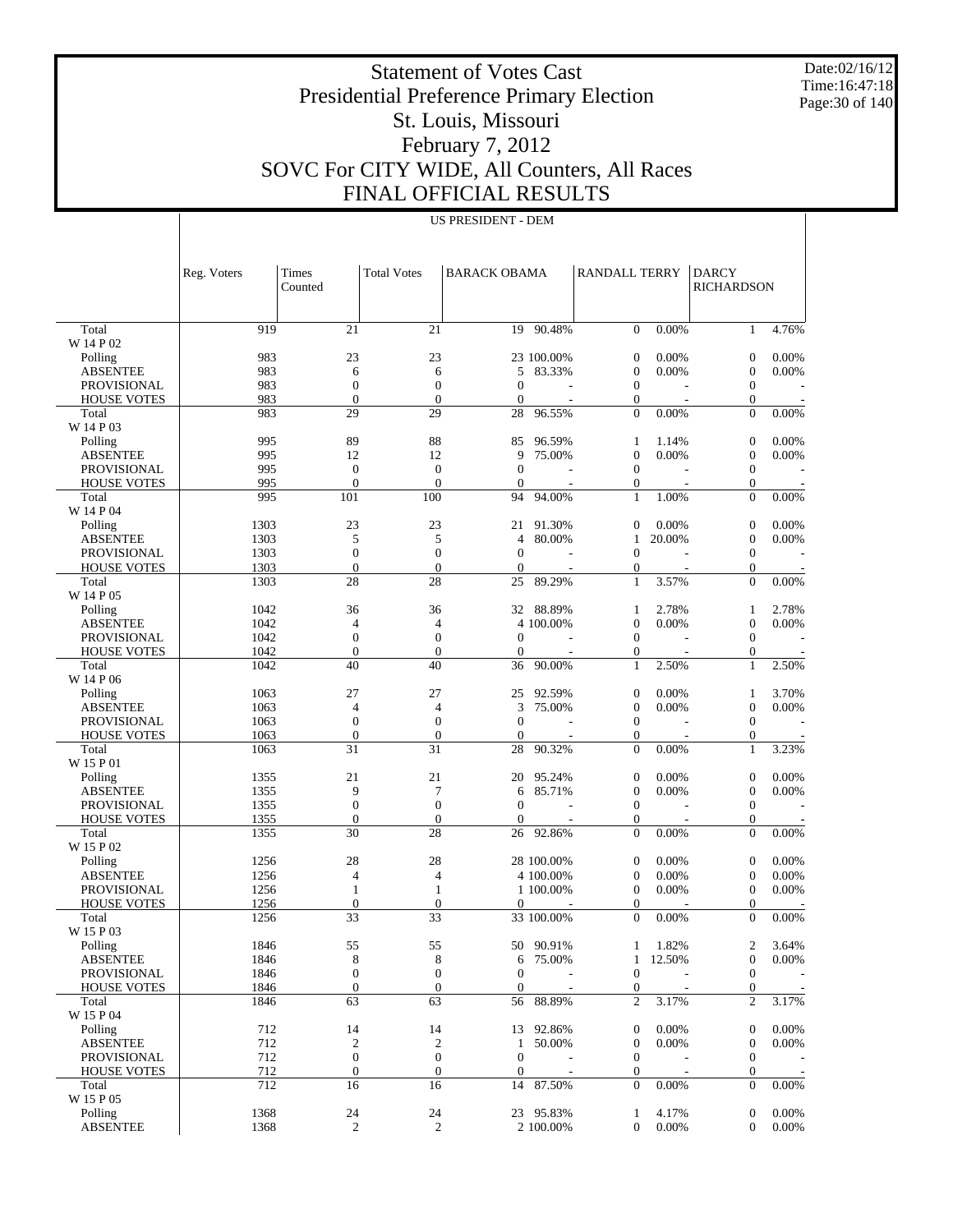Date:02/16/12 Time:16:47:18 Page:30 of 140

 $\overline{1}$ 

# Statement of Votes Cast Presidential Preference Primary Election St. Louis, Missouri February 7, 2012 SOVC For CITY WIDE, All Counters, All Races FINAL OFFICIAL RESULTS

US PRESIDENT - DEM

|                             | Reg. Voters  | Times<br>Counted       | <b>Total Votes</b>     | <b>BARACK OBAMA</b> |                  | <b>RANDALL TERRY</b>           |                 | <b>DARCY</b><br><b>RICHARDSON</b>    |          |
|-----------------------------|--------------|------------------------|------------------------|---------------------|------------------|--------------------------------|-----------------|--------------------------------------|----------|
|                             |              |                        |                        |                     |                  |                                |                 |                                      |          |
| Total<br>W 14 P 02          | 919          | 21                     | $\overline{21}$        |                     | $19 - 90.48\%$   | $\overline{0}$                 | 0.00%           | $\mathbf{1}$                         | 4.76%    |
| Polling                     | 983          | 23                     | 23                     |                     | 23 100.00%       | $\boldsymbol{0}$               | 0.00%           | $\boldsymbol{0}$                     | 0.00%    |
| <b>ABSENTEE</b>             | 983          | 6                      | 6                      | 5                   | 83.33%           | $\boldsymbol{0}$               | 0.00%           | $\boldsymbol{0}$                     | 0.00%    |
| <b>PROVISIONAL</b>          | 983          | $\theta$               | $\mathbf{0}$           | $\Omega$            |                  | $\mathbf{0}$                   |                 | $\boldsymbol{0}$                     |          |
| <b>HOUSE VOTES</b>          | 983          | $\theta$               | $\mathbf{0}$           | $\theta$            |                  | 0                              |                 | $\boldsymbol{0}$                     |          |
| Total<br>W 14 P 03          | 983          | 29                     | 29                     | 28                  | 96.55%           | $\theta$                       | 0.00%           | $\theta$                             | 0.00%    |
| Polling                     | 995          | 89                     | 88                     | 85                  | 96.59%           | 1                              | 1.14%           | $\boldsymbol{0}$                     | 0.00%    |
| <b>ABSENTEE</b>             | 995          | 12                     | 12                     | 9                   | 75.00%           | $\boldsymbol{0}$               | 0.00%           | $\boldsymbol{0}$                     | 0.00%    |
| <b>PROVISIONAL</b>          | 995          | $\mathbf{0}$           | $\mathbf{0}$           | $\mathbf{0}$        |                  | $\mathbf{0}$                   |                 | $\boldsymbol{0}$                     |          |
| HOUSE VOTES                 | 995          | $\mathbf{0}$           | $\mathbf{0}$           | $\theta$            |                  | $\boldsymbol{0}$               |                 | $\boldsymbol{0}$                     |          |
| Total<br>W 14 P 04          | 995          | 101                    | 100                    | 94                  | 94.00%           | $\mathbf{1}$                   | 1.00%           | $\overline{0}$                       | 0.00%    |
| Polling                     | 1303         | 23                     | 23                     | 21                  | 91.30%           | $\mathbf{0}$                   | 0.00%           | $\boldsymbol{0}$                     | 0.00%    |
| <b>ABSENTEE</b>             | 1303         | 5                      | 5                      | 4                   | 80.00%           | 1                              | 20.00%          | $\boldsymbol{0}$                     | 0.00%    |
| <b>PROVISIONAL</b>          | 1303         | $\overline{0}$         | $\mathbf{0}$           | $\mathbf{0}$        |                  | $\overline{0}$                 |                 | $\boldsymbol{0}$                     |          |
| <b>HOUSE VOTES</b>          | 1303         | $\theta$               | $\mathbf{0}$           | $\mathbf{0}$        |                  | $\boldsymbol{0}$               |                 | $\boldsymbol{0}$                     |          |
| Total<br>W 14 P 05          | 1303         | 28                     | 28                     | 25                  | 89.29%           | $\mathbf{1}$                   | 3.57%           | $\theta$                             | 0.00%    |
| Polling                     | 1042         | 36                     | 36                     | 32                  | 88.89%           | 1                              | 2.78%           | 1                                    | 2.78%    |
| <b>ABSENTEE</b>             | 1042         | 4                      | $\overline{4}$         |                     | 4 100.00%        | $\boldsymbol{0}$               | 0.00%           | $\boldsymbol{0}$                     | 0.00%    |
| <b>PROVISIONAL</b>          | 1042         | $\overline{0}$         | $\mathbf{0}$           | $\mathbf{0}$        |                  | $\mathbf{0}$                   |                 | $\boldsymbol{0}$                     |          |
| <b>HOUSE VOTES</b>          | 1042         | $\theta$               | $\mathbf{0}$           | $\theta$            |                  | $\boldsymbol{0}$               |                 | $\boldsymbol{0}$                     |          |
| Total<br>W 14 P 06          | 1042         | 40                     | 40                     | 36                  | 90.00%           | $\mathbf{1}$                   | 2.50%           | $\mathbf{1}$                         | 2.50%    |
| Polling                     | 1063         | 27                     | 27                     | 25                  | 92.59%           | $\boldsymbol{0}$               | 0.00%           | 1                                    | 3.70%    |
| <b>ABSENTEE</b>             | 1063         | 4                      | $\overline{4}$         | 3                   | 75.00%           | $\boldsymbol{0}$               | 0.00%           | $\boldsymbol{0}$                     | 0.00%    |
| <b>PROVISIONAL</b>          | 1063         | $\overline{0}$         | $\mathbf{0}$           | $\mathbf{0}$        |                  | $\mathbf{0}$                   |                 | $\boldsymbol{0}$                     |          |
| <b>HOUSE VOTES</b>          | 1063         | $\theta$               | $\mathbf{0}$           | $\theta$            |                  | $\boldsymbol{0}$               |                 | $\boldsymbol{0}$                     |          |
| Total<br>W 15 P 01          | 1063         | 31                     | 31                     | 28                  | 90.32%           | $\Omega$                       | 0.00%           | $\mathbf{1}$                         | 3.23%    |
| Polling                     | 1355         | 21                     | 21                     | 20                  | 95.24%           | $\boldsymbol{0}$               | 0.00%           | $\boldsymbol{0}$                     | 0.00%    |
| <b>ABSENTEE</b>             | 1355         | 9                      | 7                      | 6                   | 85.71%           | $\boldsymbol{0}$               | 0.00%           | $\boldsymbol{0}$                     | 0.00%    |
| <b>PROVISIONAL</b>          | 1355         | $\overline{0}$         | $\mathbf{0}$           | $\mathbf{0}$        |                  | $\mathbf{0}$                   |                 | $\boldsymbol{0}$                     |          |
| <b>HOUSE VOTES</b><br>Total | 1355<br>1355 | $\theta$<br>30         | $\mathbf{0}$<br>28     | $\mathbf{0}$<br>26  | 92.86%           | $\boldsymbol{0}$<br>$\theta$   | 0.00%           | $\boldsymbol{0}$<br>$\Omega$         | 0.00%    |
| W 15 P 02                   |              |                        |                        |                     |                  |                                |                 |                                      |          |
| Polling                     | 1256         | 28                     | 28                     |                     | 28 100.00%       | $\boldsymbol{0}$               | 0.00%           | $\boldsymbol{0}$                     | 0.00%    |
| <b>ABSENTEE</b>             | 1256         | 4                      | $\overline{4}$         |                     | 4 100.00%        | $\boldsymbol{0}$               | 0.00%           | $\boldsymbol{0}$                     | 0.00%    |
| <b>PROVISIONAL</b>          | 1256         | 1                      | $\mathbf{1}$           |                     | 1 100,00%        | $\mathbf{0}$                   | 0.00%           | $\boldsymbol{0}$                     | 0.00%    |
| <b>HOUSE VOTES</b>          | 1256<br>1256 | $\theta$<br>33         | $\boldsymbol{0}$<br>33 | $\mathbf{0}$        | 33 100.00%       | $\mathbf{0}$<br>$\overline{0}$ | 0.00%           | $\overline{0}$<br>$\overline{0}$     | 0.00%    |
| Total<br>W 15 P 03          |              |                        |                        |                     |                  |                                |                 |                                      |          |
| Polling                     | 1846         | 55                     | 55                     |                     | 50 90.91%        | 1                              | 1.82%           | $\boldsymbol{2}$                     | 3.64%    |
| <b>ABSENTEE</b>             | 1846         | 8                      | 8                      | 6                   | 75.00%           | $\mathbf{1}$                   | 12.50%          | $\boldsymbol{0}$                     | 0.00%    |
| PROVISIONAL                 | 1846         | $\boldsymbol{0}$       | $\boldsymbol{0}$       | $\mathbf{0}$        |                  | $\mathbf{0}$                   |                 | $\boldsymbol{0}$                     |          |
| <b>HOUSE VOTES</b>          | 1846         | $\mathbf{0}$           | $\boldsymbol{0}$       | $\overline{0}$      |                  | $\boldsymbol{0}$               |                 | $\boldsymbol{0}$                     |          |
| Total<br>W 15 P 04          | 1846         | 63                     | 63                     | 56                  | 88.89%           | $\overline{c}$                 | 3.17%           | $\mathbf{2}$                         | 3.17%    |
| Polling                     | 712          | 14                     | 14                     | 13                  | 92.86%           | $\mathbf{0}$                   | 0.00%           | $\boldsymbol{0}$                     | 0.00%    |
| <b>ABSENTEE</b>             | 712          | $\overline{c}$         | $\overline{c}$         | $\mathbf{1}$        | 50.00%           | $\boldsymbol{0}$               | 0.00%           | $\boldsymbol{0}$                     | 0.00%    |
| PROVISIONAL                 | 712          | $\boldsymbol{0}$       | $\boldsymbol{0}$       | $\mathbf{0}$        |                  | $\mathbf{0}$                   |                 | $\boldsymbol{0}$                     |          |
| <b>HOUSE VOTES</b>          | 712<br>712   | $\boldsymbol{0}$<br>16 | $\boldsymbol{0}$<br>16 | $\mathbf{0}$<br>14  | $\sim$<br>87.50% | $\mathbf{0}$<br>$\mathbf{0}$   | $\sim$<br>0.00% | $\boldsymbol{0}$<br>$\boldsymbol{0}$ | $0.00\%$ |
| Total<br>W 15 P 05          |              |                        |                        |                     |                  |                                |                 |                                      |          |
| Polling                     | 1368         | 24                     | 24                     |                     | 23 95.83%        | 1                              | 4.17%           | $\boldsymbol{0}$                     | 0.00%    |
| <b>ABSENTEE</b>             | 1368         | $\overline{c}$         | 2                      |                     | 2 100.00%        | $\mathbf{0}$                   | 0.00%           | $\overline{0}$                       | 0.00%    |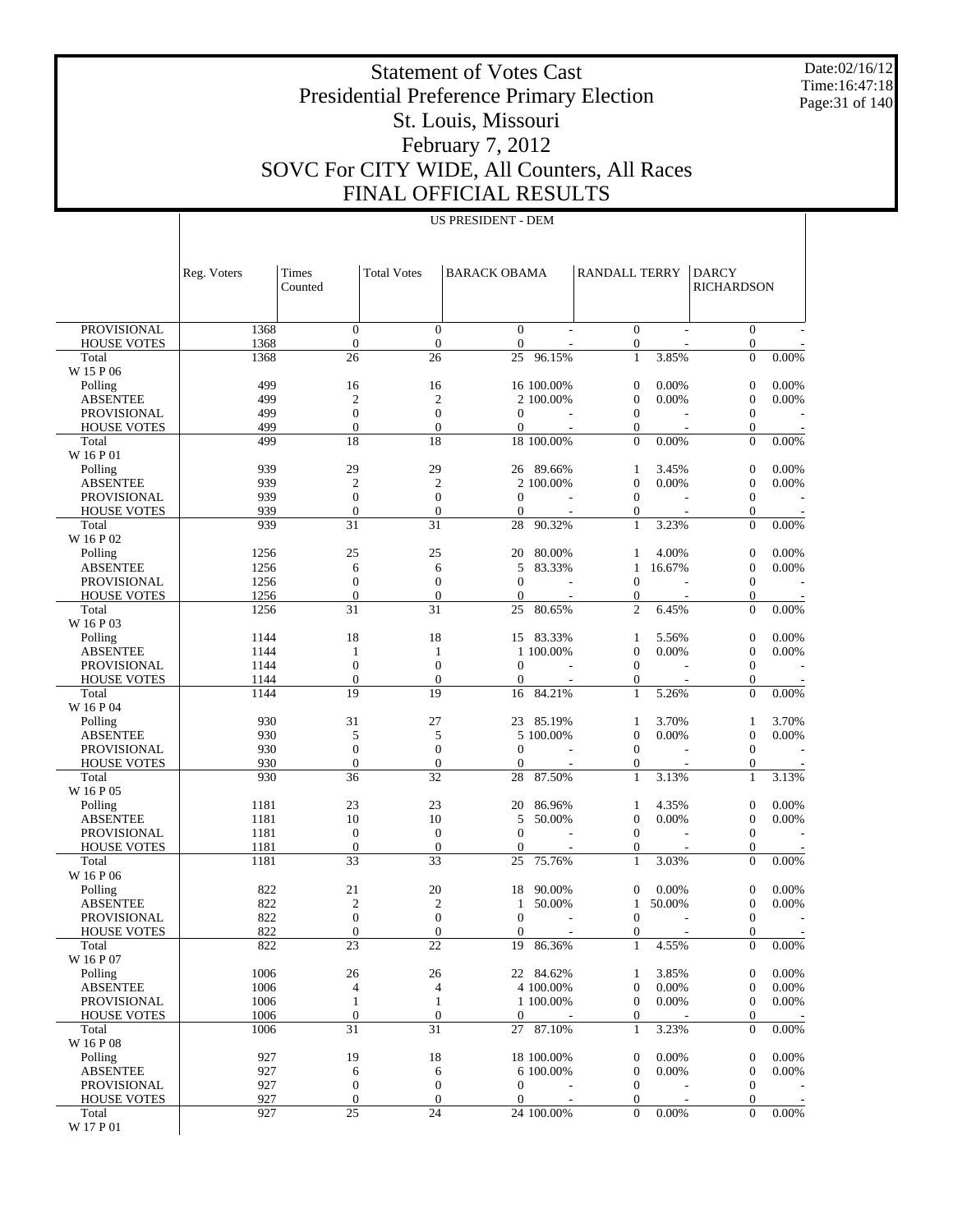Date:02/16/12 Time:16:47:18 Page:31 of 140

 $\overline{1}$ 

# Statement of Votes Cast Presidential Preference Primary Election St. Louis, Missouri February 7, 2012 SOVC For CITY WIDE, All Counters, All Races FINAL OFFICIAL RESULTS

US PRESIDENT - DEM

|                             | Reg. Voters  | Times<br>Counted       | <b>Total Votes</b>     | <b>BARACK OBAMA</b> |                | <b>RANDALL TERRY</b>           |                          | <b>DARCY</b><br><b>RICHARDSON</b>  |       |
|-----------------------------|--------------|------------------------|------------------------|---------------------|----------------|--------------------------------|--------------------------|------------------------------------|-------|
|                             |              |                        |                        |                     |                |                                |                          |                                    |       |
| <b>PROVISIONAL</b>          | 1368         | $\mathbf{0}$           | $\mathbf{0}$           | $\mathbf{0}$        |                | $\overline{0}$                 |                          | $\boldsymbol{0}$                   |       |
| <b>HOUSE VOTES</b>          | 1368         | $\boldsymbol{0}$       | $\mathbf{0}$           | $\mathbf{0}$        |                | $\mathbf{0}$                   |                          | 0                                  |       |
| Total                       | 1368         | 26                     | 26                     | 25                  | 96.15%         | $\mathbf{1}$                   | 3.85%                    | $\overline{0}$                     | 0.00% |
| W 15 P 06                   | 499          | 16                     | 16                     |                     | 16 100.00%     | $\mathbf{0}$                   | 0.00%                    | $\boldsymbol{0}$                   | 0.00% |
| Polling<br><b>ABSENTEE</b>  | 499          | $\overline{2}$         | $\mathfrak{2}$         |                     | 2 100.00%      | $\theta$                       | 0.00%                    | $\boldsymbol{0}$                   | 0.00% |
| <b>PROVISIONAL</b>          | 499          | $\overline{0}$         | $\mathbf{0}$           | $\mathbf{0}$        |                | $\mathbf{0}$                   |                          | 0                                  |       |
| <b>HOUSE VOTES</b>          | 499          | $\overline{0}$         | $\mathbf{0}$           | $\mathbf{0}$        |                | $\mathbf{0}$                   |                          | 0                                  |       |
| Total                       | 499          | 18                     | 18                     |                     | 18 100.00%     | $\mathbf{0}$                   | 0.00%                    | $\overline{0}$                     | 0.00% |
| W 16 P 01                   |              |                        |                        |                     |                |                                |                          |                                    |       |
| Polling                     | 939          | 29                     | 29                     |                     | 26 89.66%      | $\mathbf{1}$                   | 3.45%                    | $\overline{0}$                     | 0.00% |
| <b>ABSENTEE</b>             | 939          | $\mathfrak{2}$         | $\boldsymbol{2}$       |                     | 2 100,00%      | $\theta$                       | 0.00%                    | $\mathbf{0}$                       | 0.00% |
| <b>PROVISIONAL</b>          | 939          | $\overline{0}$         | $\mathbf{0}$           | $\mathbf{0}$        |                | $\mathbf{0}$                   |                          | $\boldsymbol{0}$                   |       |
| <b>HOUSE VOTES</b>          | 939          | $\boldsymbol{0}$       | $\mathbf{0}$           | $\mathbf{0}$        |                | $\mathbf{0}$                   |                          | 0                                  |       |
| Total                       | 939          | 31                     | 31                     | 28                  | 90.32%         | $\mathbf{1}$                   | 3.23%                    | $\overline{0}$                     | 0.00% |
| W 16 P 02                   |              |                        |                        |                     |                |                                |                          |                                    |       |
| Polling                     | 1256         | 25                     | 25                     | 20                  | 80.00%         | 1                              | 4.00%                    | $\boldsymbol{0}$                   | 0.00% |
| <b>ABSENTEE</b>             | 1256         | 6                      | 6                      | 5                   | 83.33%         | $\mathbf{1}$                   | 16.67%                   | $\boldsymbol{0}$                   | 0.00% |
| <b>PROVISIONAL</b>          | 1256         | $\overline{0}$         | $\mathbf{0}$           | $\mathbf{0}$        |                | $\theta$                       |                          | $\boldsymbol{0}$                   |       |
| <b>HOUSE VOTES</b>          | 1256         | $\boldsymbol{0}$       | $\mathbf{0}$           | $\mathbf{0}$        |                | $\mathbf{0}$<br>$\overline{c}$ |                          | 0                                  | 0.00% |
| Total<br>W 16 P 03          | 1256         | 31                     | 31                     | 25                  | 80.65%         |                                | 6.45%                    | $\overline{0}$                     |       |
| Polling                     | 1144         | 18                     | 18                     |                     | 15 83.33%      | $\mathbf{1}$                   | 5.56%                    | $\boldsymbol{0}$                   | 0.00% |
| <b>ABSENTEE</b>             | 1144         | 1                      | $\mathbf{1}$           |                     | 1 100,00%      | $\theta$                       | 0.00%                    | $\boldsymbol{0}$                   | 0.00% |
| <b>PROVISIONAL</b>          | 1144         | $\overline{0}$         | $\mathbf{0}$           | $\mathbf{0}$        | $\overline{a}$ | $\overline{0}$                 |                          | $\boldsymbol{0}$                   |       |
| <b>HOUSE VOTES</b>          | 1144         | $\boldsymbol{0}$       | $\boldsymbol{0}$       | $\boldsymbol{0}$    |                | $\mathbf{0}$                   |                          | 0                                  |       |
| Total                       | 1144         | 19                     | 19                     | 16                  | 84.21%         | $\mathbf{1}$                   | 5.26%                    | $\overline{0}$                     | 0.00% |
| W 16 P 04                   |              |                        |                        |                     |                |                                |                          |                                    |       |
| Polling                     | 930          | 31                     | 27                     | 23                  | 85.19%         | $\mathbf{1}$                   | 3.70%                    | 1                                  | 3.70% |
| <b>ABSENTEE</b>             | 930          | 5                      | 5                      |                     | 5 100.00%      | $\theta$                       | 0.00%                    | $\boldsymbol{0}$                   | 0.00% |
| <b>PROVISIONAL</b>          | 930          | $\overline{0}$         | $\mathbf{0}$           | $\mathbf{0}$        |                | $\mathbf{0}$                   |                          | $\boldsymbol{0}$                   |       |
| <b>HOUSE VOTES</b>          | 930          | $\overline{0}$         | $\boldsymbol{0}$       | $\mathbf{0}$        |                | $\mathbf{0}$                   |                          | 0                                  |       |
| Total                       | 930          | 36                     | 32                     | 28                  | 87.50%         | $\mathbf{1}$                   | 3.13%                    | $\mathbf{1}$                       | 3.13% |
| W 16 P 05                   |              |                        |                        |                     |                |                                |                          |                                    |       |
| Polling                     | 1181         | 23                     | 23                     | 20                  | 86.96%         | 1                              | 4.35%                    | $\overline{0}$                     | 0.00% |
| <b>ABSENTEE</b>             | 1181         | 10                     | 10                     | 5                   | 50.00%         | $\theta$                       | 0.00%                    | $\boldsymbol{0}$                   | 0.00% |
| <b>PROVISIONAL</b>          | 1181         | $\boldsymbol{0}$       | $\boldsymbol{0}$       | $\mathbf{0}$        | L,             | $\overline{0}$                 | $\overline{\phantom{a}}$ | $\boldsymbol{0}$                   |       |
| <b>HOUSE VOTES</b><br>Total | 1181<br>1181 | $\mathbf{0}$<br>33     | $\boldsymbol{0}$<br>33 | $\mathbf{0}$<br>25  | 75.76%         | $\mathbf{0}$<br>$\mathbf{1}$   | 3.03%                    | 0<br>$\overline{0}$                | 0.00% |
| W 16 P 06                   |              |                        |                        |                     |                |                                |                          |                                    |       |
| Polling                     | 822          | 21                     | 20                     | 18                  | 90.00%         | $\mathbf{0}$                   | 0.00%                    | $\boldsymbol{0}$                   | 0.00% |
| <b>ABSENTEE</b>             | 822          | $\boldsymbol{2}$       | $\boldsymbol{2}$       | 1                   | 50.00%         | 1                              | 50.00%                   | $\boldsymbol{0}$                   | 0.00% |
| <b>PROVISIONAL</b>          | 822          | $\overline{0}$         | $\mathbf{0}$           | $\mathbf{0}$        |                | $\mathbf{0}$                   | $\overline{\phantom{a}}$ | 0                                  |       |
| <b>HOUSE VOTES</b>          | 822          | $\boldsymbol{0}$       | $\boldsymbol{0}$       | $\boldsymbol{0}$    |                | $\boldsymbol{0}$               |                          | $\boldsymbol{0}$                   |       |
| Total                       | 822          | 23                     | 22                     | 19                  | 86.36%         | $\mathbf{1}$                   | 4.55%                    | $\boldsymbol{0}$                   | 0.00% |
| W 16 P 07                   |              |                        |                        |                     |                |                                |                          |                                    |       |
| Polling                     | 1006         | 26                     | 26                     |                     | 22 84.62%      | 1                              | 3.85%                    | $\boldsymbol{0}$                   | 0.00% |
| <b>ABSENTEE</b>             | 1006         | 4                      | 4                      |                     | 4 100.00%      | $\mathbf{0}$                   | 0.00%                    | 0                                  | 0.00% |
| <b>PROVISIONAL</b>          | 1006         | $\mathbf{1}$           | $\mathbf{1}$           |                     | 1 100.00%      | $\theta$                       | 0.00%                    | $\boldsymbol{0}$                   | 0.00% |
| <b>HOUSE VOTES</b>          | 1006         | $\boldsymbol{0}$       | $\boldsymbol{0}$       | $\mathbf{0}$        |                | $\boldsymbol{0}$               |                          | $\mathbf{0}$                       |       |
| Total                       | 1006         | 31                     | 31                     | 27                  | 87.10%         | 1                              | 3.23%                    | $\boldsymbol{0}$                   | 0.00% |
| W 16 P 08                   |              |                        |                        |                     |                |                                |                          |                                    |       |
| Polling                     | 927          | 19                     | 18                     |                     | 18 100.00%     | $\mathbf{0}$                   | 0.00%                    | $\boldsymbol{0}$                   | 0.00% |
| <b>ABSENTEE</b>             | 927          | 6                      | 6                      |                     | 6 100.00%      | $\mathbf{0}$                   | 0.00%                    | $\boldsymbol{0}$                   | 0.00% |
| PROVISIONAL                 | 927          | $\boldsymbol{0}$       | $\boldsymbol{0}$       | $\mathbf{0}$        |                | $\theta$                       |                          | $\boldsymbol{0}$                   |       |
| <b>HOUSE VOTES</b><br>Total | 927<br>927   | $\boldsymbol{0}$<br>25 | $\boldsymbol{0}$<br>24 | $\mathbf{0}$        | 24 100.00%     | $\theta$<br>$\mathbf{0}$       | 0.00%                    | $\boldsymbol{0}$<br>$\overline{0}$ | 0.00% |
| W 17 P 01                   |              |                        |                        |                     |                |                                |                          |                                    |       |
|                             |              |                        |                        |                     |                |                                |                          |                                    |       |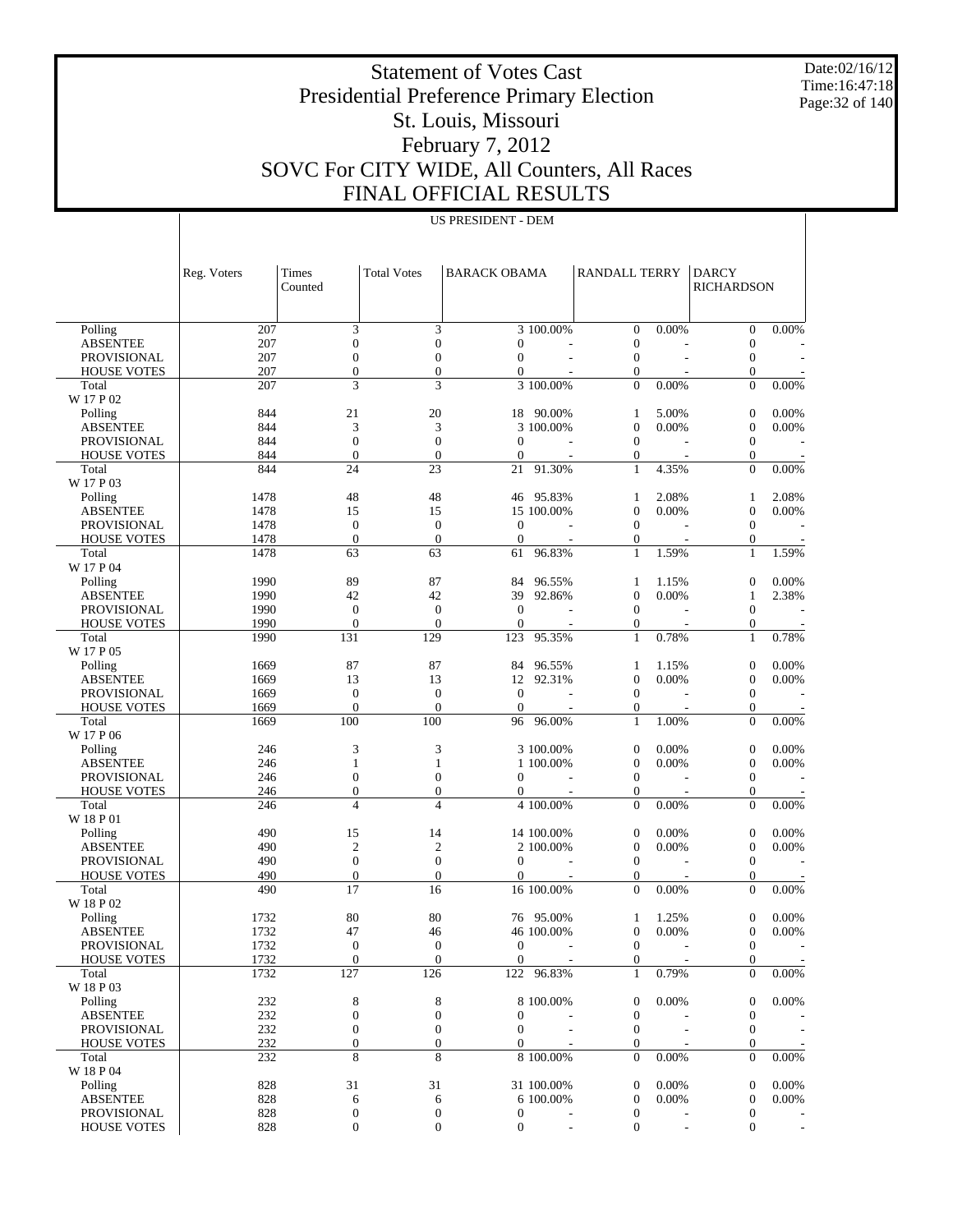Date:02/16/12 Time:16:47:18 Page:32 of 140

# Statement of Votes Cast Presidential Preference Primary Election St. Louis, Missouri February 7, 2012 SOVC For CITY WIDE, All Counters, All Races FINAL OFFICIAL RESULTS

| US PRESIDENT - DEM |
|--------------------|
|--------------------|

|                                   | Reg. Voters | Times<br>Counted      | <b>Total Votes</b>   | <b>BARACK OBAMA</b>              |            | <b>RANDALL TERRY</b>         |                | <b>DARCY</b><br><b>RICHARDSON</b>    |                |
|-----------------------------------|-------------|-----------------------|----------------------|----------------------------------|------------|------------------------------|----------------|--------------------------------------|----------------|
|                                   |             |                       |                      |                                  |            |                              |                |                                      |                |
|                                   |             |                       |                      |                                  |            |                              |                |                                      |                |
| Polling                           | 207<br>207  | 3<br>$\boldsymbol{0}$ | 3<br>$\mathbf{0}$    |                                  | 3 100.00%  | $\mathbf{0}$<br>$\mathbf{0}$ | 0.00%          | $\boldsymbol{0}$                     | 0.00%          |
| <b>ABSENTEE</b>                   | 207         | $\boldsymbol{0}$      | $\mathbf{0}$         | $\boldsymbol{0}$<br>$\mathbf{0}$ |            | $\boldsymbol{0}$             |                | $\mathbf{0}$<br>$\boldsymbol{0}$     |                |
| PROVISIONAL<br><b>HOUSE VOTES</b> | 207         | $\overline{0}$        | $\mathbf{0}$         | $\boldsymbol{0}$                 |            | $\boldsymbol{0}$             |                | $\mathbf{0}$                         |                |
| Total                             | 207         | 3                     | 3                    |                                  | 3 100.00%  | $\overline{0}$               | 0.00%          | $\overline{0}$                       | 0.00%          |
| W 17 P 02                         |             |                       |                      |                                  |            |                              |                |                                      |                |
| Polling                           | 844         | 21                    | 20                   | 18                               | 90.00%     | 1                            | 5.00%          | $\mathbf{0}$                         | 0.00%          |
| <b>ABSENTEE</b>                   | 844         | 3                     | 3                    |                                  | 3 100.00%  | $\mathbf{0}$                 | 0.00%          | $\boldsymbol{0}$                     | 0.00%          |
| PROVISIONAL                       | 844         | $\boldsymbol{0}$      | $\mathbf{0}$         | $\mathbf{0}$                     |            | $\boldsymbol{0}$             |                | $\boldsymbol{0}$                     |                |
| <b>HOUSE VOTES</b>                | 844         | $\overline{0}$        | $\mathbf{0}$         | $\boldsymbol{0}$                 |            | $\boldsymbol{0}$             |                | $\mathbf{0}$                         |                |
| Total                             | 844         | 24                    | 23                   | 21                               | 91.30%     | $\mathbf{1}$                 | 4.35%          | $\overline{0}$                       | 0.00%          |
| W 17 P 03                         |             |                       |                      |                                  |            |                              |                |                                      |                |
| Polling                           | 1478        | 48                    | 48                   | 46                               | 95.83%     | 1                            | 2.08%          | 1                                    | 2.08%          |
| <b>ABSENTEE</b>                   | 1478        | 15                    | 15                   |                                  | 15 100.00% | $\mathbf{0}$                 | 0.00%          | $\boldsymbol{0}$                     | 0.00%          |
| PROVISIONAL                       | 1478        | $\boldsymbol{0}$      | $\mathbf{0}$         | $\mathbf{0}$                     |            | $\boldsymbol{0}$             |                | $\mathbf{0}$                         |                |
| <b>HOUSE VOTES</b>                | 1478        | $\overline{0}$        | $\mathbf{0}$         | $\mathbf{0}$                     |            | $\boldsymbol{0}$             |                | 0                                    |                |
| Total                             | 1478        | 63                    | 63                   | 61                               | 96.83%     | $\mathbf{1}$                 | 1.59%          | $\mathbf{1}$                         | 1.59%          |
| W 17 P 04                         |             |                       |                      |                                  |            |                              |                |                                      |                |
| Polling                           | 1990        | 89                    | 87                   | 84                               | 96.55%     | 1                            | 1.15%          | 0                                    | 0.00%          |
| <b>ABSENTEE</b>                   | 1990        | 42                    | 42                   | 39                               | 92.86%     | $\mathbf{0}$                 | 0.00%          | 1                                    | 2.38%          |
| PROVISIONAL                       | 1990        | $\boldsymbol{0}$      | $\mathbf{0}$         | $\mathbf{0}$                     |            | $\boldsymbol{0}$             |                | $\boldsymbol{0}$                     |                |
| <b>HOUSE VOTES</b>                | 1990        | $\Omega$              | $\mathbf{0}$         | $\mathbf{0}$                     |            | $\boldsymbol{0}$             |                | $\mathbf{0}$                         |                |
| Total                             | 1990        | 131                   | 129                  | 123                              | 95.35%     | $\mathbf{1}$                 | 0.78%          | $\mathbf{1}$                         | 0.78%          |
| W 17 P 05                         |             |                       |                      |                                  |            |                              |                |                                      |                |
| Polling                           | 1669        | 87                    | 87                   | 84                               | 96.55%     | 1                            | 1.15%          | $\boldsymbol{0}$                     | 0.00%          |
| <b>ABSENTEE</b>                   | 1669        | 13                    | 13                   | 12                               | 92.31%     | $\mathbf{0}$                 | 0.00%          | $\boldsymbol{0}$                     | 0.00%          |
| PROVISIONAL                       | 1669        | $\boldsymbol{0}$      | $\mathbf{0}$         | $\mathbf{0}$                     |            | $\boldsymbol{0}$             |                | $\boldsymbol{0}$                     |                |
| <b>HOUSE VOTES</b>                | 1669        | $\overline{0}$        | $\overline{0}$       | $\boldsymbol{0}$                 |            | $\boldsymbol{0}$             |                | $\boldsymbol{0}$                     |                |
| Total                             | 1669        | 100                   | 100                  | 96                               | 96.00%     | $\mathbf{1}$                 | 1.00%          | $\overline{0}$                       | 0.00%          |
| W 17 P 06                         |             |                       |                      |                                  |            |                              |                |                                      |                |
| Polling                           | 246         | 3                     | 3                    |                                  | 3 100.00%  | $\boldsymbol{0}$             | 0.00%          | $\boldsymbol{0}$                     | 0.00%          |
| <b>ABSENTEE</b>                   | 246         | 1                     | 1                    |                                  | 1 100.00%  | $\mathbf{0}$                 | 0.00%          | $\boldsymbol{0}$                     | 0.00%          |
| PROVISIONAL                       | 246         | $\boldsymbol{0}$      | $\boldsymbol{0}$     | $\mathbf{0}$                     |            | $\boldsymbol{0}$             |                | $\boldsymbol{0}$                     |                |
| <b>HOUSE VOTES</b>                | 246         | $\overline{0}$        | $\overline{0}$       | $\mathbf{0}$                     |            | $\boldsymbol{0}$             |                | $\mathbf{0}$                         |                |
| Total                             | 246         | 4                     | $\overline{4}$       |                                  | 4 100.00%  | $\mathbf{0}$                 | 0.00%          | $\overline{0}$                       | 0.00%          |
| W 18 P 01                         |             |                       |                      |                                  | 14 100.00% |                              |                |                                      |                |
| Polling                           | 490<br>490  | 15<br>$\mathfrak{2}$  | 14<br>$\overline{2}$ |                                  | 2 100.00%  | $\mathbf{0}$<br>$\mathbf{0}$ | 0.00%<br>0.00% | $\boldsymbol{0}$                     | 0.00%<br>0.00% |
| <b>ABSENTEE</b>                   | 490         | $\boldsymbol{0}$      | $\mathbf{0}$         | $\mathbf{0}$                     |            | $\boldsymbol{0}$             |                | $\boldsymbol{0}$<br>$\boldsymbol{0}$ |                |
| PROVISIONAL<br><b>HOUSE VOTES</b> | 490         | $\boldsymbol{0}$      | $\mathbf{0}$         | $\mathbf{0}$                     |            | $\boldsymbol{0}$             |                | $\mathbf{0}$                         |                |
| Total                             | 490         | 17                    | 16                   |                                  | 16 100.00% | $\overline{0}$               | 0.00%          | $\overline{0}$                       | 0.00%          |
| W 18 P 02                         |             |                       |                      |                                  |            |                              |                |                                      |                |
| Polling                           | 1732        | 80                    | 80                   |                                  | 76 95.00%  | 1                            | 1.25%          | $\overline{0}$                       | 0.00%          |
| <b>ABSENTEE</b>                   | 1732        | 47                    | 46                   |                                  | 46 100.00% | $\mathbf{0}$                 | 0.00%          | $\boldsymbol{0}$                     | 0.00%          |
| PROVISIONAL                       | 1732        | $\mathbf{0}$          | $\theta$             | $\overline{0}$                   |            | $\mathbf{0}$                 |                | $\overline{0}$                       |                |
| <b>HOUSE VOTES</b>                | 1732        | $\boldsymbol{0}$      | $\boldsymbol{0}$     | $\mathbf{0}$                     |            | $\boldsymbol{0}$             |                | $\boldsymbol{0}$                     |                |
| Total                             | 1732        | 127                   | 126                  |                                  | 122 96.83% | $\mathbf{1}$                 | 0.79%          | $\Omega$                             | $0.00\%$       |
| W 18 P 03                         |             |                       |                      |                                  |            |                              |                |                                      |                |
| Polling                           | 232         | 8                     | 8                    |                                  | 8 100.00%  | $\mathbf{0}$                 | 0.00%          | 0                                    | 0.00%          |
| <b>ABSENTEE</b>                   | 232         | $\boldsymbol{0}$      | $\boldsymbol{0}$     | $\boldsymbol{0}$                 |            | $\boldsymbol{0}$             |                | 0                                    |                |
| <b>PROVISIONAL</b>                | 232         | $\boldsymbol{0}$      | $\boldsymbol{0}$     | $\overline{0}$                   |            | $\boldsymbol{0}$             |                | $\mathbf{0}$                         |                |
| <b>HOUSE VOTES</b>                | 232         | $\overline{0}$        | $\boldsymbol{0}$     | $\Omega$                         |            | $\mathbf{0}$                 |                | $\mathbf{0}$                         |                |
| Total                             | 232         | 8                     | 8                    |                                  | 8 100.00%  | $\mathbf{0}$                 | 0.00%          | $\mathbf{0}$                         | $0.00\%$       |
| W 18 P 04                         |             |                       |                      |                                  |            |                              |                |                                      |                |
| Polling                           | 828         | 31                    | 31                   |                                  | 31 100.00% | $\mathbf{0}$                 | 0.00%          | $\mathbf{0}$                         | 0.00%          |
| <b>ABSENTEE</b>                   | 828         | 6                     | 6                    |                                  | 6 100.00%  | $\mathbf{0}$                 | 0.00%          | $\mathbf{0}$                         | 0.00%          |
| <b>PROVISIONAL</b>                | 828         | $\boldsymbol{0}$      | $\boldsymbol{0}$     | $\boldsymbol{0}$                 |            | $\boldsymbol{0}$             |                | $\mathbf{0}$                         |                |
| <b>HOUSE VOTES</b>                | 828         | $\overline{0}$        | $\boldsymbol{0}$     | $\boldsymbol{0}$                 |            | $\mathbf{0}$                 |                | $\Omega$                             |                |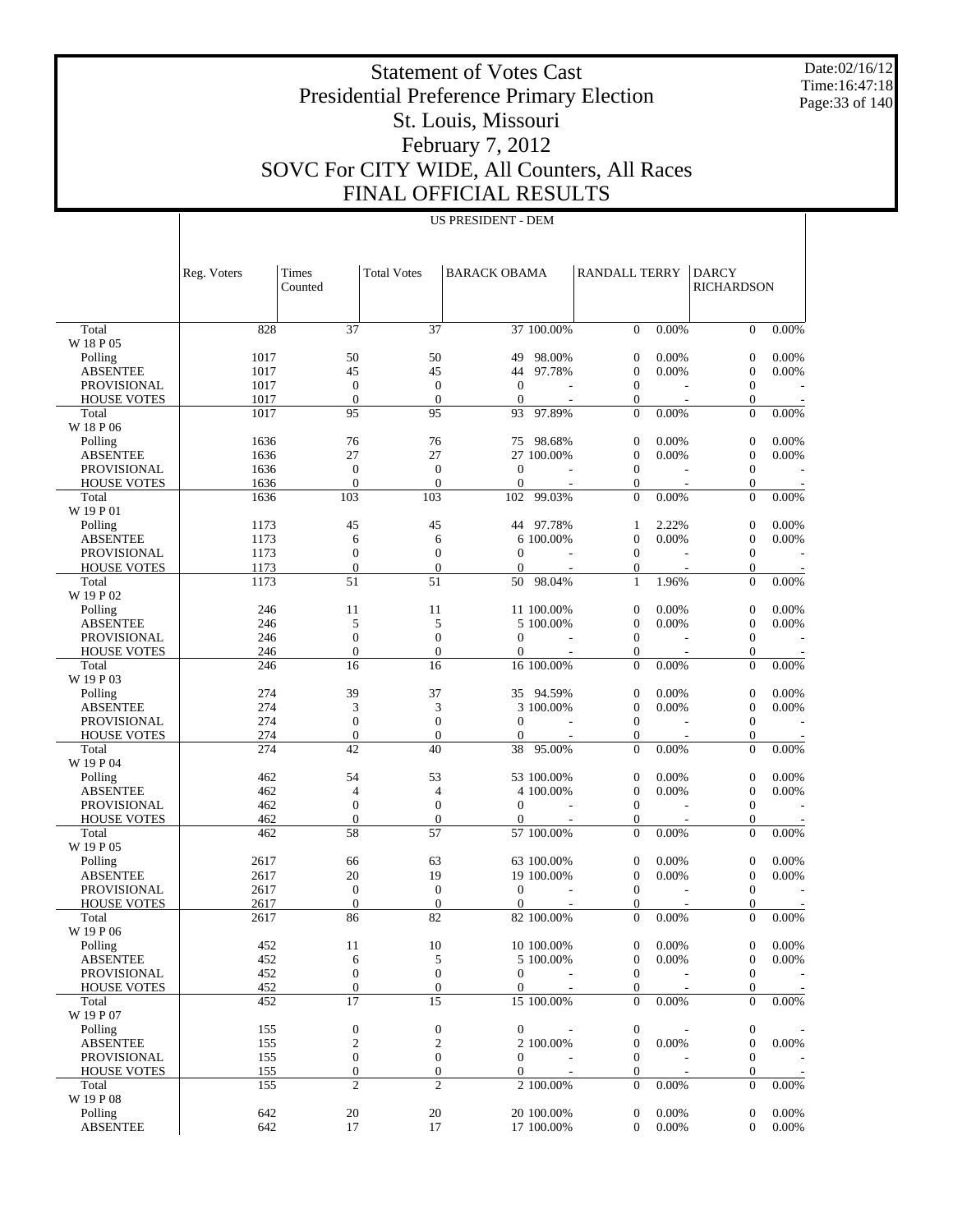Date:02/16/12 Time:16:47:18 Page:33 of 140

 $\overline{1}$ 

# Statement of Votes Cast Presidential Preference Primary Election St. Louis, Missouri February 7, 2012 SOVC For CITY WIDE, All Counters, All Races FINAL OFFICIAL RESULTS

|                                          | Reg. Voters  | Times<br>Counted                   | <b>Total Votes</b>                 | <b>BARACK OBAMA</b>      |                          | <b>RANDALL TERRY</b>                 |                | <b>DARCY</b><br><b>RICHARDSON</b>    |                |
|------------------------------------------|--------------|------------------------------------|------------------------------------|--------------------------|--------------------------|--------------------------------------|----------------|--------------------------------------|----------------|
| Total                                    | 828          | 37                                 | 37                                 |                          | 37 100.00%               | $\overline{0}$                       | 0.00%          | $\overline{0}$                       | 0.00%          |
| W 18 P 05                                |              |                                    |                                    |                          |                          |                                      |                |                                      |                |
| Polling                                  | 1017         | 50                                 | 50                                 | 49                       | 98.00%                   | 0                                    | 0.00%          | $\mathbf{0}$                         | 0.00%          |
| <b>ABSENTEE</b>                          | 1017         | 45                                 | 45                                 | 44                       | 97.78%                   | $\boldsymbol{0}$                     | 0.00%          | $\mathbf{0}$                         | 0.00%          |
| <b>PROVISIONAL</b><br><b>HOUSE VOTES</b> | 1017<br>1017 | $\boldsymbol{0}$<br>$\theta$       | $\mathbf{0}$<br>$\mathbf{0}$       | $\mathbf{0}$<br>$\theta$ | $\overline{\phantom{a}}$ | $\mathbf{0}$<br>$\boldsymbol{0}$     |                | $\boldsymbol{0}$<br>$\boldsymbol{0}$ |                |
| Total                                    | 1017         | 95                                 | 95                                 | 93                       | 97.89%                   | $\overline{0}$                       | 0.00%          | $\overline{0}$                       | 0.00%          |
| W 18 P 06                                |              |                                    |                                    |                          |                          |                                      |                |                                      |                |
| Polling                                  | 1636         | 76                                 | 76                                 |                          | 75 98.68%                | 0                                    | 0.00%          | $\boldsymbol{0}$                     | 0.00%          |
| <b>ABSENTEE</b>                          | 1636         | 27                                 | 27                                 |                          | 27 100.00%               | $\boldsymbol{0}$                     | 0.00%          | $\boldsymbol{0}$                     | 0.00%          |
| <b>PROVISIONAL</b>                       | 1636         | $\boldsymbol{0}$                   | $\boldsymbol{0}$                   | $\theta$                 |                          | $\mathbf{0}$                         |                | $\boldsymbol{0}$                     |                |
| <b>HOUSE VOTES</b>                       | 1636         | $\overline{0}$                     | $\mathbf{0}$                       | $\mathbf{0}$             |                          | $\boldsymbol{0}$                     |                | $\boldsymbol{0}$                     |                |
| Total<br>W 19 P 01                       | 1636         | 103                                | 103                                | 102                      | 99.03%                   | $\overline{0}$                       | 0.00%          | $\overline{0}$                       | 0.00%          |
| Polling                                  | 1173         | 45                                 | 45                                 |                          | 44 97.78%                | 1                                    | 2.22%          | $\boldsymbol{0}$                     | 0.00%          |
| <b>ABSENTEE</b>                          | 1173         | 6                                  | 6                                  |                          | 6 100.00%                | $\boldsymbol{0}$                     | 0.00%          | $\boldsymbol{0}$                     | 0.00%          |
| <b>PROVISIONAL</b>                       | 1173         | $\boldsymbol{0}$                   | $\mathbf{0}$                       | $\theta$                 | ÷.                       | $\mathbf{0}$                         |                | $\boldsymbol{0}$                     |                |
| <b>HOUSE VOTES</b>                       | 1173         | $\mathbf{0}$                       | $\overline{0}$                     | $\theta$                 |                          | $\boldsymbol{0}$                     |                | $\boldsymbol{0}$                     |                |
| Total<br>W 19 P 02                       | 1173         | 51                                 | 51                                 | 50                       | 98.04%                   | $\mathbf{1}$                         | 1.96%          | $\overline{0}$                       | 0.00%          |
| Polling                                  | 246          | 11                                 | 11                                 |                          | 11 100.00%               | $\boldsymbol{0}$                     | 0.00%          | $\boldsymbol{0}$                     | 0.00%          |
| <b>ABSENTEE</b>                          | 246          | 5                                  | 5                                  |                          | 5 100.00%                | $\boldsymbol{0}$                     | 0.00%          | $\mathbf{0}$                         | 0.00%          |
| <b>PROVISIONAL</b>                       | 246          | $\mathbf{0}$                       | $\mathbf{0}$                       | $\theta$                 |                          | $\mathbf{0}$                         |                | $\boldsymbol{0}$                     |                |
| <b>HOUSE VOTES</b>                       | 246<br>246   | $\mathbf{0}$<br>16                 | $\mathbf{0}$<br>16                 | $\theta$                 | 16 100.00%               | $\boldsymbol{0}$<br>$\overline{0}$   | 0.00%          | $\boldsymbol{0}$<br>$\overline{0}$   | 0.00%          |
| Total<br>W 19 P 03                       |              |                                    |                                    |                          |                          |                                      |                |                                      |                |
| Polling                                  | 274          | 39                                 | 37                                 |                          | 35 94.59%                | 0                                    | 0.00%          | $\boldsymbol{0}$                     | 0.00%          |
| <b>ABSENTEE</b><br><b>PROVISIONAL</b>    | 274<br>274   | 3<br>$\boldsymbol{0}$              | 3<br>$\boldsymbol{0}$              | $\mathbf{0}$             | 3 100.00%                | $\boldsymbol{0}$<br>$\mathbf{0}$     | 0.00%          | $\boldsymbol{0}$<br>$\boldsymbol{0}$ | 0.00%          |
| <b>HOUSE VOTES</b>                       | 274          | $\boldsymbol{0}$                   | $\mathbf{0}$                       | $\theta$                 |                          | $\boldsymbol{0}$                     |                | $\boldsymbol{0}$                     |                |
| Total                                    | 274          | 42                                 | 40                                 | 38                       | 95.00%                   | $\overline{0}$                       | 0.00%          | $\overline{0}$                       | 0.00%          |
| W 19 P 04                                |              |                                    |                                    |                          |                          |                                      |                |                                      |                |
| Polling                                  | 462          | 54                                 | 53                                 |                          | 53 100.00%               | $\boldsymbol{0}$                     | 0.00%          | $\boldsymbol{0}$                     | 0.00%          |
| <b>ABSENTEE</b>                          | 462          | 4                                  | 4                                  |                          | 4 100.00%                | $\boldsymbol{0}$                     | 0.00%          | $\boldsymbol{0}$                     | 0.00%          |
| <b>PROVISIONAL</b>                       | 462          | $\boldsymbol{0}$                   | $\mathbf{0}$                       | $\mathbf{0}$             |                          | $\mathbf{0}$                         |                | $\boldsymbol{0}$                     |                |
| <b>HOUSE VOTES</b>                       | 462          | $\mathbf{0}$<br>58                 | $\boldsymbol{0}$<br>57             | $\mathbf{0}$             |                          | $\boldsymbol{0}$<br>$\overline{0}$   |                | $\boldsymbol{0}$<br>$\overline{0}$   |                |
| Total<br>W 19 P 05                       | 462          |                                    |                                    |                          | 57 100.00%               |                                      | 0.00%          |                                      | 0.00%          |
| Polling                                  | 2617         | 66                                 | 63                                 |                          | 63 100.00%               | $\boldsymbol{0}$                     | 0.00%          | $\mathbf{0}$                         | 0.00%          |
| <b>ABSENTEE</b>                          | 2617         | 20                                 | 19                                 |                          | 19 100.00%               | $\boldsymbol{0}$                     | 0.00%          | $\mathbf{0}$                         | 0.00%          |
| <b>PROVISIONAL</b>                       | 2617         | $\boldsymbol{0}$                   | $\mathbf{0}$                       | $\theta$                 |                          | $\mathbf{0}$                         |                | $\boldsymbol{0}$                     |                |
| <b>HOUSE VOTES</b>                       | 2617         | $\mathbf{0}$                       | $\mathbf{0}$                       | $\overline{0}$           |                          | $\mathbf{0}$                         |                | $\theta$                             |                |
| Total                                    | 2617         | 86                                 | 82                                 |                          | 82 100.00%               | $\overline{0}$                       | 0.00%          | $\overline{0}$                       | 0.00%          |
| W 19 P 06                                |              |                                    |                                    |                          |                          |                                      |                |                                      |                |
| Polling<br><b>ABSENTEE</b>               | 452<br>452   | 11                                 | 10                                 |                          | 10 100.00%<br>5 100.00%  | 0                                    | 0.00%<br>0.00% | $\mathbf{0}$                         | 0.00%<br>0.00% |
| <b>PROVISIONAL</b>                       | 452          | 6<br>$\boldsymbol{0}$              | 5<br>$\boldsymbol{0}$              | $\mathbf{0}$             |                          | $\boldsymbol{0}$<br>$\boldsymbol{0}$ |                | $\boldsymbol{0}$<br>$\boldsymbol{0}$ |                |
| <b>HOUSE VOTES</b>                       | 452          | $\boldsymbol{0}$                   | $\boldsymbol{0}$                   | $\overline{0}$           |                          | $\boldsymbol{0}$                     |                | $\boldsymbol{0}$                     |                |
| Total                                    | 452          | $\overline{17}$                    | 15                                 |                          | 15 100.00%               | $\overline{0}$                       | 0.00%          | $\overline{0}$                       | 0.00%          |
| W 19 P 07                                |              |                                    |                                    |                          |                          |                                      |                |                                      |                |
| Polling                                  | 155          | $\boldsymbol{0}$                   | $\mathbf{0}$                       | $\overline{0}$           | $\sim$                   | 0                                    |                | $\boldsymbol{0}$                     |                |
| <b>ABSENTEE</b>                          | 155          | $\overline{c}$                     | $\boldsymbol{2}$                   |                          | 2 100.00%                | $\boldsymbol{0}$                     | 0.00%          | $\boldsymbol{0}$                     | 0.00%          |
| PROVISIONAL                              | 155          | $\boldsymbol{0}$                   | $\boldsymbol{0}$                   | $\overline{0}$           |                          | $\boldsymbol{0}$                     |                | $\boldsymbol{0}$                     |                |
| <b>HOUSE VOTES</b><br>Total              | 155<br>155   | $\boldsymbol{0}$<br>$\overline{2}$ | $\boldsymbol{0}$<br>$\overline{c}$ | $\overline{0}$           | 2 100.00%                | $\boldsymbol{0}$<br>$\boldsymbol{0}$ | 0.00%          | $\boldsymbol{0}$<br>$\mathbf{0}$     | $0.00\%$       |
| W 19 P 08                                |              |                                    |                                    |                          |                          |                                      |                |                                      |                |
| Polling<br><b>ABSENTEE</b>               | 642          | 20                                 | 20                                 |                          | 20 100.00%               | 0                                    | 0.00%          | $\mathbf{0}$                         | 0.00%          |
|                                          | 642          | 17                                 | 17                                 |                          | 17 100.00%               | $\boldsymbol{0}$                     | 0.00%          | $\boldsymbol{0}$                     | 0.00%          |

US PRESIDENT - DEM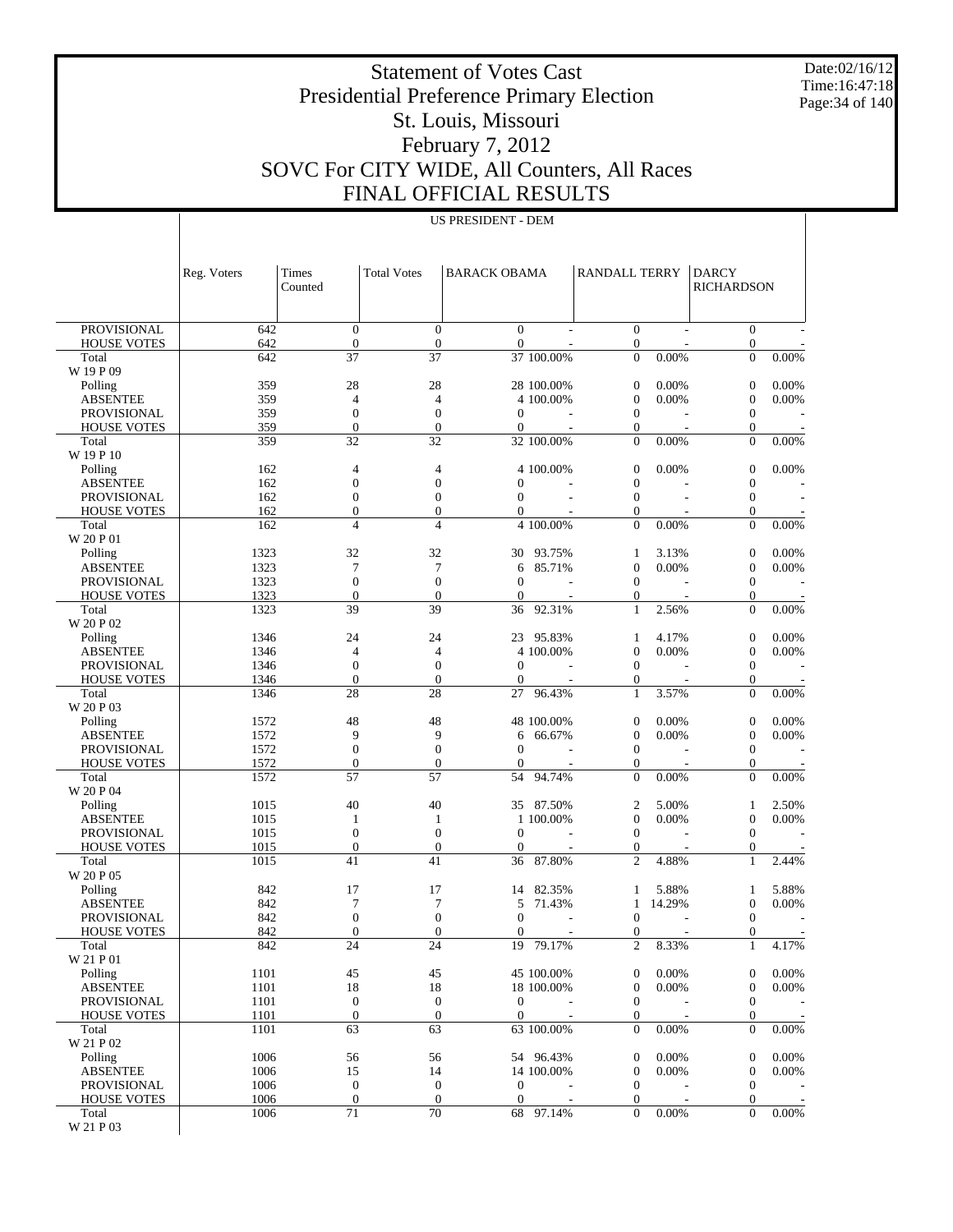Date:02/16/12 Time:16:47:18 Page:34 of 140

 $\overline{a}$ 

# Statement of Votes Cast Presidential Preference Primary Election St. Louis, Missouri February 7, 2012 SOVC For CITY WIDE, All Counters, All Races FINAL OFFICIAL RESULTS

US PRESIDENT - DEM

|                                          | Reg. Voters  | Times<br>Counted                     | <b>Total Votes</b>               | <b>BARACK OBAMA</b>                  |            | RANDALL TERRY                      |                          | <b>DARCY</b><br>RICHARDSON           |          |
|------------------------------------------|--------------|--------------------------------------|----------------------------------|--------------------------------------|------------|------------------------------------|--------------------------|--------------------------------------|----------|
|                                          |              |                                      |                                  |                                      |            |                                    |                          |                                      |          |
| <b>PROVISIONAL</b><br><b>HOUSE VOTES</b> | 642<br>642   | $\theta$<br>$\boldsymbol{0}$         | $\overline{0}$<br>$\mathbf{0}$   | $\mathbf{0}$<br>$\mathbf{0}$         |            | $\overline{0}$<br>$\boldsymbol{0}$ |                          | $\mathbf{0}$<br>$\boldsymbol{0}$     |          |
| Total                                    | 642          | 37                                   | 37                               |                                      | 37 100.00% | $\Omega$                           | 0.00%                    | $\overline{0}$                       | 0.00%    |
| W 19 P 09<br>Polling                     | 359          | 28                                   | 28                               |                                      | 28 100.00% | $\mathbf{0}$                       | 0.00%                    | $\overline{0}$                       | 0.00%    |
| <b>ABSENTEE</b>                          | 359          | $\overline{4}$                       | $\overline{4}$                   |                                      | 4 100.00%  | $\mathbf{0}$                       | 0.00%                    | $\boldsymbol{0}$                     | 0.00%    |
| <b>PROVISIONAL</b>                       | 359          | $\boldsymbol{0}$                     | $\mathbf{0}$                     | $\mathbf{0}$                         |            | $\mathbf{0}$                       |                          | $\boldsymbol{0}$                     |          |
| <b>HOUSE VOTES</b>                       | 359          | $\mathbf{0}$                         | $\mathbf{0}$                     | $\mathbf{0}$                         |            | $\mathbf{0}$                       | $\overline{\phantom{a}}$ | 0                                    |          |
| Total<br>W 19 P 10                       | 359          | 32                                   | 32                               |                                      | 32 100.00% | $\overline{0}$                     | 0.00%                    | $\overline{0}$                       | 0.00%    |
| Polling                                  | 162          | 4                                    | $\overline{4}$                   |                                      | 4 100.00%  | $\boldsymbol{0}$                   | 0.00%                    | $\boldsymbol{0}$                     | 0.00%    |
| <b>ABSENTEE</b>                          | 162          | $\mathbf{0}$                         | $\mathbf{0}$                     | $\overline{0}$                       |            | $\mathbf{0}$                       |                          | $\boldsymbol{0}$                     |          |
| <b>PROVISIONAL</b><br><b>HOUSE VOTES</b> | 162<br>162   | $\boldsymbol{0}$<br>$\mathbf{0}$     | $\mathbf{0}$<br>$\mathbf{0}$     | $\overline{0}$<br>$\boldsymbol{0}$   |            | $\mathbf{0}$<br>$\mathbf{0}$       |                          | $\boldsymbol{0}$<br>$\overline{0}$   |          |
| Total                                    | 162          | 4                                    | $\overline{4}$                   |                                      | 4 100.00%  | $\Omega$                           | 0.00%                    | $\overline{0}$                       | 0.00%    |
| W 20 P 01                                |              |                                      |                                  |                                      |            |                                    |                          |                                      |          |
| Polling                                  | 1323         | 32                                   | 32                               | 30                                   | 93.75%     | 1                                  | 3.13%                    | $\overline{0}$                       | 0.00%    |
| <b>ABSENTEE</b>                          | 1323<br>1323 | 7<br>$\mathbf{0}$                    | 7<br>$\mathbf{0}$                | 6<br>$\theta$                        | 85.71%     | $\mathbf{0}$<br>$\mathbf{0}$       | $0.00\%$                 | $\boldsymbol{0}$<br>$\boldsymbol{0}$ | 0.00%    |
| <b>PROVISIONAL</b><br><b>HOUSE VOTES</b> | 1323         | $\mathbf{0}$                         | $\mathbf{0}$                     | $\mathbf{0}$                         |            | $\boldsymbol{0}$                   | $\overline{\phantom{a}}$ | $\overline{0}$                       |          |
| Total                                    | 1323         | 39                                   | 39                               | 36                                   | 92.31%     | $\mathbf{1}$                       | 2.56%                    | $\overline{0}$                       | 0.00%    |
| W 20 P 02                                |              |                                      |                                  |                                      |            |                                    |                          |                                      |          |
| Polling                                  | 1346         | 24                                   | 24                               | 23                                   | 95.83%     | 1                                  | 4.17%                    | $\boldsymbol{0}$                     | 0.00%    |
| <b>ABSENTEE</b>                          | 1346         | $\overline{4}$<br>$\boldsymbol{0}$   | $\overline{4}$<br>$\mathbf{0}$   | $\mathbf{0}$                         | 4 100,00%  | $\mathbf{0}$<br>$\mathbf{0}$       | 0.00%                    | $\boldsymbol{0}$<br>$\boldsymbol{0}$ | 0.00%    |
| <b>PROVISIONAL</b><br><b>HOUSE VOTES</b> | 1346<br>1346 | $\mathbf{0}$                         | $\mathbf{0}$                     | $\mathbf{0}$                         |            | 0                                  |                          | 0                                    |          |
| Total                                    | 1346         | 28                                   | 28                               | 27                                   | 96.43%     | $\mathbf{1}$                       | 3.57%                    | $\overline{0}$                       | 0.00%    |
| W 20 P 03                                |              |                                      |                                  |                                      |            |                                    |                          |                                      |          |
| Polling                                  | 1572         | 48                                   | 48                               |                                      | 48 100.00% | $\boldsymbol{0}$                   | 0.00%                    | $\boldsymbol{0}$                     | 0.00%    |
| <b>ABSENTEE</b>                          | 1572         | 9                                    | 9                                | 6                                    | 66.67%     | $\mathbf{0}$                       | 0.00%                    | $\boldsymbol{0}$                     | 0.00%    |
| <b>PROVISIONAL</b><br><b>HOUSE VOTES</b> | 1572<br>1572 | $\boldsymbol{0}$<br>$\mathbf{0}$     | $\mathbf{0}$<br>$\mathbf{0}$     | $\mathbf{0}$<br>$\mathbf{0}$         |            | $\mathbf{0}$<br>$\boldsymbol{0}$   |                          | $\boldsymbol{0}$<br>0                |          |
| Total                                    | 1572         | 57                                   | 57                               | 54                                   | 94.74%     | $\mathbf{0}$                       | 0.00%                    | $\overline{0}$                       | 0.00%    |
| W 20 P 04                                |              |                                      |                                  |                                      |            |                                    |                          |                                      |          |
| Polling                                  | 1015         | 40                                   | 40                               | 35                                   | 87.50%     | 2                                  | 5.00%                    | 1                                    | 2.50%    |
| <b>ABSENTEE</b>                          | 1015         | 1                                    | $\mathbf{1}$                     |                                      | 1 100,00%  | $\mathbf{0}$                       | 0.00%                    | $\boldsymbol{0}$                     | 0.00%    |
| <b>PROVISIONAL</b><br><b>HOUSE VOTES</b> | 1015<br>1015 | $\boldsymbol{0}$<br>$\theta$         | $\mathbf{0}$<br>$\mathbf{0}$     | $\theta$<br>$\mathbf{0}$             |            | $\mathbf{0}$<br>0                  |                          | $\boldsymbol{0}$<br>0                |          |
| Total                                    | 1015         | 41                                   | 41                               | 36                                   | 87.80%     | $\overline{c}$                     | 4.88%                    | $\mathbf{1}$                         | 2.44%    |
| W 20 P 05                                |              |                                      |                                  |                                      |            |                                    |                          |                                      |          |
| Polling                                  | 842          | 17                                   | 17                               | 14                                   | 82.35%     | 1                                  | 5.88%                    | 1                                    | 5.88%    |
| <b>ABSENTEE</b>                          | 842          | 7                                    | 7                                | 5                                    | 71.43%     | $\mathbf{1}$                       | 14.29%                   | 0                                    | 0.00%    |
| <b>PROVISIONAL</b><br><b>HOUSE VOTES</b> | 842<br>842   | $\boldsymbol{0}$<br>$\Omega$         | $\mathbf{0}$<br>$\mathbf{0}$     | $\boldsymbol{0}$<br>$\boldsymbol{0}$ |            | $\mathbf{0}$<br>$\mathbf{0}$       |                          | 0<br>0                               |          |
| Total                                    | 842          | 24                                   | 24                               |                                      | 19 79.17%  | $\overline{c}$                     | 8.33%                    | $\mathbf{1}$                         | 4.17%    |
| W 21 P 01                                |              |                                      |                                  |                                      |            |                                    |                          |                                      |          |
| Polling                                  | 1101         | 45                                   | 45                               |                                      | 45 100.00% | $\boldsymbol{0}$                   | 0.00%                    | 0                                    | 0.00%    |
| <b>ABSENTEE</b>                          | 1101         | 18                                   | 18                               |                                      | 18 100.00% | $\mathbf{0}$                       | 0.00%                    | $\boldsymbol{0}$                     | $0.00\%$ |
| PROVISIONAL<br><b>HOUSE VOTES</b>        | 1101<br>1101 | $\mathbf{0}$<br>$\boldsymbol{0}$     | $\boldsymbol{0}$<br>$\mathbf{0}$ | $\mathbf{0}$<br>$\mathbf{0}$         |            | $\mathbf{0}$<br>$\mathbf{0}$       |                          | $\boldsymbol{0}$<br>$\boldsymbol{0}$ |          |
| Total                                    | 1101         | 63                                   | 63                               |                                      | 63 100.00% | $\mathbf{0}$                       | 0.00%                    | $\boldsymbol{0}$                     | $0.00\%$ |
| W 21 P 02                                |              |                                      |                                  |                                      |            |                                    |                          |                                      |          |
| Polling                                  | 1006         | 56                                   | 56                               |                                      | 54 96.43%  | $\boldsymbol{0}$                   | 0.00%                    | $\boldsymbol{0}$                     | 0.00%    |
| <b>ABSENTEE</b>                          | 1006         | 15                                   | 14                               |                                      | 14 100.00% | $\mathbf{0}$                       | 0.00%                    | $\boldsymbol{0}$                     | 0.00%    |
| <b>PROVISIONAL</b><br><b>HOUSE VOTES</b> | 1006<br>1006 | $\boldsymbol{0}$<br>$\boldsymbol{0}$ | $\boldsymbol{0}$<br>$\mathbf{0}$ | $\boldsymbol{0}$<br>$\mathbf{0}$     | $\sim$     | $\mathbf{0}$<br>$\mathbf{0}$       |                          | $\boldsymbol{0}$<br>$\boldsymbol{0}$ |          |
| Total                                    | 1006         | 71                                   | 70                               |                                      | 68 97.14%  | $\overline{0}$                     | 0.00%                    | $\overline{0}$                       | 0.00%    |
| W 21 P 03                                |              |                                      |                                  |                                      |            |                                    |                          |                                      |          |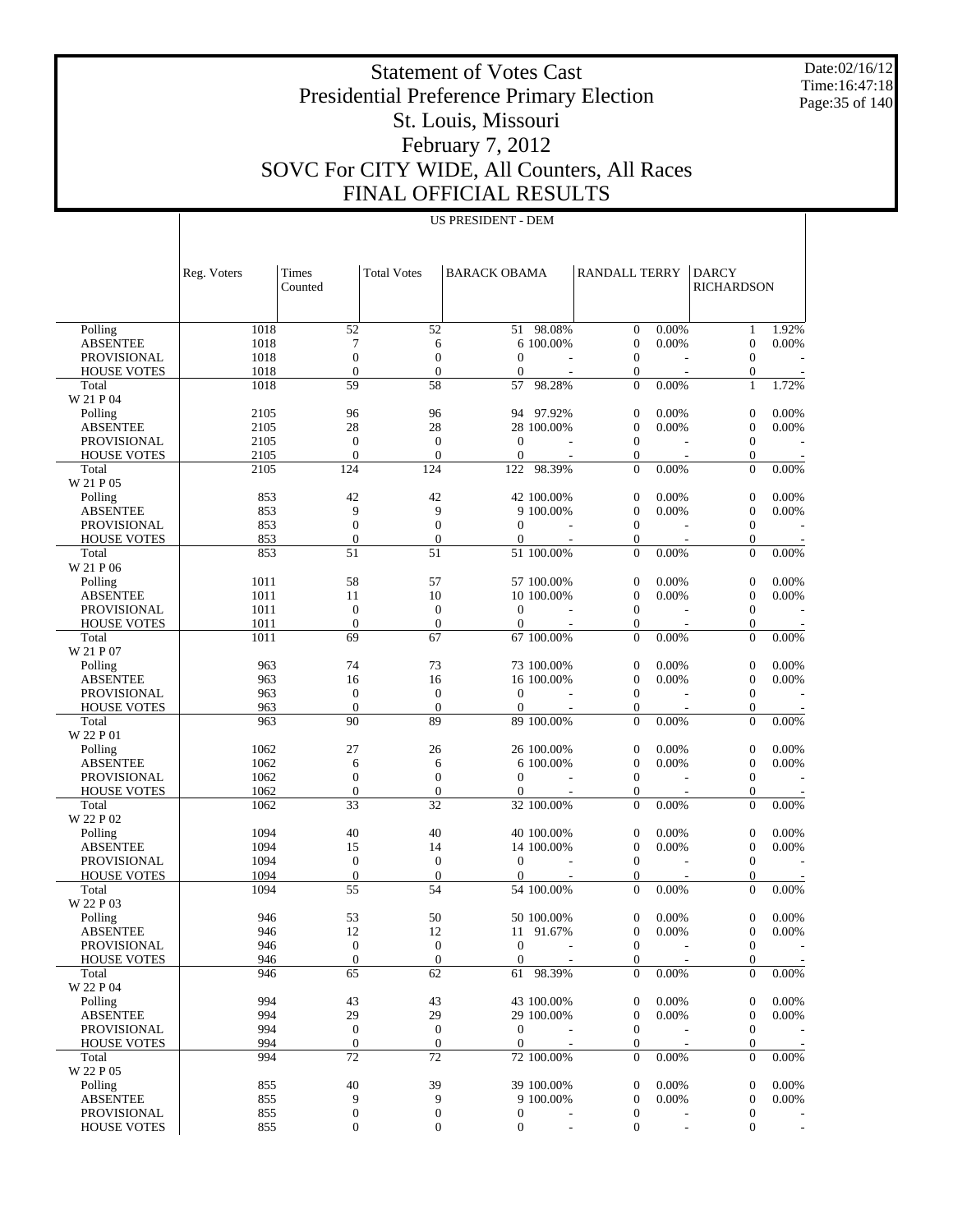Date:02/16/12 Time:16:47:18 Page:35 of 140

# Statement of Votes Cast Presidential Preference Primary Election St. Louis, Missouri February 7, 2012 SOVC For CITY WIDE, All Counters, All Races FINAL OFFICIAL RESULTS

| <b>US PRESIDENT - DEM</b> |
|---------------------------|
|---------------------------|

|                                   | Reg. Voters | Times<br><b>Total Votes</b><br><b>BARACK OBAMA</b> |                        |                              | RANDALL TERRY            |                                  | DARCY                    |                                      |                          |
|-----------------------------------|-------------|----------------------------------------------------|------------------------|------------------------------|--------------------------|----------------------------------|--------------------------|--------------------------------------|--------------------------|
|                                   |             | Counted                                            |                        |                              |                          |                                  |                          | <b>RICHARDSON</b>                    |                          |
|                                   |             |                                                    |                        |                              |                          |                                  |                          |                                      |                          |
| Polling                           | 1018        | 52                                                 | 52                     | 51                           | 98.08%                   | $\mathbf{0}$                     | 0.00%                    | $\mathbf{1}$                         | 1.92%                    |
| <b>ABSENTEE</b>                   | 1018        | 7                                                  | 6                      |                              | 6 100.00%                | $\mathbf{0}$                     | 0.00%                    | $\boldsymbol{0}$                     | 0.00%                    |
| <b>PROVISIONAL</b>                | 1018        | $\overline{0}$                                     | $\mathbf{0}$           | $\theta$                     |                          | $\mathbf{0}$                     |                          | $\overline{0}$                       |                          |
| <b>HOUSE VOTES</b>                | 1018        | $\overline{0}$                                     | $\boldsymbol{0}$       | $\mathbf{0}$                 | $\overline{\phantom{a}}$ | $\boldsymbol{0}$                 | Ĭ.                       | $\boldsymbol{0}$                     |                          |
| Total                             | 1018        | 59                                                 | 58                     | 57                           | 98.28%                   | $\mathbf{0}$                     | 0.00%                    | $\mathbf{1}$                         | 1.72%                    |
| W 21 P 04                         |             |                                                    |                        |                              |                          |                                  |                          |                                      |                          |
| Polling                           | 2105        | 96                                                 | 96                     |                              | 94 97.92%                | $\boldsymbol{0}$                 | 0.00%                    | $\boldsymbol{0}$                     | 0.00%                    |
| <b>ABSENTEE</b>                   | 2105        | 28                                                 | 28                     |                              | 28 100.00%               | $\mathbf{0}$                     | 0.00%                    | $\boldsymbol{0}$                     | 0.00%                    |
| <b>PROVISIONAL</b>                | 2105        | $\mathbf{0}$                                       | $\boldsymbol{0}$       | $\theta$                     |                          | $\mathbf{0}$                     |                          | $\boldsymbol{0}$                     |                          |
| <b>HOUSE VOTES</b>                | 2105        | $\overline{0}$                                     | $\mathbf{0}$           | $\mathbf{0}$                 | $\overline{\phantom{a}}$ | $\boldsymbol{0}$                 | $\overline{\phantom{a}}$ | $\boldsymbol{0}$                     |                          |
| Total                             | 2105        | 124                                                | 124                    | 122                          | 98.39%                   | $\boldsymbol{0}$                 | 0.00%                    | $\overline{0}$                       | 0.00%                    |
| W 21 P 05                         |             |                                                    |                        |                              |                          |                                  |                          |                                      |                          |
| Polling                           | 853         | 42                                                 | 42                     |                              | 42 100.00%               | $\mathbf{0}$                     | 0.00%                    | $\boldsymbol{0}$                     | 0.00%                    |
| <b>ABSENTEE</b>                   | 853         | 9                                                  | 9<br>$\overline{0}$    |                              | 9 100.00%                | $\mathbf{0}$                     | 0.00%                    | $\boldsymbol{0}$                     | 0.00%                    |
| <b>PROVISIONAL</b>                | 853<br>853  | $\boldsymbol{0}$<br>$\boldsymbol{0}$               | $\boldsymbol{0}$       | $\mathbf{0}$<br>$\mathbf{0}$ | ÷,                       | $\mathbf{0}$<br>$\boldsymbol{0}$ | $\overline{\phantom{a}}$ | $\boldsymbol{0}$<br>$\boldsymbol{0}$ |                          |
| <b>HOUSE VOTES</b><br>Total       | 853         | 51                                                 | 51                     |                              | 51 100.00%               | $\mathbf{0}$                     | 0.00%                    | $\overline{0}$                       | 0.00%                    |
| W 21 P 06                         |             |                                                    |                        |                              |                          |                                  |                          |                                      |                          |
| Polling                           | 1011        | 58                                                 | 57                     |                              | 57 100.00%               | $\boldsymbol{0}$                 | 0.00%                    | $\boldsymbol{0}$                     | 0.00%                    |
| <b>ABSENTEE</b>                   | 1011        | 11                                                 | 10                     |                              | 10 100,00%               | $\mathbf{0}$                     | 0.00%                    | $\overline{0}$                       | 0.00%                    |
| <b>PROVISIONAL</b>                | 1011        | $\mathbf{0}$                                       | $\boldsymbol{0}$       | $\mathbf{0}$                 |                          | $\mathbf{0}$                     |                          | $\boldsymbol{0}$                     |                          |
| <b>HOUSE VOTES</b>                | 1011        | $\overline{0}$                                     | $\boldsymbol{0}$       | $\mathbf{0}$                 | Ĭ.                       | $\boldsymbol{0}$                 | $\overline{\phantom{a}}$ | $\boldsymbol{0}$                     |                          |
| Total                             | 1011        | 69                                                 | 67                     |                              | 67 100.00%               | $\mathbf{0}$                     | 0.00%                    | $\overline{0}$                       | 0.00%                    |
| W 21 P 07                         |             |                                                    |                        |                              |                          |                                  |                          |                                      |                          |
| Polling                           | 963         | 74                                                 | 73                     |                              | 73 100.00%               | $\mathbf{0}$                     | 0.00%                    | $\boldsymbol{0}$                     | 0.00%                    |
| <b>ABSENTEE</b>                   | 963         | 16                                                 | 16                     |                              | 16 100.00%               | $\mathbf{0}$                     | 0.00%                    | $\boldsymbol{0}$                     | $0.00\%$                 |
| <b>PROVISIONAL</b>                | 963         | $\mathbf{0}$                                       | $\boldsymbol{0}$       | $\theta$                     |                          | $\mathbf{0}$                     |                          | $\boldsymbol{0}$                     |                          |
| <b>HOUSE VOTES</b>                | 963         | $\overline{0}$                                     | $\mathbf{0}$           | $\mathbf{0}$                 | Ĭ.                       | $\boldsymbol{0}$                 |                          | $\boldsymbol{0}$                     |                          |
| Total                             | 963         | 90                                                 | 89                     |                              | 89 100.00%               | $\mathbf{0}$                     | 0.00%                    | $\overline{0}$                       | 0.00%                    |
| W 22 P 01                         |             |                                                    |                        |                              |                          |                                  |                          |                                      |                          |
| Polling                           | 1062        | 27                                                 | 26                     |                              | 26 100.00%               | $\boldsymbol{0}$                 | 0.00%                    | $\boldsymbol{0}$                     | 0.00%                    |
| <b>ABSENTEE</b>                   | 1062        | 6                                                  | 6                      |                              | 6 100,00%                | $\boldsymbol{0}$                 | 0.00%                    | $\boldsymbol{0}$                     | 0.00%                    |
| <b>PROVISIONAL</b>                | 1062        | $\boldsymbol{0}$                                   | $\boldsymbol{0}$       | $\mathbf{0}$                 |                          | $\mathbf{0}$                     |                          | $\boldsymbol{0}$                     |                          |
| <b>HOUSE VOTES</b>                | 1062        | $\boldsymbol{0}$                                   | $\boldsymbol{0}$       | $\mathbf{0}$                 | $\overline{\phantom{a}}$ | $\boldsymbol{0}$                 | $\overline{\phantom{a}}$ | $\boldsymbol{0}$                     |                          |
| Total                             | 1062        | 33                                                 | 32                     |                              | 32 100.00%               | $\boldsymbol{0}$                 | 0.00%                    | $\overline{0}$                       | 0.00%                    |
| W 22 P 02                         |             |                                                    |                        |                              |                          |                                  |                          |                                      |                          |
| Polling                           | 1094        | 40                                                 | 40                     |                              | 40 100.00%               | $\mathbf{0}$                     | 0.00%                    | $\boldsymbol{0}$                     | 0.00%                    |
| <b>ABSENTEE</b>                   | 1094        | 15                                                 | 14                     |                              | 14 100,00%               | $\mathbf{0}$                     | 0.00%                    | $\boldsymbol{0}$                     | 0.00%                    |
| <b>PROVISIONAL</b>                | 1094        | $\boldsymbol{0}$                                   | $\boldsymbol{0}$       | $\mathbf{0}$                 |                          | $\mathbf{0}$                     |                          | $\boldsymbol{0}$                     |                          |
| <b>HOUSE VOTES</b>                | 1094        | $\boldsymbol{0}$                                   | $\mathbf{0}$           | $\mathbf{0}$                 | ÷,                       | $\boldsymbol{0}$                 | $\overline{\phantom{a}}$ | $\boldsymbol{0}$                     |                          |
| Total                             | 1094        | 55                                                 | 54                     |                              | 54 100.00%               | $\mathbf{0}$                     | 0.00%                    | $\overline{0}$                       | 0.00%                    |
| W 22 P 03                         |             |                                                    |                        |                              |                          |                                  |                          |                                      |                          |
| Polling                           | 946         | 53                                                 | 50                     |                              | 50 100.00%               | $\mathbf{0}$                     | 0.00%                    | $\overline{0}$                       | 0.00%                    |
| <b>ABSENTEE</b>                   | 946         | 12                                                 | 12                     |                              | 11 91.67%                | $\mathbf{0}$                     | 0.00%                    | $\overline{0}$                       | 0.00%                    |
| PROVISIONAL<br><b>HOUSE VOTES</b> | 946<br>946  | $\boldsymbol{0}$<br>$\boldsymbol{0}$               | $\mathbf{0}$           | 0<br>$\overline{0}$          |                          | $\mathbf{0}$                     |                          | $\mathbf{0}$                         |                          |
| Total                             | 946         | 65                                                 | $\boldsymbol{0}$<br>62 |                              | 61 98.39%                | 0<br>$\mathbf{0}$                | 0.00%                    | $\boldsymbol{0}$<br>$\overline{0}$   | 0.00%                    |
| W 22 P 04                         |             |                                                    |                        |                              |                          |                                  |                          |                                      |                          |
| Polling                           | 994         | 43                                                 | 43                     |                              | 43 100.00%               | $\boldsymbol{0}$                 | 0.00%                    | $\boldsymbol{0}$                     | 0.00%                    |
| ABSENTEE                          | 994         | 29                                                 | 29                     |                              | 29 100.00%               | $\boldsymbol{0}$                 | 0.00%                    | $\boldsymbol{0}$                     | 0.00%                    |
| <b>PROVISIONAL</b>                | 994         | $\mathbf{0}$                                       | $\mathbf{0}$           | $\mathbf{0}$                 |                          | $\boldsymbol{0}$                 |                          | $\mathbf{0}$                         |                          |
| <b>HOUSE VOTES</b>                | 994         | $\boldsymbol{0}$                                   | $\boldsymbol{0}$       | $\overline{0}$               | $\overline{\phantom{a}}$ | 0                                |                          | $\mathbf{0}$                         |                          |
| Total                             | 994         | 72                                                 | 72                     |                              | 72 100.00%               | $\boldsymbol{0}$                 | 0.00%                    | $\mathbf{0}$                         | 0.00%                    |
| W 22 P 05                         |             |                                                    |                        |                              |                          |                                  |                          |                                      |                          |
| Polling                           | 855         | 40                                                 | 39                     |                              | 39 100.00%               | $\boldsymbol{0}$                 | 0.00%                    | $\boldsymbol{0}$                     | 0.00%                    |
| ABSENTEE                          | 855         | 9                                                  | 9                      |                              | 9 100.00%                | $\boldsymbol{0}$                 | 0.00%                    | $\boldsymbol{0}$                     | 0.00%                    |
| PROVISIONAL                       | 855         | $\boldsymbol{0}$                                   | $\boldsymbol{0}$       | $\overline{0}$               |                          | $\boldsymbol{0}$                 |                          | $\mathbf{0}$                         |                          |
| <b>HOUSE VOTES</b>                | 855         | $\boldsymbol{0}$                                   | $\boldsymbol{0}$       | $\mathbf{0}$                 | L,                       | $\boldsymbol{0}$                 | ÷,                       | $\mathbf{0}$                         | $\overline{\phantom{a}}$ |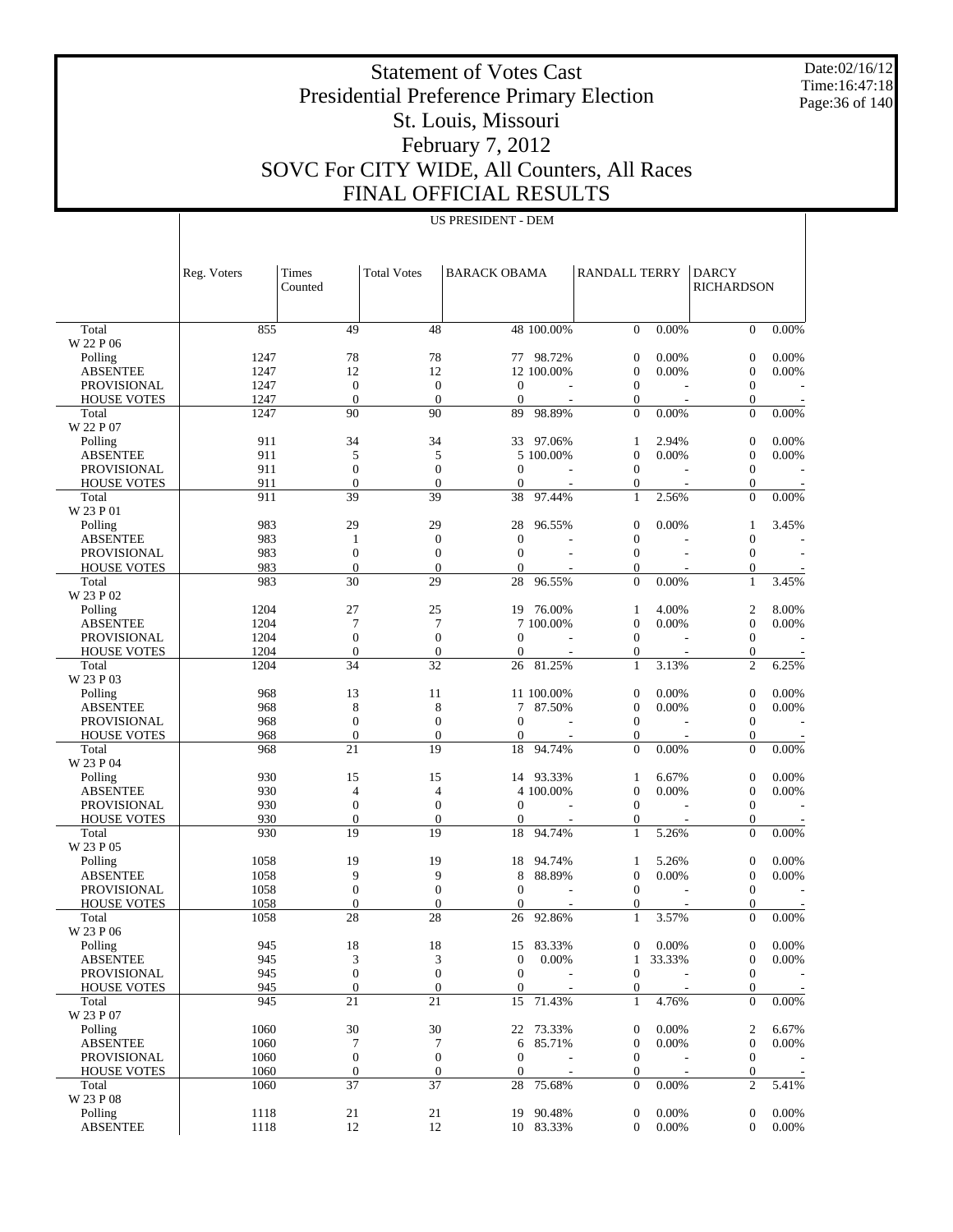Date:02/16/12 Time:16:47:18 Page:36 of 140

 $\overline{1}$ 

# Statement of Votes Cast Presidential Preference Primary Election St. Louis, Missouri February 7, 2012 SOVC For CITY WIDE, All Counters, All Races FINAL OFFICIAL RESULTS

US PRESIDENT - DEM

|                             | Reg. Voters  | Times<br>Counted                 | <b>Total Votes</b>                  | <b>BARACK OBAMA</b>    |                        | <b>RANDALL TERRY</b>                 |                                   | <b>DARCY</b><br><b>RICHARDSON</b>    |                |
|-----------------------------|--------------|----------------------------------|-------------------------------------|------------------------|------------------------|--------------------------------------|-----------------------------------|--------------------------------------|----------------|
| Total                       | 855          | 49                               | 48                                  |                        | 48 100.00%             | $\mathbf{0}$                         | 0.00%                             | $\overline{0}$                       | 0.00%          |
| W 22 P 06                   |              |                                  |                                     |                        |                        |                                      |                                   |                                      |                |
| Polling                     | 1247         | 78                               | 78                                  |                        | 77 98.72%              | $\mathbf{0}$                         | 0.00%                             | $\boldsymbol{0}$                     | 0.00%          |
| <b>ABSENTEE</b>             | 1247         | 12                               | 12                                  |                        | 12 100.00%             | $\boldsymbol{0}$                     | 0.00%                             | $\boldsymbol{0}$                     | 0.00%          |
| <b>PROVISIONAL</b>          | 1247         | $\boldsymbol{0}$                 | $\mathbf{0}$                        | $\mathbf{0}$           |                        | $\mathbf{0}$                         |                                   | $\boldsymbol{0}$                     |                |
| <b>HOUSE VOTES</b>          | 1247         | $\mathbf{0}$<br>90               | $\mathbf{0}$<br>90                  | $\boldsymbol{0}$<br>89 | 98.89%                 | $\mathbf{0}$<br>$\theta$             |                                   | $\boldsymbol{0}$<br>$\overline{0}$   | 0.00%          |
| Total<br>W 22 P 07          | 1247         |                                  |                                     |                        |                        |                                      | 0.00%                             |                                      |                |
| Polling                     | 911          | 34                               | 34                                  | 33                     | 97.06%                 | 1                                    | 2.94%                             | $\boldsymbol{0}$                     | 0.00%          |
| <b>ABSENTEE</b>             | 911          | 5                                | 5                                   |                        | 5 100.00%              | $\boldsymbol{0}$                     | 0.00%                             | $\boldsymbol{0}$                     | 0.00%          |
| <b>PROVISIONAL</b>          | 911          | $\boldsymbol{0}$                 | $\mathbf{0}$                        | $\mathbf{0}$           |                        | $\mathbf{0}$                         |                                   | $\boldsymbol{0}$                     |                |
| <b>HOUSE VOTES</b>          | 911          | $\overline{0}$                   | $\mathbf{0}$                        | $\boldsymbol{0}$       |                        | $\boldsymbol{0}$                     |                                   | $\boldsymbol{0}$                     |                |
| Total                       | 911          | 39                               | 39                                  | 38                     | 97.44%                 | $\mathbf{1}$                         | 2.56%                             | $\overline{0}$                       | 0.00%          |
| W 23 P 01                   |              |                                  |                                     |                        |                        |                                      |                                   |                                      |                |
| Polling                     | 983          | 29                               | 29                                  | 28                     | 96.55%                 | $\boldsymbol{0}$                     | 0.00%                             | 1                                    | 3.45%          |
| <b>ABSENTEE</b>             | 983          | $\mathbf{1}$                     | $\mathbf{0}$                        | $\boldsymbol{0}$       |                        | $\boldsymbol{0}$                     |                                   | $\boldsymbol{0}$                     |                |
| <b>PROVISIONAL</b>          | 983          | $\boldsymbol{0}$                 | $\mathbf{0}$                        | $\mathbf{0}$           |                        | $\mathbf{0}$                         |                                   | $\boldsymbol{0}$                     |                |
| <b>HOUSE VOTES</b>          | 983          | $\overline{0}$<br>30             | $\overline{0}$<br>29                | $\mathbf{0}$           | 96.55%                 | 0<br>$\theta$                        |                                   | $\boldsymbol{0}$<br>$\mathbf{1}$     | 3.45%          |
| Total<br>W 23 P 02          | 983          |                                  |                                     | 28                     |                        |                                      | 0.00%                             |                                      |                |
| Polling                     | 1204         | 27                               | 25                                  |                        | 19 76.00%              | 1                                    | 4.00%                             | $\overline{2}$                       | 8.00%          |
| <b>ABSENTEE</b>             | 1204         | 7                                | 7                                   |                        | 7 100.00%              | $\boldsymbol{0}$                     | 0.00%                             | $\boldsymbol{0}$                     | 0.00%          |
| <b>PROVISIONAL</b>          | 1204<br>1204 | $\overline{0}$<br>$\overline{0}$ | $\mathbf{0}$                        | $\mathbf{0}$           |                        | $\mathbf{0}$                         |                                   | $\boldsymbol{0}$                     |                |
| <b>HOUSE VOTES</b><br>Total | 1204         | $\overline{34}$                  | $\boldsymbol{0}$<br>$\overline{32}$ | $\boldsymbol{0}$<br>26 | 81.25%                 | 0<br>1                               | 3.13%                             | $\boldsymbol{0}$<br>$\overline{2}$   | 6.25%          |
| W 23 P 03                   |              |                                  |                                     |                        |                        |                                      |                                   |                                      |                |
| Polling                     | 968          | 13                               | 11                                  |                        | 11 100.00%             | $\mathbf{0}$                         | 0.00%                             | $\boldsymbol{0}$                     | 0.00%          |
| <b>ABSENTEE</b>             | 968          | 8                                | 8                                   | 7                      | 87.50%                 | $\boldsymbol{0}$                     | 0.00%                             | $\boldsymbol{0}$                     | 0.00%          |
| <b>PROVISIONAL</b>          | 968          | $\boldsymbol{0}$                 | $\mathbf{0}$                        | $\mathbf{0}$           |                        | $\mathbf{0}$                         |                                   | $\boldsymbol{0}$                     |                |
| <b>HOUSE VOTES</b>          | 968          | $\overline{0}$                   | $\boldsymbol{0}$                    | 0                      |                        | 0                                    |                                   | $\boldsymbol{0}$                     |                |
| Total                       | 968          | 21                               | $\overline{19}$                     | 18                     | 94.74%                 | $\theta$                             | 0.00%                             | $\overline{0}$                       | 0.00%          |
| W 23 P 04                   |              |                                  |                                     |                        |                        |                                      |                                   |                                      |                |
| Polling<br><b>ABSENTEE</b>  | 930<br>930   | 15<br>4                          | 15<br>$\overline{4}$                |                        | 14 93.33%<br>4 100.00% | 1<br>$\boldsymbol{0}$                | 6.67%<br>0.00%                    | $\boldsymbol{0}$<br>$\boldsymbol{0}$ | 0.00%<br>0.00% |
| <b>PROVISIONAL</b>          | 930          | $\boldsymbol{0}$                 | $\mathbf{0}$                        | $\mathbf{0}$           |                        | $\mathbf{0}$                         |                                   | $\boldsymbol{0}$                     |                |
| <b>HOUSE VOTES</b>          | 930          | $\boldsymbol{0}$                 | $\boldsymbol{0}$                    | $\boldsymbol{0}$       |                        | 0                                    |                                   | $\boldsymbol{0}$                     |                |
| Total                       | 930          | $\overline{19}$                  | $\overline{19}$                     | 18                     | 94.74%                 | 1                                    | 5.26%                             | $\overline{0}$                       | 0.00%          |
| W 23 P 05                   |              |                                  |                                     |                        |                        |                                      |                                   |                                      |                |
| Polling                     | 1058         | 19                               | 19                                  | 18                     | 94.74%                 | 1                                    | 5.26%                             | $\boldsymbol{0}$                     | 0.00%          |
| <b>ABSENTEE</b>             | 1058         | 9                                | 9                                   | 8                      | 88.89%                 | $\boldsymbol{0}$                     | 0.00%                             | $\mathbf{0}$                         | 0.00%          |
| <b>PROVISIONAL</b>          | 1058         | $\boldsymbol{0}$                 | $\overline{0}$                      | $\mathbf{0}$           |                        | $\mathbf{0}$                         |                                   | $\mathbf{0}$                         |                |
| <b>HOUSE VOTES</b>          | 1058         | $\mathbf{0}$                     | $\theta$                            | $\mathbf{0}$           |                        | 0                                    |                                   | $\overline{0}$                       |                |
| Total                       | 1058         | 28                               | 28                                  | 26                     | 92.86%                 | $\mathbf{1}$                         | 3.57%                             | $\overline{0}$                       | 0.00%          |
| W 23 P 06                   |              |                                  |                                     |                        |                        |                                      |                                   |                                      |                |
| Polling<br><b>ABSENTEE</b>  | 945<br>945   | 18<br>3                          | 18<br>3                             | $\boldsymbol{0}$       | 15 83.33%<br>0.00%     | 0<br>$\mathbf{1}$                    | 0.00%<br>33.33%                   | $\boldsymbol{0}$<br>$\boldsymbol{0}$ | 0.00%<br>0.00% |
| <b>PROVISIONAL</b>          | 945          | $\boldsymbol{0}$                 | $\mathbf{0}$                        | $\mathbf{0}$           |                        | $\boldsymbol{0}$                     |                                   | $\boldsymbol{0}$                     |                |
| <b>HOUSE VOTES</b>          | 945          | $\boldsymbol{0}$                 | $\mathbf{0}$                        | $\boldsymbol{0}$       |                        | $\boldsymbol{0}$                     |                                   | $\boldsymbol{0}$                     |                |
| Total                       | 945          | 21                               | 21                                  | 15                     | 71.43%                 | $\mathbf{1}$                         | 4.76%                             | $\boldsymbol{0}$                     | 0.00%          |
| W 23 P 07                   |              |                                  |                                     |                        |                        |                                      |                                   |                                      |                |
| Polling                     | 1060         | 30                               | 30                                  |                        | 22 73.33%              | $\boldsymbol{0}$                     | 0.00%                             | $\boldsymbol{2}$                     | 6.67%          |
| <b>ABSENTEE</b>             | 1060         | 7                                | 7                                   | 6                      | 85.71%                 | $\boldsymbol{0}$                     | 0.00%                             | $\boldsymbol{0}$                     | 0.00%          |
| PROVISIONAL                 | 1060         | $\boldsymbol{0}$                 | $\mathbf{0}$                        | $\boldsymbol{0}$       |                        | $\boldsymbol{0}$                     |                                   | $\boldsymbol{0}$                     |                |
| <b>HOUSE VOTES</b>          | 1060<br>1060 | $\boldsymbol{0}$<br>37           | $\boldsymbol{0}$<br>$\overline{37}$ | $\boldsymbol{0}$<br>28 | $\overline{a}$         | $\boldsymbol{0}$<br>$\boldsymbol{0}$ | $\overline{\phantom{a}}$<br>0.00% | $\boldsymbol{0}$<br>$\sqrt{2}$       | 5.41%          |
| Total<br>W 23 P 08          |              |                                  |                                     |                        | 75.68%                 |                                      |                                   |                                      |                |
| Polling                     | 1118         | 21                               | 21                                  | 19                     | 90.48%                 | $\boldsymbol{0}$                     | 0.00%                             | $\mathbf{0}$                         | 0.00%          |
| <b>ABSENTEE</b>             | 1118         | 12                               | 12                                  |                        | 10 83.33%              | $\boldsymbol{0}$                     | 0.00%                             | $\boldsymbol{0}$                     | 0.00%          |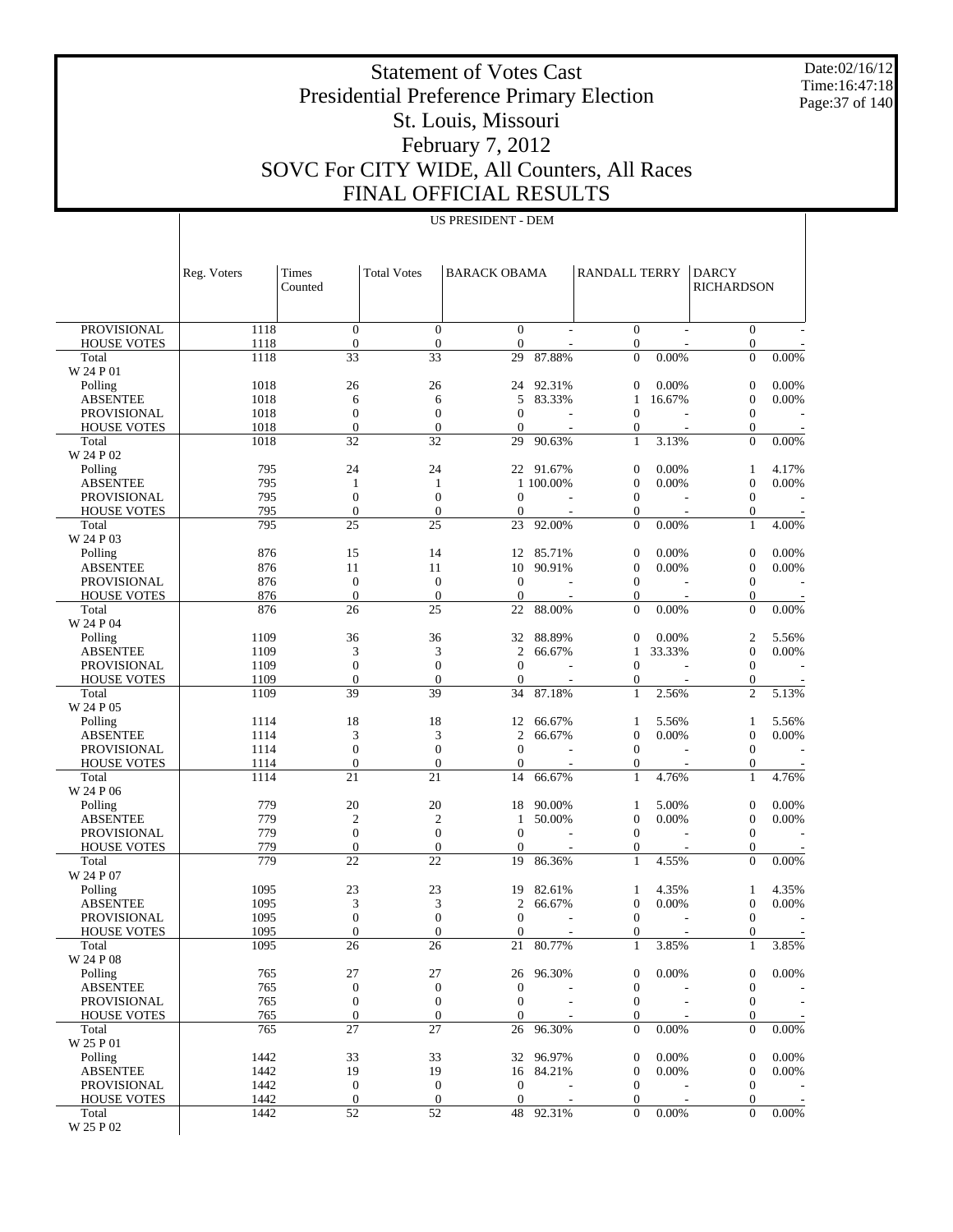Date:02/16/12 Time:16:47:18 Page:37 of 140

 $\overline{\phantom{a}}$ 

# Statement of Votes Cast Presidential Preference Primary Election St. Louis, Missouri February 7, 2012 SOVC For CITY WIDE, All Counters, All Races FINAL OFFICIAL RESULTS

|                                   | Reg. Voters  | Times<br>Counted             | <b>Total Votes</b>           | <b>BARACK OBAMA</b>          |                                    | RANDALL TERRY                        |                                   | <b>DARCY</b><br><b>RICHARDSON</b> |       |
|-----------------------------------|--------------|------------------------------|------------------------------|------------------------------|------------------------------------|--------------------------------------|-----------------------------------|-----------------------------------|-------|
|                                   |              |                              |                              |                              |                                    |                                      |                                   |                                   |       |
| <b>PROVISIONAL</b><br>HOUSE VOTES | 1118<br>1118 | $\theta$<br>$\boldsymbol{0}$ | $\mathbf{0}$<br>$\mathbf{0}$ | $\mathbf{0}$<br>$\mathbf{0}$ |                                    | $\mathbf{0}$<br>$\boldsymbol{0}$     |                                   | $\overline{0}$<br>$\mathbf{0}$    |       |
| Total                             | 1118         | 33                           | 33                           | 29                           | 87.88%                             | $\overline{0}$                       | 0.00%                             | $\mathbf{0}$                      | 0.00% |
| W 24 P 01<br>Polling              | 1018         | 26                           | 26                           | 24                           | 92.31%                             | 0                                    | 0.00%                             | $\boldsymbol{0}$                  | 0.00% |
| <b>ABSENTEE</b>                   | 1018         | 6                            | 6                            | 5                            | 83.33%                             | 1                                    | 16.67%                            | $\mathbf{0}$                      | 0.00% |
| <b>PROVISIONAL</b>                | 1018         | $\mathbf{0}$                 | $\mathbf{0}$                 | $\theta$                     |                                    | $\mathbf{0}$                         |                                   | $\mathbf{0}$                      |       |
| <b>HOUSE VOTES</b>                | 1018         | $\mathbf{0}$                 | $\mathbf{0}$                 | $\theta$                     | $\overline{\phantom{a}}$           | 0                                    | $\overline{\phantom{a}}$          | $\boldsymbol{0}$                  |       |
| Total<br>W 24 P 02                | 1018         | 32                           | 32                           | 29                           | 90.63%                             | $\mathbf{1}$                         | 3.13%                             | $\theta$                          | 0.00% |
| Polling                           | 795          | 24                           | 24                           |                              | 22 91.67%                          | $\boldsymbol{0}$                     | 0.00%                             | $\mathbf{1}$                      | 4.17% |
| <b>ABSENTEE</b>                   | 795          | 1                            | 1                            |                              | 1 100,00%                          | $\mathbf{0}$                         | 0.00%                             | $\mathbf{0}$                      | 0.00% |
| <b>PROVISIONAL</b>                | 795          | $\mathbf{0}$                 | $\mathbf{0}$                 | $\theta$                     | ÷                                  | $\mathbf{0}$                         |                                   | $\mathbf{0}$                      |       |
| <b>HOUSE VOTES</b>                | 795          | $\theta$                     | $\mathbf{0}$                 | $\mathbf{0}$                 | $\overline{\phantom{a}}$           | $\boldsymbol{0}$                     | $\overline{a}$                    | $\mathbf{0}$                      |       |
| Total<br>W 24 P 03                | 795          | 25                           | 25                           | 23                           | 92.00%                             | $\mathbf{0}$                         | 0.00%                             | $\mathbf{1}$                      | 4.00% |
| Polling                           | 876          | 15                           | 14                           | 12                           | 85.71%                             | 0                                    | 0.00%                             | $\boldsymbol{0}$                  | 0.00% |
| <b>ABSENTEE</b>                   | 876          | 11                           | 11                           | 10                           | 90.91%                             | $\mathbf{0}$                         | 0.00%                             | $\mathbf{0}$                      | 0.00% |
| <b>PROVISIONAL</b>                | 876          | $\boldsymbol{0}$             | $\mathbf{0}$                 | $\theta$                     |                                    | $\mathbf{0}$                         |                                   | $\mathbf{0}$                      |       |
| <b>HOUSE VOTES</b><br>Total       | 876<br>876   | $\mathbf{0}$<br>26           | $\mathbf{0}$<br>25           | $\boldsymbol{0}$<br>22       | $\overline{\phantom{a}}$<br>88.00% | $\boldsymbol{0}$<br>$\mathbf{0}$     | $\overline{\phantom{a}}$<br>0.00% | $\boldsymbol{0}$<br>$\mathbf{0}$  | 0.00% |
| W 24 P 04                         |              |                              |                              |                              |                                    |                                      |                                   |                                   |       |
| Polling                           | 1109         | 36                           | 36                           | 32                           | 88.89%                             | 0                                    | 0.00%                             | $\overline{c}$                    | 5.56% |
| <b>ABSENTEE</b>                   | 1109         | 3                            | 3                            | 2                            | 66.67%                             | 1                                    | 33.33%                            | $\overline{0}$                    | 0.00% |
| <b>PROVISIONAL</b>                | 1109         | $\mathbf{0}$                 | $\mathbf{0}$                 | $\mathbf{0}$                 | $\overline{a}$                     | $\mathbf{0}$                         |                                   | $\mathbf{0}$                      |       |
| <b>HOUSE VOTES</b>                | 1109         | $\theta$                     | $\mathbf{0}$                 | $\mathbf{0}$                 | $\overline{a}$                     | 0                                    | $\overline{\phantom{a}}$          | $\mathbf{0}$                      |       |
| Total                             | 1109         | 39                           | 39                           | 34                           | 87.18%                             | $\mathbf{1}$                         | 2.56%                             | $\overline{c}$                    | 5.13% |
| W 24 P 05<br>Polling              | 1114         | 18                           | 18                           | 12                           | 66.67%                             | 1                                    | 5.56%                             | $\mathbf{1}$                      | 5.56% |
| <b>ABSENTEE</b>                   | 1114         | 3                            | 3                            | $\overline{c}$               | 66.67%                             | $\mathbf{0}$                         | 0.00%                             | $\boldsymbol{0}$                  | 0.00% |
| <b>PROVISIONAL</b>                | 1114         | $\mathbf{0}$                 | $\mathbf{0}$                 | $\mathbf{0}$                 |                                    | $\mathbf{0}$                         |                                   | $\mathbf{0}$                      |       |
| <b>HOUSE VOTES</b>                | 1114         | $\theta$                     | $\mathbf{0}$                 | $\mathbf{0}$                 | $\overline{\phantom{a}}$           | $\boldsymbol{0}$                     | $\overline{\phantom{a}}$          | $\boldsymbol{0}$                  |       |
| Total<br>W 24 P 06                | 1114         | 21                           | 21                           | 14                           | 66.67%                             | 1                                    | 4.76%                             | $\mathbf{1}$                      | 4.76% |
| Polling                           | 779          | 20                           | 20                           | 18                           | 90.00%                             | 1                                    | 5.00%                             | $\boldsymbol{0}$                  | 0.00% |
| <b>ABSENTEE</b>                   | 779          | $\overline{c}$               | $\overline{2}$               | $\mathbf{1}$                 | 50.00%                             | $\mathbf{0}$                         | 0.00%                             | $\mathbf{0}$                      | 0.00% |
| <b>PROVISIONAL</b>                | 779          | $\boldsymbol{0}$             | $\mathbf{0}$                 | $\mathbf{0}$                 | $\overline{a}$                     | $\mathbf{0}$                         | $\overline{a}$                    | $\mathbf{0}$                      |       |
| <b>HOUSE VOTES</b>                | 779          | $\boldsymbol{0}$             | $\boldsymbol{0}$             | $\boldsymbol{0}$             | L,                                 | 0                                    | $\overline{\phantom{a}}$          | $\boldsymbol{0}$                  |       |
| Total<br>W 24 P 07                | 779          | 22                           | 22                           | 19                           | 86.36%                             | 1                                    | 4.55%                             | $\mathbf{0}$                      | 0.00% |
| Polling                           | 1095         | 23                           | 23                           | 19                           | 82.61%                             | 1                                    | 4.35%                             | 1                                 | 4.35% |
| <b>ABSENTEE</b>                   | 1095         | 3                            | 3                            | 2                            | 66.67%                             | 0                                    | 0.00%                             | $\mathbf{0}$                      | 0.00% |
| <b>PROVISIONAL</b>                | 1095         | $\boldsymbol{0}$             | $\boldsymbol{0}$             | $\boldsymbol{0}$             | $\overline{a}$                     | $\mathbf{0}$                         | ÷,                                | $\mathbf{0}$                      |       |
| <b>HOUSE VOTES</b>                | 1095         | $\Omega$                     | $\Omega$                     | $\Omega$                     |                                    | $\Omega$                             |                                   | $\Omega$                          |       |
| Total<br>W 24 P 08                | 1095         | 26                           | 26                           |                              | 21 80.77%                          | $\mathbf{1}$                         | 3.85%                             | $\mathbf{1}$                      | 3.85% |
| Polling                           | 765          | 27                           | 27                           | 26                           | 96.30%                             | 0                                    | 0.00%                             | $\boldsymbol{0}$                  | 0.00% |
| <b>ABSENTEE</b>                   | 765          | $\boldsymbol{0}$             | $\boldsymbol{0}$             | $\boldsymbol{0}$             |                                    | $\boldsymbol{0}$                     |                                   | $\mathbf{0}$                      |       |
| PROVISIONAL                       | 765          | $\boldsymbol{0}$             | $\mathbf{0}$                 | $\boldsymbol{0}$             |                                    | $\boldsymbol{0}$                     |                                   | $\boldsymbol{0}$                  |       |
| <b>HOUSE VOTES</b>                | 765          | $\mathbf{0}$<br>27           | $\boldsymbol{0}$<br>27       | $\mathbf{0}$                 | 96.30%                             | $\boldsymbol{0}$<br>$\boldsymbol{0}$ | 0.00%                             | $\mathbf{0}$<br>$\boldsymbol{0}$  | 0.00% |
| Total<br>W 25 P 01                | 765          |                              |                              | 26                           |                                    |                                      |                                   |                                   |       |
| Polling                           | 1442         | 33                           | 33                           | 32                           | 96.97%                             | $\boldsymbol{0}$                     | 0.00%                             | $\boldsymbol{0}$                  | 0.00% |
| <b>ABSENTEE</b>                   | 1442         | 19                           | 19                           |                              | 16 84.21%                          | $\mathbf{0}$                         | 0.00%                             | $\mathbf{0}$                      | 0.00% |
| <b>PROVISIONAL</b>                | 1442         | $\mathbf{0}$                 | $\mathbf{0}$                 | $\mathbf{0}$                 |                                    | $\overline{0}$                       |                                   | $\mathbf{0}$                      |       |
| <b>HOUSE VOTES</b><br>Total       | 1442<br>1442 | $\boldsymbol{0}$<br>52       | $\boldsymbol{0}$<br>52       | $\boldsymbol{0}$             | L,<br>48 92.31%                    | $\boldsymbol{0}$<br>$\mathbf{0}$     | 0.00%                             | $\boldsymbol{0}$<br>$\theta$      | 0.00% |
| W 25 P 02                         |              |                              |                              |                              |                                    |                                      |                                   |                                   |       |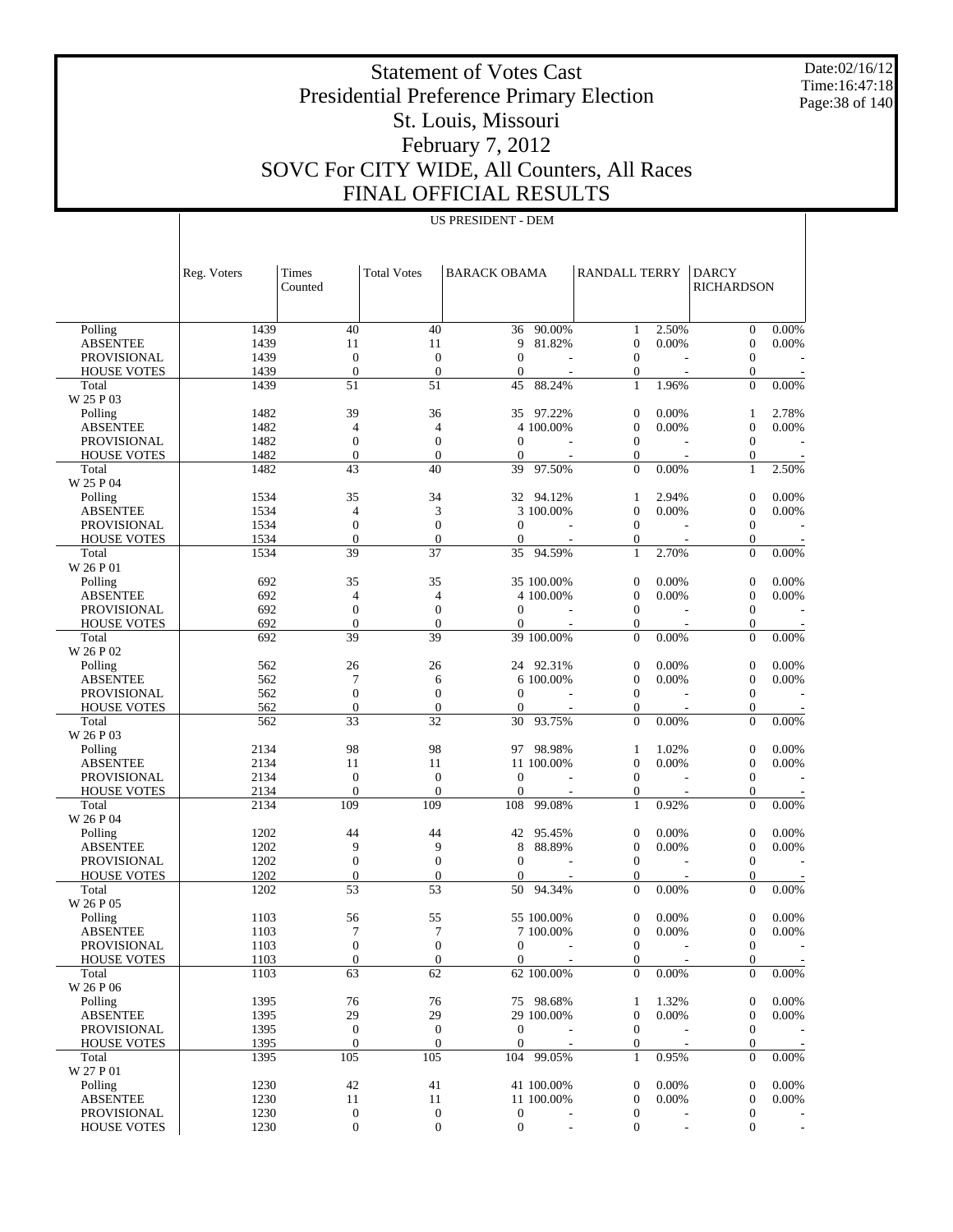Date:02/16/12 Time:16:47:18 Page:38 of 140

# Statement of Votes Cast Presidential Preference Primary Election St. Louis, Missouri February 7, 2012 SOVC For CITY WIDE, All Counters, All Races FINAL OFFICIAL RESULTS

|                                       | Reg. Voters | Times<br>Counted       | <b>Total Votes</b>                   | <b>BARACK OBAMA</b>                |            | <b>RANDALL TERRY</b>               |       | <b>DARCY</b><br><b>RICHARDSON</b> |                          |
|---------------------------------------|-------------|------------------------|--------------------------------------|------------------------------------|------------|------------------------------------|-------|-----------------------------------|--------------------------|
| Polling                               | 1439        | 40                     | 40                                   | 36                                 | 90.00%     | 1                                  | 2.50% | $\mathbf{0}$                      | 0.00%                    |
| <b>ABSENTEE</b>                       | 1439        | 11                     | 11                                   | 9                                  | 81.82%     | $\boldsymbol{0}$                   | 0.00% | $\boldsymbol{0}$                  | 0.00%                    |
| <b>PROVISIONAL</b>                    | 1439        | $\boldsymbol{0}$       | $\mathbf{0}$                         | $\mathbf{0}$                       |            | $\mathbf{0}$                       |       | $\mathbf{0}$                      |                          |
| <b>HOUSE VOTES</b>                    | 1439        | $\overline{0}$         | $\overline{0}$                       | $\theta$                           |            | $\boldsymbol{0}$                   |       | $\boldsymbol{0}$                  |                          |
| Total                                 | 1439        | 51                     | 51                                   | 45                                 | 88.24%     | $\mathbf{1}$                       | 1.96% | $\theta$                          | 0.00%                    |
| W 25 P 03                             |             |                        |                                      |                                    |            |                                    |       |                                   |                          |
| Polling                               | 1482        | 39                     | 36                                   | 35                                 | 97.22%     | $\theta$                           | 0.00% | 1                                 | 2.78%                    |
| <b>ABSENTEE</b>                       | 1482        | $\overline{4}$         | 4                                    |                                    | 4 100.00%  | $\overline{0}$                     | 0.00% | $\boldsymbol{0}$                  | 0.00%                    |
| <b>PROVISIONAL</b>                    | 1482        | $\boldsymbol{0}$       | $\boldsymbol{0}$                     | $\theta$                           |            | $\mathbf{0}$                       |       | $\mathbf{0}$                      |                          |
| <b>HOUSE VOTES</b>                    | 1482        | $\overline{0}$         | $\overline{0}$                       | $\theta$                           |            | $\boldsymbol{0}$                   |       | $\boldsymbol{0}$                  |                          |
| Total                                 | 1482        | 43                     | 40                                   | 39                                 | 97.50%     | $\overline{0}$                     | 0.00% | $\mathbf{1}$                      | 2.50%                    |
| W 25 P 04                             |             |                        |                                      |                                    |            |                                    |       |                                   |                          |
| Polling                               | 1534        | 35                     | 34                                   |                                    | 32 94.12%  | 1                                  | 2.94% | $\boldsymbol{0}$                  | 0.00%                    |
| <b>ABSENTEE</b>                       | 1534        | $\overline{4}$         | 3                                    |                                    | 3 100.00%  | $\overline{0}$                     | 0.00% | $\boldsymbol{0}$                  | 0.00%                    |
| <b>PROVISIONAL</b>                    | 1534        | $\boldsymbol{0}$       | $\overline{0}$                       | $\theta$                           |            | $\mathbf{0}$                       |       | $\mathbf{0}$                      |                          |
| <b>HOUSE VOTES</b>                    | 1534        | $\boldsymbol{0}$       | $\mathbf{0}$                         | $\theta$                           |            | $\boldsymbol{0}$                   |       | $\boldsymbol{0}$                  |                          |
| Total                                 | 1534        | 39                     | 37                                   | 35                                 | 94.59%     | $\mathbf{1}$                       | 2.70% | $\Omega$                          | 0.00%                    |
| W 26 P 01                             |             |                        |                                      |                                    |            |                                    |       |                                   |                          |
| Polling                               | 692         | 35                     | 35                                   |                                    | 35 100.00% | $\theta$                           | 0.00% | $\boldsymbol{0}$                  | 0.00%                    |
| <b>ABSENTEE</b>                       | 692         | 4                      | 4                                    |                                    | 4 100.00%  | $\overline{0}$                     | 0.00% | $\boldsymbol{0}$                  | 0.00%                    |
| <b>PROVISIONAL</b>                    | 692         | $\boldsymbol{0}$       | $\boldsymbol{0}$                     | $\theta$                           |            | $\mathbf{0}$                       |       | $\mathbf{0}$                      |                          |
| <b>HOUSE VOTES</b>                    | 692         | $\overline{0}$         | $\overline{0}$                       | $\theta$                           |            | $\boldsymbol{0}$                   |       | $\boldsymbol{0}$                  |                          |
| Total                                 | 692         | 39                     | 39                                   |                                    | 39 100.00% | $\overline{0}$                     | 0.00% | $\overline{0}$                    | 0.00%                    |
| W 26 P 02                             |             |                        |                                      |                                    | 24 92.31%  |                                    |       |                                   |                          |
| Polling                               | 562         | 26                     | 26                                   |                                    |            | $\theta$                           | 0.00% | $\boldsymbol{0}$                  | 0.00%                    |
| <b>ABSENTEE</b><br><b>PROVISIONAL</b> | 562         | 7                      | 6<br>$\mathbf{0}$                    |                                    | 6 100.00%  | $\mathbf{0}$                       | 0.00% | $\boldsymbol{0}$<br>$\mathbf{0}$  | 0.00%                    |
|                                       | 562<br>562  | $\boldsymbol{0}$       | $\mathbf{0}$                         | $\overline{0}$<br>$\theta$         |            | $\mathbf{0}$                       |       |                                   |                          |
| <b>HOUSE VOTES</b><br>Total           | 562         | $\boldsymbol{0}$<br>33 | 32                                   | 30                                 | 93.75%     | $\boldsymbol{0}$<br>$\overline{0}$ | 0.00% | $\boldsymbol{0}$<br>$\Omega$      | 0.00%                    |
| W 26 P 03                             |             |                        |                                      |                                    |            |                                    |       |                                   |                          |
| Polling                               | 2134        | 98                     | 98                                   | 97                                 | 98.98%     | 1                                  | 1.02% | $\overline{0}$                    | 0.00%                    |
| <b>ABSENTEE</b>                       | 2134        | 11                     | 11                                   |                                    | 11 100.00% | $\overline{0}$                     | 0.00% | $\boldsymbol{0}$                  | 0.00%                    |
| PROVISIONAL                           | 2134        | $\boldsymbol{0}$       | $\mathbf{0}$                         | $\theta$                           |            | $\mathbf{0}$                       |       | $\mathbf{0}$                      |                          |
| <b>HOUSE VOTES</b>                    | 2134        | $\overline{0}$         | $\overline{0}$                       | $\mathbf{0}$                       |            | $\boldsymbol{0}$                   |       | $\boldsymbol{0}$                  |                          |
| Total                                 | 2134        | 109                    | 109                                  | 108                                | 99.08%     | $\mathbf{1}$                       | 0.92% | $\overline{0}$                    | 0.00%                    |
| W 26 P 04                             |             |                        |                                      |                                    |            |                                    |       |                                   |                          |
| Polling                               | 1202        | 44                     | 44                                   | 42                                 | 95.45%     | $\mathbf{0}$                       | 0.00% | $\boldsymbol{0}$                  | 0.00%                    |
| <b>ABSENTEE</b>                       | 1202        | 9                      | 9                                    | 8                                  | 88.89%     | $\mathbf{0}$                       | 0.00% | $\boldsymbol{0}$                  | 0.00%                    |
| PROVISIONAL                           | 1202        | $\boldsymbol{0}$       | $\boldsymbol{0}$                     | $\theta$                           |            | $\mathbf{0}$                       |       | $\mathbf{0}$                      |                          |
| <b>HOUSE VOTES</b>                    | 1202        | $\boldsymbol{0}$       | $\boldsymbol{0}$                     | $\theta$                           |            | $\boldsymbol{0}$                   |       | $\boldsymbol{0}$                  |                          |
| Total                                 | 1202        | 53                     | 53                                   | 50                                 | 94.34%     | $\theta$                           | 0.00% | $\Omega$                          | 0.00%                    |
| W 26 P 05                             |             |                        |                                      |                                    |            |                                    |       |                                   |                          |
| Polling                               | 1103        | 56                     | 55                                   |                                    | 55 100.00% | $\theta$                           | 0.00% | $\overline{0}$                    | 0.00%                    |
| <b>ABSENTEE</b>                       | 1103        | 7                      | 7                                    |                                    | 7 100.00%  | $\mathbf{0}$                       | 0.00% | $\boldsymbol{0}$                  | 0.00%                    |
| PROVISIONAL                           | 1103        | $\boldsymbol{0}$       | $\boldsymbol{0}$                     | $\overline{0}$                     |            | $\mathbf{0}$                       |       | $\mathbf{0}$                      |                          |
| <b>HOUSE VOTES</b>                    | 1103        | $\boldsymbol{0}$       | $\boldsymbol{0}$                     | $\overline{0}$                     |            | $\mathbf{0}$                       |       | $\boldsymbol{0}$                  |                          |
| Total                                 | 1103        | 63                     | 62                                   |                                    | 62 100.00% | $\Omega$                           | 0.00% | $\Omega$                          | 0.00%                    |
| W 26 P 06                             |             |                        |                                      |                                    |            |                                    |       |                                   |                          |
| Polling                               | 1395        | 76                     | 76                                   |                                    | 75 98.68%  | 1                                  | 1.32% | 0                                 | 0.00%                    |
| <b>ABSENTEE</b>                       | 1395        | 29                     | 29                                   |                                    | 29 100.00% | $\mathbf{0}$                       | 0.00% | $\mathbf{0}$                      | 0.00%                    |
| PROVISIONAL                           | 1395        | $\boldsymbol{0}$       | $\mathbf{0}$                         | $\overline{0}$                     |            | $\mathbf{0}$                       |       | $\mathbf{0}$                      |                          |
| <b>HOUSE VOTES</b>                    | 1395        | $\mathbf{0}$           | $\boldsymbol{0}$                     | $\overline{0}$                     |            | $\mathbf{0}$                       |       | $\mathbf{0}$                      |                          |
| Total                                 | 1395        | 105                    | 105                                  |                                    | 104 99.05% | $\mathbf{1}$                       | 0.95% | $\mathbf{0}$                      | 0.00%                    |
| W 27 P 01                             |             |                        |                                      |                                    |            |                                    |       |                                   |                          |
| Polling                               | 1230        | 42                     | 41                                   |                                    | 41 100.00% | $\mathbf{0}$                       | 0.00% | $\theta$                          | 0.00%                    |
| <b>ABSENTEE</b>                       | 1230        | 11                     | 11                                   |                                    | 11 100.00% | $\mathbf{0}$                       | 0.00% | $\mathbf{0}$                      | 0.00%                    |
| PROVISIONAL                           | 1230        | $\mathbf{0}$           | $\boldsymbol{0}$<br>$\boldsymbol{0}$ | $\overline{0}$<br>$\boldsymbol{0}$ |            | $\mathbf{0}$                       |       | $\theta$<br>$\overline{0}$        |                          |
| <b>HOUSE VOTES</b>                    | 1230        | 0                      |                                      |                                    |            | $\mathbf{0}$                       |       |                                   | $\overline{\phantom{a}}$ |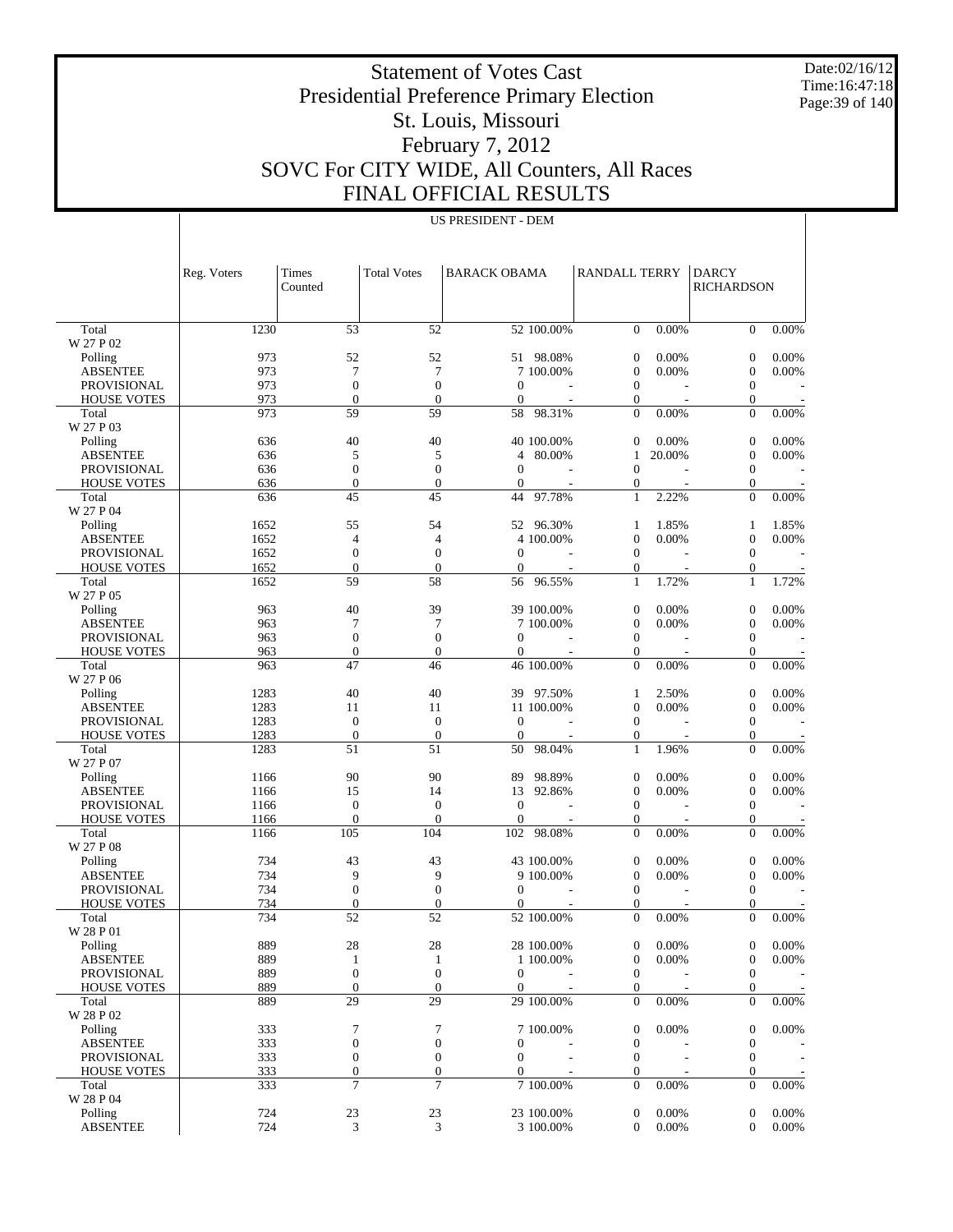Date:02/16/12 Time:16:47:18 Page:39 of 140

 $\mathbb{I}$ 

# Statement of Votes Cast Presidential Preference Primary Election St. Louis, Missouri February 7, 2012 SOVC For CITY WIDE, All Counters, All Races FINAL OFFICIAL RESULTS

US PRESIDENT - DEM

 $\overline{1}$ 

|                                          | Reg. Voters  | <b>Times</b>                 | <b>Total Votes</b>                   | <b>BARACK OBAMA</b>          |            | RANDALL TERRY                      |          | <b>DARCY</b>                     |          |
|------------------------------------------|--------------|------------------------------|--------------------------------------|------------------------------|------------|------------------------------------|----------|----------------------------------|----------|
|                                          |              | Counted                      |                                      |                              |            |                                    |          | <b>RICHARDSON</b>                |          |
| Total                                    | 1230         | 53                           | 52                                   |                              | 52 100.00% | $\mathbf{0}$                       | $0.00\%$ | $\overline{0}$                   | 0.00%    |
| W 27 P 02                                |              |                              |                                      |                              |            |                                    |          |                                  |          |
| Polling                                  | 973          | 52                           | 52                                   |                              | 51 98.08%  | $\boldsymbol{0}$                   | 0.00%    | $\boldsymbol{0}$                 | 0.00%    |
| <b>ABSENTEE</b>                          | 973          | 7                            | 7                                    |                              | 7 100.00%  | $\mathbf{0}$<br>$\mathbf{0}$       | 0.00%    | $\boldsymbol{0}$                 | 0.00%    |
| <b>PROVISIONAL</b><br><b>HOUSE VOTES</b> | 973<br>973   | $\boldsymbol{0}$<br>$\theta$ | $\boldsymbol{0}$<br>$\mathbf{0}$     | $\mathbf{0}$<br>$\theta$     |            | 0                                  |          | $\mathbf{0}$<br>$\mathbf{0}$     |          |
| Total                                    | 973          | 59                           | 59                                   | 58                           | 98.31%     | $\theta$                           | 0.00%    | $\overline{0}$                   | 0.00%    |
| W 27 P 03                                |              |                              |                                      |                              |            |                                    |          |                                  |          |
| Polling                                  | 636          | 40                           | 40                                   |                              | 40 100.00% | $\mathbf{0}$                       | 0.00%    | $\boldsymbol{0}$                 | 0.00%    |
| <b>ABSENTEE</b>                          | 636          | 5                            | 5                                    | $\overline{4}$               | 80.00%     | 1                                  | 20.00%   | $\boldsymbol{0}$                 | 0.00%    |
| <b>PROVISIONAL</b><br><b>HOUSE VOTES</b> | 636<br>636   | $\boldsymbol{0}$<br>$\theta$ | $\boldsymbol{0}$<br>$\boldsymbol{0}$ | $\mathbf{0}$<br>$\mathbf{0}$ |            | $\theta$<br>0                      |          | $\mathbf{0}$<br>$\mathbf{0}$     |          |
| Total                                    | 636          | 45                           | 45                                   | 44                           | 97.78%     | 1                                  | 2.22%    | $\overline{0}$                   | 0.00%    |
| W 27 P 04                                |              |                              |                                      |                              |            |                                    |          |                                  |          |
| Polling                                  | 1652         | 55                           | 54                                   |                              | 52 96.30%  | 1                                  | 1.85%    | 1                                | 1.85%    |
| <b>ABSENTEE</b>                          | 1652         | 4                            | $\overline{4}$                       |                              | 4 100.00%  | $\mathbf{0}$                       | 0.00%    | $\boldsymbol{0}$                 | 0.00%    |
| <b>PROVISIONAL</b>                       | 1652         | $\boldsymbol{0}$             | $\boldsymbol{0}$                     | $\mathbf{0}$                 |            | $\mathbf{0}$                       |          | $\boldsymbol{0}$                 |          |
| <b>HOUSE VOTES</b>                       | 1652         | $\theta$<br>59               | $\mathbf{0}$<br>58                   | $\mathbf{0}$<br>56           |            | 0<br>1                             |          | $\mathbf{0}$<br>$\mathbf{1}$     | 1.72%    |
| Total<br>W 27 P 05                       | 1652         |                              |                                      |                              | 96.55%     |                                    | 1.72%    |                                  |          |
| Polling                                  | 963          | 40                           | 39                                   |                              | 39 100.00% | $\boldsymbol{0}$                   | 0.00%    | $\boldsymbol{0}$                 | 0.00%    |
| <b>ABSENTEE</b>                          | 963          | 7                            | 7                                    |                              | 7 100.00%  | $\mathbf{0}$                       | 0.00%    | $\boldsymbol{0}$                 | 0.00%    |
| <b>PROVISIONAL</b>                       | 963          | $\mathbf{0}$                 | $\boldsymbol{0}$                     | $\Omega$                     |            | $\mathbf{0}$                       |          | $\mathbf{0}$                     |          |
| <b>HOUSE VOTES</b>                       | 963          | $\mathbf{0}$                 | $\boldsymbol{0}$                     | $\theta$                     |            | 0                                  |          | $\mathbf{0}$                     |          |
| Total                                    | 963          | 47                           | 46                                   |                              | 46 100.00% | $\theta$                           | 0.00%    | $\theta$                         | 0.00%    |
| W 27 P 06<br>Polling                     | 1283         | 40                           | 40                                   |                              | 39 97.50%  | 1                                  | 2.50%    | $\boldsymbol{0}$                 | 0.00%    |
| <b>ABSENTEE</b>                          | 1283         | 11                           | 11                                   |                              | 11 100.00% | $\boldsymbol{0}$                   | 0.00%    | $\boldsymbol{0}$                 | 0.00%    |
| <b>PROVISIONAL</b>                       | 1283         | $\boldsymbol{0}$             | $\mathbf{0}$                         | $\theta$                     |            | $\mathbf{0}$                       |          | $\boldsymbol{0}$                 |          |
| <b>HOUSE VOTES</b>                       | 1283         | $\mathbf{0}$                 | $\mathbf{0}$                         | $\mathbf{0}$                 |            | 0                                  |          | $\mathbf{0}$                     |          |
| Total                                    | 1283         | 51                           | 51                                   | 50                           | 98.04%     | 1                                  | 1.96%    | $\overline{0}$                   | 0.00%    |
| W 27 P 07                                |              |                              |                                      |                              |            |                                    |          |                                  |          |
| Polling                                  | 1166         | 90                           | 90<br>14                             | 89                           | 98.89%     | $\boldsymbol{0}$                   | 0.00%    | $\boldsymbol{0}$                 | 0.00%    |
| <b>ABSENTEE</b><br><b>PROVISIONAL</b>    | 1166<br>1166 | 15<br>$\boldsymbol{0}$       | $\boldsymbol{0}$                     | 13<br>$\mathbf{0}$           | 92.86%     | $\mathbf{0}$<br>$\mathbf{0}$       | 0.00%    | $\boldsymbol{0}$<br>$\mathbf{0}$ | 0.00%    |
| <b>HOUSE VOTES</b>                       | 1166         | $\mathbf{0}$                 | $\mathbf{0}$                         | $\boldsymbol{0}$             |            | 0                                  |          | $\mathbf{0}$                     |          |
| Total                                    | 1166         | 105                          | 104                                  | 102                          | 98.08%     | $\theta$                           | 0.00%    | $\mathbf{0}$                     | 0.00%    |
| W 27 P 08                                |              |                              |                                      |                              |            |                                    |          |                                  |          |
| Polling                                  | 734          | 43                           | 43                                   |                              | 43 100.00% | $\boldsymbol{0}$                   | 0.00%    | $\boldsymbol{0}$                 | 0.00%    |
| <b>ABSENTEE</b>                          | 734          | 9                            | 9                                    |                              | 9 100.00%  | $\mathbf{0}$                       | 0.00%    | $\boldsymbol{0}$                 | 0.00%    |
| <b>PROVISIONAL</b><br><b>HOUSE VOTES</b> | 734<br>734   | $\boldsymbol{0}$<br>$\theta$ | $\boldsymbol{0}$<br>$\mathbf{0}$     | $\mathbf{0}$<br>0            |            | $\mathbf{0}$<br>0                  |          | $\boldsymbol{0}$<br>$\theta$     |          |
| Total                                    | 734          | 52                           | 52                                   |                              | 52 100.00% | $\overline{0}$                     | 0.00%    | $\overline{0}$                   | 0.00%    |
| W 28 P 01                                |              |                              |                                      |                              |            |                                    |          |                                  |          |
| Polling                                  | 889          | 28                           | 28                                   |                              | 28 100.00% | $\boldsymbol{0}$                   | 0.00%    | $\boldsymbol{0}$                 | 0.00%    |
| <b>ABSENTEE</b>                          | 889          | 1                            | $\mathbf{1}$                         |                              | 1 100.00%  | $\mathbf{0}$                       | 0.00%    | $\boldsymbol{0}$                 | 0.00%    |
| <b>PROVISIONAL</b>                       | 889          | $\boldsymbol{0}$             | $\boldsymbol{0}$                     | $\mathbf{0}$                 |            | $\boldsymbol{0}$                   |          | $\mathbf{0}$                     |          |
| <b>HOUSE VOTES</b><br>Total              | 889<br>889   | $\boldsymbol{0}$<br>29       | $\mathbf{0}$<br>29                   | $\mathbf{0}$                 | 29 100.00% | $\boldsymbol{0}$<br>$\overline{0}$ | 0.00%    | $\boldsymbol{0}$<br>$\mathbf{0}$ | 0.00%    |
| W 28 P 02                                |              |                              |                                      |                              |            |                                    |          |                                  |          |
| Polling                                  | 333          | 7                            | 7                                    |                              | 7 100.00%  | $\mathbf{0}$                       | 0.00%    | $\boldsymbol{0}$                 | 0.00%    |
| <b>ABSENTEE</b>                          | 333          | $\boldsymbol{0}$             | $\boldsymbol{0}$                     | $\boldsymbol{0}$             |            | $\mathbf{0}$                       |          | $\boldsymbol{0}$                 |          |
| <b>PROVISIONAL</b>                       | 333          | $\boldsymbol{0}$             | $\boldsymbol{0}$                     | $\boldsymbol{0}$             |            | $\mathbf{0}$                       |          | $\mathbf{0}$                     |          |
| <b>HOUSE VOTES</b>                       | 333          | $\boldsymbol{0}$             | $\mathbf{0}$                         | $\boldsymbol{0}$             |            | 0                                  |          | $\boldsymbol{0}$                 |          |
| Total<br>W 28 P 04                       | 333          | 7                            | 7                                    |                              | 7 100.00%  | $\overline{0}$                     | 0.00%    | $\boldsymbol{0}$                 | $0.00\%$ |
| Polling                                  | 724          | 23                           | 23                                   |                              | 23 100.00% | $\boldsymbol{0}$                   | 0.00%    | $\boldsymbol{0}$                 | 0.00%    |
| <b>ABSENTEE</b>                          | 724          | 3                            | 3                                    |                              | 3 100.00%  | $\mathbf{0}$                       | 0.00%    | $\mathbf{0}$                     | 0.00%    |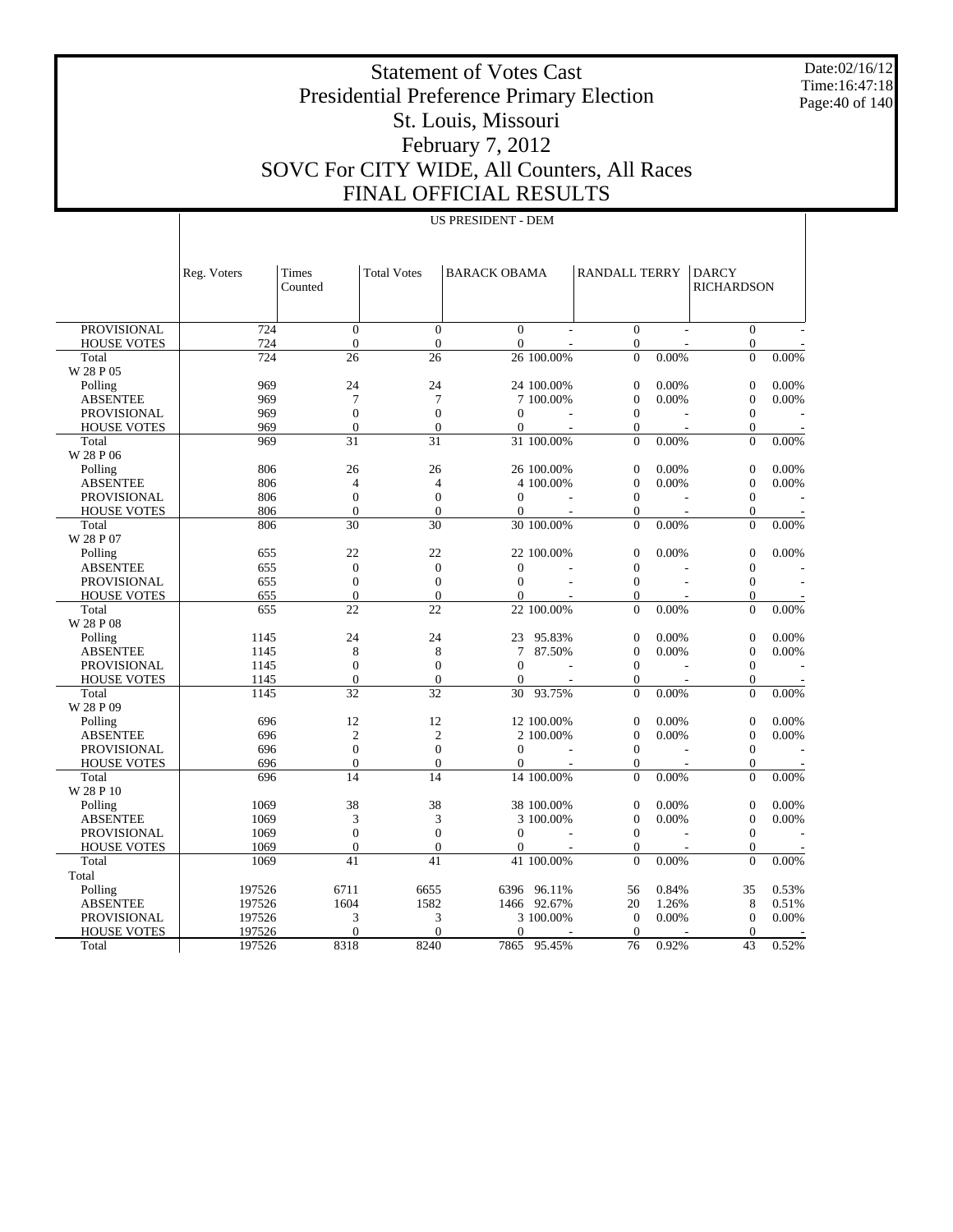Date:02/16/12 Time:16:47:18 Page:40 of 140

# Statement of Votes Cast Presidential Preference Primary Election St. Louis, Missouri February 7, 2012 SOVC For CITY WIDE, All Counters, All Races FINAL OFFICIAL RESULTS

|                    | <b>US PRESIDENT - DEM</b> |                  |                    |                     |                |                      |       |                                   |       |
|--------------------|---------------------------|------------------|--------------------|---------------------|----------------|----------------------|-------|-----------------------------------|-------|
|                    |                           |                  |                    |                     |                |                      |       |                                   |       |
|                    | Reg. Voters               | Times<br>Counted | <b>Total Votes</b> | <b>BARACK OBAMA</b> |                | <b>RANDALL TERRY</b> |       | <b>DARCY</b><br><b>RICHARDSON</b> |       |
| PROVISIONAL        | 724                       | $\mathbf{0}$     | $\mathbf{0}$       | $\overline{0}$      |                | $\overline{0}$       |       | $\mathbf{0}$                      |       |
| <b>HOUSE VOTES</b> | 724                       | $\overline{0}$   | $\overline{0}$     | $\overline{0}$      |                | $\overline{0}$       |       | $\overline{0}$                    |       |
| Total              | 724                       | 26               | 26                 |                     | 26 100.00%     | $\theta$             | 0.00% | $\Omega$                          | 0.00% |
| W 28 P 05          |                           |                  |                    |                     |                |                      |       |                                   |       |
| Polling            | 969                       | 24               | 24                 |                     | 24 100.00%     | $\boldsymbol{0}$     | 0.00% | $\boldsymbol{0}$                  | 0.00% |
| <b>ABSENTEE</b>    | 969                       | $\overline{7}$   | $\tau$             |                     | 7 100.00%      | $\boldsymbol{0}$     | 0.00% | $\boldsymbol{0}$                  | 0.00% |
| <b>PROVISIONAL</b> | 969                       | $\overline{0}$   | $\overline{0}$     | $\theta$            | $\overline{a}$ | $\overline{0}$       |       | $\overline{0}$                    |       |
| <b>HOUSE VOTES</b> | 969                       | $\mathbf{0}$     | $\mathbf{0}$       | $\mathbf{0}$        |                | 0                    |       | $\boldsymbol{0}$                  |       |
| Total              | 969                       | 31               | 31                 |                     | 31 100.00%     | $\theta$             | 0.00% | $\theta$                          | 0.00% |
| W 28 P 06          |                           |                  |                    |                     |                |                      |       |                                   |       |
| Polling            | 806                       | 26               | 26                 |                     | 26 100.00%     | $\boldsymbol{0}$     | 0.00% | $\boldsymbol{0}$                  | 0.00% |
| <b>ABSENTEE</b>    | 806                       | $\overline{4}$   | $\overline{4}$     |                     | 4 100,00%      | $\overline{0}$       | 0.00% | $\mathbf{0}$                      | 0.00% |
| <b>PROVISIONAL</b> | 806                       | $\boldsymbol{0}$ | $\boldsymbol{0}$   | $\mathbf{0}$        |                | $\mathbf{0}$         |       | $\mathbf{0}$                      |       |
| <b>HOUSE VOTES</b> | 806                       | $\Omega$         | $\theta$           | $\Omega$            |                | $\overline{0}$       |       | $\mathbf{0}$                      |       |
| Total              | 806                       | 30               | 30                 |                     | 30 100.00%     | $\Omega$             | 0.00% | $\Omega$                          | 0.00% |
| W 28 P 07          |                           |                  |                    |                     |                |                      |       |                                   |       |
| Polling            | 655                       | 22               | 22                 |                     | 22 100.00%     | $\overline{0}$       | 0.00% | $\boldsymbol{0}$                  | 0.00% |
| <b>ABSENTEE</b>    | 655                       | $\boldsymbol{0}$ | $\boldsymbol{0}$   | $\theta$            |                | $\mathbf{0}$         |       | $\boldsymbol{0}$                  |       |
| <b>PROVISIONAL</b> | 655                       | $\overline{0}$   | $\overline{0}$     | $\overline{0}$      |                | $\overline{0}$       | L.    | $\mathbf{0}$                      |       |
| <b>HOUSE VOTES</b> | 655                       | $\overline{0}$   | $\overline{0}$     | $\Omega$            |                | $\theta$             |       | $\overline{0}$                    |       |
| Total              | 655                       | 22               | 22                 |                     | 22 100.00%     | $\theta$             | 0.00% | $\mathbf{0}$                      | 0.00% |
| W 28 P 08          |                           |                  |                    |                     |                |                      |       |                                   |       |
|                    |                           |                  |                    |                     |                |                      |       |                                   |       |
| Polling            | 1145                      | 24               | 24                 | 23                  | 95.83%         | $\boldsymbol{0}$     | 0.00% | $\boldsymbol{0}$                  | 0.00% |
| <b>ABSENTEE</b>    | 1145                      | 8                | 8                  | $\tau$              | 87.50%         | $\mathbf{0}$         | 0.00% | $\overline{0}$                    | 0.00% |
| <b>PROVISIONAL</b> | 1145                      | $\overline{0}$   | $\overline{0}$     | $\Omega$            |                | $\theta$             |       | $\mathbf{0}$                      |       |
| <b>HOUSE VOTES</b> | 1145                      | $\overline{0}$   | $\overline{0}$     | $\mathbf{0}$        |                | 0                    |       | $\mathbf{0}$                      |       |
| Total              | 1145                      | 32               | 32                 | 30                  | 93.75%         | $\theta$             | 0.00% | $\Omega$                          | 0.00% |
| W 28 P 09          |                           |                  |                    |                     |                |                      |       |                                   |       |
| Polling            | 696                       | 12               | 12                 |                     | 12 100.00%     | $\boldsymbol{0}$     | 0.00% | $\boldsymbol{0}$                  | 0.00% |
| <b>ABSENTEE</b>    | 696                       | $\overline{2}$   | $\overline{2}$     |                     | 2 100,00%      | $\overline{0}$       | 0.00% | $\mathbf{0}$                      | 0.00% |
| <b>PROVISIONAL</b> | 696                       | $\overline{0}$   | $\overline{0}$     | $\mathbf{0}$        |                | $\mathbf{0}$         |       | $\boldsymbol{0}$                  |       |
| <b>HOUSE VOTES</b> | 696                       | $\overline{0}$   | $\overline{0}$     | $\Omega$            |                | $\overline{0}$       |       | $\boldsymbol{0}$                  |       |
| Total              | 696                       | 14               | 14                 |                     | 14 100.00%     | $\Omega$             | 0.00% | $\theta$                          | 0.00% |
| W 28 P 10          |                           |                  |                    |                     |                |                      |       |                                   |       |
| Polling            | 1069                      | 38               | 38                 |                     | 38 100.00%     | $\overline{0}$       | 0.00% | $\overline{0}$                    | 0.00% |
| <b>ABSENTEE</b>    | 1069                      | 3                | 3                  |                     | 3 100.00%      | $\mathbf{0}$         | 0.00% | $\boldsymbol{0}$                  | 0.00% |
| PROVISIONAL        | 1069                      | $\overline{0}$   | $\overline{0}$     | $\Omega$            |                | $\theta$             |       | $\mathbf{0}$                      |       |
| <b>HOUSE VOTES</b> | 1069                      | $\mathbf{0}$     | $\mathbf{0}$       | $\mathbf{0}$        |                | 0                    |       | $\mathbf{0}$                      |       |
| Total              | 1069                      | 41               | 41                 |                     | 41 100.00%     | $\theta$             | 0.00% | $\theta$                          | 0.00% |
| Total              |                           |                  |                    |                     |                |                      |       |                                   |       |
| Polling            | 197526                    | 6711             | 6655               | 6396                | 96.11%         | 56                   | 0.84% | 35                                | 0.53% |
| <b>ABSENTEE</b>    | 197526                    | 1604             | 1582               |                     | 1466 92.67%    | 20                   | 1.26% | 8                                 | 0.51% |
| <b>PROVISIONAL</b> | 197526                    | 3                | 3                  |                     | 3 100.00%      | $\theta$             | 0.00% | $\boldsymbol{0}$                  | 0.00% |
| <b>HOUSE VOTES</b> | 197526                    | $\Omega$         | $\mathbf{0}$       | $\mathbf{0}$        |                | $\theta$             |       | $\overline{0}$                    |       |
| Total              | 197526                    | 8318             | 8240               | 7865                | 95.45%         | 76                   | 0.92% | 43                                | 0.52% |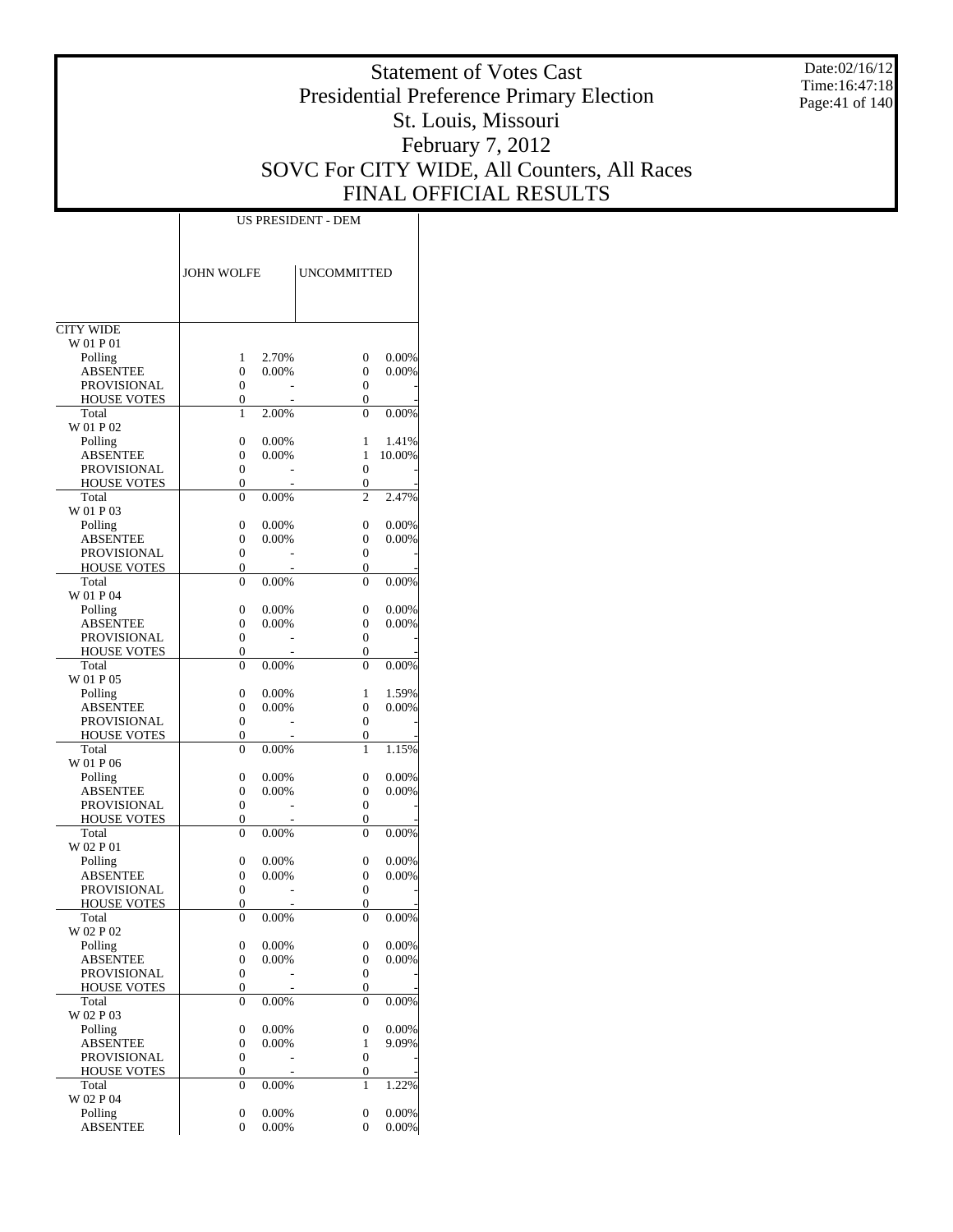Date:02/16/12 Time:16:47:18 Page:41 of 140

# Statement of Votes Cast Presidential Preference Primary Election St. Louis, Missouri February 7, 2012 SOVC For CITY WIDE, All Counters, All Races FINAL OFFICIAL RESULTS

|                                          | <b>JOHN WOLFE</b>          |                | <b>UNCOMMITTED</b> |                 |
|------------------------------------------|----------------------------|----------------|--------------------|-----------------|
|                                          |                            |                |                    |                 |
| <b>CITY WIDE</b><br>W 01 P 01            |                            |                |                    |                 |
| Polling                                  | 1                          | 2.70%          | 0                  | 0.00%           |
| <b>ABSENTEE</b>                          | $\theta$                   | 0.00%          | 0                  | 0.00%           |
| <b>PROVISIONAL</b>                       | 0                          |                | $\theta$           |                 |
| <b>HOUSE VOTES</b>                       | $\overline{0}$             |                | 0                  |                 |
| Total                                    | 1                          | 2.00%          | $\theta$           | 0.00%           |
| W 01 P 02                                |                            |                |                    |                 |
| Polling<br><b>ABSENTEE</b>               | 0<br>$\overline{0}$        | 0.00%<br>0.00% | 1<br>$\mathbf{1}$  | 1.41%<br>10.00% |
| <b>PROVISIONAL</b>                       | 0                          |                | $\theta$           |                 |
| <b>HOUSE VOTES</b>                       | $\overline{0}$             |                | 0                  |                 |
| Total                                    | $\theta$                   | 0.00%          | $\overline{c}$     | 2.47%           |
| W 01 P 03                                |                            |                |                    |                 |
| Polling                                  | 0                          | 0.00%          | $\theta$           | 0.00%           |
| <b>ABSENTEE</b>                          | 0                          | 0.00%          | 0                  | 0.00%           |
| <b>PROVISIONAL</b>                       | 0                          |                | $\theta$           |                 |
| <b>HOUSE VOTES</b><br>Total              | $\overline{0}$<br>$\theta$ | 0.00%          | 0<br>$\theta$      | 0.00%           |
| W 01 P 04                                |                            |                |                    |                 |
| Polling                                  | 0                          | 0.00%          | $\theta$           | 0.00%           |
| <b>ABSENTEE</b>                          | $\overline{0}$             | $0.00\%$       | 0                  | 0.00%           |
| <b>PROVISIONAL</b>                       | 0                          |                | 0                  |                 |
| <b>HOUSE VOTES</b>                       | $\overline{0}$             |                | 0                  |                 |
| Total                                    | $\theta$                   | 0.00%          | $\theta$           | 0.00%           |
| W 01 P 05                                |                            |                |                    |                 |
| Polling                                  | 0                          | 0.00%          | 1                  | 1.59%           |
| <b>ABSENTEE</b>                          | 0                          | 0.00%          | 0<br>$\theta$      | 0.00%           |
| <b>PROVISIONAL</b><br><b>HOUSE VOTES</b> | 0<br>$\overline{0}$        |                | 0                  |                 |
| Total                                    | $\theta$                   | 0.00%          | 1                  | 1.15%           |
| W 01 P 06                                |                            |                |                    |                 |
| Polling                                  | 0                          | 0.00%          | $\theta$           | 0.00%           |
| <b>ABSENTEE</b>                          | $\overline{0}$             | 0.00%          | 0                  | 0.00%           |
| <b>PROVISIONAL</b>                       | 0                          |                | 0                  |                 |
| <b>HOUSE VOTES</b>                       | $\overline{0}$             |                | 0                  |                 |
| Total                                    | $\theta$                   | 0.00%          | $\theta$           | 0.00%           |
| W 02 P 01<br>Polling                     | 0                          | 0.00%          | 0                  | 0.00%           |
| <b>ABSENTEE</b>                          | 0                          | 0.00%          | 0                  | 0.00%           |
| PROVISIONAL                              | 0                          |                | 0                  |                 |
| <b>HOUSE VOTES</b>                       | 0                          |                | 0                  |                 |
| Total                                    | $\theta$                   | 0.00%          | $\theta$           | 0.00%           |
| W 02 P 02                                |                            |                |                    |                 |
| Polling                                  | 0                          | 0.00%          | 0                  | 0.00%           |
| <b>ABSENTEE</b>                          | 0                          | 0.00%          | 0                  | 0.00%           |
| PROVISIONAL<br><b>HOUSE VOTES</b>        | 0<br>0                     |                | 0<br>0             |                 |
| Total                                    | 0                          | 0.00%          | 0                  | 0.00%           |
| W 02 P 03                                |                            |                |                    |                 |
| Polling                                  | 0                          | 0.00%          | 0                  | 0.00%           |
| <b>ABSENTEE</b>                          | 0                          | 0.00%          | 1                  | 9.09%           |
| PROVISIONAL                              | 0                          |                | 0                  |                 |
| <b>HOUSE VOTES</b>                       | 0                          |                | 0                  |                 |
| Total                                    | 0                          | 0.00%          | 1                  | 1.22%           |
| W 02 P 04                                |                            |                |                    |                 |
| Polling<br>ABSENTEE                      | 0<br>0                     | 0.00%<br>0.00% | 0<br>0             | 0.00%<br>0.00%  |
|                                          |                            |                |                    |                 |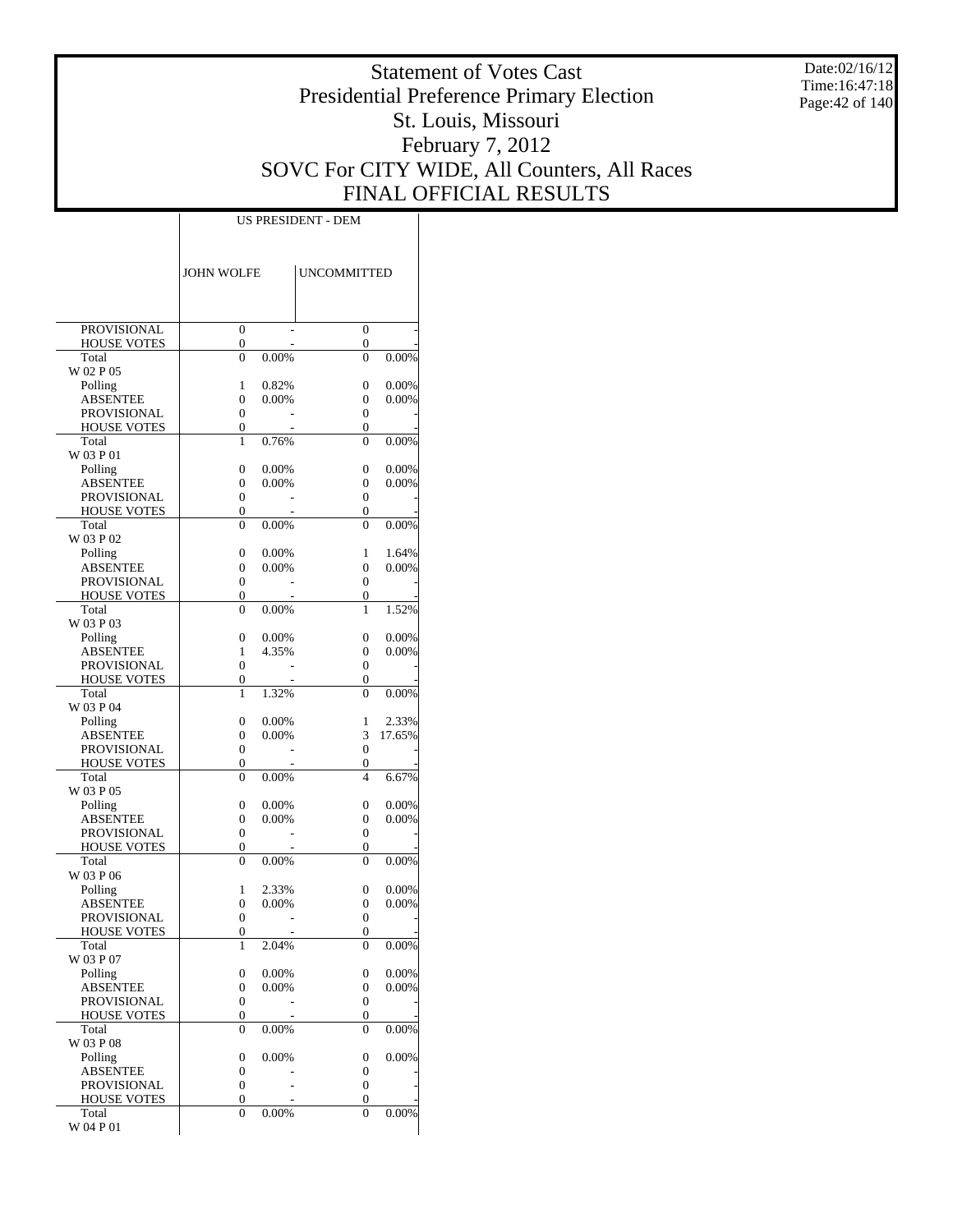Date:02/16/12 Time:16:47:18 Page:42 of 140

# Statement of Votes Cast Presidential Preference Primary Election St. Louis, Missouri February 7, 2012 SOVC For CITY WIDE, All Counters, All Races FINAL OFFICIAL RESULTS

|                                   | <b>JOHN WOLFE</b>   |                   | <b>UNCOMMITTED</b>       |                 |
|-----------------------------------|---------------------|-------------------|--------------------------|-----------------|
|                                   |                     |                   |                          |                 |
| PROVISIONAL<br><b>HOUSE VOTES</b> | $\overline{0}$<br>0 |                   | $\overline{0}$<br>0      |                 |
| Total                             | $\overline{0}$      | 0.00%             | $\overline{0}$           | 0.00%           |
| W 02 P 05                         |                     |                   |                          |                 |
| Polling                           | 1                   | 0.82%             | 0                        | 0.00%           |
| <b>ABSENTEE</b><br>PROVISIONAL    | 0<br>0              | 0.00%             | 0<br>$\overline{0}$      | 0.00%           |
| <b>HOUSE VOTES</b>                | 0                   |                   | 0                        |                 |
| Total                             | 1                   | 0.76%             | $\theta$                 | 0.00%           |
| W 03 P 01                         |                     |                   |                          |                 |
| Polling<br>ABSENTEE               | 0                   | 0.00%<br>0.00%    | 0<br>0                   | 0.00%<br>0.00%  |
| PROVISIONAL                       | 0<br>0              |                   | 0                        |                 |
| <b>HOUSE VOTES</b>                | 0                   |                   | 0                        |                 |
| Total                             | 0                   | 0.00%             | 0                        | 0.00%           |
| W 03 P 02                         |                     |                   |                          |                 |
| Polling<br><b>ABSENTEE</b>        | 0<br>0              | 0.00%<br>0.00%    | 1<br>0                   | 1.64%<br>0.00%  |
| <b>PROVISIONAL</b>                | 0                   |                   | $\overline{0}$           |                 |
| <b>HOUSE VOTES</b>                | 0                   |                   | 0                        |                 |
| Total                             | $\overline{0}$      | 0.00%             | 1                        | 1.52%           |
| W 03 P 03                         |                     |                   |                          |                 |
| Polling                           | 0<br>1              | 0.00%<br>4.35%    | 0<br>0                   | 0.00%<br>0.00%  |
| ABSENTEE<br>PROVISIONAL           | 0                   |                   | 0                        |                 |
| <b>HOUSE VOTES</b>                | 0                   |                   | 0                        |                 |
| Total                             | 1                   | 1.32%             | 0                        | 0.00%           |
| W 03 P 04                         |                     |                   |                          |                 |
| Polling<br><b>ABSENTEE</b>        | 0<br>0              | 0.00%<br>$0.00\%$ | 1<br>3                   | 2.33%<br>17.65% |
| PROVISIONAL                       | 0                   |                   | 0                        |                 |
| <b>HOUSE VOTES</b>                | 0                   |                   | 0                        |                 |
| Total                             | $\overline{0}$      | 0.00%             | $\overline{\mathcal{L}}$ | 6.67%           |
| W 03 P 05<br>Polling              | 0                   | 0.00%             | 0                        | 0.00%           |
| ABSENTEE                          | 0                   | 0.00%             | 0                        | 0.00%           |
| PROVISIONAL                       | $\boldsymbol{0}$    |                   | 0                        |                 |
| <b>HOUSE VOTES</b>                | 0                   |                   | 0                        |                 |
| Total<br>W 03 P 06                | 0                   | 0.00%             | 0                        | 0.00%           |
| Polling                           | 1                   | 2.33%             | 0                        | 0.00%           |
| ABSENTEE                          | 0                   | 0.00%             | 0                        | 0.00%           |
| PROVISIONAL                       | $\overline{0}$      |                   | $\overline{0}$           |                 |
| <b>HOUSE VOTES</b>                | 0                   |                   | $\overline{0}$           |                 |
| Total<br>W 03 P 07                | 1                   | 2.04%             | 0                        | 0.00%           |
| Polling                           | 0                   | 0.00%             | 0                        | 0.00%           |
| ABSENTEE                          | 0                   | 0.00%             | 0                        | 0.00%           |
| <b>PROVISIONAL</b>                | 0                   |                   | 0                        |                 |
| <b>HOUSE VOTES</b>                | 0                   |                   | 0                        |                 |
| Total<br>W 03 P 08                | $\overline{0}$      | 0.00%             | 0                        | 0.00%           |
| Polling                           | $\boldsymbol{0}$    | 0.00%             | 0                        | 0.00%           |
| ABSENTEE                          | 0                   |                   | 0                        |                 |
| PROVISIONAL                       | $\boldsymbol{0}$    |                   | 0                        |                 |
| HOUSE VOTES<br>Total              | 0<br>0              | 0.00%             | 0<br>0                   | 0.00%           |
| W 04 P 01                         |                     |                   |                          |                 |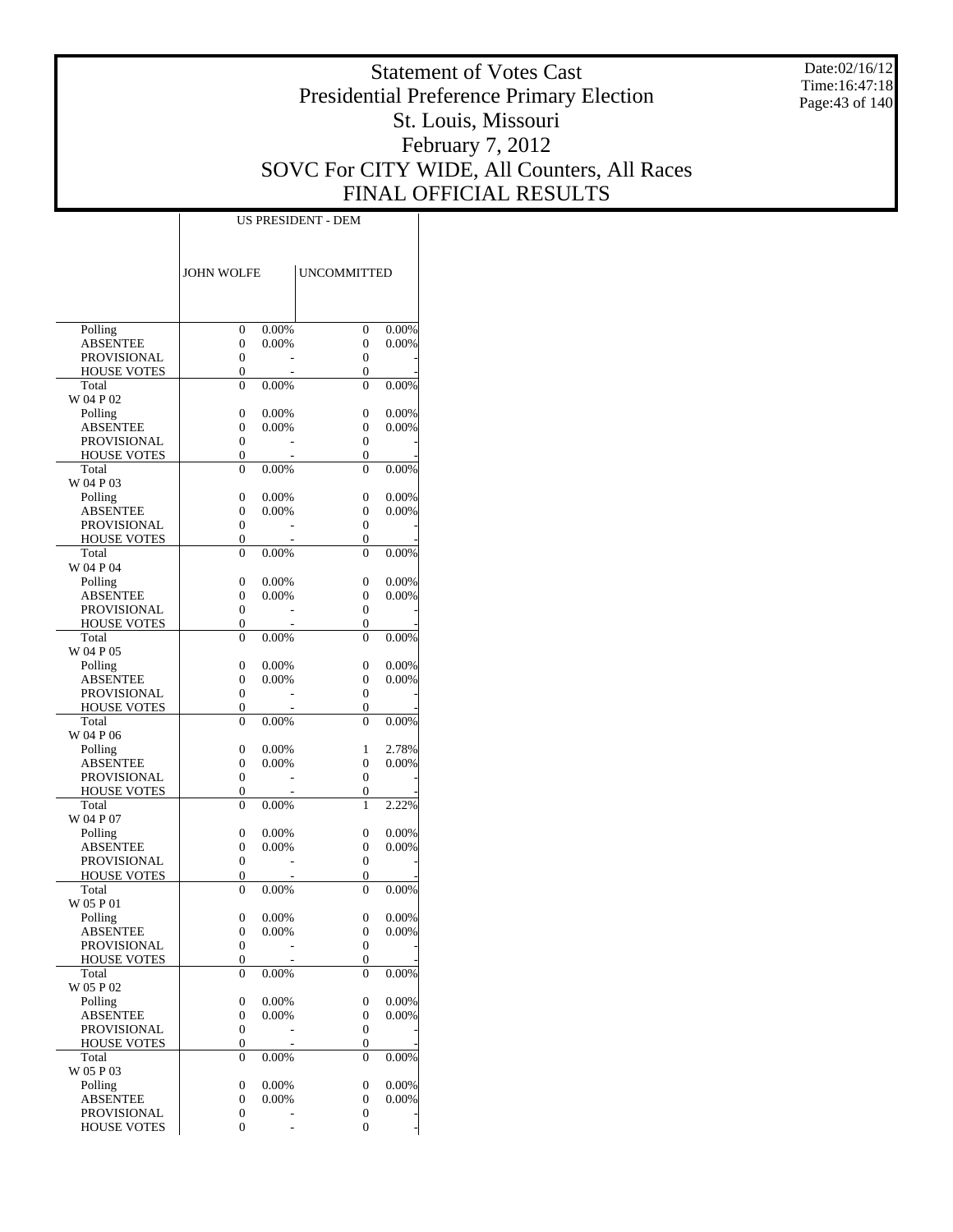Date:02/16/12 Time:16:47:18 Page:43 of 140

# Statement of Votes Cast Presidential Preference Primary Election St. Louis, Missouri February 7, 2012 SOVC For CITY WIDE, All Counters, All Races FINAL OFFICIAL RESULTS

|                                          | <b>JOHN WOLFE</b>          |                | <b>UNCOMMITTED</b>               |                |
|------------------------------------------|----------------------------|----------------|----------------------------------|----------------|
|                                          |                            |                |                                  |                |
| Polling<br><b>ABSENTEE</b>               | 0<br>0                     | 0.00%<br>0.00% | 0<br>0                           | 0.00%<br>0.00% |
| PROVISIONAL                              | 0                          |                | $\overline{0}$                   |                |
| <b>HOUSE VOTES</b>                       | $\overline{0}$             |                | $\overline{0}$                   |                |
| Total<br>W 04 P 02                       | $\theta$                   | 0.00%          | $\theta$                         | 0.00%          |
| Polling                                  | 0                          | 0.00%          | $\overline{0}$                   | 0.00%          |
| <b>ABSENTEE</b>                          | 0                          | 0.00%          | 0                                | 0.00%          |
| PROVISIONAL                              | 0                          |                | 0                                |                |
| <b>HOUSE VOTES</b><br>Total              | $\overline{0}$<br>$\theta$ | 0.00%          | $\overline{0}$<br>$\theta$       | 0.00%          |
| W 04 P 03                                |                            |                |                                  |                |
| Polling                                  | 0                          | 0.00%          | 0                                | 0.00%          |
| <b>ABSENTEE</b><br>PROVISIONAL           | 0<br>0                     | 0.00%          | 0<br>$\overline{0}$              | 0.00%          |
| <b>HOUSE VOTES</b>                       | $\overline{0}$             |                | $\overline{0}$                   |                |
| Total<br>W 04 P 04                       | $\theta$                   | 0.00%          | $\theta$                         | 0.00%          |
| Polling                                  | 0                          | 0.00%          | $\overline{0}$                   | 0.00%          |
| <b>ABSENTEE</b>                          | 0                          | 0.00%          | 0                                | 0.00%          |
| PROVISIONAL                              | 0                          |                | 0                                |                |
| <b>HOUSE VOTES</b>                       | $\overline{0}$             |                | $\overline{0}$                   |                |
| Total<br>W 04 P 05                       | $\theta$                   | 0.00%          | $\theta$                         | 0.00%          |
| Polling                                  | 0                          | 0.00%          | 0                                | 0.00%          |
| <b>ABSENTEE</b>                          | 0                          | 0.00%          | 0                                | 0.00%          |
| PROVISIONAL<br><b>HOUSE VOTES</b>        | 0<br>0                     |                | $\overline{0}$<br>$\overline{0}$ |                |
| Total                                    | $\theta$                   | 0.00%          | $\theta$                         | 0.00%          |
| W 04 P 06                                |                            |                |                                  |                |
| Polling                                  | 0                          | 0.00%          | 1                                | 2.78%          |
| <b>ABSENTEE</b><br>PROVISIONAL           | 0<br>0                     | 0.00%          | $\overline{0}$<br>0              | 0.00%          |
| <b>HOUSE VOTES</b>                       | $\overline{0}$             |                | 0                                |                |
| Total<br>W 04 P 07                       | $\theta$                   | 0.00%          | 1                                | 2.22%          |
| Polling                                  | 0                          | 0.00%          | 0                                | 0.00%          |
| <b>ABSENTEE</b>                          | 0                          | 0.00%          | 0                                | 0.00%          |
| <b>PROVISIONAL</b>                       | 0                          |                | 0                                |                |
| <b>HOUSE VOTES</b>                       | 0                          |                | $\overline{0}$                   | 0.00%          |
| Total<br>W 05 P 01                       | $\theta$                   | 0.00%          | $\theta$                         |                |
| Polling                                  | 0                          | 0.00%          | 0                                | 0.00%          |
| <b>ABSENTEE</b>                          | $\mathbf{0}$               | $0.00\%$       | 0                                | 0.00%          |
| <b>PROVISIONAL</b><br><b>HOUSE VOTES</b> | 0<br>0                     |                | $\boldsymbol{0}$<br>0            |                |
| Total                                    | 0                          | 0.00%          | $\overline{0}$                   | 0.00%          |
| W 05 P 02                                |                            |                |                                  |                |
| Polling                                  | $\boldsymbol{0}$           | 0.00%          | 0                                | 0.00%          |
| <b>ABSENTEE</b><br><b>PROVISIONAL</b>    | 0<br>0                     | 0.00%          | 0<br>$\boldsymbol{0}$            | 0.00%          |
| <b>HOUSE VOTES</b>                       | 0                          |                | 0                                |                |
| Total                                    | 0                          | 0.00%          | $\theta$                         | 0.00%          |
| W 05 P 03<br>Polling                     | 0                          | 0.00%          | 0                                | 0.00%          |
| <b>ABSENTEE</b>                          | 0                          | 0.00%          | 0                                | 0.00%          |
| PROVISIONAL                              | 0                          |                | 0                                |                |
| <b>HOUSE VOTES</b>                       | 0                          | $\overline{a}$ | $\overline{0}$                   |                |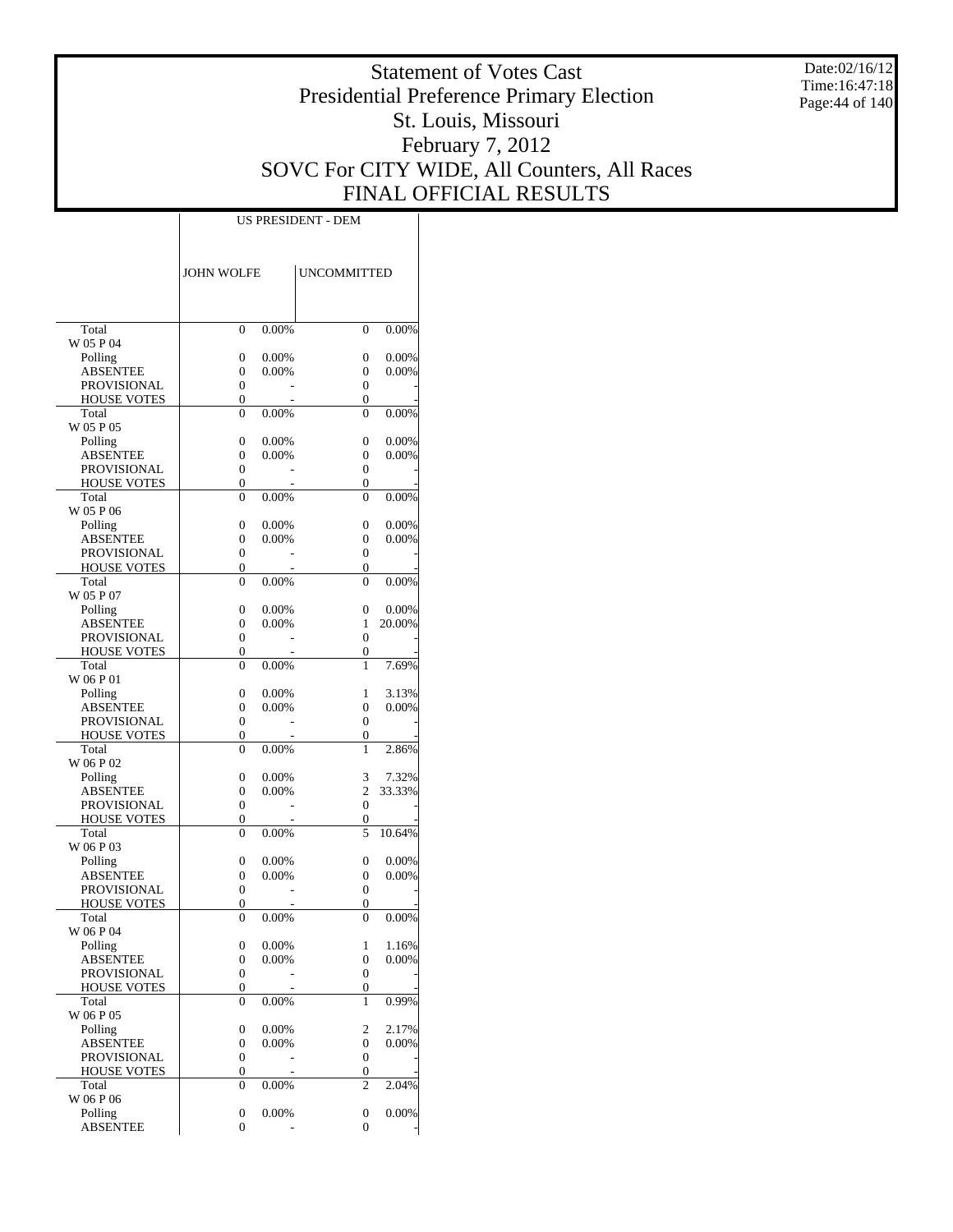Date:02/16/12 Time:16:47:18 Page:44 of 140

# Statement of Votes Cast Presidential Preference Primary Election St. Louis, Missouri February 7, 2012 SOVC For CITY WIDE, All Counters, All Races FINAL OFFICIAL RESULTS

|                                | JOHN WOLFE                     |          | UNCOMMITTED                |          |
|--------------------------------|--------------------------------|----------|----------------------------|----------|
|                                |                                |          |                            |          |
| Total                          | $\mathbf{0}$                   | 0.00%    | $\theta$                   | 0.00%    |
| W 05 P 04                      |                                |          |                            |          |
| Polling                        | 0                              | 0.00%    | 0                          | 0.00%    |
| <b>ABSENTEE</b>                | $\overline{0}$                 | 0.00%    | 0                          | 0.00%    |
| PROVISIONAL                    | $\mathbf{0}$                   |          | 0                          |          |
| <b>HOUSE VOTES</b><br>Total    | 0<br>0                         | 0.00%    | $\overline{0}$<br>$\theta$ | 0.00%    |
| W 05 P 05                      |                                |          |                            |          |
| Polling                        | $\overline{0}$                 | 0.00%    | $\overline{0}$             | 0.00%    |
| <b>ABSENTEE</b>                | 0                              | 0.00%    | 0                          | 0.00%    |
| <b>PROVISIONAL</b>             | $\mathbf{0}$                   |          | 0                          |          |
| <b>HOUSE VOTES</b><br>Total    | 0<br>$\theta$                  | 0.00%    | 0<br>$\theta$              | 0.00%    |
| W 05 P 06                      |                                |          |                            |          |
| Polling                        | $\overline{0}$                 | 0.00%    | 0                          | 0.00%    |
| <b>ABSENTEE</b>                | $\overline{0}$                 | 0.00%    | 0                          | 0.00%    |
| PROVISIONAL                    | $\mathbf{0}$                   |          | 0                          |          |
| <b>HOUSE VOTES</b>             | 0                              |          | $\overline{0}$             |          |
| Total                          | 0                              | 0.00%    | $\theta$                   | 0.00%    |
| W 05 P 07<br>Polling           | 0                              | 0.00%    | 0                          | 0.00%    |
| <b>ABSENTEE</b>                | 0                              | 0.00%    | 1                          | 20.00%   |
| <b>PROVISIONAL</b>             | $\mathbf{0}$                   |          | 0                          |          |
| <b>HOUSE VOTES</b>             | 0                              |          | 0                          |          |
| Total                          | $\theta$                       | $0.00\%$ | 1                          | 7.69%    |
| W 06 P 01                      |                                |          |                            |          |
| Polling                        | $\overline{0}$                 | 0.00%    | 1                          | 3.13%    |
| <b>ABSENTEE</b><br>PROVISIONAL | $\overline{0}$<br>$\mathbf{0}$ | 0.00%    | $\overline{0}$<br>0        | 0.00%    |
| <b>HOUSE VOTES</b>             | 0                              |          | 0                          |          |
| Total                          | 0                              | 0.00%    | 1                          | 2.86%    |
| W 06 P 02                      |                                |          |                            |          |
| Polling                        | 0                              | 0.00%    | 3                          | 7.32%    |
| ABSENTEE                       | 0                              | $0.00\%$ | $\overline{c}$             | 33.33%   |
| <b>PROVISIONAL</b>             | $\mathbf{0}$<br>0              |          | 0<br>0                     |          |
| <b>HOUSE VOTES</b><br>Total    | $\theta$                       | 0.00%    | 5                          | 10.64%   |
| W 06 P 03                      |                                |          |                            |          |
| Polling                        | 0                              | 0.00%    | 0                          | 0.00%    |
| <b>ABSENTEE</b>                | 0                              | 0.00%    | 0                          | 0.00%    |
| PROVISIONAL                    | $\boldsymbol{0}$               |          | 0                          |          |
| <b>HOUSE VOTES</b>             | 0                              |          | 0<br>$\theta$              |          |
| Total<br>W 06 P 04             | 0                              | 0.00%    |                            | 0.00%    |
| Polling                        | 0                              | 0.00%    | 1                          | 1.16%    |
| ABSENTEE                       | $\boldsymbol{0}$               | 0.00%    | 0                          | 0.00%    |
| PROVISIONAL                    | $\boldsymbol{0}$               |          | $\boldsymbol{0}$           |          |
| HOUSE VOTES                    | $\boldsymbol{0}$               |          | 0                          |          |
| Total<br>W 06 P 05             | 0                              | 0.00%    | 1                          | $0.99\%$ |
| Polling                        | 0                              | 0.00%    | 2                          | 2.17%    |
| <b>ABSENTEE</b>                | 0                              | 0.00%    | 0                          | 0.00%    |
| PROVISIONAL                    | $\boldsymbol{0}$               |          | 0                          |          |
| HOUSE VOTES                    | 0                              |          | 0                          |          |
| Total                          | 0                              | $0.00\%$ | $\overline{c}$             | 2.04%    |
| W 06 P 06<br>Polling           | $\boldsymbol{0}$               | 0.00%    | 0                          | 0.00%    |
| <b>ABSENTEE</b>                | 0                              |          | 0                          |          |
|                                |                                |          |                            |          |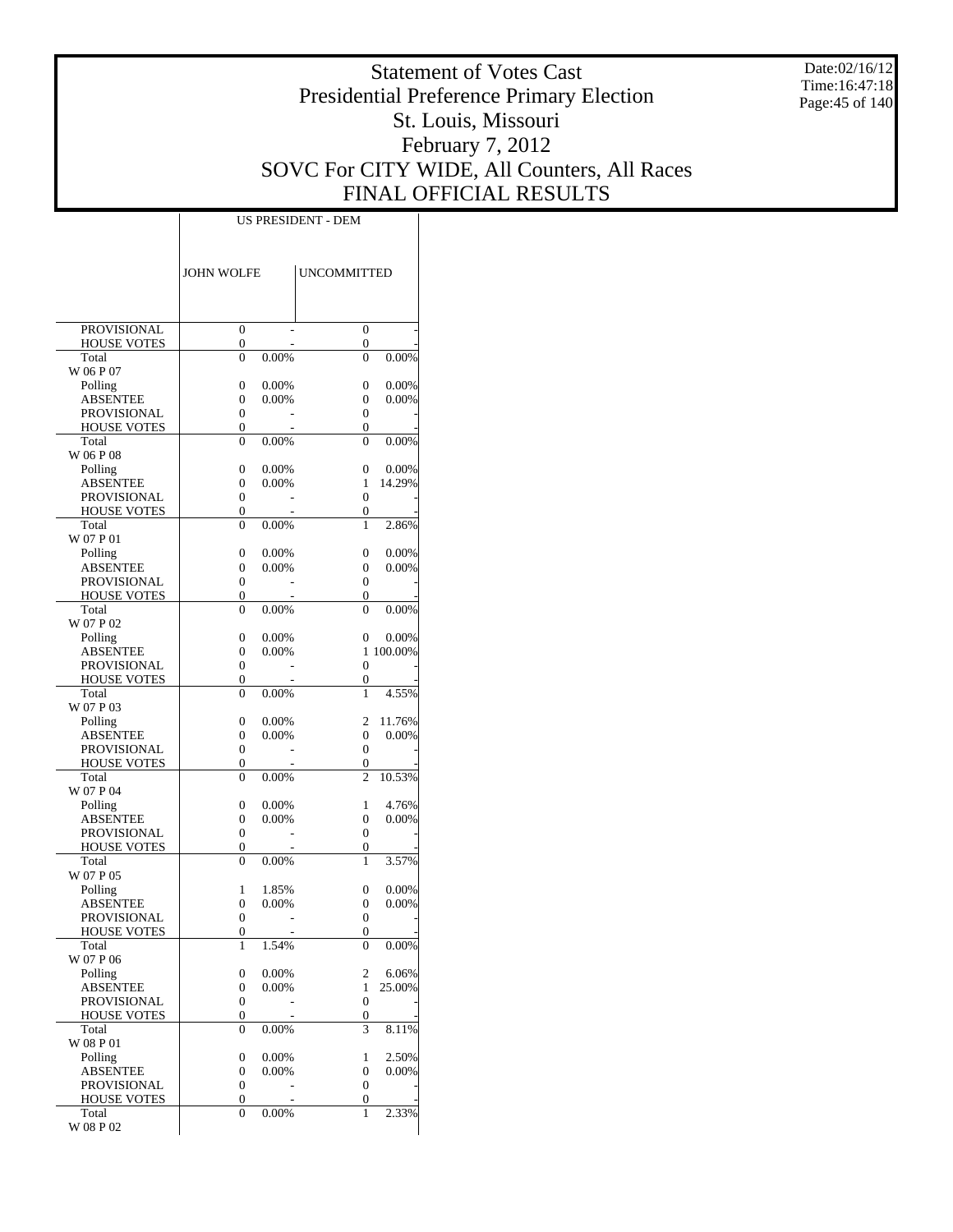Date:02/16/12 Time:16:47:18 Page:45 of 140

# Statement of Votes Cast Presidential Preference Primary Election St. Louis, Missouri February 7, 2012 SOVC For CITY WIDE, All Counters, All Races FINAL OFFICIAL RESULTS

|                                          | <b>JOHN WOLFE</b>                    |                   | <b>UNCOMMITTED</b>         |                |
|------------------------------------------|--------------------------------------|-------------------|----------------------------|----------------|
|                                          |                                      |                   |                            |                |
| PROVISIONAL                              | $\overline{0}$                       |                   | $\overline{0}$             |                |
| <b>HOUSE VOTES</b><br>Total              | 0<br>$\theta$                        | 0.00%             | 0<br>$\theta$              | 0.00%          |
| W 06 P 07                                |                                      |                   |                            |                |
| Polling                                  | $\overline{0}$                       | 0.00%             | $\overline{0}$             | 0.00%          |
| <b>ABSENTEE</b>                          | $\overline{0}$                       | $0.00\%$          | 0                          | 0.00%          |
| PROVISIONAL                              | $\overline{0}$                       |                   | 0                          |                |
| <b>HOUSE VOTES</b>                       | $\overline{0}$                       |                   | $\overline{0}$             |                |
| Total<br>W 06 P 08                       | $\theta$                             | 0.00%             | $\theta$                   | 0.00%          |
| Polling                                  | $\overline{0}$                       | 0.00%             | $\overline{0}$             | 0.00%          |
| <b>ABSENTEE</b>                          | $\overline{0}$                       | 0.00%             | 1                          | 14.29%         |
| <b>PROVISIONAL</b>                       | $\overline{0}$                       |                   | $\theta$                   |                |
| <b>HOUSE VOTES</b>                       | $\overline{0}$                       |                   | $\overline{0}$             |                |
| Total                                    | $\overline{0}$                       | 0.00%             | 1                          | 2.86%          |
| W 07 P 01                                |                                      |                   |                            |                |
| Polling<br><b>ABSENTEE</b>               | $\overline{0}$<br>$\overline{0}$     | 0.00%<br>$0.00\%$ | $\overline{0}$<br>0        | 0.00%<br>0.00% |
| <b>PROVISIONAL</b>                       | $\overline{0}$                       |                   | 0                          |                |
| <b>HOUSE VOTES</b>                       | $\overline{0}$                       |                   | $\overline{0}$             |                |
| Total                                    | $\theta$                             | 0.00%             | $\theta$                   | $0.00\%$       |
| W 07 P 02                                |                                      |                   |                            |                |
| Polling                                  | $\overline{0}$                       | 0.00%             | $\overline{0}$             | 0.00%          |
| <b>ABSENTEE</b>                          | $\overline{0}$                       | 0.00%             | 1                          | 100.00%        |
| <b>PROVISIONAL</b><br><b>HOUSE VOTES</b> | $\overline{0}$<br>$\overline{0}$     |                   | $\theta$<br>$\overline{0}$ |                |
| Total                                    | $\theta$                             | 0.00%             | 1                          | 4.55%          |
| W 07 P 03                                |                                      |                   |                            |                |
| Polling                                  | $\overline{0}$                       | 0.00%             | $\overline{c}$             | 11.76%         |
| <b>ABSENTEE</b>                          | $\overline{0}$                       | $0.00\%$          | 0                          | 0.00%          |
| <b>PROVISIONAL</b>                       | $\overline{0}$                       |                   | 0                          |                |
| <b>HOUSE VOTES</b>                       | $\overline{0}$                       |                   | 0                          |                |
| Total<br>W 07 P 04                       | $\theta$                             | 0.00%             | $\overline{c}$             | 10.53%         |
| Polling                                  | $\overline{0}$                       | 0.00%             | 1                          | 4.76%          |
| <b>ABSENTEE</b>                          | $\overline{0}$                       | 0.00%             | 0                          | 0.00%          |
| <b>PROVISIONAL</b>                       | $\overline{0}$                       |                   | $\overline{0}$             |                |
| <b>HOUSE VOTES</b>                       | $\overline{0}$                       |                   | $\overline{0}$             |                |
| Total                                    | $\theta$                             | 0.00%             | 1                          | 3.57%          |
| W 07 P 05                                |                                      |                   |                            | $0.00\%$       |
| Polling<br><b>ABSENTEE</b>               | 1<br>$\overline{0}$                  | 1.85%<br>$0.00\%$ | $\overline{0}$<br>0        | 0.00%          |
| <b>PROVISIONAL</b>                       | $\overline{0}$                       |                   | $\overline{0}$             |                |
| <b>HOUSE VOTES</b>                       | $\overline{0}$                       |                   | $\theta$                   |                |
| Total                                    | 1                                    | 1.54%             | $\boldsymbol{0}$           | $0.00\%$       |
| W 07 P 06                                |                                      |                   |                            |                |
| Polling                                  | $\boldsymbol{0}$                     | 0.00%             | $\mathfrak{2}$             | 6.06%          |
| ABSENTEE<br><b>PROVISIONAL</b>           | $\boldsymbol{0}$<br>$\boldsymbol{0}$ | 0.00%             | 1<br>$\boldsymbol{0}$      | 25.00%         |
| <b>HOUSE VOTES</b>                       | 0                                    |                   | 0                          |                |
| Total                                    | $\overline{0}$                       | 0.00%             | 3                          | 8.11%          |
| W 08 P 01                                |                                      |                   |                            |                |
| Polling                                  | 0                                    | 0.00%             | 1                          | 2.50%          |
| <b>ABSENTEE</b>                          | $\boldsymbol{0}$                     | 0.00%             | 0                          | 0.00%          |
| <b>PROVISIONAL</b>                       | $\boldsymbol{0}$                     |                   | $\boldsymbol{0}$           |                |
| <b>HOUSE VOTES</b><br>Total              | 0<br>$\overline{0}$                  | 0.00%             | 0<br>$\mathbf{1}$          | 2.33%          |
| W 08 P 02                                |                                      |                   |                            |                |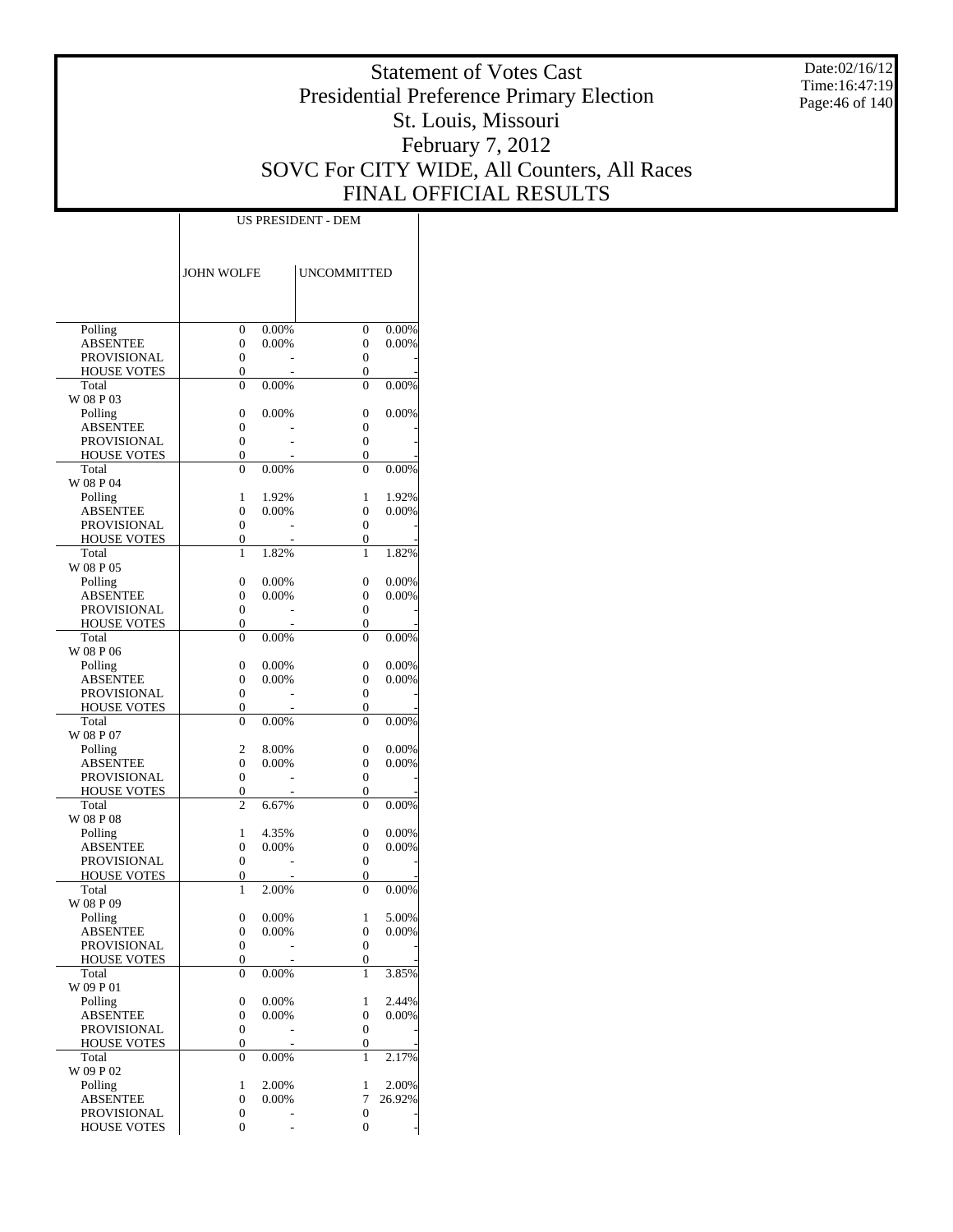Date:02/16/12 Time:16:47:19 Page:46 of 140

# Statement of Votes Cast Presidential Preference Primary Election St. Louis, Missouri February 7, 2012 SOVC For CITY WIDE, All Counters, All Races FINAL OFFICIAL RESULTS

|                                       | <b>JOHN WOLFE</b>                    |                | <b>UNCOMMITTED</b>    |                   |
|---------------------------------------|--------------------------------------|----------------|-----------------------|-------------------|
|                                       |                                      |                |                       |                   |
|                                       |                                      |                |                       |                   |
| Polling                               | $\boldsymbol{0}$                     | 0.00%          | $\boldsymbol{0}$      | 0.00%             |
| <b>ABSENTEE</b><br><b>PROVISIONAL</b> | $\mathbf{0}$<br>$\boldsymbol{0}$     | 0.00%          | 0<br>0                | 0.00%             |
| <b>HOUSE VOTES</b>                    | 0                                    |                | 0                     |                   |
| Total                                 | 0                                    | 0.00%          | $\overline{0}$        | 0.00%             |
| W 08 P 03                             |                                      |                |                       |                   |
| Polling                               | 0                                    | 0.00%          | 0                     | 0.00%             |
| <b>ABSENTEE</b>                       | 0                                    |                | 0                     |                   |
| PROVISIONAL<br><b>HOUSE VOTES</b>     | $\boldsymbol{0}$<br>0                |                | 0<br>0                |                   |
| Total                                 | 0                                    | 0.00%          | $\theta$              | 0.00%             |
| W 08 P 04                             |                                      |                |                       |                   |
| Polling                               | 1                                    | 1.92%          | 1                     | 1.92%             |
| <b>ABSENTEE</b>                       | $\mathbf{0}$                         | 0.00%          | $\overline{0}$        | 0.00%             |
| PROVISIONAL                           | 0                                    |                | $\overline{0}$        |                   |
| <b>HOUSE VOTES</b><br>Total           | 0<br>1                               | 1.82%          | 0<br>1                | 1.82%             |
| W 08 P 05                             |                                      |                |                       |                   |
| Polling                               | 0                                    | 0.00%          | 0                     | 0.00%             |
| <b>ABSENTEE</b>                       | $\mathbf{0}$                         | 0.00%          | 0                     | 0.00%             |
| PROVISIONAL                           | $\boldsymbol{0}$                     |                | 0                     |                   |
| <b>HOUSE VOTES</b>                    | 0                                    |                | 0                     |                   |
| Total<br>W 08 P 06                    | 0                                    | 0.00%          | $\overline{0}$        | 0.00%             |
| Polling                               | 0                                    | 0.00%          | 0                     | 0.00%             |
| <b>ABSENTEE</b>                       | $\mathbf{0}$                         | 0.00%          | $\overline{0}$        | 0.00%             |
| PROVISIONAL                           | $\boldsymbol{0}$                     |                | 0                     |                   |
| <b>HOUSE VOTES</b>                    | 0                                    |                | 0                     |                   |
| Total                                 | $\overline{0}$                       | 0.00%          | $\overline{0}$        | 0.00%             |
| W 08 P 07<br>Polling                  | 2                                    | 8.00%          | 0                     | 0.00%             |
| <b>ABSENTEE</b>                       | $\mathbf{0}$                         | 0.00%          | 0                     | 0.00%             |
| PROVISIONAL                           | 0                                    |                | $\boldsymbol{0}$      |                   |
| HOUSE VOTES                           | 0                                    |                | 0                     |                   |
| Total                                 | 2                                    | 6.67%          | $\overline{0}$        | 0.00%             |
| W 08 P 08                             |                                      |                |                       |                   |
| Polling<br><b>ABSENTEE</b>            | 1<br>$\mathbf{0}$                    | 4.35%<br>0.00% | 0<br>0                | 0.00%<br>0.00%    |
| PROVISIONAL                           | 0                                    |                | 0                     |                   |
| <b>HOUSE VOTES</b>                    | 0                                    |                | 0                     |                   |
| Total                                 | 1                                    | 2.00%          | $\overline{0}$        | 0.00%             |
| W 08 P 09                             |                                      |                |                       |                   |
| Polling<br><b>ABSENTEE</b>            | 0                                    | 0.00%<br>0.00% | 1                     | 5.00%<br>$0.00\%$ |
| <b>PROVISIONAL</b>                    | 0<br>$\boldsymbol{0}$                |                | 0<br>$\boldsymbol{0}$ |                   |
| <b>HOUSE VOTES</b>                    | $\boldsymbol{0}$                     |                | 0                     |                   |
| Total                                 | 0                                    | 0.00%          | 1                     | 3.85%             |
| W 09 P 01                             |                                      |                |                       |                   |
| Polling                               | $\boldsymbol{0}$                     | 0.00%          | 1                     | 2.44%             |
| <b>ABSENTEE</b><br><b>PROVISIONAL</b> | $\boldsymbol{0}$<br>$\boldsymbol{0}$ | 0.00%          | 0<br>$\boldsymbol{0}$ | 0.00%             |
| <b>HOUSE VOTES</b>                    | 0                                    |                | 0                     |                   |
| Total                                 | 0                                    | 0.00%          | 1                     | 2.17%             |
| W 09 P 02                             |                                      |                |                       |                   |
| Polling                               | 1                                    | 2.00%          | 1                     | 2.00%             |
| <b>ABSENTEE</b>                       | $\boldsymbol{0}$                     | 0.00%          | 7                     | 26.92%            |
| PROVISIONAL<br><b>HOUSE VOTES</b>     | 0<br>0                               |                | $\boldsymbol{0}$<br>0 |                   |
|                                       |                                      |                |                       |                   |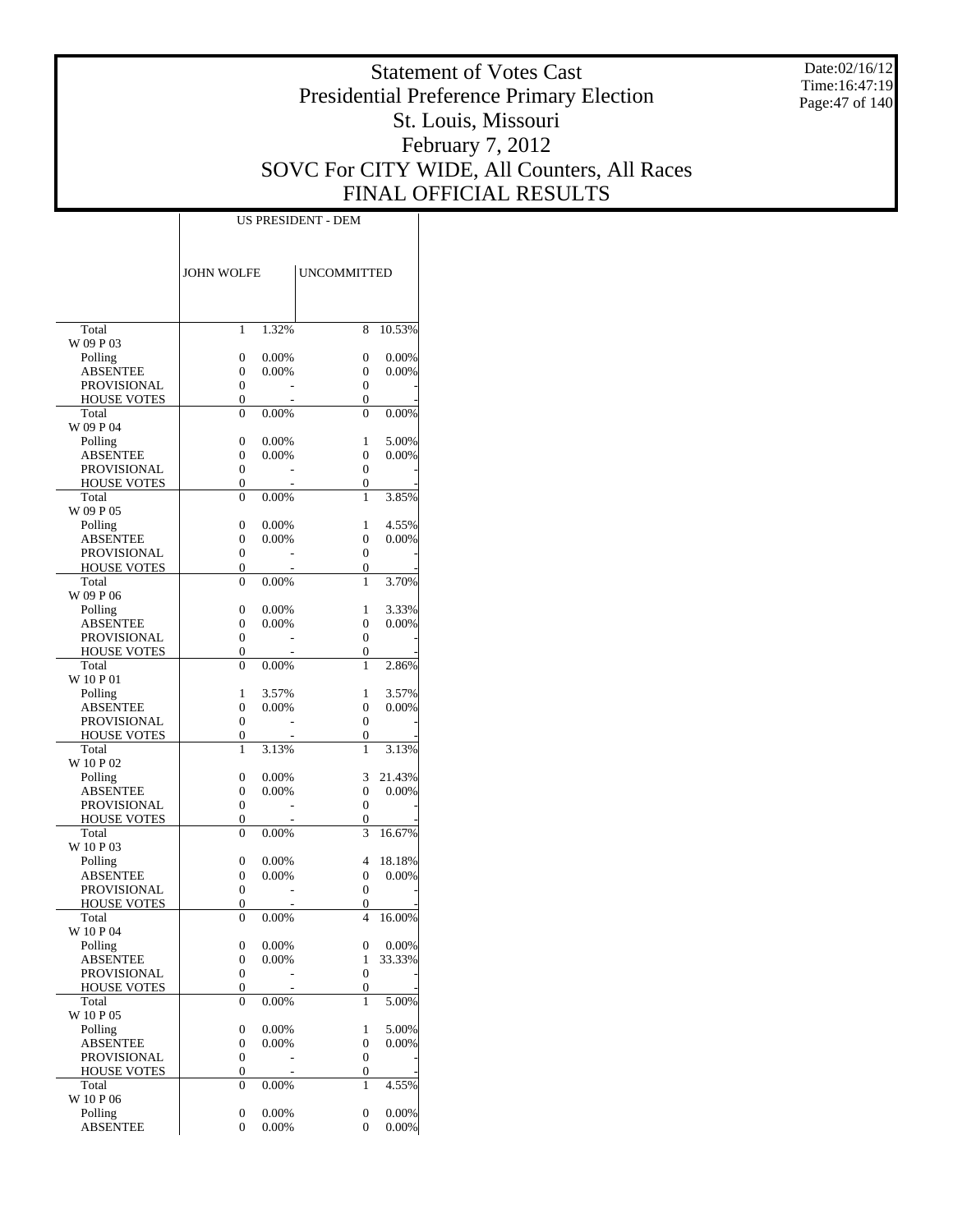Date:02/16/12 Time:16:47:19 Page:47 of 140

# Statement of Votes Cast Presidential Preference Primary Election St. Louis, Missouri February 7, 2012 SOVC For CITY WIDE, All Counters, All Races FINAL OFFICIAL RESULTS

| Total<br>1<br>1.32%<br>8<br>10.53%<br>W 09 P 03<br>Polling<br>0<br>0.00%<br>0<br>0.00%<br>0.00%<br><b>ABSENTEE</b><br>0<br>0.00%<br>0<br><b>PROVISIONAL</b><br>0<br>$\Omega$<br><b>HOUSE VOTES</b><br>0<br>$\overline{0}$<br>Total<br>0.00%<br>$\theta$<br>0.00%<br>$\theta$<br>W 09 P 04<br>Polling<br>0<br>0.00%<br>1<br>5.00%<br>$\theta$<br><b>ABSENTEE</b><br>0<br>0.00%<br>0.00%<br><b>PROVISIONAL</b><br>0<br>$\theta$<br><b>HOUSE VOTES</b><br>$\overline{0}$<br>$\overline{0}$<br>Total<br>3.85%<br>$\theta$<br>0.00%<br>1<br>W 09 P 05<br>4.55%<br>Polling<br>0<br>0.00%<br>1<br>$\theta$<br>0.00%<br><b>ABSENTEE</b><br>0<br>0.00%<br><b>PROVISIONAL</b><br>0<br>$\Omega$<br><b>HOUSE VOTES</b><br>0<br>$\theta$<br>Total<br>0.00%<br>3.70%<br>$\theta$<br>1<br>W 09 P 06<br>Polling<br>0<br>0.00%<br>1<br>3.33%<br>$\theta$<br><b>ABSENTEE</b><br>0<br>0.00%<br>0.00%<br>PROVISIONAL<br>0<br>$\theta$<br><b>HOUSE VOTES</b><br>$\overline{0}$<br>$\overline{0}$<br>Total<br>$\theta$<br>0.00%<br>1<br>2.86%<br>W 10 P 01<br>3.57%<br>Polling<br>1<br>3.57%<br>1<br>$\theta$<br>0.00%<br><b>ABSENTEE</b><br>$\theta$<br>0.00%<br><b>PROVISIONAL</b><br>0<br>$\Omega$<br><b>HOUSE VOTES</b><br>$\overline{0}$<br>$\theta$<br>Total<br>1<br>3.13%<br>3.13%<br>1<br>W 10 P 02<br>3<br>21.43%<br>Polling<br>0<br>0.00%<br>$\overline{0}$<br>0.00%<br><b>ABSENTEE</b><br>0<br>0.00%<br><b>PROVISIONAL</b><br>0<br>$\Omega$<br><b>HOUSE VOTES</b><br>$\overline{0}$<br>0<br>Total<br>3<br>16.67%<br>$\theta$<br>0.00%<br>W 10 P 03<br>4<br>Polling<br>0<br>0.00%<br>18.18%<br><b>ABSENTEE</b><br>0<br>0.00%<br>0<br>0.00%<br>PROVISIONAL<br>0<br>$\Omega$<br><b>HOUSE VOTES</b><br>$\overline{0}$<br>0<br>Total<br>0.00%<br>4<br>16.00%<br>$\theta$<br>W 10 P 04<br>0<br>$0.00\%$<br>0<br>Polling<br>$0.00\%$<br>33.33%<br><b>ABSENTEE</b><br>0<br>0.00%<br>1<br>$\boldsymbol{0}$<br>$\mathbf{0}$<br>PROVISIONAL<br><b>HOUSE VOTES</b><br>0<br>0<br>5.00%<br>Total<br>0<br>0.00%<br>1<br>W 10 P 05<br>$\boldsymbol{0}$<br>5.00%<br>Polling<br>0.00%<br>1<br>$\overline{0}$<br>0.00%<br><b>ABSENTEE</b><br>0<br>0.00%<br>PROVISIONAL<br>0<br>$\mathbf{0}$<br><b>HOUSE VOTES</b><br>0<br>0<br>Total<br>0.00%<br>4.55%<br>0<br>1<br>W 10 P 06<br>0.00%<br>Polling<br>0<br>0.00%<br>0<br>$\overline{0}$<br>0.00%<br><b>ABSENTEE</b><br>0<br>0.00% | <b>JOHN WOLFE</b> | <b>UNCOMMITTED</b> |  |
|----------------------------------------------------------------------------------------------------------------------------------------------------------------------------------------------------------------------------------------------------------------------------------------------------------------------------------------------------------------------------------------------------------------------------------------------------------------------------------------------------------------------------------------------------------------------------------------------------------------------------------------------------------------------------------------------------------------------------------------------------------------------------------------------------------------------------------------------------------------------------------------------------------------------------------------------------------------------------------------------------------------------------------------------------------------------------------------------------------------------------------------------------------------------------------------------------------------------------------------------------------------------------------------------------------------------------------------------------------------------------------------------------------------------------------------------------------------------------------------------------------------------------------------------------------------------------------------------------------------------------------------------------------------------------------------------------------------------------------------------------------------------------------------------------------------------------------------------------------------------------------------------------------------------------------------------------------------------------------------------------------------------------------------------------------------------------------------------------------------------------------------------------------------------------------------------------------------------------------------------------------------------------------------------------------------------------------------------------|-------------------|--------------------|--|
|                                                                                                                                                                                                                                                                                                                                                                                                                                                                                                                                                                                                                                                                                                                                                                                                                                                                                                                                                                                                                                                                                                                                                                                                                                                                                                                                                                                                                                                                                                                                                                                                                                                                                                                                                                                                                                                                                                                                                                                                                                                                                                                                                                                                                                                                                                                                                    |                   |                    |  |
|                                                                                                                                                                                                                                                                                                                                                                                                                                                                                                                                                                                                                                                                                                                                                                                                                                                                                                                                                                                                                                                                                                                                                                                                                                                                                                                                                                                                                                                                                                                                                                                                                                                                                                                                                                                                                                                                                                                                                                                                                                                                                                                                                                                                                                                                                                                                                    |                   |                    |  |
|                                                                                                                                                                                                                                                                                                                                                                                                                                                                                                                                                                                                                                                                                                                                                                                                                                                                                                                                                                                                                                                                                                                                                                                                                                                                                                                                                                                                                                                                                                                                                                                                                                                                                                                                                                                                                                                                                                                                                                                                                                                                                                                                                                                                                                                                                                                                                    |                   |                    |  |
|                                                                                                                                                                                                                                                                                                                                                                                                                                                                                                                                                                                                                                                                                                                                                                                                                                                                                                                                                                                                                                                                                                                                                                                                                                                                                                                                                                                                                                                                                                                                                                                                                                                                                                                                                                                                                                                                                                                                                                                                                                                                                                                                                                                                                                                                                                                                                    |                   |                    |  |
|                                                                                                                                                                                                                                                                                                                                                                                                                                                                                                                                                                                                                                                                                                                                                                                                                                                                                                                                                                                                                                                                                                                                                                                                                                                                                                                                                                                                                                                                                                                                                                                                                                                                                                                                                                                                                                                                                                                                                                                                                                                                                                                                                                                                                                                                                                                                                    |                   |                    |  |
|                                                                                                                                                                                                                                                                                                                                                                                                                                                                                                                                                                                                                                                                                                                                                                                                                                                                                                                                                                                                                                                                                                                                                                                                                                                                                                                                                                                                                                                                                                                                                                                                                                                                                                                                                                                                                                                                                                                                                                                                                                                                                                                                                                                                                                                                                                                                                    |                   |                    |  |
|                                                                                                                                                                                                                                                                                                                                                                                                                                                                                                                                                                                                                                                                                                                                                                                                                                                                                                                                                                                                                                                                                                                                                                                                                                                                                                                                                                                                                                                                                                                                                                                                                                                                                                                                                                                                                                                                                                                                                                                                                                                                                                                                                                                                                                                                                                                                                    |                   |                    |  |
|                                                                                                                                                                                                                                                                                                                                                                                                                                                                                                                                                                                                                                                                                                                                                                                                                                                                                                                                                                                                                                                                                                                                                                                                                                                                                                                                                                                                                                                                                                                                                                                                                                                                                                                                                                                                                                                                                                                                                                                                                                                                                                                                                                                                                                                                                                                                                    |                   |                    |  |
|                                                                                                                                                                                                                                                                                                                                                                                                                                                                                                                                                                                                                                                                                                                                                                                                                                                                                                                                                                                                                                                                                                                                                                                                                                                                                                                                                                                                                                                                                                                                                                                                                                                                                                                                                                                                                                                                                                                                                                                                                                                                                                                                                                                                                                                                                                                                                    |                   |                    |  |
|                                                                                                                                                                                                                                                                                                                                                                                                                                                                                                                                                                                                                                                                                                                                                                                                                                                                                                                                                                                                                                                                                                                                                                                                                                                                                                                                                                                                                                                                                                                                                                                                                                                                                                                                                                                                                                                                                                                                                                                                                                                                                                                                                                                                                                                                                                                                                    |                   |                    |  |
|                                                                                                                                                                                                                                                                                                                                                                                                                                                                                                                                                                                                                                                                                                                                                                                                                                                                                                                                                                                                                                                                                                                                                                                                                                                                                                                                                                                                                                                                                                                                                                                                                                                                                                                                                                                                                                                                                                                                                                                                                                                                                                                                                                                                                                                                                                                                                    |                   |                    |  |
|                                                                                                                                                                                                                                                                                                                                                                                                                                                                                                                                                                                                                                                                                                                                                                                                                                                                                                                                                                                                                                                                                                                                                                                                                                                                                                                                                                                                                                                                                                                                                                                                                                                                                                                                                                                                                                                                                                                                                                                                                                                                                                                                                                                                                                                                                                                                                    |                   |                    |  |
|                                                                                                                                                                                                                                                                                                                                                                                                                                                                                                                                                                                                                                                                                                                                                                                                                                                                                                                                                                                                                                                                                                                                                                                                                                                                                                                                                                                                                                                                                                                                                                                                                                                                                                                                                                                                                                                                                                                                                                                                                                                                                                                                                                                                                                                                                                                                                    |                   |                    |  |
|                                                                                                                                                                                                                                                                                                                                                                                                                                                                                                                                                                                                                                                                                                                                                                                                                                                                                                                                                                                                                                                                                                                                                                                                                                                                                                                                                                                                                                                                                                                                                                                                                                                                                                                                                                                                                                                                                                                                                                                                                                                                                                                                                                                                                                                                                                                                                    |                   |                    |  |
|                                                                                                                                                                                                                                                                                                                                                                                                                                                                                                                                                                                                                                                                                                                                                                                                                                                                                                                                                                                                                                                                                                                                                                                                                                                                                                                                                                                                                                                                                                                                                                                                                                                                                                                                                                                                                                                                                                                                                                                                                                                                                                                                                                                                                                                                                                                                                    |                   |                    |  |
|                                                                                                                                                                                                                                                                                                                                                                                                                                                                                                                                                                                                                                                                                                                                                                                                                                                                                                                                                                                                                                                                                                                                                                                                                                                                                                                                                                                                                                                                                                                                                                                                                                                                                                                                                                                                                                                                                                                                                                                                                                                                                                                                                                                                                                                                                                                                                    |                   |                    |  |
|                                                                                                                                                                                                                                                                                                                                                                                                                                                                                                                                                                                                                                                                                                                                                                                                                                                                                                                                                                                                                                                                                                                                                                                                                                                                                                                                                                                                                                                                                                                                                                                                                                                                                                                                                                                                                                                                                                                                                                                                                                                                                                                                                                                                                                                                                                                                                    |                   |                    |  |
|                                                                                                                                                                                                                                                                                                                                                                                                                                                                                                                                                                                                                                                                                                                                                                                                                                                                                                                                                                                                                                                                                                                                                                                                                                                                                                                                                                                                                                                                                                                                                                                                                                                                                                                                                                                                                                                                                                                                                                                                                                                                                                                                                                                                                                                                                                                                                    |                   |                    |  |
|                                                                                                                                                                                                                                                                                                                                                                                                                                                                                                                                                                                                                                                                                                                                                                                                                                                                                                                                                                                                                                                                                                                                                                                                                                                                                                                                                                                                                                                                                                                                                                                                                                                                                                                                                                                                                                                                                                                                                                                                                                                                                                                                                                                                                                                                                                                                                    |                   |                    |  |
|                                                                                                                                                                                                                                                                                                                                                                                                                                                                                                                                                                                                                                                                                                                                                                                                                                                                                                                                                                                                                                                                                                                                                                                                                                                                                                                                                                                                                                                                                                                                                                                                                                                                                                                                                                                                                                                                                                                                                                                                                                                                                                                                                                                                                                                                                                                                                    |                   |                    |  |
|                                                                                                                                                                                                                                                                                                                                                                                                                                                                                                                                                                                                                                                                                                                                                                                                                                                                                                                                                                                                                                                                                                                                                                                                                                                                                                                                                                                                                                                                                                                                                                                                                                                                                                                                                                                                                                                                                                                                                                                                                                                                                                                                                                                                                                                                                                                                                    |                   |                    |  |
|                                                                                                                                                                                                                                                                                                                                                                                                                                                                                                                                                                                                                                                                                                                                                                                                                                                                                                                                                                                                                                                                                                                                                                                                                                                                                                                                                                                                                                                                                                                                                                                                                                                                                                                                                                                                                                                                                                                                                                                                                                                                                                                                                                                                                                                                                                                                                    |                   |                    |  |
|                                                                                                                                                                                                                                                                                                                                                                                                                                                                                                                                                                                                                                                                                                                                                                                                                                                                                                                                                                                                                                                                                                                                                                                                                                                                                                                                                                                                                                                                                                                                                                                                                                                                                                                                                                                                                                                                                                                                                                                                                                                                                                                                                                                                                                                                                                                                                    |                   |                    |  |
|                                                                                                                                                                                                                                                                                                                                                                                                                                                                                                                                                                                                                                                                                                                                                                                                                                                                                                                                                                                                                                                                                                                                                                                                                                                                                                                                                                                                                                                                                                                                                                                                                                                                                                                                                                                                                                                                                                                                                                                                                                                                                                                                                                                                                                                                                                                                                    |                   |                    |  |
|                                                                                                                                                                                                                                                                                                                                                                                                                                                                                                                                                                                                                                                                                                                                                                                                                                                                                                                                                                                                                                                                                                                                                                                                                                                                                                                                                                                                                                                                                                                                                                                                                                                                                                                                                                                                                                                                                                                                                                                                                                                                                                                                                                                                                                                                                                                                                    |                   |                    |  |
|                                                                                                                                                                                                                                                                                                                                                                                                                                                                                                                                                                                                                                                                                                                                                                                                                                                                                                                                                                                                                                                                                                                                                                                                                                                                                                                                                                                                                                                                                                                                                                                                                                                                                                                                                                                                                                                                                                                                                                                                                                                                                                                                                                                                                                                                                                                                                    |                   |                    |  |
|                                                                                                                                                                                                                                                                                                                                                                                                                                                                                                                                                                                                                                                                                                                                                                                                                                                                                                                                                                                                                                                                                                                                                                                                                                                                                                                                                                                                                                                                                                                                                                                                                                                                                                                                                                                                                                                                                                                                                                                                                                                                                                                                                                                                                                                                                                                                                    |                   |                    |  |
|                                                                                                                                                                                                                                                                                                                                                                                                                                                                                                                                                                                                                                                                                                                                                                                                                                                                                                                                                                                                                                                                                                                                                                                                                                                                                                                                                                                                                                                                                                                                                                                                                                                                                                                                                                                                                                                                                                                                                                                                                                                                                                                                                                                                                                                                                                                                                    |                   |                    |  |
|                                                                                                                                                                                                                                                                                                                                                                                                                                                                                                                                                                                                                                                                                                                                                                                                                                                                                                                                                                                                                                                                                                                                                                                                                                                                                                                                                                                                                                                                                                                                                                                                                                                                                                                                                                                                                                                                                                                                                                                                                                                                                                                                                                                                                                                                                                                                                    |                   |                    |  |
|                                                                                                                                                                                                                                                                                                                                                                                                                                                                                                                                                                                                                                                                                                                                                                                                                                                                                                                                                                                                                                                                                                                                                                                                                                                                                                                                                                                                                                                                                                                                                                                                                                                                                                                                                                                                                                                                                                                                                                                                                                                                                                                                                                                                                                                                                                                                                    |                   |                    |  |
|                                                                                                                                                                                                                                                                                                                                                                                                                                                                                                                                                                                                                                                                                                                                                                                                                                                                                                                                                                                                                                                                                                                                                                                                                                                                                                                                                                                                                                                                                                                                                                                                                                                                                                                                                                                                                                                                                                                                                                                                                                                                                                                                                                                                                                                                                                                                                    |                   |                    |  |
|                                                                                                                                                                                                                                                                                                                                                                                                                                                                                                                                                                                                                                                                                                                                                                                                                                                                                                                                                                                                                                                                                                                                                                                                                                                                                                                                                                                                                                                                                                                                                                                                                                                                                                                                                                                                                                                                                                                                                                                                                                                                                                                                                                                                                                                                                                                                                    |                   |                    |  |
|                                                                                                                                                                                                                                                                                                                                                                                                                                                                                                                                                                                                                                                                                                                                                                                                                                                                                                                                                                                                                                                                                                                                                                                                                                                                                                                                                                                                                                                                                                                                                                                                                                                                                                                                                                                                                                                                                                                                                                                                                                                                                                                                                                                                                                                                                                                                                    |                   |                    |  |
|                                                                                                                                                                                                                                                                                                                                                                                                                                                                                                                                                                                                                                                                                                                                                                                                                                                                                                                                                                                                                                                                                                                                                                                                                                                                                                                                                                                                                                                                                                                                                                                                                                                                                                                                                                                                                                                                                                                                                                                                                                                                                                                                                                                                                                                                                                                                                    |                   |                    |  |
|                                                                                                                                                                                                                                                                                                                                                                                                                                                                                                                                                                                                                                                                                                                                                                                                                                                                                                                                                                                                                                                                                                                                                                                                                                                                                                                                                                                                                                                                                                                                                                                                                                                                                                                                                                                                                                                                                                                                                                                                                                                                                                                                                                                                                                                                                                                                                    |                   |                    |  |
|                                                                                                                                                                                                                                                                                                                                                                                                                                                                                                                                                                                                                                                                                                                                                                                                                                                                                                                                                                                                                                                                                                                                                                                                                                                                                                                                                                                                                                                                                                                                                                                                                                                                                                                                                                                                                                                                                                                                                                                                                                                                                                                                                                                                                                                                                                                                                    |                   |                    |  |
|                                                                                                                                                                                                                                                                                                                                                                                                                                                                                                                                                                                                                                                                                                                                                                                                                                                                                                                                                                                                                                                                                                                                                                                                                                                                                                                                                                                                                                                                                                                                                                                                                                                                                                                                                                                                                                                                                                                                                                                                                                                                                                                                                                                                                                                                                                                                                    |                   |                    |  |
|                                                                                                                                                                                                                                                                                                                                                                                                                                                                                                                                                                                                                                                                                                                                                                                                                                                                                                                                                                                                                                                                                                                                                                                                                                                                                                                                                                                                                                                                                                                                                                                                                                                                                                                                                                                                                                                                                                                                                                                                                                                                                                                                                                                                                                                                                                                                                    |                   |                    |  |
|                                                                                                                                                                                                                                                                                                                                                                                                                                                                                                                                                                                                                                                                                                                                                                                                                                                                                                                                                                                                                                                                                                                                                                                                                                                                                                                                                                                                                                                                                                                                                                                                                                                                                                                                                                                                                                                                                                                                                                                                                                                                                                                                                                                                                                                                                                                                                    |                   |                    |  |
|                                                                                                                                                                                                                                                                                                                                                                                                                                                                                                                                                                                                                                                                                                                                                                                                                                                                                                                                                                                                                                                                                                                                                                                                                                                                                                                                                                                                                                                                                                                                                                                                                                                                                                                                                                                                                                                                                                                                                                                                                                                                                                                                                                                                                                                                                                                                                    |                   |                    |  |
|                                                                                                                                                                                                                                                                                                                                                                                                                                                                                                                                                                                                                                                                                                                                                                                                                                                                                                                                                                                                                                                                                                                                                                                                                                                                                                                                                                                                                                                                                                                                                                                                                                                                                                                                                                                                                                                                                                                                                                                                                                                                                                                                                                                                                                                                                                                                                    |                   |                    |  |
|                                                                                                                                                                                                                                                                                                                                                                                                                                                                                                                                                                                                                                                                                                                                                                                                                                                                                                                                                                                                                                                                                                                                                                                                                                                                                                                                                                                                                                                                                                                                                                                                                                                                                                                                                                                                                                                                                                                                                                                                                                                                                                                                                                                                                                                                                                                                                    |                   |                    |  |
|                                                                                                                                                                                                                                                                                                                                                                                                                                                                                                                                                                                                                                                                                                                                                                                                                                                                                                                                                                                                                                                                                                                                                                                                                                                                                                                                                                                                                                                                                                                                                                                                                                                                                                                                                                                                                                                                                                                                                                                                                                                                                                                                                                                                                                                                                                                                                    |                   |                    |  |
|                                                                                                                                                                                                                                                                                                                                                                                                                                                                                                                                                                                                                                                                                                                                                                                                                                                                                                                                                                                                                                                                                                                                                                                                                                                                                                                                                                                                                                                                                                                                                                                                                                                                                                                                                                                                                                                                                                                                                                                                                                                                                                                                                                                                                                                                                                                                                    |                   |                    |  |
|                                                                                                                                                                                                                                                                                                                                                                                                                                                                                                                                                                                                                                                                                                                                                                                                                                                                                                                                                                                                                                                                                                                                                                                                                                                                                                                                                                                                                                                                                                                                                                                                                                                                                                                                                                                                                                                                                                                                                                                                                                                                                                                                                                                                                                                                                                                                                    |                   |                    |  |
|                                                                                                                                                                                                                                                                                                                                                                                                                                                                                                                                                                                                                                                                                                                                                                                                                                                                                                                                                                                                                                                                                                                                                                                                                                                                                                                                                                                                                                                                                                                                                                                                                                                                                                                                                                                                                                                                                                                                                                                                                                                                                                                                                                                                                                                                                                                                                    |                   |                    |  |
|                                                                                                                                                                                                                                                                                                                                                                                                                                                                                                                                                                                                                                                                                                                                                                                                                                                                                                                                                                                                                                                                                                                                                                                                                                                                                                                                                                                                                                                                                                                                                                                                                                                                                                                                                                                                                                                                                                                                                                                                                                                                                                                                                                                                                                                                                                                                                    |                   |                    |  |
|                                                                                                                                                                                                                                                                                                                                                                                                                                                                                                                                                                                                                                                                                                                                                                                                                                                                                                                                                                                                                                                                                                                                                                                                                                                                                                                                                                                                                                                                                                                                                                                                                                                                                                                                                                                                                                                                                                                                                                                                                                                                                                                                                                                                                                                                                                                                                    |                   |                    |  |
|                                                                                                                                                                                                                                                                                                                                                                                                                                                                                                                                                                                                                                                                                                                                                                                                                                                                                                                                                                                                                                                                                                                                                                                                                                                                                                                                                                                                                                                                                                                                                                                                                                                                                                                                                                                                                                                                                                                                                                                                                                                                                                                                                                                                                                                                                                                                                    |                   |                    |  |
|                                                                                                                                                                                                                                                                                                                                                                                                                                                                                                                                                                                                                                                                                                                                                                                                                                                                                                                                                                                                                                                                                                                                                                                                                                                                                                                                                                                                                                                                                                                                                                                                                                                                                                                                                                                                                                                                                                                                                                                                                                                                                                                                                                                                                                                                                                                                                    |                   |                    |  |
|                                                                                                                                                                                                                                                                                                                                                                                                                                                                                                                                                                                                                                                                                                                                                                                                                                                                                                                                                                                                                                                                                                                                                                                                                                                                                                                                                                                                                                                                                                                                                                                                                                                                                                                                                                                                                                                                                                                                                                                                                                                                                                                                                                                                                                                                                                                                                    |                   |                    |  |
|                                                                                                                                                                                                                                                                                                                                                                                                                                                                                                                                                                                                                                                                                                                                                                                                                                                                                                                                                                                                                                                                                                                                                                                                                                                                                                                                                                                                                                                                                                                                                                                                                                                                                                                                                                                                                                                                                                                                                                                                                                                                                                                                                                                                                                                                                                                                                    |                   |                    |  |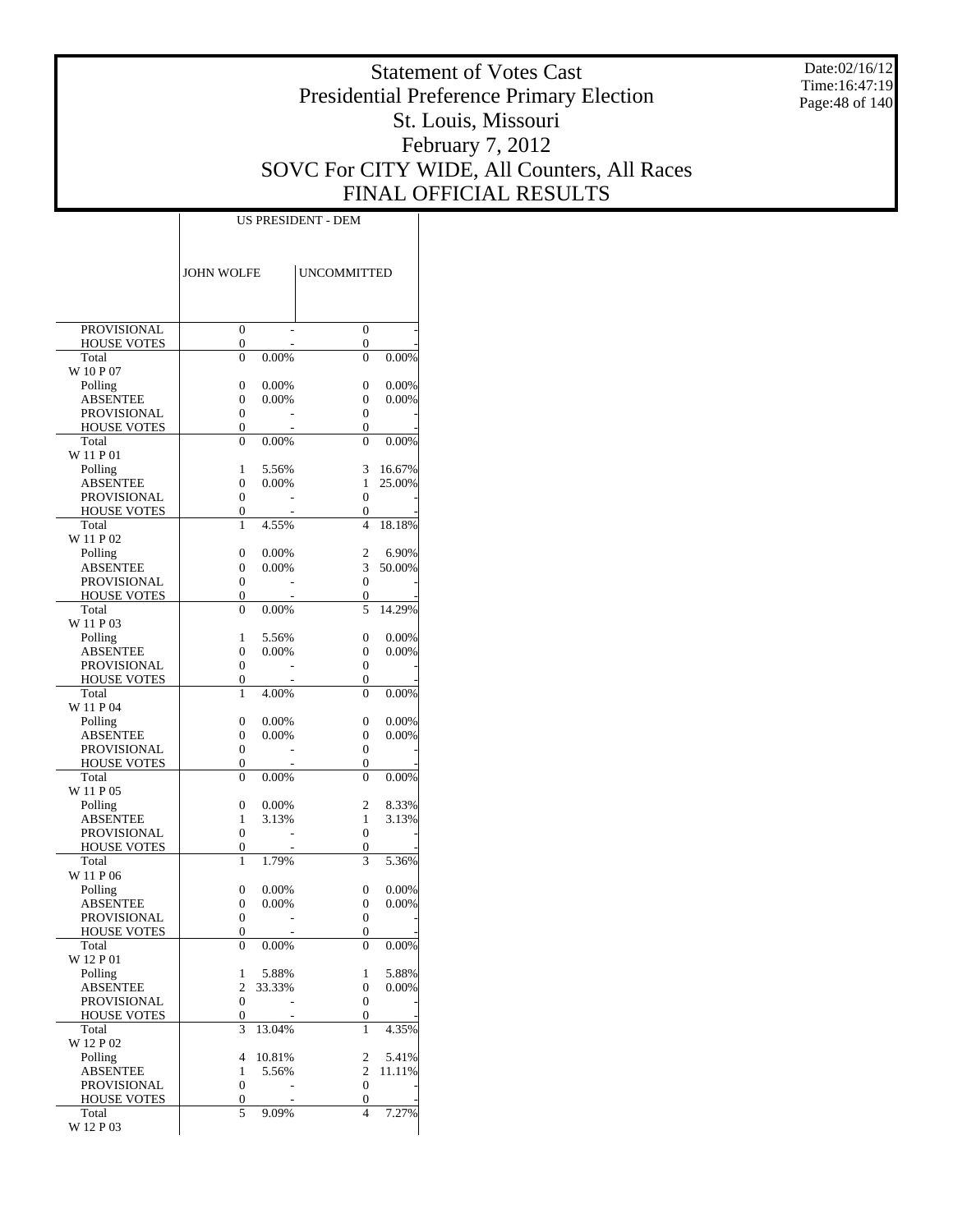Date:02/16/12 Time:16:47:19 Page:48 of 140

# Statement of Votes Cast Presidential Preference Primary Election St. Louis, Missouri February 7, 2012 SOVC For CITY WIDE, All Counters, All Races FINAL OFFICIAL RESULTS

|                             | <b>JOHN WOLFE</b>   |                 | <b>UNCOMMITTED</b> |                |
|-----------------------------|---------------------|-----------------|--------------------|----------------|
|                             |                     |                 |                    |                |
| <b>PROVISIONAL</b>          | 0                   |                 | $\overline{0}$     |                |
| <b>HOUSE VOTES</b><br>Total | 0<br>$\overline{0}$ | 0.00%           | 0<br>$\theta$      | 0.00%          |
| W 10 P 07                   |                     |                 |                    |                |
| Polling                     | $\overline{0}$      | 0.00%           | $\overline{0}$     | 0.00%          |
| <b>ABSENTEE</b>             | $\overline{0}$      | 0.00%           | 0                  | 0.00%          |
| <b>PROVISIONAL</b>          | $\overline{0}$      |                 | 0                  |                |
| <b>HOUSE VOTES</b>          | 0                   |                 | 0                  |                |
| Total<br>W 11 P 01          | $\theta$            | 0.00%           | $\theta$           | 0.00%          |
| Polling                     | 1                   | 5.56%           | 3                  | 16.67%         |
| <b>ABSENTEE</b>             | $\overline{0}$      | 0.00%           | 1                  | 25.00%         |
| PROVISIONAL                 | $\overline{0}$      |                 | $\overline{0}$     |                |
| <b>HOUSE VOTES</b>          | 0                   |                 | 0                  |                |
| Total<br>W 11 P 02          | 1                   | 4.55%           | 4                  | 18.18%         |
| Polling                     | $\overline{0}$      | 0.00%           | $\overline{c}$     | 6.90%          |
| <b>ABSENTEE</b>             | $\overline{0}$      | 0.00%           | 3                  | 50.00%         |
| <b>PROVISIONAL</b>          | $\overline{0}$      |                 | $\overline{0}$     |                |
| <b>HOUSE VOTES</b>          | 0                   |                 | 0                  |                |
| Total<br>W 11 P 03          | $\theta$            | 0.00%           | 5                  | 14.29%         |
| Polling                     | 1                   | 5.56%           | $\overline{0}$     | 0.00%          |
| <b>ABSENTEE</b>             | $\overline{0}$      | 0.00%           | 0                  | 0.00%          |
| <b>PROVISIONAL</b>          | $\overline{0}$      |                 | 0                  |                |
| HOUSE VOTES                 | 0                   |                 | 0                  |                |
| Total                       | 1                   | 4.00%           | $\theta$           | 0.00%          |
| W 11 P 04<br>Polling        | $\overline{0}$      | 0.00%           | 0                  | 0.00%          |
| <b>ABSENTEE</b>             | $\overline{0}$      | 0.00%           | 0                  | 0.00%          |
| <b>PROVISIONAL</b>          | $\overline{0}$      |                 | 0                  |                |
| <b>HOUSE VOTES</b>          | 0                   |                 | 0                  |                |
| Total<br>W 11 P 05          | $\overline{0}$      | 0.00%           | $\theta$           | $0.00\%$       |
| Polling                     | $\overline{0}$      | 0.00%           | $\overline{c}$     | 8.33%          |
| <b>ABSENTEE</b>             | 1                   | 3.13%           | 1                  | 3.13%          |
| PROVISIONAL                 | $\overline{0}$      |                 | 0                  |                |
| HOUSE VOTES                 | 0                   |                 | 0                  |                |
| Total<br>W 11 P 06          | 1                   | 1.79%           | 3                  | 5.36%          |
| Polling                     | 0                   | 0.00%           | 0                  | 0.00%          |
| ABSENTEE                    | 0                   | 0.00%           | 0                  | 0.00%          |
| PROVISIONAL                 | $\overline{0}$      |                 | $\overline{0}$     |                |
| <b>HOUSE VOTES</b>          | $\overline{0}$      |                 | $\overline{0}$     |                |
| Total                       | $\boldsymbol{0}$    | 0.00%           | 0                  | 0.00%          |
| W 12 P 01                   |                     |                 |                    |                |
| Polling<br><b>ABSENTEE</b>  | 1<br>$\overline{c}$ | 5.88%<br>33.33% | 1<br>0             | 5.88%<br>0.00% |
| PROVISIONAL                 | $\mathbf{0}$        |                 | 0                  |                |
| <b>HOUSE VOTES</b>          | $\boldsymbol{0}$    |                 | 0                  |                |
| Total                       | 3                   | 13.04%          | 1                  | 4.35%          |
| W 12 P 02<br>Polling        | $\overline{4}$      | 10.81%          | 2                  | 5.41%          |
| <b>ABSENTEE</b>             | 1                   | 5.56%           | $\mathbf{2}$       | 11.11%         |
| PROVISIONAL                 | $\boldsymbol{0}$    |                 | $\overline{0}$     |                |
| <b>HOUSE VOTES</b>          | $\boldsymbol{0}$    |                 | 0                  |                |
| Total                       | 5                   | 9.09%           | 4                  | 7.27%          |
| W 12 P 03                   |                     |                 |                    |                |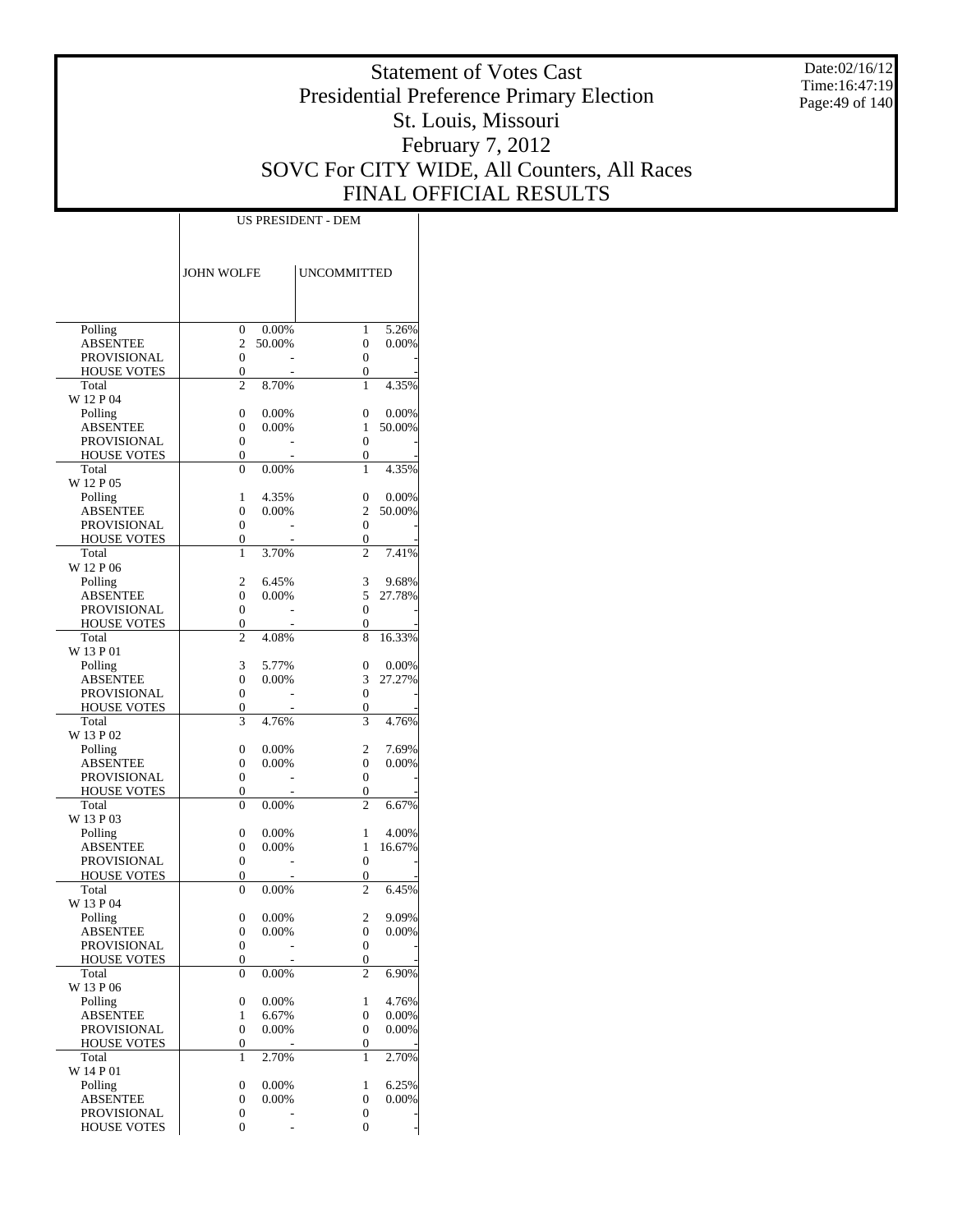Date:02/16/12 Time:16:47:19 Page:49 of 140

# Statement of Votes Cast Presidential Preference Primary Election St. Louis, Missouri February 7, 2012 SOVC For CITY WIDE, All Counters, All Races FINAL OFFICIAL RESULTS

|                                          | <b>JOHN WOLFE</b>   |                | <b>UNCOMMITTED</b>    |                 |
|------------------------------------------|---------------------|----------------|-----------------------|-----------------|
|                                          |                     |                |                       |                 |
|                                          |                     |                |                       |                 |
| Polling                                  | 0                   | 0.00%          | 1                     | 5.26%           |
| <b>ABSENTEE</b><br><b>PROVISIONAL</b>    | $\overline{c}$<br>0 | 50.00%         | 0<br>0                | 0.00%           |
| <b>HOUSE VOTES</b>                       | 0                   |                | 0                     |                 |
| Total                                    | $\overline{c}$      | 8.70%          | 1                     | 4.35%           |
| W 12 P 04                                |                     |                |                       |                 |
| Polling<br><b>ABSENTEE</b>               | 0<br>0              | 0.00%<br>0.00% | 0<br>1                | 0.00%<br>50.00% |
| <b>PROVISIONAL</b>                       | 0                   |                | $\mathbf{0}$          |                 |
| <b>HOUSE VOTES</b>                       | $\overline{0}$      |                | 0                     |                 |
| Total                                    | 0                   | 0.00%          | 1                     | 4.35%           |
| W 12 P 05                                |                     |                |                       |                 |
| Polling<br><b>ABSENTEE</b>               | 1<br>0              | 4.35%<br>0.00% | 0<br>$\overline{c}$   | 0.00%<br>50.00% |
| <b>PROVISIONAL</b>                       | 0                   |                | $\mathbf{0}$          |                 |
| <b>HOUSE VOTES</b>                       | 0                   |                | 0                     |                 |
| Total                                    | 1                   | 3.70%          | $\overline{c}$        | 7.41%           |
| W 12 P 06                                | 2                   | 6.45%          |                       | 9.68%           |
| Polling<br><b>ABSENTEE</b>               | 0                   | 0.00%          | 3<br>5                | 27.78%          |
| <b>PROVISIONAL</b>                       | 0                   |                | $\mathbf{0}$          |                 |
| <b>HOUSE VOTES</b>                       | 0                   |                | 0                     |                 |
| Total                                    | $\overline{c}$      | 4.08%          | 8                     | 16.33%          |
| W 13 P 01<br>Polling                     | 3                   | 5.77%          | 0                     | 0.00%           |
| <b>ABSENTEE</b>                          | 0                   | 0.00%          | 3                     | 27.27%          |
| <b>PROVISIONAL</b>                       | 0                   |                | $\mathbf{0}$          |                 |
| <b>HOUSE VOTES</b>                       | 0                   |                | 0                     |                 |
| Total<br>W 13 P 02                       | 3                   | 4.76%          | 3                     | 4.76%           |
| Polling                                  | 0                   | 0.00%          | 2                     | 7.69%           |
| <b>ABSENTEE</b>                          | 0                   | 0.00%          | $\mathbf{0}$          | 0.00%           |
| <b>PROVISIONAL</b>                       | 0                   |                | $\mathbf{0}$          |                 |
| <b>HOUSE VOTES</b>                       | 0                   |                | 0<br>$\overline{c}$   |                 |
| Total<br>W 13 P 03                       | 0                   | 0.00%          |                       | 6.67%           |
| Polling                                  | 0                   | 0.00%          | 1                     | 4.00%           |
| <b>ABSENTEE</b>                          | 0                   | 0.00%          | 1                     | 16.67%          |
| <b>PROVISIONAL</b>                       | 0                   |                | $\mathbf{0}$          |                 |
| <b>HOUSE VOTES</b><br>Total              | 0<br>$\overline{0}$ | 0.00%          | 0<br>$\overline{c}$   | 6.45%           |
| W 13 P 04                                |                     |                |                       |                 |
| Polling                                  | 0                   | 0.00%          | 2                     | 9.09%           |
| <b>ABSENTEE</b>                          | 0                   | $0.00\%$       | 0                     | 0.00%           |
| <b>PROVISIONAL</b>                       | 0                   |                | 0                     |                 |
| <b>HOUSE VOTES</b><br>Total              | 0<br>0              | 0.00%          | 0<br>$\overline{c}$   | 6.90%           |
| W 13 P 06                                |                     |                |                       |                 |
| Polling                                  | 0                   | 0.00%          | 1                     | 4.76%           |
| <b>ABSENTEE</b>                          | 1                   | 6.67%          | 0                     | 0.00%           |
| <b>PROVISIONAL</b><br><b>HOUSE VOTES</b> | 0<br>0              | 0.00%          | 0<br>0                | 0.00%           |
| Total                                    | 1                   | 2.70%          | 1                     | 2.70%           |
| W 14 P 01                                |                     |                |                       |                 |
| Polling                                  | 0                   | 0.00%          | 1                     | 6.25%           |
| <b>ABSENTEE</b><br><b>PROVISIONAL</b>    | 0<br>0              | 0.00%          | 0<br>$\boldsymbol{0}$ | 0.00%           |
| <b>HOUSE VOTES</b>                       | 0                   |                | 0                     |                 |
|                                          |                     |                |                       |                 |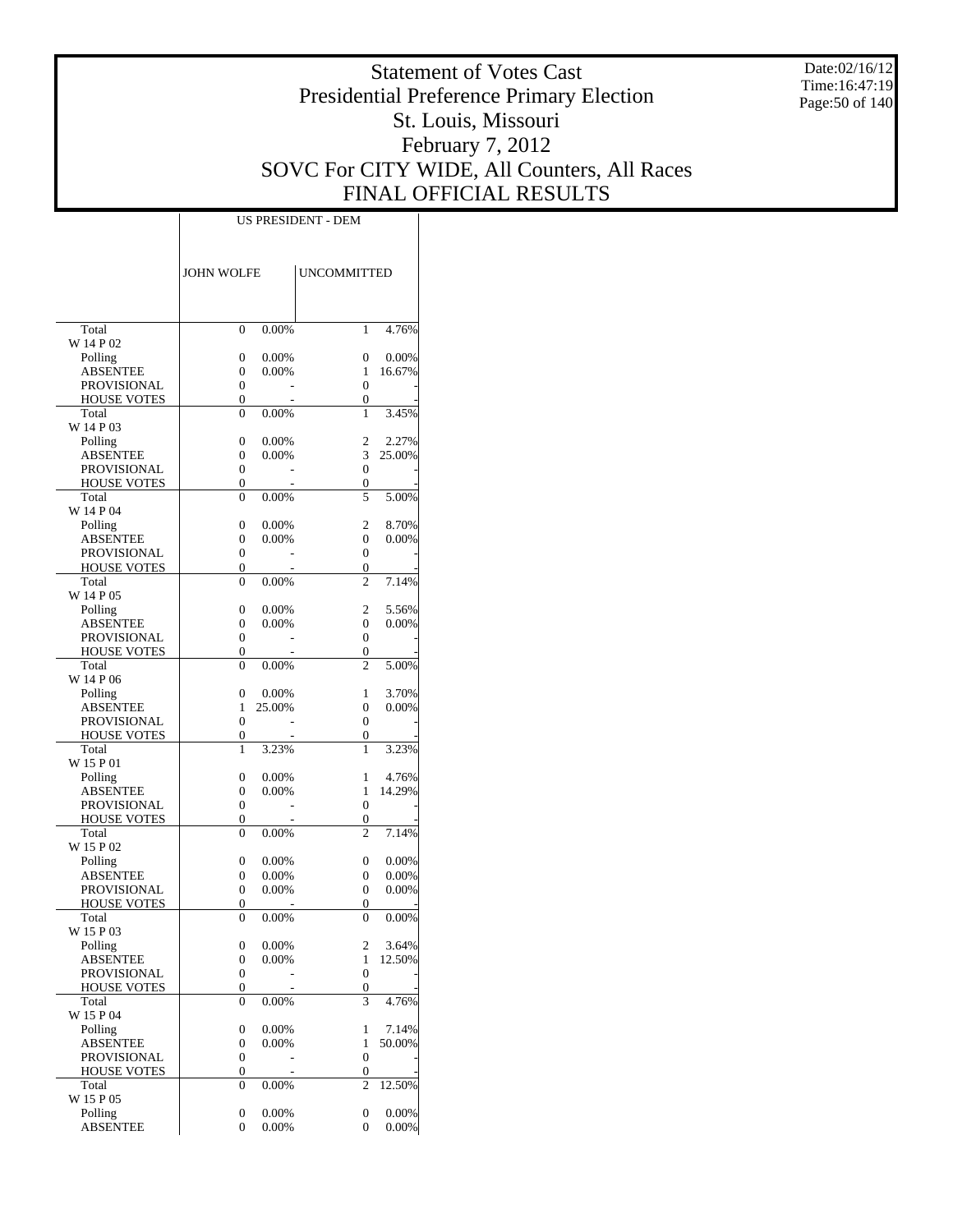Date:02/16/12 Time:16:47:19 Page:50 of 140

# Statement of Votes Cast Presidential Preference Primary Election St. Louis, Missouri February 7, 2012 SOVC For CITY WIDE, All Counters, All Races FINAL OFFICIAL RESULTS

|                             | <b>JOHN WOLFE</b> |          | <b>UNCOMMITTED</b>    |        |
|-----------------------------|-------------------|----------|-----------------------|--------|
|                             |                   |          |                       |        |
|                             |                   |          |                       |        |
| Total                       | 0                 | 0.00%    | 1                     | 4.76%  |
| W 14 P 02                   |                   |          |                       |        |
| Polling                     | 0                 | 0.00%    | 0                     | 0.00%  |
| ABSENTEE                    | 0                 | 0.00%    | 1                     | 16.67% |
| PROVISIONAL                 | 0                 |          | $\overline{0}$        |        |
| <b>HOUSE VOTES</b><br>Total | 0                 | 0.00%    | $\overline{0}$<br>1   | 3.45%  |
| W 14 P 03                   | 0                 |          |                       |        |
| Polling                     | 0                 | 0.00%    | 2                     | 2.27%  |
| ABSENTEE                    | 0                 | $0.00\%$ | 3                     | 25.00% |
| PROVISIONAL                 | 0                 |          | $\mathbf{0}$          |        |
| <b>HOUSE VOTES</b>          | 0                 |          | 0                     |        |
| Total                       | 0                 | 0.00%    | 5                     | 5.00%  |
| W 14 P 04                   |                   |          |                       |        |
| Polling                     | 0                 | 0.00%    | 2                     | 8.70%  |
| ABSENTEE                    | 0                 | 0.00%    | $\overline{0}$        | 0.00%  |
| PROVISIONAL                 | 0                 |          | 0                     |        |
| <b>HOUSE VOTES</b><br>Total | 0<br>0            | 0.00%    | 0<br>$\overline{c}$   | 7.14%  |
| W 14 P 05                   |                   |          |                       |        |
| Polling                     | 0                 | 0.00%    | 2                     | 5.56%  |
| ABSENTEE                    | 0                 | $0.00\%$ | 0                     | 0.00%  |
| <b>PROVISIONAL</b>          | 0                 |          | 0                     |        |
| <b>HOUSE VOTES</b>          | 0                 |          | 0                     |        |
| Total                       | 0                 | 0.00%    | 2                     | 5.00%  |
| W 14 P 06                   |                   |          |                       |        |
| Polling                     | 0                 | 0.00%    | 1                     | 3.70%  |
| ABSENTEE                    | 1                 | 25.00%   | $\overline{0}$        | 0.00%  |
| PROVISIONAL                 | 0                 |          | 0                     |        |
| <b>HOUSE VOTES</b><br>Total | 0                 | 3.23%    | 0<br>1                | 3.23%  |
| W 15 P 01                   | 1                 |          |                       |        |
| Polling                     | 0                 | 0.00%    | 1                     | 4.76%  |
| ABSENTEE                    | 0                 | $0.00\%$ | 1                     | 14.29% |
| PROVISIONAL                 | 0                 |          | 0                     |        |
| <b>HOUSE VOTES</b>          | 0                 |          | 0                     |        |
| Total                       | 0                 | 0.00%    | $\overline{c}$        | 7.14%  |
| W 15 P 02                   |                   |          |                       |        |
| Polling                     | 0                 | 0.00%    | 0                     | 0.00%  |
| ABSENTEE                    | 0                 | $0.00\%$ | $\mathbf{0}$          | 0.00%  |
| <b>PROVISIONAL</b>          | 0                 | $0.00\%$ | $\mathbf{0}$          | 0.00%  |
| <b>HOUSE VOTES</b><br>Total | 0<br>0            | $0.00\%$ | 0<br>0                | 0.00%  |
| W 15 P 03                   |                   |          |                       |        |
| Polling                     | 0                 | $0.00\%$ | 2                     | 3.64%  |
| ABSENTEE                    | 0                 | 0.00%    | $\mathbf{1}$          | 12.50% |
| PROVISIONAL                 | 0                 |          | $\boldsymbol{0}$      |        |
| <b>HOUSE VOTES</b>          | 0                 |          | 0                     |        |
| Total                       | 0                 | 0.00%    | 3                     | 4.76%  |
| W 15 P 04                   |                   |          |                       |        |
| Polling                     | 0                 | 0.00%    | 1                     | 7.14%  |
| <b>ABSENTEE</b>             | 0                 | 0.00%    | 1                     | 50.00% |
| PROVISIONAL<br>HOUSE VOTES  | 0<br>0            |          | $\boldsymbol{0}$<br>0 |        |
| Total                       | 0                 | 0.00%    | 2                     | 12.50% |
| W 15 P 05                   |                   |          |                       |        |
| Polling                     | 0                 | 0.00%    | $\boldsymbol{0}$      | 0.00%  |
| <b>ABSENTEE</b>             | 0                 | 0.00%    | 0                     | 0.00%  |
|                             |                   |          |                       |        |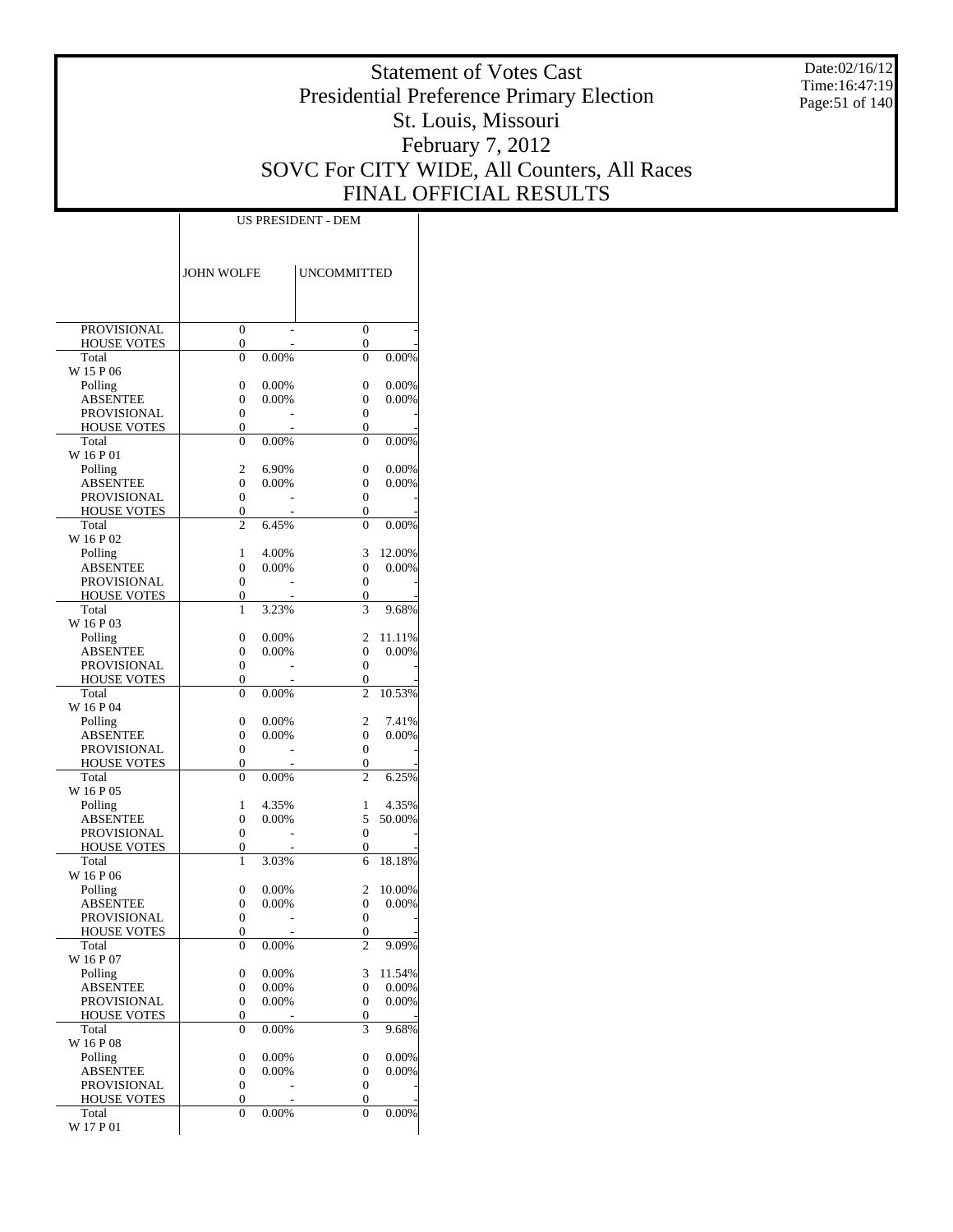Date:02/16/12 Time:16:47:19 Page:51 of 140

# Statement of Votes Cast Presidential Preference Primary Election St. Louis, Missouri February 7, 2012 SOVC For CITY WIDE, All Counters, All Races FINAL OFFICIAL RESULTS

|                                          | JOHN WOLFE            |                | <b>UNCOMMITTED</b> |                 |
|------------------------------------------|-----------------------|----------------|--------------------|-----------------|
|                                          |                       |                |                    |                 |
| PROVISIONAL                              | 0                     |                | 0                  |                 |
| <b>HOUSE VOTES</b>                       | $\boldsymbol{0}$      |                | 0                  |                 |
| Total<br>W 15 P 06                       | 0                     | 0.00%          | $\theta$           | 0.00%           |
| Polling                                  | 0                     | 0.00%          | 0                  | 0.00%           |
| ABSENTEE                                 | 0                     | $0.00\%$       | 0                  | 0.00%           |
| <b>PROVISIONAL</b>                       | $\mathbf{0}$          |                | 0                  |                 |
| <b>HOUSE VOTES</b><br>Total              | 0<br>0                | 0.00%          | 0<br>0             |                 |
| W 16 P 01                                |                       |                |                    | $0.00\%$        |
| Polling                                  | 2                     | 6.90%          | 0                  | 0.00%           |
| ABSENTEE                                 | 0                     | 0.00%          | 0                  | 0.00%           |
| <b>PROVISIONAL</b>                       | $\boldsymbol{0}$      |                | 0                  |                 |
| <b>HOUSE VOTES</b><br>Total              | $\boldsymbol{0}$<br>2 | 6.45%          | 0<br>$\theta$      | 0.00%           |
| W 16 P 02                                |                       |                |                    |                 |
| Polling                                  | 1                     | 4.00%          | 3                  | 12.00%          |
| <b>ABSENTEE</b>                          | 0                     | 0.00%          | 0                  | 0.00%           |
| <b>PROVISIONAL</b>                       | $\mathbf{0}$          |                | 0                  |                 |
| <b>HOUSE VOTES</b><br>Total              | 0<br>1                | 3.23%          | 0<br>3             | 9.68%           |
| W 16 P 03                                |                       |                |                    |                 |
| Polling                                  | 0                     | 0.00%          | 2                  | 11.11%          |
| <b>ABSENTEE</b>                          | 0                     | 0.00%          | 0                  | 0.00%           |
| <b>PROVISIONAL</b><br><b>HOUSE VOTES</b> | $\boldsymbol{0}$<br>0 |                | 0<br>0             |                 |
| Total                                    | 0                     | 0.00%          | $\overline{c}$     | 10.53%          |
| W 16 P 04                                |                       |                |                    |                 |
| Polling                                  | 0                     | 0.00%          | 2                  | 7.41%           |
| ABSENTEE                                 | 0                     | $0.00\%$       | 0<br>0             | 0.00%           |
| <b>PROVISIONAL</b><br><b>HOUSE VOTES</b> | $\boldsymbol{0}$<br>0 |                | 0                  |                 |
| Total                                    | 0                     | $0.00\%$       | 2                  | 6.25%           |
| W 16 P 05                                |                       |                |                    |                 |
| Polling                                  | 1                     | 4.35%          | 1                  | 4.35%           |
| ABSENTEE<br>PROVISIONAL                  | 0<br>$\boldsymbol{0}$ | 0.00%          | 5<br>0             | 50.00%          |
| <b>HOUSE VOTES</b>                       | 0                     |                | 0                  |                 |
| Total                                    | 1                     | 3.03%          | 6                  | 18.18%          |
| W 16 P 06                                |                       |                |                    |                 |
| Polling                                  | 0                     | 0.00%          | 2<br>0             | 10.00%          |
| ABSENTEE<br>PROVISIONAL                  | 0<br>$\mathbf{0}$     | $0.00\%$       | 0                  | 0.00%           |
| <b>HOUSE VOTES</b>                       | $\theta$              |                | 0                  |                 |
| Total                                    | 0                     | $0.00\%$       | 2                  | 9.09%           |
| W 16 P 07                                |                       |                |                    |                 |
| Polling<br>ABSENTEE                      | 0<br>0                | 0.00%<br>0.00% | 3<br>0             | 11.54%<br>0.00% |
| PROVISIONAL                              | $\boldsymbol{0}$      | 0.00%          | 0                  | 0.00%           |
| <b>HOUSE VOTES</b>                       | 0                     |                | 0                  |                 |
| Total                                    | 0                     | $0.00\%$       | 3                  | 9.68%           |
| W 16 P 08                                |                       | 0.00%          |                    | 0.00%           |
| Polling<br>ABSENTEE                      | 0<br>0                | 0.00%          | 0<br>0             | 0.00%           |
| PROVISIONAL                              | $\boldsymbol{0}$      |                | 0                  |                 |
| HOUSE VOTES                              | 0                     |                | 0                  |                 |
| Total                                    | 0                     | 0.00%          | 0                  | 0.00%           |
| W 17 P 01                                |                       |                |                    |                 |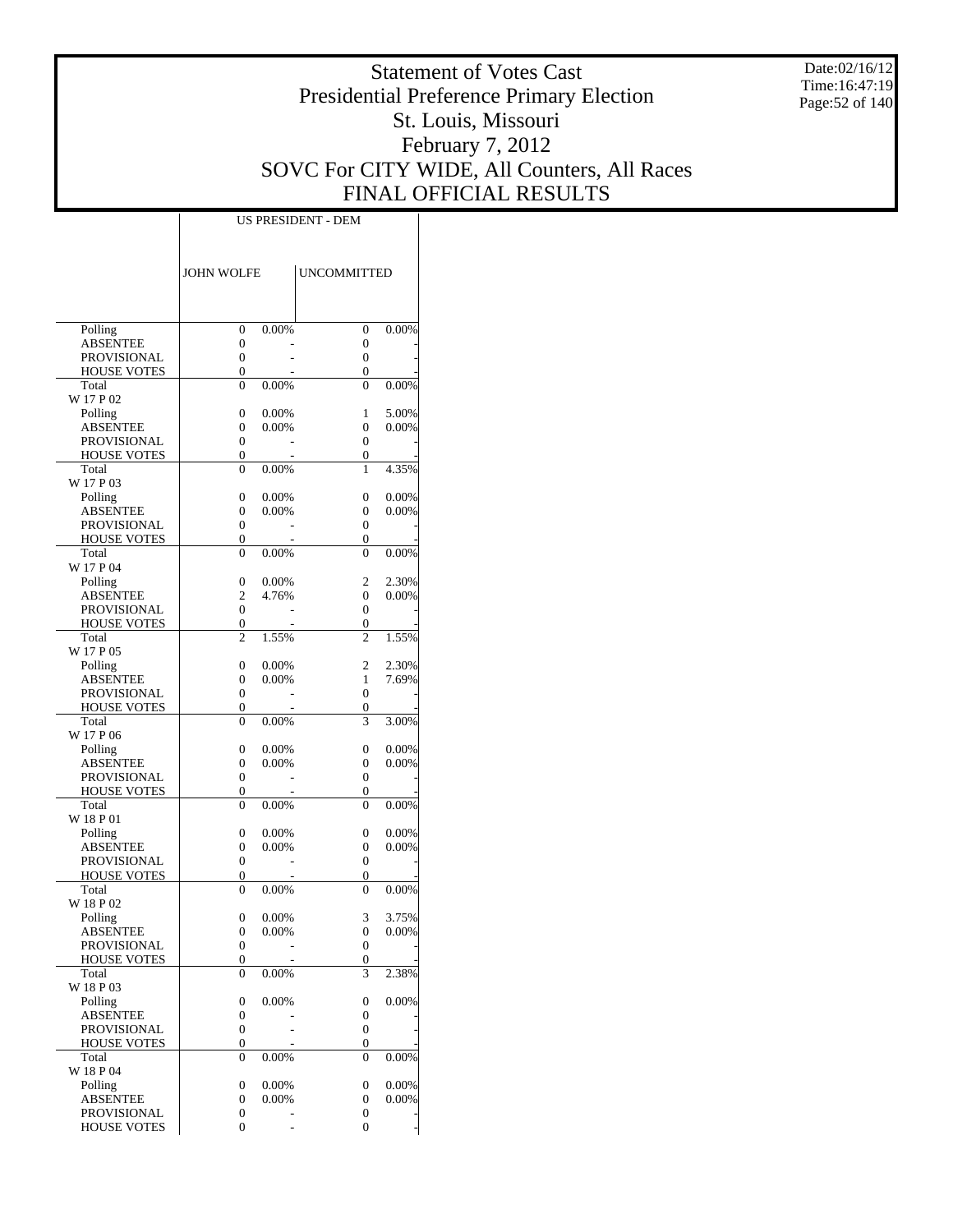Date:02/16/12 Time:16:47:19 Page:52 of 140

# Statement of Votes Cast Presidential Preference Primary Election St. Louis, Missouri February 7, 2012 SOVC For CITY WIDE, All Counters, All Races FINAL OFFICIAL RESULTS

| <b>JOHN WOLFE</b><br><b>UNCOMMITTED</b><br>Polling<br>0<br>0.00%<br>0<br>0.00%<br><b>ABSENTEE</b><br>0<br>0<br>$\boldsymbol{0}$<br>PROVISIONAL<br>0<br>0<br>0<br><b>HOUSE VOTES</b><br>Total<br>0<br>0.00%<br>0<br>0.00%<br>W 17 P 02<br>0<br>0.00%<br>5.00%<br>Polling<br>1<br><b>ABSENTEE</b><br>0.00%<br>0<br>0.00%<br>0<br>PROVISIONAL<br>0<br>0<br>0<br>0<br><b>HOUSE VOTES</b><br>Total<br>4.35%<br>0<br>$0.00\%$<br>1<br>W 17 P 03<br>0.00%<br>0.00%<br>Polling<br>0<br>0<br>0.00%<br>0<br>0.00%<br>ABSENTEE<br>0<br>PROVISIONAL<br>0<br>0<br>0<br>0<br><b>HOUSE VOTES</b><br>Total<br>0.00%<br>0<br>0.00%<br>0<br>W 17 P 04<br>0.00%<br>2<br>2.30%<br>Polling<br>0<br>2<br>4.76%<br>0<br>0.00%<br>ABSENTEE<br>0<br>0<br>PROVISIONAL<br>0<br>0<br><b>HOUSE VOTES</b><br>Total<br>2<br>1.55%<br>2<br>1.55%<br>W 17 P 05<br>0.00%<br>2<br>2.30%<br>Polling<br>0<br>0.00%<br>1<br>7.69%<br>ABSENTEE<br>0<br>PROVISIONAL<br>0<br>0<br>0<br>0<br><b>HOUSE VOTES</b><br>3<br>Total<br>0.00%<br>3.00%<br>0<br>W 17 P 06<br>0.00%<br>0.00%<br>Polling<br>0<br>0<br>0.00%<br>0<br>0.00%<br>ABSENTEE<br>0<br>0<br>0<br>PROVISIONAL<br>0<br><b>HOUSE VOTES</b><br>0<br>Total<br>0.00%<br>0<br>$0.00\%$<br>0<br>W 18 P 01<br>0<br>0.00%<br>0<br>0.00%<br>Polling<br>0.00%<br>0<br>0.00%<br>ABSENTEE<br>0<br><b>PROVISIONAL</b><br>0<br>$\boldsymbol{0}$<br>0<br>0<br><b>HOUSE VOTES</b><br>Total<br>0<br>0.00%<br>0<br>$0.00\%$<br>W 18 P 02<br>0.00%<br>3<br>3.75%<br>Polling<br>0<br>ABSENTEE<br>0.00%<br>$\overline{0}$<br>0.00%<br>0<br>0<br>$\boldsymbol{0}$<br>PROVISIONAL<br>0<br>0<br>HOUSE VOTES<br>3<br>Total<br>0.00%<br>2.38%<br>0<br>W 18 P 03<br>Polling<br>0<br>0.00%<br>0<br>0.00%<br>0<br>0<br>ABSENTEE<br>0<br>$\boldsymbol{0}$<br>PROVISIONAL<br>0<br>0<br><b>HOUSE VOTES</b><br>Total<br>0.00%<br>0<br>0<br>0.00%<br>W 18 P 04<br>0.00%<br>Polling<br>0.00%<br>0<br>0<br>0.00%<br>0<br>0.00%<br><b>ABSENTEE</b><br>0<br>0<br>PROVISIONAL<br>0<br><b>HOUSE VOTES</b><br>0<br>0 |  |  |  |
|----------------------------------------------------------------------------------------------------------------------------------------------------------------------------------------------------------------------------------------------------------------------------------------------------------------------------------------------------------------------------------------------------------------------------------------------------------------------------------------------------------------------------------------------------------------------------------------------------------------------------------------------------------------------------------------------------------------------------------------------------------------------------------------------------------------------------------------------------------------------------------------------------------------------------------------------------------------------------------------------------------------------------------------------------------------------------------------------------------------------------------------------------------------------------------------------------------------------------------------------------------------------------------------------------------------------------------------------------------------------------------------------------------------------------------------------------------------------------------------------------------------------------------------------------------------------------------------------------------------------------------------------------------------------------------------------------------------------------------------------------------------------------------------------------------------------------------------------------------------------------------------------------------------------------------------------------------------------------------------------|--|--|--|
|                                                                                                                                                                                                                                                                                                                                                                                                                                                                                                                                                                                                                                                                                                                                                                                                                                                                                                                                                                                                                                                                                                                                                                                                                                                                                                                                                                                                                                                                                                                                                                                                                                                                                                                                                                                                                                                                                                                                                                                              |  |  |  |
|                                                                                                                                                                                                                                                                                                                                                                                                                                                                                                                                                                                                                                                                                                                                                                                                                                                                                                                                                                                                                                                                                                                                                                                                                                                                                                                                                                                                                                                                                                                                                                                                                                                                                                                                                                                                                                                                                                                                                                                              |  |  |  |
|                                                                                                                                                                                                                                                                                                                                                                                                                                                                                                                                                                                                                                                                                                                                                                                                                                                                                                                                                                                                                                                                                                                                                                                                                                                                                                                                                                                                                                                                                                                                                                                                                                                                                                                                                                                                                                                                                                                                                                                              |  |  |  |
|                                                                                                                                                                                                                                                                                                                                                                                                                                                                                                                                                                                                                                                                                                                                                                                                                                                                                                                                                                                                                                                                                                                                                                                                                                                                                                                                                                                                                                                                                                                                                                                                                                                                                                                                                                                                                                                                                                                                                                                              |  |  |  |
|                                                                                                                                                                                                                                                                                                                                                                                                                                                                                                                                                                                                                                                                                                                                                                                                                                                                                                                                                                                                                                                                                                                                                                                                                                                                                                                                                                                                                                                                                                                                                                                                                                                                                                                                                                                                                                                                                                                                                                                              |  |  |  |
|                                                                                                                                                                                                                                                                                                                                                                                                                                                                                                                                                                                                                                                                                                                                                                                                                                                                                                                                                                                                                                                                                                                                                                                                                                                                                                                                                                                                                                                                                                                                                                                                                                                                                                                                                                                                                                                                                                                                                                                              |  |  |  |
|                                                                                                                                                                                                                                                                                                                                                                                                                                                                                                                                                                                                                                                                                                                                                                                                                                                                                                                                                                                                                                                                                                                                                                                                                                                                                                                                                                                                                                                                                                                                                                                                                                                                                                                                                                                                                                                                                                                                                                                              |  |  |  |
|                                                                                                                                                                                                                                                                                                                                                                                                                                                                                                                                                                                                                                                                                                                                                                                                                                                                                                                                                                                                                                                                                                                                                                                                                                                                                                                                                                                                                                                                                                                                                                                                                                                                                                                                                                                                                                                                                                                                                                                              |  |  |  |
|                                                                                                                                                                                                                                                                                                                                                                                                                                                                                                                                                                                                                                                                                                                                                                                                                                                                                                                                                                                                                                                                                                                                                                                                                                                                                                                                                                                                                                                                                                                                                                                                                                                                                                                                                                                                                                                                                                                                                                                              |  |  |  |
|                                                                                                                                                                                                                                                                                                                                                                                                                                                                                                                                                                                                                                                                                                                                                                                                                                                                                                                                                                                                                                                                                                                                                                                                                                                                                                                                                                                                                                                                                                                                                                                                                                                                                                                                                                                                                                                                                                                                                                                              |  |  |  |
|                                                                                                                                                                                                                                                                                                                                                                                                                                                                                                                                                                                                                                                                                                                                                                                                                                                                                                                                                                                                                                                                                                                                                                                                                                                                                                                                                                                                                                                                                                                                                                                                                                                                                                                                                                                                                                                                                                                                                                                              |  |  |  |
|                                                                                                                                                                                                                                                                                                                                                                                                                                                                                                                                                                                                                                                                                                                                                                                                                                                                                                                                                                                                                                                                                                                                                                                                                                                                                                                                                                                                                                                                                                                                                                                                                                                                                                                                                                                                                                                                                                                                                                                              |  |  |  |
|                                                                                                                                                                                                                                                                                                                                                                                                                                                                                                                                                                                                                                                                                                                                                                                                                                                                                                                                                                                                                                                                                                                                                                                                                                                                                                                                                                                                                                                                                                                                                                                                                                                                                                                                                                                                                                                                                                                                                                                              |  |  |  |
|                                                                                                                                                                                                                                                                                                                                                                                                                                                                                                                                                                                                                                                                                                                                                                                                                                                                                                                                                                                                                                                                                                                                                                                                                                                                                                                                                                                                                                                                                                                                                                                                                                                                                                                                                                                                                                                                                                                                                                                              |  |  |  |
|                                                                                                                                                                                                                                                                                                                                                                                                                                                                                                                                                                                                                                                                                                                                                                                                                                                                                                                                                                                                                                                                                                                                                                                                                                                                                                                                                                                                                                                                                                                                                                                                                                                                                                                                                                                                                                                                                                                                                                                              |  |  |  |
|                                                                                                                                                                                                                                                                                                                                                                                                                                                                                                                                                                                                                                                                                                                                                                                                                                                                                                                                                                                                                                                                                                                                                                                                                                                                                                                                                                                                                                                                                                                                                                                                                                                                                                                                                                                                                                                                                                                                                                                              |  |  |  |
|                                                                                                                                                                                                                                                                                                                                                                                                                                                                                                                                                                                                                                                                                                                                                                                                                                                                                                                                                                                                                                                                                                                                                                                                                                                                                                                                                                                                                                                                                                                                                                                                                                                                                                                                                                                                                                                                                                                                                                                              |  |  |  |
|                                                                                                                                                                                                                                                                                                                                                                                                                                                                                                                                                                                                                                                                                                                                                                                                                                                                                                                                                                                                                                                                                                                                                                                                                                                                                                                                                                                                                                                                                                                                                                                                                                                                                                                                                                                                                                                                                                                                                                                              |  |  |  |
|                                                                                                                                                                                                                                                                                                                                                                                                                                                                                                                                                                                                                                                                                                                                                                                                                                                                                                                                                                                                                                                                                                                                                                                                                                                                                                                                                                                                                                                                                                                                                                                                                                                                                                                                                                                                                                                                                                                                                                                              |  |  |  |
|                                                                                                                                                                                                                                                                                                                                                                                                                                                                                                                                                                                                                                                                                                                                                                                                                                                                                                                                                                                                                                                                                                                                                                                                                                                                                                                                                                                                                                                                                                                                                                                                                                                                                                                                                                                                                                                                                                                                                                                              |  |  |  |
|                                                                                                                                                                                                                                                                                                                                                                                                                                                                                                                                                                                                                                                                                                                                                                                                                                                                                                                                                                                                                                                                                                                                                                                                                                                                                                                                                                                                                                                                                                                                                                                                                                                                                                                                                                                                                                                                                                                                                                                              |  |  |  |
|                                                                                                                                                                                                                                                                                                                                                                                                                                                                                                                                                                                                                                                                                                                                                                                                                                                                                                                                                                                                                                                                                                                                                                                                                                                                                                                                                                                                                                                                                                                                                                                                                                                                                                                                                                                                                                                                                                                                                                                              |  |  |  |
|                                                                                                                                                                                                                                                                                                                                                                                                                                                                                                                                                                                                                                                                                                                                                                                                                                                                                                                                                                                                                                                                                                                                                                                                                                                                                                                                                                                                                                                                                                                                                                                                                                                                                                                                                                                                                                                                                                                                                                                              |  |  |  |
|                                                                                                                                                                                                                                                                                                                                                                                                                                                                                                                                                                                                                                                                                                                                                                                                                                                                                                                                                                                                                                                                                                                                                                                                                                                                                                                                                                                                                                                                                                                                                                                                                                                                                                                                                                                                                                                                                                                                                                                              |  |  |  |
|                                                                                                                                                                                                                                                                                                                                                                                                                                                                                                                                                                                                                                                                                                                                                                                                                                                                                                                                                                                                                                                                                                                                                                                                                                                                                                                                                                                                                                                                                                                                                                                                                                                                                                                                                                                                                                                                                                                                                                                              |  |  |  |
|                                                                                                                                                                                                                                                                                                                                                                                                                                                                                                                                                                                                                                                                                                                                                                                                                                                                                                                                                                                                                                                                                                                                                                                                                                                                                                                                                                                                                                                                                                                                                                                                                                                                                                                                                                                                                                                                                                                                                                                              |  |  |  |
|                                                                                                                                                                                                                                                                                                                                                                                                                                                                                                                                                                                                                                                                                                                                                                                                                                                                                                                                                                                                                                                                                                                                                                                                                                                                                                                                                                                                                                                                                                                                                                                                                                                                                                                                                                                                                                                                                                                                                                                              |  |  |  |
|                                                                                                                                                                                                                                                                                                                                                                                                                                                                                                                                                                                                                                                                                                                                                                                                                                                                                                                                                                                                                                                                                                                                                                                                                                                                                                                                                                                                                                                                                                                                                                                                                                                                                                                                                                                                                                                                                                                                                                                              |  |  |  |
|                                                                                                                                                                                                                                                                                                                                                                                                                                                                                                                                                                                                                                                                                                                                                                                                                                                                                                                                                                                                                                                                                                                                                                                                                                                                                                                                                                                                                                                                                                                                                                                                                                                                                                                                                                                                                                                                                                                                                                                              |  |  |  |
|                                                                                                                                                                                                                                                                                                                                                                                                                                                                                                                                                                                                                                                                                                                                                                                                                                                                                                                                                                                                                                                                                                                                                                                                                                                                                                                                                                                                                                                                                                                                                                                                                                                                                                                                                                                                                                                                                                                                                                                              |  |  |  |
|                                                                                                                                                                                                                                                                                                                                                                                                                                                                                                                                                                                                                                                                                                                                                                                                                                                                                                                                                                                                                                                                                                                                                                                                                                                                                                                                                                                                                                                                                                                                                                                                                                                                                                                                                                                                                                                                                                                                                                                              |  |  |  |
|                                                                                                                                                                                                                                                                                                                                                                                                                                                                                                                                                                                                                                                                                                                                                                                                                                                                                                                                                                                                                                                                                                                                                                                                                                                                                                                                                                                                                                                                                                                                                                                                                                                                                                                                                                                                                                                                                                                                                                                              |  |  |  |
|                                                                                                                                                                                                                                                                                                                                                                                                                                                                                                                                                                                                                                                                                                                                                                                                                                                                                                                                                                                                                                                                                                                                                                                                                                                                                                                                                                                                                                                                                                                                                                                                                                                                                                                                                                                                                                                                                                                                                                                              |  |  |  |
|                                                                                                                                                                                                                                                                                                                                                                                                                                                                                                                                                                                                                                                                                                                                                                                                                                                                                                                                                                                                                                                                                                                                                                                                                                                                                                                                                                                                                                                                                                                                                                                                                                                                                                                                                                                                                                                                                                                                                                                              |  |  |  |
|                                                                                                                                                                                                                                                                                                                                                                                                                                                                                                                                                                                                                                                                                                                                                                                                                                                                                                                                                                                                                                                                                                                                                                                                                                                                                                                                                                                                                                                                                                                                                                                                                                                                                                                                                                                                                                                                                                                                                                                              |  |  |  |
|                                                                                                                                                                                                                                                                                                                                                                                                                                                                                                                                                                                                                                                                                                                                                                                                                                                                                                                                                                                                                                                                                                                                                                                                                                                                                                                                                                                                                                                                                                                                                                                                                                                                                                                                                                                                                                                                                                                                                                                              |  |  |  |
|                                                                                                                                                                                                                                                                                                                                                                                                                                                                                                                                                                                                                                                                                                                                                                                                                                                                                                                                                                                                                                                                                                                                                                                                                                                                                                                                                                                                                                                                                                                                                                                                                                                                                                                                                                                                                                                                                                                                                                                              |  |  |  |
|                                                                                                                                                                                                                                                                                                                                                                                                                                                                                                                                                                                                                                                                                                                                                                                                                                                                                                                                                                                                                                                                                                                                                                                                                                                                                                                                                                                                                                                                                                                                                                                                                                                                                                                                                                                                                                                                                                                                                                                              |  |  |  |
|                                                                                                                                                                                                                                                                                                                                                                                                                                                                                                                                                                                                                                                                                                                                                                                                                                                                                                                                                                                                                                                                                                                                                                                                                                                                                                                                                                                                                                                                                                                                                                                                                                                                                                                                                                                                                                                                                                                                                                                              |  |  |  |
|                                                                                                                                                                                                                                                                                                                                                                                                                                                                                                                                                                                                                                                                                                                                                                                                                                                                                                                                                                                                                                                                                                                                                                                                                                                                                                                                                                                                                                                                                                                                                                                                                                                                                                                                                                                                                                                                                                                                                                                              |  |  |  |
|                                                                                                                                                                                                                                                                                                                                                                                                                                                                                                                                                                                                                                                                                                                                                                                                                                                                                                                                                                                                                                                                                                                                                                                                                                                                                                                                                                                                                                                                                                                                                                                                                                                                                                                                                                                                                                                                                                                                                                                              |  |  |  |
|                                                                                                                                                                                                                                                                                                                                                                                                                                                                                                                                                                                                                                                                                                                                                                                                                                                                                                                                                                                                                                                                                                                                                                                                                                                                                                                                                                                                                                                                                                                                                                                                                                                                                                                                                                                                                                                                                                                                                                                              |  |  |  |
|                                                                                                                                                                                                                                                                                                                                                                                                                                                                                                                                                                                                                                                                                                                                                                                                                                                                                                                                                                                                                                                                                                                                                                                                                                                                                                                                                                                                                                                                                                                                                                                                                                                                                                                                                                                                                                                                                                                                                                                              |  |  |  |
|                                                                                                                                                                                                                                                                                                                                                                                                                                                                                                                                                                                                                                                                                                                                                                                                                                                                                                                                                                                                                                                                                                                                                                                                                                                                                                                                                                                                                                                                                                                                                                                                                                                                                                                                                                                                                                                                                                                                                                                              |  |  |  |
|                                                                                                                                                                                                                                                                                                                                                                                                                                                                                                                                                                                                                                                                                                                                                                                                                                                                                                                                                                                                                                                                                                                                                                                                                                                                                                                                                                                                                                                                                                                                                                                                                                                                                                                                                                                                                                                                                                                                                                                              |  |  |  |
|                                                                                                                                                                                                                                                                                                                                                                                                                                                                                                                                                                                                                                                                                                                                                                                                                                                                                                                                                                                                                                                                                                                                                                                                                                                                                                                                                                                                                                                                                                                                                                                                                                                                                                                                                                                                                                                                                                                                                                                              |  |  |  |
|                                                                                                                                                                                                                                                                                                                                                                                                                                                                                                                                                                                                                                                                                                                                                                                                                                                                                                                                                                                                                                                                                                                                                                                                                                                                                                                                                                                                                                                                                                                                                                                                                                                                                                                                                                                                                                                                                                                                                                                              |  |  |  |
|                                                                                                                                                                                                                                                                                                                                                                                                                                                                                                                                                                                                                                                                                                                                                                                                                                                                                                                                                                                                                                                                                                                                                                                                                                                                                                                                                                                                                                                                                                                                                                                                                                                                                                                                                                                                                                                                                                                                                                                              |  |  |  |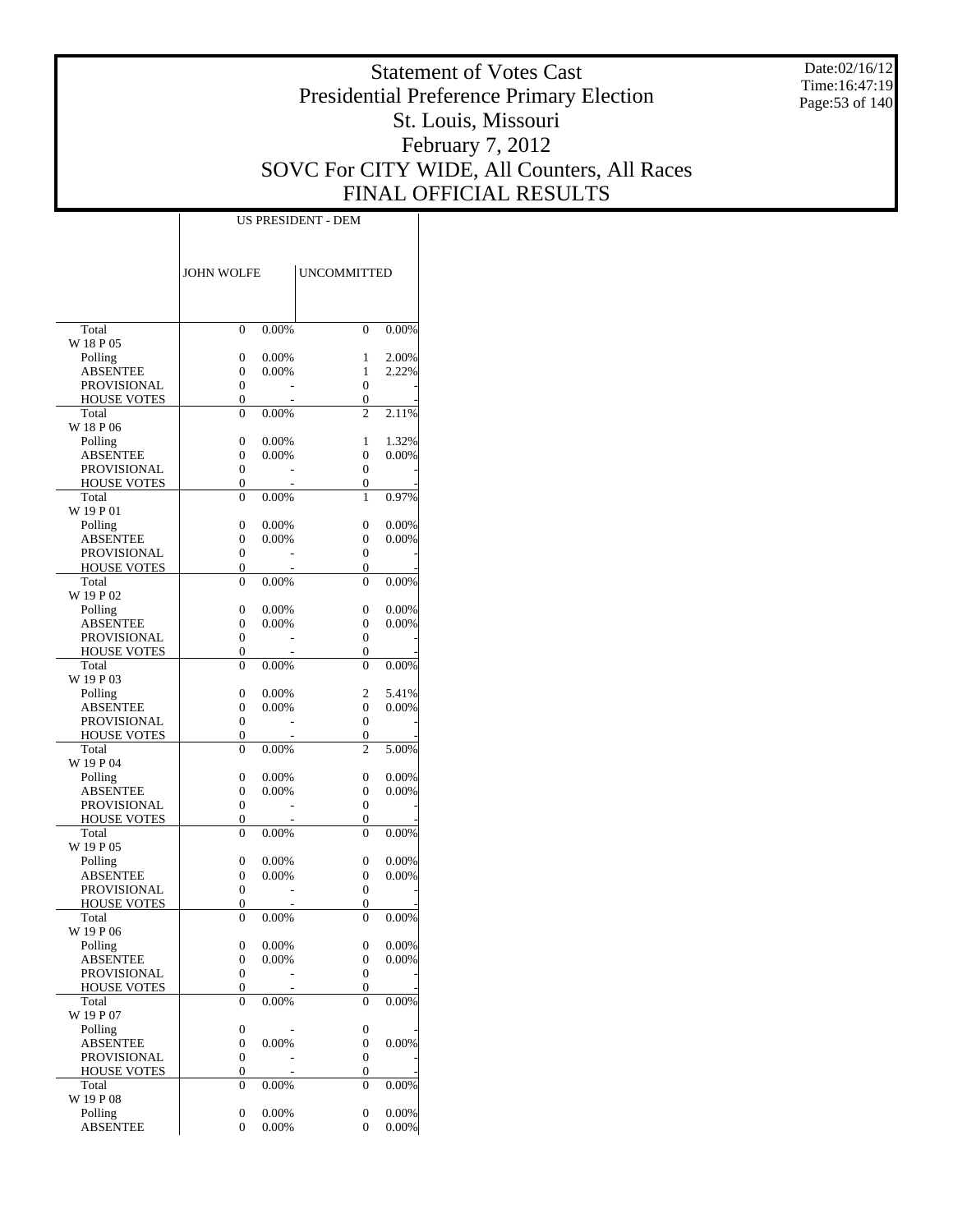Date:02/16/12 Time:16:47:19 Page:53 of 140

# Statement of Votes Cast Presidential Preference Primary Election St. Louis, Missouri February 7, 2012 SOVC For CITY WIDE, All Counters, All Races FINAL OFFICIAL RESULTS

|                                       | <b>JOHN WOLFE</b>                    |          | <b>UNCOMMITTED</b> |          |
|---------------------------------------|--------------------------------------|----------|--------------------|----------|
|                                       |                                      |          |                    |          |
| Total                                 | 0                                    | 0.00%    | $\theta$           | 0.00%    |
| W 18 P 05                             |                                      |          |                    |          |
| Polling                               | 0                                    | 0.00%    | 1                  | 2.00%    |
| ABSENTEE                              | 0                                    | 0.00%    | 1                  | 2.22%    |
| PROVISIONAL                           | $\boldsymbol{0}$                     |          | 0                  |          |
| <b>HOUSE VOTES</b>                    | 0                                    |          | 0                  |          |
| Total                                 | 0                                    | 0.00%    | $\overline{c}$     | 2.11%    |
| W 18 P 06<br>Polling                  | 0                                    | 0.00%    | 1                  | 1.32%    |
| <b>ABSENTEE</b>                       | 0                                    | $0.00\%$ | 0                  | 0.00%    |
| PROVISIONAL                           | 0                                    |          | 0                  |          |
| <b>HOUSE VOTES</b>                    | 0                                    |          | 0                  |          |
| Total                                 | $\overline{0}$                       | 0.00%    | 1                  | 0.97%    |
| W 19 P 01                             |                                      |          |                    |          |
| Polling                               | 0                                    | 0.00%    | 0                  | 0.00%    |
| ABSENTEE                              | 0                                    | 0.00%    | 0                  | 0.00%    |
| <b>PROVISIONAL</b>                    | 0                                    |          | 0                  |          |
| <b>HOUSE VOTES</b>                    | 0                                    |          | 0                  |          |
| Total                                 | 0                                    | 0.00%    | 0                  | 0.00%    |
| W 19 P 02                             |                                      |          |                    |          |
| Polling                               | 0                                    | 0.00%    | 0                  | 0.00%    |
| ABSENTEE<br>PROVISIONAL               | 0<br>0                               | $0.00\%$ | 0<br>0             | 0.00%    |
| <b>HOUSE VOTES</b>                    | 0                                    |          | 0                  |          |
| Total                                 | 0                                    | 0.00%    | $\theta$           | 0.00%    |
| W 19 P 03                             |                                      |          |                    |          |
| Polling                               | 0                                    | 0.00%    | 2                  | 5.41%    |
| ABSENTEE                              | 0                                    | 0.00%    | 0                  | 0.00%    |
| PROVISIONAL                           | 0                                    |          | 0                  |          |
| <b>HOUSE VOTES</b>                    | 0                                    |          | 0                  |          |
| Total                                 | 0                                    | 0.00%    | $\overline{c}$     | 5.00%    |
| W 19 P 04                             |                                      |          |                    |          |
| Polling                               | 0                                    | 0.00%    | 0                  | 0.00%    |
| ABSENTEE                              | 0                                    | $0.00\%$ | 0                  | 0.00%    |
| PROVISIONAL                           | $\boldsymbol{0}$                     |          | 0                  |          |
| <b>HOUSE VOTES</b>                    | 0                                    |          | 0<br>$\theta$      |          |
| Total<br>W 19 P 05                    | 0                                    | 0.00%    |                    | 0.00%    |
| Polling                               | 0                                    | 0.00%    | 0                  | 0.00%    |
| ABSENTEE                              | 0                                    | 0.00%    | 0                  | 0.00%    |
| <b>PROVISIONAL</b>                    | $\boldsymbol{0}$                     |          | 0                  |          |
| <b>HOUSE VOTES</b>                    | 0                                    |          | 0                  |          |
| Total                                 | $\overline{0}$                       | 0.00%    | $\theta$           | 0.00%    |
| W 19 P 06                             |                                      |          |                    |          |
| Polling                               | 0                                    | $0.00\%$ | 0                  | 0.00%    |
| ABSENTEE                              | $\boldsymbol{0}$                     | 0.00%    | 0                  | 0.00%    |
| PROVISIONAL                           | $\boldsymbol{0}$                     |          | $\boldsymbol{0}$   |          |
| <b>HOUSE VOTES</b>                    | 0                                    |          | 0                  |          |
| Total                                 | $\boldsymbol{0}$                     | 0.00%    | $\overline{0}$     | 0.00%    |
| W 19 P 07                             |                                      |          |                    |          |
| Polling                               | $\boldsymbol{0}$                     | 0.00%    | 0                  | 0.00%    |
| <b>ABSENTEE</b><br><b>PROVISIONAL</b> | $\boldsymbol{0}$<br>$\boldsymbol{0}$ |          | 0<br>0             |          |
| <b>HOUSE VOTES</b>                    | 0                                    |          | 0                  |          |
| Total                                 | 0                                    | 0.00%    | 0                  | $0.00\%$ |
| W 19 P 08                             |                                      |          |                    |          |
| Polling                               | $\boldsymbol{0}$                     | 0.00%    | 0                  | 0.00%    |
| <b>ABSENTEE</b>                       | 0                                    | 0.00%    | 0                  | 0.00%    |
|                                       |                                      |          |                    |          |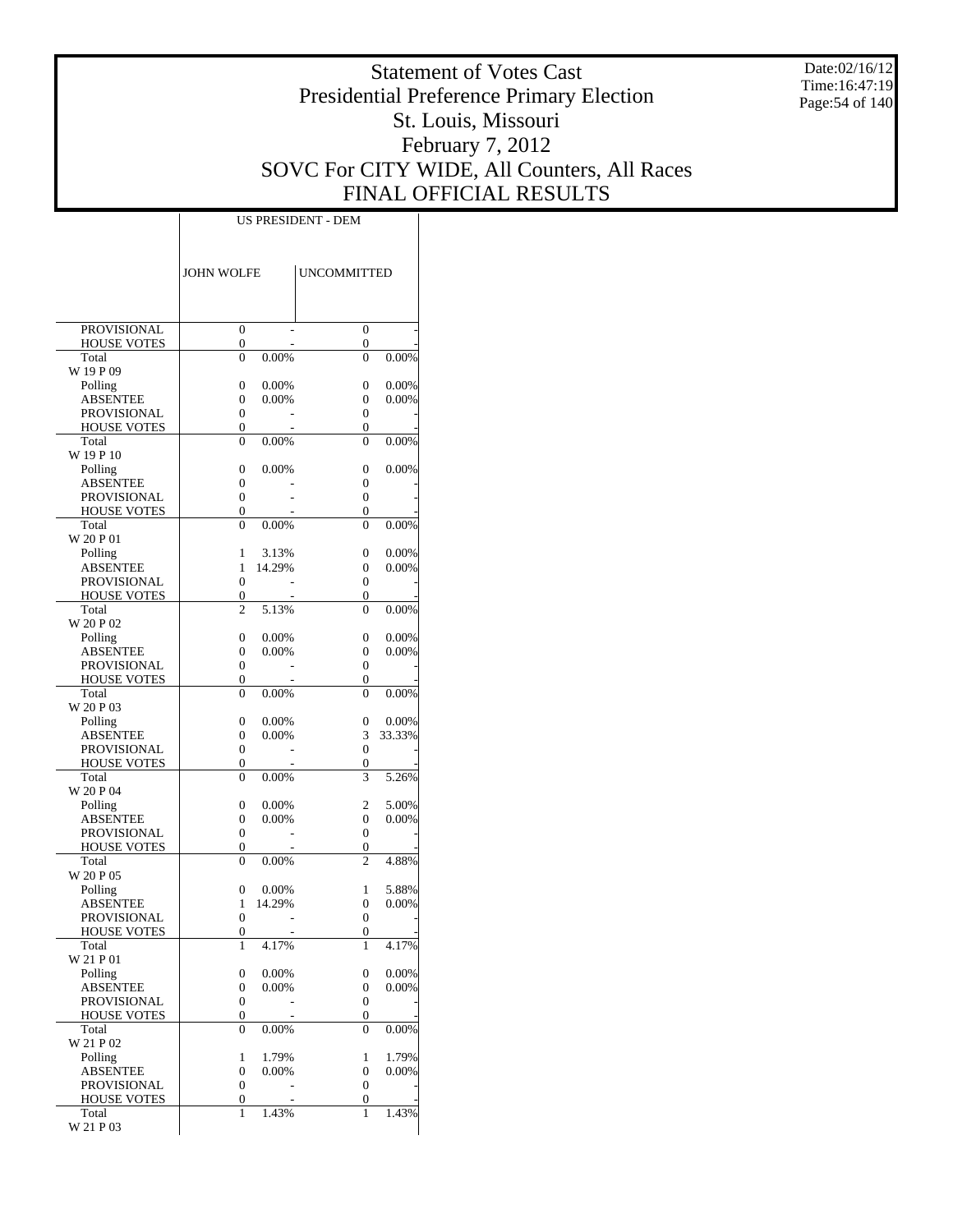Date:02/16/12 Time:16:47:19 Page:54 of 140

# Statement of Votes Cast Presidential Preference Primary Election St. Louis, Missouri February 7, 2012 SOVC For CITY WIDE, All Counters, All Races FINAL OFFICIAL RESULTS

|                             | JOHN WOLFE                         |          | <b>UNCOMMITTED</b> |        |
|-----------------------------|------------------------------------|----------|--------------------|--------|
|                             |                                    |          |                    |        |
| <b>PROVISIONAL</b>          | $\mathbf{0}$                       |          | 0                  |        |
| <b>HOUSE VOTES</b><br>Total | $\boldsymbol{0}$<br>$\overline{0}$ | 0.00%    | 0<br>$\theta$      | 0.00%  |
| W 19 P 09                   |                                    |          |                    |        |
| Polling                     | 0                                  | 0.00%    | $\overline{0}$     | 0.00%  |
| <b>ABSENTEE</b>             | 0                                  | 0.00%    | 0                  | 0.00%  |
| <b>PROVISIONAL</b>          | $\mathbf{0}$<br>0                  |          | 0                  |        |
| <b>HOUSE VOTES</b><br>Total | 0                                  | 0.00%    | 0<br>$\theta$      | 0.00%  |
| W 19 P 10                   |                                    |          |                    |        |
| Polling                     | 0                                  | 0.00%    | $\overline{0}$     | 0.00%  |
| <b>ABSENTEE</b>             | $\mathbf{0}$                       |          | 0                  |        |
| <b>PROVISIONAL</b>          | $\mathbf{0}$<br>$\overline{0}$     |          | 0                  |        |
| <b>HOUSE VOTES</b><br>Total | $\mathbf{0}$                       | 0.00%    | 0<br>$\theta$      | 0.00%  |
| W 20 P 01                   |                                    |          |                    |        |
| Polling                     | 1                                  | 3.13%    | 0                  | 0.00%  |
| <b>ABSENTEE</b>             | 1                                  | 14.29%   | 0                  | 0.00%  |
| <b>PROVISIONAL</b>          | $\mathbf{0}$                       |          | 0                  |        |
| <b>HOUSE VOTES</b><br>Total | 0<br>$\overline{c}$                | 5.13%    | 0<br>$\theta$      | 0.00%  |
| W 20 P 02                   |                                    |          |                    |        |
| Polling                     | 0                                  | $0.00\%$ | 0                  | 0.00%  |
| <b>ABSENTEE</b>             | 0                                  | 0.00%    | 0                  | 0.00%  |
| <b>PROVISIONAL</b>          | $\mathbf{0}$                       |          | 0                  |        |
| HOUSE VOTES                 | 0                                  |          | 0                  |        |
| Total<br>W 20 P 03          | $\mathbf{0}$                       | $0.00\%$ | $\theta$           | 0.00%  |
| Polling                     | 0                                  | 0.00%    | 0                  | 0.00%  |
| <b>ABSENTEE</b>             | 0                                  | 0.00%    | 3                  | 33.33% |
| <b>PROVISIONAL</b>          | $\mathbf{0}$                       |          | $\overline{0}$     |        |
| <b>HOUSE VOTES</b>          | 0                                  |          | 0                  |        |
| Total<br>W 20 P 04          | 0                                  | 0.00%    | 3                  | 5.26%  |
| Polling                     | 0                                  | 0.00%    | 2                  | 5.00%  |
| <b>ABSENTEE</b>             | 0                                  | 0.00%    | 0                  | 0.00%  |
| PROVISIONAL                 | $\mathbf{0}$                       |          | 0                  |        |
| <b>HOUSE VOTES</b>          | 0                                  |          | 0                  |        |
| Total<br>W 20 P 05          | $\mathbf{0}$                       | 0.00%    | $\overline{2}$     | 4.88%  |
| Polling                     | 0                                  | 0.00%    | 1                  | 5.88%  |
| <b>ABSENTEE</b>             | 1                                  | 14.29%   | 0                  | 0.00%  |
| <b>PROVISIONAL</b>          | $\overline{0}$                     |          | $\overline{0}$     |        |
| HOUSE VOTES                 | $\overline{0}$                     |          | 0                  |        |
| Total                       | 1                                  | 4.17%    | 1                  | 4.17%  |
| W 21 P 01<br>Polling        | $\boldsymbol{0}$                   | 0.00%    | $\boldsymbol{0}$   | 0.00%  |
| <b>ABSENTEE</b>             | $\boldsymbol{0}$                   | 0.00%    | 0                  | 0.00%  |
| PROVISIONAL                 | $\boldsymbol{0}$                   |          | 0                  |        |
| <b>HOUSE VOTES</b>          | $\boldsymbol{0}$                   |          | 0                  |        |
| Total                       | $\mathbf{0}$                       | 0.00%    | $\theta$           | 0.00%  |
| W 21 P 02<br>Polling        | 1                                  | 1.79%    | 1                  | 1.79%  |
| <b>ABSENTEE</b>             | $\boldsymbol{0}$                   | 0.00%    | 0                  | 0.00%  |
| <b>PROVISIONAL</b>          | $\boldsymbol{0}$                   |          | 0                  |        |
| <b>HOUSE VOTES</b>          | $\boldsymbol{0}$                   |          | 0                  |        |
| Total                       | 1                                  | 1.43%    | 1                  | 1.43%  |
| W 21 P 03                   |                                    |          |                    |        |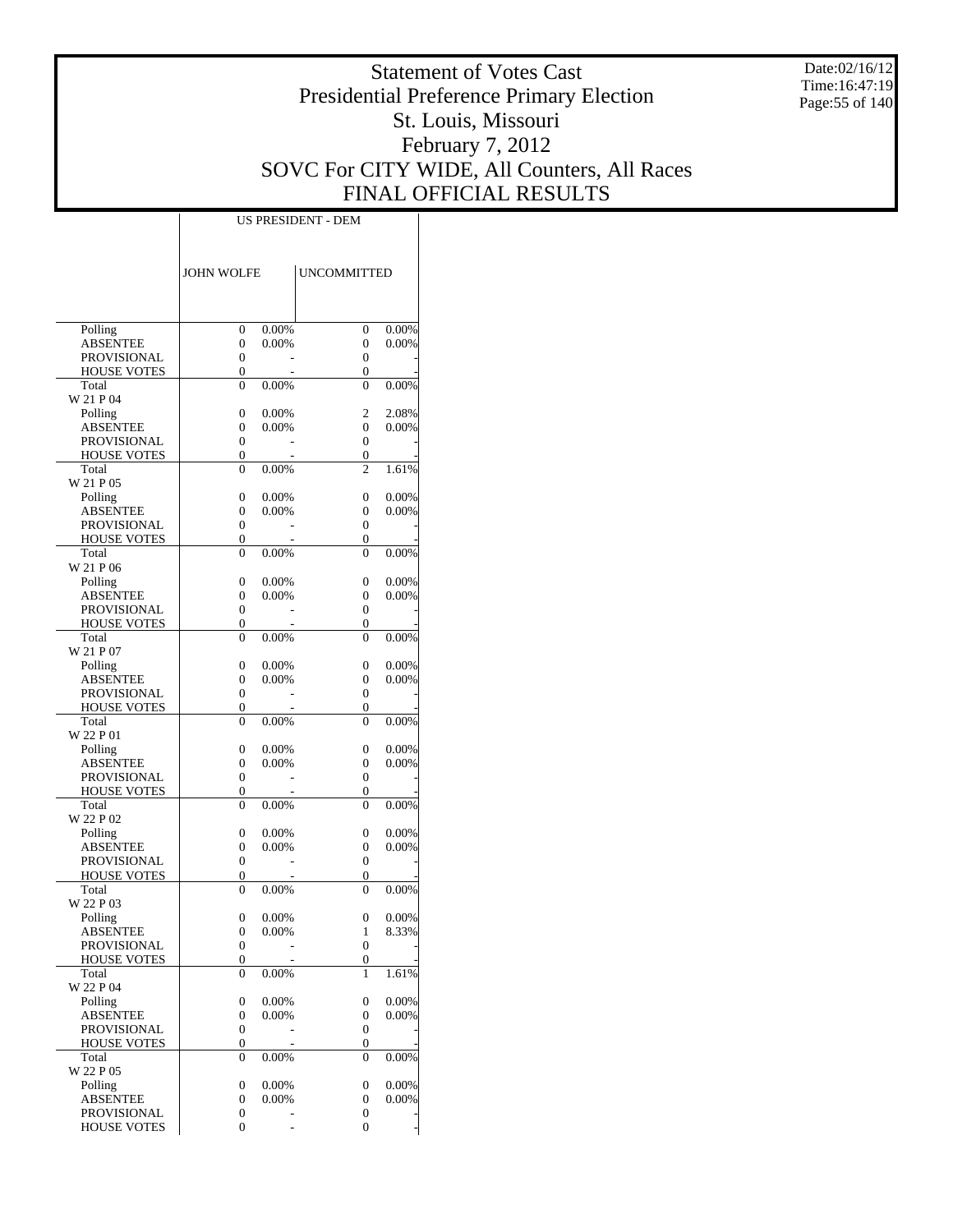Date:02/16/12 Time:16:47:19 Page:55 of 140

# Statement of Votes Cast Presidential Preference Primary Election St. Louis, Missouri February 7, 2012 SOVC For CITY WIDE, All Counters, All Races FINAL OFFICIAL RESULTS

| <b>JOHN WOLFE</b><br><b>UNCOMMITTED</b><br>Polling<br>0.00%<br>0.00%<br>0<br>0<br>0.00%<br><b>ABSENTEE</b><br>0<br>0.00%<br>0<br><b>PROVISIONAL</b><br>$\overline{0}$<br>0<br><b>HOUSE VOTES</b><br>0<br>0<br>Total<br>0.00%<br>0.00%<br>$\overline{0}$<br>$\overline{0}$<br>W 21 P 04<br>Polling<br>0<br>0.00%<br>2<br>2.08%<br>0.00%<br><b>ABSENTEE</b><br>0<br>0.00%<br>0<br><b>PROVISIONAL</b><br>0<br>0<br><b>HOUSE VOTES</b><br>$\overline{0}$<br>0<br>Total<br>$\overline{0}$<br>0.00%<br>$\overline{c}$<br>1.61%<br>W 21 P 05<br>0.00%<br>Polling<br>0<br>0.00%<br>0<br><b>ABSENTEE</b><br>0<br>0.00%<br>0<br>0.00%<br>$\overline{0}$<br><b>PROVISIONAL</b><br>0<br><b>HOUSE VOTES</b><br>0<br>0<br>Total<br>0.00%<br>0.00%<br>$\overline{0}$<br>$\overline{0}$<br>W 21 P 06<br>Polling<br>0<br>0.00%<br>0<br>0.00%<br>0.00%<br><b>ABSENTEE</b><br>0<br>0.00%<br>0<br><b>PROVISIONAL</b><br>0<br>0<br><b>HOUSE VOTES</b><br>$\overline{0}$<br>0<br>Total<br>$\overline{0}$<br>0.00%<br>$\theta$<br>0.00%<br>W 21 P 07<br>0.00%<br>Polling<br>0<br>0.00%<br>0<br>0.00%<br><b>ABSENTEE</b><br>0<br>0.00%<br>0<br>PROVISIONAL<br>0<br>0<br><b>HOUSE VOTES</b><br>0<br>0<br>Total<br>0.00%<br>0.00%<br>$\overline{0}$<br>$\overline{0}$<br>W 22 P 01<br>0.00%<br>Polling<br>0<br>0.00%<br>0<br>0.00%<br><b>ABSENTEE</b><br>0<br>0.00%<br>0<br><b>PROVISIONAL</b><br>0<br>0<br><b>HOUSE VOTES</b><br>$\overline{0}$<br>0<br>Total<br>$\overline{0}$<br>0.00%<br>$\overline{0}$<br>0.00%<br>W 22 P 02<br>0.00%<br>Polling<br>0<br>0.00%<br>0<br>0.00%<br><b>ABSENTEE</b><br>0<br>0.00%<br>0<br><b>PROVISIONAL</b><br>0<br>0<br><b>HOUSE VOTES</b><br>0<br>0<br>Total<br>0.00%<br>0.00%<br>$\overline{0}$<br>0<br>W 22 P 03<br>Polling<br>0<br>0.00%<br>0<br>0.00%<br>8.33%<br><b>ABSENTEE</b><br>0.00%<br>0<br>1<br><b>PROVISIONAL</b><br>0<br>0<br><b>HOUSE VOTES</b><br>0<br>0<br>0.00%<br>Total<br>0<br>1<br>1.61%<br>W 22 P 04<br>0.00%<br>Polling<br>0<br>0.00%<br>0<br>0.00%<br><b>ABSENTEE</b><br>0<br>0.00%<br>0<br>PROVISIONAL<br>0<br>$\boldsymbol{0}$<br><b>HOUSE VOTES</b><br>0<br>0<br>Total<br>0.00%<br>0<br>0<br>0.00%<br>W 22 P 05<br>0.00%<br>Polling<br>0<br>0.00%<br>0<br><b>ABSENTEE</b><br>0<br>0.00%<br>0<br>0.00%<br>PROVISIONAL<br>0<br>0<br><b>HOUSE VOTES</b><br>0<br>0 |  |  |  |
|-----------------------------------------------------------------------------------------------------------------------------------------------------------------------------------------------------------------------------------------------------------------------------------------------------------------------------------------------------------------------------------------------------------------------------------------------------------------------------------------------------------------------------------------------------------------------------------------------------------------------------------------------------------------------------------------------------------------------------------------------------------------------------------------------------------------------------------------------------------------------------------------------------------------------------------------------------------------------------------------------------------------------------------------------------------------------------------------------------------------------------------------------------------------------------------------------------------------------------------------------------------------------------------------------------------------------------------------------------------------------------------------------------------------------------------------------------------------------------------------------------------------------------------------------------------------------------------------------------------------------------------------------------------------------------------------------------------------------------------------------------------------------------------------------------------------------------------------------------------------------------------------------------------------------------------------------------------------------------------------------------------------------------------------------------------------------------------------------------------------------------------------------------------------------------------------------------------------------------------------------------------------------------------------------------|--|--|--|
|                                                                                                                                                                                                                                                                                                                                                                                                                                                                                                                                                                                                                                                                                                                                                                                                                                                                                                                                                                                                                                                                                                                                                                                                                                                                                                                                                                                                                                                                                                                                                                                                                                                                                                                                                                                                                                                                                                                                                                                                                                                                                                                                                                                                                                                                                                     |  |  |  |
|                                                                                                                                                                                                                                                                                                                                                                                                                                                                                                                                                                                                                                                                                                                                                                                                                                                                                                                                                                                                                                                                                                                                                                                                                                                                                                                                                                                                                                                                                                                                                                                                                                                                                                                                                                                                                                                                                                                                                                                                                                                                                                                                                                                                                                                                                                     |  |  |  |
|                                                                                                                                                                                                                                                                                                                                                                                                                                                                                                                                                                                                                                                                                                                                                                                                                                                                                                                                                                                                                                                                                                                                                                                                                                                                                                                                                                                                                                                                                                                                                                                                                                                                                                                                                                                                                                                                                                                                                                                                                                                                                                                                                                                                                                                                                                     |  |  |  |
|                                                                                                                                                                                                                                                                                                                                                                                                                                                                                                                                                                                                                                                                                                                                                                                                                                                                                                                                                                                                                                                                                                                                                                                                                                                                                                                                                                                                                                                                                                                                                                                                                                                                                                                                                                                                                                                                                                                                                                                                                                                                                                                                                                                                                                                                                                     |  |  |  |
|                                                                                                                                                                                                                                                                                                                                                                                                                                                                                                                                                                                                                                                                                                                                                                                                                                                                                                                                                                                                                                                                                                                                                                                                                                                                                                                                                                                                                                                                                                                                                                                                                                                                                                                                                                                                                                                                                                                                                                                                                                                                                                                                                                                                                                                                                                     |  |  |  |
|                                                                                                                                                                                                                                                                                                                                                                                                                                                                                                                                                                                                                                                                                                                                                                                                                                                                                                                                                                                                                                                                                                                                                                                                                                                                                                                                                                                                                                                                                                                                                                                                                                                                                                                                                                                                                                                                                                                                                                                                                                                                                                                                                                                                                                                                                                     |  |  |  |
|                                                                                                                                                                                                                                                                                                                                                                                                                                                                                                                                                                                                                                                                                                                                                                                                                                                                                                                                                                                                                                                                                                                                                                                                                                                                                                                                                                                                                                                                                                                                                                                                                                                                                                                                                                                                                                                                                                                                                                                                                                                                                                                                                                                                                                                                                                     |  |  |  |
|                                                                                                                                                                                                                                                                                                                                                                                                                                                                                                                                                                                                                                                                                                                                                                                                                                                                                                                                                                                                                                                                                                                                                                                                                                                                                                                                                                                                                                                                                                                                                                                                                                                                                                                                                                                                                                                                                                                                                                                                                                                                                                                                                                                                                                                                                                     |  |  |  |
|                                                                                                                                                                                                                                                                                                                                                                                                                                                                                                                                                                                                                                                                                                                                                                                                                                                                                                                                                                                                                                                                                                                                                                                                                                                                                                                                                                                                                                                                                                                                                                                                                                                                                                                                                                                                                                                                                                                                                                                                                                                                                                                                                                                                                                                                                                     |  |  |  |
|                                                                                                                                                                                                                                                                                                                                                                                                                                                                                                                                                                                                                                                                                                                                                                                                                                                                                                                                                                                                                                                                                                                                                                                                                                                                                                                                                                                                                                                                                                                                                                                                                                                                                                                                                                                                                                                                                                                                                                                                                                                                                                                                                                                                                                                                                                     |  |  |  |
|                                                                                                                                                                                                                                                                                                                                                                                                                                                                                                                                                                                                                                                                                                                                                                                                                                                                                                                                                                                                                                                                                                                                                                                                                                                                                                                                                                                                                                                                                                                                                                                                                                                                                                                                                                                                                                                                                                                                                                                                                                                                                                                                                                                                                                                                                                     |  |  |  |
|                                                                                                                                                                                                                                                                                                                                                                                                                                                                                                                                                                                                                                                                                                                                                                                                                                                                                                                                                                                                                                                                                                                                                                                                                                                                                                                                                                                                                                                                                                                                                                                                                                                                                                                                                                                                                                                                                                                                                                                                                                                                                                                                                                                                                                                                                                     |  |  |  |
|                                                                                                                                                                                                                                                                                                                                                                                                                                                                                                                                                                                                                                                                                                                                                                                                                                                                                                                                                                                                                                                                                                                                                                                                                                                                                                                                                                                                                                                                                                                                                                                                                                                                                                                                                                                                                                                                                                                                                                                                                                                                                                                                                                                                                                                                                                     |  |  |  |
|                                                                                                                                                                                                                                                                                                                                                                                                                                                                                                                                                                                                                                                                                                                                                                                                                                                                                                                                                                                                                                                                                                                                                                                                                                                                                                                                                                                                                                                                                                                                                                                                                                                                                                                                                                                                                                                                                                                                                                                                                                                                                                                                                                                                                                                                                                     |  |  |  |
|                                                                                                                                                                                                                                                                                                                                                                                                                                                                                                                                                                                                                                                                                                                                                                                                                                                                                                                                                                                                                                                                                                                                                                                                                                                                                                                                                                                                                                                                                                                                                                                                                                                                                                                                                                                                                                                                                                                                                                                                                                                                                                                                                                                                                                                                                                     |  |  |  |
|                                                                                                                                                                                                                                                                                                                                                                                                                                                                                                                                                                                                                                                                                                                                                                                                                                                                                                                                                                                                                                                                                                                                                                                                                                                                                                                                                                                                                                                                                                                                                                                                                                                                                                                                                                                                                                                                                                                                                                                                                                                                                                                                                                                                                                                                                                     |  |  |  |
|                                                                                                                                                                                                                                                                                                                                                                                                                                                                                                                                                                                                                                                                                                                                                                                                                                                                                                                                                                                                                                                                                                                                                                                                                                                                                                                                                                                                                                                                                                                                                                                                                                                                                                                                                                                                                                                                                                                                                                                                                                                                                                                                                                                                                                                                                                     |  |  |  |
|                                                                                                                                                                                                                                                                                                                                                                                                                                                                                                                                                                                                                                                                                                                                                                                                                                                                                                                                                                                                                                                                                                                                                                                                                                                                                                                                                                                                                                                                                                                                                                                                                                                                                                                                                                                                                                                                                                                                                                                                                                                                                                                                                                                                                                                                                                     |  |  |  |
|                                                                                                                                                                                                                                                                                                                                                                                                                                                                                                                                                                                                                                                                                                                                                                                                                                                                                                                                                                                                                                                                                                                                                                                                                                                                                                                                                                                                                                                                                                                                                                                                                                                                                                                                                                                                                                                                                                                                                                                                                                                                                                                                                                                                                                                                                                     |  |  |  |
|                                                                                                                                                                                                                                                                                                                                                                                                                                                                                                                                                                                                                                                                                                                                                                                                                                                                                                                                                                                                                                                                                                                                                                                                                                                                                                                                                                                                                                                                                                                                                                                                                                                                                                                                                                                                                                                                                                                                                                                                                                                                                                                                                                                                                                                                                                     |  |  |  |
|                                                                                                                                                                                                                                                                                                                                                                                                                                                                                                                                                                                                                                                                                                                                                                                                                                                                                                                                                                                                                                                                                                                                                                                                                                                                                                                                                                                                                                                                                                                                                                                                                                                                                                                                                                                                                                                                                                                                                                                                                                                                                                                                                                                                                                                                                                     |  |  |  |
|                                                                                                                                                                                                                                                                                                                                                                                                                                                                                                                                                                                                                                                                                                                                                                                                                                                                                                                                                                                                                                                                                                                                                                                                                                                                                                                                                                                                                                                                                                                                                                                                                                                                                                                                                                                                                                                                                                                                                                                                                                                                                                                                                                                                                                                                                                     |  |  |  |
|                                                                                                                                                                                                                                                                                                                                                                                                                                                                                                                                                                                                                                                                                                                                                                                                                                                                                                                                                                                                                                                                                                                                                                                                                                                                                                                                                                                                                                                                                                                                                                                                                                                                                                                                                                                                                                                                                                                                                                                                                                                                                                                                                                                                                                                                                                     |  |  |  |
|                                                                                                                                                                                                                                                                                                                                                                                                                                                                                                                                                                                                                                                                                                                                                                                                                                                                                                                                                                                                                                                                                                                                                                                                                                                                                                                                                                                                                                                                                                                                                                                                                                                                                                                                                                                                                                                                                                                                                                                                                                                                                                                                                                                                                                                                                                     |  |  |  |
|                                                                                                                                                                                                                                                                                                                                                                                                                                                                                                                                                                                                                                                                                                                                                                                                                                                                                                                                                                                                                                                                                                                                                                                                                                                                                                                                                                                                                                                                                                                                                                                                                                                                                                                                                                                                                                                                                                                                                                                                                                                                                                                                                                                                                                                                                                     |  |  |  |
|                                                                                                                                                                                                                                                                                                                                                                                                                                                                                                                                                                                                                                                                                                                                                                                                                                                                                                                                                                                                                                                                                                                                                                                                                                                                                                                                                                                                                                                                                                                                                                                                                                                                                                                                                                                                                                                                                                                                                                                                                                                                                                                                                                                                                                                                                                     |  |  |  |
|                                                                                                                                                                                                                                                                                                                                                                                                                                                                                                                                                                                                                                                                                                                                                                                                                                                                                                                                                                                                                                                                                                                                                                                                                                                                                                                                                                                                                                                                                                                                                                                                                                                                                                                                                                                                                                                                                                                                                                                                                                                                                                                                                                                                                                                                                                     |  |  |  |
|                                                                                                                                                                                                                                                                                                                                                                                                                                                                                                                                                                                                                                                                                                                                                                                                                                                                                                                                                                                                                                                                                                                                                                                                                                                                                                                                                                                                                                                                                                                                                                                                                                                                                                                                                                                                                                                                                                                                                                                                                                                                                                                                                                                                                                                                                                     |  |  |  |
|                                                                                                                                                                                                                                                                                                                                                                                                                                                                                                                                                                                                                                                                                                                                                                                                                                                                                                                                                                                                                                                                                                                                                                                                                                                                                                                                                                                                                                                                                                                                                                                                                                                                                                                                                                                                                                                                                                                                                                                                                                                                                                                                                                                                                                                                                                     |  |  |  |
|                                                                                                                                                                                                                                                                                                                                                                                                                                                                                                                                                                                                                                                                                                                                                                                                                                                                                                                                                                                                                                                                                                                                                                                                                                                                                                                                                                                                                                                                                                                                                                                                                                                                                                                                                                                                                                                                                                                                                                                                                                                                                                                                                                                                                                                                                                     |  |  |  |
|                                                                                                                                                                                                                                                                                                                                                                                                                                                                                                                                                                                                                                                                                                                                                                                                                                                                                                                                                                                                                                                                                                                                                                                                                                                                                                                                                                                                                                                                                                                                                                                                                                                                                                                                                                                                                                                                                                                                                                                                                                                                                                                                                                                                                                                                                                     |  |  |  |
|                                                                                                                                                                                                                                                                                                                                                                                                                                                                                                                                                                                                                                                                                                                                                                                                                                                                                                                                                                                                                                                                                                                                                                                                                                                                                                                                                                                                                                                                                                                                                                                                                                                                                                                                                                                                                                                                                                                                                                                                                                                                                                                                                                                                                                                                                                     |  |  |  |
|                                                                                                                                                                                                                                                                                                                                                                                                                                                                                                                                                                                                                                                                                                                                                                                                                                                                                                                                                                                                                                                                                                                                                                                                                                                                                                                                                                                                                                                                                                                                                                                                                                                                                                                                                                                                                                                                                                                                                                                                                                                                                                                                                                                                                                                                                                     |  |  |  |
|                                                                                                                                                                                                                                                                                                                                                                                                                                                                                                                                                                                                                                                                                                                                                                                                                                                                                                                                                                                                                                                                                                                                                                                                                                                                                                                                                                                                                                                                                                                                                                                                                                                                                                                                                                                                                                                                                                                                                                                                                                                                                                                                                                                                                                                                                                     |  |  |  |
|                                                                                                                                                                                                                                                                                                                                                                                                                                                                                                                                                                                                                                                                                                                                                                                                                                                                                                                                                                                                                                                                                                                                                                                                                                                                                                                                                                                                                                                                                                                                                                                                                                                                                                                                                                                                                                                                                                                                                                                                                                                                                                                                                                                                                                                                                                     |  |  |  |
|                                                                                                                                                                                                                                                                                                                                                                                                                                                                                                                                                                                                                                                                                                                                                                                                                                                                                                                                                                                                                                                                                                                                                                                                                                                                                                                                                                                                                                                                                                                                                                                                                                                                                                                                                                                                                                                                                                                                                                                                                                                                                                                                                                                                                                                                                                     |  |  |  |
|                                                                                                                                                                                                                                                                                                                                                                                                                                                                                                                                                                                                                                                                                                                                                                                                                                                                                                                                                                                                                                                                                                                                                                                                                                                                                                                                                                                                                                                                                                                                                                                                                                                                                                                                                                                                                                                                                                                                                                                                                                                                                                                                                                                                                                                                                                     |  |  |  |
|                                                                                                                                                                                                                                                                                                                                                                                                                                                                                                                                                                                                                                                                                                                                                                                                                                                                                                                                                                                                                                                                                                                                                                                                                                                                                                                                                                                                                                                                                                                                                                                                                                                                                                                                                                                                                                                                                                                                                                                                                                                                                                                                                                                                                                                                                                     |  |  |  |
|                                                                                                                                                                                                                                                                                                                                                                                                                                                                                                                                                                                                                                                                                                                                                                                                                                                                                                                                                                                                                                                                                                                                                                                                                                                                                                                                                                                                                                                                                                                                                                                                                                                                                                                                                                                                                                                                                                                                                                                                                                                                                                                                                                                                                                                                                                     |  |  |  |
|                                                                                                                                                                                                                                                                                                                                                                                                                                                                                                                                                                                                                                                                                                                                                                                                                                                                                                                                                                                                                                                                                                                                                                                                                                                                                                                                                                                                                                                                                                                                                                                                                                                                                                                                                                                                                                                                                                                                                                                                                                                                                                                                                                                                                                                                                                     |  |  |  |
|                                                                                                                                                                                                                                                                                                                                                                                                                                                                                                                                                                                                                                                                                                                                                                                                                                                                                                                                                                                                                                                                                                                                                                                                                                                                                                                                                                                                                                                                                                                                                                                                                                                                                                                                                                                                                                                                                                                                                                                                                                                                                                                                                                                                                                                                                                     |  |  |  |
|                                                                                                                                                                                                                                                                                                                                                                                                                                                                                                                                                                                                                                                                                                                                                                                                                                                                                                                                                                                                                                                                                                                                                                                                                                                                                                                                                                                                                                                                                                                                                                                                                                                                                                                                                                                                                                                                                                                                                                                                                                                                                                                                                                                                                                                                                                     |  |  |  |
|                                                                                                                                                                                                                                                                                                                                                                                                                                                                                                                                                                                                                                                                                                                                                                                                                                                                                                                                                                                                                                                                                                                                                                                                                                                                                                                                                                                                                                                                                                                                                                                                                                                                                                                                                                                                                                                                                                                                                                                                                                                                                                                                                                                                                                                                                                     |  |  |  |
|                                                                                                                                                                                                                                                                                                                                                                                                                                                                                                                                                                                                                                                                                                                                                                                                                                                                                                                                                                                                                                                                                                                                                                                                                                                                                                                                                                                                                                                                                                                                                                                                                                                                                                                                                                                                                                                                                                                                                                                                                                                                                                                                                                                                                                                                                                     |  |  |  |
|                                                                                                                                                                                                                                                                                                                                                                                                                                                                                                                                                                                                                                                                                                                                                                                                                                                                                                                                                                                                                                                                                                                                                                                                                                                                                                                                                                                                                                                                                                                                                                                                                                                                                                                                                                                                                                                                                                                                                                                                                                                                                                                                                                                                                                                                                                     |  |  |  |
|                                                                                                                                                                                                                                                                                                                                                                                                                                                                                                                                                                                                                                                                                                                                                                                                                                                                                                                                                                                                                                                                                                                                                                                                                                                                                                                                                                                                                                                                                                                                                                                                                                                                                                                                                                                                                                                                                                                                                                                                                                                                                                                                                                                                                                                                                                     |  |  |  |
|                                                                                                                                                                                                                                                                                                                                                                                                                                                                                                                                                                                                                                                                                                                                                                                                                                                                                                                                                                                                                                                                                                                                                                                                                                                                                                                                                                                                                                                                                                                                                                                                                                                                                                                                                                                                                                                                                                                                                                                                                                                                                                                                                                                                                                                                                                     |  |  |  |
|                                                                                                                                                                                                                                                                                                                                                                                                                                                                                                                                                                                                                                                                                                                                                                                                                                                                                                                                                                                                                                                                                                                                                                                                                                                                                                                                                                                                                                                                                                                                                                                                                                                                                                                                                                                                                                                                                                                                                                                                                                                                                                                                                                                                                                                                                                     |  |  |  |
|                                                                                                                                                                                                                                                                                                                                                                                                                                                                                                                                                                                                                                                                                                                                                                                                                                                                                                                                                                                                                                                                                                                                                                                                                                                                                                                                                                                                                                                                                                                                                                                                                                                                                                                                                                                                                                                                                                                                                                                                                                                                                                                                                                                                                                                                                                     |  |  |  |
|                                                                                                                                                                                                                                                                                                                                                                                                                                                                                                                                                                                                                                                                                                                                                                                                                                                                                                                                                                                                                                                                                                                                                                                                                                                                                                                                                                                                                                                                                                                                                                                                                                                                                                                                                                                                                                                                                                                                                                                                                                                                                                                                                                                                                                                                                                     |  |  |  |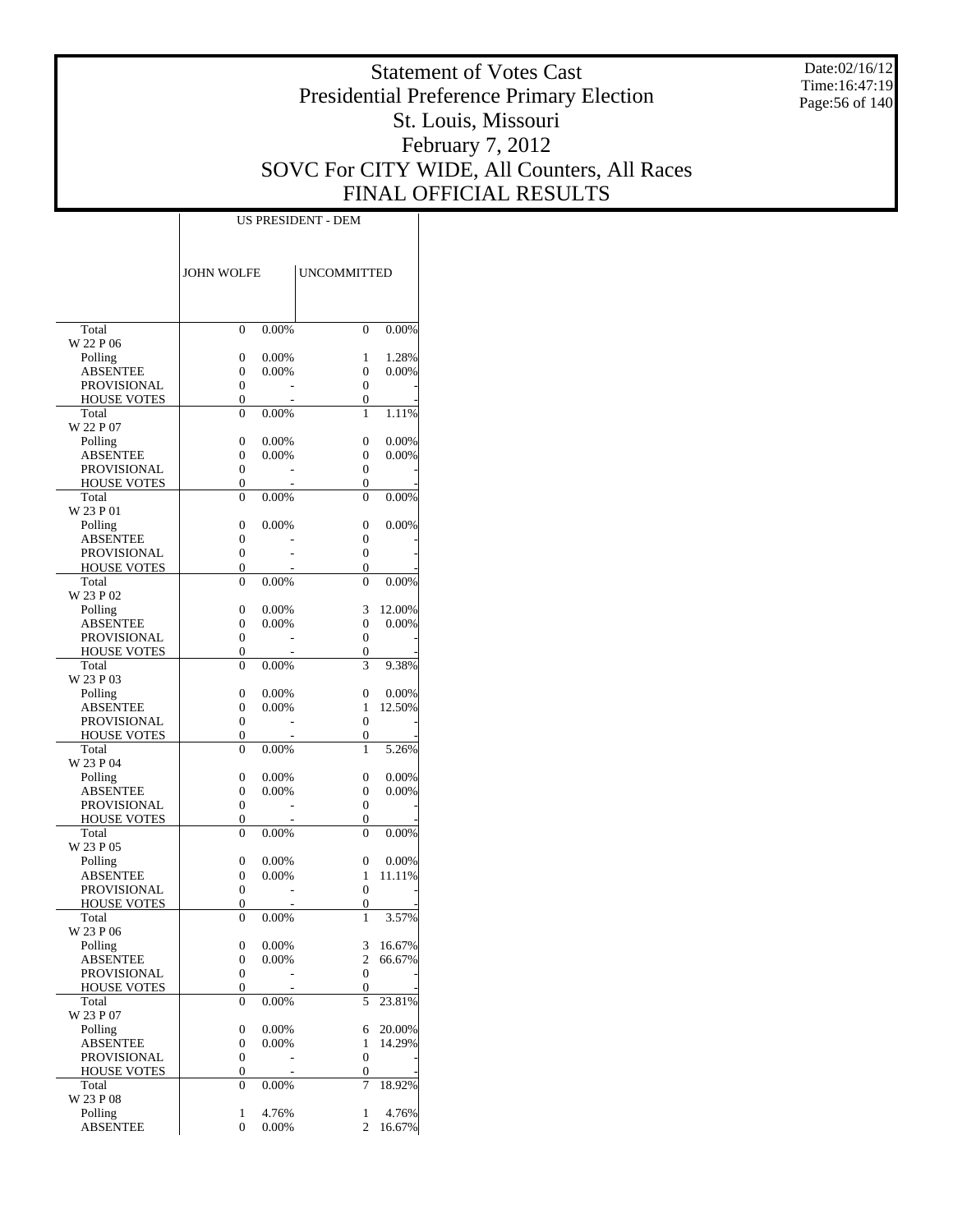Date:02/16/12 Time:16:47:19 Page:56 of 140

# Statement of Votes Cast Presidential Preference Primary Election St. Louis, Missouri February 7, 2012 SOVC For CITY WIDE, All Counters, All Races FINAL OFFICIAL RESULTS

|                                          | <b>JOHN WOLFE</b>                |                   | <b>UNCOMMITTED</b>  |                 |
|------------------------------------------|----------------------------------|-------------------|---------------------|-----------------|
|                                          |                                  |                   |                     |                 |
| Total                                    | $\theta$                         | 0.00%             | $\theta$            | 0.00%           |
| W 22 P 06                                |                                  |                   |                     |                 |
| Polling                                  | $\overline{0}$                   | 0.00%             | 1                   | 1.28%           |
| <b>ABSENTEE</b>                          | $\overline{0}$                   | 0.00%             | 0                   | 0.00%           |
| <b>PROVISIONAL</b>                       | $\overline{0}$                   |                   | $\theta$            |                 |
| <b>HOUSE VOTES</b>                       | $\overline{0}$                   |                   | 0                   |                 |
| Total<br>W 22 P 07                       | $\theta$                         | 0.00%             | 1                   | 1.11%           |
| Polling                                  | $\overline{0}$                   | 0.00%             | $\theta$            | 0.00%           |
| <b>ABSENTEE</b>                          | 0                                | $0.00\%$          | 0                   | 0.00%           |
| <b>PROVISIONAL</b>                       | $\overline{0}$                   |                   | $\theta$            |                 |
| <b>HOUSE VOTES</b>                       | $\overline{0}$                   |                   | 0                   |                 |
| Total                                    | $\theta$                         | 0.00%             | $\theta$            | $0.00\%$        |
| W 23 P 01                                |                                  |                   |                     |                 |
| Polling                                  | $\overline{0}$                   | 0.00%             | 0                   | $0.00\%$        |
| <b>ABSENTEE</b>                          | $\overline{0}$                   |                   | 0                   |                 |
| <b>PROVISIONAL</b><br><b>HOUSE VOTES</b> | $\overline{0}$<br>$\overline{0}$ |                   | $\overline{0}$<br>0 |                 |
| Total                                    | $\theta$                         | 0.00%             | $\theta$            | 0.00%           |
| W 23 P 02                                |                                  |                   |                     |                 |
| Polling                                  | $\overline{0}$                   | 0.00%             | 3                   | 12.00%          |
| <b>ABSENTEE</b>                          | 0                                | $0.00\%$          | 0                   | 0.00%           |
| <b>PROVISIONAL</b>                       | $\overline{0}$                   |                   | 0                   |                 |
| <b>HOUSE VOTES</b>                       | $\overline{0}$                   |                   | 0                   |                 |
| Total                                    | $\theta$                         | 0.00%             | 3                   | 9.38%           |
| W 23 P 03                                |                                  |                   |                     |                 |
| Polling                                  | $\overline{0}$                   | 0.00%             | 0                   | 0.00%           |
| ABSENTEE                                 | 0                                | 0.00%             | 1<br>$\theta$       | 12.50%          |
| <b>PROVISIONAL</b><br><b>HOUSE VOTES</b> | $\overline{0}$<br>$\overline{0}$ |                   | $\overline{0}$      |                 |
| Total                                    | $\theta$                         | 0.00%             | 1                   | 5.26%           |
| W 23 P 04                                |                                  |                   |                     |                 |
| Polling                                  | $\overline{0}$                   | 0.00%             | 0                   | $0.00\%$        |
| <b>ABSENTEE</b>                          | 0                                | $0.00\%$          | 0                   | 0.00%           |
| <b>PROVISIONAL</b>                       | $\overline{0}$                   |                   | 0                   |                 |
| <b>HOUSE VOTES</b>                       | $\overline{0}$                   |                   | 0                   |                 |
| Total                                    | $\theta$                         | 0.00%             | $\theta$            | $0.00\%$        |
| W 23 P 05                                |                                  |                   |                     |                 |
| Polling<br><b>ABSENTEE</b>               | $\overline{0}$<br>0              | 0.00%<br>$0.00\%$ | 0<br>1              | 0.00%<br>11.11% |
| <b>PROVISIONAL</b>                       | $\overline{0}$                   |                   | $\theta$            |                 |
| <b>HOUSE VOTES</b>                       | $\overline{0}$                   |                   | $\overline{0}$      |                 |
| Total                                    | $\theta$                         | 0.00%             | 1                   | 3.57%           |
| W 23 P 06                                |                                  |                   |                     |                 |
| Polling                                  | $\boldsymbol{0}$                 | 0.00%             | 3                   | 16.67%          |
| <b>ABSENTEE</b>                          | 0                                | 0.00%             | $\mathfrak{2}$      | 66.67%          |
| <b>PROVISIONAL</b>                       | $\boldsymbol{0}$                 |                   | $\boldsymbol{0}$    |                 |
| <b>HOUSE VOTES</b>                       | 0                                |                   | 0                   |                 |
| Total<br>W 23 P 07                       | $\overline{0}$                   | 0.00%             | 5                   | 23.81%          |
| Polling                                  | $\boldsymbol{0}$                 | 0.00%             | 6                   | 20.00%          |
| <b>ABSENTEE</b>                          | 0                                | 0.00%             | 1                   | 14.29%          |
| <b>PROVISIONAL</b>                       | 0                                |                   | $\boldsymbol{0}$    |                 |
| <b>HOUSE VOTES</b>                       | 0                                |                   | 0                   |                 |
| Total                                    | $\overline{0}$                   | 0.00%             | 7                   | 18.92%          |
| W 23 P 08                                | 1                                | 4.76%             | 1                   | 4.76%           |
| Polling<br><b>ABSENTEE</b>               | $\overline{0}$                   | 0.00%             | $\overline{c}$      | 16.67%          |
|                                          |                                  |                   |                     |                 |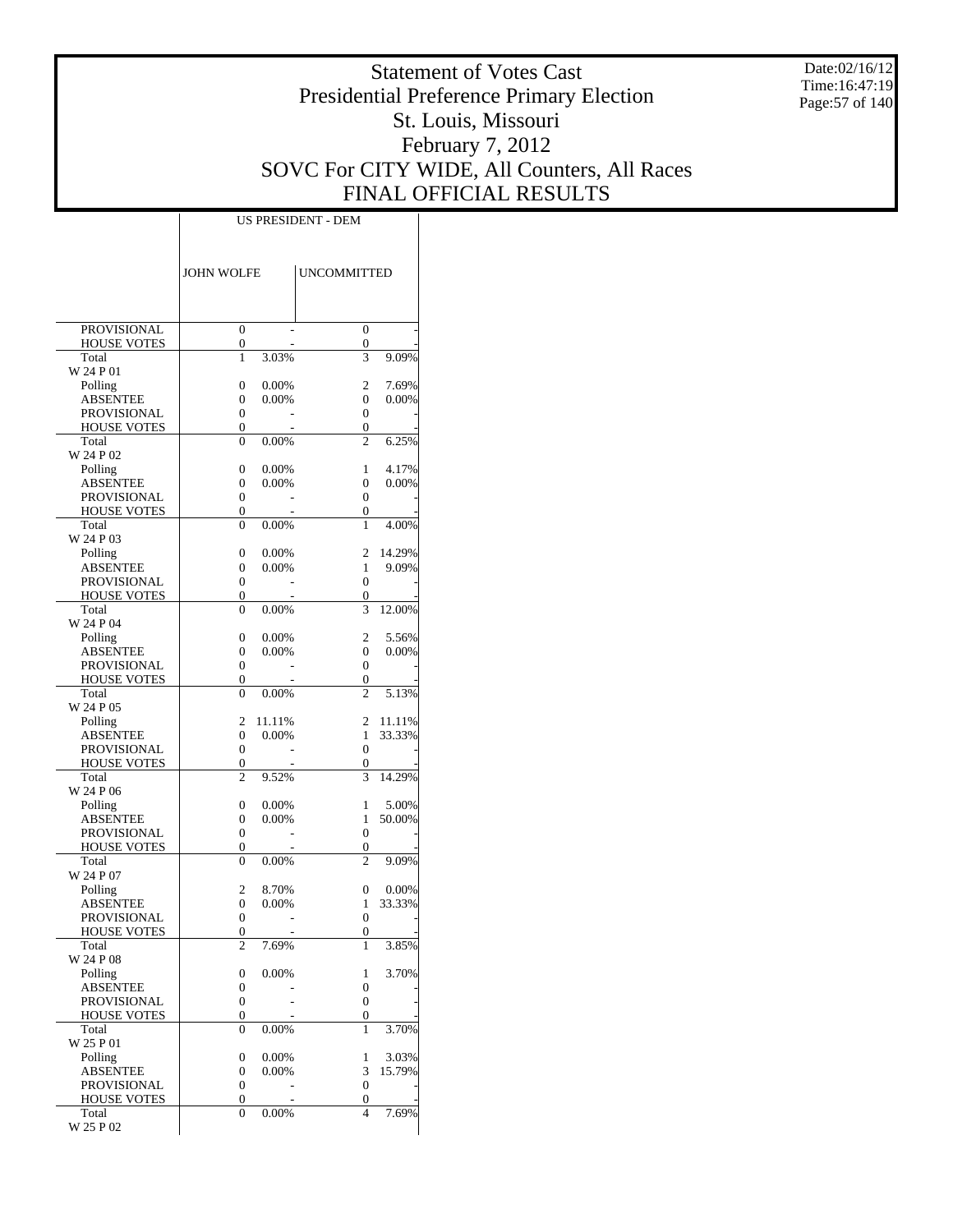Date:02/16/12 Time:16:47:19 Page:57 of 140

# Statement of Votes Cast Presidential Preference Primary Election St. Louis, Missouri February 7, 2012 SOVC For CITY WIDE, All Counters, All Races FINAL OFFICIAL RESULTS

|                                          | <b>JOHN WOLFE</b> |                | <b>UNCOMMITTED</b>                   |                 |
|------------------------------------------|-------------------|----------------|--------------------------------------|-----------------|
| <b>PROVISIONAL</b>                       | $\overline{0}$    |                | $\overline{0}$                       |                 |
| <b>HOUSE VOTES</b>                       | 0                 |                | 0                                    |                 |
| Total                                    | $\mathbf{1}$      | 3.03%          | 3                                    | 9.09%           |
| W 24 P 01<br>Polling                     | 0                 | 0.00%          | 2                                    | 7.69%           |
| <b>ABSENTEE</b>                          | 0                 | 0.00%          | 0                                    | 0.00%           |
| <b>PROVISIONAL</b>                       | 0                 |                | 0                                    |                 |
| <b>HOUSE VOTES</b>                       | 0                 |                | 0<br>$\overline{c}$                  |                 |
| Total<br>W 24 P 02                       | 0                 | 0.00%          |                                      | 6.25%           |
| Polling                                  | 0                 | 0.00%          | 1                                    | 4.17%           |
| ABSENTEE                                 | 0                 | 0.00%          | 0                                    | 0.00%           |
| PROVISIONAL                              | 0                 |                | 0                                    |                 |
| <b>HOUSE VOTES</b><br>Total              | 0<br>0            | 0.00%          | 0<br>1                               | 4.00%           |
| W 24 P 03                                |                   |                |                                      |                 |
| Polling                                  | 0                 | 0.00%          | 2                                    | 14.29%          |
| <b>ABSENTEE</b>                          | 0                 | 0.00%          | 1                                    | 9.09%           |
| <b>PROVISIONAL</b><br><b>HOUSE VOTES</b> | 0<br>0            |                | 0<br>0                               |                 |
| Total                                    | 0                 | 0.00%          | 3                                    | 12.00%          |
| W 24 P 04                                |                   |                |                                      |                 |
| Polling                                  | 0                 | 0.00%          | 2                                    | 5.56%           |
| ABSENTEE<br>PROVISIONAL                  | 0<br>0            | 0.00%          | 0<br>0                               | 0.00%           |
| <b>HOUSE VOTES</b>                       | 0                 |                | 0                                    |                 |
| Total                                    | 0                 | 0.00%          | $\overline{c}$                       | 5.13%           |
| W 24 P 05                                | 2                 | 11.11%         | 2                                    | 11.11%          |
| Polling<br>ABSENTEE                      | 0                 | 0.00%          | 1                                    | 33.33%          |
| <b>PROVISIONAL</b>                       | 0                 |                | 0                                    |                 |
| <b>HOUSE VOTES</b>                       | 0                 |                | 0                                    |                 |
| Total<br>W 24 P 06                       | $\overline{c}$    | 9.52%          | 3                                    | 14.29%          |
| Polling                                  | 0                 | 0.00%          | 1                                    | 5.00%           |
| ABSENTEE                                 | 0                 | 0.00%          | 1                                    | 50.00%          |
| PROVISIONAL                              | 0                 |                | 0                                    |                 |
| <b>HOUSE VOTES</b>                       | 0<br>0            | 0.00%          | 0<br>$\overline{c}$                  |                 |
| Total<br>W 24 P 07                       |                   |                |                                      | 9.09%           |
| Polling                                  | 2                 | 8.70%          | 0                                    | 0.00%           |
| ABSENTEE                                 | 0                 | 0.00%          | 1                                    | 33.33%          |
| PROVISIONAL<br><b>HOUSE VOTES</b>        | 0<br>0            |                | 0<br>0                               |                 |
| Total                                    | $\overline{c}$    | 7.69%          | 1                                    | 3.85%           |
| W 24 P 08                                |                   |                |                                      |                 |
| Polling                                  | 0                 | 0.00%          | 1                                    | 3.70%           |
| ABSENTEE<br>PROVISIONAL                  | 0<br>0            |                | $\boldsymbol{0}$<br>$\boldsymbol{0}$ |                 |
| <b>HOUSE VOTES</b>                       | 0                 |                | 0                                    |                 |
| Total                                    | 0                 | 0.00%          | 1                                    | 3.70%           |
| W 25 P 01                                |                   |                |                                      |                 |
| Polling<br>ABSENTEE                      | 0<br>0            | 0.00%<br>0.00% | 1<br>3                               | 3.03%<br>15.79% |
| PROVISIONAL                              | 0                 |                | $\boldsymbol{0}$                     |                 |
| HOUSE VOTES                              | 0                 |                | 0                                    |                 |
| Total                                    | 0                 | 0.00%          | $\overline{4}$                       | 7.69%           |
| W 25 P 02                                |                   |                |                                      |                 |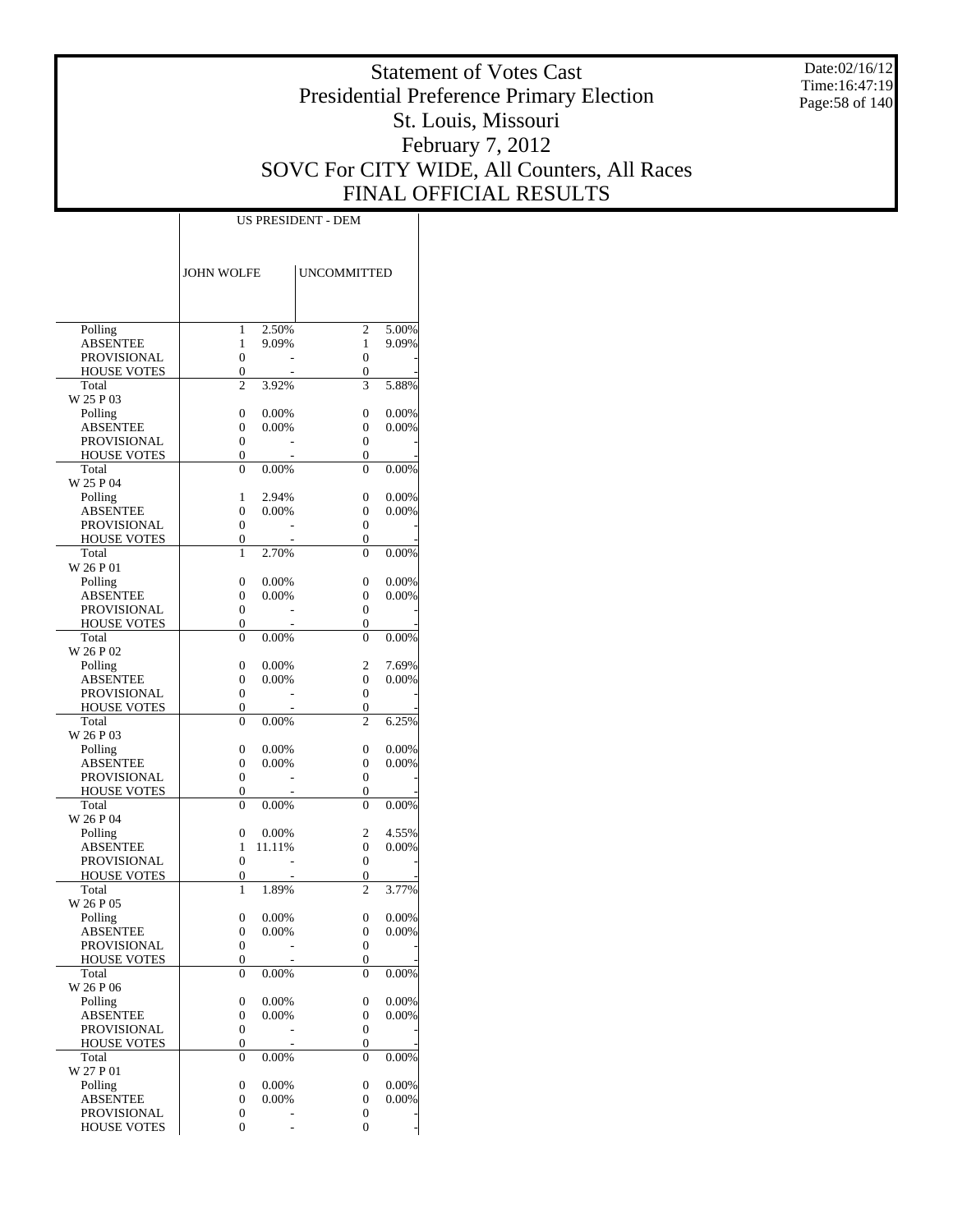Date:02/16/12 Time:16:47:19 Page:58 of 140

# Statement of Votes Cast Presidential Preference Primary Election St. Louis, Missouri February 7, 2012 SOVC For CITY WIDE, All Counters, All Races FINAL OFFICIAL RESULTS

|                                          | <b>JOHN WOLFE</b>                    |                | <b>UNCOMMITTED</b>             |                |
|------------------------------------------|--------------------------------------|----------------|--------------------------------|----------------|
|                                          |                                      |                |                                |                |
|                                          |                                      |                |                                |                |
| Polling                                  | 1                                    | 2.50%          | $\overline{c}$                 | 5.00%          |
| <b>ABSENTEE</b>                          | 1                                    | 9.09%          | 1                              | 9.09%          |
| <b>PROVISIONAL</b><br><b>HOUSE VOTES</b> | $\mathbf{0}$<br>$\boldsymbol{0}$     |                | 0<br>0                         |                |
| Total                                    | $\overline{c}$                       | 3.92%          | 3                              | 5.88%          |
| W 25 P 03                                |                                      |                |                                |                |
| Polling                                  | $\mathbf{0}$                         | 0.00%          | 0                              | 0.00%          |
| <b>ABSENTEE</b>                          | $\mathbf{0}$<br>$\mathbf{0}$         | 0.00%          | 0<br>$\mathbf{0}$              | 0.00%          |
| PROVISIONAL<br><b>HOUSE VOTES</b>        | 0                                    |                | 0                              |                |
| Total                                    | $\mathbf{0}$                         | 0.00%          | 0                              | 0.00%          |
| W 25 P 04                                |                                      |                |                                |                |
| Polling                                  | 1                                    | 2.94%          | 0                              | 0.00%          |
| <b>ABSENTEE</b><br>PROVISIONAL           | $\mathbf{0}$<br>$\mathbf{0}$         | 0.00%          | 0<br>$\mathbf{0}$              | 0.00%          |
| <b>HOUSE VOTES</b>                       | $\boldsymbol{0}$                     |                | 0                              |                |
| Total                                    | 1                                    | 2.70%          | $\overline{0}$                 | 0.00%          |
| W 26 P 01                                |                                      |                |                                |                |
| Polling                                  | $\mathbf{0}$                         | 0.00%          | 0                              | 0.00%          |
| <b>ABSENTEE</b><br>PROVISIONAL           | $\mathbf{0}$<br>$\mathbf{0}$         | 0.00%          | 0<br>$\mathbf{0}$              | 0.00%          |
| <b>HOUSE VOTES</b>                       | 0                                    |                | 0                              |                |
| Total                                    | $\mathbf{0}$                         | 0.00%          | $\theta$                       | 0.00%          |
| W 26 P 02                                |                                      |                |                                |                |
| Polling                                  | $\mathbf{0}$                         | 0.00%          | 2                              | 7.69%          |
| <b>ABSENTEE</b>                          | $\mathbf{0}$<br>$\mathbf{0}$         | 0.00%          | $\overline{0}$<br>$\mathbf{0}$ | 0.00%          |
| PROVISIONAL<br><b>HOUSE VOTES</b>        | $\boldsymbol{0}$                     |                | 0                              |                |
| Total                                    | $\mathbf{0}$                         | 0.00%          | $\overline{c}$                 | 6.25%          |
| W 26 P 03                                |                                      |                |                                |                |
| Polling                                  | $\mathbf{0}$                         | 0.00%          | 0                              | 0.00%          |
| <b>ABSENTEE</b><br>PROVISIONAL           | $\mathbf{0}$<br>$\mathbf{0}$         | 0.00%          | 0<br>$\mathbf{0}$              | 0.00%          |
| <b>HOUSE VOTES</b>                       | 0                                    |                | 0                              |                |
| Total                                    | $\mathbf{0}$                         | 0.00%          | $\theta$                       | 0.00%          |
| W 26 P 04                                |                                      |                |                                |                |
| Polling                                  | $\mathbf{0}$                         | 0.00%          | 2                              | 4.55%          |
| <b>ABSENTEE</b><br>PROVISIONAL           | 1<br>$\mathbf{0}$                    | 11.11%         | $\mathbf{0}$<br>$\mathbf{0}$   | 0.00%          |
| <b>HOUSE VOTES</b>                       | $\boldsymbol{0}$                     |                | 0                              |                |
| Total                                    | 1                                    | 1.89%          | $\overline{2}$                 | 3.77%          |
| W 26 P 05                                |                                      |                |                                |                |
| Polling<br>ABSENTEE                      | $\mathbf{0}$                         | 0.00%          | 0                              | 0.00%          |
| <b>PROVISIONAL</b>                       | $\boldsymbol{0}$                     | $0.00\%$       | 0<br>$\boldsymbol{0}$          | 0.00%          |
| <b>HOUSE VOTES</b>                       | $\boldsymbol{0}$                     |                | 0                              |                |
| Total                                    | $\boldsymbol{0}$                     | $0.00\%$       | 0                              | 0.00%          |
| W 26 P 06                                |                                      |                |                                |                |
| Polling                                  | $\boldsymbol{0}$<br>$\boldsymbol{0}$ | 0.00%<br>0.00% | $\boldsymbol{0}$<br>0          | 0.00%<br>0.00% |
| <b>ABSENTEE</b><br>PROVISIONAL           | $\boldsymbol{0}$                     |                | $\boldsymbol{0}$               |                |
| <b>HOUSE VOTES</b>                       | 0                                    |                | 0                              |                |
| Total                                    | $\mathbf{0}$                         | 0.00%          | 0                              | 0.00%          |
| W 27 P 01                                |                                      |                |                                |                |
| Polling                                  | $\boldsymbol{0}$                     | 0.00%          | $\boldsymbol{0}$               | 0.00%<br>0.00% |
| <b>ABSENTEE</b><br>PROVISIONAL           | $\boldsymbol{0}$<br>$\boldsymbol{0}$ | 0.00%          | 0<br>$\boldsymbol{0}$          |                |
| <b>HOUSE VOTES</b>                       | $\mathbf{0}$                         |                | $\mathbf{0}$                   |                |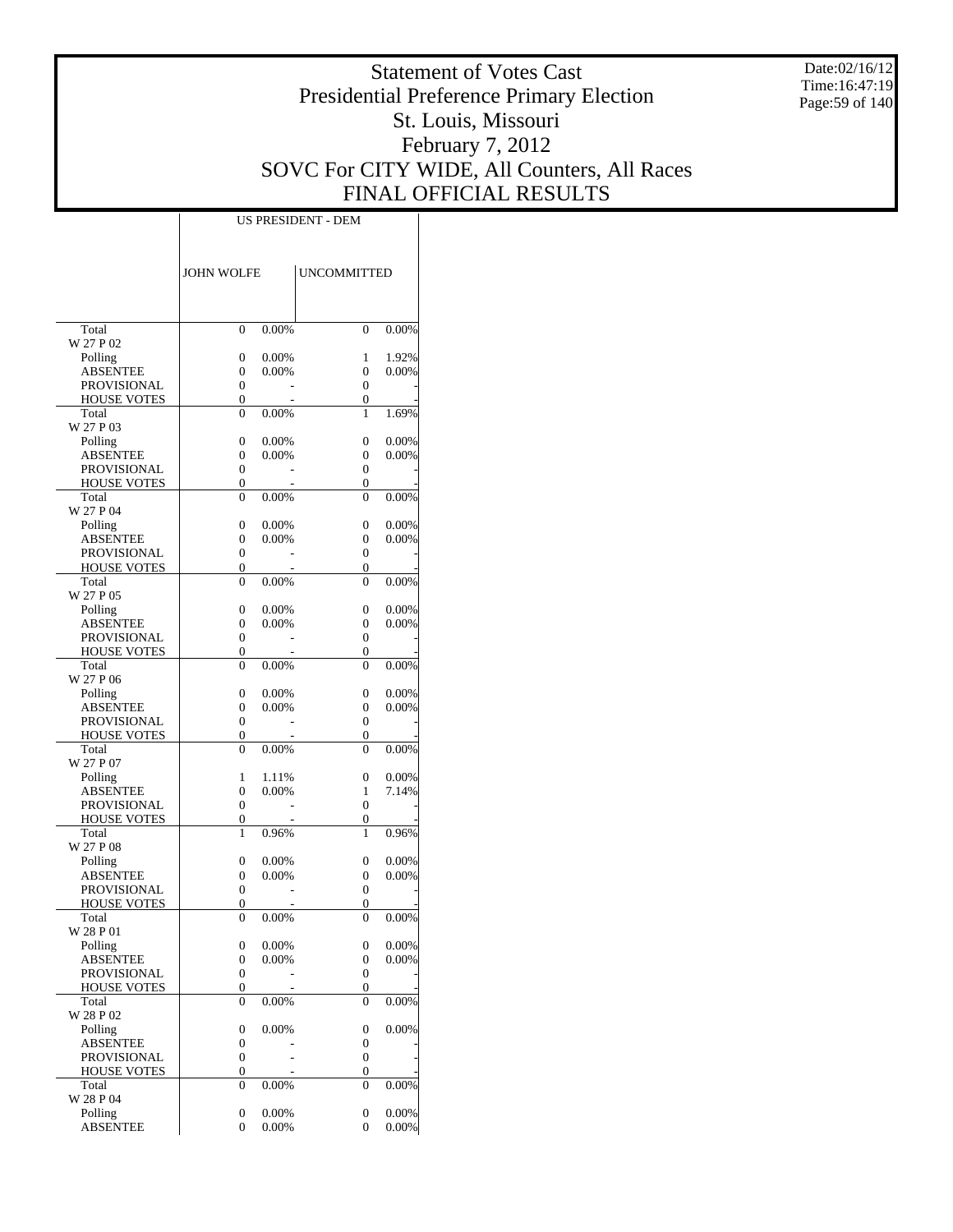Date:02/16/12 Time:16:47:19 Page:59 of 140

# Statement of Votes Cast Presidential Preference Primary Election St. Louis, Missouri February 7, 2012 SOVC For CITY WIDE, All Counters, All Races FINAL OFFICIAL RESULTS

|                                       | <b>JOHN WOLFE</b>     |                | <b>UNCOMMITTED</b> |                |
|---------------------------------------|-----------------------|----------------|--------------------|----------------|
|                                       |                       |                |                    |                |
| Total                                 | 0                     | 0.00%          | $\theta$           | 0.00%          |
| W 27 P 02                             |                       |                |                    |                |
| Polling                               | 0                     | 0.00%          | 1                  | 1.92%          |
| <b>ABSENTEE</b>                       | 0                     | 0.00%          | 0                  | 0.00%          |
| PROVISIONAL                           | $\boldsymbol{0}$      |                | 0                  |                |
| <b>HOUSE VOTES</b>                    | 0                     |                | 0                  |                |
| Total<br>W 27 P 03                    | 0                     | 0.00%          | 1                  | 1.69%          |
| Polling                               | 0                     | 0.00%          | 0                  | 0.00%          |
| <b>ABSENTEE</b>                       | 0                     | 0.00%          | 0                  | 0.00%          |
| PROVISIONAL                           | 0                     |                | 0                  |                |
| <b>HOUSE VOTES</b>                    | 0                     |                | 0                  |                |
| Total                                 | $\overline{0}$        | 0.00%          | $\theta$           | 0.00%          |
| W 27 P 04                             |                       |                |                    |                |
| Polling                               | 0                     | 0.00%          | 0                  | 0.00%          |
| <b>ABSENTEE</b><br><b>PROVISIONAL</b> | 0<br>0                | 0.00%          | 0<br>0             | 0.00%          |
| <b>HOUSE VOTES</b>                    | 0                     |                | 0                  |                |
| Total                                 | 0                     | 0.00%          | 0                  | 0.00%          |
| W 27 P 05                             |                       |                |                    |                |
| Polling                               | 0                     | 0.00%          | 0                  | 0.00%          |
| <b>ABSENTEE</b>                       | 0                     | $0.00\%$       | 0                  | 0.00%          |
| PROVISIONAL                           | 0                     |                | 0                  |                |
| <b>HOUSE VOTES</b>                    | 0                     |                | 0                  |                |
| Total                                 | 0                     | 0.00%          | $\theta$           | 0.00%          |
| W 27 P 06                             | $\overline{0}$        | 0.00%          | 0                  | 0.00%          |
| Polling<br>ABSENTEE                   | 0                     | 0.00%          | 0                  | 0.00%          |
| PROVISIONAL                           | 0                     |                | 0                  |                |
| <b>HOUSE VOTES</b>                    | 0                     |                | 0                  |                |
| Total                                 | 0                     | 0.00%          | $\theta$           | 0.00%          |
| W 27 P 07                             |                       |                |                    |                |
| Polling                               | 1                     | 1.11%          | 0                  | 0.00%          |
| ABSENTEE                              | 0                     | $0.00\%$       | 1                  | 7.14%          |
| PROVISIONAL                           | 0                     |                | 0                  |                |
| <b>HOUSE VOTES</b><br>Total           | 0<br>1                | 0.96%          | 0<br>1             | 0.96%          |
| W 27 P 08                             |                       |                |                    |                |
| Polling                               | 0                     | 0.00%          | 0                  | 0.00%          |
| ABSENTEE                              | 0                     | 0.00%          | 0                  | 0.00%          |
| <b>PROVISIONAL</b>                    | $\boldsymbol{0}$      |                | 0                  |                |
| <b>HOUSE VOTES</b>                    | 0                     |                | 0                  |                |
| Total                                 | $\overline{0}$        | 0.00%          | $\theta$           | 0.00%          |
| W 28 P 01                             |                       |                |                    |                |
| Polling<br>ABSENTEE                   | 0<br>$\boldsymbol{0}$ | 0.00%<br>0.00% | 0<br>0             | 0.00%<br>0.00% |
| PROVISIONAL                           | $\boldsymbol{0}$      |                | $\boldsymbol{0}$   |                |
| HOUSE VOTES                           | 0                     |                | 0                  |                |
| Total                                 | 0                     | 0.00%          | 0                  | 0.00%          |
| W 28 P 02                             |                       |                |                    |                |
| Polling                               | 0                     | 0.00%          | 0                  | 0.00%          |
| <b>ABSENTEE</b>                       | 0                     |                | 0                  |                |
| <b>PROVISIONAL</b>                    | $\boldsymbol{0}$      |                | $\boldsymbol{0}$   |                |
| <b>HOUSE VOTES</b>                    | 0                     |                | 0                  |                |
| Total<br>W 28 P 04                    | 0                     | 0.00%          | 0                  | 0.00%          |
| Polling                               | $\boldsymbol{0}$      | 0.00%          | 0                  | 0.00%          |
| <b>ABSENTEE</b>                       | 0                     | 0.00%          | 0                  | 0.00%          |
|                                       |                       |                |                    |                |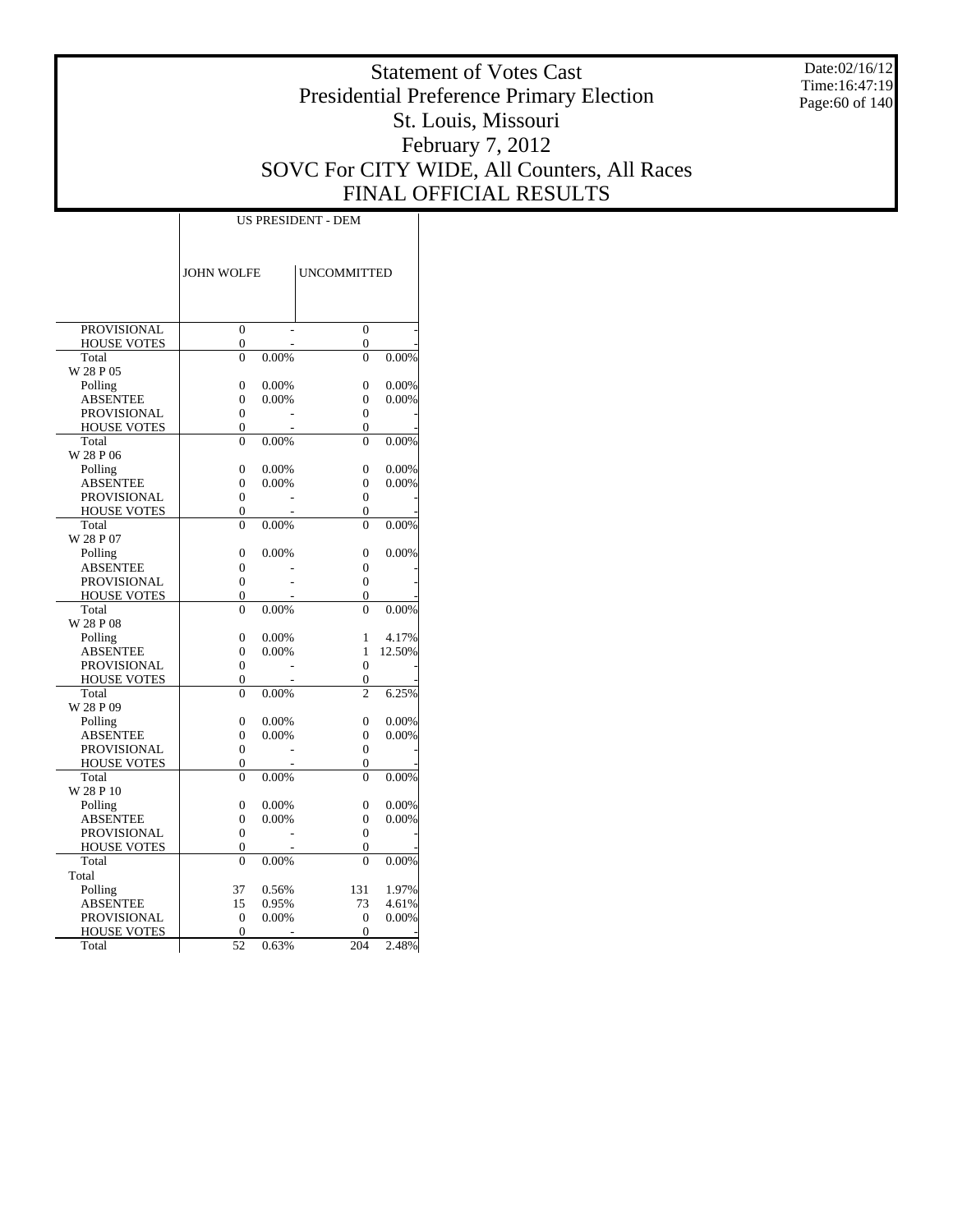Date:02/16/12 Time:16:47:19 Page:60 of 140

# Statement of Votes Cast Presidential Preference Primary Election St. Louis, Missouri February 7, 2012 SOVC For CITY WIDE, All Counters, All Races FINAL OFFICIAL RESULTS

|                             | <b>JOHN WOLFE</b>        |          | <b>UNCOMMITTED</b>         |                |
|-----------------------------|--------------------------|----------|----------------------------|----------------|
|                             |                          |          |                            |                |
|                             |                          |          |                            |                |
|                             |                          |          |                            |                |
| <b>PROVISIONAL</b>          | $\overline{0}$           |          | $\theta$                   |                |
| <b>HOUSE VOTES</b>          | 0                        |          | $\overline{0}$             |                |
| Total                       | $\theta$                 | 0.00%    | $\theta$                   | 0.00%          |
| W 28 P 05                   |                          |          |                            |                |
| Polling                     | $\theta$                 | 0.00%    | $\overline{0}$             | 0.00%          |
| <b>ABSENTEE</b>             | $\overline{0}$           | 0.00%    | $\overline{0}$             | 0.00%          |
| <b>PROVISIONAL</b>          | $\Omega$                 |          | $\theta$                   |                |
| <b>HOUSE VOTES</b>          | $\overline{0}$           |          | $\overline{0}$             |                |
| Total<br>W 28 P 06          | $\theta$                 | 0.00%    | $\theta$                   | 0.00%          |
|                             |                          |          |                            |                |
| Polling                     | $\mathbf{0}$<br>$\theta$ | 0.00%    | 0<br>$\theta$              | 0.00%<br>0.00% |
| <b>ABSENTEE</b>             |                          | 0.00%    |                            |                |
| <b>PROVISIONAL</b>          | 0                        |          | $\overline{0}$             |                |
| <b>HOUSE VOTES</b><br>Total | 0<br>$\theta$            |          | $\overline{0}$<br>$\theta$ |                |
|                             |                          | 0.00%    |                            | 0.00%          |
| W 28 P 07                   |                          |          |                            |                |
| Polling                     | $\overline{0}$           | 0.00%    | $\overline{0}$             | 0.00%          |
| ABSENTEE                    | $\mathbf{0}$             |          | 0                          |                |
| <b>PROVISIONAL</b>          | $\overline{0}$           |          | $\overline{0}$             |                |
| <b>HOUSE VOTES</b>          | 0<br>$\theta$            | 0.00%    | 0<br>$\theta$              |                |
| Total                       |                          |          |                            | 0.00%          |
| W 28 P 08                   | $\theta$                 | $0.00\%$ | 1                          | 4.17%          |
| Polling<br><b>ABSENTEE</b>  |                          | 0.00%    | 1                          | 12.50%         |
| <b>PROVISIONAL</b>          | 0<br>$\theta$            |          | $\theta$                   |                |
| <b>HOUSE VOTES</b>          | $\overline{0}$           |          | 0                          |                |
| Total                       | $\theta$                 | 0.00%    | $\overline{c}$             | 6.25%          |
| W 28 P 09                   |                          |          |                            |                |
| Polling                     | 0                        | 0.00%    | $\overline{0}$             | 0.00%          |
| <b>ABSENTEE</b>             | 0                        | 0.00%    | $\overline{0}$             | 0.00%          |
| <b>PROVISIONAL</b>          | $\mathbf{0}$             |          | 0                          |                |
| <b>HOUSE VOTES</b>          | $\theta$                 |          | $\theta$                   |                |
| Total                       | $\Omega$                 | 0.00%    | $\theta$                   | 0.00%          |
| W 28 P 10                   |                          |          |                            |                |
| Polling                     | $\overline{0}$           | 0.00%    | $\overline{0}$             | 0.00%          |
| <b>ABSENTEE</b>             | $\theta$                 | 0.00%    | $\overline{0}$             | 0.00%          |
| <b>PROVISIONAL</b>          | $\overline{0}$           |          | $\overline{0}$             |                |
| <b>HOUSE VOTES</b>          | $\overline{0}$           |          | 0                          |                |
| Total                       | $\overline{0}$           | 0.00%    | $\theta$                   | 0.00%          |
| Total                       |                          |          |                            |                |
| Polling                     | 37                       | 0.56%    | 131                        | 1.97%          |
| <b>ABSENTEE</b>             | 15                       | 0.95%    | 73                         | 4.61%          |
| <b>PROVISIONAL</b>          | $\Omega$                 | $0.00\%$ | $\Omega$                   | 0.00%          |
| <b>HOUSE VOTES</b>          | $\overline{0}$           |          | 0                          |                |
| Total                       | 52                       | 0.63%    | 204                        | 2.48%          |
|                             |                          |          |                            |                |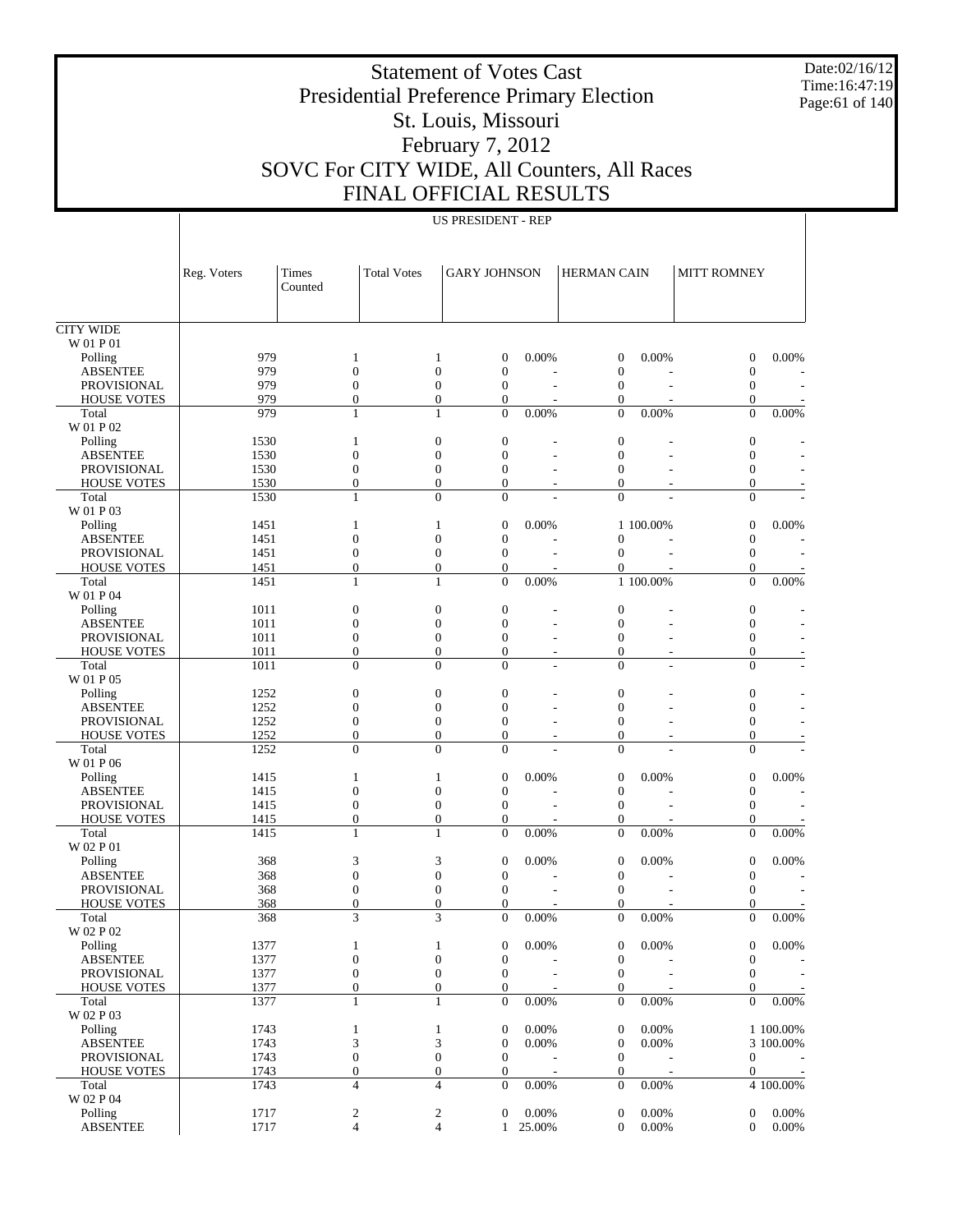Date:02/16/12 Time:16:47:19 Page:61 of 140

# Statement of Votes Cast Presidential Preference Primary Election St. Louis, Missouri February 7, 2012 SOVC For CITY WIDE, All Counters, All Races FINAL OFFICIAL RESULTS

|                                       | Reg. Voters  | Times<br>Counted                     | <b>Total Votes</b> | <b>GARY JOHNSON</b>                                                          |                        | <b>HERMAN CAIN</b>                   |                          | <b>MITT ROMNEY</b>                   |                          |
|---------------------------------------|--------------|--------------------------------------|--------------------|------------------------------------------------------------------------------|------------------------|--------------------------------------|--------------------------|--------------------------------------|--------------------------|
|                                       |              |                                      |                    |                                                                              |                        |                                      |                          |                                      |                          |
| <b>CITY WIDE</b>                      |              |                                      |                    |                                                                              |                        |                                      |                          |                                      |                          |
| W 01 P 01<br>Polling                  | 979          | $\mathbf{1}$                         |                    | $\boldsymbol{0}$<br>1                                                        | 0.00%                  | $\boldsymbol{0}$                     | 0.00%                    | $\boldsymbol{0}$                     | 0.00%                    |
| <b>ABSENTEE</b>                       | 979          | $\boldsymbol{0}$                     |                    | $\boldsymbol{0}$<br>$\boldsymbol{0}$                                         |                        | $\mathbf{0}$                         |                          | $\boldsymbol{0}$                     |                          |
| <b>PROVISIONAL</b>                    | 979          | $\boldsymbol{0}$                     |                    | $\overline{0}$<br>$\boldsymbol{0}$                                           |                        | $\mathbf{0}$                         |                          | $\mathbf{0}$                         |                          |
| <b>HOUSE VOTES</b>                    | 979          | $\boldsymbol{0}$                     |                    | $\boldsymbol{0}$<br>$\boldsymbol{0}$                                         |                        | $\boldsymbol{0}$                     |                          | $\boldsymbol{0}$                     |                          |
| Total                                 | 979          | $\mathbf{1}$                         |                    | $\overline{0}$<br>$\mathbf{1}$                                               | 0.00%                  | $\mathbf{0}$                         | 0.00%                    | $\overline{0}$                       | 0.00%                    |
| W 01 P 02                             |              |                                      |                    |                                                                              |                        |                                      |                          |                                      |                          |
| Polling                               | 1530         | $\mathbf{1}$                         |                    | $\boldsymbol{0}$<br>$\boldsymbol{0}$                                         |                        | $\boldsymbol{0}$                     |                          | $\boldsymbol{0}$                     |                          |
| <b>ABSENTEE</b><br><b>PROVISIONAL</b> | 1530<br>1530 | $\boldsymbol{0}$<br>$\boldsymbol{0}$ |                    | $\overline{0}$<br>$\boldsymbol{0}$<br>$\boldsymbol{0}$<br>$\boldsymbol{0}$   |                        | $\mathbf{0}$<br>$\mathbf{0}$         |                          | $\boldsymbol{0}$<br>$\boldsymbol{0}$ |                          |
| <b>HOUSE VOTES</b>                    | 1530         | $\boldsymbol{0}$                     |                    | $\boldsymbol{0}$<br>$\boldsymbol{0}$                                         |                        | $\overline{0}$                       |                          | $\mathbf{0}$                         |                          |
| Total                                 | 1530         | $\mathbf{1}$                         |                    | $\Omega$<br>$\theta$                                                         |                        | $\theta$                             |                          | $\Omega$                             |                          |
| W 01 P 03                             |              |                                      |                    |                                                                              |                        |                                      |                          |                                      |                          |
| Polling                               | 1451         | $\mathbf{1}$                         |                    | $\boldsymbol{0}$<br>1                                                        | 0.00%                  |                                      | 1 100,00%                | $\boldsymbol{0}$                     | 0.00%                    |
| <b>ABSENTEE</b>                       | 1451         | $\boldsymbol{0}$                     |                    | $\boldsymbol{0}$<br>$\boldsymbol{0}$                                         |                        | $\mathbf{0}$                         |                          | $\boldsymbol{0}$                     |                          |
| <b>PROVISIONAL</b>                    | 1451         | $\boldsymbol{0}$                     |                    | $\boldsymbol{0}$<br>$\boldsymbol{0}$                                         |                        | $\mathbf{0}$                         |                          | $\mathbf{0}$                         |                          |
| <b>HOUSE VOTES</b>                    | 1451         | $\boldsymbol{0}$                     |                    | $\boldsymbol{0}$<br>$\boldsymbol{0}$                                         |                        | $\boldsymbol{0}$                     |                          | $\boldsymbol{0}$                     |                          |
| Total                                 | 1451         | $\mathbf{1}$                         |                    | $\overline{0}$<br>1                                                          | 0.00%                  |                                      | 1 100.00%                | $\overline{0}$                       | 0.00%                    |
| W 01 P 04<br>Polling                  | 1011         | $\boldsymbol{0}$                     |                    | $\boldsymbol{0}$<br>$\boldsymbol{0}$                                         |                        | $\mathbf{0}$                         |                          | $\boldsymbol{0}$                     |                          |
| <b>ABSENTEE</b>                       | 1011         | $\boldsymbol{0}$                     |                    | $\overline{0}$<br>$\boldsymbol{0}$                                           |                        | $\mathbf{0}$                         |                          | $\boldsymbol{0}$                     |                          |
| <b>PROVISIONAL</b>                    | 1011         | $\boldsymbol{0}$                     |                    | $\boldsymbol{0}$<br>$\boldsymbol{0}$                                         |                        | $\mathbf{0}$                         |                          | $\boldsymbol{0}$                     |                          |
| <b>HOUSE VOTES</b>                    | 1011         | $\overline{0}$                       |                    | $\boldsymbol{0}$<br>$\boldsymbol{0}$                                         |                        | $\boldsymbol{0}$                     |                          | $\boldsymbol{0}$                     |                          |
| Total                                 | 1011         | $\overline{0}$                       |                    | $\Omega$<br>$\theta$                                                         | $\overline{a}$         | $\overline{0}$                       | ÷                        | $\Omega$                             |                          |
| W 01 P 05                             |              |                                      |                    |                                                                              |                        |                                      |                          |                                      |                          |
| Polling                               | 1252         | $\boldsymbol{0}$                     |                    | $\boldsymbol{0}$<br>$\boldsymbol{0}$                                         |                        | $\mathbf{0}$                         |                          | $\boldsymbol{0}$                     |                          |
| <b>ABSENTEE</b>                       | 1252         | $\boldsymbol{0}$                     |                    | $\overline{0}$<br>$\boldsymbol{0}$                                           |                        | $\mathbf{0}$                         |                          | $\boldsymbol{0}$                     |                          |
| <b>PROVISIONAL</b>                    | 1252         | $\boldsymbol{0}$                     |                    | $\boldsymbol{0}$<br>$\overline{0}$                                           |                        | $\mathbf{0}$                         |                          | $\boldsymbol{0}$                     |                          |
| <b>HOUSE VOTES</b>                    | 1252         | $\boldsymbol{0}$                     |                    | $\boldsymbol{0}$<br>$\boldsymbol{0}$                                         |                        | $\boldsymbol{0}$                     |                          | $\boldsymbol{0}$                     |                          |
| Total<br>W 01 P 06                    | 1252         | $\overline{0}$                       |                    | $\Omega$<br>$\theta$                                                         |                        | $\overline{0}$                       |                          | $\Omega$                             |                          |
| Polling                               | 1415         | $\mathbf{1}$                         |                    | $\boldsymbol{0}$<br>1                                                        | 0.00%                  | $\boldsymbol{0}$                     | 0.00%                    | $\boldsymbol{0}$                     | 0.00%                    |
| <b>ABSENTEE</b>                       | 1415         | $\boldsymbol{0}$                     |                    | $\boldsymbol{0}$<br>$\boldsymbol{0}$                                         |                        | $\boldsymbol{0}$                     |                          | $\boldsymbol{0}$                     |                          |
| <b>PROVISIONAL</b>                    | 1415         | $\boldsymbol{0}$                     |                    | $\boldsymbol{0}$<br>$\boldsymbol{0}$                                         | J.                     | $\mathbf{0}$                         | L,                       | $\boldsymbol{0}$                     |                          |
| <b>HOUSE VOTES</b>                    | 1415         | $\boldsymbol{0}$                     |                    | $\boldsymbol{0}$<br>$\boldsymbol{0}$                                         |                        | $\boldsymbol{0}$                     |                          | $\boldsymbol{0}$                     |                          |
| Total                                 | 1415         | $\mathbf{1}$                         |                    | $\overline{0}$<br>$\mathbf{1}$                                               | 0.00%                  | $\mathbf{0}$                         | 0.00%                    | $\overline{0}$                       | 0.00%                    |
| W 02 P 01                             |              |                                      |                    |                                                                              |                        |                                      |                          |                                      |                          |
| Polling                               | 368          | 3                                    |                    | 3<br>$\boldsymbol{0}$                                                        | 0.00%                  | $\boldsymbol{0}$                     | 0.00%                    | $\boldsymbol{0}$                     | 0.00%                    |
| <b>ABSENTEE</b>                       | 368          | $\boldsymbol{0}$                     |                    | $\boldsymbol{0}$<br>$\boldsymbol{0}$                                         |                        | $\boldsymbol{0}$                     |                          | $\boldsymbol{0}$                     |                          |
| <b>PROVISIONAL</b>                    | 368<br>368   | $\boldsymbol{0}$<br>$\boldsymbol{0}$ |                    | $\boldsymbol{0}$<br>$\boldsymbol{0}$<br>$\boldsymbol{0}$<br>$\mathbf{0}$     |                        | $\mathbf{0}$<br>$\mathbf{0}$         |                          | $\mathbf{0}$<br>$\boldsymbol{0}$     |                          |
| <b>HOUSE VOTES</b><br>Total           | 368          | 3                                    |                    | 3<br>$\overline{0}$                                                          | 0.00%                  | $\overline{0}$                       | 0.00%                    | $\overline{0}$                       | 0.00%                    |
| W 02 P 02                             |              |                                      |                    |                                                                              |                        |                                      |                          |                                      |                          |
| Polling                               | 1377         | $\mathbf{1}$                         |                    | $\boldsymbol{0}$<br>$\mathbf{1}$                                             | 0.00%                  | $\boldsymbol{0}$                     | 0.00%                    | $\boldsymbol{0}$                     | 0.00%                    |
| <b>ABSENTEE</b>                       | 1377         | $\boldsymbol{0}$                     |                    | $\boldsymbol{0}$<br>$\boldsymbol{0}$                                         |                        | $\boldsymbol{0}$                     |                          | $\boldsymbol{0}$                     |                          |
| PROVISIONAL                           | 1377         | $\boldsymbol{0}$                     |                    | $\boldsymbol{0}$<br>$\boldsymbol{0}$                                         | L,                     | $\boldsymbol{0}$                     | $\overline{\phantom{a}}$ | $\mathbf{0}$                         | $\overline{\phantom{a}}$ |
| <b>HOUSE VOTES</b>                    | 1377         | $\boldsymbol{0}$                     |                    | $\boldsymbol{0}$<br>$\boldsymbol{0}$                                         |                        | $\boldsymbol{0}$                     |                          | $\boldsymbol{0}$                     |                          |
| Total                                 | 1377         | $\mathbf{1}$                         |                    | $\mathbf{1}$<br>$\boldsymbol{0}$                                             | $0.00\%$               | $\boldsymbol{0}$                     | $0.00\%$                 | $\boldsymbol{0}$                     | $0.00\%$                 |
| W 02 P 03                             |              |                                      |                    |                                                                              |                        |                                      |                          |                                      |                          |
| Polling                               | 1743         | $\mathbf{1}$                         |                    | $\boldsymbol{0}$<br>$\mathbf{1}$                                             | 0.00%                  | $\boldsymbol{0}$                     | $0.00\%$                 |                                      | 1 100.00%                |
| <b>ABSENTEE</b>                       | 1743         | 3                                    |                    | 3<br>$\boldsymbol{0}$                                                        | 0.00%                  | $\boldsymbol{0}$                     | 0.00%                    |                                      | 3 100.00%                |
| PROVISIONAL<br><b>HOUSE VOTES</b>     | 1743<br>1743 | $\boldsymbol{0}$<br>$\boldsymbol{0}$ |                    | $\boldsymbol{0}$<br>$\boldsymbol{0}$<br>$\boldsymbol{0}$<br>$\boldsymbol{0}$ |                        | $\boldsymbol{0}$<br>$\boldsymbol{0}$ | J.                       | $\boldsymbol{0}$<br>$\boldsymbol{0}$ | $\sim$                   |
| Total                                 | 1743         | $\overline{4}$                       |                    | 4<br>$\boldsymbol{0}$                                                        | 0.00%                  | $\boldsymbol{0}$                     | $0.00\%$                 |                                      | 4 100.00%                |
| W 02 P 04                             |              |                                      |                    |                                                                              |                        |                                      |                          |                                      |                          |
| Polling                               | 1717         | $\boldsymbol{2}$                     |                    | $\overline{\mathbf{c}}$<br>$\boldsymbol{0}$                                  | 0.00%                  | $\boldsymbol{0}$                     | 0.00%                    | $\mathbf{0}$                         | 0.00%                    |
| <b>ABSENTEE</b>                       | 1717         | $\overline{4}$                       |                    | $\overline{4}$                                                               | 25.00%<br>$\mathbf{1}$ | $\boldsymbol{0}$                     | $0.00\%$                 | $\mathbf{0}$                         | $0.00\%$                 |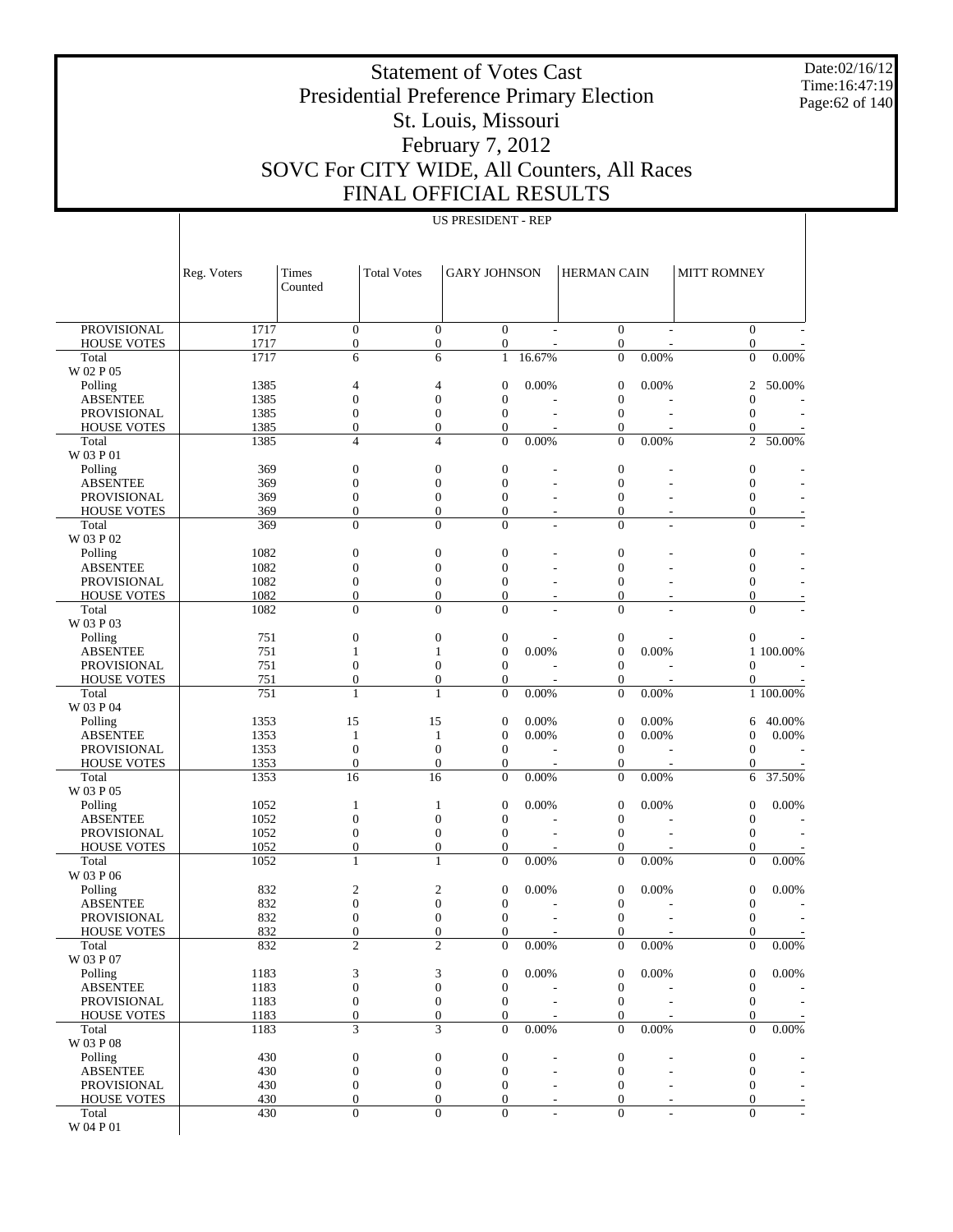Date:02/16/12 Time:16:47:19 Page:62 of 140

# Statement of Votes Cast Presidential Preference Primary Election St. Louis, Missouri February 7, 2012 SOVC For CITY WIDE, All Counters, All Races FINAL OFFICIAL RESULTS

|  |  | <b>US PRESIDENT - REP</b> |  |
|--|--|---------------------------|--|
|--|--|---------------------------|--|

|                                          | Reg. Voters  | Times<br>Counted                     | <b>Total Votes</b>               | <b>GARY JOHNSON</b>                  |                | HERMAN CAIN                          |                | <b>MITT ROMNEY</b>                   |                 |
|------------------------------------------|--------------|--------------------------------------|----------------------------------|--------------------------------------|----------------|--------------------------------------|----------------|--------------------------------------|-----------------|
| <b>PROVISIONAL</b>                       | 1717         | $\mathbf{0}$                         | $\boldsymbol{0}$                 | $\mathbf{0}$                         |                | $\boldsymbol{0}$                     |                | $\theta$                             |                 |
| <b>HOUSE VOTES</b>                       | 1717         | $\boldsymbol{0}$                     | $\boldsymbol{0}$                 | $\boldsymbol{0}$                     |                | $\boldsymbol{0}$                     |                | $\boldsymbol{0}$                     |                 |
| Total                                    | 1717         | 6                                    | 6                                | $\mathbf{1}$                         | 16.67%         | $\boldsymbol{0}$                     | 0.00%          | $\overline{0}$                       | 0.00%           |
| W 02 P 05                                |              |                                      |                                  |                                      |                |                                      |                |                                      |                 |
| Polling                                  | 1385         | 4                                    | 4                                | $\mathbf{0}$                         | 0.00%          | $\boldsymbol{0}$                     | 0.00%          | 2                                    | 50.00%          |
| <b>ABSENTEE</b><br><b>PROVISIONAL</b>    | 1385<br>1385 | $\boldsymbol{0}$<br>$\boldsymbol{0}$ | $\mathbf{0}$<br>$\boldsymbol{0}$ | $\boldsymbol{0}$<br>$\boldsymbol{0}$ |                | $\boldsymbol{0}$<br>$\boldsymbol{0}$ |                | $\boldsymbol{0}$<br>$\overline{0}$   |                 |
| <b>HOUSE VOTES</b>                       | 1385         | $\boldsymbol{0}$                     | $\mathbf{0}$                     | $\boldsymbol{0}$                     |                | $\boldsymbol{0}$                     |                | 0                                    |                 |
| Total                                    | 1385         | $\overline{4}$                       | $\overline{4}$                   | $\overline{0}$                       | 0.00%          | $\overline{0}$                       | 0.00%          | $\overline{2}$                       | 50.00%          |
| W 03 P 01                                |              |                                      |                                  |                                      |                |                                      |                |                                      |                 |
| Polling                                  | 369          | $\boldsymbol{0}$                     | $\boldsymbol{0}$                 | $\mathbf{0}$                         |                | $\boldsymbol{0}$                     |                | $\boldsymbol{0}$                     |                 |
| <b>ABSENTEE</b>                          | 369          | $\boldsymbol{0}$                     | $\mathbf{0}$                     | $\boldsymbol{0}$                     |                | $\boldsymbol{0}$                     |                | $\boldsymbol{0}$                     |                 |
| <b>PROVISIONAL</b>                       | 369<br>369   | $\boldsymbol{0}$                     | $\boldsymbol{0}$<br>$\mathbf{0}$ | $\boldsymbol{0}$<br>$\overline{0}$   |                | $\boldsymbol{0}$<br>$\boldsymbol{0}$ |                | $\boldsymbol{0}$<br>$\boldsymbol{0}$ |                 |
| <b>HOUSE VOTES</b><br>Total              | 369          | $\boldsymbol{0}$<br>$\overline{0}$   | $\overline{0}$                   | $\overline{0}$                       |                | $\overline{0}$                       |                | $\theta$                             |                 |
| W 03 P 02                                |              |                                      |                                  |                                      |                |                                      |                |                                      |                 |
| Polling                                  | 1082         | $\boldsymbol{0}$                     | $\mathbf{0}$                     | $\boldsymbol{0}$                     |                | $\boldsymbol{0}$                     |                | $\boldsymbol{0}$                     |                 |
| <b>ABSENTEE</b>                          | 1082         | $\boldsymbol{0}$                     | $\mathbf{0}$                     | $\boldsymbol{0}$                     |                | $\boldsymbol{0}$                     |                | $\boldsymbol{0}$                     |                 |
| <b>PROVISIONAL</b>                       | 1082         | $\boldsymbol{0}$                     | $\boldsymbol{0}$                 | $\boldsymbol{0}$                     |                | $\boldsymbol{0}$                     |                | $\boldsymbol{0}$                     |                 |
| <b>HOUSE VOTES</b>                       | 1082         | $\boldsymbol{0}$                     | $\overline{0}$                   | $\overline{0}$                       |                | $\boldsymbol{0}$                     |                | $\boldsymbol{0}$                     |                 |
| Total<br>W 03 P 03                       | 1082         | $\overline{0}$                       | $\overline{0}$                   | $\overline{0}$                       |                | $\overline{0}$                       |                | $\theta$                             |                 |
| Polling                                  | 751          | $\boldsymbol{0}$                     | $\mathbf{0}$                     | $\mathbf{0}$                         |                | $\boldsymbol{0}$                     |                | $\boldsymbol{0}$                     |                 |
| <b>ABSENTEE</b>                          | 751          | 1                                    | 1                                | $\mathbf{0}$                         | 0.00%          | $\boldsymbol{0}$                     | 0.00%          |                                      | 1 100.00%       |
| <b>PROVISIONAL</b>                       | 751          | $\boldsymbol{0}$                     | $\boldsymbol{0}$                 | $\boldsymbol{0}$                     |                | $\boldsymbol{0}$                     |                | $\overline{0}$                       |                 |
| <b>HOUSE VOTES</b>                       | 751          | $\overline{0}$                       | $\overline{0}$                   | $\boldsymbol{0}$                     |                | 0                                    |                | 0                                    |                 |
| Total                                    | 751          | 1                                    | 1                                | $\overline{0}$                       | 0.00%          | $\boldsymbol{0}$                     | 0.00%          |                                      | 1 100.00%       |
| W 03 P 04                                |              |                                      |                                  |                                      |                |                                      |                |                                      |                 |
| Polling<br><b>ABSENTEE</b>               | 1353<br>1353 | 15<br>1                              | 15<br>1                          | $\mathbf{0}$<br>$\mathbf{0}$         | 0.00%<br>0.00% | $\boldsymbol{0}$<br>$\boldsymbol{0}$ | 0.00%<br>0.00% | 6<br>0                               | 40.00%<br>0.00% |
| <b>PROVISIONAL</b>                       | 1353         | $\boldsymbol{0}$                     | $\mathbf{0}$                     | $\boldsymbol{0}$                     |                | $\boldsymbol{0}$                     |                | $\overline{0}$                       |                 |
| <b>HOUSE VOTES</b>                       | 1353         | $\boldsymbol{0}$                     | $\overline{0}$                   | $\boldsymbol{0}$                     |                | $\boldsymbol{0}$                     |                | 0                                    |                 |
| Total                                    | 1353         | 16                                   | 16                               | $\overline{0}$                       | 0.00%          | $\overline{0}$                       | 0.00%          | 6                                    | 37.50%          |
| W 03 P 05                                |              |                                      |                                  |                                      |                |                                      |                |                                      |                 |
| Polling                                  | 1052         | 1                                    | 1                                | $\mathbf{0}$                         | 0.00%          | $\boldsymbol{0}$                     | 0.00%          | $\boldsymbol{0}$                     | 0.00%           |
| <b>ABSENTEE</b>                          | 1052         | $\boldsymbol{0}$                     | $\mathbf{0}$                     | $\boldsymbol{0}$                     |                | $\boldsymbol{0}$                     |                | $\boldsymbol{0}$                     |                 |
| <b>PROVISIONAL</b><br><b>HOUSE VOTES</b> | 1052<br>1052 | $\boldsymbol{0}$<br>$\overline{0}$   | $\boldsymbol{0}$<br>$\mathbf{0}$ | $\boldsymbol{0}$<br>$\boldsymbol{0}$ |                | $\boldsymbol{0}$<br>$\boldsymbol{0}$ |                | $\overline{0}$<br>0                  |                 |
| Total                                    | 1052         | 1                                    | 1                                | $\overline{0}$                       | 0.00%          | $\boldsymbol{0}$                     | 0.00%          | $\overline{0}$                       | 0.00%           |
| W 03 P 06                                |              |                                      |                                  |                                      |                |                                      |                |                                      |                 |
| Polling                                  | 832          | 2                                    | $\overline{2}$                   | $\mathbf{0}$                         | 0.00%          | $\boldsymbol{0}$                     | 0.00%          | $\boldsymbol{0}$                     | 0.00%           |
| <b>ABSENTEE</b>                          | 832          | $\boldsymbol{0}$                     | $\boldsymbol{0}$                 | $\mathbf{0}$                         |                | $\boldsymbol{0}$                     |                | $\boldsymbol{0}$                     |                 |
| PROVISIONAL                              | 832          | $\boldsymbol{0}$                     | $\boldsymbol{0}$                 | $\boldsymbol{0}$                     |                | $\boldsymbol{0}$                     |                | $\boldsymbol{0}$                     |                 |
| <b>HOUSE VOTES</b><br>Total              | 832<br>832   | $\mathbf{0}$<br>$\mathcal{D}$        | $\overline{0}$<br>$\overline{c}$ | $\overline{0}$                       | 0.00%          | $\boldsymbol{0}$<br>$\boldsymbol{0}$ | 0.00%          | $\boldsymbol{0}$<br>$\boldsymbol{0}$ | 0.00%           |
| W 03 P 07                                |              |                                      |                                  | $\boldsymbol{0}$                     |                |                                      |                |                                      |                 |
| Polling                                  | 1183         | 3                                    | 3                                | $\boldsymbol{0}$                     | 0.00%          | 0                                    | 0.00%          | $\mathbf{0}$                         | 0.00%           |
| <b>ABSENTEE</b>                          | 1183         | $\boldsymbol{0}$                     | $\boldsymbol{0}$                 | $\boldsymbol{0}$                     |                | $\boldsymbol{0}$                     |                | $\boldsymbol{0}$                     |                 |
| PROVISIONAL                              | 1183         | $\boldsymbol{0}$                     | $\mathbf{0}$                     | $\mathbf{0}$                         |                | $\boldsymbol{0}$                     |                | $\mathbf{0}$                         |                 |
| <b>HOUSE VOTES</b>                       | 1183         | $\boldsymbol{0}$                     | $\boldsymbol{0}$                 | $\boldsymbol{0}$                     |                | $\boldsymbol{0}$                     |                | 0                                    |                 |
| Total                                    | 1183         | 3                                    | 3                                | $\overline{0}$                       | 0.00%          | $\overline{0}$                       | 0.00%          | $\theta$                             | $0.00\%$        |
| W 03 P 08<br>Polling                     | 430          | $\boldsymbol{0}$                     | $\boldsymbol{0}$                 | $\boldsymbol{0}$                     |                | $\boldsymbol{0}$                     |                | $\boldsymbol{0}$                     |                 |
| <b>ABSENTEE</b>                          | 430          | $\boldsymbol{0}$                     | $\boldsymbol{0}$                 | $\boldsymbol{0}$                     |                | $\boldsymbol{0}$                     |                | $\mathbf{0}$                         |                 |
| PROVISIONAL                              | 430          | $\mathbf{0}$                         | $\boldsymbol{0}$                 | $\boldsymbol{0}$                     |                | $\boldsymbol{0}$                     |                | 0                                    |                 |
| <b>HOUSE VOTES</b>                       | 430          | $\boldsymbol{0}$                     | $\boldsymbol{0}$                 | $\boldsymbol{0}$                     |                | $\boldsymbol{0}$                     |                | $\boldsymbol{0}$                     |                 |
| Total                                    | 430          | $\boldsymbol{0}$                     | $\overline{0}$                   | $\overline{0}$                       |                | $\overline{0}$                       |                | $\Omega$                             |                 |
| W 04 P 01                                |              |                                      |                                  |                                      |                |                                      |                |                                      |                 |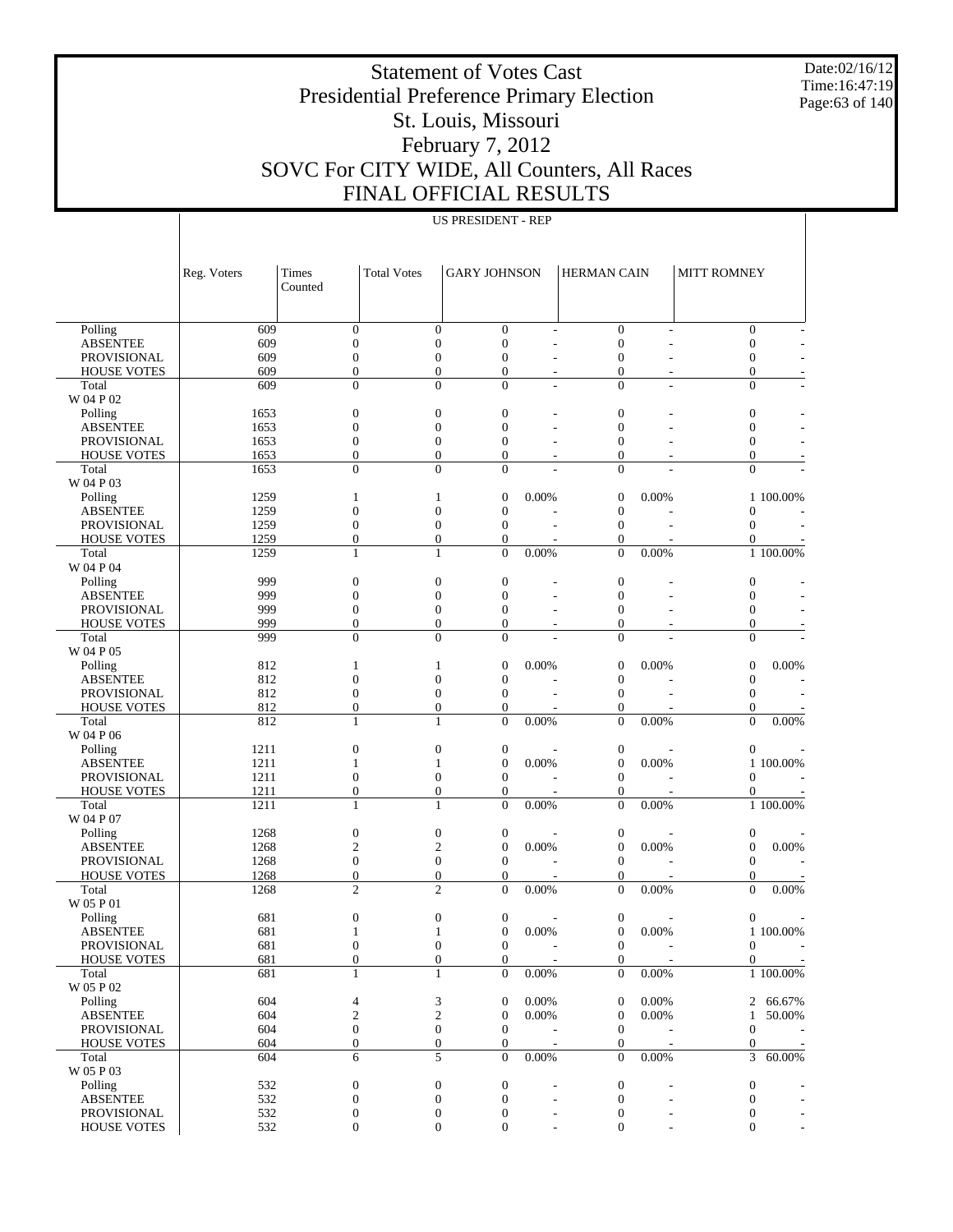Date:02/16/12 Time:16:47:19 Page:63 of 140

# Statement of Votes Cast Presidential Preference Primary Election St. Louis, Missouri February 7, 2012 SOVC For CITY WIDE, All Counters, All Races FINAL OFFICIAL RESULTS

|                                       | Reg. Voters  | Times                            | <b>Total Votes</b>               | <b>GARY JOHNSON</b>                  |                          | <b>HERMAN CAIN</b>                   |                | <b>MITT ROMNEY</b> |                                    |
|---------------------------------------|--------------|----------------------------------|----------------------------------|--------------------------------------|--------------------------|--------------------------------------|----------------|--------------------|------------------------------------|
|                                       |              | Counted                          |                                  |                                      |                          |                                      |                |                    |                                    |
| Polling                               | 609          | $\mathbf{0}$                     | $\boldsymbol{0}$                 | $\boldsymbol{0}$                     | $\overline{\phantom{a}}$ | $\boldsymbol{0}$                     | $\overline{a}$ | $\mathbf{0}$       |                                    |
| <b>ABSENTEE</b>                       | 609          | $\mathbf{0}$                     | $\boldsymbol{0}$                 | $\boldsymbol{0}$                     | L,                       | $\boldsymbol{0}$                     | ÷,             | $\boldsymbol{0}$   |                                    |
| <b>PROVISIONAL</b>                    | 609          | $\mathbf{0}$                     | $\boldsymbol{0}$                 | $\mathbf{0}$                         | $\overline{a}$           | $\boldsymbol{0}$                     | L,             | $\boldsymbol{0}$   | $\sim$                             |
| <b>HOUSE VOTES</b>                    | 609          | $\mathbf{0}$                     | $\boldsymbol{0}$                 | $\mathbf{0}$                         | $\overline{a}$           | $\boldsymbol{0}$                     | ÷              | $\boldsymbol{0}$   |                                    |
| Total                                 | 609          | $\boldsymbol{0}$                 | $\overline{0}$                   | $\overline{0}$                       | L,                       | $\overline{0}$                       | $\overline{a}$ | $\mathbf{0}$       |                                    |
| W 04 P 02                             |              |                                  |                                  |                                      |                          |                                      |                |                    |                                    |
| Polling                               | 1653         | $\mathbf{0}$                     | $\boldsymbol{0}$                 | $\boldsymbol{0}$                     |                          | $\boldsymbol{0}$                     |                | $\boldsymbol{0}$   |                                    |
| <b>ABSENTEE</b>                       | 1653         | $\mathbf{0}$                     | $\boldsymbol{0}$                 | $\boldsymbol{0}$                     | J.                       | $\boldsymbol{0}$                     |                | $\boldsymbol{0}$   |                                    |
| <b>PROVISIONAL</b>                    | 1653         | $\boldsymbol{0}$                 | $\boldsymbol{0}$                 | $\mathbf{0}$                         | ÷,                       | $\mathbf{0}$                         | ÷              | $\boldsymbol{0}$   |                                    |
| <b>HOUSE VOTES</b>                    | 1653         | $\mathbf{0}$                     | $\boldsymbol{0}$                 | $\mathbf{0}$                         |                          | $\boldsymbol{0}$                     |                | $\boldsymbol{0}$   |                                    |
| Total                                 | 1653         | $\overline{0}$                   | $\overline{0}$                   | $\Omega$                             |                          | $\mathbf{0}$                         |                | $\Omega$           |                                    |
| W 04 P 03                             |              |                                  |                                  |                                      |                          |                                      |                |                    |                                    |
| Polling                               | 1259<br>1259 | 1<br>$\mathbf{0}$                | 1<br>$\boldsymbol{0}$            | $\boldsymbol{0}$<br>$\boldsymbol{0}$ | 0.00%                    | $\boldsymbol{0}$<br>$\boldsymbol{0}$ | 0.00%          | $\overline{0}$     | 1 100.00%                          |
| <b>ABSENTEE</b><br><b>PROVISIONAL</b> | 1259         | $\mathbf{0}$                     | $\boldsymbol{0}$                 | $\boldsymbol{0}$                     | $\overline{a}$           | $\boldsymbol{0}$                     | J.             | $\boldsymbol{0}$   |                                    |
| <b>HOUSE VOTES</b>                    | 1259         | $\boldsymbol{0}$                 | $\boldsymbol{0}$                 | $\boldsymbol{0}$                     |                          | $\boldsymbol{0}$                     |                | $\boldsymbol{0}$   |                                    |
| Total                                 | 1259         | $\mathbf{1}$                     | $\mathbf{1}$                     | $\overline{0}$                       | 0.00%                    | $\mathbf{0}$                         | 0.00%          |                    | 1 100.00%                          |
| W 04 P 04                             |              |                                  |                                  |                                      |                          |                                      |                |                    |                                    |
| Polling                               | 999          | $\mathbf{0}$                     | $\boldsymbol{0}$                 | $\boldsymbol{0}$                     |                          | $\boldsymbol{0}$                     |                | $\mathbf{0}$       |                                    |
| <b>ABSENTEE</b>                       | 999          | $\mathbf{0}$                     | $\boldsymbol{0}$                 | $\overline{0}$                       | ÷.                       | $\boldsymbol{0}$                     | L.             | $\boldsymbol{0}$   |                                    |
| <b>PROVISIONAL</b>                    | 999          | $\boldsymbol{0}$                 | $\boldsymbol{0}$                 | $\mathbf{0}$                         | ÷,                       | $\mathbf{0}$                         | ÷,             | $\boldsymbol{0}$   |                                    |
| <b>HOUSE VOTES</b>                    | 999          | $\boldsymbol{0}$                 | $\boldsymbol{0}$                 | $\mathbf{0}$                         |                          | $\boldsymbol{0}$                     |                | $\mathbf{0}$       |                                    |
| Total                                 | 999          | $\overline{0}$                   | $\overline{0}$                   | $\Omega$                             |                          | $\mathbf{0}$                         |                | $\Omega$           |                                    |
| W 04 P 05                             |              |                                  |                                  |                                      |                          |                                      |                |                    |                                    |
| Polling                               | 812          | 1                                | 1                                | $\boldsymbol{0}$                     | 0.00%                    | $\boldsymbol{0}$                     | 0.00%          | $\mathbf{0}$       | $0.00\%$                           |
| <b>ABSENTEE</b>                       | 812          | $\mathbf{0}$                     | $\boldsymbol{0}$                 | $\boldsymbol{0}$                     |                          | $\boldsymbol{0}$                     |                | $\mathbf{0}$       |                                    |
| <b>PROVISIONAL</b>                    | 812          | $\boldsymbol{0}$                 | $\boldsymbol{0}$                 | $\boldsymbol{0}$                     |                          | $\boldsymbol{0}$                     | ÷,             | $\mathbf{0}$       |                                    |
| <b>HOUSE VOTES</b>                    | 812          | $\boldsymbol{0}$                 | $\boldsymbol{0}$                 | $\boldsymbol{0}$                     |                          | $\boldsymbol{0}$                     |                | $\mathbf{0}$       |                                    |
| Total                                 | 812          | $\mathbf{1}$                     | $\mathbf{1}$                     | $\overline{0}$                       | 0.00%                    | $\boldsymbol{0}$                     | 0.00%          | $\mathbf{0}$       | 0.00%                              |
| W 04 P 06                             |              |                                  |                                  |                                      |                          |                                      |                |                    |                                    |
| Polling                               | 1211         | $\mathbf{0}$                     | $\boldsymbol{0}$                 | $\boldsymbol{0}$                     |                          | $\boldsymbol{0}$                     |                | $\mathbf{0}$       |                                    |
| <b>ABSENTEE</b>                       | 1211         | 1                                | $\mathbf{1}$                     | $\boldsymbol{0}$                     | 0.00%                    | $\boldsymbol{0}$                     | 0.00%          |                    | 1 100.00%                          |
| <b>PROVISIONAL</b>                    | 1211         | $\boldsymbol{0}$                 | $\boldsymbol{0}$                 | $\boldsymbol{0}$                     |                          | $\boldsymbol{0}$                     |                | $\mathbf{0}$       |                                    |
| <b>HOUSE VOTES</b><br>Total           | 1211<br>1211 | $\boldsymbol{0}$<br>$\mathbf{1}$ | $\boldsymbol{0}$<br>$\mathbf{1}$ | $\boldsymbol{0}$<br>$\overline{0}$   | 0.00%                    | $\boldsymbol{0}$<br>$\overline{0}$   | 0.00%          | $\mathbf{0}$       | $1\overline{100.00\%}$             |
| W 04 P 07                             |              |                                  |                                  |                                      |                          |                                      |                |                    |                                    |
| Polling                               | 1268         | $\boldsymbol{0}$                 | $\boldsymbol{0}$                 | $\boldsymbol{0}$                     |                          | $\boldsymbol{0}$                     |                | $\mathbf{0}$       |                                    |
| <b>ABSENTEE</b>                       | 1268         | $\overline{c}$                   | $\overline{c}$                   | $\boldsymbol{0}$                     | 0.00%                    | $\boldsymbol{0}$                     | 0.00%          | $\boldsymbol{0}$   | 0.00%                              |
| <b>PROVISIONAL</b>                    | 1268         | $\boldsymbol{0}$                 | $\boldsymbol{0}$                 | $\boldsymbol{0}$                     |                          | $\boldsymbol{0}$                     |                | $\mathbf{0}$       |                                    |
| <b>HOUSE VOTES</b>                    | 1268         | $\boldsymbol{0}$                 | $\boldsymbol{0}$                 | $\boldsymbol{0}$                     |                          | $\boldsymbol{0}$                     |                | $\boldsymbol{0}$   |                                    |
| Total                                 | 1268         | $\overline{c}$                   | $\overline{c}$                   | $\overline{0}$                       | 0.00%                    | $\boldsymbol{0}$                     | 0.00%          | $\mathbf{0}$       | 0.00%                              |
| W 05 P 01                             |              |                                  |                                  |                                      |                          |                                      |                |                    |                                    |
| Polling                               | 681          | $\boldsymbol{0}$                 | $\boldsymbol{0}$                 | $\boldsymbol{0}$                     |                          | $\boldsymbol{0}$                     |                | $\boldsymbol{0}$   |                                    |
| <b>ABSENTEE</b>                       | 681          | 1                                | $\mathbf{1}$                     | $\boldsymbol{0}$                     | 0.00%                    | $\boldsymbol{0}$                     | 0.00%          |                    | 1 100.00%                          |
| <b>PROVISIONAL</b>                    | 681          | $\overline{0}$                   | $\overline{0}$                   | $\overline{0}$                       |                          | $\mathbf{0}$                         |                | $\overline{0}$     | $\overline{\phantom{a}}$           |
| <b>HOUSE VOTES</b>                    | 681          | $\boldsymbol{0}$                 | $\boldsymbol{0}$                 | 0                                    |                          | $\boldsymbol{0}$                     |                | $\mathbf{0}$       | $\overline{a}$                     |
| Total                                 | 681          | $\mathbf{1}$                     | $\mathbf{1}$                     | $\boldsymbol{0}$                     | 0.00%                    | $\boldsymbol{0}$                     | 0.00%          |                    | 1 100.00%                          |
| W 05 P 02                             |              |                                  |                                  |                                      |                          |                                      |                |                    |                                    |
| Polling                               | 604          | 4                                | 3                                | $\boldsymbol{0}$                     | 0.00%                    | $\boldsymbol{0}$                     | 0.00%          | $\overline{2}$     | 66.67%                             |
| <b>ABSENTEE</b>                       | 604          | $\mathfrak{2}$                   | $\overline{c}$                   | $\mathbf{0}$                         | 0.00%                    | $\boldsymbol{0}$                     | 0.00%          | $\mathbf{1}$       | 50.00%                             |
| PROVISIONAL                           | 604          | $\boldsymbol{0}$                 | $\boldsymbol{0}$                 | $\mathbf{0}$                         |                          | $\boldsymbol{0}$                     |                | $\mathbf{0}$       |                                    |
| <b>HOUSE VOTES</b>                    | 604<br>604   | $\boldsymbol{0}$<br>6            | $\boldsymbol{0}$<br>5            | $\mathbf{0}$<br>$\mathbf{0}$         |                          | $\boldsymbol{0}$<br>$\boldsymbol{0}$ |                | $\mathbf{0}$<br>3  | $\overline{\phantom{a}}$<br>60.00% |
| Total<br>W 05 P 03                    |              |                                  |                                  |                                      | 0.00%                    |                                      | 0.00%          |                    |                                    |
| Polling                               | 532          | $\boldsymbol{0}$                 | $\boldsymbol{0}$                 | $\boldsymbol{0}$                     |                          | $\boldsymbol{0}$                     |                | $\boldsymbol{0}$   |                                    |
| <b>ABSENTEE</b>                       | 532          | $\boldsymbol{0}$                 | $\boldsymbol{0}$                 | $\boldsymbol{0}$                     | $\overline{a}$           | $\boldsymbol{0}$                     |                | $\mathbf{0}$       | $\overline{\phantom{a}}$           |
| <b>PROVISIONAL</b>                    | 532          | $\boldsymbol{0}$                 | $\boldsymbol{0}$                 | $\boldsymbol{0}$                     |                          | $\boldsymbol{0}$                     |                | $\boldsymbol{0}$   |                                    |
| <b>HOUSE VOTES</b>                    | 532          | $\mathbf{0}$                     | $\boldsymbol{0}$                 | $\mathbf{0}$                         | L,                       | $\boldsymbol{0}$                     |                | $\mathbf{0}$       |                                    |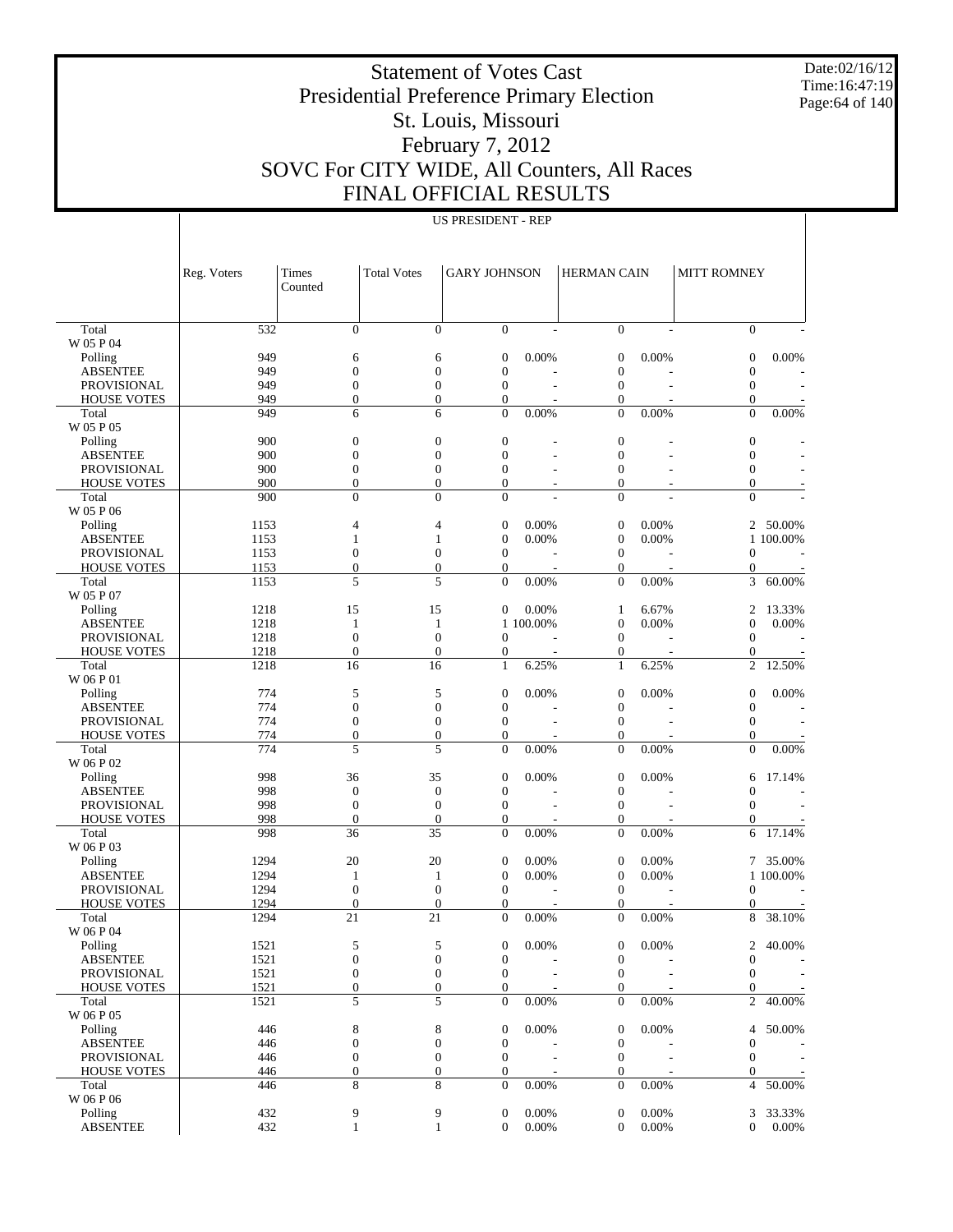Date:02/16/12 Time:16:47:19 Page:64 of 140

# Statement of Votes Cast Presidential Preference Primary Election St. Louis, Missouri February 7, 2012 SOVC For CITY WIDE, All Counters, All Races FINAL OFFICIAL RESULTS

|                                          | Reg. Voters | Times<br>Counted                 | <b>Total Votes</b>             | <b>GARY JOHNSON</b>              |                | <b>HERMAN CAIN</b>           |          | <b>MITT ROMNEY</b>               |           |
|------------------------------------------|-------------|----------------------------------|--------------------------------|----------------------------------|----------------|------------------------------|----------|----------------------------------|-----------|
|                                          |             |                                  |                                |                                  |                |                              |          |                                  |           |
| Total                                    | 532         | $\overline{0}$                   | $\Omega$                       | $\Omega$                         |                | $\Omega$                     |          | $\overline{0}$                   |           |
| W 05 P 04                                |             |                                  |                                |                                  |                |                              |          |                                  |           |
| Polling                                  | 949         | 6                                | 6                              | $\overline{0}$                   | 0.00%          | $\boldsymbol{0}$             | 0.00%    | $\boldsymbol{0}$                 | 0.00%     |
| <b>ABSENTEE</b>                          | 949         | $\overline{0}$                   | $\overline{0}$                 | $\overline{0}$                   |                | $\boldsymbol{0}$             |          | $\overline{0}$                   |           |
| <b>PROVISIONAL</b>                       | 949         | $\boldsymbol{0}$                 | $\overline{0}$                 | $\overline{0}$                   |                | $\mathbf{0}$                 | L,       | $\theta$                         |           |
| <b>HOUSE VOTES</b>                       | 949         | $\overline{0}$                   | $\mathbf{0}$                   | $\overline{0}$                   |                | $\mathbf{0}$                 |          | $\theta$                         |           |
| Total                                    | 949         | 6                                | 6                              | $\overline{0}$                   | 0.00%          | $\mathbf{0}$                 | 0.00%    | $\mathbf{0}$                     | 0.00%     |
| W 05 P 05                                | 900         | $\boldsymbol{0}$                 | $\overline{0}$                 | $\boldsymbol{0}$                 |                | $\overline{0}$               |          | $\boldsymbol{0}$                 |           |
| Polling<br><b>ABSENTEE</b>               | 900         | $\overline{0}$                   | $\theta$                       | $\overline{0}$                   | $\overline{a}$ | $\mathbf{0}$                 | Ĭ.       | $\overline{0}$                   |           |
| <b>PROVISIONAL</b>                       | 900         | $\overline{0}$                   | $\mathbf{0}$                   | $\mathbf{0}$                     |                | $\mathbf{0}$                 |          | $\boldsymbol{0}$                 |           |
| <b>HOUSE VOTES</b>                       | 900         | $\overline{0}$                   | $\mathbf{0}$                   | $\overline{0}$                   |                | $\mathbf{0}$                 |          | $\boldsymbol{0}$                 |           |
| Total                                    | 900         | $\theta$                         | $\Omega$                       | $\theta$                         |                | $\Omega$                     |          | $\theta$                         |           |
| W 05 P 06                                |             |                                  |                                |                                  |                |                              |          |                                  |           |
| Polling                                  | 1153        | 4                                | $\overline{4}$                 | $\overline{0}$                   | 0.00%          | $\mathbf{0}$                 | 0.00%    | 2                                | 50.00%    |
| <b>ABSENTEE</b>                          | 1153        | $\mathbf{1}$                     | $\mathbf{1}$                   | $\overline{0}$                   | 0.00%          | $\boldsymbol{0}$             | 0.00%    |                                  | 1 100.00% |
| PROVISIONAL                              | 1153        | $\boldsymbol{0}$                 | $\mathbf{0}$                   | $\mathbf{0}$                     |                | $\mathbf{0}$                 |          | $\overline{0}$                   |           |
| <b>HOUSE VOTES</b>                       | 1153        | $\overline{0}$                   | $\mathbf{0}$                   | $\overline{0}$                   |                | $\mathbf{0}$                 |          | $\boldsymbol{0}$                 |           |
| Total                                    | 1153        | 5                                | 5                              | $\overline{0}$                   | 0.00%          | $\mathbf{0}$                 | 0.00%    | 3                                | 60.00%    |
| W 05 P 07                                |             |                                  |                                |                                  |                |                              |          |                                  |           |
| Polling                                  | 1218        | 15                               | 15                             | $\mathbf{0}$                     | 0.00%          | $\mathbf{1}$                 | 6.67%    | $\overline{c}$                   | 13.33%    |
| <b>ABSENTEE</b>                          | 1218        | 1                                | 1                              |                                  | 1 100,00%      | $\boldsymbol{0}$             | 0.00%    | $\overline{0}$                   | 0.00%     |
| <b>PROVISIONAL</b>                       | 1218        | $\overline{0}$                   | $\overline{0}$                 | $\overline{0}$                   |                | $\mathbf{0}$                 |          | $\overline{0}$                   |           |
| <b>HOUSE VOTES</b>                       | 1218        | $\overline{0}$                   | $\overline{0}$                 | $\boldsymbol{0}$                 |                | $\mathbf{0}$                 |          | $\boldsymbol{0}$                 |           |
| Total                                    | 1218        | 16                               | 16                             | $\mathbf{1}$                     | 6.25%          | $\mathbf{1}$                 | 6.25%    | $\overline{c}$                   | 12.50%    |
| W 06 P 01                                |             |                                  |                                |                                  |                |                              |          |                                  |           |
| Polling                                  | 774         | 5                                | 5                              | $\overline{0}$                   | 0.00%          | $\boldsymbol{0}$             | 0.00%    | $\overline{0}$                   | 0.00%     |
| <b>ABSENTEE</b>                          | 774         | $\overline{0}$                   | $\overline{0}$                 | $\boldsymbol{0}$                 |                | $\boldsymbol{0}$             |          | $\overline{0}$                   |           |
| PROVISIONAL                              | 774         | $\boldsymbol{0}$                 | $\mathbf{0}$                   | $\mathbf{0}$                     |                | $\mathbf{0}$                 |          | $\mathbf{0}$                     |           |
| <b>HOUSE VOTES</b>                       | 774         | $\overline{0}$                   | $\mathbf{0}$                   | $\overline{0}$                   |                | $\mathbf{0}$                 |          | $\theta$                         |           |
| Total                                    | 774         | 5                                | 5                              | $\overline{0}$                   | 0.00%          | $\mathbf{0}$                 | 0.00%    | $\overline{0}$                   | 0.00%     |
| W 06 P 02                                |             |                                  |                                |                                  |                |                              |          |                                  |           |
| Polling                                  | 998         | 36                               | 35                             | $\boldsymbol{0}$                 | 0.00%          | $\boldsymbol{0}$             | 0.00%    | 6                                | 17.14%    |
| <b>ABSENTEE</b>                          | 998<br>998  | $\overline{0}$<br>$\overline{0}$ | $\overline{0}$<br>$\mathbf{0}$ | $\boldsymbol{0}$<br>$\mathbf{0}$ |                | $\mathbf{0}$<br>$\mathbf{0}$ |          | $\overline{0}$<br>$\overline{0}$ |           |
| <b>PROVISIONAL</b><br><b>HOUSE VOTES</b> | 998         | $\overline{0}$                   | $\overline{0}$                 | $\boldsymbol{0}$                 |                | $\mathbf{0}$                 |          |                                  |           |
| Total                                    | 998         | 36                               | 35                             | $\overline{0}$                   | 0.00%          | $\mathbf{0}$                 | 0.00%    | 0<br>6                           | 17.14%    |
| W 06 P 03                                |             |                                  |                                |                                  |                |                              |          |                                  |           |
| Polling                                  | 1294        | 20                               | 20                             | $\boldsymbol{0}$                 | 0.00%          | $\mathbf{0}$                 | 0.00%    | 7                                | 35.00%    |
| <b>ABSENTEE</b>                          | 1294        | 1                                | 1                              | $\boldsymbol{0}$                 | 0.00%          | $\boldsymbol{0}$             | 0.00%    |                                  | 1 100.00% |
| PROVISIONAL                              | 1294        | $\overline{0}$                   | $\mathbf{0}$                   | $\mathbf{0}$                     |                | $\mathbf{0}$                 |          | $\overline{0}$                   |           |
| <b>HOUSE VOTES</b>                       | 1294        | $\overline{0}$                   | $\overline{0}$                 | $\overline{0}$                   |                | $\boldsymbol{0}$             |          | $\boldsymbol{0}$                 |           |
| Total                                    | 1294        | 21                               | 21                             | $\overline{0}$                   | 0.00%          | $\mathbf{0}$                 | 0.00%    | 8                                | 38.10%    |
| W 06 P 04                                |             |                                  |                                |                                  |                |                              |          |                                  |           |
| Polling                                  | 1521        | 5                                | 5                              | $\mathbf{0}$                     | 0.00%          | $\overline{0}$               | 0.00%    |                                  | 2 40.00%  |
| <b>ABSENTEE</b>                          | 1521        | $\boldsymbol{0}$                 | $\boldsymbol{0}$               | $\boldsymbol{0}$                 |                | $\boldsymbol{0}$             |          | $\boldsymbol{0}$                 |           |
| PROVISIONAL                              | 1521        | $\boldsymbol{0}$                 | $\boldsymbol{0}$               | $\boldsymbol{0}$                 |                | $\mathbf{0}$                 |          | $\mathbf{0}$                     |           |
| <b>HOUSE VOTES</b>                       | 1521        | $\boldsymbol{0}$                 | $\boldsymbol{0}$               | $\mathbf{0}$                     |                | $\mathbf{0}$                 |          | $\mathbf{0}$                     |           |
| Total                                    | 1521        | 5                                | 5                              | $\boldsymbol{0}$                 | 0.00%          | $\mathbf{0}$                 | 0.00%    | $\overline{c}$                   | 40.00%    |
| W 06 P 05                                |             |                                  |                                |                                  |                |                              |          |                                  |           |
| Polling                                  | 446         | 8                                | 8                              | $\boldsymbol{0}$                 | 0.00%          | $\boldsymbol{0}$             | 0.00%    | 4                                | 50.00%    |
| <b>ABSENTEE</b>                          | 446         | $\boldsymbol{0}$                 | $\boldsymbol{0}$               | $\boldsymbol{0}$                 |                | $\boldsymbol{0}$             |          | $\boldsymbol{0}$                 |           |
| PROVISIONAL                              | 446         | $\boldsymbol{0}$                 | $\boldsymbol{0}$               | $\boldsymbol{0}$                 |                | $\boldsymbol{0}$             |          | $\boldsymbol{0}$                 |           |
| <b>HOUSE VOTES</b>                       | 446         | $\boldsymbol{0}$                 | $\boldsymbol{0}$               | $\boldsymbol{0}$                 |                | $\boldsymbol{0}$             |          | $\mathbf{0}$                     |           |
| Total                                    | 446         | 8                                | 8                              | $\boldsymbol{0}$                 | 0.00%          | $\theta$                     | $0.00\%$ | 4                                | 50.00%    |
| W 06 P 06                                |             |                                  |                                |                                  |                |                              |          |                                  |           |
| Polling                                  | 432         | 9                                | 9                              | $\boldsymbol{0}$                 | 0.00%          | $\mathbf{0}$                 | 0.00%    | 3                                | 33.33%    |
| <b>ABSENTEE</b>                          | 432         | $\mathbf{1}$                     | $\mathbf{1}$                   | $\mathbf{0}$                     | 0.00%          | $\mathbf{0}$                 | 0.00%    | $\mathbf{0}$                     | 0.00%     |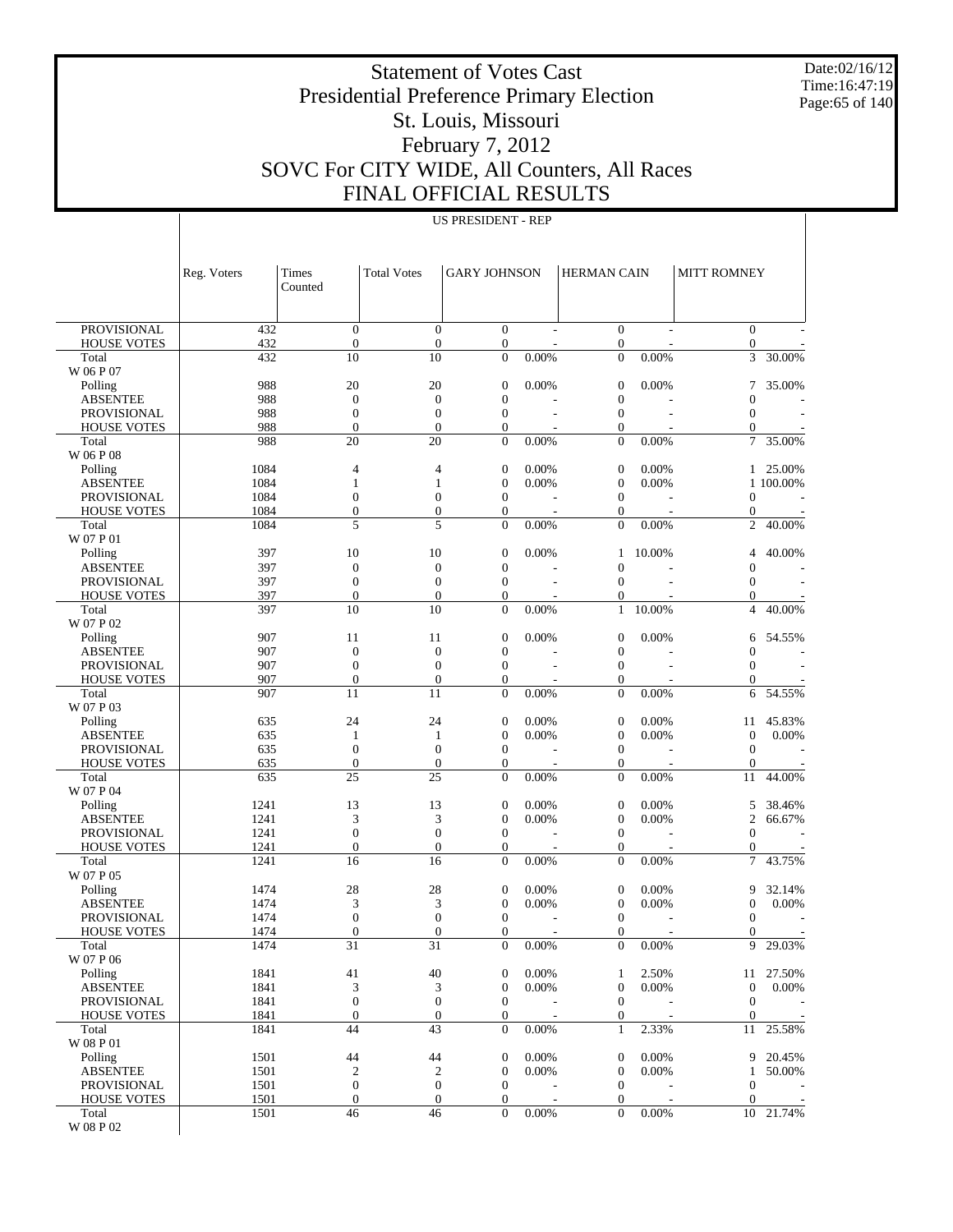Date:02/16/12 Time:16:47:19 Page:65 of 140

# Statement of Votes Cast Presidential Preference Primary Election St. Louis, Missouri February 7, 2012 SOVC For CITY WIDE, All Counters, All Races FINAL OFFICIAL RESULTS

| <b>FINAL OFFICIAL RESULTS</b> |  |
|-------------------------------|--|
| <b>US PRESIDENT - REP</b>     |  |

|                                          | Reg. Voters  | Times<br>Counted             | <b>Total Votes</b>           | <b>GARY JOHNSON</b>                  |                          | <b>HERMAN CAIN</b>                   |                          | <b>MITT ROMNEY</b>                   |           |
|------------------------------------------|--------------|------------------------------|------------------------------|--------------------------------------|--------------------------|--------------------------------------|--------------------------|--------------------------------------|-----------|
|                                          |              |                              |                              |                                      |                          |                                      |                          |                                      |           |
| <b>PROVISIONAL</b><br><b>HOUSE VOTES</b> | 432<br>432   | $\theta$<br>$\boldsymbol{0}$ | $\mathbf{0}$<br>$\mathbf{0}$ | $\boldsymbol{0}$<br>$\boldsymbol{0}$ | $\overline{\phantom{a}}$ | $\boldsymbol{0}$<br>0                | $\overline{\phantom{a}}$ | $\overline{0}$<br>$\boldsymbol{0}$   |           |
| Total                                    | 432          | 10                           | 10                           | $\overline{0}$                       | 0.00%                    | $\overline{0}$                       | 0.00%                    | 3                                    | 30.00%    |
| W 06 P 07                                |              |                              |                              |                                      |                          |                                      |                          |                                      |           |
| Polling                                  | 988          | 20                           | 20                           | $\boldsymbol{0}$                     | 0.00%                    | $\boldsymbol{0}$                     | 0.00%                    | 7                                    | 35.00%    |
| <b>ABSENTEE</b>                          | 988          | $\mathbf{0}$                 | $\mathbf{0}$                 | $\boldsymbol{0}$                     |                          | $\boldsymbol{0}$                     |                          | $\overline{0}$                       |           |
| <b>PROVISIONAL</b>                       | 988          | $\overline{0}$               | $\mathbf{0}$                 | $\boldsymbol{0}$                     |                          | $\boldsymbol{0}$                     | L,                       | $\boldsymbol{0}$                     |           |
| <b>HOUSE VOTES</b>                       | 988          | $\mathbf{0}$                 | $\mathbf{0}$                 | $\boldsymbol{0}$                     |                          | $\boldsymbol{0}$<br>$\overline{0}$   |                          | $\mathbf{0}$                         | 35.00%    |
| Total<br>W 06 P 08                       | 988          | 20                           | 20                           | $\overline{0}$                       | 0.00%                    |                                      | 0.00%                    | 7                                    |           |
| Polling                                  | 1084         | $\overline{4}$               | 4                            | $\boldsymbol{0}$                     | 0.00%                    | $\boldsymbol{0}$                     | 0.00%                    | $\mathbf{1}$                         | 25.00%    |
| <b>ABSENTEE</b>                          | 1084         | 1                            | $\mathbf{1}$                 | $\boldsymbol{0}$                     | 0.00%                    | $\boldsymbol{0}$                     | 0.00%                    |                                      | 1 100.00% |
| <b>PROVISIONAL</b>                       | 1084         | $\overline{0}$               | $\mathbf{0}$                 | $\boldsymbol{0}$                     |                          | $\boldsymbol{0}$                     |                          | $\boldsymbol{0}$                     |           |
| <b>HOUSE VOTES</b>                       | 1084         | $\boldsymbol{0}$             | $\mathbf{0}$                 | $\boldsymbol{0}$                     |                          | $\boldsymbol{0}$                     |                          | $\mathbf{0}$                         |           |
| Total                                    | 1084         | 5                            | 5                            | $\overline{0}$                       | 0.00%                    | $\overline{0}$                       | 0.00%                    | $\overline{2}$                       | 40.00%    |
| W 07 P 01                                |              |                              |                              |                                      |                          |                                      |                          |                                      |           |
| Polling<br><b>ABSENTEE</b>               | 397<br>397   | 10<br>$\mathbf{0}$           | 10<br>$\mathbf{0}$           | $\boldsymbol{0}$<br>$\boldsymbol{0}$ | 0.00%                    | $\mathbf{1}$<br>$\overline{0}$       | 10.00%                   | 4<br>$\overline{0}$                  | 40.00%    |
| <b>PROVISIONAL</b>                       | 397          | $\theta$                     | $\mathbf{0}$                 | $\boldsymbol{0}$                     |                          | $\mathbf{0}$                         |                          | $\boldsymbol{0}$                     |           |
| <b>HOUSE VOTES</b>                       | 397          | $\boldsymbol{0}$             | $\mathbf{0}$                 | $\boldsymbol{0}$                     |                          | $\boldsymbol{0}$                     |                          | $\mathbf{0}$                         |           |
| Total                                    | 397          | 10                           | 10                           | $\overline{0}$                       | 0.00%                    | $\mathbf{1}$                         | 10.00%                   | $\overline{4}$                       | 40.00%    |
| W 07 P 02                                |              |                              |                              |                                      |                          |                                      |                          |                                      |           |
| Polling                                  | 907          | 11                           | 11                           | $\boldsymbol{0}$                     | 0.00%                    | $\boldsymbol{0}$                     | 0.00%                    | 6                                    | 54.55%    |
| <b>ABSENTEE</b>                          | 907          | $\mathbf{0}$                 | $\mathbf{0}$                 | $\boldsymbol{0}$                     |                          | $\boldsymbol{0}$                     |                          | $\overline{0}$                       |           |
| <b>PROVISIONAL</b><br><b>HOUSE VOTES</b> | 907<br>907   | $\theta$<br>$\mathbf{0}$     | $\mathbf{0}$<br>$\mathbf{0}$ | $\boldsymbol{0}$<br>$\boldsymbol{0}$ | $\overline{\phantom{a}}$ | $\boldsymbol{0}$<br>$\boldsymbol{0}$ | $\overline{\phantom{a}}$ | $\mathbf{0}$<br>$\boldsymbol{0}$     |           |
| Total                                    | 907          | 11                           | 11                           | $\overline{0}$                       | 0.00%                    | $\overline{0}$                       | 0.00%                    | 6                                    | 54.55%    |
| W 07 P 03                                |              |                              |                              |                                      |                          |                                      |                          |                                      |           |
| Polling                                  | 635          | 24                           | 24                           | $\boldsymbol{0}$                     | 0.00%                    | $\boldsymbol{0}$                     | 0.00%                    | 11                                   | 45.83%    |
| <b>ABSENTEE</b>                          | 635          | 1                            | $\mathbf{1}$                 | $\boldsymbol{0}$                     | 0.00%                    | $\boldsymbol{0}$                     | 0.00%                    | $\overline{0}$                       | 0.00%     |
| <b>PROVISIONAL</b>                       | 635          | $\overline{0}$               | $\mathbf{0}$                 | $\boldsymbol{0}$                     | Ĭ.                       | $\boldsymbol{0}$                     | Ĭ.                       | $\boldsymbol{0}$                     | J.        |
| <b>HOUSE VOTES</b>                       | 635          | $\boldsymbol{0}$             | $\boldsymbol{0}$             | $\boldsymbol{0}$                     |                          | $\boldsymbol{0}$                     |                          | $\boldsymbol{0}$                     |           |
| Total<br>W 07 P 04                       | 635          | 25                           | 25                           | $\overline{0}$                       | 0.00%                    | $\overline{0}$                       | 0.00%                    | 11                                   | 44.00%    |
| Polling                                  | 1241         | 13                           | 13                           | $\boldsymbol{0}$                     | 0.00%                    | $\boldsymbol{0}$                     | 0.00%                    | 5                                    | 38.46%    |
| <b>ABSENTEE</b>                          | 1241         | 3                            | 3                            | $\boldsymbol{0}$                     | 0.00%                    | $\boldsymbol{0}$                     | 0.00%                    | $\overline{2}$                       | 66.67%    |
| <b>PROVISIONAL</b>                       | 1241         | $\overline{0}$               | $\mathbf{0}$                 | $\boldsymbol{0}$                     |                          | $\boldsymbol{0}$                     | Ĭ.                       | $\mathbf{0}$                         |           |
| <b>HOUSE VOTES</b>                       | 1241         | $\mathbf{0}$                 | $\mathbf{0}$                 | $\boldsymbol{0}$                     |                          | $\boldsymbol{0}$                     |                          | $\mathbf{0}$                         |           |
| Total                                    | 1241         | 16                           | 16                           | $\overline{0}$                       | 0.00%                    | $\overline{0}$                       | 0.00%                    | 7                                    | 43.75%    |
| W 07 P 05                                |              |                              |                              |                                      |                          |                                      |                          |                                      |           |
| Polling                                  | 1474         | 28                           | 28                           | $\boldsymbol{0}$                     | 0.00%                    | 0                                    | 0.00%                    | 9                                    | 32.14%    |
| <b>ABSENTEE</b><br><b>PROVISIONAL</b>    | 1474<br>1474 | 3<br>$\theta$                | 3<br>$\mathbf{0}$            | $\boldsymbol{0}$<br>$\boldsymbol{0}$ | 0.00%                    | $\boldsymbol{0}$<br>$\boldsymbol{0}$ | 0.00%<br>$\overline{a}$  | $\boldsymbol{0}$<br>$\boldsymbol{0}$ | 0.00%     |
| <b>HOUSE VOTES</b>                       | 1474         | $\overline{0}$               | $\mathbf{0}$                 | $\overline{0}$                       |                          | $\boldsymbol{0}$                     |                          | $\mathbf{0}$                         |           |
| Total                                    | 1474         | 31                           | 31                           | $\boldsymbol{0}$                     | 0.00%                    | 0                                    | 0.00%                    | 9                                    | 29.03%    |
| W 07 P 06                                |              |                              |                              |                                      |                          |                                      |                          |                                      |           |
| Polling                                  | 1841         | 41                           | 40                           | $\boldsymbol{0}$                     | 0.00%                    | $\mathbf{1}$                         | 2.50%                    | 11                                   | 27.50%    |
| <b>ABSENTEE</b>                          | 1841         | 3                            | 3                            | $\boldsymbol{0}$                     | 0.00%                    | $\boldsymbol{0}$                     | 0.00%                    | $\boldsymbol{0}$                     | 0.00%     |
| <b>PROVISIONAL</b>                       | 1841         | $\boldsymbol{0}$             | $\boldsymbol{0}$             | $\boldsymbol{0}$                     |                          | $\boldsymbol{0}$                     |                          | $\mathbf{0}$                         |           |
| <b>HOUSE VOTES</b><br>Total              | 1841<br>1841 | $\boldsymbol{0}$<br>44       | $\boldsymbol{0}$<br>43       | $\boldsymbol{0}$<br>$\boldsymbol{0}$ | 0.00%                    | $\boldsymbol{0}$<br>$\mathbf{1}$     | 2.33%                    | $\boldsymbol{0}$<br>11               | 25.58%    |
| W 08 P 01                                |              |                              |                              |                                      |                          |                                      |                          |                                      |           |
| Polling                                  | 1501         | 44                           | 44                           | $\boldsymbol{0}$                     | 0.00%                    | $\boldsymbol{0}$                     | 0.00%                    | 9                                    | 20.45%    |
| <b>ABSENTEE</b>                          | 1501         | $\boldsymbol{2}$             | $\mathbf{2}$                 | $\boldsymbol{0}$                     | 0.00%                    | $\boldsymbol{0}$                     | 0.00%                    | $\mathbf{1}$                         | 50.00%    |
| <b>PROVISIONAL</b>                       | 1501         | $\boldsymbol{0}$             | $\boldsymbol{0}$             | $\boldsymbol{0}$                     |                          | $\boldsymbol{0}$                     |                          | $\boldsymbol{0}$                     |           |
| <b>HOUSE VOTES</b>                       | 1501         | $\boldsymbol{0}$             | $\boldsymbol{0}$             | $\boldsymbol{0}$                     |                          | $\boldsymbol{0}$                     |                          | $\mathbf{0}$                         |           |
| Total                                    | 1501         | 46                           | 46                           | $\boldsymbol{0}$                     | 0.00%                    | $\boldsymbol{0}$                     | 0.00%                    | 10                                   | 21.74%    |
| W 08 P 02                                |              |                              |                              |                                      |                          |                                      |                          |                                      |           |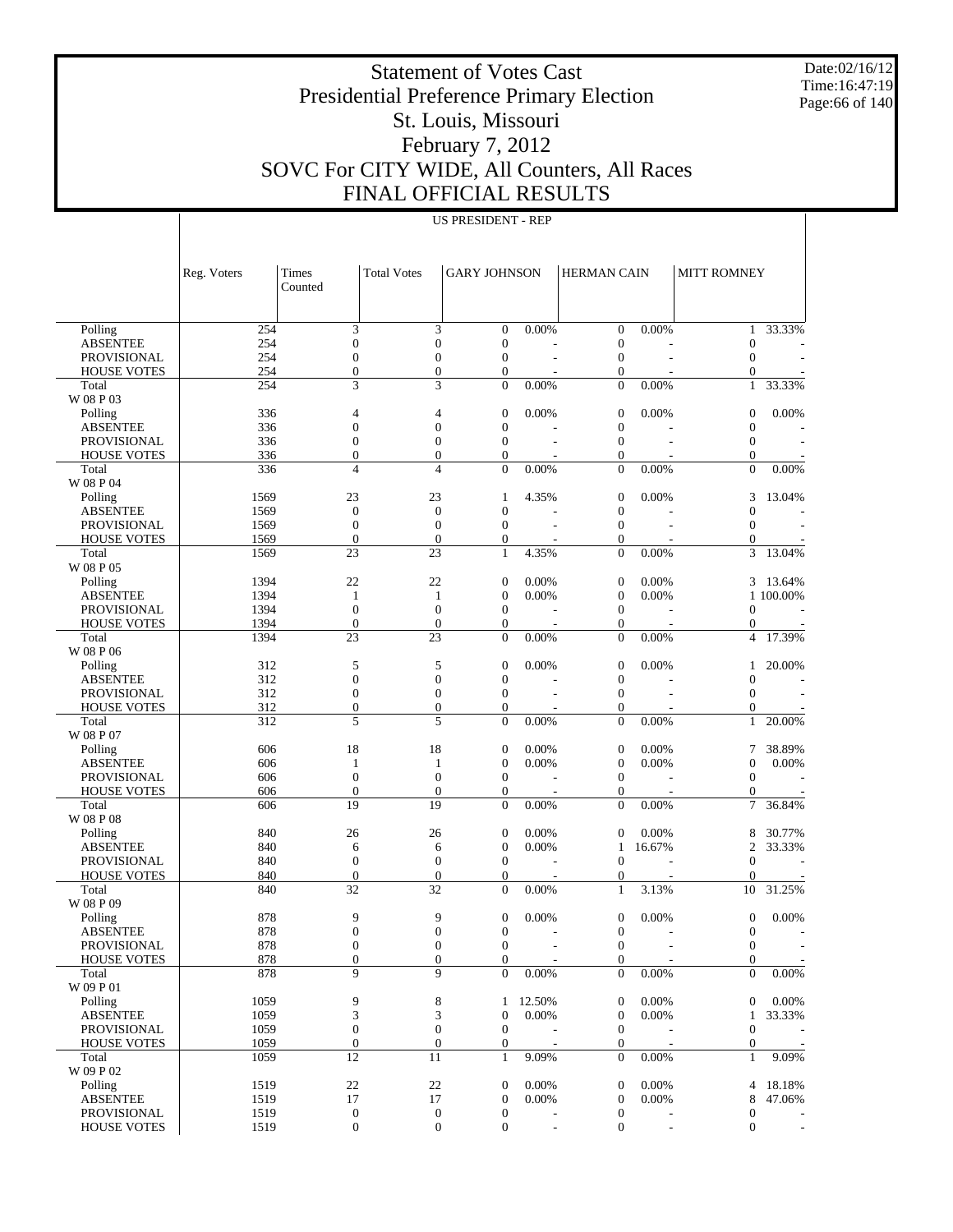Date:02/16/12 Time:16:47:19 Page:66 of 140

# Statement of Votes Cast Presidential Preference Primary Election St. Louis, Missouri February 7, 2012 SOVC For CITY WIDE, All Counters, All Races FINAL OFFICIAL RESULTS

|                                   | Reg. Voters  | Times<br>Counted                     | <b>Total Votes</b>                   | <b>GARY JOHNSON</b>                  |               | <b>HERMAN CAIN</b>                   |                          | <b>MITT ROMNEY</b>                 |                          |
|-----------------------------------|--------------|--------------------------------------|--------------------------------------|--------------------------------------|---------------|--------------------------------------|--------------------------|------------------------------------|--------------------------|
|                                   |              |                                      |                                      |                                      |               |                                      |                          |                                    |                          |
| Polling                           | 254          | 3                                    | 3                                    | $\boldsymbol{0}$                     | 0.00%         | $\boldsymbol{0}$                     | 0.00%                    | 1                                  | 33.33%                   |
| <b>ABSENTEE</b>                   | 254          | $\boldsymbol{0}$                     | $\boldsymbol{0}$                     | $\overline{0}$                       |               | $\boldsymbol{0}$                     |                          | $\overline{0}$                     |                          |
| <b>PROVISIONAL</b>                | 254          | $\mathbf{0}$                         | $\boldsymbol{0}$                     | $\boldsymbol{0}$                     |               | $\boldsymbol{0}$                     | L,                       | $\mathbf{0}$                       |                          |
| <b>HOUSE VOTES</b>                | 254          | $\boldsymbol{0}$                     | $\boldsymbol{0}$                     | $\boldsymbol{0}$                     |               | $\boldsymbol{0}$                     | L,                       | $\mathbf{0}$                       |                          |
| Total                             | 254          | 3                                    | 3                                    | $\overline{0}$                       | 0.00%         | $\boldsymbol{0}$                     | $0.00\%$                 | $\mathbf{1}$                       | 33.33%                   |
| W 08 P 03                         |              |                                      |                                      |                                      |               |                                      |                          |                                    |                          |
| Polling<br><b>ABSENTEE</b>        | 336<br>336   | $\overline{4}$<br>$\mathbf{0}$       | 4<br>$\mathbf{0}$                    | $\boldsymbol{0}$<br>$\boldsymbol{0}$ | 0.00%         | $\boldsymbol{0}$<br>$\boldsymbol{0}$ | 0.00%                    | $\boldsymbol{0}$<br>$\overline{0}$ | 0.00%                    |
| <b>PROVISIONAL</b>                | 336          | $\boldsymbol{0}$                     | $\boldsymbol{0}$                     | $\boldsymbol{0}$                     |               | $\boldsymbol{0}$                     |                          | $\boldsymbol{0}$                   |                          |
| <b>HOUSE VOTES</b>                | 336          | $\boldsymbol{0}$                     | $\boldsymbol{0}$                     | $\boldsymbol{0}$                     |               | $\boldsymbol{0}$                     |                          | $\boldsymbol{0}$                   |                          |
| Total                             | 336          | $\overline{4}$                       | $\overline{4}$                       | $\overline{0}$                       | 0.00%         | $\overline{0}$                       | 0.00%                    | $\overline{0}$                     | 0.00%                    |
| W 08 P 04                         |              |                                      |                                      |                                      |               |                                      |                          |                                    |                          |
| Polling                           | 1569         | 23                                   | 23                                   | 1                                    | 4.35%         | $\boldsymbol{0}$                     | 0.00%                    | 3                                  | 13.04%                   |
| <b>ABSENTEE</b>                   | 1569         | $\mathbf{0}$                         | $\boldsymbol{0}$                     | $\boldsymbol{0}$                     |               | $\boldsymbol{0}$                     |                          | $\overline{0}$                     |                          |
| <b>PROVISIONAL</b>                | 1569         | $\mathbf{0}$                         | $\boldsymbol{0}$                     | $\mathbf{0}$                         |               | $\boldsymbol{0}$                     |                          | $\mathbf{0}$                       |                          |
| <b>HOUSE VOTES</b>                | 1569         | $\mathbf{0}$                         | $\boldsymbol{0}$                     | $\boldsymbol{0}$                     |               | $\boldsymbol{0}$                     |                          | $\boldsymbol{0}$                   |                          |
| Total                             | 1569         | 23                                   | 23                                   | $\mathbf{1}$                         | 4.35%         | $\boldsymbol{0}$                     | 0.00%                    | 3                                  | 13.04%                   |
| W 08 P 05                         |              |                                      |                                      |                                      |               |                                      |                          |                                    |                          |
| Polling                           | 1394         | 22                                   | 22                                   | $\boldsymbol{0}$                     | 0.00%         | $\boldsymbol{0}$                     | 0.00%                    | 3                                  | 13.64%                   |
| <b>ABSENTEE</b>                   | 1394         | 1                                    | $\mathbf{1}$                         | $\boldsymbol{0}$                     | 0.00%         | $\boldsymbol{0}$                     | 0.00%                    |                                    | 1 100.00%                |
| <b>PROVISIONAL</b>                | 1394         | $\boldsymbol{0}$                     | $\boldsymbol{0}$                     | $\boldsymbol{0}$                     |               | $\boldsymbol{0}$                     |                          | $\boldsymbol{0}$                   | ÷,                       |
| <b>HOUSE VOTES</b>                | 1394         | $\mathbf{0}$                         | $\boldsymbol{0}$                     | $\boldsymbol{0}$                     |               | $\boldsymbol{0}$                     |                          | $\boldsymbol{0}$                   | $\overline{\phantom{a}}$ |
| Total                             | 1394         | 23                                   | 23                                   | $\overline{0}$                       | 0.00%         | $\overline{0}$                       | 0.00%                    | $\overline{4}$                     | 17.39%                   |
| W 08 P 06                         | 312          |                                      |                                      | $\boldsymbol{0}$                     | 0.00%         |                                      | 0.00%                    |                                    | 20.00%                   |
| Polling<br><b>ABSENTEE</b>        | 312          | 5<br>$\mathbf{0}$                    | 5<br>$\boldsymbol{0}$                | $\boldsymbol{0}$                     |               | $\boldsymbol{0}$<br>$\boldsymbol{0}$ |                          | 1<br>$\overline{0}$                |                          |
| <b>PROVISIONAL</b>                | 312          | $\boldsymbol{0}$                     | $\boldsymbol{0}$                     | $\boldsymbol{0}$                     |               | $\boldsymbol{0}$                     |                          | $\mathbf{0}$                       |                          |
| <b>HOUSE VOTES</b>                | 312          | $\boldsymbol{0}$                     | $\boldsymbol{0}$                     | $\boldsymbol{0}$                     |               | $\boldsymbol{0}$                     |                          | $\boldsymbol{0}$                   |                          |
| Total                             | 312          | 5                                    | 5                                    | $\overline{0}$                       | 0.00%         | $\boldsymbol{0}$                     | 0.00%                    | $\mathbf{1}$                       | 20.00%                   |
| W 08 P 07                         |              |                                      |                                      |                                      |               |                                      |                          |                                    |                          |
| Polling                           | 606          | 18                                   | 18                                   | $\boldsymbol{0}$                     | 0.00%         | $\boldsymbol{0}$                     | 0.00%                    | 7                                  | 38.89%                   |
| <b>ABSENTEE</b>                   | 606          | 1                                    | $\mathbf{1}$                         | $\boldsymbol{0}$                     | 0.00%         | $\boldsymbol{0}$                     | 0.00%                    | $\boldsymbol{0}$                   | 0.00%                    |
| <b>PROVISIONAL</b>                | 606          | $\boldsymbol{0}$                     | $\boldsymbol{0}$                     | $\boldsymbol{0}$                     |               | $\boldsymbol{0}$                     |                          | $\boldsymbol{0}$                   |                          |
| <b>HOUSE VOTES</b>                | 606          | $\mathbf{0}$                         | $\boldsymbol{0}$                     | $\boldsymbol{0}$                     |               | $\boldsymbol{0}$                     |                          | $\boldsymbol{0}$                   |                          |
| Total                             | 606          | 19                                   | 19                                   | $\overline{0}$                       | 0.00%         | $\overline{0}$                       | 0.00%                    | 7                                  | 36.84%                   |
| W 08 P 08                         |              |                                      |                                      |                                      |               |                                      |                          |                                    |                          |
| Polling                           | 840          | 26                                   | 26                                   | $\boldsymbol{0}$                     | 0.00%         | $\boldsymbol{0}$                     | 0.00%                    | 8                                  | 30.77%                   |
| <b>ABSENTEE</b>                   | 840          | 6                                    | 6                                    | $\boldsymbol{0}$                     | 0.00%         | $\mathbf{1}$                         | 16.67%                   | $\overline{2}$                     | 33.33%                   |
| <b>PROVISIONAL</b>                | 840          | $\mathbf{0}$                         | $\boldsymbol{0}$                     | $\boldsymbol{0}$                     |               | $\boldsymbol{0}$                     |                          | $\mathbf{0}$                       |                          |
| <b>HOUSE VOTES</b>                | 840          | $\mathbf{0}$<br>32                   | $\boldsymbol{0}$<br>32               | $\boldsymbol{0}$<br>$\mathbf{0}$     |               | $\boldsymbol{0}$                     |                          | $\boldsymbol{0}$                   |                          |
| Total<br>W 08 P 09                | 840          |                                      |                                      |                                      | 0.00%         | $\mathbf{1}$                         | 3.13%                    | 10                                 | 31.25%                   |
| Polling                           | 878          | 9                                    | 9                                    | $\boldsymbol{0}$                     | 0.00%         | $\boldsymbol{0}$                     | 0.00%                    | $\boldsymbol{0}$                   | 0.00%                    |
| <b>ABSENTEE</b>                   | 878          | $\boldsymbol{0}$                     | $\boldsymbol{0}$                     | $\boldsymbol{0}$                     |               | $\boldsymbol{0}$                     |                          | $\overline{0}$                     | Ĭ.                       |
| <b>PROVISIONAL</b>                | 878          | $\Omega$                             | $\theta$                             | $\Omega$                             |               | $\mathbf{0}$                         |                          | $\mathbf{0}$                       |                          |
| <b>HOUSE VOTES</b>                | 878          | $\boldsymbol{0}$                     | $\boldsymbol{0}$                     | 0                                    |               | $\boldsymbol{0}$                     |                          | 0                                  | $\overline{\phantom{a}}$ |
| Total                             | 878          | 9                                    | 9                                    | $\overline{0}$                       | 0.00%         | $\boldsymbol{0}$                     | $0.00\%$                 | $\overline{0}$                     | $0.00\%$                 |
| W 09 P 01                         |              |                                      |                                      |                                      |               |                                      |                          |                                    |                          |
| Polling                           | 1059         | 9                                    | $\,$ 8 $\,$                          | $\mathbf{1}$                         | 12.50%        | $\boldsymbol{0}$                     | 0.00%                    | $\mathbf{0}$                       | 0.00%                    |
| <b>ABSENTEE</b>                   | 1059         | 3                                    | 3                                    | $\boldsymbol{0}$                     | 0.00%         | $\boldsymbol{0}$                     | 0.00%                    | 1                                  | 33.33%                   |
| PROVISIONAL                       | 1059         | $\boldsymbol{0}$                     | $\boldsymbol{0}$                     | $\mathbf{0}$                         |               | $\boldsymbol{0}$                     |                          | $\mathbf{0}$                       |                          |
| <b>HOUSE VOTES</b>                | 1059         | $\boldsymbol{0}$                     | $\boldsymbol{0}$                     | $\mathbf{0}$                         | $\sim$        | $\boldsymbol{0}$                     | $\overline{\phantom{a}}$ | $\boldsymbol{0}$                   | $\overline{\phantom{a}}$ |
| Total                             | 1059         | 12                                   | 11                                   | $\mathbf{1}$                         | 9.09%         | $\boldsymbol{0}$                     | 0.00%                    | $\mathbf{1}$                       | 9.09%                    |
| W 09 P 02                         |              |                                      |                                      |                                      |               |                                      |                          |                                    |                          |
| Polling                           | 1519         | 22                                   | 22                                   | $\boldsymbol{0}$                     | 0.00%         | $\boldsymbol{0}$                     | 0.00%                    | 4                                  | 18.18%                   |
| <b>ABSENTEE</b>                   | 1519         | 17                                   | 17                                   | $\mathbf{0}$                         | 0.00%         | $\boldsymbol{0}$                     | 0.00%                    | 8                                  | 47.06%                   |
| PROVISIONAL<br><b>HOUSE VOTES</b> | 1519<br>1519 | $\boldsymbol{0}$<br>$\boldsymbol{0}$ | $\boldsymbol{0}$<br>$\boldsymbol{0}$ | $\boldsymbol{0}$<br>$\mathbf{0}$     | $\frac{1}{2}$ | $\boldsymbol{0}$<br>$\boldsymbol{0}$ | L,                       | $\boldsymbol{0}$<br>$\mathbf{0}$   | $\overline{\phantom{a}}$ |
|                                   |              |                                      |                                      |                                      |               |                                      |                          |                                    |                          |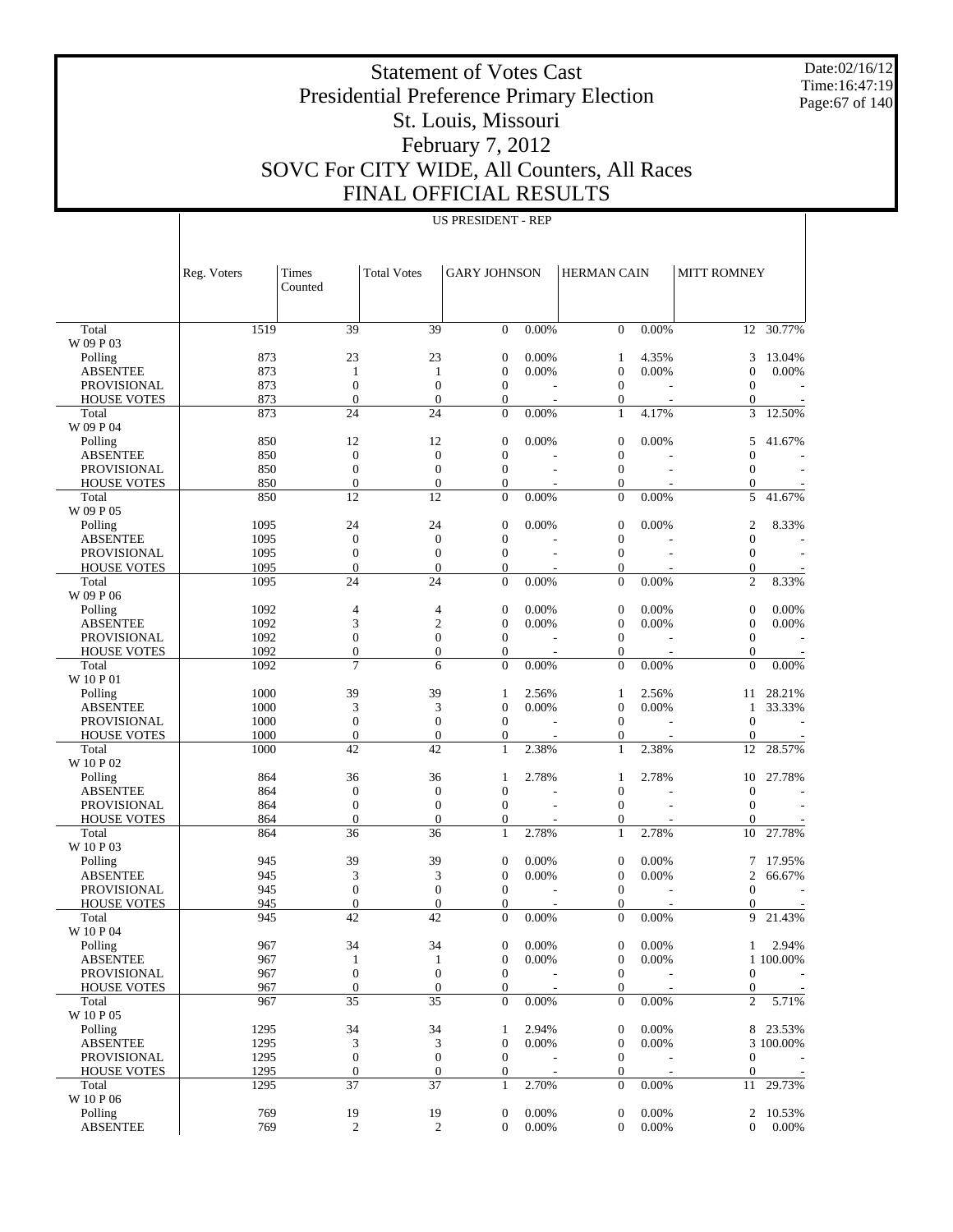Date:02/16/12 Time:16:47:19 Page:67 of 140

 $\overline{\phantom{a}}$ 

# Statement of Votes Cast Presidential Preference Primary Election St. Louis, Missouri February 7, 2012 SOVC For CITY WIDE, All Counters, All Races FINAL OFFICIAL RESULTS

|                                   | Reg. Voters | Times                                | <b>Total Votes</b>                   | <b>GARY JOHNSON</b>                  |                          | <b>HERMAN CAIN</b>                   |                | <b>MITT ROMNEY</b>                   |                 |
|-----------------------------------|-------------|--------------------------------------|--------------------------------------|--------------------------------------|--------------------------|--------------------------------------|----------------|--------------------------------------|-----------------|
|                                   |             | Counted                              |                                      |                                      |                          |                                      |                |                                      |                 |
|                                   |             |                                      |                                      |                                      |                          |                                      |                |                                      |                 |
| Total                             | 1519        | 39                                   | 39                                   | $\overline{0}$                       | $0.00\%$                 | $\mathbf{0}$                         | 0.00%          |                                      | 12 30.77%       |
| W 09 P 03                         |             |                                      |                                      |                                      |                          |                                      |                |                                      |                 |
| Polling<br><b>ABSENTEE</b>        | 873<br>873  | 23<br>$\mathbf{1}$                   | 23<br>$\mathbf{1}$                   | $\boldsymbol{0}$<br>$\overline{0}$   | 0.00%<br>0.00%           | $\mathbf{1}$<br>$\mathbf{0}$         | 4.35%<br>0.00% | 3<br>$\overline{0}$                  | 13.04%<br>0.00% |
| <b>PROVISIONAL</b>                | 873         | $\boldsymbol{0}$                     | $\boldsymbol{0}$                     | $\boldsymbol{0}$                     |                          | $\mathbf{0}$                         |                | $\overline{0}$                       |                 |
| <b>HOUSE VOTES</b>                | 873         | $\overline{0}$                       | $\mathbf{0}$                         | $\boldsymbol{0}$                     | $\overline{\phantom{a}}$ | $\boldsymbol{0}$                     |                | $\boldsymbol{0}$                     |                 |
| Total                             | 873         | 24                                   | 24                                   | $\mathbf{0}$                         | 0.00%                    | $\mathbf{1}$                         | 4.17%          | 3                                    | 12.50%          |
| W 09 P 04                         |             |                                      |                                      |                                      |                          |                                      |                |                                      |                 |
| Polling                           | 850         | 12                                   | 12                                   | $\mathbf{0}$                         | 0.00%                    | $\mathbf{0}$                         | 0.00%          | 5                                    | 41.67%          |
| <b>ABSENTEE</b>                   | 850         | $\boldsymbol{0}$                     | $\boldsymbol{0}$                     | $\mathbf{0}$                         |                          | $\boldsymbol{0}$                     |                | $\overline{0}$                       |                 |
| <b>PROVISIONAL</b>                | 850         | $\boldsymbol{0}$                     | $\boldsymbol{0}$                     | $\boldsymbol{0}$                     | L,                       | $\boldsymbol{0}$                     | ÷,             | $\overline{0}$                       |                 |
| <b>HOUSE VOTES</b>                | 850         | $\boldsymbol{0}$                     | $\boldsymbol{0}$                     | $\boldsymbol{0}$                     | L,                       | $\boldsymbol{0}$                     |                | $\boldsymbol{0}$                     |                 |
| Total                             | 850         | 12                                   | 12                                   | $\boldsymbol{0}$                     | 0.00%                    | $\boldsymbol{0}$                     | 0.00%          | 5                                    | 41.67%          |
| W 09 P 05<br>Polling              | 1095        | 24                                   | 24                                   | $\boldsymbol{0}$                     | 0.00%                    | $\mathbf{0}$                         | 0.00%          | $\overline{c}$                       | 8.33%           |
| <b>ABSENTEE</b>                   | 1095        | $\boldsymbol{0}$                     | $\boldsymbol{0}$                     | $\mathbf{0}$                         |                          | $\boldsymbol{0}$                     |                | $\overline{0}$                       |                 |
| <b>PROVISIONAL</b>                | 1095        | $\boldsymbol{0}$                     | $\boldsymbol{0}$                     | $\boldsymbol{0}$                     | J.                       | $\boldsymbol{0}$                     | ÷              | $\boldsymbol{0}$                     |                 |
| <b>HOUSE VOTES</b>                | 1095        | $\overline{0}$                       | $\boldsymbol{0}$                     | $\boldsymbol{0}$                     |                          | $\boldsymbol{0}$                     |                | $\boldsymbol{0}$                     |                 |
| Total                             | 1095        | 24                                   | 24                                   | $\mathbf{0}$                         | 0.00%                    | $\overline{0}$                       | 0.00%          | $\overline{2}$                       | 8.33%           |
| W 09 P 06                         |             |                                      |                                      |                                      |                          |                                      |                |                                      |                 |
| Polling                           | 1092        | $\overline{4}$                       | $\overline{\mathcal{L}}$             | $\boldsymbol{0}$                     | 0.00%                    | $\boldsymbol{0}$                     | 0.00%          | $\boldsymbol{0}$                     | 0.00%           |
| <b>ABSENTEE</b>                   | 1092        | 3                                    | $\overline{c}$                       | $\mathbf{0}$                         | 0.00%                    | $\boldsymbol{0}$                     | 0.00%          | $\overline{0}$                       | 0.00%           |
| <b>PROVISIONAL</b>                | 1092        | $\boldsymbol{0}$                     | $\boldsymbol{0}$                     | $\boldsymbol{0}$                     |                          | $\mathbf{0}$                         |                | $\overline{0}$                       |                 |
| <b>HOUSE VOTES</b>                | 1092        | $\boldsymbol{0}$                     | $\boldsymbol{0}$                     | $\boldsymbol{0}$                     | $\sim$                   | $\boldsymbol{0}$                     | J.             | $\boldsymbol{0}$                     |                 |
| Total<br>W 10 P 01                | 1092        | $\overline{7}$                       | 6                                    | $\mathbf{0}$                         | 0.00%                    | $\mathbf{0}$                         | 0.00%          | $\overline{0}$                       | 0.00%           |
| Polling                           | 1000        | 39                                   | 39                                   | $\mathbf{1}$                         | 2.56%                    | $\mathbf{1}$                         | 2.56%          | 11                                   | 28.21%          |
| <b>ABSENTEE</b>                   | 1000        | 3                                    | 3                                    | $\overline{0}$                       | 0.00%                    | $\mathbf{0}$                         | 0.00%          | 1                                    | 33.33%          |
| <b>PROVISIONAL</b>                | 1000        | $\boldsymbol{0}$                     | $\boldsymbol{0}$                     | $\boldsymbol{0}$                     |                          | $\mathbf{0}$                         |                | $\overline{0}$                       |                 |
| <b>HOUSE VOTES</b>                | 1000        | $\boldsymbol{0}$                     | $\boldsymbol{0}$                     | $\boldsymbol{0}$                     |                          | $\boldsymbol{0}$                     |                | $\boldsymbol{0}$                     |                 |
| Total                             | 1000        | 42                                   | 42                                   | $\mathbf{1}$                         | 2.38%                    | $\mathbf{1}$                         | 2.38%          | 12                                   | 28.57%          |
| W 10 P 02                         |             |                                      |                                      |                                      |                          |                                      |                |                                      |                 |
| Polling                           | 864         | 36                                   | 36                                   | 1                                    | 2.78%                    | $\mathbf{1}$                         | 2.78%          | 10                                   | 27.78%          |
| <b>ABSENTEE</b>                   | 864         | $\boldsymbol{0}$                     | $\boldsymbol{0}$                     | $\mathbf{0}$                         |                          | $\boldsymbol{0}$                     |                | $\overline{0}$                       |                 |
| <b>PROVISIONAL</b>                | 864         | $\boldsymbol{0}$                     | $\boldsymbol{0}$                     | $\boldsymbol{0}$                     |                          | $\mathbf{0}$                         |                | $\overline{0}$                       |                 |
| <b>HOUSE VOTES</b><br>Total       | 864<br>864  | $\overline{0}$<br>36                 | $\boldsymbol{0}$<br>36               | $\boldsymbol{0}$<br>$\mathbf{1}$     | 2.78%                    | $\boldsymbol{0}$<br>$\mathbf{1}$     | 2.78%          | $\overline{0}$<br>10                 | 27.78%          |
| W 10 P 03                         |             |                                      |                                      |                                      |                          |                                      |                |                                      |                 |
| Polling                           | 945         | 39                                   | 39                                   | $\boldsymbol{0}$                     | 0.00%                    | $\boldsymbol{0}$                     | 0.00%          | 7                                    | 17.95%          |
| <b>ABSENTEE</b>                   | 945         | 3                                    | 3                                    | $\mathbf{0}$                         | 0.00%                    | $\boldsymbol{0}$                     | 0.00%          | $\overline{2}$                       | 66.67%          |
| <b>PROVISIONAL</b>                | 945         | $\boldsymbol{0}$                     | $\boldsymbol{0}$                     | $\boldsymbol{0}$                     |                          | $\mathbf{0}$                         |                | $\overline{0}$                       |                 |
| <b>HOUSE VOTES</b>                | 945         | $\mathbf{0}$                         | $\boldsymbol{0}$                     | $\mathbf{0}$                         |                          | $\boldsymbol{0}$                     |                | $\theta$                             |                 |
| Total                             | 945         | 42                                   | 42                                   | $\Omega$                             | 0.00%                    | $\mathbf{0}$                         | 0.00%          | 9                                    | 21.43%          |
| W 10 P 04                         |             |                                      |                                      |                                      |                          |                                      |                |                                      |                 |
| Polling                           | 967         | 34                                   | 34                                   | $\boldsymbol{0}$                     | 0.00%                    | $\boldsymbol{0}$                     | 0.00%          | $\mathbf{1}$                         | 2.94%           |
| <b>ABSENTEE</b>                   | 967         | $\mathbf{1}$                         | $\mathbf{1}$                         | $\mathbf{0}$                         | 0.00%                    | $\boldsymbol{0}$                     | 0.00%          |                                      | 1 100.00%       |
| PROVISIONAL<br><b>HOUSE VOTES</b> | 967<br>967  | $\boldsymbol{0}$<br>$\boldsymbol{0}$ | $\boldsymbol{0}$<br>$\boldsymbol{0}$ | $\boldsymbol{0}$<br>$\boldsymbol{0}$ |                          | $\boldsymbol{0}$<br>$\boldsymbol{0}$ |                | $\boldsymbol{0}$<br>$\boldsymbol{0}$ |                 |
| Total                             | 967         | 35                                   | 35                                   | $\mathbf{0}$                         | 0.00%                    | $\boldsymbol{0}$                     | 0.00%          | $\overline{c}$                       | 5.71%           |
| W 10 P 05                         |             |                                      |                                      |                                      |                          |                                      |                |                                      |                 |
| Polling                           | 1295        | 34                                   | 34                                   | 1                                    | 2.94%                    | $\boldsymbol{0}$                     | 0.00%          |                                      | 8 23.53%        |
| <b>ABSENTEE</b>                   | 1295        | 3                                    | 3                                    | $\mathbf{0}$                         | 0.00%                    | $\boldsymbol{0}$                     | 0.00%          |                                      | 3 100.00%       |
| PROVISIONAL                       | 1295        | $\boldsymbol{0}$                     | $\boldsymbol{0}$                     | $\boldsymbol{0}$                     |                          | $\boldsymbol{0}$                     |                | $\boldsymbol{0}$                     |                 |
| <b>HOUSE VOTES</b>                | 1295        | $\boldsymbol{0}$                     | $\boldsymbol{0}$                     | $\boldsymbol{0}$                     | $\overline{\phantom{a}}$ | $\boldsymbol{0}$                     |                | $\boldsymbol{0}$                     |                 |
| Total                             | 1295        | 37                                   | 37                                   | $\mathbf{1}$                         | 2.70%                    | $\boldsymbol{0}$                     | 0.00%          | 11                                   | 29.73%          |
| W 10 P 06                         |             |                                      |                                      |                                      |                          |                                      |                |                                      |                 |
| Polling                           | 769         | 19                                   | 19                                   | $\boldsymbol{0}$                     | 0.00%                    | $\boldsymbol{0}$                     | 0.00%          | $\overline{c}$                       | 10.53%          |
| <b>ABSENTEE</b>                   | 769         | $\mathbf{2}$                         | $\overline{c}$                       | $\mathbf{0}$                         | 0.00%                    | $\boldsymbol{0}$                     | 0.00%          | $\mathbf{0}$                         | 0.00%           |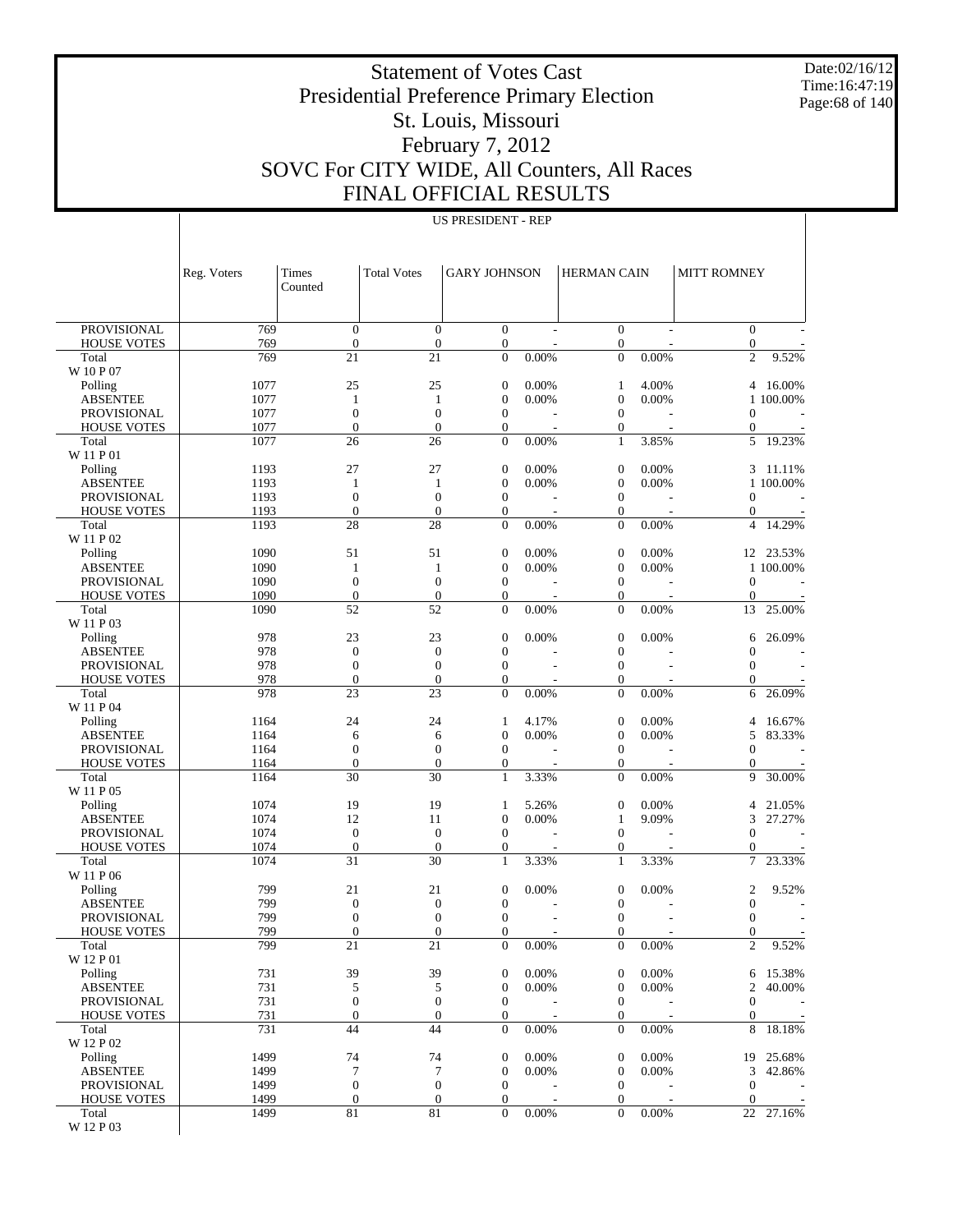Date:02/16/12 Time:16:47:19 Page:68 of 140

# Statement of Votes Cast Presidential Preference Primary Election St. Louis, Missouri February 7, 2012 SOVC For CITY WIDE, All Counters, All Races FINAL OFFICIAL RESULTS

| <b>PROVISIONAL</b><br>769<br>$\theta$<br>$\boldsymbol{0}$<br>$\mathbf{0}$<br>$\boldsymbol{0}$<br>$\boldsymbol{0}$<br>$\mathbf{0}$<br><b>HOUSE VOTES</b><br>769<br>$\boldsymbol{0}$<br>$\mathbf{0}$<br>$\boldsymbol{0}$<br>$\boldsymbol{0}$<br>769<br>21<br>21<br>$\mathbf{0}$<br>0.00%<br>$\mathbf{0}$<br>0.00%<br>$\overline{c}$<br>Total<br>9.52%<br>W 10 P 07<br>Polling<br>1077<br>25<br>25<br>$\boldsymbol{0}$<br>0.00%<br>4.00%<br>16.00%<br>$\mathbf{1}$<br>4<br>1077<br>0.00%<br>$\boldsymbol{0}$<br>0.00%<br><b>ABSENTEE</b><br>$\mathbf{1}$<br>$\theta$<br>1 100.00%<br>1<br>1077<br>$\boldsymbol{0}$<br><b>PROVISIONAL</b><br>$\boldsymbol{0}$<br>$\mathbf{0}$<br>$\boldsymbol{0}$<br>$\boldsymbol{0}$<br>1077<br>$\overline{0}$<br><b>HOUSE VOTES</b><br>$\overline{0}$<br>$\boldsymbol{0}$<br>$\overline{0}$<br>$\boldsymbol{0}$<br>1077<br>26<br>$\mathbf{0}$<br>0.00%<br>3.85%<br>19.23%<br>26<br>$\mathbf{1}$<br>5<br>Total<br>W 11 P 01<br>27<br>1193<br>27<br>$\mathbf{0}$<br>0.00%<br>$\boldsymbol{0}$<br>0.00%<br>Polling<br>3<br>11.11%<br>0.00%<br><b>ABSENTEE</b><br>1193<br>$\theta$<br>0.00%<br>$\boldsymbol{0}$<br>1 100.00%<br>1<br>$\mathbf{1}$<br>$\mathbf{0}$<br>$\boldsymbol{0}$<br><b>PROVISIONAL</b><br>1193<br>$\boldsymbol{0}$<br>$\boldsymbol{0}$<br>$\boldsymbol{0}$<br>$\mathbf{0}$<br>1193<br>$\overline{0}$<br>$\mathbf{0}$<br>$\boldsymbol{0}$<br>$\boldsymbol{0}$<br><b>HOUSE VOTES</b><br>28<br>28<br>$\mathbf{0}$<br>0.00%<br>$\mathbf{0}$<br>0.00%<br>14.29%<br>Total<br>1193<br>$\overline{4}$<br>W 11 P 02<br>Polling<br>1090<br>51<br>51<br>$\boldsymbol{0}$<br>0.00%<br>$\boldsymbol{0}$<br>0.00%<br>23.53%<br>12<br>0.00%<br>0.00%<br><b>ABSENTEE</b><br>1090<br>$\boldsymbol{0}$<br>$\boldsymbol{0}$<br>1 100.00%<br>1<br>$\mathbf{1}$<br><b>PROVISIONAL</b><br>1090<br>$\boldsymbol{0}$<br>$\mathbf{0}$<br>$\boldsymbol{0}$<br>$\boldsymbol{0}$<br>$\boldsymbol{0}$<br>$\mathbf{0}$<br>1090<br>$\boldsymbol{0}$<br>$\boldsymbol{0}$<br><b>HOUSE VOTES</b><br>$\mathbf{0}$<br>$\boldsymbol{0}$<br>52<br>52<br>$\mathbf{0}$<br>0.00%<br>0.00%<br>Total<br>1090<br>$\boldsymbol{0}$<br>13<br>25.00%<br>W 11 P 03<br>978<br>23<br>$\boldsymbol{0}$<br>23<br>0.00%<br>$\boldsymbol{0}$<br>0.00%<br>26.09%<br>Polling<br>6<br>978<br>$\boldsymbol{0}$<br><b>ABSENTEE</b><br>$\boldsymbol{0}$<br>$\mathbf{0}$<br>$\boldsymbol{0}$<br>$\boldsymbol{0}$<br>978<br>$\mathbf{0}$<br>$\boldsymbol{0}$<br><b>PROVISIONAL</b><br>$\boldsymbol{0}$<br>$\boldsymbol{0}$<br>$\boldsymbol{0}$<br>$\mathbf{0}$<br>978<br>$\boldsymbol{0}$<br>$\boldsymbol{0}$<br><b>HOUSE VOTES</b><br>$\theta$<br>$\boldsymbol{0}$<br>978<br>23<br>23<br>$\mathbf{0}$<br>0.00%<br>0.00%<br>Total<br>$\mathbf{0}$<br>26.09%<br>6<br>W 11 P 04<br>Polling<br>1164<br>24<br>4.17%<br>$\boldsymbol{0}$<br>0.00%<br>24<br>4<br>16.67%<br>1<br>$\boldsymbol{0}$<br>0.00%<br>0.00%<br><b>ABSENTEE</b><br>1164<br>$\boldsymbol{0}$<br>5<br>83.33%<br>6<br>6<br><b>PROVISIONAL</b><br>1164<br>$\boldsymbol{0}$<br>$\mathbf{0}$<br>$\boldsymbol{0}$<br>$\boldsymbol{0}$<br>$\boldsymbol{0}$<br>$\boldsymbol{0}$<br>1164<br>$\overline{0}$<br><b>HOUSE VOTES</b><br>$\mathbf{0}$<br>$\boldsymbol{0}$<br>$\mathbf{0}$<br>30<br>30<br>3.33%<br>0.00%<br>30.00%<br>Total<br>1164<br>$\mathbf{1}$<br>$\boldsymbol{0}$<br>9<br>W 11 P 05<br>1074<br>19<br>19<br>5.26%<br>$\boldsymbol{0}$<br>0.00%<br>Polling<br>4<br>21.05%<br>1<br>1074<br>12<br>$\mathbf{0}$<br>0.00%<br>9.09%<br><b>ABSENTEE</b><br>11<br>27.27%<br>$\mathbf{1}$<br>3<br>1074<br>$\boldsymbol{0}$<br>$\boldsymbol{0}$<br><b>PROVISIONAL</b><br>$\boldsymbol{0}$<br>$\boldsymbol{0}$<br>$\boldsymbol{0}$<br>$\boldsymbol{0}$<br>$\mathbf{0}$<br>1074<br>$\boldsymbol{0}$<br><b>HOUSE VOTES</b><br>$\mathbf{0}$<br>$\boldsymbol{0}$<br>1074<br>31<br>30<br>3.33%<br>3.33%<br>23.33%<br>Total<br>$\mathbf{1}$<br>$\mathbf{1}$<br>7<br>W 11 P 06<br>799<br>21<br>21<br>$\boldsymbol{0}$<br>0.00%<br>$\boldsymbol{0}$<br>0.00%<br>$\boldsymbol{2}$<br>Polling<br>9.52%<br>799<br><b>ABSENTEE</b><br>$\boldsymbol{0}$<br>$\mathbf{0}$<br>$\boldsymbol{0}$<br>$\boldsymbol{0}$<br>$\boldsymbol{0}$<br>799<br>PROVISIONAL<br>$\boldsymbol{0}$<br>$\mathbf{0}$<br>$\theta$<br>$\boldsymbol{0}$<br>$\boldsymbol{0}$<br>799<br><b>HOUSE VOTES</b><br>$\overline{0}$<br>$\boldsymbol{0}$<br>$\theta$<br>$\boldsymbol{0}$<br>$\overline{0}$<br>799<br>21<br>21<br>$\mathbf{0}$<br>$\overline{0}$<br>0.00%<br>$\overline{c}$<br>9.52%<br>0.00%<br>Total<br>W 12 P 01<br>731<br>39<br>39<br>0.00%<br>0.00%<br>Polling<br>$\boldsymbol{0}$<br>$\boldsymbol{0}$<br>15.38%<br>6<br><b>ABSENTEE</b><br>731<br>5<br>$\mathbf{0}$<br>0.00%<br>$\boldsymbol{0}$<br>0.00%<br>$\boldsymbol{2}$<br>40.00%<br>5<br>731<br>$\mathbf{0}$<br>PROVISIONAL<br>$\boldsymbol{0}$<br>$\boldsymbol{0}$<br>$\boldsymbol{0}$<br>$\boldsymbol{0}$<br>731<br>$\boldsymbol{0}$<br>$\boldsymbol{0}$<br>$\boldsymbol{0}$<br><b>HOUSE VOTES</b><br>$\mathbf{0}$<br>$\boldsymbol{0}$<br>$\overline{\phantom{a}}$<br>731<br>44<br>44<br>$\mathbf{0}$<br>0.00%<br>0.00%<br>18.18%<br>$\boldsymbol{0}$<br>8<br>Total<br>W 12 P 02<br>74<br>74<br>$\mathbf{0}$<br>$\boldsymbol{0}$<br>Polling<br>1499<br>0.00%<br>0.00%<br>25.68%<br>19<br>$\tau$<br>7<br>$\mathbf{0}$<br>0.00%<br>$\boldsymbol{0}$<br>0.00%<br><b>ABSENTEE</b><br>1499<br>3<br>42.86%<br>$\boldsymbol{0}$<br>PROVISIONAL<br>1499<br>$\boldsymbol{0}$<br>$\mathbf{0}$<br>$\boldsymbol{0}$<br>$\boldsymbol{0}$<br>$\boldsymbol{0}$<br>$\boldsymbol{0}$<br>$\mathbf{0}$<br>$\boldsymbol{0}$<br><b>HOUSE VOTES</b><br>1499<br>$\boldsymbol{0}$<br>$\overline{\phantom{a}}$<br>81<br>$81\,$<br>$\mathbf{0}$<br>$\overline{0}$<br>Total<br>1499<br>0.00%<br>0.00%<br>22 27.16%<br>W 12 P 03 | Reg. Voters | Times<br>Counted | <b>Total Votes</b> | <b>GARY JOHNSON</b> | HERMAN CAIN | <b>MITT ROMNEY</b> |  |
|------------------------------------------------------------------------------------------------------------------------------------------------------------------------------------------------------------------------------------------------------------------------------------------------------------------------------------------------------------------------------------------------------------------------------------------------------------------------------------------------------------------------------------------------------------------------------------------------------------------------------------------------------------------------------------------------------------------------------------------------------------------------------------------------------------------------------------------------------------------------------------------------------------------------------------------------------------------------------------------------------------------------------------------------------------------------------------------------------------------------------------------------------------------------------------------------------------------------------------------------------------------------------------------------------------------------------------------------------------------------------------------------------------------------------------------------------------------------------------------------------------------------------------------------------------------------------------------------------------------------------------------------------------------------------------------------------------------------------------------------------------------------------------------------------------------------------------------------------------------------------------------------------------------------------------------------------------------------------------------------------------------------------------------------------------------------------------------------------------------------------------------------------------------------------------------------------------------------------------------------------------------------------------------------------------------------------------------------------------------------------------------------------------------------------------------------------------------------------------------------------------------------------------------------------------------------------------------------------------------------------------------------------------------------------------------------------------------------------------------------------------------------------------------------------------------------------------------------------------------------------------------------------------------------------------------------------------------------------------------------------------------------------------------------------------------------------------------------------------------------------------------------------------------------------------------------------------------------------------------------------------------------------------------------------------------------------------------------------------------------------------------------------------------------------------------------------------------------------------------------------------------------------------------------------------------------------------------------------------------------------------------------------------------------------------------------------------------------------------------------------------------------------------------------------------------------------------------------------------------------------------------------------------------------------------------------------------------------------------------------------------------------------------------------------------------------------------------------------------------------------------------------------------------------------------------------------------------------------------------------------------------------------------------------------------------------------------------------------------------------------------------------------------------------------------------------------------------------------------------------------------------------------------------------------------------------------------------------------------------------------------------------------------------------------------------------------------------------------------------------------------------------------------------------------------------------------------------------------------------------------------------------------------------------------------------------------------------------------------------------------------------------------------------------------------------------------------------------------------------------------------------------------------------------------------------------------------------------------------------------------------------------------------------------------------------------------------------------------------------------------------------------------------------------------------------------------------------------------------------------------------------------------------------------------------------------------------------------------------------------------------------------------------------------------------------------------------------------------------------------------------------------------|-------------|------------------|--------------------|---------------------|-------------|--------------------|--|
|                                                                                                                                                                                                                                                                                                                                                                                                                                                                                                                                                                                                                                                                                                                                                                                                                                                                                                                                                                                                                                                                                                                                                                                                                                                                                                                                                                                                                                                                                                                                                                                                                                                                                                                                                                                                                                                                                                                                                                                                                                                                                                                                                                                                                                                                                                                                                                                                                                                                                                                                                                                                                                                                                                                                                                                                                                                                                                                                                                                                                                                                                                                                                                                                                                                                                                                                                                                                                                                                                                                                                                                                                                                                                                                                                                                                                                                                                                                                                                                                                                                                                                                                                                                                                                                                                                                                                                                                                                                                                                                                                                                                                                                                                                                                                                                                                                                                                                                                                                                                                                                                                                                                                                                                                                                                                                                                                                                                                                                                                                                                                                                                                                                                                                                                                                              |             |                  |                    |                     |             |                    |  |
|                                                                                                                                                                                                                                                                                                                                                                                                                                                                                                                                                                                                                                                                                                                                                                                                                                                                                                                                                                                                                                                                                                                                                                                                                                                                                                                                                                                                                                                                                                                                                                                                                                                                                                                                                                                                                                                                                                                                                                                                                                                                                                                                                                                                                                                                                                                                                                                                                                                                                                                                                                                                                                                                                                                                                                                                                                                                                                                                                                                                                                                                                                                                                                                                                                                                                                                                                                                                                                                                                                                                                                                                                                                                                                                                                                                                                                                                                                                                                                                                                                                                                                                                                                                                                                                                                                                                                                                                                                                                                                                                                                                                                                                                                                                                                                                                                                                                                                                                                                                                                                                                                                                                                                                                                                                                                                                                                                                                                                                                                                                                                                                                                                                                                                                                                                              |             |                  |                    |                     |             |                    |  |
| $\overline{\phantom{a}}$<br>$\overline{\phantom{a}}$                                                                                                                                                                                                                                                                                                                                                                                                                                                                                                                                                                                                                                                                                                                                                                                                                                                                                                                                                                                                                                                                                                                                                                                                                                                                                                                                                                                                                                                                                                                                                                                                                                                                                                                                                                                                                                                                                                                                                                                                                                                                                                                                                                                                                                                                                                                                                                                                                                                                                                                                                                                                                                                                                                                                                                                                                                                                                                                                                                                                                                                                                                                                                                                                                                                                                                                                                                                                                                                                                                                                                                                                                                                                                                                                                                                                                                                                                                                                                                                                                                                                                                                                                                                                                                                                                                                                                                                                                                                                                                                                                                                                                                                                                                                                                                                                                                                                                                                                                                                                                                                                                                                                                                                                                                                                                                                                                                                                                                                                                                                                                                                                                                                                                                                         |             |                  |                    |                     |             |                    |  |
|                                                                                                                                                                                                                                                                                                                                                                                                                                                                                                                                                                                                                                                                                                                                                                                                                                                                                                                                                                                                                                                                                                                                                                                                                                                                                                                                                                                                                                                                                                                                                                                                                                                                                                                                                                                                                                                                                                                                                                                                                                                                                                                                                                                                                                                                                                                                                                                                                                                                                                                                                                                                                                                                                                                                                                                                                                                                                                                                                                                                                                                                                                                                                                                                                                                                                                                                                                                                                                                                                                                                                                                                                                                                                                                                                                                                                                                                                                                                                                                                                                                                                                                                                                                                                                                                                                                                                                                                                                                                                                                                                                                                                                                                                                                                                                                                                                                                                                                                                                                                                                                                                                                                                                                                                                                                                                                                                                                                                                                                                                                                                                                                                                                                                                                                                                              |             |                  |                    |                     |             |                    |  |
|                                                                                                                                                                                                                                                                                                                                                                                                                                                                                                                                                                                                                                                                                                                                                                                                                                                                                                                                                                                                                                                                                                                                                                                                                                                                                                                                                                                                                                                                                                                                                                                                                                                                                                                                                                                                                                                                                                                                                                                                                                                                                                                                                                                                                                                                                                                                                                                                                                                                                                                                                                                                                                                                                                                                                                                                                                                                                                                                                                                                                                                                                                                                                                                                                                                                                                                                                                                                                                                                                                                                                                                                                                                                                                                                                                                                                                                                                                                                                                                                                                                                                                                                                                                                                                                                                                                                                                                                                                                                                                                                                                                                                                                                                                                                                                                                                                                                                                                                                                                                                                                                                                                                                                                                                                                                                                                                                                                                                                                                                                                                                                                                                                                                                                                                                                              |             |                  |                    |                     |             |                    |  |
|                                                                                                                                                                                                                                                                                                                                                                                                                                                                                                                                                                                                                                                                                                                                                                                                                                                                                                                                                                                                                                                                                                                                                                                                                                                                                                                                                                                                                                                                                                                                                                                                                                                                                                                                                                                                                                                                                                                                                                                                                                                                                                                                                                                                                                                                                                                                                                                                                                                                                                                                                                                                                                                                                                                                                                                                                                                                                                                                                                                                                                                                                                                                                                                                                                                                                                                                                                                                                                                                                                                                                                                                                                                                                                                                                                                                                                                                                                                                                                                                                                                                                                                                                                                                                                                                                                                                                                                                                                                                                                                                                                                                                                                                                                                                                                                                                                                                                                                                                                                                                                                                                                                                                                                                                                                                                                                                                                                                                                                                                                                                                                                                                                                                                                                                                                              |             |                  |                    |                     |             |                    |  |
|                                                                                                                                                                                                                                                                                                                                                                                                                                                                                                                                                                                                                                                                                                                                                                                                                                                                                                                                                                                                                                                                                                                                                                                                                                                                                                                                                                                                                                                                                                                                                                                                                                                                                                                                                                                                                                                                                                                                                                                                                                                                                                                                                                                                                                                                                                                                                                                                                                                                                                                                                                                                                                                                                                                                                                                                                                                                                                                                                                                                                                                                                                                                                                                                                                                                                                                                                                                                                                                                                                                                                                                                                                                                                                                                                                                                                                                                                                                                                                                                                                                                                                                                                                                                                                                                                                                                                                                                                                                                                                                                                                                                                                                                                                                                                                                                                                                                                                                                                                                                                                                                                                                                                                                                                                                                                                                                                                                                                                                                                                                                                                                                                                                                                                                                                                              |             |                  |                    |                     |             |                    |  |
|                                                                                                                                                                                                                                                                                                                                                                                                                                                                                                                                                                                                                                                                                                                                                                                                                                                                                                                                                                                                                                                                                                                                                                                                                                                                                                                                                                                                                                                                                                                                                                                                                                                                                                                                                                                                                                                                                                                                                                                                                                                                                                                                                                                                                                                                                                                                                                                                                                                                                                                                                                                                                                                                                                                                                                                                                                                                                                                                                                                                                                                                                                                                                                                                                                                                                                                                                                                                                                                                                                                                                                                                                                                                                                                                                                                                                                                                                                                                                                                                                                                                                                                                                                                                                                                                                                                                                                                                                                                                                                                                                                                                                                                                                                                                                                                                                                                                                                                                                                                                                                                                                                                                                                                                                                                                                                                                                                                                                                                                                                                                                                                                                                                                                                                                                                              |             |                  |                    |                     |             |                    |  |
|                                                                                                                                                                                                                                                                                                                                                                                                                                                                                                                                                                                                                                                                                                                                                                                                                                                                                                                                                                                                                                                                                                                                                                                                                                                                                                                                                                                                                                                                                                                                                                                                                                                                                                                                                                                                                                                                                                                                                                                                                                                                                                                                                                                                                                                                                                                                                                                                                                                                                                                                                                                                                                                                                                                                                                                                                                                                                                                                                                                                                                                                                                                                                                                                                                                                                                                                                                                                                                                                                                                                                                                                                                                                                                                                                                                                                                                                                                                                                                                                                                                                                                                                                                                                                                                                                                                                                                                                                                                                                                                                                                                                                                                                                                                                                                                                                                                                                                                                                                                                                                                                                                                                                                                                                                                                                                                                                                                                                                                                                                                                                                                                                                                                                                                                                                              |             |                  |                    |                     |             |                    |  |
|                                                                                                                                                                                                                                                                                                                                                                                                                                                                                                                                                                                                                                                                                                                                                                                                                                                                                                                                                                                                                                                                                                                                                                                                                                                                                                                                                                                                                                                                                                                                                                                                                                                                                                                                                                                                                                                                                                                                                                                                                                                                                                                                                                                                                                                                                                                                                                                                                                                                                                                                                                                                                                                                                                                                                                                                                                                                                                                                                                                                                                                                                                                                                                                                                                                                                                                                                                                                                                                                                                                                                                                                                                                                                                                                                                                                                                                                                                                                                                                                                                                                                                                                                                                                                                                                                                                                                                                                                                                                                                                                                                                                                                                                                                                                                                                                                                                                                                                                                                                                                                                                                                                                                                                                                                                                                                                                                                                                                                                                                                                                                                                                                                                                                                                                                                              |             |                  |                    |                     |             |                    |  |
|                                                                                                                                                                                                                                                                                                                                                                                                                                                                                                                                                                                                                                                                                                                                                                                                                                                                                                                                                                                                                                                                                                                                                                                                                                                                                                                                                                                                                                                                                                                                                                                                                                                                                                                                                                                                                                                                                                                                                                                                                                                                                                                                                                                                                                                                                                                                                                                                                                                                                                                                                                                                                                                                                                                                                                                                                                                                                                                                                                                                                                                                                                                                                                                                                                                                                                                                                                                                                                                                                                                                                                                                                                                                                                                                                                                                                                                                                                                                                                                                                                                                                                                                                                                                                                                                                                                                                                                                                                                                                                                                                                                                                                                                                                                                                                                                                                                                                                                                                                                                                                                                                                                                                                                                                                                                                                                                                                                                                                                                                                                                                                                                                                                                                                                                                                              |             |                  |                    |                     |             |                    |  |
|                                                                                                                                                                                                                                                                                                                                                                                                                                                                                                                                                                                                                                                                                                                                                                                                                                                                                                                                                                                                                                                                                                                                                                                                                                                                                                                                                                                                                                                                                                                                                                                                                                                                                                                                                                                                                                                                                                                                                                                                                                                                                                                                                                                                                                                                                                                                                                                                                                                                                                                                                                                                                                                                                                                                                                                                                                                                                                                                                                                                                                                                                                                                                                                                                                                                                                                                                                                                                                                                                                                                                                                                                                                                                                                                                                                                                                                                                                                                                                                                                                                                                                                                                                                                                                                                                                                                                                                                                                                                                                                                                                                                                                                                                                                                                                                                                                                                                                                                                                                                                                                                                                                                                                                                                                                                                                                                                                                                                                                                                                                                                                                                                                                                                                                                                                              |             |                  |                    |                     |             |                    |  |
|                                                                                                                                                                                                                                                                                                                                                                                                                                                                                                                                                                                                                                                                                                                                                                                                                                                                                                                                                                                                                                                                                                                                                                                                                                                                                                                                                                                                                                                                                                                                                                                                                                                                                                                                                                                                                                                                                                                                                                                                                                                                                                                                                                                                                                                                                                                                                                                                                                                                                                                                                                                                                                                                                                                                                                                                                                                                                                                                                                                                                                                                                                                                                                                                                                                                                                                                                                                                                                                                                                                                                                                                                                                                                                                                                                                                                                                                                                                                                                                                                                                                                                                                                                                                                                                                                                                                                                                                                                                                                                                                                                                                                                                                                                                                                                                                                                                                                                                                                                                                                                                                                                                                                                                                                                                                                                                                                                                                                                                                                                                                                                                                                                                                                                                                                                              |             |                  |                    |                     |             |                    |  |
|                                                                                                                                                                                                                                                                                                                                                                                                                                                                                                                                                                                                                                                                                                                                                                                                                                                                                                                                                                                                                                                                                                                                                                                                                                                                                                                                                                                                                                                                                                                                                                                                                                                                                                                                                                                                                                                                                                                                                                                                                                                                                                                                                                                                                                                                                                                                                                                                                                                                                                                                                                                                                                                                                                                                                                                                                                                                                                                                                                                                                                                                                                                                                                                                                                                                                                                                                                                                                                                                                                                                                                                                                                                                                                                                                                                                                                                                                                                                                                                                                                                                                                                                                                                                                                                                                                                                                                                                                                                                                                                                                                                                                                                                                                                                                                                                                                                                                                                                                                                                                                                                                                                                                                                                                                                                                                                                                                                                                                                                                                                                                                                                                                                                                                                                                                              |             |                  |                    |                     |             |                    |  |
|                                                                                                                                                                                                                                                                                                                                                                                                                                                                                                                                                                                                                                                                                                                                                                                                                                                                                                                                                                                                                                                                                                                                                                                                                                                                                                                                                                                                                                                                                                                                                                                                                                                                                                                                                                                                                                                                                                                                                                                                                                                                                                                                                                                                                                                                                                                                                                                                                                                                                                                                                                                                                                                                                                                                                                                                                                                                                                                                                                                                                                                                                                                                                                                                                                                                                                                                                                                                                                                                                                                                                                                                                                                                                                                                                                                                                                                                                                                                                                                                                                                                                                                                                                                                                                                                                                                                                                                                                                                                                                                                                                                                                                                                                                                                                                                                                                                                                                                                                                                                                                                                                                                                                                                                                                                                                                                                                                                                                                                                                                                                                                                                                                                                                                                                                                              |             |                  |                    |                     |             |                    |  |
|                                                                                                                                                                                                                                                                                                                                                                                                                                                                                                                                                                                                                                                                                                                                                                                                                                                                                                                                                                                                                                                                                                                                                                                                                                                                                                                                                                                                                                                                                                                                                                                                                                                                                                                                                                                                                                                                                                                                                                                                                                                                                                                                                                                                                                                                                                                                                                                                                                                                                                                                                                                                                                                                                                                                                                                                                                                                                                                                                                                                                                                                                                                                                                                                                                                                                                                                                                                                                                                                                                                                                                                                                                                                                                                                                                                                                                                                                                                                                                                                                                                                                                                                                                                                                                                                                                                                                                                                                                                                                                                                                                                                                                                                                                                                                                                                                                                                                                                                                                                                                                                                                                                                                                                                                                                                                                                                                                                                                                                                                                                                                                                                                                                                                                                                                                              |             |                  |                    |                     |             |                    |  |
|                                                                                                                                                                                                                                                                                                                                                                                                                                                                                                                                                                                                                                                                                                                                                                                                                                                                                                                                                                                                                                                                                                                                                                                                                                                                                                                                                                                                                                                                                                                                                                                                                                                                                                                                                                                                                                                                                                                                                                                                                                                                                                                                                                                                                                                                                                                                                                                                                                                                                                                                                                                                                                                                                                                                                                                                                                                                                                                                                                                                                                                                                                                                                                                                                                                                                                                                                                                                                                                                                                                                                                                                                                                                                                                                                                                                                                                                                                                                                                                                                                                                                                                                                                                                                                                                                                                                                                                                                                                                                                                                                                                                                                                                                                                                                                                                                                                                                                                                                                                                                                                                                                                                                                                                                                                                                                                                                                                                                                                                                                                                                                                                                                                                                                                                                                              |             |                  |                    |                     |             |                    |  |
|                                                                                                                                                                                                                                                                                                                                                                                                                                                                                                                                                                                                                                                                                                                                                                                                                                                                                                                                                                                                                                                                                                                                                                                                                                                                                                                                                                                                                                                                                                                                                                                                                                                                                                                                                                                                                                                                                                                                                                                                                                                                                                                                                                                                                                                                                                                                                                                                                                                                                                                                                                                                                                                                                                                                                                                                                                                                                                                                                                                                                                                                                                                                                                                                                                                                                                                                                                                                                                                                                                                                                                                                                                                                                                                                                                                                                                                                                                                                                                                                                                                                                                                                                                                                                                                                                                                                                                                                                                                                                                                                                                                                                                                                                                                                                                                                                                                                                                                                                                                                                                                                                                                                                                                                                                                                                                                                                                                                                                                                                                                                                                                                                                                                                                                                                                              |             |                  |                    |                     |             |                    |  |
|                                                                                                                                                                                                                                                                                                                                                                                                                                                                                                                                                                                                                                                                                                                                                                                                                                                                                                                                                                                                                                                                                                                                                                                                                                                                                                                                                                                                                                                                                                                                                                                                                                                                                                                                                                                                                                                                                                                                                                                                                                                                                                                                                                                                                                                                                                                                                                                                                                                                                                                                                                                                                                                                                                                                                                                                                                                                                                                                                                                                                                                                                                                                                                                                                                                                                                                                                                                                                                                                                                                                                                                                                                                                                                                                                                                                                                                                                                                                                                                                                                                                                                                                                                                                                                                                                                                                                                                                                                                                                                                                                                                                                                                                                                                                                                                                                                                                                                                                                                                                                                                                                                                                                                                                                                                                                                                                                                                                                                                                                                                                                                                                                                                                                                                                                                              |             |                  |                    |                     |             |                    |  |
|                                                                                                                                                                                                                                                                                                                                                                                                                                                                                                                                                                                                                                                                                                                                                                                                                                                                                                                                                                                                                                                                                                                                                                                                                                                                                                                                                                                                                                                                                                                                                                                                                                                                                                                                                                                                                                                                                                                                                                                                                                                                                                                                                                                                                                                                                                                                                                                                                                                                                                                                                                                                                                                                                                                                                                                                                                                                                                                                                                                                                                                                                                                                                                                                                                                                                                                                                                                                                                                                                                                                                                                                                                                                                                                                                                                                                                                                                                                                                                                                                                                                                                                                                                                                                                                                                                                                                                                                                                                                                                                                                                                                                                                                                                                                                                                                                                                                                                                                                                                                                                                                                                                                                                                                                                                                                                                                                                                                                                                                                                                                                                                                                                                                                                                                                                              |             |                  |                    |                     |             |                    |  |
|                                                                                                                                                                                                                                                                                                                                                                                                                                                                                                                                                                                                                                                                                                                                                                                                                                                                                                                                                                                                                                                                                                                                                                                                                                                                                                                                                                                                                                                                                                                                                                                                                                                                                                                                                                                                                                                                                                                                                                                                                                                                                                                                                                                                                                                                                                                                                                                                                                                                                                                                                                                                                                                                                                                                                                                                                                                                                                                                                                                                                                                                                                                                                                                                                                                                                                                                                                                                                                                                                                                                                                                                                                                                                                                                                                                                                                                                                                                                                                                                                                                                                                                                                                                                                                                                                                                                                                                                                                                                                                                                                                                                                                                                                                                                                                                                                                                                                                                                                                                                                                                                                                                                                                                                                                                                                                                                                                                                                                                                                                                                                                                                                                                                                                                                                                              |             |                  |                    |                     |             |                    |  |
|                                                                                                                                                                                                                                                                                                                                                                                                                                                                                                                                                                                                                                                                                                                                                                                                                                                                                                                                                                                                                                                                                                                                                                                                                                                                                                                                                                                                                                                                                                                                                                                                                                                                                                                                                                                                                                                                                                                                                                                                                                                                                                                                                                                                                                                                                                                                                                                                                                                                                                                                                                                                                                                                                                                                                                                                                                                                                                                                                                                                                                                                                                                                                                                                                                                                                                                                                                                                                                                                                                                                                                                                                                                                                                                                                                                                                                                                                                                                                                                                                                                                                                                                                                                                                                                                                                                                                                                                                                                                                                                                                                                                                                                                                                                                                                                                                                                                                                                                                                                                                                                                                                                                                                                                                                                                                                                                                                                                                                                                                                                                                                                                                                                                                                                                                                              |             |                  |                    |                     |             |                    |  |
|                                                                                                                                                                                                                                                                                                                                                                                                                                                                                                                                                                                                                                                                                                                                                                                                                                                                                                                                                                                                                                                                                                                                                                                                                                                                                                                                                                                                                                                                                                                                                                                                                                                                                                                                                                                                                                                                                                                                                                                                                                                                                                                                                                                                                                                                                                                                                                                                                                                                                                                                                                                                                                                                                                                                                                                                                                                                                                                                                                                                                                                                                                                                                                                                                                                                                                                                                                                                                                                                                                                                                                                                                                                                                                                                                                                                                                                                                                                                                                                                                                                                                                                                                                                                                                                                                                                                                                                                                                                                                                                                                                                                                                                                                                                                                                                                                                                                                                                                                                                                                                                                                                                                                                                                                                                                                                                                                                                                                                                                                                                                                                                                                                                                                                                                                                              |             |                  |                    |                     |             |                    |  |
|                                                                                                                                                                                                                                                                                                                                                                                                                                                                                                                                                                                                                                                                                                                                                                                                                                                                                                                                                                                                                                                                                                                                                                                                                                                                                                                                                                                                                                                                                                                                                                                                                                                                                                                                                                                                                                                                                                                                                                                                                                                                                                                                                                                                                                                                                                                                                                                                                                                                                                                                                                                                                                                                                                                                                                                                                                                                                                                                                                                                                                                                                                                                                                                                                                                                                                                                                                                                                                                                                                                                                                                                                                                                                                                                                                                                                                                                                                                                                                                                                                                                                                                                                                                                                                                                                                                                                                                                                                                                                                                                                                                                                                                                                                                                                                                                                                                                                                                                                                                                                                                                                                                                                                                                                                                                                                                                                                                                                                                                                                                                                                                                                                                                                                                                                                              |             |                  |                    |                     |             |                    |  |
|                                                                                                                                                                                                                                                                                                                                                                                                                                                                                                                                                                                                                                                                                                                                                                                                                                                                                                                                                                                                                                                                                                                                                                                                                                                                                                                                                                                                                                                                                                                                                                                                                                                                                                                                                                                                                                                                                                                                                                                                                                                                                                                                                                                                                                                                                                                                                                                                                                                                                                                                                                                                                                                                                                                                                                                                                                                                                                                                                                                                                                                                                                                                                                                                                                                                                                                                                                                                                                                                                                                                                                                                                                                                                                                                                                                                                                                                                                                                                                                                                                                                                                                                                                                                                                                                                                                                                                                                                                                                                                                                                                                                                                                                                                                                                                                                                                                                                                                                                                                                                                                                                                                                                                                                                                                                                                                                                                                                                                                                                                                                                                                                                                                                                                                                                                              |             |                  |                    |                     |             |                    |  |
|                                                                                                                                                                                                                                                                                                                                                                                                                                                                                                                                                                                                                                                                                                                                                                                                                                                                                                                                                                                                                                                                                                                                                                                                                                                                                                                                                                                                                                                                                                                                                                                                                                                                                                                                                                                                                                                                                                                                                                                                                                                                                                                                                                                                                                                                                                                                                                                                                                                                                                                                                                                                                                                                                                                                                                                                                                                                                                                                                                                                                                                                                                                                                                                                                                                                                                                                                                                                                                                                                                                                                                                                                                                                                                                                                                                                                                                                                                                                                                                                                                                                                                                                                                                                                                                                                                                                                                                                                                                                                                                                                                                                                                                                                                                                                                                                                                                                                                                                                                                                                                                                                                                                                                                                                                                                                                                                                                                                                                                                                                                                                                                                                                                                                                                                                                              |             |                  |                    |                     |             |                    |  |
|                                                                                                                                                                                                                                                                                                                                                                                                                                                                                                                                                                                                                                                                                                                                                                                                                                                                                                                                                                                                                                                                                                                                                                                                                                                                                                                                                                                                                                                                                                                                                                                                                                                                                                                                                                                                                                                                                                                                                                                                                                                                                                                                                                                                                                                                                                                                                                                                                                                                                                                                                                                                                                                                                                                                                                                                                                                                                                                                                                                                                                                                                                                                                                                                                                                                                                                                                                                                                                                                                                                                                                                                                                                                                                                                                                                                                                                                                                                                                                                                                                                                                                                                                                                                                                                                                                                                                                                                                                                                                                                                                                                                                                                                                                                                                                                                                                                                                                                                                                                                                                                                                                                                                                                                                                                                                                                                                                                                                                                                                                                                                                                                                                                                                                                                                                              |             |                  |                    |                     |             |                    |  |
|                                                                                                                                                                                                                                                                                                                                                                                                                                                                                                                                                                                                                                                                                                                                                                                                                                                                                                                                                                                                                                                                                                                                                                                                                                                                                                                                                                                                                                                                                                                                                                                                                                                                                                                                                                                                                                                                                                                                                                                                                                                                                                                                                                                                                                                                                                                                                                                                                                                                                                                                                                                                                                                                                                                                                                                                                                                                                                                                                                                                                                                                                                                                                                                                                                                                                                                                                                                                                                                                                                                                                                                                                                                                                                                                                                                                                                                                                                                                                                                                                                                                                                                                                                                                                                                                                                                                                                                                                                                                                                                                                                                                                                                                                                                                                                                                                                                                                                                                                                                                                                                                                                                                                                                                                                                                                                                                                                                                                                                                                                                                                                                                                                                                                                                                                                              |             |                  |                    |                     |             |                    |  |
|                                                                                                                                                                                                                                                                                                                                                                                                                                                                                                                                                                                                                                                                                                                                                                                                                                                                                                                                                                                                                                                                                                                                                                                                                                                                                                                                                                                                                                                                                                                                                                                                                                                                                                                                                                                                                                                                                                                                                                                                                                                                                                                                                                                                                                                                                                                                                                                                                                                                                                                                                                                                                                                                                                                                                                                                                                                                                                                                                                                                                                                                                                                                                                                                                                                                                                                                                                                                                                                                                                                                                                                                                                                                                                                                                                                                                                                                                                                                                                                                                                                                                                                                                                                                                                                                                                                                                                                                                                                                                                                                                                                                                                                                                                                                                                                                                                                                                                                                                                                                                                                                                                                                                                                                                                                                                                                                                                                                                                                                                                                                                                                                                                                                                                                                                                              |             |                  |                    |                     |             |                    |  |
|                                                                                                                                                                                                                                                                                                                                                                                                                                                                                                                                                                                                                                                                                                                                                                                                                                                                                                                                                                                                                                                                                                                                                                                                                                                                                                                                                                                                                                                                                                                                                                                                                                                                                                                                                                                                                                                                                                                                                                                                                                                                                                                                                                                                                                                                                                                                                                                                                                                                                                                                                                                                                                                                                                                                                                                                                                                                                                                                                                                                                                                                                                                                                                                                                                                                                                                                                                                                                                                                                                                                                                                                                                                                                                                                                                                                                                                                                                                                                                                                                                                                                                                                                                                                                                                                                                                                                                                                                                                                                                                                                                                                                                                                                                                                                                                                                                                                                                                                                                                                                                                                                                                                                                                                                                                                                                                                                                                                                                                                                                                                                                                                                                                                                                                                                                              |             |                  |                    |                     |             |                    |  |
|                                                                                                                                                                                                                                                                                                                                                                                                                                                                                                                                                                                                                                                                                                                                                                                                                                                                                                                                                                                                                                                                                                                                                                                                                                                                                                                                                                                                                                                                                                                                                                                                                                                                                                                                                                                                                                                                                                                                                                                                                                                                                                                                                                                                                                                                                                                                                                                                                                                                                                                                                                                                                                                                                                                                                                                                                                                                                                                                                                                                                                                                                                                                                                                                                                                                                                                                                                                                                                                                                                                                                                                                                                                                                                                                                                                                                                                                                                                                                                                                                                                                                                                                                                                                                                                                                                                                                                                                                                                                                                                                                                                                                                                                                                                                                                                                                                                                                                                                                                                                                                                                                                                                                                                                                                                                                                                                                                                                                                                                                                                                                                                                                                                                                                                                                                              |             |                  |                    |                     |             |                    |  |
|                                                                                                                                                                                                                                                                                                                                                                                                                                                                                                                                                                                                                                                                                                                                                                                                                                                                                                                                                                                                                                                                                                                                                                                                                                                                                                                                                                                                                                                                                                                                                                                                                                                                                                                                                                                                                                                                                                                                                                                                                                                                                                                                                                                                                                                                                                                                                                                                                                                                                                                                                                                                                                                                                                                                                                                                                                                                                                                                                                                                                                                                                                                                                                                                                                                                                                                                                                                                                                                                                                                                                                                                                                                                                                                                                                                                                                                                                                                                                                                                                                                                                                                                                                                                                                                                                                                                                                                                                                                                                                                                                                                                                                                                                                                                                                                                                                                                                                                                                                                                                                                                                                                                                                                                                                                                                                                                                                                                                                                                                                                                                                                                                                                                                                                                                                              |             |                  |                    |                     |             |                    |  |
|                                                                                                                                                                                                                                                                                                                                                                                                                                                                                                                                                                                                                                                                                                                                                                                                                                                                                                                                                                                                                                                                                                                                                                                                                                                                                                                                                                                                                                                                                                                                                                                                                                                                                                                                                                                                                                                                                                                                                                                                                                                                                                                                                                                                                                                                                                                                                                                                                                                                                                                                                                                                                                                                                                                                                                                                                                                                                                                                                                                                                                                                                                                                                                                                                                                                                                                                                                                                                                                                                                                                                                                                                                                                                                                                                                                                                                                                                                                                                                                                                                                                                                                                                                                                                                                                                                                                                                                                                                                                                                                                                                                                                                                                                                                                                                                                                                                                                                                                                                                                                                                                                                                                                                                                                                                                                                                                                                                                                                                                                                                                                                                                                                                                                                                                                                              |             |                  |                    |                     |             |                    |  |
|                                                                                                                                                                                                                                                                                                                                                                                                                                                                                                                                                                                                                                                                                                                                                                                                                                                                                                                                                                                                                                                                                                                                                                                                                                                                                                                                                                                                                                                                                                                                                                                                                                                                                                                                                                                                                                                                                                                                                                                                                                                                                                                                                                                                                                                                                                                                                                                                                                                                                                                                                                                                                                                                                                                                                                                                                                                                                                                                                                                                                                                                                                                                                                                                                                                                                                                                                                                                                                                                                                                                                                                                                                                                                                                                                                                                                                                                                                                                                                                                                                                                                                                                                                                                                                                                                                                                                                                                                                                                                                                                                                                                                                                                                                                                                                                                                                                                                                                                                                                                                                                                                                                                                                                                                                                                                                                                                                                                                                                                                                                                                                                                                                                                                                                                                                              |             |                  |                    |                     |             |                    |  |
|                                                                                                                                                                                                                                                                                                                                                                                                                                                                                                                                                                                                                                                                                                                                                                                                                                                                                                                                                                                                                                                                                                                                                                                                                                                                                                                                                                                                                                                                                                                                                                                                                                                                                                                                                                                                                                                                                                                                                                                                                                                                                                                                                                                                                                                                                                                                                                                                                                                                                                                                                                                                                                                                                                                                                                                                                                                                                                                                                                                                                                                                                                                                                                                                                                                                                                                                                                                                                                                                                                                                                                                                                                                                                                                                                                                                                                                                                                                                                                                                                                                                                                                                                                                                                                                                                                                                                                                                                                                                                                                                                                                                                                                                                                                                                                                                                                                                                                                                                                                                                                                                                                                                                                                                                                                                                                                                                                                                                                                                                                                                                                                                                                                                                                                                                                              |             |                  |                    |                     |             |                    |  |
|                                                                                                                                                                                                                                                                                                                                                                                                                                                                                                                                                                                                                                                                                                                                                                                                                                                                                                                                                                                                                                                                                                                                                                                                                                                                                                                                                                                                                                                                                                                                                                                                                                                                                                                                                                                                                                                                                                                                                                                                                                                                                                                                                                                                                                                                                                                                                                                                                                                                                                                                                                                                                                                                                                                                                                                                                                                                                                                                                                                                                                                                                                                                                                                                                                                                                                                                                                                                                                                                                                                                                                                                                                                                                                                                                                                                                                                                                                                                                                                                                                                                                                                                                                                                                                                                                                                                                                                                                                                                                                                                                                                                                                                                                                                                                                                                                                                                                                                                                                                                                                                                                                                                                                                                                                                                                                                                                                                                                                                                                                                                                                                                                                                                                                                                                                              |             |                  |                    |                     |             |                    |  |
|                                                                                                                                                                                                                                                                                                                                                                                                                                                                                                                                                                                                                                                                                                                                                                                                                                                                                                                                                                                                                                                                                                                                                                                                                                                                                                                                                                                                                                                                                                                                                                                                                                                                                                                                                                                                                                                                                                                                                                                                                                                                                                                                                                                                                                                                                                                                                                                                                                                                                                                                                                                                                                                                                                                                                                                                                                                                                                                                                                                                                                                                                                                                                                                                                                                                                                                                                                                                                                                                                                                                                                                                                                                                                                                                                                                                                                                                                                                                                                                                                                                                                                                                                                                                                                                                                                                                                                                                                                                                                                                                                                                                                                                                                                                                                                                                                                                                                                                                                                                                                                                                                                                                                                                                                                                                                                                                                                                                                                                                                                                                                                                                                                                                                                                                                                              |             |                  |                    |                     |             |                    |  |
|                                                                                                                                                                                                                                                                                                                                                                                                                                                                                                                                                                                                                                                                                                                                                                                                                                                                                                                                                                                                                                                                                                                                                                                                                                                                                                                                                                                                                                                                                                                                                                                                                                                                                                                                                                                                                                                                                                                                                                                                                                                                                                                                                                                                                                                                                                                                                                                                                                                                                                                                                                                                                                                                                                                                                                                                                                                                                                                                                                                                                                                                                                                                                                                                                                                                                                                                                                                                                                                                                                                                                                                                                                                                                                                                                                                                                                                                                                                                                                                                                                                                                                                                                                                                                                                                                                                                                                                                                                                                                                                                                                                                                                                                                                                                                                                                                                                                                                                                                                                                                                                                                                                                                                                                                                                                                                                                                                                                                                                                                                                                                                                                                                                                                                                                                                              |             |                  |                    |                     |             |                    |  |
|                                                                                                                                                                                                                                                                                                                                                                                                                                                                                                                                                                                                                                                                                                                                                                                                                                                                                                                                                                                                                                                                                                                                                                                                                                                                                                                                                                                                                                                                                                                                                                                                                                                                                                                                                                                                                                                                                                                                                                                                                                                                                                                                                                                                                                                                                                                                                                                                                                                                                                                                                                                                                                                                                                                                                                                                                                                                                                                                                                                                                                                                                                                                                                                                                                                                                                                                                                                                                                                                                                                                                                                                                                                                                                                                                                                                                                                                                                                                                                                                                                                                                                                                                                                                                                                                                                                                                                                                                                                                                                                                                                                                                                                                                                                                                                                                                                                                                                                                                                                                                                                                                                                                                                                                                                                                                                                                                                                                                                                                                                                                                                                                                                                                                                                                                                              |             |                  |                    |                     |             |                    |  |
|                                                                                                                                                                                                                                                                                                                                                                                                                                                                                                                                                                                                                                                                                                                                                                                                                                                                                                                                                                                                                                                                                                                                                                                                                                                                                                                                                                                                                                                                                                                                                                                                                                                                                                                                                                                                                                                                                                                                                                                                                                                                                                                                                                                                                                                                                                                                                                                                                                                                                                                                                                                                                                                                                                                                                                                                                                                                                                                                                                                                                                                                                                                                                                                                                                                                                                                                                                                                                                                                                                                                                                                                                                                                                                                                                                                                                                                                                                                                                                                                                                                                                                                                                                                                                                                                                                                                                                                                                                                                                                                                                                                                                                                                                                                                                                                                                                                                                                                                                                                                                                                                                                                                                                                                                                                                                                                                                                                                                                                                                                                                                                                                                                                                                                                                                                              |             |                  |                    |                     |             |                    |  |
|                                                                                                                                                                                                                                                                                                                                                                                                                                                                                                                                                                                                                                                                                                                                                                                                                                                                                                                                                                                                                                                                                                                                                                                                                                                                                                                                                                                                                                                                                                                                                                                                                                                                                                                                                                                                                                                                                                                                                                                                                                                                                                                                                                                                                                                                                                                                                                                                                                                                                                                                                                                                                                                                                                                                                                                                                                                                                                                                                                                                                                                                                                                                                                                                                                                                                                                                                                                                                                                                                                                                                                                                                                                                                                                                                                                                                                                                                                                                                                                                                                                                                                                                                                                                                                                                                                                                                                                                                                                                                                                                                                                                                                                                                                                                                                                                                                                                                                                                                                                                                                                                                                                                                                                                                                                                                                                                                                                                                                                                                                                                                                                                                                                                                                                                                                              |             |                  |                    |                     |             |                    |  |
|                                                                                                                                                                                                                                                                                                                                                                                                                                                                                                                                                                                                                                                                                                                                                                                                                                                                                                                                                                                                                                                                                                                                                                                                                                                                                                                                                                                                                                                                                                                                                                                                                                                                                                                                                                                                                                                                                                                                                                                                                                                                                                                                                                                                                                                                                                                                                                                                                                                                                                                                                                                                                                                                                                                                                                                                                                                                                                                                                                                                                                                                                                                                                                                                                                                                                                                                                                                                                                                                                                                                                                                                                                                                                                                                                                                                                                                                                                                                                                                                                                                                                                                                                                                                                                                                                                                                                                                                                                                                                                                                                                                                                                                                                                                                                                                                                                                                                                                                                                                                                                                                                                                                                                                                                                                                                                                                                                                                                                                                                                                                                                                                                                                                                                                                                                              |             |                  |                    |                     |             |                    |  |
|                                                                                                                                                                                                                                                                                                                                                                                                                                                                                                                                                                                                                                                                                                                                                                                                                                                                                                                                                                                                                                                                                                                                                                                                                                                                                                                                                                                                                                                                                                                                                                                                                                                                                                                                                                                                                                                                                                                                                                                                                                                                                                                                                                                                                                                                                                                                                                                                                                                                                                                                                                                                                                                                                                                                                                                                                                                                                                                                                                                                                                                                                                                                                                                                                                                                                                                                                                                                                                                                                                                                                                                                                                                                                                                                                                                                                                                                                                                                                                                                                                                                                                                                                                                                                                                                                                                                                                                                                                                                                                                                                                                                                                                                                                                                                                                                                                                                                                                                                                                                                                                                                                                                                                                                                                                                                                                                                                                                                                                                                                                                                                                                                                                                                                                                                                              |             |                  |                    |                     |             |                    |  |
|                                                                                                                                                                                                                                                                                                                                                                                                                                                                                                                                                                                                                                                                                                                                                                                                                                                                                                                                                                                                                                                                                                                                                                                                                                                                                                                                                                                                                                                                                                                                                                                                                                                                                                                                                                                                                                                                                                                                                                                                                                                                                                                                                                                                                                                                                                                                                                                                                                                                                                                                                                                                                                                                                                                                                                                                                                                                                                                                                                                                                                                                                                                                                                                                                                                                                                                                                                                                                                                                                                                                                                                                                                                                                                                                                                                                                                                                                                                                                                                                                                                                                                                                                                                                                                                                                                                                                                                                                                                                                                                                                                                                                                                                                                                                                                                                                                                                                                                                                                                                                                                                                                                                                                                                                                                                                                                                                                                                                                                                                                                                                                                                                                                                                                                                                                              |             |                  |                    |                     |             |                    |  |
|                                                                                                                                                                                                                                                                                                                                                                                                                                                                                                                                                                                                                                                                                                                                                                                                                                                                                                                                                                                                                                                                                                                                                                                                                                                                                                                                                                                                                                                                                                                                                                                                                                                                                                                                                                                                                                                                                                                                                                                                                                                                                                                                                                                                                                                                                                                                                                                                                                                                                                                                                                                                                                                                                                                                                                                                                                                                                                                                                                                                                                                                                                                                                                                                                                                                                                                                                                                                                                                                                                                                                                                                                                                                                                                                                                                                                                                                                                                                                                                                                                                                                                                                                                                                                                                                                                                                                                                                                                                                                                                                                                                                                                                                                                                                                                                                                                                                                                                                                                                                                                                                                                                                                                                                                                                                                                                                                                                                                                                                                                                                                                                                                                                                                                                                                                              |             |                  |                    |                     |             |                    |  |
|                                                                                                                                                                                                                                                                                                                                                                                                                                                                                                                                                                                                                                                                                                                                                                                                                                                                                                                                                                                                                                                                                                                                                                                                                                                                                                                                                                                                                                                                                                                                                                                                                                                                                                                                                                                                                                                                                                                                                                                                                                                                                                                                                                                                                                                                                                                                                                                                                                                                                                                                                                                                                                                                                                                                                                                                                                                                                                                                                                                                                                                                                                                                                                                                                                                                                                                                                                                                                                                                                                                                                                                                                                                                                                                                                                                                                                                                                                                                                                                                                                                                                                                                                                                                                                                                                                                                                                                                                                                                                                                                                                                                                                                                                                                                                                                                                                                                                                                                                                                                                                                                                                                                                                                                                                                                                                                                                                                                                                                                                                                                                                                                                                                                                                                                                                              |             |                  |                    |                     |             |                    |  |
|                                                                                                                                                                                                                                                                                                                                                                                                                                                                                                                                                                                                                                                                                                                                                                                                                                                                                                                                                                                                                                                                                                                                                                                                                                                                                                                                                                                                                                                                                                                                                                                                                                                                                                                                                                                                                                                                                                                                                                                                                                                                                                                                                                                                                                                                                                                                                                                                                                                                                                                                                                                                                                                                                                                                                                                                                                                                                                                                                                                                                                                                                                                                                                                                                                                                                                                                                                                                                                                                                                                                                                                                                                                                                                                                                                                                                                                                                                                                                                                                                                                                                                                                                                                                                                                                                                                                                                                                                                                                                                                                                                                                                                                                                                                                                                                                                                                                                                                                                                                                                                                                                                                                                                                                                                                                                                                                                                                                                                                                                                                                                                                                                                                                                                                                                                              |             |                  |                    |                     |             |                    |  |
|                                                                                                                                                                                                                                                                                                                                                                                                                                                                                                                                                                                                                                                                                                                                                                                                                                                                                                                                                                                                                                                                                                                                                                                                                                                                                                                                                                                                                                                                                                                                                                                                                                                                                                                                                                                                                                                                                                                                                                                                                                                                                                                                                                                                                                                                                                                                                                                                                                                                                                                                                                                                                                                                                                                                                                                                                                                                                                                                                                                                                                                                                                                                                                                                                                                                                                                                                                                                                                                                                                                                                                                                                                                                                                                                                                                                                                                                                                                                                                                                                                                                                                                                                                                                                                                                                                                                                                                                                                                                                                                                                                                                                                                                                                                                                                                                                                                                                                                                                                                                                                                                                                                                                                                                                                                                                                                                                                                                                                                                                                                                                                                                                                                                                                                                                                              |             |                  |                    |                     |             |                    |  |
|                                                                                                                                                                                                                                                                                                                                                                                                                                                                                                                                                                                                                                                                                                                                                                                                                                                                                                                                                                                                                                                                                                                                                                                                                                                                                                                                                                                                                                                                                                                                                                                                                                                                                                                                                                                                                                                                                                                                                                                                                                                                                                                                                                                                                                                                                                                                                                                                                                                                                                                                                                                                                                                                                                                                                                                                                                                                                                                                                                                                                                                                                                                                                                                                                                                                                                                                                                                                                                                                                                                                                                                                                                                                                                                                                                                                                                                                                                                                                                                                                                                                                                                                                                                                                                                                                                                                                                                                                                                                                                                                                                                                                                                                                                                                                                                                                                                                                                                                                                                                                                                                                                                                                                                                                                                                                                                                                                                                                                                                                                                                                                                                                                                                                                                                                                              |             |                  |                    |                     |             |                    |  |
|                                                                                                                                                                                                                                                                                                                                                                                                                                                                                                                                                                                                                                                                                                                                                                                                                                                                                                                                                                                                                                                                                                                                                                                                                                                                                                                                                                                                                                                                                                                                                                                                                                                                                                                                                                                                                                                                                                                                                                                                                                                                                                                                                                                                                                                                                                                                                                                                                                                                                                                                                                                                                                                                                                                                                                                                                                                                                                                                                                                                                                                                                                                                                                                                                                                                                                                                                                                                                                                                                                                                                                                                                                                                                                                                                                                                                                                                                                                                                                                                                                                                                                                                                                                                                                                                                                                                                                                                                                                                                                                                                                                                                                                                                                                                                                                                                                                                                                                                                                                                                                                                                                                                                                                                                                                                                                                                                                                                                                                                                                                                                                                                                                                                                                                                                                              |             |                  |                    |                     |             |                    |  |
|                                                                                                                                                                                                                                                                                                                                                                                                                                                                                                                                                                                                                                                                                                                                                                                                                                                                                                                                                                                                                                                                                                                                                                                                                                                                                                                                                                                                                                                                                                                                                                                                                                                                                                                                                                                                                                                                                                                                                                                                                                                                                                                                                                                                                                                                                                                                                                                                                                                                                                                                                                                                                                                                                                                                                                                                                                                                                                                                                                                                                                                                                                                                                                                                                                                                                                                                                                                                                                                                                                                                                                                                                                                                                                                                                                                                                                                                                                                                                                                                                                                                                                                                                                                                                                                                                                                                                                                                                                                                                                                                                                                                                                                                                                                                                                                                                                                                                                                                                                                                                                                                                                                                                                                                                                                                                                                                                                                                                                                                                                                                                                                                                                                                                                                                                                              |             |                  |                    |                     |             |                    |  |
|                                                                                                                                                                                                                                                                                                                                                                                                                                                                                                                                                                                                                                                                                                                                                                                                                                                                                                                                                                                                                                                                                                                                                                                                                                                                                                                                                                                                                                                                                                                                                                                                                                                                                                                                                                                                                                                                                                                                                                                                                                                                                                                                                                                                                                                                                                                                                                                                                                                                                                                                                                                                                                                                                                                                                                                                                                                                                                                                                                                                                                                                                                                                                                                                                                                                                                                                                                                                                                                                                                                                                                                                                                                                                                                                                                                                                                                                                                                                                                                                                                                                                                                                                                                                                                                                                                                                                                                                                                                                                                                                                                                                                                                                                                                                                                                                                                                                                                                                                                                                                                                                                                                                                                                                                                                                                                                                                                                                                                                                                                                                                                                                                                                                                                                                                                              |             |                  |                    |                     |             |                    |  |
|                                                                                                                                                                                                                                                                                                                                                                                                                                                                                                                                                                                                                                                                                                                                                                                                                                                                                                                                                                                                                                                                                                                                                                                                                                                                                                                                                                                                                                                                                                                                                                                                                                                                                                                                                                                                                                                                                                                                                                                                                                                                                                                                                                                                                                                                                                                                                                                                                                                                                                                                                                                                                                                                                                                                                                                                                                                                                                                                                                                                                                                                                                                                                                                                                                                                                                                                                                                                                                                                                                                                                                                                                                                                                                                                                                                                                                                                                                                                                                                                                                                                                                                                                                                                                                                                                                                                                                                                                                                                                                                                                                                                                                                                                                                                                                                                                                                                                                                                                                                                                                                                                                                                                                                                                                                                                                                                                                                                                                                                                                                                                                                                                                                                                                                                                                              |             |                  |                    |                     |             |                    |  |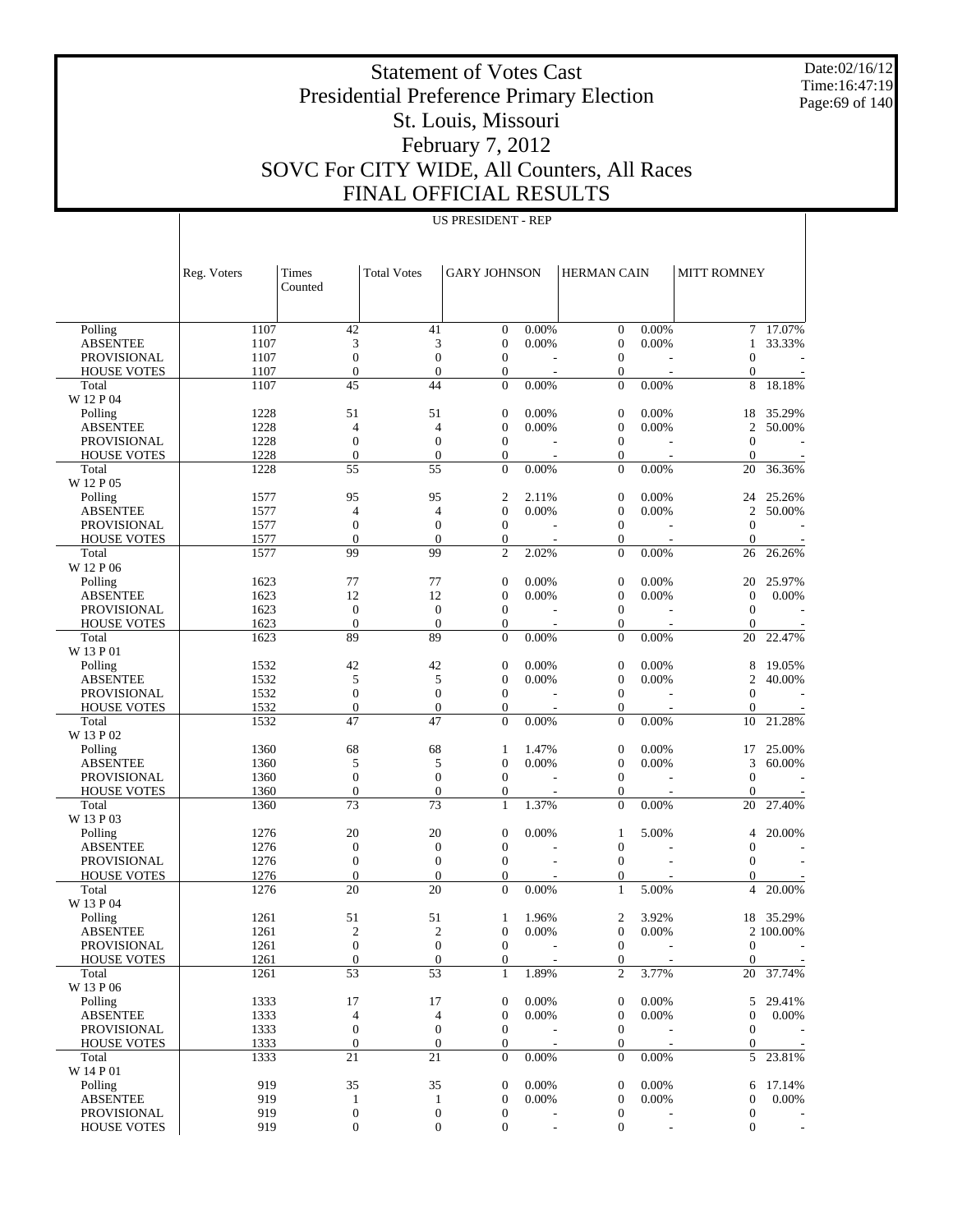Date:02/16/12 Time:16:47:19 Page:69 of 140

# Statement of Votes Cast Presidential Preference Primary Election St. Louis, Missouri February 7, 2012 SOVC For CITY WIDE, All Counters, All Races FINAL OFFICIAL RESULTS

|                                       | Reg. Voters  | Times<br>Counted                 | <b>Total Votes</b>               | <b>GARY JOHNSON</b>              |                                   | <b>HERMAN CAIN</b>                   |                                   | <b>MITT ROMNEY</b>             |                                    |
|---------------------------------------|--------------|----------------------------------|----------------------------------|----------------------------------|-----------------------------------|--------------------------------------|-----------------------------------|--------------------------------|------------------------------------|
|                                       |              |                                  |                                  |                                  |                                   |                                      |                                   |                                |                                    |
| Polling                               | 1107         | 42                               | 41                               | $\theta$<br>$\mathbf{0}$         | 0.00%<br>0.00%                    | $\mathbf{0}$                         | 0.00%                             | $\tau$                         | 17.07%<br>33.33%                   |
| <b>ABSENTEE</b><br><b>PROVISIONAL</b> | 1107<br>1107 | 3<br>$\boldsymbol{0}$            | 3<br>$\boldsymbol{0}$            | $\mathbf{0}$                     |                                   | $\boldsymbol{0}$<br>$\boldsymbol{0}$ | 0.00%                             | $\mathbf{1}$<br>$\overline{0}$ |                                    |
|                                       | 1107         | $\boldsymbol{0}$                 | $\boldsymbol{0}$                 | $\boldsymbol{0}$                 |                                   | $\boldsymbol{0}$                     |                                   | $\mathbf{0}$                   |                                    |
| <b>HOUSE VOTES</b><br>Total           | 1107         | 45                               | 44                               | $\mathbf{0}$                     | $\overline{\phantom{a}}$<br>0.00% | $\boldsymbol{0}$                     | $\overline{\phantom{a}}$<br>0.00% | 8                              | 18.18%                             |
| W 12 P 04                             |              |                                  |                                  |                                  |                                   |                                      |                                   |                                |                                    |
| Polling                               | 1228         | 51                               | 51                               | $\mathbf{0}$                     | 0.00%                             | $\boldsymbol{0}$                     | 0.00%                             | 18                             | 35.29%                             |
| <b>ABSENTEE</b>                       | 1228         | 4                                | 4                                | $\overline{0}$                   | 0.00%                             | $\theta$                             | 0.00%                             | $\overline{c}$                 | 50.00%                             |
| <b>PROVISIONAL</b>                    | 1228         | $\boldsymbol{0}$                 | $\boldsymbol{0}$                 | $\boldsymbol{0}$                 |                                   | $\boldsymbol{0}$                     |                                   | $\theta$                       |                                    |
| <b>HOUSE VOTES</b>                    | 1228         | $\boldsymbol{0}$                 | $\boldsymbol{0}$                 | $\boldsymbol{0}$                 | $\overline{\phantom{a}}$          | $\boldsymbol{0}$                     | $\overline{\phantom{a}}$          | $\theta$                       | $\overline{a}$                     |
| Total                                 | 1228         | 55                               | 55                               | $\mathbf{0}$                     | 0.00%                             | $\mathbf{0}$                         | 0.00%                             | 20                             | 36.36%                             |
| W 12 P 05                             |              |                                  |                                  |                                  |                                   |                                      |                                   |                                |                                    |
| Polling                               | 1577         | 95                               | 95                               | $\overline{2}$                   | 2.11%                             | $\mathbf{0}$                         | 0.00%                             | 24                             | 25.26%                             |
| <b>ABSENTEE</b>                       | 1577         | $\overline{4}$                   | $\overline{4}$                   | $\overline{0}$                   | 0.00%                             | $\theta$                             | 0.00%                             | $\overline{c}$                 | 50.00%                             |
| <b>PROVISIONAL</b>                    | 1577         | $\boldsymbol{0}$                 | $\boldsymbol{0}$                 | $\mathbf{0}$                     |                                   | $\boldsymbol{0}$                     |                                   | $\theta$                       |                                    |
| <b>HOUSE VOTES</b>                    | 1577         | $\overline{0}$                   | $\mathbf{0}$                     | $\boldsymbol{0}$                 | $\overline{\phantom{a}}$          | $\boldsymbol{0}$                     | $\overline{\phantom{a}}$          | $\theta$                       |                                    |
| Total                                 | 1577         | 99                               | 99                               | $\mathfrak{2}$                   | 2.02%                             | $\boldsymbol{0}$                     | 0.00%                             | 26                             | 26.26%                             |
| W 12 P 06                             |              |                                  |                                  |                                  |                                   |                                      |                                   |                                |                                    |
| Polling                               | 1623         | 77                               | 77                               | $\mathbf{0}$                     | 0.00%                             | $\boldsymbol{0}$                     | 0.00%                             | 20                             | 25.97%                             |
| <b>ABSENTEE</b>                       | 1623         | 12                               | 12                               | $\overline{0}$                   | 0.00%                             | $\mathbf{0}$                         | 0.00%                             | $\mathbf{0}$                   | 0.00%                              |
| <b>PROVISIONAL</b>                    | 1623         | $\mathbf{0}$                     | $\mathbf{0}$                     | $\boldsymbol{0}$                 |                                   | $\boldsymbol{0}$                     |                                   | $\mathbf{0}$                   |                                    |
| <b>HOUSE VOTES</b>                    | 1623         | $\overline{0}$                   | $\boldsymbol{0}$                 | $\mathbf{0}$                     | $\overline{a}$                    | $\boldsymbol{0}$                     | $\overline{a}$                    | $\theta$                       |                                    |
| Total                                 | 1623         | 89                               | 89                               | $\mathbf{0}$                     | 0.00%                             | $\mathbf{0}$                         | 0.00%                             | 20                             | 22.47%                             |
| W 13 P 01                             |              |                                  |                                  |                                  |                                   |                                      |                                   |                                |                                    |
| Polling                               | 1532         | 42                               | 42                               | $\mathbf{0}$                     | 0.00%                             | $\boldsymbol{0}$                     | 0.00%                             | 8                              | 19.05%                             |
| <b>ABSENTEE</b>                       | 1532         | 5                                | 5                                | $\overline{0}$                   | 0.00%                             | $\mathbf{0}$                         | 0.00%                             | $\overline{2}$                 | 40.00%                             |
| <b>PROVISIONAL</b>                    | 1532         | $\boldsymbol{0}$                 | $\boldsymbol{0}$                 | $\theta$                         |                                   | $\boldsymbol{0}$                     |                                   | $\theta$                       |                                    |
| <b>HOUSE VOTES</b>                    | 1532         | $\boldsymbol{0}$                 | $\boldsymbol{0}$                 | $\mathbf{0}$                     | $\overline{\phantom{a}}$          | $\boldsymbol{0}$                     | $\overline{\phantom{a}}$          | $\theta$                       |                                    |
| Total                                 | 1532         | 47                               | 47                               | $\mathbf{0}$                     | 0.00%                             | $\boldsymbol{0}$                     | 0.00%                             | 10                             | 21.28%                             |
| W 13 P 02                             |              |                                  |                                  |                                  |                                   |                                      |                                   |                                |                                    |
| Polling                               | 1360         | 68                               | 68                               | $\mathbf{1}$                     | 1.47%                             | $\boldsymbol{0}$                     | 0.00%                             | 17                             | 25.00%                             |
| <b>ABSENTEE</b>                       | 1360         | 5                                | 5                                | $\theta$                         | 0.00%                             | $\theta$                             | 0.00%                             | 3                              | 60.00%                             |
| <b>PROVISIONAL</b>                    | 1360         | $\boldsymbol{0}$                 | $\boldsymbol{0}$                 | $\theta$                         |                                   | $\boldsymbol{0}$                     |                                   | $\theta$                       |                                    |
| <b>HOUSE VOTES</b>                    | 1360         | $\boldsymbol{0}$                 | $\boldsymbol{0}$                 | $\mathbf{0}$                     |                                   | $\boldsymbol{0}$                     | $\overline{\phantom{a}}$          | $\theta$                       |                                    |
| Total                                 | 1360         | 73                               | 73                               | $\mathbf{1}$                     | 1.37%                             | $\mathbf{0}$                         | 0.00%                             | 20                             | 27.40%                             |
| W 13 P 03                             |              |                                  |                                  |                                  |                                   |                                      |                                   |                                |                                    |
| Polling                               | 1276         | 20                               | 20                               | $\boldsymbol{0}$                 | 0.00%                             | $\mathbf{1}$                         | 5.00%                             | 4                              | 20.00%                             |
| <b>ABSENTEE</b>                       | 1276         | $\boldsymbol{0}$                 | $\boldsymbol{0}$                 | $\overline{0}$                   |                                   | $\boldsymbol{0}$                     |                                   | $\overline{0}$                 |                                    |
| <b>PROVISIONAL</b>                    | 1276         | $\boldsymbol{0}$                 | $\boldsymbol{0}$                 | $\boldsymbol{0}$                 |                                   | $\boldsymbol{0}$                     |                                   | $\theta$                       |                                    |
| <b>HOUSE VOTES</b>                    | 1276         | $\boldsymbol{0}$                 | $\boldsymbol{0}$                 | $\mathbf{0}$                     |                                   | $\boldsymbol{0}$                     |                                   | $\overline{0}$                 |                                    |
| Total                                 | 1276         | 20                               | 20                               | $\boldsymbol{0}$                 | 0.00%                             | $\mathbf{1}$                         | 5.00%                             | 4                              | 20.00%                             |
| W 13 P 04                             |              |                                  |                                  |                                  |                                   |                                      |                                   |                                |                                    |
| Polling                               | 1261         | 51                               | 51                               | 1                                | 1.96%                             | $\overline{2}$                       | 3.92%                             | 18                             | 35.29%                             |
| <b>ABSENTEE</b><br><b>PROVISIONAL</b> | 1261         | $\overline{2}$<br>$\overline{0}$ | $\mathfrak{2}$<br>$\overline{0}$ | $\overline{0}$<br>$\theta$       | 0.00%                             | $\mathbf{0}$<br>$\mathbf{0}$         | 0.00%                             |                                | 2 100.00%                          |
|                                       | 1261         |                                  |                                  |                                  |                                   |                                      |                                   | $\theta$                       |                                    |
| <b>HOUSE VOTES</b><br>Total           | 1261<br>1261 | $\mathbf{0}$<br>53               | $\boldsymbol{0}$<br>53           | $\boldsymbol{0}$<br>$\mathbf{1}$ | 1.89%                             | $\boldsymbol{0}$<br>$\overline{2}$   | 3.77%                             | $\overline{0}$<br>20           | $\overline{\phantom{a}}$<br>37.74% |
| W 13 P 06                             |              |                                  |                                  |                                  |                                   |                                      |                                   |                                |                                    |
| Polling                               | 1333         | 17                               | 17                               | $\boldsymbol{0}$                 | 0.00%                             | $\boldsymbol{0}$                     | 0.00%                             | 5                              | 29.41%                             |
| <b>ABSENTEE</b>                       | 1333         | 4                                | $\overline{4}$                   | $\boldsymbol{0}$                 | 0.00%                             | $\boldsymbol{0}$                     | 0.00%                             | $\boldsymbol{0}$               | 0.00%                              |
| <b>PROVISIONAL</b>                    | 1333         | $\boldsymbol{0}$                 | $\boldsymbol{0}$                 | $\mathbf{0}$                     |                                   | $\mathbf{0}$                         |                                   | $\mathbf{0}$                   |                                    |
| <b>HOUSE VOTES</b>                    | 1333         | $\boldsymbol{0}$                 | $\boldsymbol{0}$                 | $\boldsymbol{0}$                 | $\overline{\phantom{a}}$          | $\mathbf{0}$                         | $\overline{\phantom{a}}$          | 0                              | $\sim$                             |
| Total                                 | 1333         | 21                               | 21                               | $\mathbf{0}$                     | 0.00%                             | $\mathbf{0}$                         | 0.00%                             | 5                              | 23.81%                             |
| W 14 P 01                             |              |                                  |                                  |                                  |                                   |                                      |                                   |                                |                                    |
| Polling                               | 919          | 35                               | 35                               | $\boldsymbol{0}$                 | 0.00%                             | $\mathbf{0}$                         | 0.00%                             | 6                              | 17.14%                             |
| <b>ABSENTEE</b>                       | 919          | $\mathbf{1}$                     | $\mathbf{1}$                     | $\boldsymbol{0}$                 | 0.00%                             | $\boldsymbol{0}$                     | 0.00%                             | $\boldsymbol{0}$               | 0.00%                              |
| PROVISIONAL                           | 919          | $\boldsymbol{0}$                 | $\boldsymbol{0}$                 | $\boldsymbol{0}$                 |                                   | $\boldsymbol{0}$                     |                                   | $\boldsymbol{0}$               |                                    |
| <b>HOUSE VOTES</b>                    | 919          | $\boldsymbol{0}$                 | $\boldsymbol{0}$                 | $\boldsymbol{0}$                 |                                   | $\boldsymbol{0}$                     | L,                                | $\mathbf{0}$                   | $\overline{\phantom{a}}$           |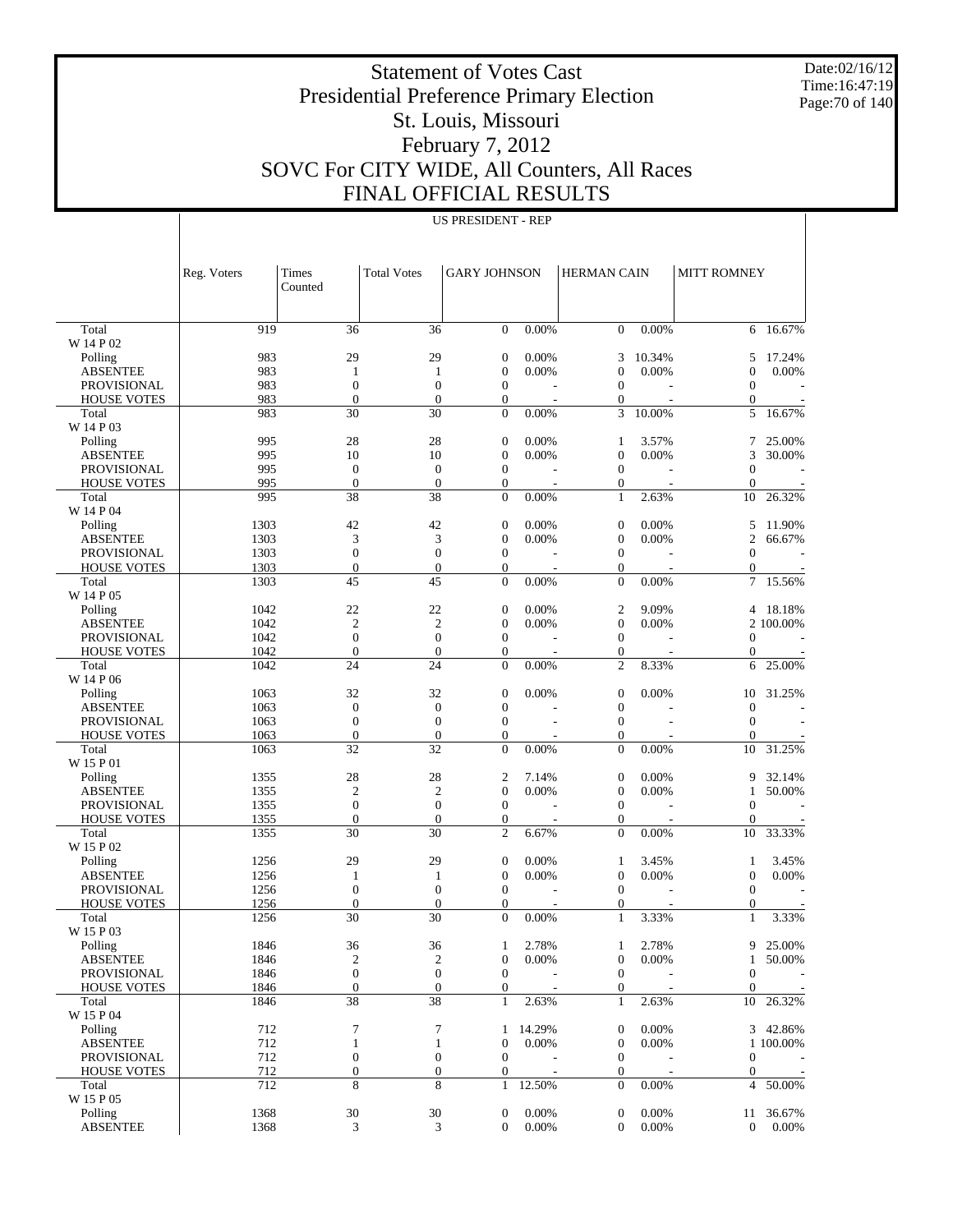Date:02/16/12 Time:16:47:19 Page:70 of 140

# Statement of Votes Cast Presidential Preference Primary Election St. Louis, Missouri February 7, 2012 SOVC For CITY WIDE, All Counters, All Races FINAL OFFICIA

Reg. Voters | Times

|   | $\mathcal{L}$ and $\mathcal{L}$ and $\mathcal{L}$ and $\mathcal{L}$ and $\mathcal{L}$<br>INAL OFFICIAL RESULTS |                           |                    |                    |  |  |  |  |  |  |  |
|---|----------------------------------------------------------------------------------------------------------------|---------------------------|--------------------|--------------------|--|--|--|--|--|--|--|
|   |                                                                                                                | <b>US PRESIDENT - REP</b> |                    |                    |  |  |  |  |  |  |  |
|   | <b>Total Votes</b>                                                                                             | <b>GARY JOHNSON</b>       | <b>HERMAN CAIN</b> | <b>MITT ROMNEY</b> |  |  |  |  |  |  |  |
| 6 | 36                                                                                                             | 0.00%                     | 0.00%              |                    |  |  |  |  |  |  |  |

|                             |              | Counted                        |                                      |                                |                          |                              |                          |                            |                          |
|-----------------------------|--------------|--------------------------------|--------------------------------------|--------------------------------|--------------------------|------------------------------|--------------------------|----------------------------|--------------------------|
|                             |              |                                |                                      |                                |                          |                              |                          |                            |                          |
|                             |              |                                |                                      |                                |                          |                              |                          |                            |                          |
| Total<br>W 14 P 02          | 919          | 36                             | 36                                   | $\overline{0}$                 | 0.00%                    | $\mathbf{0}$                 | 0.00%                    | 6                          | 16.67%                   |
| Polling                     | 983          | 29                             | 29                                   | $\boldsymbol{0}$               | 0.00%                    | 3                            | 10.34%                   | 5                          | 17.24%                   |
| <b>ABSENTEE</b>             | 983          | 1                              | 1                                    | $\mathbf{0}$                   | 0.00%                    | $\mathbf{0}$                 | 0.00%                    | $\mathbf{0}$               | 0.00%                    |
| PROVISIONAL                 | 983          | $\boldsymbol{0}$               | $\boldsymbol{0}$                     | $\overline{0}$                 |                          | $\theta$                     |                          | $\overline{0}$             |                          |
| <b>HOUSE VOTES</b>          | 983          | $\overline{0}$                 | $\boldsymbol{0}$                     | $\mathbf{0}$                   | Ĭ.                       | $\boldsymbol{0}$             | $\overline{a}$           | $\boldsymbol{0}$           |                          |
| Total                       | 983          | 30                             | 30                                   | $\mathbf{0}$                   | 0.00%                    | 3                            | 10.00%                   | 5                          | 16.67%                   |
| W 14 P 03                   |              |                                |                                      |                                |                          |                              |                          |                            |                          |
| Polling                     | 995          | 28                             | 28                                   | $\boldsymbol{0}$               | 0.00%                    | $\mathbf{1}$                 | 3.57%                    | 7                          | 25.00%                   |
| <b>ABSENTEE</b>             | 995          | 10                             | 10                                   | $\boldsymbol{0}$               | 0.00%                    | $\theta$                     | 0.00%                    | 3                          | 30.00%                   |
| <b>PROVISIONAL</b>          | 995          | $\mathbf{0}$                   | $\mathbf{0}$                         | $\mathbf{0}$                   |                          | $\boldsymbol{0}$             |                          | $\overline{0}$             |                          |
| <b>HOUSE VOTES</b>          | 995          | $\overline{0}$                 | $\boldsymbol{0}$                     | $\mathbf{0}$                   | $\overline{\phantom{a}}$ | $\boldsymbol{0}$             | $\overline{\phantom{a}}$ | $\theta$                   |                          |
| Total                       | 995          | 38                             | 38                                   | $\mathbf{0}$                   | 0.00%                    | $\mathbf{1}$                 | 2.63%                    | 10                         | 26.32%                   |
| W 14 P 04                   |              |                                |                                      |                                |                          |                              |                          |                            |                          |
| Polling                     | 1303         | 42                             | 42                                   | $\mathbf{0}$                   | 0.00%                    | $\mathbf{0}$                 | 0.00%                    | 5                          | 11.90%                   |
| <b>ABSENTEE</b>             | 1303         | 3                              | 3                                    | $\mathbf{0}$                   | 0.00%                    | $\mathbf{0}$                 | 0.00%                    | $\mathfrak{2}$             | 66.67%                   |
| <b>PROVISIONAL</b>          | 1303         | $\boldsymbol{0}$               | $\boldsymbol{0}$                     | $\overline{0}$                 |                          | $\boldsymbol{0}$             |                          | $\theta$                   |                          |
| <b>HOUSE VOTES</b>          | 1303         | $\boldsymbol{0}$               | $\boldsymbol{0}$                     | $\mathbf{0}$                   | $\overline{a}$           | $\boldsymbol{0}$             | $\overline{\phantom{a}}$ | $\mathbf{0}$               |                          |
| Total                       | 1303         | 45                             | 45                                   | $\mathbf{0}$                   | 0.00%                    | $\boldsymbol{0}$             | 0.00%                    | 7                          | 15.56%                   |
| W 14 P 05                   |              |                                |                                      |                                |                          |                              |                          |                            |                          |
| Polling                     | 1042         | 22                             | 22                                   | $\mathbf{0}$                   | 0.00%                    | $\overline{2}$               | 9.09%                    | 4                          | 18.18%                   |
| <b>ABSENTEE</b>             | 1042         | $\mathbf{2}$                   | $\mathfrak{2}$                       | $\boldsymbol{0}$               | 0.00%                    | $\theta$                     | 0.00%                    |                            | 2 100,00%                |
| <b>PROVISIONAL</b>          | 1042         | $\boldsymbol{0}$               | $\boldsymbol{0}$                     | $\mathbf{0}$                   |                          | $\boldsymbol{0}$             |                          | 0                          |                          |
| <b>HOUSE VOTES</b>          | 1042         | $\overline{0}$                 | $\boldsymbol{0}$                     | $\mathbf{0}$                   | $\overline{a}$           | $\boldsymbol{0}$             | $\overline{a}$           | $\mathbf{0}$               |                          |
| Total                       | 1042         | 24                             | 24                                   | $\overline{0}$                 | 0.00%                    | $\overline{2}$               | 8.33%                    | 6                          | 25.00%                   |
| W 14 P 06                   |              |                                |                                      |                                |                          |                              |                          |                            |                          |
| Polling                     | 1063         | 32                             | 32                                   | $\boldsymbol{0}$               | 0.00%                    | $\mathbf{0}$                 | 0.00%                    | 10                         | 31.25%                   |
| <b>ABSENTEE</b>             | 1063         | $\boldsymbol{0}$               | $\boldsymbol{0}$                     | $\boldsymbol{0}$               |                          | $\mathbf{0}$                 |                          | $\theta$                   |                          |
| PROVISIONAL                 | 1063         | $\boldsymbol{0}$               | $\boldsymbol{0}$                     | $\boldsymbol{0}$               |                          | $\boldsymbol{0}$             |                          | $\theta$                   |                          |
| <b>HOUSE VOTES</b>          | 1063         | $\boldsymbol{0}$               | $\boldsymbol{0}$                     | $\mathbf{0}$                   | $\overline{\phantom{a}}$ | $\mathbf{0}$                 |                          | $\overline{0}$             |                          |
| Total                       | 1063         | 32                             | 32                                   | $\boldsymbol{0}$               | 0.00%                    | $\boldsymbol{0}$             | 0.00%                    | 10                         | 31.25%                   |
| W 15 P 01                   |              |                                |                                      |                                |                          |                              |                          |                            |                          |
| Polling                     | 1355         | 28                             | 28                                   | $\boldsymbol{2}$               | 7.14%                    | $\boldsymbol{0}$             | 0.00%                    | 9                          | 32.14%                   |
| <b>ABSENTEE</b>             | 1355         | $\overline{2}$                 | $\mathfrak{2}$                       | $\boldsymbol{0}$               | 0.00%                    | $\mathbf{0}$                 | 0.00%                    | 1                          | 50.00%                   |
| <b>PROVISIONAL</b>          | 1355<br>1355 | $\mathbf{0}$<br>$\overline{0}$ | $\boldsymbol{0}$<br>$\boldsymbol{0}$ | $\mathbf{0}$                   |                          | $\boldsymbol{0}$             |                          | $\overline{0}$<br>$\theta$ |                          |
| <b>HOUSE VOTES</b><br>Total | 1355         | 30                             | 30                                   | $\mathbf{0}$<br>$\overline{c}$ | 6.67%                    | $\mathbf{0}$<br>$\mathbf{0}$ | 0.00%                    | 10                         | 33.33%                   |
| W 15 P 02                   |              |                                |                                      |                                |                          |                              |                          |                            |                          |
| Polling                     | 1256         | 29                             | 29                                   | $\mathbf{0}$                   | 0.00%                    | $\mathbf{1}$                 | 3.45%                    | 1                          | 3.45%                    |
| <b>ABSENTEE</b>             | 1256         | 1                              | 1                                    | $\mathbf{0}$                   | 0.00%                    | $\mathbf{0}$                 | 0.00%                    | $\boldsymbol{0}$           | 0.00%                    |
| <b>PROVISIONAL</b>          | 1256         | $\mathbf{0}$                   | $\boldsymbol{0}$                     | $\boldsymbol{0}$               |                          | $\boldsymbol{0}$             |                          | $\theta$                   |                          |
| <b>HOUSE VOTES</b>          | 1256         | $\overline{0}$                 | $\mathbf{0}$                         | $\mathbf{0}$                   | $\overline{\phantom{a}}$ | $\boldsymbol{0}$             | $\overline{\phantom{a}}$ | $\mathbf{0}$               |                          |
| Total                       | 1256         | 30                             | 30                                   | $\mathbf{0}$                   | 0.00%                    | $\mathbf{1}$                 | 3.33%                    | 1                          | 3.33%                    |
| W 15 P 03                   |              |                                |                                      |                                |                          |                              |                          |                            |                          |
| Polling                     | 1846         | 36                             | 36                                   | 1                              | 2.78%                    | $\mathbf{1}$                 | 2.78%                    | 9                          | 25.00%                   |
| <b>ABSENTEE</b>             | 1846         | $\overline{2}$                 | $\mathfrak{2}$                       | $\boldsymbol{0}$               | 0.00%                    | $\overline{0}$               | 0.00%                    | 1                          | 50.00%                   |
| <b>PROVISIONAL</b>          | 1846         | $\overline{0}$                 | $\mathbf{0}$                         | $\overline{0}$                 |                          | $\mathbf{0}$                 |                          | $\theta$                   |                          |
| <b>HOUSE VOTES</b>          | 1846         | $\mathbf{0}$                   | $\boldsymbol{0}$                     | 0                              |                          | $\boldsymbol{0}$             |                          | $\overline{0}$             | $\sim$ $-$               |
| Total                       | 1846         | $\overline{38}$                | 38                                   | $\mathbf{1}$                   | 2.63%                    | $\mathbf{1}$                 | 2.63%                    | 10                         | 26.32%                   |
| W 15 P 04                   |              |                                |                                      |                                |                          |                              |                          |                            |                          |
| Polling                     | 712          | 7                              | 7                                    | $\mathbf{1}$                   | 14.29%                   | $\boldsymbol{0}$             | 0.00%                    |                            | 3 42.86%                 |
| <b>ABSENTEE</b>             | 712          | $\mathbf{1}$                   | $\mathbf{1}$                         | $\mathbf{0}$                   | 0.00%                    | $\boldsymbol{0}$             | 0.00%                    |                            | 1 100.00%                |
| PROVISIONAL                 | 712          | $\boldsymbol{0}$               | $\boldsymbol{0}$                     | $\mathbf{0}$                   |                          | $\boldsymbol{0}$             |                          | $\boldsymbol{0}$           |                          |
| <b>HOUSE VOTES</b>          | 712          | $\boldsymbol{0}$               | $\boldsymbol{0}$                     | $\mathbf{0}$                   | $\overline{\phantom{a}}$ | $\mathbf{0}$                 |                          | $\boldsymbol{0}$           | $\overline{\phantom{a}}$ |
| Total                       | 712          | 8                              | 8                                    | $\mathbf{1}$                   | 12.50%                   | $\mathbf{0}$                 | 0.00%                    | 4                          | 50.00%                   |
| W 15 P 05                   |              |                                |                                      |                                |                          |                              |                          |                            |                          |
| Polling                     | 1368         | $30\,$                         | $30\,$                               | 0                              | 0.00%                    | $\boldsymbol{0}$             | 0.00%                    | 11                         | 36.67%                   |
| <b>ABSENTEE</b>             | 1368         | 3                              | 3                                    | $\overline{0}$                 | 0.00%                    | $\boldsymbol{0}$             | 0.00%                    | $\mathbf{0}$               | 0.00%                    |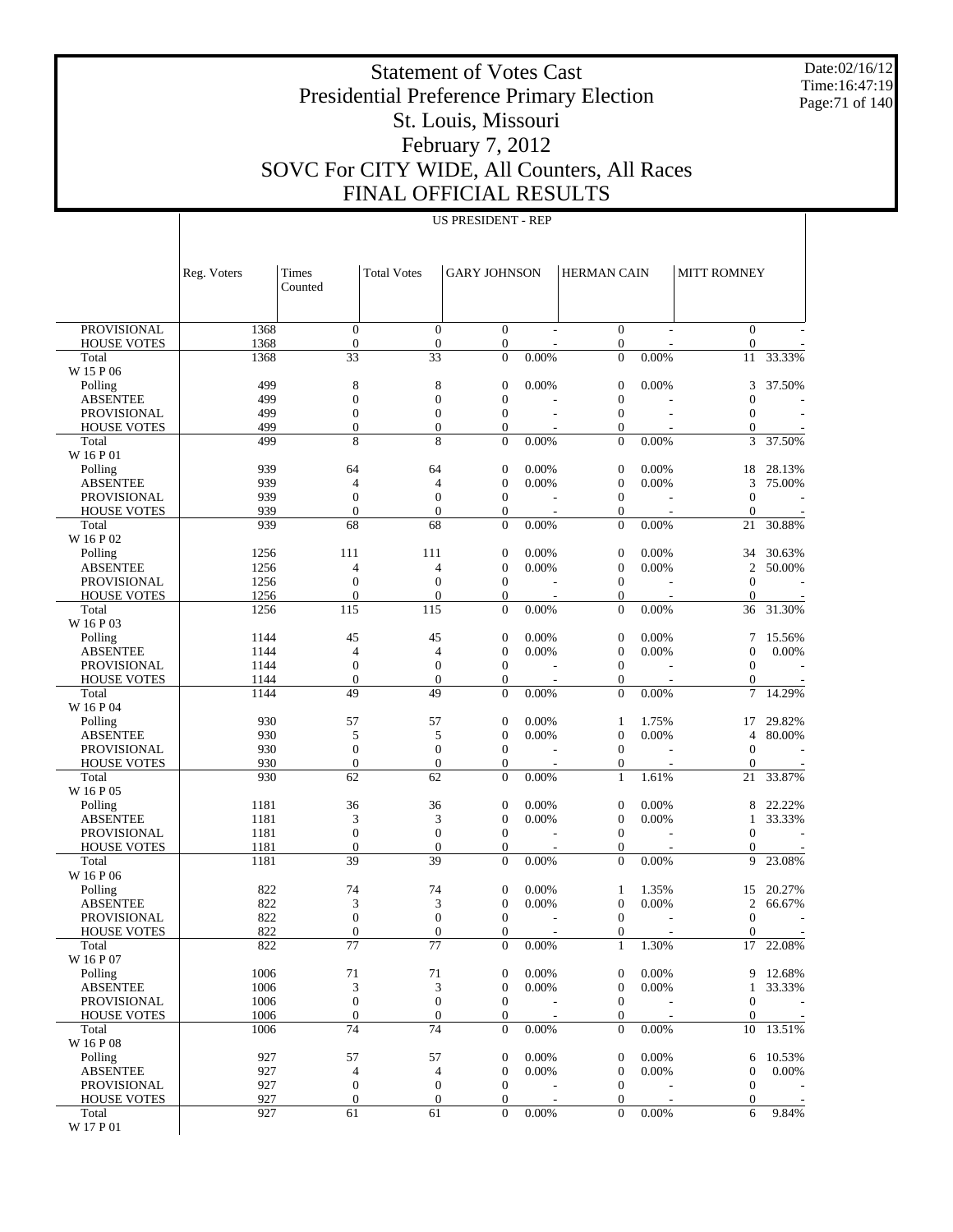Date:02/16/12 Time:16:47:19 Page:71 of 140

# Statement of Votes Cast Presidential Preference Primary Election St. Louis, Missouri February 7, 2012 SOVC For CITY WIDE, All Counters, All Races FINAL OFFICIAL RESULTS

#### US PRESIDENT - REP

|                                          | Reg. Voters  | Times<br>Counted                   | <b>Total Votes</b>               | <b>GARY JOHNSON</b>              |       | HERMAN CAIN                          |       | <b>MITT ROMNEY</b>                 |        |
|------------------------------------------|--------------|------------------------------------|----------------------------------|----------------------------------|-------|--------------------------------------|-------|------------------------------------|--------|
|                                          |              |                                    |                                  |                                  |       |                                      |       |                                    |        |
| <b>PROVISIONAL</b><br><b>HOUSE VOTES</b> | 1368<br>1368 | $\overline{0}$<br>$\boldsymbol{0}$ | $\mathbf{0}$<br>$\boldsymbol{0}$ | $\mathbf{0}$<br>$\boldsymbol{0}$ |       | $\mathbf{0}$<br>$\boldsymbol{0}$     |       | $\mathbf{0}$<br>$\boldsymbol{0}$   |        |
| Total                                    | 1368         | 33                                 | $\overline{33}$                  | $\overline{0}$                   | 0.00% | $\overline{0}$                       | 0.00% | 11                                 | 33.33% |
| W 15 P 06                                |              |                                    |                                  |                                  |       |                                      |       |                                    |        |
| Polling                                  | 499          | 8                                  | 8                                | $\boldsymbol{0}$                 | 0.00% | $\mathbf{0}$                         | 0.00% | 3                                  | 37.50% |
| <b>ABSENTEE</b>                          | 499          | $\overline{0}$                     | $\boldsymbol{0}$                 | $\mathbf{0}$                     |       | $\boldsymbol{0}$                     |       | $\boldsymbol{0}$                   |        |
| <b>PROVISIONAL</b>                       | 499          | $\mathbf{0}$                       | $\boldsymbol{0}$                 | $\mathbf{0}$                     |       | $\boldsymbol{0}$                     |       | $\overline{0}$                     |        |
| <b>HOUSE VOTES</b><br>Total              | 499<br>499   | $\overline{0}$<br>8                | $\overline{0}$<br>8              | $\mathbf{0}$<br>$\overline{0}$   | 0.00% | $\mathbf{0}$<br>$\overline{0}$       | 0.00% | $\mathbf{0}$<br>3                  | 37.50% |
| W 16 P 01                                |              |                                    |                                  |                                  |       |                                      |       |                                    |        |
| Polling                                  | 939          | 64                                 | 64                               | $\boldsymbol{0}$                 | 0.00% | $\boldsymbol{0}$                     | 0.00% | 18                                 | 28.13% |
| <b>ABSENTEE</b>                          | 939          | $\overline{4}$                     | $\overline{4}$                   | $\overline{0}$                   | 0.00% | $\mathbf{0}$                         | 0.00% | 3                                  | 75.00% |
| <b>PROVISIONAL</b>                       | 939          | $\overline{0}$                     | $\overline{0}$                   | $\boldsymbol{0}$                 |       | $\boldsymbol{0}$                     |       | $\overline{0}$                     |        |
| <b>HOUSE VOTES</b>                       | 939          | $\overline{0}$                     | $\mathbf{0}$                     | $\theta$                         |       | $\boldsymbol{0}$                     |       | $\boldsymbol{0}$                   |        |
| Total                                    | 939          | 68                                 | 68                               | $\mathbf{0}$                     | 0.00% | $\overline{0}$                       | 0.00% | 21                                 | 30.88% |
| W 16 P 02<br>Polling                     | 1256         | 111                                | 111                              | $\boldsymbol{0}$                 | 0.00% | $\boldsymbol{0}$                     | 0.00% | 34                                 | 30.63% |
| <b>ABSENTEE</b>                          | 1256         | $\overline{4}$                     | 4                                | $\overline{0}$                   | 0.00% | $\mathbf{0}$                         | 0.00% | $\boldsymbol{2}$                   | 50.00% |
| <b>PROVISIONAL</b>                       | 1256         | $\mathbf{0}$                       | $\boldsymbol{0}$                 | $\mathbf{0}$                     |       | $\boldsymbol{0}$                     |       | $\boldsymbol{0}$                   |        |
| <b>HOUSE VOTES</b>                       | 1256         | $\overline{0}$                     | $\mathbf{0}$                     | $\boldsymbol{0}$                 |       | $\boldsymbol{0}$                     |       | $\boldsymbol{0}$                   |        |
| Total                                    | 1256         | 115                                | 115                              | $\overline{0}$                   | 0.00% | $\overline{0}$                       | 0.00% | 36                                 | 31.30% |
| W 16 P 03                                |              |                                    |                                  |                                  |       |                                      |       |                                    |        |
| Polling                                  | 1144         | 45                                 | 45                               | $\boldsymbol{0}$                 | 0.00% | $\boldsymbol{0}$                     | 0.00% | 7                                  | 15.56% |
| <b>ABSENTEE</b>                          | 1144         | $\overline{4}$                     | $\overline{4}$                   | $\overline{0}$                   | 0.00% | $\boldsymbol{0}$                     | 0.00% | $\overline{0}$                     | 0.00%  |
| <b>PROVISIONAL</b><br><b>HOUSE VOTES</b> | 1144<br>1144 | $\overline{0}$<br>$\overline{0}$   | $\mathbf{0}$<br>$\mathbf{0}$     | $\mathbf{0}$<br>0                |       | $\boldsymbol{0}$<br>$\boldsymbol{0}$ |       | $\overline{0}$<br>$\boldsymbol{0}$ |        |
| Total                                    | 1144         | 49                                 | 49                               | $\overline{0}$                   | 0.00% | $\Omega$                             | 0.00% | 7                                  | 14.29% |
| W 16 P 04                                |              |                                    |                                  |                                  |       |                                      |       |                                    |        |
| Polling                                  | 930          | 57                                 | 57                               | $\boldsymbol{0}$                 | 0.00% | $\mathbf{1}$                         | 1.75% | 17                                 | 29.82% |
| <b>ABSENTEE</b>                          | 930          | 5                                  | 5                                | $\mathbf{0}$                     | 0.00% | $\boldsymbol{0}$                     | 0.00% | 4                                  | 80.00% |
| PROVISIONAL                              | 930          | $\boldsymbol{0}$                   | $\boldsymbol{0}$                 | $\mathbf{0}$                     |       | $\mathbf{0}$                         |       | $\overline{0}$                     |        |
| <b>HOUSE VOTES</b>                       | 930          | $\overline{0}$                     | $\boldsymbol{0}$                 | $\theta$                         |       | $\boldsymbol{0}$                     |       | $\boldsymbol{0}$                   |        |
| Total<br>W 16 P 05                       | 930          | 62                                 | 62                               | $\overline{0}$                   | 0.00% | $\mathbf{1}$                         | 1.61% | 21                                 | 33.87% |
| Polling                                  | 1181         | 36                                 | 36                               | $\boldsymbol{0}$                 | 0.00% | $\boldsymbol{0}$                     | 0.00% | 8                                  | 22.22% |
| <b>ABSENTEE</b>                          | 1181         | 3                                  | 3                                | $\overline{0}$                   | 0.00% | $\mathbf{0}$                         | 0.00% | 1                                  | 33.33% |
| <b>PROVISIONAL</b>                       | 1181         | $\boldsymbol{0}$                   | $\overline{0}$                   | $\boldsymbol{0}$                 |       | $\boldsymbol{0}$                     |       | $\boldsymbol{0}$                   |        |
| <b>HOUSE VOTES</b>                       | 1181         | $\overline{0}$                     | $\boldsymbol{0}$                 | 0                                |       | $\boldsymbol{0}$                     |       | $\boldsymbol{0}$                   |        |
| Total                                    | 1181         | 39                                 | 39                               | $\mathbf{0}$                     | 0.00% | $\Omega$                             | 0.00% | 9                                  | 23.08% |
| W 16 P 06                                |              |                                    |                                  |                                  |       |                                      |       |                                    |        |
| Polling                                  | 822          | 74                                 | 74                               | $\boldsymbol{0}$                 | 0.00% | $\mathbf{1}$                         | 1.35% | 15                                 | 20.27% |
| <b>ABSENTEE</b><br><b>PROVISIONAL</b>    | 822<br>822   | 3<br>$\boldsymbol{0}$              | 3<br>$\overline{0}$              | $\mathbf{0}$<br>$\mathbf{0}$     | 0.00% | $\boldsymbol{0}$<br>$\mathbf{0}$     | 0.00% | $\boldsymbol{2}$<br>$\overline{0}$ | 66.67% |
| <b>HOUSE VOTES</b>                       | 822          | $\overline{0}$                     | $\overline{0}$                   | $\mathbf{0}$                     |       | $\boldsymbol{0}$                     |       | $\boldsymbol{0}$                   |        |
| Total                                    | 822          | 77                                 | 77                               | $\overline{0}$                   | 0.00% | $\mathbf{1}$                         | 1.30% | 17                                 | 22.08% |
| W 16 P 07                                |              |                                    |                                  |                                  |       |                                      |       |                                    |        |
| Polling                                  | 1006         | 71                                 | 71                               | $\boldsymbol{0}$                 | 0.00% | $\boldsymbol{0}$                     | 0.00% | 9                                  | 12.68% |
| <b>ABSENTEE</b>                          | 1006         | 3                                  | 3                                | $\boldsymbol{0}$                 | 0.00% | $\boldsymbol{0}$                     | 0.00% | 1                                  | 33.33% |
| PROVISIONAL                              | 1006         | $\boldsymbol{0}$                   | $\boldsymbol{0}$                 | $\boldsymbol{0}$                 |       | $\mathbf{0}$                         |       | $\boldsymbol{0}$                   |        |
| <b>HOUSE VOTES</b><br>Total              | 1006<br>1006 | $\overline{0}$<br>74               | $\boldsymbol{0}$<br>74           | $\mathbf{0}$<br>$\mathbf{0}$     | 0.00% | $\boldsymbol{0}$<br>$\mathbf{0}$     | 0.00% | $\boldsymbol{0}$<br>10             | 13.51% |
| W 16 P 08                                |              |                                    |                                  |                                  |       |                                      |       |                                    |        |
| Polling                                  | 927          | 57                                 | 57                               | $\boldsymbol{0}$                 | 0.00% | $\boldsymbol{0}$                     | 0.00% | 6                                  | 10.53% |
| <b>ABSENTEE</b>                          | 927          | $\overline{4}$                     | 4                                | $\boldsymbol{0}$                 | 0.00% | $\boldsymbol{0}$                     | 0.00% | $\boldsymbol{0}$                   | 0.00%  |
| PROVISIONAL                              | 927          | $\boldsymbol{0}$                   | $\boldsymbol{0}$                 | $\mathbf{0}$                     |       | $\mathbf{0}$                         |       | $\boldsymbol{0}$                   |        |
| <b>HOUSE VOTES</b>                       | 927          | $\mathbf{0}$                       | $\boldsymbol{0}$                 | $\boldsymbol{0}$                 |       | $\boldsymbol{0}$                     |       | $\boldsymbol{0}$                   |        |
| Total                                    | 927          | 61                                 | 61                               | $\mathbf{0}$                     | 0.00% | $\mathbf{0}$                         | 0.00% | 6                                  | 9.84%  |
| W 17 P 01                                |              |                                    |                                  |                                  |       |                                      |       |                                    |        |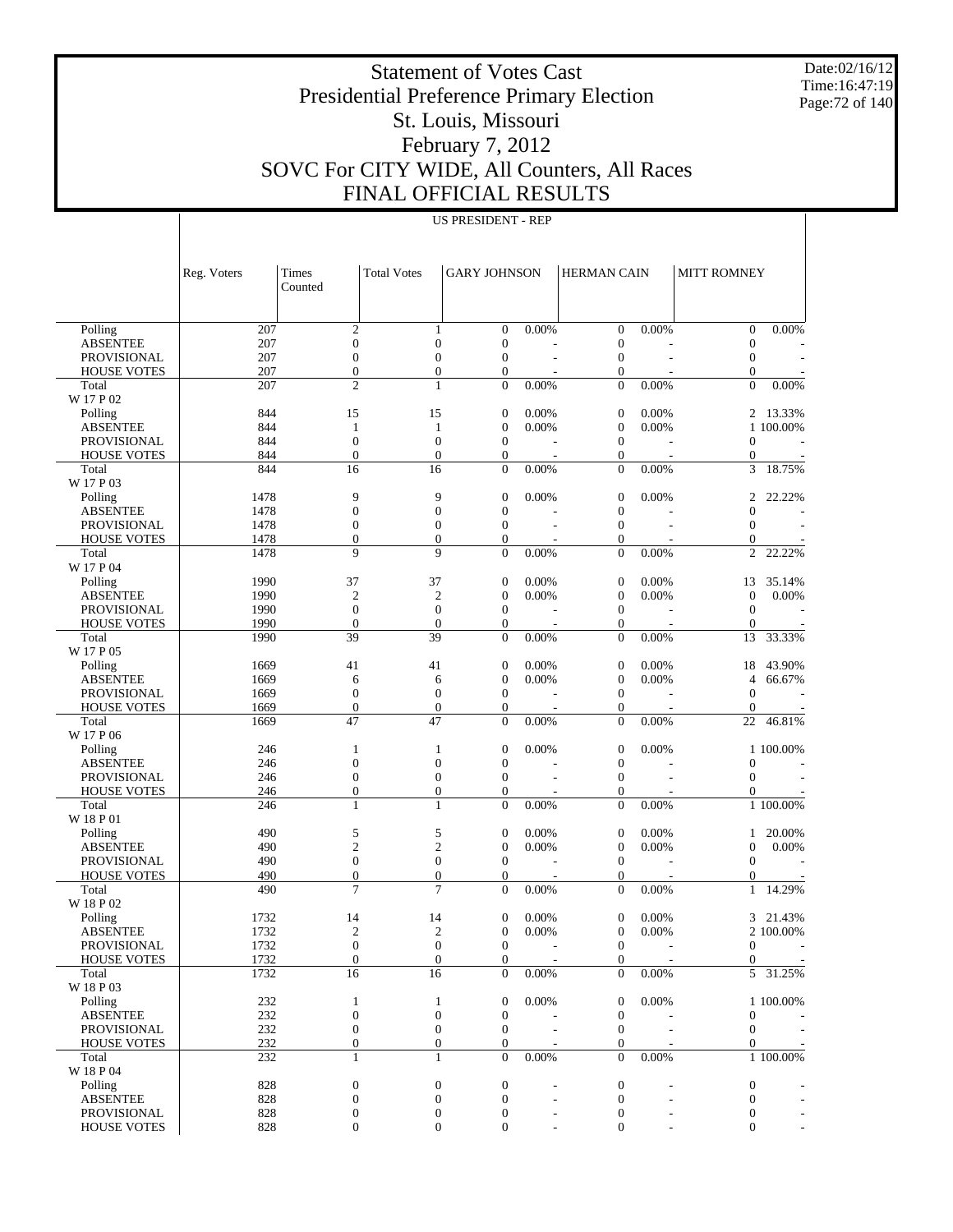Date:02/16/12 Time:16:47:19 Page:72 of 140

# Statement of Votes Cast Presidential Preference Primary Election St. Louis, Missouri February 7, 2012 SOVC For CITY WIDE, All Counters, All Races FINAL OFFICIAL RESULTS

|                             | Reg. Voters | Times<br>Counted                     | <b>Total Votes</b>  | <b>GARY JOHNSON</b>                  |                                   | <b>HERMAN CAIN</b>                   |                                   | MITT ROMNEY                      |                          |
|-----------------------------|-------------|--------------------------------------|---------------------|--------------------------------------|-----------------------------------|--------------------------------------|-----------------------------------|----------------------------------|--------------------------|
|                             |             |                                      |                     |                                      |                                   |                                      |                                   |                                  |                          |
| Polling                     | 207         | $\mathfrak{2}$                       | 1                   | $\mathbf{0}$                         | 0.00%                             | $\boldsymbol{0}$                     | 0.00%                             | $\mathbf{0}$                     | 0.00%                    |
| <b>ABSENTEE</b>             | 207         | $\boldsymbol{0}$                     | $\mathbf{0}$        | $\boldsymbol{0}$                     |                                   | $\mathbf{0}$                         |                                   | $\boldsymbol{0}$                 |                          |
| <b>PROVISIONAL</b>          | 207         | $\boldsymbol{0}$                     | $\boldsymbol{0}$    | $\boldsymbol{0}$                     |                                   | $\boldsymbol{0}$                     | L.                                | $\boldsymbol{0}$                 |                          |
| <b>HOUSE VOTES</b>          | 207         | $\overline{0}$                       | $\overline{0}$      | $\boldsymbol{0}$                     | $\overline{a}$                    | $\mathbf{0}$                         | $\overline{a}$                    | $\theta$                         |                          |
| Total                       | 207         | $\overline{c}$                       | $\mathbf{1}$        | $\boldsymbol{0}$                     | 0.00%                             | $\boldsymbol{0}$                     | 0.00%                             | $\boldsymbol{0}$                 | 0.00%                    |
| W 17 P 02                   |             |                                      |                     |                                      |                                   |                                      |                                   |                                  |                          |
| Polling                     | 844         | 15                                   | 15                  | $\boldsymbol{0}$                     | 0.00%                             | $\mathbf{0}$                         | 0.00%                             | 2                                | 13.33%                   |
| <b>ABSENTEE</b>             | 844         | 1                                    | 1                   | $\boldsymbol{0}$                     | 0.00%                             | $\mathbf{0}$                         | 0.00%                             |                                  | 1 100.00%                |
| <b>PROVISIONAL</b>          | 844         | $\boldsymbol{0}$                     | $\overline{0}$      | $\boldsymbol{0}$                     |                                   | $\boldsymbol{0}$                     |                                   | $\overline{0}$                   |                          |
| <b>HOUSE VOTES</b>          | 844         | $\overline{0}$                       | $\overline{0}$      | $\boldsymbol{0}$                     | $\overline{\phantom{a}}$          | $\boldsymbol{0}$                     | $\overline{\phantom{a}}$          | $\boldsymbol{0}$                 | $\overline{\phantom{a}}$ |
| Total                       | 844         | $\overline{16}$                      | $\overline{16}$     | $\overline{0}$                       | 0.00%                             | $\boldsymbol{0}$                     | 0.00%                             | 3                                | 18.75%                   |
| W 17 P 03                   |             |                                      |                     |                                      |                                   |                                      |                                   |                                  |                          |
| Polling                     | 1478        | 9                                    | 9                   | $\mathbf{0}$                         | 0.00%                             | $\boldsymbol{0}$                     | 0.00%                             | 2                                | 22.22%                   |
| <b>ABSENTEE</b>             | 1478        | $\boldsymbol{0}$                     | $\overline{0}$      | $\boldsymbol{0}$                     |                                   | $\mathbf{0}$                         |                                   | $\overline{0}$                   |                          |
| <b>PROVISIONAL</b>          | 1478        | $\boldsymbol{0}$                     | $\boldsymbol{0}$    | $\boldsymbol{0}$                     |                                   | $\boldsymbol{0}$                     | ÷,                                | $\mathbf{0}$                     |                          |
| <b>HOUSE VOTES</b>          | 1478        | $\overline{0}$                       | $\overline{0}$      | $\boldsymbol{0}$                     |                                   | $\mathbf{0}$                         |                                   | $\theta$                         |                          |
| Total                       | 1478        | 9                                    | 9                   | $\boldsymbol{0}$                     | 0.00%                             | $\boldsymbol{0}$                     | 0.00%                             | $\overline{c}$                   | 22.22%                   |
| W 17 P 04                   |             |                                      |                     |                                      |                                   |                                      |                                   |                                  |                          |
| Polling                     | 1990        | 37                                   | 37                  | $\boldsymbol{0}$                     | 0.00%                             | $\mathbf{0}$                         | 0.00%                             | 13                               | 35.14%                   |
| <b>ABSENTEE</b>             | 1990        | $\overline{2}$                       | $\mathfrak{2}$      | $\boldsymbol{0}$                     | 0.00%                             | $\mathbf{0}$                         | 0.00%                             | $\boldsymbol{0}$                 | 0.00%                    |
| <b>PROVISIONAL</b>          | 1990        | $\boldsymbol{0}$                     | $\boldsymbol{0}$    | $\boldsymbol{0}$                     |                                   | $\boldsymbol{0}$                     |                                   | $\mathbf{0}$                     |                          |
| <b>HOUSE VOTES</b>          | 1990        | $\overline{0}$                       | $\overline{0}$      | $\boldsymbol{0}$                     | $\overline{\phantom{a}}$          | $\boldsymbol{0}$                     | $\overline{\phantom{a}}$          | $\boldsymbol{0}$                 |                          |
| Total                       | 1990        | 39                                   | 39                  | $\overline{0}$                       | 0.00%                             | $\overline{0}$                       | 0.00%                             | 13                               | 33.33%                   |
| W 17 P 05                   |             |                                      |                     |                                      |                                   |                                      |                                   |                                  |                          |
| Polling                     | 1669        | 41                                   | 41                  | $\boldsymbol{0}$                     | 0.00%                             | $\boldsymbol{0}$                     | 0.00%                             | 18                               | 43.90%                   |
| <b>ABSENTEE</b>             | 1669        | 6                                    | 6                   | $\boldsymbol{0}$                     | 0.00%                             | $\mathbf{0}$                         | 0.00%                             | 4                                | 66.67%                   |
| <b>PROVISIONAL</b>          | 1669        | $\boldsymbol{0}$                     | $\boldsymbol{0}$    | $\boldsymbol{0}$                     |                                   | $\boldsymbol{0}$                     |                                   | $\mathbf{0}$                     |                          |
| <b>HOUSE VOTES</b>          | 1669        | $\boldsymbol{0}$                     | $\boldsymbol{0}$    | $\boldsymbol{0}$                     | $\overline{\phantom{a}}$          | $\boldsymbol{0}$                     | $\overline{\phantom{a}}$          | $\boldsymbol{0}$                 |                          |
| Total                       | 1669        | $\overline{47}$                      | $\overline{47}$     | $\boldsymbol{0}$                     | 0.00%                             | $\boldsymbol{0}$                     | 0.00%                             | 22                               | 46.81%                   |
| W 17 P 06                   |             |                                      |                     |                                      |                                   |                                      |                                   |                                  |                          |
| Polling                     | 246         | 1                                    | 1                   | $\mathbf{0}$                         | 0.00%                             | $\mathbf{0}$                         | 0.00%                             |                                  | 1 100.00%                |
| <b>ABSENTEE</b>             | 246         | $\boldsymbol{0}$                     | $\overline{0}$      | $\boldsymbol{0}$                     |                                   | $\mathbf{0}$                         |                                   | $\overline{0}$                   |                          |
| <b>PROVISIONAL</b>          | 246         | $\boldsymbol{0}$                     | $\boldsymbol{0}$    | $\boldsymbol{0}$                     |                                   | $\boldsymbol{0}$                     |                                   | $\mathbf{0}$                     |                          |
| <b>HOUSE VOTES</b>          | 246         | $\boldsymbol{0}$                     | $\boldsymbol{0}$    | $\mathbf{0}$                         |                                   | $\boldsymbol{0}$                     | $\overline{a}$                    | $\boldsymbol{0}$                 |                          |
| Total                       | 246         | $\mathbf{1}$                         | $\mathbf{1}$        | $\overline{0}$                       | 0.00%                             | $\overline{0}$                       | 0.00%                             |                                  | 1 100.00%                |
| W 18 P 01                   |             |                                      |                     |                                      |                                   |                                      |                                   |                                  |                          |
| Polling                     | 490         | 5                                    | 5<br>$\overline{c}$ | $\boldsymbol{0}$                     | 0.00%<br>0.00%                    | $\boldsymbol{0}$                     | 0.00%                             | 1                                | 20.00%                   |
| <b>ABSENTEE</b>             | 490         | $\mathfrak{2}$                       | $\boldsymbol{0}$    | $\boldsymbol{0}$                     |                                   | $\mathbf{0}$                         | 0.00%                             | $\boldsymbol{0}$<br>$\mathbf{0}$ | $0.00\%$                 |
| <b>PROVISIONAL</b>          | 490<br>490  | $\boldsymbol{0}$<br>$\boldsymbol{0}$ | $\boldsymbol{0}$    | $\boldsymbol{0}$                     |                                   | $\boldsymbol{0}$<br>$\boldsymbol{0}$ |                                   |                                  |                          |
| <b>HOUSE VOTES</b><br>Total | 490         | 7                                    | $\overline{7}$      | $\boldsymbol{0}$<br>$\boldsymbol{0}$ | $\overline{\phantom{a}}$<br>0.00% | $\boldsymbol{0}$                     | $\overline{\phantom{a}}$<br>0.00% | $\boldsymbol{0}$<br>$\mathbf{1}$ | 14.29%                   |
| W 18 P 02                   |             |                                      |                     |                                      |                                   |                                      |                                   |                                  |                          |
| Polling                     | 1732        | 14                                   | 14                  | $\boldsymbol{0}$                     | 0.00%                             | $\boldsymbol{0}$                     | 0.00%                             | 3                                | 21.43%                   |
| <b>ABSENTEE</b>             | 1732        | $\mathfrak{2}$                       | $\mathfrak{2}$      | $\boldsymbol{0}$                     | 0.00%                             | $\mathbf{0}$                         | 0.00%                             |                                  | 2 100.00%                |
| <b>PROVISIONAL</b>          | 1732        | $\overline{0}$                       | $\overline{0}$      | $\overline{0}$                       | $\overline{\phantom{a}}$          | $\mathbf{0}$                         | ٠                                 | $\theta$                         | $\overline{\phantom{a}}$ |
| <b>HOUSE VOTES</b>          | 1732        | $\mathbf{0}$                         | $\boldsymbol{0}$    | $\mathbf{0}$                         |                                   | $\mathbf{0}$                         |                                   | $\overline{0}$                   |                          |
| Total                       | 1732        | $\overline{16}$                      | $\overline{16}$     | $\boldsymbol{0}$                     | 0.00%                             | $\boldsymbol{0}$                     | $0.00\%$                          | $5\overline{)}$                  | 31.25%                   |
| W 18 P 03                   |             |                                      |                     |                                      |                                   |                                      |                                   |                                  |                          |
| Polling                     | 232         | $\mathbf{1}$                         | 1                   | $\boldsymbol{0}$                     | 0.00%                             | $\boldsymbol{0}$                     | 0.00%                             |                                  | 1 100.00%                |
| <b>ABSENTEE</b>             | 232         | $\boldsymbol{0}$                     | $\boldsymbol{0}$    | $\boldsymbol{0}$                     |                                   | $\boldsymbol{0}$                     |                                   | $\boldsymbol{0}$                 |                          |
| PROVISIONAL                 | 232         | $\boldsymbol{0}$                     | $\boldsymbol{0}$    | $\mathbf{0}$                         |                                   | $\boldsymbol{0}$                     |                                   | $\mathbf{0}$                     |                          |
| <b>HOUSE VOTES</b>          | 232         | $\boldsymbol{0}$                     | $\boldsymbol{0}$    | $\boldsymbol{0}$                     |                                   | $\boldsymbol{0}$                     |                                   | $\mathbf{0}$                     |                          |
| Total                       | 232         | $\mathbf{1}$                         | $\mathbf{1}$        | $\boldsymbol{0}$                     | 0.00%                             | $\boldsymbol{0}$                     | $0.00\%$                          |                                  | 1 100.00%                |
| W 18 P 04                   |             |                                      |                     |                                      |                                   |                                      |                                   |                                  |                          |
| Polling                     | 828         | $\boldsymbol{0}$                     | $\boldsymbol{0}$    | $\boldsymbol{0}$                     |                                   | $\boldsymbol{0}$                     |                                   | $\boldsymbol{0}$                 |                          |
| <b>ABSENTEE</b>             | 828         | $\boldsymbol{0}$                     | $\boldsymbol{0}$    | $\boldsymbol{0}$                     |                                   | $\boldsymbol{0}$                     |                                   | $\mathbf{0}$                     |                          |
| PROVISIONAL                 | 828         | $\boldsymbol{0}$                     | $\boldsymbol{0}$    | $\boldsymbol{0}$                     |                                   | $\boldsymbol{0}$                     |                                   | $\mathbf{0}$                     |                          |
| <b>HOUSE VOTES</b>          | 828         | $\boldsymbol{0}$                     | $\boldsymbol{0}$    | $\boldsymbol{0}$                     |                                   | $\boldsymbol{0}$                     |                                   | $\mathbf{0}$                     |                          |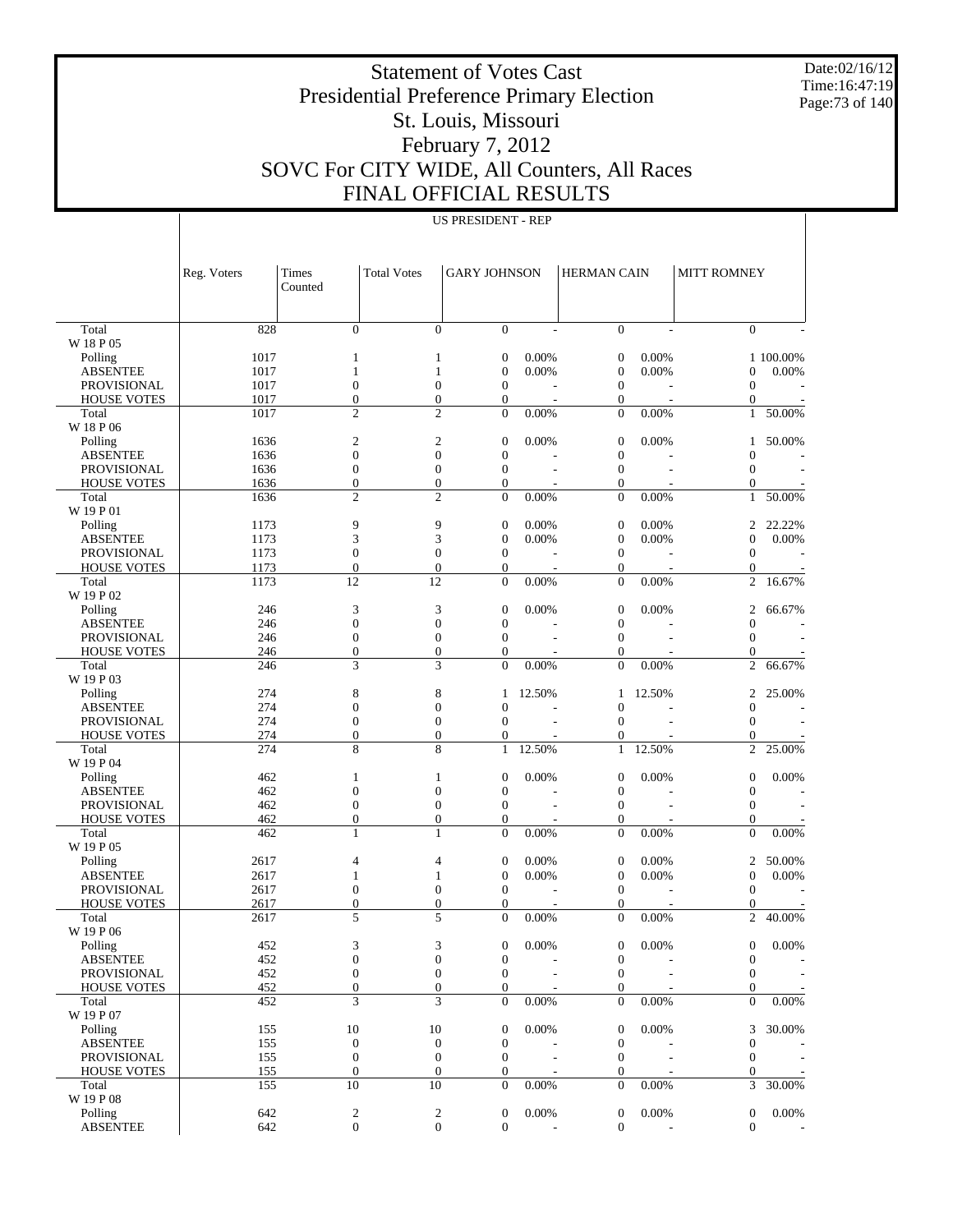Date:02/16/12 Time:16:47:19 Page:73 of 140

#### Statement of Votes Cast Presidential Preference Primary Election St. Louis, Missouri February 7, 2012 SOVC For CITY WIDE, All Counters, All Races FINAL OFFICIAL RESULTS

|                                          | <b>US PRESIDENT - REP</b> |                                      |                                      |                                      |                |                                    |                |                                      |                    |  |  |
|------------------------------------------|---------------------------|--------------------------------------|--------------------------------------|--------------------------------------|----------------|------------------------------------|----------------|--------------------------------------|--------------------|--|--|
|                                          |                           |                                      |                                      |                                      |                |                                    |                |                                      |                    |  |  |
|                                          |                           |                                      |                                      |                                      |                |                                    |                |                                      |                    |  |  |
|                                          | Reg. Voters               | Times                                | <b>Total Votes</b>                   | <b>GARY JOHNSON</b>                  |                | <b>HERMAN CAIN</b>                 |                | <b>MITT ROMNEY</b>                   |                    |  |  |
|                                          |                           | Counted                              |                                      |                                      |                |                                    |                |                                      |                    |  |  |
|                                          |                           |                                      |                                      |                                      |                |                                    |                |                                      |                    |  |  |
| Total                                    | 828                       | $\overline{0}$                       | $\boldsymbol{0}$                     | $\boldsymbol{0}$                     | $\sim$         | $\mathbf{0}$                       |                | $\overline{0}$                       |                    |  |  |
| W 18 P 05                                |                           |                                      |                                      |                                      |                |                                    |                |                                      |                    |  |  |
| Polling<br><b>ABSENTEE</b>               | 1017<br>1017              | 1<br>1                               | 1<br>$\mathbf{1}$                    | $\boldsymbol{0}$<br>$\boldsymbol{0}$ | 0.00%<br>0.00% | $\boldsymbol{0}$<br>$\mathbf{0}$   | 0.00%<br>0.00% | $\boldsymbol{0}$                     | 1 100.00%<br>0.00% |  |  |
| <b>PROVISIONAL</b>                       | 1017                      | $\boldsymbol{0}$                     | $\boldsymbol{0}$                     | $\boldsymbol{0}$                     |                | $\boldsymbol{0}$                   |                | $\boldsymbol{0}$                     |                    |  |  |
| <b>HOUSE VOTES</b>                       | 1017                      | $\boldsymbol{0}$                     | $\mathbf{0}$                         | $\boldsymbol{0}$                     |                | $\boldsymbol{0}$                   |                | $\mathbf{0}$                         |                    |  |  |
| Total                                    | 1017                      | $\overline{c}$                       | $\overline{c}$                       | $\boldsymbol{0}$                     | 0.00%          | $\overline{0}$                     | 0.00%          | $\mathbf{1}$                         | 50.00%             |  |  |
| W 18 P 06<br>Polling                     | 1636                      | $\mathfrak{2}$                       | 2                                    | $\boldsymbol{0}$                     | 0.00%          | $\mathbf{0}$                       | 0.00%          | 1                                    | 50.00%             |  |  |
| <b>ABSENTEE</b>                          | 1636                      | $\boldsymbol{0}$                     | $\boldsymbol{0}$                     | $\boldsymbol{0}$                     |                | $\mathbf{0}$                       |                | $\mathbf{0}$                         |                    |  |  |
| <b>PROVISIONAL</b>                       | 1636                      | $\boldsymbol{0}$                     | $\boldsymbol{0}$                     | $\boldsymbol{0}$                     | $\overline{a}$ | $\boldsymbol{0}$                   |                | $\boldsymbol{0}$                     |                    |  |  |
| <b>HOUSE VOTES</b>                       | 1636                      | $\boldsymbol{0}$                     | $\boldsymbol{0}$                     | $\boldsymbol{0}$                     |                | $\mathbf{0}$                       |                | $\boldsymbol{0}$                     |                    |  |  |
| Total<br>W 19 P 01                       | 1636                      | $\overline{c}$                       | $\overline{c}$                       | $\boldsymbol{0}$                     | 0.00%          | $\overline{0}$                     | 0.00%          | 1                                    | 50.00%             |  |  |
| Polling                                  | 1173                      | 9                                    | 9                                    | $\boldsymbol{0}$                     | 0.00%          | $\mathbf{0}$                       | 0.00%          | $\overline{c}$                       | 22.22%             |  |  |
| <b>ABSENTEE</b>                          | 1173                      | 3                                    | 3                                    | $\boldsymbol{0}$                     | 0.00%          | $\boldsymbol{0}$                   | 0.00%          | $\boldsymbol{0}$                     | 0.00%              |  |  |
| <b>PROVISIONAL</b>                       | 1173                      | $\boldsymbol{0}$                     | $\boldsymbol{0}$                     | $\boldsymbol{0}$                     |                | $\boldsymbol{0}$                   |                | $\boldsymbol{0}$                     |                    |  |  |
| <b>HOUSE VOTES</b><br>Total              | 1173<br>1173              | $\boldsymbol{0}$<br>12               | $\mathbf{0}$<br>12                   | $\boldsymbol{0}$<br>$\boldsymbol{0}$ | 0.00%          | $\boldsymbol{0}$<br>$\overline{0}$ | 0.00%          | $\boldsymbol{0}$<br>$\overline{c}$   | 16.67%             |  |  |
| W 19 P 02                                |                           |                                      |                                      |                                      |                |                                    |                |                                      |                    |  |  |
| Polling                                  | 246                       | 3                                    | 3                                    | $\boldsymbol{0}$                     | 0.00%          | $\boldsymbol{0}$                   | 0.00%          | $\overline{c}$                       | 66.67%             |  |  |
| <b>ABSENTEE</b>                          | 246                       | $\boldsymbol{0}$                     | $\boldsymbol{0}$                     | $\boldsymbol{0}$                     |                | $\mathbf{0}$                       |                | $\boldsymbol{0}$                     |                    |  |  |
| <b>PROVISIONAL</b>                       | 246                       | $\boldsymbol{0}$                     | $\boldsymbol{0}$                     | $\boldsymbol{0}$                     | L,             | $\boldsymbol{0}$                   |                | $\boldsymbol{0}$                     |                    |  |  |
| <b>HOUSE VOTES</b><br>Total              | 246<br>246                | $\boldsymbol{0}$<br>3                | $\boldsymbol{0}$<br>3                | $\boldsymbol{0}$<br>$\overline{0}$   | 0.00%          | $\mathbf{0}$<br>$\overline{0}$     | 0.00%          | $\boldsymbol{0}$<br>$\overline{c}$   | 66.67%             |  |  |
| W 19 P 03                                |                           |                                      |                                      |                                      |                |                                    |                |                                      |                    |  |  |
| Polling                                  | 274                       | 8                                    | 8                                    | 1                                    | 12.50%         | 1                                  | 12.50%         | $\overline{c}$                       | 25.00%             |  |  |
| <b>ABSENTEE</b>                          | 274                       | $\boldsymbol{0}$                     | $\boldsymbol{0}$                     | $\boldsymbol{0}$                     |                | $\mathbf{0}$                       |                | $\boldsymbol{0}$                     |                    |  |  |
| <b>PROVISIONAL</b><br><b>HOUSE VOTES</b> | 274<br>274                | $\boldsymbol{0}$<br>$\boldsymbol{0}$ | $\boldsymbol{0}$<br>$\mathbf{0}$     | $\boldsymbol{0}$<br>$\boldsymbol{0}$ |                | $\boldsymbol{0}$<br>$\mathbf{0}$   |                | $\boldsymbol{0}$<br>0                |                    |  |  |
| Total                                    | 274                       | 8                                    | 8                                    | $\mathbf{1}$                         | 12.50%         | $\mathbf{1}$                       | 12.50%         | $\overline{c}$                       | 25.00%             |  |  |
| W 19 P 04                                |                           |                                      |                                      |                                      |                |                                    |                |                                      |                    |  |  |
| Polling                                  | 462                       | 1                                    | $\mathbf{1}$                         | $\boldsymbol{0}$                     | 0.00%          | $\boldsymbol{0}$                   | 0.00%          | $\boldsymbol{0}$                     | 0.00%              |  |  |
| <b>ABSENTEE</b>                          | 462                       | $\boldsymbol{0}$                     | $\boldsymbol{0}$                     | $\boldsymbol{0}$                     |                | $\mathbf{0}$                       |                | $\mathbf{0}$                         |                    |  |  |
| <b>PROVISIONAL</b><br><b>HOUSE VOTES</b> | 462<br>462                | $\boldsymbol{0}$<br>$\boldsymbol{0}$ | $\boldsymbol{0}$<br>$\boldsymbol{0}$ | $\boldsymbol{0}$<br>$\boldsymbol{0}$ | $\overline{a}$ | $\boldsymbol{0}$<br>$\mathbf{0}$   |                | $\boldsymbol{0}$<br>$\boldsymbol{0}$ |                    |  |  |
| Total                                    | 462                       | 1                                    | 1                                    | $\boldsymbol{0}$                     | 0.00%          | $\mathbf{0}$                       | 0.00%          | $\overline{0}$                       | 0.00%              |  |  |
| W 19 P 05                                |                           |                                      |                                      |                                      |                |                                    |                |                                      |                    |  |  |
| Polling                                  | 2617                      | 4                                    | 4                                    | $\boldsymbol{0}$                     | 0.00%          | $\mathbf{0}$                       | 0.00%          | $\overline{c}$                       | 50.00%             |  |  |
| <b>ABSENTEE</b><br>PROVISIONAL           | 2617<br>2617              | 1<br>$\mathbf{0}$                    | 1<br>0                               | $\boldsymbol{0}$<br>$\boldsymbol{0}$ | 0.00%          | $\mathbf{0}$<br>$\mathbf{0}$       | 0.00%          | $\boldsymbol{0}$<br>$\mathbf{0}$     | 0.00%              |  |  |
| <b>HOUSE VOTES</b>                       | 2617                      | $\theta$                             | $\Omega$                             | $\overline{0}$                       |                | $\Omega$                           |                | $\overline{0}$                       |                    |  |  |
| Total                                    | 2617                      | 5                                    | 5                                    | 0                                    | 0.00%          | $\boldsymbol{0}$                   | 0.00%          | 2                                    | 40.00%             |  |  |
| W 19 P 06                                |                           |                                      |                                      |                                      |                |                                    |                |                                      |                    |  |  |
| Polling<br><b>ABSENTEE</b>               | 452<br>452                | 3<br>$\boldsymbol{0}$                | 3<br>$\boldsymbol{0}$                | $\boldsymbol{0}$<br>$\boldsymbol{0}$ | 0.00%          | $\overline{0}$<br>$\mathbf{0}$     | 0.00%          | $\boldsymbol{0}$<br>$\boldsymbol{0}$ | 0.00%              |  |  |
| PROVISIONAL                              | 452                       | $\boldsymbol{0}$                     | $\boldsymbol{0}$                     | $\boldsymbol{0}$                     |                | $\boldsymbol{0}$                   |                | $\boldsymbol{0}$                     |                    |  |  |
| <b>HOUSE VOTES</b>                       | 452                       | $\boldsymbol{0}$                     | $\boldsymbol{0}$                     | $\boldsymbol{0}$                     |                | $\mathbf{0}$                       |                | $\boldsymbol{0}$                     |                    |  |  |
| Total                                    | 452                       | 3                                    | 3                                    | $\boldsymbol{0}$                     | 0.00%          | $\mathbf{0}$                       | 0.00%          | $\mathbf{0}$                         | 0.00%              |  |  |
| W 19 P 07                                |                           |                                      |                                      |                                      |                |                                    |                |                                      |                    |  |  |
| Polling<br><b>ABSENTEE</b>               | 155<br>155                | 10<br>$\mathbf{0}$                   | 10<br>$\boldsymbol{0}$               | $\boldsymbol{0}$<br>$\boldsymbol{0}$ | 0.00%          | $\mathbf{0}$<br>$\mathbf{0}$       | 0.00%          | 3<br>$\mathbf{0}$                    | 30.00%             |  |  |
| PROVISIONAL                              | 155                       | $\boldsymbol{0}$                     | $\boldsymbol{0}$                     | $\boldsymbol{0}$                     |                | $\boldsymbol{0}$                   |                | $\boldsymbol{0}$                     |                    |  |  |
| <b>HOUSE VOTES</b>                       | 155                       | $\boldsymbol{0}$                     | $\boldsymbol{0}$                     | $\boldsymbol{0}$                     |                | $\theta$                           |                | 0                                    |                    |  |  |
| Total                                    | 155                       | 10                                   | 10                                   | $\overline{0}$                       | 0.00%          | $\mathbf{0}$                       | 0.00%          | 3                                    | 30.00%             |  |  |
| W 19 P 08                                |                           |                                      |                                      |                                      |                |                                    |                |                                      |                    |  |  |

642 2 2 0 0.00% 0 0.00% 0 0.00% 642 0 0 0 - 0 - 0 -

 Polling ABSENTEE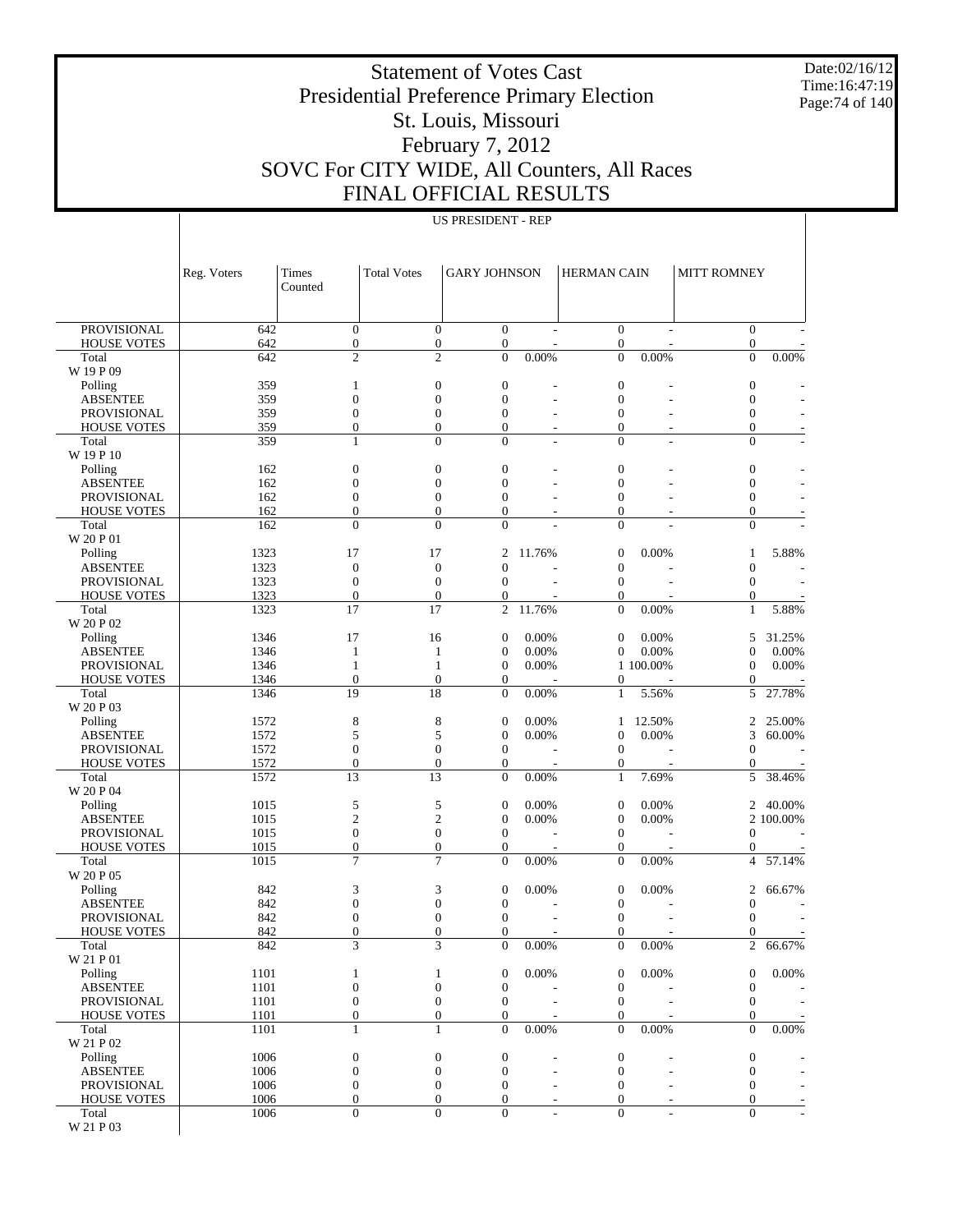Date:02/16/12 Time:16:47:19 Page:74 of 140

#### Statement of Votes Cast Presidential Preference Primary Election St. Louis, Missouri February 7, 2012 SOVC For CITY WIDE, All Counters, All Races FINAL OFFICIAL RESULTS

#### US PRESIDENT - REP

|                                       | Reg. Voters  | Times<br>Counted                     | <b>Total Votes</b>                   | <b>GARY JOHNSON</b>                  |                | <b>HERMAN CAIN</b>                   |                | <b>MITT ROMNEY</b>               |           |
|---------------------------------------|--------------|--------------------------------------|--------------------------------------|--------------------------------------|----------------|--------------------------------------|----------------|----------------------------------|-----------|
|                                       |              |                                      |                                      |                                      |                |                                      |                |                                  |           |
| <b>PROVISIONAL</b>                    | 642          | $\boldsymbol{0}$                     | $\boldsymbol{0}$                     | $\boldsymbol{0}$                     |                | $\mathbf{0}$                         |                | $\mathbf{0}$                     |           |
| <b>HOUSE VOTES</b>                    | 642          | $\boldsymbol{0}$<br>$\overline{c}$   | $\boldsymbol{0}$<br>$\overline{c}$   | $\boldsymbol{0}$<br>$\overline{0}$   |                | $\boldsymbol{0}$<br>$\overline{0}$   |                | $\boldsymbol{0}$                 |           |
| Total<br>W 19 P 09                    | 642          |                                      |                                      |                                      | 0.00%          |                                      | 0.00%          | $\overline{0}$                   | 0.00%     |
| Polling                               | 359          | 1                                    | $\boldsymbol{0}$                     | $\boldsymbol{0}$                     |                | $\boldsymbol{0}$                     |                | $\boldsymbol{0}$                 |           |
| <b>ABSENTEE</b>                       | 359          | $\boldsymbol{0}$                     | $\overline{0}$                       | $\overline{0}$                       |                | $\boldsymbol{0}$                     |                | $\overline{0}$                   |           |
| PROVISIONAL                           | 359          | $\boldsymbol{0}$                     | $\boldsymbol{0}$                     | $\overline{0}$                       |                | $\boldsymbol{0}$                     |                | $\boldsymbol{0}$                 |           |
| <b>HOUSE VOTES</b>                    | 359          | $\boldsymbol{0}$                     | $\boldsymbol{0}$                     | $\boldsymbol{0}$                     | L,             | $\boldsymbol{0}$                     | $\overline{a}$ | $\boldsymbol{0}$                 |           |
| Total<br>W 19 P 10                    | 359          | $\mathbf{1}$                         | $\overline{0}$                       | $\overline{0}$                       | $\overline{a}$ | $\mathbf{0}$                         | ÷.             | $\mathbf{0}$                     |           |
| Polling                               | 162          | $\boldsymbol{0}$                     | $\boldsymbol{0}$                     | $\boldsymbol{0}$                     |                | $\boldsymbol{0}$                     |                | $\boldsymbol{0}$                 |           |
| <b>ABSENTEE</b>                       | 162          | $\boldsymbol{0}$                     | $\overline{0}$                       | $\overline{0}$                       |                | $\boldsymbol{0}$                     |                | $\boldsymbol{0}$                 |           |
| <b>PROVISIONAL</b>                    | 162          | $\boldsymbol{0}$                     | $\boldsymbol{0}$                     | $\mathbf{0}$                         |                | $\boldsymbol{0}$                     |                | $\boldsymbol{0}$                 |           |
| <b>HOUSE VOTES</b>                    | 162          | $\boldsymbol{0}$                     | $\boldsymbol{0}$                     | $\boldsymbol{0}$                     |                | $\boldsymbol{0}$                     |                | $\boldsymbol{0}$                 |           |
| Total<br>W 20 P 01                    | 162          | $\overline{0}$                       | $\overline{0}$                       | $\Omega$                             |                | $\Omega$                             |                | $\Omega$                         |           |
| Polling                               | 1323         | 17                                   | 17                                   | $\overline{2}$                       | 11.76%         | $\boldsymbol{0}$                     | 0.00%          | 1                                | 5.88%     |
| <b>ABSENTEE</b>                       | 1323         | $\boldsymbol{0}$                     | $\boldsymbol{0}$                     | $\overline{0}$                       |                | $\boldsymbol{0}$                     |                | $\boldsymbol{0}$                 |           |
| <b>PROVISIONAL</b>                    | 1323         | $\boldsymbol{0}$                     | $\boldsymbol{0}$                     | $\overline{0}$                       |                | $\boldsymbol{0}$                     |                | $\boldsymbol{0}$                 |           |
| <b>HOUSE VOTES</b>                    | 1323         | $\boldsymbol{0}$                     | $\boldsymbol{0}$                     | $\boldsymbol{0}$                     |                | $\boldsymbol{0}$                     |                | $\mathbf{0}$                     |           |
| Total<br>W 20 P 02                    | 1323         | 17                                   | 17                                   | $\mathbf{2}$                         | 11.76%         | $\boldsymbol{0}$                     | $0.00\%$       | $\mathbf{1}$                     | 5.88%     |
| Polling                               | 1346         | 17                                   | 16                                   | $\boldsymbol{0}$                     | 0.00%          | $\mathbf{0}$                         | 0.00%          | 5                                | 31.25%    |
| <b>ABSENTEE</b>                       | 1346         | 1                                    | $\mathbf{1}$                         | $\boldsymbol{0}$                     | 0.00%          | $\mathbf{0}$                         | 0.00%          | $\mathbf{0}$                     | 0.00%     |
| <b>PROVISIONAL</b>                    | 1346         | $\mathbf{1}$                         | $\mathbf{1}$                         | $\boldsymbol{0}$                     | 0.00%          |                                      | 1 100.00%      | $\boldsymbol{0}$                 | 0.00%     |
| <b>HOUSE VOTES</b>                    | 1346         | $\boldsymbol{0}$                     | $\boldsymbol{0}$                     | $\boldsymbol{0}$                     |                | $\boldsymbol{0}$                     |                | $\mathbf{0}$                     |           |
| Total                                 | 1346         | 19                                   | 18                                   | $\mathbf{0}$                         | 0.00%          | $\mathbf{1}$                         | 5.56%          | 5                                | 27.78%    |
| W 20 P 03<br>Polling                  | 1572         | $\,$ 8 $\,$                          | 8                                    | $\boldsymbol{0}$                     | 0.00%          | 1                                    | 12.50%         | $\overline{c}$                   | 25.00%    |
| <b>ABSENTEE</b>                       | 1572         | 5                                    | 5                                    | $\boldsymbol{0}$                     | 0.00%          | $\boldsymbol{0}$                     | 0.00%          | 3                                | $60.00\%$ |
| <b>PROVISIONAL</b>                    | 1572         | $\boldsymbol{0}$                     | $\boldsymbol{0}$                     | $\boldsymbol{0}$                     |                | $\boldsymbol{0}$                     |                | $\overline{0}$                   |           |
| <b>HOUSE VOTES</b>                    | 1572         | $\boldsymbol{0}$                     | $\boldsymbol{0}$                     | $\boldsymbol{0}$                     |                | $\boldsymbol{0}$                     |                | $\boldsymbol{0}$                 |           |
| Total                                 | 1572         | 13                                   | 13                                   | $\overline{0}$                       | 0.00%          | $\mathbf{1}$                         | 7.69%          | 5                                | 38.46%    |
| W 20 P 04<br>Polling                  | 1015         | 5                                    | 5                                    | $\boldsymbol{0}$                     | 0.00%          | $\boldsymbol{0}$                     | 0.00%          | $\overline{c}$                   | 40.00%    |
| <b>ABSENTEE</b>                       | 1015         | $\mathfrak{2}$                       | $\mathfrak{2}$                       | $\boldsymbol{0}$                     | 0.00%          | $\boldsymbol{0}$                     | 0.00%          |                                  | 2 100.00% |
| <b>PROVISIONAL</b>                    | 1015         | $\boldsymbol{0}$                     | $\boldsymbol{0}$                     | $\boldsymbol{0}$                     |                | $\boldsymbol{0}$                     |                | $\boldsymbol{0}$                 |           |
| <b>HOUSE VOTES</b>                    | 1015         | $\boldsymbol{0}$                     | $\boldsymbol{0}$                     | $\boldsymbol{0}$                     |                | $\boldsymbol{0}$                     |                | $\mathbf{0}$                     |           |
| Total                                 | 1015         | 7                                    | $\overline{7}$                       | $\overline{0}$                       | 0.00%          | $\mathbf{0}$                         | 0.00%          | 4                                | 57.14%    |
| W 20 P 05                             | 842          | 3                                    | 3                                    | $\boldsymbol{0}$                     | 0.00%          | $\boldsymbol{0}$                     | 0.00%          | 2                                | 66.67%    |
| Polling<br><b>ABSENTEE</b>            | 842          | $\boldsymbol{0}$                     | $\mathbf{0}$                         | $\boldsymbol{0}$                     |                | $\boldsymbol{0}$                     |                | $\overline{0}$                   |           |
| PROVISIONAL                           | 842          | $\boldsymbol{0}$                     | $\boldsymbol{0}$                     | $\boldsymbol{0}$                     |                | $\boldsymbol{0}$                     |                | $\overline{0}$                   |           |
| <b>HOUSE VOTES</b>                    | 842          | $\boldsymbol{0}$                     | $\boldsymbol{0}$                     | $\boldsymbol{0}$                     |                | $\boldsymbol{0}$                     |                | $\boldsymbol{0}$                 |           |
| Total                                 | 842          | 3                                    | 3                                    | $\overline{0}$                       | 0.00%          | $\mathbf{0}$                         | 0.00%          | $\overline{c}$                   | 66.67%    |
| W 21 P 01                             |              |                                      |                                      |                                      |                |                                      |                |                                  |           |
| Polling<br><b>ABSENTEE</b>            | 1101<br>1101 | 1<br>$\boldsymbol{0}$                | 1<br>$\boldsymbol{0}$                | $\boldsymbol{0}$<br>$\boldsymbol{0}$ | 0.00%          | $\boldsymbol{0}$<br>$\boldsymbol{0}$ | 0.00%          | $\mathbf{0}$<br>$\boldsymbol{0}$ | 0.00%     |
| PROVISIONAL                           | 1101         | $\boldsymbol{0}$                     | $\boldsymbol{0}$                     | $\boldsymbol{0}$                     |                | $\boldsymbol{0}$                     |                | $\mathbf{0}$                     |           |
| <b>HOUSE VOTES</b>                    | 1101         | $\boldsymbol{0}$                     | $\boldsymbol{0}$                     | $\boldsymbol{0}$                     |                | $\boldsymbol{0}$                     |                | $\mathbf{0}$                     |           |
| Total                                 | 1101         | $\mathbf{1}$                         | $\mathbf{1}$                         | $\boldsymbol{0}$                     | 0.00%          | $\boldsymbol{0}$                     | $0.00\%$       | $\theta$                         | $0.00\%$  |
| W 21 P 02                             |              |                                      |                                      |                                      |                |                                      |                |                                  |           |
| Polling                               | 1006         | $\boldsymbol{0}$                     | $\boldsymbol{0}$<br>$\boldsymbol{0}$ | $\boldsymbol{0}$<br>$\boldsymbol{0}$ |                | $\boldsymbol{0}$<br>$\boldsymbol{0}$ |                | $\boldsymbol{0}$                 |           |
| <b>ABSENTEE</b><br><b>PROVISIONAL</b> | 1006<br>1006 | $\boldsymbol{0}$<br>$\boldsymbol{0}$ | $\boldsymbol{0}$                     | $\mathbf{0}$                         | L,<br>L,       | $\mathbf{0}$                         | $\overline{a}$ | $\boldsymbol{0}$<br>$\mathbf{0}$ |           |
| <b>HOUSE VOTES</b>                    | 1006         | $\boldsymbol{0}$                     | $\boldsymbol{0}$                     | $\boldsymbol{0}$                     |                | $\boldsymbol{0}$                     | $\overline{a}$ | $\boldsymbol{0}$                 |           |
| Total                                 | 1006         | $\boldsymbol{0}$                     | $\overline{0}$                       | $\overline{0}$                       |                | $\mathbf{0}$                         |                | $\mathbf{0}$                     |           |
| W 21 P 03                             |              |                                      |                                      |                                      |                |                                      |                |                                  |           |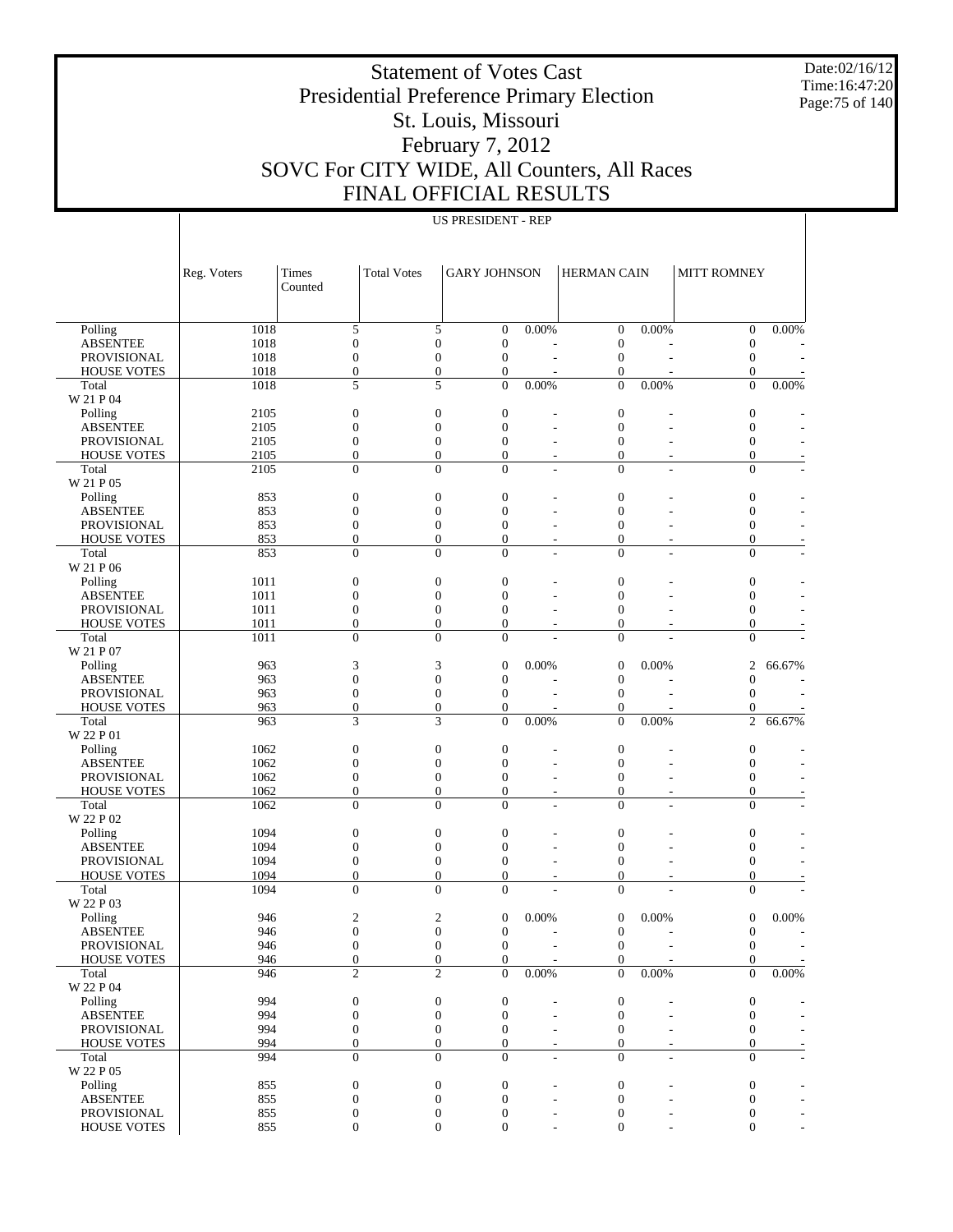Date:02/16/12 Time:16:47:20 Page:75 of 140

#### Statement of Votes Cast Presidential Preference Primary Election St. Louis, Missouri February 7, 2012 SOVC For CITY WIDE, All Counters, All Races FINAL OFFICIAL RESULTS

|                                          | Reg. Voters  | Times<br>Counted                     | <b>Total Votes</b>                   | <b>GARY JOHNSON</b>                  |                          | <b>HERMAN CAIN</b>               |                          | <b>MITT ROMNEY</b>                   |                          |
|------------------------------------------|--------------|--------------------------------------|--------------------------------------|--------------------------------------|--------------------------|----------------------------------|--------------------------|--------------------------------------|--------------------------|
|                                          |              |                                      |                                      |                                      |                          |                                  |                          |                                      |                          |
| Polling                                  | 1018         | 5                                    |                                      | $\overline{0}$<br>5                  | 0.00%                    | $\boldsymbol{0}$                 | 0.00%                    | $\boldsymbol{0}$                     | 0.00%                    |
| <b>ABSENTEE</b>                          | 1018         | $\boldsymbol{0}$                     | $\boldsymbol{0}$                     | $\boldsymbol{0}$                     |                          | $\boldsymbol{0}$                 |                          | $\boldsymbol{0}$                     |                          |
| <b>PROVISIONAL</b>                       | 1018         | $\boldsymbol{0}$                     | $\boldsymbol{0}$                     | $\boldsymbol{0}$                     |                          | $\boldsymbol{0}$                 | ÷,                       | $\boldsymbol{0}$                     |                          |
| <b>HOUSE VOTES</b>                       | 1018         | $\boldsymbol{0}$                     |                                      | $\boldsymbol{0}$<br>$\boldsymbol{0}$ |                          | $\boldsymbol{0}$                 |                          | $\boldsymbol{0}$                     |                          |
| Total                                    | 1018         | 5                                    |                                      | 5<br>$\mathbf{0}$                    | 0.00%                    | $\boldsymbol{0}$                 | 0.00%                    | $\overline{0}$                       | 0.00%                    |
| W 21 P 04                                |              |                                      |                                      |                                      |                          |                                  |                          |                                      |                          |
| Polling                                  | 2105         | $\boldsymbol{0}$                     | $\boldsymbol{0}$                     | $\boldsymbol{0}$                     |                          | $\mathbf{0}$                     |                          | $\boldsymbol{0}$                     |                          |
| <b>ABSENTEE</b>                          | 2105         | $\boldsymbol{0}$                     | $\boldsymbol{0}$                     | $\boldsymbol{0}$                     |                          | $\mathbf{0}$                     |                          | $\boldsymbol{0}$                     |                          |
| <b>PROVISIONAL</b>                       | 2105         | $\boldsymbol{0}$                     | $\overline{0}$                       | $\overline{0}$                       |                          | $\overline{0}$                   |                          | $\boldsymbol{0}$                     |                          |
| <b>HOUSE VOTES</b>                       | 2105         | $\boldsymbol{0}$                     |                                      | $\boldsymbol{0}$<br>$\boldsymbol{0}$ | $\overline{a}$           | $\boldsymbol{0}$                 | $\overline{a}$           | $\boldsymbol{0}$                     |                          |
| Total                                    | 2105         | $\overline{0}$                       |                                      | $\overline{0}$<br>$\overline{0}$     | $\overline{a}$           | $\overline{0}$                   | ÷.                       | $\Omega$                             |                          |
| W 21 P 05<br>Polling                     |              |                                      |                                      |                                      |                          |                                  |                          |                                      |                          |
| <b>ABSENTEE</b>                          | 853<br>853   | $\boldsymbol{0}$<br>$\boldsymbol{0}$ | $\boldsymbol{0}$<br>$\overline{0}$   | $\boldsymbol{0}$<br>$\boldsymbol{0}$ |                          | $\mathbf{0}$<br>$\mathbf{0}$     |                          | $\boldsymbol{0}$<br>$\boldsymbol{0}$ |                          |
| <b>PROVISIONAL</b>                       | 853          | $\boldsymbol{0}$                     | $\boldsymbol{0}$                     | $\overline{0}$                       | $\overline{a}$           | $\mathbf{0}$                     |                          | $\boldsymbol{0}$                     |                          |
| <b>HOUSE VOTES</b>                       | 853          | $\boldsymbol{0}$                     |                                      | $\boldsymbol{0}$<br>$\boldsymbol{0}$ | $\overline{a}$           | $\mathbf{0}$                     | $\overline{a}$           | $\boldsymbol{0}$                     |                          |
| Total                                    | 853          | $\overline{0}$                       |                                      | $\overline{0}$<br>$\overline{0}$     | ÷.                       | $\mathbf{0}$                     | ÷.                       | $\overline{0}$                       |                          |
| W 21 P 06                                |              |                                      |                                      |                                      |                          |                                  |                          |                                      |                          |
| Polling                                  | 1011         | $\boldsymbol{0}$                     | $\boldsymbol{0}$                     | $\boldsymbol{0}$                     |                          | $\mathbf{0}$                     |                          | $\boldsymbol{0}$                     |                          |
| <b>ABSENTEE</b>                          | 1011         | $\boldsymbol{0}$                     | $\boldsymbol{0}$                     | $\boldsymbol{0}$                     |                          | $\mathbf{0}$                     |                          | $\boldsymbol{0}$                     |                          |
| <b>PROVISIONAL</b>                       | 1011         | $\boldsymbol{0}$                     | $\boldsymbol{0}$                     | $\overline{0}$                       |                          | $\mathbf{0}$                     |                          | $\boldsymbol{0}$                     |                          |
| <b>HOUSE VOTES</b>                       | 1011         | $\boldsymbol{0}$                     |                                      | $\boldsymbol{0}$<br>$\boldsymbol{0}$ | $\overline{a}$           | $\boldsymbol{0}$                 | ٠                        | $\mathbf{0}$                         |                          |
| Total                                    | 1011         | $\overline{0}$                       |                                      | $\overline{0}$<br>$\overline{0}$     |                          | $\overline{0}$                   |                          | $\overline{0}$                       |                          |
| W 21 P 07                                |              |                                      |                                      |                                      |                          |                                  |                          |                                      |                          |
| Polling                                  | 963          | 3                                    | 3                                    | $\boldsymbol{0}$                     | 0.00%                    | $\boldsymbol{0}$                 | 0.00%                    | $\overline{c}$                       | 66.67%                   |
| <b>ABSENTEE</b>                          | 963          | $\boldsymbol{0}$                     | $\boldsymbol{0}$                     | $\boldsymbol{0}$                     |                          | $\boldsymbol{0}$                 |                          | $\boldsymbol{0}$                     |                          |
| <b>PROVISIONAL</b>                       | 963          | $\boldsymbol{0}$                     | $\boldsymbol{0}$                     | $\boldsymbol{0}$                     |                          | $\boldsymbol{0}$                 | ÷                        | $\boldsymbol{0}$                     |                          |
| <b>HOUSE VOTES</b>                       | 963          | $\boldsymbol{0}$                     |                                      | $\boldsymbol{0}$<br>$\boldsymbol{0}$ |                          | $\boldsymbol{0}$                 |                          | $\boldsymbol{0}$                     |                          |
| Total                                    | 963          | 3                                    | 3                                    | $\overline{0}$                       | 0.00%                    | $\overline{0}$                   | 0.00%                    | $\overline{2}$                       | 66.67%                   |
| W 22 P 01                                |              |                                      |                                      |                                      |                          |                                  |                          |                                      |                          |
| Polling                                  | 1062         | $\boldsymbol{0}$                     | $\boldsymbol{0}$<br>$\boldsymbol{0}$ | $\boldsymbol{0}$<br>$\boldsymbol{0}$ |                          | $\boldsymbol{0}$<br>$\mathbf{0}$ |                          | $\mathbf{0}$                         |                          |
| <b>ABSENTEE</b>                          | 1062<br>1062 | $\boldsymbol{0}$<br>$\boldsymbol{0}$ | $\boldsymbol{0}$                     | $\overline{0}$                       | $\overline{a}$           | $\mathbf{0}$                     | $\overline{a}$           | $\boldsymbol{0}$<br>$\boldsymbol{0}$ |                          |
| <b>PROVISIONAL</b><br><b>HOUSE VOTES</b> | 1062         | $\boldsymbol{0}$                     |                                      | $\boldsymbol{0}$<br>$\boldsymbol{0}$ | $\overline{a}$           | $\boldsymbol{0}$                 | $\overline{\phantom{a}}$ | $\boldsymbol{0}$                     |                          |
| Total                                    | 1062         | $\overline{0}$                       |                                      | $\overline{0}$<br>$\overline{0}$     | $\overline{a}$           | $\overline{0}$                   |                          | $\theta$                             |                          |
| W 22 P 02                                |              |                                      |                                      |                                      |                          |                                  |                          |                                      |                          |
| Polling                                  | 1094         | $\boldsymbol{0}$                     | $\boldsymbol{0}$                     | $\boldsymbol{0}$                     |                          | $\mathbf{0}$                     |                          | $\boldsymbol{0}$                     |                          |
| <b>ABSENTEE</b>                          | 1094         | $\boldsymbol{0}$                     | $\boldsymbol{0}$                     | $\boldsymbol{0}$                     |                          | $\mathbf{0}$                     |                          | $\boldsymbol{0}$                     |                          |
| <b>PROVISIONAL</b>                       | 1094         | $\boldsymbol{0}$                     | $\boldsymbol{0}$                     | $\overline{0}$                       | $\overline{a}$           | $\mathbf{0}$                     | ÷                        | $\boldsymbol{0}$                     |                          |
| <b>HOUSE VOTES</b>                       | 1094         | $\boldsymbol{0}$                     |                                      | $\boldsymbol{0}$<br>$\boldsymbol{0}$ |                          | $\mathbf{0}$                     |                          | $\boldsymbol{0}$                     |                          |
| Total                                    | 1094         | $\overline{0}$                       |                                      | $\overline{0}$<br>$\overline{0}$     |                          | $\overline{0}$                   |                          | $\overline{0}$                       |                          |
| W 22 P 03                                |              |                                      |                                      |                                      |                          |                                  |                          |                                      |                          |
| Polling                                  | 946          | 2                                    |                                      | 2<br>$\boldsymbol{0}$                | 0.00%                    | $\boldsymbol{0}$                 | 0.00%                    | $\mathbf{0}$                         | $0.00\%$                 |
| <b>ABSENTEE</b>                          | 946          | $\boldsymbol{0}$                     | $\boldsymbol{0}$                     | $\boldsymbol{0}$                     |                          | $\boldsymbol{0}$                 | ÷                        | $\boldsymbol{0}$                     |                          |
| <b>PROVISIONAL</b>                       | 946          | $\Omega$                             | $\Omega$                             | $\overline{0}$                       |                          | $\mathbf{0}$                     |                          | $\overline{0}$                       |                          |
| <b>HOUSE VOTES</b>                       | 946          | $\overline{0}$                       | $\overline{0}$                       | $\boldsymbol{0}$                     |                          | $\boldsymbol{0}$                 |                          | $\boldsymbol{0}$                     | $\overline{\phantom{a}}$ |
| Total<br>W 22 P 04                       | 946          | $\overline{2}$                       |                                      | $\overline{2}$<br>$\boldsymbol{0}$   | 0.00%                    | $\overline{0}$                   | 0.00%                    | $\overline{0}$                       | 0.00%                    |
| Polling                                  | 994          | $\boldsymbol{0}$                     |                                      | $\boldsymbol{0}$<br>$\boldsymbol{0}$ |                          | $\boldsymbol{0}$                 |                          |                                      |                          |
| <b>ABSENTEE</b>                          | 994          | $\boldsymbol{0}$                     | $\boldsymbol{0}$                     | $\mathbf{0}$                         |                          | $\boldsymbol{0}$                 |                          | $\boldsymbol{0}$<br>$\mathbf{0}$     |                          |
| PROVISIONAL                              | 994          | $\boldsymbol{0}$                     |                                      | $\boldsymbol{0}$<br>$\boldsymbol{0}$ |                          | $\boldsymbol{0}$                 |                          | $\mathbf{0}$                         |                          |
| <b>HOUSE VOTES</b>                       | 994          | $\boldsymbol{0}$                     |                                      | $\boldsymbol{0}$<br>$\boldsymbol{0}$ |                          | $\boldsymbol{0}$                 |                          | $\mathbf{0}$                         |                          |
| Total                                    | 994          | $\boldsymbol{0}$                     |                                      | $\boldsymbol{0}$<br>$\overline{0}$   | $\overline{\phantom{a}}$ | $\overline{0}$                   | $\overline{a}$           | $\Omega$                             | $\overline{a}$           |
| W 22 P 05                                |              |                                      |                                      |                                      |                          |                                  |                          |                                      |                          |
| Polling                                  | 855          | $\boldsymbol{0}$                     |                                      | $\boldsymbol{0}$<br>$\boldsymbol{0}$ |                          | $\boldsymbol{0}$                 |                          | $\boldsymbol{0}$                     |                          |
| <b>ABSENTEE</b>                          | 855          | $\boldsymbol{0}$                     | $\boldsymbol{0}$                     | $\boldsymbol{0}$                     |                          | $\boldsymbol{0}$                 |                          | $\mathbf{0}$                         |                          |
| PROVISIONAL                              | 855          | $\boldsymbol{0}$                     |                                      | $\boldsymbol{0}$<br>$\boldsymbol{0}$ |                          | $\boldsymbol{0}$                 |                          | $\boldsymbol{0}$                     |                          |
| HOUSE VOTES                              | 855          | $\boldsymbol{0}$                     |                                      | $\boldsymbol{0}$<br>$\boldsymbol{0}$ |                          | $\boldsymbol{0}$                 |                          | $\overline{0}$                       |                          |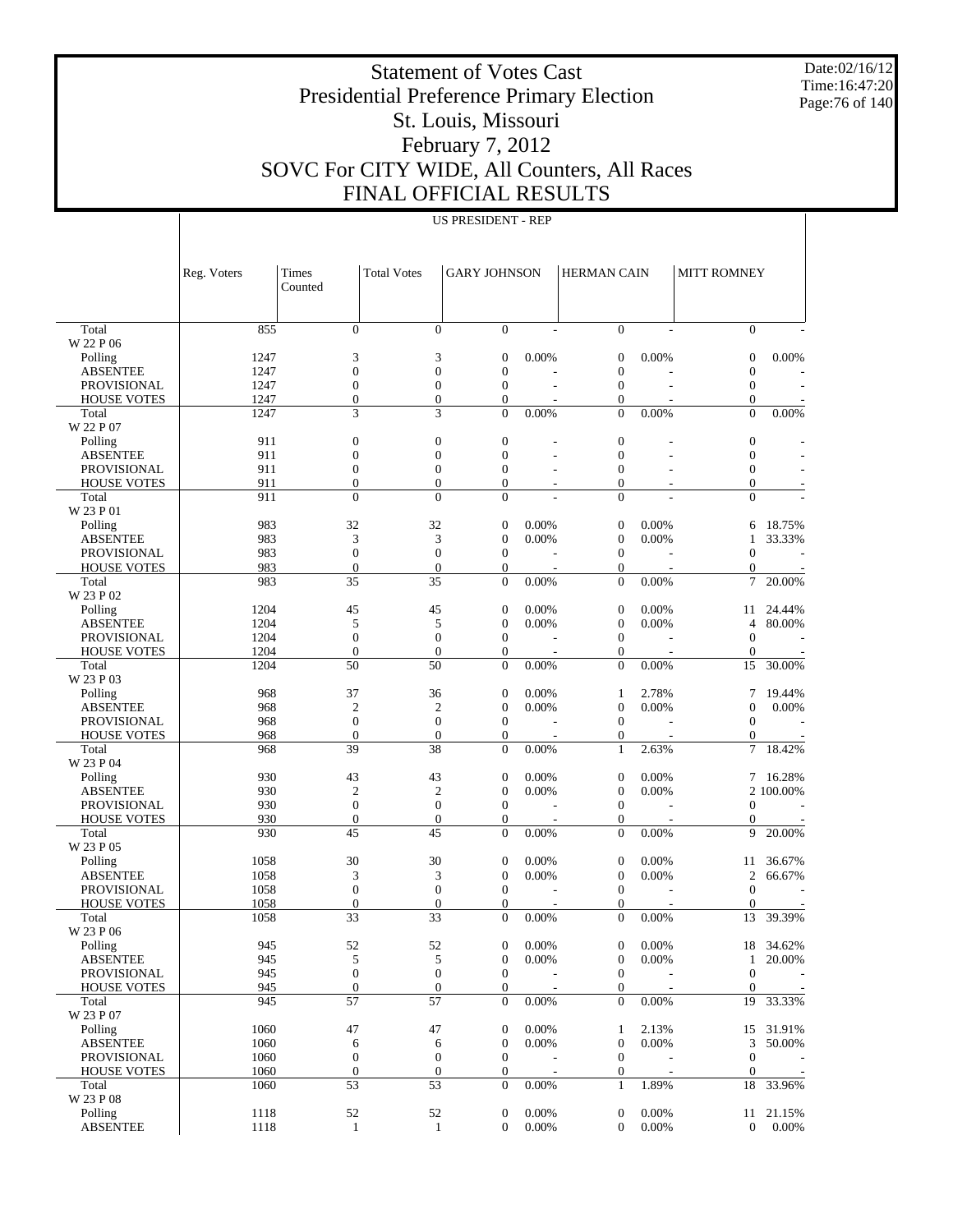Date:02/16/12 Time:16:47:20 Page:76 of 140

#### Statement of Votes Cast Presidential Preference Primary Election St. Louis, Missouri February 7, 2012 SOVC For CITY WIDE, All Counters, All Races FINAL OFFICIAL RESULTS

|                                       | Reg. Voters  | <b>Times</b>                         | <b>Total Votes</b>                   | <b>GARY JOHNSON</b>                  |                | <b>HERMAN CAIN</b>                   |                | <b>MITT ROMNEY</b>                 |                  |
|---------------------------------------|--------------|--------------------------------------|--------------------------------------|--------------------------------------|----------------|--------------------------------------|----------------|------------------------------------|------------------|
|                                       |              | Counted                              |                                      |                                      |                |                                      |                |                                    |                  |
| Total                                 | 855          | $\overline{0}$                       | $\overline{0}$                       | $\Omega$                             |                | $\mathbf{0}$                         |                | $\overline{0}$                     |                  |
| W 22 P 06                             |              |                                      |                                      |                                      |                |                                      |                |                                    |                  |
| Polling                               | 1247         | 3                                    | 3                                    | $\overline{0}$                       | 0.00%          | $\boldsymbol{0}$                     | 0.00%          | $\overline{0}$                     | 0.00%            |
| <b>ABSENTEE</b>                       | 1247         | $\boldsymbol{0}$                     | $\boldsymbol{0}$                     | $\boldsymbol{0}$                     |                | $\boldsymbol{0}$                     |                | $\boldsymbol{0}$                   |                  |
| <b>PROVISIONAL</b>                    | 1247         | $\boldsymbol{0}$                     | $\boldsymbol{0}$                     | $\boldsymbol{0}$                     |                | $\boldsymbol{0}$                     | ÷.             | $\boldsymbol{0}$                   |                  |
| <b>HOUSE VOTES</b>                    | 1247         | $\boldsymbol{0}$                     | $\boldsymbol{0}$                     | $\boldsymbol{0}$                     |                | $\boldsymbol{0}$                     |                | $\mathbf{0}$                       |                  |
| Total                                 | 1247         | 3                                    | 3                                    | $\overline{0}$                       | 0.00%          | $\Omega$                             | 0.00%          | $\theta$                           | 0.00%            |
| W 22 P 07                             |              |                                      |                                      |                                      |                |                                      |                |                                    |                  |
| Polling<br><b>ABSENTEE</b>            | 911<br>911   | $\boldsymbol{0}$<br>$\boldsymbol{0}$ | $\boldsymbol{0}$<br>$\boldsymbol{0}$ | $\boldsymbol{0}$<br>$\overline{0}$   |                | $\boldsymbol{0}$<br>$\boldsymbol{0}$ |                | $\boldsymbol{0}$<br>$\mathbf{0}$   |                  |
| <b>PROVISIONAL</b>                    | 911          | $\boldsymbol{0}$                     | $\boldsymbol{0}$                     | $\boldsymbol{0}$                     |                | $\boldsymbol{0}$                     |                | $\mathbf{0}$                       |                  |
| <b>HOUSE VOTES</b>                    | 911          | $\overline{0}$                       | $\boldsymbol{0}$                     | $\overline{0}$                       |                | $\mathbf{0}$                         |                | $\overline{0}$                     |                  |
| Total                                 | 911          | $\overline{0}$                       | $\theta$                             | $\Omega$                             |                | $\mathbf{0}$                         |                | $\theta$                           |                  |
| W 23 P 01                             |              |                                      |                                      |                                      |                |                                      |                |                                    |                  |
| Polling                               | 983          | 32                                   | 32                                   | $\boldsymbol{0}$                     | 0.00%          | $\boldsymbol{0}$                     | 0.00%          | 6                                  | 18.75%           |
| <b>ABSENTEE</b>                       | 983          | 3                                    | 3                                    | $\boldsymbol{0}$                     | 0.00%          | $\boldsymbol{0}$                     | 0.00%          | 1                                  | 33.33%           |
| <b>PROVISIONAL</b>                    | 983          | $\boldsymbol{0}$                     | $\boldsymbol{0}$                     | $\boldsymbol{0}$                     |                | $\boldsymbol{0}$                     |                | $\overline{0}$                     |                  |
| <b>HOUSE VOTES</b>                    | 983          | $\overline{0}$                       | $\boldsymbol{0}$                     | $\boldsymbol{0}$                     |                | $\mathbf{0}$                         |                | $\mathbf{0}$<br>7                  |                  |
| Total<br>W 23 P 02                    | 983          | 35                                   | 35                                   | $\overline{0}$                       | 0.00%          | $\mathbf{0}$                         | 0.00%          |                                    | 20.00%           |
| Polling                               | 1204         | 45                                   | 45                                   | $\overline{0}$                       | 0.00%          | $\boldsymbol{0}$                     | 0.00%          | 11                                 | 24.44%           |
| <b>ABSENTEE</b>                       | 1204         | 5                                    | 5                                    | $\boldsymbol{0}$                     | 0.00%          | $\boldsymbol{0}$                     | 0.00%          | 4                                  | 80.00%           |
| <b>PROVISIONAL</b>                    | 1204         | $\boldsymbol{0}$                     | $\boldsymbol{0}$                     | $\boldsymbol{0}$                     |                | $\boldsymbol{0}$                     |                | $\boldsymbol{0}$                   |                  |
| <b>HOUSE VOTES</b>                    | 1204         | $\overline{0}$                       | $\mathbf{0}$                         | $\boldsymbol{0}$                     |                | $\mathbf{0}$                         |                | $\boldsymbol{0}$                   |                  |
| Total                                 | 1204         | 50                                   | 50                                   | $\mathbf{0}$                         | 0.00%          | $\mathbf{0}$                         | 0.00%          | 15                                 | 30.00%           |
| W 23 P 03                             |              |                                      |                                      |                                      |                |                                      |                |                                    |                  |
| Polling                               | 968          | 37                                   | 36                                   | $\boldsymbol{0}$                     | 0.00%          | $\mathbf{1}$                         | 2.78%          | 7                                  | 19.44%           |
| <b>ABSENTEE</b>                       | 968          | $\overline{2}$                       | $\overline{2}$                       | $\boldsymbol{0}$                     | 0.00%          | $\boldsymbol{0}$                     | 0.00%          | $\boldsymbol{0}$                   | 0.00%            |
| <b>PROVISIONAL</b>                    | 968          | $\boldsymbol{0}$                     | $\boldsymbol{0}$                     | $\boldsymbol{0}$                     |                | $\boldsymbol{0}$                     |                | $\boldsymbol{0}$                   |                  |
| <b>HOUSE VOTES</b><br>Total           | 968<br>968   | $\overline{0}$<br>39                 | $\boldsymbol{0}$<br>38               | $\boldsymbol{0}$<br>$\overline{0}$   | 0.00%          | $\mathbf{0}$<br>$\mathbf{1}$         | 2.63%          | $\boldsymbol{0}$<br>$\overline{7}$ | 18.42%           |
| W 23 P 04                             |              |                                      |                                      |                                      |                |                                      |                |                                    |                  |
| Polling                               | 930          | 43                                   | 43                                   | $\boldsymbol{0}$                     | 0.00%          | $\boldsymbol{0}$                     | 0.00%          | 7                                  | 16.28%           |
| <b>ABSENTEE</b>                       | 930          | $\overline{2}$                       | $\overline{2}$                       | $\boldsymbol{0}$                     | 0.00%          | $\boldsymbol{0}$                     | 0.00%          |                                    | 2 100.00%        |
| <b>PROVISIONAL</b>                    | 930          | $\boldsymbol{0}$                     | $\boldsymbol{0}$                     | $\boldsymbol{0}$                     |                | $\boldsymbol{0}$                     |                | $\boldsymbol{0}$                   |                  |
| <b>HOUSE VOTES</b>                    | 930          | $\overline{0}$                       | $\boldsymbol{0}$                     | $\boldsymbol{0}$                     |                | $\mathbf{0}$                         |                | $\boldsymbol{0}$                   |                  |
| Total                                 | 930          | 45                                   | 45                                   | $\mathbf{0}$                         | 0.00%          | $\mathbf{0}$                         | 0.00%          | 9                                  | 20.00%           |
| W 23 P 05                             |              |                                      |                                      |                                      |                |                                      |                |                                    |                  |
| Polling                               | 1058         | 30                                   | 30                                   | $\boldsymbol{0}$                     | 0.00%          | $\boldsymbol{0}$                     | 0.00%          | 11                                 | 36.67%           |
| <b>ABSENTEE</b><br><b>PROVISIONAL</b> | 1058<br>1058 | 3<br>$\boldsymbol{0}$                | 3<br>$\overline{0}$                  | $\boldsymbol{0}$<br>$\boldsymbol{0}$ | 0.00%          | $\boldsymbol{0}$<br>$\boldsymbol{0}$ | 0.00%          | $\overline{c}$<br>$\mathbf{0}$     | 66.67%           |
| <b>HOUSE VOTES</b>                    | 1058         | $\overline{0}$                       | $\overline{0}$                       | $\overline{0}$                       |                | $\boldsymbol{0}$                     |                | $\overline{0}$                     |                  |
| Total                                 | 1058         | 33                                   | 33                                   | $\mathbf{0}$                         | 0.00%          | $\mathbf{0}$                         | 0.00%          | 13                                 | 39.39%           |
| W 23 P 06                             |              |                                      |                                      |                                      |                |                                      |                |                                    |                  |
| Polling                               | 945          | 52                                   | 52                                   | $\boldsymbol{0}$                     | 0.00%          | $\boldsymbol{0}$                     | 0.00%          |                                    | 18 34.62%        |
| <b>ABSENTEE</b>                       | 945          | 5                                    | 5                                    | $\boldsymbol{0}$                     | $0.00\%$       | $\boldsymbol{0}$                     | $0.00\%$       | 1                                  | 20.00%           |
| PROVISIONAL                           | 945          | $\boldsymbol{0}$                     | $\boldsymbol{0}$                     | $\boldsymbol{0}$                     |                | $\boldsymbol{0}$                     |                | $\boldsymbol{0}$                   |                  |
| <b>HOUSE VOTES</b>                    | 945          | $\mathbf{0}$                         | $\boldsymbol{0}$                     | $\boldsymbol{0}$                     |                | $\boldsymbol{0}$                     |                | $\boldsymbol{0}$                   |                  |
| Total                                 | 945          | 57                                   | 57                                   | $\boldsymbol{0}$                     | 0.00%          | $\boldsymbol{0}$                     | $0.00\%$       | 19                                 | 33.33%           |
| W 23 P 07                             |              |                                      |                                      |                                      |                |                                      |                |                                    |                  |
| Polling<br><b>ABSENTEE</b>            | 1060<br>1060 | 47<br>6                              | 47<br>6                              | $\boldsymbol{0}$<br>$\boldsymbol{0}$ | 0.00%<br>0.00% | $\mathbf{1}$<br>$\boldsymbol{0}$     | 2.13%<br>0.00% | 15<br>3                            | 31.91%<br>50.00% |
| PROVISIONAL                           | 1060         | $\boldsymbol{0}$                     | $\boldsymbol{0}$                     | $\boldsymbol{0}$                     |                | $\boldsymbol{0}$                     |                | $\boldsymbol{0}$                   |                  |
| <b>HOUSE VOTES</b>                    | 1060         | $\mathbf{0}$                         | $\boldsymbol{0}$                     | $\mathbf{0}$                         |                | $\boldsymbol{0}$                     |                | $\boldsymbol{0}$                   |                  |
| Total                                 | 1060         | 53                                   | 53                                   | $\boldsymbol{0}$                     | 0.00%          | $\mathbf{1}$                         | 1.89%          | 18                                 | 33.96%           |
| W 23 P 08                             |              |                                      |                                      |                                      |                |                                      |                |                                    |                  |
| Polling                               | 1118         | 52                                   | 52                                   | $\boldsymbol{0}$                     | 0.00%          | $\boldsymbol{0}$                     | 0.00%          | 11                                 | 21.15%           |
| <b>ABSENTEE</b>                       | 1118         | $\mathbf{1}$                         | $\mathbf{1}$                         | $\mathbf{0}$                         | 0.00%          | $\mathbf{0}$                         | 0.00%          | $\boldsymbol{0}$                   | 0.00%            |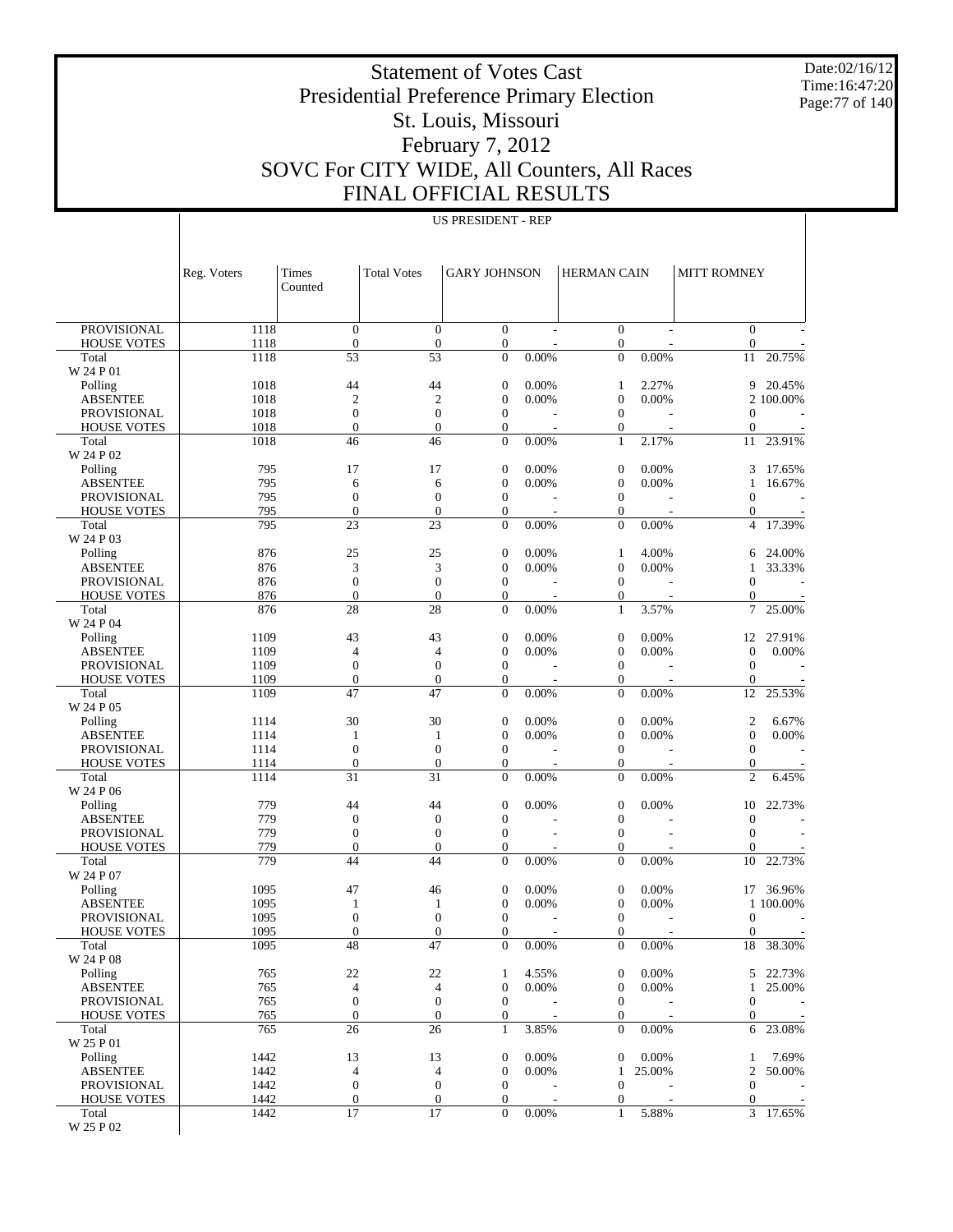Date:02/16/12 Time:16:47:20 Page:77 of 140

#### Statement of Votes Cast Presidential Preference Primary Election St. Louis, Missouri February 7, 2012 SOVC For CITY WIDE, All Counters, All Races FINAL OFFICIAL RESULTS

| US PRESIDENT - REP |  |
|--------------------|--|
|--------------------|--|

|                                | Reg. Voters  | Times<br>Counted                     | <b>Total Votes</b>                   | <b>GARY JOHNSON</b>              |       | <b>HERMAN CAIN</b>                   |                | <b>MITT ROMNEY</b>                   |           |
|--------------------------------|--------------|--------------------------------------|--------------------------------------|----------------------------------|-------|--------------------------------------|----------------|--------------------------------------|-----------|
| <b>PROVISIONAL</b>             | 1118         | $\overline{0}$                       | $\mathbf{0}$                         | $\overline{0}$                   |       | $\boldsymbol{0}$                     | $\overline{a}$ | $\overline{0}$                       |           |
| <b>HOUSE VOTES</b>             | 1118         | $\boldsymbol{0}$                     | $\boldsymbol{0}$                     | $\mathbf{0}$                     |       | $\boldsymbol{0}$                     |                | $\boldsymbol{0}$                     |           |
| Total                          | 1118         | 53                                   | 53                                   | $\overline{0}$                   | 0.00% | $\overline{0}$                       | 0.00%          | 11                                   | 20.75%    |
| W 24 P 01<br>Polling           | 1018         | 44                                   | 44                                   | $\boldsymbol{0}$                 | 0.00% | $\mathbf{1}$                         | 2.27%          | 9                                    | 20.45%    |
| <b>ABSENTEE</b>                | 1018         | $\overline{2}$                       | $\mathfrak{2}$                       | $\mathbf{0}$                     | 0.00% | $\boldsymbol{0}$                     | 0.00%          |                                      | 2 100.00% |
| <b>PROVISIONAL</b>             | 1018         | $\overline{0}$                       | $\mathbf{0}$                         | $\mathbf{0}$                     |       | $\boldsymbol{0}$                     |                | $\mathbf{0}$                         |           |
| <b>HOUSE VOTES</b>             | 1018         | $\overline{0}$                       | $\overline{0}$                       | $\mathbf{0}$                     |       | $\boldsymbol{0}$                     |                | $\boldsymbol{0}$                     |           |
| Total                          | 1018         | 46                                   | 46                                   | $\mathbf{0}$                     | 0.00% | $\mathbf{1}$                         | 2.17%          | 11                                   | 23.91%    |
| W 24 P 02                      |              |                                      |                                      |                                  |       |                                      |                |                                      |           |
| Polling                        | 795          | 17                                   | 17                                   | $\boldsymbol{0}$                 | 0.00% | $\boldsymbol{0}$                     | 0.00%          | 3                                    | 17.65%    |
| <b>ABSENTEE</b>                | 795          | 6                                    | 6                                    | $\boldsymbol{0}$                 | 0.00% | $\boldsymbol{0}$                     | 0.00%          | 1                                    | 16.67%    |
| <b>PROVISIONAL</b>             | 795<br>795   | $\boldsymbol{0}$<br>$\boldsymbol{0}$ | $\boldsymbol{0}$<br>$\boldsymbol{0}$ | $\boldsymbol{0}$                 |       | $\boldsymbol{0}$                     |                | $\boldsymbol{0}$                     |           |
| <b>HOUSE VOTES</b><br>Total    | 795          | 23                                   | 23                                   | $\mathbf{0}$<br>$\mathbf{0}$     | 0.00% | $\boldsymbol{0}$<br>$\mathbf{0}$     | 0.00%          | 0<br>$\overline{4}$                  | 17.39%    |
| W 24 P 03                      |              |                                      |                                      |                                  |       |                                      |                |                                      |           |
| Polling                        | 876          | 25                                   | 25                                   | $\boldsymbol{0}$                 | 0.00% | $\mathbf{1}$                         | 4.00%          | 6                                    | 24.00%    |
| <b>ABSENTEE</b>                | 876          | 3                                    | 3                                    | $\mathbf{0}$                     | 0.00% | $\boldsymbol{0}$                     | 0.00%          | 1                                    | 33.33%    |
| <b>PROVISIONAL</b>             | 876          | $\boldsymbol{0}$                     | $\boldsymbol{0}$                     | $\mathbf{0}$                     |       | $\boldsymbol{0}$                     |                | $\boldsymbol{0}$                     |           |
| <b>HOUSE VOTES</b>             | 876          | $\boldsymbol{0}$                     | $\boldsymbol{0}$                     | $\mathbf{0}$                     |       | $\boldsymbol{0}$                     |                | $\mathbf{0}$                         |           |
| Total<br>W 24 P 04             | 876          | 28                                   | 28                                   | $\mathbf{0}$                     | 0.00% | $\mathbf{1}$                         | 3.57%          | 7                                    | 25.00%    |
| Polling                        | 1109         | 43                                   | 43                                   | $\boldsymbol{0}$                 | 0.00% | $\boldsymbol{0}$                     | 0.00%          | 12                                   | 27.91%    |
| <b>ABSENTEE</b>                | 1109         | $\overline{4}$                       | $\overline{4}$                       | $\boldsymbol{0}$                 | 0.00% | $\boldsymbol{0}$                     | 0.00%          | $\boldsymbol{0}$                     | 0.00%     |
| <b>PROVISIONAL</b>             | 1109         | $\mathbf{0}$                         | $\boldsymbol{0}$                     | $\boldsymbol{0}$                 |       | $\boldsymbol{0}$                     |                | $\boldsymbol{0}$                     |           |
| <b>HOUSE VOTES</b>             | 1109         | $\mathbf{0}$                         | $\boldsymbol{0}$<br>47               | $\mathbf{0}$                     |       | $\boldsymbol{0}$                     |                | $\mathbf{0}$                         |           |
| Total<br>W 24 P 05             | 1109         | 47                                   |                                      | $\mathbf{0}$                     | 0.00% | $\mathbf{0}$                         | 0.00%          | 12                                   | 25.53%    |
| Polling                        | 1114         | 30                                   | 30                                   | $\boldsymbol{0}$                 | 0.00% | $\boldsymbol{0}$                     | 0.00%          | $\boldsymbol{2}$                     | 6.67%     |
| <b>ABSENTEE</b>                | 1114         | 1                                    | $\mathbf{1}$                         | $\mathbf{0}$                     | 0.00% | $\boldsymbol{0}$                     | 0.00%          | $\boldsymbol{0}$                     | 0.00%     |
| <b>PROVISIONAL</b>             | 1114         | $\mathbf{0}$                         | $\mathbf{0}$                         | $\mathbf{0}$                     |       | $\boldsymbol{0}$                     |                | $\mathbf{0}$                         |           |
| <b>HOUSE VOTES</b>             | 1114         | $\boldsymbol{0}$                     | $\boldsymbol{0}$                     | $\mathbf{0}$                     |       | $\boldsymbol{0}$                     |                | $\boldsymbol{0}$                     |           |
| Total<br>W 24 P 06             | 1114         | 31                                   | 31                                   | $\mathbf{0}$                     | 0.00% | $\overline{0}$                       | 0.00%          | $\overline{2}$                       | 6.45%     |
| Polling                        | 779          | 44                                   | 44                                   | $\mathbf{0}$                     | 0.00% | $\boldsymbol{0}$                     | 0.00%          | 10                                   | 22.73%    |
| <b>ABSENTEE</b>                | 779          | $\boldsymbol{0}$                     | $\boldsymbol{0}$                     | $\boldsymbol{0}$                 |       | $\boldsymbol{0}$                     |                | $\boldsymbol{0}$                     |           |
| <b>PROVISIONAL</b>             | 779          | $\boldsymbol{0}$                     | $\boldsymbol{0}$                     | $\mathbf{0}$                     |       | $\boldsymbol{0}$                     |                | $\boldsymbol{0}$                     |           |
| <b>HOUSE VOTES</b>             | 779          | $\overline{0}$                       | $\boldsymbol{0}$                     | $\mathbf{0}$                     |       | $\boldsymbol{0}$                     |                | $\theta$                             |           |
| Total<br>W 24 P 07             | 779          | 44                                   | 44                                   | $\mathbf{0}$                     | 0.00% | $\mathbf{0}$                         | 0.00%          | 10                                   | 22.73%    |
| Polling                        | 1095         | 47                                   | 46                                   | $\boldsymbol{0}$                 | 0.00% | $\boldsymbol{0}$                     | 0.00%          | 17                                   | 36.96%    |
| <b>ABSENTEE</b>                | 1095         | 1                                    | 1                                    | $\mathbf{0}$                     | 0.00% | $\boldsymbol{0}$                     | 0.00%          |                                      | 1 100.00% |
| <b>PROVISIONAL</b>             | 1095         | $\mathbf{0}$                         | $\boldsymbol{0}$                     | $\boldsymbol{0}$                 |       | $\boldsymbol{0}$                     |                | $\boldsymbol{0}$                     |           |
| <b>HOUSE VOTES</b>             | 1095         | $\overline{0}$                       | $\boldsymbol{0}$                     | $\mathbf{0}$                     |       | $\boldsymbol{0}$<br>$\Omega$         |                | $\boldsymbol{0}$<br>18               |           |
| Total<br>W 24 P 08             | 1095         | $\overline{48}$                      | $\overline{47}$                      | $\boldsymbol{0}$                 | 0.00% |                                      | 0.00%          |                                      | 38.30%    |
| Polling                        | 765          | $22\,$                               | 22                                   | 1                                | 4.55% | $\mathbf{0}$                         | 0.00%          | 5                                    | 22.73%    |
| <b>ABSENTEE</b>                | 765          | $\overline{4}$                       | $\overline{4}$                       | $\boldsymbol{0}$                 | 0.00% | $\boldsymbol{0}$                     | 0.00%          | 1                                    | 25.00%    |
| PROVISIONAL                    | 765          | $\boldsymbol{0}$                     | $\boldsymbol{0}$                     | $\mathbf{0}$                     |       | $\boldsymbol{0}$                     |                | $\boldsymbol{0}$                     |           |
| <b>HOUSE VOTES</b><br>Total    | 765<br>765   | $\boldsymbol{0}$<br>26               | $\boldsymbol{0}$<br>26               | $\boldsymbol{0}$<br>$\mathbf{1}$ | 3.85% | $\boldsymbol{0}$<br>$\boldsymbol{0}$ | 0.00%          | 0<br>6                               | 23.08%    |
| W 25 P 01                      |              |                                      |                                      |                                  |       |                                      |                |                                      |           |
| Polling                        | 1442         | 13                                   | 13                                   | $\boldsymbol{0}$                 | 0.00% | $\boldsymbol{0}$                     | 0.00%          | $\mathbf{1}$                         | 7.69%     |
| <b>ABSENTEE</b><br>PROVISIONAL | 1442<br>1442 | $\overline{4}$<br>$\boldsymbol{0}$   | $\overline{4}$<br>$\boldsymbol{0}$   | $\boldsymbol{0}$<br>$\mathbf{0}$ | 0.00% | 1<br>$\boldsymbol{0}$                | 25.00%         | $\boldsymbol{2}$<br>$\boldsymbol{0}$ | 50.00%    |
| <b>HOUSE VOTES</b>             | 1442         | $\boldsymbol{0}$                     | $\boldsymbol{0}$                     | $\boldsymbol{0}$                 |       | $\boldsymbol{0}$                     |                | $\boldsymbol{0}$                     |           |
| Total                          | 1442         | 17                                   | 17                                   | $\mathbf{0}$                     | 0.00% | $\mathbf{1}$                         | 5.88%          |                                      | 3 17.65%  |
| W 25 P 02                      |              |                                      |                                      |                                  |       |                                      |                |                                      |           |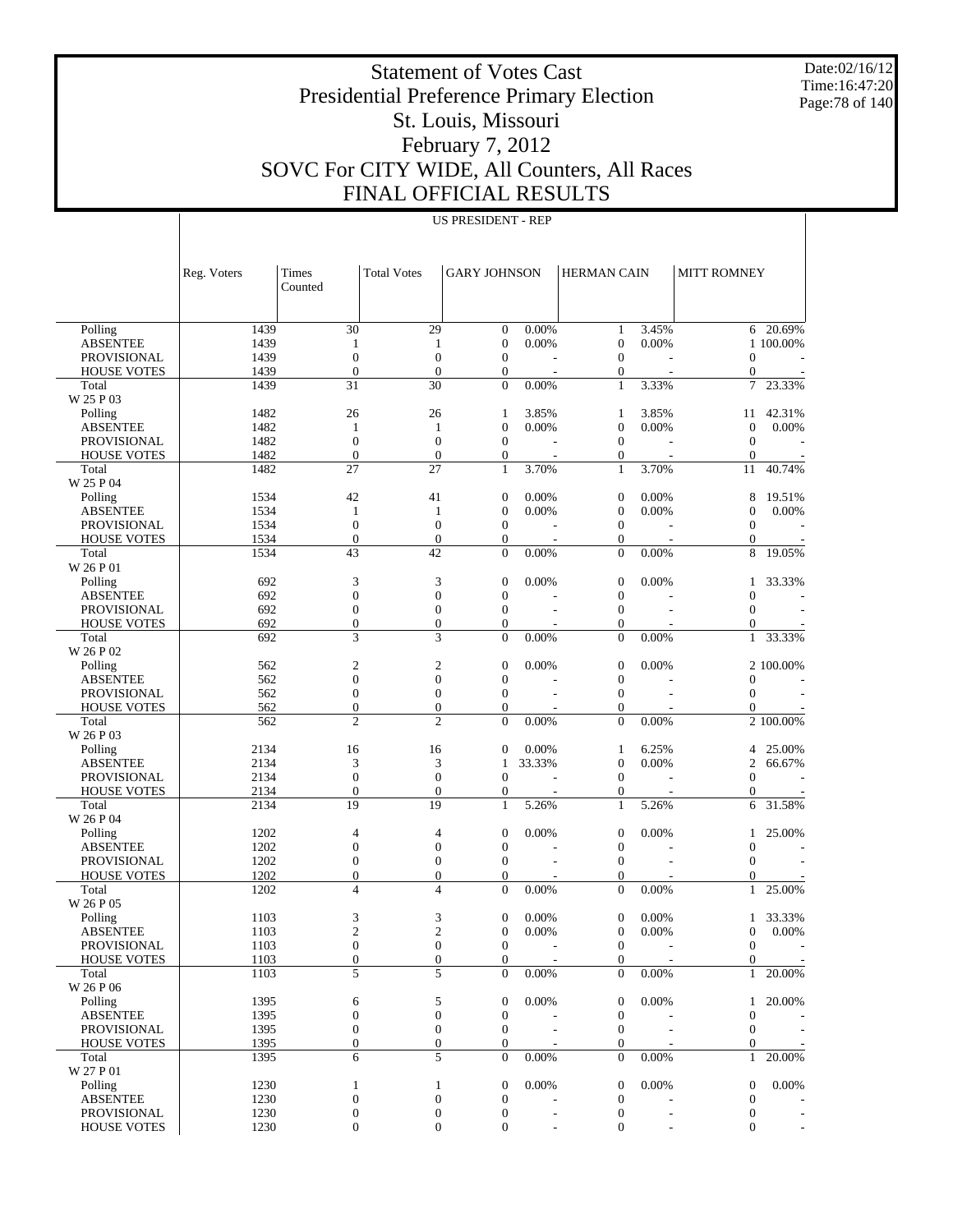Date:02/16/12 Time:16:47:20 Page:78 of 140

#### Statement of Votes Cast Presidential Preference Primary Election St. Louis, Missouri February 7, 2012 SOVC For CITY WIDE, All Counters, All Races FINAL OFFICIAL RESULTS

|                                          | Reg. Voters  | Times<br>Counted                   | <b>Total Votes</b>                   | <b>GARY JOHNSON</b>              |        | HERMAN CAIN                          |       | <b>MITT ROMNEY</b>                 |                |
|------------------------------------------|--------------|------------------------------------|--------------------------------------|----------------------------------|--------|--------------------------------------|-------|------------------------------------|----------------|
|                                          |              |                                    |                                      |                                  |        |                                      |       |                                    |                |
| Polling                                  | 1439         | 30                                 | 29                                   | $\boldsymbol{0}$                 | 0.00%  | $\mathbf{1}$                         | 3.45% | 6                                  | 20.69%         |
| <b>ABSENTEE</b>                          | 1439         | 1<br>$\boldsymbol{0}$              | 1<br>$\boldsymbol{0}$                | $\mathbf{0}$                     | 0.00%  | $\boldsymbol{0}$                     | 0.00% |                                    | 1 100.00%      |
| <b>PROVISIONAL</b><br><b>HOUSE VOTES</b> | 1439<br>1439 | $\boldsymbol{0}$                   | $\boldsymbol{0}$                     | $\mathbf{0}$<br>$\boldsymbol{0}$ |        | $\boldsymbol{0}$<br>$\boldsymbol{0}$ |       | $\boldsymbol{0}$<br>$\theta$       |                |
| Total                                    | 1439         | 31                                 | 30                                   | $\mathbf{0}$                     | 0.00%  | $\mathbf{1}$                         | 3.33% | $\overline{7}$                     | 23.33%         |
| W 25 P 03                                |              |                                    |                                      |                                  |        |                                      |       |                                    |                |
| Polling                                  | 1482         | 26                                 | 26                                   | 1                                | 3.85%  | $\mathbf{1}$                         | 3.85% | 11                                 | 42.31%         |
| <b>ABSENTEE</b>                          | 1482         | 1                                  | $\mathbf{1}$                         | $\mathbf{0}$                     | 0.00%  | $\mathbf{0}$                         | 0.00% | $\mathbf{0}$                       | 0.00%          |
| <b>PROVISIONAL</b>                       | 1482         | $\boldsymbol{0}$                   | $\boldsymbol{0}$                     | $\mathbf{0}$                     |        | $\boldsymbol{0}$                     |       | $\boldsymbol{0}$                   |                |
| <b>HOUSE VOTES</b>                       | 1482         | $\boldsymbol{0}$                   | $\boldsymbol{0}$                     | $\boldsymbol{0}$                 |        | $\boldsymbol{0}$                     |       | $\boldsymbol{0}$                   |                |
| Total                                    | 1482         | 27                                 | 27                                   | $\mathbf{1}$                     | 3.70%  | $\mathbf{1}$                         | 3.70% | 11                                 | 40.74%         |
| W 25 P 04                                |              |                                    |                                      |                                  |        |                                      |       |                                    |                |
| Polling                                  | 1534         | 42                                 | 41                                   | $\boldsymbol{0}$                 | 0.00%  | $\mathbf{0}$                         | 0.00% | 8                                  | 19.51%         |
| <b>ABSENTEE</b>                          | 1534<br>1534 | 1<br>$\boldsymbol{0}$              | $\mathbf{1}$<br>$\boldsymbol{0}$     | $\mathbf{0}$<br>$\mathbf{0}$     | 0.00%  | $\mathbf{0}$<br>$\boldsymbol{0}$     | 0.00% | $\theta$<br>$\boldsymbol{0}$       | 0.00%          |
| <b>PROVISIONAL</b><br><b>HOUSE VOTES</b> | 1534         | $\boldsymbol{0}$                   | $\boldsymbol{0}$                     | $\mathbf{0}$                     |        | $\boldsymbol{0}$                     |       | $\mathbf{0}$                       |                |
| Total                                    | 1534         | 43                                 | 42                                   | $\theta$                         | 0.00%  | $\boldsymbol{0}$                     | 0.00% | 8                                  | 19.05%         |
| W 26 P 01                                |              |                                    |                                      |                                  |        |                                      |       |                                    |                |
| Polling                                  | 692          | 3                                  | 3                                    | $\boldsymbol{0}$                 | 0.00%  | $\mathbf{0}$                         | 0.00% | 1                                  | 33.33%         |
| <b>ABSENTEE</b>                          | 692          | $\boldsymbol{0}$                   | $\boldsymbol{0}$                     | $\mathbf{0}$                     |        | $\mathbf{0}$                         |       | $\overline{0}$                     |                |
| <b>PROVISIONAL</b>                       | 692          | $\boldsymbol{0}$                   | $\boldsymbol{0}$                     | $\mathbf{0}$                     |        | $\boldsymbol{0}$                     |       | $\boldsymbol{0}$                   |                |
| <b>HOUSE VOTES</b>                       | 692          | $\boldsymbol{0}$                   | $\boldsymbol{0}$                     | $\overline{0}$                   |        | $\boldsymbol{0}$                     |       | $\mathbf{0}$                       |                |
| Total                                    | 692          | 3                                  | 3                                    | $\mathbf{0}$                     | 0.00%  | $\overline{0}$                       | 0.00% | $\mathbf{1}$                       | 33.33%         |
| W 26 P 02                                |              |                                    |                                      |                                  |        |                                      |       |                                    |                |
| Polling                                  | 562          | $\sqrt{2}$                         | $\mathbf{c}$                         | $\boldsymbol{0}$                 | 0.00%  | $\mathbf{0}$                         | 0.00% |                                    | 2 100.00%      |
| <b>ABSENTEE</b>                          | 562          | $\boldsymbol{0}$                   | $\boldsymbol{0}$                     | $\mathbf{0}$                     |        | $\mathbf{0}$                         |       | $\overline{0}$                     |                |
| <b>PROVISIONAL</b>                       | 562          | $\boldsymbol{0}$                   | $\boldsymbol{0}$<br>$\boldsymbol{0}$ | $\mathbf{0}$<br>$\overline{0}$   |        | $\boldsymbol{0}$                     |       | $\boldsymbol{0}$<br>$\overline{0}$ |                |
| <b>HOUSE VOTES</b><br>Total              | 562<br>562   | $\boldsymbol{0}$<br>$\overline{c}$ | $\overline{c}$                       | $\overline{0}$                   | 0.00%  | $\boldsymbol{0}$<br>$\overline{0}$   | 0.00% |                                    | 2 100.00%      |
| W 26 P 03                                |              |                                    |                                      |                                  |        |                                      |       |                                    |                |
| Polling                                  | 2134         | 16                                 | 16                                   | $\mathbf{0}$                     | 0.00%  | $\mathbf{1}$                         | 6.25% | 4                                  | 25.00%         |
| <b>ABSENTEE</b>                          | 2134         | 3                                  | 3                                    | 1                                | 33.33% | $\mathbf{0}$                         | 0.00% | $\overline{c}$                     | 66.67%         |
| <b>PROVISIONAL</b>                       | 2134         | $\boldsymbol{0}$                   | $\boldsymbol{0}$                     | $\mathbf{0}$                     |        | $\boldsymbol{0}$                     |       | $\boldsymbol{0}$                   |                |
| <b>HOUSE VOTES</b>                       | 2134         | $\boldsymbol{0}$                   | $\boldsymbol{0}$                     | $\mathbf{0}$                     |        | $\boldsymbol{0}$                     |       | $\theta$                           |                |
| Total                                    | 2134         | 19                                 | 19                                   | 1                                | 5.26%  | $\mathbf{1}$                         | 5.26% | 6                                  | 31.58%         |
| W 26 P 04                                |              |                                    |                                      |                                  |        |                                      |       |                                    |                |
| Polling                                  | 1202         | 4                                  | 4                                    | $\boldsymbol{0}$                 | 0.00%  | $\mathbf{0}$                         | 0.00% | 1                                  | 25.00%         |
| <b>ABSENTEE</b>                          | 1202         | $\boldsymbol{0}$                   | $\boldsymbol{0}$                     | $\mathbf{0}$                     |        | $\mathbf{0}$                         |       | $\overline{0}$                     |                |
| <b>PROVISIONAL</b>                       | 1202         | $\boldsymbol{0}$                   | $\boldsymbol{0}$                     | $\mathbf{0}$                     |        | $\boldsymbol{0}$                     |       | $\boldsymbol{0}$                   |                |
| <b>HOUSE VOTES</b><br>Total              | 1202<br>1202 | $\boldsymbol{0}$<br>$\overline{4}$ | $\boldsymbol{0}$<br>$\overline{4}$   | $\overline{0}$<br>$\overline{0}$ | 0.00%  | $\boldsymbol{0}$<br>$\boldsymbol{0}$ | 0.00% | $\overline{0}$<br>$\mathbf{1}$     | 25.00%         |
| W 26 P 05                                |              |                                    |                                      |                                  |        |                                      |       |                                    |                |
| Polling                                  | 1103         | 3                                  | 3                                    | $\boldsymbol{0}$                 | 0.00%  | $\mathbf{0}$                         | 0.00% | 1                                  | 33.33%         |
| <b>ABSENTEE</b>                          | 1103         | $\overline{c}$                     | $\overline{c}$                       | $\mathbf{0}$                     | 0.00%  | $\boldsymbol{0}$                     | 0.00% | $\boldsymbol{0}$                   | 0.00%          |
| <b>PROVISIONAL</b>                       | 1103         | $\overline{0}$                     | $\overline{0}$                       | $\theta$                         |        | $\mathbf{0}$                         |       | $\mathbf{0}$                       | $\overline{a}$ |
| <b>HOUSE VOTES</b>                       | 1103         | $\mathbf{0}$                       | $\boldsymbol{0}$                     | $\boldsymbol{0}$                 |        | $\mathbf{0}$                         |       | $\mathbf{0}$                       | $\equiv$       |
| Total                                    | 1103         | 5                                  | 5                                    | $\mathbf{0}$                     | 0.00%  | $\mathbf{0}$                         | 0.00% | $\mathbf{1}$                       | 20.00%         |
| W 26 P 06                                |              |                                    |                                      |                                  |        |                                      |       |                                    |                |
| Polling                                  | 1395         | 6                                  | 5                                    | $\boldsymbol{0}$                 | 0.00%  | $\mathbf{0}$                         | 0.00% | 1                                  | 20.00%         |
| <b>ABSENTEE</b>                          | 1395         | $\boldsymbol{0}$                   | $\boldsymbol{0}$                     | $\mathbf{0}$                     |        | $\boldsymbol{0}$                     |       | $\boldsymbol{0}$                   |                |
| PROVISIONAL                              | 1395         | $\boldsymbol{0}$                   | $\boldsymbol{0}$                     | $\boldsymbol{0}$                 |        | $\boldsymbol{0}$                     |       | $\boldsymbol{0}$                   |                |
| <b>HOUSE VOTES</b>                       | 1395         | $\mathbf{0}$                       | $\boldsymbol{0}$                     | $\boldsymbol{0}$                 |        | $\boldsymbol{0}$                     |       | $\mathbf{0}$                       |                |
| Total<br>W 27 P 01                       | 1395         | 6                                  | 5                                    | $\boldsymbol{0}$                 | 0.00%  | $\mathbf{0}$                         | 0.00% | $\mathbf{1}$                       | 20.00%         |
| Polling                                  | 1230         | $\mathbf{1}$                       | $\mathbf{1}$                         | $\boldsymbol{0}$                 | 0.00%  | $\mathbf{0}$                         | 0.00% | $\boldsymbol{0}$                   | 0.00%          |
| <b>ABSENTEE</b>                          | 1230         | $\boldsymbol{0}$                   | $\boldsymbol{0}$                     | $\mathbf{0}$                     |        | $\boldsymbol{0}$                     |       | $\boldsymbol{0}$                   |                |
| PROVISIONAL                              | 1230         | $\boldsymbol{0}$                   | $\boldsymbol{0}$                     | $\boldsymbol{0}$                 |        | $\boldsymbol{0}$                     |       | $\boldsymbol{0}$                   |                |
| <b>HOUSE VOTES</b>                       | 1230         | $\mathbf{0}$                       | $\boldsymbol{0}$                     | $\overline{0}$                   |        | $\boldsymbol{0}$                     |       | $\mathbf{0}$                       |                |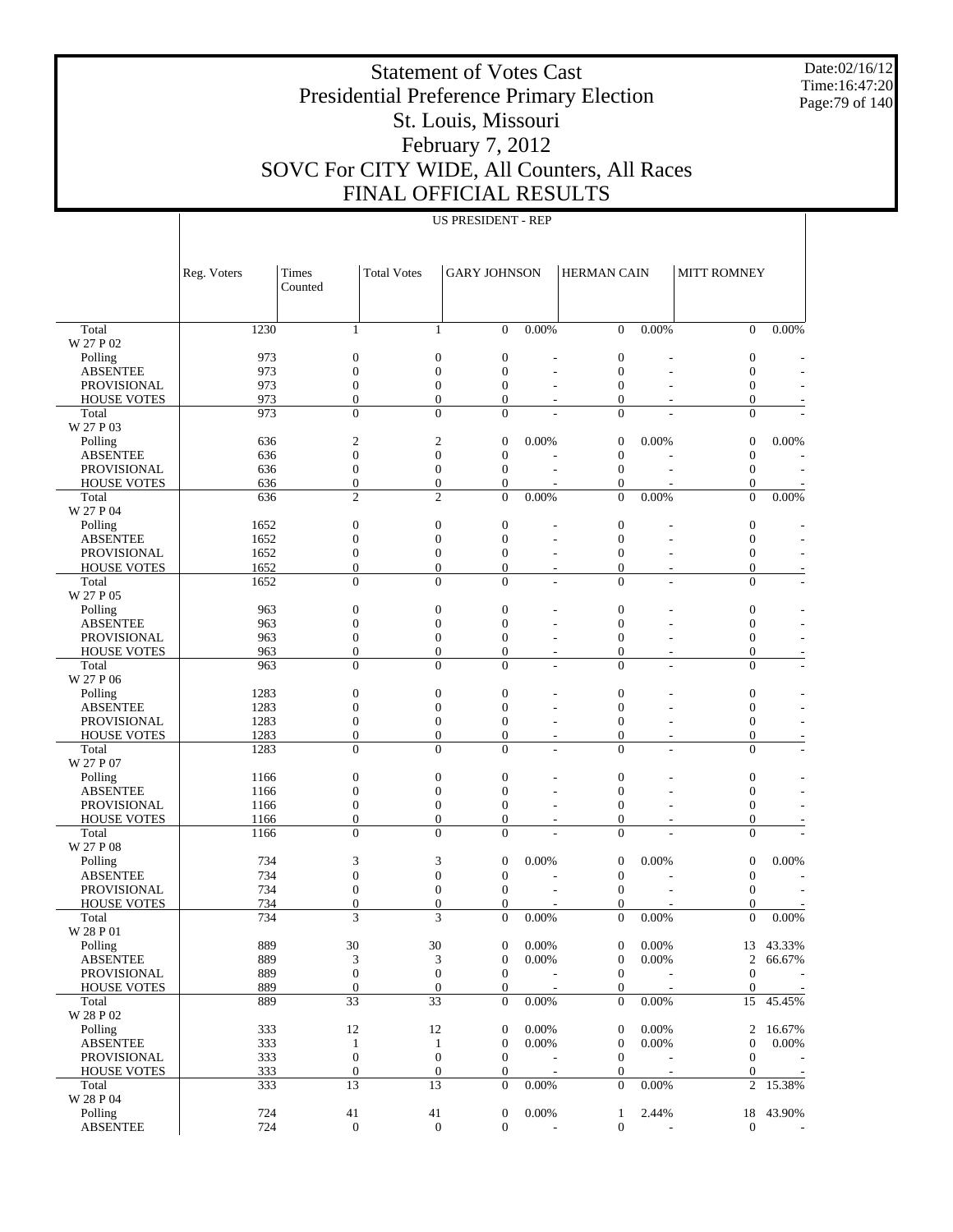Date:02/16/12 Time:16:47:20 Page:79 of 140

 $\mathbb{I}$ 

#### Statement of Votes Cast Presidential Preference Primary Election St. Louis, Missouri February 7, 2012 SOVC For CITY WIDE, All Counters, All Races FINAL OFFICIAL RESULTS

|                                          | Reg. Voters  | Times                        | <b>Total Votes</b>               | <b>GARY JOHNSON</b>                |                      | <b>HERMAN CAIN</b>                   |          | <b>MITT ROMNEY</b>                 |           |
|------------------------------------------|--------------|------------------------------|----------------------------------|------------------------------------|----------------------|--------------------------------------|----------|------------------------------------|-----------|
|                                          |              | Counted                      |                                  |                                    |                      |                                      |          |                                    |           |
|                                          |              |                              |                                  |                                    |                      |                                      |          |                                    |           |
| Total                                    | 1230         | 1                            | 1                                | $\overline{0}$                     | $0.00\%$             | $\overline{0}$                       | 0.00%    | $\mathbf{0}$                       | 0.00%     |
| W 27 P 02<br>Polling                     | 973          | $\boldsymbol{0}$             | $\boldsymbol{0}$                 | $\boldsymbol{0}$                   |                      | $\mathbf{0}$                         |          | $\boldsymbol{0}$                   |           |
| <b>ABSENTEE</b>                          | 973          | $\boldsymbol{0}$             | $\overline{0}$                   | $\overline{0}$                     |                      | $\boldsymbol{0}$                     |          | $\boldsymbol{0}$                   |           |
| <b>PROVISIONAL</b>                       | 973          | $\boldsymbol{0}$             | $\boldsymbol{0}$                 | $\overline{0}$                     | L.                   | $\boldsymbol{0}$                     |          | $\boldsymbol{0}$                   |           |
| <b>HOUSE VOTES</b>                       | 973          | $\theta$                     | $\mathbf{0}$                     | $\overline{0}$                     |                      | $\mathbf{0}$                         |          | $\overline{0}$                     |           |
| Total                                    | 973          | $\Omega$                     | $\mathbf{0}$                     | $\overline{0}$                     |                      | $\mathbf{0}$                         |          | $\overline{0}$                     |           |
| W 27 P 03<br>Polling                     | 636          | $\boldsymbol{2}$             | $\mathfrak{2}$                   | $\boldsymbol{0}$                   | 0.00%                | $\theta$                             | 0.00%    | $\boldsymbol{0}$                   | 0.00%     |
| <b>ABSENTEE</b>                          | 636          | $\boldsymbol{0}$             | $\overline{0}$                   | $\boldsymbol{0}$                   |                      | $\boldsymbol{0}$                     |          | $\boldsymbol{0}$                   |           |
| <b>PROVISIONAL</b>                       | 636          | $\boldsymbol{0}$             | $\boldsymbol{0}$                 | $\overline{0}$                     | L.                   | $\boldsymbol{0}$                     |          | $\boldsymbol{0}$                   |           |
| <b>HOUSE VOTES</b>                       | 636          | $\boldsymbol{0}$             | $\boldsymbol{0}$                 | $\boldsymbol{0}$                   |                      | $\boldsymbol{0}$                     |          | $\boldsymbol{0}$                   |           |
| Total                                    | 636          | $\overline{2}$               | $\overline{c}$                   | $\overline{0}$                     | 0.00%                | $\overline{0}$                       | 0.00%    | $\overline{0}$                     | 0.00%     |
| W 27 P 04                                |              |                              |                                  |                                    |                      |                                      |          |                                    |           |
| Polling                                  | 1652         | $\boldsymbol{0}$             | $\boldsymbol{0}$                 | $\boldsymbol{0}$                   |                      | $\boldsymbol{0}$                     |          | $\boldsymbol{0}$                   |           |
| <b>ABSENTEE</b>                          | 1652         | $\boldsymbol{0}$             | $\overline{0}$                   | $\overline{0}$                     |                      | $\boldsymbol{0}$                     |          | $\boldsymbol{0}$                   |           |
| <b>PROVISIONAL</b><br><b>HOUSE VOTES</b> | 1652<br>1652 | $\boldsymbol{0}$<br>$\theta$ | $\boldsymbol{0}$<br>$\mathbf{0}$ | $\overline{0}$<br>$\boldsymbol{0}$ | L.<br>$\overline{a}$ | $\boldsymbol{0}$<br>$\boldsymbol{0}$ |          | $\boldsymbol{0}$<br>$\overline{0}$ |           |
| Total                                    | 1652         | $\mathbf{0}$                 | $\overline{0}$                   | $\overline{0}$                     |                      | $\mathbf{0}$                         |          | $\theta$                           |           |
| W 27 P 05                                |              |                              |                                  |                                    |                      |                                      |          |                                    |           |
| Polling                                  | 963          | $\boldsymbol{0}$             | $\mathbf{0}$                     | $\boldsymbol{0}$                   |                      | $\boldsymbol{0}$                     |          | $\boldsymbol{0}$                   |           |
| <b>ABSENTEE</b>                          | 963          | $\boldsymbol{0}$             | $\overline{0}$                   | $\overline{0}$                     |                      | $\boldsymbol{0}$                     |          | $\boldsymbol{0}$                   |           |
| <b>PROVISIONAL</b>                       | 963          | $\boldsymbol{0}$             | $\boldsymbol{0}$                 | $\overline{0}$                     |                      | $\boldsymbol{0}$                     |          | $\boldsymbol{0}$                   |           |
| <b>HOUSE VOTES</b>                       | 963          | $\boldsymbol{0}$             | $\boldsymbol{0}$                 | $\boldsymbol{0}$                   |                      | $\boldsymbol{0}$                     |          | $\overline{0}$                     |           |
| Total<br>W 27 P 06                       | 963          | $\Omega$                     | $\theta$                         | $\overline{0}$                     |                      | $\overline{0}$                       |          | $\theta$                           |           |
| Polling                                  | 1283         | $\boldsymbol{0}$             | $\boldsymbol{0}$                 | $\boldsymbol{0}$                   |                      | $\boldsymbol{0}$                     |          | $\boldsymbol{0}$                   |           |
| <b>ABSENTEE</b>                          | 1283         | $\boldsymbol{0}$             | $\overline{0}$                   | $\overline{0}$                     |                      | $\boldsymbol{0}$                     |          | $\boldsymbol{0}$                   |           |
| <b>PROVISIONAL</b>                       | 1283         | $\boldsymbol{0}$             | $\boldsymbol{0}$                 | $\overline{0}$                     |                      | $\boldsymbol{0}$                     |          | $\boldsymbol{0}$                   |           |
| <b>HOUSE VOTES</b>                       | 1283         | $\theta$                     | $\mathbf{0}$                     | $\boldsymbol{0}$                   | $\overline{a}$       | $\boldsymbol{0}$                     |          | $\overline{0}$                     |           |
| Total                                    | 1283         | $\overline{0}$               | $\overline{0}$                   | $\overline{0}$                     |                      | $\mathbf{0}$                         |          | $\overline{0}$                     |           |
| W 27 P 07                                |              |                              |                                  |                                    |                      |                                      |          |                                    |           |
| Polling                                  | 1166         | $\boldsymbol{0}$             | $\boldsymbol{0}$                 | $\boldsymbol{0}$                   |                      | $\boldsymbol{0}$                     |          | $\boldsymbol{0}$                   |           |
| <b>ABSENTEE</b>                          | 1166         | $\boldsymbol{0}$             | $\overline{0}$                   | $\overline{0}$                     |                      | $\boldsymbol{0}$                     |          | $\overline{0}$                     |           |
| <b>PROVISIONAL</b>                       | 1166         | $\boldsymbol{0}$             | $\boldsymbol{0}$                 | $\overline{0}$                     |                      | $\boldsymbol{0}$                     |          | $\boldsymbol{0}$                   |           |
| <b>HOUSE VOTES</b><br>Total              | 1166<br>1166 | $\boldsymbol{0}$<br>$\Omega$ | $\boldsymbol{0}$<br>$\theta$     | $\boldsymbol{0}$<br>$\overline{0}$ |                      | $\boldsymbol{0}$<br>$\overline{0}$   |          | $\overline{0}$<br>$\theta$         |           |
| W 27 P 08                                |              |                              |                                  |                                    |                      |                                      |          |                                    |           |
| Polling                                  | 734          | 3                            | 3                                | $\boldsymbol{0}$                   | 0.00%                | $\boldsymbol{0}$                     | 0.00%    | $\boldsymbol{0}$                   | 0.00%     |
| <b>ABSENTEE</b>                          | 734          | $\boldsymbol{0}$             | $\overline{0}$                   | $\boldsymbol{0}$                   |                      | $\boldsymbol{0}$                     |          | $\boldsymbol{0}$                   |           |
| <b>PROVISIONAL</b>                       | 734          | $\boldsymbol{0}$             | $\boldsymbol{0}$                 | $\overline{0}$                     |                      | $\theta$                             |          | $\overline{0}$                     |           |
| <b>HOUSE VOTES</b>                       | 734          | $\overline{0}$               | $\boldsymbol{0}$                 | $\boldsymbol{0}$                   |                      | $\mathbf{0}$                         |          | $\overline{0}$                     |           |
| Total                                    | 734          | 3                            | 3                                | $\overline{0}$                     | 0.00%                | $\boldsymbol{0}$                     | 0.00%    | $\overline{0}$                     | 0.00%     |
| W 28 P 01                                | 889          | 30                           | 30                               | $\boldsymbol{0}$                   | 0.00%                | $\mathbf{0}$                         | 0.00%    |                                    | 13 43.33% |
| Polling<br><b>ABSENTEE</b>               | 889          | 3                            | 3                                | $\mathbf{0}$                       | 0.00%                | $\boldsymbol{0}$                     | 0.00%    | $\boldsymbol{2}$                   | 66.67%    |
| <b>PROVISIONAL</b>                       | 889          | $\boldsymbol{0}$             | $\boldsymbol{0}$                 | $\boldsymbol{0}$                   |                      | $\boldsymbol{0}$                     |          | $\boldsymbol{0}$                   |           |
| <b>HOUSE VOTES</b>                       | 889          | $\boldsymbol{0}$             | $\boldsymbol{0}$                 | $\boldsymbol{0}$                   |                      | $\boldsymbol{0}$                     |          | $\boldsymbol{0}$                   |           |
| Total                                    | 889          | 33                           | 33                               | $\boldsymbol{0}$                   | 0.00%                | $\boldsymbol{0}$                     | 0.00%    | 15                                 | 45.45%    |
| W 28 P 02                                |              |                              |                                  |                                    |                      |                                      |          |                                    |           |
| Polling                                  | 333          | 12                           | 12                               | $\boldsymbol{0}$                   | 0.00%                | $\mathbf{0}$                         | 0.00%    | $\overline{c}$                     | 16.67%    |
| <b>ABSENTEE</b>                          | 333          | $\mathbf{1}$                 | $\mathbf{1}$                     | $\boldsymbol{0}$                   | 0.00%                | $\boldsymbol{0}$                     | 0.00%    | $\boldsymbol{0}$                   | 0.00%     |
| PROVISIONAL                              | 333          | $\boldsymbol{0}$             | $\boldsymbol{0}$                 | $\boldsymbol{0}$                   |                      | $\boldsymbol{0}$                     |          | $\boldsymbol{0}$                   |           |
| <b>HOUSE VOTES</b><br>Total              | 333<br>333   | $\boldsymbol{0}$<br>13       | $\boldsymbol{0}$<br>13           | $\boldsymbol{0}$<br>$\overline{0}$ | $0.00\%$             | $\boldsymbol{0}$<br>$\boldsymbol{0}$ | $0.00\%$ | $\boldsymbol{0}$<br>$\overline{2}$ | 15.38%    |
| W 28 P 04                                |              |                              |                                  |                                    |                      |                                      |          |                                    |           |
| Polling                                  | 724          | 41                           | 41                               | $\boldsymbol{0}$                   | 0.00%                | 1                                    | 2.44%    | 18                                 | 43.90%    |
| <b>ABSENTEE</b>                          | 724          | $\mathbf{0}$                 | $\mathbf{0}$                     | $\boldsymbol{0}$                   |                      | $\boldsymbol{0}$                     |          | $\boldsymbol{0}$                   |           |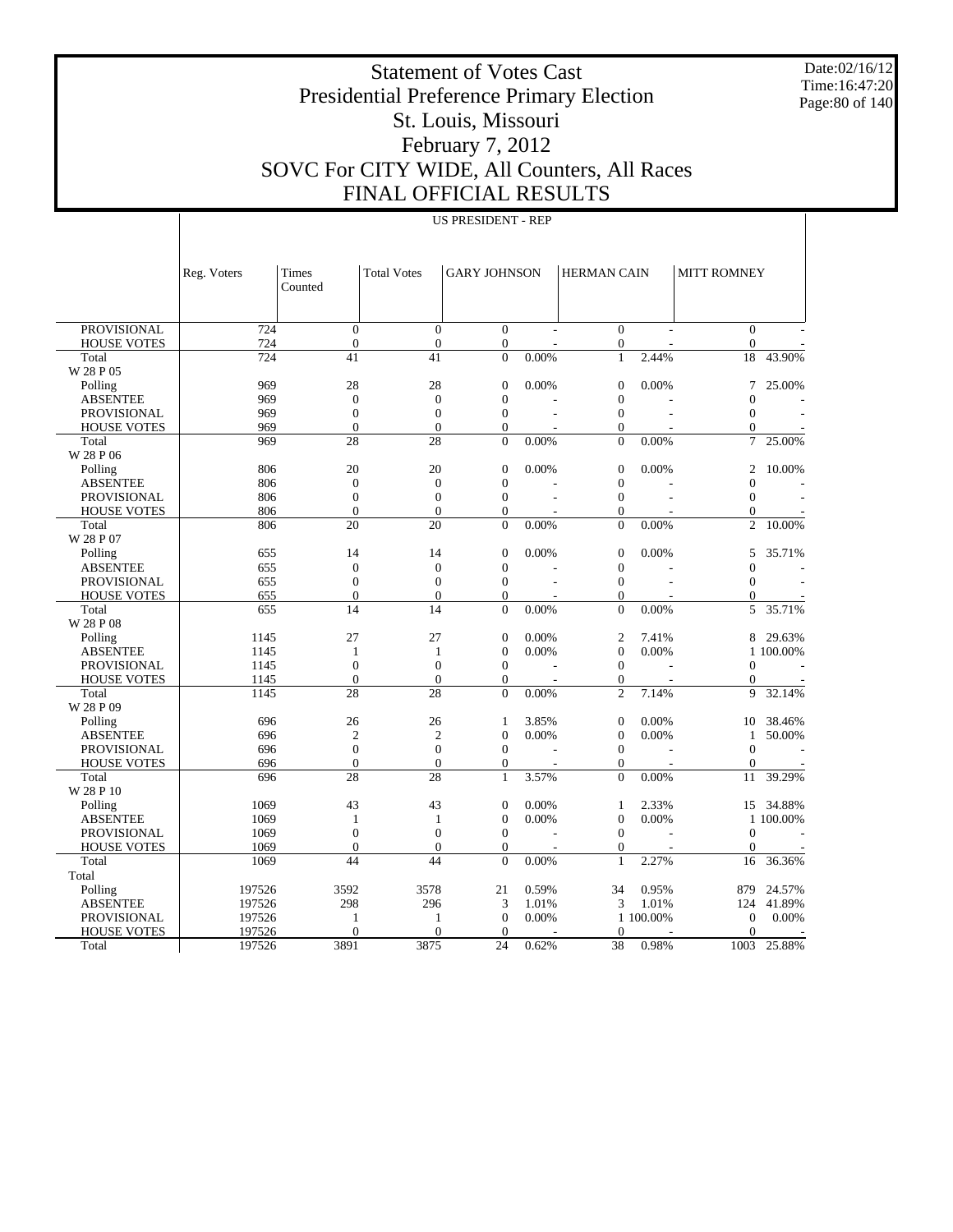Date:02/16/12 Time:16:47:20 Page:80 of 140

#### Statement of Votes Cast Presidential Preference Primary Election St. Louis, Missouri February 7, 2012 SOVC For CITY WIDE, All Counters, All Races FINAL OFFICIAL RESULTS

|                    | Reg. Voters | Times<br>Counted | <b>Total Votes</b> | <b>GARY JOHNSON</b> |       | HERMAN CAIN      |                          | <b>MITT ROMNEY</b> |           |
|--------------------|-------------|------------------|--------------------|---------------------|-------|------------------|--------------------------|--------------------|-----------|
| <b>PROVISIONAL</b> | 724         | $\theta$         | $\mathbf{0}$       | $\mathbf{0}$        |       | $\mathbf{0}$     |                          | $\mathbf{0}$       |           |
| <b>HOUSE VOTES</b> | 724         | $\overline{0}$   | $\boldsymbol{0}$   | $\mathbf{0}$        |       | $\boldsymbol{0}$ |                          | $\boldsymbol{0}$   |           |
| Total              | 724         | 41               | 41                 | $\overline{0}$      | 0.00% | $\mathbf{1}$     | 2.44%                    | 18                 | 43.90%    |
| W 28 P 05          |             |                  |                    |                     |       |                  |                          |                    |           |
| Polling            | 969         | 28               | 28                 | $\boldsymbol{0}$    | 0.00% | $\mathbf{0}$     | 0.00%                    | 7                  | 25.00%    |
| <b>ABSENTEE</b>    | 969         | $\overline{0}$   | $\mathbf{0}$       | $\overline{0}$      |       | $\mathbf{0}$     |                          | $\mathbf{0}$       |           |
| <b>PROVISIONAL</b> | 969         | $\boldsymbol{0}$ | $\boldsymbol{0}$   | $\overline{0}$      |       | $\boldsymbol{0}$ |                          | $\theta$           |           |
| <b>HOUSE VOTES</b> | 969         | $\overline{0}$   | $\overline{0}$     | $\overline{0}$      |       | $\mathbf{0}$     |                          | $\overline{0}$     |           |
| Total              | 969         | 28               | 28                 | $\overline{0}$      | 0.00% | $\overline{0}$   | 0.00%                    | 7                  | 25.00%    |
| W 28 P 06          |             |                  |                    |                     |       |                  |                          |                    |           |
| Polling            | 806         | 20               | 20                 | $\boldsymbol{0}$    | 0.00% | $\boldsymbol{0}$ | 0.00%                    | 2                  | 10.00%    |
| <b>ABSENTEE</b>    | 806         | $\overline{0}$   | $\boldsymbol{0}$   | $\overline{0}$      |       | $\mathbf{0}$     |                          | $\overline{0}$     |           |
| <b>PROVISIONAL</b> | 806         | $\boldsymbol{0}$ | $\overline{0}$     | $\overline{0}$      |       | $\boldsymbol{0}$ |                          | $\overline{0}$     |           |
| <b>HOUSE VOTES</b> | 806         | $\theta$         | $\overline{0}$     | $\overline{0}$      |       | $\mathbf{0}$     |                          | $\overline{0}$     |           |
| Total              | 806         | 20               | 20                 | $\mathbf{0}$        | 0.00% | $\mathbf{0}$     | 0.00%                    | $\overline{c}$     | 10.00%    |
| W 28 P 07          |             |                  |                    |                     |       |                  |                          |                    |           |
| Polling            | 655         | 14               | 14                 | $\boldsymbol{0}$    | 0.00% | $\mathbf{0}$     | 0.00%                    | 5                  | 35.71%    |
| <b>ABSENTEE</b>    | 655         | $\overline{0}$   | $\overline{0}$     | $\overline{0}$      |       | $\overline{0}$   |                          | $\overline{0}$     |           |
| <b>PROVISIONAL</b> | 655         | $\boldsymbol{0}$ | $\boldsymbol{0}$   | $\overline{0}$      |       | $\boldsymbol{0}$ |                          | $\overline{0}$     |           |
| <b>HOUSE VOTES</b> | 655         | $\theta$         | $\overline{0}$     | $\Omega$            |       | $\mathbf{0}$     |                          | $\mathbf{0}$       |           |
| Total              | 655         | $\overline{14}$  | 14                 | $\overline{0}$      | 0.00% | $\overline{0}$   | 0.00%                    | 5                  | 35.71%    |
| W 28 P 08          |             |                  |                    |                     |       |                  |                          |                    |           |
| Polling            | 1145        | 27               | 27                 | $\overline{0}$      | 0.00% | $\overline{c}$   | 7.41%                    | 8                  | 29.63%    |
| <b>ABSENTEE</b>    | 1145        | 1                | 1                  | $\overline{0}$      | 0.00% | $\overline{0}$   | 0.00%                    |                    | 1 100,00% |
| <b>PROVISIONAL</b> | 1145        | $\overline{0}$   | $\overline{0}$     | $\overline{0}$      |       | $\overline{0}$   |                          | $\mathbf{0}$       |           |
| <b>HOUSE VOTES</b> | 1145        | $\theta$         | $\overline{0}$     | $\overline{0}$      |       | $\mathbf{0}$     |                          | $\mathbf{0}$       |           |
| Total              | 1145        | 28               | $\overline{28}$    | $\Omega$            | 0.00% | $\overline{2}$   | 7.14%                    | 9                  | 32.14%    |
| W 28 P 09          |             |                  |                    |                     |       |                  |                          |                    |           |
| Polling            | 696         | 26               | 26                 | 1                   | 3.85% | $\overline{0}$   | 0.00%                    | 10                 | 38.46%    |
| <b>ABSENTEE</b>    | 696         | $\overline{c}$   | $\overline{c}$     | $\overline{0}$      | 0.00% | $\overline{0}$   | 0.00%                    | 1                  | 50.00%    |
| PROVISIONAL        | 696         | $\boldsymbol{0}$ | $\overline{0}$     | $\overline{0}$      |       | $\overline{0}$   |                          | $\overline{0}$     |           |
| <b>HOUSE VOTES</b> | 696         | $\theta$         | $\overline{0}$     | $\overline{0}$      |       | $\mathbf{0}$     | $\overline{\phantom{a}}$ | $\mathbf{0}$       |           |
| Total              | 696         | 28               | $\overline{28}$    | $\mathbf{1}$        | 3.57% | $\overline{0}$   | 0.00%                    | 11                 | 39.29%    |
| W 28 P 10          |             |                  |                    |                     |       |                  |                          |                    |           |
| Polling            | 1069        | 43               | 43                 | $\overline{0}$      | 0.00% | $\mathbf{1}$     | 2.33%                    | 15                 | 34.88%    |
| <b>ABSENTEE</b>    | 1069        | 1                | 1                  | $\overline{0}$      | 0.00% | $\overline{0}$   | 0.00%                    |                    | 1 100,00% |
| <b>PROVISIONAL</b> | 1069        | $\overline{0}$   | $\overline{0}$     | $\overline{0}$      |       | $\overline{0}$   |                          | $\overline{0}$     |           |
| <b>HOUSE VOTES</b> | 1069        | $\theta$         | $\theta$           | $\Omega$            |       | $\overline{0}$   | $\overline{\phantom{a}}$ | $\overline{0}$     |           |
| Total              | 1069        | 44               | 44                 | $\theta$            | 0.00% | $\mathbf{1}$     | 2.27%                    | 16                 | 36.36%    |
| Total              |             |                  |                    |                     |       |                  |                          |                    |           |
| Polling            | 197526      | 3592             | 3578               | 21                  | 0.59% | 34               | 0.95%                    | 879                | 24.57%    |
| <b>ABSENTEE</b>    | 197526      | 298              | 296                | 3                   | 1.01% | 3                | 1.01%                    | 124                | 41.89%    |
| <b>PROVISIONAL</b> | 197526      | $\mathbf{1}$     | 1                  | $\overline{0}$      | 0.00% |                  | 1 100.00%                | $\mathbf{0}$       | 0.00%     |
| <b>HOUSE VOTES</b> | 197526      | $\Omega$         | $\theta$           | $\theta$            |       | $\Omega$         |                          | $\theta$           |           |
| Total              | 197526      | 3891             | 3875               | 24                  | 0.62% | 38               | 0.98%                    | 1003               | 25.88%    |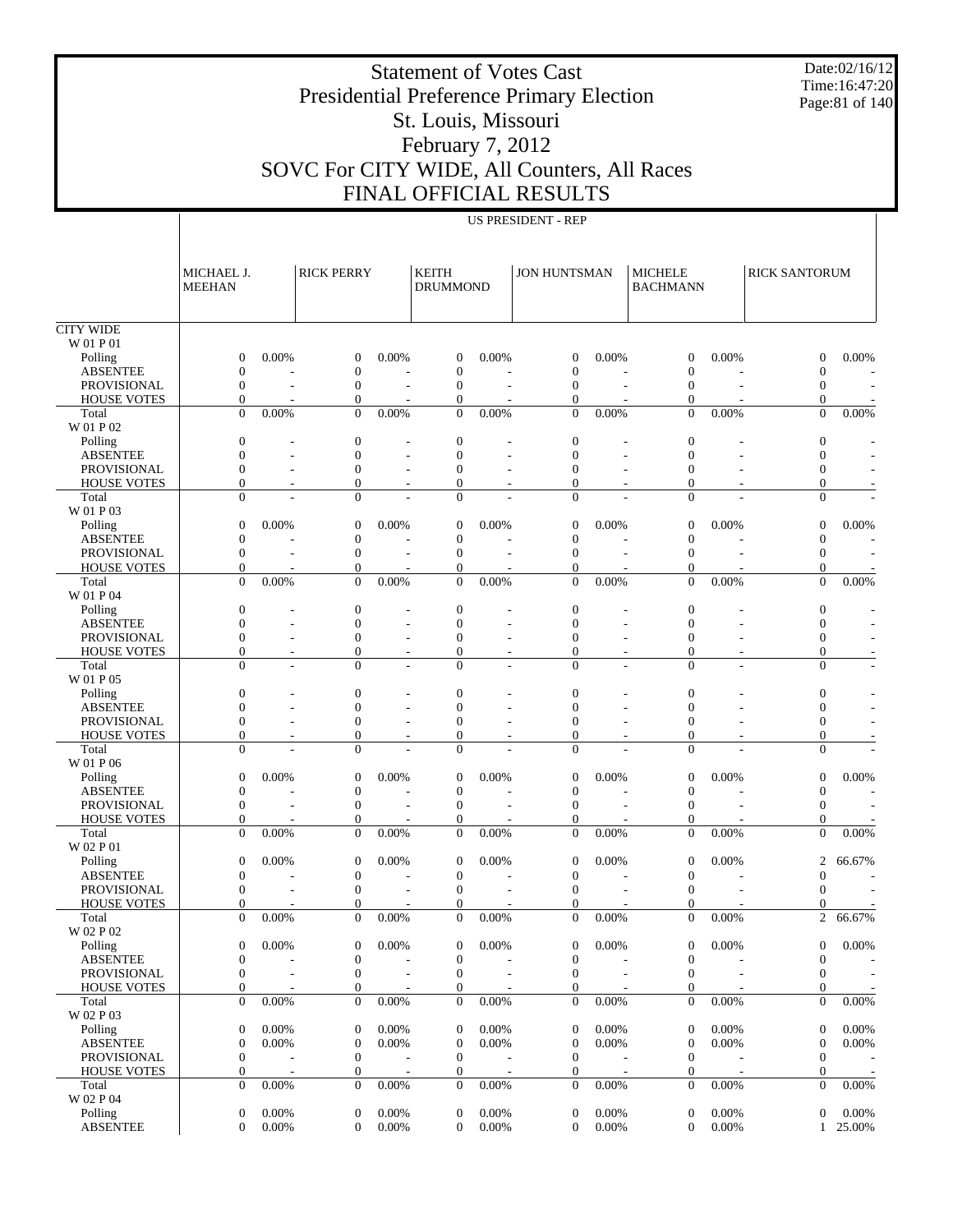Statement of Votes Cast Presidential Preference Primary Election St. Louis, Missouri February 7, 2012 SOVC For CITY WIDE, All Counters, All Races FINAL OFFICIAL RESULTS

Date:02/16/12 Time:16:47:20

Page:81 of 140

|                    | MICHAEL J.<br><b>MEEHAN</b> |                          | <b>RICK PERRY</b> |                          | <b>KEITH</b><br><b>DRUMMOND</b> |          | <b>JON HUNTSMAN</b> |                | <b>MICHELE</b><br><b>BACHMANN</b> |                | <b>RICK SANTORUM</b> |                          |
|--------------------|-----------------------------|--------------------------|-------------------|--------------------------|---------------------------------|----------|---------------------|----------------|-----------------------------------|----------------|----------------------|--------------------------|
| <b>CITY WIDE</b>   |                             |                          |                   |                          |                                 |          |                     |                |                                   |                |                      |                          |
| W 01 P 01          |                             |                          |                   |                          |                                 |          |                     |                |                                   |                |                      |                          |
| Polling            | $\boldsymbol{0}$            | 0.00%                    | $\mathbf{0}$      | 0.00%                    | $\mathbf{0}$                    | 0.00%    | $\mathbf{0}$        | 0.00%          | $\mathbf{0}$                      | 0.00%          | $\Omega$             | 0.00%                    |
| <b>ABSENTEE</b>    | $\overline{0}$              |                          | $\boldsymbol{0}$  |                          | $\overline{0}$                  |          | $\mathbf{0}$        |                | $\mathbf{0}$                      |                | $\theta$             |                          |
| PROVISIONAL        | $\mathbf{0}$                |                          | $\mathbf{0}$      | $\overline{a}$           | $\overline{0}$                  |          | $\mathbf{0}$        |                | $\mathbf{0}$                      |                | $\theta$             |                          |
| <b>HOUSE VOTES</b> | $\mathbf{0}$                |                          | $\boldsymbol{0}$  |                          | $\theta$                        |          | $\mathbf{0}$        |                | 0                                 |                | $\theta$             |                          |
| Total<br>W 01 P 02 | $\Omega$                    | 0.00%                    | $\overline{0}$    | 0.00%                    | $\Omega$                        | 0.00%    | $\Omega$            | 0.00%          | $\Omega$                          | 0.00%          | $\Omega$             | 0.00%                    |
| Polling            | $\boldsymbol{0}$            |                          | $\mathbf{0}$      |                          | $\overline{0}$                  |          | $\mathbf{0}$        |                | $\mathbf{0}$                      |                | $\mathbf{0}$         |                          |
| <b>ABSENTEE</b>    | $\overline{0}$              |                          | $\overline{0}$    |                          | $\overline{0}$                  |          | $\mathbf{0}$        |                | $\theta$                          |                | $\Omega$             |                          |
| <b>PROVISIONAL</b> | $\mathbf{0}$                | $\overline{a}$           | $\overline{0}$    | $\overline{\phantom{a}}$ | $\Omega$                        |          | $\mathbf{0}$        |                | $\Omega$                          |                | $\overline{0}$       |                          |
| <b>HOUSE VOTES</b> | $\overline{0}$              |                          | $\overline{0}$    | $\overline{\phantom{a}}$ | $\mathbf{0}$                    |          | $\overline{0}$      |                | $\theta$                          |                | $\overline{0}$       |                          |
| Total              | $\Omega$                    |                          | $\overline{0}$    |                          | $\Omega$                        |          | $\Omega$            |                | $\theta$                          |                | $\overline{0}$       |                          |
| W 01 P 03          |                             |                          |                   |                          |                                 |          |                     |                |                                   |                |                      |                          |
| Polling            | $\boldsymbol{0}$            | 0.00%                    | $\boldsymbol{0}$  | 0.00%                    | $\theta$                        | 0.00%    | $\mathbf{0}$        | 0.00%          | $\mathbf{0}$                      | 0.00%          | $\theta$             | 0.00%                    |
| <b>ABSENTEE</b>    | $\overline{0}$              |                          | $\overline{0}$    |                          | $\overline{0}$                  |          | $\overline{0}$      |                | $\overline{0}$                    |                | $\overline{0}$       |                          |
| <b>PROVISIONAL</b> | $\mathbf{0}$                |                          | $\overline{0}$    | $\overline{\phantom{a}}$ | $\overline{0}$                  |          | $\mathbf{0}$        |                | $\overline{0}$                    |                | $\theta$             |                          |
| <b>HOUSE VOTES</b> | $\mathbf{0}$                |                          | $\boldsymbol{0}$  |                          | $\theta$                        |          | $\mathbf{0}$        |                | $\Omega$                          |                | $\theta$             |                          |
| Total<br>W 01 P 04 | $\Omega$                    | 0.00%                    | $\overline{0}$    | 0.00%                    | $\Omega$                        | 0.00%    | $\theta$            | 0.00%          | $\Omega$                          | 0.00%          | $\Omega$             | 0.00%                    |
| Polling            | $\boldsymbol{0}$            |                          | $\mathbf{0}$      |                          | $\overline{0}$                  |          | $\mathbf{0}$        |                | $\overline{0}$                    |                | $\mathbf{0}$         |                          |
| <b>ABSENTEE</b>    | $\overline{0}$              |                          | $\overline{0}$    |                          | $\overline{0}$                  |          | $\mathbf{0}$        |                | $\theta$                          |                | $\Omega$             |                          |
| <b>PROVISIONAL</b> | $\overline{0}$              | $\overline{a}$           | $\overline{0}$    | $\overline{\phantom{a}}$ | $\Omega$                        |          | $\Omega$            |                | $\overline{0}$                    |                | $\theta$             |                          |
| <b>HOUSE VOTES</b> | $\mathbf{0}$                | $\overline{\phantom{a}}$ | $\overline{0}$    | $\overline{\phantom{a}}$ | $\Omega$                        |          | $\mathbf{0}$        |                | 0                                 |                | $\overline{0}$       |                          |
| Total              | $\Omega$                    | $\overline{a}$           | $\overline{0}$    | $\overline{\phantom{a}}$ | $\Omega$                        |          | $\Omega$            | $\overline{a}$ | $\overline{0}$                    | $\overline{a}$ | $\Omega$             | $\overline{\phantom{a}}$ |
| W 01 P 05          |                             |                          |                   |                          |                                 |          |                     |                |                                   |                |                      |                          |
| Polling            | $\boldsymbol{0}$            |                          | $\boldsymbol{0}$  |                          | $\overline{0}$                  |          | $\mathbf{0}$        |                | $\mathbf{0}$                      |                | $\theta$             |                          |
| <b>ABSENTEE</b>    | $\overline{0}$              |                          | $\boldsymbol{0}$  |                          | $\Omega$                        |          | $\mathbf{0}$        |                | $\mathbf{0}$                      |                | $\theta$             |                          |
| <b>PROVISIONAL</b> | $\mathbf{0}$                |                          | $\overline{0}$    | $\overline{\phantom{a}}$ | $\Omega$                        |          | $\theta$            |                | $\theta$                          |                | $\theta$             |                          |
| <b>HOUSE VOTES</b> | $\mathbf{0}$                | $\overline{\phantom{a}}$ | $\overline{0}$    | $\overline{\phantom{a}}$ | $\mathbf{0}$                    |          | $\mathbf{0}$        | ۰              | $\mathbf{0}$                      |                | $\overline{0}$       |                          |
| Total              | $\Omega$                    |                          | $\overline{0}$    |                          | $\Omega$                        |          | $\Omega$            |                | $\Omega$                          |                | $\Omega$             |                          |
| W 01 P 06          |                             |                          |                   |                          |                                 |          |                     |                |                                   |                |                      |                          |
| Polling            | $\boldsymbol{0}$            | 0.00%                    | $\boldsymbol{0}$  | 0.00%                    | $\theta$                        | 0.00%    | $\mathbf{0}$        | 0.00%          | $\mathbf{0}$                      | 0.00%          | $\overline{0}$       | 0.00%                    |
| <b>ABSENTEE</b>    | $\boldsymbol{0}$            |                          | $\boldsymbol{0}$  |                          | $\theta$                        |          | $\mathbf{0}$        |                | $\mathbf{0}$                      |                | $\theta$             | ٠                        |
| <b>PROVISIONAL</b> | $\mathbf{0}$                |                          | $\mathbf{0}$      | $\overline{\phantom{a}}$ | $\mathbf{0}$                    |          | $\mathbf{0}$        |                | $\mathbf{0}$                      |                | $\theta$             |                          |
| <b>HOUSE VOTES</b> | $\mathbf{0}$                |                          | $\mathbf{0}$      |                          | $\mathbf{0}$                    |          | $\mathbf{0}$        |                | 0                                 |                | $\theta$             |                          |
| Total              | $\overline{0}$              | 0.00%                    | $\overline{0}$    | 0.00%                    | $\mathbf{0}$                    | 0.00%    | $\overline{0}$      | 0.00%          | $\overline{0}$                    | 0.00%          | $\mathbf{0}$         | 0.00%                    |
| W 02 P 01          |                             |                          |                   |                          |                                 |          |                     |                |                                   |                |                      |                          |
| Polling            | $\boldsymbol{0}$            | 0.00%                    | $\boldsymbol{0}$  | 0.00%                    | $\overline{0}$                  | 0.00%    | $\mathbf{0}$        | 0.00%          | $\overline{0}$                    | 0.00%          | $\overline{2}$       | 66.67%                   |
| <b>ABSENTEE</b>    | $\boldsymbol{0}$            |                          | $\overline{0}$    |                          | $\overline{0}$                  |          | $\mathbf{0}$        |                | $\mathbf{0}$                      |                | $\overline{0}$       |                          |
| PROVISIONAL        | $\mathbf{0}$                |                          | $\mathbf{0}$      | $\overline{\phantom{a}}$ | $\overline{0}$                  |          | $\mathbf{0}$        |                | $\Omega$                          |                | $\Omega$             |                          |
| <b>HOUSE VOTES</b> | $\mathbf{0}$                |                          | 0                 |                          | 0                               |          | $\mathbf{0}$        |                | 0                                 |                | 0                    |                          |
| Total              | $\Omega$                    | 0.00%                    | $\overline{0}$    | 0.00%                    | $\Omega$                        | 0.00%    | $\Omega$            | 0.00%          | $\theta$                          | 0.00%          | $\overline{c}$       | 66.67%                   |
| W 02 P 02          |                             |                          |                   |                          |                                 |          |                     |                |                                   |                |                      |                          |
| Polling            | $\boldsymbol{0}$            | 0.00%                    | 0                 | 0.00%                    | $\overline{0}$                  | 0.00%    | $\mathbf{0}$        | 0.00%          | $\overline{0}$                    | 0.00%          | 0                    | 0.00%                    |
| <b>ABSENTEE</b>    | $\boldsymbol{0}$            |                          | $\boldsymbol{0}$  | $\overline{\phantom{a}}$ | $\boldsymbol{0}$                |          | $\boldsymbol{0}$    |                | $\boldsymbol{0}$                  |                | $\boldsymbol{0}$     |                          |
| PROVISIONAL        | $\boldsymbol{0}$            |                          | $\boldsymbol{0}$  | $\overline{\phantom{a}}$ | $\boldsymbol{0}$                |          | $\boldsymbol{0}$    |                | $\boldsymbol{0}$                  |                | $\theta$             |                          |
| <b>HOUSE VOTES</b> | $\boldsymbol{0}$            |                          | 0                 |                          | $\mathbf{0}$                    |          | 0                   |                | 0                                 |                | $\boldsymbol{0}$     |                          |
| Total              | $\boldsymbol{0}$            | 0.00%                    | $\boldsymbol{0}$  | 0.00%                    | $\boldsymbol{0}$                | $0.00\%$ | $\boldsymbol{0}$    | 0.00%          | $\boldsymbol{0}$                  | $0.00\%$       | $\boldsymbol{0}$     | 0.00%                    |
| W 02 P 03          |                             |                          |                   |                          |                                 |          |                     |                |                                   |                |                      |                          |
| Polling            | 0                           | 0.00%                    | $\mathbf{0}$      | 0.00%                    | $\mathbf{0}$                    | 0.00%    | 0                   | 0.00%          | $\boldsymbol{0}$                  | 0.00%          | $\mathbf{0}$         | 0.00%                    |
| <b>ABSENTEE</b>    | $\boldsymbol{0}$            | 0.00%                    | $\boldsymbol{0}$  | 0.00%                    | $\mathbf{0}$                    | 0.00%    | 0                   | 0.00%          | $\boldsymbol{0}$                  | 0.00%          | $\mathbf{0}$         | 0.00%                    |
| PROVISIONAL        | $\boldsymbol{0}$            |                          | $\boldsymbol{0}$  | $\overline{a}$           | $\mathbf{0}$                    |          | $\boldsymbol{0}$    |                | $\mathbf{0}$                      |                | $\boldsymbol{0}$     |                          |
| <b>HOUSE VOTES</b> | $\boldsymbol{0}$            | $\overline{\phantom{a}}$ | $\boldsymbol{0}$  | $\overline{\phantom{a}}$ | $\boldsymbol{0}$                |          | 0                   |                | 0                                 |                | $\mathbf{0}$         |                          |
| Total              | $\boldsymbol{0}$            | 0.00%                    | $\boldsymbol{0}$  | 0.00%                    | $\mathbf{0}$                    | 0.00%    | $\boldsymbol{0}$    | 0.00%          | $\boldsymbol{0}$                  | 0.00%          | $\mathbf{0}$         | 0.00%                    |
| W 02 P 04          |                             |                          |                   |                          |                                 |          |                     |                |                                   |                |                      |                          |
| Polling            | 0                           | 0.00%                    | $\boldsymbol{0}$  | 0.00%                    | $\mathbf{0}$                    | 0.00%    | 0                   | 0.00%          | $\boldsymbol{0}$                  | 0.00%          | $\theta$             | 0.00%                    |
| <b>ABSENTEE</b>    | $\boldsymbol{0}$            | 0.00%                    | $\boldsymbol{0}$  | 0.00%                    | $\mathbf{0}$                    | $0.00\%$ | $\boldsymbol{0}$    | 0.00%          | $\mathbf{0}$                      | $0.00\%$       | 1                    | 25.00%                   |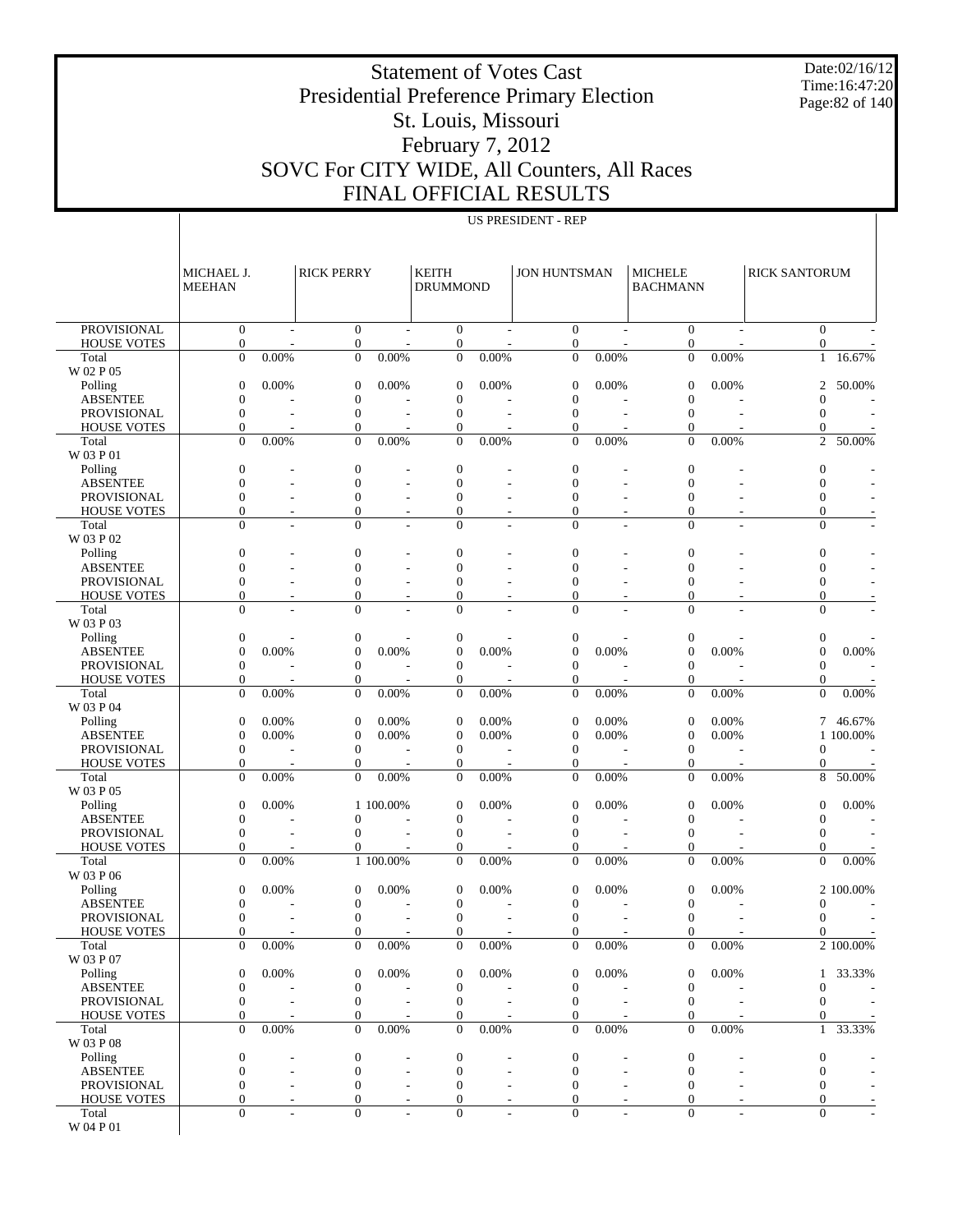Statement of Votes Cast Presidential Preference Primary Election St. Louis, Missouri February 7, 2012 SOVC For CITY WIDE, All Counters, All Races

Date:02/16/12 Time:16:47:20 Page:82 of 140

# FINAL OFFICIAL RESULTS

US PRESIDENT - REP

|                                          | MICHAEL J.                         |                | <b>RICK PERRY</b>                    |           | <b>KEITH</b>                     |          | <b>JON HUNTSMAN</b>              |       | <b>MICHELE</b>                       |          | <b>RICK SANTORUM</b>                 |                        |
|------------------------------------------|------------------------------------|----------------|--------------------------------------|-----------|----------------------------------|----------|----------------------------------|-------|--------------------------------------|----------|--------------------------------------|------------------------|
|                                          | <b>MEEHAN</b>                      |                |                                      |           | <b>DRUMMOND</b>                  |          |                                  |       | <b>BACHMANN</b>                      |          |                                      |                        |
| <b>PROVISIONAL</b>                       | $\overline{0}$                     | $\overline{a}$ | $\boldsymbol{0}$                     |           | $\mathbf{0}$                     |          | $\mathbf{0}$                     |       | $\mathbf{0}$                         |          | $\mathbf{0}$                         |                        |
| <b>HOUSE VOTES</b><br>Total              | $\boldsymbol{0}$<br>$\overline{0}$ | 0.00%          | $\boldsymbol{0}$<br>$\overline{0}$   | 0.00%     | $\boldsymbol{0}$<br>$\mathbf{0}$ | 0.00%    | $\mathbf{0}$<br>$\mathbf{0}$     | 0.00% | $\boldsymbol{0}$<br>$\boldsymbol{0}$ | 0.00%    | $\boldsymbol{0}$<br>$\mathbf{1}$     | 16.67%                 |
| W 02 P 05                                |                                    |                |                                      |           |                                  |          |                                  |       |                                      |          |                                      |                        |
| Polling                                  | $\overline{0}$                     | 0.00%          | $\boldsymbol{0}$                     | 0.00%     | $\theta$                         | 0.00%    | $\boldsymbol{0}$                 | 0.00% | $\boldsymbol{0}$                     | 0.00%    | 2                                    | 50.00%                 |
| <b>ABSENTEE</b>                          | $\mathbf{0}$                       |                | $\boldsymbol{0}$                     |           | $\theta$                         |          | $\boldsymbol{0}$                 |       | $\boldsymbol{0}$                     |          | $\mathbf{0}$                         |                        |
| <b>PROVISIONAL</b><br><b>HOUSE VOTES</b> | $\overline{0}$<br>$\overline{0}$   |                | $\boldsymbol{0}$<br>$\boldsymbol{0}$ | L,        | $\theta$<br>$\theta$             |          | $\mathbf{0}$<br>$\mathbf{0}$     |       | $\boldsymbol{0}$<br>$\mathbf{0}$     |          | $\mathbf{0}$<br>$\mathbf{0}$         |                        |
| Total                                    | $\theta$                           | 0.00%          | $\overline{0}$                       | 0.00%     | $\mathbf{0}$                     | 0.00%    | $\mathbf{0}$                     | 0.00% | $\boldsymbol{0}$                     | 0.00%    | $\overline{2}$                       | 50.00%                 |
| W 03 P 01                                |                                    |                |                                      |           |                                  |          |                                  |       |                                      |          |                                      |                        |
| Polling                                  | $\mathbf{0}$                       |                | $\boldsymbol{0}$                     |           | $\theta$                         |          | $\boldsymbol{0}$                 |       | $\boldsymbol{0}$                     |          | $\boldsymbol{0}$                     |                        |
| <b>ABSENTEE</b>                          | $\theta$                           |                | $\boldsymbol{0}$                     |           | $\Omega$                         |          | $\boldsymbol{0}$                 |       | $\boldsymbol{0}$                     |          | $\mathbf{0}$                         |                        |
| PROVISIONAL<br><b>HOUSE VOTES</b>        | $\theta$<br>$\Omega$               |                | $\boldsymbol{0}$<br>$\boldsymbol{0}$ |           | $\overline{0}$<br>$\overline{0}$ |          | $\boldsymbol{0}$<br>$\mathbf{0}$ |       | $\boldsymbol{0}$<br>$\boldsymbol{0}$ |          | $\boldsymbol{0}$<br>$\boldsymbol{0}$ |                        |
| Total                                    | $\theta$                           |                | $\overline{0}$                       |           | $\Omega$                         |          | $\Omega$                         |       | $\mathbf{0}$                         |          | $\mathbf{0}$                         |                        |
| W 03 P 02                                |                                    |                |                                      |           |                                  |          |                                  |       |                                      |          |                                      |                        |
| Polling                                  | $\theta$                           |                | $\boldsymbol{0}$                     |           | $\theta$                         |          | $\boldsymbol{0}$                 |       | $\boldsymbol{0}$                     |          | $\boldsymbol{0}$                     |                        |
| <b>ABSENTEE</b>                          | $\Omega$                           |                | $\boldsymbol{0}$                     |           | $\theta$                         |          | $\boldsymbol{0}$                 |       | $\boldsymbol{0}$                     |          | $\boldsymbol{0}$                     |                        |
| PROVISIONAL<br><b>HOUSE VOTES</b>        | $\Omega$<br>$\Omega$               |                | $\boldsymbol{0}$<br>$\boldsymbol{0}$ |           | $\overline{0}$<br>$\theta$       |          | $\mathbf{0}$<br>$\mathbf{0}$     |       | $\boldsymbol{0}$<br>$\mathbf{0}$     |          | $\boldsymbol{0}$<br>$\boldsymbol{0}$ |                        |
| Total                                    | $\Omega$                           |                | $\theta$                             |           | $\Omega$                         |          | $\Omega$                         |       | $\overline{0}$                       |          | $\overline{0}$                       |                        |
| W 03 P 03                                |                                    |                |                                      |           |                                  |          |                                  |       |                                      |          |                                      |                        |
| Polling                                  | $\mathbf{0}$                       |                | $\boldsymbol{0}$                     |           | $\boldsymbol{0}$                 |          | $\boldsymbol{0}$                 |       | $\boldsymbol{0}$                     |          | $\boldsymbol{0}$                     |                        |
| <b>ABSENTEE</b>                          | $\mathbf{0}$                       | 0.00%          | $\boldsymbol{0}$                     | 0.00%     | $\boldsymbol{0}$                 | 0.00%    | $\boldsymbol{0}$                 | 0.00% | $\boldsymbol{0}$                     | 0.00%    | $\boldsymbol{0}$                     | 0.00%                  |
| PROVISIONAL                              | $\mathbf{0}$                       |                | $\boldsymbol{0}$                     |           | $\theta$                         |          | $\mathbf{0}$                     |       | $\boldsymbol{0}$<br>$\mathbf{0}$     |          | $\boldsymbol{0}$                     |                        |
| <b>HOUSE VOTES</b><br>Total              | $\mathbf{0}$<br>$\mathbf{0}$       | 0.00%          | $\boldsymbol{0}$<br>$\overline{0}$   | 0.00%     | $\boldsymbol{0}$<br>$\mathbf{0}$ | 0.00%    | $\mathbf{0}$<br>$\Omega$         | 0.00% | $\mathbf{0}$                         | 0.00%    | $\boldsymbol{0}$<br>$\overline{0}$   | 0.00%                  |
| W 03 P 04                                |                                    |                |                                      |           |                                  |          |                                  |       |                                      |          |                                      |                        |
| Polling                                  | $\mathbf{0}$                       | 0.00%          | $\boldsymbol{0}$                     | 0.00%     | $\theta$                         | 0.00%    | $\mathbf{0}$                     | 0.00% | $\boldsymbol{0}$                     | 0.00%    | 7                                    | 46.67%                 |
| <b>ABSENTEE</b>                          | $\mathbf{0}$                       | 0.00%          | $\boldsymbol{0}$                     | 0.00%     | $\boldsymbol{0}$                 | 0.00%    | $\boldsymbol{0}$                 | 0.00% | $\boldsymbol{0}$                     | 0.00%    |                                      | 1 100.00%              |
| PROVISIONAL                              | $\mathbf{0}$                       |                | $\boldsymbol{0}$                     |           | $\theta$                         |          | $\mathbf{0}$                     |       | $\boldsymbol{0}$                     |          | $\overline{0}$                       |                        |
| <b>HOUSE VOTES</b><br>Total              | $\overline{0}$<br>$\Omega$         | 0.00%          | $\boldsymbol{0}$<br>$\overline{0}$   | 0.00%     | $\boldsymbol{0}$<br>$\mathbf{0}$ | 0.00%    | $\mathbf{0}$<br>$\mathbf{0}$     | 0.00% | $\mathbf{0}$<br>$\boldsymbol{0}$     | 0.00%    | $\mathbf{0}$<br>8                    | 50.00%                 |
| W 03 P 05                                |                                    |                |                                      |           |                                  |          |                                  |       |                                      |          |                                      |                        |
| Polling                                  | $\mathbf{0}$                       | 0.00%          |                                      | 1 100,00% | $\boldsymbol{0}$                 | 0.00%    | $\boldsymbol{0}$                 | 0.00% | $\boldsymbol{0}$                     | 0.00%    | $\boldsymbol{0}$                     | 0.00%                  |
| <b>ABSENTEE</b>                          | $\mathbf{0}$                       |                | $\boldsymbol{0}$                     |           | $\boldsymbol{0}$                 |          | $\boldsymbol{0}$                 |       | $\boldsymbol{0}$                     |          | $\boldsymbol{0}$                     |                        |
| PROVISIONAL                              | $\mathbf{0}$                       |                | $\boldsymbol{0}$                     |           | $\mathbf{0}$                     |          | $\mathbf{0}$                     |       | $\boldsymbol{0}$                     |          | $\boldsymbol{0}$                     |                        |
| <b>HOUSE VOTES</b><br>Total              | $\mathbf{0}$<br>$\mathbf{0}$       | 0.00%          | $\boldsymbol{0}$                     | 1 100.00% | $\boldsymbol{0}$<br>$\mathbf{0}$ | 0.00%    | $\mathbf{0}$<br>$\mathbf{0}$     | 0.00% | $\mathbf{0}$<br>$\overline{0}$       | 0.00%    | $\mathbf{0}$<br>$\mathbf{0}$         | 0.00%                  |
| W 03 P 06                                |                                    |                |                                      |           |                                  |          |                                  |       |                                      |          |                                      |                        |
| Polling                                  | $\mathbf{0}$                       | 0.00%          | $\boldsymbol{0}$                     | 0.00%     | $\boldsymbol{0}$                 | 0.00%    | $\mathbf{0}$                     | 0.00% | $\boldsymbol{0}$                     | 0.00%    |                                      | 2 100.00%              |
| <b>ABSENTEE</b>                          | $\mathbf{0}$                       |                | $\boldsymbol{0}$                     |           | $\boldsymbol{0}$                 |          | $\mathbf{0}$                     |       | $\boldsymbol{0}$                     |          | $\mathbf{0}$                         |                        |
| PROVISIONAL<br><b>HOUSE VOTES</b>        | $\mathbf{0}$<br>$\Omega$           |                | $\boldsymbol{0}$<br>$\Omega$         |           | $\mathbf{0}$<br>$\Omega$         |          | $\mathbf{0}$<br>$\Omega$         |       | $\boldsymbol{0}$<br>$\Omega$         |          | $\mathbf{0}$<br>$\Omega$             |                        |
| Total                                    | $\overline{0}$                     | 0.00%          | 0                                    | 0.00%     | $\overline{0}$                   | 0.00%    | 0                                | 0.00% | $\boldsymbol{0}$                     | 0.00%    |                                      | 2 100.00%              |
| W 03 P 07                                |                                    |                |                                      |           |                                  |          |                                  |       |                                      |          |                                      |                        |
| Polling                                  | $\mathbf{0}$                       | 0.00%          | $\boldsymbol{0}$                     | 0.00%     | $\boldsymbol{0}$                 | 0.00%    | $\boldsymbol{0}$                 | 0.00% | $\boldsymbol{0}$                     | 0.00%    |                                      | 33.33%<br>$\mathbf{1}$ |
| <b>ABSENTEE</b>                          | $\boldsymbol{0}$                   |                | $\boldsymbol{0}$                     |           | $\boldsymbol{0}$                 |          | $\boldsymbol{0}$                 |       | $\boldsymbol{0}$                     |          | $\boldsymbol{0}$                     |                        |
| PROVISIONAL<br><b>HOUSE VOTES</b>        | $\mathbf{0}$                       |                | $\boldsymbol{0}$                     | L,        | $\mathbf{0}$                     |          | $\mathbf{0}$<br>$\mathbf{0}$     |       | $\boldsymbol{0}$                     |          | $\mathbf{0}$                         |                        |
| Total                                    | 0<br>$\overline{0}$                | 0.00%          | $\boldsymbol{0}$<br>$\overline{0}$   | 0.00%     | $\mathbf{0}$<br>$\boldsymbol{0}$ | $0.00\%$ | $\mathbf{0}$                     | 0.00% | $\boldsymbol{0}$<br>$\boldsymbol{0}$ | $0.00\%$ | 0<br>$\mathbf{1}$                    | 33.33%                 |
| W 03 P 08                                |                                    |                |                                      |           |                                  |          |                                  |       |                                      |          |                                      |                        |
| Polling                                  | $\boldsymbol{0}$                   |                | $\boldsymbol{0}$                     |           | $\boldsymbol{0}$                 |          | $\mathbf{0}$                     | ÷,    | $\boldsymbol{0}$                     |          | $\boldsymbol{0}$                     |                        |
| <b>ABSENTEE</b>                          | $\mathbf{0}$                       |                | $\boldsymbol{0}$                     | L,        | $\mathbf{0}$                     |          | $\mathbf{0}$                     |       | $\boldsymbol{0}$                     |          | $\mathbf{0}$                         |                        |
| <b>PROVISIONAL</b>                       | $\mathbf{0}$                       |                | $\boldsymbol{0}$                     | L,        | $\boldsymbol{0}$                 |          | $\boldsymbol{0}$                 | L,    | $\boldsymbol{0}$                     |          | $\boldsymbol{0}$                     |                        |
| <b>HOUSE VOTES</b><br>Total              | $\boldsymbol{0}$<br>$\overline{0}$ |                | $\boldsymbol{0}$<br>$\overline{0}$   |           | $\boldsymbol{0}$<br>$\mathbf{0}$ |          | $\boldsymbol{0}$<br>$\Omega$     |       | $\boldsymbol{0}$<br>$\boldsymbol{0}$ |          | $\boldsymbol{0}$<br>$\mathbf{0}$     |                        |
| W 04 P 01                                |                                    |                |                                      |           |                                  |          |                                  |       |                                      |          |                                      |                        |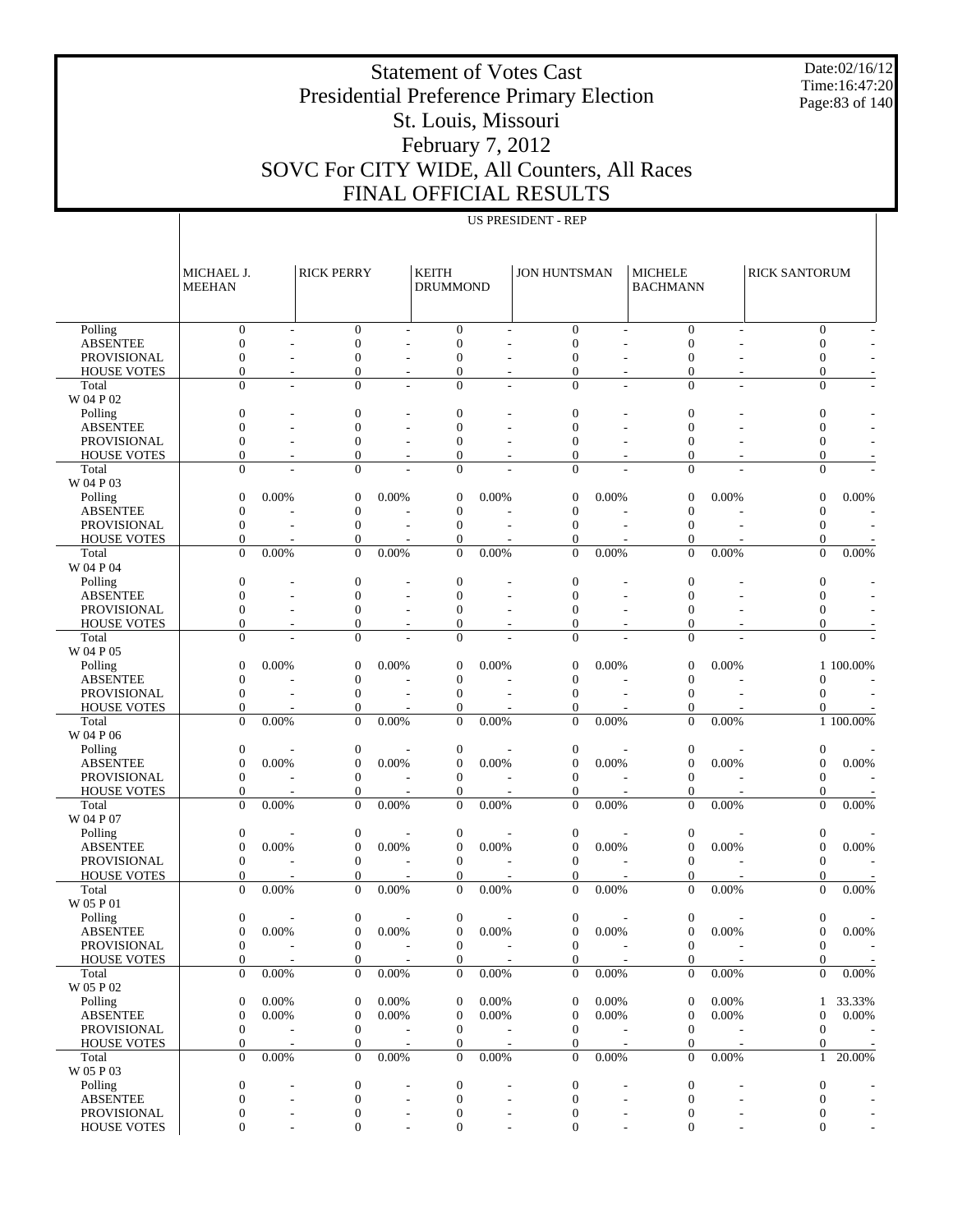Date:02/16/12 Time:16:47:20 Page:83 of 140

#### Statement of Votes Cast Presidential Preference Primary Election St. Louis, Missouri February 7, 2012 SOVC For CITY WIDE, All Counters, All Races FINAL OFFICIAL RESULTS

|                                       | MICHAEL J.<br><b>MEEHAN</b>        |                | <b>RICK PERRY</b>                  |                          | <b>KEITH</b><br><b>DRUMMOND</b> |       | <b>JON HUNTSMAN</b>                  |       | <b>MICHELE</b><br><b>BACHMANN</b>    |       | <b>RICK SANTORUM</b>             |                              |
|---------------------------------------|------------------------------------|----------------|------------------------------------|--------------------------|---------------------------------|-------|--------------------------------------|-------|--------------------------------------|-------|----------------------------------|------------------------------|
| Polling                               | $\boldsymbol{0}$                   |                | $\boldsymbol{0}$                   | L,                       | $\theta$                        |       | $\boldsymbol{0}$                     |       | $\mathbf{0}$                         | L,    | $\mathbf{0}$                     |                              |
| <b>ABSENTEE</b>                       | $\mathbf{0}$                       |                | $\mathbf{0}$                       |                          | $\theta$                        |       | $\boldsymbol{0}$                     |       | $\mathbf{0}$                         |       | $\mathbf{0}$                     |                              |
| <b>PROVISIONAL</b>                    | $\mathbf{0}$                       | ÷,             | $\mathbf{0}$                       | $\overline{a}$           | $\theta$                        |       | $\boldsymbol{0}$                     |       | 0                                    |       | $\mathbf{0}$                     |                              |
| <b>HOUSE VOTES</b>                    | $\mathbf{0}$                       |                | $\boldsymbol{0}$                   |                          | $\overline{0}$                  |       | $\boldsymbol{0}$                     |       | $\mathbf{0}$                         |       | $\boldsymbol{0}$                 |                              |
| Total                                 | $\Omega$                           | L,             | $\mathbf{0}$                       | $\overline{a}$           | $\overline{0}$                  |       | $\mathbf{0}$                         | ä,    | $\mathbf{0}$                         | L,    | $\boldsymbol{0}$                 | $\overline{\phantom{a}}$     |
| W 04 P 02                             |                                    |                |                                    |                          |                                 |       |                                      |       |                                      |       |                                  |                              |
| Polling                               | $\boldsymbol{0}$                   |                | $\boldsymbol{0}$                   |                          | $\mathbf{0}$                    |       | $\boldsymbol{0}$                     |       | $\boldsymbol{0}$                     |       | $\boldsymbol{0}$                 |                              |
| <b>ABSENTEE</b>                       | $\mathbf{0}$                       |                | $\overline{0}$                     |                          | $\overline{0}$                  |       | $\overline{0}$                       |       | $\mathbf{0}$                         |       | $\mathbf{0}$                     |                              |
| PROVISIONAL                           | $\mathbf{0}$                       |                | $\overline{0}$                     |                          | $\Omega$                        |       | $\overline{0}$                       |       | 0                                    |       | $\mathbf{0}$                     |                              |
| <b>HOUSE VOTES</b>                    | $\mathbf{0}$                       |                | $\mathbf{0}$                       |                          | $\overline{0}$                  |       | 0                                    |       | 0                                    |       | $\mathbf{0}$                     |                              |
| Total                                 | $\Omega$                           |                | $\mathbf{0}$                       |                          | $\Omega$                        |       | $\Omega$                             |       | $\mathbf{0}$                         |       | $\mathbf{0}$                     |                              |
| W 04 P 03                             |                                    |                |                                    |                          |                                 |       |                                      |       |                                      |       |                                  |                              |
| Polling                               | $\mathbf{0}$                       | 0.00%          | $\boldsymbol{0}$                   | 0.00%                    | $\overline{0}$                  | 0.00% | $\boldsymbol{0}$                     | 0.00% | $\boldsymbol{0}$                     | 0.00% | $\mathbf{0}$                     | 0.00%                        |
| <b>ABSENTEE</b>                       | $\mathbf{0}$                       |                | $\mathbf{0}$                       |                          | $\overline{0}$                  |       | $\overline{0}$                       |       | $\mathbf{0}$                         |       | $\boldsymbol{0}$                 |                              |
| <b>PROVISIONAL</b>                    | $\mathbf{0}$<br>$\mathbf{0}$       |                | $\mathbf{0}$                       | $\overline{\phantom{a}}$ | $\theta$<br>$\overline{0}$      |       | $\boldsymbol{0}$                     |       | $\mathbf{0}$<br>0                    |       | $\mathbf{0}$<br>$\mathbf{0}$     | $\qquad \qquad \blacksquare$ |
| <b>HOUSE VOTES</b><br>Total           | $\overline{0}$                     | 0.00%          | $\mathbf{0}$<br>$\mathbf{0}$       | 0.00%                    | $\theta$                        | 0.00% | 0<br>$\mathbf{0}$                    | 0.00% | $\mathbf{0}$                         | 0.00% | $\mathbf{0}$                     | 0.00%                        |
| W 04 P 04                             |                                    |                |                                    |                          |                                 |       |                                      |       |                                      |       |                                  |                              |
| Polling                               | $\boldsymbol{0}$                   |                | $\boldsymbol{0}$                   |                          | $\theta$                        |       | $\boldsymbol{0}$                     |       | $\boldsymbol{0}$                     |       | $\boldsymbol{0}$                 |                              |
| <b>ABSENTEE</b>                       | $\mathbf{0}$                       |                | $\mathbf{0}$                       |                          | $\overline{0}$                  |       | $\overline{0}$                       |       | $\mathbf{0}$                         |       | $\mathbf{0}$                     |                              |
| <b>PROVISIONAL</b>                    | $\mathbf{0}$                       |                | $\overline{0}$                     |                          | $\mathbf{0}$                    |       | $\overline{0}$                       |       | 0                                    |       | $\mathbf{0}$                     |                              |
| <b>HOUSE VOTES</b>                    | $\mathbf{0}$                       |                | $\mathbf{0}$                       |                          | $\overline{0}$                  |       | 0                                    |       | 0                                    |       | $\mathbf{0}$                     |                              |
| Total                                 | $\Omega$                           |                | $\mathbf{0}$                       |                          | $\Omega$                        |       | $\Omega$                             |       | $\mathbf{0}$                         |       | $\mathbf{0}$                     |                              |
| W 04 P 05                             |                                    |                |                                    |                          |                                 |       |                                      |       |                                      |       |                                  |                              |
| Polling                               | $\mathbf{0}$                       | 0.00%          | $\boldsymbol{0}$                   | 0.00%                    | $\overline{0}$                  | 0.00% | $\boldsymbol{0}$                     | 0.00% | $\boldsymbol{0}$                     | 0.00% |                                  | 1 100.00%                    |
| <b>ABSENTEE</b>                       | $\mathbf{0}$                       |                | $\mathbf{0}$                       |                          | $\theta$                        |       | $\boldsymbol{0}$                     |       | $\boldsymbol{0}$                     |       | $\mathbf{0}$                     | $\qquad \qquad \blacksquare$ |
| <b>PROVISIONAL</b>                    | $\mathbf{0}$                       | L,             | $\mathbf{0}$                       | $\overline{\phantom{a}}$ | $\theta$                        | L,    | $\boldsymbol{0}$                     | ÷,    | $\mathbf{0}$                         |       | $\mathbf{0}$                     | $\qquad \qquad \blacksquare$ |
| <b>HOUSE VOTES</b>                    | $\boldsymbol{0}$                   |                | $\boldsymbol{0}$                   |                          | $\overline{0}$                  |       | $\boldsymbol{0}$                     |       | 0                                    |       | 0                                |                              |
| Total                                 | $\overline{0}$                     | 0.00%          | $\overline{0}$                     | 0.00%                    | $\theta$                        | 0.00% | $\mathbf{0}$                         | 0.00% | $\overline{0}$                       | 0.00% |                                  | 1 100.00%                    |
| W 04 P 06                             |                                    |                |                                    |                          |                                 |       |                                      |       |                                      |       |                                  |                              |
| Polling                               | $\boldsymbol{0}$                   |                | $\boldsymbol{0}$                   |                          | $\boldsymbol{0}$                |       | $\boldsymbol{0}$                     |       | $\boldsymbol{0}$                     |       | $\boldsymbol{0}$                 |                              |
| <b>ABSENTEE</b><br><b>PROVISIONAL</b> | $\boldsymbol{0}$<br>$\mathbf{0}$   | 0.00%          | $\boldsymbol{0}$<br>$\mathbf{0}$   | 0.00%                    | $\boldsymbol{0}$<br>$\theta$    | 0.00% | $\boldsymbol{0}$<br>$\boldsymbol{0}$ | 0.00% | $\boldsymbol{0}$<br>$\mathbf{0}$     | 0.00% | $\boldsymbol{0}$<br>$\mathbf{0}$ | 0.00%                        |
| <b>HOUSE VOTES</b>                    | $\boldsymbol{0}$                   |                | $\boldsymbol{0}$                   |                          | 0                               |       | $\boldsymbol{0}$                     |       | $\mathbf{0}$                         |       | $\mathbf{0}$                     |                              |
| Total                                 | $\theta$                           | 0.00%          | $\overline{0}$                     | 0.00%                    | $\Omega$                        | 0.00% | $\overline{0}$                       | 0.00% | $\Omega$                             | 0.00% | $\Omega$                         | 0.00%                        |
| W 04 P 07                             |                                    |                |                                    |                          |                                 |       |                                      |       |                                      |       |                                  |                              |
| Polling                               | $\boldsymbol{0}$                   |                | $\boldsymbol{0}$                   |                          | $\boldsymbol{0}$                |       | $\boldsymbol{0}$                     |       | $\boldsymbol{0}$                     |       | $\boldsymbol{0}$                 |                              |
| <b>ABSENTEE</b>                       | $\mathbf{0}$                       | 0.00%          | $\mathbf{0}$                       | 0.00%                    | $\theta$                        | 0.00% | $\mathbf{0}$                         | 0.00% | $\boldsymbol{0}$                     | 0.00% | $\mathbf{0}$                     | 0.00%                        |
| <b>PROVISIONAL</b>                    | $\mathbf{0}$                       |                | $\mathbf{0}$                       |                          | $\theta$                        |       | $\mathbf{0}$                         |       | $\mathbf{0}$                         |       | $\boldsymbol{0}$                 |                              |
| <b>HOUSE VOTES</b>                    | $\boldsymbol{0}$                   |                | $\boldsymbol{0}$                   |                          | $\theta$                        |       | $\boldsymbol{0}$                     |       | $\mathbf{0}$                         |       | $\mathbf{0}$                     |                              |
| Total                                 | $\overline{0}$                     | 0.00%          | $\theta$                           | 0.00%                    | $\theta$                        | 0.00% | $\mathbf{0}$                         | 0.00% | $\mathbf{0}$                         | 0.00% | $\mathbf{0}$                     | 0.00%                        |
| W 05 P 01                             |                                    |                |                                    |                          |                                 |       |                                      |       |                                      |       |                                  |                              |
| Polling                               | $\boldsymbol{0}$                   |                | $\boldsymbol{0}$                   |                          | $\boldsymbol{0}$                |       | 0                                    |       | $\boldsymbol{0}$                     |       | $\mathbf{0}$                     |                              |
| <b>ABSENTEE</b>                       | $\mathbf{0}$                       | 0.00%          | $\boldsymbol{0}$                   | 0.00%                    | $\overline{0}$                  | 0.00% | $\boldsymbol{0}$                     | 0.00% | $\boldsymbol{0}$                     | 0.00% | $\mathbf{0}$                     | 0.00%                        |
| PROVISIONAL                           | $\mathbf{0}$                       |                | $\Omega$                           |                          | $\Omega$                        |       | $\mathbf{0}$                         |       | $\mathbf{0}$                         |       | $\mathbf{0}$                     |                              |
| <b>HOUSE VOTES</b>                    | $\boldsymbol{0}$<br>$\overline{0}$ |                | $\boldsymbol{0}$<br>$\overline{0}$ |                          | $\mathbf{0}$<br>$\overline{0}$  |       | $\mathbf{0}$<br>$\mathbf{0}$         | 0.00% | $\boldsymbol{0}$<br>$\boldsymbol{0}$ |       | $\mathbf{0}$<br>$\mathbf{0}$     |                              |
| Total<br>W 05 P 02                    |                                    | 0.00%          |                                    | 0.00%                    |                                 | 0.00% |                                      |       |                                      | 0.00% |                                  | $0.00\%$                     |
| Polling                               | $\boldsymbol{0}$                   | 0.00%          | $\mathbf{0}$                       | 0.00%                    | $\boldsymbol{0}$                | 0.00% | $\boldsymbol{0}$                     | 0.00% | $\boldsymbol{0}$                     | 0.00% |                                  | 1 33.33%                     |
| <b>ABSENTEE</b>                       | $\mathbf{0}$                       | 0.00%          | $\mathbf{0}$                       | 0.00%                    | $\mathbf{0}$                    | 0.00% | $\boldsymbol{0}$                     | 0.00% | $\boldsymbol{0}$                     | 0.00% | $\mathbf{0}$                     | 0.00%                        |
| PROVISIONAL                           | $\boldsymbol{0}$                   | $\overline{a}$ | $\mathbf{0}$                       | $\overline{\phantom{a}}$ | $\boldsymbol{0}$                |       | $\boldsymbol{0}$                     |       | $\boldsymbol{0}$                     |       | $\boldsymbol{0}$                 |                              |
| <b>HOUSE VOTES</b>                    | $\boldsymbol{0}$<br>$\mathbf{0}$   |                | $\boldsymbol{0}$                   |                          | $\boldsymbol{0}$                |       | $\boldsymbol{0}$                     |       | $\mathbf{0}$                         |       | $\boldsymbol{0}$                 |                              |
| Total<br>W 05 P 03                    |                                    | 0.00%          | $\theta$                           | 0.00%                    | $\overline{0}$                  | 0.00% | $\mathbf{0}$                         | 0.00% | $\mathbf{0}$                         | 0.00% |                                  | 1 20.00%                     |
| Polling                               | $\boldsymbol{0}$                   |                | $\boldsymbol{0}$                   |                          | $\mathbf{0}$                    |       | $\boldsymbol{0}$                     |       | $\boldsymbol{0}$                     |       | $\boldsymbol{0}$                 | ÷                            |
| <b>ABSENTEE</b>                       | $\boldsymbol{0}$                   |                | $\mathbf{0}$                       | $\overline{\phantom{a}}$ | $\boldsymbol{0}$                |       | $\boldsymbol{0}$                     | L,    | $\boldsymbol{0}$                     |       | $\boldsymbol{0}$                 |                              |
| PROVISIONAL                           | $\boldsymbol{0}$                   |                | $\boldsymbol{0}$                   | $\overline{\phantom{a}}$ | 0                               |       | $\boldsymbol{0}$                     | -     | $\boldsymbol{0}$                     |       | $\boldsymbol{0}$                 | $\overline{\phantom{a}}$     |
| <b>HOUSE VOTES</b>                    | $\overline{0}$                     |                | $\boldsymbol{0}$                   |                          | $\overline{0}$                  |       | $\boldsymbol{0}$                     |       | $\boldsymbol{0}$                     |       | $\boldsymbol{0}$                 |                              |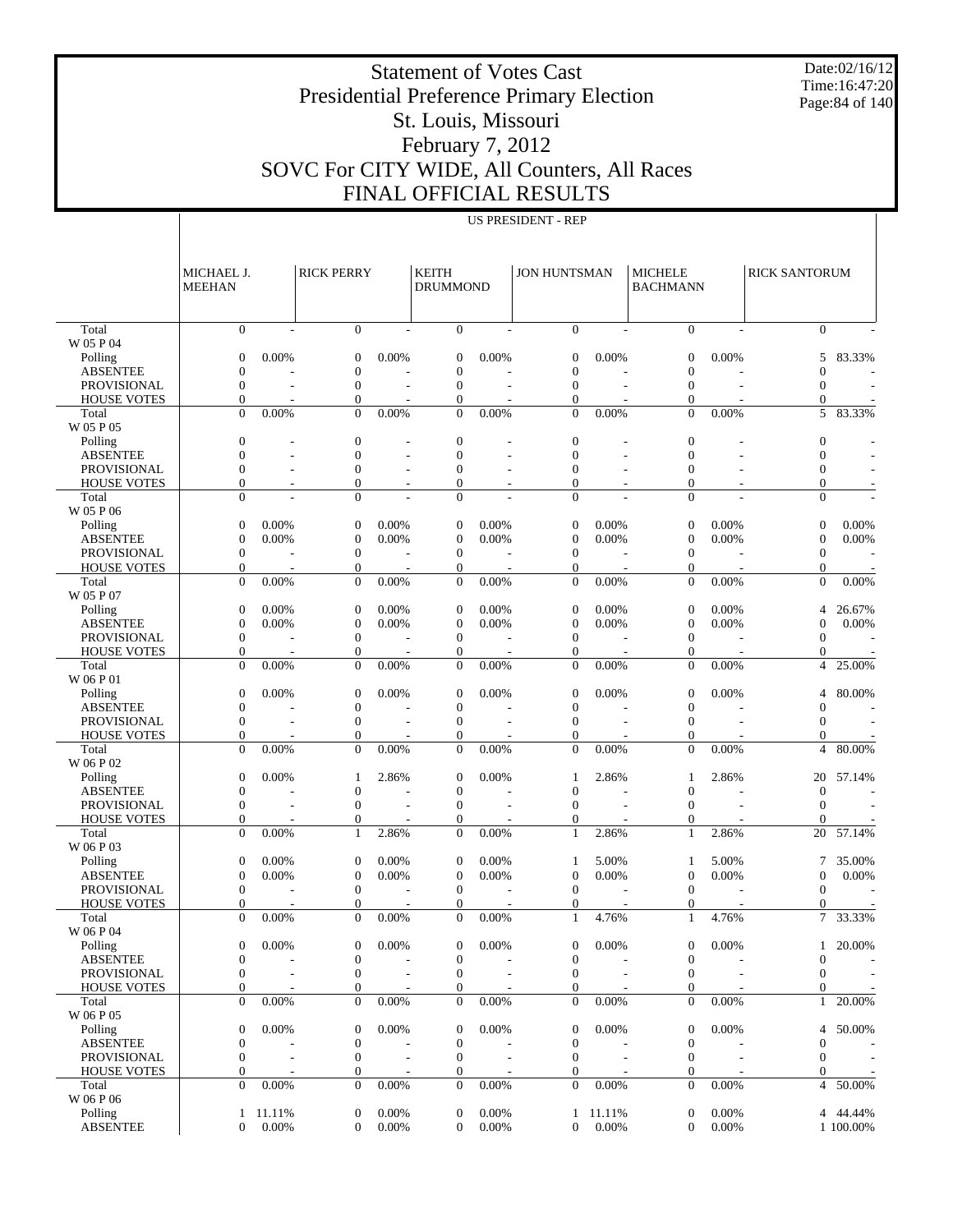Date:02/16/12 Time:16:47:20 Page:84 of 140

# Presidential Preference Primary Election St. Louis, Missouri

Statement of Votes Cast

## February 7, 2012 SOVC For CITY WIDE, All Counters, All Races FINAL OFFICIAL RESULTS

| CIAL KENULTN       |  |
|--------------------|--|
| US PRESIDENT - REP |  |

|                                       | MICHAEL J.<br><b>MEEHAN</b>      | <b>RICK PERRY</b>        |                                      |                          | <b>KEITH</b><br><b>DRUMMOND</b> |                          | <b>JON HUNTSMAN</b>                  |          | <b>MICHELE</b><br><b>BACHMANN</b> |       | <b>RICK SANTORUM</b>             |           |
|---------------------------------------|----------------------------------|--------------------------|--------------------------------------|--------------------------|---------------------------------|--------------------------|--------------------------------------|----------|-----------------------------------|-------|----------------------------------|-----------|
| Total                                 | $\overline{0}$                   | $\sim$                   | $\overline{0}$                       | L.                       | $\overline{0}$                  |                          | $\mathbf{0}$                         |          | $\Omega$                          |       | $\mathbf{0}$                     |           |
| W 05 P 04                             |                                  |                          |                                      |                          |                                 |                          |                                      |          |                                   |       |                                  |           |
| Polling<br><b>ABSENTEE</b>            | $\overline{0}$<br>$\theta$       | 0.00%                    | $\overline{0}$<br>$\overline{0}$     | 0.00%                    | $\overline{0}$<br>$\Omega$      | 0.00%                    | $\theta$<br>$\theta$                 | 0.00%    | $\Omega$<br>$\Omega$              | 0.00% | 5<br>$\overline{0}$              | 83.33%    |
| <b>PROVISIONAL</b>                    | $\overline{0}$                   |                          | $\overline{0}$                       |                          | $\overline{0}$                  |                          | $\mathbf{0}$                         |          | $\mathbf{0}$                      |       | $\mathbf{0}$                     |           |
| <b>HOUSE VOTES</b>                    | $\overline{0}$                   |                          | $\overline{0}$                       |                          | $\mathbf{0}$                    |                          | $\overline{0}$                       |          | $\Omega$                          |       | $\mathbf{0}$                     |           |
| Total                                 | $\overline{0}$                   | 0.00%                    | $\overline{0}$                       | 0.00%                    | $\overline{0}$                  | 0.00%                    | $\overline{0}$                       | 0.00%    | $\overline{0}$                    | 0.00% | 5                                | 83.33%    |
| W 05 P 05                             |                                  |                          |                                      |                          |                                 |                          |                                      |          |                                   |       |                                  |           |
| Polling                               | $\overline{0}$                   |                          | $\mathbf{0}$                         |                          | $\overline{0}$                  |                          | $\mathbf{0}$                         |          | $\mathbf{0}$                      |       | $\mathbf{0}$                     |           |
| <b>ABSENTEE</b>                       | $\theta$                         |                          | $\overline{0}$                       | $\overline{\phantom{a}}$ | $\Omega$                        |                          | $\mathbf{0}$                         |          | $\Omega$                          |       | $\overline{0}$                   |           |
| <b>PROVISIONAL</b>                    | $\overline{0}$                   |                          | $\overline{0}$                       |                          | $\overline{0}$                  |                          | $\mathbf{0}$                         |          | $\Omega$                          |       | $\mathbf{0}$                     |           |
| <b>HOUSE VOTES</b><br>Total           | $\theta$<br>$\Omega$             | $\overline{\phantom{a}}$ | $\overline{0}$<br>$\overline{0}$     | $\overline{\phantom{a}}$ | 0<br>$\overline{0}$             | $\overline{\phantom{a}}$ | $\overline{0}$<br>$\Omega$           |          | $\Omega$<br>$\Omega$              |       | $\overline{0}$<br>$\mathbf{0}$   |           |
| W 05 P 06                             |                                  |                          |                                      |                          |                                 |                          |                                      |          |                                   |       |                                  |           |
| Polling                               | $\mathbf{0}$                     | 0.00%                    | $\boldsymbol{0}$                     | 0.00%                    | $\theta$                        | 0.00%                    | $\theta$                             | 0.00%    | $\mathbf{0}$                      | 0.00% | $\boldsymbol{0}$                 | 0.00%     |
| <b>ABSENTEE</b>                       | $\overline{0}$                   | 0.00%                    | $\overline{0}$                       | 0.00%                    | $\overline{0}$                  | 0.00%                    | $\mathbf{0}$                         | 0.00%    | $\mathbf{0}$                      | 0.00% | $\boldsymbol{0}$                 | 0.00%     |
| <b>PROVISIONAL</b>                    | $\overline{0}$                   |                          | $\mathbf{0}$                         |                          | $\overline{0}$                  |                          | $\mathbf{0}$                         |          | $\mathbf{0}$                      |       | $\boldsymbol{0}$                 |           |
| <b>HOUSE VOTES</b>                    | $\mathbf{0}$                     |                          | $\overline{0}$                       |                          | $\theta$                        |                          | $\mathbf{0}$                         |          | $\mathbf{0}$                      |       | $\mathbf{0}$                     |           |
| Total                                 | $\overline{0}$                   | 0.00%                    | $\overline{0}$                       | 0.00%                    | $\overline{0}$                  | 0.00%                    | $\mathbf{0}$                         | 0.00%    | $\mathbf{0}$                      | 0.00% | $\boldsymbol{0}$                 | 0.00%     |
| W 05 P 07                             |                                  |                          |                                      |                          |                                 |                          |                                      |          |                                   |       |                                  |           |
| Polling                               | $\mathbf{0}$<br>$\overline{0}$   | 0.00%                    | $\mathbf{0}$<br>$\overline{0}$       | 0.00%                    | $\mathbf{0}$<br>$\overline{0}$  | 0.00%                    | $\theta$<br>$\mathbf{0}$             | 0.00%    | $\mathbf{0}$<br>$\mathbf{0}$      | 0.00% | $\overline{4}$<br>$\overline{0}$ | 26.67%    |
| <b>ABSENTEE</b><br><b>PROVISIONAL</b> | $\overline{0}$                   | 0.00%                    | $\overline{0}$                       | 0.00%                    | $\overline{0}$                  | 0.00%                    | $\theta$                             | 0.00%    | $\mathbf{0}$                      | 0.00% | $\mathbf{0}$                     | 0.00%     |
| <b>HOUSE VOTES</b>                    | $\mathbf{0}$                     |                          | $\overline{0}$                       |                          | $\theta$                        |                          | $\mathbf{0}$                         |          | 0                                 |       | $\mathbf{0}$                     |           |
| Total                                 | $\overline{0}$                   | 0.00%                    | $\overline{0}$                       | 0.00%                    | $\overline{0}$                  | 0.00%                    | $\Omega$                             | 0.00%    | $\overline{0}$                    | 0.00% | $\overline{4}$                   | 25.00%    |
| W 06 P 01                             |                                  |                          |                                      |                          |                                 |                          |                                      |          |                                   |       |                                  |           |
| Polling                               | $\overline{0}$                   | 0.00%                    | $\overline{0}$                       | 0.00%                    | $\overline{0}$                  | 0.00%                    | $\theta$                             | 0.00%    | $\mathbf{0}$                      | 0.00% | 4                                | 80.00%    |
| <b>ABSENTEE</b>                       | $\overline{0}$                   |                          | $\overline{0}$                       |                          | $\overline{0}$                  |                          | $\mathbf{0}$                         |          | $\Omega$                          |       | $\theta$                         |           |
| <b>PROVISIONAL</b>                    | $\overline{0}$                   |                          | $\overline{0}$                       |                          | $\overline{0}$                  |                          | $\mathbf{0}$                         |          | $\mathbf{0}$                      |       | $\mathbf{0}$                     |           |
| <b>HOUSE VOTES</b>                    | $\overline{0}$                   |                          | $\overline{0}$                       |                          | $\Omega$                        |                          | $\mathbf{0}$                         |          | $\Omega$                          |       | $\theta$                         |           |
| Total<br>W 06 P 02                    | $\overline{0}$                   | 0.00%                    | $\overline{0}$                       | 0.00%                    | $\mathbf{0}$                    | 0.00%                    | $\overline{0}$                       | 0.00%    | $\mathbf{0}$                      | 0.00% | $\overline{4}$                   | 80.00%    |
| Polling                               | $\overline{0}$                   | 0.00%                    | 1                                    | 2.86%                    | $\overline{0}$                  | 0.00%                    | 1                                    | 2.86%    | -1                                | 2.86% | 20                               | 57.14%    |
| <b>ABSENTEE</b>                       | $\overline{0}$                   |                          | $\overline{0}$                       |                          | $\overline{0}$                  |                          | $\mathbf{0}$                         |          | $\mathbf{0}$                      |       | $\mathbf{0}$                     |           |
| <b>PROVISIONAL</b>                    | $\overline{0}$                   |                          | $\overline{0}$                       |                          | $\overline{0}$                  |                          | $\mathbf{0}$                         |          | $\Omega$                          |       | $\theta$                         |           |
| <b>HOUSE VOTES</b>                    | $\overline{0}$                   |                          | $\overline{0}$                       |                          | $\overline{0}$                  |                          | $\mathbf{0}$                         |          | $\Omega$                          |       | $\theta$                         |           |
| Total                                 | $\overline{0}$                   | 0.00%                    | 1                                    | 2.86%                    | $\overline{0}$                  | 0.00%                    | $\mathbf{1}$                         | 2.86%    | $\mathbf{1}$                      | 2.86% | 20                               | 57.14%    |
| W 06 P 03                             |                                  |                          |                                      |                          |                                 |                          |                                      |          |                                   |       |                                  |           |
| Polling                               | $\mathbf{0}$                     | 0.00%                    | $\overline{0}$                       | 0.00%                    | $\theta$                        | 0.00%                    | 1                                    | 5.00%    | 1                                 | 5.00% | $\overline{7}$                   | 35.00%    |
| <b>ABSENTEE</b>                       | $\overline{0}$                   | 0.00%                    | $\overline{0}$                       | 0.00%                    | $\overline{0}$                  | 0.00%                    | $\mathbf{0}$                         | 0.00%    | $\theta$                          | 0.00% | $\boldsymbol{0}$                 | 0.00%     |
| PROVISIONAL                           | $\overline{0}$                   |                          | $\overline{0}$                       |                          | $\mathbf{0}$                    |                          | $\theta$                             |          | $\Omega$                          |       | $\mathbf{0}$                     |           |
| <b>HOUSE VOTES</b><br>Total           | $\mathbf{0}$<br>$\overline{0}$   | 0.00%                    | $\overline{0}$<br>$\overline{0}$     | 0.00%                    | 0<br>$\overline{0}$             | 0.00%                    | $\mathbf{0}$<br>$\mathbf{1}$         | 4.76%    | $\Omega$<br>$\mathbf{1}$          | 4.76% | $\theta$<br>7                    | 33.33%    |
| W 06 P 04                             |                                  |                          |                                      |                          |                                 |                          |                                      |          |                                   |       |                                  |           |
| Polling                               | $\overline{0}$                   | $0.00\%$                 | $\overline{0}$                       | 0.00%                    | $\overline{0}$                  | $0.00\%$                 | $\overline{0}$                       | $0.00\%$ | $\overline{0}$                    | 0.00% |                                  | 1 20.00%  |
| <b>ABSENTEE</b>                       | $\overline{0}$                   |                          | $\boldsymbol{0}$                     |                          | $\overline{0}$                  |                          | 0                                    |          | $\mathbf{0}$                      |       | $\boldsymbol{0}$                 |           |
| PROVISIONAL                           | $\overline{0}$                   |                          | $\overline{0}$                       |                          | $\mathbf{0}$                    |                          | $\mathbf{0}$                         |          | $\mathbf{0}$                      |       | $\mathbf{0}$                     |           |
| <b>HOUSE VOTES</b>                    | $\overline{0}$                   |                          | $\overline{0}$                       |                          | $\overline{0}$                  |                          | $\mathbf{0}$                         |          | $\mathbf{0}$                      |       | $\mathbf{0}$                     |           |
| Total                                 | $\boldsymbol{0}$                 | $0.00\%$                 | $\overline{0}$                       | $0.00\%$                 | $\mathbf{0}$                    | 0.00%                    | $\mathbf{0}$                         | 0.00%    | $\mathbf{0}$                      | 0.00% | $\mathbf{1}$                     | 20.00%    |
| W 06 P 05                             |                                  |                          |                                      |                          |                                 |                          |                                      |          |                                   |       |                                  |           |
| Polling                               | $\boldsymbol{0}$                 | 0.00%                    | $\boldsymbol{0}$                     | 0.00%                    | $\boldsymbol{0}$                | 0.00%                    | $\mathbf{0}$                         | 0.00%    | $\mathbf{0}$                      | 0.00% | $\overline{4}$                   | 50.00%    |
| <b>ABSENTEE</b><br>PROVISIONAL        | $\mathbf{0}$<br>$\boldsymbol{0}$ |                          | $\boldsymbol{0}$<br>$\boldsymbol{0}$ |                          | $\mathbf{0}$<br>$\mathbf{0}$    |                          | $\boldsymbol{0}$<br>$\boldsymbol{0}$ |          | $\mathbf{0}$<br>$\mathbf{0}$      |       | $\mathbf{0}$<br>$\mathbf{0}$     |           |
| <b>HOUSE VOTES</b>                    | 0                                |                          | $\overline{0}$                       |                          | 0                               |                          | $\mathbf{0}$                         |          | 0                                 |       | $\mathbf{0}$                     |           |
| Total                                 | $\overline{0}$                   | $0.00\%$                 | $\overline{0}$                       | $0.00\%$                 | $\mathbf{0}$                    | 0.00%                    | $\theta$                             | 0.00%    | $\mathbf{0}$                      | 0.00% | $\overline{4}$                   | 50.00%    |
| W 06 P 06                             |                                  |                          |                                      |                          |                                 |                          |                                      |          |                                   |       |                                  |           |
| Polling                               | $\mathbf{1}$                     | 11.11%                   | $\boldsymbol{0}$                     | 0.00%                    | $\overline{0}$                  | 0.00%                    | $\mathbf{1}$                         | 11.11%   | $\boldsymbol{0}$                  | 0.00% | 4                                | 44.44%    |
| <b>ABSENTEE</b>                       | $\overline{0}$                   | 0.00%                    | $\overline{0}$                       | 0.00%                    | $\overline{0}$                  | 0.00%                    | $\overline{0}$                       | 0.00%    | $\overline{0}$                    | 0.00% |                                  | 1 100.00% |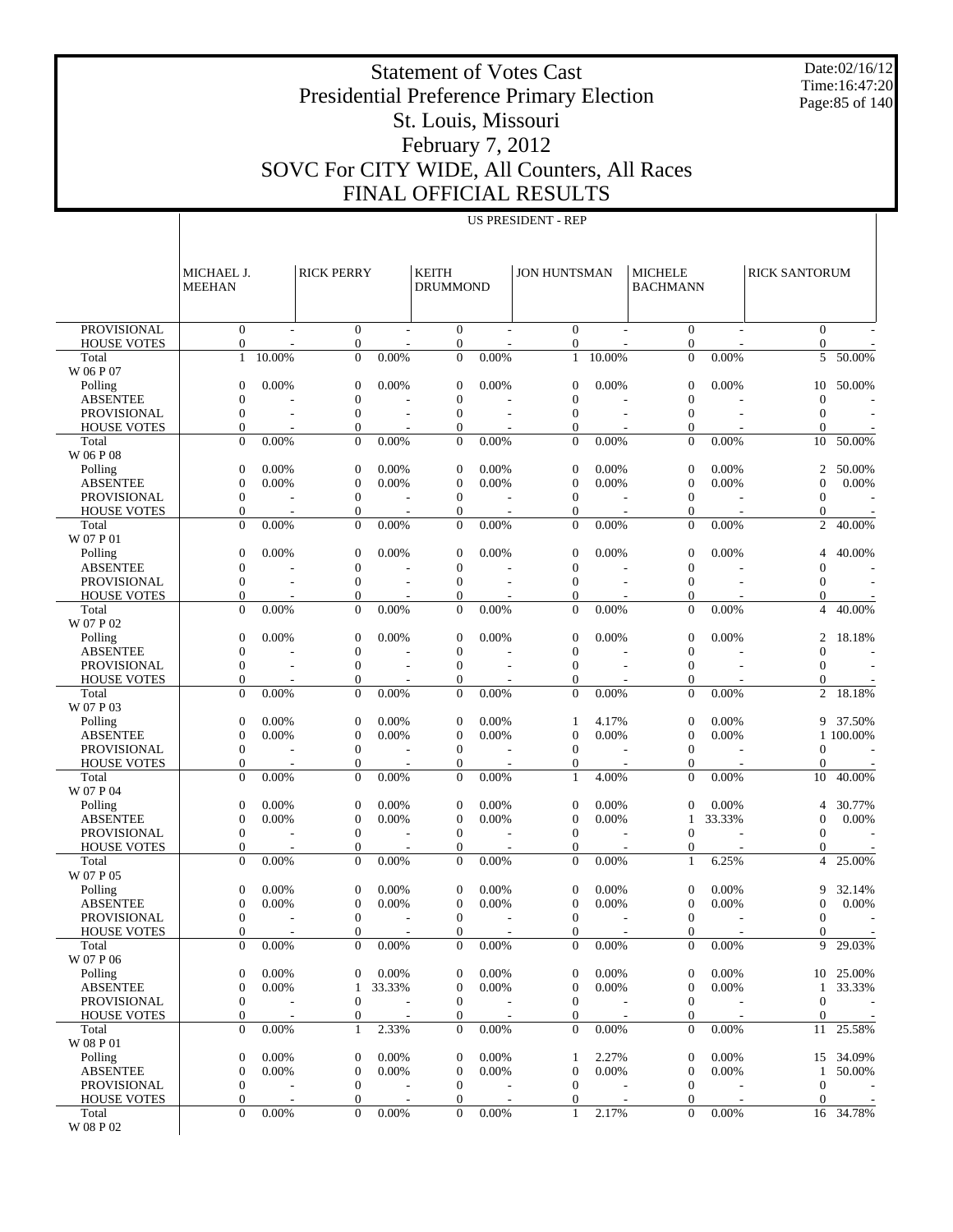Date:02/16/12 Time:16:47:20 Page:85 of 140

# Presidential Preference Primary Election St. Louis, Missouri

Statement of Votes Cast

#### February 7, 2012 SOVC For CITY WIDE, All Counters, All Races FINAL OFFICIAL RESULTS

US PRESIDENT - REP

|                                          | MICHAEL J.<br><b>MEEHAN</b>      |                          | <b>RICK PERRY</b>                    |                          | <b>KEITH</b><br><b>DRUMMOND</b>      |                          | <b>JON HUNTSMAN</b>              |                          | <b>MICHELE</b><br><b>BACHMANN</b> |        | <b>RICK SANTORUM</b>           |           |
|------------------------------------------|----------------------------------|--------------------------|--------------------------------------|--------------------------|--------------------------------------|--------------------------|----------------------------------|--------------------------|-----------------------------------|--------|--------------------------------|-----------|
|                                          |                                  |                          |                                      |                          |                                      |                          |                                  |                          |                                   |        |                                |           |
| <b>PROVISIONAL</b><br><b>HOUSE VOTES</b> | $\mathbf{0}$<br>$\boldsymbol{0}$ |                          | $\overline{0}$<br>$\boldsymbol{0}$   |                          | $\overline{0}$<br>$\boldsymbol{0}$   |                          | $\overline{0}$<br>0              |                          | $\overline{0}$<br>0               |        | $\Omega$<br>0                  |           |
| Total                                    | $\mathbf{1}$                     | 10.00%                   | $\theta$                             | 0.00%                    | $\overline{0}$                       | 0.00%                    | $\mathbf{1}$                     | 10.00%                   | $\Omega$                          | 0.00%  | 5                              | 50.00%    |
| W 06 P 07                                |                                  |                          |                                      |                          |                                      |                          |                                  |                          |                                   |        |                                |           |
| Polling<br><b>ABSENTEE</b>               | $\Omega$<br>$\mathbf{0}$         | 0.00%                    | $\boldsymbol{0}$<br>$\boldsymbol{0}$ | 0.00%                    | $\overline{0}$<br>$\overline{0}$     | 0.00%                    | $\mathbf{0}$<br>$\boldsymbol{0}$ | 0.00%                    | $\mathbf{0}$<br>$\mathbf{0}$      | 0.00%  | 10<br>$\theta$                 | 50.00%    |
| <b>PROVISIONAL</b>                       | $\mathbf{0}$                     |                          | $\overline{0}$                       | $\overline{a}$           | $\mathbf{0}$                         | $\overline{a}$           | $\mathbf{0}$                     | $\overline{a}$           | $\mathbf{0}$                      |        | $\mathbf{0}$                   |           |
| <b>HOUSE VOTES</b>                       | $\mathbf{0}$                     |                          | $\overline{0}$                       |                          | $\boldsymbol{0}$                     |                          | $\mathbf{0}$                     |                          | $\mathbf{0}$                      |        | 0                              |           |
| Total<br>W 06 P 08                       | $\mathbf{0}$                     | 0.00%                    | $\overline{0}$                       | 0.00%                    | $\mathbf{0}$                         | 0.00%                    | $\Omega$                         | 0.00%                    | $\mathbf{0}$                      | 0.00%  | 10                             | 50.00%    |
| Polling                                  | $\mathbf{0}$                     | 0.00%                    | $\boldsymbol{0}$                     | 0.00%                    | $\overline{0}$                       | 0.00%                    | $\mathbf{0}$                     | 0.00%                    | $\mathbf{0}$                      | 0.00%  | 2                              | 50.00%    |
| <b>ABSENTEE</b>                          | $\mathbf{0}$                     | 0.00%                    | $\boldsymbol{0}$                     | 0.00%                    | $\overline{0}$                       | 0.00%                    | $\mathbf{0}$                     | 0.00%                    | $\mathbf{0}$                      | 0.00%  | $\Omega$                       | 0.00%     |
| <b>PROVISIONAL</b><br><b>HOUSE VOTES</b> | $\mathbf{0}$<br>$\mathbf{0}$     |                          | $\overline{0}$<br>$\boldsymbol{0}$   |                          | $\mathbf{0}$<br>$\boldsymbol{0}$     |                          | $\theta$<br>$\mathbf{0}$         |                          | $\mathbf{0}$<br>$\mathbf{0}$      |        | $\mathbf{0}$<br>$\overline{0}$ |           |
| Total                                    | $\mathbf{0}$                     | 0.00%                    | $\overline{0}$                       | 0.00%                    | $\overline{0}$                       | 0.00%                    | $\Omega$                         | 0.00%                    | $\mathbf{0}$                      | 0.00%  | $\overline{c}$                 | 40.00%    |
| W 07 P 01                                |                                  |                          |                                      |                          |                                      |                          |                                  |                          |                                   |        |                                |           |
| Polling                                  | $\Omega$                         | 0.00%                    | $\boldsymbol{0}$                     | 0.00%                    | $\overline{0}$                       | 0.00%                    | $\overline{0}$                   | 0.00%                    | $\mathbf{0}$                      | 0.00%  | 4                              | 40.00%    |
| <b>ABSENTEE</b>                          | $\mathbf{0}$                     |                          | $\boldsymbol{0}$                     |                          | $\overline{0}$                       |                          | $\mathbf{0}$                     |                          | $\mathbf{0}$                      |        | $\boldsymbol{0}$               |           |
| <b>PROVISIONAL</b><br><b>HOUSE VOTES</b> | $\mathbf{0}$<br>$\mathbf{0}$     |                          | $\overline{0}$<br>$\overline{0}$     | $\overline{a}$           | $\overline{0}$<br>$\overline{0}$     |                          | $\mathbf{0}$<br>$\mathbf{0}$     | $\overline{\phantom{a}}$ | $\mathbf{0}$<br>0                 |        | $\mathbf{0}$<br>0              |           |
| Total                                    | $\mathbf{0}$                     | 0.00%                    | $\overline{0}$                       | 0.00%                    | $\mathbf{0}$                         | 0.00%                    | $\Omega$                         | 0.00%                    | $\mathbf{0}$                      | 0.00%  | $\overline{4}$                 | 40.00%    |
| W 07 P 02                                |                                  |                          |                                      | 0.00%                    | $\overline{0}$                       |                          | $\overline{0}$                   | 0.00%                    |                                   | 0.00%  | $\overline{c}$                 |           |
| Polling<br><b>ABSENTEE</b>               | $\mathbf{0}$<br>$\theta$         | 0.00%                    | $\boldsymbol{0}$<br>$\boldsymbol{0}$ |                          | $\boldsymbol{0}$                     | 0.00%                    | $\boldsymbol{0}$                 |                          | $\mathbf{0}$<br>$\mathbf{0}$      |        | $\mathbf{0}$                   | 18.18%    |
| <b>PROVISIONAL</b>                       | $\mathbf{0}$                     | $\overline{\phantom{a}}$ | $\overline{0}$                       | $\overline{\phantom{a}}$ | $\overline{0}$                       | $\overline{\phantom{a}}$ | $\mathbf{0}$                     |                          | $\mathbf{0}$                      |        | $\mathbf{0}$                   |           |
| <b>HOUSE VOTES</b>                       | $\mathbf{0}$                     |                          | $\boldsymbol{0}$                     |                          | $\boldsymbol{0}$                     |                          | $\boldsymbol{0}$                 |                          | 0                                 |        | 0                              |           |
| Total<br>W 07 P 03                       | $\Omega$                         | 0.00%                    | $\Omega$                             | 0.00%                    | $\overline{0}$                       | 0.00%                    | $\Omega$                         | 0.00%                    | $\Omega$                          | 0.00%  | $\overline{c}$                 | 18.18%    |
| Polling                                  | $\mathbf{0}$                     | 0.00%                    | $\boldsymbol{0}$                     | 0.00%                    | $\boldsymbol{0}$                     | 0.00%                    | 1                                | 4.17%                    | $\mathbf{0}$                      | 0.00%  | 9                              | 37.50%    |
| <b>ABSENTEE</b>                          | $\theta$                         | 0.00%                    | $\boldsymbol{0}$                     | 0.00%                    | $\boldsymbol{0}$                     | 0.00%                    | $\mathbf{0}$                     | 0.00%                    | $\mathbf{0}$                      | 0.00%  |                                | 1 100,00% |
| <b>PROVISIONAL</b>                       | $\mathbf{0}$                     |                          | $\overline{0}$                       | $\overline{a}$           | $\mathbf{0}$                         |                          | $\theta$                         |                          | $\mathbf{0}$                      |        | $\mathbf{0}$                   |           |
| <b>HOUSE VOTES</b><br>Total              | $\mathbf{0}$<br>$\Omega$         | 0.00%                    | $\boldsymbol{0}$<br>$\overline{0}$   | 0.00%                    | $\boldsymbol{0}$<br>$\overline{0}$   | 0.00%                    | $\mathbf{0}$<br>$\mathbf{1}$     | 4.00%                    | $\mathbf{0}$<br>$\mathbf{0}$      | 0.00%  | $\mathbf{0}$<br>10             | 40.00%    |
| W 07 P 04                                |                                  |                          |                                      |                          |                                      |                          |                                  |                          |                                   |        |                                |           |
| Polling                                  | $\mathbf{0}$                     | 0.00%                    | $\boldsymbol{0}$                     | 0.00%                    | $\overline{0}$                       | 0.00%                    | $\overline{0}$                   | 0.00%                    | $\mathbf{0}$                      | 0.00%  | 4                              | 30.77%    |
| <b>ABSENTEE</b><br><b>PROVISIONAL</b>    | $\mathbf{0}$<br>$\mathbf{0}$     | 0.00%                    | $\boldsymbol{0}$<br>$\overline{0}$   | 0.00%<br>$\overline{a}$  | $\overline{0}$<br>$\mathbf{0}$       | 0.00%                    | $\mathbf{0}$<br>$\theta$         | 0.00%                    | 1<br>$\mathbf{0}$                 | 33.33% | $\Omega$<br>$\mathbf{0}$       | 0.00%     |
| <b>HOUSE VOTES</b>                       | $\mathbf{0}$                     |                          | $\boldsymbol{0}$                     |                          | $\boldsymbol{0}$                     |                          | $\boldsymbol{0}$                 |                          | 0                                 |        | 0                              |           |
| Total<br>W 07 P 05                       | $\Omega$                         | 0.00%                    | $\Omega$                             | 0.00%                    | $\overline{0}$                       | 0.00%                    | $\Omega$                         | 0.00%                    | $\mathbf{1}$                      | 6.25%  | 4                              | 25.00%    |
| Polling                                  | 0                                | 0.00%                    | $\boldsymbol{0}$                     | 0.00%                    | $\overline{0}$                       | 0.00%                    | $\mathbf{0}$                     | 0.00%                    | $\mathbf{0}$                      | 0.00%  | 9                              | 32.14%    |
| <b>ABSENTEE</b>                          | $\Omega$                         | 0.00%                    | $\boldsymbol{0}$                     | 0.00%                    | $\boldsymbol{0}$                     | 0.00%                    | $\overline{0}$                   | 0.00%                    | $\mathbf{0}$                      | 0.00%  | $\theta$                       | 0.00%     |
| <b>PROVISIONAL</b>                       | $\mathbf{0}$<br>$\Omega$         |                          | $\overline{0}$<br>$\Omega$           |                          | $\mathbf{0}$<br>$\Omega$             |                          | $\mathbf{0}$<br>$\Omega$         |                          | $\mathbf{0}$<br>$\Omega$          |        | $\mathbf{0}$<br>$\Omega$       |           |
| <b>HOUSE VOTES</b><br>Total              | $\mathbf{0}$                     | 0.00%                    | 0                                    | 0.00%                    | $\overline{0}$                       | 0.00%                    | $\overline{0}$                   | 0.00%                    | $\mathbf{0}$                      | 0.00%  |                                | 9 29.03%  |
| W 07 P 06                                |                                  |                          |                                      |                          |                                      |                          |                                  |                          |                                   |        |                                |           |
| Polling                                  | $\mathbf{0}$                     | 0.00%                    | $\boldsymbol{0}$                     | 0.00%                    | $\boldsymbol{0}$                     | 0.00%                    | $\mathbf{0}$                     | 0.00%                    | $\mathbf{0}$                      | 0.00%  | 10                             | 25.00%    |
| <b>ABSENTEE</b><br><b>PROVISIONAL</b>    | $\mathbf{0}$<br>$\boldsymbol{0}$ | 0.00%                    | 1<br>$\boldsymbol{0}$                | 33.33%                   | $\boldsymbol{0}$<br>$\boldsymbol{0}$ | 0.00%                    | $\mathbf{0}$<br>$\overline{0}$   | 0.00%                    | $\theta$<br>$\mathbf{0}$          | 0.00%  | 1<br>$\mathbf{0}$              | 33.33%    |
| <b>HOUSE VOTES</b>                       | 0                                |                          | $\boldsymbol{0}$                     |                          | $\boldsymbol{0}$                     |                          | $\mathbf{0}$                     |                          | 0                                 |        | $\theta$                       |           |
| Total<br>W 08 P 01                       | $\mathbf{0}$                     | 0.00%                    | 1                                    | 2.33%                    | $\mathbf{0}$                         | 0.00%                    | $\overline{0}$                   | 0.00%                    | $\mathbf{0}$                      | 0.00%  | 11                             | 25.58%    |
| Polling                                  | 0                                | 0.00%                    | $\boldsymbol{0}$                     | 0.00%                    | $\boldsymbol{0}$                     | 0.00%                    | 1                                | 2.27%                    | $\theta$                          | 0.00%  | 15                             | 34.09%    |
| <b>ABSENTEE</b>                          | $\overline{0}$                   | 0.00%                    | $\boldsymbol{0}$                     | 0.00%                    | $\boldsymbol{0}$                     | 0.00%                    | $\mathbf{0}$                     | 0.00%                    | $\mathbf{0}$                      | 0.00%  | $\mathbf{1}$                   | 50.00%    |
| <b>PROVISIONAL</b>                       | $\boldsymbol{0}$                 |                          | $\boldsymbol{0}$                     |                          | $\mathbf{0}$                         |                          | $\overline{0}$                   |                          | $\mathbf{0}$                      |        | $\mathbf{0}$                   |           |
| <b>HOUSE VOTES</b><br>Total              | 0<br>$\mathbf{0}$                | 0.00%                    | $\boldsymbol{0}$<br>$\Omega$         | 0.00%                    | $\boldsymbol{0}$<br>$\overline{0}$   | 0.00%                    | $\boldsymbol{0}$<br>$\mathbf{1}$ | $2.1\overline{7\%}$      | 0<br>$\mathbf{0}$                 | 0.00%  | $\theta$<br>16                 | 34.78%    |
| W 08 P 02                                |                                  |                          |                                      |                          |                                      |                          |                                  |                          |                                   |        |                                |           |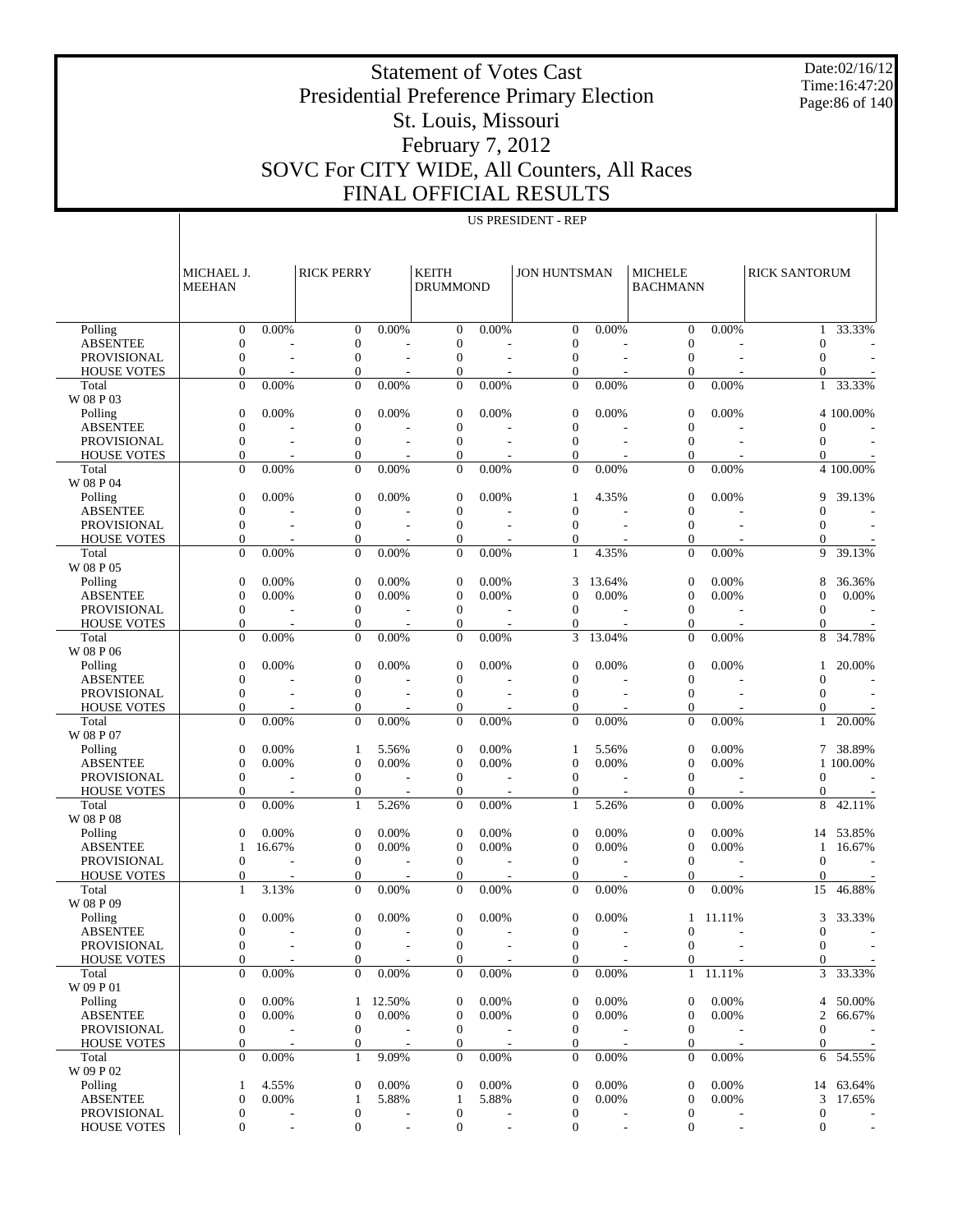Date:02/16/12 Time:16:47:20 Page:86 of 140

### Presidential Preference Primary Election St. Louis, Missouri February 7, 2012 SOVC For CITY WIDE, All Counters, All Races FINAL OFFICIAL RESULTS

Statement of Votes Cast

|                                   | MICHAEL J.<br><b>MEEHAN</b>        |                          | <b>RICK PERRY</b>                  |                          | <b>KEITH</b><br><b>DRUMMOND</b>  |                | <b>JON HUNTSMAN</b>              |                          | <b>MICHELE</b><br><b>BACHMANN</b> |                          | <b>RICK SANTORUM</b>     |                       |
|-----------------------------------|------------------------------------|--------------------------|------------------------------------|--------------------------|----------------------------------|----------------|----------------------------------|--------------------------|-----------------------------------|--------------------------|--------------------------|-----------------------|
| Polling                           | $\boldsymbol{0}$                   | 0.00%                    | $\mathbf{0}$                       | 0.00%                    | $\overline{0}$                   | 0.00%          | $\mathbf{0}$                     | 0.00%                    | $\mathbf{0}$                      | 0.00%                    |                          | $1 - 33.33\%$         |
| <b>ABSENTEE</b>                   | $\mathbf{0}$                       |                          | $\overline{0}$                     |                          | $\overline{0}$                   |                | $\boldsymbol{0}$                 |                          | $\mathbf{0}$                      |                          | $\mathbf{0}$             |                       |
| PROVISIONAL                       | $\mathbf{0}$                       | $\overline{a}$           | $\mathbf{0}$                       | ÷,                       | $\overline{0}$                   | $\overline{a}$ | $\boldsymbol{0}$                 | L,                       | $\mathbf{0}$                      | $\overline{a}$           | $\mathbf{0}$             |                       |
| <b>HOUSE VOTES</b>                | $\mathbf{0}$                       |                          | 0                                  |                          | $\overline{0}$                   |                | $\mathbf{0}$                     |                          | $\mathbf{0}$                      |                          | $\Omega$                 |                       |
| Total<br>W 08 P 03                | $\overline{0}$                     | 0.00%                    | $\mathbf{0}$                       | 0.00%                    | $\overline{0}$                   | 0.00%          | $\mathbf{0}$                     | 0.00%                    | $\mathbf{0}$                      | 0.00%                    |                          | 1 33.33%              |
| Polling                           | $\boldsymbol{0}$                   | 0.00%                    | $\boldsymbol{0}$                   | 0.00%                    | $\overline{0}$                   | 0.00%          | $\boldsymbol{0}$                 | 0.00%                    | $\mathbf{0}$                      | 0.00%                    |                          | 4 100.00%             |
| <b>ABSENTEE</b>                   | $\overline{0}$                     |                          | $\overline{0}$                     |                          | $\overline{0}$                   |                | $\boldsymbol{0}$                 |                          | $\mathbf{0}$                      |                          | $\mathbf{0}$             |                       |
| PROVISIONAL                       | $\mathbf{0}$                       |                          | $\overline{0}$                     |                          | $\overline{0}$                   |                | $\mathbf{0}$                     |                          | $\mathbf{0}$                      |                          | $\mathbf{0}$             |                       |
| <b>HOUSE VOTES</b>                | $\mathbf{0}$                       |                          | $\boldsymbol{0}$                   |                          | $\overline{0}$                   |                | $\mathbf{0}$                     |                          | $\mathbf{0}$                      |                          | 0                        |                       |
| Total                             | $\overline{0}$                     | 0.00%                    | $\mathbf{0}$                       | 0.00%                    | $\overline{0}$                   | 0.00%          | $\mathbf{0}$                     | 0.00%                    | $\mathbf{0}$                      | 0.00%                    |                          | 4 100.00%             |
| W 08 P 04                         |                                    |                          |                                    |                          |                                  |                |                                  |                          |                                   |                          |                          |                       |
| Polling                           | 0                                  | 0.00%                    | $\mathbf{0}$                       | 0.00%                    | $\boldsymbol{0}$                 | 0.00%          | 1                                | 4.35%                    | $\boldsymbol{0}$                  | 0.00%                    | 9                        | 39.13%                |
| <b>ABSENTEE</b>                   | $\overline{0}$                     |                          | $\overline{0}$                     |                          | $\overline{0}$                   |                | $\mathbf{0}$                     |                          | $\mathbf{0}$                      |                          | $\mathbf{0}$             |                       |
| PROVISIONAL                       | $\mathbf{0}$<br>$\mathbf{0}$       | ÷,                       | $\mathbf{0}$                       | Ĭ.                       | $\overline{0}$                   | $\sim$         | $\mathbf{0}$                     | ÷,                       | $\mathbf{0}$                      |                          | $\mathbf{0}$             |                       |
| <b>HOUSE VOTES</b><br>Total       | $\overline{0}$                     | 0.00%                    | $\boldsymbol{0}$<br>$\overline{0}$ | 0.00%                    | $\overline{0}$<br>$\overline{0}$ | 0.00%          | $\boldsymbol{0}$<br>1            | 4.35%                    | $\mathbf{0}$<br>$\mathbf{0}$      | 0.00%                    | $\mathbf{0}$<br>9        | 39.13%                |
| W 08 P 05                         |                                    |                          |                                    |                          |                                  |                |                                  |                          |                                   |                          |                          |                       |
| Polling                           | $\mathbf{0}$                       | 0.00%                    | $\boldsymbol{0}$                   | 0.00%                    | $\overline{0}$                   | 0.00%          | 3                                | 13.64%                   | $\mathbf{0}$                      | 0.00%                    | 8                        | 36.36%                |
| <b>ABSENTEE</b>                   | $\overline{0}$                     | 0.00%                    | $\overline{0}$                     | 0.00%                    | $\overline{0}$                   | 0.00%          | $\mathbf{0}$                     | 0.00%                    | $\mathbf{0}$                      | 0.00%                    | $\mathbf{0}$             | 0.00%                 |
| <b>PROVISIONAL</b>                | $\boldsymbol{0}$                   | Ĭ.                       | $\mathbf{0}$                       |                          | $\overline{0}$                   |                | $\boldsymbol{0}$                 |                          | $\mathbf{0}$                      |                          | $\boldsymbol{0}$         |                       |
| <b>HOUSE VOTES</b>                | $\boldsymbol{0}$                   |                          | $\boldsymbol{0}$                   |                          | $\mathbf{0}$                     |                | $\mathbf{0}$                     |                          | $\mathbf{0}$                      |                          | $\mathbf{0}$             |                       |
| Total<br>W 08 P 06                | $\overline{0}$                     | 0.00%                    | $\mathbf{0}$                       | 0.00%                    | $\overline{0}$                   | 0.00%          | 3                                | 13.04%                   | $\Omega$                          | 0.00%                    | 8                        | 34.78%                |
| Polling                           | 0                                  | 0.00%                    | $\mathbf{0}$                       | 0.00%                    | $\overline{0}$                   | 0.00%          | $\boldsymbol{0}$                 | 0.00%                    | $\boldsymbol{0}$                  | 0.00%                    | $\mathbf{1}$             | 20.00%                |
| <b>ABSENTEE</b>                   | $\overline{0}$                     |                          | $\overline{0}$                     |                          | $\overline{0}$                   |                | $\mathbf{0}$                     |                          | $\mathbf{0}$                      |                          | $\mathbf{0}$             |                       |
| <b>PROVISIONAL</b>                | $\mathbf{0}$                       | $\overline{a}$           | $\mathbf{0}$                       | Ĭ.                       | $\overline{0}$                   |                | $\boldsymbol{0}$                 | $\overline{\phantom{a}}$ | $\mathbf{0}$                      |                          | $\mathbf{0}$             |                       |
| <b>HOUSE VOTES</b>                | $\mathbf{0}$                       |                          | $\boldsymbol{0}$                   |                          | $\overline{0}$                   |                | $\mathbf{0}$                     |                          | $\mathbf{0}$                      |                          | 0                        |                       |
| Total<br>W 08 P 07                | $\overline{0}$                     | 0.00%                    | $\overline{0}$                     | 0.00%                    | $\overline{0}$                   | 0.00%          | $\mathbf{0}$                     | 0.00%                    | $\mathbf{0}$                      | 0.00%                    | $\mathbf{1}$             | 20.00%                |
| Polling                           | $\mathbf{0}$                       | 0.00%                    | 1                                  | 5.56%                    | $\overline{0}$                   | 0.00%          | $\mathbf{1}$                     | 5.56%                    | $\mathbf{0}$                      | 0.00%                    |                          | 7 38.89%              |
| <b>ABSENTEE</b>                   | $\boldsymbol{0}$                   | 0.00%                    | $\overline{0}$                     | 0.00%                    | $\overline{0}$                   | 0.00%          | $\mathbf{0}$                     | 0.00%                    | $\boldsymbol{0}$                  | 0.00%                    |                          | 1 100.00%             |
| <b>PROVISIONAL</b>                | $\boldsymbol{0}$                   | Ĭ.                       | $\boldsymbol{0}$                   |                          | $\overline{0}$                   |                | $\boldsymbol{0}$                 |                          | $\boldsymbol{0}$                  |                          | $\mathbf{0}$             |                       |
| <b>HOUSE VOTES</b>                | $\boldsymbol{0}$                   |                          | $\boldsymbol{0}$                   |                          | $\overline{0}$                   |                | $\mathbf{0}$                     |                          | $\mathbf{0}$                      |                          | 0                        |                       |
| Total<br>W 08 P 08                | $\overline{0}$                     | 0.00%                    | $\mathbf{1}$                       | 5.26%                    | $\overline{0}$                   | 0.00%          | 1                                | 5.26%                    | $\mathbf{0}$                      | 0.00%                    | 8                        | 42.11%                |
| Polling                           | $\mathbf{0}$                       | 0.00%                    | $\mathbf{0}$                       | 0.00%                    | $\overline{0}$                   | 0.00%          | $\boldsymbol{0}$                 | 0.00%                    | $\boldsymbol{0}$                  | 0.00%                    | 14                       | 53.85%                |
| <b>ABSENTEE</b>                   | 1                                  | 16.67%                   | $\overline{0}$                     | 0.00%                    | $\overline{0}$                   | 0.00%          | $\mathbf{0}$                     | 0.00%                    | $\mathbf{0}$                      | 0.00%                    | 1                        | 16.67%                |
| <b>PROVISIONAL</b>                | $\mathbf{0}$                       |                          | $\mathbf{0}$                       | $\overline{a}$           | $\overline{0}$                   |                | $\boldsymbol{0}$                 |                          | $\mathbf{0}$                      |                          | $\mathbf{0}$             |                       |
| <b>HOUSE VOTES</b><br>Total       | $\mathbf{0}$<br>$\mathbf{1}$       | 3.13%                    | $\boldsymbol{0}$<br>$\mathbf{0}$   | 0.00%                    | $\overline{0}$<br>$\overline{0}$ | 0.00%          | $\mathbf{0}$<br>$\mathbf{0}$     | 0.00%                    | $\mathbf{0}$<br>$\mathbf{0}$      | 0.00%                    | $\mathbf{0}$<br>15       | 46.88%                |
| W 08 P 09                         |                                    |                          |                                    |                          |                                  |                |                                  |                          |                                   |                          |                          |                       |
| Polling                           | $\boldsymbol{0}$                   | 0.00%                    | $\boldsymbol{0}$                   | 0.00%                    | $\overline{0}$                   | 0.00%          | $\boldsymbol{0}$                 | 0.00%                    |                                   | 1 11.11%                 | 3                        | 33.33%                |
| <b>ABSENTEE</b>                   | $\mathbf{0}$                       |                          | $\overline{0}$                     |                          | $\overline{0}$                   |                | $\boldsymbol{0}$                 |                          | $\mathbf{0}$                      |                          | $\mathbf{0}$             |                       |
| PROVISIONAL<br><b>HOUSE VOTES</b> | $\Omega$                           |                          | $\Omega$                           |                          | $\Omega$                         |                | $\mathbf{0}$                     |                          | $\mathbf{0}$                      |                          | $\Omega$<br>$\mathbf{0}$ |                       |
| Total                             | 0<br>$\overline{0}$                | 0.00%                    | $\boldsymbol{0}$<br>$\overline{0}$ | 0.00%                    | 0<br>$\overline{0}$              | 0.00%          | $\mathbf{0}$<br>$\mathbf{0}$     | 0.00%                    | $\boldsymbol{0}$                  | $1$ 11.11%               |                          | $3\overline{33.33}\%$ |
| W 09 P 01                         |                                    |                          |                                    |                          |                                  |                |                                  |                          |                                   |                          |                          |                       |
| Polling                           | $\boldsymbol{0}$                   | 0.00%                    | $\mathbf{1}$                       | 12.50%                   | $\mathbf{0}$                     | 0.00%          | $\boldsymbol{0}$                 | 0.00%                    | $\boldsymbol{0}$                  | 0.00%                    |                          | 4 50.00%              |
| <b>ABSENTEE</b>                   | $\boldsymbol{0}$                   | 0.00%                    | $\boldsymbol{0}$                   | 0.00%                    | $\mathbf{0}$                     | 0.00%          | $\boldsymbol{0}$                 | 0.00%                    | $\boldsymbol{0}$                  | 0.00%                    | 2                        | 66.67%                |
| PROVISIONAL                       | $\boldsymbol{0}$                   | $\overline{\phantom{a}}$ | $\boldsymbol{0}$                   | $\overline{\phantom{a}}$ | $\mathbf{0}$                     |                | $\boldsymbol{0}$                 |                          | $\boldsymbol{0}$                  |                          | $\boldsymbol{0}$         |                       |
| <b>HOUSE VOTES</b><br>Total       | $\boldsymbol{0}$<br>$\overline{0}$ | 0.00%                    | $\boldsymbol{0}$<br>$\mathbf{1}$   | 9.09%                    | 0<br>$\mathbf{0}$                | 0.00%          | $\boldsymbol{0}$<br>$\mathbf{0}$ | 0.00%                    | $\boldsymbol{0}$<br>$\mathbf{0}$  | 0.00%                    | 0                        | 6 54.55%              |
| W 09 P 02                         |                                    |                          |                                    |                          |                                  |                |                                  |                          |                                   |                          |                          |                       |
| Polling                           | 1                                  | 4.55%                    | $\boldsymbol{0}$                   | 0.00%                    | $\mathbf{0}$                     | 0.00%          | $\boldsymbol{0}$                 | 0.00%                    | $\boldsymbol{0}$                  | 0.00%                    |                          | 14 63.64%             |
| <b>ABSENTEE</b>                   | $\boldsymbol{0}$                   | 0.00%                    | 1                                  | 5.88%                    | 1                                | 5.88%          | $\boldsymbol{0}$                 | $0.00\%$                 | $\boldsymbol{0}$                  | 0.00%                    | 3                        | 17.65%                |
| PROVISIONAL                       | $\boldsymbol{0}$                   |                          | 0                                  |                          | $\boldsymbol{0}$                 |                | $\boldsymbol{0}$                 |                          | $\boldsymbol{0}$                  |                          | $\boldsymbol{0}$         |                       |
| <b>HOUSE VOTES</b>                | $\boldsymbol{0}$                   | $\overline{\phantom{a}}$ | $\boldsymbol{0}$                   | $\overline{\phantom{a}}$ | $\boldsymbol{0}$                 | $\overline{a}$ | $\boldsymbol{0}$                 | $\overline{\phantom{a}}$ | $\boldsymbol{0}$                  | $\overline{\phantom{a}}$ | $\boldsymbol{0}$         |                       |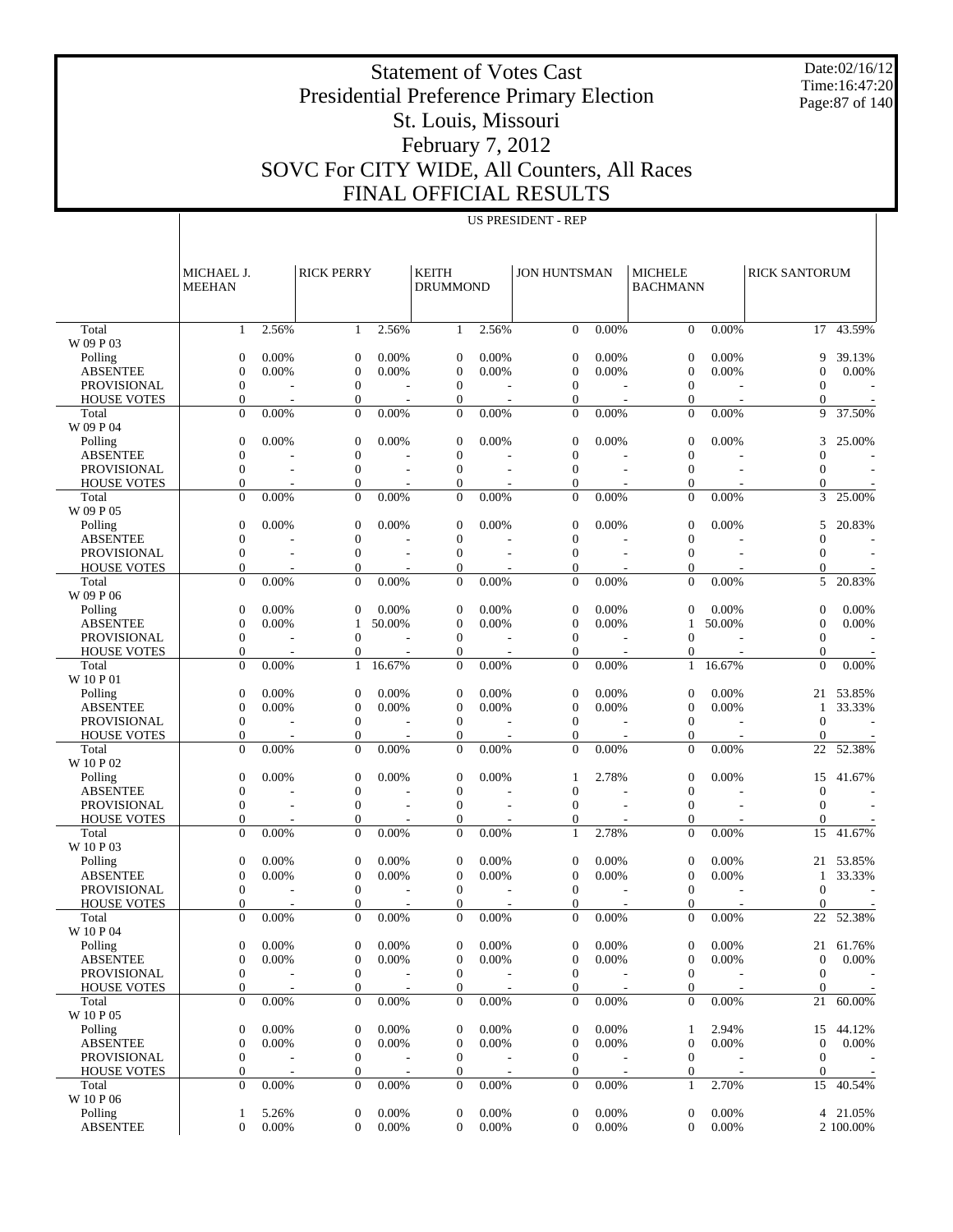Date:02/16/12 Time:16:47:20 Page:87 of 140

#### Statement of Votes Cast Presidential Preference Primary Election St. Louis, Missouri February 7, 2012 SOVC For CITY WIDE, All Counters, All Races FINAL OFFICIAL RESULTS

|                                       | MICHAEL J.<br><b>MEEHAN</b>          |                | <b>RICK PERRY</b>                    |                          | KEITH<br><b>DRUMMOND</b>             |                          | <b>JON HUNTSMAN</b>                  |          | <b>MICHELE</b><br><b>BACHMANN</b>    |          | <b>RICK SANTORUM</b>             |               |
|---------------------------------------|--------------------------------------|----------------|--------------------------------------|--------------------------|--------------------------------------|--------------------------|--------------------------------------|----------|--------------------------------------|----------|----------------------------------|---------------|
| Total                                 | 1                                    | 2.56%          | 1                                    | 2.56%                    | $\mathbf{1}$                         | 2.56%                    | $\mathbf{0}$                         | 0.00%    | $\theta$                             | 0.00%    |                                  | $17 - 43.59%$ |
| W 09 P 03                             |                                      |                |                                      |                          |                                      |                          |                                      |          |                                      |          |                                  |               |
| Polling                               | $\mathbf{0}$                         | 0.00%          | $\boldsymbol{0}$                     | 0.00%                    | $\overline{0}$                       | 0.00%                    | $\boldsymbol{0}$                     | 0.00%    | $\theta$                             | 0.00%    | 9                                | 39.13%        |
| <b>ABSENTEE</b>                       | $\overline{0}$                       | 0.00%          | $\boldsymbol{0}$                     | 0.00%                    | $\overline{0}$                       | 0.00%                    | $\mathbf{0}$                         | 0.00%    | $\mathbf{0}$                         | 0.00%    | $\overline{0}$                   | 0.00%         |
| <b>PROVISIONAL</b>                    | $\boldsymbol{0}$                     |                | $\boldsymbol{0}$                     |                          | $\boldsymbol{0}$<br>$\boldsymbol{0}$ |                          | $\mathbf{0}$<br>$\boldsymbol{0}$     |          | $\mathbf{0}$<br>$\mathbf{0}$         |          | $\mathbf{0}$<br>$\boldsymbol{0}$ |               |
| <b>HOUSE VOTES</b><br>Total           | $\boldsymbol{0}$<br>$\Omega$         | 0.00%          | $\boldsymbol{0}$<br>$\overline{0}$   | 0.00%                    | $\mathbf{0}$                         | 0.00%                    | $\mathbf{0}$                         | 0.00%    | $\overline{0}$                       | 0.00%    | 9                                | 37.50%        |
| W 09 P 04                             |                                      |                |                                      |                          |                                      |                          |                                      |          |                                      |          |                                  |               |
| Polling                               | $\mathbf{0}$                         | 0.00%          | $\boldsymbol{0}$                     | 0.00%                    | $\mathbf{0}$                         | 0.00%                    | 0                                    | 0.00%    | $\theta$                             | 0.00%    | 3                                | 25.00%        |
| <b>ABSENTEE</b>                       | $\overline{0}$                       |                | $\mathbf{0}$                         |                          | $\overline{0}$                       |                          | $\overline{0}$                       |          | $\overline{0}$                       |          | $\overline{0}$                   |               |
| <b>PROVISIONAL</b>                    | $\overline{0}$                       | L,             | $\boldsymbol{0}$                     | $\overline{\phantom{a}}$ | $\boldsymbol{0}$                     | $\overline{\phantom{a}}$ | $\mathbf{0}$                         | ÷,       | $\mathbf{0}$                         |          | $\mathbf{0}$                     |               |
| <b>HOUSE VOTES</b>                    | $\mathbf{0}$                         |                | $\boldsymbol{0}$                     |                          | $\boldsymbol{0}$                     |                          | $\overline{0}$                       |          | $\boldsymbol{0}$                     |          | 0                                |               |
| Total                                 | $\mathbf{0}$                         | 0.00%          | $\overline{0}$                       | 0.00%                    | $\mathbf{0}$                         | 0.00%                    | $\mathbf{0}$                         | 0.00%    | $\overline{0}$                       | 0.00%    | 3                                | 25.00%        |
| W 09 P 05                             |                                      |                |                                      |                          |                                      |                          |                                      |          |                                      |          |                                  |               |
| Polling<br><b>ABSENTEE</b>            | $\mathbf{0}$<br>$\overline{0}$       | 0.00%          | $\boldsymbol{0}$<br>$\boldsymbol{0}$ | 0.00%                    | $\boldsymbol{0}$<br>$\boldsymbol{0}$ | 0.00%                    | 0<br>$\overline{0}$                  | 0.00%    | $\theta$<br>$\overline{0}$           | 0.00%    | 5<br>$\overline{0}$              | 20.83%        |
| <b>PROVISIONAL</b>                    | $\mathbf{0}$                         |                | $\boldsymbol{0}$                     |                          | $\overline{0}$                       |                          | $\mathbf{0}$                         |          | $\overline{0}$                       |          | $\overline{0}$                   |               |
| <b>HOUSE VOTES</b>                    | $\mathbf{0}$                         |                | $\mathbf{0}$                         |                          | $\boldsymbol{0}$                     |                          | 0                                    |          | $\mathbf{0}$                         |          | 0                                |               |
| Total                                 | $\Omega$                             | 0.00%          | $\overline{0}$                       | 0.00%                    | $\mathbf{0}$                         | 0.00%                    | $\mathbf{0}$                         | 0.00%    | $\overline{0}$                       | 0.00%    | 5                                | 20.83%        |
| W 09 P 06                             |                                      |                |                                      |                          |                                      |                          |                                      |          |                                      |          |                                  |               |
| Polling                               | $\mathbf{0}$                         | 0.00%          | $\mathbf{0}$                         | 0.00%                    | $\mathbf{0}$                         | 0.00%                    | $\overline{0}$                       | 0.00%    | $\theta$                             | 0.00%    | $\overline{0}$                   | 0.00%         |
| <b>ABSENTEE</b>                       | $\overline{0}$                       | 0.00%          | $\mathbf{1}$                         | 50.00%                   | $\overline{0}$                       | 0.00%                    | $\overline{0}$                       | 0.00%    | 1                                    | 50.00%   | $\mathbf{0}$                     | 0.00%         |
| <b>PROVISIONAL</b>                    | $\boldsymbol{0}$                     |                | $\boldsymbol{0}$                     |                          | $\boldsymbol{0}$                     |                          | $\mathbf{0}$                         |          | $\mathbf{0}$                         |          | $\mathbf{0}$                     |               |
| <b>HOUSE VOTES</b>                    | $\boldsymbol{0}$                     |                | $\boldsymbol{0}$                     |                          | $\boldsymbol{0}$                     |                          | $\boldsymbol{0}$                     |          | $\boldsymbol{0}$                     |          | $\mathbf{0}$                     |               |
| Total                                 | $\mathbf{0}$                         | 0.00%          | $\mathbf{1}$                         | 16.67%                   | $\mathbf{0}$                         | 0.00%                    | $\mathbf{0}$                         | 0.00%    | 1                                    | 16.67%   | $\overline{0}$                   | 0.00%         |
| W 10 P 01<br>Polling                  | $\mathbf{0}$                         | 0.00%          | $\boldsymbol{0}$                     | 0.00%                    | $\theta$                             | 0.00%                    | 0                                    | 0.00%    | $\theta$                             | 0.00%    | 21                               | 53.85%        |
| <b>ABSENTEE</b>                       | $\overline{0}$                       | 0.00%          | $\mathbf{0}$                         | 0.00%                    | $\overline{0}$                       | 0.00%                    | $\overline{0}$                       | 0.00%    | $\overline{0}$                       | $0.00\%$ | 1                                | 33.33%        |
| <b>PROVISIONAL</b>                    | $\mathbf{0}$                         | $\overline{a}$ | $\boldsymbol{0}$                     | L,                       | $\boldsymbol{0}$                     | Ĭ.                       | $\mathbf{0}$                         | Ĭ.       | $\mathbf{0}$                         |          | $\theta$                         |               |
| <b>HOUSE VOTES</b>                    | $\mathbf{0}$                         |                | $\boldsymbol{0}$                     |                          | $\boldsymbol{0}$                     |                          | $\overline{0}$                       |          | $\mathbf{0}$                         |          | $\mathbf{0}$                     |               |
| Total                                 | $\Omega$                             | 0.00%          | $\overline{0}$                       | 0.00%                    | $\mathbf{0}$                         | 0.00%                    | $\Omega$                             | 0.00%    | $\overline{0}$                       | 0.00%    | 22                               | 52.38%        |
| W 10 P 02                             |                                      |                |                                      |                          |                                      |                          |                                      |          |                                      |          |                                  |               |
| Polling                               | $\mathbf{0}$                         | 0.00%          | $\boldsymbol{0}$                     | 0.00%                    | $\mathbf{0}$                         | 0.00%                    | 1                                    | 2.78%    | $\overline{0}$                       | 0.00%    | 15                               | 41.67%        |
| <b>ABSENTEE</b>                       | $\overline{0}$                       |                | $\overline{0}$                       |                          | $\overline{0}$                       |                          | $\overline{0}$                       |          | $\mathbf{0}$                         |          | $\theta$                         |               |
| <b>PROVISIONAL</b>                    | $\boldsymbol{0}$                     | L,             | $\boldsymbol{0}$                     | $\overline{\phantom{a}}$ | $\boldsymbol{0}$                     | $\overline{\phantom{a}}$ | $\mathbf{0}$                         | Ĭ.       | $\mathbf{0}$                         |          | $\theta$                         |               |
| <b>HOUSE VOTES</b><br>Total           | $\mathbf{0}$<br>$\Omega$             | 0.00%          | $\boldsymbol{0}$<br>$\overline{0}$   | 0.00%                    | $\boldsymbol{0}$<br>$\overline{0}$   | 0.00%                    | 0<br>$\mathbf{1}$                    | 2.78%    | $\boldsymbol{0}$<br>$\overline{0}$   | 0.00%    | $\mathbf{0}$<br>15               | 41.67%        |
| W 10 P 03                             |                                      |                |                                      |                          |                                      |                          |                                      |          |                                      |          |                                  |               |
| Polling                               | $\mathbf{0}$                         | 0.00%          | $\boldsymbol{0}$                     | 0.00%                    | $\theta$                             | 0.00%                    | $\boldsymbol{0}$                     | 0.00%    | $\theta$                             | 0.00%    | 21                               | 53.85%        |
| <b>ABSENTEE</b>                       | $\overline{0}$                       | 0.00%          | $\overline{0}$                       | 0.00%                    | $\overline{0}$                       | 0.00%                    | $\overline{0}$                       | 0.00%    | $\mathbf{0}$                         | $0.00\%$ | 1                                | 33.33%        |
| <b>PROVISIONAL</b>                    | $\mathbf{0}$                         | $\overline{a}$ | $\overline{0}$                       | $\overline{a}$           | $\boldsymbol{0}$                     | Ĭ.                       | $\mathbf{0}$                         | Ĭ.       | $\mathbf{0}$                         |          | $\theta$                         |               |
| <b>HOUSE VOTES</b>                    | $\mathbf{0}$                         |                | $\overline{0}$                       |                          | $\overline{0}$                       |                          | $\overline{0}$                       |          | $\mathbf{0}$                         |          | $\mathbf{0}$                     |               |
| Total                                 | $\Omega$                             | 0.00%          | $\Omega$                             | 0.00%                    | $\mathbf{0}$                         | 0.00%                    | $\Omega$                             | 0.00%    | $\theta$                             | 0.00%    | 22                               | 52.38%        |
| W 10 P 04                             |                                      |                |                                      |                          |                                      |                          |                                      |          |                                      |          |                                  |               |
| Polling                               | $\overline{0}$                       | 0.00%          | $\theta$                             | 0.00%                    | $\overline{0}$                       | 0.00%                    | $\overline{0}$                       | $0.00\%$ | $\mathbf{0}$                         | 0.00%    |                                  | 21 61.76%     |
| <b>ABSENTEE</b><br><b>PROVISIONAL</b> | $\boldsymbol{0}$<br>$\boldsymbol{0}$ | 0.00%          | $\boldsymbol{0}$<br>$\boldsymbol{0}$ | 0.00%                    | $\boldsymbol{0}$<br>$\boldsymbol{0}$ | 0.00%                    | $\boldsymbol{0}$<br>$\boldsymbol{0}$ | 0.00%    | $\boldsymbol{0}$<br>$\boldsymbol{0}$ | 0.00%    | $\boldsymbol{0}$<br>$\theta$     | 0.00%         |
| <b>HOUSE VOTES</b>                    | $\boldsymbol{0}$                     |                | $\boldsymbol{0}$                     |                          | $\boldsymbol{0}$                     |                          | $\boldsymbol{0}$                     |          | $\boldsymbol{0}$                     |          | $\mathbf{0}$                     |               |
| Total                                 | $\mathbf{0}$                         | 0.00%          | $\overline{0}$                       | 0.00%                    | $\boldsymbol{0}$                     | 0.00%                    | $\boldsymbol{0}$                     | 0.00%    | $\boldsymbol{0}$                     | 0.00%    | 21                               | 60.00%        |
| W 10 P 05                             |                                      |                |                                      |                          |                                      |                          |                                      |          |                                      |          |                                  |               |
| Polling                               | $\boldsymbol{0}$                     | 0.00%          | $\boldsymbol{0}$                     | 0.00%                    | $\boldsymbol{0}$                     | 0.00%                    | 0                                    | 0.00%    | 1                                    | 2.94%    | 15                               | 44.12%        |
| ABSENTEE                              | $\boldsymbol{0}$                     | 0.00%          | $\boldsymbol{0}$                     | 0.00%                    | $\boldsymbol{0}$                     | 0.00%                    | $\mathbf{0}$                         | 0.00%    | $\boldsymbol{0}$                     | 0.00%    | $\mathbf{0}$                     | 0.00%         |
| <b>PROVISIONAL</b>                    | $\boldsymbol{0}$                     |                | $\boldsymbol{0}$                     |                          | $\boldsymbol{0}$                     |                          | $\boldsymbol{0}$                     |          | $\boldsymbol{0}$                     |          | $\mathbf{0}$                     |               |
| <b>HOUSE VOTES</b>                    | $\boldsymbol{0}$                     |                | $\boldsymbol{0}$                     |                          | $\boldsymbol{0}$                     |                          | $\boldsymbol{0}$                     |          | $\boldsymbol{0}$                     |          | $\boldsymbol{0}$                 |               |
| Total<br>W 10 P 06                    | $\boldsymbol{0}$                     | 0.00%          | $\boldsymbol{0}$                     | 0.00%                    | $\boldsymbol{0}$                     | 0.00%                    | $\boldsymbol{0}$                     | 0.00%    | $\mathbf{1}$                         | 2.70%    | 15                               | 40.54%        |
| Polling                               | 1                                    | 5.26%          | $\boldsymbol{0}$                     | 0.00%                    | $\boldsymbol{0}$                     | 0.00%                    | 0                                    | 0.00%    | $\boldsymbol{0}$                     | 0.00%    |                                  | 4 21.05%      |
| <b>ABSENTEE</b>                       | $\overline{0}$                       | 0.00%          | $\boldsymbol{0}$                     | 0.00%                    | $\overline{0}$                       | 0.00%                    | $\boldsymbol{0}$                     | 0.00%    | $\mathbf{0}$                         | 0.00%    |                                  | 2 100.00%     |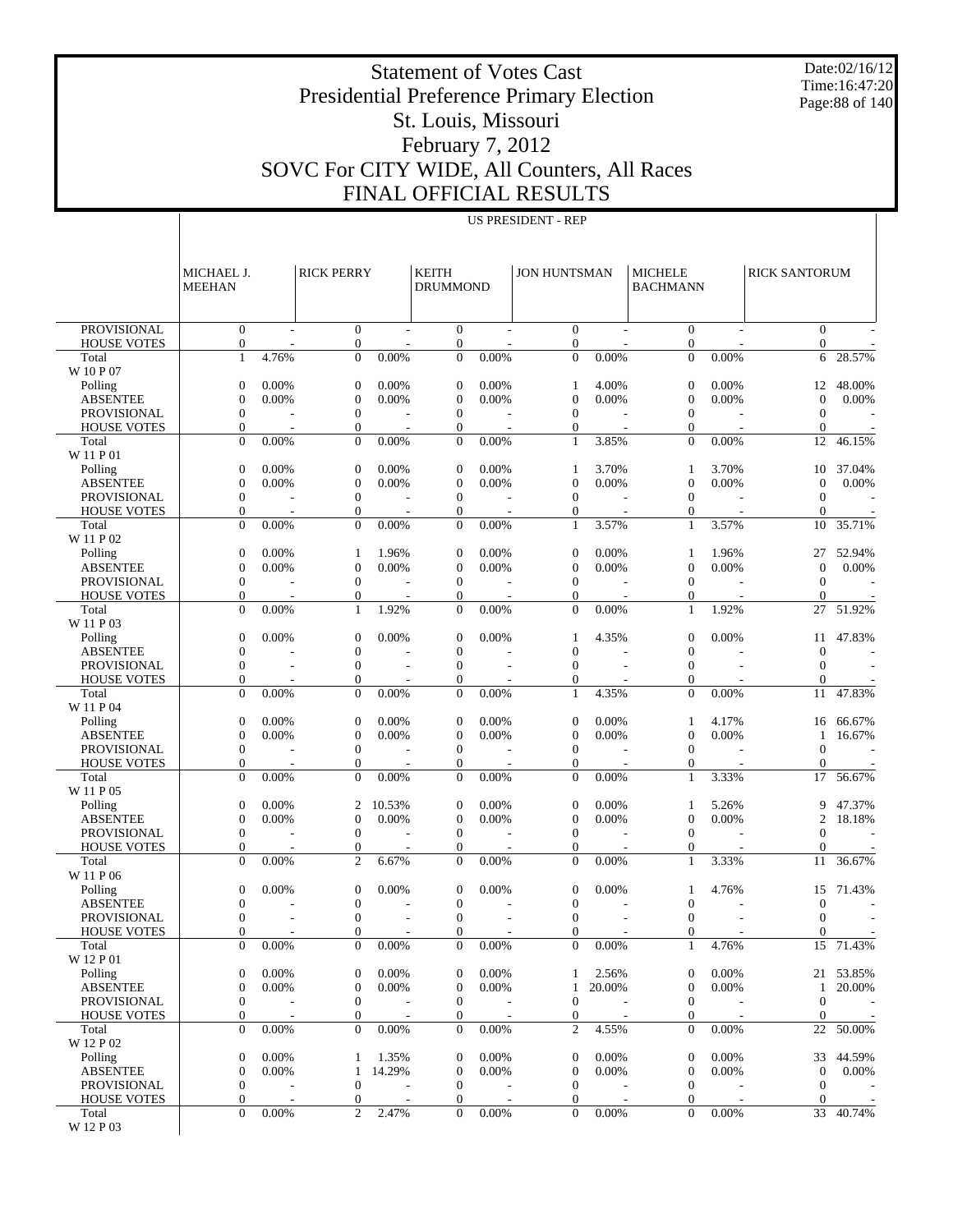Date:02/16/12 Time:16:47:20 Page:88 of 140

#### Presidential Preference Primary Election St. Louis, Missouri February 7, 2012 SOVC For CITY WIDE, All Counters, All Races FINAL OFFICIAL RESULTS

Statement of Votes Cast

US PRESIDENT - REP

|                                          | MICHAEL J.<br><b>MEEHAN</b>      |                | <b>RICK PERRY</b>                    |                                   | <b>KEITH</b><br><b>DRUMMOND</b>  |        | <b>JON HUNTSMAN</b>              |                | <b>MICHELE</b><br><b>BACHMANN</b> |        | <b>RICK SANTORUM</b>         |            |
|------------------------------------------|----------------------------------|----------------|--------------------------------------|-----------------------------------|----------------------------------|--------|----------------------------------|----------------|-----------------------------------|--------|------------------------------|------------|
| <b>PROVISIONAL</b>                       | $\mathbf{0}$                     |                | $\boldsymbol{0}$                     |                                   | $\mathbf{0}$                     |        | $\overline{0}$                   |                | $\mathbf{0}$                      |        | $\mathbf{0}$                 |            |
| <b>HOUSE VOTES</b>                       | $\boldsymbol{0}$                 |                | $\boldsymbol{0}$                     |                                   | $\mathbf{0}$                     |        | $\overline{0}$                   |                | $\boldsymbol{0}$                  |        | $\mathbf{0}$                 |            |
| Total<br>W 10 P 07                       | $\mathbf{1}$                     | 4.76%          | $\overline{0}$                       | 0.00%                             | $\mathbf{0}$                     | 0.00%  | $\mathbf{0}$                     | 0.00%          | $\mathbf{0}$                      | 0.00%  | 6                            | 28.57%     |
| Polling                                  | 0                                | 0.00%          | $\mathbf{0}$                         | 0.00%                             | $\theta$                         | 0.00%  | 1                                | 4.00%          | $\mathbf{0}$                      | 0.00%  | 12                           | 48.00%     |
| <b>ABSENTEE</b>                          | $\overline{0}$                   | 0.00%          | $\overline{0}$                       | 0.00%                             | $\overline{0}$                   | 0.00%  | $\overline{0}$                   | 0.00%          | $\mathbf{0}$                      | 0.00%  | $\overline{0}$               | 0.00%      |
| PROVISIONAL                              | $\boldsymbol{0}$                 |                | $\boldsymbol{0}$                     |                                   | $\theta$                         |        | $\mathbf{0}$                     |                | $\mathbf{0}$                      |        | $\overline{0}$               |            |
| <b>HOUSE VOTES</b><br>Total              | 0<br>$\mathbf{0}$                | 0.00%          | $\boldsymbol{0}$<br>$\overline{0}$   | 0.00%                             | $\boldsymbol{0}$<br>$\mathbf{0}$ | 0.00%  | $\mathbf{0}$<br>$\mathbf{1}$     | 3.85%          | $\mathbf{0}$<br>$\mathbf{0}$      | 0.00%  | $\overline{0}$<br>12         | 46.15%     |
| W 11 P 01                                |                                  |                |                                      |                                   |                                  |        |                                  |                |                                   |        |                              |            |
| Polling                                  | 0                                | 0.00%          | $\mathbf{0}$                         | 0.00%                             | $\theta$                         | 0.00%  | 1                                | 3.70%          | -1                                | 3.70%  | 10                           | 37.04%     |
| <b>ABSENTEE</b>                          | $\mathbf{0}$                     | 0.00%          | $\overline{0}$                       | 0.00%                             | $\mathbf{0}$                     | 0.00%  | $\mathbf{0}$                     | 0.00%          | $\mathbf{0}$                      | 0.00%  | $\overline{0}$               | 0.00%      |
| <b>PROVISIONAL</b><br><b>HOUSE VOTES</b> | $\boldsymbol{0}$<br>0            |                | $\boldsymbol{0}$<br>$\boldsymbol{0}$ |                                   | $\theta$<br>$\mathbf{0}$         |        | $\mathbf{0}$<br>$\mathbf{0}$     |                | $\mathbf{0}$<br>$\boldsymbol{0}$  |        | $\theta$<br>$\theta$         |            |
| Total                                    | $\mathbf{0}$                     | 0.00%          | $\overline{0}$                       | 0.00%                             | $\theta$                         | 0.00%  | 1                                | 3.57%          | $\mathbf{1}$                      | 3.57%  | 10                           | 35.71%     |
| W 11 P 02                                |                                  |                |                                      |                                   |                                  |        |                                  |                |                                   |        |                              |            |
| Polling<br><b>ABSENTEE</b>               | 0<br>$\overline{0}$              | 0.00%<br>0.00% | 1<br>$\overline{0}$                  | 1.96%                             | $\theta$<br>$\overline{0}$       | 0.00%  | $\mathbf{0}$                     | 0.00%<br>0.00% | -1<br>$\mathbf{0}$                | 1.96%  | 27                           | 52.94%     |
| PROVISIONAL                              | $\boldsymbol{0}$                 |                | $\boldsymbol{0}$                     | 0.00%                             | $\theta$                         | 0.00%  | $\mathbf{0}$<br>$\mathbf{0}$     |                | $\mathbf{0}$                      | 0.00%  | $\overline{0}$<br>$\theta$   | 0.00%      |
| <b>HOUSE VOTES</b>                       | $\boldsymbol{0}$                 |                | $\boldsymbol{0}$                     |                                   | $\mathbf{0}$                     |        | $\Omega$                         |                | 0                                 |        | $\theta$                     |            |
| Total                                    | $\mathbf{0}$                     | 0.00%          | $\mathbf{1}$                         | 1.92%                             | $\mathbf{0}$                     | 0.00%  | $\mathbf{0}$                     | 0.00%          | 1                                 | 1.92%  | 27                           | 51.92%     |
| W 11 P 03<br>Polling                     | 0                                | 0.00%          | $\mathbf{0}$                         | 0.00%                             | $\theta$                         | 0.00%  | 1                                | 4.35%          | $\mathbf{0}$                      | 0.00%  | 11                           | 47.83%     |
| <b>ABSENTEE</b>                          | $\mathbf{0}$                     |                | $\boldsymbol{0}$                     |                                   | $\mathbf{0}$                     |        | $\mathbf{0}$                     |                | $\mathbf{0}$                      |        | $\theta$                     |            |
| <b>PROVISIONAL</b>                       | $\boldsymbol{0}$                 |                | $\boldsymbol{0}$                     |                                   | $\theta$                         |        | $\mathbf{0}$                     |                | $\mathbf{0}$                      |        | $\theta$                     |            |
| <b>HOUSE VOTES</b>                       | 0                                |                | $\boldsymbol{0}$                     |                                   | $\theta$                         |        | $\mathbf{0}$                     |                | $\mathbf{0}$                      |        | $\theta$                     |            |
| Total<br>W 11 P 04                       | $\mathbf{0}$                     | 0.00%          | $\overline{0}$                       | 0.00%                             | $\theta$                         | 0.00%  | $\mathbf{1}$                     | 4.35%          | $\mathbf{0}$                      | 0.00%  | 11                           | 47.83%     |
| Polling                                  | 0                                | 0.00%          | $\mathbf{0}$                         | 0.00%                             | $\theta$                         | 0.00%  | $\mathbf{0}$                     | 0.00%          | 1                                 | 4.17%  | 16                           | 66.67%     |
| <b>ABSENTEE</b>                          | $\mathbf{0}$                     | 0.00%          | $\overline{0}$                       | 0.00%                             | $\mathbf{0}$                     | 0.00%  | $\mathbf{0}$                     | 0.00%          | $\mathbf{0}$                      | 0.00%  | 1                            | 16.67%     |
| PROVISIONAL                              | $\boldsymbol{0}$                 |                | $\overline{0}$                       |                                   | $\theta$                         |        | $\mathbf{0}$                     |                | $\mathbf{0}$                      |        | $\theta$                     |            |
| <b>HOUSE VOTES</b><br>Total              | $\boldsymbol{0}$<br>$\mathbf{0}$ | 0.00%          | $\mathbf{0}$<br>$\overline{0}$       | 0.00%                             | $\theta$<br>$\theta$             | 0.00%  | $\Omega$<br>$\mathbf{0}$         | 0.00%          | $\mathbf{0}$<br>1                 | 3.33%  | $\overline{0}$<br>17         | 56.67%     |
| W 11 P 05                                |                                  |                |                                      |                                   |                                  |        |                                  |                |                                   |        |                              |            |
| Polling                                  | 0                                | 0.00%          | 2                                    | 10.53%                            | $\theta$                         | 0.00%  | $\mathbf{0}$                     | 0.00%          | 1                                 | 5.26%  | 9                            | 47.37%     |
| <b>ABSENTEE</b>                          | $\mathbf{0}$<br>$\boldsymbol{0}$ | 0.00%          | $\overline{0}$                       | 0.00%                             | $\mathbf{0}$<br>$\theta$         | 0.00%  | $\mathbf{0}$                     | 0.00%          | $\mathbf{0}$<br>$\mathbf{0}$      | 0.00%  | 2                            | 18.18%     |
| <b>PROVISIONAL</b><br><b>HOUSE VOTES</b> | 0                                |                | $\boldsymbol{0}$<br>$\boldsymbol{0}$ |                                   | $\theta$                         |        | $\boldsymbol{0}$<br>$\Omega$     |                | $\mathbf{0}$                      |        | $\theta$<br>$\theta$         |            |
| Total                                    | $\mathbf{0}$                     | 0.00%          | $\overline{2}$                       | 6.67%                             | $\theta$                         | 0.00%  | $\mathbf{0}$                     | 0.00%          | 1                                 | 3.33%  | 11                           | 36.67%     |
| W 11 P 06                                |                                  |                |                                      |                                   |                                  |        |                                  |                |                                   |        |                              |            |
| Polling<br><b>ABSENTEE</b>               | 0<br>$\mathbf{0}$                | 0.00%          | $\mathbf{0}$<br>$\boldsymbol{0}$     | 0.00%                             | $\boldsymbol{0}$<br>$\theta$     | 0.00%  | $\boldsymbol{0}$<br>$\mathbf{0}$ | 0.00%          | $\mathbf{0}$                      | 4.76%  | 15<br>$\overline{0}$         | 71.43%     |
| PROVISIONAL                              | $\mathbf{0}$                     |                | $\boldsymbol{0}$                     |                                   | $\theta$                         |        | $\mathbf{0}$                     |                | $\mathbf{0}$                      |        | $\theta$                     |            |
| <b>HOUSE VOTES</b>                       | $\overline{0}$                   |                | $\overline{0}$                       |                                   | $\Omega$                         |        | $\theta$                         |                | $\mathbf{0}$                      |        | $\theta$                     |            |
| Total                                    | $\Omega$                         | 0.00%          | $\overline{0}$                       | 0.00%                             | $\Omega$                         | 0.00%  | $\overline{0}$                   | 0.00%          | $\mathbf{1}$                      | 4.76%  | 15                           | 71.43%     |
| W 12 P 01<br>Polling                     | $\mathbf{0}$                     | 0.00%          | $\boldsymbol{0}$                     | 0.00%                             | $\mathbf{0}$                     | 0.00%  | 1                                | 2.56%          | $\mathbf{0}$                      | 0.00%  |                              | 21 53.85%  |
| <b>ABSENTEE</b>                          | $\mathbf{0}$                     | 0.00%          | $\boldsymbol{0}$                     | 0.00%                             | $\mathbf{0}$                     | 0.00%  | $\mathbf{1}$                     | 20.00%         | $\boldsymbol{0}$                  | 0.00%  | 1                            | $20.00\%$  |
| <b>PROVISIONAL</b>                       | $\mathbf{0}$                     |                | $\mathbf{0}$                         |                                   | $\mathbf{0}$                     |        | 0                                |                | $\mathbf{0}$                      |        | $\mathbf{0}$                 |            |
| <b>HOUSE VOTES</b>                       | $\boldsymbol{0}$                 | $\sim$         | $\mathbf{0}$                         | $\sim$                            | $\mathbf{0}$                     | $\sim$ | 0                                | $\sim$         | $\mathbf{0}$                      | $\sim$ | $\mathbf{0}$                 | $\sim$     |
| Total<br>W 12 P 02                       | $\mathbf{0}$                     | 0.00%          | $\boldsymbol{0}$                     | 0.00%                             | $\boldsymbol{0}$                 | 0.00%  | 2                                | 4.55%          | $\mathbf{0}$                      | 0.00%  | 22                           | 50.00%     |
| Polling                                  | $\boldsymbol{0}$                 | 0.00%          | 1                                    | 1.35%                             | $\mathbf{0}$                     | 0.00%  | $\boldsymbol{0}$                 | 0.00%          | $\boldsymbol{0}$                  | 0.00%  | 33                           | 44.59%     |
| <b>ABSENTEE</b>                          | $\mathbf{0}$                     | 0.00%          | 1                                    | 14.29%                            | $\mathbf{0}$                     | 0.00%  | $\boldsymbol{0}$                 | 0.00%          | $\mathbf{0}$                      | 0.00%  | $\mathbf{0}$                 | 0.00%      |
| PROVISIONAL                              | $\mathbf{0}$<br>$\boldsymbol{0}$ | $\sim$         | $\mathbf{0}$                         |                                   | $\boldsymbol{0}$                 | $\sim$ | 0<br>$\overline{0}$              |                | $\mathbf{0}$<br>$\mathbf{0}$      | L,     | $\mathbf{0}$<br>$\mathbf{0}$ | $\sim$ $-$ |
| <b>HOUSE VOTES</b><br>Total              | $\overline{0}$                   | 0.00%          | 0<br>$\overline{c}$                  | $\overline{\phantom{a}}$<br>2.47% | $\mathbf{0}$<br>$\mathbf{0}$     | 0.00%  | $\overline{0}$                   | 0.00%          | $\mathbf{0}$                      | 0.00%  |                              | 33 40.74%  |
| W 12 P 03                                |                                  |                |                                      |                                   |                                  |        |                                  |                |                                   |        |                              |            |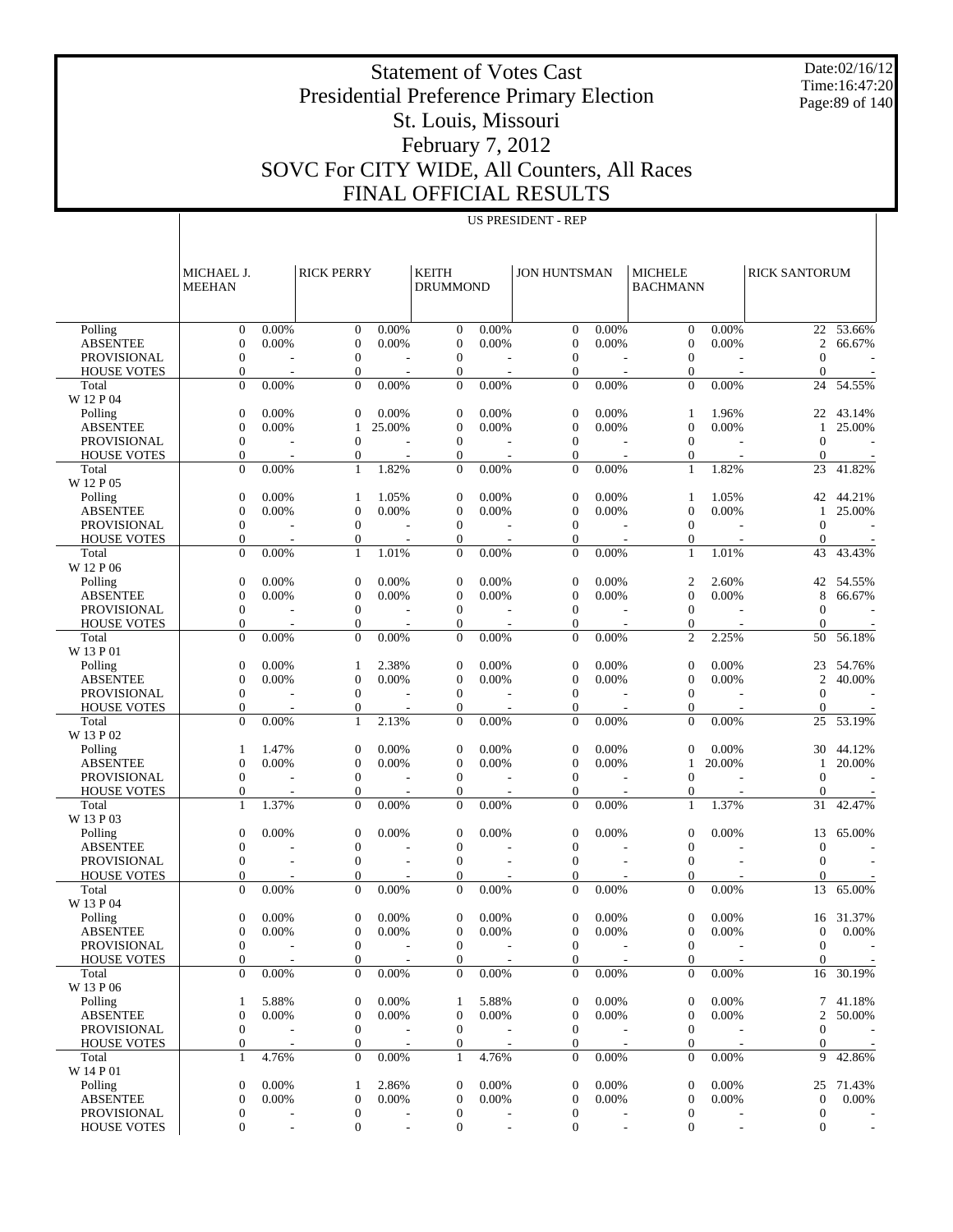Date:02/16/12 Time:16:47:20 Page:89 of 140

#### Presidential Preference Primary Election St. Louis, Missouri February 7, 2012 SOVC For CITY WIDE, All Counters, All Races FINAL OFFICIAL RESULTS

US PRESIDENT - REP

Statement of Votes Cast

 Polling ABSENTEE PROVISIONAL HOUSE VOTES Total W 12 P 04 Polling ABSENTEE PROVISIONAL HOUSE VOTES Total W 12 P 05 Polling ABSENTEE PROVISIONAL HOUSE VOTES Total W 12 P 06 Polling ABSENTEE PROVISIONAL HOUSE VOTES Total W 13 P 01 Polling ABSENTEE PROVISIONAL HOUSE VOTES Total W 13 P 02 Polling ABSENTEE PROVISIONAL HOUSE VOTES Total W 13 P 03 Polling ABSENTEE PROVISIONAL HOUSE VOTES Total W 13 P 04 Polling ABSENTEE PROVISIONAL HOUSE VOTES Total W 13 P 06 Polling ABSENTEE PROVISIONAL HOUSE VOTES Total W 14 P 01 Polling ABSENTEE PROVISIONAL HOUSE VOTES MICHAEL J. MEEHAN RICK PERRY KEITH DRUMMOND JON HUNTSMAN | MICHELE BACHMANN RICK SANTORUM  $0 \t 0.00\%$  0 0.00% 0 0.00% 0 0.00% 0 0.00% 22 53.66%  $0 \t 0.00\%$  0 0.00% 0 0.00% 0 0.00% 0 0.00% 2 66.67%  $0$  - 0 - 0 - 0 - 0 - 0 - 0  $0$  - 0 - 0 - 0 - 0 - 0 - 0 0 0.00% 0 0.00% 0 0.00% 0 0.00% 0 0.00% 24 54.55% 0 0.00% 0 0.00% 0 0.00% 0 0.00% 1 1.96% 22 43.14%  $0 \t 0.00\%$  1 25.00% 0 0.00% 0 0.00% 0 0.00% 1 25.00%  $0$  - 0 - 0 - 0 - 0 - 0 - 0  $0$  - 0 - 0 - 0 - 0 - 0 - 0 0 0.00% 1 1.82% 0 0.00% 0 0.00% 1 1.82% 23 41.82% 0 0.00% 1 1.05% 0 0.00% 0 0.00% 1 1.05% 42 44.21%  $0 \t 0.00\%$  0 0.00% 0 0.00% 0 0.00% 0 0.00% 1 25.00%  $0$  - 0 - 0 - 0 - 0 - 0 - 0  $0$  - 0 - 0 - 0 - 0 - 0 - 0 0 0.00% 1 1.01% 0 0.00% 0 0.00% 1 1.01% 43 43.43% 0 0.00% 0 0.00% 0 0.00% 0 0.00% 2 2.60% 42 54.55%  $0 \t 0.00\%$  0 0.00% 0 0.00% 0 0.00% 8 66.67%  $0$  - 0 - 0 - 0 - 0 - 0 - 0  $0$  - 0 - 0 - 0 - 0 - 0 - 0 0 0.00% 0 0.00% 0 0.00% 0 0.00% 2 2.25% 50 56.18% 0 0.00% 1 2.38% 0 0.00% 0 0.00% 0 0.00% 23 54.76%  $0 \t 0.00\%$  0 0.00% 0 0.00% 0 0.00% 0 0.00% 2 40.00%  $0$  - 0 - 0 - 0 - 0 - 0 - 0  $0$  - 0 - 0 - 0 - 0 - 0 - 0 0 0.00% 1 2.13% 0 0.00% 0 0.00% 0 0.00% 25 53.19% 1 1.47% 0 0.00% 0 0.00% 0 0.00% 0 0.00% 30 44.12%  $0 \t 0.00\%$  0 0.00% 0 0.00% 0 0.00% 1 20.00% 1 20.00%  $0$  - 0 - 0 - 0 - 0 - 0 - 0  $0$  - 0 - 0 - 0 - 0 - 0 - 0 1 1.37% 0 0.00% 0 0.00% 0 0.00% 1 1.37% 31 42.47%  $0 \t 0.00\%$  0 0.00% 0 0.00% 0 0.00% 0 0.00% 13 65.00%  $0$  - 0 - 0 - 0 - 0 - 0 - 0  $0$  - 0 - 0 - 0 - 0 - 0 - 0  $0$  - 0 - 0 - 0 - 0 - 0 - 0  $0 \t 0.00\%$  0 0.00% 0 0.00% 0 0.00% 0 0.00% 13 65.00% 0 0.00% 0 0.00% 0 0.00% 0 0.00% 0 0.00% 16 31.37%  $0 \t 0.00\%$  0 0.00% 0 0.00% 0 0.00% 0 0.00% 0 0.00% 0 0.00% 0 0.00% 0 0.00% 0 0.00% 0 0.00% 0 0.00% 0 0.00% 0 0.00% 0 0.00% 0 0.00% 0 0.00% 0 0.00% 0 0.00% 0 0.00% 0 0.00% 0 0.00% 0 0.00% 0 0.00% 0 0.00% 0 0.00% 0 0.00%  $0$  - 0 - 0 - 0 - 0 - 0 - 0  $0$  - 0 - 0 - 0 - 0 - 0 - 0 0 0.00% 0 0.00% 0 0.00% 0 0.00% 0 0.00% 16 30.19% 1 5.88% 0 0.00% 1 5.88% 0 0.00% 0 0.00% 7 41.18%  $0 \t 0.00\%$  0 0.00% 0 0.00% 0 0.00% 0 0.00% 2 50.00%  $0$  - 0 - 0 - 0 - 0 - 0 - 0  $0$  - 0 - 0 - 0 - 0 - 0 - 0 1 4.76% 0 0.00% 1 4.76% 0 0.00% 0 0.00% 9 42.86% 0 0.00% 1 2.86% 0 0.00% 0 0.00% 0 0.00% 25 71.43%  $0 \t 0.00\%$  0 0.00% 0 0.00% 0 0.00% 0 0.00% 0 0.00% 0 0.00% 0 0.00% 0 0.00% 0 0.00% 0 0.00% 0 0.00% 0 0.00% 0 0.00% 0 0.00% 0 0.00% 0 0.00% 0 0.00% 0 0.00% 0 0.00% 0 0.00% 0 0.00% 0 0.00% 0 0.00% 0 0.00% 0 0.00% 0 0.00%  $0$  - 0 - 0 - 0 - 0 - 0 - 0  $0$  - 0 - 0 - 0 - 0 - 0 - 0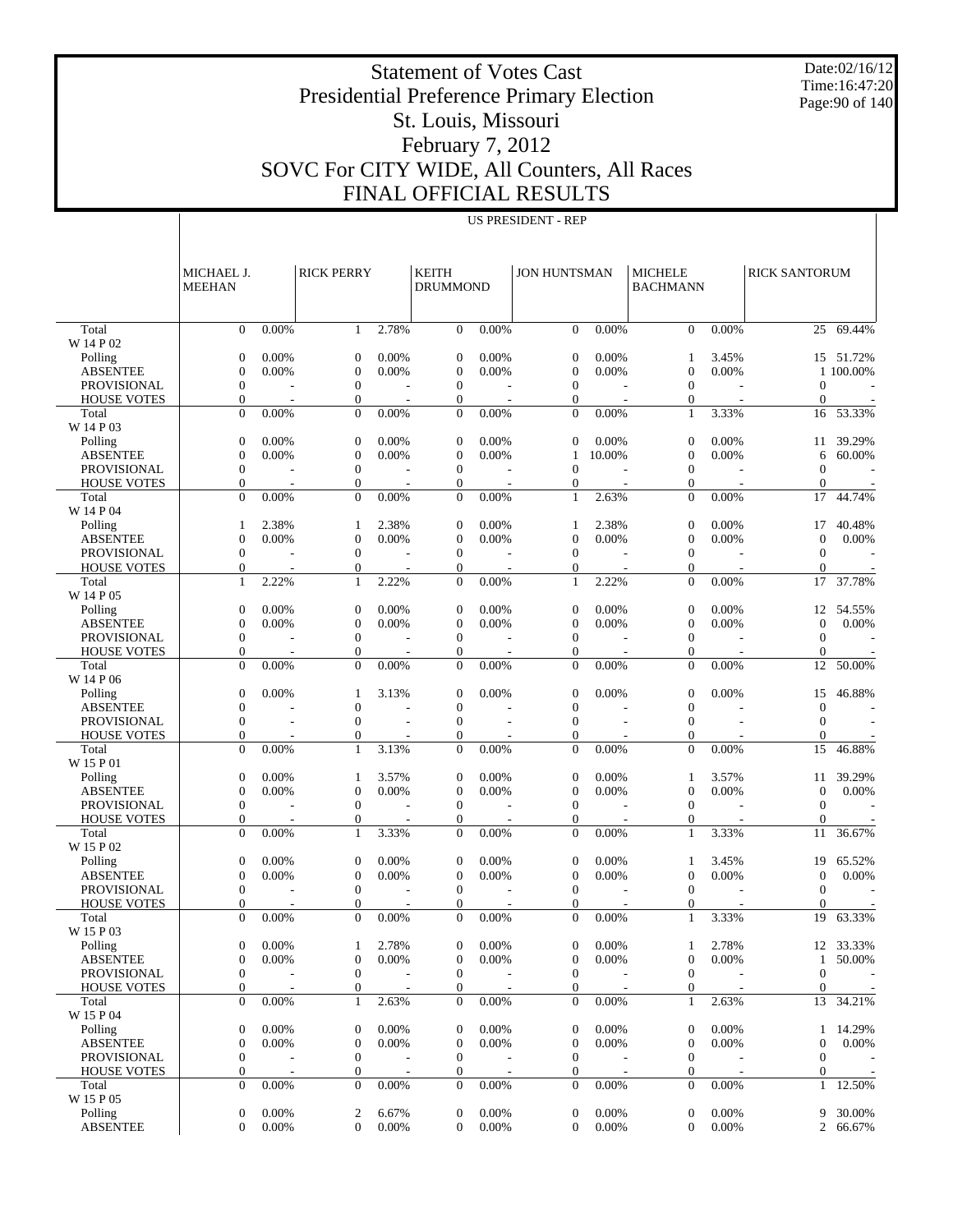Date:02/16/12 Time:16:47:20 Page:90 of 140

#### Statement of Votes Cast Presidential Preference Primary Election St. Louis, Missouri February 7, 2012 SOVC For CITY WIDE, All Counters, All Races FINAL OFFICIAL RESULTS

|                                   | MICHAEL J.<br><b>MEEHAN</b>    |                | <b>RICK PERRY</b>                |                   | <b>KEITH</b><br><b>DRUMMOND</b>      |                | <b>JON HUNTSMAN</b>              |                | <b>MICHELE</b><br><b>BACHMANN</b>    |                | <b>RICK SANTORUM</b>   |                        |
|-----------------------------------|--------------------------------|----------------|----------------------------------|-------------------|--------------------------------------|----------------|----------------------------------|----------------|--------------------------------------|----------------|------------------------|------------------------|
|                                   |                                |                |                                  |                   |                                      |                |                                  |                |                                      |                |                        |                        |
| Total                             | $\Omega$                       | 0.00%          | -1                               | 2.78%             | $\overline{0}$                       | 0.00%          | $\mathbf{0}$                     | $0.00\%$       | $\Omega$                             | 0.00%          | 25                     | 69.44%                 |
| W 14 P 02                         |                                |                |                                  |                   |                                      |                |                                  | 0.00%          |                                      |                |                        |                        |
| Polling<br><b>ABSENTEE</b>        | $\mathbf{0}$<br>$\mathbf{0}$   | 0.00%<br>0.00% | $\theta$<br>$\overline{0}$       | 0.00%<br>0.00%    | $\mathbf{0}$<br>$\overline{0}$       | 0.00%<br>0.00% | $\theta$<br>$\boldsymbol{0}$     | 0.00%          | 1<br>$\mathbf{0}$                    | 3.45%<br>0.00% |                        | 15 51.72%<br>1 100.00% |
| <b>PROVISIONAL</b>                | $\overline{0}$                 |                | $\overline{0}$                   |                   | $\mathbf{0}$                         |                | $\mathbf{0}$                     |                | $\mathbf{0}$                         |                | $\mathbf{0}$           |                        |
| <b>HOUSE VOTES</b>                | 0                              |                | $\boldsymbol{0}$                 |                   | $\theta$                             |                | $\boldsymbol{0}$                 |                | $\mathbf{0}$                         |                | $\mathbf{0}$           |                        |
| Total                             | $\mathbf{0}$                   | 0.00%          | $\Omega$                         | 0.00%             | $\mathbf{0}$                         | 0.00%          | $\Omega$                         | 0.00%          | 1                                    | 3.33%          | 16                     | 53.33%                 |
| W 14 P 03                         |                                |                |                                  |                   |                                      |                |                                  |                |                                      |                |                        |                        |
| Polling                           | $\mathbf{0}$                   | 0.00%          | $\theta$                         | 0.00%             | $\mathbf{0}$                         | 0.00%          | $\theta$                         | 0.00%          | $\theta$                             | 0.00%          | 11                     | 39.29%                 |
| <b>ABSENTEE</b>                   | $\overline{0}$                 | 0.00%          | $\overline{0}$                   | 0.00%             | $\overline{0}$                       | 0.00%          | 1                                | 10.00%         | $\mathbf{0}$                         | 0.00%          | 6                      | 60.00%                 |
| <b>PROVISIONAL</b>                | $\overline{0}$                 |                | $\overline{0}$                   |                   | $\mathbf{0}$                         |                | $\mathbf{0}$                     |                | $\mathbf{0}$                         |                | $\mathbf{0}$           |                        |
| <b>HOUSE VOTES</b>                | 0                              |                | $\overline{0}$                   |                   | $\theta$                             |                | $\mathbf{0}$                     |                | $\mathbf{0}$                         |                | $\mathbf{0}$           |                        |
| Total                             | $\theta$                       | 0.00%          | $\Omega$                         | 0.00%             | $\mathbf{0}$                         | 0.00%          | $\mathbf{1}$                     | 2.63%          | $\mathbf{0}$                         | 0.00%          | 17                     | 44.74%                 |
| W 14 P 04                         | 1                              | 2.38%          | 1                                | 2.38%             | $\mathbf{0}$                         | 0.00%          | 1                                | 2.38%          | $\theta$                             | 0.00%          | 17                     | 40.48%                 |
| Polling<br><b>ABSENTEE</b>        | $\overline{0}$                 | 0.00%          | $\overline{0}$                   | 0.00%             | $\overline{0}$                       | 0.00%          | $\boldsymbol{0}$                 | 0.00%          | $\mathbf{0}$                         | 0.00%          | $\mathbf{0}$           | 0.00%                  |
| <b>PROVISIONAL</b>                | $\overline{0}$                 |                | $\overline{0}$                   |                   | $\mathbf{0}$                         |                | $\Omega$                         |                | $\mathbf{0}$                         |                | $\mathbf{0}$           |                        |
| <b>HOUSE VOTES</b>                | 0                              |                | $\boldsymbol{0}$                 |                   | $\mathbf{0}$                         |                | $\boldsymbol{0}$                 |                | $\boldsymbol{0}$                     |                | $\mathbf{0}$           |                        |
| Total                             | 1                              | 2.22%          | 1                                | 2.22%             | $\mathbf{0}$                         | 0.00%          | $\mathbf{1}$                     | 2.22%          | $\mathbf{0}$                         | 0.00%          | 17                     | 37.78%                 |
| W 14 P 05                         |                                |                |                                  |                   |                                      |                |                                  |                |                                      |                |                        |                        |
| Polling                           | $\mathbf{0}$                   | 0.00%          | $\theta$                         | 0.00%             | $\theta$                             | 0.00%          | $\theta$                         | 0.00%          | $\boldsymbol{0}$                     | 0.00%          | 12                     | 54.55%                 |
| <b>ABSENTEE</b>                   | $\overline{0}$                 | 0.00%          | $\overline{0}$                   | 0.00%             | $\overline{0}$                       | 0.00%          | $\boldsymbol{0}$                 | 0.00%          | $\boldsymbol{0}$                     | 0.00%          | $\mathbf{0}$           | 0.00%                  |
| <b>PROVISIONAL</b>                | $\overline{0}$                 |                | $\theta$                         |                   | $\mathbf{0}$                         |                | $\mathbf{0}$                     |                | $\mathbf{0}$                         |                | $\mathbf{0}$           |                        |
| <b>HOUSE VOTES</b>                | $\mathbf{0}$                   |                | $\overline{0}$                   |                   | $\mathbf{0}$                         |                | $\boldsymbol{0}$                 |                | $\mathbf{0}$                         |                | $\mathbf{0}$           |                        |
| Total                             | $\theta$                       | 0.00%          | $\Omega$                         | 0.00%             | $\mathbf{0}$                         | 0.00%          | $\Omega$                         | 0.00%          | $\mathbf{0}$                         | 0.00%          | 12                     | 50.00%                 |
| W 14 P 06                         |                                | 0.00%          |                                  | 3.13%             |                                      |                |                                  | 0.00%          |                                      |                |                        |                        |
| Polling<br><b>ABSENTEE</b>        | $\mathbf{0}$<br>$\overline{0}$ |                | 1<br>$\overline{0}$              |                   | $\theta$<br>$\overline{0}$           | 0.00%          | $\theta$<br>$\boldsymbol{0}$     |                | $\theta$<br>$\mathbf{0}$             | 0.00%          | 15<br>$\boldsymbol{0}$ | 46.88%                 |
| <b>PROVISIONAL</b>                | $\overline{0}$                 |                | $\overline{0}$                   |                   | $\overline{0}$                       |                | $\mathbf{0}$                     |                | $\mathbf{0}$                         |                | $\mathbf{0}$           |                        |
| <b>HOUSE VOTES</b>                | 0                              |                | $\boldsymbol{0}$                 |                   | $\theta$                             |                | $\mathbf{0}$                     |                | $\overline{0}$                       |                | $\mathbf{0}$           |                        |
| Total                             | $\theta$                       | 0.00%          | $\mathbf{1}$                     | 3.13%             | $\mathbf{0}$                         | 0.00%          | $\Omega$                         | 0.00%          | $\mathbf{0}$                         | 0.00%          | 15                     | 46.88%                 |
| W 15 P 01                         |                                |                |                                  |                   |                                      |                |                                  |                |                                      |                |                        |                        |
| Polling                           | $\mathbf{0}$                   | 0.00%          | 1                                | 3.57%             | $\mathbf{0}$                         | 0.00%          | $\theta$                         | 0.00%          | 1                                    | 3.57%          | 11                     | 39.29%                 |
| <b>ABSENTEE</b>                   | $\overline{0}$                 | 0.00%          | $\overline{0}$                   | 0.00%             | $\overline{0}$                       | 0.00%          | $\boldsymbol{0}$                 | 0.00%          | $\boldsymbol{0}$                     | 0.00%          | $\mathbf{0}$           | 0.00%                  |
| <b>PROVISIONAL</b>                | $\overline{0}$                 |                | $\mathbf{0}$                     |                   | $\mathbf{0}$                         |                | $\mathbf{0}$                     |                | $\mathbf{0}$                         |                | $\mathbf{0}$           |                        |
| <b>HOUSE VOTES</b>                | $\mathbf{0}$                   |                | $\boldsymbol{0}$                 |                   | $\mathbf{0}$                         |                | $\mathbf{0}$                     |                | $\overline{0}$                       |                | $\mathbf{0}$           |                        |
| Total                             | $\theta$                       | 0.00%          | 1                                | 3.33%             | $\mathbf{0}$                         | 0.00%          | $\Omega$                         | 0.00%          | 1                                    | 3.33%          | 11                     | 36.67%                 |
| W 15 P 02                         |                                |                |                                  |                   |                                      |                |                                  |                |                                      |                |                        |                        |
| Polling<br><b>ABSENTEE</b>        | $\mathbf{0}$<br>$\mathbf{0}$   | 0.00%<br>0.00% | $\overline{0}$<br>$\overline{0}$ | 0.00%<br>$0.00\%$ | $\mathbf{0}$<br>$\overline{0}$       | 0.00%<br>0.00% | $\theta$<br>$\boldsymbol{0}$     | 0.00%<br>0.00% | 1<br>$\mathbf{0}$                    | 3.45%<br>0.00% | 19<br>$\mathbf{0}$     | 65.52%<br>0.00%        |
| <b>PROVISIONAL</b>                | $\overline{0}$                 |                | $\theta$                         |                   | $\mathbf{0}$                         |                | $\mathbf{0}$                     |                | $\mathbf{0}$                         |                | $\mathbf{0}$           |                        |
| <b>HOUSE VOTES</b>                | 0                              |                | 0                                |                   | $\mathbf{0}$                         |                | $\boldsymbol{0}$                 |                | 0                                    |                | $\mathbf{0}$           |                        |
| Total                             | $\theta$                       | 0.00%          | $\Omega$                         | 0.00%             | $\Omega$                             | 0.00%          | $\Omega$                         | 0.00%          | 1                                    | 3.33%          | 19                     | 63.33%                 |
| W 15 P 03                         |                                |                |                                  |                   |                                      |                |                                  |                |                                      |                |                        |                        |
| Polling                           | $\overline{0}$                 | 0.00%          | 1                                | 2.78%             | $\overline{0}$                       | 0.00%          | $\boldsymbol{0}$                 | 0.00%          | 1                                    | 2.78%          |                        | 12 33.33%              |
| <b>ABSENTEE</b>                   | $\boldsymbol{0}$               | 0.00%          | $\boldsymbol{0}$                 | 0.00%             | $\boldsymbol{0}$                     | 0.00%          | $\boldsymbol{0}$                 | 0.00%          | $\boldsymbol{0}$                     | 0.00%          | $\mathbf{1}$           | 50.00%                 |
| PROVISIONAL                       | $\overline{0}$                 |                | $\overline{0}$                   |                   | $\mathbf{0}$                         |                | $\mathbf{0}$                     |                | $\mathbf{0}$                         |                | $\overline{0}$         |                        |
| <b>HOUSE VOTES</b>                | 0                              |                | $\boldsymbol{0}$                 |                   | $\boldsymbol{0}$                     |                | $\boldsymbol{0}$                 |                | $\boldsymbol{0}$                     |                | $\mathbf{0}$           |                        |
| Total                             | $\overline{0}$                 | 0.00%          | 1                                | 2.63%             | $\mathbf{0}$                         | 0.00%          | $\mathbf{0}$                     | 0.00%          | $\mathbf{1}$                         | 2.63%          | 13                     | 34.21%                 |
| W 15 P 04                         |                                |                |                                  |                   |                                      |                |                                  |                |                                      |                |                        |                        |
| Polling                           | $\boldsymbol{0}$               | 0.00%          | $\boldsymbol{0}$                 | 0.00%             | $\mathbf{0}$                         | 0.00%          | $\mathbf 0$                      | 0.00%          | $\boldsymbol{0}$                     | 0.00%          | 1                      | 14.29%                 |
| <b>ABSENTEE</b>                   | $\boldsymbol{0}$               | 0.00%          | $\mathbf{0}$                     | 0.00%             | $\mathbf{0}$                         | 0.00%          | $\boldsymbol{0}$                 | 0.00%          | $\boldsymbol{0}$                     | 0.00%          | $\boldsymbol{0}$       | 0.00%                  |
| PROVISIONAL<br><b>HOUSE VOTES</b> | $\boldsymbol{0}$<br>0          |                | $\mathbf{0}$<br>$\boldsymbol{0}$ |                   | $\boldsymbol{0}$<br>$\boldsymbol{0}$ |                | $\mathbf{0}$<br>$\boldsymbol{0}$ |                | $\boldsymbol{0}$<br>$\boldsymbol{0}$ |                | $\mathbf{0}$<br>0      |                        |
| Total                             | $\overline{0}$                 | 0.00%          | $\overline{0}$                   | 0.00%             | $\mathbf{0}$                         | 0.00%          | $\mathbf{0}$                     | 0.00%          | $\mathbf{0}$                         | 0.00%          | 1                      | 12.50%                 |
| W 15 P 05                         |                                |                |                                  |                   |                                      |                |                                  |                |                                      |                |                        |                        |
| Polling                           | $\boldsymbol{0}$               | 0.00%          | $\overline{c}$                   | 6.67%             | $\boldsymbol{0}$                     | 0.00%          | $\mathbf{0}$                     | 0.00%          | $\boldsymbol{0}$                     | 0.00%          | 9                      | 30.00%                 |
| <b>ABSENTEE</b>                   | $\boldsymbol{0}$               | 0.00%          | $\overline{0}$                   | 0.00%             | $\boldsymbol{0}$                     | 0.00%          | $\boldsymbol{0}$                 | 0.00%          | $\mathbf{0}$                         | 0.00%          | $\overline{2}$         | 66.67%                 |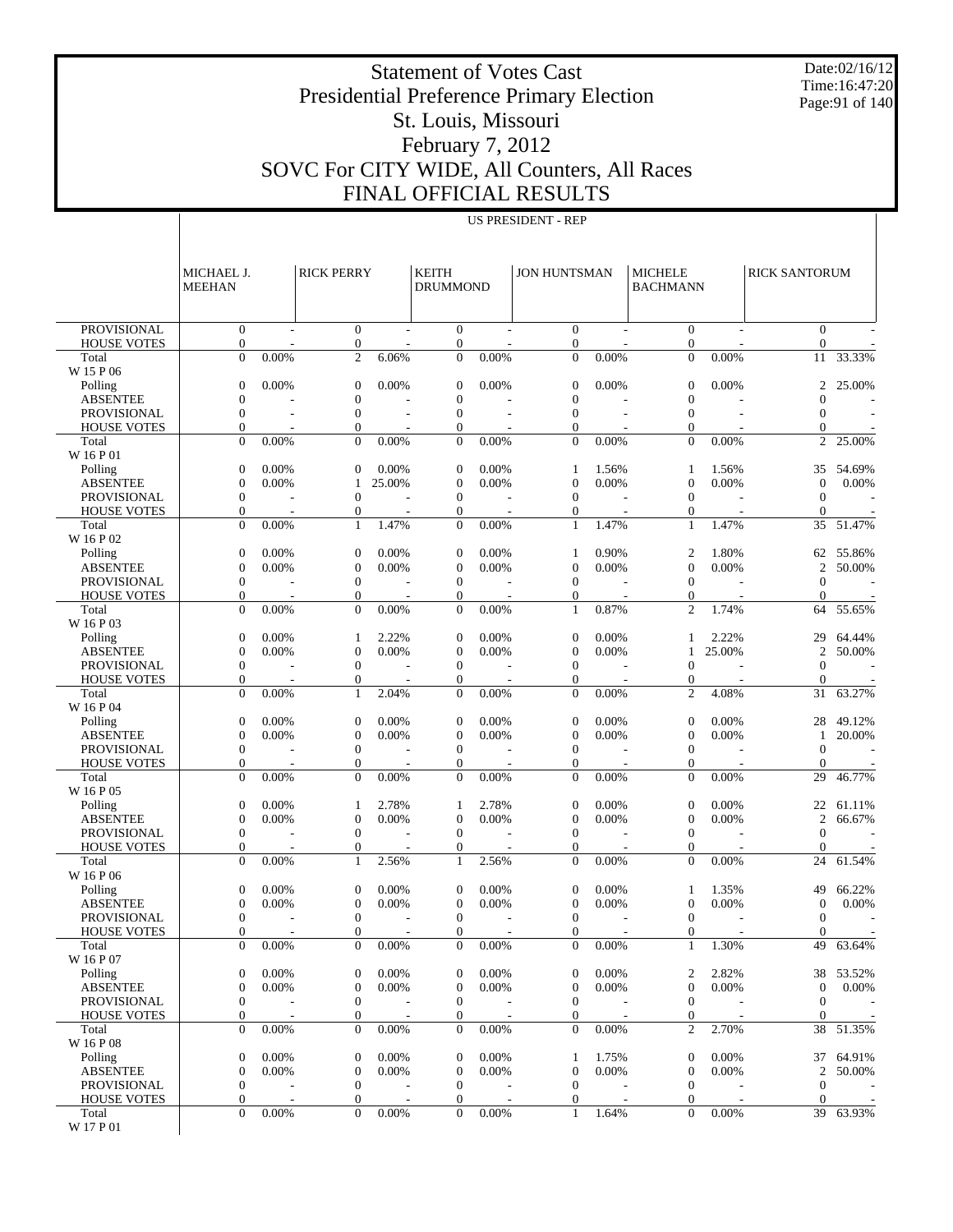Date:02/16/12 Time:16:47:20 Page:91 of 140

#### Presidential Preference Primary Election St. Louis, Missouri February 7, 2012 SOVC For CITY WIDE, All Counters, All Races FINAL OFFICIAL RESULTS

Statement of Votes Cast

|                                          | MICHAEL J.<br><b>MEEHAN</b>          |             | <b>RICK PERRY</b>                    |                | <b>KEITH</b><br><b>DRUMMOND</b>    |       | <b>JON HUNTSMAN</b>                  |       | <b>MICHELE</b><br><b>BACHMANN</b> |        | <b>RICK SANTORUM</b>           |           |
|------------------------------------------|--------------------------------------|-------------|--------------------------------------|----------------|------------------------------------|-------|--------------------------------------|-------|-----------------------------------|--------|--------------------------------|-----------|
| <b>PROVISIONAL</b>                       | $\mathbf{0}$                         |             | $\mathbf{0}$                         |                | $\mathbf{0}$                       |       | $\mathbf{0}$                         |       | $\theta$                          |        | $\theta$                       |           |
| <b>HOUSE VOTES</b>                       | $\boldsymbol{0}$                     |             | $\boldsymbol{0}$                     |                | $\boldsymbol{0}$                   |       | $\mathbf{0}$                         |       | $\mathbf{0}$                      |        | $\mathbf{0}$                   |           |
| Total<br>W 15 P 06                       | $\overline{0}$                       | 0.00%       | $\overline{2}$                       | 6.06%          | $\overline{0}$                     | 0.00% | $\mathbf{0}$                         | 0.00% | $\mathbf{0}$                      | 0.00%  | 11                             | 33.33%    |
| Polling                                  | $\mathbf{0}$                         | 0.00%       | $\boldsymbol{0}$                     | 0.00%          | $\boldsymbol{0}$                   | 0.00% | $\mathbf{0}$                         | 0.00% | $\theta$                          | 0.00%  | $\overline{2}$                 | 25.00%    |
| <b>ABSENTEE</b>                          | $\mathbf{0}$                         |             | $\mathbf{0}$                         |                | $\overline{0}$                     |       | $\mathbf{0}$                         |       | $\mathbf{0}$                      |        | $\Omega$                       |           |
| <b>PROVISIONAL</b>                       | $\mathbf{0}$                         |             | $\mathbf{0}$                         | $\overline{a}$ | $\theta$                           |       | $\boldsymbol{0}$                     |       | $\mathbf{0}$                      |        | $\theta$                       |           |
| <b>HOUSE VOTES</b>                       | $\overline{0}$                       |             | $\overline{0}$                       |                | $\theta$                           |       | $\mathbf{0}$                         |       | $\mathbf{0}$                      |        | $\theta$                       |           |
| Total<br>W 16 P 01                       | $\overline{0}$                       | 0.00%       | $\overline{0}$                       | 0.00%          | $\overline{0}$                     | 0.00% | $\mathbf{0}$                         | 0.00% | $\mathbf{0}$                      | 0.00%  | 2                              | 25.00%    |
| Polling                                  | $\boldsymbol{0}$                     | 0.00%       | $\mathbf{0}$                         | 0.00%          | $\mathbf{0}$                       | 0.00% | 1                                    | 1.56% | 1                                 | 1.56%  | 35                             | 54.69%    |
| <b>ABSENTEE</b>                          | $\mathbf{0}$                         | 0.00%       | 1                                    | 25.00%         | $\overline{0}$                     | 0.00% | $\mathbf{0}$                         | 0.00% | $\mathbf{0}$                      | 0.00%  | $\mathbf{0}$                   | 0.00%     |
| <b>PROVISIONAL</b>                       | $\mathbf{0}$                         |             | $\mathbf{0}$                         |                | $\mathbf{0}$                       |       | $\boldsymbol{0}$                     |       | $\theta$                          |        | $\theta$                       |           |
| <b>HOUSE VOTES</b>                       | $\mathbf{0}$                         |             | $\mathbf{0}$                         |                | $\boldsymbol{0}$                   |       | $\boldsymbol{0}$                     |       | $\mathbf{0}$                      |        | $\theta$                       |           |
| Total<br>W 16 P 02                       | $\overline{0}$                       | 0.00%       | 1                                    | 1.47%          | $\overline{0}$                     | 0.00% | 1                                    | 1.47% | 1                                 | 1.47%  | 35                             | 51.47%    |
| Polling                                  | $\boldsymbol{0}$                     | 0.00%       | $\boldsymbol{0}$                     | 0.00%          | $\boldsymbol{0}$                   | 0.00% | 1                                    | 0.90% | $\overline{2}$                    | 1.80%  | 62                             | 55.86%    |
| <b>ABSENTEE</b>                          | $\overline{0}$                       | 0.00%       | $\mathbf{0}$                         | 0.00%          | $\overline{0}$                     | 0.00% | $\theta$                             | 0.00% | $\mathbf{0}$                      | 0.00%  | $\overline{2}$                 | 50.00%    |
| <b>PROVISIONAL</b><br><b>HOUSE VOTES</b> | $\mathbf{0}$<br>$\mathbf{0}$         |             | $\boldsymbol{0}$<br>$\theta$         |                | $\mathbf{0}$<br>$\theta$           |       | $\boldsymbol{0}$<br>$\mathbf{0}$     |       | $\mathbf{0}$<br>$\mathbf{0}$      |        | $\theta$<br>$\theta$           |           |
| Total                                    | $\mathbf{0}$                         | 0.00%       | $\theta$                             | 0.00%          | $\overline{0}$                     | 0.00% | $\mathbf{1}$                         | 0.87% | $\overline{c}$                    | 1.74%  | 64                             | 55.65%    |
| W 16 P 03                                |                                      |             |                                      |                |                                    |       |                                      |       |                                   |        |                                |           |
| Polling                                  | $\boldsymbol{0}$                     | 0.00%       | 1                                    | 2.22%          | $\mathbf{0}$                       | 0.00% | $\theta$                             | 0.00% | 1                                 | 2.22%  | 29                             | 64.44%    |
| <b>ABSENTEE</b>                          | $\mathbf{0}$                         | 0.00%       | $\mathbf{0}$                         | 0.00%          | $\overline{0}$                     | 0.00% | $\theta$                             | 0.00% | 1                                 | 25.00% | $\overline{2}$                 | 50.00%    |
| <b>PROVISIONAL</b><br><b>HOUSE VOTES</b> | $\mathbf{0}$<br>$\mathbf{0}$         |             | $\mathbf{0}$<br>$\mathbf{0}$         |                | $\mathbf{0}$<br>$\theta$           |       | $\boldsymbol{0}$<br>$\mathbf{0}$     |       | $\theta$<br>$\mathbf{0}$          |        | $\theta$<br>$\theta$           |           |
| Total                                    | $\overline{0}$                       | 0.00%       | 1                                    | 2.04%          | $\overline{0}$                     | 0.00% | $\mathbf{0}$                         | 0.00% | $\overline{2}$                    | 4.08%  | 31                             | 63.27%    |
| W 16 P 04                                |                                      |             |                                      |                |                                    |       |                                      |       |                                   |        |                                |           |
| Polling                                  | $\boldsymbol{0}$                     | 0.00%       | $\boldsymbol{0}$                     | 0.00%          | $\boldsymbol{0}$                   | 0.00% | $\mathbf{0}$                         | 0.00% | $\mathbf{0}$                      | 0.00%  | 28                             | 49.12%    |
| <b>ABSENTEE</b>                          | $\overline{0}$                       | 0.00%       | $\mathbf{0}$                         | 0.00%          | $\mathbf{0}$                       | 0.00% | $\theta$                             | 0.00% | $\mathbf{0}$                      | 0.00%  | 1                              | 20.00%    |
| <b>PROVISIONAL</b><br><b>HOUSE VOTES</b> | $\mathbf{0}$<br>$\mathbf{0}$         |             | $\boldsymbol{0}$<br>$\overline{0}$   |                | $\mathbf{0}$<br>$\theta$           |       | $\boldsymbol{0}$<br>$\mathbf{0}$     |       | $\theta$<br>$\mathbf{0}$          |        | $\theta$<br>$\theta$           |           |
| Total                                    | $\overline{0}$                       | 0.00%       | $\theta$                             | 0.00%          | $\overline{0}$                     | 0.00% | $\mathbf{0}$                         | 0.00% | $\mathbf{0}$                      | 0.00%  | 29                             | 46.77%    |
| W 16 P 05                                |                                      |             |                                      |                |                                    |       |                                      |       |                                   |        |                                |           |
| Polling                                  | $\boldsymbol{0}$                     | 0.00%       | 1                                    | 2.78%          | 1                                  | 2.78% | $\theta$                             | 0.00% | $\mathbf{0}$                      | 0.00%  | 22                             | 61.11%    |
| <b>ABSENTEE</b>                          | $\mathbf{0}$                         | 0.00%       | $\mathbf{0}$                         | 0.00%          | $\mathbf{0}$                       | 0.00% | $\theta$                             | 0.00% | $\mathbf{0}$                      | 0.00%  | $\overline{2}$                 | 66.67%    |
| <b>PROVISIONAL</b><br><b>HOUSE VOTES</b> | $\mathbf{0}$<br>$\mathbf{0}$         |             | $\mathbf{0}$<br>$\mathbf{0}$         |                | $\mathbf{0}$<br>$\boldsymbol{0}$   |       | $\boldsymbol{0}$<br>$\mathbf{0}$     |       | $\theta$<br>$\mathbf{0}$          |        | $\theta$<br>$\theta$           |           |
| Total                                    | $\Omega$                             | 0.00%       | 1                                    | 2.56%          | $\mathbf{1}$                       | 2.56% | $\theta$                             | 0.00% | $\Omega$                          | 0.00%  | 24                             | 61.54%    |
| W 16 P 06                                |                                      |             |                                      |                |                                    |       |                                      |       |                                   |        |                                |           |
| Polling                                  | $\boldsymbol{0}$                     | 0.00%       | $\boldsymbol{0}$                     | 0.00%          | $\boldsymbol{0}$                   | 0.00% | $\mathbf{0}$                         | 0.00% | 1                                 | 1.35%  | 49                             | 66.22%    |
| <b>ABSENTEE</b><br><b>PROVISIONAL</b>    | $\mathbf{0}$<br>$\mathbf{0}$         | 0.00%       | $\mathbf{0}$<br>$\mathbf{0}$         | 0.00%          | $\boldsymbol{0}$<br>$\mathbf{0}$   | 0.00% | $\theta$<br>$\boldsymbol{0}$         | 0.00% | $\mathbf{0}$<br>$\theta$          | 0.00%  | $\mathbf{0}$<br>$\theta$       | 0.00%     |
| <b>HOUSE VOTES</b>                       | $\theta$                             |             | $\overline{0}$                       |                | $\mathbf{0}$                       |       | $\mathbf{0}$                         |       | $\mathbf{0}$                      |        | $\theta$                       |           |
| Total                                    | $\Omega$                             | $0.00\%$    | $\theta$                             | 0.00%          | $\overline{0}$                     | 0.00% | $\Omega$                             | 0.00% | 1                                 | 1.30%  | 49                             | 63.64%    |
| W 16 P 07                                |                                      |             |                                      |                |                                    |       |                                      |       |                                   |        |                                |           |
| Polling                                  | $\boldsymbol{0}$                     | 0.00%       | $\boldsymbol{0}$                     | 0.00%          | $\boldsymbol{0}$                   | 0.00% | 0                                    | 0.00% | $\overline{2}$                    | 2.82%  | 38                             | 53.52%    |
| <b>ABSENTEE</b>                          | $\mathbf{0}$                         | 0.00%       | $\mathbf{0}$                         | 0.00%          | $\boldsymbol{0}$                   | 0.00% | $\theta$                             | 0.00% | $\mathbf{0}$                      | 0.00%  | $\boldsymbol{0}$               | 0.00%     |
| <b>PROVISIONAL</b><br><b>HOUSE VOTES</b> | $\boldsymbol{0}$<br>$\boldsymbol{0}$ |             | $\boldsymbol{0}$<br>$\boldsymbol{0}$ |                | $\mathbf{0}$<br>$\boldsymbol{0}$   |       | $\boldsymbol{0}$<br>$\boldsymbol{0}$ |       | $\mathbf{0}$<br>$\boldsymbol{0}$  |        | $\mathbf{0}$<br>$\mathbf{0}$   |           |
| Total                                    | $\overline{0}$                       | 0.00%       | $\boldsymbol{0}$                     | 0.00%          | $\mathbf{0}$                       | 0.00% | $\mathbf{0}$                         | 0.00% | $\mathfrak{2}$                    | 2.70%  | 38                             | 51.35%    |
| W 16 P 08                                |                                      |             |                                      |                |                                    |       |                                      |       |                                   |        |                                |           |
| Polling                                  | $\boldsymbol{0}$                     | 0.00%       | $\boldsymbol{0}$                     | 0.00%          | $\mathbf{0}$                       | 0.00% | 1                                    | 1.75% | $\mathbf{0}$                      | 0.00%  | 37                             | 64.91%    |
| <b>ABSENTEE</b><br><b>PROVISIONAL</b>    | $\mathbf{0}$<br>$\mathbf{0}$         | 0.00%<br>÷, | $\mathbf{0}$<br>$\boldsymbol{0}$     | 0.00%          | $\boldsymbol{0}$<br>$\overline{0}$ | 0.00% | $\boldsymbol{0}$<br>$\mathbf{0}$     | 0.00% | $\boldsymbol{0}$<br>$\mathbf{0}$  | 0.00%  | $\overline{2}$<br>$\mathbf{0}$ | 50.00%    |
| <b>HOUSE VOTES</b>                       | $\boldsymbol{0}$                     |             | $\overline{0}$                       |                | $\boldsymbol{0}$                   |       | $\mathbf{0}$                         |       | $\mathbf{0}$                      |        | $\theta$                       |           |
| Total                                    | $\mathbf{0}$                         | 0.00%       | $\overline{0}$                       | 0.00%          | $\overline{0}$                     | 0.00% | $\mathbf{1}$                         | 1.64% | $\overline{0}$                    | 0.00%  |                                | 39 63.93% |
| W 17 P 01                                |                                      |             |                                      |                |                                    |       |                                      |       |                                   |        |                                |           |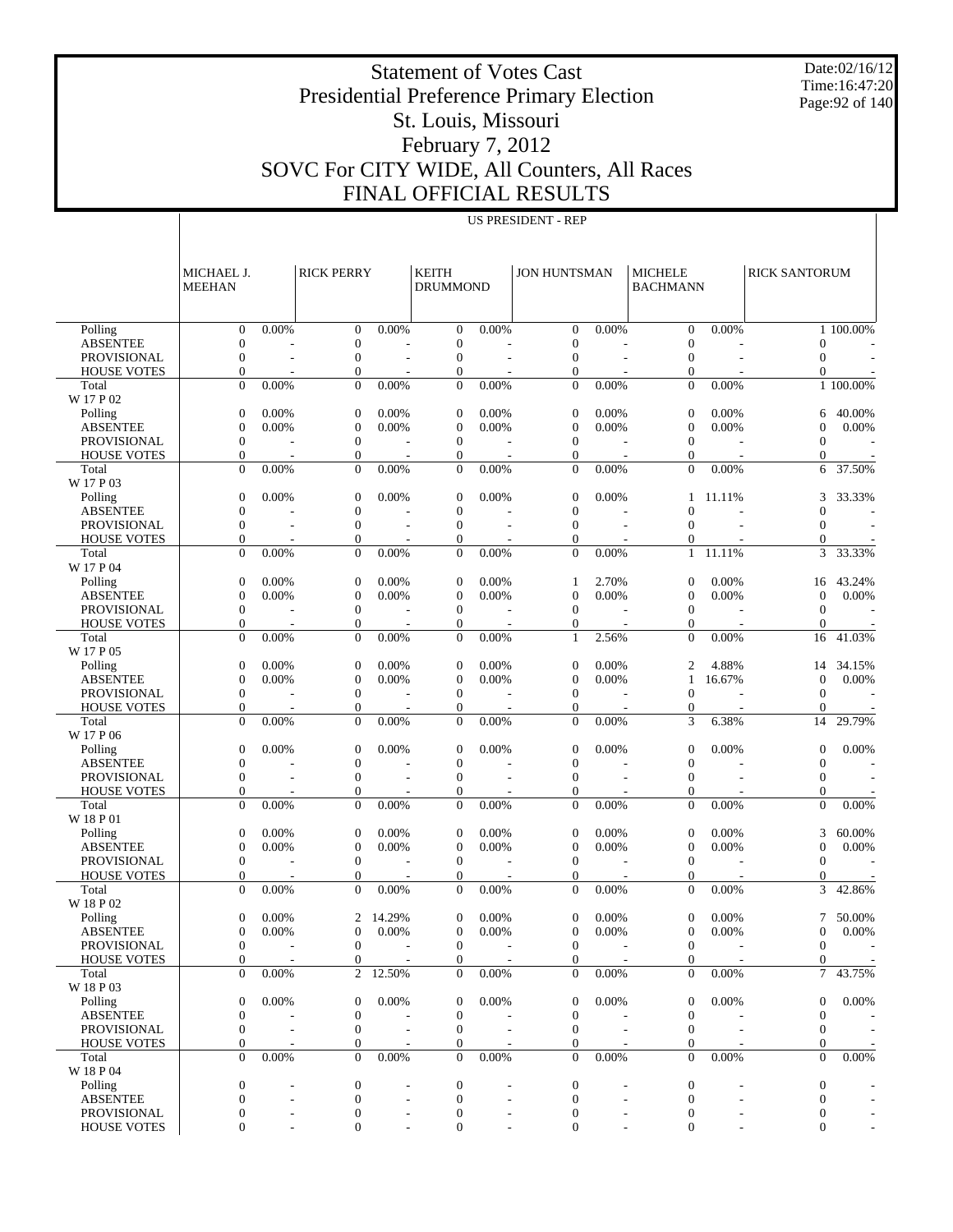Date:02/16/12 Time:16:47:20 Page:92 of 140

Presidential Preference Primary Election St. Louis, Missouri

Statement of Votes Cast

## February 7, 2012 SOVC For CITY WIDE, All Counters, All Races FINAL OFFICIAL RESULTS

| TUIAL INDULLI             |  |
|---------------------------|--|
| <b>US PRESIDENT - REP</b> |  |

|                                       | MICHAEL J.<br><b>MEEHAN</b>          |                | <b>RICK PERRY</b>                |                          | <b>KEITH</b><br><b>DRUMMOND</b>  |        | <b>JON HUNTSMAN</b>      |                | <b>MICHELE</b><br><b>BACHMANN</b> |                          | <b>RICK SANTORUM</b>     |                          |
|---------------------------------------|--------------------------------------|----------------|----------------------------------|--------------------------|----------------------------------|--------|--------------------------|----------------|-----------------------------------|--------------------------|--------------------------|--------------------------|
| Polling                               | $\overline{0}$                       | 0.00%          | $\theta$                         | 0.00%                    | $\overline{0}$                   | 0.00%  | $\overline{0}$           | 0.00%          | $\mathbf{0}$                      | 0.00%                    |                          | $1 - 100.00\%$           |
| <b>ABSENTEE</b>                       | $\mathbf{0}$                         | ٠              | $\mathbf{0}$                     |                          | $\boldsymbol{0}$                 |        | $\mathbf{0}$             |                | $\mathbf{0}$                      |                          | $\Omega$                 |                          |
| PROVISIONAL                           | $\overline{0}$                       | L,             | $\mathbf{0}$                     | $\overline{\phantom{a}}$ | $\mathbf{0}$                     | $\sim$ | $\mathbf{0}$             | $\overline{a}$ | $\mathbf{0}$                      |                          | $\mathbf{0}$             | $\sim$                   |
| <b>HOUSE VOTES</b>                    | $\overline{0}$                       |                | $\boldsymbol{0}$                 |                          | $\overline{0}$                   |        | $\mathbf{0}$             |                | $\mathbf{0}$                      |                          | $\boldsymbol{0}$         |                          |
| Total<br>W 17 P 02                    | $\overline{0}$                       | 0.00%          | $\overline{0}$                   | 0.00%                    | $\overline{0}$                   | 0.00%  | $\overline{0}$           | 0.00%          | $\overline{0}$                    | 0.00%                    |                          | 1 100.00%                |
| Polling                               | $\boldsymbol{0}$                     | 0.00%          | $\boldsymbol{0}$                 | 0.00%                    | $\overline{0}$                   | 0.00%  | $\mathbf{0}$             | 0.00%          | $\overline{0}$                    | 0.00%                    | 6                        | 40.00%                   |
| <b>ABSENTEE</b>                       | $\mathbf{0}$                         | 0.00%          | $\mathbf{0}$                     | 0.00%                    | $\boldsymbol{0}$                 | 0.00%  | $\boldsymbol{0}$         | 0.00%          | $\mathbf{0}$                      | 0.00%                    | $\overline{0}$           | 0.00%                    |
| <b>PROVISIONAL</b>                    | $\mathbf{0}$                         |                | $\overline{0}$                   |                          | $\mathbf{0}$                     |        | $\mathbf{0}$             |                | $\mathbf{0}$                      |                          | $\mathbf{0}$             | $\sim$                   |
| <b>HOUSE VOTES</b>                    | $\overline{0}$                       |                | $\overline{0}$                   |                          | 0                                |        | $\mathbf{0}$             |                | $\mathbf{0}$                      |                          | $\theta$                 |                          |
| Total                                 | $\overline{0}$                       | 0.00%          | $\overline{0}$                   | 0.00%                    | $\overline{0}$                   | 0.00%  | $\overline{0}$           | 0.00%          | $\overline{0}$                    | 0.00%                    | 6                        | 37.50%                   |
| W 17 P 03                             |                                      |                |                                  |                          |                                  |        |                          |                |                                   |                          |                          |                          |
| Polling<br><b>ABSENTEE</b>            | $\boldsymbol{0}$<br>$\boldsymbol{0}$ | 0.00%          | $\mathbf{0}$<br>$\mathbf{0}$     | 0.00%                    | $\overline{0}$<br>$\overline{0}$ | 0.00%  | 0<br>$\mathbf{0}$        | 0.00%          | 1<br>$\theta$                     | 11.11%                   | 3<br>$\overline{0}$      | 33.33%                   |
| PROVISIONAL                           | $\overline{0}$                       | ÷,             | $\overline{0}$                   | $\overline{\phantom{a}}$ | $\overline{0}$                   | $\sim$ | $\mathbf{0}$             |                | $\theta$                          |                          | $\Omega$                 | $\sim$                   |
| <b>HOUSE VOTES</b>                    | $\overline{0}$                       |                | $\overline{0}$                   |                          | $\overline{0}$                   |        | $\mathbf{0}$             |                | 0                                 |                          | $\mathbf{0}$             |                          |
| Total                                 | $\overline{0}$                       | 0.00%          | $\overline{0}$                   | 0.00%                    | $\overline{0}$                   | 0.00%  | $\mathbf{0}$             | 0.00%          | $\mathbf{1}$                      | 11.11%                   | 3                        | 33.33%                   |
| W 17 P 04                             |                                      |                |                                  |                          |                                  |        |                          |                |                                   |                          |                          |                          |
| Polling                               | $\boldsymbol{0}$                     | 0.00%          | $\boldsymbol{0}$                 | 0.00%                    | $\mathbf{0}$                     | 0.00%  | 1                        | 2.70%          | $\mathbf{0}$                      | 0.00%                    | 16                       | 43.24%                   |
| <b>ABSENTEE</b>                       | $\mathbf{0}$                         | 0.00%          | $\mathbf{0}$                     | 0.00%                    | $\boldsymbol{0}$                 | 0.00%  | $\mathbf{0}$             | 0.00%          | $\mathbf{0}$                      | 0.00%                    | $\mathbf{0}$             | 0.00%                    |
| <b>PROVISIONAL</b>                    | $\mathbf{0}$<br>$\overline{0}$       | ÷,             | $\overline{0}$<br>$\overline{0}$ |                          | $\mathbf{0}$<br>$\mathbf{0}$     |        | $\mathbf{0}$<br>0        |                | $\mathbf{0}$<br>$\mathbf{0}$      |                          | $\mathbf{0}$<br>$\theta$ | $\overline{\phantom{a}}$ |
| <b>HOUSE VOTES</b><br>Total           | $\overline{0}$                       | 0.00%          | $\overline{0}$                   | 0.00%                    | $\overline{0}$                   | 0.00%  | $\mathbf{1}$             | 2.56%          | $\overline{0}$                    | 0.00%                    | 16                       | 41.03%                   |
| W 17 P 05                             |                                      |                |                                  |                          |                                  |        |                          |                |                                   |                          |                          |                          |
| Polling                               | $\boldsymbol{0}$                     | 0.00%          | $\mathbf{0}$                     | 0.00%                    | $\overline{0}$                   | 0.00%  | $\mathbf{0}$             | 0.00%          | $\overline{c}$                    | 4.88%                    | 14                       | 34.15%                   |
| <b>ABSENTEE</b>                       | $\boldsymbol{0}$                     | 0.00%          | $\mathbf{0}$                     | 0.00%                    | $\boldsymbol{0}$                 | 0.00%  | $\boldsymbol{0}$         | 0.00%          | 1                                 | 16.67%                   | $\boldsymbol{0}$         | 0.00%                    |
| <b>PROVISIONAL</b>                    | $\mathbf{0}$                         |                | $\overline{0}$                   | $\overline{\phantom{a}}$ | $\mathbf{0}$                     |        | $\mathbf{0}$             |                | $\mathbf{0}$                      | $\overline{\phantom{a}}$ | $\mathbf{0}$             | $\overline{\phantom{a}}$ |
| <b>HOUSE VOTES</b>                    | $\mathbf{0}$                         |                | $\overline{0}$                   |                          | $\overline{0}$                   |        | $\mathbf{0}$             |                | $\mathbf{0}$                      |                          | $\theta$                 |                          |
| Total                                 | $\overline{0}$                       | 0.00%          | $\overline{0}$                   | 0.00%                    | $\overline{0}$                   | 0.00%  | $\mathbf{0}$             | 0.00%          | 3                                 | 6.38%                    | 14                       | 29.79%                   |
| W 17 P 06<br>Polling                  | $\boldsymbol{0}$                     | 0.00%          | $\mathbf{0}$                     | 0.00%                    | $\overline{0}$                   | 0.00%  | $\boldsymbol{0}$         | 0.00%          | $\overline{0}$                    | 0.00%                    | $\theta$                 | 0.00%                    |
| <b>ABSENTEE</b>                       | $\mathbf{0}$                         |                | $\mathbf{0}$                     |                          | $\overline{0}$                   |        | $\mathbf{0}$             |                | $\overline{0}$                    |                          | $\mathbf{0}$             |                          |
| <b>PROVISIONAL</b>                    | $\overline{0}$                       |                | $\overline{0}$                   |                          | $\overline{0}$                   |        | $\mathbf{0}$             |                | $\overline{0}$                    |                          | $\mathbf{0}$             |                          |
| <b>HOUSE VOTES</b>                    | $\overline{0}$                       |                | $\overline{0}$                   |                          | $\overline{0}$                   |        | $\mathbf{0}$             |                | $\mathbf{0}$                      |                          | $\boldsymbol{0}$         |                          |
| Total                                 | $\Omega$                             | 0.00%          | $\overline{0}$                   | 0.00%                    | $\overline{0}$                   | 0.00%  | $\Omega$                 | 0.00%          | $\overline{0}$                    | 0.00%                    | $\mathbf{0}$             | 0.00%                    |
| W 18 P 01<br>Polling                  | $\boldsymbol{0}$                     | 0.00%          | $\mathbf{0}$                     | 0.00%                    | $\overline{0}$                   | 0.00%  | $\mathbf{0}$             | 0.00%          | $\mathbf{0}$                      |                          | 3                        | 60.00%                   |
| <b>ABSENTEE</b>                       | $\boldsymbol{0}$                     | 0.00%          | $\mathbf{0}$                     | 0.00%                    | $\boldsymbol{0}$                 | 0.00%  | $\boldsymbol{0}$         | 0.00%          | $\mathbf{0}$                      | 0.00%<br>0.00%           | $\mathbf{0}$             | 0.00%                    |
| <b>PROVISIONAL</b>                    | $\mathbf{0}$                         | $\overline{a}$ | $\overline{0}$                   | $\overline{\phantom{a}}$ | $\mathbf{0}$                     |        | $\mathbf{0}$             |                | $\mathbf{0}$                      | $\overline{\phantom{a}}$ | $\theta$                 | $\sim$                   |
| <b>HOUSE VOTES</b>                    | $\mathbf{0}$                         |                | $\overline{0}$                   |                          | $\overline{0}$                   |        | $\mathbf{0}$             |                | $\mathbf{0}$                      |                          | $\mathbf{0}$             |                          |
| Total                                 | $\overline{0}$                       | 0.00%          | $\overline{0}$                   | 0.00%                    | $\overline{0}$                   | 0.00%  | $\mathbf{0}$             | 0.00%          | $\overline{0}$                    | 0.00%                    | 3                        | 42.86%                   |
| W 18 P 02                             |                                      |                |                                  |                          |                                  |        |                          |                |                                   |                          |                          |                          |
| Polling                               | $\mathbf{0}$                         | 0.00%          | 2                                | 14.29%                   | $\theta$                         | 0.00%  | $\mathbf{0}$             | 0.00%          | $\Omega$                          | 0.00%                    | 7                        | 50.00%                   |
| <b>ABSENTEE</b><br><b>PROVISIONAL</b> | $\mathbf{0}$                         | 0.00%          | $\mathbf{0}$                     | 0.00%                    | $\theta$<br>$\Omega$             | 0.00%  | $\mathbf{0}$<br>$\Omega$ | 0.00%          | $\mathbf{0}$                      | 0.00%                    | $\mathbf{0}$<br>$\Omega$ | 0.00%                    |
| <b>HOUSE VOTES</b>                    | $\mathbf{0}$<br>$\mathbf{0}$         |                | $\boldsymbol{0}$<br>$\mathbf{0}$ | $\overline{\phantom{a}}$ | $\overline{0}$                   |        | $\mathbf{0}$             |                | 0<br>$\overline{0}$               |                          | $\mathbf{0}$             | $\sim$ $-$               |
| Total                                 | $\overline{0}$                       | 0.00%          | $\overline{2}$                   | 12.50%                   | $\overline{0}$                   | 0.00%  | $\overline{0}$           | 0.00%          | $\overline{0}$                    | $0.00\%$                 | $\overline{7}$           | 43.75%                   |
| W 18 P 03                             |                                      |                |                                  |                          |                                  |        |                          |                |                                   |                          |                          |                          |
| Polling                               | 0                                    | 0.00%          | $\boldsymbol{0}$                 | 0.00%                    | $\overline{0}$                   | 0.00%  | $\boldsymbol{0}$         | 0.00%          | $\mathbf{0}$                      | 0.00%                    | $\theta$                 | 0.00%                    |
| <b>ABSENTEE</b>                       | $\mathbf{0}$                         |                | $\mathbf{0}$                     |                          | $\mathbf{0}$                     |        | $\boldsymbol{0}$         |                | $\boldsymbol{0}$                  |                          | $\mathbf{0}$             |                          |
| PROVISIONAL                           | $\boldsymbol{0}$                     |                | $\mathbf{0}$                     |                          | $\theta$                         |        | $\boldsymbol{0}$         |                | $\mathbf{0}$                      |                          | $\theta$                 |                          |
| <b>HOUSE VOTES</b>                    | 0                                    |                | $\overline{0}$                   |                          | 0                                |        | 0                        |                | 0                                 |                          | $\theta$                 |                          |
| Total<br>W 18 P 04                    | $\overline{0}$                       | 0.00%          | $\overline{0}$                   | 0.00%                    | $\overline{0}$                   | 0.00%  | $\overline{0}$           | 0.00%          | $\mathbf{0}$                      | $0.00\%$                 | $\mathbf{0}$             | $0.00\%$                 |
| Polling                               | 0                                    |                | $\mathbf{0}$                     |                          | $\mathbf{0}$                     |        | $\mathbf{0}$             |                | $\boldsymbol{0}$                  |                          | $\mathbf{0}$             |                          |
| <b>ABSENTEE</b>                       | $\theta$                             |                | $\boldsymbol{0}$                 |                          | $\mathbf{0}$                     |        | $\mathbf{0}$             |                | $\boldsymbol{0}$                  |                          | $\theta$                 |                          |
| PROVISIONAL                           | 0                                    |                | $\boldsymbol{0}$                 | $\overline{\phantom{a}}$ | $\boldsymbol{0}$                 |        | $\boldsymbol{0}$         |                | 0                                 |                          | $\boldsymbol{0}$         |                          |
| <b>HOUSE VOTES</b>                    | 0                                    |                | $\overline{0}$                   |                          | $\overline{0}$                   |        | $\mathbf{0}$             |                | $\mathbf{0}$                      |                          | $\theta$                 |                          |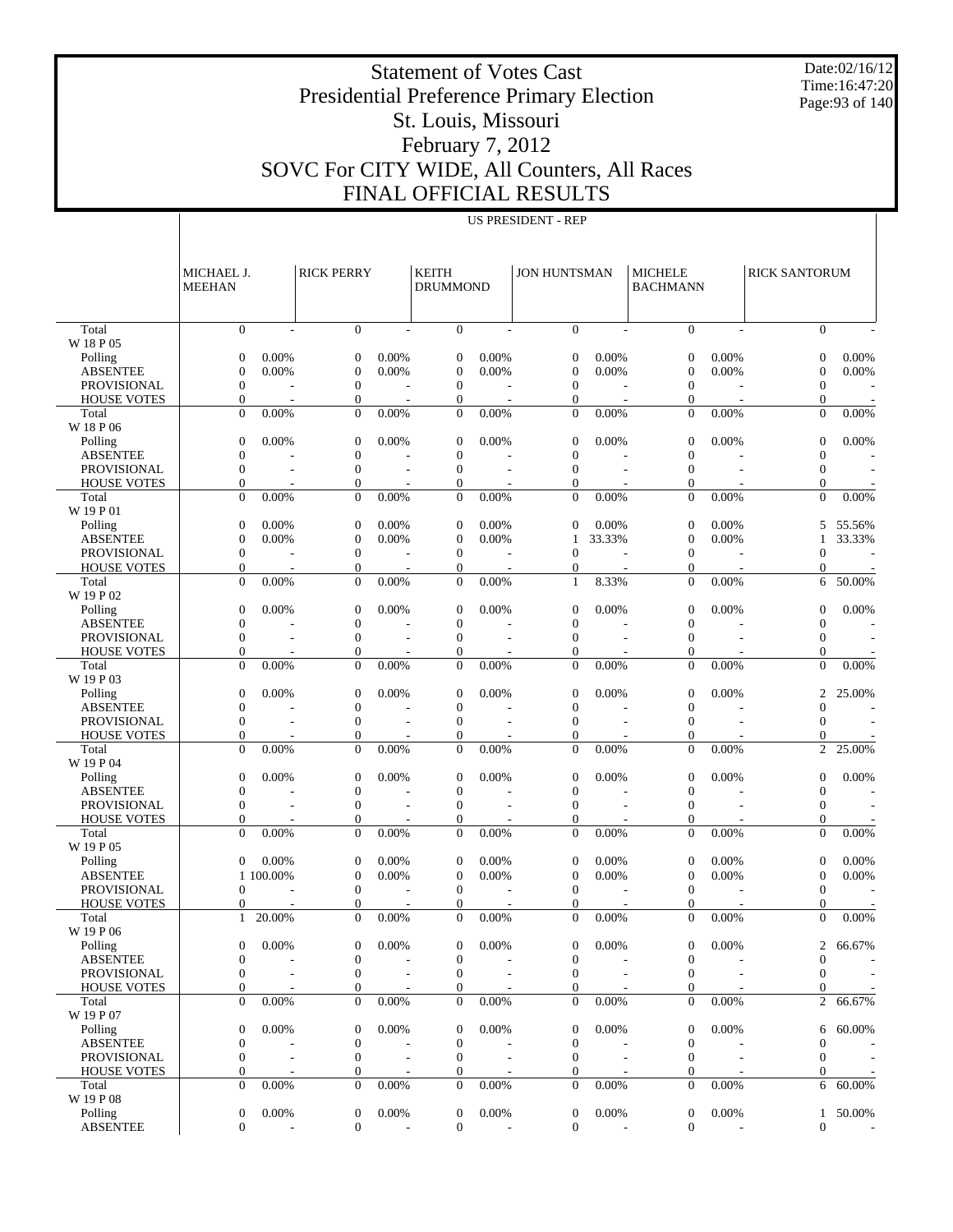Date:02/16/12 Time:16:47:20 Page:93 of 140

#### Presidential Preference Primary Election St. Louis, Missouri February 7, 2012 SOVC For CITY WIDE, All Counters, All Races FINAL OFFICIAL RESULTS

|                                          |                                  | <b>US PRESIDENT - REP</b> |                                    |                          |                                      |                          |                              |                          |                                   |                |                                  |                |
|------------------------------------------|----------------------------------|---------------------------|------------------------------------|--------------------------|--------------------------------------|--------------------------|------------------------------|--------------------------|-----------------------------------|----------------|----------------------------------|----------------|
|                                          |                                  |                           |                                    |                          |                                      |                          |                              |                          |                                   |                |                                  |                |
|                                          | MICHAEL J.<br><b>MEEHAN</b>      |                           | <b>RICK PERRY</b>                  |                          | <b>KEITH</b><br><b>DRUMMOND</b>      |                          | <b>JON HUNTSMAN</b>          |                          | <b>MICHELE</b><br><b>BACHMANN</b> |                | <b>RICK SANTORUM</b>             |                |
|                                          |                                  |                           |                                    |                          |                                      |                          |                              |                          |                                   |                |                                  |                |
| Total<br>W 18 P 05                       | $\mathbf{0}$                     | L,                        | $\overline{0}$                     |                          | $\boldsymbol{0}$                     | $\overline{a}$           | $\mathbf{0}$                 |                          | $\overline{0}$                    | L,             | $\Omega$                         |                |
| Polling                                  | $\overline{0}$                   | 0.00%                     | $\boldsymbol{0}$                   | 0.00%                    | $\boldsymbol{0}$                     | 0.00%                    | $\mathbf{0}$                 | 0.00%                    | $\overline{0}$                    | 0.00%          | $\overline{0}$                   | 0.00%          |
| <b>ABSENTEE</b>                          | $\overline{0}$                   | 0.00%                     | $\overline{0}$                     | 0.00%                    | $\boldsymbol{0}$                     | 0.00%                    | $\mathbf{0}$                 | 0.00%                    | $\overline{0}$                    | 0.00%          | $\overline{0}$                   | 0.00%          |
| <b>PROVISIONAL</b>                       | $\mathbf{0}$                     |                           | $\boldsymbol{0}$                   |                          | $\boldsymbol{0}$                     |                          | $\mathbf{0}$                 |                          | $\mathbf{0}$                      |                | $\theta$                         |                |
| <b>HOUSE VOTES</b>                       | $\mathbf{0}$<br>$\mathbf{0}$     | 0.00%                     | $\overline{0}$<br>$\overline{0}$   | 0.00%                    | $\mathbf{0}$<br>$\boldsymbol{0}$     | 0.00%                    | $\mathbf{0}$<br>$\mathbf{0}$ | 0.00%                    | $\mathbf{0}$<br>$\mathbf{0}$      | 0.00%          | 0<br>$\mathbf{0}$                | 0.00%          |
| Total<br>W 18 P 06                       |                                  |                           |                                    |                          |                                      |                          |                              |                          |                                   |                |                                  |                |
| Polling<br><b>ABSENTEE</b>               | $\theta$<br>$\overline{0}$       | 0.00%                     | $\mathbf{0}$<br>$\overline{0}$     | 0.00%                    | $\mathbf{0}$<br>$\boldsymbol{0}$     | 0.00%                    | $\mathbf{0}$<br>$\mathbf{0}$ | 0.00%                    | $\overline{0}$<br>$\overline{0}$  | 0.00%          | $\overline{0}$<br>$\Omega$       | 0.00%          |
| PROVISIONAL                              | $\mathbf{0}$                     |                           | $\boldsymbol{0}$                   |                          | $\boldsymbol{0}$                     |                          | $\mathbf{0}$                 |                          | $\overline{0}$                    |                | $\mathbf{0}$                     |                |
| <b>HOUSE VOTES</b>                       | $\overline{0}$                   |                           | $\mathbf{0}$                       |                          | $\overline{0}$                       |                          | $\mathbf{0}$                 |                          | $\overline{0}$                    |                | 0                                |                |
| Total<br>W 19 P 01                       | $\mathbf{0}$                     | 0.00%                     | $\overline{0}$                     | 0.00%                    | $\boldsymbol{0}$                     | 0.00%                    | $\Omega$                     | 0.00%                    | $\overline{0}$                    | 0.00%          | $\mathbf{0}$                     | 0.00%          |
| Polling                                  | $\overline{0}$                   | 0.00%                     | $\boldsymbol{0}$                   | 0.00%                    | $\boldsymbol{0}$                     | 0.00%                    | $\mathbf{0}$                 | 0.00%                    | $\theta$                          | 0.00%          | 5                                | 55.56%         |
| <b>ABSENTEE</b>                          | $\overline{0}$                   | 0.00%                     | $\overline{0}$                     | 0.00%                    | $\boldsymbol{0}$                     | 0.00%                    | $\mathbf{1}$                 | 33.33%                   | $\overline{0}$                    | 0.00%          | 1                                | 33.33%         |
| <b>PROVISIONAL</b><br><b>HOUSE VOTES</b> | $\boldsymbol{0}$<br>$\mathbf{0}$ |                           | $\boldsymbol{0}$<br>$\overline{0}$ |                          | $\boldsymbol{0}$<br>$\boldsymbol{0}$ |                          | $\mathbf{0}$<br>$\mathbf{0}$ |                          | $\mathbf{0}$<br>0                 |                | $\overline{0}$<br>0              |                |
| Total                                    | $\mathbf{0}$                     | 0.00%                     | $\overline{0}$                     | 0.00%                    | $\boldsymbol{0}$                     | 0.00%                    | $\mathbf{1}$                 | 8.33%                    | $\mathbf{0}$                      | 0.00%          | 6                                | 50.00%         |
| W 19 P 02                                |                                  |                           |                                    |                          |                                      |                          |                              |                          |                                   |                |                                  |                |
| Polling<br><b>ABSENTEE</b>               | $\theta$<br>$\overline{0}$       | 0.00%                     | $\mathbf{0}$<br>$\overline{0}$     | 0.00%                    | $\mathbf{0}$<br>$\boldsymbol{0}$     | 0.00%                    | $\mathbf{0}$<br>$\mathbf{0}$ | 0.00%                    | $\overline{0}$<br>$\overline{0}$  | 0.00%          | $\overline{0}$<br>$\Omega$       | 0.00%          |
| PROVISIONAL                              | $\mathbf{0}$                     |                           | $\overline{0}$                     |                          | $\boldsymbol{0}$                     |                          | $\mathbf{0}$                 |                          | $\overline{0}$                    |                | $\mathbf{0}$                     |                |
| <b>HOUSE VOTES</b>                       | 0                                |                           | $\mathbf{0}$                       |                          | $\mathbf{0}$                         |                          | $\mathbf{0}$                 |                          | 0                                 |                | $\overline{0}$                   |                |
| Total<br>W 19 P 03                       | $\mathbf{0}$                     | 0.00%                     | $\overline{0}$                     | 0.00%                    | $\overline{0}$                       | 0.00%                    | $\Omega$                     | 0.00%                    | $\overline{0}$                    | 0.00%          | $\overline{0}$                   | 0.00%          |
| Polling<br><b>ABSENTEE</b>               | $\overline{0}$<br>$\overline{0}$ | 0.00%                     | $\mathbf{0}$<br>$\overline{0}$     | 0.00%                    | $\boldsymbol{0}$<br>$\boldsymbol{0}$ | 0.00%                    | $\mathbf{0}$<br>$\mathbf{0}$ | 0.00%                    | $\overline{0}$<br>$\overline{0}$  | 0.00%          | $\overline{2}$<br>$\theta$       | 25.00%         |
| PROVISIONAL                              | $\mathbf{0}$                     |                           | $\boldsymbol{0}$                   |                          | $\boldsymbol{0}$                     |                          | $\mathbf{0}$                 |                          | $\overline{0}$                    |                | $\theta$                         |                |
| <b>HOUSE VOTES</b>                       | $\mathbf{0}$                     |                           | $\mathbf{0}$                       |                          | $\overline{0}$                       |                          | $\mathbf{0}$                 |                          | $\overline{0}$                    |                | $\theta$                         |                |
| Total<br>W 19 P 04                       | $\overline{0}$                   | 0.00%                     | $\overline{0}$                     | 0.00%                    | $\boldsymbol{0}$                     | 0.00%                    | $\mathbf{0}$                 | 0.00%                    | $\overline{0}$                    | 0.00%          | $\overline{c}$                   | 25.00%         |
| Polling                                  | $\theta$                         | 0.00%                     | $\boldsymbol{0}$                   | 0.00%                    | $\mathbf{0}$                         | 0.00%                    | $\mathbf{0}$                 | 0.00%                    | $\overline{0}$                    | 0.00%          | $\overline{0}$                   | 0.00%          |
| <b>ABSENTEE</b>                          | $\overline{0}$                   |                           | $\overline{0}$                     |                          | $\boldsymbol{0}$                     |                          | $\mathbf{0}$                 |                          | $\overline{0}$                    |                | $\Omega$                         |                |
| PROVISIONAL<br><b>HOUSE VOTES</b>        | $\mathbf{0}$<br>$\overline{0}$   |                           | $\boldsymbol{0}$<br>$\mathbf{0}$   |                          | $\boldsymbol{0}$<br>$\overline{0}$   |                          | $\mathbf{0}$<br>$\mathbf{0}$ |                          | $\overline{0}$<br>0               |                | $\mathbf{0}$<br>0                |                |
| Total                                    | $\mathbf{0}$                     | 0.00%                     | $\overline{0}$                     | 0.00%                    | $\overline{0}$                       | 0.00%                    | $\Omega$                     | 0.00%                    | $\mathbf{0}$                      | 0.00%          | $\mathbf{0}$                     | 0.00%          |
| W 19 P 05                                |                                  |                           |                                    |                          |                                      |                          |                              |                          |                                   |                |                                  |                |
| Polling<br><b>ABSENTEE</b>               | $\theta$                         | 0.00%<br>1 100.00%        | $\mathbf{0}$<br>$\overline{0}$     | 0.00%<br>0.00%           | $\boldsymbol{0}$<br>$\boldsymbol{0}$ | 0.00%<br>0.00%           | $\mathbf{0}$<br>$\mathbf{0}$ | 0.00%<br>0.00%           | $\overline{0}$<br>$\overline{0}$  | 0.00%<br>0.00% | $\overline{0}$<br>$\overline{0}$ | 0.00%<br>0.00% |
| <b>PROVISIONAL</b>                       | $\mathbf{0}$                     |                           | $\mathbf{0}$                       | ٠                        | $\boldsymbol{0}$                     | $\overline{a}$           | $\mathbf{0}$                 |                          | $\mathbf{0}$                      |                | $\theta$                         |                |
| <b>HOUSE VOTES</b>                       | $\Omega$                         |                           | $\Omega$                           |                          | $\Omega$                             | $\overline{\phantom{a}}$ | $\Omega$                     |                          | $\Omega$                          |                | $\Omega$                         |                |
| Total<br>W 19 P 06                       | $\mathbf{1}$                     | 20.00%                    | 0                                  | 0.00%                    | $\mathbf{0}$                         | 0.00%                    | $\overline{0}$               | 0.00%                    | $\boldsymbol{0}$                  | 0.00%          | $\mathbf{0}$                     | 0.00%          |
| Polling                                  | $\overline{0}$                   | 0.00%                     | 0                                  | 0.00%                    | 0                                    | 0.00%                    | $\mathbf{0}$                 | 0.00%                    | 0                                 | 0.00%          | 2                                | 66.67%         |
| <b>ABSENTEE</b>                          | $\theta$                         |                           | 0                                  |                          | $\boldsymbol{0}$                     |                          | $\mathbf{0}$                 |                          | $\overline{0}$                    |                | $\Omega$                         |                |
| PROVISIONAL                              | $\mathbf{0}$                     |                           | 0                                  | $\overline{a}$           | $\boldsymbol{0}$                     |                          | $\theta$                     |                          | $\mathbf{0}$                      |                | $\mathbf{0}$                     |                |
| <b>HOUSE VOTES</b><br>Total              | 0<br>$\boldsymbol{0}$            | 0.00%                     | 0<br>$\overline{0}$                | 0.00%                    | $\boldsymbol{0}$<br>$\boldsymbol{0}$ | 0.00%                    | 0<br>$\mathbf{0}$            | 0.00%                    | 0<br>$\mathbf{0}$                 | 0.00%          | 0<br>2                           | 66.67%         |
| W 19 P 07                                |                                  |                           |                                    |                          |                                      |                          |                              |                          |                                   |                |                                  |                |
| Polling<br><b>ABSENTEE</b>               | $\boldsymbol{0}$<br>$\mathbf{0}$ | 0.00%                     | $\boldsymbol{0}$<br>0              | 0.00%                    | $\mathbf{0}$<br>$\boldsymbol{0}$     | 0.00%                    | $\mathbf{0}$<br>$\mathbf{0}$ | 0.00%                    | $\boldsymbol{0}$<br>$\mathbf{0}$  | 0.00%          | 6<br>$\Omega$                    | 60.00%         |
| PROVISIONAL                              | $\mathbf{0}$                     |                           | $\boldsymbol{0}$                   |                          | $\boldsymbol{0}$                     |                          | $\mathbf{0}$                 |                          | $\mathbf{0}$                      |                | $\theta$                         |                |
| <b>HOUSE VOTES</b>                       | 0                                |                           | 0                                  |                          | $\boldsymbol{0}$                     |                          | $\mathbf{0}$                 |                          | 0                                 |                | 0                                |                |
| Total                                    | $\boldsymbol{0}$                 | 0.00%                     | $\overline{0}$                     | 0.00%                    | $\boldsymbol{0}$                     | 0.00%                    | $\mathbf{0}$                 | 0.00%                    | $\mathbf{0}$                      | 0.00%          | 6                                | 60.00%         |
| W 19 P 08<br>Polling                     | $\mathbf{0}$                     | 0.00%                     | 0                                  | 0.00%                    | $\boldsymbol{0}$                     | 0.00%                    | $\boldsymbol{0}$             | 0.00%                    | $\mathbf{0}$                      | 0.00%          |                                  | 1 50.00%       |
| <b>ABSENTEE</b>                          | $\mathbf{0}$                     |                           | $\boldsymbol{0}$                   | $\overline{\phantom{a}}$ | $\boldsymbol{0}$                     | $\overline{a}$           | $\mathbf{0}$                 | $\overline{\phantom{a}}$ | $\mathbf{0}$                      | $\sim$         | $\mathbf{0}$                     |                |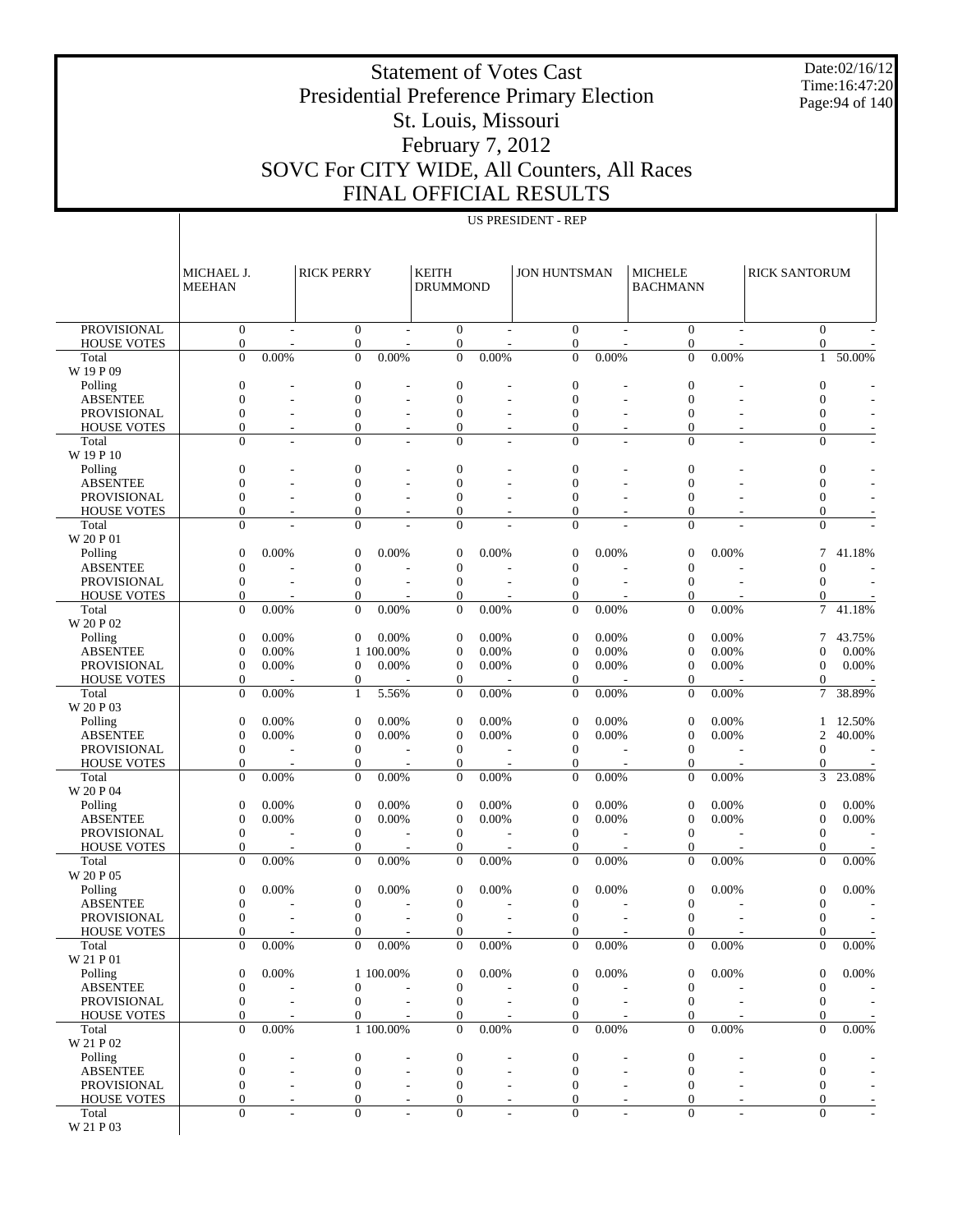Date:02/16/12 Time:16:47:20 Page:94 of 140

Presidential Preference Primary Election St. Louis, Missouri

Statement of Votes Cast

## February 7, 2012 SOVC For CITY WIDE, All Counters, All Races FINAL OFFICIAL RESULTS

| $\sim$ . The individual $\sim$ |  |
|--------------------------------|--|
| <b>US PRESIDENT - REP</b>      |  |

|                                          | MICHAEL J.<br><b>MEEHAN</b>        |                | <b>RICK PERRY</b>                    |                          | <b>KEITH</b><br><b>DRUMMOND</b>    |        | <b>JON HUNTSMAN</b>                |                | <b>MICHELE</b><br><b>BACHMANN</b>  |                          | <b>RICK SANTORUM</b>             |        |
|------------------------------------------|------------------------------------|----------------|--------------------------------------|--------------------------|------------------------------------|--------|------------------------------------|----------------|------------------------------------|--------------------------|----------------------------------|--------|
|                                          |                                    |                |                                      |                          |                                    |        |                                    |                |                                    |                          |                                  |        |
| <b>PROVISIONAL</b><br><b>HOUSE VOTES</b> | $\overline{0}$<br>$\boldsymbol{0}$ |                | $\mathbf{0}$<br>$\boldsymbol{0}$     |                          | $\overline{0}$<br>$\boldsymbol{0}$ |        | $\overline{0}$<br>$\boldsymbol{0}$ |                | $\overline{0}$<br>$\boldsymbol{0}$ |                          | $\overline{0}$<br>$\overline{0}$ |        |
| Total                                    | $\theta$                           | 0.00%          | $\Omega$                             | 0.00%                    | $\overline{0}$                     | 0.00%  | $\theta$                           | 0.00%          | $\overline{0}$                     | 0.00%                    | 1                                | 50.00% |
| W 19 P 09                                |                                    |                |                                      |                          |                                    |        |                                    |                |                                    |                          |                                  |        |
| Polling<br><b>ABSENTEE</b>               | $\mathbf{0}$<br>$\mathbf{0}$       | $\overline{a}$ | $\boldsymbol{0}$<br>$\boldsymbol{0}$ |                          | $\theta$<br>$\mathbf{0}$           |        | $\boldsymbol{0}$<br>$\mathbf{0}$   |                | $\boldsymbol{0}$<br>$\mathbf{0}$   |                          | $\mathbf{0}$<br>$\mathbf{0}$     |        |
| <b>PROVISIONAL</b>                       | $\mathbf{0}$                       |                | $\boldsymbol{0}$                     |                          | $\mathbf{0}$                       |        | $\boldsymbol{0}$                   |                | $\mathbf{0}$                       |                          | 0                                |        |
| <b>HOUSE VOTES</b>                       | $\mathbf{0}$                       |                | $\mathbf{0}$                         |                          | $\mathbf{0}$                       |        | $\mathbf{0}$                       |                | $\mathbf{0}$                       |                          | $\overline{0}$                   |        |
| Total                                    | $\Omega$                           |                | $\Omega$                             |                          | $\Omega$                           |        | $\theta$                           |                | $\mathbf{0}$                       |                          | $\overline{0}$                   |        |
| W 19 P 10                                | $\mathbf{0}$                       |                | $\boldsymbol{0}$                     |                          | $\mathbf{0}$                       |        | $\boldsymbol{0}$                   |                | $\mathbf{0}$                       |                          | $\boldsymbol{0}$                 |        |
| Polling<br><b>ABSENTEE</b>               | $\mathbf{0}$                       | L,             | $\boldsymbol{0}$                     |                          | $\mathbf{0}$                       |        | $\boldsymbol{0}$                   |                | $\mathbf{0}$                       |                          | $\mathbf{0}$                     |        |
| <b>PROVISIONAL</b>                       | $\mathbf{0}$                       |                | $\boldsymbol{0}$                     |                          | $\mathbf{0}$                       |        | $\boldsymbol{0}$                   |                | $\mathbf{0}$                       |                          | $\overline{0}$                   |        |
| <b>HOUSE VOTES</b>                       | $\mathbf{0}$                       |                | $\mathbf{0}$                         |                          | $\theta$                           |        | $\mathbf{0}$                       |                | $\mathbf{0}$                       |                          | 0                                |        |
| Total                                    | $\Omega$                           |                | $\Omega$                             |                          | $\Omega$                           |        | $\theta$                           |                | $\Omega$                           |                          | $\Omega$                         |        |
| W 20 P 01<br>Polling                     | $\mathbf{0}$                       | 0.00%          | $\boldsymbol{0}$                     | 0.00%                    | $\theta$                           | 0.00%  | $\boldsymbol{0}$                   | 0.00%          | $\mathbf{0}$                       | 0.00%                    | 7                                | 41.18% |
| <b>ABSENTEE</b>                          | $\mathbf{0}$                       |                | $\boldsymbol{0}$                     |                          | $\mathbf{0}$                       |        | $\mathbf{0}$                       |                | $\mathbf{0}$                       |                          | $\mathbf{0}$                     |        |
| <b>PROVISIONAL</b>                       | $\mathbf{0}$                       | ÷.             | $\mathbf{0}$                         | $\overline{\phantom{a}}$ | $\mathbf{0}$                       | $\sim$ | $\theta$                           | $\overline{a}$ | $\mathbf{0}$                       | $\overline{\phantom{a}}$ | $\mathbf{0}$                     |        |
| <b>HOUSE VOTES</b>                       | $\mathbf{0}$                       |                | $\theta$                             |                          | $\theta$                           |        | $\boldsymbol{0}$                   |                | $\mathbf{0}$                       |                          | 0                                |        |
| Total                                    | $\overline{0}$                     | 0.00%          | $\theta$                             | 0.00%                    | $\mathbf{0}$                       | 0.00%  | $\mathbf{0}$                       | 0.00%          | $\mathbf{0}$                       | 0.00%                    | 7                                | 41.18% |
| W 20 P 02<br>Polling                     | $\mathbf{0}$                       | 0.00%          | $\theta$                             | 0.00%                    | $\theta$                           | 0.00%  | $\theta$                           | 0.00%          | $\mathbf{0}$                       | 0.00%                    | 7                                | 43.75% |
| <b>ABSENTEE</b>                          | $\mathbf{0}$                       | 0.00%          |                                      | 1 100.00%                | $\theta$                           | 0.00%  | $\theta$                           | 0.00%          | $\mathbf{0}$                       | 0.00%                    | $\Omega$                         | 0.00%  |
| <b>PROVISIONAL</b>                       | $\mathbf{0}$                       | 0.00%          | $\theta$                             | 0.00%                    | $\theta$                           | 0.00%  | $\theta$                           | 0.00%          | $\mathbf{0}$                       | 0.00%                    | $\mathbf{0}$                     | 0.00%  |
| <b>HOUSE VOTES</b>                       | $\mathbf{0}$                       |                | $\boldsymbol{0}$                     |                          | $\theta$                           |        | $\boldsymbol{0}$                   |                | $\mathbf{0}$                       |                          | $\overline{0}$                   |        |
| Total                                    | $\overline{0}$                     | 0.00%          | $\mathbf{1}$                         | 5.56%                    | $\theta$                           | 0.00%  | $\Omega$                           | 0.00%          | $\mathbf{0}$                       | 0.00%                    | 7                                | 38.89% |
| W 20 P 03<br>Polling                     | $\mathbf{0}$                       | 0.00%          | $\boldsymbol{0}$                     | 0.00%                    | $\theta$                           | 0.00%  | $\mathbf{0}$                       | 0.00%          | $\mathbf{0}$                       | 0.00%                    | 1                                | 12.50% |
| <b>ABSENTEE</b>                          | $\mathbf{0}$                       | 0.00%          | $\boldsymbol{0}$                     | 0.00%                    | $\theta$                           | 0.00%  | $\mathbf{0}$                       | 0.00%          | $\mathbf{0}$                       | 0.00%                    | $\overline{c}$                   | 40.00% |
| <b>PROVISIONAL</b>                       | $\boldsymbol{0}$                   |                | $\theta$                             |                          | $\theta$                           |        | $\theta$                           |                | $\mathbf{0}$                       |                          | $\mathbf{0}$                     |        |
| <b>HOUSE VOTES</b>                       | $\mathbf{0}$                       |                | $\boldsymbol{0}$                     |                          | $\boldsymbol{0}$                   |        | $\boldsymbol{0}$                   |                | $\mathbf{0}$                       |                          | $\overline{0}$                   |        |
| Total<br>W 20 P 04                       | $\overline{0}$                     | 0.00%          | $\Omega$                             | 0.00%                    | $\mathbf{0}$                       | 0.00%  | $\mathbf{0}$                       | 0.00%          | $\overline{0}$                     | 0.00%                    | 3                                | 23.08% |
| Polling                                  | $\mathbf{0}$                       | 0.00%          | $\boldsymbol{0}$                     | 0.00%                    | $\theta$                           | 0.00%  | $\mathbf{0}$                       | 0.00%          | $\mathbf{0}$                       | 0.00%                    | $\mathbf{0}$                     | 0.00%  |
| <b>ABSENTEE</b>                          | $\mathbf{0}$                       | 0.00%          | $\boldsymbol{0}$                     | 0.00%                    | $\theta$                           | 0.00%  | $\mathbf{0}$                       | 0.00%          | $\mathbf{0}$                       | 0.00%                    | $\mathbf{0}$                     | 0.00%  |
| <b>PROVISIONAL</b>                       | $\mathbf{0}$                       |                | $\theta$                             | L,                       | $\theta$                           |        | $\theta$                           |                | $\mathbf{0}$                       |                          | $\mathbf{0}$                     |        |
| <b>HOUSE VOTES</b>                       | $\boldsymbol{0}$<br>$\theta$       | 0.00%          | $\boldsymbol{0}$<br>$\Omega$         | 0.00%                    | $\boldsymbol{0}$<br>$\mathbf{0}$   |        | $\boldsymbol{0}$<br>$\Omega$       | 0.00%          | $\mathbf{0}$<br>$\Omega$           | 0.00%                    | 0<br>$\Omega$                    | 0.00%  |
| Total<br>W 20 P 05                       |                                    |                |                                      |                          |                                    | 0.00%  |                                    |                |                                    |                          |                                  |        |
| Polling                                  | $\mathbf{0}$                       | 0.00%          | $\overline{0}$                       | 0.00%                    | $\overline{0}$                     | 0.00%  | $\mathbf{0}$                       | 0.00%          | $\mathbf{0}$                       | 0.00%                    | $\mathbf{0}$                     | 0.00%  |
| <b>ABSENTEE</b>                          | $\mathbf{0}$                       |                | $\boldsymbol{0}$                     |                          | $\theta$                           |        | $\boldsymbol{0}$                   |                | $\boldsymbol{0}$                   |                          | $\mathbf{0}$                     |        |
| <b>PROVISIONAL</b>                       | $\mathbf{0}$                       |                | $\theta$                             |                          | $\theta$                           |        | $\mathbf{0}$                       |                | $\mathbf{0}$                       |                          | $\mathbf{0}$                     |        |
| <b>HOUSE VOTES</b>                       | $\Omega$                           | 0.00%          | $\Omega$                             | 0.00%                    | $\Omega$                           |        | $\Omega$                           |                | $\Omega$                           | 0.00%                    | $\Omega$                         |        |
| Total<br>W 21 P 01                       | $\mathbf{0}$                       |                | $\overline{0}$                       |                          | $\overline{0}$                     | 0.00%  | $\mathbf{0}$                       | 0.00%          | $\mathbf{0}$                       |                          | 0                                | 0.00%  |
| Polling                                  | $\mathbf{0}$                       | 0.00%          |                                      | 1 100,00%                | $\theta$                           | 0.00%  | $\boldsymbol{0}$                   | 0.00%          | $\mathbf{0}$                       | 0.00%                    | $\mathbf{0}$                     | 0.00%  |
| <b>ABSENTEE</b>                          | $\boldsymbol{0}$                   |                | $\boldsymbol{0}$                     |                          | $\boldsymbol{0}$                   |        | $\mathbf{0}$                       |                | $\boldsymbol{0}$                   |                          | $\boldsymbol{0}$                 |        |
| PROVISIONAL                              | $\boldsymbol{0}$                   | ÷.             | $\theta$                             | $\sim$                   | $\theta$                           |        | $\mathbf{0}$                       | $\overline{a}$ | $\boldsymbol{0}$                   |                          | $\boldsymbol{0}$                 |        |
| <b>HOUSE VOTES</b><br>Total              | 0<br>$\mathbf{0}$                  | 0.00%          | $\theta$                             | 1 100.00%                | $\boldsymbol{0}$<br>$\theta$       | 0.00%  | $\mathbf{0}$<br>$\mathbf{0}$       | 0.00%          | 0<br>$\mathbf{0}$                  | 0.00%                    | $\overline{0}$<br>$\mathbf{0}$   | 0.00%  |
| W 21 P 02                                |                                    |                |                                      |                          |                                    |        |                                    |                |                                    |                          |                                  |        |
| Polling                                  | $\boldsymbol{0}$                   |                | $\boldsymbol{0}$                     |                          | $\boldsymbol{0}$                   |        | $\mathbf{0}$                       |                | $\boldsymbol{0}$                   |                          | $\boldsymbol{0}$                 |        |
| <b>ABSENTEE</b>                          | $\mathbf{0}$                       |                | $\boldsymbol{0}$                     |                          | $\theta$                           |        | $\boldsymbol{0}$                   |                | $\boldsymbol{0}$                   |                          | $\boldsymbol{0}$                 |        |
| PROVISIONAL                              | $\mathbf{0}$                       |                | $\boldsymbol{0}$                     |                          | $\theta$                           |        | $\boldsymbol{0}$                   |                | $\boldsymbol{0}$                   |                          | $\boldsymbol{0}$                 |        |
| <b>HOUSE VOTES</b><br>Total              | 0<br>$\Omega$                      |                | $\theta$<br>$\Omega$                 |                          | $\theta$<br>$\Omega$               |        | $\mathbf{0}$<br>$\theta$           |                | $\mathbf{0}$<br>$\mathbf{0}$       |                          | 0<br>$\mathbf{0}$                |        |
| W 21 P 03                                |                                    |                |                                      |                          |                                    |        |                                    |                |                                    |                          |                                  |        |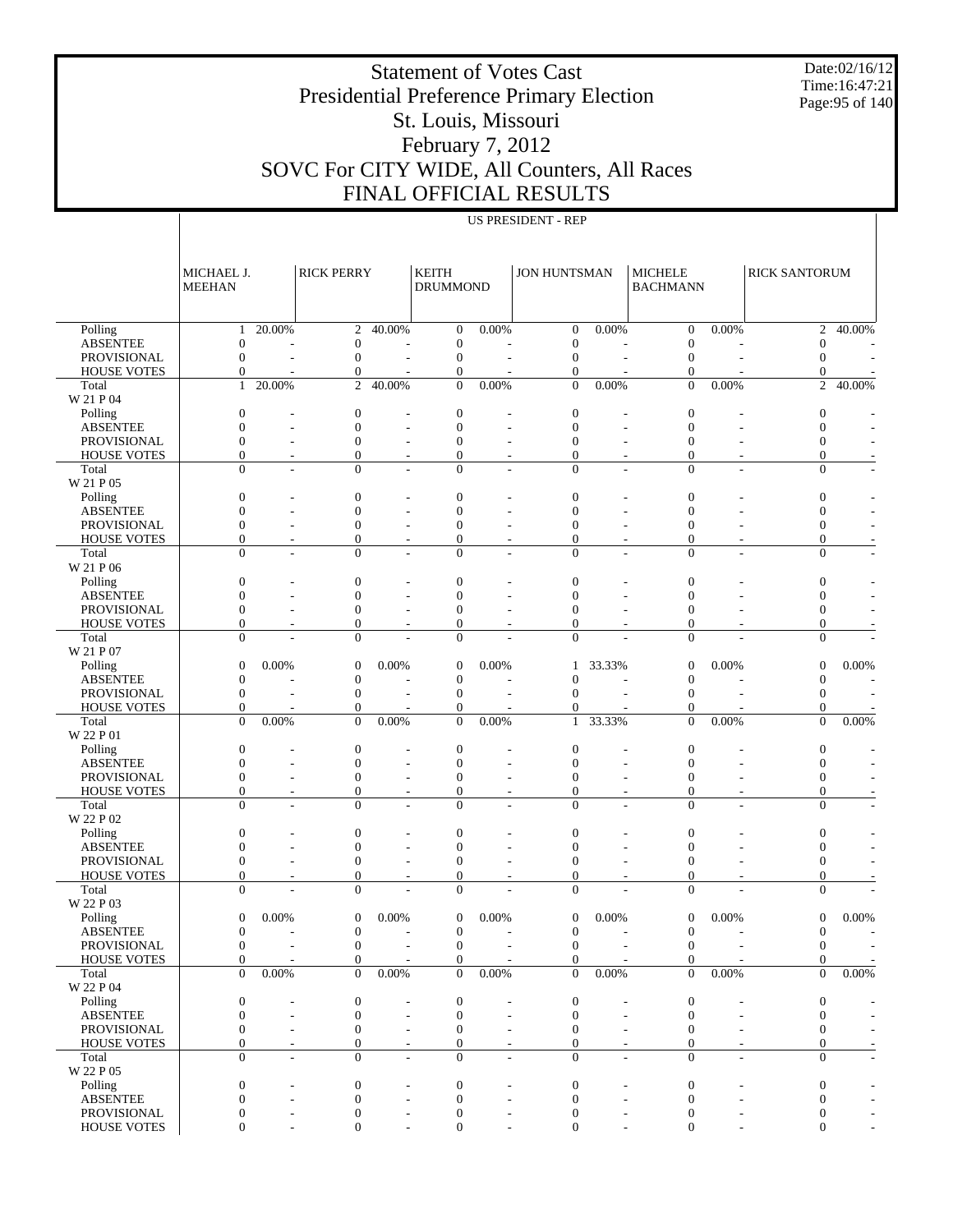Statement of Votes Cast Presidential Preference Primary Election St. Louis, Missouri February 7, 2012 SOVC For CITY WIDE, All Counters, All Races FINAL OFFICIAL RESULTS

Date:02/16/12 Time:16:47:21 Page:95 of 140

|  | FFIUIAL NESULT     |  |  |
|--|--------------------|--|--|
|  | US PRESIDENT - REP |  |  |

|                                   | MICHAEL J.<br><b>MEEHAN</b> |                          | <b>RICK PERRY</b>                    |                              | <b>KEITH</b><br><b>DRUMMOND</b> |                          | <b>JON HUNTSMAN</b>                  |                          | <b>MICHELE</b><br><b>BACHMANN</b>    |                          | <b>RICK SANTORUM</b>                 |                      |
|-----------------------------------|-----------------------------|--------------------------|--------------------------------------|------------------------------|---------------------------------|--------------------------|--------------------------------------|--------------------------|--------------------------------------|--------------------------|--------------------------------------|----------------------|
|                                   |                             |                          |                                      |                              |                                 |                          |                                      |                          |                                      |                          |                                      |                      |
| Polling<br><b>ABSENTEE</b>        | 1<br>$\mathbf{0}$           | 20.00%                   | $\mathfrak{2}$<br>$\boldsymbol{0}$   | 40.00%                       | $\theta$<br>$\theta$            | 0.00%                    | $\boldsymbol{0}$<br>$\boldsymbol{0}$ | 0.00%                    | $\mathbf{0}$<br>$\boldsymbol{0}$     | 0.00%                    | 2<br>$\overline{0}$                  | 40.00%               |
| PROVISIONAL                       | $\mathbf{0}$                |                          | $\overline{0}$                       |                              | $\mathbf{0}$                    |                          | $\mathbf{0}$                         |                          | $\mathbf{0}$                         |                          | $\mathbf{0}$                         |                      |
| <b>HOUSE VOTES</b>                | $\Omega$                    |                          | $\overline{0}$                       |                              | $\theta$                        |                          | $\mathbf{0}$                         |                          | $\mathbf{0}$                         |                          | $\mathbf{0}$                         |                      |
| Total<br>W 21 P 04                | $\mathbf{1}$                | 20.00%                   | $\overline{2}$                       | 40.00%                       | $\mathbf{0}$                    | 0.00%                    | $\mathbf{0}$                         | 0.00%                    | $\mathbf{0}$                         | 0.00%                    | $\overline{c}$                       | 40.00%               |
| Polling                           | $\overline{0}$              |                          | $\boldsymbol{0}$                     |                              | $\theta$                        |                          | $\mathbf{0}$                         |                          | $\boldsymbol{0}$                     |                          | $\boldsymbol{0}$                     |                      |
| <b>ABSENTEE</b>                   | $\Omega$                    |                          | $\boldsymbol{0}$                     | L,                           | $\Omega$                        |                          | $\mathbf{0}$                         | L,                       | $\mathbf{0}$                         |                          | $\overline{0}$                       |                      |
| PROVISIONAL                       | $\theta$                    |                          | $\boldsymbol{0}$                     |                              | $\mathbf{0}$                    |                          | $\mathbf{0}$                         |                          | $\mathbf{0}$                         |                          | $\boldsymbol{0}$                     |                      |
| <b>HOUSE VOTES</b>                | $\Omega$                    | $\overline{\phantom{m}}$ | $\boldsymbol{0}$                     | $\qquad \qquad -$            | $\overline{0}$                  |                          | $\mathbf{0}$                         |                          | $\mathbf{0}$                         |                          | $\boldsymbol{0}$                     | Ė                    |
| Total<br>W 21 P 05                | $\Omega$                    |                          | $\Omega$                             |                              | $\Omega$                        |                          | $\Omega$                             |                          | $\Omega$                             |                          | $\overline{0}$                       | Ĭ.                   |
| Polling<br><b>ABSENTEE</b>        | $\theta$<br>$\theta$        |                          | $\boldsymbol{0}$<br>$\boldsymbol{0}$ |                              | $\theta$<br>$\Omega$            |                          | $\mathbf{0}$<br>$\mathbf{0}$         |                          | $\boldsymbol{0}$<br>$\boldsymbol{0}$ |                          | $\boldsymbol{0}$<br>$\overline{0}$   |                      |
| PROVISIONAL                       | $\theta$                    |                          | $\boldsymbol{0}$                     | $\overline{a}$               | $\mathbf{0}$                    |                          | $\mathbf{0}$                         |                          | $\boldsymbol{0}$                     |                          | $\boldsymbol{0}$                     | ÷                    |
| <b>HOUSE VOTES</b>                | $\Omega$                    | $\overline{a}$           | $\overline{0}$                       | $\overline{a}$               | $\mathbf{0}$                    | $\overline{\phantom{a}}$ | $\mathbf{0}$                         | $\overline{\phantom{a}}$ | $\mathbf{0}$                         | $\overline{\phantom{m}}$ | $\overline{0}$                       | Ė                    |
| Total<br>W 21 P 06                | $\Omega$                    |                          | $\overline{0}$                       |                              | $\Omega$                        |                          | $\Omega$                             |                          | $\mathbf{0}$                         |                          | $\overline{0}$                       | ÷,                   |
| Polling                           | $\theta$                    |                          | $\boldsymbol{0}$                     |                              | $\theta$                        |                          | $\mathbf{0}$                         |                          | $\boldsymbol{0}$                     |                          | $\boldsymbol{0}$                     |                      |
| <b>ABSENTEE</b>                   | $\Omega$                    |                          | $\boldsymbol{0}$                     | $\overline{a}$               | $\Omega$                        |                          | $\mathbf{0}$                         |                          | $\boldsymbol{0}$                     |                          | $\overline{0}$                       |                      |
| PROVISIONAL                       | $\theta$                    |                          | $\boldsymbol{0}$                     |                              | $\mathbf{0}$                    |                          | $\mathbf{0}$                         |                          | $\mathbf{0}$                         |                          | $\boldsymbol{0}$                     |                      |
| <b>HOUSE VOTES</b>                | $\theta$                    | $\overline{a}$           | $\boldsymbol{0}$                     | $\overline{\phantom{a}}$     | $\overline{0}$                  |                          | $\mathbf{0}$                         |                          | $\mathbf{0}$                         |                          | $\boldsymbol{0}$                     |                      |
| Total                             | $\Omega$                    |                          | $\Omega$                             |                              | $\Omega$                        |                          | $\Omega$                             |                          | $\Omega$                             |                          | $\mathbf{0}$                         |                      |
| W 21 P 07<br>Polling              | $\Omega$                    | 0.00%                    | $\boldsymbol{0}$                     | 0.00%                        | $\boldsymbol{0}$                | 0.00%                    | $\mathbf{1}$                         | 33.33%                   | $\boldsymbol{0}$                     | 0.00%                    | $\mathbf{0}$                         | 0.00%                |
| <b>ABSENTEE</b>                   | $\mathbf{0}$                |                          | $\boldsymbol{0}$                     |                              | $\mathbf{0}$                    |                          | $\mathbf{0}$                         |                          | $\boldsymbol{0}$                     |                          | $\mathbf{0}$                         |                      |
| PROVISIONAL                       | $\mathbf{0}$                |                          | $\boldsymbol{0}$                     |                              | $\mathbf{0}$                    |                          | $\Omega$                             |                          | $\mathbf{0}$                         |                          | $\mathbf{0}$                         |                      |
| <b>HOUSE VOTES</b>                | $\mathbf{0}$                |                          | $\boldsymbol{0}$                     |                              | $\mathbf{0}$                    |                          | $\mathbf{0}$                         |                          | $\mathbf{0}$                         |                          | $\mathbf{0}$                         |                      |
| Total<br>W 22 P 01                | $\theta$                    | 0.00%                    | $\overline{0}$                       | 0.00%                        | $\mathbf{0}$                    | 0.00%                    | $\mathbf{1}$                         | 33.33%                   | $\overline{0}$                       | 0.00%                    | $\boldsymbol{0}$                     | 0.00%                |
| Polling                           | $\overline{0}$              |                          | $\boldsymbol{0}$                     |                              | $\overline{0}$                  |                          | $\mathbf{0}$                         |                          | $\boldsymbol{0}$                     |                          | $\mathbf{0}$                         |                      |
| <b>ABSENTEE</b>                   | $\theta$                    |                          | $\boldsymbol{0}$                     | $\overline{a}$               | $\Omega$                        |                          | $\mathbf{0}$                         |                          | $\mathbf{0}$                         |                          | $\overline{0}$                       |                      |
| PROVISIONAL                       | $\Omega$                    |                          | $\boldsymbol{0}$                     |                              | $\mathbf{0}$                    |                          | $\mathbf{0}$                         |                          | $\boldsymbol{0}$                     |                          | $\boldsymbol{0}$                     |                      |
| <b>HOUSE VOTES</b>                | $\mathbf{0}$                | $\overline{\phantom{m}}$ | $\boldsymbol{0}$                     | $\qquad \qquad \blacksquare$ | $\overline{0}$                  | $\overline{\phantom{a}}$ | $\mathbf{0}$                         | $\overline{\phantom{a}}$ | $\boldsymbol{0}$                     |                          | $\boldsymbol{0}$                     | Ė                    |
| Total<br>W 22 P 02                | $\Omega$                    |                          | $\theta$                             |                              | $\Omega$                        |                          | $\Omega$                             |                          | $\Omega$                             |                          | $\overline{0}$                       |                      |
| Polling                           | $\theta$<br>$\theta$        |                          | $\boldsymbol{0}$                     |                              | $\theta$<br>$\Omega$            |                          | $\mathbf{0}$<br>$\mathbf{0}$         |                          | $\boldsymbol{0}$                     |                          | $\boldsymbol{0}$<br>$\overline{0}$   |                      |
| <b>ABSENTEE</b><br>PROVISIONAL    | $\theta$                    |                          | $\boldsymbol{0}$<br>$\boldsymbol{0}$ | $\overline{a}$               | $\mathbf{0}$                    |                          | $\mathbf{0}$                         |                          | $\boldsymbol{0}$<br>$\mathbf{0}$     |                          | $\boldsymbol{0}$                     | ÷,                   |
| <b>HOUSE VOTES</b>                | $\theta$                    | $\overline{a}$           | $\overline{0}$                       | $\qquad \qquad -$            | $\theta$                        |                          | $\mathbf{0}$                         | $\overline{\phantom{a}}$ | $\mathbf{0}$                         |                          | $\overline{0}$                       |                      |
| Total<br>W 22 P 03                | $\Omega$                    |                          | $\overline{0}$                       |                              | $\mathbf{0}$                    |                          | $\Omega$                             |                          | $\mathbf{0}$                         |                          | $\overline{0}$                       |                      |
| Polling                           | $\overline{0}$              | 0.00%                    | $\boldsymbol{0}$                     | 0.00%                        | $\boldsymbol{0}$                | 0.00%                    | $\boldsymbol{0}$                     | 0.00%                    | $\mathbf{0}$                         | 0.00%                    | $\boldsymbol{0}$                     | 0.00%                |
| <b>ABSENTEE</b>                   | $\Omega$                    |                          | $\mathbf{0}$                         |                              | $\overline{0}$                  |                          | $\Omega$                             |                          | $\mathbf{0}$                         |                          | $\mathbf{0}$                         |                      |
| PROVISIONAL                       | $\boldsymbol{0}$            |                          | $\boldsymbol{0}$                     |                              | $\boldsymbol{0}$                |                          | $\boldsymbol{0}$                     |                          | $\boldsymbol{0}$                     |                          | $\boldsymbol{0}$                     |                      |
| <b>HOUSE VOTES</b>                | $\boldsymbol{0}$            |                          | $\boldsymbol{0}$                     |                              | $\boldsymbol{0}$                |                          | $\mathbf{0}$                         |                          | $\mathbf{0}$                         |                          | $\mathbf{0}$                         |                      |
| Total<br>W 22 P 04                | $\overline{0}$              | 0.00%                    | $\overline{0}$                       | 0.00%                        | $\mathbf{0}$                    | 0.00%                    | $\mathbf{0}$                         | 0.00%                    | $\boldsymbol{0}$                     | 0.00%                    | $\boldsymbol{0}$                     | 0.00%                |
| Polling                           | $\boldsymbol{0}$            |                          | $\boldsymbol{0}$                     |                              | $\boldsymbol{0}$                |                          | $\mathbf{0}$                         |                          | $\boldsymbol{0}$                     |                          | $\boldsymbol{0}$                     |                      |
| <b>ABSENTEE</b>                   | $\Omega$<br>$\mathbf{0}$    |                          | $\boldsymbol{0}$                     | L,                           | $\theta$<br>$\theta$            |                          | $\mathbf{0}$                         | Ĭ.                       | $\mathbf{0}$                         |                          | $\mathbf{0}$                         |                      |
| PROVISIONAL<br><b>HOUSE VOTES</b> | $\mathbf{0}$                |                          | $\boldsymbol{0}$<br>$\boldsymbol{0}$ | $\overline{\phantom{a}}$     | $\theta$                        |                          | $\mathbf{0}$<br>$\boldsymbol{0}$     | $\overline{\phantom{a}}$ | $\mathbf{0}$<br>$\boldsymbol{0}$     |                          | $\boldsymbol{0}$<br>$\boldsymbol{0}$ |                      |
| Total                             | $\Omega$                    |                          | $\Omega$                             |                              | $\Omega$                        |                          | $\Omega$                             | L,                       | $\mathbf{0}$                         |                          | $\mathbf{0}$                         | $\overline{a}$<br>Ĭ. |
| W 22 P 05<br>Polling              | $\boldsymbol{0}$            |                          | $\boldsymbol{0}$                     |                              | $\boldsymbol{0}$                |                          | $\boldsymbol{0}$                     |                          | $\boldsymbol{0}$                     |                          | $\boldsymbol{0}$                     |                      |
| <b>ABSENTEE</b>                   | $\mathbf{0}$                |                          | $\boldsymbol{0}$                     | L,                           | $\boldsymbol{0}$                |                          | $\boldsymbol{0}$                     | $\overline{\phantom{a}}$ | $\boldsymbol{0}$                     |                          | $\boldsymbol{0}$                     |                      |
| PROVISIONAL                       | $\overline{0}$              |                          | $\mathbf{0}$                         |                              | $\theta$                        |                          | $\overline{0}$                       |                          | $\mathbf{0}$                         |                          | $\mathbf{0}$                         |                      |

 $0$  - 0 - 0 - 0 - 0 - 0 - 0

HOUSE VOTES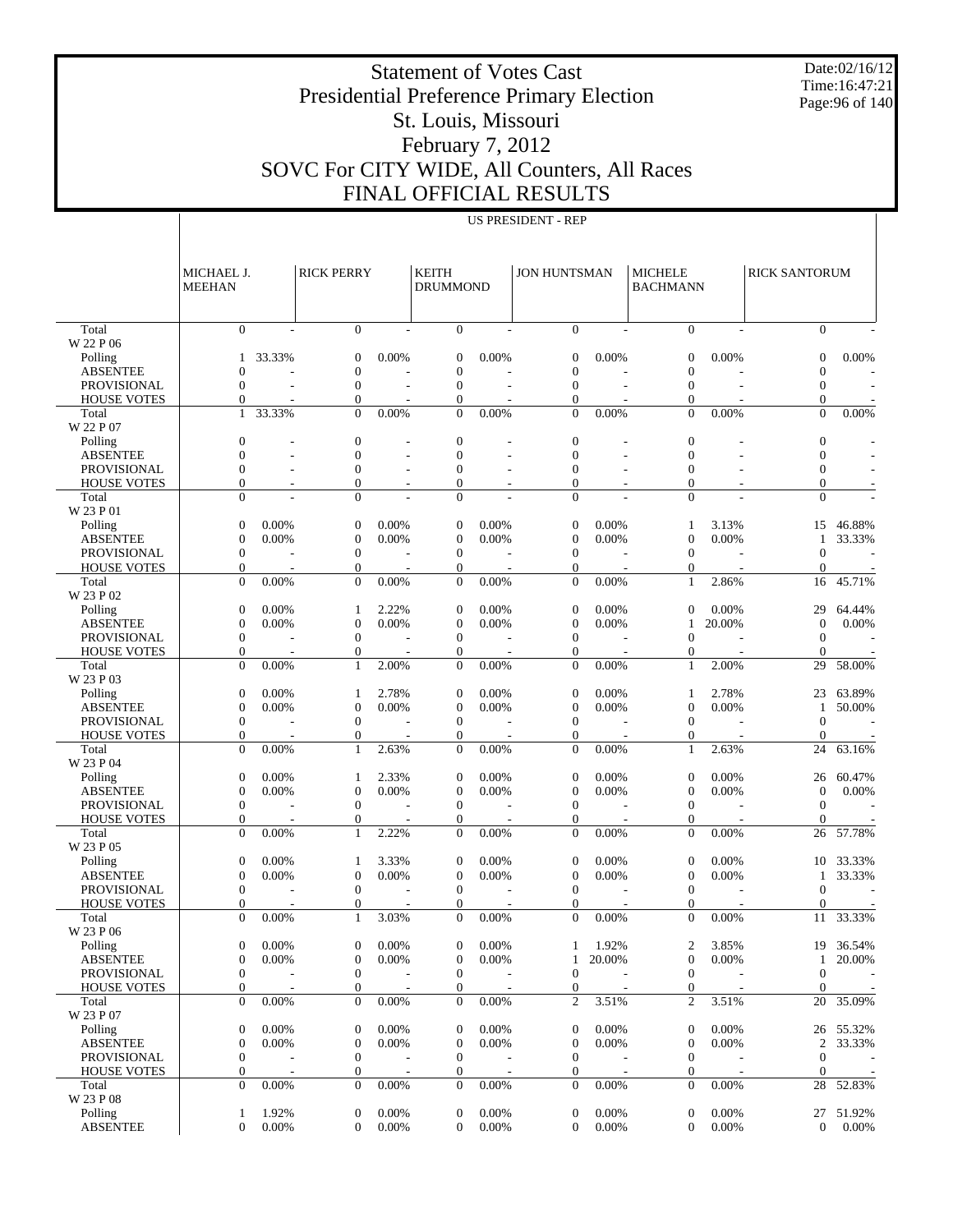Date:02/16/12 Time:16:47:21 Page:96 of 140

# Presidential Preference Primary Election St. Louis, Missouri

Statement of Votes Cast

## February 7, 2012 SOVC For CITY WIDE, All Counters, All Races FINAL OFFICIAL RESULTS

|                    | MICHAEL J.<br><b>MEEHAN</b>          |                                   | <b>RICK PERRY</b>          |                          | <b>KEITH</b><br><b>DRUMMOND</b>    |       | <b>JON HUNTSMAN</b>              |        | <b>MICHELE</b><br><b>BACHMANN</b> |        | <b>RICK SANTORUM</b>     |                          |
|--------------------|--------------------------------------|-----------------------------------|----------------------------|--------------------------|------------------------------------|-------|----------------------------------|--------|-----------------------------------|--------|--------------------------|--------------------------|
| Total              | $\mathbf{0}$                         |                                   | $\mathbf{0}$               |                          | $\mathbf{0}$                       |       | $\mathbf{0}$                     |        | $\mathbf{0}$                      | L.     | $\Omega$                 |                          |
| W 22 P 06          |                                      |                                   |                            |                          |                                    |       |                                  |        |                                   |        |                          |                          |
| Polling            | $\mathbf{1}$                         | 33.33%                            | $\overline{0}$             | 0.00%                    | $\theta$                           | 0.00% | $\mathbf{0}$                     | 0.00%  | $\overline{0}$                    | 0.00%  | $\mathbf{0}$             | 0.00%                    |
| <b>ABSENTEE</b>    | $\theta$                             |                                   | $\overline{0}$             |                          | $\overline{0}$                     |       | $\mathbf{0}$                     |        | $\overline{0}$                    |        | $\mathbf{0}$             |                          |
| <b>PROVISIONAL</b> | $\theta$                             |                                   | $\overline{0}$             |                          | $\theta$                           |       | $\mathbf{0}$                     |        | $\overline{0}$                    |        | $\overline{0}$           |                          |
| <b>HOUSE VOTES</b> | $\mathbf{0}$                         |                                   | $\overline{0}$<br>$\theta$ |                          | $\theta$<br>$\Omega$               |       | $\mathbf{0}$<br>$\overline{0}$   |        | $\mathbf{0}$<br>$\theta$          |        | $\mathbf{0}$<br>$\theta$ |                          |
| Total<br>W 22 P 07 | $\mathbf{1}$                         | 33.33%                            |                            | 0.00%                    |                                    | 0.00% |                                  | 0.00%  |                                   | 0.00%  |                          | 0.00%                    |
| Polling            | $\overline{0}$                       |                                   | $\boldsymbol{0}$           |                          | $\theta$                           |       | $\mathbf{0}$                     |        | $\overline{0}$                    |        | $\overline{0}$           |                          |
| <b>ABSENTEE</b>    | $\overline{0}$                       |                                   | $\overline{0}$             |                          | $\overline{0}$                     |       | $\mathbf{0}$                     |        | $\overline{0}$                    |        | $\theta$                 |                          |
| <b>PROVISIONAL</b> | $\theta$                             |                                   | $\overline{0}$             | $\overline{\phantom{a}}$ | $\theta$                           |       | $\mathbf{0}$                     |        | $\overline{0}$                    |        | $\mathbf{0}$             |                          |
| <b>HOUSE VOTES</b> | $\overline{0}$                       |                                   | $\overline{0}$             | $\overline{\phantom{a}}$ | $\mathbf{0}$                       |       | $\mathbf{0}$                     |        | $\overline{0}$                    |        | $\mathbf{0}$             |                          |
| Total<br>W 23 P 01 | $\theta$                             |                                   | $\overline{0}$             |                          | $\Omega$                           |       | $\Omega$                         |        | $\mathbf{0}$                      |        | $\overline{0}$           |                          |
| Polling            | $\mathbf{0}$                         | 0.00%                             | $\overline{0}$             | 0.00%                    | $\theta$                           | 0.00% | $\mathbf{0}$                     | 0.00%  | 1                                 | 3.13%  | 15                       | 46.88%                   |
| <b>ABSENTEE</b>    | $\overline{0}$                       | 0.00%                             | $\boldsymbol{0}$           | 0.00%                    | $\boldsymbol{0}$                   | 0.00% | $\mathbf{0}$                     | 0.00%  | $\mathbf{0}$                      | 0.00%  | 1                        | 33.33%                   |
| <b>PROVISIONAL</b> | $\boldsymbol{0}$                     |                                   | $\overline{0}$             | $\overline{\phantom{a}}$ | $\theta$                           |       | $\mathbf{0}$                     |        | $\overline{0}$                    |        | $\theta$                 | $\overline{\phantom{a}}$ |
| <b>HOUSE VOTES</b> | $\mathbf{0}$                         |                                   | $\mathbf{0}$               |                          | $\mathbf{0}$                       |       | $\mathbf{0}$                     |        | $\mathbf{0}$                      |        | $\theta$                 |                          |
| Total<br>W 23 P 02 | $\theta$                             | 0.00%                             | $\theta$                   | 0.00%                    | $\Omega$                           | 0.00% | $\Omega$                         | 0.00%  | $\mathbf{1}$                      | 2.86%  | 16                       | 45.71%                   |
| Polling            | $\mathbf{0}$                         | 0.00%                             | 1                          | 2.22%                    | $\theta$                           | 0.00% | $\mathbf{0}$                     | 0.00%  | $\overline{0}$                    | 0.00%  | 29                       | 64.44%                   |
| <b>ABSENTEE</b>    | $\boldsymbol{0}$                     | 0.00%                             | $\boldsymbol{0}$           | 0.00%                    | $\boldsymbol{0}$                   | 0.00% | $\mathbf{0}$                     | 0.00%  | 1                                 | 20.00% | $\mathbf{0}$             | 0.00%                    |
| <b>PROVISIONAL</b> | $\mathbf{0}$                         |                                   | $\overline{0}$             | $\overline{\phantom{a}}$ | $\mathbf{0}$                       |       | $\mathbf{0}$                     |        | $\overline{0}$                    |        | $\theta$                 |                          |
| <b>HOUSE VOTES</b> | $\mathbf{0}$                         |                                   | $\overline{0}$             |                          | $\mathbf{0}$                       |       | $\mathbf{0}$                     |        | $\overline{0}$                    |        | $\mathbf{0}$             |                          |
| Total              | $\mathbf{0}$                         | 0.00%                             | $\mathbf{1}$               | 2.00%                    | $\overline{0}$                     | 0.00% | $\mathbf{0}$                     | 0.00%  | $\mathbf{1}$                      | 2.00%  | 29                       | 58.00%                   |
| W 23 P 03          |                                      |                                   |                            |                          |                                    |       |                                  |        |                                   |        |                          |                          |
| Polling            | $\mathbf{0}$                         | 0.00%                             | 1                          | 2.78%                    | $\theta$                           | 0.00% | $\mathbf{0}$                     | 0.00%  | 1                                 | 2.78%  | 23                       | 63.89%                   |
| <b>ABSENTEE</b>    | $\boldsymbol{0}$                     | 0.00%                             | $\boldsymbol{0}$           | 0.00%                    | $\boldsymbol{0}$                   | 0.00% | $\mathbf{0}$                     | 0.00%  | $\theta$                          | 0.00%  | -1                       | 50.00%                   |
| <b>PROVISIONAL</b> | $\mathbf{0}$                         |                                   | $\overline{0}$             | $\sim$                   | $\mathbf{0}$                       |       | $\mathbf{0}$                     |        | $\overline{0}$                    |        | $\theta$                 | $\overline{\phantom{a}}$ |
| <b>HOUSE VOTES</b> | $\mathbf{0}$                         |                                   | $\boldsymbol{0}$           |                          | $\overline{0}$                     |       | $\mathbf{0}$                     |        | $\theta$                          |        | $\Omega$                 |                          |
| Total<br>W 23 P 04 | $\theta$                             | 0.00%                             | $\mathbf{1}$               | 2.63%                    | $\Omega$                           | 0.00% | $\Omega$                         | 0.00%  | $\mathbf{1}$                      | 2.63%  | 24                       | 63.16%                   |
| Polling            | $\boldsymbol{0}$                     | 0.00%                             | 1                          | 2.33%                    | $\theta$                           | 0.00% | $\mathbf{0}$                     | 0.00%  | $\theta$                          | 0.00%  | 26                       | 60.47%                   |
| <b>ABSENTEE</b>    | $\overline{0}$                       | 0.00%                             | $\boldsymbol{0}$           | 0.00%                    | $\mathbf{0}$                       | 0.00% | $\theta$                         | 0.00%  | $\mathbf{0}$                      | 0.00%  | $\theta$                 | 0.00%                    |
| <b>PROVISIONAL</b> | $\mathbf{0}$                         |                                   | $\overline{0}$             | $\sim$                   | $\mathbf{0}$                       |       | $\mathbf{0}$                     |        | $\theta$                          |        | $\mathbf{0}$             |                          |
| <b>HOUSE VOTES</b> | $\mathbf{0}$                         |                                   | $\mathbf{0}$               |                          | $\mathbf{0}$                       |       | $\mathbf{0}$                     |        | $\mathbf{0}$                      |        | $\mathbf{0}$             |                          |
| Total<br>W 23 P 05 | $\mathbf{0}$                         | 0.00%                             | $\mathbf{1}$               | 2.22%                    | $\mathbf{0}$                       | 0.00% | $\mathbf{0}$                     | 0.00%  | $\overline{0}$                    | 0.00%  | 26                       | 57.78%                   |
| Polling            | $\boldsymbol{0}$                     | 0.00%                             | 1                          | 3.33%                    | $\theta$                           | 0.00% | $\mathbf{0}$                     | 0.00%  | $\theta$                          | 0.00%  | 10                       | 33.33%                   |
| <b>ABSENTEE</b>    | $\boldsymbol{0}$                     | 0.00%                             | $\boldsymbol{0}$           | 0.00%                    | $\boldsymbol{0}$                   | 0.00% | $\mathbf{0}$                     | 0.00%  | $\mathbf{0}$                      | 0.00%  | -1                       | 33.33%                   |
| <b>PROVISIONAL</b> | $\mathbf{0}$                         |                                   | $\overline{0}$             | $\sim$                   | $\mathbf{0}$                       |       | $\mathbf{0}$                     |        | $\theta$                          |        | $\overline{0}$           | $\overline{a}$           |
| <b>HOUSE VOTES</b> | $\mathbf{0}$                         |                                   | $\mathbf{0}$               |                          | $\theta$                           |       | $\mathbf{0}$                     |        | $\Omega$                          |        | $\Omega$                 |                          |
| Total<br>W 23 P 06 | $\theta$                             | 0.00%                             | $\mathbf{1}$               | 3.03%                    | $\Omega$                           | 0.00% | $\Omega$                         | 0.00%  | $\theta$                          | 0.00%  | 11                       | 33.33%                   |
| Polling            | 0                                    | 0.00%                             | $\mathbf{0}$               | 0.00%                    | $\overline{0}$                     | 0.00% | 1                                | 1.92%  | 2                                 | 3.85%  |                          | 19 36.54%                |
| <b>ABSENTEE</b>    | $\boldsymbol{0}$                     | 0.00%                             | $\boldsymbol{0}$           | 0.00%                    | $\boldsymbol{0}$                   | 0.00% | 1                                | 20.00% | $\mathbf{0}$                      | 0.00%  | 1                        | 20.00%                   |
| PROVISIONAL        | $\mathbf{0}$                         |                                   | $\boldsymbol{0}$           |                          | $\mathbf{0}$                       |       | $\boldsymbol{0}$                 |        | $\overline{0}$                    |        | $\mathbf{0}$             |                          |
| <b>HOUSE VOTES</b> | $\boldsymbol{0}$                     |                                   | $\boldsymbol{0}$           |                          | $\overline{0}$                     |       | $\mathbf{0}$                     |        | $\mathbf{0}$                      |        | $\overline{0}$           |                          |
| Total              | $\boldsymbol{0}$                     | 0.00%                             | $\boldsymbol{0}$           | 0.00%                    | $\mathbf{0}$                       | 0.00% | $\overline{c}$                   | 3.51%  | $\mathfrak{2}$                    | 3.51%  |                          | 20 35.09%                |
| W 23 P 07          |                                      |                                   |                            |                          |                                    |       |                                  |        |                                   |        |                          |                          |
| Polling            | $\boldsymbol{0}$                     | 0.00%                             | $\boldsymbol{0}$           | 0.00%                    | $\boldsymbol{0}$                   | 0.00% | $\boldsymbol{0}$                 | 0.00%  | $\mathbf{0}$                      | 0.00%  |                          | 26 55.32%                |
| <b>ABSENTEE</b>    | $\boldsymbol{0}$                     | 0.00%                             | $\boldsymbol{0}$           | 0.00%                    | $\boldsymbol{0}$                   | 0.00% | $\boldsymbol{0}$                 | 0.00%  | $\mathbf{0}$                      | 0.00%  | $\overline{c}$           | 33.33%                   |
| PROVISIONAL        | $\boldsymbol{0}$                     |                                   | 0                          |                          | $\boldsymbol{0}$                   |       | $\mathbf{0}$                     |        | $\mathbf{0}$                      |        | $\boldsymbol{0}$         |                          |
| <b>HOUSE VOTES</b> | $\boldsymbol{0}$<br>$\boldsymbol{0}$ | $\overline{\phantom{a}}$<br>0.00% | 0<br>$\boldsymbol{0}$      | 0.00%                    | $\overline{0}$<br>$\boldsymbol{0}$ | 0.00% | $\mathbf{0}$<br>$\boldsymbol{0}$ | 0.00%  | $\mathbf{0}$<br>$\mathbf{0}$      | 0.00%  | $\overline{0}$           |                          |
| Total<br>W 23 P 08 |                                      |                                   |                            |                          |                                    |       |                                  |        |                                   |        |                          | 28 52.83%                |
| Polling            | 1                                    | 1.92%                             | $\boldsymbol{0}$           | 0.00%                    | $\mathbf{0}$                       | 0.00% | $\boldsymbol{0}$                 | 0.00%  | $\mathbf{0}$                      | 0.00%  |                          | 27 51.92%                |
| <b>ABSENTEE</b>    | $\boldsymbol{0}$                     | 0.00%                             | $\mathbf{0}$               | 0.00%                    | $\overline{0}$                     | 0.00% | $\mathbf{0}$                     | 0.00%  | $\mathbf{0}$                      | 0.00%  | $\overline{0}$           | $0.00\%$                 |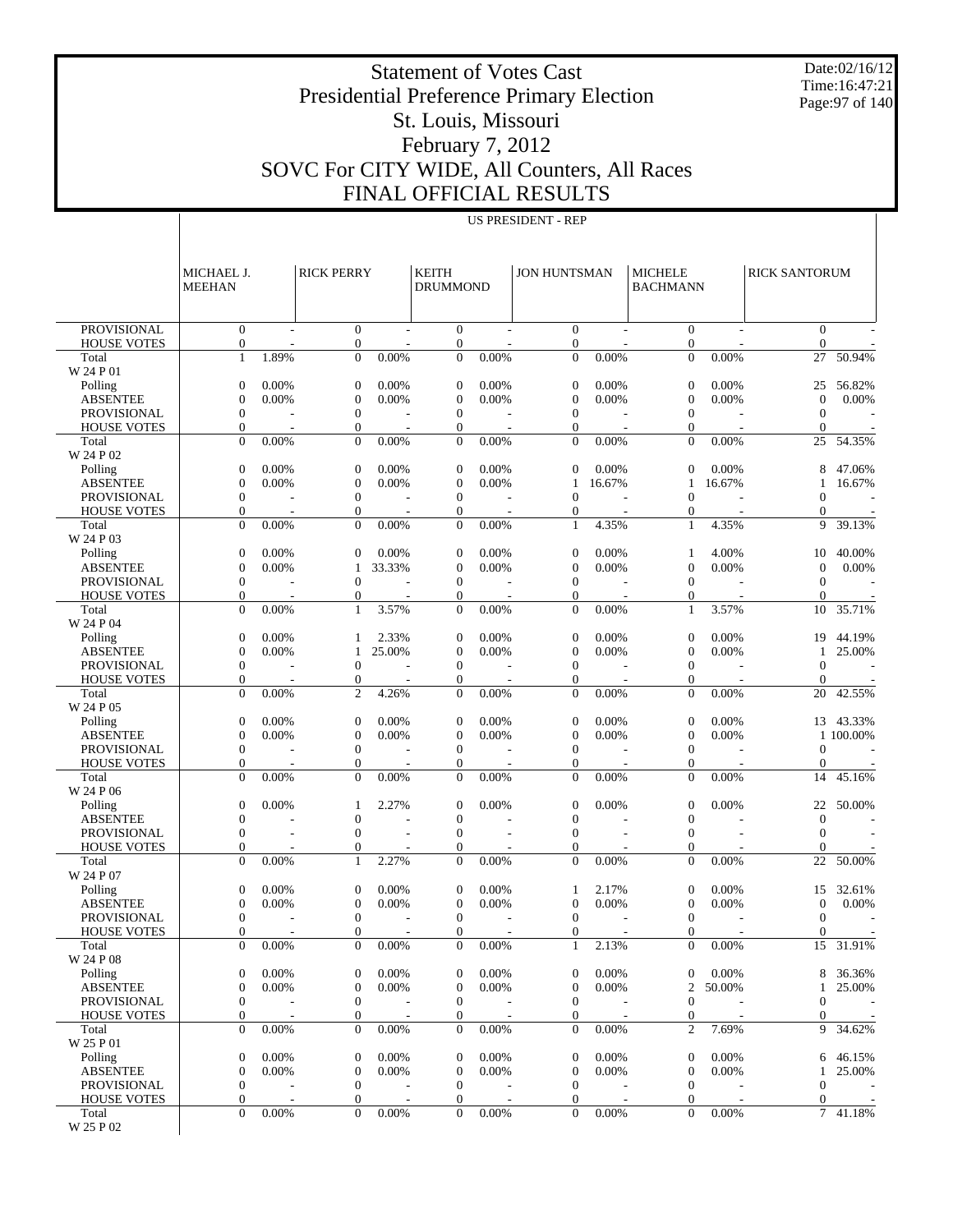Date:02/16/12 Time:16:47:21 Page:97 of 140

# Presidential Preference Primary Election St. Louis, Missouri

Statement of Votes Cast

#### February 7, 2012 SOVC For CITY WIDE, All Counters, All Races FINAL OFFICIAL RESULTS

MICHAEL J. MEEHAN

**RICK PERRY** 

|                                                          |                | OFFICIAL RESULTS          |                   |                                   |                |                      |                                |
|----------------------------------------------------------|----------------|---------------------------|-------------------|-----------------------------------|----------------|----------------------|--------------------------------|
|                                                          |                | <b>US PRESIDENT - REP</b> |                   |                                   |                |                      |                                |
| <b>KEITH</b><br><b>DRUMMOND</b>                          |                | <b>JON HUNTSMAN</b>       |                   | <b>MICHELE</b><br><b>BACHMANN</b> |                | <b>RICK SANTORUM</b> |                                |
| $\theta$                                                 |                | $\Omega$                  |                   | $\Omega$                          |                |                      |                                |
| 0                                                        |                | 0                         |                   |                                   |                |                      |                                |
| $\theta$                                                 | 0.00%          | $\Omega$                  | 0.00%             | $\theta$                          | 0.00%          | 27                   | 50.                            |
| $\Omega$<br>$\Omega$<br>$\theta$<br>$\Omega$<br>$\theta$ | 0.00%<br>0.00% | $\Omega$<br>0<br>0        | $0.00\%$<br>0.00% | $\Omega$<br>0<br>$\theta$         | 0.00%<br>0.00% | 25                   | 56.<br>$\overline{0}$ .<br>54. |
|                                                          | 0.00%          | $\Omega$                  | 0.00%             |                                   | 0.00%          | 25                   |                                |
|                                                          |                |                           |                   |                                   |                |                      |                                |

| <b>PROVISIONAL</b>                       | $\boldsymbol{0}$                   |                         | $\boldsymbol{0}$                   |          | $\mathbf{0}$                 |       | $\mathbf{0}$                   |        | $\mathbf{0}$                     | $\overline{\phantom{a}}$ | $\mathbf{0}$       |           |
|------------------------------------------|------------------------------------|-------------------------|------------------------------------|----------|------------------------------|-------|--------------------------------|--------|----------------------------------|--------------------------|--------------------|-----------|
| <b>HOUSE VOTES</b>                       | $\boldsymbol{0}$<br>$\mathbf{1}$   | 1.89%                   | $\overline{0}$<br>$\overline{0}$   | 0.00%    | $\mathbf{0}$<br>$\mathbf{0}$ | 0.00% | $\mathbf{0}$<br>$\overline{0}$ | 0.00%  | $\overline{0}$<br>$\overline{0}$ | 0.00%                    | $\mathbf{0}$<br>27 | 50.94%    |
| Total<br>W 24 P 01                       |                                    |                         |                                    |          |                              |       |                                |        |                                  |                          |                    |           |
| Polling                                  | $\mathbf{0}$                       | 0.00%                   | $\boldsymbol{0}$                   | 0.00%    | $\theta$                     | 0.00% | $\mathbf{0}$                   | 0.00%  | $\theta$                         | 0.00%                    | 25                 | 56.82%    |
| <b>ABSENTEE</b>                          | $\overline{0}$                     | 0.00%                   | $\overline{0}$                     | 0.00%    | $\mathbf{0}$                 | 0.00% | $\mathbf{0}$                   | 0.00%  | $\theta$                         | 0.00%                    | $\overline{0}$     | 0.00%     |
| <b>PROVISIONAL</b>                       | $\boldsymbol{0}$                   |                         | $\boldsymbol{0}$                   |          | $\mathbf{0}$                 |       | $\mathbf{0}$                   |        | $\theta$                         |                          | $\overline{0}$     |           |
| <b>HOUSE VOTES</b>                       | 0                                  |                         | $\mathbf{0}$                       |          | $\theta$                     |       | $\overline{0}$                 |        | $\mathbf{0}$                     |                          | $\theta$           |           |
| Total                                    | $\overline{0}$                     | 0.00%                   | $\overline{0}$                     | 0.00%    | $\theta$                     | 0.00% | $\Omega$                       | 0.00%  | $\overline{0}$                   | 0.00%                    | 25                 | 54.35%    |
| W 24 P 02                                |                                    |                         |                                    |          |                              |       |                                |        |                                  |                          |                    |           |
| Polling                                  | $\mathbf{0}$                       | 0.00%                   | $\boldsymbol{0}$                   | 0.00%    | $\theta$                     | 0.00% | $\mathbf{0}$                   | 0.00%  | $\overline{0}$                   | 0.00%                    | 8                  | 47.06%    |
| <b>ABSENTEE</b>                          | $\overline{0}$                     | 0.00%                   | $\overline{0}$                     | 0.00%    | $\theta$                     | 0.00% | 1                              | 16.67% | 1                                | 16.67%                   | 1                  | 16.67%    |
| <b>PROVISIONAL</b>                       | $\boldsymbol{0}$                   |                         | $\boldsymbol{0}$                   |          | $\mathbf{0}$                 |       | $\mathbf{0}$                   |        | $\overline{0}$                   |                          | $\Omega$           |           |
| <b>HOUSE VOTES</b>                       | $\mathbf{0}$<br>$\overline{0}$     | $\overline{a}$<br>0.00% | $\mathbf{0}$                       | 0.00%    | $\theta$                     | 0.00% | $\overline{0}$                 |        | $\mathbf{0}$                     |                          | $\mathbf{0}$       | 39.13%    |
| Total<br>W 24 P 03                       |                                    |                         | $\overline{0}$                     |          | $\mathbf{0}$                 |       | 1                              | 4.35%  | 1                                | 4.35%                    | 9                  |           |
| Polling                                  | $\boldsymbol{0}$                   | 0.00%                   | $\overline{0}$                     | 0.00%    | $\theta$                     | 0.00% | $\mathbf{0}$                   | 0.00%  | 1                                | 4.00%                    | 10                 | 40.00%    |
| <b>ABSENTEE</b>                          | $\overline{0}$                     | 0.00%                   | 1                                  | 33.33%   | $\mathbf{0}$                 | 0.00% | $\mathbf{0}$                   | 0.00%  | $\overline{0}$                   | 0.00%                    | $\mathbf{0}$       | 0.00%     |
| <b>PROVISIONAL</b>                       | $\boldsymbol{0}$                   |                         | $\overline{0}$                     |          | $\mathbf{0}$                 |       | $\boldsymbol{0}$               |        | $\theta$                         |                          | $\overline{0}$     |           |
| <b>HOUSE VOTES</b>                       | $\overline{0}$                     |                         | $\overline{0}$                     |          | $\theta$                     |       | $\overline{0}$                 |        | $\mathbf{0}$                     |                          | $\mathbf{0}$       |           |
| Total                                    | $\theta$                           | 0.00%                   | 1                                  | 3.57%    | $\theta$                     | 0.00% | $\mathbf{0}$                   | 0.00%  | 1                                | 3.57%                    | 10                 | 35.71%    |
| W 24 P 04                                |                                    |                         |                                    |          |                              |       |                                |        |                                  |                          |                    |           |
| Polling                                  | $\boldsymbol{0}$                   | 0.00%                   | 1                                  | 2.33%    | $\theta$                     | 0.00% | $\mathbf{0}$                   | 0.00%  | $\overline{0}$                   | 0.00%                    | 19                 | 44.19%    |
| <b>ABSENTEE</b>                          | $\overline{0}$                     | 0.00%                   | 1                                  | 25.00%   | $\theta$                     | 0.00% | $\mathbf{0}$                   | 0.00%  | $\theta$                         | 0.00%                    | 1                  | 25.00%    |
| <b>PROVISIONAL</b>                       | $\boldsymbol{0}$                   |                         | $\overline{0}$                     |          | $\mathbf{0}$                 |       | $\mathbf{0}$                   |        | $\theta$                         |                          | $\Omega$           |           |
| <b>HOUSE VOTES</b>                       | $\mathbf{0}$                       | ÷,                      | $\overline{0}$                     |          | $\theta$                     |       | $\mathbf{0}$                   |        | $\mathbf{0}$                     |                          | $\Omega$           |           |
| Total                                    | $\mathbf{0}$                       | 0.00%                   | $\overline{c}$                     | 4.26%    | $\mathbf{0}$                 | 0.00% | $\mathbf{0}$                   | 0.00%  | $\overline{0}$                   | 0.00%                    | 20                 | 42.55%    |
| W 24 P 05                                |                                    |                         |                                    |          |                              |       |                                |        |                                  |                          |                    |           |
| Polling                                  | $\boldsymbol{0}$                   | 0.00%                   | $\boldsymbol{0}$                   | 0.00%    | $\theta$                     | 0.00% | $\mathbf{0}$                   | 0.00%  | $\theta$                         | 0.00%                    | 13                 | 43.33%    |
| <b>ABSENTEE</b>                          | $\overline{0}$<br>$\boldsymbol{0}$ | 0.00%                   | $\overline{0}$<br>$\boldsymbol{0}$ | 0.00%    | $\theta$<br>$\theta$         | 0.00% | $\mathbf{0}$<br>$\mathbf{0}$   | 0.00%  | $\theta$<br>$\theta$             | 0.00%                    | $\Omega$           | 1 100.00% |
| <b>PROVISIONAL</b><br><b>HOUSE VOTES</b> | 0                                  |                         | $\overline{0}$                     |          | $\theta$                     |       | $\overline{0}$                 |        | $\mathbf{0}$                     |                          | $\mathbf{0}$       |           |
| Total                                    | $\overline{0}$                     | 0.00%                   | $\Omega$                           | 0.00%    | $\theta$                     | 0.00% | $\mathbf{0}$                   | 0.00%  | $\overline{0}$                   | 0.00%                    | 14                 | 45.16%    |
| W 24 P 06                                |                                    |                         |                                    |          |                              |       |                                |        |                                  |                          |                    |           |
| Polling                                  | $\mathbf{0}$                       | 0.00%                   | 1                                  | 2.27%    | $\theta$                     | 0.00% | $\mathbf{0}$                   | 0.00%  | $\overline{0}$                   | 0.00%                    | 22                 | 50.00%    |
| <b>ABSENTEE</b>                          | $\overline{0}$                     |                         | $\overline{0}$                     |          | $\theta$                     |       | $\mathbf{0}$                   |        | $\overline{0}$                   |                          | $\theta$           |           |
| PROVISIONAL                              | $\overline{0}$                     |                         | $\overline{0}$                     |          | $\theta$                     |       | $\mathbf{0}$                   |        | $\overline{0}$                   |                          | $\Omega$           |           |
| <b>HOUSE VOTES</b>                       | $\overline{0}$                     |                         | $\overline{0}$                     |          | $\theta$                     |       | $\mathbf{0}$                   |        | 0                                |                          | $\Omega$           |           |
| Total                                    | $\overline{0}$                     | 0.00%                   | 1                                  | 2.27%    | $\theta$                     | 0.00% | $\mathbf{0}$                   | 0.00%  | $\overline{0}$                   | 0.00%                    | 22                 | 50.00%    |
| W 24 P 07                                |                                    |                         |                                    |          |                              |       |                                |        |                                  |                          |                    |           |
| Polling                                  | $\boldsymbol{0}$                   | 0.00%                   | $\boldsymbol{0}$                   | 0.00%    | $\theta$                     | 0.00% | 1                              | 2.17%  | $\theta$                         | 0.00%                    | 15                 | 32.61%    |
| <b>ABSENTEE</b>                          | $\overline{0}$                     | 0.00%                   | $\overline{0}$                     | 0.00%    | $\theta$                     | 0.00% | $\mathbf{0}$                   | 0.00%  | $\overline{0}$                   | 0.00%                    | $\overline{0}$     | 0.00%     |
| <b>PROVISIONAL</b>                       | $\boldsymbol{0}$                   |                         | $\boldsymbol{0}$                   |          | $\theta$                     |       | $\theta$                       |        | $\theta$                         |                          | $\overline{0}$     |           |
| <b>HOUSE VOTES</b><br>Total              | 0<br>$\mathbf{0}$                  | 0.00%                   | $\overline{0}$<br>$\Omega$         | 0.00%    | $\theta$<br>$\theta$         | 0.00% | $\mathbf{0}$<br>1              | 2.13%  | 0<br>$\overline{0}$              | 0.00%                    | $\mathbf{0}$<br>15 | 31.91%    |
| W 24 P 08                                |                                    |                         |                                    |          |                              |       |                                |        |                                  |                          |                    |           |
| Polling                                  | 0                                  | 0.00%                   | $\overline{0}$                     | 0.00%    | $\theta$                     | 0.00% | $\mathbf{0}$                   | 0.00%  | $\overline{0}$                   | 0.00%                    | 8                  | 36.36%    |
| <b>ABSENTEE</b>                          | $\mathbf{0}$                       | 0.00%                   | $\overline{0}$                     | 0.00%    | $\overline{0}$               | 0.00% | $\mathbf{0}$                   | 0.00%  | $\overline{c}$                   | 50.00%                   | 1                  | 25.00%    |
| PROVISIONAL                              | $\boldsymbol{0}$                   |                         | $\boldsymbol{0}$                   |          | $\mathbf{0}$                 |       | $\boldsymbol{0}$               |        | 0                                |                          | 0                  |           |
| <b>HOUSE VOTES</b>                       | 0                                  |                         | 0                                  |          | 0                            |       | $\overline{0}$                 |        | $\boldsymbol{0}$                 |                          | $\overline{0}$     |           |
| Total                                    | $\overline{0}$                     | 0.00%                   | $\overline{0}$                     | $0.00\%$ | $\overline{0}$               | 0.00% | $\overline{0}$                 | 0.00%  | $\overline{c}$                   | 7.69%                    |                    | 9 34.62%  |
| W 25 P 01                                |                                    |                         |                                    |          |                              |       |                                |        |                                  |                          |                    |           |
| Polling                                  | $\boldsymbol{0}$                   | 0.00%                   | $\boldsymbol{0}$                   | 0.00%    | $\mathbf{0}$                 | 0.00% | $\boldsymbol{0}$               | 0.00%  | $\mathbf 0$                      | 0.00%                    | 6                  | 46.15%    |
| <b>ABSENTEE</b>                          | $\boldsymbol{0}$                   | 0.00%                   | $\boldsymbol{0}$                   | 0.00%    | $\boldsymbol{0}$             | 0.00% | $\boldsymbol{0}$               | 0.00%  | $\theta$                         | 0.00%                    | 1                  | 25.00%    |
| PROVISIONAL                              | $\boldsymbol{0}$                   |                         | 0                                  |          | $\mathbf{0}$                 |       | $\mathbf{0}$                   |        | $\mathbf 0$                      |                          | $\theta$           |           |
| <b>HOUSE VOTES</b>                       | $\boldsymbol{0}$                   |                         | 0                                  |          | $\mathbf{0}$                 |       | $\mathbf{0}$                   |        | $\mathbf{0}$                     |                          | $\overline{0}$     |           |
| Total                                    | $\boldsymbol{0}$                   | 0.00%                   | $\boldsymbol{0}$                   | 0.00%    | $\overline{0}$               | 0.00% | $\overline{0}$                 | 0.00%  | $\mathbf{0}$                     | $0.00\%$                 | $7\phantom{.0}$    | 41.18%    |
| W 25 P 02                                |                                    |                         |                                    |          |                              |       |                                |        |                                  |                          |                    |           |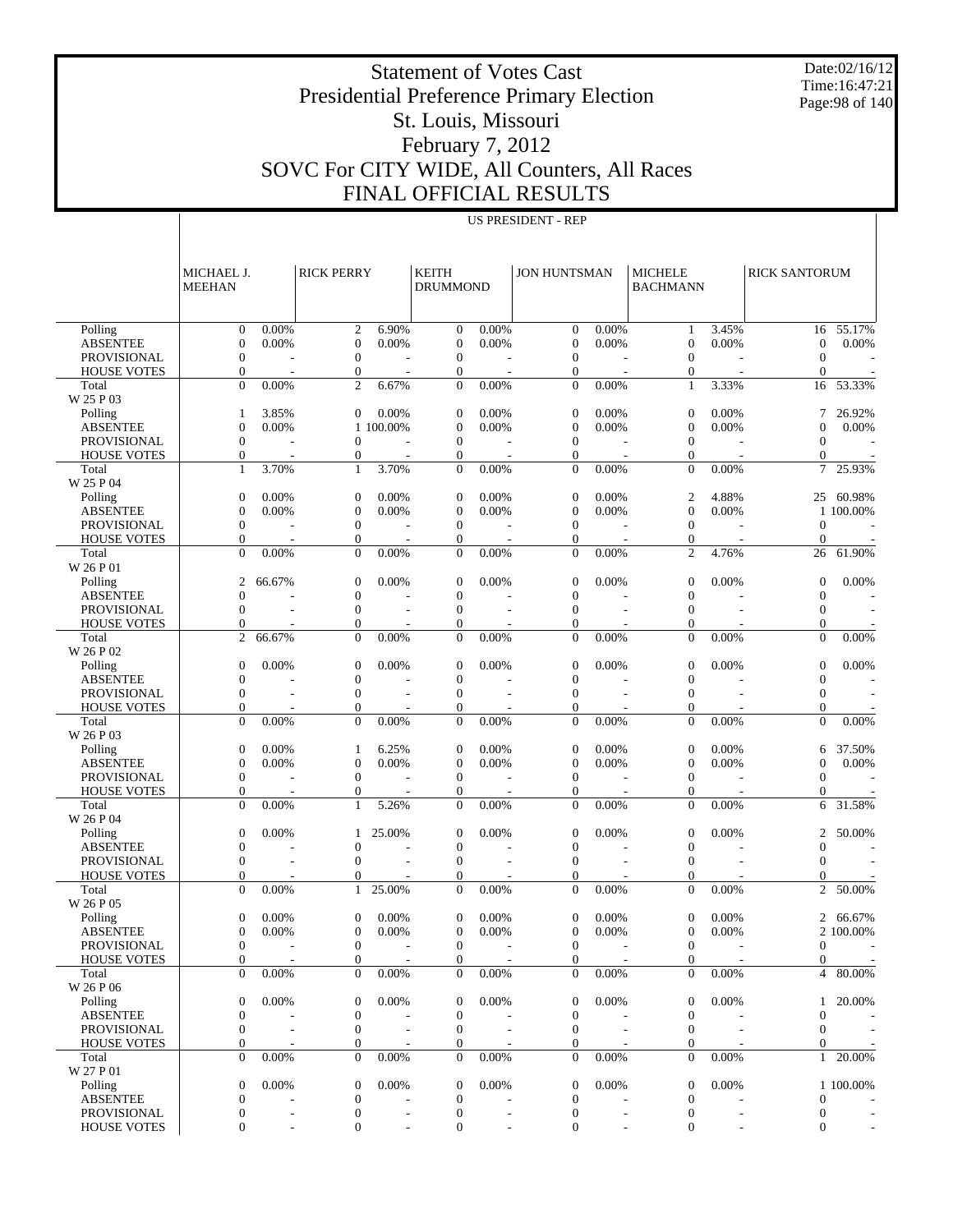Date:02/16/12 Time:16:47:21 Page:98 of 140

#### Presidential Preference Primary Election St. Louis, Missouri February 7, 2012 SOVC For CITY WIDE, All Counters, All Races FINAL OFFICIAL RESULTS

US PRESIDENT - REP

Statement of Votes Cast

 Polling ABSENTEE PROVISIONAL HOUSE VOTES Total W 25 P 03 Polling ABSENTEE PROVISIONAL HOUSE VOTES Total W 25 P 04 Polling ABSENTEE PROVISIONAL HOUSE VOTES Total W 26 P 01 Polling ABSENTEE PROVISIONAL HOUSE VOTES Total W 26 P 02 Polling ABSENTEE PROVISIONAL HOUSE VOTES Total W 26 P 03 Polling ABSENTEE PROVISIONAL HOUSE VOTES Total W 26 P 04 Polling ABSENTEE PROVISIONAL HOUSE VOTES Total W 26 P 05 Polling ABSENTEE PROVISIONAL HOUSE VOTES Total W 26 P 06 Polling ABSENTEE PROVISIONAL HOUSE VOTES Total W 27 P 01 Polling ABSENTEE PROVISIONAL HOUSE VOTES MICHAEL J. MEEHAN RICK PERRY KEITH DRUMMOND JON HUNTSMAN | MICHELE BACHMANN RICK SANTORUM 0 0.00% 2 6.90% 0 0.00% 0 0.00% 1 3.45% 16 55.17%  $0 \t 0.00\%$  0 0.00% 0 0.00% 0 0.00% 0 0.00% 0 0.00% 0 0.00% 0 0.00% 0 0.00% 0 0.00% 0 0.00% 0 0.00% 0 0.00% 0 0.00% 0 0.00% 0 0.00% 0 0.00% 0 0.00% 0 0.00% 0 0.00% 0 0.00% 0 0.00% 0 0.00% 0 0.00% 0 0.00% 0 0.00% 0 0.00%  $0$  - 0 - 0 - 0 - 0 - 0 - 0  $0$  - 0 - 0 - 0 - 0 - 0 - 0 0 0.00% 2 6.67% 0 0.00% 0 0.00% 1 3.33% 16 53.33% 1 3.85% 0 0.00% 0 0.00% 0 0.00% 0 0.00% 7 26.92%  $0 \t 0.00\%$  1 100.00% 0 0.00% 0 0.00% 0 0.00% 0 0.00% 0 0.00% 0 0.00% 0 0.00% 0 0.00% 0 0.00% 0 0.00% 0 0.00% 0 0.00% 0 0.00% 0 0.00% 0 0.00% 0 0.00% 0 0.00% 0 0.00% 0 0.00% 0 0.00% 0 0.00% 0 0.00% 0 0.00% 0 0.00% 0 0.00  $0$  - 0 - 0 - 0 - 0 - 0 - 0  $0$  - 0 - 0 - 0 - 0 - 0 - 0 1 3.70% 1 3.70% 0 0.00% 0 0.00% 0 0.00% 7 25.93%  $0 \t 0.00\%$  0 0.00% 0 0.00% 0 0.00% 2 4.88% 25 60.98%  $0 \t 0.00\%$  0 0.00% 0 0.00% 0 0.00% 0 0.00% 1 100.00%  $0$  - 0 - 0 - 0 - 0 - 0 - 0  $0$  - 0 - 0 - 0 - 0 - 0 - 0 0 0.00% 0 0.00% 0 0.00% 0 0.00% 2 4.76% 26 61.90% 2 66.67% 0 0.00% 0 0.00% 0 0.00% 0 0.00% 0 0.00%  $0$  - 0 - 0 - 0 - 0 - 0 - 0  $0$  - 0 - 0 - 0 - 0 - 0 - 0  $0$  - 0 - 0 - 0 - 0 - 0 - 0 2 66.67% 0 0.00% 0 0.00% 0 0.00% 0 0.00% 0 0.00%  $0 \t 0.00\%$  0 0.00% 0 0.00% 0 0.00% 0 0.00% 0 0.00% 0 0.00% 0 0.00% 0 0.00% 0 0.00% 0 0.00% 0 0.00% 0 0.00% 0 0.00% 0 0.00% 0 0.00% 0 0.00% 0 0.00% 0 0.00% 0 0.00% 0 0.00% 0 0.00% 0 0.00% 0 0.00% 0 0.00% 0 0.00% 0 0.00%  $0$  - 0 - 0 - 0 - 0 - 0 - 0  $0$  - 0 - 0 - 0 - 0 - 0 - 0  $0$  - 0 - 0 - 0 - 0 - 0 - 0  $0 \t 0.00\%$  0 0.00% 0 0.00% 0 0.00% 0 0.00% 0 0.00% 0 0.00% 0 0.00% 0 0.00% 0 0.00% 0 0.00% 0 0.00% 0 0.00% 0 0.00% 0 0.00% 0 0.00% 0 0.00% 0 0.00% 0 0.00% 0 0.00% 0 0.00% 0 0.00% 0 0.00% 0 0.00% 0 0.00% 0 0.00% 0 0.00% 0 0.00% 1 6.25% 0 0.00% 0 0.00% 0 0.00% 6 37.50%  $0 \t 0.00\%$  0 0.00% 0 0.00% 0 0.00% 0 0.00% 0 0.00% 0 0.00% 0 0.00% 0 0.00% 0 0.00% 0 0.00% 0 0.00% 0 0.00% 0 0.00% 0 0.00% 0 0.00% 0 0.00% 0 0.00% 0 0.00% 0 0.00% 0 0.00% 0 0.00% 0 0.00% 0 0.00% 0 0.00% 0 0.00% 0 0.00%  $0$  - 0 - 0 - 0 - 0 - 0 - 0  $0$  - 0 - 0 - 0 - 0 - 0 - 0 0 0.00% 1 5.26% 0 0.00% 0 0.00% 0 0.00% 6 31.58%  $0 \t 0.00\%$  1 25.00% 0 0.00% 0 0.00% 0 0.00% 2 50.00%  $0$  - 0 - 0 - 0 - 0 - 0 - 0  $0$  - 0 - 0 - 0 - 0 - 0 - 0  $0$  - 0 - 0 - 0 - 0 - 0 - 0  $0 \t 0.00\%$  1 25.00% 0 0.00% 0 0.00% 0 0.00% 2 50.00%  $0 \t 0.00\%$  0 0.00% 0 0.00% 0 0.00% 0 0.00% 2 66.67%  $0 \quad 0.00\%$  0 0.00% 0 0.00% 0 0.00% 0 0.00% 2 100.00%  $0$  - 0 - 0 - 0 - 0 - 0 - 0  $0$  - 0 - 0 - 0 - 0 - 0 - 0  $0 \t 0.00\%$  0 0.00% 0 0.00% 0 0.00% 0 0.00% 4 80.00%  $0 \t 0.00\%$  0 0.00% 0 0.00% 0 0.00% 0 0.00% 1 20.00%  $0$  - 0 - 0 - 0 - 0 - 0 - 0  $0$  - 0 - 0 - 0 - 0 - 0 - 0  $0$  - 0 - 0 - 0 - 0 - 0 - 0  $0 \t 0.00\%$  0 0.00% 0 0.00% 0 0.00% 0 0.00% 1 20.00%  $0 \t 0.00\%$  0 0.00% 0 0.00% 0 0.00% 0 0.00% 1 100.00%  $0$  - 0 - 0 - 0 - 0 - 0 - 0  $0$  - 0 - 0 - 0 - 0 - 0 - 0  $0$  - 0 - 0 - 0 - 0 - 0 - 0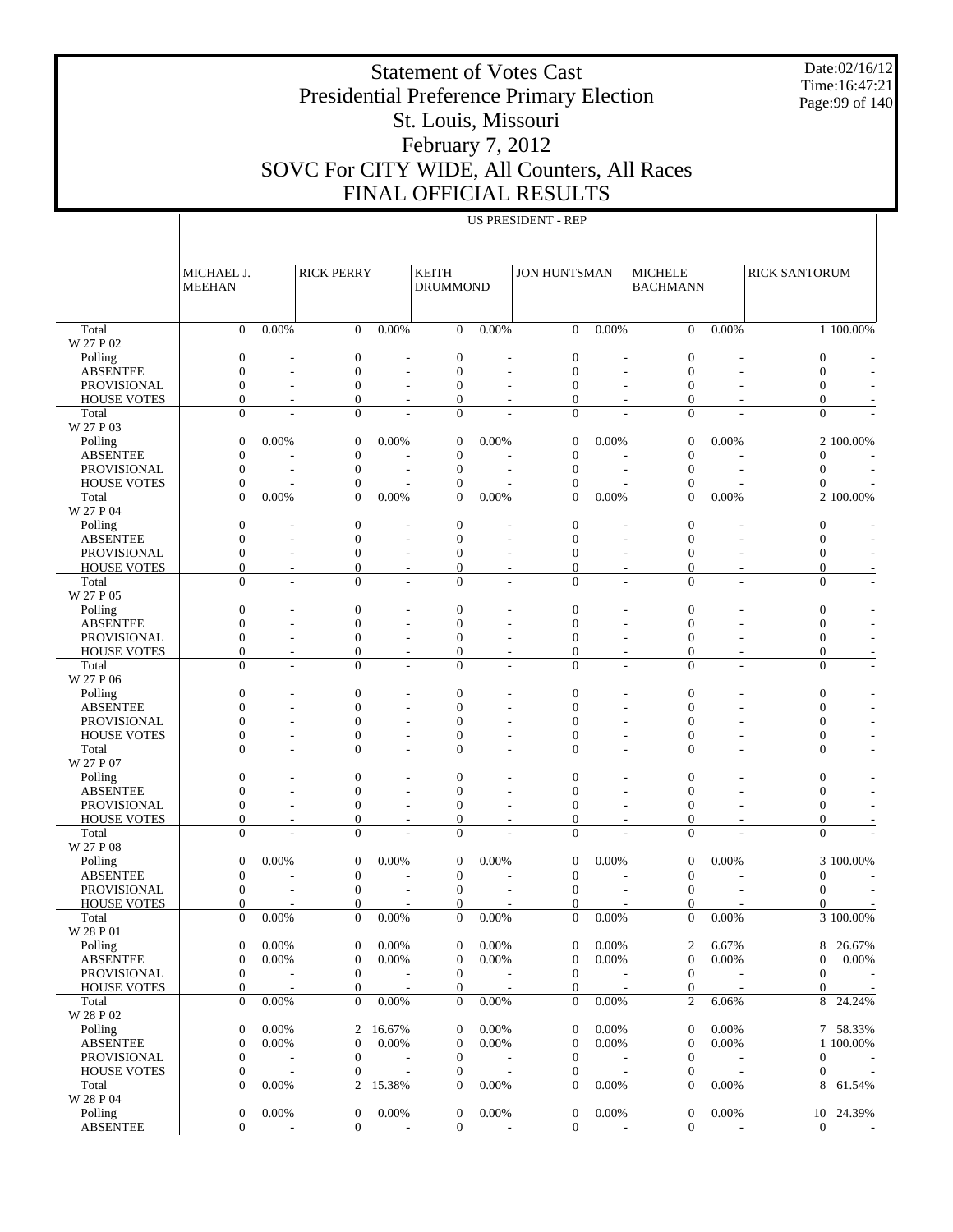Statement of Votes Cast Presidential Preference Primary Election

Date:02/16/12 Time:16:47:21 Page:99 of 140

#### St. Louis, Missouri February 7, 2012

## SOVC For CITY WIDE, All Counters, All Races FINAL OFFICIAL RESULTS

US PRESIDENT - REP

#### Total W 27 P 02 Polling ABSENTEE PROVISIONAL HOUSE VOTES Total W 27 P 03 Polling ABSENTEE PROVISIONAL HOUSE VOTES Total W 27 P 04 Polling ABSENTEE PROVISIONAL HOUSE VOTES Total W 27 P 05 Polling ABSENTEE PROVISIONAL HOUSE VOTES Total W 27 P 06 Polling ABSENTEE PROVISIONAL HOUSE VOTES Total W 27 P 07 Polling ABSENTEE PROVISIONAL HOUSE VOTES Total W 27 P 08 Polling ABSENTEE PROVISIONAL HOUSE VOTES Total W 28 P 01 Polling ABSENTEE PROVISIONAL HOUSE VOTES Total W 28 P 02 Polling ABSENTEE PROVISIONAL HOUSE VOTES Total W 28 P 04 Polling ABSENTEE MICHAEL J. MEEHAN RICK PERRY KEITH DRUMMOND JON HUNTSMAN | MICHELE BACHMANN RICK SANTORUM  $0 \t 0.00\%$  0 0.00% 0 0.00% 0 0.00% 0 0.00% 1 100.00%  $0$  - 0 - 0 - 0 - 0 - 0 - 0  $0$  - 0 - 0 - 0 - 0 - 0 - 0  $0$  - 0 - 0 - 0 - 0 - 0 - 0  $0$  - 0 - 0 - 0 - 0 - 0 - 0  $0$  - 0 - 0 - 0 - 0 - 0 - 0  $0 \quad 0.00\%$  0 0.00% 0 0.00% 0 0.00% 0 0.00% 2 100.00%  $0$  - 0 - 0 - 0 - 0 - 0 - 0  $0$  - 0 - 0 - 0 - 0 - 0 - 0  $0$  - 0 - 0 - 0 - 0 - 0 - 0  $0 \quad 0.00\%$  0 0.00% 0 0.00% 0 0.00% 0 0.00% 2 100.00%  $0$  - 0 - 0 - 0 - 0 - 0 - 0  $0$  - 0 - 0 - 0 - 0 - 0 - 0  $0$  - 0 - 0 - 0 - 0 - 0 - 0  $0$  - 0 - 0 - 0 - 0 - 0 - 0  $0$  - 0 - 0 - 0 - 0 - 0 - 0  $0$  - 0 - 0 - 0 - 0 - 0 - 0  $0$  - 0 - 0 - 0 - 0 - 0 - 0  $0$  - 0 - 0 - 0 - 0 - 0 - 0  $0$  - 0 - 0 - 0 - 0 - 0 - 0  $0$  - 0 - 0 - 0 - 0 - 0 - 0  $0$  - 0 - 0 - 0 - 0 - 0 - 0  $0$  - 0 - 0 - 0 - 0 - 0 - 0  $0$  - 0 - 0 - 0 - 0 - 0 - 0  $0$  - 0 - 0 - 0 - 0 - 0 - 0  $0$  - 0 - 0 - 0 - 0 - 0 - 0  $0$  - 0 - 0 - 0 - 0 - 0 - 0  $0$  - 0 - 0 - 0 - 0 - 0 - 0  $0$  - 0 - 0 - 0 - 0 - 0 - 0  $0$  - 0 - 0 - 0 - 0 - 0 - 0  $0$  - 0 - 0 - 0 - 0 - 0 - 0  $0 \t 0.00\%$  0 0.00% 0 0.00% 0 0.00% 0 0.00% 3 100.00%  $0$  - 0 - 0 - 0 - 0 - 0 - 0  $0$  - 0 - 0 - 0 - 0 - 0 - 0  $0$  - 0 - 0 - 0 - 0 - 0 - 0  $0 \t 0.00\%$  0 0.00% 0 0.00% 0 0.00% 0 0.00% 3 100.00%  $0 \t 0.00\%$  0 0.00% 0 0.00% 0 0.00% 2 6.67% 8 26.67%  $0 \t 0.00\%$  0 0.00% 0 0.00% 0 0.00% 0 0.00% 0 0.00% 0 0.00% 0 0.00% 0 0.00% 0 0.00% 0 0.00% 0 0.00% 0 0.00% 0 0.00% 0 0.00% 0 0.00% 0 0.00% 0 0.00% 0 0.00% 0 0.00% 0 0.00% 0 0.00% 0 0.00% 0 0.00% 0 0.00% 0 0.00% 0 0.00%  $0$  - 0 - 0 - 0 - 0 - 0 - 0  $0$  - 0 - 0 - 0 - 0 - 0 - 0 0 0.00% 0 0.00% 0 0.00% 0 0.00% 2 6.06% 8 24.24%  $0 \t 0.00\%$  2 16.67% 0 0.00% 0 0.00% 0 0.00% 7 58.33%  $0 \t 0.00\%$  0 0.00% 0 0.00% 0 0.00% 0 0.00% 1 100.00%  $0$  - 0 - 0 - 0 - 0 - 0 - 0  $0$  - 0 - 0 - 0 - 0 - 0 - 0  $0 \t 0.00\%$  2 15.38% 0 0.00% 0 0.00% 0 0.00% 8 61.54% 0 0.00% 0 0.00% 0 0.00% 0 0.00% 0 0.00% 10 24.39%  $0$  - 0 - 0 - 0 - 0 - 0 - 0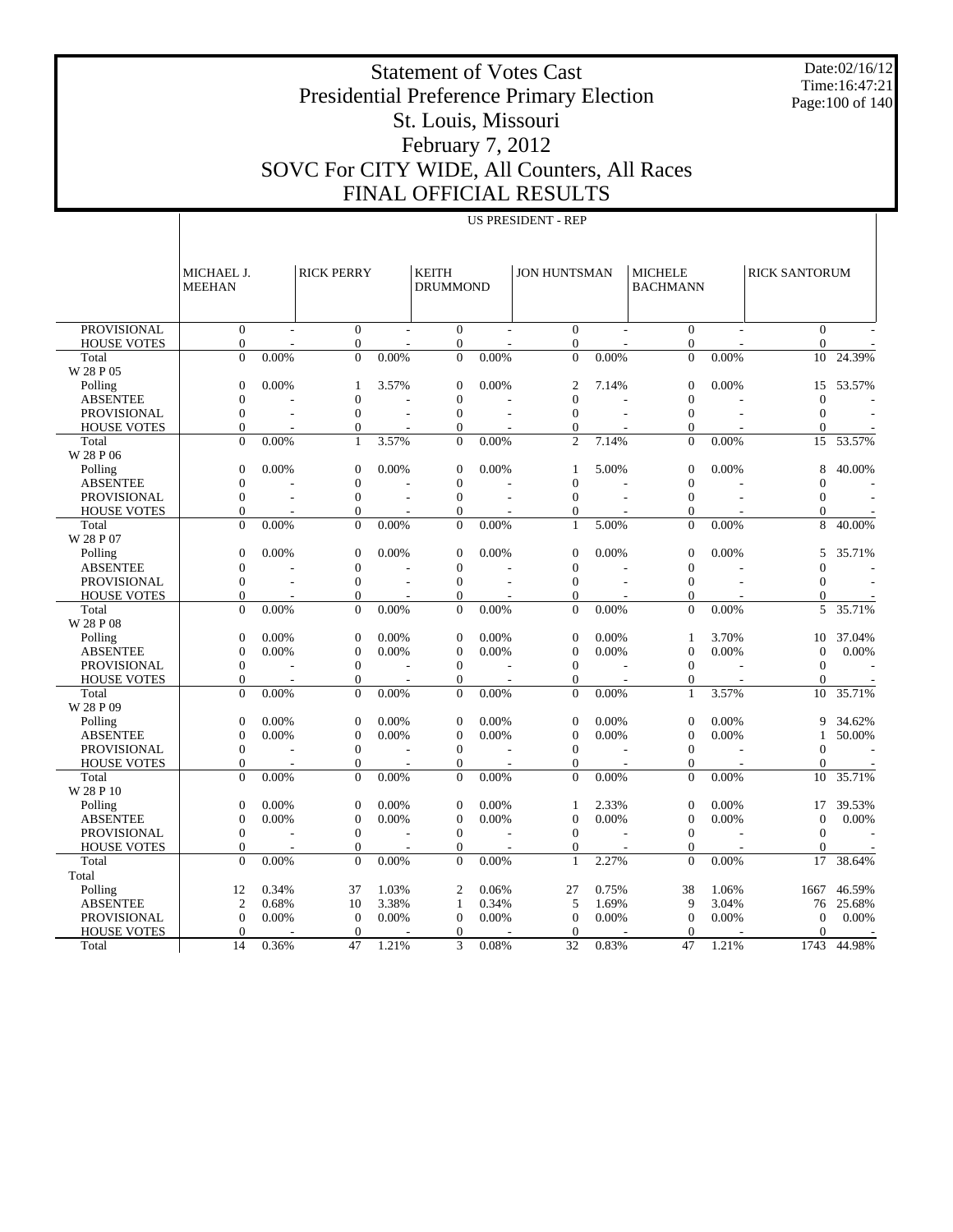Statement of Votes Cast Presidential Preference Primary Election St. Louis, Missouri February 7, 2012

Date:02/16/12 Time:16:47:21 Page:100 of 140

## SOVC For CITY WIDE, All Counters, All Races FINAL OFFICIAL RESULTS

 Total W 28 P 05 Polling

 Total W 28 P 06 Polling

 Total W 28 P 07 Polling

 Total W 28 P 08 Polling

 Total W 28 P 09 Polling

HOUSE<sup>'</sup> Total W 28 P 10 Polling

HOUSE Total Total Polling

> PROVISIONAL HOUSE VOTES Total

|                             |                             |       |                   |       |                                 |                | US PRESIDENT - REP           |       |                                   |          |                              |           |
|-----------------------------|-----------------------------|-------|-------------------|-------|---------------------------------|----------------|------------------------------|-------|-----------------------------------|----------|------------------------------|-----------|
|                             | MICHAEL J.<br><b>MEEHAN</b> |       | <b>RICK PERRY</b> |       | <b>KEITH</b><br><b>DRUMMOND</b> |                | <b>JON HUNTSMAN</b>          |       | <b>MICHELE</b><br><b>BACHMANN</b> |          | <b>RICK SANTORUM</b>         |           |
| <b>PROVISIONAL</b>          | $\mathbf{0}$                |       | $\boldsymbol{0}$  |       | $\mathbf{0}$                    |                |                              |       | $\mathbf{0}$                      |          |                              |           |
|                             | $\mathbf{0}$                |       | $\boldsymbol{0}$  |       | $\mathbf{0}$                    |                | $\mathbf{0}$<br>$\mathbf{0}$ |       | $\boldsymbol{0}$                  |          | $\mathbf{0}$<br>$\mathbf{0}$ |           |
| <b>HOUSE VOTES</b><br>Total | $\overline{0}$              | 0.00% | $\mathbf{0}$      | 0.00% | $\overline{0}$                  | 0.00%          | $\mathbf{0}$                 | 0.00% | $\overline{0}$                    | 0.00%    | 10                           | 24.39%    |
| 7 28 P 05                   |                             |       |                   |       |                                 |                |                              |       |                                   |          |                              |           |
|                             | $\boldsymbol{0}$            | 0.00% |                   | 3.57% | $\overline{0}$                  | 0.00%          | 2                            | 7.14% | $\boldsymbol{0}$                  |          |                              | 53.57%    |
| Polling                     |                             |       | 1                 |       |                                 |                |                              |       |                                   | $0.00\%$ | 15                           |           |
| <b>ABSENTEE</b>             | $\mathbf{0}$                |       | $\boldsymbol{0}$  |       | $\mathbf 0$                     |                | $\mathbf{0}$                 |       | $\boldsymbol{0}$                  |          | $\mathbf{0}$                 |           |
| <b>PROVISIONAL</b>          | $\boldsymbol{0}$            |       | $\boldsymbol{0}$  | L,    | $\boldsymbol{0}$                | $\overline{a}$ | $\mathbf{0}$                 |       | $\mathbf{0}$                      |          | $\mathbf{0}$                 |           |
| <b>HOUSE VOTES</b>          | $\theta$                    |       | $\boldsymbol{0}$  |       | $\overline{0}$                  |                | 0                            |       | $\overline{0}$                    |          | 0                            |           |
| Total                       | $\Omega$                    | 0.00% | $\mathbf{1}$      | 3.57% | $\overline{0}$                  | 0.00%          | $\overline{c}$               | 7.14% | $\overline{0}$                    | 0.00%    | 15                           | 53.57%    |
| 7 28 P 06                   |                             |       |                   |       |                                 |                |                              |       |                                   |          |                              |           |
| Polling                     | $\boldsymbol{0}$            | 0.00% | $\mathbf{0}$      | 0.00% | $\overline{0}$                  | 0.00%          | 1                            | 5.00% | $\boldsymbol{0}$                  | 0.00%    | 8                            | 40.00%    |
| <b>ABSENTEE</b>             | $\boldsymbol{0}$            |       | $\boldsymbol{0}$  |       | $\theta$                        |                | $\mathbf{0}$                 |       | $\mathbf{0}$                      |          | 0                            |           |
| <b>PROVISIONAL</b>          | $\boldsymbol{0}$            |       | $\boldsymbol{0}$  |       | $\boldsymbol{0}$                | $\overline{a}$ | $\mathbf{0}$                 |       | $\boldsymbol{0}$                  |          | 0                            |           |
| <b>HOUSE VOTES</b>          | $\mathbf{0}$                |       | $\mathbf{0}$      |       | $\theta$                        |                | 0                            |       | $\mathbf{0}$                      |          | 0                            |           |
| Total                       | $\Omega$                    | 0.00% | $\overline{0}$    | 0.00% | $\overline{0}$                  | 0.00%          | 1                            | 5.00% | $\overline{0}$                    | 0.00%    | 8                            | 40.00%    |
| 728P07                      |                             |       |                   |       |                                 |                |                              |       |                                   |          |                              |           |
| Polling                     | $\boldsymbol{0}$            | 0.00% | $\boldsymbol{0}$  | 0.00% | $\overline{0}$                  | 0.00%          | $\mathbf{0}$                 | 0.00% | $\boldsymbol{0}$                  | $0.00\%$ | 5                            | 35.71%    |
| <b>ABSENTEE</b>             | $\boldsymbol{0}$            |       | $\boldsymbol{0}$  |       | $\boldsymbol{0}$                |                | $\boldsymbol{0}$             |       | $\boldsymbol{0}$                  |          | $\mathbf{0}$                 |           |
| PROVISIONAL                 | $\boldsymbol{0}$            |       | $\boldsymbol{0}$  |       | $\boldsymbol{0}$                | $\overline{a}$ | $\boldsymbol{0}$             |       | $\mathbf{0}$                      |          | 0                            |           |
| <b>HOUSE VOTES</b>          | $\mathbf{0}$                |       | $\boldsymbol{0}$  |       | $\theta$                        |                | $\mathbf{0}$                 |       | $\boldsymbol{0}$                  |          | 0                            |           |
| Total<br>7 28 P 08          | $\Omega$                    | 0.00% | $\mathbf{0}$      | 0.00% | $\overline{0}$                  | 0.00%          | $\theta$                     | 0.00% | $\overline{0}$                    | 0.00%    | 5                            | 35.71%    |
| Polling                     | $\boldsymbol{0}$            | 0.00% | $\mathbf{0}$      | 0.00% | $\theta$                        | 0.00%          | $\mathbf{0}$                 | 0.00% | 1                                 | 3.70%    | 10                           | 37.04%    |
| <b>ABSENTEE</b>             | $\boldsymbol{0}$            | 0.00% | $\boldsymbol{0}$  | 0.00% | $\boldsymbol{0}$                | 0.00%          | $\mathbf{0}$                 | 0.00% | $\mathbf{0}$                      | 0.00%    | $\theta$                     | 0.00%     |
| PROVISIONAL                 | $\boldsymbol{0}$            |       | $\boldsymbol{0}$  |       | $\boldsymbol{0}$                |                | $\boldsymbol{0}$             |       | $\boldsymbol{0}$                  |          | $\boldsymbol{0}$             |           |
| <b>HOUSE VOTES</b>          | $\theta$                    |       | $\boldsymbol{0}$  |       | $\theta$                        |                | $\boldsymbol{0}$             |       | $\boldsymbol{0}$                  |          | 0                            |           |
| Total<br>7 28 P 09          | $\theta$                    | 0.00% | $\mathbf{0}$      | 0.00% | $\overline{0}$                  | 0.00%          | $\overline{0}$               | 0.00% | 1                                 | 3.57%    | 10                           | 35.71%    |
| Polling                     | $\boldsymbol{0}$            | 0.00% | $\mathbf{0}$      | 0.00% | $\overline{0}$                  | 0.00%          | $\mathbf{0}$                 | 0.00% | $\boldsymbol{0}$                  | 0.00%    | 9                            | 34.62%    |
| <b>ABSENTEE</b>             | $\boldsymbol{0}$            | 0.00% | $\boldsymbol{0}$  | 0.00% | $\boldsymbol{0}$                | 0.00%          | $\mathbf{0}$                 | 0.00% | $\boldsymbol{0}$                  | 0.00%    |                              | 50.00%    |
| <b>PROVISIONAL</b>          | $\boldsymbol{0}$            |       | $\boldsymbol{0}$  |       | $\overline{0}$                  |                | $\boldsymbol{0}$             |       | $\mathbf{0}$                      |          | 0                            |           |
| <b>HOUSE VOTES</b>          | $\mathbf{0}$                |       | $\boldsymbol{0}$  |       | $\overline{0}$                  |                | $\mathbf{0}$                 |       | $\overline{0}$                    |          | $\Omega$                     |           |
| Total                       | $\theta$                    | 0.00% | $\mathbf{0}$      | 0.00% | $\overline{0}$                  | 0.00%          | $\overline{0}$               | 0.00% | $\overline{0}$                    | 0.00%    | 10                           | 35.71%    |
| 7 28 P 10                   |                             |       |                   |       |                                 |                |                              |       |                                   |          |                              |           |
| Polling                     | $\boldsymbol{0}$            | 0.00% | $\mathbf{0}$      | 0.00% | $\theta$                        | 0.00%          | 1                            | 2.33% | $\boldsymbol{0}$                  | 0.00%    | 17                           | 39.53%    |
| <b>ABSENTEE</b>             | $\mathbf{0}$                | 0.00% | $\boldsymbol{0}$  | 0.00% | $\boldsymbol{0}$                | 0.00%          | $\mathbf{0}$                 | 0.00% | $\mathbf{0}$                      | 0.00%    | $\mathbf{0}$                 | 0.00%     |
| <b>PROVISIONAL</b>          | $\boldsymbol{0}$            |       | $\boldsymbol{0}$  |       | $\theta$                        |                | $\boldsymbol{0}$             |       | $\boldsymbol{0}$                  |          | $\boldsymbol{0}$             |           |
| <b>HOUSE VOTES</b>          | $\mathbf{0}$                |       | $\boldsymbol{0}$  |       | $\theta$                        |                | $\mathbf{0}$                 |       | $\theta$                          |          | 0                            |           |
| Total                       | $\theta$                    | 0.00% | $\overline{0}$    | 0.00% | $\theta$                        | 0.00%          | 1                            | 2.27% | $\theta$                          | 0.00%    | 17                           | 38.64%    |
| otal                        |                             |       |                   |       |                                 |                |                              |       |                                   |          |                              |           |
| Polling                     | 12                          | 0.34% | 37                | 1.03% | $\overline{2}$                  | 0.06%          | 27                           | 0.75% | 38                                | 1.06%    | 1667                         | 46.59%    |
| <b>ABSENTEE</b>             | $\overline{c}$              | 0.68% | 10                | 3.38% | 1                               | 0.34%          | 5                            | 1.69% | 9                                 | 3.04%    |                              | 76 25.68% |

 $0 \t 0.00\%$  0 0.00% 0 0.00% 0 0.00% 0 0.00% 0 0.00% 0 0.00% 0 0.00% 0 0.00% 0 0.00% 0 0.00% 0 0.00% 0 0.00% 0 0.00% 0 0.00% 0 0.00% 0 0.00% 0 0.00% 0 0.00% 0 0.00% 0 0.00% 0 0.00% 0 0.00% 0 0.00% 0 0.00% 0 0.00% 0 0.00%  $0$  - 0 - 0 - 0 - 0 - 0 - 0 14 0.36% 47 1.21% 3 0.08% 32 0.83% 47 1.21% 1743 44.98%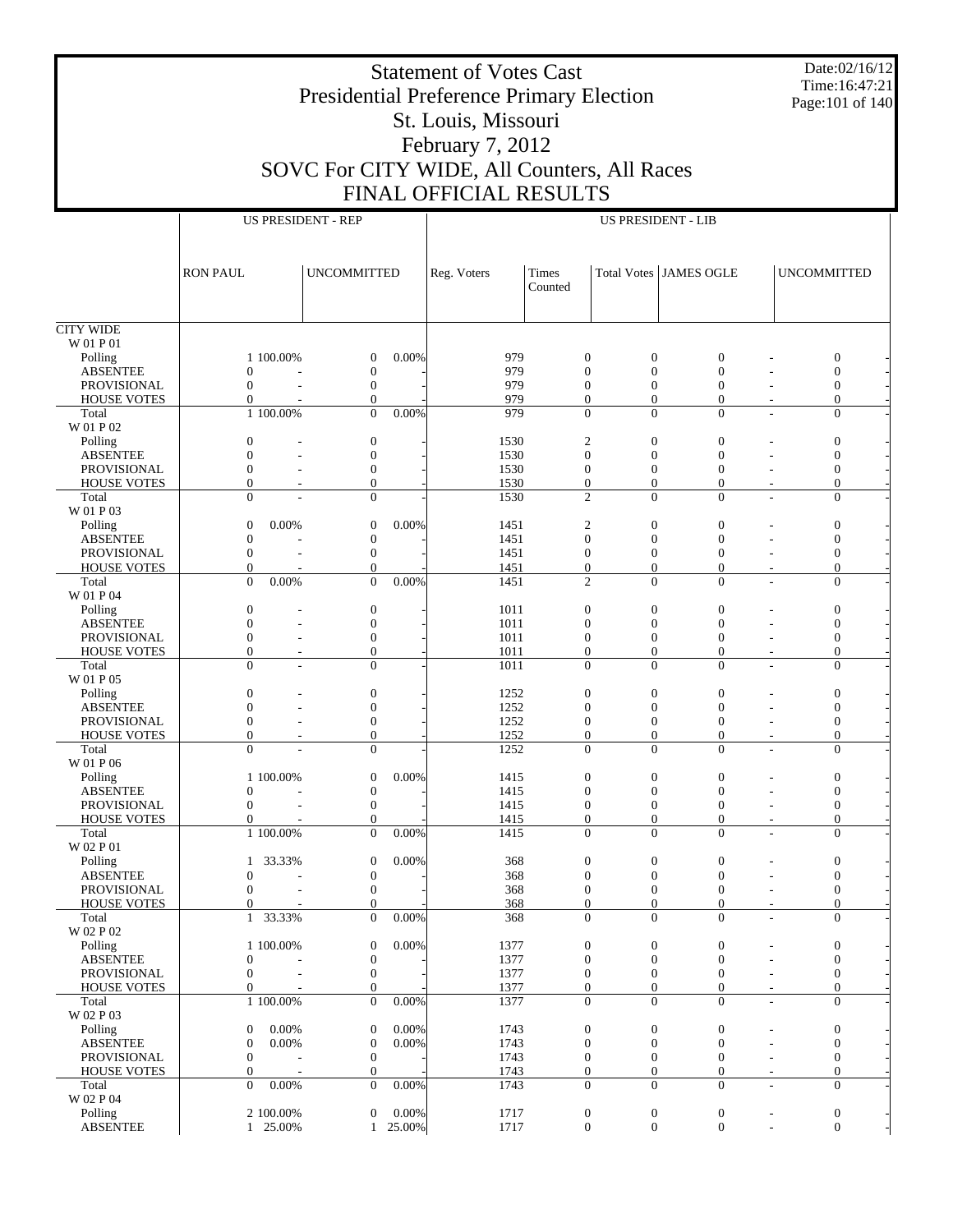Date:02/16/12 Time:16:47:21 Page:101 of 140

## Presidential Preference Primary Election St. Louis, Missouri February 7, 2012 SOVC For CITY WIDE, All Counters, All Races FINAL OFFICIAL RESULTS

Statement of Votes Cast

|                                          | <b>US PRESIDENT - REP</b>    |                                    |          |              |                          |                              | <b>US PRESIDENT - LIB</b>      |                                            |                                      |
|------------------------------------------|------------------------------|------------------------------------|----------|--------------|--------------------------|------------------------------|--------------------------------|--------------------------------------------|--------------------------------------|
|                                          |                              |                                    |          |              |                          |                              |                                |                                            |                                      |
|                                          |                              |                                    |          |              |                          |                              |                                |                                            |                                      |
|                                          | <b>RON PAUL</b>              | <b>UNCOMMITTED</b>                 |          | Reg. Voters  | Times                    |                              | <b>Total Votes JAMES OGLE</b>  |                                            | <b>UNCOMMITTED</b>                   |
|                                          |                              |                                    |          |              | Counted                  |                              |                                |                                            |                                      |
|                                          |                              |                                    |          |              |                          |                              |                                |                                            |                                      |
| <b>CITY WIDE</b>                         |                              |                                    |          |              |                          |                              |                                |                                            |                                      |
| W 01 P 01                                |                              |                                    |          |              |                          |                              |                                |                                            |                                      |
| Polling                                  | 1 100.00%                    | $\boldsymbol{0}$                   | 0.00%    | 979          | $\mathbf{0}$             | $\boldsymbol{0}$             | $\mathbf{0}$                   |                                            | $\boldsymbol{0}$                     |
| <b>ABSENTEE</b><br><b>PROVISIONAL</b>    | $\theta$<br>$\mathbf{0}$     | $\boldsymbol{0}$<br>$\mathbf{0}$   |          | 979<br>979   | $\theta$<br>$\theta$     | $\mathbf{0}$<br>$\mathbf{0}$ | $\overline{0}$<br>$\mathbf{0}$ |                                            | $\boldsymbol{0}$<br>$\boldsymbol{0}$ |
| <b>HOUSE VOTES</b>                       | $\mathbf{0}$                 | $\mathbf{0}$                       |          | 979          | $\theta$                 | $\theta$                     | $\mathbf{0}$                   |                                            | $\mathbf{0}$                         |
| Total                                    | 1 100.00%                    | $\theta$                           | $0.00\%$ | 979          | $\Omega$                 | $\Omega$                     | $\Omega$                       | $\overline{a}$                             | $\mathbf{0}$                         |
| W 01 P 02                                |                              |                                    |          |              |                          |                              |                                |                                            |                                      |
| Polling                                  | $\theta$                     | $\boldsymbol{0}$                   |          | 1530         | $\sqrt{2}$               | $\theta$                     | $\overline{0}$                 |                                            | $\boldsymbol{0}$                     |
| <b>ABSENTEE</b><br><b>PROVISIONAL</b>    | $\mathbf{0}$<br>$\mathbf{0}$ | $\mathbf{0}$<br>$\boldsymbol{0}$   |          | 1530<br>1530 | $\mathbf{0}$<br>$\theta$ | $\theta$<br>$\theta$         | $\mathbf{0}$<br>$\mathbf{0}$   |                                            | $\mathbf{0}$<br>$\mathbf{0}$         |
| <b>HOUSE VOTES</b>                       | $\mathbf{0}$                 | $\mathbf{0}$                       |          | 1530         | $\mathbf{0}$             | $\theta$                     | $\mathbf{0}$                   |                                            | $\mathbf{0}$                         |
| Total                                    | $\theta$                     | $\Omega$                           |          | 1530         | $\overline{2}$           | $\Omega$                     | $\Omega$                       | $\overline{a}$                             | $\mathbf{0}$                         |
| W 01 P 03                                |                              |                                    |          |              |                          |                              |                                |                                            |                                      |
| Polling                                  | $\theta$<br>0.00%            | $\boldsymbol{0}$                   | 0.00%    | 1451         | $\overline{c}$           | $\boldsymbol{0}$             | $\overline{0}$                 |                                            | $\boldsymbol{0}$                     |
| <b>ABSENTEE</b>                          | $\theta$                     | $\boldsymbol{0}$                   |          | 1451         | $\mathbf{0}$             | $\theta$                     | $\mathbf{0}$                   |                                            | $\boldsymbol{0}$                     |
| <b>PROVISIONAL</b><br><b>HOUSE VOTES</b> | $\mathbf{0}$<br>$\mathbf{0}$ | $\boldsymbol{0}$<br>$\mathbf{0}$   |          | 1451<br>1451 | $\theta$<br>$\theta$     | $\theta$<br>$\theta$         | $\mathbf{0}$<br>$\mathbf{0}$   |                                            | $\boldsymbol{0}$<br>$\boldsymbol{0}$ |
| Total                                    | $\theta$<br>0.00%            | $\theta$                           | 0.00%    | 1451         | $\overline{2}$           | $\Omega$                     | $\Omega$                       | $\overline{a}$                             | $\mathbf{0}$                         |
| W 01 P 04                                |                              |                                    |          |              |                          |                              |                                |                                            |                                      |
| Polling                                  | $\theta$                     | $\boldsymbol{0}$                   |          | 1011         | $\mathbf{0}$             | $\theta$                     | $\theta$                       |                                            | $\boldsymbol{0}$                     |
| <b>ABSENTEE</b>                          | $\mathbf{0}$<br>ä,           | $\mathbf{0}$                       |          | 1011         | $\theta$                 | $\theta$                     | $\theta$                       |                                            | $\mathbf{0}$                         |
| <b>PROVISIONAL</b>                       | $\mathbf{0}$<br>$\mathbf{0}$ | $\boldsymbol{0}$<br>$\overline{0}$ |          | 1011         | $\theta$<br>$\theta$     | $\theta$<br>$\theta$         | $\mathbf{0}$                   |                                            | $\boldsymbol{0}$<br>$\mathbf{0}$     |
| <b>HOUSE VOTES</b><br>Total              | $\theta$                     | $\theta$                           |          | 1011<br>1011 | $\Omega$                 | $\Omega$                     | $\overline{0}$<br>$\Omega$     | $\overline{a}$                             | $\mathbf{0}$                         |
| W 01 P 05                                |                              |                                    |          |              |                          |                              |                                |                                            |                                      |
| Polling                                  | $\mathbf{0}$                 | $\boldsymbol{0}$                   |          | 1252         | $\mathbf{0}$             | $\boldsymbol{0}$             | $\theta$                       |                                            | $\boldsymbol{0}$                     |
| <b>ABSENTEE</b>                          | $\mathbf{0}$                 | $\boldsymbol{0}$                   |          | 1252         | $\theta$                 | $\theta$                     | $\mathbf{0}$                   |                                            | $\boldsymbol{0}$                     |
| PROVISIONAL                              | $\mathbf{0}$                 | $\boldsymbol{0}$                   |          | 1252         | $\theta$                 | $\theta$                     | $\mathbf{0}$                   |                                            | $\boldsymbol{0}$                     |
| <b>HOUSE VOTES</b><br>Total              | $\mathbf{0}$<br>$\theta$     | $\mathbf{0}$<br>$\mathbf{0}$       |          | 1252<br>1252 | $\theta$<br>$\theta$     | $\theta$<br>$\Omega$         | $\mathbf{0}$<br>$\Omega$       | $\overline{\phantom{a}}$<br>$\overline{a}$ | $\mathbf{0}$<br>$\mathbf{0}$         |
| W 01 P 06                                |                              |                                    |          |              |                          |                              |                                |                                            |                                      |
| Polling                                  | 1 100.00%                    | $\boldsymbol{0}$                   | 0.00%    | 1415         | $\mathbf{0}$             | $\mathbf{0}$                 | $\theta$                       |                                            | $\boldsymbol{0}$                     |
| <b>ABSENTEE</b>                          | $\theta$                     | $\boldsymbol{0}$                   |          | 1415         | $\theta$                 | $\theta$                     | $\theta$                       |                                            | $\boldsymbol{0}$                     |
| <b>PROVISIONAL</b>                       | $\mathbf{0}$                 | $\boldsymbol{0}$                   |          | 1415         | $\theta$                 | $\theta$                     | $\mathbf{0}$                   |                                            | $\mathbf{0}$                         |
| <b>HOUSE VOTES</b><br>Total              | $\mathbf{0}$<br>1 100.00%    | $\mathbf{0}$<br>$\Omega$           | $0.00\%$ | 1415<br>1415 | $\mathbf{0}$<br>$\Omega$ | $\theta$<br>$\Omega$         | $\mathbf{0}$<br>$\Omega$       | $\overline{\phantom{m}}$                   | $\boldsymbol{0}$<br>$\mathbf{0}$     |
| W 02 P 01                                |                              |                                    |          |              |                          |                              |                                |                                            |                                      |
| Polling                                  | 33.33%<br>$\mathbf{1}$       | $\mathbf{0}$                       | 0.00%    | 368          | $\mathbf{0}$             | $\mathbf{0}$                 | $\theta$                       |                                            | $\boldsymbol{0}$                     |
| <b>ABSENTEE</b>                          | $\mathbf{0}$                 | $\mathbf{0}$                       |          | 368          | $\overline{0}$           | $\overline{0}$               | $\overline{0}$                 |                                            | $\mathbf{0}$                         |
| <b>PROVISIONAL</b>                       | $\mathbf{0}$                 | $\boldsymbol{0}$                   |          | 368          | $\theta$                 | $\theta$                     | $\overline{0}$                 |                                            | $\mathbf{0}$                         |
| <b>HOUSE VOTES</b><br>Total              | $\Omega$                     | $\Omega$                           | $0.00\%$ | 368<br>368   | $\Omega$<br>$\mathbf{0}$ | $\Omega$<br>$\mathbf{0}$     | $\Omega$<br>$\mathbf{0}$       |                                            | $\Omega$<br>$\mathbf{0}$             |
| W 02 P 02                                | 1 33.33%                     | $\mathbf{0}$                       |          |              |                          |                              |                                | $\overline{\phantom{a}}$                   |                                      |
| Polling                                  | 1 100.00%                    | $\boldsymbol{0}$                   | 0.00%    | 1377         | $\mathbf{0}$             | $\boldsymbol{0}$             | $\boldsymbol{0}$               |                                            | $\boldsymbol{0}$                     |
| <b>ABSENTEE</b>                          | $\mathbf{0}$                 | $\boldsymbol{0}$                   |          | 1377         | $\mathbf{0}$             | $\boldsymbol{0}$             | $\boldsymbol{0}$               |                                            | $\mathbf{0}$                         |
| PROVISIONAL                              | $\mathbf{0}$<br>L.           | $\boldsymbol{0}$                   |          | 1377         | $\mathbf{0}$             | $\boldsymbol{0}$             | $\mathbf{0}$                   |                                            | $\boldsymbol{0}$                     |
| <b>HOUSE VOTES</b>                       | $\mathbf{0}$                 | $\mathbf{0}$                       |          | 1377         | $\theta$                 | $\mathbf{0}$                 | $\mathbf{0}$                   | $\overline{\phantom{a}}$                   | $\mathbf{0}$                         |
| Total<br>W 02 P 03                       | 1 100.00%                    | $\mathbf{0}$                       | 0.00%    | 1377         | $\theta$                 | $\mathbf{0}$                 | $\mathbf{0}$                   | ÷,                                         | $\mathbf{0}$                         |
| Polling                                  | 0.00%<br>$\mathbf{0}$        | $\boldsymbol{0}$                   | 0.00%    | 1743         | $\mathbf{0}$             | $\boldsymbol{0}$             | $\boldsymbol{0}$               |                                            | $\boldsymbol{0}$                     |
| <b>ABSENTEE</b>                          | $\mathbf{0}$<br>0.00%        | $\mathbf{0}$                       | 0.00%    | 1743         | $\theta$                 | $\boldsymbol{0}$             | $\boldsymbol{0}$               |                                            | $\mathbf{0}$                         |
| PROVISIONAL                              | $\mathbf{0}$                 | $\boldsymbol{0}$                   |          | 1743         | $\mathbf{0}$             | $\boldsymbol{0}$             | $\boldsymbol{0}$               |                                            | $\mathbf{0}$                         |
| <b>HOUSE VOTES</b>                       | $\mathbf{0}$                 | $\boldsymbol{0}$                   |          | 1743         | $\mathbf{0}$             | $\boldsymbol{0}$             | $\boldsymbol{0}$               | $\overline{\phantom{m}}$                   | $\boldsymbol{0}$                     |
| Total<br>W 02 P 04                       | $\theta$<br>0.00%            | $\mathbf{0}$                       | $0.00\%$ | 1743         | $\theta$                 | $\Omega$                     | $\mathbf{0}$                   | $\overline{a}$                             | $\mathbf{0}$                         |
| Polling                                  | 2 100.00%                    | $\mathbf{0}$                       | $0.00\%$ | 1717         | $\boldsymbol{0}$         | $\boldsymbol{0}$             | $\boldsymbol{0}$               | $\overline{\phantom{a}}$                   | $\boldsymbol{0}$                     |
|                                          |                              |                                    |          |              |                          |                              |                                |                                            |                                      |

 $1 \t25.00\%$  1 25.00% 1717 0 0 0 - 0 -

ABSENTEE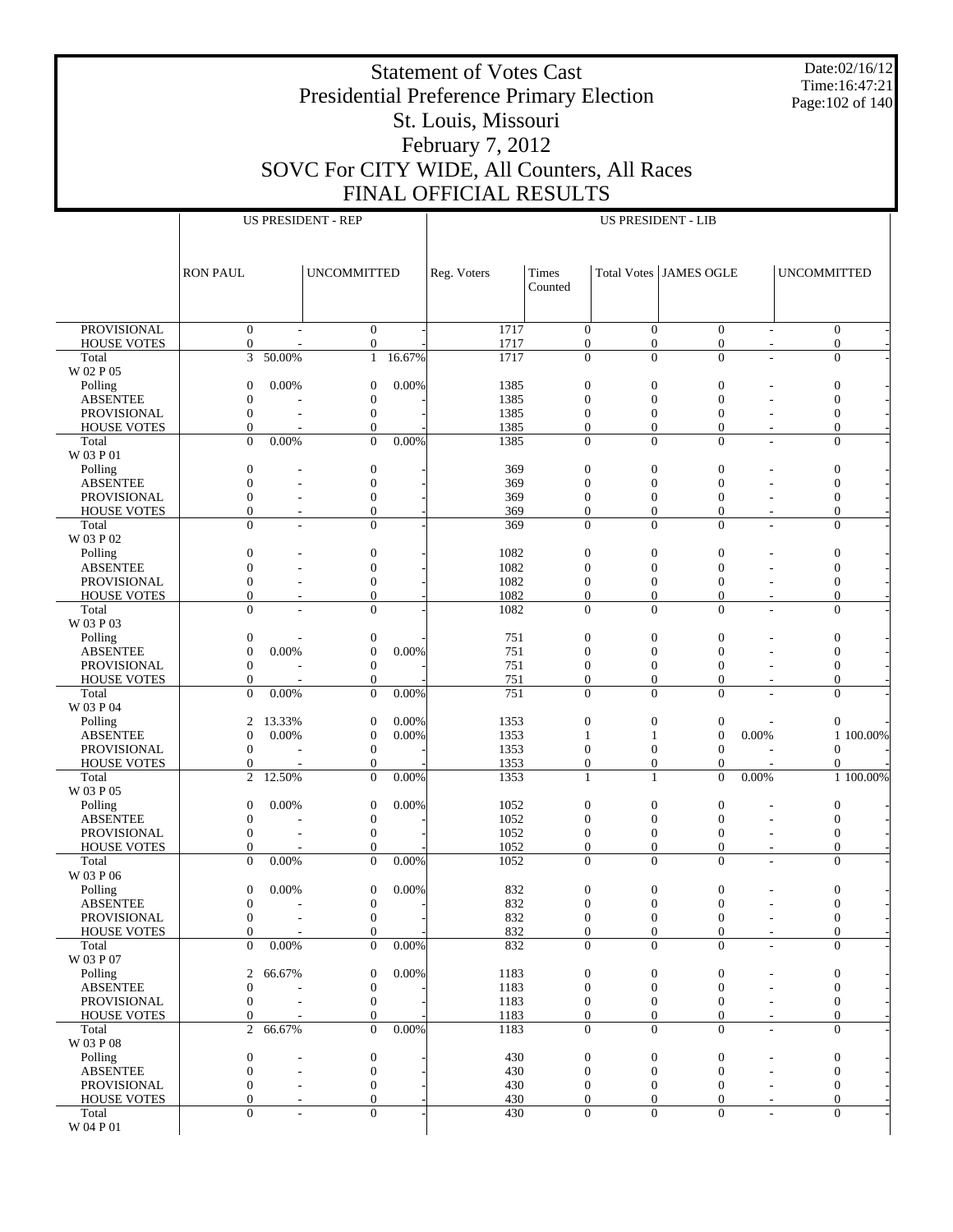Date:02/16/12 Time:16:47:21 Page:102 of 140

## Presidential Preference Primary Election St. Louis, Missouri February 7, 2012 SOVC For CITY WIDE, All Counters, All Races FINAL OFFICIAL RESULTS

|                                |                              |        | <b>US PRESIDENT - REP</b>      |        |                  |                                  |                                | <b>US PRESIDENT - LIB</b>    |                          |                          |                                      |
|--------------------------------|------------------------------|--------|--------------------------------|--------|------------------|----------------------------------|--------------------------------|------------------------------|--------------------------|--------------------------|--------------------------------------|
|                                |                              |        |                                |        |                  |                                  |                                |                              |                          |                          |                                      |
|                                |                              |        |                                |        |                  |                                  |                                |                              |                          |                          |                                      |
|                                |                              |        |                                |        |                  |                                  |                                |                              |                          |                          |                                      |
|                                | <b>RON PAUL</b>              |        | <b>UNCOMMITTED</b>             |        | Reg. Voters      | Times                            |                                | Total Votes JAMES OGLE       |                          | <b>UNCOMMITTED</b>       |                                      |
|                                |                              |        |                                |        |                  | Counted                          |                                |                              |                          |                          |                                      |
|                                |                              |        |                                |        |                  |                                  |                                |                              |                          |                          |                                      |
|                                |                              |        |                                |        |                  |                                  |                                |                              |                          |                          |                                      |
| <b>PROVISIONAL</b>             | $\mathbf{0}$                 |        | $\mathbf{0}$                   |        | 1717             | $\mathbf{0}$                     | $\Omega$                       | $\Omega$                     |                          | $\overline{\phantom{0}}$ | $\mathbf{0}$                         |
| <b>HOUSE VOTES</b>             | $\boldsymbol{0}$             |        | $\theta$                       |        | 1717             | $\mathbf{0}$                     | $\overline{0}$                 | $\mathbf{0}$                 |                          |                          | 0                                    |
| Total                          | 3                            | 50.00% | $\mathbf{1}$                   | 16.67% | 1717             | $\theta$                         | $\Omega$                       | $\Omega$                     |                          |                          | $\overline{0}$                       |
| W 02 P 05                      |                              |        |                                |        |                  |                                  |                                |                              |                          |                          |                                      |
| Polling                        | $\mathbf{0}$                 | 0.00%  | $\mathbf{0}$                   | 0.00%  | 1385             | $\mathbf{0}$                     | $\overline{0}$                 | $\mathbf{0}$                 |                          |                          | $\boldsymbol{0}$                     |
| <b>ABSENTEE</b>                | $\mathbf{0}$                 |        | $\mathbf{0}$                   |        | 1385             | $\mathbf{0}$                     | $\overline{0}$                 | $\mathbf{0}$                 |                          |                          | $\mathbf{0}$                         |
| PROVISIONAL                    | $\mathbf{0}$                 |        | $\mathbf{0}$<br>$\overline{0}$ |        | 1385             | $\boldsymbol{0}$<br>$\mathbf{0}$ | $\mathbf{0}$<br>$\overline{0}$ | $\mathbf{0}$<br>$\mathbf{0}$ |                          |                          | $\boldsymbol{0}$<br>$\boldsymbol{0}$ |
| <b>HOUSE VOTES</b><br>Total    | $\mathbf{0}$<br>$\Omega$     | 0.00%  | $\theta$                       | 0.00%  | 1385<br>1385     | $\mathbf{0}$                     | $\Omega$                       | $\Omega$                     | ÷,                       |                          | $\mathbf{0}$                         |
| W 03 P 01                      |                              |        |                                |        |                  |                                  |                                |                              |                          |                          |                                      |
| Polling                        | $\boldsymbol{0}$             |        | $\mathbf{0}$                   |        | 369              | $\mathbf{0}$                     | $\overline{0}$                 | $\mathbf{0}$                 |                          |                          | $\boldsymbol{0}$                     |
| <b>ABSENTEE</b>                | $\mathbf{0}$                 |        | $\overline{0}$                 |        | 369              | $\mathbf{0}$                     | $\overline{0}$                 | $\mathbf{0}$                 |                          |                          | $\boldsymbol{0}$                     |
| PROVISIONAL                    | $\mathbf{0}$                 |        | $\mathbf{0}$                   |        | 369              | $\mathbf{0}$                     | $\overline{0}$                 | $\mathbf{0}$                 |                          |                          | $\boldsymbol{0}$                     |
| <b>HOUSE VOTES</b>             | $\mathbf{0}$                 |        | $\overline{0}$                 |        | 369              | $\mathbf{0}$                     | $\overline{0}$                 | $\mathbf{0}$                 |                          |                          | $\boldsymbol{0}$                     |
| Total                          | $\Omega$                     |        | $\overline{0}$                 |        | 369              | $\overline{0}$                   | $\Omega$                       | $\Omega$                     |                          |                          | $\mathbf{0}$                         |
| W 03 P 02                      |                              |        |                                |        |                  |                                  |                                |                              |                          |                          |                                      |
| Polling                        | $\boldsymbol{0}$             |        | $\mathbf{0}$                   |        | 1082             | $\mathbf{0}$                     | $\mathbf{0}$                   | $\mathbf{0}$                 |                          |                          | $\boldsymbol{0}$                     |
| <b>ABSENTEE</b>                | $\mathbf{0}$                 |        | $\overline{0}$                 |        | 1082             | $\mathbf{0}$                     | $\overline{0}$                 | $\mathbf{0}$                 |                          |                          | $\boldsymbol{0}$                     |
| <b>PROVISIONAL</b>             | $\mathbf{0}$                 |        | $\mathbf{0}$                   |        | 1082             | $\boldsymbol{0}$                 | $\mathbf{0}$                   | $\mathbf{0}$                 |                          |                          | $\boldsymbol{0}$                     |
| <b>HOUSE VOTES</b>             | $\mathbf{0}$                 |        | $\overline{0}$                 |        | 1082             | $\mathbf{0}$                     | $\overline{0}$                 | $\mathbf{0}$                 |                          |                          | $\boldsymbol{0}$                     |
| Total                          | $\Omega$                     |        | $\overline{0}$                 |        | 1082             | $\Omega$                         | $\Omega$                       | $\Omega$                     | ÷,                       |                          | $\mathbf{0}$                         |
| W 03 P 03                      |                              |        |                                |        |                  |                                  |                                |                              |                          |                          |                                      |
| Polling                        | $\boldsymbol{0}$             |        | $\boldsymbol{0}$               |        | 751              | $\mathbf{0}$                     | $\overline{0}$                 | $\mathbf{0}$                 |                          |                          | $\boldsymbol{0}$                     |
| <b>ABSENTEE</b>                | $\mathbf{0}$                 | 0.00%  | $\mathbf{0}$                   | 0.00%  | 751              | $\mathbf{0}$                     | $\overline{0}$                 | $\mathbf{0}$                 |                          |                          | $\boldsymbol{0}$                     |
| PROVISIONAL                    | $\mathbf{0}$                 |        | $\overline{0}$                 |        | 751              | $\mathbf{0}$                     | $\mathbf{0}$                   | $\mathbf{0}$                 |                          |                          | $\boldsymbol{0}$                     |
| <b>HOUSE VOTES</b>             | $\mathbf{0}$                 |        | $\overline{0}$                 |        | 751              | $\mathbf{0}$                     | $\overline{0}$                 | $\mathbf{0}$                 |                          |                          | $\boldsymbol{0}$                     |
| Total                          | $\Omega$                     | 0.00%  | $\overline{0}$                 | 0.00%  | $\overline{751}$ | $\overline{0}$                   | $\Omega$                       | $\Omega$                     |                          |                          | $\mathbf{0}$                         |
| W 03 P 04                      |                              |        |                                |        |                  |                                  |                                |                              |                          |                          |                                      |
| Polling                        | $\mathbf{2}$                 | 13.33% | $\mathbf{0}$                   | 0.00%  | 1353             | $\mathbf{0}$                     | $\mathbf{0}$                   | $\boldsymbol{0}$             |                          |                          | $\boldsymbol{0}$                     |
| <b>ABSENTEE</b>                | $\mathbf{0}$                 | 0.00%  | $\mathbf{0}$                   | 0.00%  | 1353             | 1                                | $\mathbf{1}$                   | $\mathbf{0}$                 | 0.00%                    |                          | 1 100.00%                            |
| PROVISIONAL                    | $\mathbf{0}$                 |        | $\mathbf{0}$                   |        | 1353             | $\mathbf{0}$                     | $\mathbf{0}$                   | $\mathbf{0}$                 |                          |                          | $\mathbf{0}$                         |
| <b>HOUSE VOTES</b>             | $\boldsymbol{0}$             |        | $\overline{0}$                 |        | 1353             | $\mathbf{0}$                     | $\overline{0}$                 | $\mathbf{0}$                 |                          |                          | $\mathbf{0}$                         |
| Total                          | 2                            | 12.50% | $\overline{0}$                 | 0.00%  | 1353             | $\mathbf{1}$                     | $\mathbf{1}$                   | $\Omega$                     | 0.00%                    |                          | 1 100.00%                            |
| W 03 P 05                      |                              |        |                                |        |                  |                                  |                                |                              |                          |                          |                                      |
| Polling                        | $\mathbf{0}$                 | 0.00%  | $\mathbf{0}$                   | 0.00%  | 1052             | $\mathbf{0}$                     | $\mathbf{0}$                   | $\mathbf{0}$                 |                          |                          | $\boldsymbol{0}$                     |
| <b>ABSENTEE</b>                | $\boldsymbol{0}$             |        | $\mathbf{0}$                   |        | 1052             | $\mathbf{0}$                     | $\overline{0}$                 | $\mathbf{0}$                 |                          |                          | $\boldsymbol{0}$                     |
| PROVISIONAL                    | $\mathbf{0}$                 |        | $\mathbf{0}$                   |        | 1052             | $\mathbf{0}$                     | $\mathbf{0}$                   | $\mathbf{0}$                 |                          |                          | $\boldsymbol{0}$                     |
| <b>HOUSE VOTES</b>             | $\mathbf{0}$                 |        | $\overline{0}$                 |        | 1052             | $\mathbf{0}$                     | $\overline{0}$                 | $\mathbf{0}$                 |                          |                          | $\boldsymbol{0}$                     |
| Total<br>W 03 P 06             | $\Omega$                     | 0.00%  | $\overline{0}$                 | 0.00%  | 1052             | $\mathbf{0}$                     | $\Omega$                       | $\Omega$                     | L,                       |                          | $\mathbf{0}$                         |
|                                |                              |        |                                | 0.00%  |                  |                                  |                                |                              |                          |                          |                                      |
| Polling                        | $\mathbf{0}$<br>$\mathbf{0}$ | 0.00%  | $\mathbf{0}$<br>$\mathbf{0}$   |        | 832              | $\boldsymbol{0}$<br>$\Omega$     | $\boldsymbol{0}$<br>$\Omega$   | $\boldsymbol{0}$<br>$\Omega$ |                          |                          | $\boldsymbol{0}$<br>$\Omega$         |
| <b>ABSENTEE</b><br>PROVISIONAL | $\boldsymbol{0}$             |        | $\boldsymbol{0}$               |        | 832<br>832       | $\boldsymbol{0}$                 | $\boldsymbol{0}$               | $\boldsymbol{0}$             | $\overline{\phantom{a}}$ |                          | $\boldsymbol{0}$                     |
| <b>HOUSE VOTES</b>             | $\mathbf{0}$                 |        | $\overline{0}$                 |        | 832              | $\mathbf{0}$                     | $\theta$                       | $\mathbf{0}$                 | $\overline{\phantom{a}}$ |                          | $\boldsymbol{0}$                     |
| Total                          | $\Omega$                     | 0.00%  | $\overline{0}$                 | 0.00%  | 832              | $\mathbf{0}$                     | $\Omega$                       | $\Omega$                     | ÷,                       |                          | $\mathbf{0}$                         |
| W 03 P 07                      |                              |        |                                |        |                  |                                  |                                |                              |                          |                          |                                      |
| Polling                        | 2                            | 66.67% | $\mathbf{0}$                   | 0.00%  | 1183             | $\boldsymbol{0}$                 | $\boldsymbol{0}$               | $\boldsymbol{0}$             |                          |                          | $\boldsymbol{0}$                     |
| <b>ABSENTEE</b>                | $\boldsymbol{0}$             |        | $\boldsymbol{0}$               |        | 1183             | $\mathbf{0}$                     | $\theta$                       | $\mathbf{0}$                 |                          |                          | $\boldsymbol{0}$                     |
| PROVISIONAL                    | $\mathbf{0}$                 |        | $\mathbf{0}$                   |        | 1183             | $\boldsymbol{0}$                 | $\theta$                       | $\mathbf{0}$                 |                          |                          | $\boldsymbol{0}$                     |
| <b>HOUSE VOTES</b>             | $\boldsymbol{0}$             |        | $\mathbf{0}$                   |        | 1183             | $\boldsymbol{0}$                 | $\boldsymbol{0}$               | $\mathbf{0}$                 |                          |                          | $\boldsymbol{0}$                     |
| Total                          | 2                            | 66.67% | $\Omega$                       | 0.00%  | 1183             | $\mathbf{0}$                     | $\Omega$                       | $\Omega$                     | ÷,                       |                          | $\overline{0}$                       |
| W 03 P 08                      |                              |        |                                |        |                  |                                  |                                |                              |                          |                          |                                      |
| Polling                        | $\boldsymbol{0}$             |        | $\boldsymbol{0}$               |        | 430              | $\boldsymbol{0}$                 | $\boldsymbol{0}$               | $\boldsymbol{0}$             |                          |                          | $\boldsymbol{0}$                     |
| <b>ABSENTEE</b>                | $\mathbf{0}$                 | L.     | $\mathbf{0}$                   |        | 430              | $\mathbf{0}$                     | $\theta$                       | $\mathbf{0}$                 |                          |                          | $\boldsymbol{0}$                     |
| PROVISIONAL                    | $\mathbf{0}$                 |        | $\boldsymbol{0}$               |        | 430              | $\mathbf{0}$                     | $\theta$                       | $\mathbf{0}$                 |                          |                          | $\boldsymbol{0}$                     |
| <b>HOUSE VOTES</b>             | $\mathbf{0}$                 |        | $\overline{0}$                 |        | 430              | $\mathbf{0}$                     | $\theta$                       | $\mathbf{0}$                 | $\overline{\phantom{a}}$ |                          | $\boldsymbol{0}$                     |
| Total                          | $\Omega$                     |        | $\overline{0}$                 |        | 430              | $\mathbf{0}$                     | $\Omega$                       | $\mathbf{0}$                 | ÷,                       |                          | $\mathbf{0}$                         |
| W 04 P 01                      |                              |        |                                |        |                  |                                  |                                |                              |                          |                          |                                      |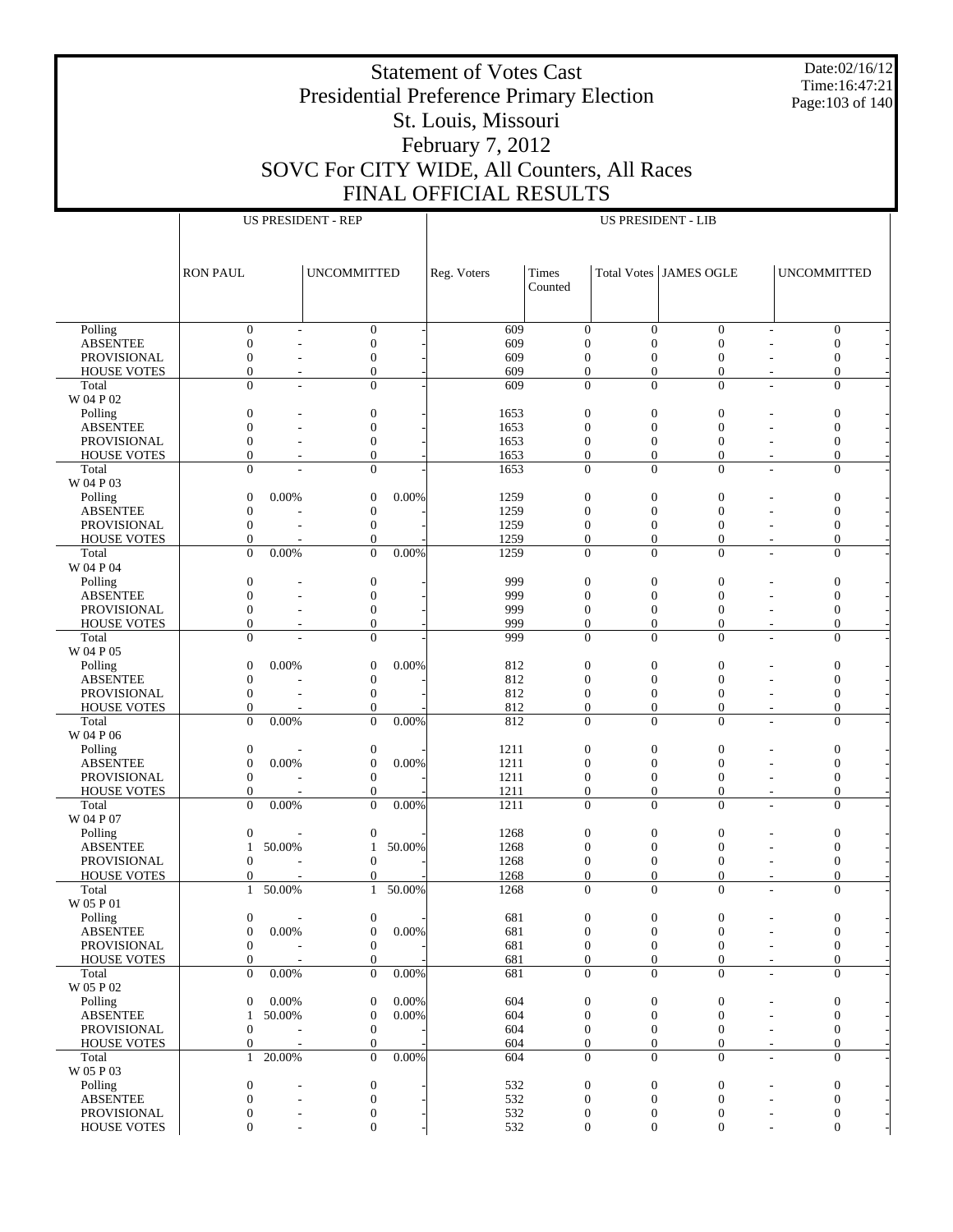Date:02/16/12 Time:16:47:21 Page:103 of 140

## Presidential Preference Primary Election St. Louis, Missouri February 7, 2012 SOVC For CITY WIDE, All Counters, All Races FINAL OFFICIAL RESULTS

|                                       |                                        | <b>US PRESIDENT - REP</b>                 |             |                                    | <b>US PRESIDENT - LIB</b>      |                                |                                                                |
|---------------------------------------|----------------------------------------|-------------------------------------------|-------------|------------------------------------|--------------------------------|--------------------------------|----------------------------------------------------------------|
|                                       |                                        |                                           |             |                                    |                                |                                |                                                                |
|                                       |                                        |                                           |             |                                    |                                |                                |                                                                |
|                                       |                                        |                                           |             |                                    |                                |                                |                                                                |
|                                       | <b>RON PAUL</b>                        | <b>UNCOMMITTED</b>                        | Reg. Voters | Times                              |                                | <b>Total Votes JAMES OGLE</b>  | <b>UNCOMMITTED</b>                                             |
|                                       |                                        |                                           |             | Counted                            |                                |                                |                                                                |
|                                       |                                        |                                           |             |                                    |                                |                                |                                                                |
| Polling                               | $\mathbf{0}$                           | $\mathbf{0}$                              | 609         | $\mathbf{0}$                       | $\overline{0}$                 | $\overline{0}$                 | $\mathbf{0}$                                                   |
| <b>ABSENTEE</b>                       | $\boldsymbol{0}$                       | $\mathbf{0}$                              | 609         | $\overline{0}$                     | $\mathbf{0}$                   | $\mathbf{0}$                   | $\overline{0}$                                                 |
| <b>PROVISIONAL</b>                    | $\mathbf{0}$                           | $\boldsymbol{0}$                          | 609         | $\mathbf{0}$                       | $\mathbf{0}$                   | $\mathbf{0}$                   | $\boldsymbol{0}$                                               |
| <b>HOUSE VOTES</b>                    | $\mathbf{0}$                           | $\mathbf{0}$                              | 609         | $\boldsymbol{0}$                   | $\mathbf{0}$                   | $\overline{0}$                 | $\mathbf{0}$                                                   |
| Total                                 | $\Omega$                               | $\mathbf{0}$                              | 609         | $\mathbf{0}$                       | $\overline{0}$                 | $\mathbf{0}$                   | $\mathbf{0}$                                                   |
| W 04 P 02                             |                                        |                                           |             |                                    |                                |                                |                                                                |
| Polling                               | $\boldsymbol{0}$                       | $\boldsymbol{0}$                          | 1653        | $\boldsymbol{0}$                   | $\boldsymbol{0}$               | $\mathbf{0}$                   | $\boldsymbol{0}$                                               |
| <b>ABSENTEE</b>                       | $\mathbf{0}$                           | $\mathbf{0}$                              | 1653        | $\mathbf{0}$                       | $\overline{0}$                 | $\mathbf{0}$                   | $\mathbf{0}$                                                   |
| <b>PROVISIONAL</b>                    | $\mathbf{0}$                           | $\boldsymbol{0}$                          | 1653        | $\mathbf{0}$                       | $\boldsymbol{0}$               | $\boldsymbol{0}$               | $\mathbf{0}$                                                   |
| <b>HOUSE VOTES</b>                    | $\mathbf{0}$                           | $\mathbf{0}$                              | 1653        | $\mathbf{0}$                       | $\mathbf{0}$                   | $\overline{0}$                 | $\mathbf{0}$                                                   |
| Total                                 | $\Omega$                               | $\mathbf{0}$                              | 1653        | $\mathbf{0}$                       | $\mathbf{0}$                   | $\overline{0}$                 | $\mathbf{0}$                                                   |
| W 04 P 03                             |                                        |                                           |             |                                    |                                |                                |                                                                |
| Polling                               | $\mathbf{0}$<br>0.00%                  | 0.00%<br>$\boldsymbol{0}$                 | 1259        | $\boldsymbol{0}$                   | $\boldsymbol{0}$               | $\mathbf{0}$                   | $\boldsymbol{0}$                                               |
| <b>ABSENTEE</b>                       | $\mathbf{0}$                           | $\boldsymbol{0}$                          | 1259        | $\mathbf{0}$                       | $\overline{0}$                 | $\mathbf{0}$                   | $\mathbf{0}$                                                   |
| <b>PROVISIONAL</b>                    | $\mathbf{0}$                           | $\boldsymbol{0}$                          | 1259        | $\mathbf{0}$                       | $\mathbf{0}$                   | $\mathbf{0}$                   | $\mathbf{0}$                                                   |
| <b>HOUSE VOTES</b>                    | $\mathbf{0}$                           | $\mathbf{0}$                              | 1259        | $\boldsymbol{0}$                   | $\mathbf{0}$                   | $\overline{0}$                 | $\mathbf{0}$                                                   |
| Total                                 | $\Omega$<br>0.00%                      | 0.00%<br>$\Omega$                         | 1259        | $\mathbf{0}$                       | $\Omega$                       | $\theta$                       | $\mathbf{0}$                                                   |
| W 04 P 04                             |                                        |                                           |             |                                    |                                |                                |                                                                |
| Polling                               | $\boldsymbol{0}$                       | $\boldsymbol{0}$                          | 999         | $\boldsymbol{0}$                   | $\boldsymbol{0}$               | $\mathbf{0}$                   | $\boldsymbol{0}$                                               |
| <b>ABSENTEE</b>                       | $\mathbf{0}$                           | $\mathbf{0}$                              | 999         | $\mathbf{0}$                       | $\overline{0}$                 | $\mathbf{0}$                   | $\mathbf{0}$                                                   |
| <b>PROVISIONAL</b>                    | $\mathbf{0}$                           | $\boldsymbol{0}$                          | 999         | $\mathbf{0}$                       | $\boldsymbol{0}$               | $\boldsymbol{0}$               | $\mathbf{0}$                                                   |
| <b>HOUSE VOTES</b>                    | $\mathbf{0}$                           | $\mathbf{0}$                              | 999         | $\mathbf{0}$                       | $\mathbf{0}$                   | $\overline{0}$                 | $\mathbf{0}$                                                   |
| Total                                 | $\Omega$                               | $\mathbf{0}$                              | 999         | $\mathbf{0}$                       | $\mathbf{0}$                   | $\overline{0}$                 | $\mathbf{0}$                                                   |
| W 04 P 05                             |                                        |                                           |             |                                    |                                |                                |                                                                |
| Polling                               | $\mathbf{0}$<br>0.00%                  | 0.00%<br>$\boldsymbol{0}$                 | 812         | $\boldsymbol{0}$<br>$\overline{0}$ | $\boldsymbol{0}$               | $\mathbf{0}$                   | $\boldsymbol{0}$                                               |
| <b>ABSENTEE</b><br><b>PROVISIONAL</b> | $\mathbf{0}$<br>$\mathbf{0}$           | $\boldsymbol{0}$<br>$\boldsymbol{0}$      | 812<br>812  | $\mathbf{0}$                       | $\mathbf{0}$<br>$\overline{0}$ | $\overline{0}$<br>$\mathbf{0}$ | $\overline{0}$<br>$\mathbf{0}$                                 |
| <b>HOUSE VOTES</b>                    | $\mathbf{0}$                           | $\mathbf{0}$                              | 812         | $\boldsymbol{0}$                   | $\boldsymbol{0}$               | $\overline{0}$                 | $\mathbf{0}$                                                   |
| Total                                 | $\Omega$<br>0.00%                      | 0.00%<br>$\overline{0}$                   | 812         | $\mathbf{0}$                       | $\Omega$                       | $\theta$                       | $\mathbf{0}$                                                   |
| W 04 P 06                             |                                        |                                           |             |                                    |                                |                                |                                                                |
| Polling                               | $\boldsymbol{0}$                       | $\boldsymbol{0}$                          | 1211        | $\boldsymbol{0}$                   | $\boldsymbol{0}$               | $\mathbf{0}$                   | $\boldsymbol{0}$                                               |
| <b>ABSENTEE</b>                       | $\mathbf{0}$<br>0.00%                  | 0.00%<br>$\boldsymbol{0}$                 | 1211        | $\mathbf{0}$                       | $\overline{0}$                 | $\mathbf{0}$                   | $\mathbf{0}$                                                   |
| <b>PROVISIONAL</b>                    | $\mathbf{0}$                           | $\mathbf{0}$                              | 1211        | $\mathbf{0}$                       | $\boldsymbol{0}$               | $\mathbf{0}$                   | $\mathbf{0}$                                                   |
| <b>HOUSE VOTES</b>                    | $\mathbf{0}$                           | $\mathbf{0}$                              | 1211        | $\mathbf{0}$                       | $\mathbf{0}$                   | $\overline{0}$                 | $\mathbf{0}$                                                   |
| Total                                 | $\Omega$<br>0.00%                      | 0.00%<br>$\overline{0}$                   | 1211        | $\mathbf{0}$                       | $\mathbf{0}$                   | $\overline{0}$                 | $\mathbf{0}$                                                   |
| W 04 P 07                             |                                        |                                           |             |                                    |                                |                                |                                                                |
| Polling                               | $\mathbf{0}$                           | $\boldsymbol{0}$                          | 1268        | $\boldsymbol{0}$                   | $\boldsymbol{0}$               | $\mathbf{0}$                   | $\boldsymbol{0}$                                               |
| <b>ABSENTEE</b>                       | 50.00%<br>$\mathbf{1}$                 | 50.00%<br>1                               | 1268        | $\mathbf{0}$                       | $\mathbf{0}$                   | $\mathbf{0}$                   | $\mathbf{0}$                                                   |
| <b>PROVISIONAL</b>                    | $\mathbf{0}$                           | $\mathbf{0}$                              | 1268        | $\mathbf{0}$                       | $\mathbf{0}$                   | $\boldsymbol{0}$               | $\mathbf{0}$                                                   |
| <b>HOUSE VOTES</b>                    | $\mathbf{0}$                           | $\mathbf{0}$                              | 1268        | $\boldsymbol{0}$                   | $\overline{0}$                 | $\mathbf{0}$                   | $\mathbf{0}$                                                   |
| Total                                 | 50.00%<br>$\mathbf{1}$                 | 50.00%<br>$\mathbf{1}$                    | 1268        | $\Omega$                           | $\Omega$                       | $\theta$                       | $\Omega$                                                       |
| W 05 P 01                             |                                        |                                           |             |                                    |                                |                                |                                                                |
| Polling                               | $\boldsymbol{0}$                       | $\boldsymbol{0}$                          | 681         | $\boldsymbol{0}$                   | $\boldsymbol{0}$               | $\boldsymbol{0}$               | $\boldsymbol{0}$                                               |
| <b>ABSENTEE</b>                       | $\boldsymbol{0}$<br>0.00%              | $\boldsymbol{0}$<br>0.00%                 | 681         | $\mathbf{0}$                       | $\mathbf{0}$                   | $\boldsymbol{0}$               | $\mathbf{0}$                                                   |
| PROVISIONAL                           | $\mathbf{0}$                           | $\mathbf{0}$                              | 681         | $\mathbf{0}$                       | $\mathbf{0}$                   | $\boldsymbol{0}$               | $\mathbf{0}$                                                   |
| <b>HOUSE VOTES</b>                    | $\boldsymbol{0}$                       | $\mathbf{0}$                              | 681         | $\mathbf{0}$                       | $\mathbf{0}$                   | $\mathbf{0}$                   | $\mathbf{0}$                                                   |
| Total                                 | $\Omega$<br>0.00%                      | $\Omega$<br>0.00%                         | 681         | $\mathbf{0}$                       | $\overline{0}$                 | $\mathbf{0}$                   | $\mathbf{0}$<br>$\overline{\phantom{a}}$                       |
| W 05 P 02                             |                                        |                                           |             |                                    |                                |                                |                                                                |
| Polling                               | 0.00%<br>$\mathbf{0}$                  | $\mathbf{0}$<br>0.00%                     | 604         | $\mathbf{0}$                       | $\mathbf{0}$                   | $\boldsymbol{0}$               | $\boldsymbol{0}$                                               |
| <b>ABSENTEE</b>                       | 50.00%<br>$\mathbf{1}$                 | $\mathbf{0}$<br>0.00%                     | 604         | $\mathbf{0}$                       | $\overline{0}$                 | $\boldsymbol{0}$               | $\mathbf{0}$                                                   |
| PROVISIONAL                           | $\mathbf{0}$                           | $\mathbf{0}$                              | 604         | $\mathbf{0}$                       | $\mathbf{0}$                   | $\boldsymbol{0}$               | $\boldsymbol{0}$                                               |
| <b>HOUSE VOTES</b><br>Total           | $\mathbf{0}$<br>$\mathbf{1}$<br>20.00% | $\boldsymbol{0}$<br>$\mathbf{0}$<br>0.00% | 604<br>604  | $\mathbf{0}$<br>$\mathbf{0}$       | $\mathbf{0}$<br>$\overline{0}$ | $\mathbf{0}$<br>$\mathbf{0}$   | $\mathbf{0}$<br>$\overline{\phantom{a}}$<br>$\mathbf{0}$<br>L, |
| W 05 P 03                             |                                        |                                           |             |                                    |                                |                                |                                                                |
| Polling                               | $\mathbf{0}$                           | $\mathbf{0}$                              | 532         | $\mathbf{0}$                       | $\mathbf{0}$                   | $\boldsymbol{0}$               | $\boldsymbol{0}$                                               |
| <b>ABSENTEE</b>                       | $\mathbf{0}$                           | $\mathbf{0}$                              | 532         | $\mathbf{0}$                       | $\overline{0}$                 | $\boldsymbol{0}$               | $\mathbf{0}$                                                   |
| PROVISIONAL                           | $\boldsymbol{0}$                       | $\mathbf{0}$                              | 532         | $\boldsymbol{0}$                   | $\mathbf{0}$                   | 0                              | $\boldsymbol{0}$                                               |
| <b>HOUSE VOTES</b>                    | $\mathbf{0}$                           | $\mathbf{0}$                              | 532         | $\mathbf{0}$                       | $\mathbf{0}$                   | $\mathbf{0}$                   | $\mathbf{0}$                                                   |
|                                       |                                        |                                           |             |                                    |                                |                                |                                                                |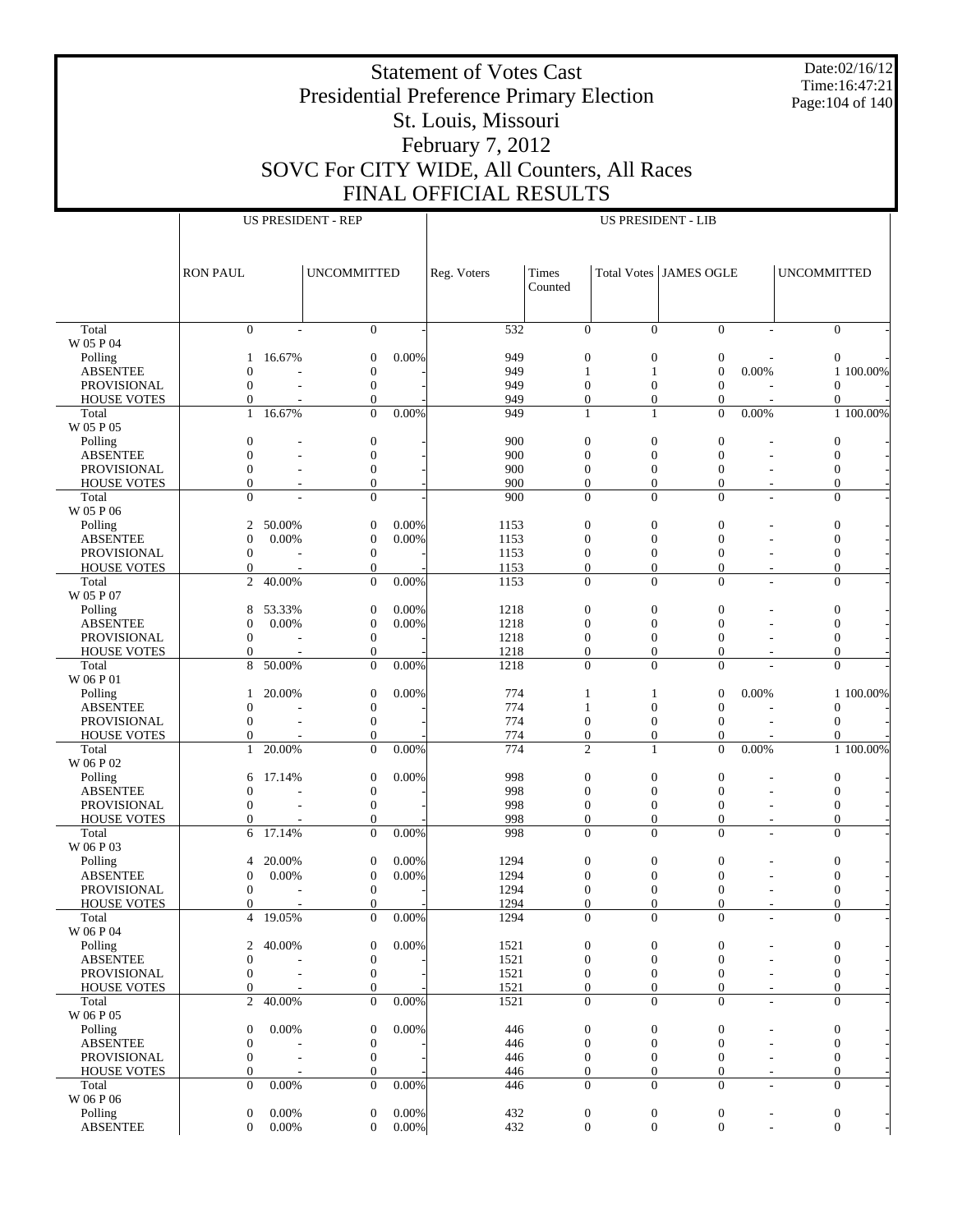Date:02/16/12 Time:16:47:21 Page:104 of 140

## Presidential Preference Primary Election St. Louis, Missouri February 7, 2012 SOVC For CITY WIDE, All Counters, All Races FINAL OFFICIAL RESULTS

|                                       |                                    |        | <b>US PRESIDENT - REP</b>            |          |             |                                      | <b>US PRESIDENT - LIB</b>    |                                      |          |                              |           |
|---------------------------------------|------------------------------------|--------|--------------------------------------|----------|-------------|--------------------------------------|------------------------------|--------------------------------------|----------|------------------------------|-----------|
|                                       |                                    |        |                                      |          |             |                                      |                              |                                      |          |                              |           |
|                                       |                                    |        |                                      |          |             |                                      |                              |                                      |          |                              |           |
|                                       |                                    |        |                                      |          |             |                                      |                              |                                      |          |                              |           |
|                                       | <b>RON PAUL</b>                    |        | <b>UNCOMMITTED</b>                   |          | Reg. Voters | Times                                |                              | Total Votes JAMES OGLE               |          | <b>UNCOMMITTED</b>           |           |
|                                       |                                    |        |                                      |          |             | Counted                              |                              |                                      |          |                              |           |
|                                       |                                    |        |                                      |          |             |                                      |                              |                                      |          |                              |           |
|                                       | $\mathbf{0}$                       |        | $\mathbf{0}$                         |          | 532         | $\overline{0}$                       | $\Omega$                     | $\Omega$                             |          | $\overline{0}$               |           |
| Total<br>W 05 P 04                    |                                    |        |                                      |          |             |                                      |                              |                                      |          |                              |           |
| Polling                               | 1                                  | 16.67% | $\boldsymbol{0}$                     | 0.00%    | 949         | $\boldsymbol{0}$                     | $\boldsymbol{0}$             | $\boldsymbol{0}$                     |          | $\boldsymbol{0}$             |           |
| <b>ABSENTEE</b>                       | 0                                  |        | $\mathbf{0}$                         |          | 949         | 1                                    | 1                            | $\overline{0}$                       | 0.00%    |                              | 1 100.00% |
| <b>PROVISIONAL</b>                    | $\Omega$                           |        | $\boldsymbol{0}$                     |          | 949         | $\boldsymbol{0}$                     | $\boldsymbol{0}$             | $\mathbf{0}$                         |          | $\mathbf{0}$                 |           |
| <b>HOUSE VOTES</b>                    | $\overline{0}$                     |        | $\Omega$                             |          | 949         | $\mathbf{0}$                         | $\overline{0}$               | $\boldsymbol{0}$                     |          | $\mathbf{0}$                 |           |
| Total                                 | $\mathbf{1}$                       | 16.67% | $\Omega$                             | 0.00%    | 949         | 1                                    | 1                            | $\theta$                             | $0.00\%$ |                              | 1 100.00% |
| W 05 P 05                             |                                    |        |                                      |          |             |                                      |                              |                                      |          |                              |           |
| Polling                               | $\overline{0}$                     |        | $\boldsymbol{0}$                     |          | 900         | $\boldsymbol{0}$                     | $\boldsymbol{0}$             | $\mathbf{0}$                         |          | $\boldsymbol{0}$             |           |
| <b>ABSENTEE</b>                       | $\overline{0}$                     |        | $\mathbf{0}$                         |          | 900         | $\overline{0}$                       | $\mathbf{0}$                 | $\mathbf{0}$                         |          | $\mathbf{0}$                 |           |
| <b>PROVISIONAL</b>                    | $\overline{0}$                     |        | $\boldsymbol{0}$                     |          | 900         | $\boldsymbol{0}$                     | $\boldsymbol{0}$             | $\mathbf{0}$                         |          | $\boldsymbol{0}$             |           |
| <b>HOUSE VOTES</b>                    | $\overline{0}$                     |        | $\mathbf{0}$                         |          | 900         | $\mathbf{0}$                         | $\overline{0}$               | $\mathbf{0}$                         |          | $\mathbf{0}$                 |           |
| Total                                 | $\Omega$                           |        | $\mathbf{0}$                         |          | 900         | $\Omega$                             | $\Omega$                     | $\Omega$                             |          | $\Omega$                     |           |
| W 05 P 06                             |                                    |        |                                      |          |             |                                      |                              |                                      |          |                              |           |
| Polling                               | 2                                  | 50.00% | $\mathbf{0}$                         | 0.00%    | 1153        | $\boldsymbol{0}$                     | $\boldsymbol{0}$             | $\mathbf{0}$                         |          | $\boldsymbol{0}$             |           |
| <b>ABSENTEE</b>                       | $\mathbf{0}$                       | 0.00%  | $\boldsymbol{0}$                     | 0.00%    | 1153        | $\mathbf{0}$                         | $\mathbf{0}$                 | $\mathbf{0}$                         |          | $\mathbf{0}$                 |           |
| <b>PROVISIONAL</b>                    | $\mathbf{0}$                       |        | $\boldsymbol{0}$                     |          | 1153        | $\boldsymbol{0}$                     | $\boldsymbol{0}$             | $\mathbf{0}$                         |          | $\boldsymbol{0}$             |           |
| <b>HOUSE VOTES</b>                    | $\boldsymbol{0}$                   |        | $\mathbf{0}$                         |          | 1153        | $\mathbf{0}$                         | $\overline{0}$               | $\mathbf{0}$                         |          | $\mathbf{0}$                 |           |
| Total                                 | $\overline{c}$                     | 40.00% | $\mathbf{0}$                         | 0.00%    | 1153        | $\mathbf{0}$                         | $\Omega$                     | $\Omega$                             |          | $\mathbf{0}$                 |           |
| W 05 P 07                             |                                    |        |                                      |          |             |                                      |                              |                                      |          |                              |           |
| Polling                               | 8                                  | 53.33% | $\boldsymbol{0}$                     | 0.00%    | 1218        | $\boldsymbol{0}$                     | $\boldsymbol{0}$             | $\boldsymbol{0}$                     |          | $\boldsymbol{0}$             |           |
| <b>ABSENTEE</b>                       | $\overline{0}$                     | 0.00%  | $\boldsymbol{0}$                     | 0.00%    | 1218        | $\overline{0}$                       | $\mathbf{0}$                 | $\mathbf{0}$                         |          | $\mathbf{0}$                 |           |
| <b>PROVISIONAL</b>                    | $\overline{0}$                     |        | $\boldsymbol{0}$                     |          | 1218        | $\boldsymbol{0}$                     | $\mathbf{0}$                 | $\mathbf{0}$                         |          | $\boldsymbol{0}$             |           |
| <b>HOUSE VOTES</b>                    | $\mathbf{0}$                       |        | $\mathbf{0}$                         |          | 1218        | $\mathbf{0}$                         | $\overline{0}$               | $\mathbf{0}$                         |          | $\mathbf{0}$                 |           |
| Total                                 | 8                                  | 50.00% | $\Omega$                             | 0.00%    | 1218        | $\Omega$                             | $\Omega$                     | $\Omega$                             |          | $\Omega$                     |           |
| W 06 P 01                             |                                    |        |                                      |          |             |                                      |                              |                                      |          |                              |           |
| Polling                               | 1                                  | 20.00% | $\boldsymbol{0}$                     | 0.00%    | 774<br>774  | 1                                    | 1<br>$\mathbf{0}$            | $\overline{0}$<br>$\mathbf{0}$       | 0.00%    |                              | 1 100.00% |
| <b>ABSENTEE</b><br><b>PROVISIONAL</b> | 0<br>$\mathbf{0}$                  |        | $\boldsymbol{0}$<br>$\boldsymbol{0}$ |          | 774         | 1<br>$\boldsymbol{0}$                | $\boldsymbol{0}$             | $\mathbf{0}$                         |          | $\mathbf{0}$<br>$\mathbf{0}$ |           |
| <b>HOUSE VOTES</b>                    | $\mathbf{0}$                       |        | $\mathbf{0}$                         |          | 774         | $\boldsymbol{0}$                     | $\overline{0}$               | $\mathbf{0}$                         |          | $\Omega$                     |           |
| Total                                 | $\mathbf{1}$                       | 20.00% | $\mathbf{0}$                         | 0.00%    | 774         | $\overline{c}$                       | 1                            | $\mathbf{0}$                         | 0.00%    |                              | 1 100.00% |
| W 06 P 02                             |                                    |        |                                      |          |             |                                      |                              |                                      |          |                              |           |
| Polling                               | 6                                  | 17.14% | $\boldsymbol{0}$                     | 0.00%    | 998         | $\boldsymbol{0}$                     | $\boldsymbol{0}$             | $\boldsymbol{0}$                     |          | $\boldsymbol{0}$             |           |
| <b>ABSENTEE</b>                       | 0                                  |        | $\boldsymbol{0}$                     |          | 998         | $\mathbf{0}$                         | $\overline{0}$               | $\mathbf{0}$                         |          | $\mathbf{0}$                 |           |
| <b>PROVISIONAL</b>                    | $\Omega$                           |        | $\boldsymbol{0}$                     |          | 998         | $\boldsymbol{0}$                     | $\boldsymbol{0}$             | $\mathbf{0}$                         |          | $\mathbf{0}$                 |           |
| <b>HOUSE VOTES</b>                    | $\overline{0}$                     |        | $\mathbf{0}$                         |          | 998         | $\boldsymbol{0}$                     | $\boldsymbol{0}$             | $\mathbf{0}$                         |          | $\mathbf{0}$                 |           |
| Total                                 | 6                                  | 17.14% | $\Omega$                             | 0.00%    | 998         | $\Omega$                             | $\Omega$                     | $\Omega$                             |          | $\mathbf{0}$                 |           |
| W 06 P 03                             |                                    |        |                                      |          |             |                                      |                              |                                      |          |                              |           |
| Polling                               | 4                                  | 20.00% | $\mathbf{0}$                         | 0.00%    | 1294        | $\boldsymbol{0}$                     | $\boldsymbol{0}$             | $\mathbf{0}$                         |          | $\boldsymbol{0}$             |           |
| <b>ABSENTEE</b>                       | 0                                  | 0.00%  | $\boldsymbol{0}$                     | 0.00%    | 1294        | $\mathbf{0}$                         | $\overline{0}$               | $\overline{0}$                       |          | $\mathbf{0}$                 |           |
| <b>PROVISIONAL</b>                    | $\overline{0}$                     |        | $\boldsymbol{0}$                     |          | 1294        | $\mathbf{0}$                         | $\overline{0}$               | $\mathbf{0}$                         |          | $\boldsymbol{0}$             |           |
| <b>HOUSE VOTES</b>                    | $\mathbf{0}$                       |        | $\Omega$                             |          | 1294        | $\Omega$                             | $\Omega$                     | $\Omega$                             |          | $\Omega$                     |           |
| Total                                 | 4                                  | 19.05% | $\mathbf{0}$                         | 0.00%    | 1294        | $\mathbf{0}$                         | $\mathbf{0}$                 | $\mathbf{0}$                         |          | $\boldsymbol{0}$             |           |
| W 06 P 04                             |                                    |        |                                      |          |             |                                      |                              |                                      |          |                              |           |
| Polling                               | 2                                  | 40.00% | $\boldsymbol{0}$                     | 0.00%    | 1521        | $\boldsymbol{0}$                     | $\boldsymbol{0}$             | $\boldsymbol{0}$                     |          | $\boldsymbol{0}$             |           |
| <b>ABSENTEE</b>                       | $\mathbf{0}$                       |        | $\boldsymbol{0}$                     |          | 1521        | $\boldsymbol{0}$                     | $\mathbf{0}$                 | $\mathbf{0}$                         |          | $\mathbf{0}$                 |           |
| PROVISIONAL                           | $\overline{0}$                     |        | $\boldsymbol{0}$                     |          | 1521        | 0                                    | $\mathbf{0}$                 | $\mathbf{0}$                         |          | $\boldsymbol{0}$             |           |
| <b>HOUSE VOTES</b>                    | $\boldsymbol{0}$                   |        | $\mathbf{0}$                         |          | 1521        | $\mathbf{0}$                         | $\mathbf{0}$                 | $\mathbf{0}$                         |          | $\mathbf{0}$                 |           |
| Total                                 | $\overline{c}$                     | 40.00% | $\mathbf{0}$                         | 0.00%    | 1521        | $\mathbf{0}$                         | $\Omega$                     | $\Omega$                             |          | $\mathbf{0}$                 |           |
| W 06 P 05                             |                                    |        |                                      |          |             |                                      |                              |                                      |          |                              |           |
| Polling                               | $\mathbf{0}$                       | 0.00%  | $\boldsymbol{0}$                     | 0.00%    | 446         | $\boldsymbol{0}$                     | $\boldsymbol{0}$             | $\boldsymbol{0}$                     |          | $\boldsymbol{0}$             |           |
| <b>ABSENTEE</b>                       | 0                                  |        | $\boldsymbol{0}$                     |          | 446         | $\mathbf{0}$                         | $\mathbf{0}$                 | $\boldsymbol{0}$                     |          | $\boldsymbol{0}$             |           |
| PROVISIONAL<br><b>HOUSE VOTES</b>     | $\overline{0}$<br>$\boldsymbol{0}$ |        | $\boldsymbol{0}$<br>$\boldsymbol{0}$ |          | 446<br>446  | $\boldsymbol{0}$<br>$\boldsymbol{0}$ | $\mathbf{0}$<br>$\mathbf{0}$ | $\boldsymbol{0}$<br>$\boldsymbol{0}$ |          | $\mathbf{0}$<br>$\mathbf{0}$ |           |
| Total                                 | $\Omega$                           | 0.00%  | $\mathbf{0}$                         | 0.00%    | 446         | $\mathbf{0}$                         | $\Omega$                     | $\Omega$                             |          | $\mathbf{0}$                 |           |
| W 06 P 06                             |                                    |        |                                      |          |             |                                      |                              |                                      |          |                              |           |
| Polling                               | $\boldsymbol{0}$                   | 0.00%  | $\boldsymbol{0}$                     | 0.00%    | 432         | 0                                    | $\boldsymbol{0}$             | $\boldsymbol{0}$                     |          | $\boldsymbol{0}$             |           |
| <b>ABSENTEE</b>                       | $\mathbf{0}$                       | 0.00%  | $\mathbf{0}$                         | $0.00\%$ | 432         | $\overline{0}$                       | $\overline{0}$               | $\mathbf{0}$                         |          | $\mathbf{0}$                 |           |
|                                       |                                    |        |                                      |          |             |                                      |                              |                                      |          |                              |           |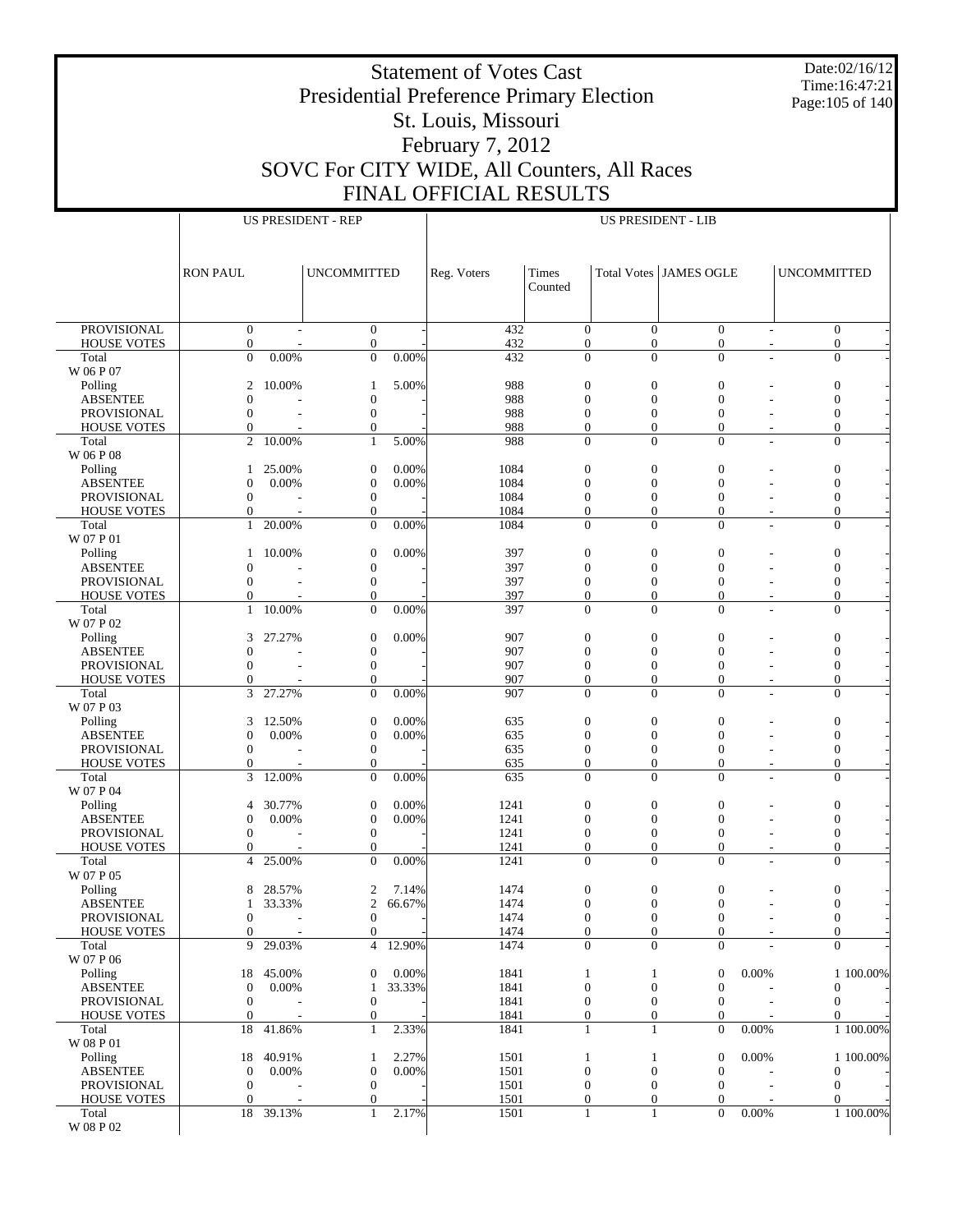Date:02/16/12 Time:16:47:21 Page:105 of 140

# Presidential Preference Primary Election St. Louis, Missouri February 7, 2012 SOVC For CITY WIDE, All Counters, All Races

Statement of Votes Cast

FINAL OFFICIAL RESULTS

|                                       |                                  |                 | <b>US PRESIDENT - REP</b>          |                 |              |                                      |                                  | <b>US PRESIDENT - LIB</b>        |       |                                      |           |
|---------------------------------------|----------------------------------|-----------------|------------------------------------|-----------------|--------------|--------------------------------------|----------------------------------|----------------------------------|-------|--------------------------------------|-----------|
|                                       |                                  |                 |                                    |                 |              |                                      |                                  |                                  |       |                                      |           |
|                                       | <b>RON PAUL</b>                  |                 | <b>UNCOMMITTED</b>                 |                 | Reg. Voters  | Times<br>Counted                     |                                  | <b>Total Votes JAMES OGLE</b>    |       | <b>UNCOMMITTED</b>                   |           |
|                                       |                                  |                 |                                    |                 |              |                                      |                                  |                                  |       |                                      |           |
| <b>PROVISIONAL</b>                    | $\mathbf{0}$                     |                 | $\boldsymbol{0}$                   |                 | 432          | $\mathbf{0}$                         | $\mathbf{0}$                     | $\boldsymbol{0}$                 |       | $\mathbf{0}$                         |           |
| <b>HOUSE VOTES</b>                    | $\mathbf{0}$                     |                 | $\boldsymbol{0}$                   |                 | 432          | $\boldsymbol{0}$                     | $\mathbf{0}$                     | $\mathbf{0}$                     |       | $\mathbf{0}$                         |           |
| Total<br>W 06 P 07                    | $\overline{0}$                   | 0.00%           | $\overline{0}$                     | 0.00%           | 432          | $\overline{0}$                       | $\Omega$                         | $\Omega$                         |       | $\mathbf{0}$                         |           |
| Polling                               | 2                                | 10.00%          | 1                                  | 5.00%           | 988          | $\boldsymbol{0}$                     | $\boldsymbol{0}$                 | $\boldsymbol{0}$                 |       | $\boldsymbol{0}$                     |           |
| <b>ABSENTEE</b>                       | $\theta$                         |                 | $\boldsymbol{0}$                   |                 | 988          | $\boldsymbol{0}$                     | $\overline{0}$                   | $\Omega$                         |       | $\boldsymbol{0}$                     |           |
| PROVISIONAL                           | $\mathbf{0}$                     |                 | $\boldsymbol{0}$                   |                 | 988          | $\boldsymbol{0}$                     | $\boldsymbol{0}$                 | $\mathbf{0}$                     |       | $\mathbf{0}$                         |           |
| <b>HOUSE VOTES</b>                    | $\Omega$                         |                 | $\overline{0}$                     |                 | 988          | $\overline{0}$                       | $\overline{0}$                   | $\Omega$                         |       | $\boldsymbol{0}$                     |           |
| Total<br>W 06 P 08                    | $\overline{c}$                   | 10.00%          | $\mathbf{1}$                       | 5.00%           | 988          | $\boldsymbol{0}$                     | $\overline{0}$                   | $\mathbf{0}$                     |       | $\mathbf{0}$                         |           |
| Polling                               | 1                                | 25.00%          | $\overline{0}$                     | 0.00%           | 1084         | $\boldsymbol{0}$                     | $\boldsymbol{0}$                 | $\boldsymbol{0}$                 |       | $\boldsymbol{0}$                     |           |
| <b>ABSENTEE</b>                       | 0                                | 0.00%           | $\overline{0}$                     | 0.00%           | 1084         | $\boldsymbol{0}$                     | $\boldsymbol{0}$                 | $\mathbf{0}$                     |       | $\boldsymbol{0}$                     |           |
| PROVISIONAL                           | $\boldsymbol{0}$                 |                 | $\boldsymbol{0}$                   |                 | 1084         | $\boldsymbol{0}$                     | $\mathbf{0}$                     | $\mathbf{0}$                     |       | $\mathbf{0}$                         |           |
| <b>HOUSE VOTES</b>                    | $\overline{0}$                   |                 | $\mathbf{0}$                       |                 | 1084         | $\mathbf{0}$                         | $\overline{0}$                   | $\mathbf{0}$                     |       | $\boldsymbol{0}$                     |           |
| Total<br>W 07 P 01                    | 1                                | 20.00%          | $\mathbf{0}$                       | 0.00%           | 1084         | $\mathbf{0}$                         | $\Omega$                         | $\Omega$                         |       | $\overline{0}$                       |           |
| Polling                               | 1                                | 10.00%          | 0                                  | 0.00%           | 397          | $\boldsymbol{0}$                     | $\boldsymbol{0}$                 | $\boldsymbol{0}$                 |       | $\mathbf{0}$                         |           |
| <b>ABSENTEE</b>                       | 0                                |                 | $\boldsymbol{0}$                   |                 | 397          | $\boldsymbol{0}$                     | $\overline{0}$                   | $\mathbf{0}$                     |       | $\boldsymbol{0}$                     |           |
| PROVISIONAL                           | $\boldsymbol{0}$                 |                 | $\boldsymbol{0}$                   |                 | 397          | $\boldsymbol{0}$                     | $\boldsymbol{0}$                 | $\mathbf{0}$                     |       | $\mathbf{0}$                         |           |
| <b>HOUSE VOTES</b>                    | $\Omega$                         | 10.00%          | $\mathbf{0}$<br>$\overline{0}$     | 0.00%           | 397<br>397   | $\overline{0}$<br>$\overline{0}$     | $\overline{0}$<br>$\overline{0}$ | $\Omega$                         |       | $\boldsymbol{0}$                     |           |
| Total<br>W 07 P 02                    | 1                                |                 |                                    |                 |              |                                      |                                  | $\mathbf{0}$                     |       | $\boldsymbol{0}$                     |           |
| Polling                               | 3                                | 27.27%          | $\boldsymbol{0}$                   | 0.00%           | 907          | $\boldsymbol{0}$                     | $\boldsymbol{0}$                 | $\boldsymbol{0}$                 |       | $\boldsymbol{0}$                     |           |
| <b>ABSENTEE</b>                       | $\Omega$                         |                 | $\boldsymbol{0}$                   |                 | 907          | $\boldsymbol{0}$                     | $\boldsymbol{0}$                 | $\mathbf{0}$                     |       | $\boldsymbol{0}$                     |           |
| PROVISIONAL<br><b>HOUSE VOTES</b>     | $\mathbf{0}$<br>$\Omega$         |                 | $\boldsymbol{0}$<br>$\mathbf{0}$   |                 | 907<br>907   | $\boldsymbol{0}$<br>$\mathbf{0}$     | $\mathbf{0}$<br>$\overline{0}$   | $\boldsymbol{0}$<br>$\Omega$     |       | $\mathbf{0}$<br>$\boldsymbol{0}$     |           |
| Total                                 | 3                                | 27.27%          | $\mathbf{0}$                       | 0.00%           | 907          | $\overline{0}$                       | $\Omega$                         | $\Omega$                         |       | $\overline{0}$                       |           |
| W 07 P 03                             |                                  |                 |                                    |                 |              |                                      |                                  |                                  |       |                                      |           |
| Polling                               | 3                                | 12.50%          | 0                                  | 0.00%           | 635          | $\boldsymbol{0}$                     | $\boldsymbol{0}$                 | $\boldsymbol{0}$                 |       | $\boldsymbol{0}$                     |           |
| <b>ABSENTEE</b>                       | $\mathbf{0}$<br>$\mathbf{0}$     | 0.00%           | $\boldsymbol{0}$                   | 0.00%           | 635<br>635   | $\boldsymbol{0}$<br>$\boldsymbol{0}$ | $\overline{0}$<br>$\mathbf{0}$   | $\Omega$<br>$\mathbf{0}$         |       | $\boldsymbol{0}$<br>$\mathbf{0}$     |           |
| PROVISIONAL<br><b>HOUSE VOTES</b>     | $\Omega$                         |                 | $\boldsymbol{0}$<br>$\mathbf{0}$   |                 | 635          | $\overline{0}$                       | $\overline{0}$                   | $\mathbf{0}$                     |       | $\boldsymbol{0}$                     |           |
| Total                                 | 3                                | 12.00%          | $\mathbf{0}$                       | 0.00%           | 635          | $\mathbf{0}$                         | $\overline{0}$                   | $\overline{0}$                   |       | $\mathbf{0}$                         |           |
| W 07 P 04                             |                                  |                 |                                    |                 |              |                                      |                                  |                                  |       |                                      |           |
| Polling                               | 4                                | 30.77%          | 0                                  | 0.00%           | 1241         | $\boldsymbol{0}$                     | $\boldsymbol{0}$                 | $\boldsymbol{0}$                 |       | $\mathbf{0}$                         |           |
| <b>ABSENTEE</b><br>PROVISIONAL        | $\mathbf{0}$<br>$\boldsymbol{0}$ | 0.00%           | $\overline{0}$<br>$\boldsymbol{0}$ | 0.00%           | 1241<br>1241 | $\boldsymbol{0}$<br>$\boldsymbol{0}$ | $\boldsymbol{0}$<br>$\mathbf{0}$ | $\mathbf{0}$<br>$\mathbf{0}$     |       | $\boldsymbol{0}$<br>$\mathbf{0}$     |           |
| <b>HOUSE VOTES</b>                    | $\Omega$                         |                 | $\mathbf{0}$                       |                 | 1241         | $\mathbf{0}$                         | $\overline{0}$                   | $\mathbf{0}$                     |       | $\boldsymbol{0}$                     |           |
| Total                                 | 4                                | 25.00%          | $\Omega$                           | 0.00%           | 1241         | $\mathbf{0}$                         | $\Omega$                         | $\Omega$                         |       | $\overline{0}$                       |           |
| W 07 P 05                             |                                  |                 |                                    |                 |              |                                      |                                  |                                  |       |                                      |           |
| Polling                               | 8                                | 28.57%          | 2                                  | 7.14%<br>66.67% | 1474         | $\boldsymbol{0}$                     | $\boldsymbol{0}$                 | $\boldsymbol{0}$                 |       | $\boldsymbol{0}$                     |           |
| <b>ABSENTEE</b><br><b>PROVISIONAL</b> | 1<br>$\bf{0}$                    | 33.33%          | $\overline{c}$<br>$\bf{0}$         |                 | 1474<br>1474 | $\boldsymbol{0}$<br>$\bf{0}$         | $\boldsymbol{0}$<br>0            | $\mathbf{0}$<br>$\bf{0}$         |       | $\boldsymbol{0}$<br>$\boldsymbol{0}$ |           |
| <b>HOUSE VOTES</b>                    | $\mathbf{0}$                     |                 | $\overline{0}$                     |                 | 1474         | $\mathbf{0}$                         | $\mathbf{0}$                     | $\mathbf{0}$                     |       | $\mathbf{0}$                         |           |
| Total                                 | 9                                | 29.03%          | $\overline{4}$                     | 12.90%          | 1474         | $\Omega$                             | $\Omega$                         | $\Omega$                         |       | $\Omega$                             |           |
| W 07 P 06                             |                                  |                 |                                    |                 |              |                                      |                                  |                                  |       |                                      |           |
| Polling<br><b>ABSENTEE</b>            | 18<br>$\mathbf{0}$               | 45.00%<br>0.00% | $\boldsymbol{0}$                   | 0.00%<br>33.33% | 1841<br>1841 | $\mathbf{1}$                         | 1<br>$\boldsymbol{0}$            | $\boldsymbol{0}$<br>$\mathbf{0}$ | 0.00% |                                      | 1 100.00% |
| PROVISIONAL                           | $\boldsymbol{0}$                 |                 | 1<br>$\boldsymbol{0}$              |                 | 1841         | $\boldsymbol{0}$<br>$\boldsymbol{0}$ | $\mathbf{0}$                     | 0                                |       | $\mathbf 0$<br>$\mathbf{0}$          |           |
| <b>HOUSE VOTES</b>                    | $\mathbf{0}$                     |                 | $\mathbf{0}$                       |                 | 1841         | $\mathbf{0}$                         | $\mathbf{0}$                     | $\mathbf{0}$                     |       | $\mathbf{0}$                         |           |
| Total                                 | 18                               | 41.86%          | $\mathbf{1}$                       | 2.33%           | 1841         | $\mathbf{1}$                         | 1                                | $\mathbf{0}$                     | 0.00% |                                      | 1 100.00% |
| W 08 P 01                             |                                  |                 |                                    |                 |              |                                      |                                  |                                  |       |                                      |           |
| Polling<br><b>ABSENTEE</b>            | 18<br>$\boldsymbol{0}$           | 40.91%<br>0.00% | 1<br>$\boldsymbol{0}$              | 2.27%<br>0.00%  | 1501<br>1501 | $\mathbf{1}$<br>$\boldsymbol{0}$     | 1<br>$\boldsymbol{0}$            | $\boldsymbol{0}$<br>$\mathbf{0}$ | 0.00% | $\boldsymbol{0}$                     | 1 100.00% |
| PROVISIONAL                           | $\mathbf{0}$                     |                 | $\boldsymbol{0}$                   |                 | 1501         | $\boldsymbol{0}$                     | $\mathbf{0}$                     | $\boldsymbol{0}$                 |       | $\mathbf{0}$                         |           |
| <b>HOUSE VOTES</b>                    | $\mathbf{0}$                     |                 | $\mathbf{0}$                       |                 | 1501         | $\boldsymbol{0}$                     | $\mathbf{0}$                     | $\mathbf{0}$                     |       | $\mathbf{0}$                         |           |
| Total                                 | 18                               | 39.13%          | 1                                  | 2.17%           | 1501         | $\mathbf{1}$                         | 1                                | $\mathbf{0}$                     | 0.00% |                                      | 1 100.00% |
| W 08 P 02                             |                                  |                 |                                    |                 |              |                                      |                                  |                                  |       |                                      |           |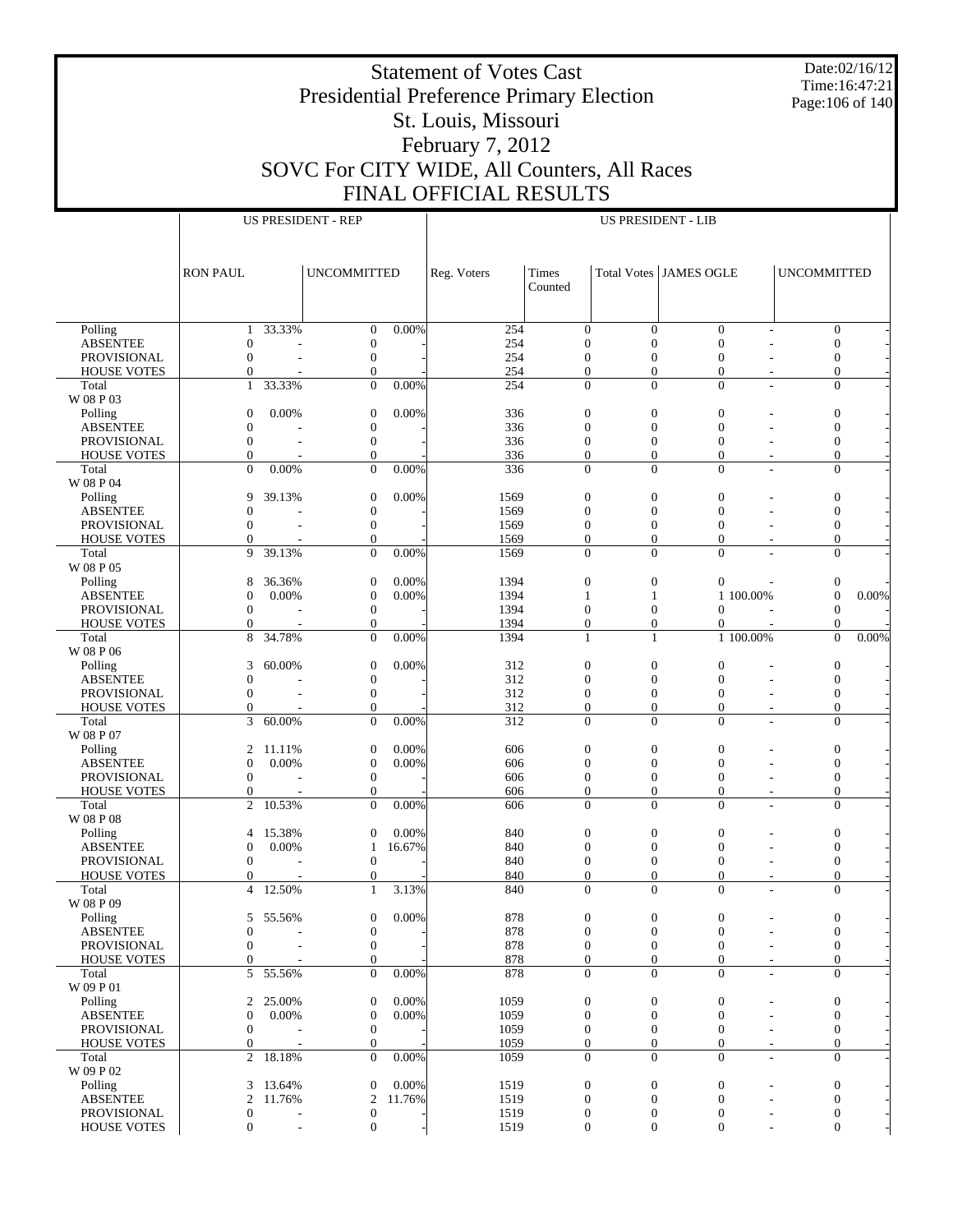Date:02/16/12 Time:16:47:21 Page:106 of 140

## Presidential Preference Primary Election St. Louis, Missouri February 7, 2012 SOVC For CITY WIDE, All Counters, All Races FINAL OFFICIAL RESULTS

 $\top$ 

US PRESIDENT - LIB

US PRESIDENT - REP

|                                          | <b>RON PAUL</b>                |                  | <b>UNCOMMITTED</b>                   |                 | Reg. Voters  | Times<br>Counted                   |                                      | Total Votes JAMES OGLE             |                                  | <b>UNCOMMITTED</b>                   |       |
|------------------------------------------|--------------------------------|------------------|--------------------------------------|-----------------|--------------|------------------------------------|--------------------------------------|------------------------------------|----------------------------------|--------------------------------------|-------|
|                                          |                                |                  |                                      |                 |              |                                    |                                      |                                    |                                  |                                      |       |
| Polling                                  | 1                              | 33.33%           | $\boldsymbol{0}$                     | 0.00%           | 254          | $\boldsymbol{0}$                   | $\theta$                             | $\mathbf{0}$                       |                                  | $\boldsymbol{0}$                     |       |
| <b>ABSENTEE</b>                          | $\theta$                       |                  | $\mathbf{0}$                         |                 | 254          | $\boldsymbol{0}$                   | $\overline{0}$                       | $\boldsymbol{0}$                   |                                  | $\boldsymbol{0}$                     |       |
| <b>PROVISIONAL</b>                       | $\mathbf{0}$                   |                  | $\mathbf{0}$                         |                 | 254          | $\boldsymbol{0}$                   | $\boldsymbol{0}$                     | $\boldsymbol{0}$                   |                                  | $\boldsymbol{0}$                     |       |
| <b>HOUSE VOTES</b>                       | $\mathbf{0}$                   |                  | $\mathbf{0}$                         |                 | 254          | $\boldsymbol{0}$                   | $\boldsymbol{0}$                     | $\mathbf{0}$                       |                                  | $\boldsymbol{0}$                     |       |
| Total<br>W 08 P 03                       | $\mathbf{1}$                   | 33.33%           | $\overline{0}$                       | 0.00%           | 254          | $\mathbf{0}$                       | $\mathbf{0}$                         | $\overline{0}$                     | $\overline{\phantom{a}}$         | $\overline{0}$                       |       |
| Polling                                  | $\theta$                       | 0.00%            | $\boldsymbol{0}$                     | 0.00%           | 336          | $\boldsymbol{0}$                   | $\boldsymbol{0}$                     | $\mathbf{0}$                       |                                  | $\boldsymbol{0}$                     |       |
| <b>ABSENTEE</b>                          | $\theta$                       |                  | $\mathbf{0}$                         |                 | 336          | $\boldsymbol{0}$                   | $\mathbf{0}$                         | $\boldsymbol{0}$                   |                                  | $\boldsymbol{0}$                     |       |
| <b>PROVISIONAL</b>                       | $\mathbf{0}$                   | ÷                | $\mathbf{0}$                         |                 | 336          | $\boldsymbol{0}$                   | $\boldsymbol{0}$                     | $\boldsymbol{0}$                   |                                  | $\boldsymbol{0}$                     |       |
| <b>HOUSE VOTES</b>                       | $\mathbf{0}$                   |                  | $\mathbf{0}$                         |                 | 336          | $\boldsymbol{0}$                   | $\mathbf{0}$                         | $\overline{0}$                     | $\overline{a}$                   | $\boldsymbol{0}$                     |       |
| Total                                    | $\Omega$                       | 0.00%            | $\overline{0}$                       | 0.00%           | 336          | $\mathbf{0}$                       | $\overline{0}$                       | $\mathbf{0}$                       |                                  | $\overline{0}$                       |       |
| W 08 P 04<br>Polling                     | 9                              | 39.13%           | $\mathbf{0}$                         | 0.00%           | 1569         | $\boldsymbol{0}$                   | $\mathbf{0}$                         | $\mathbf{0}$                       |                                  | $\boldsymbol{0}$                     |       |
| <b>ABSENTEE</b>                          | $\theta$                       |                  | $\boldsymbol{0}$                     |                 | 1569         | $\boldsymbol{0}$                   | $\mathbf{0}$                         | $\boldsymbol{0}$                   |                                  | $\boldsymbol{0}$                     |       |
| <b>PROVISIONAL</b>                       | $\Omega$                       |                  | $\mathbf{0}$                         |                 | 1569         | $\boldsymbol{0}$                   | $\boldsymbol{0}$                     | $\boldsymbol{0}$                   |                                  | $\boldsymbol{0}$                     |       |
| <b>HOUSE VOTES</b>                       | $\theta$                       |                  | $\mathbf{0}$                         |                 | 1569         | $\boldsymbol{0}$                   | $\boldsymbol{0}$                     | $\mathbf{0}$                       |                                  | $\boldsymbol{0}$                     |       |
| Total                                    | 9                              | 39.13%           | $\overline{0}$                       | 0.00%           | 1569         | $\mathbf{0}$                       | $\mathbf{0}$                         | $\mathbf{0}$                       |                                  | $\overline{0}$                       |       |
| W 08 P 05                                |                                |                  |                                      |                 |              |                                    |                                      |                                    |                                  |                                      |       |
| Polling<br><b>ABSENTEE</b>               | 8<br>$\theta$                  | 36.36%<br>0.00%  | $\mathbf{0}$<br>$\mathbf{0}$         | 0.00%<br>0.00%  | 1394<br>1394 | $\boldsymbol{0}$<br>1              | $\boldsymbol{0}$<br>1                | $\mathbf{0}$                       | 1 100.00%                        | $\boldsymbol{0}$<br>$\boldsymbol{0}$ | 0.00% |
| <b>PROVISIONAL</b>                       | $\theta$                       |                  | $\mathbf{0}$                         |                 | 1394         | $\boldsymbol{0}$                   | $\boldsymbol{0}$                     | $\mathbf{0}$                       |                                  | $\mathbf{0}$                         |       |
| <b>HOUSE VOTES</b>                       | $\mathbf{0}$                   |                  | $\mathbf{0}$                         |                 | 1394         | $\boldsymbol{0}$                   | $\mathbf{0}$                         | $\overline{0}$                     |                                  | $\mathbf{0}$                         |       |
| Total                                    | 8                              | 34.78%           | $\overline{0}$                       | 0.00%           | 1394         | 1                                  | 1                                    |                                    | 1 100.00%                        | $\overline{0}$                       | 0.00% |
| W 08 P 06                                |                                |                  |                                      |                 |              |                                    |                                      |                                    |                                  |                                      |       |
| Polling                                  | 3                              | 60.00%           | $\boldsymbol{0}$                     | 0.00%           | 312          | $\boldsymbol{0}$                   | $\mathbf{0}$                         | $\boldsymbol{0}$                   |                                  | $\boldsymbol{0}$                     |       |
| <b>ABSENTEE</b>                          | $\theta$                       |                  | $\boldsymbol{0}$                     |                 | 312          | $\boldsymbol{0}$                   | $\boldsymbol{0}$                     | $\boldsymbol{0}$                   |                                  | $\boldsymbol{0}$                     |       |
| <b>PROVISIONAL</b><br><b>HOUSE VOTES</b> | $\Omega$<br>$\theta$           |                  | $\boldsymbol{0}$<br>$\boldsymbol{0}$ |                 | 312<br>312   | $\mathbf{0}$<br>$\boldsymbol{0}$   | $\boldsymbol{0}$<br>$\boldsymbol{0}$ | $\boldsymbol{0}$<br>$\mathbf{0}$   | $\overline{a}$                   | $\mathbf{0}$<br>$\mathbf{0}$         |       |
| Total                                    | 3                              | 60.00%           | $\overline{0}$                       | 0.00%           | 312          | $\mathbf{0}$                       | $\theta$                             | $\overline{0}$                     |                                  | $\overline{0}$                       |       |
| W 08 P 07                                |                                |                  |                                      |                 |              |                                    |                                      |                                    |                                  |                                      |       |
| Polling                                  | 2                              | 11.11%           | $\mathbf{0}$                         | 0.00%           | 606          | $\boldsymbol{0}$                   | $\boldsymbol{0}$                     | $\boldsymbol{0}$                   |                                  | $\boldsymbol{0}$                     |       |
| <b>ABSENTEE</b>                          | $\theta$                       | 0.00%            | $\mathbf{0}$                         | 0.00%           | 606          | $\boldsymbol{0}$                   | $\mathbf{0}$                         | $\boldsymbol{0}$                   |                                  | $\boldsymbol{0}$                     |       |
| <b>PROVISIONAL</b>                       | $\theta$                       |                  | $\boldsymbol{0}$                     |                 | 606          | $\mathbf{0}$<br>$\boldsymbol{0}$   | $\boldsymbol{0}$<br>$\mathbf{0}$     | $\boldsymbol{0}$<br>$\overline{0}$ |                                  | $\boldsymbol{0}$<br>$\mathbf{0}$     |       |
| <b>HOUSE VOTES</b><br>Total              | $\mathbf{0}$<br>$\overline{c}$ | 10.53%           | $\mathbf{0}$<br>$\overline{0}$       | 0.00%           | 606<br>606   | $\mathbf{0}$                       | $\overline{0}$                       | $\mathbf{0}$                       | $\overline{a}$<br>÷              | $\overline{0}$                       |       |
| W 08 P 08                                |                                |                  |                                      |                 |              |                                    |                                      |                                    |                                  |                                      |       |
| Polling                                  | $\overline{4}$                 | 15.38%           | $\overline{0}$                       | 0.00%           | 840          | $\boldsymbol{0}$                   | $\mathbf{0}$                         | $\mathbf{0}$                       |                                  | $\boldsymbol{0}$                     |       |
| <b>ABSENTEE</b>                          | $\theta$                       | 0.00%            | 1                                    | 16.67%          | 840          | $\boldsymbol{0}$                   | $\boldsymbol{0}$                     | $\mathbf{0}$                       |                                  | $\boldsymbol{0}$                     |       |
| <b>PROVISIONAL</b>                       | $\theta$                       |                  | $\mathbf{0}$                         |                 | 840          | $\boldsymbol{0}$                   | $\boldsymbol{0}$                     | $\boldsymbol{0}$                   |                                  | $\mathbf{0}$                         |       |
| <b>HOUSE VOTES</b><br>Total              | $\theta$<br>$\overline{4}$     | 12.50%           | 0<br>$\mathbf{1}$                    | 3.13%           | 840<br>840   | $\boldsymbol{0}$<br>$\overline{0}$ | $\boldsymbol{0}$<br>$\overline{0}$   | $\mathbf{0}$<br>$\overline{0}$     | $\overline{a}$<br>$\overline{a}$ | $\mathbf{0}$<br>$\overline{0}$       |       |
| W 08 P 09                                |                                |                  |                                      |                 |              |                                    |                                      |                                    |                                  |                                      |       |
| Polling                                  |                                | 5 55.56%         | $\mathbf{0}$                         | 0.00%           | 878          | $\boldsymbol{0}$                   | $\boldsymbol{0}$                     | $\mathbf{0}$                       | $\overline{a}$                   | $\boldsymbol{0}$                     |       |
| ABSENTEE                                 | $\mathbf 0$                    |                  | $\boldsymbol{0}$                     |                 | 878          | 0                                  | $\boldsymbol{0}$                     | $\boldsymbol{0}$                   | ٠                                | 0                                    |       |
| PROVISIONAL                              | $\mathbf{0}$                   |                  | $\boldsymbol{0}$                     |                 | 878          | $\boldsymbol{0}$                   | $\boldsymbol{0}$                     | $\mathbf{0}$                       | $\overline{a}$                   | $\boldsymbol{0}$                     |       |
| HOUSE VOTES                              | $\mathbf{0}$                   |                  | $\boldsymbol{0}$                     |                 | 878          | $\mathbf{0}$                       | $\boldsymbol{0}$                     | $\boldsymbol{0}$                   | $\overline{\phantom{a}}$         | $\boldsymbol{0}$                     |       |
| Total<br>W 09 P 01                       | 5                              | 55.56%           | $\overline{0}$                       | 0.00%           | 878          | $\mathbf{0}$                       | $\theta$                             | $\mathbf{0}$                       | $\sim$                           | $\overline{0}$                       |       |
| Polling                                  | 2                              | 25.00%           | $\boldsymbol{0}$                     | 0.00%           | 1059         | $\mathbf{0}$                       | $\boldsymbol{0}$                     | $\mathbf{0}$                       |                                  | $\boldsymbol{0}$                     |       |
| <b>ABSENTEE</b>                          | $\boldsymbol{0}$               | 0.00%            | $\mathbf{0}$                         | 0.00%           | 1059         | $\mathbf{0}$                       | $\boldsymbol{0}$                     | $\mathbf{0}$                       |                                  | $\boldsymbol{0}$                     |       |
| <b>PROVISIONAL</b>                       | $\theta$                       |                  | $\mathbf{0}$                         |                 | 1059         | $\mathbf{0}$                       | $\boldsymbol{0}$                     | $\boldsymbol{0}$                   |                                  | $\boldsymbol{0}$                     |       |
| <b>HOUSE VOTES</b>                       | $\boldsymbol{0}$               |                  | $\mathbf{0}$                         |                 | 1059         | $\mathbf{0}$                       | $\boldsymbol{0}$                     | $\mathbf{0}$                       | $\overline{\phantom{a}}$         | $\boldsymbol{0}$                     |       |
| Total                                    | 2                              | 18.18%           | $\overline{0}$                       | 0.00%           | 1059         | $\overline{0}$                     | $\Omega$                             | $\mathbf{0}$                       | ÷                                | $\overline{0}$                       |       |
| W 09 P 02                                |                                |                  |                                      |                 |              |                                    |                                      |                                    |                                  |                                      |       |
| Polling<br><b>ABSENTEE</b>               | 3<br>2                         | 13.64%<br>11.76% | $\mathbf{0}$<br>$\overline{c}$       | 0.00%<br>11.76% | 1519<br>1519 | $\mathbf{0}$<br>$\mathbf{0}$       | $\boldsymbol{0}$<br>$\boldsymbol{0}$ | $\mathbf{0}$<br>$\mathbf{0}$       | Ĭ.                               | $\boldsymbol{0}$<br>$\boldsymbol{0}$ |       |
| PROVISIONAL                              | $\boldsymbol{0}$               |                  | $\boldsymbol{0}$                     |                 | 1519         | $\boldsymbol{0}$                   | $\boldsymbol{0}$                     | $\boldsymbol{0}$                   |                                  | $\boldsymbol{0}$                     |       |
| <b>HOUSE VOTES</b>                       | $\mathbf{0}$                   |                  | $\boldsymbol{0}$                     |                 | 1519         | $\mathbf{0}$                       | $\overline{0}$                       | $\mathbf{0}$                       |                                  | $\boldsymbol{0}$                     |       |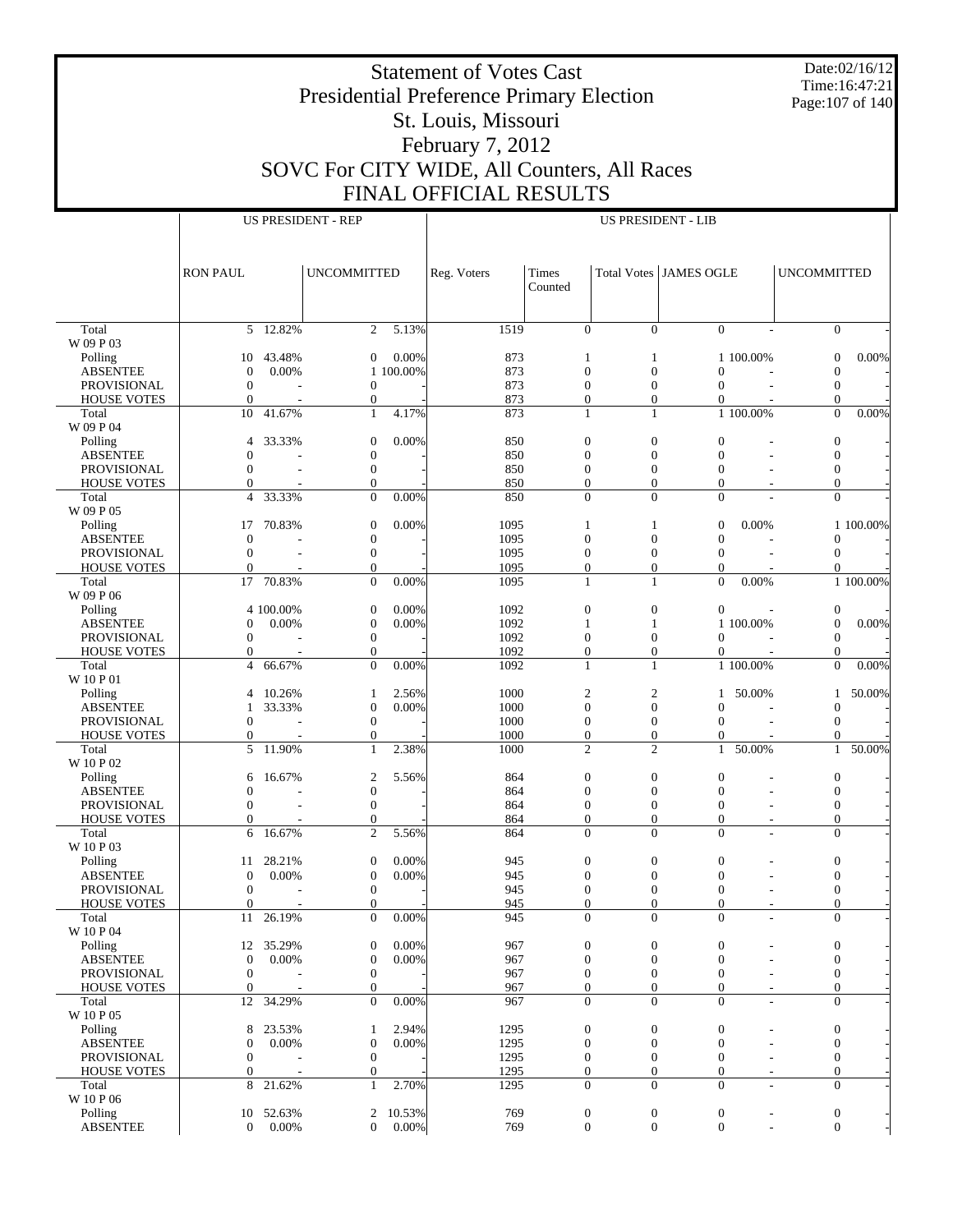Date:02/16/12 Time:16:47:21 Page:107 of 140

## Presidential Preference Primary Election St. Louis, Missouri February 7, 2012 SOVC For CITY WIDE, All Counters, All Races FINAL OFFICIAL RESULTS

Τ

|                                   |                                  |                 | <b>US PRESIDENT - REP</b>            |                    | <b>US PRESIDENT - LIB</b> |                                      |                                      |                                      |                          |                                      |           |  |
|-----------------------------------|----------------------------------|-----------------|--------------------------------------|--------------------|---------------------------|--------------------------------------|--------------------------------------|--------------------------------------|--------------------------|--------------------------------------|-----------|--|
|                                   |                                  |                 |                                      |                    |                           |                                      |                                      |                                      |                          |                                      |           |  |
|                                   |                                  |                 |                                      |                    |                           |                                      |                                      |                                      |                          |                                      |           |  |
|                                   | <b>RON PAUL</b>                  |                 | <b>UNCOMMITTED</b>                   |                    | Reg. Voters               | Times                                | Total Votes JAMES OGLE               |                                      |                          | <b>UNCOMMITTED</b>                   |           |  |
|                                   |                                  |                 |                                      |                    |                           | Counted                              |                                      |                                      |                          |                                      |           |  |
|                                   |                                  |                 |                                      |                    |                           |                                      |                                      |                                      |                          |                                      |           |  |
|                                   |                                  |                 |                                      |                    |                           |                                      |                                      |                                      |                          |                                      |           |  |
| Total                             | 5                                | 12.82%          | 2                                    | 5.13%              | 1519                      | $\mathbf{0}$                         | $\overline{0}$                       | $\overline{0}$                       |                          | $\overline{0}$                       |           |  |
| W 09 P 03                         |                                  |                 |                                      |                    |                           |                                      |                                      |                                      |                          |                                      |           |  |
| Polling<br><b>ABSENTEE</b>        | 10<br>$\boldsymbol{0}$           | 43.48%<br>0.00% | $\boldsymbol{0}$                     | 0.00%<br>1 100.00% | 873<br>873                | 1<br>$\boldsymbol{0}$                | 1<br>$\boldsymbol{0}$                | $\boldsymbol{0}$                     | 1 100.00%                | $\mathbf{0}$<br>$\mathbf{0}$         | $0.00\%$  |  |
| PROVISIONAL                       | $\boldsymbol{0}$                 |                 | $\boldsymbol{0}$                     |                    | 873                       | $\boldsymbol{0}$                     | $\boldsymbol{0}$                     | $\overline{0}$                       |                          | $\mathbf{0}$                         |           |  |
| <b>HOUSE VOTES</b>                | $\overline{0}$                   |                 | $\boldsymbol{0}$                     |                    | 873                       | $\overline{0}$                       | $\mathbf{0}$                         | $\theta$                             |                          | $\Omega$                             |           |  |
| Total                             | 10                               | 41.67%          | $\mathbf{1}$                         | 4.17%              | 873                       | 1                                    | 1                                    |                                      | 1 100.00%                | $\overline{0}$                       | 0.00%     |  |
| W 09 P 04                         |                                  |                 |                                      |                    |                           |                                      |                                      |                                      |                          |                                      |           |  |
| Polling                           | 4                                | 33.33%          | $\boldsymbol{0}$                     | 0.00%              | 850                       | $\boldsymbol{0}$                     | $\boldsymbol{0}$                     | $\boldsymbol{0}$                     |                          | $\mathbf{0}$                         |           |  |
| <b>ABSENTEE</b>                   | $\mathbf{0}$                     |                 | $\boldsymbol{0}$                     |                    | 850                       | $\boldsymbol{0}$                     | $\boldsymbol{0}$                     | $\mathbf{0}$                         |                          | $\boldsymbol{0}$                     |           |  |
| PROVISIONAL                       | $\Omega$<br>$\mathbf{0}$         |                 | $\boldsymbol{0}$<br>$\mathbf{0}$     |                    | 850<br>850                | $\boldsymbol{0}$<br>$\boldsymbol{0}$ | $\boldsymbol{0}$<br>$\overline{0}$   | $\mathbf{0}$<br>$\mathbf{0}$         |                          | $\boldsymbol{0}$<br>$\boldsymbol{0}$ |           |  |
| <b>HOUSE VOTES</b><br>Total       | $\overline{4}$                   | 33.33%          | $\overline{0}$                       | 0.00%              | 850                       | $\overline{0}$                       | $\Omega$                             | $\theta$                             |                          | $\overline{0}$                       |           |  |
| W 09 P 05                         |                                  |                 |                                      |                    |                           |                                      |                                      |                                      |                          |                                      |           |  |
| Polling                           | 17                               | 70.83%          | $\boldsymbol{0}$                     | 0.00%              | 1095                      | 1                                    | 1                                    | $\overline{0}$                       | 0.00%                    |                                      | 1 100.00% |  |
| <b>ABSENTEE</b>                   | $\mathbf{0}$                     |                 | $\boldsymbol{0}$                     |                    | 1095                      | $\boldsymbol{0}$                     | $\boldsymbol{0}$                     | $\boldsymbol{0}$                     |                          | $\mathbf{0}$                         |           |  |
| PROVISIONAL                       | $\mathbf{0}$                     |                 | $\boldsymbol{0}$                     |                    | 1095                      | $\boldsymbol{0}$                     | $\boldsymbol{0}$                     | $\mathbf{0}$                         |                          | $\boldsymbol{0}$                     |           |  |
| <b>HOUSE VOTES</b>                | $\mathbf{0}$                     |                 | $\mathbf{0}$                         |                    | 1095                      | $\overline{0}$                       | $\overline{0}$                       | $\mathbf{0}$                         |                          | $\Omega$                             |           |  |
| Total                             | 17                               | 70.83%          | $\overline{0}$                       | 0.00%              | 1095                      | 1                                    | 1                                    | $\overline{0}$                       | 0.00%                    |                                      | 1 100.00% |  |
| W 09 P 06<br>Polling              |                                  | 4 100.00%       | $\boldsymbol{0}$                     | 0.00%              | 1092                      | $\boldsymbol{0}$                     | $\boldsymbol{0}$                     | $\boldsymbol{0}$                     |                          | $\boldsymbol{0}$                     |           |  |
| <b>ABSENTEE</b>                   | 0                                | 0.00%           | $\boldsymbol{0}$                     | 0.00%              | 1092                      | $\mathbf{1}$                         | $\mathbf{1}$                         |                                      | 1 100.00%                | $\mathbf{0}$                         | $0.00\%$  |  |
| PROVISIONAL                       | $\mathbf{0}$                     |                 | $\boldsymbol{0}$                     |                    | 1092                      | $\boldsymbol{0}$                     | $\boldsymbol{0}$                     | $\boldsymbol{0}$                     |                          | $\mathbf{0}$                         |           |  |
| <b>HOUSE VOTES</b>                | $\overline{0}$                   |                 | $\boldsymbol{0}$                     |                    | 1092                      | $\boldsymbol{0}$                     | $\boldsymbol{0}$                     | $\boldsymbol{0}$                     |                          | $\mathbf{0}$                         |           |  |
| Total                             | $\overline{4}$                   | 66.67%          | $\overline{0}$                       | 0.00%              | 1092                      | 1                                    | 1                                    |                                      | 1 100.00%                | $\overline{0}$                       | 0.00%     |  |
| W 10 P 01                         |                                  |                 |                                      |                    |                           |                                      |                                      |                                      |                          |                                      |           |  |
| Polling                           | 4                                | 10.26%          | 1                                    | 2.56%              | 1000                      | $\mathbf{2}$                         | $\boldsymbol{2}$                     | 1                                    | 50.00%                   | 1                                    | 50.00%    |  |
| <b>ABSENTEE</b>                   | 1                                | 33.33%          | $\boldsymbol{0}$                     | 0.00%              | 1000                      | $\boldsymbol{0}$                     | $\boldsymbol{0}$                     | $\overline{0}$                       |                          | $\mathbf{0}$                         |           |  |
| PROVISIONAL<br><b>HOUSE VOTES</b> | $\overline{0}$<br>$\overline{0}$ |                 | $\boldsymbol{0}$<br>$\mathbf{0}$     |                    | 1000<br>1000              | $\boldsymbol{0}$<br>$\boldsymbol{0}$ | $\boldsymbol{0}$<br>$\boldsymbol{0}$ | $\mathbf{0}$<br>$\mathbf{0}$         | $\overline{a}$           | $\mathbf{0}$<br>$\Omega$             |           |  |
| Total                             | 5                                | 11.90%          | $\mathbf{1}$                         | 2.38%              | 1000                      | $\overline{c}$                       | $\mathfrak{2}$                       | $\mathbf{1}$                         | 50.00%                   | $\mathbf{1}$                         | 50.00%    |  |
| W 10 P 02                         |                                  |                 |                                      |                    |                           |                                      |                                      |                                      |                          |                                      |           |  |
| Polling                           | 6                                | 16.67%          | $\boldsymbol{2}$                     | 5.56%              | 864                       | $\boldsymbol{0}$                     | $\boldsymbol{0}$                     | $\boldsymbol{0}$                     |                          | $\boldsymbol{0}$                     |           |  |
| <b>ABSENTEE</b>                   | $\mathbf{0}$                     |                 | $\boldsymbol{0}$                     |                    | 864                       | $\boldsymbol{0}$                     | $\boldsymbol{0}$                     | $\mathbf{0}$                         |                          | $\boldsymbol{0}$                     |           |  |
| PROVISIONAL                       | $\Omega$                         |                 | $\boldsymbol{0}$                     |                    | 864                       | $\boldsymbol{0}$                     | $\boldsymbol{0}$                     | $\boldsymbol{0}$                     |                          | $\boldsymbol{0}$                     |           |  |
| <b>HOUSE VOTES</b>                | $\mathbf{0}$                     |                 | $\boldsymbol{0}$                     |                    | 864                       | $\boldsymbol{0}$                     | $\boldsymbol{0}$                     | $\mathbf{0}$                         |                          | $\boldsymbol{0}$                     |           |  |
| Total<br>W 10 P 03                | 6                                | 16.67%          | $\overline{2}$                       | 5.56%              | 864                       | $\Omega$                             | $\Omega$                             | $\theta$                             |                          | $\overline{0}$                       |           |  |
| Polling                           | 11                               | 28.21%          | $\boldsymbol{0}$                     | 0.00%              | 945                       | $\boldsymbol{0}$                     | $\boldsymbol{0}$                     | $\boldsymbol{0}$                     |                          | $\boldsymbol{0}$                     |           |  |
| <b>ABSENTEE</b>                   | $\boldsymbol{0}$                 | 0.00%           | $\boldsymbol{0}$                     | 0.00%              | 945                       | $\mathbf{0}$                         | $\mathbf{0}$                         | $\overline{0}$                       |                          | $\boldsymbol{0}$                     |           |  |
| PROVISIONAL                       | $\boldsymbol{0}$                 |                 | $\boldsymbol{0}$                     |                    | 945                       | $\boldsymbol{0}$                     | $\boldsymbol{0}$                     | $\mathbf{0}$                         |                          | $\boldsymbol{0}$                     |           |  |
| <b>HOUSE VOTES</b>                | $\mathbf{0}$                     |                 | $\Omega$                             |                    | 945                       | $\Omega$                             | $\Omega$                             | $\Omega$                             |                          | $\Omega$                             |           |  |
| Total                             | 11                               | 26.19%          | $\boldsymbol{0}$                     | 0.00%              | 945                       | $\mathbf{0}$                         | $\mathbf{0}$                         | $\boldsymbol{0}$                     |                          | $\mathbf{0}$                         |           |  |
| W 10 P 04                         |                                  |                 |                                      |                    |                           |                                      |                                      |                                      |                          |                                      |           |  |
| Polling                           | 12                               | 35.29%          | $\boldsymbol{0}$                     | 0.00%              | 967                       | $\boldsymbol{0}$                     | $\boldsymbol{0}$                     | $\boldsymbol{0}$                     |                          | $\boldsymbol{0}$                     |           |  |
| <b>ABSENTEE</b><br>PROVISIONAL    | $\mathbf{0}$<br>$\boldsymbol{0}$ | 0.00%           | $\boldsymbol{0}$<br>$\boldsymbol{0}$ | 0.00%              | 967<br>967                | $\boldsymbol{0}$<br>$\mathbf{0}$     | $\boldsymbol{0}$<br>$\boldsymbol{0}$ | $\boldsymbol{0}$<br>$\boldsymbol{0}$ |                          | $\boldsymbol{0}$<br>$\boldsymbol{0}$ |           |  |
| <b>HOUSE VOTES</b>                | $\mathbf{0}$                     |                 | $\boldsymbol{0}$                     |                    | 967                       | $\boldsymbol{0}$                     | $\mathbf{0}$                         | $\overline{0}$                       |                          | $\boldsymbol{0}$                     |           |  |
| Total                             | 12                               | 34.29%          | $\overline{0}$                       | 0.00%              | 967                       | $\overline{0}$                       | $\theta$                             | $\overline{0}$                       |                          | $\boldsymbol{0}$                     |           |  |
| W 10 P 05                         |                                  |                 |                                      |                    |                           |                                      |                                      |                                      |                          |                                      |           |  |
| Polling                           | 8                                | 23.53%          | $\mathbf{1}$                         | 2.94%              | 1295                      | $\boldsymbol{0}$                     | $\boldsymbol{0}$                     | $\boldsymbol{0}$                     |                          | $\boldsymbol{0}$                     |           |  |
| <b>ABSENTEE</b>                   | 0                                | 0.00%           | $\boldsymbol{0}$                     | 0.00%              | 1295                      | $\boldsymbol{0}$                     | $\boldsymbol{0}$                     | $\boldsymbol{0}$                     |                          | $\boldsymbol{0}$                     |           |  |
| PROVISIONAL                       | 0                                |                 | $\boldsymbol{0}$                     |                    | 1295                      | $\mathbf{0}$                         | $\mathbf{0}$                         | $\boldsymbol{0}$                     |                          | $\boldsymbol{0}$                     |           |  |
| <b>HOUSE VOTES</b>                | $\overline{0}$<br>8              |                 | $\boldsymbol{0}$<br>$\mathbf{1}$     | 2.70%              | 1295                      | $\boldsymbol{0}$<br>$\overline{0}$   | $\mathbf{0}$<br>$\overline{0}$       | $\mathbf{0}$<br>$\mathbf{0}$         | $\overline{\phantom{a}}$ | $\boldsymbol{0}$<br>$\mathbf{0}$     |           |  |
| Total<br>W 10 P 06                |                                  | 21.62%          |                                      |                    | 1295                      |                                      |                                      |                                      | $\overline{\phantom{a}}$ |                                      |           |  |
| Polling                           | 10                               | 52.63%          | 2                                    | 10.53%             | 769                       | $\boldsymbol{0}$                     | $\boldsymbol{0}$                     | $\boldsymbol{0}$                     |                          | $\boldsymbol{0}$                     |           |  |
| <b>ABSENTEE</b>                   | $\overline{0}$                   | 0.00%           | $\Omega$                             | 0.00%              | 769                       | $\mathbf{0}$                         | $\overline{0}$                       | $\overline{0}$                       |                          | $\boldsymbol{0}$                     |           |  |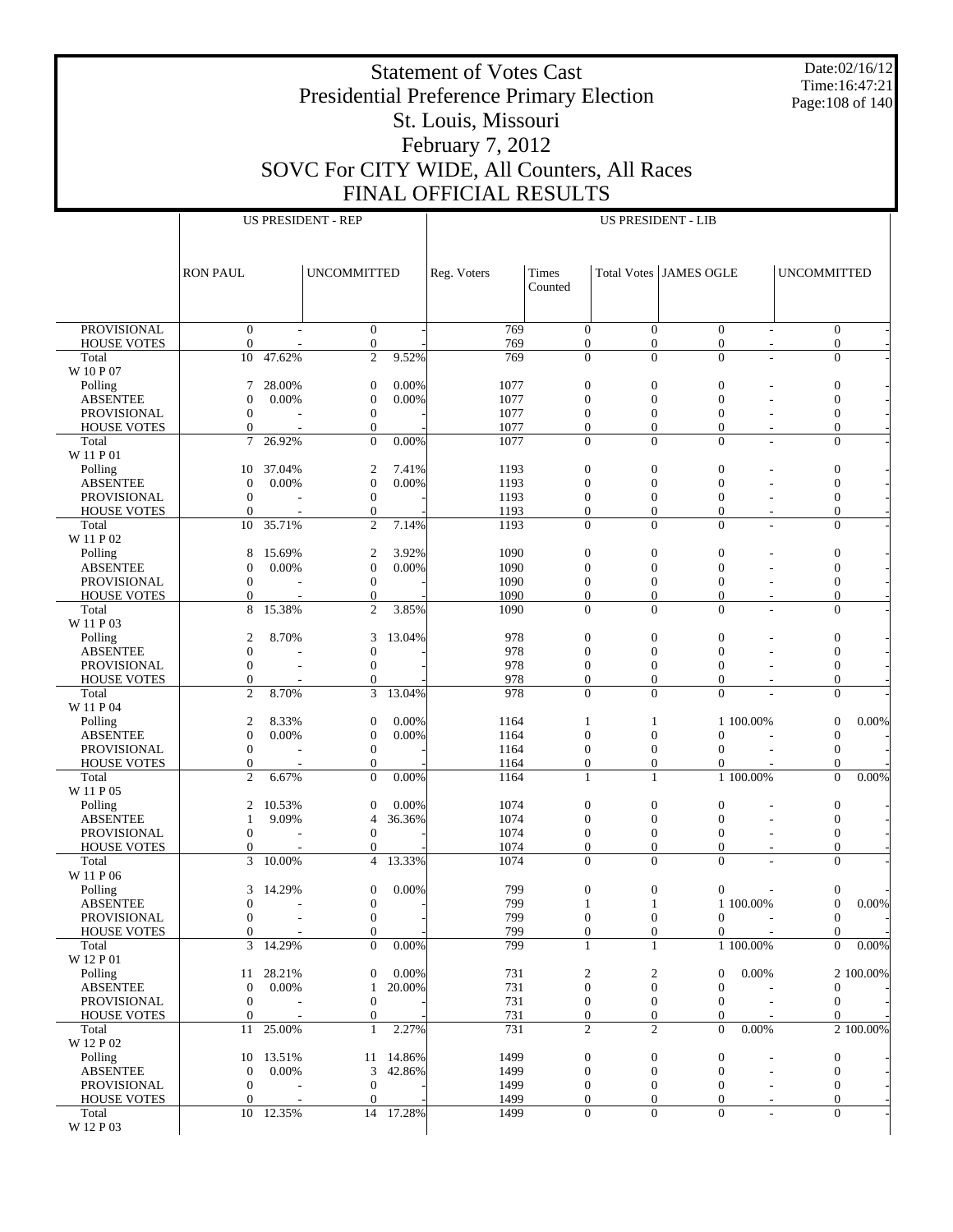Date:02/16/12 Time:16:47:21 Page:108 of 140

## Presidential Preference Primary Election St. Louis, Missouri February 7, 2012

Statement of Votes Cast

SOVC For CITY WIDE, All Counters, All Races FINAL OFFICIAL RESULTS

|                                          | <b>US PRESIDENT - REP</b>            |                    |                                      |                     | <b>US PRESIDENT - LIB</b> |                                      |                                      |                                    |                          |                                  |           |
|------------------------------------------|--------------------------------------|--------------------|--------------------------------------|---------------------|---------------------------|--------------------------------------|--------------------------------------|------------------------------------|--------------------------|----------------------------------|-----------|
|                                          |                                      |                    |                                      |                     |                           |                                      |                                      |                                    |                          |                                  |           |
|                                          | <b>RON PAUL</b>                      |                    | <b>UNCOMMITTED</b>                   |                     | Reg. Voters               | Times                                |                                      | <b>Total Votes JAMES OGLE</b>      |                          | <b>UNCOMMITTED</b>               |           |
|                                          |                                      |                    |                                      |                     |                           | Counted                              |                                      |                                    |                          |                                  |           |
|                                          |                                      |                    |                                      |                     |                           |                                      |                                      |                                    |                          |                                  |           |
| <b>PROVISIONAL</b>                       | $\mathbf{0}$                         |                    | $\mathbf{0}$                         |                     | 769                       | $\mathbf{0}$                         | $\mathbf{0}$                         | $\boldsymbol{0}$                   | $\sim$                   | $\mathbf{0}$                     |           |
| <b>HOUSE VOTES</b>                       | $\mathbf{0}$                         |                    | $\mathbf{0}$                         | 9.52%               | 769<br>769                | $\boldsymbol{0}$                     | $\mathbf{0}$<br>$\overline{0}$       | $\boldsymbol{0}$<br>$\overline{0}$ | $\overline{\phantom{a}}$ | $\mathbf{0}$                     |           |
| Total<br>W 10 P 07                       | 10                                   | 47.62%             | $\mathfrak{2}$                       |                     |                           | $\boldsymbol{0}$                     |                                      |                                    |                          | $\boldsymbol{0}$                 |           |
| Polling                                  | 7                                    | 28.00%             | $\boldsymbol{0}$                     | 0.00%               | 1077                      | $\boldsymbol{0}$                     | $\mathbf{0}$                         | $\mathbf{0}$                       |                          | $\boldsymbol{0}$                 |           |
| <b>ABSENTEE</b><br>PROVISIONAL           | $\mathbf{0}$<br>$\boldsymbol{0}$     | 0.00%              | $\boldsymbol{0}$<br>$\mathbf{0}$     | 0.00%               | 1077<br>1077              | $\boldsymbol{0}$<br>$\mathbf{0}$     | $\boldsymbol{0}$<br>$\boldsymbol{0}$ | $\overline{0}$<br>$\overline{0}$   |                          | $\mathbf{0}$<br>$\mathbf{0}$     |           |
| <b>HOUSE VOTES</b>                       | $\mathbf{0}$                         |                    | $\mathbf{0}$                         |                     | 1077                      | $\mathbf{0}$                         | $\overline{0}$                       | $\overline{0}$                     |                          | $\mathbf{0}$                     |           |
| Total<br>W 11 P 01                       | $\tau$                               | 26.92%             | $\theta$                             | 0.00%               | 1077                      | $\mathbf{0}$                         | $\overline{0}$                       | $\overline{0}$                     |                          | $\mathbf{0}$                     |           |
| Polling                                  | 10                                   | 37.04%             | $\overline{c}$                       | 7.41%               | 1193                      | $\boldsymbol{0}$                     | $\boldsymbol{0}$                     | $\mathbf{0}$                       |                          | $\boldsymbol{0}$                 |           |
| <b>ABSENTEE</b>                          | $\mathbf{0}$                         | 0.00%              | $\boldsymbol{0}$                     | 0.00%               | 1193                      | $\boldsymbol{0}$                     | $\overline{0}$                       | $\overline{0}$                     |                          | $\mathbf{0}$                     |           |
| <b>PROVISIONAL</b><br><b>HOUSE VOTES</b> | $\boldsymbol{0}$<br>$\Omega$         |                    | $\boldsymbol{0}$<br>$\boldsymbol{0}$ |                     | 1193<br>1193              | $\boldsymbol{0}$<br>$\overline{0}$   | $\boldsymbol{0}$<br>$\overline{0}$   | $\mathbf{0}$<br>$\overline{0}$     |                          | $\mathbf{0}$<br>$\mathbf{0}$     |           |
| Total                                    | 10                                   | 35.71%             | $\mathfrak{2}$                       | 7.14%               | 1193                      | $\boldsymbol{0}$                     | $\overline{0}$                       | $\mathbf{0}$                       |                          | $\boldsymbol{0}$                 |           |
| W 11 P 02                                |                                      |                    |                                      |                     |                           |                                      |                                      |                                    |                          |                                  |           |
| Polling<br><b>ABSENTEE</b>               | 8<br>$\mathbf{0}$                    | 15.69%<br>0.00%    | $\boldsymbol{2}$<br>$\boldsymbol{0}$ | 3.92%<br>0.00%      | 1090<br>1090              | $\boldsymbol{0}$<br>$\boldsymbol{0}$ | $\mathbf{0}$<br>$\boldsymbol{0}$     | $\mathbf{0}$<br>$\overline{0}$     |                          | $\boldsymbol{0}$<br>$\mathbf{0}$ |           |
| <b>PROVISIONAL</b>                       | $\boldsymbol{0}$                     |                    | $\mathbf{0}$                         |                     | 1090                      | $\mathbf{0}$                         | $\boldsymbol{0}$                     | $\mathbf{0}$                       |                          | $\mathbf{0}$                     |           |
| <b>HOUSE VOTES</b><br>Total              | $\mathbf{0}$<br>8                    | 15.38%             | $\mathbf{0}$<br>$\overline{2}$       | 3.85%               | 1090<br>1090              | $\boldsymbol{0}$<br>$\mathbf{0}$     | $\mathbf{0}$<br>$\overline{0}$       | $\overline{0}$<br>$\Omega$         |                          | $\boldsymbol{0}$<br>$\mathbf{0}$ |           |
| W 11 P 03                                |                                      |                    |                                      |                     |                           |                                      |                                      |                                    |                          |                                  |           |
| Polling                                  | $\mathfrak{2}$                       | 8.70%              | 3                                    | 13.04%              | 978                       | $\boldsymbol{0}$                     | $\boldsymbol{0}$                     | $\mathbf{0}$                       |                          | $\boldsymbol{0}$                 |           |
| <b>ABSENTEE</b><br><b>PROVISIONAL</b>    | $\boldsymbol{0}$<br>$\boldsymbol{0}$ |                    | $\boldsymbol{0}$<br>$\boldsymbol{0}$ |                     | 978<br>978                | $\boldsymbol{0}$<br>$\boldsymbol{0}$ | $\overline{0}$<br>$\boldsymbol{0}$   | $\overline{0}$<br>$\overline{0}$   |                          | $\mathbf{0}$<br>$\mathbf{0}$     |           |
| <b>HOUSE VOTES</b>                       | $\mathbf{0}$                         |                    | $\mathbf{0}$                         |                     | 978                       | $\overline{0}$                       | $\overline{0}$                       | $\overline{0}$                     |                          | $\mathbf{0}$                     |           |
| Total<br>W 11 P 04                       | $\overline{2}$                       | 8.70%              | 3                                    | 13.04%              | 978                       | $\mathbf{0}$                         | $\overline{0}$                       | $\overline{0}$                     |                          | $\mathbf{0}$                     |           |
| Polling                                  | $\mathfrak{2}$                       | 8.33%              | $\mathbf{0}$                         | 0.00%               | 1164                      | 1                                    | 1                                    |                                    | 1 100.00%                | $\mathbf{0}$                     | 0.00%     |
| <b>ABSENTEE</b>                          | $\overline{0}$                       | 0.00%              | $\boldsymbol{0}$                     | 0.00%               | 1164                      | $\boldsymbol{0}$                     | $\boldsymbol{0}$                     | $\overline{0}$                     |                          | $\mathbf{0}$                     |           |
| <b>PROVISIONAL</b><br><b>HOUSE VOTES</b> | $\boldsymbol{0}$<br>$\mathbf{0}$     |                    | $\mathbf{0}$<br>$\mathbf{0}$         |                     | 1164<br>1164              | $\mathbf{0}$<br>$\boldsymbol{0}$     | $\boldsymbol{0}$<br>$\boldsymbol{0}$ | $\overline{0}$<br>$\overline{0}$   |                          | $\mathbf{0}$<br>$\Omega$         |           |
| Total                                    | $\overline{2}$                       | 6.67%              | $\mathbf{0}$                         | 0.00%               | 1164                      | 1                                    | 1                                    |                                    | 1 100.00%                | $\mathbf{0}$                     | 0.00%     |
| W 11 P 05                                |                                      | 10.53%             |                                      | 0.00%               | 1074                      | $\boldsymbol{0}$                     | $\boldsymbol{0}$                     | $\mathbf{0}$                       |                          |                                  |           |
| Polling<br><b>ABSENTEE</b>               | 2<br>$\mathbf{1}$                    | 9.09%              | $\mathbf{0}$<br>$\overline{4}$       | 36.36%              | 1074                      | $\boldsymbol{0}$                     | $\overline{0}$                       | $\overline{0}$                     |                          | $\boldsymbol{0}$<br>$\mathbf{0}$ |           |
| <b>PROVISIONAL</b>                       | $\boldsymbol{0}$                     |                    | $\boldsymbol{0}$                     |                     | 1074                      | $\boldsymbol{0}$                     | $\boldsymbol{0}$                     | $\mathbf{0}$                       |                          | $\mathbf{0}$                     |           |
| <b>HOUSE VOTES</b><br>Total              | $\mathbf{0}$<br>3                    | 10.00%             | $\mathbf{0}$<br>$\overline{4}$       | 13.33%              | 1074<br>1074              | $\overline{0}$<br>$\mathbf{0}$       | $\overline{0}$<br>$\overline{0}$     | $\overline{0}$<br>$\overline{0}$   |                          | $\mathbf{0}$<br>$\mathbf{0}$     |           |
| W 11 P 06                                |                                      |                    |                                      |                     |                           |                                      |                                      |                                    |                          |                                  |           |
| Polling                                  | $\mathfrak{Z}$                       | 14.29%             | $\boldsymbol{0}$                     | 0.00%               | 799                       | $\boldsymbol{0}$                     | $\boldsymbol{0}$                     | $\boldsymbol{0}$                   |                          | $\boldsymbol{0}$                 |           |
| <b>ABSENTEE</b><br><b>PROVISIONAL</b>    | $\mathbf{0}$<br>$\boldsymbol{0}$     |                    | $\boldsymbol{0}$<br>$\boldsymbol{0}$ |                     | 799<br>799                | $\mathbf{1}$<br>$\boldsymbol{0}$     | 1<br>$\mathbf{0}$                    | 0                                  | 1 100.00%                | $\mathbf{0}$<br>$\mathbf{0}$     | $0.00\%$  |
| <b>HOUSE VOTES</b>                       | $\Omega$                             |                    | $\mathbf{0}$                         |                     | 799                       | $\mathbf{0}$                         | $\overline{0}$                       | $\overline{0}$                     |                          | $\Omega$                         |           |
| Total<br>W 12 P 01                       | 3                                    | 14.29%             | $\mathbf{0}$                         | 0.00%               | 799                       | $\mathbf{1}$                         | 1                                    |                                    | 1 100.00%                | $\overline{0}$                   | 0.00%     |
| Polling                                  | 11                                   | 28.21%             | $\mathbf{0}$                         | 0.00%               | 731                       | 2                                    | $\boldsymbol{2}$                     | $\boldsymbol{0}$                   | 0.00%                    |                                  | 2 100.00% |
| <b>ABSENTEE</b>                          | $\boldsymbol{0}$                     | 0.00%              | 1                                    | 20.00%              | 731                       | $\mathbf{0}$                         | $\mathbf{0}$                         | $\mathbf{0}$                       |                          | $\mathbf{0}$                     |           |
| <b>PROVISIONAL</b><br><b>HOUSE VOTES</b> | $\boldsymbol{0}$<br>$\mathbf{0}$     |                    | $\mathbf{0}$<br>$\boldsymbol{0}$     |                     | 731<br>731                | $\mathbf{0}$<br>$\boldsymbol{0}$     | $\mathbf{0}$<br>$\mathbf{0}$         | $\mathbf{0}$<br>$\mathbf{0}$       |                          | $\mathbf{0}$<br>$\Omega$         |           |
| Total                                    | 11                                   | 25.00%             | 1                                    | 2.27%               | 731                       | $\overline{c}$                       | 2                                    | $\mathbf{0}$                       | 0.00%                    |                                  | 2 100.00% |
| W 12 P 02                                |                                      |                    |                                      |                     |                           |                                      |                                      |                                    |                          |                                  |           |
| Polling<br><b>ABSENTEE</b>               | $\boldsymbol{0}$                     | 10 13.51%<br>0.00% | 3                                    | 11 14.86%<br>42.86% | 1499<br>1499              | $\boldsymbol{0}$<br>$\boldsymbol{0}$ | $\boldsymbol{0}$<br>$\boldsymbol{0}$ | $\boldsymbol{0}$<br>$\mathbf{0}$   |                          | $\boldsymbol{0}$<br>$\mathbf{0}$ |           |
| <b>PROVISIONAL</b>                       | $\boldsymbol{0}$                     |                    | $\boldsymbol{0}$                     |                     | 1499                      | $\mathbf{0}$                         | $\theta$                             | $\mathbf{0}$                       |                          | $\mathbf{0}$                     |           |
| <b>HOUSE VOTES</b><br>Total              | $\Omega$                             | 10 12.35%          | $\mathbf{0}$<br>14                   | 17.28%              | 1499<br>1499              | $\mathbf{0}$<br>$\mathbf{0}$         | $\overline{0}$<br>$\mathbf{0}$       | $\mathbf{0}$<br>$\boldsymbol{0}$   | $\overline{\phantom{a}}$ | $\mathbf{0}$<br>$\overline{0}$   |           |
| W 12 P 03                                |                                      |                    |                                      |                     |                           |                                      |                                      |                                    |                          |                                  |           |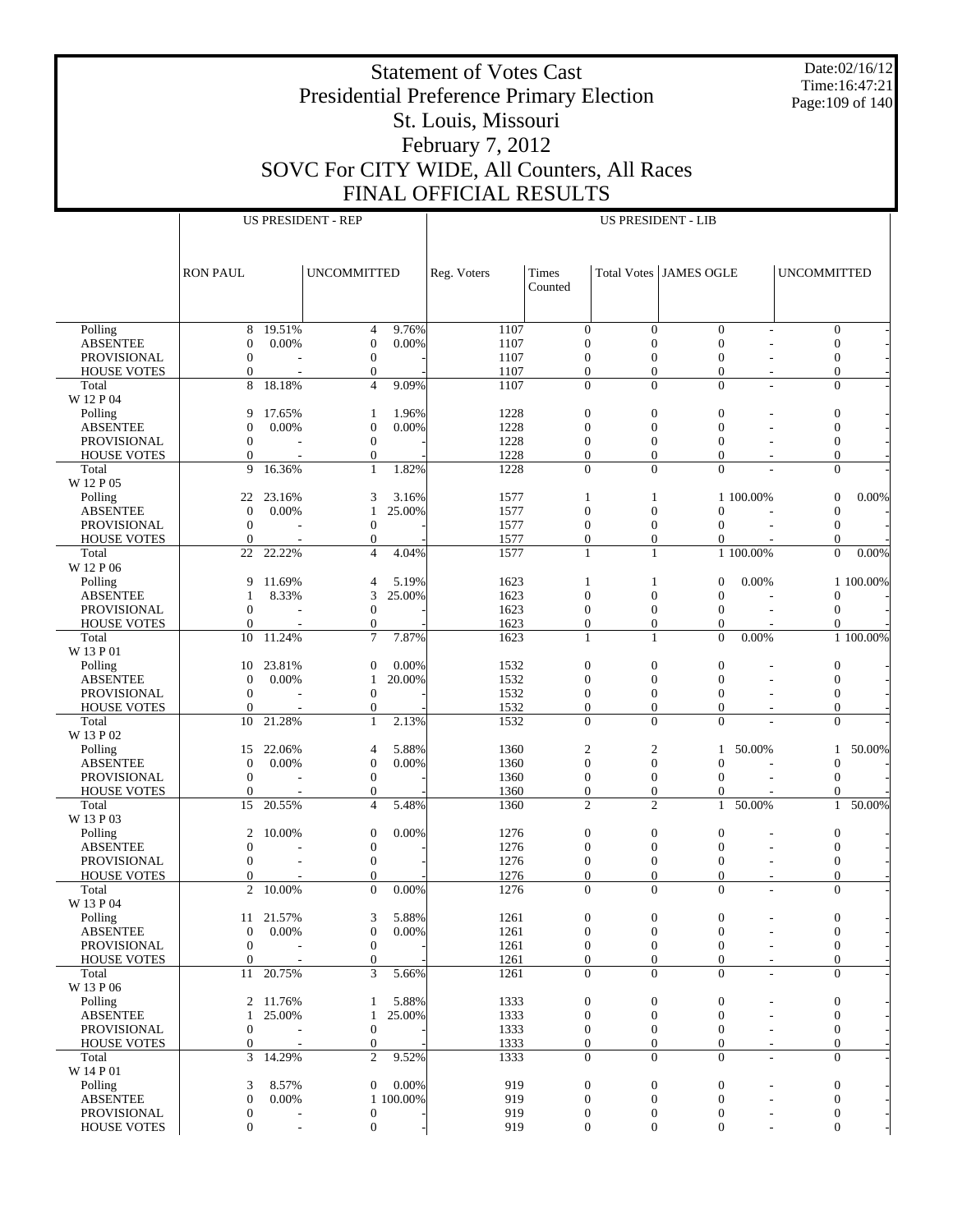Date:02/16/12 Time:16:47:21 Page:109 of 140

## Presidential Preference Primary Election St. Louis, Missouri February 7, 2012 SOVC For CITY WIDE, All Counters, All Races FINAL OFFICIAL RESULTS

|                                       | <b>US PRESIDENT - REP</b>        |                          |                                  |           |              |                                    |                                      | <b>US PRESIDENT - LIB</b>        |                          |                                  |                  |
|---------------------------------------|----------------------------------|--------------------------|----------------------------------|-----------|--------------|------------------------------------|--------------------------------------|----------------------------------|--------------------------|----------------------------------|------------------|
|                                       |                                  |                          |                                  |           |              |                                    |                                      |                                  |                          |                                  |                  |
|                                       | <b>RON PAUL</b>                  |                          | <b>UNCOMMITTED</b>               |           | Reg. Voters  | Times                              |                                      | <b>Total Votes   JAMES OGLE</b>  |                          | <b>UNCOMMITTED</b>               |                  |
|                                       |                                  |                          |                                  |           |              | Counted                            |                                      |                                  |                          |                                  |                  |
| Polling                               | 8                                | 19.51%                   | $\overline{4}$                   | 9.76%     | 1107         | $\mathbf{0}$                       | $\theta$                             | $\mathbf{0}$                     |                          |                                  | $\overline{0}$   |
| <b>ABSENTEE</b>                       | $\boldsymbol{0}$                 | 0.00%                    | $\mathbf{0}$                     | 0.00%     | 1107         | $\mathbf{0}$                       | $\overline{0}$                       | $\overline{0}$                   |                          | $\mathbf{0}$                     |                  |
| <b>PROVISIONAL</b>                    | $\mathbf{0}$                     |                          | $\mathbf{0}$<br>$\boldsymbol{0}$ |           | 1107<br>1107 | $\mathbf{0}$<br>$\mathbf{0}$       | $\boldsymbol{0}$<br>$\mathbf{0}$     | $\mathbf{0}$<br>$\boldsymbol{0}$ |                          | $\mathbf{0}$                     | $\boldsymbol{0}$ |
| <b>HOUSE VOTES</b><br>Total           | $\boldsymbol{0}$<br>8            | 18.18%                   | $\overline{4}$                   | 9.09%     | 1107         | $\mathbf{0}$                       | $\Omega$                             | $\Omega$                         | L,                       |                                  | $\overline{0}$   |
| W 12 P 04                             |                                  |                          |                                  |           |              |                                    |                                      |                                  |                          |                                  |                  |
| Polling                               | 9                                | 17.65%                   | $\mathbf{1}$                     | 1.96%     | 1228         | $\mathbf{0}$                       | $\boldsymbol{0}$                     | $\mathbf{0}$                     |                          | $\boldsymbol{0}$                 |                  |
| <b>ABSENTEE</b>                       | $\boldsymbol{0}$                 | 0.00%                    | $\mathbf{0}$                     | 0.00%     | 1228         | $\mathbf{0}$                       | $\mathbf{0}$                         | $\overline{0}$                   |                          | $\mathbf{0}$                     |                  |
| <b>PROVISIONAL</b>                    | $\mathbf{0}$                     |                          | $\mathbf{0}$                     |           | 1228         | $\mathbf{0}$                       | $\boldsymbol{0}$                     | $\mathbf{0}$                     |                          | $\boldsymbol{0}$                 |                  |
| <b>HOUSE VOTES</b>                    | $\mathbf{0}$<br>9                | 16.36%                   | $\mathbf{0}$                     | 1.82%     | 1228         | $\overline{0}$<br>$\overline{0}$   | $\overline{0}$<br>$\Omega$           | $\overline{0}$<br>$\theta$       |                          |                                  | $\overline{0}$   |
| Total<br>W 12 P 05                    |                                  |                          | $\mathbf{1}$                     |           | 1228         |                                    |                                      |                                  |                          | $\mathbf{0}$                     |                  |
| Polling                               | 22                               | 23.16%                   | 3                                | 3.16%     | 1577         | $\mathbf{1}$                       | 1                                    |                                  | 1 100.00%                | $\mathbf{0}$                     | 0.00%            |
| <b>ABSENTEE</b>                       | $\mathbf{0}$                     | 0.00%                    | $\mathbf{1}$                     | 25.00%    | 1577         | $\boldsymbol{0}$                   | $\mathbf{0}$                         | $\mathbf{0}$                     |                          | $\theta$                         |                  |
| PROVISIONAL                           | $\mathbf{0}$                     |                          | $\boldsymbol{0}$                 |           | 1577         | $\mathbf{0}$                       | $\boldsymbol{0}$                     | $\mathbf{0}$                     |                          | $\mathbf{0}$                     |                  |
| <b>HOUSE VOTES</b>                    | $\mathbf{0}$                     |                          | $\boldsymbol{0}$                 |           | 1577         | $\boldsymbol{0}$                   | $\boldsymbol{0}$                     | $\boldsymbol{0}$                 |                          | $\mathbf{0}$                     |                  |
| Total                                 | 22                               | 22.22%                   | $\overline{4}$                   | 4.04%     | 1577         | $\mathbf{1}$                       | $\mathbf{1}$                         |                                  | 1 100.00%                | $\Omega$                         | 0.00%            |
| W 12 P 06<br>Polling                  | 9                                | 11.69%                   | $\overline{4}$                   | 5.19%     | 1623         | $\mathbf{1}$                       | $\mathbf{1}$                         | $\mathbf{0}$                     | 0.00%                    |                                  | 1 100.00%        |
| <b>ABSENTEE</b>                       | 1                                | 8.33%                    | 3                                | 25.00%    | 1623         | $\mathbf{0}$                       | $\mathbf{0}$                         | $\mathbf{0}$                     |                          | $\mathbf{0}$                     |                  |
| <b>PROVISIONAL</b>                    | $\mathbf{0}$                     |                          | $\mathbf{0}$                     |           | 1623         | $\mathbf{0}$                       | $\boldsymbol{0}$                     | $\mathbf{0}$                     |                          | $\mathbf{0}$                     |                  |
| <b>HOUSE VOTES</b>                    | $\mathbf{0}$                     |                          | $\theta$                         |           | 1623         | $\overline{0}$                     | $\mathbf{0}$                         | $\theta$                         |                          |                                  | $\Omega$         |
| Total                                 | 10                               | 11.24%                   | $\overline{7}$                   | 7.87%     | 1623         | $\mathbf{1}$                       | $\mathbf{1}$                         | $\overline{0}$                   | 0.00%                    |                                  | 1 100.00%        |
| W 13 P 01                             |                                  |                          |                                  | 0.00%     |              |                                    |                                      | $\overline{0}$                   |                          |                                  |                  |
| Polling<br><b>ABSENTEE</b>            | 10<br>$\mathbf{0}$               | 23.81%<br>0.00%          | $\theta$<br>$\mathbf{1}$         | 20.00%    | 1532<br>1532 | $\mathbf{0}$<br>$\mathbf{0}$       | $\mathbf{0}$<br>$\mathbf{0}$         | $\mathbf{0}$                     |                          | $\boldsymbol{0}$<br>$\mathbf{0}$ |                  |
| PROVISIONAL                           | $\mathbf{0}$                     |                          | $\mathbf{0}$                     |           | 1532         | $\mathbf{0}$                       | $\boldsymbol{0}$                     | $\mathbf{0}$                     |                          | $\boldsymbol{0}$                 |                  |
| <b>HOUSE VOTES</b>                    | $\mathbf{0}$                     |                          | $\mathbf{0}$                     |           | 1532         | $\boldsymbol{0}$                   | $\mathbf{0}$                         | $\mathbf{0}$                     |                          | $\mathbf{0}$                     |                  |
| Total                                 | 10                               | 21.28%                   | $\mathbf{1}$                     | 2.13%     | 1532         | $\Omega$                           | $\Omega$                             | $\theta$                         |                          |                                  | $\Omega$         |
| W 13 P 02                             |                                  |                          |                                  |           |              |                                    |                                      |                                  |                          |                                  |                  |
| Polling                               | 15                               | 22.06%                   | $\overline{4}$                   | 5.88%     | 1360         | $\boldsymbol{2}$                   | $\boldsymbol{2}$                     | 1                                | 50.00%                   |                                  | 50.00%<br>1      |
| <b>ABSENTEE</b><br><b>PROVISIONAL</b> | $\mathbf{0}$<br>$\mathbf{0}$     | 0.00%                    | $\mathbf{0}$<br>$\boldsymbol{0}$ | 0.00%     | 1360<br>1360 | $\overline{0}$<br>$\boldsymbol{0}$ | $\overline{0}$<br>$\mathbf{0}$       | $\mathbf{0}$<br>$\mathbf{0}$     |                          | $\mathbf{0}$<br>$\mathbf{0}$     |                  |
| <b>HOUSE VOTES</b>                    | $\mathbf{0}$                     |                          | $\theta$                         |           | 1360         | $\boldsymbol{0}$                   | $\mathbf{0}$                         | 0                                |                          |                                  | $\Omega$         |
| Total                                 | 15                               | 20.55%                   | $\overline{4}$                   | 5.48%     | 1360         | $\overline{c}$                     | $\overline{2}$                       | $\mathbf{1}$                     | 50.00%                   |                                  | 50.00%<br>1      |
| W 13 P 03                             |                                  |                          |                                  |           |              |                                    |                                      |                                  |                          |                                  |                  |
| Polling                               | 2                                | 10.00%                   | $\mathbf{0}$                     | 0.00%     | 1276         | $\mathbf{0}$                       | $\mathbf{0}$                         | $\overline{0}$                   |                          | $\boldsymbol{0}$                 |                  |
| <b>ABSENTEE</b>                       | $\boldsymbol{0}$                 |                          | $\boldsymbol{0}$                 |           | 1276         | $\mathbf{0}$                       | $\mathbf{0}$                         | $\mathbf{0}$                     |                          | $\mathbf{0}$                     |                  |
| PROVISIONAL<br><b>HOUSE VOTES</b>     | $\mathbf{0}$<br>$\boldsymbol{0}$ |                          | $\theta$<br>$\overline{0}$       |           | 1276<br>1276 | $\mathbf{0}$<br>$\boldsymbol{0}$   | $\boldsymbol{0}$<br>$\boldsymbol{0}$ | $\mathbf{0}$<br>$\overline{0}$   |                          | $\boldsymbol{0}$<br>$\mathbf{0}$ |                  |
| Total                                 | $\overline{2}$                   | 10.00%                   | $\Omega$                         | 0.00%     | 1276         | $\theta$                           | $\theta$                             | $\theta$                         |                          | $\Omega$                         |                  |
| W 13 P 04                             |                                  |                          |                                  |           |              |                                    |                                      |                                  |                          |                                  |                  |
| Polling                               | 11                               | 21.57%                   | 3                                | 5.88%     | 1261         | $\boldsymbol{0}$                   | $\boldsymbol{0}$                     | $\boldsymbol{0}$                 |                          | $\boldsymbol{0}$                 |                  |
| <b>ABSENTEE</b>                       | $\boldsymbol{0}$                 | 0.00%                    | $\boldsymbol{0}$                 | 0.00%     | 1261         | $\mathbf{0}$                       | $\theta$                             | $\boldsymbol{0}$                 |                          | $\mathbf{0}$                     |                  |
| PROVISIONAL                           | $\boldsymbol{0}$                 |                          | $\mathbf{0}$                     |           | 1261         | $\boldsymbol{0}$                   | 0                                    | $\mathbf{0}$                     |                          | $\mathbf{0}$                     |                  |
| <b>HOUSE VOTES</b>                    | $\boldsymbol{0}$                 | 20.75%                   | $\mathbf{0}$<br>3                |           | 1261         | $\boldsymbol{0}$                   | $\boldsymbol{0}$                     | $\mathbf{0}$                     |                          |                                  | $\mathbf{0}$     |
| Total<br>W 13 P 06                    | 11                               |                          |                                  | 5.66%     | 1261         | $\mathbf{0}$                       | $\theta$                             | $\mathbf{0}$                     | $\overline{\phantom{a}}$ |                                  | $\overline{0}$   |
| Polling                               | 2                                | 11.76%                   | 1                                | 5.88%     | 1333         | $\boldsymbol{0}$                   | $\boldsymbol{0}$                     | $\boldsymbol{0}$                 |                          | $\boldsymbol{0}$                 |                  |
| <b>ABSENTEE</b>                       | $\mathbf{1}$                     | 25.00%                   | $\mathbf{1}$                     | 25.00%    | 1333         | $\mathbf{0}$                       | $\boldsymbol{0}$                     | $\boldsymbol{0}$                 |                          | $\mathbf{0}$                     |                  |
| PROVISIONAL                           | $\boldsymbol{0}$                 |                          | $\mathbf{0}$                     |           | 1333         | $\boldsymbol{0}$                   | $\boldsymbol{0}$                     | $\boldsymbol{0}$                 |                          | $\mathbf{0}$                     |                  |
| <b>HOUSE VOTES</b>                    | $\boldsymbol{0}$                 |                          | $\mathbf{0}$                     |           | 1333         | $\boldsymbol{0}$                   | $\theta$                             | $\theta$                         |                          |                                  | $\boldsymbol{0}$ |
| Total                                 | 3                                | 14.29%                   | $\overline{2}$                   | 9.52%     | 1333         | $\mathbf{0}$                       | $\overline{0}$                       | $\overline{0}$                   | Ĭ.                       | $\mathbf{0}$                     |                  |
| W 14 P 01<br>Polling                  | 3                                | 8.57%                    | $\overline{0}$                   | 0.00%     | 919          | $\mathbf{0}$                       | $\boldsymbol{0}$                     | $\boldsymbol{0}$                 |                          | $\boldsymbol{0}$                 |                  |
| <b>ABSENTEE</b>                       | $\boldsymbol{0}$                 | 0.00%                    |                                  | 1 100.00% | 919          | $\mathbf{0}$                       | $\theta$                             | $\mathbf{0}$                     |                          | $\boldsymbol{0}$                 |                  |
| PROVISIONAL                           | $\boldsymbol{0}$                 |                          | $\mathbf{0}$                     |           | 919          | 0                                  | $\boldsymbol{0}$                     | $\boldsymbol{0}$                 |                          | $\boldsymbol{0}$                 |                  |
| <b>HOUSE VOTES</b>                    | $\mathbf{0}$                     | $\overline{\phantom{a}}$ | $\boldsymbol{0}$                 |           | 919          | $\mathbf{0}$                       | $\overline{0}$                       | $\theta$                         |                          | $\mathbf{0}$                     |                  |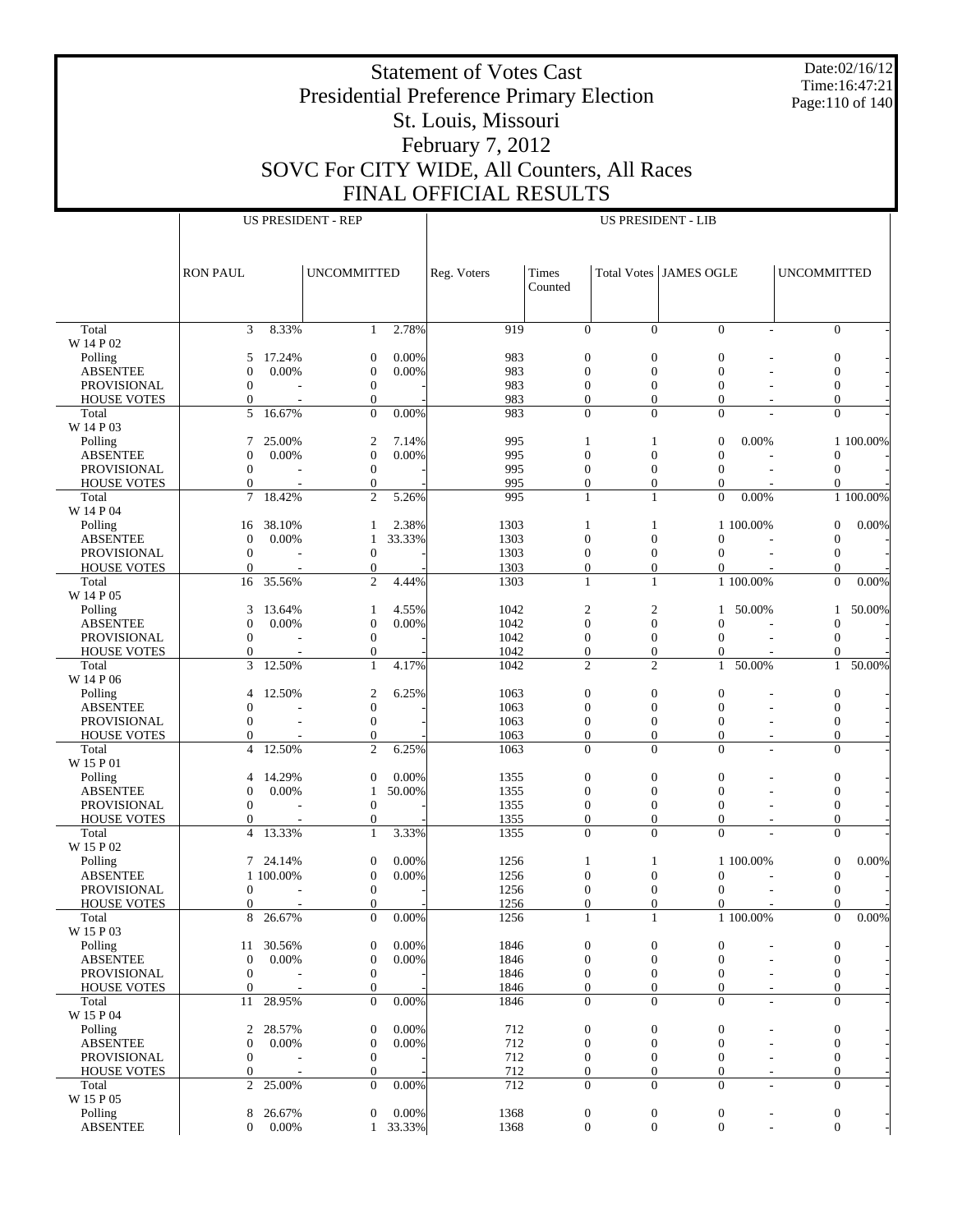Date:02/16/12 Time:16:47:21 Page:110 of 140

# Presidential Preference Primary Election St. Louis, Missouri February 7, 2012 SOVC For CITY WIDE, All Counters, All Races FINAL OFFICIAL RESULTS

|                                          |                                      |                 | <b>US PRESIDENT - REP</b>            |                 | <b>US PRESIDENT - LIB</b> |                                  |                                  |                                |                |                                  |                        |
|------------------------------------------|--------------------------------------|-----------------|--------------------------------------|-----------------|---------------------------|----------------------------------|----------------------------------|--------------------------------|----------------|----------------------------------|------------------------|
|                                          |                                      |                 |                                      |                 |                           |                                  |                                  |                                |                |                                  |                        |
|                                          |                                      |                 |                                      |                 |                           |                                  |                                  |                                |                |                                  |                        |
|                                          | <b>RON PAUL</b>                      |                 | <b>UNCOMMITTED</b>                   |                 | Reg. Voters               | Times                            | Total Votes JAMES OGLE           |                                |                | <b>UNCOMMITTED</b>               |                        |
|                                          |                                      |                 |                                      |                 |                           | Counted                          |                                  |                                |                |                                  |                        |
|                                          |                                      |                 |                                      |                 |                           |                                  |                                  |                                |                |                                  |                        |
|                                          |                                      |                 |                                      |                 |                           |                                  |                                  |                                |                |                                  |                        |
| Total                                    | 3                                    | 8.33%           | 1                                    | 2.78%           | 919                       | $\mathbf{0}$                     | $\Omega$                         | $\Omega$                       | $\overline{a}$ |                                  | $\overline{0}$         |
| W 14 P 02                                |                                      |                 |                                      |                 |                           |                                  |                                  |                                |                |                                  |                        |
| Polling                                  | 5                                    | 17.24%          | $\boldsymbol{0}$                     | 0.00%           | 983                       | $\boldsymbol{0}$                 | $\overline{0}$                   | $\mathbf{0}$                   |                | $\boldsymbol{0}$                 |                        |
| <b>ABSENTEE</b>                          | $\mathbf{0}$                         | 0.00%           | $\boldsymbol{0}$                     | 0.00%           | 983                       | $\mathbf{0}$                     | $\overline{0}$                   | $\mathbf{0}$                   |                | $\mathbf{0}$                     |                        |
| <b>PROVISIONAL</b><br><b>HOUSE VOTES</b> | $\mathbf{0}$<br>$\mathbf{0}$         |                 | $\boldsymbol{0}$<br>$\mathbf{0}$     |                 | 983<br>983                | $\mathbf{0}$<br>$\overline{0}$   | $\overline{0}$<br>$\overline{0}$ | $\mathbf{0}$<br>$\overline{0}$ |                | $\boldsymbol{0}$<br>$\mathbf{0}$ |                        |
| Total                                    | 5                                    | 16.67%          | $\Omega$                             | 0.00%           | 983                       | $\Omega$                         | $\theta$                         | $\theta$                       |                | $\Omega$                         |                        |
| W 14 P 03                                |                                      |                 |                                      |                 |                           |                                  |                                  |                                |                |                                  |                        |
| Polling                                  | 7                                    | 25.00%          | $\boldsymbol{2}$                     | 7.14%           | 995                       | $\mathbf{1}$                     | 1                                | $\overline{0}$                 | 0.00%          |                                  | 1 100.00%              |
| <b>ABSENTEE</b>                          | $\mathbf{0}$                         | 0.00%           | $\boldsymbol{0}$                     | 0.00%           | 995                       | $\mathbf{0}$                     | $\overline{0}$                   | $\mathbf{0}$                   |                | $\Omega$                         |                        |
| <b>PROVISIONAL</b>                       | $\mathbf{0}$                         |                 | $\boldsymbol{0}$                     |                 | 995                       | $\mathbf{0}$                     | $\mathbf{0}$                     | $\mathbf{0}$                   |                | $\mathbf{0}$                     |                        |
| <b>HOUSE VOTES</b>                       | $\boldsymbol{0}$                     |                 | $\mathbf{0}$                         |                 | 995                       | $\boldsymbol{0}$                 | $\boldsymbol{0}$                 | $\mathbf{0}$                   |                | 0                                |                        |
| Total                                    | 7                                    | 18.42%          | $\overline{2}$                       | 5.26%           | 995                       | $\mathbf{1}$                     | $\mathbf{1}$                     | $\theta$                       | 0.00%          |                                  | 1 100.00%              |
| W 14 P 04                                |                                      |                 |                                      |                 |                           |                                  |                                  |                                |                |                                  |                        |
| Polling<br><b>ABSENTEE</b>               | 16                                   | 38.10%<br>0.00% | 1                                    | 2.38%<br>33.33% | 1303<br>1303              | $\mathbf{1}$<br>$\mathbf{0}$     | 1<br>$\overline{0}$              | $\mathbf{0}$                   | 1 100.00%      | $\mathbf{0}$<br>$\mathbf{0}$     | 0.00%                  |
| <b>PROVISIONAL</b>                       | $\boldsymbol{0}$<br>$\mathbf{0}$     |                 | $\mathbf{1}$<br>$\boldsymbol{0}$     |                 | 1303                      | $\mathbf{0}$                     | $\overline{0}$                   | $\mathbf{0}$                   |                | $\mathbf{0}$                     |                        |
| <b>HOUSE VOTES</b>                       | $\mathbf{0}$                         |                 | $\boldsymbol{0}$                     |                 | 1303                      | $\mathbf{0}$                     | $\overline{0}$                   | $\overline{0}$                 |                | $\Omega$                         |                        |
| Total                                    | 16                                   | 35.56%          | $\overline{2}$                       | 4.44%           | 1303                      | $\mathbf{1}$                     | $\mathbf{1}$                     |                                | 1 100.00%      | $\Omega$                         | 0.00%                  |
| W 14 P 05                                |                                      |                 |                                      |                 |                           |                                  |                                  |                                |                |                                  |                        |
| Polling                                  | 3                                    | 13.64%          | $\mathbf{1}$                         | 4.55%           | 1042                      | $\overline{c}$                   | $\overline{2}$                   | 1                              | 50.00%         |                                  | 50.00%<br>$\mathbf{1}$ |
| <b>ABSENTEE</b>                          | $\mathbf{0}$                         | 0.00%           | $\boldsymbol{0}$                     | 0.00%           | 1042                      | $\overline{0}$                   | $\overline{0}$                   | $\mathbf{0}$                   |                | $\mathbf{0}$                     |                        |
| <b>PROVISIONAL</b>                       | $\mathbf{0}$                         |                 | $\boldsymbol{0}$                     |                 | 1042                      | $\mathbf{0}$                     | $\overline{0}$                   | $\mathbf{0}$                   |                | $\mathbf{0}$                     |                        |
| <b>HOUSE VOTES</b>                       | $\mathbf{0}$                         |                 | $\mathbf{0}$                         |                 | 1042                      | $\boldsymbol{0}$                 | $\boldsymbol{0}$                 | $\overline{0}$                 |                | $\Omega$                         |                        |
| Total                                    | 3                                    | 12.50%          | $\mathbf{1}$                         | 4.17%           | 1042                      | $\overline{c}$                   | $\overline{2}$                   | 1                              | 50.00%         | $\mathbf{1}$                     | 50.00%                 |
| W 14 P 06<br>Polling                     | $\overline{4}$                       | 12.50%          | $\overline{2}$                       | 6.25%           | 1063                      | $\boldsymbol{0}$                 | $\overline{0}$                   | $\mathbf{0}$                   |                | $\boldsymbol{0}$                 |                        |
| <b>ABSENTEE</b>                          | $\mathbf{0}$                         |                 | $\boldsymbol{0}$                     |                 | 1063                      | $\mathbf{0}$                     | $\overline{0}$                   | $\mathbf{0}$                   |                | $\mathbf{0}$                     |                        |
| PROVISIONAL                              | $\mathbf{0}$                         |                 | $\boldsymbol{0}$                     |                 | 1063                      | $\mathbf{0}$                     | $\mathbf{0}$                     | $\mathbf{0}$                   |                | $\boldsymbol{0}$                 |                        |
| <b>HOUSE VOTES</b>                       | $\mathbf{0}$                         |                 | $\mathbf{0}$                         |                 | 1063                      | $\overline{0}$                   | $\overline{0}$                   | $\mathbf{0}$                   |                | $\mathbf{0}$                     |                        |
| Total                                    | $\overline{4}$                       | 12.50%          | 2                                    | 6.25%           | 1063                      | $\mathbf{0}$                     | $\Omega$                         | $\Omega$                       |                | $\mathbf{0}$                     |                        |
| W 15 P 01                                |                                      |                 |                                      |                 |                           |                                  |                                  |                                |                |                                  |                        |
| Polling                                  | 4                                    | 14.29%          | $\mathbf{0}$                         | 0.00%           | 1355                      | $\boldsymbol{0}$                 | $\boldsymbol{0}$                 | $\mathbf{0}$                   |                | $\boldsymbol{0}$                 |                        |
| <b>ABSENTEE</b>                          | $\mathbf{0}$                         | 0.00%           | $\mathbf{1}$                         | 50.00%          | 1355                      | $\overline{0}$                   | $\overline{0}$                   | $\mathbf{0}$                   |                | $\mathbf{0}$                     |                        |
| <b>PROVISIONAL</b>                       | $\mathbf{0}$                         |                 | $\boldsymbol{0}$                     |                 | 1355                      | $\mathbf{0}$                     | $\mathbf{0}$                     | $\mathbf{0}$<br>$\mathbf{0}$   |                | $\boldsymbol{0}$<br>$\mathbf{0}$ |                        |
| <b>HOUSE VOTES</b><br>Total              | $\boldsymbol{0}$<br>$\overline{4}$   | 13.33%          | $\boldsymbol{0}$<br>$\mathbf{1}$     | 3.33%           | 1355<br>1355              | $\boldsymbol{0}$<br>$\Omega$     | $\boldsymbol{0}$<br>$\Omega$     | $\Omega$                       |                | $\Omega$                         |                        |
| W 15 P 02                                |                                      |                 |                                      |                 |                           |                                  |                                  |                                |                |                                  |                        |
| Polling                                  | 7                                    | 24.14%          | $\boldsymbol{0}$                     | 0.00%           | 1256                      | $\mathbf{1}$                     | 1                                |                                | 1 100.00%      | $\mathbf{0}$                     | 0.00%                  |
| <b>ABSENTEE</b>                          |                                      | 1 100.00%       | $\boldsymbol{0}$                     | 0.00%           | 1256                      | $\mathbf{0}$                     | $\overline{0}$                   | $\mathbf{0}$                   |                | $\mathbf{0}$                     |                        |
| <b>PROVISIONAL</b>                       | $\mathbf{0}$                         |                 | $\boldsymbol{0}$                     |                 | 1256                      | $\boldsymbol{0}$                 | $\overline{0}$                   | $\mathbf{0}$                   |                | $\boldsymbol{0}$                 |                        |
| <b>HOUSE VOTES</b>                       | $\mathbf{0}$                         |                 | $\Omega$                             |                 | 1256                      | $\Omega$                         | $\theta$                         | $\Omega$                       |                | $\Omega$                         |                        |
| Total                                    |                                      | 8 26.67%        | $\overline{0}$                       | 0.00%           | 1256                      | $\mathbf{1}$                     | $\mathbf{1}$                     |                                | 1 100.00%      | $\mathbf{0}$                     | $0.00\%$               |
| W 15 P 03                                |                                      |                 |                                      |                 |                           |                                  |                                  |                                |                |                                  |                        |
| Polling                                  | 11                                   | 30.56%          | $\boldsymbol{0}$                     | 0.00%           | 1846                      | $\boldsymbol{0}$                 | $\boldsymbol{0}$                 | $\mathbf{0}$<br>$\mathbf{0}$   |                | $\boldsymbol{0}$<br>$\theta$     |                        |
| <b>ABSENTEE</b><br>PROVISIONAL           | $\boldsymbol{0}$<br>$\boldsymbol{0}$ | 0.00%           | $\boldsymbol{0}$<br>$\boldsymbol{0}$ | 0.00%           | 1846<br>1846              | $\mathbf{0}$<br>$\boldsymbol{0}$ | $\mathbf{0}$<br>$\mathbf{0}$     | $\mathbf{0}$                   |                | $\boldsymbol{0}$                 |                        |
| <b>HOUSE VOTES</b>                       | $\mathbf{0}$                         |                 | $\boldsymbol{0}$                     |                 | 1846                      | $\mathbf{0}$                     | $\overline{0}$                   | $\mathbf{0}$                   |                | $\mathbf{0}$                     |                        |
| Total                                    | 11                                   | 28.95%          | $\mathbf{0}$                         | 0.00%           | 1846                      | $\mathbf{0}$                     | $\overline{0}$                   | $\mathbf{0}$                   |                | $\mathbf{0}$                     |                        |
| W 15 P 04                                |                                      |                 |                                      |                 |                           |                                  |                                  |                                |                |                                  |                        |
| Polling                                  | 2                                    | 28.57%          | $\boldsymbol{0}$                     | 0.00%           | 712                       | $\boldsymbol{0}$                 | $\mathbf{0}$                     | $\boldsymbol{0}$               |                | $\boldsymbol{0}$                 |                        |
| <b>ABSENTEE</b>                          | $\boldsymbol{0}$                     | 0.00%           | $\boldsymbol{0}$                     | 0.00%           | 712                       | $\mathbf{0}$                     | $\overline{0}$                   | $\boldsymbol{0}$               |                | $\boldsymbol{0}$                 |                        |
| PROVISIONAL                              | $\mathbf{0}$                         |                 | $\boldsymbol{0}$                     |                 | 712                       | $\mathbf{0}$                     | $\mathbf{0}$                     | $\boldsymbol{0}$               |                | $\mathbf{0}$                     |                        |
| <b>HOUSE VOTES</b>                       | $\boldsymbol{0}$                     |                 | $\boldsymbol{0}$                     |                 | 712                       | $\boldsymbol{0}$                 | $\boldsymbol{0}$                 | $\boldsymbol{0}$               |                | $\boldsymbol{0}$                 |                        |
| Total                                    | 2                                    | 25.00%          | $\mathbf{0}$                         | 0.00%           | 712                       | $\mathbf{0}$                     | $\overline{0}$                   | $\mathbf{0}$                   | $\overline{a}$ | $\mathbf{0}$                     |                        |
| W 15 P 05<br>Polling                     | 8                                    | 26.67%          | $\boldsymbol{0}$                     | 0.00%           | 1368                      | $\boldsymbol{0}$                 | $\boldsymbol{0}$                 | $\boldsymbol{0}$               |                | $\boldsymbol{0}$                 |                        |
| <b>ABSENTEE</b>                          | $\mathbf{0}$                         | 0.00%           | 1                                    | 33.33%          | 1368                      | $\mathbf{0}$                     | $\overline{0}$                   | $\boldsymbol{0}$               | $\overline{a}$ | $\mathbf{0}$                     |                        |
|                                          |                                      |                 |                                      |                 |                           |                                  |                                  |                                |                |                                  |                        |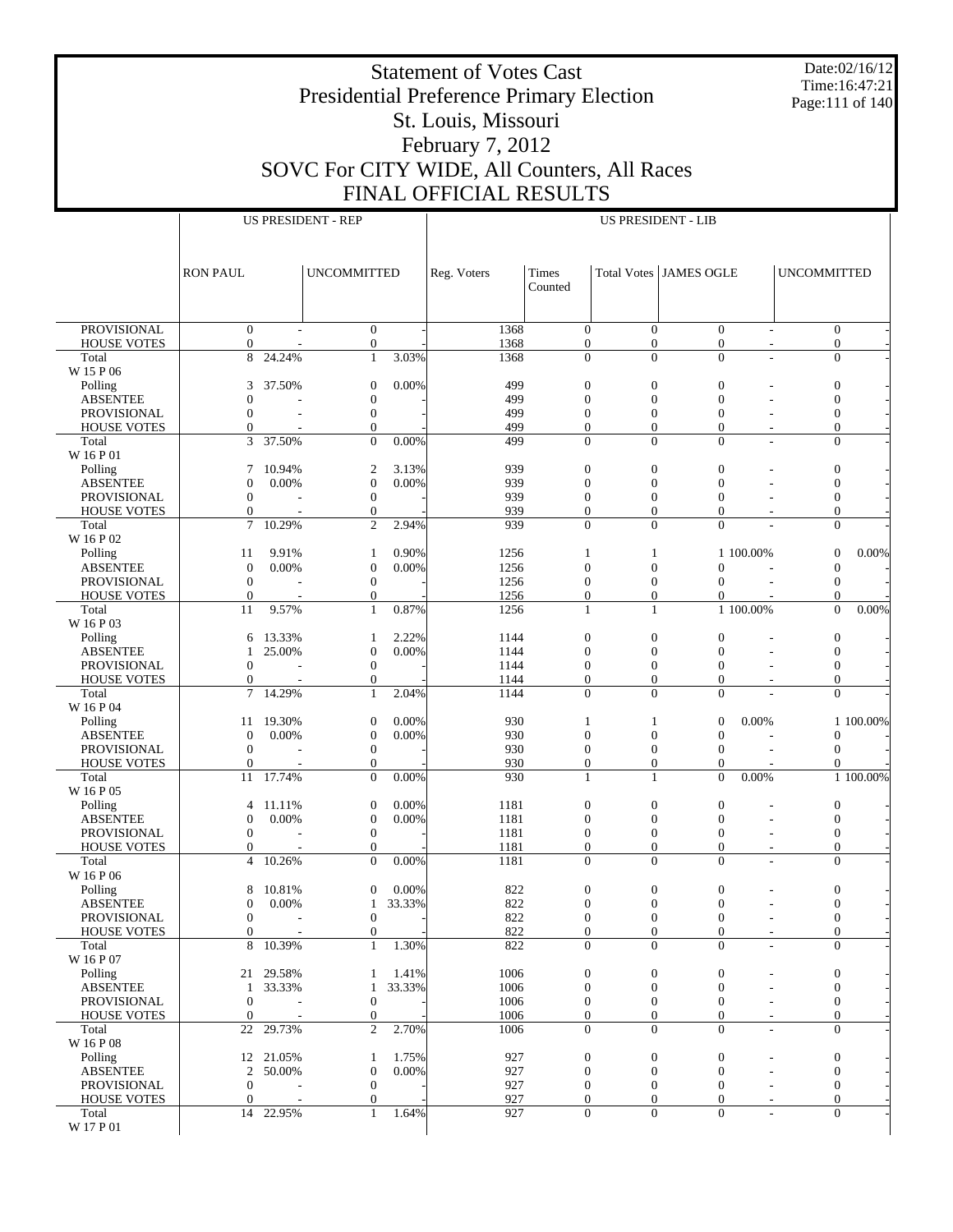Date:02/16/12 Time:16:47:21 Page:111 of 140

## Presidential Preference Primary Election St. Louis, Missouri February 7, 2012 SOVC For CITY WIDE, All Counters, All Races

Statement of Votes Cast

FINAL OFFICIAL RESULTS

|                                   |                                  |                 | <b>US PRESIDENT - REP</b>            |                | <b>US PRESIDENT - LIB</b> |                                    |                                    |                                    |                                |                    |                                    |
|-----------------------------------|----------------------------------|-----------------|--------------------------------------|----------------|---------------------------|------------------------------------|------------------------------------|------------------------------------|--------------------------------|--------------------|------------------------------------|
|                                   |                                  |                 |                                      |                |                           |                                    |                                    |                                    |                                |                    |                                    |
|                                   |                                  |                 |                                      |                |                           |                                    |                                    |                                    |                                |                    |                                    |
|                                   | <b>RON PAUL</b>                  |                 | <b>UNCOMMITTED</b>                   |                | Reg. Voters               | Times                              |                                    | Total Votes JAMES OGLE             |                                | <b>UNCOMMITTED</b> |                                    |
|                                   |                                  |                 |                                      |                |                           | Counted                            |                                    |                                    |                                |                    |                                    |
|                                   |                                  |                 |                                      |                |                           |                                    |                                    |                                    |                                |                    |                                    |
|                                   |                                  |                 |                                      |                |                           |                                    |                                    |                                    |                                |                    |                                    |
| <b>PROVISIONAL</b>                | $\boldsymbol{0}$                 |                 | $\boldsymbol{0}$                     |                | 1368                      | $\boldsymbol{0}$                   | $\mathbf{0}$                       | $\mathbf{0}$                       | $\sim$                         |                    | $\overline{0}$                     |
| <b>HOUSE VOTES</b>                | $\mathbf{0}$                     |                 | $\overline{0}$                       |                | 1368                      | $\overline{0}$                     | $\overline{0}$                     | $\overline{0}$                     | $\overline{\phantom{a}}$       |                    | $\overline{0}$                     |
| Total<br>W 15 P 06                | 8                                | 24.24%          | $\mathbf{1}$                         | 3.03%          | 1368                      | $\boldsymbol{0}$                   | $\overline{0}$                     | $\mathbf{0}$                       | L.                             |                    | $\overline{0}$                     |
| Polling                           | 3                                | 37.50%          | $\boldsymbol{0}$                     | 0.00%          | 499                       | $\boldsymbol{0}$                   | $\boldsymbol{0}$                   | $\boldsymbol{0}$                   |                                |                    | $\boldsymbol{0}$                   |
| <b>ABSENTEE</b>                   | $\mathbf{0}$                     |                 | $\boldsymbol{0}$                     |                | 499                       | $\overline{0}$                     | $\overline{0}$                     | $\mathbf{0}$                       |                                |                    | $\mathbf{0}$                       |
| PROVISIONAL                       | $\mathbf{0}$                     |                 | $\boldsymbol{0}$                     |                | 499                       | $\boldsymbol{0}$                   | $\boldsymbol{0}$                   | $\boldsymbol{0}$                   |                                |                    | $\boldsymbol{0}$                   |
| <b>HOUSE VOTES</b>                | $\mathbf{0}$                     |                 | $\mathbf{0}$                         |                | 499                       | $\mathbf{0}$                       | $\overline{0}$                     | $\mathbf{0}$                       | $\overline{\phantom{a}}$       |                    | $\overline{0}$                     |
| Total                             | 3                                | 37.50%          | $\overline{0}$                       | 0.00%          | 499                       | $\overline{0}$                     | $\overline{0}$                     | $\mathbf{0}$                       |                                |                    | $\overline{0}$                     |
| W 16 P 01                         |                                  |                 |                                      |                |                           |                                    |                                    |                                    |                                |                    |                                    |
| Polling                           | 7                                | 10.94%<br>0.00% | $\mathfrak{2}$                       | 3.13%<br>0.00% | 939<br>939                | $\boldsymbol{0}$                   | $\boldsymbol{0}$                   | $\boldsymbol{0}$                   |                                |                    | $\boldsymbol{0}$                   |
| <b>ABSENTEE</b><br>PROVISIONAL    | $\mathbf{0}$<br>$\mathbf{0}$     |                 | $\boldsymbol{0}$<br>$\boldsymbol{0}$ |                | 939                       | $\mathbf{0}$<br>$\boldsymbol{0}$   | $\overline{0}$<br>$\boldsymbol{0}$ | $\mathbf{0}$<br>$\mathbf{0}$       |                                |                    | $\mathbf{0}$<br>$\boldsymbol{0}$   |
| <b>HOUSE VOTES</b>                | $\mathbf{0}$                     |                 | $\mathbf{0}$                         |                | 939                       | $\overline{0}$                     | $\overline{0}$                     | $\theta$                           | $\overline{\phantom{a}}$       |                    | $\overline{0}$                     |
| Total                             | $\overline{7}$                   | 10.29%          | $\overline{c}$                       | 2.94%          | 939                       | $\overline{0}$                     | $\overline{0}$                     | $\overline{0}$                     |                                |                    | $\overline{0}$                     |
| W 16 P 02                         |                                  |                 |                                      |                |                           |                                    |                                    |                                    |                                |                    |                                    |
| Polling                           | 11                               | 9.91%           | $\mathbf{1}$                         | 0.90%          | 1256                      | $\mathbf{1}$                       | 1                                  |                                    | 1 100.00%                      |                    | $0.00\%$<br>$\mathbf{0}$           |
| <b>ABSENTEE</b>                   | $\boldsymbol{0}$                 | 0.00%           | $\boldsymbol{0}$                     | 0.00%          | 1256                      | $\overline{0}$                     | $\overline{0}$                     | $\Omega$                           |                                |                    | $\mathbf{0}$                       |
| <b>PROVISIONAL</b>                | $\boldsymbol{0}$                 |                 | $\boldsymbol{0}$                     |                | 1256                      | $\boldsymbol{0}$                   | $\boldsymbol{0}$                   | $\Omega$                           |                                |                    | $\mathbf{0}$                       |
| <b>HOUSE VOTES</b><br>Total       | $\mathbf{0}$<br>11               | 9.57%           | $\mathbf{0}$<br>$\mathbf{1}$         | 0.87%          | 1256<br>1256              | $\mathbf{0}$<br>$\mathbf{1}$       | $\boldsymbol{0}$<br>$\mathbf{1}$   | $\mathbf{0}$                       | 1 100.00%                      |                    | $\Omega$<br>$\Omega$<br>0.00%      |
| W 16 P 03                         |                                  |                 |                                      |                |                           |                                    |                                    |                                    |                                |                    |                                    |
| Polling                           | 6                                | 13.33%          | 1                                    | 2.22%          | 1144                      | $\boldsymbol{0}$                   | $\boldsymbol{0}$                   | $\mathbf{0}$                       |                                |                    | $\boldsymbol{0}$                   |
| <b>ABSENTEE</b>                   | 1                                | 25.00%          | $\boldsymbol{0}$                     | 0.00%          | 1144                      | $\mathbf{0}$                       | $\overline{0}$                     | $\Omega$                           |                                |                    | $\mathbf{0}$                       |
| PROVISIONAL                       | $\mathbf{0}$                     |                 | $\boldsymbol{0}$                     |                | 1144                      | $\boldsymbol{0}$                   | $\boldsymbol{0}$                   | $\mathbf{0}$                       |                                |                    | $\boldsymbol{0}$                   |
| <b>HOUSE VOTES</b>                | $\mathbf{0}$                     |                 | $\mathbf{0}$                         |                | 1144                      | $\overline{0}$                     | $\overline{0}$                     | $\overline{0}$                     | $\sim$                         |                    | $\overline{0}$                     |
| Total                             | $\tau$                           | 14.29%          | $\mathbf{1}$                         | 2.04%          | 1144                      | $\boldsymbol{0}$                   | $\overline{0}$                     | $\mathbf{0}$                       |                                |                    | $\overline{0}$                     |
| W 16 P 04                         |                                  |                 |                                      |                |                           |                                    |                                    |                                    |                                |                    |                                    |
| Polling<br><b>ABSENTEE</b>        | 11<br>$\boldsymbol{0}$           | 19.30%<br>0.00% | $\boldsymbol{0}$<br>$\boldsymbol{0}$ | 0.00%<br>0.00% | 930<br>930                | 1<br>$\overline{0}$                | $\mathbf{1}$<br>$\overline{0}$     | $\mathbf{0}$<br>$\mathbf{0}$       | 0.00%                          |                    | 1 100.00%<br>$\Omega$              |
| PROVISIONAL                       | $\mathbf{0}$                     |                 | $\boldsymbol{0}$                     |                | 930                       | $\boldsymbol{0}$                   | $\boldsymbol{0}$                   | $\mathbf{0}$                       |                                |                    | $\mathbf{0}$                       |
| <b>HOUSE VOTES</b>                | $\mathbf{0}$                     |                 | $\mathbf{0}$                         |                | 930                       | $\mathbf{0}$                       | $\overline{0}$                     | $\mathbf{0}$                       |                                |                    | $\Omega$                           |
| Total                             | 11                               | 17.74%          | $\overline{0}$                       | 0.00%          | 930                       | $\mathbf{1}$                       | $\mathbf{1}$                       | $\overline{0}$                     | 0.00%                          |                    | 1 100.00%                          |
| W 16 P 05                         |                                  |                 |                                      |                |                           |                                    |                                    |                                    |                                |                    |                                    |
| Polling                           | 4                                | 11.11%          | $\boldsymbol{0}$                     | 0.00%          | 1181                      | $\boldsymbol{0}$                   | $\boldsymbol{0}$                   | $\boldsymbol{0}$                   |                                |                    | $\mathbf{0}$                       |
| <b>ABSENTEE</b>                   | $\boldsymbol{0}$                 | 0.00%           | $\boldsymbol{0}$                     | 0.00%          | 1181                      | $\mathbf{0}$                       | $\overline{0}$                     | $\Omega$                           |                                |                    | $\mathbf{0}$                       |
| PROVISIONAL<br><b>HOUSE VOTES</b> | $\mathbf{0}$<br>$\mathbf{0}$     |                 | $\boldsymbol{0}$<br>$\mathbf{0}$     |                | 1181<br>1181              | $\boldsymbol{0}$<br>$\overline{0}$ | $\boldsymbol{0}$<br>$\overline{0}$ | $\boldsymbol{0}$<br>$\overline{0}$ |                                |                    | $\boldsymbol{0}$<br>$\overline{0}$ |
| Total                             | $\overline{4}$                   | 10.26%          | $\overline{0}$                       | 0.00%          | 1181                      | $\overline{0}$                     | $\overline{0}$                     | $\mathbf{0}$                       | $\overline{\phantom{a}}$<br>÷, |                    | $\overline{0}$                     |
| W 16 P 06                         |                                  |                 |                                      |                |                           |                                    |                                    |                                    |                                |                    |                                    |
| Polling                           | 8                                | 10.81%          | $\mathbf{0}$                         | 0.00%          | 822                       | $\boldsymbol{0}$                   | $\boldsymbol{0}$                   | $\boldsymbol{0}$                   |                                |                    | $\boldsymbol{0}$                   |
| <b>ABSENTEE</b>                   | $\boldsymbol{0}$                 | 0.00%           | 1                                    | 33.33%         | 822                       | $\Omega$                           | $\Omega$                           | $\Omega$                           |                                |                    | $\Omega$                           |
| PROVISIONAL                       | $\boldsymbol{0}$                 |                 | $\boldsymbol{0}$                     |                | 822                       | $\boldsymbol{0}$                   | $\boldsymbol{0}$                   | $\boldsymbol{0}$                   | $\overline{\phantom{a}}$       |                    | $\boldsymbol{0}$                   |
| <b>HOUSE VOTES</b>                | $\mathbf{0}$                     |                 | $\overline{0}$                       |                | 822                       | $\overline{0}$                     | $\overline{0}$                     | $\mathbf{0}$                       | $\overline{\phantom{a}}$       |                    | $\boldsymbol{0}$                   |
| Total                             | 8                                | 10.39%          | $\mathbf{1}$                         | 1.30%          | 822                       | $\boldsymbol{0}$                   | $\mathbf{0}$                       | $\mathbf{0}$                       | ÷,                             |                    | $\boldsymbol{0}$                   |
| W 16 P 07<br>Polling              |                                  | 21 29.58%       | 1                                    | 1.41%          | 1006                      | $\boldsymbol{0}$                   | $\boldsymbol{0}$                   | $\boldsymbol{0}$                   |                                |                    | $\boldsymbol{0}$                   |
| <b>ABSENTEE</b>                   |                                  | 1 33.33%        | $\mathbf{1}$                         | 33.33%         | 1006                      | $\boldsymbol{0}$                   | $\boldsymbol{0}$                   | $\mathbf{0}$                       |                                |                    | $\mathbf{0}$                       |
| PROVISIONAL                       | $\mathbf{0}$                     |                 | $\boldsymbol{0}$                     |                | 1006                      | $\boldsymbol{0}$                   | $\boldsymbol{0}$                   | $\mathbf{0}$                       |                                |                    | $\mathbf{0}$                       |
| <b>HOUSE VOTES</b>                | $\mathbf{0}$                     |                 | $\boldsymbol{0}$                     |                | 1006                      | $\boldsymbol{0}$                   | $\theta$                           | $\mathbf{0}$                       | $\overline{\phantom{a}}$       |                    | $\mathbf{0}$                       |
| Total                             | 22                               | 29.73%          | $\overline{2}$                       | 2.70%          | 1006                      | $\mathbf{0}$                       | $\mathbf{0}$                       | $\mathbf{0}$                       | $\overline{\phantom{a}}$       |                    | $\boldsymbol{0}$                   |
| W 16 P 08                         |                                  |                 |                                      |                |                           |                                    |                                    |                                    |                                |                    |                                    |
| Polling                           |                                  | 12 21.05%       | $\mathbf{1}$                         | 1.75%          | 927                       | $\boldsymbol{0}$                   | $\boldsymbol{0}$                   | $\boldsymbol{0}$                   |                                |                    | $\boldsymbol{0}$                   |
| <b>ABSENTEE</b>                   | $\overline{2}$                   | 50.00%          | $\boldsymbol{0}$<br>$\boldsymbol{0}$ | 0.00%          | 927                       | $\boldsymbol{0}$                   | $\mathbf{0}$                       | $\mathbf{0}$                       |                                |                    | $\boldsymbol{0}$                   |
| PROVISIONAL<br><b>HOUSE VOTES</b> | $\boldsymbol{0}$<br>$\mathbf{0}$ |                 | $\boldsymbol{0}$                     |                | 927<br>927                | $\boldsymbol{0}$<br>$\mathbf{0}$   | $\boldsymbol{0}$<br>$\overline{0}$ | $\mathbf{0}$<br>$\mathbf{0}$       | $\overline{\phantom{a}}$       |                    | $\mathbf{0}$<br>$\mathbf{0}$       |
| Total                             |                                  | 14 22.95%       | $\mathbf{1}$                         | 1.64%          | 927                       | $\boldsymbol{0}$                   | $\boldsymbol{0}$                   | $\boldsymbol{0}$                   | ÷,                             |                    | $\overline{0}$                     |
| W 17 P 01                         |                                  |                 |                                      |                |                           |                                    |                                    |                                    |                                |                    |                                    |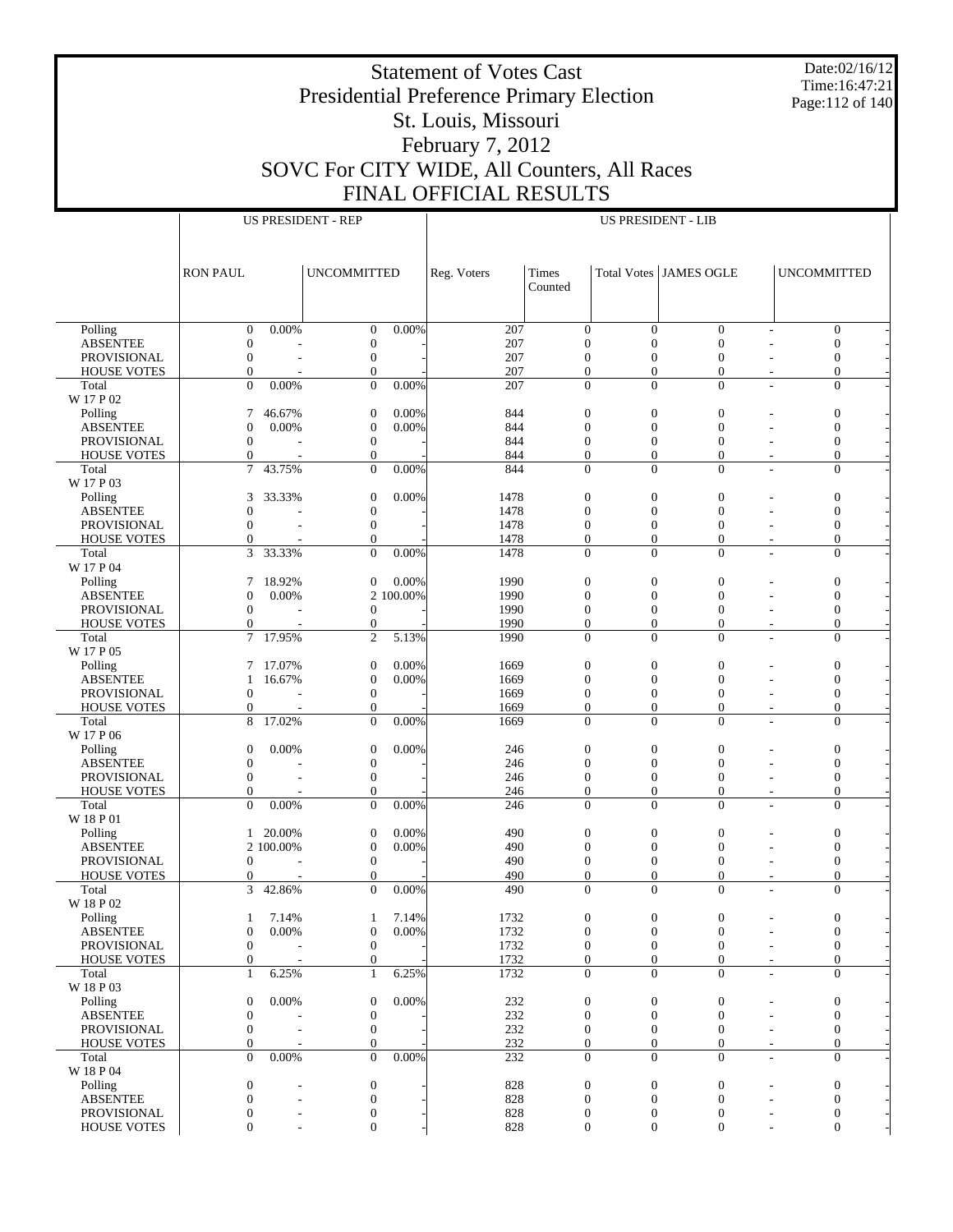Date:02/16/12 Time:16:47:21 Page:112 of 140

### Statement of Votes Cast Presidential Preference Primary Election St. Louis, Missouri February 7, 2012 SOVC For CITY WIDE, All Counters, All Races FINAL OFFICIAL RESULTS

|                                   |                                      |                          | <b>US PRESIDENT - REP</b>            |           |              |                                      |                                      | <b>US PRESIDENT - LIB</b>            |                                  |                                      |
|-----------------------------------|--------------------------------------|--------------------------|--------------------------------------|-----------|--------------|--------------------------------------|--------------------------------------|--------------------------------------|----------------------------------|--------------------------------------|
|                                   |                                      |                          |                                      |           |              |                                      |                                      |                                      |                                  |                                      |
|                                   | <b>RON PAUL</b>                      |                          | <b>UNCOMMITTED</b>                   |           | Reg. Voters  | Times<br>Counted                     |                                      | Total Votes JAMES OGLE               | <b>UNCOMMITTED</b>               |                                      |
|                                   |                                      |                          |                                      |           |              |                                      |                                      |                                      |                                  |                                      |
| Polling                           | $\boldsymbol{0}$                     | 0.00%                    | $\mathbf{0}$                         | 0.00%     | 207          | $\boldsymbol{0}$                     | $\boldsymbol{0}$                     | $\boldsymbol{0}$                     | ٠                                | $\boldsymbol{0}$                     |
| <b>ABSENTEE</b>                   | $\boldsymbol{0}$                     |                          | $\boldsymbol{0}$                     |           | 207          | $\boldsymbol{0}$                     | $\boldsymbol{0}$                     | $\overline{0}$                       |                                  | $\mathbf{0}$                         |
| PROVISIONAL                       | $\boldsymbol{0}$                     |                          | $\mathbf{0}$                         |           | 207          | $\boldsymbol{0}$                     | $\overline{0}$                       | $\mathbf{0}$                         |                                  | $\boldsymbol{0}$                     |
| <b>HOUSE VOTES</b>                | $\mathbf{0}$<br>$\mathbf{0}$         | 0.00%                    | $\boldsymbol{0}$<br>$\boldsymbol{0}$ | 0.00%     | 207<br>207   | $\mathbf{0}$<br>$\boldsymbol{0}$     | $\overline{0}$<br>$\boldsymbol{0}$   | $\boldsymbol{0}$<br>$\boldsymbol{0}$ | $\overline{a}$                   | $\boldsymbol{0}$<br>$\boldsymbol{0}$ |
| Total<br>W 17 P 02                |                                      |                          |                                      |           |              |                                      |                                      |                                      | $\overline{a}$                   |                                      |
| Polling                           | 7                                    | 46.67%                   | $\boldsymbol{0}$                     | 0.00%     | 844          | $\boldsymbol{0}$                     | $\boldsymbol{0}$                     | $\boldsymbol{0}$                     |                                  | $\boldsymbol{0}$                     |
| <b>ABSENTEE</b>                   | $\boldsymbol{0}$                     | 0.00%                    | $\boldsymbol{0}$                     | 0.00%     | 844          | $\boldsymbol{0}$                     | $\boldsymbol{0}$                     | $\boldsymbol{0}$                     |                                  | $\mathbf{0}$                         |
| PROVISIONAL                       | $\boldsymbol{0}$                     |                          | $\mathbf{0}$                         |           | 844          | $\overline{0}$                       | $\overline{0}$                       | $\mathbf{0}$                         |                                  | $\boldsymbol{0}$                     |
| <b>HOUSE VOTES</b><br>Total       | $\mathbf{0}$<br>$\tau$               | 43.75%                   | $\overline{0}$<br>$\overline{0}$     | 0.00%     | 844<br>844   | $\mathbf{0}$<br>$\mathbf{0}$         | $\overline{0}$<br>$\overline{0}$     | $\mathbf{0}$<br>$\mathbf{0}$         | $\overline{a}$                   | $\overline{0}$<br>$\overline{0}$     |
| W 17 P 03                         |                                      |                          |                                      |           |              |                                      |                                      |                                      |                                  |                                      |
| Polling                           | 3                                    | 33.33%                   | $\boldsymbol{0}$                     | 0.00%     | 1478         | $\boldsymbol{0}$                     | $\boldsymbol{0}$                     | $\boldsymbol{0}$                     |                                  | $\boldsymbol{0}$                     |
| <b>ABSENTEE</b>                   | $\mathbf{0}$                         |                          | $\boldsymbol{0}$                     |           | 1478         | $\boldsymbol{0}$                     | $\boldsymbol{0}$                     | $\overline{0}$                       |                                  | $\mathbf{0}$                         |
| PROVISIONAL                       | $\boldsymbol{0}$                     |                          | $\boldsymbol{0}$                     |           | 1478         | $\boldsymbol{0}$                     | $\boldsymbol{0}$                     | $\boldsymbol{0}$                     | ÷,                               | $\boldsymbol{0}$                     |
| <b>HOUSE VOTES</b><br>Total       | $\Omega$<br>3                        | 33.33%                   | $\mathbf{0}$<br>$\boldsymbol{0}$     | 0.00%     | 1478<br>1478 | $\overline{0}$<br>$\boldsymbol{0}$   | $\overline{0}$<br>$\boldsymbol{0}$   | $\overline{0}$<br>$\mathbf{0}$       | $\overline{a}$<br>÷              | $\boldsymbol{0}$<br>$\boldsymbol{0}$ |
| W 17 P 04                         |                                      |                          |                                      |           |              |                                      |                                      |                                      |                                  |                                      |
| Polling                           | 7                                    | 18.92%                   | $\boldsymbol{0}$                     | 0.00%     | 1990         | $\boldsymbol{0}$                     | $\boldsymbol{0}$                     | $\boldsymbol{0}$                     |                                  | $\boldsymbol{0}$                     |
| <b>ABSENTEE</b>                   | $\boldsymbol{0}$                     | 0.00%                    |                                      | 2 100.00% | 1990         | $\boldsymbol{0}$                     | $\boldsymbol{0}$                     | $\boldsymbol{0}$                     |                                  | $\mathbf{0}$                         |
| PROVISIONAL<br><b>HOUSE VOTES</b> | $\boldsymbol{0}$<br>$\mathbf{0}$     |                          | $\boldsymbol{0}$<br>$\boldsymbol{0}$ |           | 1990<br>1990 | $\boldsymbol{0}$<br>$\boldsymbol{0}$ | $\boldsymbol{0}$<br>$\boldsymbol{0}$ | $\mathbf{0}$<br>$\boldsymbol{0}$     |                                  | $\boldsymbol{0}$<br>$\boldsymbol{0}$ |
| Total                             | $\tau$                               | 17.95%                   | $\overline{2}$                       | 5.13%     | 1990         | $\mathbf{0}$                         | $\overline{0}$                       | $\mathbf{0}$                         | $\overline{a}$                   | $\overline{0}$                       |
| W 17 P 05                         |                                      |                          |                                      |           |              |                                      |                                      |                                      |                                  |                                      |
| Polling                           | 7                                    | 17.07%                   | $\boldsymbol{0}$                     | 0.00%     | 1669         | $\boldsymbol{0}$                     | $\boldsymbol{0}$                     | $\boldsymbol{0}$                     |                                  | $\boldsymbol{0}$                     |
| <b>ABSENTEE</b>                   | 1                                    | 16.67%                   | $\boldsymbol{0}$                     | 0.00%     | 1669         | $\boldsymbol{0}$                     | $\boldsymbol{0}$                     | $\overline{0}$                       |                                  | $\mathbf{0}$                         |
| PROVISIONAL<br><b>HOUSE VOTES</b> | $\boldsymbol{0}$<br>$\Omega$         |                          | $\mathbf{0}$<br>$\overline{0}$       |           | 1669<br>1669 | $\boldsymbol{0}$<br>$\overline{0}$   | $\boldsymbol{0}$<br>$\overline{0}$   | $\boldsymbol{0}$<br>$\overline{0}$   | $\overline{a}$<br>$\overline{a}$ | $\boldsymbol{0}$<br>$\boldsymbol{0}$ |
| Total                             | 8                                    | 17.02%                   | $\mathbf{0}$                         | 0.00%     | 1669         | $\boldsymbol{0}$                     | $\overline{0}$                       | $\mathbf{0}$                         | $\overline{a}$                   | $\boldsymbol{0}$                     |
| W 17 P 06                         |                                      |                          |                                      |           |              |                                      |                                      |                                      |                                  |                                      |
| Polling                           | $\boldsymbol{0}$                     | 0.00%                    | $\mathbf{0}$                         | 0.00%     | 246          | $\boldsymbol{0}$                     | $\boldsymbol{0}$                     | $\boldsymbol{0}$                     |                                  | $\boldsymbol{0}$                     |
| <b>ABSENTEE</b>                   | $\boldsymbol{0}$                     |                          | $\boldsymbol{0}$<br>$\boldsymbol{0}$ |           | 246          | $\boldsymbol{0}$<br>$\boldsymbol{0}$ | $\boldsymbol{0}$<br>$\boldsymbol{0}$ | $\boldsymbol{0}$                     |                                  | $\mathbf{0}$<br>$\boldsymbol{0}$     |
| PROVISIONAL<br><b>HOUSE VOTES</b> | $\boldsymbol{0}$<br>$\mathbf{0}$     |                          | $\mathbf{0}$                         |           | 246<br>246   | $\boldsymbol{0}$                     | $\boldsymbol{0}$                     | $\boldsymbol{0}$<br>$\mathbf{0}$     | $\overline{\phantom{a}}$         | $\boldsymbol{0}$                     |
| Total                             | $\mathbf{0}$                         | 0.00%                    | $\theta$                             | 0.00%     | 246          | $\mathbf{0}$                         | $\overline{0}$                       | $\mathbf{0}$                         |                                  | $\overline{0}$                       |
| W 18 P 01                         |                                      |                          |                                      |           |              |                                      |                                      |                                      |                                  |                                      |
| Polling                           | 1                                    | 20.00%                   | $\mathbf{0}$                         | 0.00%     | 490          | $\boldsymbol{0}$                     | $\boldsymbol{0}$                     | $\boldsymbol{0}$                     |                                  | $\boldsymbol{0}$                     |
| ABSENTEE<br>PROVISIONAL           | $\boldsymbol{0}$                     | 2 100.00%                | $\boldsymbol{0}$<br>$\mathbf{0}$     | 0.00%     | 490<br>490   | $\boldsymbol{0}$<br>$\boldsymbol{0}$ | $\boldsymbol{0}$<br>$\boldsymbol{0}$ | $\mathbf{0}$<br>$\mathbf{0}$         | $\overline{a}$                   | $\mathbf{0}$<br>$\boldsymbol{0}$     |
| <b>HOUSE VOTES</b>                | $\Omega$                             |                          | $\mathbf{0}$                         |           | 490          | $\overline{0}$                       | $\overline{0}$                       | $\mathbf{0}$                         | ÷,                               | $\boldsymbol{0}$                     |
| Total                             | 3                                    | 42.86%                   | $\overline{0}$                       | 0.00%     | 490          | $\mathbf{0}$                         | $\overline{0}$                       | $\mathbf{0}$                         |                                  | $\boldsymbol{0}$                     |
| W 18 P 02                         |                                      |                          |                                      |           |              |                                      |                                      |                                      |                                  |                                      |
| Polling                           | 1                                    | 7.14%                    | 1                                    | 7.14%     | 1732         | $\boldsymbol{0}$                     | $\boldsymbol{0}$                     | $\bf{0}$                             | $\qquad \qquad$                  | 0                                    |
| <b>ABSENTEE</b><br>PROVISIONAL    | $\boldsymbol{0}$<br>$\boldsymbol{0}$ | 0.00%                    | $\boldsymbol{0}$<br>$\boldsymbol{0}$ | 0.00%     | 1732<br>1732 | $\boldsymbol{0}$<br>$\boldsymbol{0}$ | $\boldsymbol{0}$<br>$\boldsymbol{0}$ | $\boldsymbol{0}$<br>$\mathbf{0}$     | ٠<br>٠                           | $\boldsymbol{0}$<br>$\boldsymbol{0}$ |
| <b>HOUSE VOTES</b>                | $\mathbf{0}$                         |                          | $\boldsymbol{0}$                     |           | 1732         | $\mathbf{0}$                         | $\overline{0}$                       | $\mathbf{0}$                         | $\sim$                           | $\boldsymbol{0}$                     |
| Total                             | 1                                    | 6.25%                    | 1                                    | 6.25%     | 1732         | $\boldsymbol{0}$                     | $\boldsymbol{0}$                     | $\boldsymbol{0}$                     | $\sim$                           | $\boldsymbol{0}$                     |
| W 18 P 03                         |                                      |                          |                                      |           |              |                                      |                                      |                                      |                                  |                                      |
| Polling                           | $\boldsymbol{0}$<br>$\boldsymbol{0}$ | 0.00%                    | $\mathbf{0}$<br>$\boldsymbol{0}$     | 0.00%     | 232<br>232   | $\boldsymbol{0}$<br>$\boldsymbol{0}$ | $\boldsymbol{0}$<br>$\boldsymbol{0}$ | $\boldsymbol{0}$<br>$\boldsymbol{0}$ |                                  | $\boldsymbol{0}$<br>$\boldsymbol{0}$ |
| <b>ABSENTEE</b><br>PROVISIONAL    | $\boldsymbol{0}$                     |                          | $\boldsymbol{0}$                     |           | 232          | $\mathbf{0}$                         | $\boldsymbol{0}$                     | $\mathbf{0}$                         |                                  | $\boldsymbol{0}$                     |
| <b>HOUSE VOTES</b>                | $\mathbf{0}$                         |                          | $\boldsymbol{0}$                     |           | 232          | $\mathbf{0}$                         | $\boldsymbol{0}$                     | $\boldsymbol{0}$                     | $\overline{a}$                   | $\boldsymbol{0}$                     |
| Total                             | $\mathbf{0}$                         | $0.00\%$                 | $\overline{0}$                       | 0.00%     | 232          | $\mathbf{0}$                         | $\overline{0}$                       | $\mathbf{0}$                         | $\overline{a}$                   | $\boldsymbol{0}$                     |
| W 18 P 04                         |                                      |                          |                                      |           |              |                                      |                                      |                                      |                                  |                                      |
| Polling<br><b>ABSENTEE</b>        | $\boldsymbol{0}$<br>$\boldsymbol{0}$ | $\overline{a}$           | $\boldsymbol{0}$<br>$\boldsymbol{0}$ |           | 828<br>828   | $\boldsymbol{0}$<br>$\boldsymbol{0}$ | $\boldsymbol{0}$<br>$\boldsymbol{0}$ | $\mathbf{0}$<br>$\boldsymbol{0}$     | $\overline{a}$                   | $\boldsymbol{0}$<br>$\boldsymbol{0}$ |
| PROVISIONAL                       | $\boldsymbol{0}$                     | $\overline{\phantom{a}}$ | $\boldsymbol{0}$                     |           | 828          | $\mathbf{0}$                         | $\boldsymbol{0}$                     | $\boldsymbol{0}$                     | $\overline{\phantom{a}}$         | $\boldsymbol{0}$                     |
| <b>HOUSE VOTES</b>                | $\mathbf{0}$                         | ÷,                       | $\boldsymbol{0}$                     |           | 828          | $\boldsymbol{0}$                     | $\boldsymbol{0}$                     | $\mathbf{0}$                         | L,                               | $\boldsymbol{0}$                     |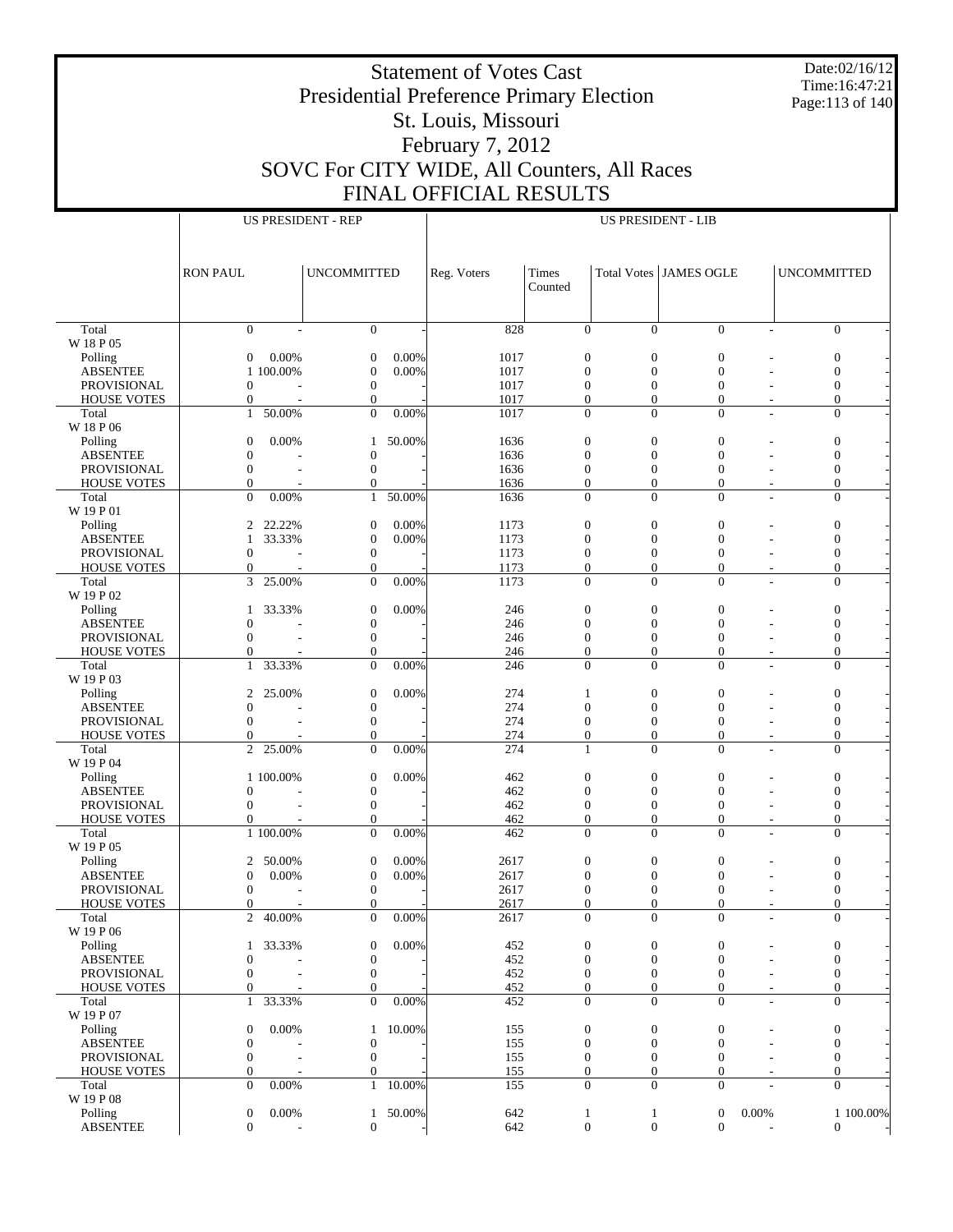Date:02/16/12 Time:16:47:21 Page:113 of 140

# Presidential Preference Primary Election St. Louis, Missouri February 7, 2012 SOVC For CITY WIDE, All Counters, All Races FINAL OFFICIAL RESULTS

|                             | <b>US PRESIDENT - REP</b>              |                          |                                  |        | <b>US PRESIDENT - LIB</b> |                              |                                  |                                  |                |                                  |           |
|-----------------------------|----------------------------------------|--------------------------|----------------------------------|--------|---------------------------|------------------------------|----------------------------------|----------------------------------|----------------|----------------------------------|-----------|
|                             |                                        |                          |                                  |        |                           |                              |                                  |                                  |                |                                  |           |
|                             |                                        |                          |                                  |        |                           |                              |                                  |                                  |                |                                  |           |
|                             |                                        |                          |                                  |        |                           |                              |                                  |                                  |                |                                  |           |
|                             | <b>RON PAUL</b>                        |                          | <b>UNCOMMITTED</b>               |        | Reg. Voters               | Times                        |                                  | Total Votes JAMES OGLE           |                | <b>UNCOMMITTED</b>               |           |
|                             |                                        |                          |                                  |        |                           | Counted                      |                                  |                                  |                |                                  |           |
|                             |                                        |                          |                                  |        |                           |                              |                                  |                                  |                |                                  |           |
|                             |                                        |                          |                                  |        |                           |                              |                                  |                                  |                |                                  |           |
| Total                       | $\mathbf{0}$                           |                          | $\mathbf{0}$                     |        | 828                       | $\mathbf{0}$                 | $\Omega$                         | $\Omega$                         |                | $\overline{0}$                   |           |
| W 18 P 05                   |                                        |                          |                                  |        |                           |                              |                                  |                                  |                |                                  |           |
| Polling                     | $\overline{0}$                         | 0.00%                    | $\boldsymbol{0}$                 | 0.00%  | 1017                      | $\boldsymbol{0}$             | $\overline{0}$                   | $\mathbf{0}$                     |                | $\boldsymbol{0}$                 |           |
| <b>ABSENTEE</b>             | 1 100.00%                              |                          | $\boldsymbol{0}$                 | 0.00%  | 1017                      | $\mathbf{0}$                 | $\overline{0}$                   | $\mathbf{0}$                     |                | $\mathbf{0}$                     |           |
| PROVISIONAL                 | $\overline{0}$                         |                          | $\boldsymbol{0}$                 |        | 1017                      | $\boldsymbol{0}$             | $\overline{0}$                   | $\overline{0}$                   |                | $\boldsymbol{0}$                 |           |
| <b>HOUSE VOTES</b>          | $\mathbf{0}$                           |                          | $\mathbf{0}$                     |        | 1017                      | $\mathbf{0}$                 | $\overline{0}$                   | $\overline{0}$                   |                | $\mathbf{0}$                     |           |
| Total                       | 50.00%<br>$\mathbf{1}$                 |                          | $\mathbf{0}$                     | 0.00%  | 1017                      | $\Omega$                     | $\theta$                         | $\theta$                         |                | $\mathbf{0}$                     |           |
| W 18 P 06                   |                                        |                          |                                  |        |                           |                              |                                  |                                  |                |                                  |           |
| Polling                     | $\mathbf{0}$                           | 0.00%                    | 1                                | 50.00% | 1636                      | $\boldsymbol{0}$             | $\overline{0}$                   | $\overline{0}$                   |                | $\boldsymbol{0}$                 |           |
| <b>ABSENTEE</b>             | $\mathbf{0}$                           |                          | $\boldsymbol{0}$                 |        | 1636                      | $\mathbf{0}$                 | $\overline{0}$                   | $\overline{0}$                   |                | $\mathbf{0}$                     |           |
| PROVISIONAL                 | $\mathbf{0}$                           |                          | $\boldsymbol{0}$                 |        | 1636                      | $\boldsymbol{0}$             | $\overline{0}$                   | $\overline{0}$                   |                | $\boldsymbol{0}$                 |           |
| <b>HOUSE VOTES</b>          | $\mathbf{0}$                           |                          | $\mathbf{0}$                     |        | 1636                      | $\mathbf{0}$                 | $\overline{0}$                   | $\overline{0}$                   |                | $\mathbf{0}$                     |           |
| Total                       | $\Omega$                               | 0.00%                    | $\mathbf{1}$                     | 50.00% | 1636                      | $\Omega$                     | $\theta$                         | $\theta$                         |                | $\mathbf{0}$                     |           |
| W 19 P 01                   |                                        |                          |                                  |        |                           |                              |                                  |                                  |                |                                  |           |
| Polling                     | 2                                      | 22.22%                   | $\boldsymbol{0}$                 | 0.00%  | 1173                      | $\boldsymbol{0}$             | $\overline{0}$                   | $\mathbf{0}$                     |                | $\boldsymbol{0}$                 |           |
| <b>ABSENTEE</b>             | $\mathbf{1}$                           | 33.33%                   | $\boldsymbol{0}$                 | 0.00%  | 1173                      | $\mathbf{0}$                 | $\overline{0}$                   | $\mathbf{0}$                     |                | $\mathbf{0}$                     |           |
| <b>PROVISIONAL</b>          | $\overline{0}$                         |                          | $\boldsymbol{0}$                 |        | 1173                      | $\boldsymbol{0}$             | $\overline{0}$                   | $\boldsymbol{0}$                 |                | $\boldsymbol{0}$                 |           |
| <b>HOUSE VOTES</b>          | $\overline{0}$                         |                          | $\mathbf{0}$                     | 0.00%  | 1173                      | $\mathbf{0}$                 | $\overline{0}$                   | $\overline{0}$                   |                | $\mathbf{0}$                     |           |
| Total                       | 3<br>25.00%                            |                          | $\mathbf{0}$                     |        | 1173                      | $\mathbf{0}$                 | $\theta$                         | $\theta$                         |                | $\mathbf{0}$                     |           |
| W 19 P 02<br>Polling        |                                        |                          |                                  | 0.00%  |                           |                              |                                  |                                  |                |                                  |           |
| <b>ABSENTEE</b>             | $\mathbf{1}$                           | 33.33%                   | $\boldsymbol{0}$                 |        | 246                       | $\boldsymbol{0}$             | $\boldsymbol{0}$                 | $\mathbf{0}$                     |                | $\boldsymbol{0}$                 |           |
|                             | $\mathbf{0}$<br>$\Omega$               |                          | $\boldsymbol{0}$                 |        | 246                       | $\mathbf{0}$                 | $\overline{0}$                   | $\overline{0}$                   |                | $\mathbf{0}$                     |           |
| PROVISIONAL                 |                                        |                          | $\boldsymbol{0}$<br>$\mathbf{0}$ |        | 246                       | $\boldsymbol{0}$             | $\overline{0}$<br>$\overline{0}$ | $\overline{0}$<br>$\overline{0}$ |                | $\boldsymbol{0}$<br>$\mathbf{0}$ |           |
| <b>HOUSE VOTES</b><br>Total | $\mathbf{0}$<br>33.33%<br>$\mathbf{1}$ |                          | $\mathbf{0}$                     | 0.00%  | 246<br>246                | $\boldsymbol{0}$<br>$\Omega$ | $\theta$                         | $\theta$                         |                | $\Omega$                         |           |
| W 19 P 03                   |                                        |                          |                                  |        |                           |                              |                                  |                                  |                |                                  |           |
|                             | $\overline{c}$                         | 25.00%                   | $\boldsymbol{0}$                 | 0.00%  | 274                       | 1                            | $\overline{0}$                   | $\overline{0}$                   |                | $\boldsymbol{0}$                 |           |
| Polling<br><b>ABSENTEE</b>  | $\mathbf{0}$                           |                          | $\boldsymbol{0}$                 |        | 274                       | $\mathbf{0}$                 | $\overline{0}$                   | $\overline{0}$                   |                | $\mathbf{0}$                     |           |
| PROVISIONAL                 | $\Omega$                               |                          | $\boldsymbol{0}$                 |        | 274                       | $\boldsymbol{0}$             | $\boldsymbol{0}$                 | $\boldsymbol{0}$                 |                | $\boldsymbol{0}$                 |           |
| <b>HOUSE VOTES</b>          | $\overline{0}$                         |                          | $\mathbf{0}$                     |        | 274                       | $\overline{0}$               | $\overline{0}$                   | $\overline{0}$                   |                | $\mathbf{0}$                     |           |
| Total                       | 25.00%<br>$\overline{2}$               |                          | $\mathbf{0}$                     | 0.00%  | 274                       | 1                            | $\theta$                         | $\theta$                         |                | $\mathbf{0}$                     |           |
| W 19 P 04                   |                                        |                          |                                  |        |                           |                              |                                  |                                  |                |                                  |           |
| Polling                     | 1 100,00%                              |                          | $\boldsymbol{0}$                 | 0.00%  | 462                       | $\mathbf{0}$                 | $\boldsymbol{0}$                 | $\mathbf{0}$                     |                | $\boldsymbol{0}$                 |           |
| <b>ABSENTEE</b>             | $\mathbf{0}$                           |                          | $\boldsymbol{0}$                 |        | 462                       | $\mathbf{0}$                 | $\overline{0}$                   | $\overline{0}$                   |                | $\mathbf{0}$                     |           |
| PROVISIONAL                 | $\mathbf{0}$                           |                          | $\boldsymbol{0}$                 |        | 462                       | $\boldsymbol{0}$             | $\overline{0}$                   | $\overline{0}$                   |                | $\boldsymbol{0}$                 |           |
| <b>HOUSE VOTES</b>          | $\overline{0}$                         |                          | $\mathbf{0}$                     |        | 462                       | $\boldsymbol{0}$             | $\boldsymbol{0}$                 | $\overline{0}$                   |                | $\mathbf{0}$                     |           |
| Total                       | 1 100.00%                              |                          | $\mathbf{0}$                     | 0.00%  | 462                       | $\Omega$                     | $\theta$                         | $\theta$                         |                | $\mathbf{0}$                     |           |
| W 19 P 05                   |                                        |                          |                                  |        |                           |                              |                                  |                                  |                |                                  |           |
| Polling                     | 2                                      | 50.00%                   | $\boldsymbol{0}$                 | 0.00%  | 2617                      | $\boldsymbol{0}$             | $\overline{0}$                   | $\overline{0}$                   |                | $\boldsymbol{0}$                 |           |
| <b>ABSENTEE</b>             | $\mathbf{0}$                           | 0.00%                    | $\boldsymbol{0}$                 | 0.00%  | 2617                      | $\mathbf{0}$                 | $\overline{0}$                   | $\overline{0}$                   |                | $\mathbf{0}$                     |           |
| PROVISIONAL                 | $\mathbf{0}$                           |                          | $\boldsymbol{0}$                 |        | 2617                      | $\mathbf{0}$                 | $\overline{0}$                   | $\overline{0}$                   |                | $\boldsymbol{0}$                 |           |
| <b>HOUSE VOTES</b>          | $\Omega$                               |                          | $\Omega$                         |        | 2617                      | $\theta$                     | $\Omega$                         | $\theta$                         |                | $\Omega$                         |           |
| Total                       | 2 40.00%                               |                          | $\mathbf{0}$                     | 0.00%  | 2617                      | $\mathbf{0}$                 | $\mathbf{0}$                     | $\mathbf{0}$                     |                | $\mathbf{0}$                     |           |
| W 19 P 06                   |                                        |                          |                                  |        |                           |                              |                                  |                                  |                |                                  |           |
| Polling                     | 1                                      | 33.33%                   | $\boldsymbol{0}$                 | 0.00%  | 452                       | $\boldsymbol{0}$             | $\boldsymbol{0}$                 | $\mathbf{0}$                     |                | $\boldsymbol{0}$                 |           |
| <b>ABSENTEE</b>             | $\boldsymbol{0}$                       |                          | $\boldsymbol{0}$                 |        | 452                       | $\mathbf{0}$                 | $\mathbf{0}$                     | $\mathbf{0}$                     |                | $\mathbf{0}$                     |           |
| PROVISIONAL                 | $\mathbf{0}$                           | L,                       | $\boldsymbol{0}$                 |        | 452                       | $\boldsymbol{0}$             | 0                                | 0                                |                | $\mathbf{0}$                     |           |
| <b>HOUSE VOTES</b>          | $\overline{0}$                         |                          | $\mathbf{0}$                     |        | 452                       | $\mathbf{0}$                 | $\overline{0}$                   | $\overline{0}$                   |                | $\mathbf{0}$                     |           |
| Total                       | 33.33%<br>1                            |                          | $\mathbf{0}$                     | 0.00%  | 452                       | $\mathbf{0}$                 | $\theta$                         | $\theta$                         |                | $\mathbf{0}$                     |           |
| W 19 P 07                   |                                        |                          |                                  |        |                           |                              |                                  |                                  |                |                                  |           |
| Polling                     | $\mathbf{0}$                           | 0.00%                    | $\mathbf{1}$                     | 10.00% | 155                       | $\mathbf{0}$                 | $\boldsymbol{0}$                 | $\mathbf{0}$                     |                | $\boldsymbol{0}$                 |           |
| <b>ABSENTEE</b>             | $\boldsymbol{0}$                       |                          | $\boldsymbol{0}$                 |        | 155                       | $\mathbf{0}$                 | $\overline{0}$                   | $\mathbf{0}$                     |                | $\mathbf{0}$                     |           |
| PROVISIONAL                 | $\mathbf{0}$                           |                          | $\boldsymbol{0}$                 |        | 155                       | $\boldsymbol{0}$             | $\boldsymbol{0}$                 | 0                                |                | $\mathbf{0}$                     |           |
| <b>HOUSE VOTES</b>          | $\boldsymbol{0}$                       |                          | $\mathbf{0}$                     |        | 155                       | $\boldsymbol{0}$             | $\mathbf{0}$                     | $\overline{0}$                   |                | $\mathbf{0}$                     |           |
| Total                       | $\Omega$                               | 0.00%                    | $\mathbf{1}$                     | 10.00% | 155                       | $\mathbf{0}$                 | $\theta$                         | $\theta$                         |                | $\mathbf{0}$                     |           |
| W 19 P 08                   |                                        |                          |                                  |        |                           |                              |                                  |                                  |                |                                  |           |
| Polling                     | $\boldsymbol{0}$                       | 0.00%                    | $\mathbf{1}$                     | 50.00% | 642                       | $\mathbf{1}$                 | 1                                | $\boldsymbol{0}$                 | 0.00%          |                                  | 1 100.00% |
| <b>ABSENTEE</b>             | $\overline{0}$                         | $\overline{\phantom{a}}$ | $\overline{0}$                   |        | 642                       | $\boldsymbol{0}$             | $\boldsymbol{0}$                 | $\overline{0}$                   | $\overline{a}$ | $\overline{0}$                   |           |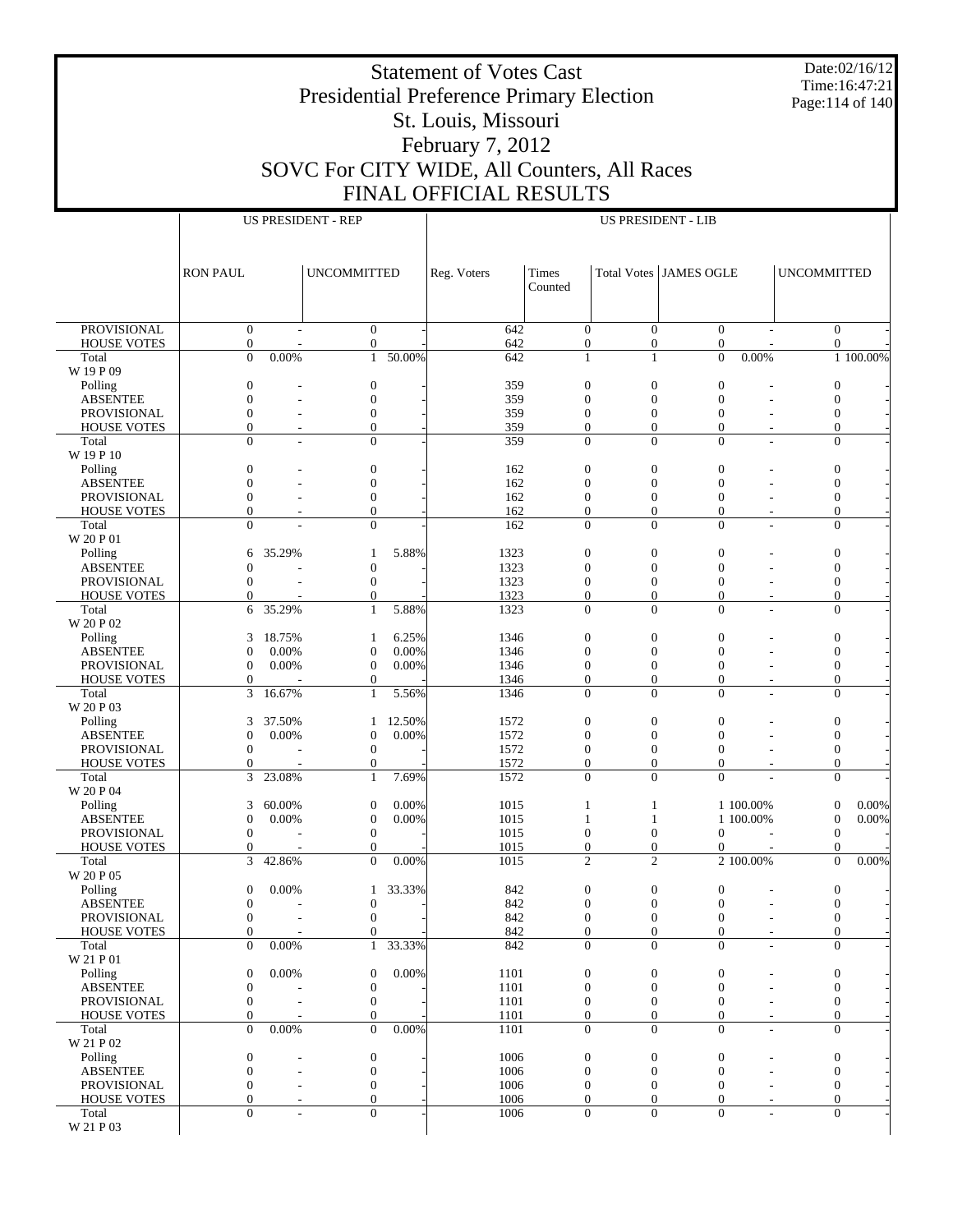Date:02/16/12 Time:16:47:21 Page:114 of 140

# Presidential Preference Primary Election St. Louis, Missouri February 7, 2012 SOVC For CITY WIDE, All Counters, All Races FINAL OFFICIAL RESULTS

|                                          |                                      |                          | <b>US PRESIDENT - REP</b>        |                 | <b>US PRESIDENT - LIB</b> |                                    |                                    |                                  |                          |                    |                                         |
|------------------------------------------|--------------------------------------|--------------------------|----------------------------------|-----------------|---------------------------|------------------------------------|------------------------------------|----------------------------------|--------------------------|--------------------|-----------------------------------------|
|                                          |                                      |                          |                                  |                 |                           |                                    |                                    |                                  |                          |                    |                                         |
|                                          |                                      |                          |                                  |                 |                           |                                    |                                    |                                  |                          |                    |                                         |
|                                          | <b>RON PAUL</b>                      |                          | <b>UNCOMMITTED</b>               |                 | Reg. Voters               | Times                              |                                    | Total Votes JAMES OGLE           |                          | <b>UNCOMMITTED</b> |                                         |
|                                          |                                      |                          |                                  |                 |                           | Counted                            |                                    |                                  |                          |                    |                                         |
|                                          |                                      |                          |                                  |                 |                           |                                    |                                    |                                  |                          |                    |                                         |
|                                          |                                      |                          |                                  |                 |                           |                                    |                                    |                                  |                          |                    |                                         |
| <b>PROVISIONAL</b><br><b>HOUSE VOTES</b> | $\boldsymbol{0}$<br>$\boldsymbol{0}$ |                          | $\mathbf{0}$<br>$\mathbf{0}$     |                 | 642<br>642                | $\mathbf{0}$<br>$\boldsymbol{0}$   | $\overline{0}$<br>$\boldsymbol{0}$ | $\mathbf{0}$<br>$\boldsymbol{0}$ |                          |                    | $\boldsymbol{0}$<br>$\overline{0}$      |
| Total                                    | $\overline{0}$                       | 0.00%                    | $\mathbf{1}$                     | 50.00%          | 642                       | $\mathbf{1}$                       | $\mathbf{1}$                       | $\overline{0}$                   | 0.00%                    |                    | 1 100.00%                               |
| W 19 P 09                                |                                      |                          |                                  |                 |                           |                                    |                                    |                                  |                          |                    |                                         |
| Polling                                  | $\boldsymbol{0}$                     |                          | $\boldsymbol{0}$                 |                 | 359                       | $\boldsymbol{0}$                   | $\boldsymbol{0}$                   | $\boldsymbol{0}$                 |                          |                    | $\boldsymbol{0}$                        |
| <b>ABSENTEE</b>                          | $\mathbf{0}$                         |                          | $\overline{0}$                   |                 | 359                       | $\overline{0}$                     | $\overline{0}$                     | $\overline{0}$                   |                          | $\mathbf{0}$       |                                         |
| PROVISIONAL                              | $\boldsymbol{0}$                     |                          | $\boldsymbol{0}$                 |                 | 359                       | $\boldsymbol{0}$                   | $\boldsymbol{0}$                   | $\mathbf{0}$                     |                          |                    | $\boldsymbol{0}$                        |
| <b>HOUSE VOTES</b>                       | $\mathbf{0}$<br>$\overline{0}$       | $\overline{\phantom{a}}$ | $\overline{0}$<br>$\mathbf{0}$   |                 | 359<br>359                | $\mathbf{0}$<br>$\mathbf{0}$       | $\overline{0}$<br>$\overline{0}$   | $\mathbf{0}$<br>$\mathbf{0}$     | $\overline{\phantom{a}}$ |                    | $\mathbf{0}$<br>$\overline{0}$          |
| Total<br>W 19 P 10                       |                                      |                          |                                  |                 |                           |                                    |                                    |                                  | $\overline{a}$           |                    |                                         |
| Polling                                  | $\boldsymbol{0}$                     |                          | $\boldsymbol{0}$                 |                 | 162                       | $\boldsymbol{0}$                   | $\boldsymbol{0}$                   | $\boldsymbol{0}$                 |                          |                    | $\boldsymbol{0}$                        |
| <b>ABSENTEE</b>                          | $\mathbf{0}$                         |                          | $\mathbf{0}$                     |                 | 162                       | $\overline{0}$                     | $\overline{0}$                     | $\overline{0}$                   |                          | $\mathbf{0}$       |                                         |
| PROVISIONAL                              | $\boldsymbol{0}$                     |                          | $\boldsymbol{0}$                 |                 | 162                       | $\boldsymbol{0}$                   | $\boldsymbol{0}$                   | $\boldsymbol{0}$                 |                          |                    | $\boldsymbol{0}$                        |
| <b>HOUSE VOTES</b>                       | $\mathbf{0}$                         | $\overline{\phantom{a}}$ | $\overline{0}$                   |                 | 162                       | $\overline{0}$                     | $\overline{0}$                     | $\mathbf{0}$                     | $\overline{\phantom{a}}$ |                    | $\overline{0}$                          |
| Total                                    | $\mathbf{0}$                         |                          | $\boldsymbol{0}$                 |                 | 162                       | $\overline{0}$                     | $\overline{0}$                     | $\overline{0}$                   | ÷                        |                    | $\boldsymbol{0}$                        |
| W 20 P 01                                |                                      |                          |                                  |                 |                           |                                    |                                    |                                  |                          |                    |                                         |
| Polling                                  | 6                                    | 35.29%                   | 1                                | 5.88%           | 1323                      | $\boldsymbol{0}$                   | $\boldsymbol{0}$                   | $\boldsymbol{0}$                 |                          | $\boldsymbol{0}$   |                                         |
| <b>ABSENTEE</b>                          | $\overline{0}$                       |                          | $\boldsymbol{0}$                 |                 | 1323                      | $\overline{0}$                     | $\overline{0}$                     | $\mathbf{0}$                     |                          | $\mathbf{0}$       |                                         |
| <b>PROVISIONAL</b><br><b>HOUSE VOTES</b> | $\mathbf{0}$<br>$\mathbf{0}$         |                          | $\boldsymbol{0}$<br>$\mathbf{0}$ |                 | 1323<br>1323              | $\boldsymbol{0}$<br>$\mathbf{0}$   | $\boldsymbol{0}$<br>$\overline{0}$ | $\mathbf{0}$<br>$\mathbf{0}$     |                          |                    | $\boldsymbol{0}$<br>$\overline{0}$      |
| Total                                    | 6                                    | 35.29%                   | $\mathbf{1}$                     | 5.88%           | 1323                      | $\mathbf{0}$                       | $\overline{0}$                     | $\Omega$                         | $\overline{a}$           |                    | $\overline{0}$                          |
| W 20 P 02                                |                                      |                          |                                  |                 |                           |                                    |                                    |                                  |                          |                    |                                         |
| Polling                                  | 3                                    | 18.75%                   | 1                                | 6.25%           | 1346                      | $\boldsymbol{0}$                   | $\boldsymbol{0}$                   | $\boldsymbol{0}$                 |                          |                    | $\boldsymbol{0}$                        |
| <b>ABSENTEE</b>                          | $\mathbf{0}$                         | 0.00%                    | $\boldsymbol{0}$                 | 0.00%           | 1346                      | $\overline{0}$                     | $\overline{0}$                     | $\mathbf{0}$                     |                          | $\mathbf{0}$       |                                         |
| PROVISIONAL                              | $\boldsymbol{0}$                     | 0.00%                    | $\boldsymbol{0}$                 | 0.00%           | 1346                      | $\boldsymbol{0}$                   | $\boldsymbol{0}$                   | $\boldsymbol{0}$                 |                          |                    | $\boldsymbol{0}$                        |
| <b>HOUSE VOTES</b>                       | $\overline{0}$                       |                          | $\mathbf{0}$                     |                 | 1346                      | $\overline{0}$                     | $\overline{0}$                     | $\mathbf{0}$                     | $\overline{\phantom{a}}$ |                    | $\overline{0}$                          |
| Total                                    | 3                                    | 16.67%                   | $\mathbf{1}$                     | 5.56%           | 1346                      | $\mathbf{0}$                       | $\overline{0}$                     | $\overline{0}$                   | ÷                        |                    | $\boldsymbol{0}$                        |
| W 20 P 03                                |                                      |                          |                                  |                 |                           |                                    |                                    |                                  |                          |                    |                                         |
| Polling<br><b>ABSENTEE</b>               | 3<br>$\mathbf{0}$                    | 37.50%<br>0.00%          | 1<br>$\boldsymbol{0}$            | 12.50%<br>0.00% | 1572<br>1572              | $\boldsymbol{0}$<br>$\overline{0}$ | $\boldsymbol{0}$<br>$\overline{0}$ | $\boldsymbol{0}$<br>$\mathbf{0}$ |                          |                    | $\boldsymbol{0}$<br>$\mathbf{0}$        |
| PROVISIONAL                              | $\boldsymbol{0}$                     |                          | $\boldsymbol{0}$                 |                 | 1572                      | $\boldsymbol{0}$                   | $\boldsymbol{0}$                   | $\mathbf{0}$                     |                          |                    | $\boldsymbol{0}$                        |
| <b>HOUSE VOTES</b>                       | $\mathbf{0}$                         |                          | $\mathbf{0}$                     |                 | 1572                      | $\boldsymbol{0}$                   | $\boldsymbol{0}$                   | $\boldsymbol{0}$                 | ٠                        |                    | $\overline{0}$                          |
| Total                                    | 3                                    | 23.08%                   | $\mathbf{1}$                     | 7.69%           | 1572                      | $\overline{0}$                     | $\overline{0}$                     | $\Omega$                         |                          |                    | $\overline{0}$                          |
| W 20 P 04                                |                                      |                          |                                  |                 |                           |                                    |                                    |                                  |                          |                    |                                         |
| Polling                                  | 3                                    | 60.00%                   | $\boldsymbol{0}$                 | 0.00%           | 1015                      | $\mathbf{1}$                       | 1                                  |                                  | 1 100.00%                |                    | 0.00%<br>$\boldsymbol{0}$               |
| <b>ABSENTEE</b>                          | $\boldsymbol{0}$                     | 0.00%                    | $\boldsymbol{0}$                 | 0.00%           | 1015                      | 1                                  | 1                                  |                                  | 1 100.00%                | $\boldsymbol{0}$   | 0.00%                                   |
| PROVISIONAL                              | $\mathbf{0}$                         |                          | $\boldsymbol{0}$                 |                 | 1015                      | $\boldsymbol{0}$                   | $\boldsymbol{0}$                   | $\Omega$                         |                          |                    | $\mathbf{0}$                            |
| <b>HOUSE VOTES</b>                       | $\mathbf{0}$<br>3                    | 42.86%                   | $\theta$<br>$\mathbf{0}$         | 0.00%           | 1015<br>1015              | $\boldsymbol{0}$<br>$\mathfrak{2}$ | $\overline{0}$<br>$\mathfrak{2}$   | $\mathbf{0}$                     | 2 100.00%                |                    | $\mathbf{0}$<br>0.00%<br>$\overline{0}$ |
| Total<br>W 20 P 05                       |                                      |                          |                                  |                 |                           |                                    |                                    |                                  |                          |                    |                                         |
| Polling                                  | $\boldsymbol{0}$                     | 0.00%                    | 1                                | 33.33%          | 842                       | $\boldsymbol{0}$                   | $\boldsymbol{0}$                   | $\boldsymbol{0}$                 |                          |                    | $\boldsymbol{0}$                        |
| <b>ABSENTEE</b>                          | $\boldsymbol{0}$                     |                          | $\mathbf{0}$                     |                 | 842                       | $\Omega$                           | $\Omega$                           | $\boldsymbol{0}$                 | $\overline{\phantom{a}}$ |                    | $\Omega$                                |
| PROVISIONAL                              | $\boldsymbol{0}$                     |                          | $\boldsymbol{0}$                 |                 | 842                       | $\boldsymbol{0}$                   | $\boldsymbol{0}$                   | $\boldsymbol{0}$                 | ٠                        |                    | $\boldsymbol{0}$                        |
| <b>HOUSE VOTES</b>                       | $\overline{0}$                       |                          | $\mathbf{0}$                     |                 | 842                       | $\overline{0}$                     | $\overline{0}$                     | $\boldsymbol{0}$                 | $\sim$                   |                    | $\boldsymbol{0}$                        |
| Total                                    | $\mathbf{0}$                         | 0.00%                    | $\mathbf{1}$                     | 33.33%          | 842                       | $\mathbf{0}$                       | $\overline{0}$                     | $\overline{0}$                   | ٠                        |                    | $\boldsymbol{0}$                        |
| W 21 P 01                                |                                      |                          |                                  |                 |                           |                                    |                                    |                                  |                          |                    |                                         |
| Polling                                  | $\boldsymbol{0}$                     | 0.00%                    | $\boldsymbol{0}$                 | 0.00%           | 1101                      | $\boldsymbol{0}$                   | $\boldsymbol{0}$                   | $\boldsymbol{0}$                 |                          |                    | $\boldsymbol{0}$                        |
| <b>ABSENTEE</b><br>PROVISIONAL           | $\boldsymbol{0}$<br>$\boldsymbol{0}$ |                          | $\boldsymbol{0}$<br>$\mathbf{0}$ |                 | 1101<br>1101              | $\boldsymbol{0}$<br>$\mathbf{0}$   | $\overline{0}$<br>$\boldsymbol{0}$ | $\mathbf{0}$<br>$\mathbf{0}$     |                          |                    | $\mathbf{0}$<br>$\boldsymbol{0}$        |
| <b>HOUSE VOTES</b>                       | $\mathbf{0}$                         |                          | $\mathbf{0}$                     |                 | 1101                      | $\boldsymbol{0}$                   | $\boldsymbol{0}$                   | $\mathbf{0}$                     | $\overline{\phantom{a}}$ |                    | $\boldsymbol{0}$                        |
| Total                                    | $\Omega$                             | 0.00%                    | $\Omega$                         | 0.00%           | 1101                      | $\mathbf{0}$                       | $\overline{0}$                     | $\mathbf{0}$                     | $\overline{a}$           |                    | $\boldsymbol{0}$                        |
| W 21 P 02                                |                                      |                          |                                  |                 |                           |                                    |                                    |                                  |                          |                    |                                         |
| Polling                                  | $\boldsymbol{0}$                     |                          | $\boldsymbol{0}$                 |                 | 1006                      | $\boldsymbol{0}$                   | $\boldsymbol{0}$                   | $\boldsymbol{0}$                 |                          |                    | $\boldsymbol{0}$                        |
| <b>ABSENTEE</b>                          | $\mathbf{0}$                         | $\overline{a}$           | $\mathbf{0}$                     |                 | 1006                      | $\mathbf{0}$                       | $\overline{0}$                     | $\mathbf{0}$                     |                          |                    | $\boldsymbol{0}$                        |
| PROVISIONAL                              | $\mathbf{0}$                         |                          | $\mathbf{0}$                     |                 | 1006                      | $\boldsymbol{0}$                   | $\mathbf{0}$                       | $\theta$                         |                          |                    | $\boldsymbol{0}$                        |
| <b>HOUSE VOTES</b>                       | $\Omega$                             | $\overline{\phantom{a}}$ | $\overline{0}$                   |                 | 1006                      | $\mathbf{0}$                       | $\overline{0}$                     | $\mathbf{0}$                     | $\overline{\phantom{a}}$ |                    | $\boldsymbol{0}$                        |
| Total                                    | $\overline{0}$                       |                          | $\boldsymbol{0}$                 |                 | 1006                      | $\boldsymbol{0}$                   | $\overline{0}$                     | $\mathbf{0}$                     | ٠                        |                    | $\boldsymbol{0}$                        |
| W 21 P 03                                |                                      |                          |                                  |                 |                           |                                    |                                    |                                  |                          |                    |                                         |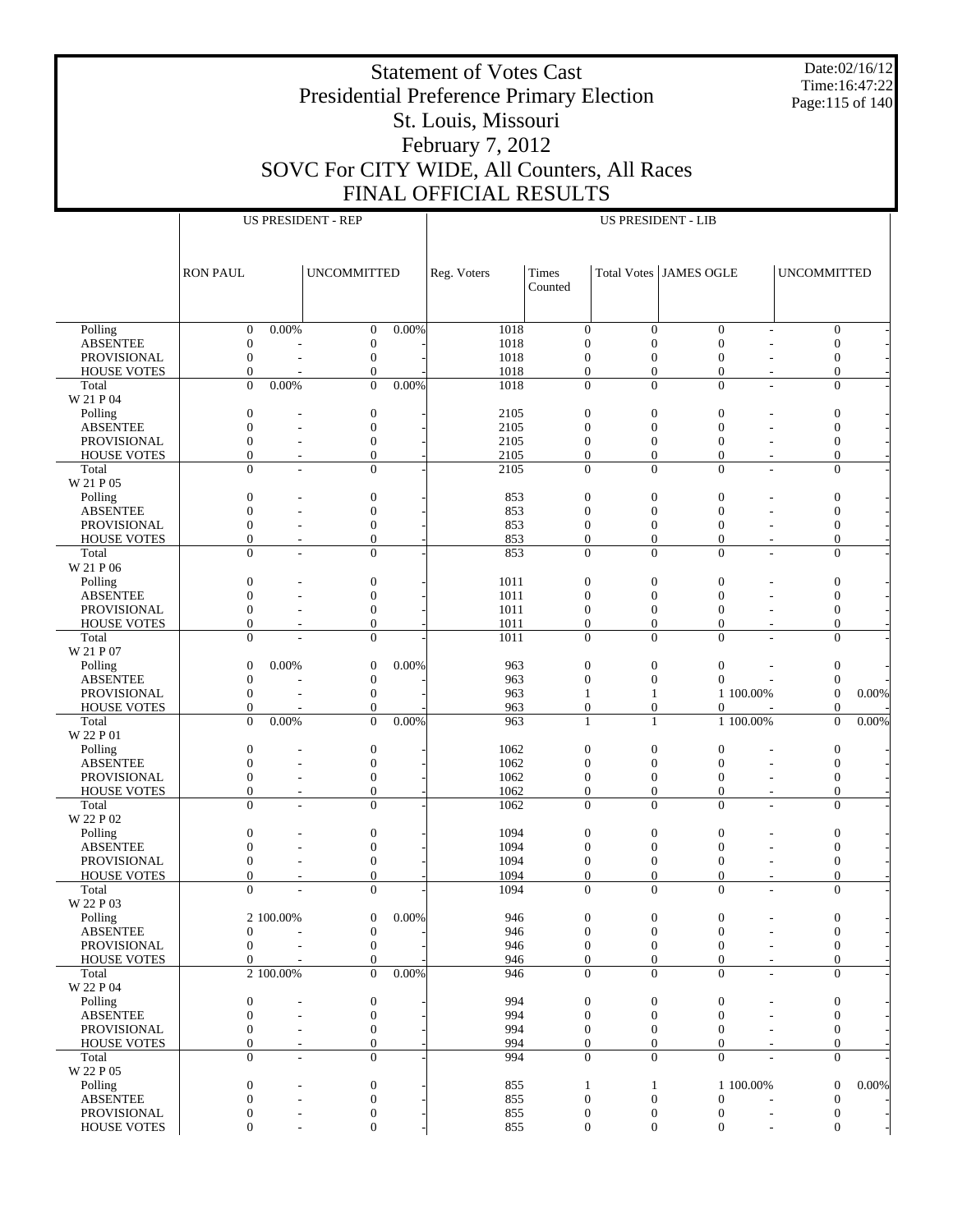Date:02/16/12 Time:16:47:22 Page:115 of 140

# Presidential Preference Primary Election St. Louis, Missouri February 7, 2012 SOVC For CITY WIDE, All Counters, All Races FINAL OFFICIAL RESULTS

|                                       |                                  |           | <b>US PRESIDENT - REP</b>        |          |              |                                  | <b>US PRESIDENT - LIB</b>          |                                      |                                            |       |
|---------------------------------------|----------------------------------|-----------|----------------------------------|----------|--------------|----------------------------------|------------------------------------|--------------------------------------|--------------------------------------------|-------|
|                                       |                                  |           |                                  |          |              |                                  |                                    |                                      |                                            |       |
|                                       |                                  |           |                                  |          |              |                                  |                                    |                                      |                                            |       |
|                                       | <b>RON PAUL</b>                  |           | <b>UNCOMMITTED</b>               |          | Reg. Voters  | Times                            |                                    | <b>Total Votes JAMES OGLE</b>        | <b>UNCOMMITTED</b>                         |       |
|                                       |                                  |           |                                  |          |              | Counted                          |                                    |                                      |                                            |       |
|                                       |                                  |           |                                  |          |              |                                  |                                    |                                      |                                            |       |
|                                       |                                  |           |                                  |          |              |                                  |                                    |                                      |                                            |       |
| Polling                               | $\mathbf{0}$                     | $0.00\%$  | $\mathbf{0}$                     | $0.00\%$ | 1018         | $\mathbf{0}$                     | $\overline{0}$                     | $\overline{0}$                       | $\mathbf{0}$                               |       |
| <b>ABSENTEE</b>                       | $\boldsymbol{0}$                 |           | $\boldsymbol{0}$                 |          | 1018         | $\overline{0}$                   | $\mathbf{0}$                       | $\mathbf{0}$                         | $\mathbf{0}$                               |       |
| <b>PROVISIONAL</b>                    | $\mathbf{0}$                     |           | $\boldsymbol{0}$                 |          | 1018         | $\mathbf{0}$                     | $\mathbf{0}$                       | $\mathbf{0}$                         | $\mathbf{0}$                               |       |
| <b>HOUSE VOTES</b>                    | $\theta$                         |           | $\mathbf{0}$                     |          | 1018         | $\boldsymbol{0}$                 | $\mathbf{0}$                       | $\overline{0}$                       | $\mathbf{0}$                               |       |
| Total                                 | $\Omega$                         | 0.00%     | $\Omega$                         | 0.00%    | 1018         | $\mathbf{0}$                     | $\overline{0}$                     | $\mathbf{0}$                         | $\mathbf{0}$                               |       |
| W 21 P 04                             |                                  |           |                                  |          |              |                                  |                                    |                                      |                                            |       |
| Polling                               | $\boldsymbol{0}$<br>$\mathbf{0}$ |           | $\boldsymbol{0}$<br>$\mathbf{0}$ |          | 2105         | $\boldsymbol{0}$<br>$\mathbf{0}$ | $\boldsymbol{0}$<br>$\overline{0}$ | $\mathbf{0}$                         | $\boldsymbol{0}$                           |       |
| <b>ABSENTEE</b><br><b>PROVISIONAL</b> | $\mathbf{0}$                     |           | $\boldsymbol{0}$                 |          | 2105<br>2105 | $\mathbf{0}$                     | $\boldsymbol{0}$                   | $\boldsymbol{0}$<br>$\boldsymbol{0}$ | $\mathbf{0}$<br>$\mathbf{0}$               |       |
| <b>HOUSE VOTES</b>                    | $\mathbf{0}$                     |           | $\mathbf{0}$                     |          | 2105         | $\mathbf{0}$                     | $\mathbf{0}$                       | $\overline{0}$                       | $\mathbf{0}$                               |       |
| Total                                 | $\Omega$                         |           | $\mathbf{0}$                     |          | 2105         | $\mathbf{0}$                     | $\mathbf{0}$                       | $\overline{0}$                       | $\mathbf{0}$                               |       |
| W 21 P 05                             |                                  |           |                                  |          |              |                                  |                                    |                                      |                                            |       |
| Polling                               | $\boldsymbol{0}$                 |           | $\boldsymbol{0}$                 |          | 853          | $\boldsymbol{0}$                 | $\boldsymbol{0}$                   | $\mathbf{0}$                         | $\boldsymbol{0}$                           |       |
| <b>ABSENTEE</b>                       | $\mathbf{0}$                     |           | $\mathbf{0}$                     |          | 853          | $\mathbf{0}$                     | $\overline{0}$                     | $\boldsymbol{0}$                     | $\mathbf{0}$                               |       |
| <b>PROVISIONAL</b>                    | $\mathbf{0}$                     |           | $\boldsymbol{0}$                 |          | 853          | $\mathbf{0}$                     | $\mathbf{0}$                       | $\boldsymbol{0}$                     | $\mathbf{0}$                               |       |
| <b>HOUSE VOTES</b>                    | $\mathbf{0}$                     |           | $\mathbf{0}$                     |          | 853          | $\boldsymbol{0}$                 | $\boldsymbol{0}$                   | $\boldsymbol{0}$                     | $\boldsymbol{0}$                           |       |
| Total                                 | $\Omega$                         |           | $\overline{0}$                   |          | 853          | $\mathbf{0}$                     | $\Omega$                           | $\Omega$                             | $\mathbf{0}$                               |       |
| W 21 P 06                             |                                  |           |                                  |          |              |                                  |                                    |                                      |                                            |       |
| Polling                               | $\boldsymbol{0}$                 |           | $\boldsymbol{0}$                 |          | 1011         | $\boldsymbol{0}$                 | $\boldsymbol{0}$                   | $\mathbf{0}$                         | $\boldsymbol{0}$                           |       |
| <b>ABSENTEE</b>                       | $\mathbf{0}$                     |           | $\mathbf{0}$                     |          | 1011         | $\mathbf{0}$                     | $\overline{0}$                     | $\boldsymbol{0}$                     | $\mathbf{0}$                               |       |
| <b>PROVISIONAL</b>                    | $\mathbf{0}$                     |           | $\boldsymbol{0}$                 |          | 1011         | $\mathbf{0}$                     | $\mathbf{0}$                       | $\boldsymbol{0}$                     | $\mathbf{0}$                               |       |
| <b>HOUSE VOTES</b><br>Total           | $\mathbf{0}$<br>$\Omega$         |           | $\mathbf{0}$<br>$\mathbf{0}$     |          | 1011<br>1011 | $\boldsymbol{0}$<br>$\mathbf{0}$ | $\mathbf{0}$<br>$\overline{0}$     | $\overline{0}$<br>$\theta$           | $\mathbf{0}$<br>$\mathbf{0}$               |       |
| W 21 P 07                             |                                  |           |                                  |          |              |                                  |                                    |                                      |                                            |       |
| Polling                               | $\mathbf{0}$                     | 0.00%     | $\boldsymbol{0}$                 | 0.00%    | 963          | $\boldsymbol{0}$                 | $\boldsymbol{0}$                   | $\overline{0}$                       | $\boldsymbol{0}$                           |       |
| <b>ABSENTEE</b>                       | $\mathbf{0}$                     |           | $\boldsymbol{0}$                 |          | 963          | $\overline{0}$                   | $\overline{0}$                     | $\theta$                             | $\Omega$                                   |       |
| <b>PROVISIONAL</b>                    | $\mathbf{0}$                     |           | $\boldsymbol{0}$                 |          | 963          | $\mathbf{1}$                     | 1                                  | 1 100.00%                            | $\Omega$                                   | 0.00% |
| <b>HOUSE VOTES</b>                    | $\mathbf{0}$                     |           | $\mathbf{0}$                     |          | 963          | $\boldsymbol{0}$                 | $\boldsymbol{0}$                   | $\boldsymbol{0}$                     | $\mathbf{0}$                               |       |
| Total                                 | $\Omega$                         | 0.00%     | $\Omega$                         | 0.00%    | 963          | $\mathbf{1}$                     | $\mathbf{1}$                       | 1 100.00%                            | $\Omega$                                   | 0.00% |
| W 22 P 01                             |                                  |           |                                  |          |              |                                  |                                    |                                      |                                            |       |
| Polling                               | $\boldsymbol{0}$                 |           | $\boldsymbol{0}$                 |          | 1062         | $\boldsymbol{0}$                 | $\boldsymbol{0}$                   | $\mathbf{0}$                         | $\mathbf{0}$                               |       |
| <b>ABSENTEE</b>                       | $\mathbf{0}$                     |           | $\mathbf{0}$                     |          | 1062         | $\mathbf{0}$                     | $\overline{0}$                     | $\mathbf{0}$                         | $\mathbf{0}$                               |       |
| <b>PROVISIONAL</b>                    | $\mathbf{0}$                     |           | $\boldsymbol{0}$                 |          | 1062         | $\mathbf{0}$                     | $\mathbf{0}$                       | $\mathbf{0}$                         | $\mathbf{0}$                               |       |
| <b>HOUSE VOTES</b>                    | $\mathbf{0}$<br>$\Omega$         |           | $\mathbf{0}$                     |          | 1062         | $\boldsymbol{0}$<br>$\mathbf{0}$ | $\overline{0}$<br>$\overline{0}$   | $\overline{0}$                       | $\mathbf{0}$                               |       |
| Total<br>W 22 P 02                    |                                  |           | $\mathbf{0}$                     |          | 1062         |                                  |                                    | $\overline{0}$                       | $\mathbf{0}$                               |       |
| Polling                               | $\boldsymbol{0}$                 |           | $\boldsymbol{0}$                 |          | 1094         | $\boldsymbol{0}$                 | $\boldsymbol{0}$                   | $\mathbf{0}$                         | $\boldsymbol{0}$                           |       |
| <b>ABSENTEE</b>                       | $\mathbf{0}$                     |           | $\mathbf{0}$                     |          | 1094         | $\mathbf{0}$                     | $\mathbf{0}$                       | $\mathbf{0}$                         | $\mathbf{0}$                               |       |
| <b>PROVISIONAL</b>                    | $\mathbf{0}$                     |           | $\boldsymbol{0}$                 |          | 1094         | $\mathbf{0}$                     | $\mathbf{0}$                       | $\boldsymbol{0}$                     | $\boldsymbol{0}$                           |       |
| <b>HOUSE VOTES</b>                    | $\mathbf{0}$                     |           | $\mathbf{0}$                     |          | 1094         | $\boldsymbol{0}$                 | $\overline{0}$                     | $\mathbf{0}$                         | $\boldsymbol{0}$                           |       |
| Total                                 | $\Omega$                         |           | $\theta$                         |          | 1094         | $\Omega$                         | $\Omega$                           | $\theta$                             | $\Omega$                                   |       |
| W 22 P 03                             |                                  |           |                                  |          |              |                                  |                                    |                                      |                                            |       |
| Polling                               |                                  | 2 100.00% | $\boldsymbol{0}$                 | 0.00%    | 946          | $\boldsymbol{0}$                 | $\boldsymbol{0}$                   | $\boldsymbol{0}$                     | $\mathbf{0}$                               |       |
| <b>ABSENTEE</b>                       | $\mathbf{0}$                     |           | $\boldsymbol{0}$                 |          | 946          | $\mathbf{0}$                     | $\mathbf{0}$                       | $\mathbf{0}$                         | $\mathbf{0}$                               |       |
| PROVISIONAL                           | $\mathbf{0}$                     |           | $\boldsymbol{0}$                 |          | 946          | $\mathbf{0}$                     | $\overline{0}$                     | $\overline{0}$                       | $\mathbf{0}$                               |       |
| <b>HOUSE VOTES</b>                    | $\mathbf{0}$                     | 2 100.00% | $\mathbf{0}$<br>$\Omega$         | 0.00%    | 946          | $\mathbf{0}$                     | $\overline{0}$<br>$\Omega$         | $\mathbf{0}$<br>$\Omega$             | $\mathbf{0}$                               |       |
| Total<br>W 22 P 04                    |                                  |           |                                  |          | 946          | $\mathbf{0}$                     |                                    |                                      | $\overline{0}$<br>$\overline{\phantom{a}}$ |       |
| Polling                               | $\boldsymbol{0}$                 |           | $\boldsymbol{0}$                 |          | 994          | $\mathbf{0}$                     | $\mathbf{0}$                       | $\boldsymbol{0}$                     | $\boldsymbol{0}$                           |       |
| <b>ABSENTEE</b>                       | $\mathbf{0}$                     |           | $\mathbf{0}$                     |          | 994          | $\mathbf{0}$                     | $\overline{0}$                     | $\overline{0}$                       | $\mathbf{0}$                               |       |
| PROVISIONAL                           | $\mathbf{0}$                     |           | $\mathbf{0}$                     |          | 994          | $\mathbf{0}$                     | $\mathbf{0}$                       | $\overline{0}$                       | $\mathbf{0}$                               |       |
| <b>HOUSE VOTES</b>                    | $\mathbf{0}$                     |           | $\mathbf{0}$                     |          | 994          | $\mathbf{0}$                     | $\overline{0}$                     | $\mathbf{0}$                         | $\mathbf{0}$                               |       |
| Total                                 | $\Omega$                         |           | $\mathbf{0}$                     |          | 994          | $\mathbf{0}$                     | $\overline{0}$                     | $\theta$                             | $\mathbf{0}$                               |       |
| W 22 P 05                             |                                  |           |                                  |          |              |                                  |                                    |                                      |                                            |       |
| Polling                               | $\boldsymbol{0}$                 |           | $\boldsymbol{0}$                 |          | 855          | $\mathbf{1}$                     | $\mathbf{1}$                       | 1 100.00%                            | $\mathbf{0}$                               | 0.00% |
| <b>ABSENTEE</b>                       | $\mathbf{0}$                     |           | $\mathbf{0}$                     |          | 855          | $\mathbf{0}$                     | $\overline{0}$                     | $\boldsymbol{0}$                     | $\mathbf{0}$                               |       |
| PROVISIONAL                           | $\boldsymbol{0}$                 |           | $\boldsymbol{0}$                 |          | 855          | $\mathbf{0}$                     | $\mathbf{0}$                       | $\boldsymbol{0}$                     | $\boldsymbol{0}$                           |       |
| <b>HOUSE VOTES</b>                    | $\Omega$                         |           | $\mathbf{0}$                     |          | 855          | $\mathbf{0}$                     | $\overline{0}$                     | $\mathbf{0}$                         | $\mathbf{0}$<br>$\overline{\phantom{a}}$   |       |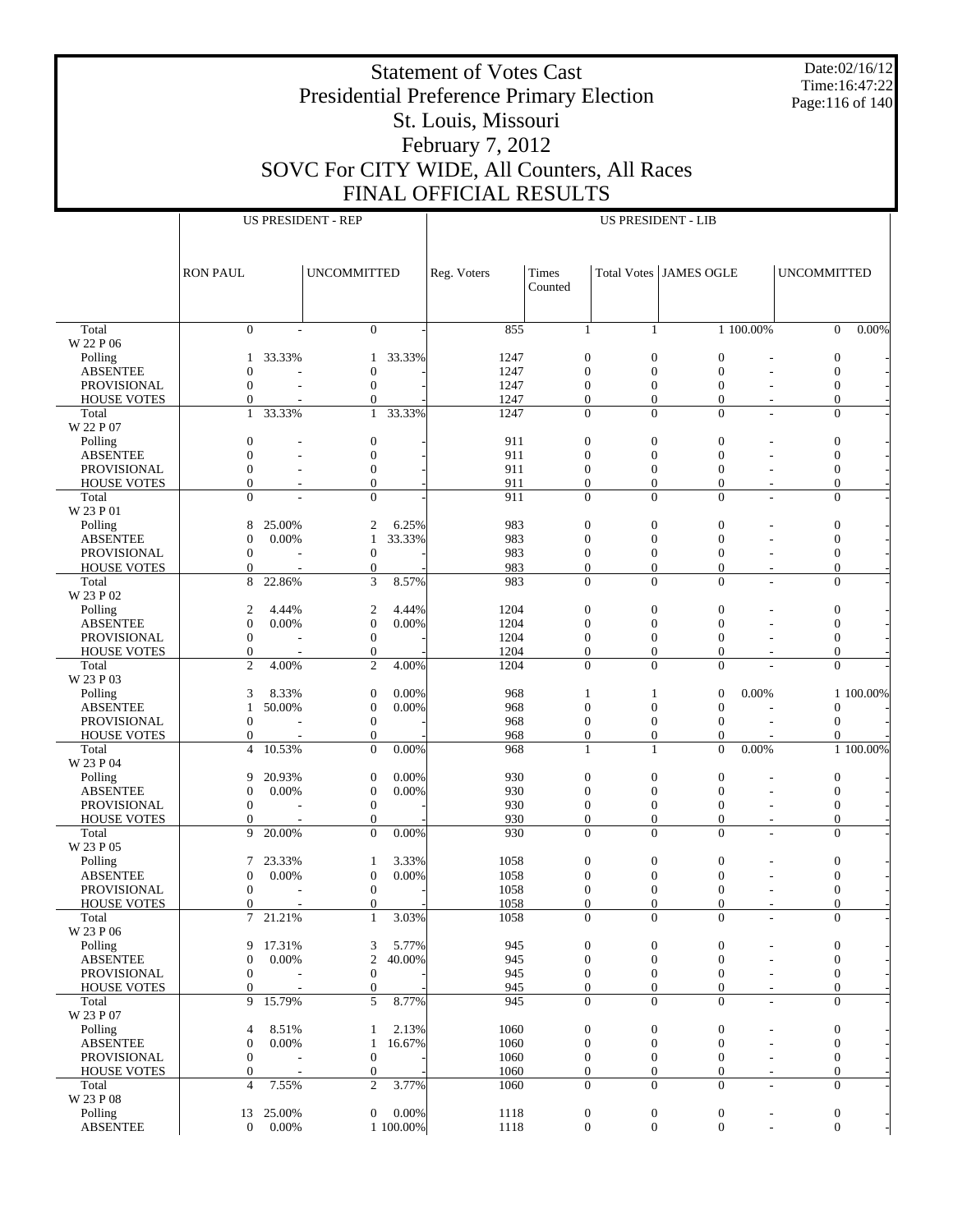Date:02/16/12 Time:16:47:22 Page:116 of 140

# Presidential Preference Primary Election St. Louis, Missouri February 7, 2012 SOVC For CITY WIDE, All Counters, All Races FINAL OFFICIAL RESULTS

|                                          | <b>US PRESIDENT - REP</b>            |                                      |                                    |                    |              |         |                                                                              | <b>US PRESIDENT - LIB</b>            |                                            |                                      |           |
|------------------------------------------|--------------------------------------|--------------------------------------|------------------------------------|--------------------|--------------|---------|------------------------------------------------------------------------------|--------------------------------------|--------------------------------------------|--------------------------------------|-----------|
|                                          |                                      |                                      |                                    |                    |              |         |                                                                              |                                      |                                            |                                      |           |
|                                          | <b>RON PAUL</b>                      |                                      | <b>UNCOMMITTED</b>                 |                    | Reg. Voters  | Times   |                                                                              | Total Votes JAMES OGLE               |                                            | <b>UNCOMMITTED</b>                   |           |
|                                          |                                      |                                      |                                    |                    |              | Counted |                                                                              |                                      |                                            |                                      |           |
|                                          |                                      |                                      |                                    |                    |              |         |                                                                              |                                      |                                            |                                      |           |
| Total<br>W 22 P 06                       | $\mathbf{0}$                         |                                      | $\mathbf{0}$                       |                    | 855          |         | $\mathbf{1}$<br>1                                                            |                                      | 1 100.00%                                  | $\overline{0}$                       | $0.00\%$  |
| Polling                                  | 1                                    | 33.33%                               | 1                                  | 33.33%             | 1247         |         | $\mathbf{0}$<br>$\mathbf{0}$                                                 | $\mathbf{0}$                         |                                            | $\boldsymbol{0}$                     |           |
| <b>ABSENTEE</b>                          | $\boldsymbol{0}$                     |                                      | $\mathbf{0}$                       |                    | 1247         |         | $\overline{0}$<br>$\overline{0}$                                             | $\overline{0}$                       |                                            | $\mathbf{0}$                         |           |
| PROVISIONAL<br><b>HOUSE VOTES</b>        | $\mathbf{0}$<br>$\mathbf{0}$         |                                      | $\mathbf{0}$<br>$\theta$           |                    | 1247<br>1247 |         | $\mathbf{0}$<br>$\overline{0}$<br>$\overline{0}$<br>$\overline{0}$           | $\mathbf{0}$<br>$\mathbf{0}$         | $\sim$                                     | $\boldsymbol{0}$<br>$\overline{0}$   |           |
| Total                                    | $\mathbf{1}$                         | 33.33%                               | $\mathbf{1}$                       | 33.33%             | 1247         |         | $\overline{0}$<br>$\mathbf{0}$                                               | $\mathbf{0}$                         | ÷.                                         | $\boldsymbol{0}$                     |           |
| W 22 P 07                                |                                      |                                      |                                    |                    |              |         |                                                                              |                                      |                                            |                                      |           |
| Polling                                  | $\boldsymbol{0}$                     |                                      | $\mathbf{0}$                       |                    | 911          |         | $\mathbf{0}$<br>$\mathbf{0}$                                                 | $\overline{0}$                       |                                            | $\boldsymbol{0}$                     |           |
| <b>ABSENTEE</b><br>PROVISIONAL           | $\overline{0}$<br>$\boldsymbol{0}$   |                                      | $\overline{0}$<br>$\mathbf{0}$     |                    | 911<br>911   |         | $\overline{0}$<br>$\overline{0}$<br>$\boldsymbol{0}$<br>$\boldsymbol{0}$     | $\overline{0}$<br>$\mathbf{0}$       |                                            | $\mathbf{0}$<br>$\boldsymbol{0}$     |           |
| <b>HOUSE VOTES</b>                       | $\mathbf{0}$                         |                                      | $\overline{0}$                     |                    | 911          |         | $\mathbf{0}$<br>$\overline{0}$                                               | $\mathbf{0}$                         | $\overline{\phantom{a}}$                   | $\overline{0}$                       |           |
| Total                                    | $\Omega$                             |                                      | $\overline{0}$                     |                    | 911          |         | $\overline{0}$<br>$\Omega$                                                   | $\Omega$                             | ٠                                          | $\overline{0}$                       |           |
| W 23 P 01                                |                                      |                                      |                                    |                    |              |         |                                                                              |                                      |                                            |                                      |           |
| Polling<br><b>ABSENTEE</b>               | 8<br>$\mathbf{0}$                    | 25.00%<br>0.00%                      | 2<br>1                             | 6.25%<br>33.33%    | 983<br>983   |         | $\mathbf{0}$<br>$\mathbf{0}$<br>$\overline{0}$<br>$\overline{0}$             | $\boldsymbol{0}$<br>$\overline{0}$   |                                            | $\boldsymbol{0}$<br>$\mathbf{0}$     |           |
| PROVISIONAL                              | $\mathbf{0}$                         |                                      | $\mathbf{0}$                       |                    | 983          |         | $\mathbf{0}$<br>$\overline{0}$                                               | $\mathbf{0}$                         |                                            | $\boldsymbol{0}$                     |           |
| <b>HOUSE VOTES</b>                       | $\mathbf{0}$                         |                                      | $\overline{0}$                     |                    | 983          |         | $\overline{0}$<br>$\overline{0}$                                             | $\mathbf{0}$                         | $\sim$                                     | $\overline{0}$                       |           |
| Total                                    | 8                                    | 22.86%                               | 3                                  | 8.57%              | 983          |         | $\overline{0}$<br>$\mathbf{0}$                                               | $\overline{0}$                       | L,                                         | $\boldsymbol{0}$                     |           |
| W 23 P 02<br>Polling                     | $\mathfrak{2}$                       | 4.44%                                | $\mathbf{2}$                       | 4.44%              | 1204         |         | $\mathbf{0}$<br>$\mathbf{0}$                                                 | $\overline{0}$                       |                                            | $\boldsymbol{0}$                     |           |
| <b>ABSENTEE</b>                          | $\overline{0}$                       | 0.00%                                | $\mathbf{0}$                       | 0.00%              | 1204         |         | $\overline{0}$<br>$\overline{0}$                                             | $\mathbf{0}$                         |                                            | $\overline{0}$                       |           |
| PROVISIONAL                              | $\boldsymbol{0}$                     |                                      | $\mathbf{0}$                       |                    | 1204         |         | $\boldsymbol{0}$<br>$\boldsymbol{0}$                                         | $\mathbf{0}$                         |                                            | $\boldsymbol{0}$                     |           |
| <b>HOUSE VOTES</b>                       | $\mathbf{0}$                         |                                      | $\overline{0}$                     |                    | 1204         |         | $\mathbf{0}$<br>$\overline{0}$                                               | $\mathbf{0}$                         | $\overline{\phantom{a}}$                   | $\overline{0}$                       |           |
| Total                                    | $\overline{2}$                       | 4.00%                                | $\overline{c}$                     | 4.00%              | 1204         |         | $\overline{0}$<br>$\Omega$                                                   | $\mathbf{0}$                         |                                            | $\overline{0}$                       |           |
| W 23 P 03<br>Polling                     | 3                                    | 8.33%                                | $\mathbf{0}$                       | 0.00%              | 968          |         | $\mathbf{1}$<br>$\mathbf{1}$                                                 | $\mathbf{0}$                         | 0.00%                                      |                                      | 1 100.00% |
| <b>ABSENTEE</b>                          | $\mathbf{1}$                         | 50.00%                               | $\mathbf{0}$                       | 0.00%              | 968          |         | $\overline{0}$<br>$\overline{0}$                                             | $\mathbf{0}$                         | ٠                                          | $\boldsymbol{0}$                     |           |
| PROVISIONAL                              | $\mathbf{0}$                         |                                      | $\mathbf{0}$                       |                    | 968          |         | $\mathbf{0}$<br>$\overline{0}$                                               | $\mathbf{0}$                         | $\overline{\phantom{a}}$                   | $\mathbf{0}$                         |           |
| <b>HOUSE VOTES</b>                       | $\mathbf{0}$                         |                                      | $\overline{0}$                     |                    | 968          |         | $\overline{0}$<br>$\overline{0}$                                             | $\theta$                             |                                            | $\Omega$                             |           |
| Total<br>W 23 P 04                       | $\overline{4}$                       | 10.53%                               | $\overline{0}$                     | 0.00%              | 968          |         | $\mathbf{1}$<br>$\mathbf{1}$                                                 | $\overline{0}$                       | 0.00%                                      |                                      | 1 100.00% |
| Polling                                  | 9                                    | 20.93%                               | $\mathbf{0}$                       | 0.00%              | 930          |         | $\mathbf{0}$<br>$\mathbf{0}$                                                 | $\boldsymbol{0}$                     |                                            | $\boldsymbol{0}$                     |           |
| <b>ABSENTEE</b>                          | $\mathbf{0}$                         | 0.00%                                | $\mathbf{0}$                       | 0.00%              | 930          |         | $\overline{0}$<br>$\overline{0}$                                             | $\mathbf{0}$                         |                                            | $\overline{0}$                       |           |
| PROVISIONAL                              | $\mathbf{0}$                         |                                      | $\mathbf{0}$                       |                    | 930          |         | $\boldsymbol{0}$<br>$\boldsymbol{0}$                                         | $\mathbf{0}$                         |                                            | $\boldsymbol{0}$                     |           |
| <b>HOUSE VOTES</b><br>Total              | $\mathbf{0}$<br>9                    | 20.00%                               | $\overline{0}$<br>$\overline{0}$   | 0.00%              | 930<br>930   |         | $\mathbf{0}$<br>$\overline{0}$<br>$\overline{0}$<br>$\Omega$                 | $\mathbf{0}$<br>$\Omega$             | $\overline{\phantom{a}}$                   | $\overline{0}$<br>$\overline{0}$     |           |
| W 23 P 05                                |                                      |                                      |                                    |                    |              |         |                                                                              |                                      |                                            |                                      |           |
| Polling                                  | 7                                    | 23.33%                               | 1                                  | 3.33%              | 1058         |         | $\mathbf{0}$<br>$\mathbf{0}$                                                 | $\boldsymbol{0}$                     |                                            | 0                                    |           |
| <b>ABSENTEE</b>                          | $\mathbf{0}$                         | 0.00%                                | $\mathbf{0}$                       | 0.00%              | 1058         |         | $\Omega$<br>$\Omega$                                                         | $\Omega$                             |                                            | $\overline{0}$                       |           |
| <b>PROVISIONAL</b><br><b>HOUSE VOTES</b> | $\boldsymbol{0}$<br>$\Omega$         | ٠                                    | $\mathbf{0}$<br>$\theta$           |                    | 1058<br>1058 |         | $\mathbf{0}$<br>$\overline{0}$<br>$\Omega$<br>$\Omega$                       | $\mathbf{0}$<br>$\Omega$             |                                            | $\overline{0}$<br>$\Omega$           |           |
| Total                                    |                                      | $\overline{\phantom{a}}$<br>7 21.21% | $\mathbf{1}$                       | 3.03%              | 1058         |         | $\boldsymbol{0}$<br>$\boldsymbol{0}$                                         | $\boldsymbol{0}$                     | $\overline{\phantom{a}}$                   | $\boldsymbol{0}$                     |           |
| W 23 P 06                                |                                      |                                      |                                    |                    |              |         |                                                                              |                                      |                                            |                                      |           |
| Polling                                  | 9                                    | 17.31%                               | 3                                  | 5.77%              | 945          |         | $\mathbf{0}$<br>$\mathbf{0}$                                                 | $\boldsymbol{0}$                     |                                            | $\boldsymbol{0}$                     |           |
| <b>ABSENTEE</b><br>PROVISIONAL           | $\boldsymbol{0}$<br>$\boldsymbol{0}$ | 0.00%                                | $\overline{c}$<br>$\boldsymbol{0}$ | 40.00%             | 945<br>945   |         | $\boldsymbol{0}$<br>$\theta$<br>$\boldsymbol{0}$<br>$\boldsymbol{0}$         | $\mathbf{0}$<br>$\boldsymbol{0}$     |                                            | $\boldsymbol{0}$<br>$\boldsymbol{0}$ |           |
| <b>HOUSE VOTES</b>                       | $\boldsymbol{0}$                     |                                      | $\boldsymbol{0}$                   |                    | 945          |         | $\mathbf{0}$<br>$\theta$                                                     | $\mathbf{0}$                         | $\sim$                                     | $\boldsymbol{0}$                     |           |
| Total                                    | 9                                    | 15.79%                               | 5                                  | 8.77%              | 945          |         | $\boldsymbol{0}$<br>$\mathbf{0}$                                             | $\mathbf{0}$                         | $\overline{\phantom{a}}$                   | $\boldsymbol{0}$                     |           |
| W 23 P 07                                |                                      |                                      |                                    |                    |              |         |                                                                              |                                      |                                            |                                      |           |
| Polling<br><b>ABSENTEE</b>               | $\overline{4}$<br>$\boldsymbol{0}$   | 8.51%<br>0.00%                       | 1<br>$\mathbf{1}$                  | 2.13%<br>16.67%    | 1060<br>1060 |         | $\boldsymbol{0}$<br>$\mathbf{0}$<br>$\boldsymbol{0}$<br>$\boldsymbol{0}$     | $\boldsymbol{0}$<br>$\mathbf{0}$     |                                            | $\boldsymbol{0}$<br>$\boldsymbol{0}$ |           |
| PROVISIONAL                              | $\mathbf{0}$                         |                                      | $\mathbf{0}$                       |                    | 1060         |         | $\boldsymbol{0}$<br>$\boldsymbol{0}$                                         | $\mathbf{0}$                         |                                            | $\boldsymbol{0}$                     |           |
| <b>HOUSE VOTES</b>                       | $\mathbf{0}$                         |                                      | $\mathbf{0}$                       |                    | 1060         |         | $\boldsymbol{0}$<br>$\mathbf{0}$                                             | $\boldsymbol{0}$                     | $\overline{\phantom{a}}$                   | $\boldsymbol{0}$                     |           |
| Total                                    | $\overline{4}$                       | 7.55%                                | $\overline{c}$                     | 3.77%              | 1060         |         | $\overline{0}$<br>$\mathbf{0}$                                               | $\mathbf{0}$                         | $\overline{\phantom{a}}$                   | $\boldsymbol{0}$                     |           |
| W 23 P 08                                |                                      |                                      |                                    |                    |              |         |                                                                              |                                      |                                            |                                      |           |
| Polling<br><b>ABSENTEE</b>               | 13<br>$\overline{0}$                 | 25.00%<br>0.00%                      | $\mathbf{0}$                       | 0.00%<br>1 100.00% | 1118<br>1118 |         | $\boldsymbol{0}$<br>$\boldsymbol{0}$<br>$\boldsymbol{0}$<br>$\boldsymbol{0}$ | $\boldsymbol{0}$<br>$\boldsymbol{0}$ | $\overline{a}$<br>$\overline{\phantom{a}}$ | $\boldsymbol{0}$<br>$\boldsymbol{0}$ |           |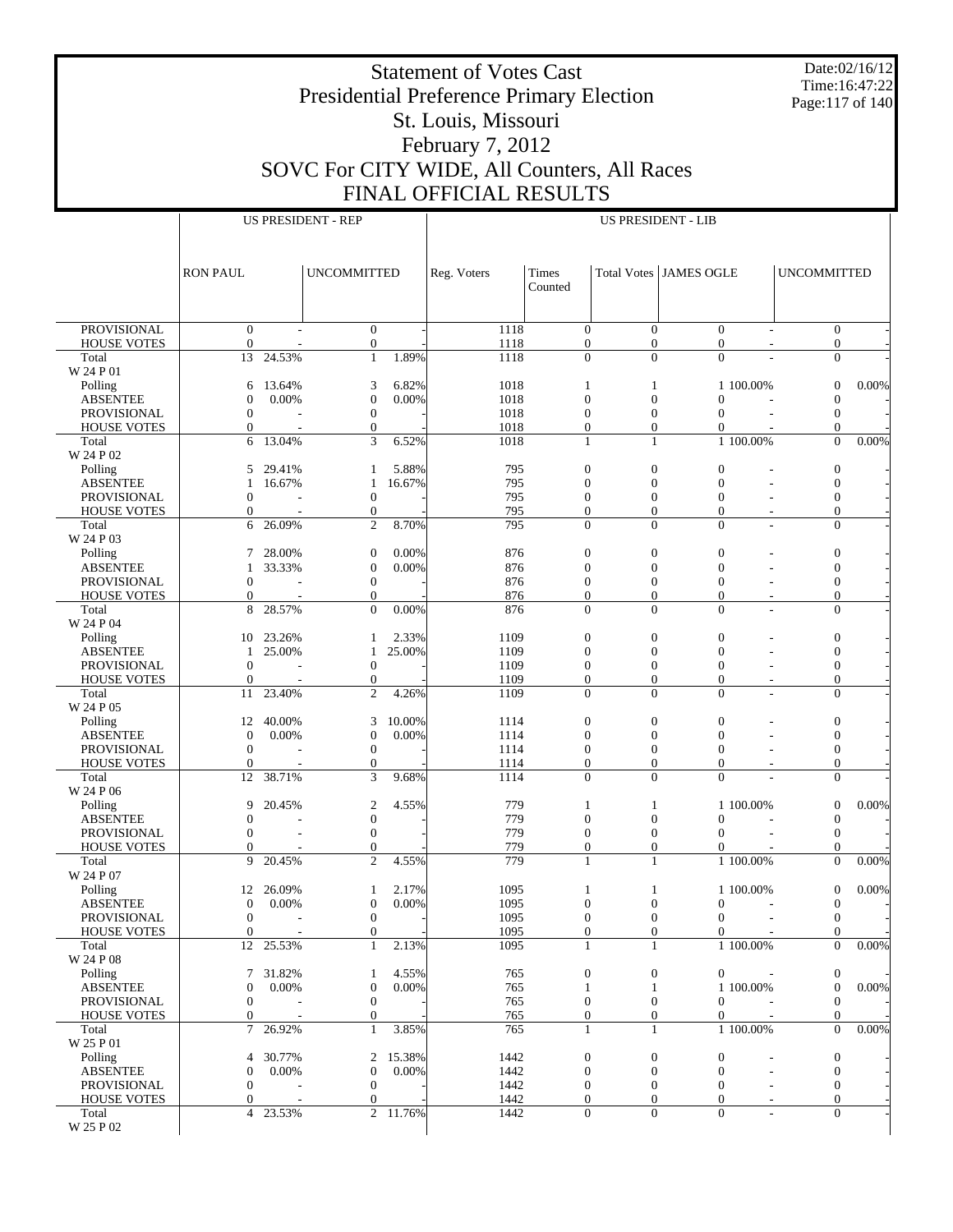Date:02/16/12 Time:16:47:22 Page:117 of 140

# Presidential Preference Primary Election St. Louis, Missouri February 7, 2012

Statement of Votes Cast

SOVC For CITY WIDE, All Counters, All Races FINAL OFFICIAL RESULTS

|                                          |                                      |                  | <b>US PRESIDENT - REP</b>          |                       | US PRESIDENT - LIB |                                      |                                    |                                    |                          |                                      |          |
|------------------------------------------|--------------------------------------|------------------|------------------------------------|-----------------------|--------------------|--------------------------------------|------------------------------------|------------------------------------|--------------------------|--------------------------------------|----------|
|                                          |                                      |                  |                                    |                       |                    |                                      |                                    |                                    |                          |                                      |          |
|                                          |                                      |                  |                                    |                       |                    |                                      |                                    |                                    |                          |                                      |          |
|                                          | <b>RON PAUL</b>                      |                  | <b>UNCOMMITTED</b>                 |                       | Reg. Voters        | Times                                |                                    | <b>Total Votes JAMES OGLE</b>      |                          | <b>UNCOMMITTED</b>                   |          |
|                                          |                                      |                  |                                    |                       |                    | Counted                              |                                    |                                    |                          |                                      |          |
|                                          |                                      |                  |                                    |                       |                    |                                      |                                    |                                    |                          |                                      |          |
| <b>PROVISIONAL</b><br><b>HOUSE VOTES</b> | $\boldsymbol{0}$<br>$\mathbf{0}$     |                  | $\mathbf{0}$<br>$\overline{0}$     |                       | 1118<br>1118       | $\mathbf{0}$<br>$\mathbf{0}$         | $\overline{0}$<br>$\overline{0}$   | $\mathbf{0}$<br>$\mathbf{0}$       |                          | $\boldsymbol{0}$<br>$\overline{0}$   |          |
| Total                                    | 13                                   | 24.53%           | $\mathbf{1}$                       | 1.89%                 | 1118               | $\overline{0}$                       | $\overline{0}$                     | $\mathbf{0}$                       |                          | $\mathbf{0}$                         |          |
| W 24 P 01                                |                                      |                  |                                    |                       |                    |                                      |                                    |                                    |                          |                                      |          |
| Polling                                  | 6                                    | 13.64%<br>0.00%  | 3<br>$\overline{0}$                | 6.82%<br>0.00%        | 1018               | $\mathbf{1}$<br>$\overline{0}$       | 1<br>$\overline{0}$                | $\Omega$                           | 1 100.00%                | $\boldsymbol{0}$                     | 0.00%    |
| <b>ABSENTEE</b><br><b>PROVISIONAL</b>    | $\mathbf{0}$<br>$\mathbf{0}$         |                  | $\boldsymbol{0}$                   |                       | 1018<br>1018       | $\boldsymbol{0}$                     | $\mathbf{0}$                       | $\Omega$                           |                          | $\mathbf{0}$<br>$\mathbf{0}$         |          |
| <b>HOUSE VOTES</b>                       | $\mathbf{0}$                         |                  | $\mathbf{0}$                       |                       | 1018               | $\mathbf{0}$                         | $\overline{0}$                     | $\overline{0}$                     |                          | $\Omega$                             |          |
| Total                                    | 6                                    | 13.04%           | 3                                  | 6.52%                 | 1018               | $\mathbf{1}$                         | $\mathbf{1}$                       |                                    | 1 100.00%                | $\overline{0}$                       | $0.00\%$ |
| W 24 P 02                                | 5                                    |                  | 1                                  | 5.88%                 | 795                | $\boldsymbol{0}$                     | $\boldsymbol{0}$                   | $\overline{0}$                     |                          |                                      |          |
| Polling<br><b>ABSENTEE</b>               | 1                                    | 29.41%<br>16.67% | 1                                  | 16.67%                | 795                | $\mathbf{0}$                         | $\mathbf{0}$                       | $\mathbf{0}$                       |                          | $\mathbf{0}$<br>$\mathbf{0}$         |          |
| PROVISIONAL                              | $\mathbf{0}$                         |                  | $\boldsymbol{0}$                   |                       | 795                | $\boldsymbol{0}$                     | $\boldsymbol{0}$                   | $\mathbf{0}$                       |                          | $\mathbf{0}$                         |          |
| <b>HOUSE VOTES</b>                       | $\mathbf{0}$                         |                  | $\boldsymbol{0}$                   |                       | 795                | $\overline{0}$                       | $\overline{0}$                     | $\overline{0}$                     | $\sim$                   | $\mathbf{0}$                         |          |
| Total                                    | 6                                    | 26.09%           | $\overline{c}$                     | 8.70%                 | 795                | $\boldsymbol{0}$                     | $\overline{0}$                     | $\mathbf{0}$                       |                          | $\boldsymbol{0}$                     |          |
| W 24 P 03<br>Polling                     | 7                                    | 28.00%           | $\boldsymbol{0}$                   | 0.00%                 | 876                | $\boldsymbol{0}$                     | $\boldsymbol{0}$                   | $\overline{0}$                     |                          | $\boldsymbol{0}$                     |          |
| <b>ABSENTEE</b>                          | 1                                    | 33.33%           | $\boldsymbol{0}$                   | 0.00%                 | 876                | $\mathbf{0}$                         | $\mathbf{0}$                       | $\overline{0}$                     |                          | $\boldsymbol{0}$                     |          |
| PROVISIONAL                              | $\boldsymbol{0}$                     |                  | $\boldsymbol{0}$                   |                       | 876                | $\boldsymbol{0}$                     | $\boldsymbol{0}$                   | $\boldsymbol{0}$                   |                          | $\mathbf{0}$                         |          |
| <b>HOUSE VOTES</b>                       | $\mathbf{0}$                         |                  | $\mathbf{0}$                       |                       | 876                | $\mathbf{0}$                         | $\overline{0}$                     | $\overline{0}$                     | $\overline{\phantom{a}}$ | $\mathbf{0}$                         |          |
| Total<br>W 24 P 04                       | 8                                    | 28.57%           | $\Omega$                           | 0.00%                 | 876                | $\overline{0}$                       | $\Omega$                           | $\Omega$                           |                          | $\mathbf{0}$                         |          |
| Polling                                  | 10                                   | 23.26%           | 1                                  | 2.33%                 | 1109               | $\boldsymbol{0}$                     | $\boldsymbol{0}$                   | $\overline{0}$                     |                          | $\boldsymbol{0}$                     |          |
| <b>ABSENTEE</b>                          | 1                                    | 25.00%           | 1                                  | 25.00%                | 1109               | $\mathbf{0}$                         | $\mathbf{0}$                       | $\mathbf{0}$                       |                          | $\mathbf{0}$                         |          |
| PROVISIONAL<br><b>HOUSE VOTES</b>        | $\mathbf{0}$<br>$\mathbf{0}$         |                  | $\boldsymbol{0}$<br>$\mathbf{0}$   |                       | 1109<br>1109       | $\boldsymbol{0}$<br>$\overline{0}$   | $\boldsymbol{0}$<br>$\overline{0}$ | $\boldsymbol{0}$<br>$\overline{0}$ | $\overline{\phantom{a}}$ | $\mathbf{0}$<br>$\mathbf{0}$         |          |
| Total                                    | 11                                   | 23.40%           | $\overline{c}$                     | 4.26%                 | 1109               | $\boldsymbol{0}$                     | $\overline{0}$                     | $\overline{0}$                     |                          | $\boldsymbol{0}$                     |          |
| W 24 P 05                                |                                      |                  |                                    |                       |                    |                                      |                                    |                                    |                          |                                      |          |
| Polling                                  | 12                                   | 40.00%           | 3                                  | 10.00%                | 1114               | $\boldsymbol{0}$                     | $\boldsymbol{0}$                   | $\mathbf{0}$                       |                          | $\boldsymbol{0}$                     |          |
| <b>ABSENTEE</b><br>PROVISIONAL           | $\boldsymbol{0}$<br>$\mathbf{0}$     | 0.00%            | $\mathbf{0}$<br>$\boldsymbol{0}$   | 0.00%                 | 1114<br>1114       | $\mathbf{0}$<br>$\boldsymbol{0}$     | $\mathbf{0}$<br>$\boldsymbol{0}$   | $\overline{0}$<br>$\mathbf{0}$     |                          | $\mathbf{0}$<br>$\mathbf{0}$         |          |
| <b>HOUSE VOTES</b>                       | $\mathbf{0}$                         |                  | $\mathbf{0}$                       |                       | 1114               | $\mathbf{0}$                         | $\overline{0}$                     | $\overline{0}$                     |                          | $\mathbf{0}$                         |          |
| Total                                    | 12                                   | 38.71%           | 3                                  | 9.68%                 | 1114               | $\overline{0}$                       | $\Omega$                           | $\Omega$                           |                          | $\mathbf{0}$                         |          |
| W 24 P 06                                |                                      |                  |                                    |                       |                    |                                      |                                    |                                    |                          |                                      |          |
| Polling<br><b>ABSENTEE</b>               | 9<br>$\boldsymbol{0}$                | 20.45%           | $\mathfrak{2}$<br>$\boldsymbol{0}$ | 4.55%                 | 779<br>779         | 1<br>$\overline{0}$                  | 1<br>$\mathbf{0}$                  | $\mathbf{0}$                       | 1 100.00%                | $\boldsymbol{0}$<br>$\boldsymbol{0}$ | $0.00\%$ |
| PROVISIONAL                              | $\Omega$                             |                  | $\boldsymbol{0}$                   |                       | 779                | $\boldsymbol{0}$                     | $\boldsymbol{0}$                   | $\Omega$                           |                          | $\mathbf{0}$                         |          |
| <b>HOUSE VOTES</b>                       | $\mathbf{0}$                         |                  | $\mathbf{0}$                       |                       | 779                | $\overline{0}$                       | $\overline{0}$                     | $\overline{0}$                     |                          | $\Omega$                             |          |
| Total<br>W 24 P 07                       | 9                                    | 20.45%           | $\overline{2}$                     | 4.55%                 | 779                | $\mathbf{1}$                         | $\mathbf{1}$                       |                                    | 1 100.00%                | $\theta$                             | $0.00\%$ |
| Polling                                  |                                      | 12 26.09%        | 1                                  | 2.17%                 | 1095               | $\mathbf{1}$                         | 1                                  |                                    | 1 100.00%                | $\mathbf{0}$                         | $0.00\%$ |
| <b>ABSENTEE</b>                          | $\mathbf{0}$                         | 0.00%            | $\overline{0}$                     | 0.00%                 | 1095               | $\boldsymbol{0}$                     | $\Omega$                           | $\boldsymbol{0}$                   | $\sim$                   | $\mathbf{0}$                         |          |
| PROVISIONAL                              | $\boldsymbol{0}$                     |                  | $\boldsymbol{0}$                   |                       | 1095               | $\boldsymbol{0}$                     | $\boldsymbol{0}$                   | $\boldsymbol{0}$                   |                          | $\boldsymbol{0}$                     |          |
| <b>HOUSE VOTES</b><br>Total              | $\mathbf{0}$<br>12                   | 25.53%           | $\overline{0}$<br>$\mathbf{1}$     | 2.13%                 | 1095<br>1095       | $\mathbf{0}$<br>1                    | $\Omega$<br>1                      | $\Omega$                           | 1 100.00%                | $\overline{0}$<br>$\mathbf{0}$       | $0.00\%$ |
| W 24 P 08                                |                                      |                  |                                    |                       |                    |                                      |                                    |                                    |                          |                                      |          |
| Polling                                  | 7                                    | 31.82%           | 1                                  | 4.55%                 | 765                | $\boldsymbol{0}$                     | $\boldsymbol{0}$                   | $\boldsymbol{0}$                   |                          | $\mathbf{0}$                         |          |
| <b>ABSENTEE</b>                          | $\boldsymbol{0}$                     | 0.00%            | $\boldsymbol{0}$                   | 0.00%                 | 765                | 1                                    | 1                                  |                                    | 1 100.00%                | $\mathbf{0}$                         | 0.00%    |
| PROVISIONAL<br><b>HOUSE VOTES</b>        | $\boldsymbol{0}$<br>$\boldsymbol{0}$ |                  | $\boldsymbol{0}$<br>$\mathbf{0}$   |                       | 765<br>765         | $\boldsymbol{0}$<br>$\boldsymbol{0}$ | $\mathbf{0}$                       | $\mathbf{0}$<br>$\boldsymbol{0}$   |                          | $\mathbf{0}$<br>$\mathbf{0}$         |          |
| Total                                    | $\tau$                               | 26.92%           | $\mathbf{1}$                       | 3.85%                 | 765                | $\mathbf{1}$                         | 0<br>$\mathbf{1}$                  |                                    | 1 100.00%                | $\overline{0}$                       | $0.00\%$ |
| W 25 P 01                                |                                      |                  |                                    |                       |                    |                                      |                                    |                                    |                          |                                      |          |
| Polling                                  | 4                                    | 30.77%           | 2                                  | 15.38%                | 1442               | $\boldsymbol{0}$                     | $\boldsymbol{0}$                   | $\mathbf{0}$                       |                          | $\boldsymbol{0}$                     |          |
| <b>ABSENTEE</b>                          | $\boldsymbol{0}$                     | $0.00\%$         | $\mathbf{0}$                       | 0.00%                 | 1442               | $\boldsymbol{0}$                     | $\mathbf{0}$                       | $\mathbf{0}$                       |                          | $\mathbf{0}$                         |          |
| PROVISIONAL<br><b>HOUSE VOTES</b>        | $\mathbf{0}$<br>$\mathbf{0}$         |                  | $\mathbf{0}$<br>$\boldsymbol{0}$   |                       | 1442<br>1442       | $\boldsymbol{0}$<br>$\overline{0}$   | 0<br>$\overline{0}$                | $\mathbf{0}$<br>$\overline{0}$     |                          | $\mathbf{0}$<br>$\boldsymbol{0}$     |          |
| Total                                    | $\overline{4}$                       | 23.53%           |                                    | $\overline{2}$ 11.76% | 1442               | $\boldsymbol{0}$                     | $\boldsymbol{0}$                   | $\boldsymbol{0}$                   |                          | $\boldsymbol{0}$                     |          |
| $\rm W$ 25 P 02                          |                                      |                  |                                    |                       |                    |                                      |                                    |                                    |                          |                                      |          |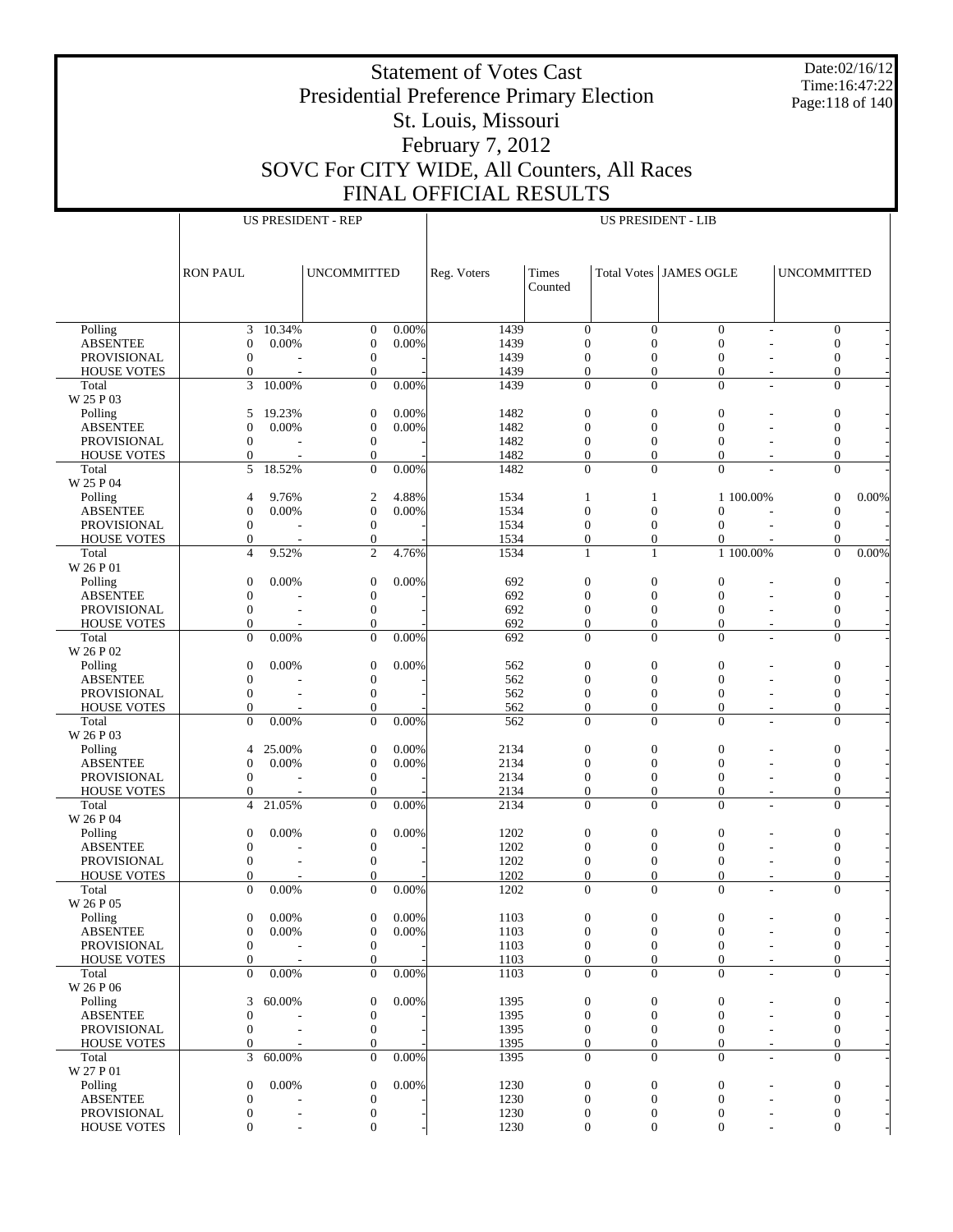Date:02/16/12 Time:16:47:22 Page:118 of 140

## Presidential Preference Primary Election St. Louis, Missouri February 7, 2012 SOVC For CITY WIDE, All Counters, All Races FINAL OFFICIAL RESULTS

|                                          |                                      |                          | <b>US PRESIDENT - REP</b>            |          |              |                                      |                                      | <b>US PRESIDENT - LIB</b>            |                                    |                                      |          |
|------------------------------------------|--------------------------------------|--------------------------|--------------------------------------|----------|--------------|--------------------------------------|--------------------------------------|--------------------------------------|------------------------------------|--------------------------------------|----------|
|                                          |                                      |                          |                                      |          |              |                                      |                                      |                                      |                                    |                                      |          |
|                                          | <b>RON PAUL</b>                      |                          | <b>UNCOMMITTED</b>                   |          | Reg. Voters  | Times<br>Counted                     |                                      | <b>Total Votes JAMES OGLE</b>        |                                    | <b>UNCOMMITTED</b>                   |          |
|                                          |                                      |                          |                                      |          |              |                                      |                                      |                                      |                                    |                                      |          |
| Polling                                  | 3                                    | 10.34%                   | $\mathbf{0}$                         | 0.00%    | 1439         | $\boldsymbol{0}$                     | $\boldsymbol{0}$                     | $\mathbf{0}$                         |                                    | $\boldsymbol{0}$                     |          |
| <b>ABSENTEE</b><br>PROVISIONAL           | $\boldsymbol{0}$<br>$\boldsymbol{0}$ | 0.00%                    | $\boldsymbol{0}$<br>$\boldsymbol{0}$ | 0.00%    | 1439<br>1439 | $\boldsymbol{0}$<br>$\mathbf{0}$     | $\overline{0}$<br>$\mathbf{0}$       | $\overline{0}$<br>$\boldsymbol{0}$   | ÷                                  | $\boldsymbol{0}$<br>$\boldsymbol{0}$ |          |
| <b>HOUSE VOTES</b>                       | $\overline{0}$                       |                          | $\boldsymbol{0}$                     |          | 1439         | $\overline{0}$                       | $\overline{0}$                       | $\overline{0}$                       | $\overline{\phantom{a}}$           | $\boldsymbol{0}$                     |          |
| Total                                    | 3                                    | 10.00%                   | $\boldsymbol{0}$                     | 0.00%    | 1439         | $\boldsymbol{0}$                     | $\boldsymbol{0}$                     | $\boldsymbol{0}$                     | $\overline{\phantom{a}}$           | $\boldsymbol{0}$                     |          |
| W 25 P 03                                |                                      |                          |                                      | 0.00%    |              |                                      |                                      |                                      |                                    |                                      |          |
| Polling<br><b>ABSENTEE</b>               | 5<br>$\boldsymbol{0}$                | 19.23%<br>0.00%          | $\mathbf{0}$<br>$\boldsymbol{0}$     | 0.00%    | 1482<br>1482 | $\mathbf{0}$<br>$\boldsymbol{0}$     | $\mathbf{0}$<br>$\boldsymbol{0}$     | $\boldsymbol{0}$<br>$\overline{0}$   |                                    | $\boldsymbol{0}$<br>$\boldsymbol{0}$ |          |
| <b>PROVISIONAL</b>                       | $\boldsymbol{0}$                     |                          | $\boldsymbol{0}$                     |          | 1482         | $\boldsymbol{0}$                     | $\boldsymbol{0}$                     | $\mathbf{0}$                         |                                    | $\boldsymbol{0}$                     |          |
| <b>HOUSE VOTES</b>                       | $\mathbf{0}$                         |                          | $\boldsymbol{0}$                     |          | 1482         | $\boldsymbol{0}$                     | $\boldsymbol{0}$                     | $\overline{0}$                       |                                    | $\overline{0}$                       |          |
| Total                                    | 5                                    | 18.52%                   | $\overline{0}$                       | 0.00%    | 1482         | $\mathbf{0}$                         | $\mathbf{0}$                         | $\Omega$                             |                                    | $\mathbf{0}$                         |          |
| W 25 P 04<br>Polling                     | $\overline{4}$                       | 9.76%                    | $\boldsymbol{2}$                     | 4.88%    | 1534         | 1                                    | 1                                    |                                      | 1 100.00%                          | $\mathbf{0}$                         | $0.00\%$ |
| <b>ABSENTEE</b>                          | $\boldsymbol{0}$                     | 0.00%                    | $\boldsymbol{0}$                     | 0.00%    | 1534         | $\boldsymbol{0}$                     | $\boldsymbol{0}$                     | $\overline{0}$                       |                                    | $\boldsymbol{0}$                     |          |
| PROVISIONAL                              | $\boldsymbol{0}$                     |                          | $\mathbf{0}$                         |          | 1534         | $\boldsymbol{0}$                     | $\boldsymbol{0}$                     | $\mathbf{0}$                         |                                    | $\mathbf{0}$                         |          |
| HOUSE VOTES                              | $\mathbf{0}$                         |                          | $\boldsymbol{0}$                     |          | 1534         | $\boldsymbol{0}$                     | $\boldsymbol{0}$                     | $\overline{0}$                       |                                    | $\mathbf{0}$                         |          |
| Total<br>W 26 P 01                       | $\overline{4}$                       | 9.52%                    | $\mathfrak{2}$                       | 4.76%    | 1534         | $\mathbf{1}$                         | $\mathbf{1}$                         |                                      | 1 100.00%                          | $\mathbf{0}$                         | 0.00%    |
| Polling                                  | $\boldsymbol{0}$                     | 0.00%                    | $\mathbf{0}$                         | 0.00%    | 692          | $\boldsymbol{0}$                     | $\mathbf{0}$                         | $\boldsymbol{0}$                     |                                    | $\boldsymbol{0}$                     |          |
| <b>ABSENTEE</b>                          | $\boldsymbol{0}$                     |                          | $\boldsymbol{0}$                     |          | 692          | $\boldsymbol{0}$                     | $\boldsymbol{0}$                     | $\overline{0}$                       |                                    | $\boldsymbol{0}$                     |          |
| PROVISIONAL                              | $\boldsymbol{0}$                     |                          | $\boldsymbol{0}$                     |          | 692          | $\boldsymbol{0}$                     | $\boldsymbol{0}$                     | $\boldsymbol{0}$                     |                                    | $\boldsymbol{0}$                     |          |
| <b>HOUSE VOTES</b>                       | $\mathbf{0}$<br>$\overline{0}$       | 0.00%                    | $\mathbf{0}$<br>$\overline{0}$       | 0.00%    | 692          | $\boldsymbol{0}$<br>$\mathbf{0}$     | $\boldsymbol{0}$<br>$\mathbf{0}$     | $\overline{0}$<br>$\mathbf{0}$       | $\overline{\phantom{a}}$           | $\boldsymbol{0}$<br>$\mathbf{0}$     |          |
| Total<br>W 26 P 02                       |                                      |                          |                                      |          | 692          |                                      |                                      |                                      |                                    |                                      |          |
| Polling                                  | $\boldsymbol{0}$                     | 0.00%                    | $\mathbf{0}$                         | 0.00%    | 562          | $\boldsymbol{0}$                     | $\mathbf{0}$                         | $\boldsymbol{0}$                     |                                    | $\boldsymbol{0}$                     |          |
| <b>ABSENTEE</b>                          | $\boldsymbol{0}$                     |                          | $\boldsymbol{0}$                     |          | 562          | $\boldsymbol{0}$                     | $\overline{0}$                       | $\overline{0}$                       |                                    | $\boldsymbol{0}$                     |          |
| PROVISIONAL                              | $\boldsymbol{0}$                     |                          | $\boldsymbol{0}$                     |          | 562          | $\boldsymbol{0}$                     | $\boldsymbol{0}$                     | $\boldsymbol{0}$                     | ÷,                                 | $\boldsymbol{0}$                     |          |
| <b>HOUSE VOTES</b><br>Total              | $\Omega$<br>$\mathbf{0}$             | 0.00%                    | $\overline{0}$<br>$\boldsymbol{0}$   | 0.00%    | 562<br>562   | $\boldsymbol{0}$<br>$\boldsymbol{0}$ | $\overline{0}$<br>$\mathbf{0}$       | $\overline{0}$<br>$\mathbf{0}$       | $\overline{\phantom{a}}$<br>$\sim$ | $\boldsymbol{0}$<br>$\boldsymbol{0}$ |          |
| W 26 P 03                                |                                      |                          |                                      |          |              |                                      |                                      |                                      |                                    |                                      |          |
| Polling                                  | 4                                    | 25.00%                   | $\mathbf{0}$                         | 0.00%    | 2134         | $\mathbf{0}$                         | $\mathbf{0}$                         | $\boldsymbol{0}$                     |                                    | $\boldsymbol{0}$                     |          |
| <b>ABSENTEE</b>                          | $\boldsymbol{0}$                     | 0.00%                    | $\boldsymbol{0}$                     | 0.00%    | 2134         | $\boldsymbol{0}$                     | $\boldsymbol{0}$                     | $\mathbf{0}$                         |                                    | $\boldsymbol{0}$                     |          |
| <b>PROVISIONAL</b><br><b>HOUSE VOTES</b> | $\boldsymbol{0}$<br>$\mathbf{0}$     |                          | $\boldsymbol{0}$<br>$\mathbf{0}$     |          | 2134<br>2134 | $\boldsymbol{0}$<br>$\boldsymbol{0}$ | $\boldsymbol{0}$<br>$\boldsymbol{0}$ | $\boldsymbol{0}$<br>$\mathbf{0}$     | $\overline{\phantom{a}}$           | $\boldsymbol{0}$<br>$\overline{0}$   |          |
| Total                                    | $\overline{4}$                       | 21.05%                   | $\theta$                             | 0.00%    | 2134         | $\mathbf{0}$                         | $\mathbf{0}$                         | $\mathbf{0}$                         |                                    | $\mathbf{0}$                         |          |
| W 26 P 04                                |                                      |                          |                                      |          |              |                                      |                                      |                                      |                                    |                                      |          |
| Polling                                  | $\boldsymbol{0}$                     | 0.00%                    | $\mathbf{0}$                         | 0.00%    | 1202         | $\boldsymbol{0}$                     | $\mathbf{0}$                         | $\boldsymbol{0}$                     |                                    | $\boldsymbol{0}$                     |          |
| <b>ABSENTEE</b>                          | $\boldsymbol{0}$                     |                          | $\boldsymbol{0}$                     |          | 1202         | $\boldsymbol{0}$                     | $\boldsymbol{0}$                     | $\overline{0}$                       |                                    | $\boldsymbol{0}$                     |          |
| PROVISIONAL<br><b>HOUSE VOTES</b>        | $\boldsymbol{0}$<br>$\Omega$         |                          | $\mathbf{0}$<br>$\mathbf{0}$         |          | 1202<br>1202 | $\boldsymbol{0}$<br>$\overline{0}$   | $\boldsymbol{0}$<br>$\overline{0}$   | $\boldsymbol{0}$<br>$\boldsymbol{0}$ | ٠<br>٠                             | $\boldsymbol{0}$<br>$\boldsymbol{0}$ |          |
| Total                                    | $\mathbf{0}$                         | 0.00%                    | $\overline{0}$                       | 0.00%    | 1202         | $\mathbf{0}$                         | $\mathbf{0}$                         | $\mathbf{0}$                         |                                    | $\mathbf{0}$                         |          |
| W 26 P 05                                |                                      |                          |                                      |          |              |                                      |                                      |                                      |                                    |                                      |          |
| Polling                                  | 0                                    | $0.00\%$                 | $\boldsymbol{0}$                     | $0.00\%$ | 1103         | $\boldsymbol{0}$                     | $\boldsymbol{0}$                     | $\bf{0}$                             |                                    | $\theta$                             |          |
| <b>ABSENTEE</b><br>PROVISIONAL           | $\boldsymbol{0}$<br>$\boldsymbol{0}$ | 0.00%                    | $\boldsymbol{0}$<br>$\boldsymbol{0}$ | 0.00%    | 1103<br>1103 | $\boldsymbol{0}$<br>$\boldsymbol{0}$ | $\boldsymbol{0}$<br>$\mathbf{0}$     | $\mathbf{0}$<br>$\mathbf{0}$         |                                    | $\boldsymbol{0}$<br>$\boldsymbol{0}$ |          |
| <b>HOUSE VOTES</b>                       | $\mathbf{0}$                         |                          | $\boldsymbol{0}$                     |          | 1103         | $\boldsymbol{0}$                     | $\overline{0}$                       | $\overline{0}$                       | $\overline{\phantom{a}}$           | $\boldsymbol{0}$                     |          |
| Total                                    | $\mathbf{0}$                         | 0.00%                    | $\boldsymbol{0}$                     | 0.00%    | 1103         | $\boldsymbol{0}$                     | $\boldsymbol{0}$                     | $\mathbf{0}$                         | $\sim$                             | $\boldsymbol{0}$                     |          |
| W 26 P 06                                |                                      |                          |                                      |          |              |                                      |                                      |                                      |                                    |                                      |          |
| Polling                                  | 3<br>$\boldsymbol{0}$                | 60.00%                   | $\mathbf{0}$<br>$\boldsymbol{0}$     | 0.00%    | 1395         | $\boldsymbol{0}$<br>$\boldsymbol{0}$ | $\boldsymbol{0}$                     | $\boldsymbol{0}$                     |                                    | $\boldsymbol{0}$                     |          |
| <b>ABSENTEE</b><br>PROVISIONAL           | $\boldsymbol{0}$                     |                          | $\boldsymbol{0}$                     |          | 1395<br>1395 | $\mathbf{0}$                         | $\boldsymbol{0}$<br>$\boldsymbol{0}$ | $\boldsymbol{0}$<br>$\boldsymbol{0}$ |                                    | $\boldsymbol{0}$<br>$\mathbf{0}$     |          |
| <b>HOUSE VOTES</b>                       | $\overline{0}$                       |                          | $\boldsymbol{0}$                     |          | 1395         | $\boldsymbol{0}$                     | $\boldsymbol{0}$                     | $\overline{0}$                       | $\tilde{\phantom{a}}$              | $\boldsymbol{0}$                     |          |
| Total                                    | 3                                    | 60.00%                   | $\overline{0}$                       | 0.00%    | 1395         | $\mathbf{0}$                         | $\theta$                             | $\mathbf{0}$                         | $\overline{\phantom{a}}$           | $\boldsymbol{0}$                     |          |
| W 27 P 01                                |                                      |                          |                                      |          |              |                                      |                                      |                                      |                                    |                                      |          |
| Polling<br><b>ABSENTEE</b>               | $\boldsymbol{0}$<br>$\boldsymbol{0}$ | 0.00%                    | $\mathbf{0}$<br>$\boldsymbol{0}$     | 0.00%    | 1230<br>1230 | $\boldsymbol{0}$<br>$\mathbf{0}$     | $\boldsymbol{0}$<br>$\boldsymbol{0}$ | $\mathbf{0}$<br>$\boldsymbol{0}$     |                                    | $\boldsymbol{0}$<br>$\boldsymbol{0}$ |          |
| PROVISIONAL                              | $\boldsymbol{0}$                     | $\overline{\phantom{0}}$ | $\boldsymbol{0}$                     |          | 1230         | $\boldsymbol{0}$                     | $\boldsymbol{0}$                     | $\boldsymbol{0}$                     |                                    | $\boldsymbol{0}$                     |          |
| <b>HOUSE VOTES</b>                       | $\mathbf{0}$                         |                          | $\boldsymbol{0}$                     |          | 1230         | $\boldsymbol{0}$                     | $\boldsymbol{0}$                     | $\boldsymbol{0}$                     |                                    | $\boldsymbol{0}$                     |          |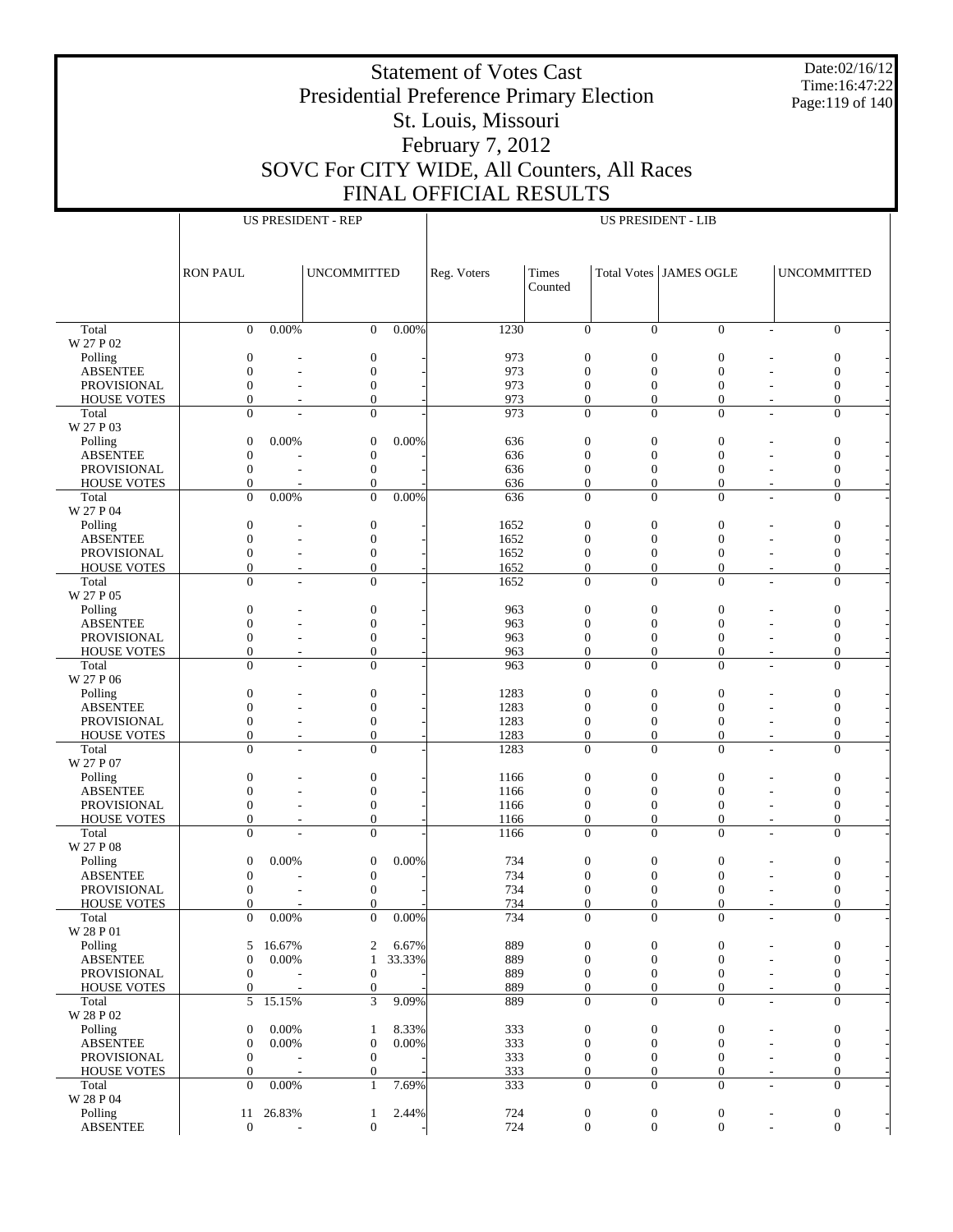Date:02/16/12 Time:16:47:22 Page:119 of 140

# Presidential Preference Primary Election St. Louis, Missouri February 7, 2012 SOVC For CITY WIDE, All Counters, All Races FINAL OFFICIAL RESULTS

Τ

|                             |                              | <b>US PRESIDENT - REP</b> |                              |        |             |                          | <b>US PRESIDENT - LIB</b>    |                                              |                                            |
|-----------------------------|------------------------------|---------------------------|------------------------------|--------|-------------|--------------------------|------------------------------|----------------------------------------------|--------------------------------------------|
|                             |                              |                           |                              |        |             |                          |                              |                                              |                                            |
|                             |                              |                           |                              |        |             |                          |                              |                                              |                                            |
|                             | <b>RON PAUL</b>              |                           | <b>UNCOMMITTED</b>           |        | Reg. Voters | Times                    |                              | Total Votes JAMES OGLE                       | <b>UNCOMMITTED</b>                         |
|                             |                              |                           |                              |        |             | Counted                  |                              |                                              |                                            |
|                             |                              |                           |                              |        |             |                          |                              |                                              |                                            |
|                             |                              |                           |                              |        |             |                          |                              |                                              |                                            |
| Total                       | $\mathbf{0}$                 | 0.00%                     | $\mathbf{0}$                 | 0.00%  | 1230        | $\mathbf{0}$             | $\mathbf{0}$                 | $\mathbf{0}$                                 | $\overline{0}$<br>$\overline{\phantom{a}}$ |
| W 27 P 02                   |                              |                           |                              |        |             |                          |                              |                                              |                                            |
| Polling                     | $\boldsymbol{0}$             |                           | $\boldsymbol{0}$             |        | 973         | $\boldsymbol{0}$         | $\mathbf{0}$                 | $\boldsymbol{0}$                             | $\boldsymbol{0}$                           |
| <b>ABSENTEE</b>             | $\mathbf{0}$                 |                           | $\boldsymbol{0}$             |        | 973         | $\boldsymbol{0}$         | $\boldsymbol{0}$             | $\boldsymbol{0}$                             | $\boldsymbol{0}$                           |
| <b>PROVISIONAL</b>          | $\boldsymbol{0}$             |                           | $\boldsymbol{0}$             |        | 973         | $\boldsymbol{0}$         | $\boldsymbol{0}$             | $\boldsymbol{0}$                             | $\boldsymbol{0}$                           |
| <b>HOUSE VOTES</b>          | $\mathbf{0}$                 |                           | $\overline{0}$               |        | 973         | $\boldsymbol{0}$         | $\boldsymbol{0}$             | $\boldsymbol{0}$                             | $\overline{0}$                             |
| Total                       | $\theta$                     |                           | $\overline{0}$               |        | 973         | $\overline{0}$           | $\overline{0}$               | $\mathbf{0}$                                 | $\overline{0}$                             |
| W 27 P 03                   |                              | 0.00%                     | $\boldsymbol{0}$             | 0.00%  |             | $\boldsymbol{0}$         | $\boldsymbol{0}$             | $\boldsymbol{0}$                             |                                            |
| Polling<br><b>ABSENTEE</b>  | $\mathbf{0}$<br>$\mathbf{0}$ |                           | $\boldsymbol{0}$             |        | 636<br>636  | $\boldsymbol{0}$         | $\boldsymbol{0}$             | $\boldsymbol{0}$                             | $\boldsymbol{0}$<br>$\boldsymbol{0}$       |
| PROVISIONAL                 | $\mathbf{0}$                 |                           | $\boldsymbol{0}$             |        | 636         | $\boldsymbol{0}$         | $\boldsymbol{0}$             | $\boldsymbol{0}$                             | $\boldsymbol{0}$                           |
| <b>HOUSE VOTES</b>          | $\mathbf{0}$                 |                           | $\overline{0}$               |        | 636         | $\boldsymbol{0}$         | $\boldsymbol{0}$             | $\boldsymbol{0}$                             | $\boldsymbol{0}$                           |
| Total                       | $\Omega$                     | 0.00%                     | $\overline{0}$               | 0.00%  | 636         | $\overline{0}$           | $\overline{0}$               | $\mathbf{0}$<br>÷                            | $\overline{0}$                             |
| W 27 P 04                   |                              |                           |                              |        |             |                          |                              |                                              |                                            |
| Polling                     | $\mathbf{0}$                 |                           | $\boldsymbol{0}$             |        | 1652        | $\boldsymbol{0}$         | $\boldsymbol{0}$             | $\boldsymbol{0}$                             | $\boldsymbol{0}$                           |
| <b>ABSENTEE</b>             | $\boldsymbol{0}$             |                           | $\boldsymbol{0}$             |        | 1652        | $\boldsymbol{0}$         | $\boldsymbol{0}$             | $\boldsymbol{0}$                             | $\boldsymbol{0}$                           |
| PROVISIONAL                 | $\boldsymbol{0}$             | ٠                         | $\boldsymbol{0}$             |        | 1652        | $\boldsymbol{0}$         | $\boldsymbol{0}$             | $\boldsymbol{0}$                             | $\boldsymbol{0}$                           |
| <b>HOUSE VOTES</b>          | $\mathbf{0}$                 |                           | $\overline{0}$               |        | 1652        | $\boldsymbol{0}$         | $\boldsymbol{0}$             | $\boldsymbol{0}$<br>$\overline{\phantom{a}}$ | $\overline{0}$                             |
| Total                       | $\Omega$                     |                           | $\overline{0}$               |        | 1652        | $\overline{0}$           | $\overline{0}$               | $\overline{0}$                               | $\overline{0}$                             |
| W 27 P 05                   |                              |                           |                              |        |             |                          |                              |                                              |                                            |
| Polling                     | $\boldsymbol{0}$             |                           | $\boldsymbol{0}$             |        | 963         | $\boldsymbol{0}$         | $\boldsymbol{0}$             | $\boldsymbol{0}$                             | $\boldsymbol{0}$                           |
| <b>ABSENTEE</b>             | $\boldsymbol{0}$             |                           | $\boldsymbol{0}$             |        | 963         | $\boldsymbol{0}$         | $\boldsymbol{0}$             | $\boldsymbol{0}$                             | $\boldsymbol{0}$                           |
| <b>PROVISIONAL</b>          | $\boldsymbol{0}$             |                           | $\boldsymbol{0}$             |        | 963         | $\boldsymbol{0}$         | $\boldsymbol{0}$             | $\boldsymbol{0}$                             | $\boldsymbol{0}$                           |
| <b>HOUSE VOTES</b>          | $\mathbf{0}$                 |                           | $\overline{0}$               |        | 963         | $\boldsymbol{0}$         | $\boldsymbol{0}$             | $\boldsymbol{0}$                             | $\boldsymbol{0}$                           |
| Total                       | $\Omega$                     |                           | $\overline{0}$               |        | 963         | $\overline{0}$           | $\Omega$                     | $\theta$                                     | $\overline{0}$                             |
| W 27 P 06                   | $\boldsymbol{0}$             |                           | $\boldsymbol{0}$             |        | 1283        | $\boldsymbol{0}$         | $\boldsymbol{0}$             | $\boldsymbol{0}$                             |                                            |
| Polling<br><b>ABSENTEE</b>  | $\boldsymbol{0}$             |                           | $\boldsymbol{0}$             |        | 1283        | $\boldsymbol{0}$         | $\boldsymbol{0}$             | $\boldsymbol{0}$                             | $\boldsymbol{0}$<br>$\boldsymbol{0}$       |
| PROVISIONAL                 | $\boldsymbol{0}$             |                           | $\boldsymbol{0}$             |        | 1283        | $\boldsymbol{0}$         | $\boldsymbol{0}$             | $\boldsymbol{0}$                             | $\boldsymbol{0}$                           |
| <b>HOUSE VOTES</b>          | $\mathbf{0}$                 |                           | $\overline{0}$               |        | 1283        | $\boldsymbol{0}$         | $\boldsymbol{0}$             | $\boldsymbol{0}$<br>$\tilde{\phantom{a}}$    | $\overline{0}$                             |
| Total                       | $\Omega$                     |                           | $\overline{0}$               |        | 1283        | $\overline{0}$           | $\overline{0}$               | $\overline{0}$<br>$\overline{a}$             | $\overline{0}$                             |
| W 27 P 07                   |                              |                           |                              |        |             |                          |                              |                                              |                                            |
| Polling                     | $\boldsymbol{0}$             |                           | $\boldsymbol{0}$             |        | 1166        | $\boldsymbol{0}$         | $\boldsymbol{0}$             | $\boldsymbol{0}$                             | $\boldsymbol{0}$                           |
| <b>ABSENTEE</b>             | $\boldsymbol{0}$             |                           | $\boldsymbol{0}$             |        | 1166        | $\boldsymbol{0}$         | $\boldsymbol{0}$             | $\boldsymbol{0}$                             | $\boldsymbol{0}$                           |
| PROVISIONAL                 | $\boldsymbol{0}$             |                           | $\boldsymbol{0}$             |        | 1166        | $\boldsymbol{0}$         | $\boldsymbol{0}$             | $\boldsymbol{0}$                             | $\boldsymbol{0}$                           |
| <b>HOUSE VOTES</b>          | $\mathbf{0}$                 |                           | $\boldsymbol{0}$             |        | 1166        | $\boldsymbol{0}$         | $\boldsymbol{0}$             | $\boldsymbol{0}$<br>$\tilde{\phantom{a}}$    | $\boldsymbol{0}$                           |
| Total                       | $\Omega$                     |                           | $\overline{0}$               |        | 1166        | $\overline{0}$           | $\overline{0}$               | $\overline{0}$<br>÷                          | $\overline{0}$                             |
| W 27 P 08                   |                              |                           |                              |        |             |                          |                              |                                              |                                            |
| Polling                     | $\boldsymbol{0}$             | 0.00%                     | $\boldsymbol{0}$             | 0.00%  | 734         | $\mathbf{0}$             | $\boldsymbol{0}$             | $\boldsymbol{0}$                             | $\boldsymbol{0}$                           |
| <b>ABSENTEE</b>             | $\boldsymbol{0}$             |                           | $\boldsymbol{0}$             |        | 734         | $\boldsymbol{0}$         | $\overline{0}$               | $\mathbf{0}$                                 | $\boldsymbol{0}$                           |
| PROVISIONAL                 | $\boldsymbol{0}$             |                           | $\boldsymbol{0}$<br>$\Omega$ |        | 734         | $\mathbf{0}$<br>$\Omega$ | $\boldsymbol{0}$<br>$\Omega$ | $\boldsymbol{0}$<br>$\Omega$                 | $\boldsymbol{0}$<br>$\Omega$               |
| <b>HOUSE VOTES</b><br>Total | $\Omega$                     | 0.00%                     | $\mathbf{0}$                 | 0.00%  | 734<br>734  |                          |                              |                                              | $\mathbf{0}$                               |
| W 28 P 01                   | $\mathbf{0}$                 |                           |                              |        |             | $\boldsymbol{0}$         | $\boldsymbol{0}$             | $\boldsymbol{0}$                             |                                            |
| Polling                     | 5                            | 16.67%                    | $\boldsymbol{2}$             | 6.67%  | 889         | $\boldsymbol{0}$         | $\boldsymbol{0}$             | $\boldsymbol{0}$                             | $\boldsymbol{0}$                           |
| <b>ABSENTEE</b>             | $\boldsymbol{0}$             | 0.00%                     | $\mathbf{1}$                 | 33.33% | 889         | $\boldsymbol{0}$         | $\boldsymbol{0}$             | $\boldsymbol{0}$                             | $\boldsymbol{0}$                           |
| PROVISIONAL                 | $\mathbf{0}$                 |                           | $\boldsymbol{0}$             |        | 889         | $\mathbf{0}$             | $\boldsymbol{0}$             | $\mathbf{0}$                                 | $\boldsymbol{0}$                           |
| <b>HOUSE VOTES</b>          | $\boldsymbol{0}$             |                           | $\boldsymbol{0}$             |        | 889         | $\boldsymbol{0}$         | $\boldsymbol{0}$             | $\boldsymbol{0}$<br>$\overline{\phantom{a}}$ | $\boldsymbol{0}$                           |
| Total                       | 5                            | 15.15%                    | 3                            | 9.09%  | 889         | $\overline{0}$           | $\overline{0}$               | $\overline{0}$<br>$\overline{a}$             | $\boldsymbol{0}$                           |
| W 28 P 02                   |                              |                           |                              |        |             |                          |                              |                                              |                                            |
| Polling                     | $\boldsymbol{0}$             | 0.00%                     | $\mathbf{1}$                 | 8.33%  | 333         | $\boldsymbol{0}$         | $\boldsymbol{0}$             | $\mathbf{0}$                                 | $\boldsymbol{0}$                           |
| <b>ABSENTEE</b>             | $\mathbf{0}$                 | 0.00%                     | $\boldsymbol{0}$             | 0.00%  | 333         | $\boldsymbol{0}$         | $\boldsymbol{0}$             | $\boldsymbol{0}$                             | $\boldsymbol{0}$                           |
| PROVISIONAL                 | $\mathbf{0}$                 |                           | $\boldsymbol{0}$             |        | 333         | $\boldsymbol{0}$         | $\boldsymbol{0}$             | $\mathbf{0}$                                 | $\boldsymbol{0}$                           |
| <b>HOUSE VOTES</b>          | $\boldsymbol{0}$             | L,                        | $\boldsymbol{0}$             |        | 333         | $\boldsymbol{0}$         | $\boldsymbol{0}$             | $\boldsymbol{0}$<br>$\overline{\phantom{a}}$ | $\boldsymbol{0}$                           |
| Total                       | $\Omega$                     | 0.00%                     | $\mathbf{1}$                 | 7.69%  | 333         | $\overline{0}$           | $\overline{0}$               | $\overline{0}$<br>$\overline{\phantom{a}}$   | $\overline{0}$                             |
| W 28 P 04                   |                              |                           |                              |        |             |                          |                              |                                              |                                            |
| Polling                     | 11                           | 26.83%                    | $\mathbf{1}$                 | 2.44%  | 724         | $\boldsymbol{0}$         | $\boldsymbol{0}$             | $\boldsymbol{0}$                             | $\boldsymbol{0}$                           |
| <b>ABSENTEE</b>             | $\boldsymbol{0}$             |                           | $\boldsymbol{0}$             |        | 724         | $\boldsymbol{0}$         | $\mathbf{0}$                 | $\boldsymbol{0}$                             | $\boldsymbol{0}$                           |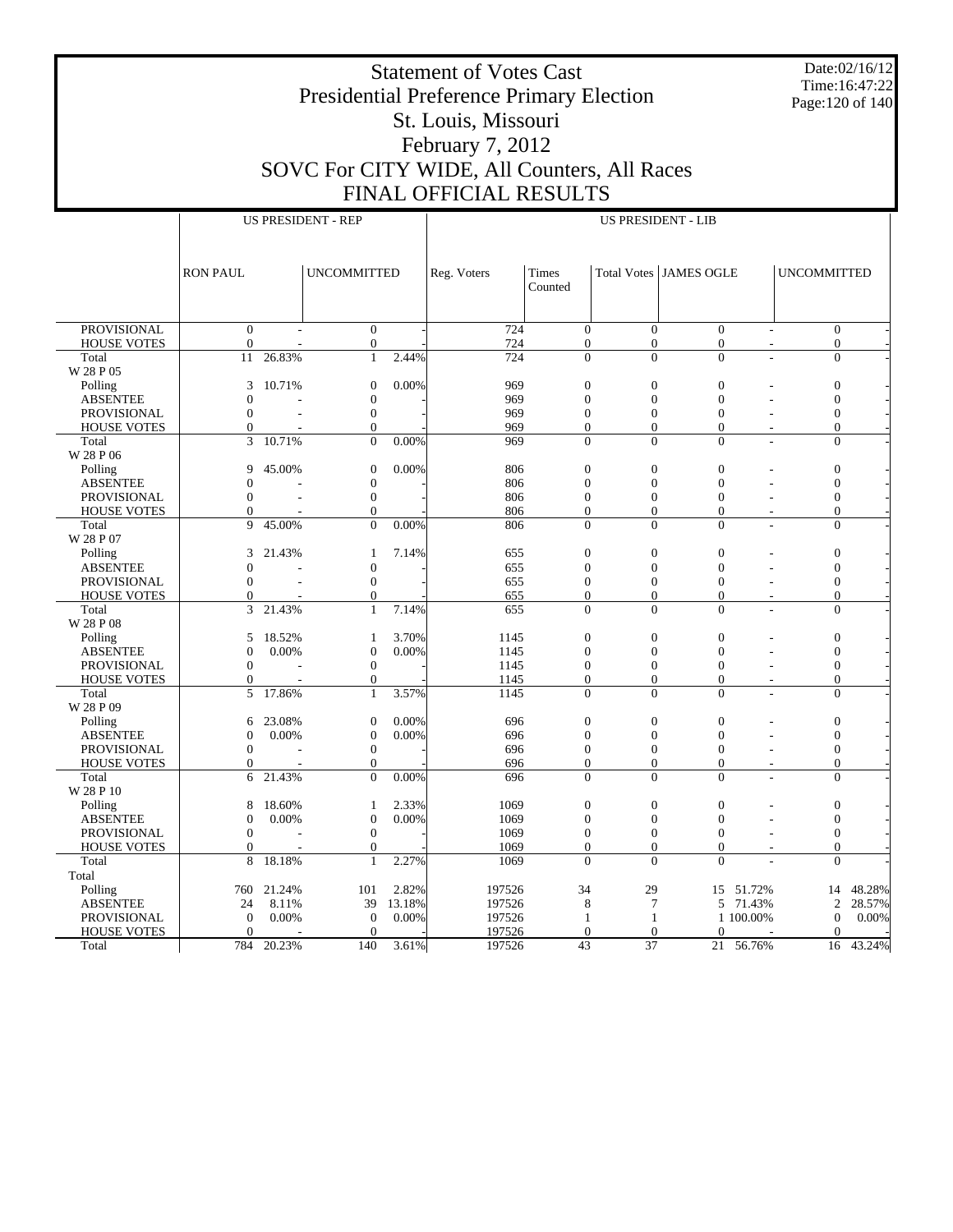Date:02/16/12 Time:16:47:22 Page:120 of 140

# Presidential Preference Primary Election St. Louis, Missouri February 7, 2012 SOVC For CITY WIDE, All Counters, All Races FINAL OFFICIAL RESULTS

|                             |                      |        | <b>US PRESIDENT - REP</b>        |        |              |                                    |                                    | <b>US PRESIDENT - LIB</b>          |                |                                    |        |
|-----------------------------|----------------------|--------|----------------------------------|--------|--------------|------------------------------------|------------------------------------|------------------------------------|----------------|------------------------------------|--------|
|                             |                      |        |                                  |        |              |                                    |                                    |                                    |                |                                    |        |
|                             | <b>RON PAUL</b>      |        | <b>UNCOMMITTED</b>               |        | Reg. Voters  | <b>Times</b><br>Counted            |                                    | Total Votes   JAMES OGLE           |                | <b>UNCOMMITTED</b>                 |        |
|                             |                      |        |                                  |        |              |                                    |                                    |                                    |                |                                    |        |
| <b>PROVISIONAL</b>          | $\bar{0}$            |        | $\boldsymbol{0}$                 |        | 724          | $\overline{0}$                     | $\Omega$                           | $\overline{0}$                     |                | $\bar{0}$                          |        |
| <b>HOUSE VOTES</b>          | $\overline{0}$<br>11 | 26.83% | $\boldsymbol{0}$<br>$\mathbf{1}$ | 2.44%  | 724          | $\boldsymbol{0}$<br>$\overline{0}$ | $\boldsymbol{0}$<br>$\overline{0}$ | $\boldsymbol{0}$<br>$\overline{0}$ | L,             | $\boldsymbol{0}$<br>$\overline{0}$ |        |
| Total<br>W 28 P 05          |                      |        |                                  |        | 724          |                                    |                                    |                                    |                |                                    |        |
| Polling                     | 3                    | 10.71% | $\boldsymbol{0}$                 | 0.00%  | 969          | $\mathbf{0}$                       | $\overline{0}$                     | $\overline{0}$                     |                | $\overline{0}$                     |        |
| <b>ABSENTEE</b>             | $\theta$             |        | $\boldsymbol{0}$                 |        | 969          | $\boldsymbol{0}$                   | $\boldsymbol{0}$                   | $\boldsymbol{0}$                   |                | $\boldsymbol{0}$                   |        |
| <b>PROVISIONAL</b>          | $\overline{0}$       |        | $\boldsymbol{0}$                 |        | 969          | $\overline{0}$                     | $\overline{0}$                     | $\mathbf{0}$                       |                | $\boldsymbol{0}$                   |        |
| <b>HOUSE VOTES</b>          | $\mathbf{0}$         |        | $\mathbf{0}$                     |        | 969          | $\boldsymbol{0}$                   | $\overline{0}$                     | $\overline{0}$                     |                | $\overline{0}$                     |        |
| Total                       | 3                    | 10.71% | $\mathbf{0}$                     | 0.00%  | 969          | $\mathbf{0}$                       | $\Omega$                           | $\Omega$                           | $\overline{a}$ | $\Omega$                           |        |
| W 28 P 06                   |                      |        |                                  |        |              |                                    |                                    |                                    |                |                                    |        |
| Polling                     | 9                    | 45.00% | $\boldsymbol{0}$                 | 0.00%  | 806          | $\overline{0}$                     | $\overline{0}$                     | $\overline{0}$                     |                | $\boldsymbol{0}$                   |        |
| <b>ABSENTEE</b>             | $\overline{0}$       |        | $\boldsymbol{0}$                 |        | 806          | $\overline{0}$                     | $\overline{0}$                     | $\mathbf{0}$                       |                | $\mathbf{0}$                       |        |
| <b>PROVISIONAL</b>          | $\mathbf{0}$         |        | $\boldsymbol{0}$                 |        | 806          | $\overline{0}$                     | $\overline{0}$                     | $\overline{0}$                     |                | $\boldsymbol{0}$                   |        |
| <b>HOUSE VOTES</b>          | $\boldsymbol{0}$     |        | $\mathbf{0}$                     |        | 806          | $\mathbf{0}$                       | $\boldsymbol{0}$                   | $\mathbf{0}$                       |                | $\boldsymbol{0}$                   |        |
| Total                       | 9                    | 45.00% | $\mathbf{0}$                     | 0.00%  | 806          | $\overline{0}$                     | $\overline{0}$                     | $\mathbf{0}$                       |                | $\overline{0}$                     |        |
| W 28 P 07                   |                      |        |                                  |        |              |                                    |                                    |                                    |                |                                    |        |
| Polling                     | 3                    | 21.43% | $\mathbf{1}$                     | 7.14%  | 655          | $\overline{0}$                     | $\overline{0}$                     | $\overline{0}$                     |                | $\boldsymbol{0}$                   |        |
| <b>ABSENTEE</b>             | $\Omega$             |        | $\boldsymbol{0}$                 |        | 655          | $\mathbf{0}$                       | $\mathbf{0}$                       | $\mathbf{0}$                       |                | $\boldsymbol{0}$                   |        |
| <b>PROVISIONAL</b>          | $\mathbf{0}$         |        | $\boldsymbol{0}$                 |        | 655          | $\boldsymbol{0}$                   | $\mathbf{0}$                       | $\boldsymbol{0}$                   |                | $\boldsymbol{0}$                   |        |
| <b>HOUSE VOTES</b>          | $\theta$             |        | $\mathbf{0}$                     |        | 655          | $\overline{0}$                     | $\overline{0}$                     | $\overline{0}$                     |                | $\overline{0}$                     |        |
| Total                       | 3                    | 21.43% | $\mathbf{1}$                     | 7.14%  | 655          | $\overline{0}$                     | $\theta$                           | $\Omega$                           |                | $\overline{0}$                     |        |
| W 28 P 08                   |                      |        |                                  |        |              |                                    |                                    |                                    |                |                                    |        |
| Polling                     | 5                    | 18.52% | 1                                | 3.70%  | 1145         | $\overline{0}$                     | $\overline{0}$                     | $\overline{0}$                     |                | $\boldsymbol{0}$                   |        |
| <b>ABSENTEE</b>             | $\overline{0}$       | 0.00%  | $\overline{0}$                   | 0.00%  | 1145         | $\overline{0}$                     | $\overline{0}$                     | $\overline{0}$                     |                | $\overline{0}$                     |        |
| <b>PROVISIONAL</b>          | $\mathbf{0}$         |        | $\boldsymbol{0}$                 |        | 1145         | $\overline{0}$                     | $\overline{0}$                     | $\overline{0}$                     |                | $\overline{0}$                     |        |
| <b>HOUSE VOTES</b><br>Total | $\theta$<br>5        | 17.86% | $\boldsymbol{0}$<br>$\mathbf{1}$ | 3.57%  | 1145<br>1145 | $\mathbf{0}$<br>$\theta$           | $\boldsymbol{0}$<br>$\theta$       | $\mathbf{0}$<br>$\Omega$           |                | $\boldsymbol{0}$<br>$\overline{0}$ |        |
| W 28 P 09                   |                      |        |                                  |        |              |                                    |                                    |                                    |                |                                    |        |
| Polling                     | 6                    | 23.08% | $\overline{0}$                   | 0.00%  | 696          | $\overline{0}$                     | $\overline{0}$                     | $\overline{0}$                     |                | $\mathbf{0}$                       |        |
| <b>ABSENTEE</b>             | $\overline{0}$       | 0.00%  | $\boldsymbol{0}$                 | 0.00%  | 696          | $\overline{0}$                     | $\overline{0}$                     | $\overline{0}$                     |                | $\boldsymbol{0}$                   |        |
| <b>PROVISIONAL</b>          | $\mathbf{0}$         |        | $\boldsymbol{0}$                 |        | 696          | $\mathbf{0}$                       | $\mathbf{0}$                       | $\mathbf{0}$                       |                | $\mathbf{0}$                       |        |
| <b>HOUSE VOTES</b>          | $\Omega$             |        | $\mathbf{0}$                     |        | 696          | $\overline{0}$                     | $\overline{0}$                     | $\mathbf{0}$                       |                | $\overline{0}$                     |        |
| Total                       | 6                    | 21.43% | $\Omega$                         | 0.00%  | 696          | $\theta$                           | $\theta$                           | $\Omega$                           |                | $\overline{0}$                     |        |
| W 28 P 10                   |                      |        |                                  |        |              |                                    |                                    |                                    |                |                                    |        |
| Polling                     | 8                    | 18.60% | 1                                | 2.33%  | 1069         | $\boldsymbol{0}$                   | $\boldsymbol{0}$                   | $\mathbf{0}$                       |                | $\boldsymbol{0}$                   |        |
| <b>ABSENTEE</b>             | $\overline{0}$       | 0.00%  | $\boldsymbol{0}$                 | 0.00%  | 1069         | $\overline{0}$                     | $\theta$                           | $\mathbf{0}$                       |                | $\overline{0}$                     |        |
| <b>PROVISIONAL</b>          | $\theta$             |        | $\mathbf{0}$                     |        | 1069         | $\overline{0}$                     | $\overline{0}$                     | $\Omega$                           |                | $\overline{0}$                     |        |
| <b>HOUSE VOTES</b>          | $\mathbf{0}$         |        | $\mathbf{0}$                     |        | 1069         | $\overline{0}$                     | $\overline{0}$                     | $\overline{0}$                     |                | $\mathbf{0}$                       |        |
| Total                       | 8                    | 18.18% | $\mathbf{1}$                     | 2.27%  | 1069         | $\overline{0}$                     | $\theta$                           | $\theta$                           |                | $\overline{0}$                     |        |
| Total                       |                      |        |                                  |        |              |                                    |                                    |                                    |                |                                    |        |
| Polling                     | 760                  | 21.24% | 101                              | 2.82%  | 197526       | 34                                 | 29                                 | 15                                 | 51.72%         | 14                                 | 48.28% |
| <b>ABSENTEE</b>             | 24                   | 8.11%  | 39                               | 13.18% | 197526       | 8                                  | $\tau$                             | 5                                  | 71.43%         | 2                                  | 28.57% |
| PROVISIONAL                 | $\overline{0}$       | 0.00%  | $\boldsymbol{0}$                 | 0.00%  | 197526       | $\mathbf{1}$                       | $\mathbf{1}$                       |                                    | 1 100.00%      | $\Omega$                           | 0.00%  |
| <b>HOUSE VOTES</b>          | $\Omega$             |        | $\Omega$                         |        | 197526       | $\theta$                           | $\overline{0}$                     | $\theta$                           |                | $\Omega$                           |        |
| Total                       | 784                  | 20.23% | 140                              | 3.61%  | 197526       | 43                                 | $\overline{37}$                    | 21                                 | 56.76%         | 16                                 | 43.24% |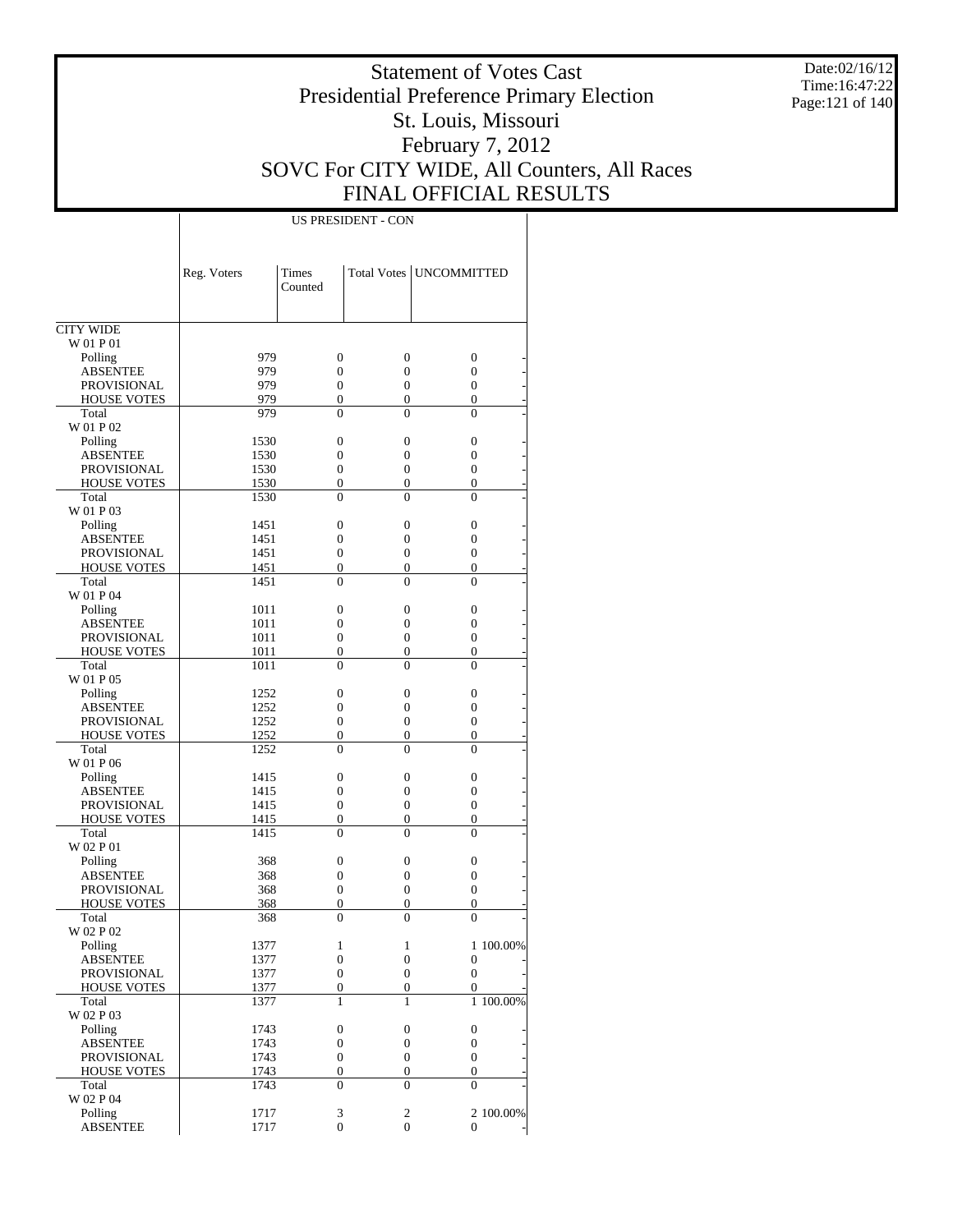Date:02/16/12 Time:16:47:22 Page:121 of 140

### Statement of Votes Cast Presidential Preference Primary Election St. Louis, Missouri February 7, 2012 SOVC For CITY WIDE, All Counters, All Races FINAL OFFICIAL RESULTS

|                            | Reg. Voters  | <b>Times</b><br>Counted |                       | Total Votes   UNCOMMITTED |
|----------------------------|--------------|-------------------------|-----------------------|---------------------------|
|                            |              |                         |                       |                           |
| <b>CITY WIDE</b>           |              |                         |                       |                           |
| W 01 P 01                  |              |                         |                       |                           |
| Polling                    | 979          | 0                       | $\boldsymbol{0}$      | 0                         |
| ABSENTEE                   | 979          | 0                       | 0                     | $\overline{0}$            |
| <b>PROVISIONAL</b>         | 979          | $\boldsymbol{0}$        | $\boldsymbol{0}$      | 0                         |
| <b>HOUSE VOTES</b>         | 979          | $\boldsymbol{0}$        | $\boldsymbol{0}$      | 0                         |
| Total                      | 979          | $\mathbf{0}$            | $\mathbf{0}$          | $\overline{0}$            |
| W 01 P 02                  |              |                         |                       |                           |
| Polling<br><b>ABSENTEE</b> | 1530<br>1530 | $\boldsymbol{0}$<br>0   | $\boldsymbol{0}$<br>0 | $\overline{0}$<br>0       |
| PROVISIONAL                | 1530         | $\boldsymbol{0}$        | $\boldsymbol{0}$      | 0                         |
| <b>HOUSE VOTES</b>         | 1530         | $\boldsymbol{0}$        | $\boldsymbol{0}$      | 0                         |
| Total                      | 1530         | $\theta$                | $\Omega$              | $\Omega$                  |
| W 01 P 03                  |              |                         |                       |                           |
| Polling                    | 1451         | $\boldsymbol{0}$        | $\boldsymbol{0}$      | 0                         |
| ABSENTEE                   | 1451         | 0                       | 0                     | 0                         |
| <b>PROVISIONAL</b>         | 1451         | $\boldsymbol{0}$        | $\boldsymbol{0}$      | 0                         |
| <b>HOUSE VOTES</b>         | 1451         | $\boldsymbol{0}$        | $\boldsymbol{0}$      | $\overline{0}$            |
| Total                      | 1451         | $\mathbf{0}$            | $\mathbf{0}$          | $\overline{0}$            |
| W 01 P 04                  |              |                         |                       |                           |
| Polling                    | 1011         | $\boldsymbol{0}$        | $\boldsymbol{0}$      | $\overline{0}$            |
| ABSENTEE                   | 1011         | 0                       | 0                     | 0                         |
| PROVISIONAL                | 1011         | $\boldsymbol{0}$        | $\boldsymbol{0}$      | 0                         |
| <b>HOUSE VOTES</b>         | 1011         | $\boldsymbol{0}$        | $\boldsymbol{0}$      | $\boldsymbol{0}$          |
| Total                      | 1011         | $\theta$                | $\theta$              | $\theta$                  |
| W 01 P 05                  |              |                         |                       |                           |
| Polling                    | 1252         | $\boldsymbol{0}$        | $\boldsymbol{0}$      | $\boldsymbol{0}$          |
| <b>ABSENTEE</b>            | 1252         | 0                       | 0                     | $\boldsymbol{0}$          |
| <b>PROVISIONAL</b>         | 1252         | $\boldsymbol{0}$        | $\boldsymbol{0}$      | $\boldsymbol{0}$          |
| <b>HOUSE VOTES</b>         | 1252         | $\boldsymbol{0}$        | $\boldsymbol{0}$      | $\overline{0}$            |
| Total                      | 1252         | $\mathbf{0}$            | $\mathbf{0}$          | $\overline{0}$            |
| W 01 P 06                  |              |                         |                       | $\boldsymbol{0}$          |
| Polling                    | 1415         | $\boldsymbol{0}$<br>0   | $\boldsymbol{0}$      | $\boldsymbol{0}$          |
| ABSENTEE<br>PROVISIONAL    | 1415<br>1415 | $\boldsymbol{0}$        | 0<br>$\boldsymbol{0}$ | $\boldsymbol{0}$          |
| <b>HOUSE VOTES</b>         | 1415         | $\boldsymbol{0}$        | $\boldsymbol{0}$      | 0                         |
| Total                      | 1415         | $\theta$                | 0                     | $\theta$                  |
| W 02 P 01                  |              |                         |                       |                           |
| Polling                    | 368          | $\boldsymbol{0}$        | $\boldsymbol{0}$      | 0                         |
| <b>ABSENTEE</b>            | 368          | $\boldsymbol{0}$        | 0                     | $\overline{0}$            |
| PROVISIONAL                | 368          | $\boldsymbol{0}$        | $\boldsymbol{0}$      | $\boldsymbol{0}$          |
| <b>HOUSE VOTES</b>         | 368          | 0                       | $\boldsymbol{0}$      | $\mathbf{0}$              |
| Total                      | 368          | $\mathbf{0}$            | 0                     | $\overline{0}$            |
| W 02 P 02                  |              |                         |                       |                           |
| Polling                    | 1377         | 1                       | 1                     | 1 100.00%                 |
| ABSENTEE                   | 1377         | $\boldsymbol{0}$        | $\boldsymbol{0}$      | 0                         |
| PROVISIONAL                | 1377         | $\boldsymbol{0}$        | $\boldsymbol{0}$      | $\boldsymbol{0}$          |
| <b>HOUSE VOTES</b>         | 1377         | $\boldsymbol{0}$        | $\boldsymbol{0}$      | $\overline{0}$            |
| Total                      | 1377         | 1                       | 1                     | 1 100.00%                 |
| W 02 P 03                  |              |                         |                       |                           |
| Polling                    | 1743         | $\boldsymbol{0}$        | $\boldsymbol{0}$      | $\boldsymbol{0}$          |
| <b>ABSENTEE</b>            | 1743         | $\boldsymbol{0}$        | $\boldsymbol{0}$      | $\boldsymbol{0}$          |
| <b>PROVISIONAL</b>         | 1743         | $\boldsymbol{0}$        | $\boldsymbol{0}$      | $\boldsymbol{0}$          |
| <b>HOUSE VOTES</b>         | 1743         | $\boldsymbol{0}$        | $\boldsymbol{0}$      | $\boldsymbol{0}$          |
| Total<br>W 02 P 04         | 1743         | $\mathbf{0}$            | $\mathbf{0}$          | $\overline{0}$            |
| Polling                    | 1717         | 3                       | $\mathbf{2}$          | 2 100.00%                 |
| <b>ABSENTEE</b>            | 1717         | $\boldsymbol{0}$        | $\boldsymbol{0}$      | 0                         |
|                            |              |                         |                       |                           |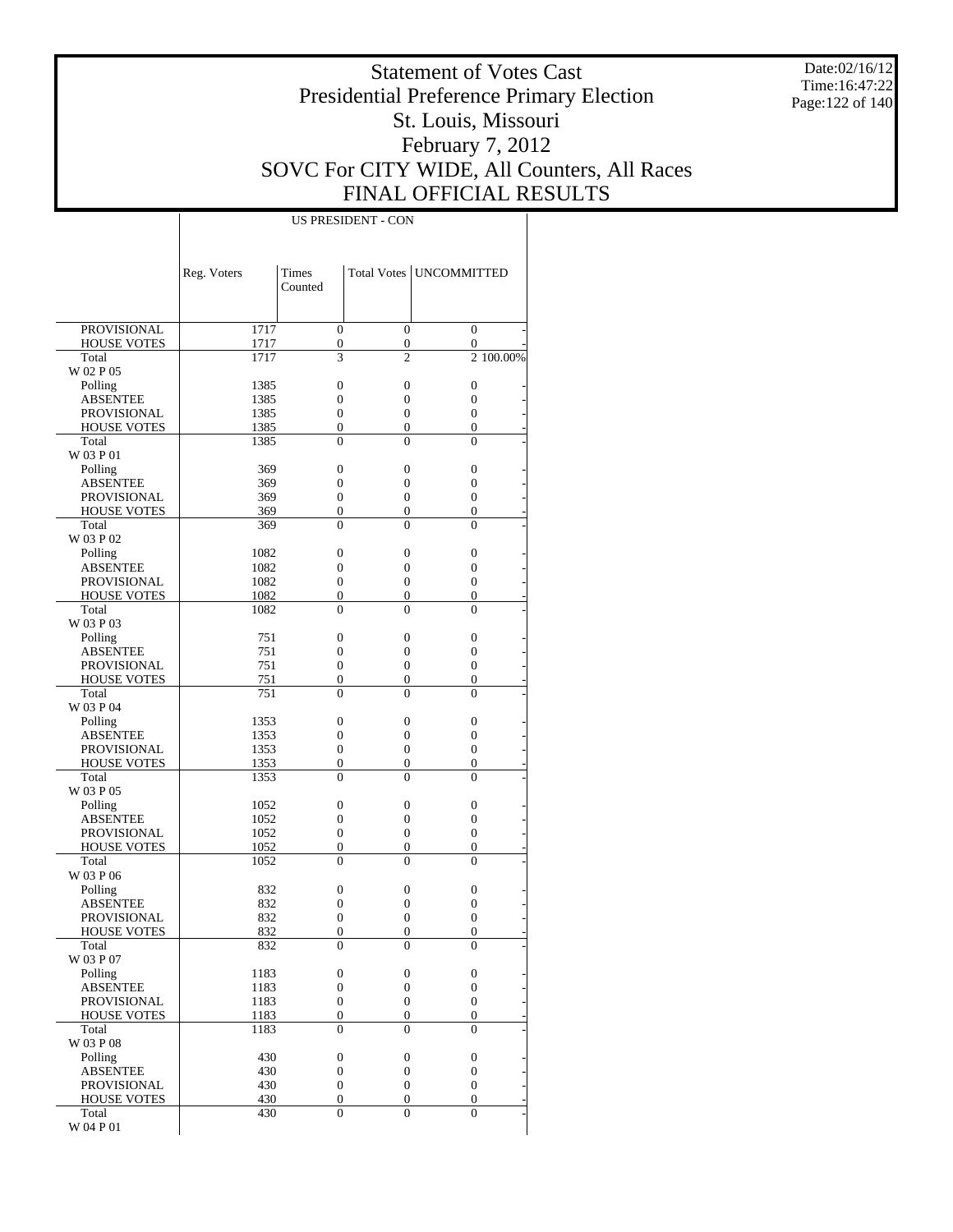Date:02/16/12 Time:16:47:22 Page:122 of 140

### Statement of Votes Cast Presidential Preference Primary Election St. Louis, Missouri February 7, 2012 SOVC For CITY WIDE, All Counters, All Races FINAL OFFICIAL RESULTS

|                                | Reg. Voters  | Times<br>Counted                 |                                      | Total Votes   UNCOMMITTED        |
|--------------------------------|--------------|----------------------------------|--------------------------------------|----------------------------------|
|                                |              |                                  |                                      |                                  |
| <b>PROVISIONAL</b>             | 1717         | $\mathbf{0}$                     | $\overline{0}$                       | $\overline{0}$                   |
| <b>HOUSE VOTES</b><br>Total    | 1717<br>1717 | $\boldsymbol{0}$<br>3            | $\boldsymbol{0}$<br>$\overline{c}$   | 0<br>2 100.00%                   |
| W 02 P 05                      |              |                                  |                                      |                                  |
| Polling                        | 1385         | $\overline{0}$                   | $\mathbf{0}$                         | $\overline{0}$                   |
| <b>ABSENTEE</b>                | 1385         | $\overline{0}$                   | 0                                    | $\overline{0}$                   |
| <b>PROVISIONAL</b>             | 1385         | $\overline{0}$                   | $\mathbf{0}$                         | $\overline{0}$                   |
| <b>HOUSE VOTES</b>             | 1385         | $\overline{0}$                   | 0                                    | $\overline{0}$                   |
| Total<br>W 03 P 01             | 1385         | $\theta$                         | $\Omega$                             | 0                                |
| Polling                        | 369          | $\overline{0}$                   | $\mathbf{0}$                         | $\overline{0}$                   |
| <b>ABSENTEE</b>                | 369          | $\overline{0}$                   | 0                                    | $\overline{0}$                   |
| <b>PROVISIONAL</b>             | 369          | $\overline{0}$                   | $\mathbf{0}$                         | $\overline{0}$                   |
| <b>HOUSE VOTES</b>             | 369          | $\overline{0}$                   | $\boldsymbol{0}$                     | $\overline{0}$                   |
| Total                          | 369          | $\overline{0}$                   | $\mathbf{0}$                         | $\theta$                         |
| W 03 P 02                      |              |                                  |                                      |                                  |
| Polling                        | 1082         | $\overline{0}$                   | $\mathbf{0}$                         | $\overline{0}$                   |
| <b>ABSENTEE</b><br>PROVISIONAL | 1082<br>1082 | $\overline{0}$<br>$\overline{0}$ | 0<br>$\mathbf{0}$                    | 0<br>$\overline{0}$              |
| <b>HOUSE VOTES</b>             | 1082         | $\boldsymbol{0}$                 | 0                                    | $\overline{0}$                   |
| Total                          | 1082         | $\theta$                         | $\Omega$                             | 0                                |
| W 03 P 03                      |              |                                  |                                      |                                  |
| Polling                        | 751          | $\overline{0}$                   | $\mathbf{0}$                         | $\overline{0}$                   |
| <b>ABSENTEE</b>                | 751          | $\overline{0}$                   | 0                                    | $\overline{0}$                   |
| <b>PROVISIONAL</b>             | 751          | $\overline{0}$                   | $\mathbf{0}$                         | $\overline{0}$                   |
| <b>HOUSE VOTES</b><br>Total    | 751          | $\boldsymbol{0}$                 | 0                                    | $\overline{0}$                   |
| W 03 P 04                      | 751          | $\overline{0}$                   | $\mathbf{0}$                         | $\theta$                         |
| Polling                        | 1353         | $\overline{0}$                   | $\mathbf{0}$                         | $\overline{0}$                   |
| <b>ABSENTEE</b>                | 1353         | $\overline{0}$                   | 0                                    | 0                                |
| <b>PROVISIONAL</b>             | 1353         | $\overline{0}$                   | $\mathbf{0}$                         | $\overline{0}$                   |
| <b>HOUSE VOTES</b>             | 1353         | $\boldsymbol{0}$                 | 0                                    | 0                                |
| Total                          | 1353         | $\theta$                         | $\Omega$                             | 0                                |
| W 03 P 05                      |              |                                  |                                      |                                  |
| Polling<br><b>ABSENTEE</b>     | 1052<br>1052 | $\overline{0}$<br>$\overline{0}$ | $\mathbf{0}$<br>0                    | $\overline{0}$<br>$\overline{0}$ |
| <b>PROVISIONAL</b>             | 1052         | $\overline{0}$                   | $\mathbf{0}$                         | $\overline{0}$                   |
| <b>HOUSE VOTES</b>             | 1052         | $\boldsymbol{0}$                 | 0                                    | 0                                |
| Total                          | 1052         | $\overline{0}$                   | $\mathbf{0}$                         | $\theta$                         |
| W 03 P 06                      |              |                                  |                                      |                                  |
| Polling                        | 832          | $\overline{0}$                   | $\boldsymbol{0}$                     | $\overline{0}$                   |
| <b>ABSENTEE</b>                | 832          | $\overline{0}$                   | 0                                    | $\overline{0}$                   |
| PROVISIONAL                    | 832          | $\overline{0}$<br>$\overline{0}$ | 0<br>0                               | $\overline{0}$<br>0              |
| <b>HOUSE VOTES</b><br>Total    | 832<br>832   | $\boldsymbol{0}$                 | $\boldsymbol{0}$                     | 0                                |
| W 03 P 07                      |              |                                  |                                      |                                  |
| Polling                        | 1183         | $\boldsymbol{0}$                 | $\boldsymbol{0}$                     | $\boldsymbol{0}$                 |
| <b>ABSENTEE</b>                | 1183         | $\mathbf{0}$                     | $\boldsymbol{0}$                     | $\overline{0}$                   |
| <b>PROVISIONAL</b>             | 1183         | $\boldsymbol{0}$                 | $\overline{0}$                       | $\overline{0}$                   |
| <b>HOUSE VOTES</b>             | 1183         | $\boldsymbol{0}$                 | $\boldsymbol{0}$                     | 0                                |
| Total                          | 1183         | $\mathbf{0}$                     | $\Omega$                             | $\Omega$                         |
| W 03 P 08                      | 430          | $\boldsymbol{0}$                 |                                      |                                  |
| Polling<br><b>ABSENTEE</b>     | 430          | $\boldsymbol{0}$                 | $\boldsymbol{0}$<br>$\boldsymbol{0}$ | 0<br>$\overline{0}$              |
| <b>PROVISIONAL</b>             | 430          | $\boldsymbol{0}$                 | $\overline{0}$                       | $\overline{0}$                   |
| <b>HOUSE VOTES</b>             | 430          | $\boldsymbol{0}$                 | $\boldsymbol{0}$                     | $\overline{0}$                   |
| Total                          | 430          | $\mathbf{0}$                     | $\overline{0}$                       | $\overline{0}$                   |
| W 04 P 01                      |              |                                  |                                      |                                  |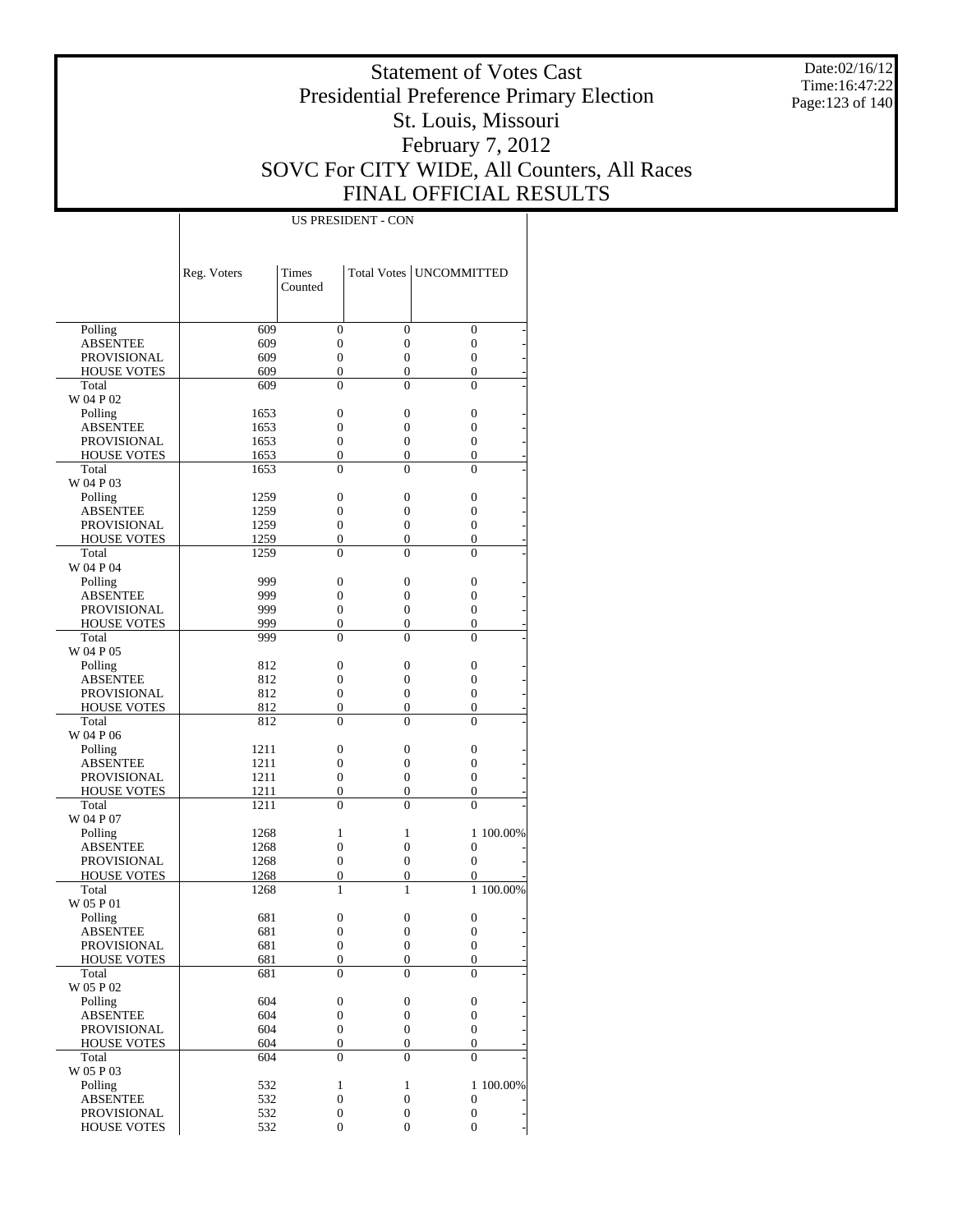Date:02/16/12 Time:16:47:22 Page:123 of 140

### Statement of Votes Cast Presidential Preference Primary Election St. Louis, Missouri February 7, 2012 SOVC For CITY WIDE, All Counters, All Races FINAL OFFICIAL RESULTS

|                    | Reg. Voters | Times<br>Counted |                  | Total Votes   UNCOMMITTED |           |
|--------------------|-------------|------------------|------------------|---------------------------|-----------|
|                    |             |                  |                  |                           |           |
| Polling            | 609         | $\overline{0}$   | $\overline{0}$   | $\mathbf{0}$              |           |
| <b>ABSENTEE</b>    | 609         | $\overline{0}$   | $\overline{0}$   | $\overline{0}$            |           |
| <b>PROVISIONAL</b> | 609         | $\overline{0}$   | $\overline{0}$   | $\mathbf{0}$              |           |
| <b>HOUSE VOTES</b> | 609         | $\overline{0}$   | 0                | $\overline{0}$            |           |
| Total              | 609         | $\theta$         | $\theta$         | $\theta$                  |           |
| W 04 P 02          |             |                  |                  |                           |           |
| Polling            | 1653        | $\overline{0}$   | $\overline{0}$   | $\mathbf{0}$              |           |
| <b>ABSENTEE</b>    | 1653        | $\overline{0}$   | 0                | $\overline{0}$            |           |
| <b>PROVISIONAL</b> | 1653        | $\overline{0}$   | $\mathbf{0}$     | $\overline{0}$            |           |
| <b>HOUSE VOTES</b> | 1653        | $\overline{0}$   | 0                | $\overline{0}$            |           |
| Total              | 1653        | $\overline{0}$   | $\theta$         | $\theta$                  |           |
| W 04 P 03          |             |                  |                  |                           |           |
| Polling            | 1259        | $\overline{0}$   | $\overline{0}$   | $\mathbf{0}$              |           |
| <b>ABSENTEE</b>    | 1259        | $\overline{0}$   | 0                | 0                         |           |
| <b>PROVISIONAL</b> | 1259        | $\overline{0}$   | $\overline{0}$   | $\mathbf{0}$              |           |
| <b>HOUSE VOTES</b> | 1259        | $\overline{0}$   | 0                | $\overline{0}$            |           |
| Total              | 1259        | $\theta$         | $\theta$         | $\theta$                  |           |
| W 04 P 04          |             |                  |                  |                           |           |
| Polling            | 999         | $\overline{0}$   | $\overline{0}$   | $\mathbf{0}$              |           |
| <b>ABSENTEE</b>    | 999         | $\overline{0}$   | 0                | $\overline{0}$            |           |
| <b>PROVISIONAL</b> | 999         | $\overline{0}$   | $\overline{0}$   | $\mathbf{0}$              |           |
| <b>HOUSE VOTES</b> | 999         | $\overline{0}$   | 0                | $\overline{0}$            |           |
| Total              | 999         | $\overline{0}$   | $\theta$         | $\theta$                  |           |
| W 04 P 05          |             |                  |                  |                           |           |
| Polling            | 812         | $\overline{0}$   | $\overline{0}$   | $\mathbf{0}$              |           |
| <b>ABSENTEE</b>    | 812         | $\overline{0}$   | 0                | $\overline{0}$            |           |
| PROVISIONAL        | 812         | $\overline{0}$   | $\overline{0}$   | $\mathbf{0}$              |           |
| <b>HOUSE VOTES</b> | 812         | $\overline{0}$   | 0                | $\overline{0}$            |           |
| Total              | 812         | $\theta$         | $\theta$         | $\theta$                  |           |
| W 04 P 06          |             |                  |                  |                           |           |
| Polling            | 1211        | $\overline{0}$   | $\overline{0}$   | $\mathbf{0}$              |           |
| <b>ABSENTEE</b>    | 1211        | $\overline{0}$   | 0                | $\overline{0}$            |           |
| <b>PROVISIONAL</b> | 1211        | $\overline{0}$   | $\overline{0}$   | $\mathbf{0}$              |           |
| <b>HOUSE VOTES</b> | 1211        | $\overline{0}$   | 0                | $\overline{0}$            |           |
| Total              | 1211        | $\overline{0}$   | $\theta$         | $\theta$                  |           |
| W 04 P 07          |             |                  |                  |                           |           |
| Polling            | 1268        | $\mathbf{1}$     | 1                |                           | 1 100.00% |
| <b>ABSENTEE</b>    | 1268        | $\overline{0}$   | $\overline{0}$   | $\overline{0}$            |           |
| <b>PROVISIONAL</b> | 1268        | $\overline{0}$   | $\overline{0}$   | $\mathbf{0}$              |           |
| <b>HOUSE VOTES</b> | 1268        | $\overline{0}$   | $\mathbf{0}$     | 0                         |           |
| Total              | 1268        | 1                | 1                |                           | 1 100,00% |
| W 05 P 01          |             |                  |                  |                           |           |
| Polling            | 681         | $\overline{0}$   | $\overline{0}$   | $\overline{0}$            |           |
| <b>ABSENTEE</b>    | 681         | $\overline{0}$   | $\overline{0}$   | 0                         |           |
| PROVISIONAL        | 681         | 0                | $\theta$         | $\theta$                  |           |
| <b>HOUSE VOTES</b> | 681         | $\boldsymbol{0}$ | $\boldsymbol{0}$ | $\boldsymbol{0}$          |           |
| Total              | 681         | $\theta$         | $\theta$         | $\Omega$                  |           |
| W 05 P 02          |             |                  |                  |                           |           |
| Polling            | 604         | $\boldsymbol{0}$ | $\boldsymbol{0}$ | $\boldsymbol{0}$          |           |
| <b>ABSENTEE</b>    | 604         | $\boldsymbol{0}$ | $\boldsymbol{0}$ | $\boldsymbol{0}$          |           |
| PROVISIONAL        | 604         | $\boldsymbol{0}$ | $\boldsymbol{0}$ | $\boldsymbol{0}$          |           |
| <b>HOUSE VOTES</b> | 604         | $\boldsymbol{0}$ | $\overline{0}$   | $\mathbf{0}$              |           |
| Total              | 604         | $\overline{0}$   | $\overline{0}$   | $\Omega$                  |           |
| W 05 P 03          |             |                  |                  |                           |           |
| Polling            | 532         | $\mathbf{1}$     | $\mathbf{1}$     |                           | 1 100.00% |
| <b>ABSENTEE</b>    | 532         | $\boldsymbol{0}$ | $\boldsymbol{0}$ | $\mathbf{0}$              |           |
| <b>PROVISIONAL</b> | 532         | $\boldsymbol{0}$ | $\boldsymbol{0}$ | $\boldsymbol{0}$          |           |
| <b>HOUSE VOTES</b> | 532         | $\boldsymbol{0}$ | $\overline{0}$   | $\overline{0}$            |           |
|                    |             |                  |                  |                           |           |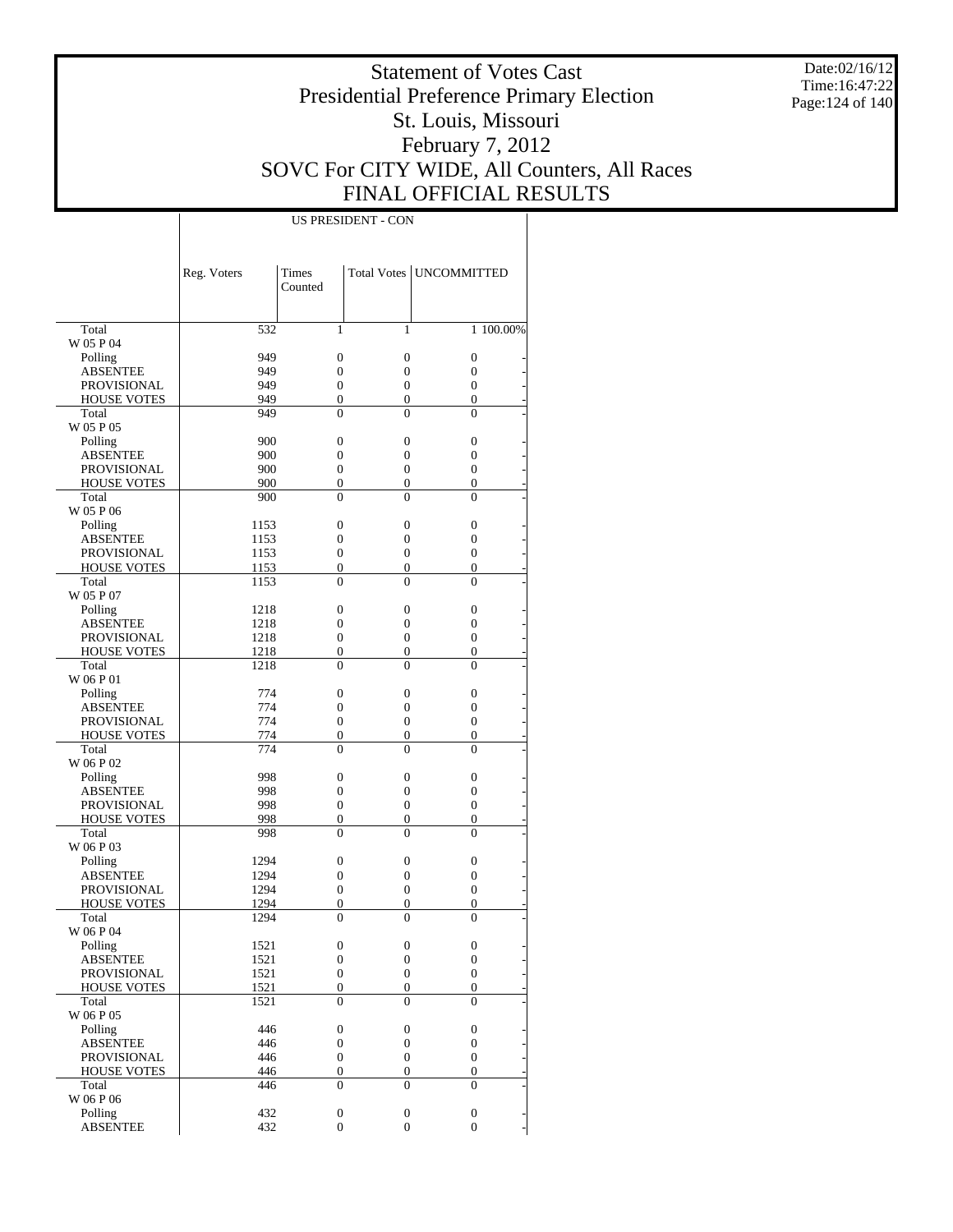Date:02/16/12 Time:16:47:22 Page:124 of 140

### Statement of Votes Cast Presidential Preference Primary Election St. Louis, Missouri February 7, 2012 SOVC For CITY WIDE, All Counters, All Races FINAL OFFICIAL RESULTS

|                            | Reg. Voters | <b>Times</b><br>Counted |                  | Total Votes   UNCOMMITTED |  |
|----------------------------|-------------|-------------------------|------------------|---------------------------|--|
|                            |             |                         |                  |                           |  |
| Total                      | 532         | 1                       | 1                | 1 100.00%                 |  |
| W 05 P 04                  |             |                         |                  |                           |  |
| Polling                    | 949         | $\overline{0}$          | $\boldsymbol{0}$ | $\boldsymbol{0}$          |  |
| ABSENTEE                   | 949         | $\overline{0}$          | $\mathbf{0}$     | $\overline{0}$            |  |
| <b>PROVISIONAL</b>         | 949         | $\boldsymbol{0}$        | $\boldsymbol{0}$ | $\boldsymbol{0}$          |  |
| <b>HOUSE VOTES</b>         | 949         | $\boldsymbol{0}$        | $\mathbf{0}$     | $\boldsymbol{0}$          |  |
| Total<br>W 05 P 05         | 949         | 0                       | $\overline{0}$   | $\boldsymbol{0}$          |  |
| Polling                    | 900         | 0                       | $\boldsymbol{0}$ | $\boldsymbol{0}$          |  |
| <b>ABSENTEE</b>            | 900         | $\overline{0}$          | $\mathbf{0}$     | $\overline{0}$            |  |
| <b>PROVISIONAL</b>         | 900         | $\boldsymbol{0}$        | $\boldsymbol{0}$ | $\boldsymbol{0}$          |  |
| <b>HOUSE VOTES</b>         | 900         | $\boldsymbol{0}$        | $\boldsymbol{0}$ | $\boldsymbol{0}$          |  |
| Total                      | 900         | $\theta$                | $\Omega$         | $\theta$                  |  |
| W 05 P 06                  |             |                         |                  |                           |  |
| Polling                    | 1153        | $\boldsymbol{0}$        | $\boldsymbol{0}$ | $\boldsymbol{0}$          |  |
| ABSENTEE                   | 1153        | $\overline{0}$          | $\boldsymbol{0}$ | $\overline{0}$            |  |
| <b>PROVISIONAL</b>         | 1153        | $\boldsymbol{0}$        | $\boldsymbol{0}$ | $\boldsymbol{0}$          |  |
| <b>HOUSE VOTES</b>         | 1153        | $\boldsymbol{0}$        | $\boldsymbol{0}$ | $\boldsymbol{0}$          |  |
| Total                      | 1153        | $\mathbf{0}$            | $\overline{0}$   | $\boldsymbol{0}$          |  |
| W 05 P 07                  |             |                         |                  |                           |  |
| Polling                    | 1218        | 0                       | $\boldsymbol{0}$ | $\boldsymbol{0}$          |  |
| ABSENTEE                   | 1218        | $\overline{0}$          | $\boldsymbol{0}$ | $\overline{0}$            |  |
| <b>PROVISIONAL</b>         | 1218        | $\boldsymbol{0}$        | $\boldsymbol{0}$ | $\boldsymbol{0}$          |  |
| <b>HOUSE VOTES</b>         | 1218        | $\boldsymbol{0}$        | $\boldsymbol{0}$ | 0                         |  |
| Total                      | 1218        | $\theta$                | $\Omega$         | $\theta$                  |  |
| W 06 P 01                  |             |                         |                  |                           |  |
| Polling                    | 774         | $\boldsymbol{0}$        | $\boldsymbol{0}$ | $\boldsymbol{0}$          |  |
| <b>ABSENTEE</b>            | 774         | $\overline{0}$          | $\boldsymbol{0}$ | 0                         |  |
| <b>PROVISIONAL</b>         | 774         | $\boldsymbol{0}$        | $\boldsymbol{0}$ | $\boldsymbol{0}$          |  |
| <b>HOUSE VOTES</b>         | 774         | $\boldsymbol{0}$        | $\mathbf{0}$     | $\boldsymbol{0}$          |  |
| Total                      | 774         | $\mathbf{0}$            | $\overline{0}$   | $\boldsymbol{0}$          |  |
| W 06 P 02                  |             |                         |                  |                           |  |
| Polling                    | 998         | 0                       | $\boldsymbol{0}$ | $\boldsymbol{0}$          |  |
| ABSENTEE                   | 998         | 0                       | $\mathbf{0}$     | $\boldsymbol{0}$          |  |
| <b>PROVISIONAL</b>         | 998         | $\boldsymbol{0}$        | $\boldsymbol{0}$ | $\boldsymbol{0}$          |  |
| <b>HOUSE VOTES</b>         | 998         | $\boldsymbol{0}$        | $\mathbf{0}$     | 0                         |  |
| Total                      | 998         | $\theta$                | 0                | $\theta$                  |  |
| W 06 P 03                  | 1294        | $\boldsymbol{0}$        | $\boldsymbol{0}$ | $\boldsymbol{0}$          |  |
| Polling<br><b>ABSENTEE</b> | 1294        | 0                       | $\mathbf{0}$     | 0                         |  |
| <b>PROVISIONAL</b>         | 1294        | $\boldsymbol{0}$        | $\boldsymbol{0}$ | $\boldsymbol{0}$          |  |
| <b>HOUSE VOTES</b>         | 1294        | $\boldsymbol{0}$        | $\mathbf{0}$     | $\mathbf{0}$              |  |
| Total                      | 1294        | 0                       | 0                | $\overline{0}$            |  |
| W 06 P 04                  |             |                         |                  |                           |  |
| Polling                    | 1521        | 0                       | 0                | 0                         |  |
| <b>ABSENTEE</b>            | 1521        | $\boldsymbol{0}$        | $\boldsymbol{0}$ | $\boldsymbol{0}$          |  |
| PROVISIONAL                | 1521        | $\boldsymbol{0}$        | $\boldsymbol{0}$ | $\boldsymbol{0}$          |  |
| HOUSE VOTES                | 1521        | $\boldsymbol{0}$        | $\boldsymbol{0}$ | $\boldsymbol{0}$          |  |
| Total                      | 1521        | $\boldsymbol{0}$        | $\boldsymbol{0}$ | $\mathbf{0}$              |  |
| W 06 P 05                  |             |                         |                  |                           |  |
| Polling                    | 446         | $\boldsymbol{0}$        | 0                | $\boldsymbol{0}$          |  |
| <b>ABSENTEE</b>            | 446         | $\boldsymbol{0}$        | $\boldsymbol{0}$ | $\boldsymbol{0}$          |  |
| <b>PROVISIONAL</b>         | 446         | $\boldsymbol{0}$        | $\boldsymbol{0}$ | $\boldsymbol{0}$          |  |
| <b>HOUSE VOTES</b>         | 446         | $\boldsymbol{0}$        | $\boldsymbol{0}$ | $\boldsymbol{0}$          |  |
| Total                      | 446         | $\mathbf{0}$            | $\mathbf{0}$     | $\mathbf{0}$              |  |
| W 06 P 06                  |             |                         |                  |                           |  |
| Polling                    | 432         | $\boldsymbol{0}$        | $\boldsymbol{0}$ | $\boldsymbol{0}$          |  |
| <b>ABSENTEE</b>            | 432         | $\boldsymbol{0}$        | $\boldsymbol{0}$ | $\overline{0}$            |  |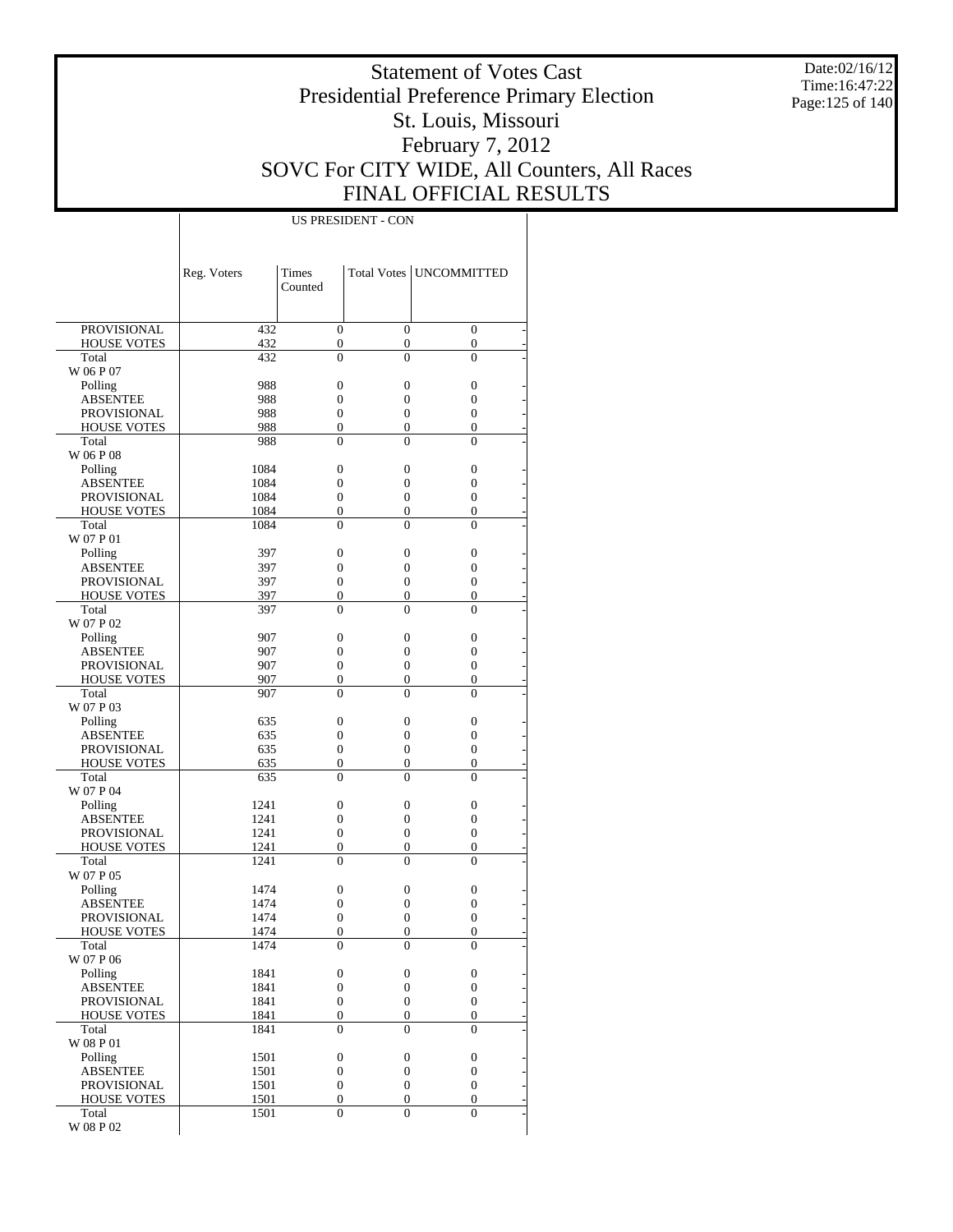Date:02/16/12 Time:16:47:22 Page:125 of 140

### Statement of Votes Cast Presidential Preference Primary Election St. Louis, Missouri February 7, 2012 SOVC For CITY WIDE, All Counters, All Races FINAL OFFICIAL RESULTS

|                                   | Reg. Voters  | <b>Times</b>                         |                       | Total Votes   UNCOMMITTED            |
|-----------------------------------|--------------|--------------------------------------|-----------------------|--------------------------------------|
|                                   |              | Counted                              |                       |                                      |
|                                   |              |                                      |                       |                                      |
| <b>PROVISIONAL</b>                | 432          | $\overline{0}$                       | $\boldsymbol{0}$      | $\boldsymbol{0}$                     |
| <b>HOUSE VOTES</b>                | 432          | 0                                    | $\boldsymbol{0}$      | $\boldsymbol{0}$                     |
| Total                             | 432          | $\overline{0}$                       | $\overline{0}$        | $\overline{0}$                       |
| W 06 P 07                         |              |                                      |                       |                                      |
| Polling                           | 988          | 0                                    | $\boldsymbol{0}$      | 0                                    |
| ABSENTEE<br><b>PROVISIONAL</b>    | 988<br>988   | 0<br>$\overline{0}$                  | 0<br>$\boldsymbol{0}$ | 0<br>0                               |
| <b>HOUSE VOTES</b>                | 988          | 0                                    | 0                     | $\overline{0}$                       |
| Total                             | 988          | $\overline{0}$                       | $\mathbf{0}$          | $\theta$                             |
| W 06 P 08                         |              |                                      |                       |                                      |
| Polling                           | 1084         | 0                                    | $\boldsymbol{0}$      | 0                                    |
| ABSENTEE                          | 1084         | 0                                    | 0                     | 0                                    |
| <b>PROVISIONAL</b>                | 1084         | 0                                    | $\boldsymbol{0}$      | 0                                    |
| <b>HOUSE VOTES</b>                | 1084         | $\overline{0}$                       | $\boldsymbol{0}$      | $\boldsymbol{0}$                     |
| Total                             | 1084         | $\overline{0}$                       | $\overline{0}$        | $\overline{0}$                       |
| W 07 P 01                         | 397          | 0                                    | $\boldsymbol{0}$      | 0                                    |
| Polling<br>ABSENTEE               | 397          | 0                                    | 0                     | 0                                    |
| <b>PROVISIONAL</b>                | 397          | $\overline{0}$                       | $\boldsymbol{0}$      | 0                                    |
| <b>HOUSE VOTES</b>                | 397          | 0                                    | 0                     | $\boldsymbol{0}$                     |
| Total                             | 397          | $\overline{0}$                       | $\mathbf{0}$          | $\theta$                             |
| W 07 P 02                         |              |                                      |                       |                                      |
| Polling                           | 907          | 0                                    | $\boldsymbol{0}$      | 0                                    |
| <b>ABSENTEE</b>                   | 907          | 0                                    | 0                     | 0                                    |
| <b>PROVISIONAL</b>                | 907          | $\overline{0}$                       | $\boldsymbol{0}$      | 0                                    |
| <b>HOUSE VOTES</b>                | 907          | $\overline{0}$                       | $\boldsymbol{0}$      | $\boldsymbol{0}$                     |
| Total<br>W 07 P 03                | 907          | $\overline{0}$                       | $\overline{0}$        | $\overline{0}$                       |
| Polling                           | 635          | 0                                    | $\boldsymbol{0}$      | 0                                    |
| ABSENTEE                          | 635          | 0                                    | 0                     | 0                                    |
| <b>PROVISIONAL</b>                | 635          | 0                                    | $\boldsymbol{0}$      | 0                                    |
| <b>HOUSE VOTES</b>                | 635          | 0                                    | 0                     | $\boldsymbol{0}$                     |
| Total                             | 635          | $\overline{0}$                       | $\mathbf{0}$          | $\theta$                             |
| W 07 P 04                         |              |                                      |                       |                                      |
| Polling                           | 1241         | 0                                    | $\boldsymbol{0}$      | 0                                    |
| ABSENTEE                          | 1241         | 0                                    | 0                     | 0                                    |
| <b>PROVISIONAL</b>                | 1241         | 0                                    | $\boldsymbol{0}$      | 0                                    |
| <b>HOUSE VOTES</b><br>Total       | 1241<br>1241 | 0<br>$\overline{0}$                  | 0<br>$\mathbf{0}$     | $\boldsymbol{0}$<br>$\overline{0}$   |
| W 07 P 05                         |              |                                      |                       |                                      |
| Polling                           | 1474         | 0                                    | 0                     | $\boldsymbol{0}$                     |
| <b>ABSENTEE</b>                   | 1474         | 0                                    | 0                     | 0                                    |
| <b>PROVISIONAL</b>                | 1474         | 0                                    | 0                     | 0                                    |
| <b>HOUSE VOTES</b>                | 1474         | $\overline{0}$                       | 0                     | $\overline{0}$                       |
| Total                             | 1474         | 0                                    | 0                     | $\boldsymbol{0}$                     |
| W 07 P 06                         |              |                                      |                       |                                      |
| Polling                           | 1841         | $\boldsymbol{0}$                     | 0                     | $\boldsymbol{0}$                     |
| <b>ABSENTEE</b>                   | 1841         | 0                                    | $\boldsymbol{0}$      | $\boldsymbol{0}$                     |
| PROVISIONAL<br><b>HOUSE VOTES</b> | 1841<br>1841 | $\boldsymbol{0}$<br>$\boldsymbol{0}$ | 0<br>$\boldsymbol{0}$ | $\boldsymbol{0}$<br>$\boldsymbol{0}$ |
| Total                             | 1841         | $\overline{0}$                       | $\mathbf{0}$          | $\overline{0}$                       |
| W 08 P 01                         |              |                                      |                       |                                      |
| Polling                           | 1501         | $\boldsymbol{0}$                     | 0                     | $\boldsymbol{0}$                     |
| <b>ABSENTEE</b>                   | 1501         | 0                                    | 0                     | $\boldsymbol{0}$                     |
| <b>PROVISIONAL</b>                | 1501         | $\boldsymbol{0}$                     | 0                     | $\boldsymbol{0}$                     |
| <b>HOUSE VOTES</b>                | 1501         | $\boldsymbol{0}$                     | $\boldsymbol{0}$      | $\boldsymbol{0}$                     |
| Total                             | 1501         | $\boldsymbol{0}$                     | $\boldsymbol{0}$      | $\overline{0}$                       |
| W 08 P 02                         |              |                                      |                       |                                      |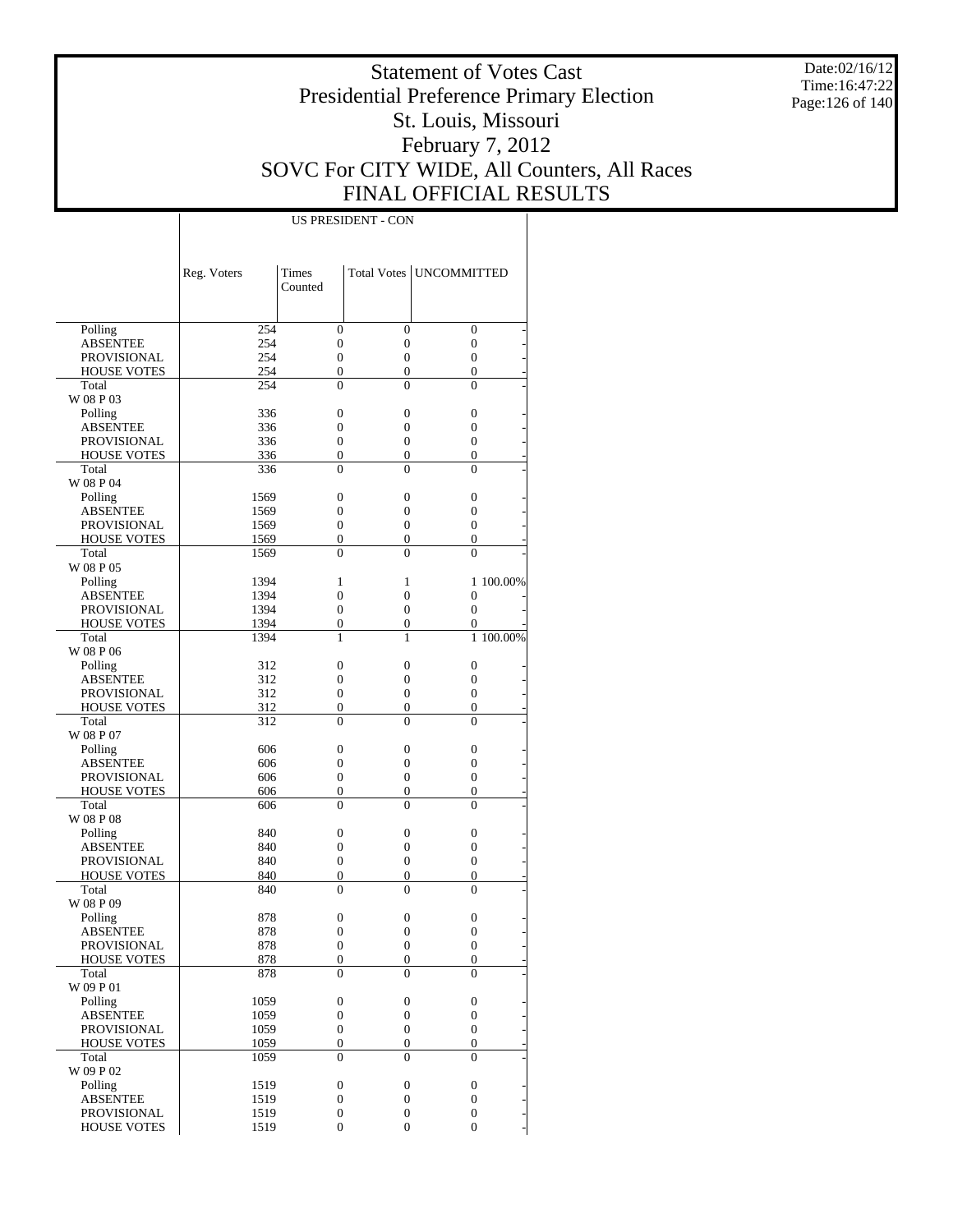Date:02/16/12 Time:16:47:22 Page:126 of 140

### Statement of Votes Cast Presidential Preference Primary Election St. Louis, Missouri February 7, 2012 SOVC For CITY WIDE, All Counters, All Races FINAL OFFICIAL RESULTS

|                    | Reg. Voters | <b>Times</b><br>Counted |                  | Total Votes   UNCOMMITTED |           |
|--------------------|-------------|-------------------------|------------------|---------------------------|-----------|
| Polling            | 254         | $\overline{0}$          | $\overline{0}$   | $\mathbf{0}$              |           |
| <b>ABSENTEE</b>    | 254         | $\mathbf{0}$            | 0                | 0                         |           |
| <b>PROVISIONAL</b> | 254         | $\overline{0}$          | $\overline{0}$   | $\mathbf{0}$              |           |
| <b>HOUSE VOTES</b> | 254         | $\overline{0}$          | 0                | 0                         |           |
| Total              | 254         | $\Omega$                | 0                | $\theta$                  |           |
| W 08 P 03          |             |                         |                  |                           |           |
| Polling            | 336         | $\mathbf{0}$            | 0                | $\mathbf{0}$              |           |
| <b>ABSENTEE</b>    | 336         | 0                       | 0                | $\overline{0}$            |           |
| <b>PROVISIONAL</b> | 336         | 0                       | 0                | $\mathbf{0}$              |           |
| <b>HOUSE VOTES</b> | 336         | $\mathbf{0}$            | 0                | 0                         |           |
| Total              | 336         | $\mathbf{0}$            | 0                | $\mathbf{0}$              |           |
| W 08 P 04          |             |                         |                  |                           |           |
| Polling            | 1569        | $\mathbf{0}$            | 0                | $\mathbf{0}$              |           |
| <b>ABSENTEE</b>    | 1569        | 0                       | 0                | 0                         |           |
| <b>PROVISIONAL</b> | 1569        | $\overline{0}$          | 0                | $\mathbf{0}$              |           |
| <b>HOUSE VOTES</b> | 1569        | $\mathbf{0}$            | 0                | 0                         |           |
| Total              | 1569        | $\Omega$                | 0                | $\theta$                  |           |
| W 08 P 05          |             |                         |                  |                           |           |
| Polling            | 1394        | 1                       | 1                |                           | 1 100,00% |
| <b>ABSENTEE</b>    | 1394        | $\overline{0}$          | 0                | $\theta$                  |           |
| <b>PROVISIONAL</b> | 1394        | $\overline{0}$          | $\overline{0}$   | $\overline{0}$            |           |
| <b>HOUSE VOTES</b> | 1394        | $\mathbf{0}$            | 0                | 0                         |           |
| Total              | 1394        | 1                       | 1                |                           | 1 100.00% |
| W 08 P 06          |             |                         |                  |                           |           |
| Polling            | 312         | $\mathbf{0}$            | 0                | $\mathbf{0}$              |           |
| <b>ABSENTEE</b>    | 312         | 0                       | 0                | 0                         |           |
| <b>PROVISIONAL</b> | 312         | $\overline{0}$          | 0                | $\mathbf{0}$              |           |
| <b>HOUSE VOTES</b> | 312         | $\mathbf{0}$            | 0                | 0                         |           |
| Total              | 312         | $\Omega$                | 0                | $\theta$                  |           |
| W 08 P 07          |             |                         |                  |                           |           |
| Polling            | 606         | $\mathbf{0}$            | 0                | $\mathbf{0}$              |           |
| <b>ABSENTEE</b>    | 606         | 0                       | 0                | 0                         |           |
| <b>PROVISIONAL</b> | 606         | $\mathbf{0}$            | 0                | $\mathbf{0}$              |           |
| <b>HOUSE VOTES</b> | 606         | $\boldsymbol{0}$        | 0                | 0                         |           |
| Total              | 606         | $\mathbf{0}$            | 0                | $\Omega$                  |           |
| W 08 P 08          |             |                         |                  |                           |           |
| Polling            | 840         | $\mathbf{0}$            | 0                | $\mathbf{0}$              |           |
| <b>ABSENTEE</b>    | 840         | 0                       | 0                | 0                         |           |
| <b>PROVISIONAL</b> | 840         | $\overline{0}$          | 0                | $\mathbf{0}$              |           |
| <b>HOUSE VOTES</b> | 840         | $\mathbf{0}$            | 0                | 0                         |           |
| Total              | 840         | $\Omega$                | 0                | $\theta$                  |           |
| W 08 P 09          |             |                         |                  |                           |           |
| Polling            | 878         | $\mathbf{0}$            | 0                | $\mathbf{0}$              |           |
| <b>ABSENTEE</b>    | 878         | $\overline{0}$          | 0                | $\overline{0}$            |           |
| PROVISIONAL        | 878         | $\boldsymbol{0}$        | $\boldsymbol{0}$ | $\boldsymbol{0}$          |           |
| <b>HOUSE VOTES</b> | 878         | $\boldsymbol{0}$        | $\boldsymbol{0}$ | $\boldsymbol{0}$          |           |
| Total              | 878         | $\theta$                | $\theta$         | $\theta$                  |           |
| W 09 P 01          |             |                         |                  |                           |           |
| Polling            | 1059        | $\boldsymbol{0}$        | $\boldsymbol{0}$ | $\boldsymbol{0}$          |           |
| <b>ABSENTEE</b>    | 1059        | $\boldsymbol{0}$        | 0                | $\boldsymbol{0}$          |           |
| <b>PROVISIONAL</b> | 1059        | $\boldsymbol{0}$        | $\boldsymbol{0}$ | $\mathbf{0}$              |           |
| <b>HOUSE VOTES</b> | 1059        | $\boldsymbol{0}$        | $\boldsymbol{0}$ | $\boldsymbol{0}$          |           |
| Total              | 1059        | $\mathbf{0}$            | $\overline{0}$   | $\mathbf{0}$              |           |
| W 09 P 02          |             |                         |                  |                           |           |
| Polling            | 1519        | $\boldsymbol{0}$        | $\boldsymbol{0}$ | $\boldsymbol{0}$          |           |
| <b>ABSENTEE</b>    | 1519        | $\boldsymbol{0}$        | $\boldsymbol{0}$ | $\boldsymbol{0}$          |           |
| <b>PROVISIONAL</b> | 1519        | $\boldsymbol{0}$        | $\boldsymbol{0}$ | $\boldsymbol{0}$          |           |
| <b>HOUSE VOTES</b> | 1519        | $\boldsymbol{0}$        | $\boldsymbol{0}$ | $\overline{0}$            |           |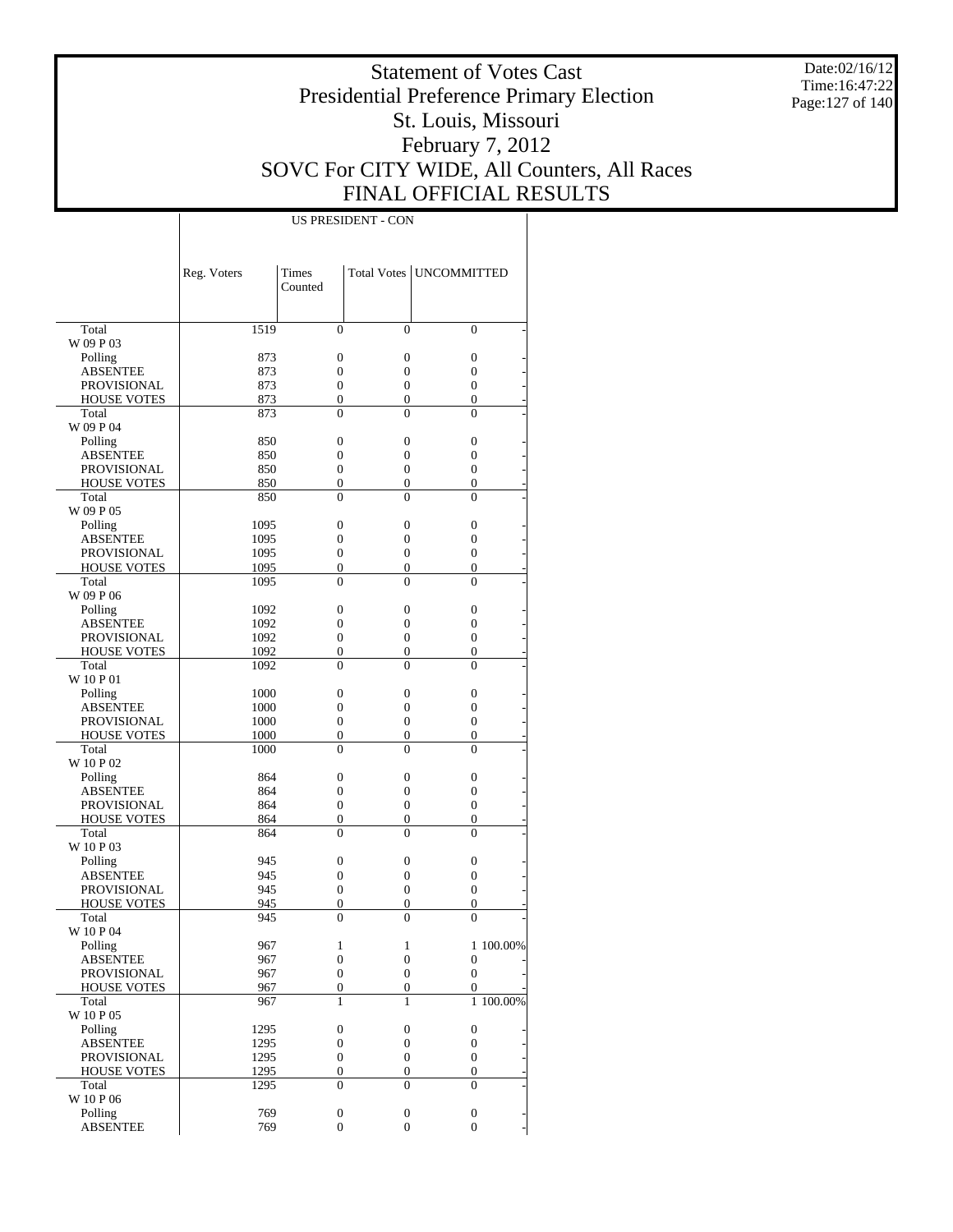Date:02/16/12 Time:16:47:22 Page:127 of 140

### Statement of Votes Cast Presidential Preference Primary Election St. Louis, Missouri February 7, 2012 SOVC For CITY WIDE, All Counters, All Races FINAL OFFICIAL RESULTS

|                             | Reg. Voters  | Times<br>Counted             |                            | Total Votes   UNCOMMITTED        |           |
|-----------------------------|--------------|------------------------------|----------------------------|----------------------------------|-----------|
|                             |              |                              |                            |                                  |           |
| Total                       | 1519         | $\theta$                     | $\theta$                   | $\Omega$                         |           |
| W 09 P 03                   |              |                              |                            |                                  |           |
| Polling                     | 873          | $\overline{0}$               | $\overline{0}$             | 0                                |           |
| <b>ABSENTEE</b>             | 873          | $\overline{0}$               | $\overline{0}$             | $\overline{0}$                   |           |
| <b>PROVISIONAL</b>          | 873          | $\overline{0}$               | $\overline{0}$             | $\overline{0}$                   |           |
| <b>HOUSE VOTES</b>          | 873          | $\overline{0}$               | $\overline{0}$             | $\overline{0}$                   |           |
| Total                       | 873          | $\theta$                     | $\theta$                   | $\theta$                         |           |
| W 09 P 04                   |              |                              |                            |                                  |           |
| Polling                     | 850          | $\overline{0}$               | $\overline{0}$             | $\overline{0}$                   |           |
| <b>ABSENTEE</b>             | 850          | $\overline{0}$               | $\overline{0}$             | $\overline{0}$                   |           |
| <b>PROVISIONAL</b>          | 850          | $\overline{0}$               | $\overline{0}$             | $\overline{0}$                   |           |
| <b>HOUSE VOTES</b><br>Total | 850          | $\overline{0}$<br>$\theta$   | $\overline{0}$             | $\overline{0}$                   |           |
|                             | 850          |                              | $\theta$                   | $\theta$                         |           |
| W 09 P 05                   |              |                              | $\overline{0}$             |                                  |           |
| Polling                     | 1095         | $\mathbf{0}$                 |                            | $\overline{0}$                   |           |
| <b>ABSENTEE</b>             | 1095         | $\overline{0}$               | $\overline{0}$             | $\overline{0}$                   |           |
| <b>PROVISIONAL</b>          | 1095         | $\overline{0}$               | $\overline{0}$             | $\overline{0}$                   |           |
| <b>HOUSE VOTES</b><br>Total | 1095<br>1095 | $\overline{0}$<br>$\theta$   | $\overline{0}$<br>$\theta$ | $\overline{0}$<br>$\theta$       |           |
|                             |              |                              |                            |                                  |           |
| W 09 P 06                   |              |                              |                            |                                  |           |
| Polling                     | 1092         | $\overline{0}$               | $\overline{0}$             | $\overline{0}$                   |           |
| <b>ABSENTEE</b>             | 1092         | $\overline{0}$               | $\overline{0}$             | $\overline{0}$                   |           |
| <b>PROVISIONAL</b>          | 1092         | $\overline{0}$               | $\overline{0}$             | $\overline{0}$                   |           |
| <b>HOUSE VOTES</b>          | 1092         | $\boldsymbol{0}$             | $\overline{0}$             | $\overline{0}$                   |           |
| Total                       | 1092         | $\theta$                     | $\theta$                   | $\theta$                         |           |
| W 10 P 01                   |              |                              |                            |                                  |           |
| Polling                     | 1000         | $\overline{0}$               | $\overline{0}$             | 0                                |           |
| <b>ABSENTEE</b>             | 1000         | $\overline{0}$               | $\overline{0}$             | $\overline{0}$                   |           |
| <b>PROVISIONAL</b>          | 1000         | $\overline{0}$               | $\overline{0}$             | $\overline{0}$                   |           |
| <b>HOUSE VOTES</b><br>Total | 1000         | $\overline{0}$<br>$\theta$   | $\overline{0}$<br>$\theta$ | $\overline{0}$<br>$\theta$       |           |
|                             | 1000         |                              |                            |                                  |           |
| W 10 P 02                   |              | $\overline{0}$               | $\overline{0}$             |                                  |           |
| Polling                     | 864          | $\overline{0}$               | $\overline{0}$             | $\overline{0}$                   |           |
| <b>ABSENTEE</b>             | 864          | $\overline{0}$               | $\overline{0}$             | $\overline{0}$<br>$\overline{0}$ |           |
| <b>PROVISIONAL</b>          | 864          |                              |                            |                                  |           |
| <b>HOUSE VOTES</b><br>Total | 864          | $\boldsymbol{0}$<br>$\theta$ | $\overline{0}$<br>$\theta$ | $\overline{0}$<br>$\theta$       |           |
|                             | 864          |                              |                            |                                  |           |
| W 10 P 03                   |              |                              |                            |                                  |           |
| Polling<br><b>ABSENTEE</b>  | 945          | $\mathbf{0}$                 | $\overline{0}$             | $\boldsymbol{0}$                 |           |
| PROVISIONAL                 | 945          | $\overline{0}$               | 0                          | $\overline{0}$                   |           |
|                             | 945          | $\mathbf{0}$                 | $\overline{0}$             | $\overline{0}$                   |           |
| <b>HOUSE VOTES</b>          | 945          | $\mathbf{0}$                 | 0                          | $\mathbf{0}$                     |           |
| Total                       | 945          | $\overline{0}$               | $\overline{0}$             | $\overline{0}$                   |           |
| W 10 P 04                   |              |                              |                            |                                  |           |
| Polling                     | 967          | 1                            | 1                          |                                  | 1 100.00% |
| <b>ABSENTEE</b>             | 967          | $\boldsymbol{0}$             | $\boldsymbol{0}$           | $\boldsymbol{0}$                 |           |
| PROVISIONAL                 | 967          | $\overline{0}$               | $\boldsymbol{0}$           | $\overline{0}$                   |           |
| <b>HOUSE VOTES</b>          | 967          | $\boldsymbol{0}$             | $\overline{0}$             | $\overline{0}$                   |           |
| Total                       | 967          | $\mathbf{1}$                 | $\mathbf{1}$               |                                  | 1 100.00% |
| W 10 P 05                   |              |                              |                            |                                  |           |
| Polling                     | 1295         | $\boldsymbol{0}$             | $\boldsymbol{0}$           | $\boldsymbol{0}$                 |           |
| <b>ABSENTEE</b>             | 1295         | $\boldsymbol{0}$             | $\boldsymbol{0}$           | $\boldsymbol{0}$                 |           |
| PROVISIONAL                 | 1295         | $\boldsymbol{0}$             | $\boldsymbol{0}$           | $\boldsymbol{0}$                 |           |
| <b>HOUSE VOTES</b>          | 1295         | $\boldsymbol{0}$             | $\boldsymbol{0}$           | $\boldsymbol{0}$                 |           |
| Total<br>W 10 P 06          | 1295         | $\mathbf{0}$                 | $\overline{0}$             | $\overline{0}$                   |           |
| Polling                     | 769          | $\boldsymbol{0}$             | $\boldsymbol{0}$           | 0                                |           |
| <b>ABSENTEE</b>             | 769          | $\boldsymbol{0}$             | $\boldsymbol{0}$           | $\overline{0}$                   |           |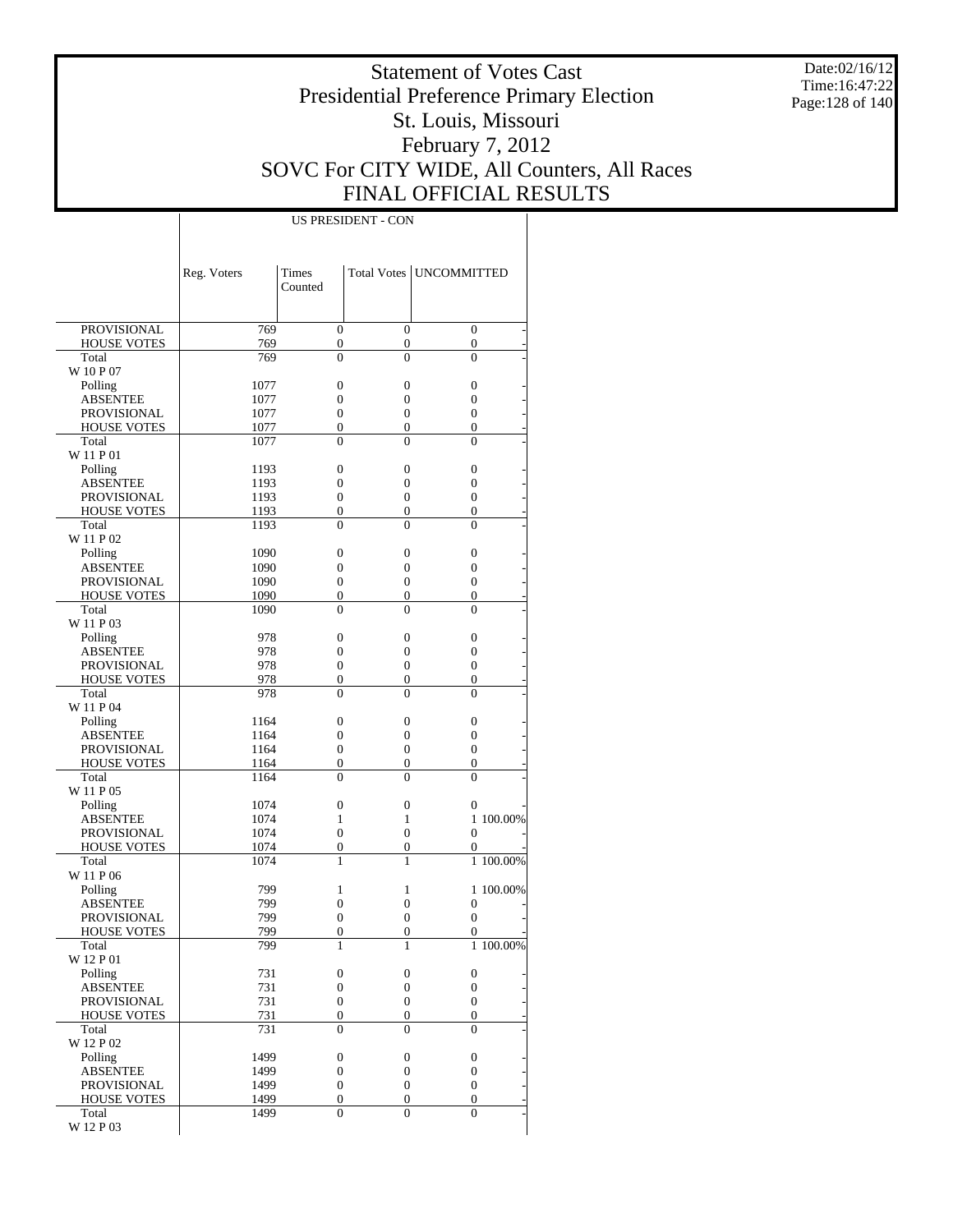Date:02/16/12 Time:16:47:22 Page:128 of 140

### Statement of Votes Cast Presidential Preference Primary Election St. Louis, Missouri February 7, 2012 SOVC For CITY WIDE, All Counters, All Races FINAL OFFICIAL RESULTS

|                             | Reg. Voters  | <b>Times</b>                       |                                    | Total Votes   UNCOMMITTED            |           |
|-----------------------------|--------------|------------------------------------|------------------------------------|--------------------------------------|-----------|
|                             |              | Counted                            |                                    |                                      |           |
|                             |              |                                    |                                    |                                      |           |
| PROVISIONAL                 | 769          | $\overline{0}$                     | $\overline{0}$                     | $\mathbf{0}$                         |           |
| <b>HOUSE VOTES</b>          | 769          | $\boldsymbol{0}$                   | $\boldsymbol{0}$                   | $\boldsymbol{0}$                     |           |
| Total                       | 769          | $\theta$                           | $\theta$                           | $\theta$                             |           |
| W 10 P 07                   |              |                                    |                                    |                                      |           |
| Polling                     | 1077         | $\overline{0}$                     | $\mathbf{0}$                       | $\boldsymbol{0}$                     |           |
| ABSENTEE                    | 1077         | $\overline{0}$                     | $\mathbf{0}$                       | $\boldsymbol{0}$                     |           |
| <b>PROVISIONAL</b>          | 1077         | $\overline{0}$                     | $\mathbf{0}$                       | $\overline{0}$                       |           |
| <b>HOUSE VOTES</b><br>Total | 1077<br>1077 | $\overline{0}$<br>$\theta$         | $\boldsymbol{0}$<br>$\theta$       | $\boldsymbol{0}$<br>$\theta$         |           |
| W 11 P 01                   |              |                                    |                                    |                                      |           |
| Polling                     | 1193         | $\overline{0}$                     | $\mathbf{0}$                       | $\boldsymbol{0}$                     |           |
| ABSENTEE                    | 1193         | $\overline{0}$                     | $\overline{0}$                     | $\boldsymbol{0}$                     |           |
| <b>PROVISIONAL</b>          | 1193         | $\overline{0}$                     | $\mathbf{0}$                       | $\overline{0}$                       |           |
| <b>HOUSE VOTES</b>          | 1193         | $\overline{0}$                     | $\overline{0}$                     | $\overline{0}$                       |           |
| Total                       | 1193         | $\theta$                           | $\theta$                           | $\Omega$                             |           |
| W 11 P 02                   |              |                                    |                                    |                                      |           |
| Polling                     | 1090         | $\overline{0}$                     | $\mathbf{0}$                       | $\boldsymbol{0}$                     |           |
| <b>ABSENTEE</b>             | 1090         | $\overline{0}$                     | $\overline{0}$                     | $\boldsymbol{0}$                     |           |
| <b>PROVISIONAL</b>          | 1090<br>1090 | $\overline{0}$<br>$\overline{0}$   | $\overline{0}$                     | $\boldsymbol{0}$<br>$\boldsymbol{0}$ |           |
| <b>HOUSE VOTES</b><br>Total | 1090         | $\theta$                           | $\boldsymbol{0}$<br>$\theta$       | $\theta$                             |           |
| W 11 P 03                   |              |                                    |                                    |                                      |           |
| Polling                     | 978          | $\overline{0}$                     | $\overline{0}$                     | $\boldsymbol{0}$                     |           |
| ABSENTEE                    | 978          | $\overline{0}$                     | $\overline{0}$                     | $\boldsymbol{0}$                     |           |
| <b>PROVISIONAL</b>          | 978          | $\overline{0}$                     | $\overline{0}$                     | $\overline{0}$                       |           |
| <b>HOUSE VOTES</b>          | 978          | $\overline{0}$                     | $\mathbf{0}$                       | $\overline{0}$                       |           |
| Total                       | 978          | $\theta$                           | $\theta$                           | $\Omega$                             |           |
| W 11 P 04                   |              |                                    |                                    |                                      |           |
| Polling                     | 1164         | $\boldsymbol{0}$                   | $\overline{0}$                     | $\mathbf{0}$                         |           |
| ABSENTEE                    | 1164         | $\overline{0}$                     | $\overline{0}$                     | $\boldsymbol{0}$                     |           |
| <b>PROVISIONAL</b>          | 1164         | $\overline{0}$<br>$\overline{0}$   | $\overline{0}$                     | $\boldsymbol{0}$<br>$\boldsymbol{0}$ |           |
| <b>HOUSE VOTES</b><br>Total | 1164<br>1164 | $\theta$                           | $\boldsymbol{0}$<br>$\theta$       | $\theta$                             |           |
| W 11 P 05                   |              |                                    |                                    |                                      |           |
| Polling                     | 1074         | $\mathbf{0}$                       | $\boldsymbol{0}$                   | 0                                    |           |
| ABSENTEE                    | 1074         | $\mathbf{1}$                       | $\mathbf{1}$                       |                                      | 1 100,00% |
| <b>PROVISIONAL</b>          | 1074         | $\overline{0}$                     | $\overline{0}$                     | $\theta$                             |           |
| <b>HOUSE VOTES</b>          | 1074         | $\overline{0}$                     | $\mathbf{0}$                       | 0                                    |           |
| Total                       | 1074         | $\mathbf{1}$                       | 1                                  |                                      | 1 100.00% |
| W 11 P 06                   |              |                                    |                                    |                                      |           |
| Polling                     | 799          | 1                                  | 1                                  |                                      | 1 100,00% |
| <b>ABSENTEE</b>             | 799          | $\overline{0}$                     | $\overline{0}$                     | $\mathbf{0}$                         |           |
| <b>PROVISIONAL</b>          | 799          | $\overline{0}$<br>$\overline{0}$   | $\overline{0}$                     | $\overline{0}$<br>$\overline{0}$     |           |
| <b>HOUSE VOTES</b><br>Total | 799<br>799   | $\mathbf{1}$                       | $\mathbf{0}$<br>1                  |                                      | 1 100.00% |
| W 12 P 01                   |              |                                    |                                    |                                      |           |
| Polling                     | 731          | $\boldsymbol{0}$                   | $\boldsymbol{0}$                   | $\boldsymbol{0}$                     |           |
| <b>ABSENTEE</b>             | 731          | $\boldsymbol{0}$                   | $\boldsymbol{0}$                   | $\boldsymbol{0}$                     |           |
| <b>PROVISIONAL</b>          | 731          | $\boldsymbol{0}$                   | $\boldsymbol{0}$                   | $\mathbf{0}$                         |           |
| <b>HOUSE VOTES</b>          | 731          | $\boldsymbol{0}$                   | $\boldsymbol{0}$                   | $\mathbf{0}$                         |           |
| Total                       | 731          | $\theta$                           | $\theta$                           | $\Omega$                             |           |
| W 12 P 02                   |              |                                    |                                    |                                      |           |
| Polling                     | 1499         | $\boldsymbol{0}$                   | $\boldsymbol{0}$                   | $\boldsymbol{0}$                     |           |
| <b>ABSENTEE</b>             | 1499         | $\boldsymbol{0}$                   | $\boldsymbol{0}$                   | $\boldsymbol{0}$                     |           |
| <b>PROVISIONAL</b>          | 1499         | $\boldsymbol{0}$                   | $\boldsymbol{0}$                   | $\mathbf{0}$                         |           |
| <b>HOUSE VOTES</b><br>Total | 1499<br>1499 | $\boldsymbol{0}$<br>$\overline{0}$ | $\boldsymbol{0}$<br>$\overline{0}$ | $\mathbf{0}$<br>$\theta$             |           |
| W 12 P 03                   |              |                                    |                                    |                                      |           |
|                             |              |                                    |                                    |                                      |           |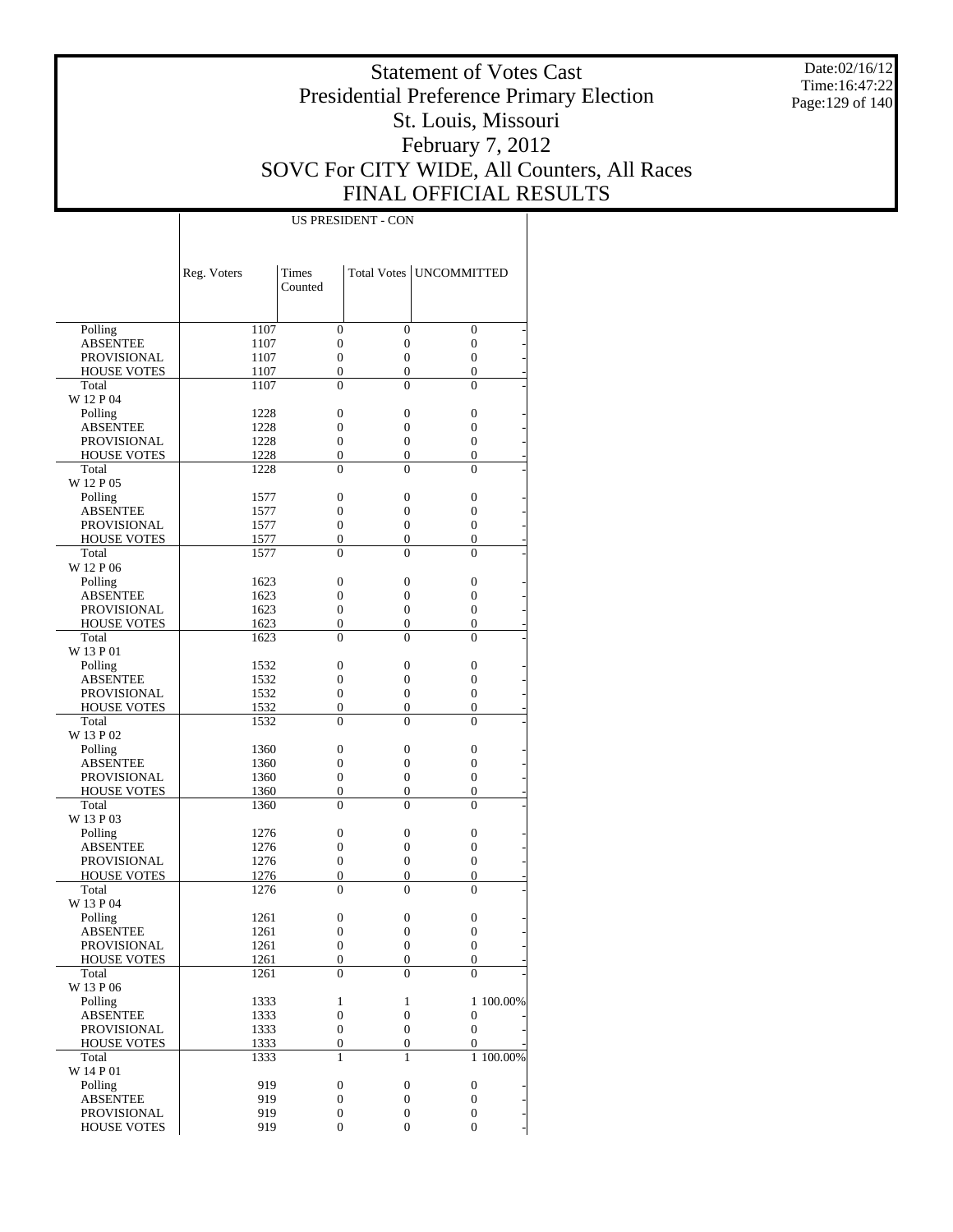Date:02/16/12 Time:16:47:22 Page:129 of 140

### Statement of Votes Cast Presidential Preference Primary Election St. Louis, Missouri February 7, 2012 SOVC For CITY WIDE, All Counters, All Races FINAL OFFICIAL RESULTS

|                                       | Reg. Voters  | Times                        |                                | Total Votes   UNCOMMITTED        |
|---------------------------------------|--------------|------------------------------|--------------------------------|----------------------------------|
|                                       |              | Counted                      |                                |                                  |
|                                       |              |                              |                                |                                  |
| Polling                               | 1107         | $\mathbf{0}$                 | $\overline{0}$                 | $\overline{0}$                   |
| <b>ABSENTEE</b>                       | 1107         | $\mathbf{0}$                 | $\boldsymbol{0}$               | 0                                |
| <b>PROVISIONAL</b>                    | 1107         | $\mathbf{0}$                 | $\overline{0}$                 | $\overline{0}$                   |
| <b>HOUSE VOTES</b>                    | 1107         | $\mathbf{0}$                 | $\mathbf{0}$                   | 0                                |
| Total                                 | 1107         | $\theta$                     | $\theta$                       | $\theta$                         |
| W 12 P 04                             |              |                              |                                |                                  |
| Polling                               | 1228         | $\mathbf{0}$                 | $\boldsymbol{0}$               | $\overline{0}$                   |
| <b>ABSENTEE</b><br><b>PROVISIONAL</b> | 1228         | $\mathbf{0}$                 | $\mathbf{0}$<br>$\overline{0}$ | $\overline{0}$                   |
| <b>HOUSE VOTES</b>                    | 1228<br>1228 | $\mathbf{0}$<br>$\mathbf{0}$ | $\boldsymbol{0}$               | $\overline{0}$<br>$\overline{0}$ |
| Total                                 | 1228         | $\overline{0}$               | $\overline{0}$                 | $\overline{0}$                   |
| W 12 P 05                             |              |                              |                                |                                  |
| Polling                               | 1577         | $\mathbf{0}$                 | $\boldsymbol{0}$               | $\overline{0}$                   |
| <b>ABSENTEE</b>                       | 1577         | $\mathbf{0}$                 | $\mathbf{0}$                   | $\overline{0}$                   |
| <b>PROVISIONAL</b>                    | 1577         | $\mathbf{0}$                 | $\overline{0}$                 | $\overline{0}$                   |
| <b>HOUSE VOTES</b>                    | 1577         | $\mathbf{0}$                 | $\mathbf{0}$                   | 0                                |
| Total                                 | 1577         | $\theta$                     | $\theta$                       | $\theta$                         |
| W 12 P 06                             |              |                              |                                |                                  |
| Polling                               | 1623         | $\mathbf{0}$                 | $\boldsymbol{0}$               | $\overline{0}$                   |
| <b>ABSENTEE</b>                       | 1623         | $\mathbf{0}$                 | $\mathbf{0}$                   | $\overline{0}$                   |
| <b>PROVISIONAL</b>                    | 1623         | $\mathbf{0}$                 | $\overline{0}$                 | $\overline{0}$                   |
| <b>HOUSE VOTES</b>                    | 1623         | $\mathbf{0}$                 | $\boldsymbol{0}$               | 0                                |
| Total                                 | 1623         | $\overline{0}$               | $\theta$                       | $\overline{0}$                   |
| W 13 P 01                             |              |                              |                                |                                  |
| Polling                               | 1532         | $\mathbf{0}$                 | $\boldsymbol{0}$               | $\overline{0}$                   |
| <b>ABSENTEE</b>                       | 1532         | $\mathbf{0}$                 | $\mathbf{0}$                   | $\overline{0}$                   |
| <b>PROVISIONAL</b>                    | 1532         | $\mathbf{0}$                 | $\overline{0}$                 | $\overline{0}$                   |
| <b>HOUSE VOTES</b>                    | 1532         | $\mathbf{0}$<br>$\theta$     | $\boldsymbol{0}$<br>$\theta$   | 0<br>$\theta$                    |
| Total<br>W 13 P 02                    | 1532         |                              |                                |                                  |
| Polling                               | 1360         | $\boldsymbol{0}$             | $\boldsymbol{0}$               | $\overline{0}$                   |
| <b>ABSENTEE</b>                       | 1360         | $\mathbf{0}$                 | $\mathbf{0}$                   | $\overline{0}$                   |
| <b>PROVISIONAL</b>                    | 1360         | $\mathbf{0}$                 | $\overline{0}$                 | $\overline{0}$                   |
| <b>HOUSE VOTES</b>                    | 1360         | $\boldsymbol{0}$             | $\boldsymbol{0}$               | 0                                |
| Total                                 | 1360         | $\overline{0}$               | $\theta$                       | $\overline{0}$                   |
| W 13 P 03                             |              |                              |                                |                                  |
| Polling                               | 1276         | $\boldsymbol{0}$             | $\boldsymbol{0}$               | $\overline{0}$                   |
| <b>ABSENTEE</b>                       | 1276         | $\mathbf{0}$                 | $\boldsymbol{0}$               | $\overline{0}$                   |
| <b>PROVISIONAL</b>                    | 1276         | $\mathbf{0}$                 | $\mathbf{0}$                   | $\overline{0}$                   |
| <b>HOUSE VOTES</b>                    | 1276         | $\mathbf{0}$                 | $\boldsymbol{0}$               | 0                                |
| Total                                 | 1276         | $\overline{0}$               | $\overline{0}$                 | $\overline{0}$                   |
| W 13 P 04                             |              |                              |                                |                                  |
| Polling                               | 1261         | $\boldsymbol{0}$             | $\boldsymbol{0}$               | 0                                |
| <b>ABSENTEE</b>                       | 1261         | $\mathbf{0}$                 | $\mathbf{0}$                   | $\overline{0}$                   |
| PROVISIONAL                           | 1261         | $\boldsymbol{0}$             | $\boldsymbol{0}$               | $\boldsymbol{0}$                 |
| <b>HOUSE VOTES</b>                    | 1261         | $\boldsymbol{0}$             | $\boldsymbol{0}$               | $\boldsymbol{0}$                 |
| Total<br>W 13 P 06                    | 1261         | $\overline{0}$               | $\overline{0}$                 | $\overline{0}$                   |
|                                       |              | 1                            | 1                              | 1 100.00%                        |
| Polling<br><b>ABSENTEE</b>            | 1333<br>1333 | $\boldsymbol{0}$             | $\boldsymbol{0}$               | 0                                |
| <b>PROVISIONAL</b>                    | 1333         | $\boldsymbol{0}$             | $\boldsymbol{0}$               | $\boldsymbol{0}$                 |
| <b>HOUSE VOTES</b>                    | 1333         | $\boldsymbol{0}$             | $\boldsymbol{0}$               | $\boldsymbol{0}$                 |
| Total                                 | 1333         | $\mathbf{1}$                 | $\mathbf{1}$                   | 1 100.00%                        |
| W 14 P 01                             |              |                              |                                |                                  |
| Polling                               | 919          | $\boldsymbol{0}$             | $\boldsymbol{0}$               | $\boldsymbol{0}$                 |
| <b>ABSENTEE</b>                       | 919          | $\boldsymbol{0}$             | $\boldsymbol{0}$               | $\boldsymbol{0}$                 |
| <b>PROVISIONAL</b>                    | 919          | $\boldsymbol{0}$             | $\boldsymbol{0}$               | 0                                |
| <b>HOUSE VOTES</b>                    | 919          | $\boldsymbol{0}$             | $\boldsymbol{0}$               | $\boldsymbol{0}$                 |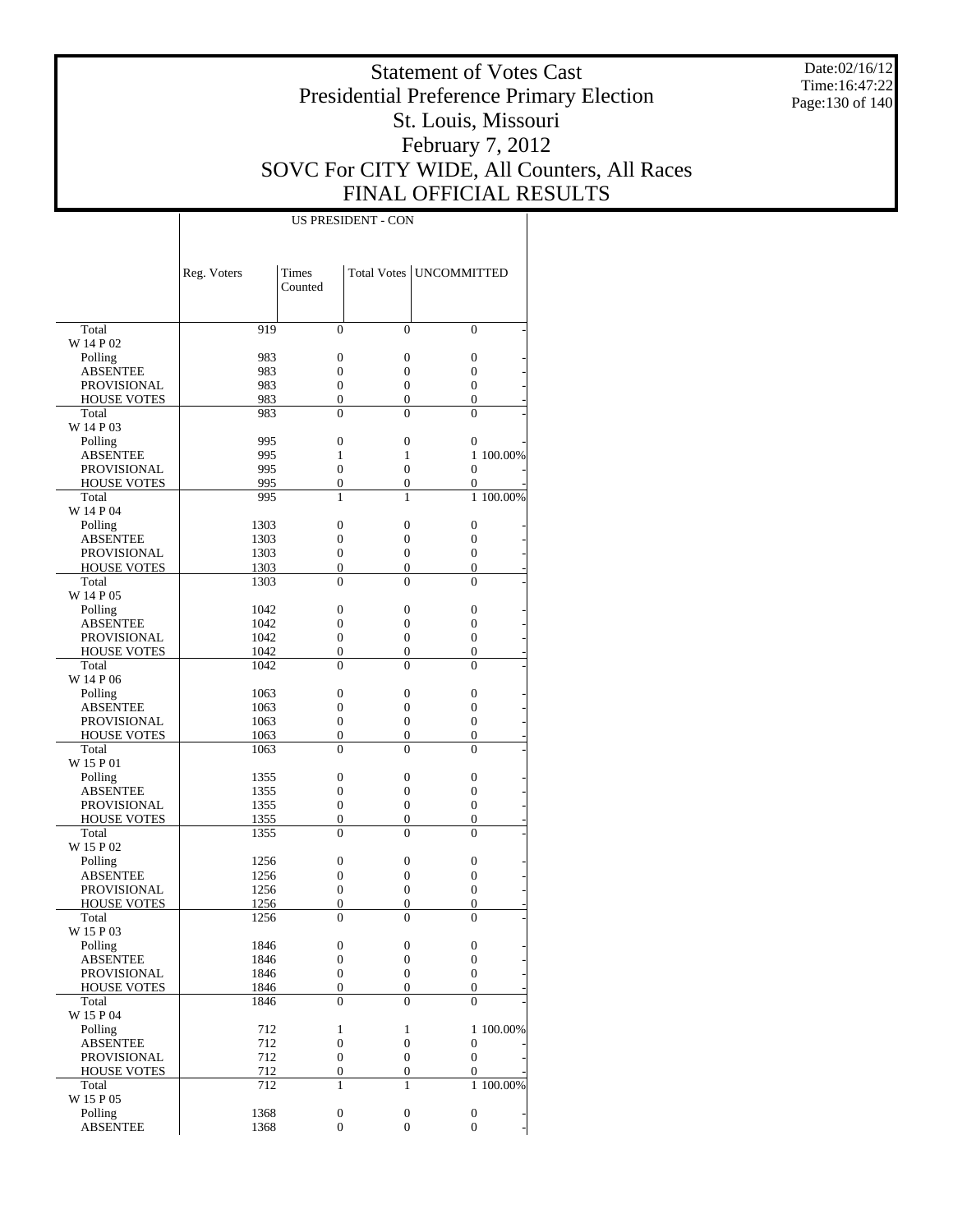Date:02/16/12 Time:16:47:22 Page:130 of 140

### Statement of Votes Cast Presidential Preference Primary Election St. Louis, Missouri February 7, 2012 SOVC For CITY WIDE, All Counters, All Races FINAL OFFICIAL RESULTS

|                                   | Reg. Voters  | Times<br>Counted                     |                       | Total Votes   UNCOMMITTED            |           |
|-----------------------------------|--------------|--------------------------------------|-----------------------|--------------------------------------|-----------|
|                                   |              |                                      |                       |                                      |           |
| Total                             | 919          | $\theta$                             | $\Omega$              | $\Omega$                             |           |
| W 14 P 02                         |              |                                      |                       |                                      |           |
| Polling                           | 983          | $\overline{0}$                       | $\mathbf{0}$          | $\mathbf{0}$                         |           |
| <b>ABSENTEE</b>                   | 983          | $\overline{0}$                       | $\overline{0}$        | 0                                    |           |
| <b>PROVISIONAL</b>                | 983          | $\overline{0}$                       | $\overline{0}$        | $\mathbf{0}$                         |           |
| <b>HOUSE VOTES</b>                | 983          | $\overline{0}$                       | $\overline{0}$        | $\mathbf{0}$                         |           |
| Total                             | 983          | $\theta$                             | $\theta$              | $\theta$                             |           |
| W 14 P 03                         |              |                                      |                       |                                      |           |
| Polling                           | 995          | $\overline{0}$                       | $\overline{0}$        | $\mathbf{0}$                         |           |
| <b>ABSENTEE</b>                   | 995          | 1                                    | 1                     |                                      | 1 100,00% |
| <b>PROVISIONAL</b>                | 995          | $\overline{0}$                       | $\overline{0}$        | $\mathbf{0}$                         |           |
| <b>HOUSE VOTES</b>                | 995          | $\overline{0}$                       | $\overline{0}$        | $\mathbf{0}$                         |           |
| Total                             | 995          | 1                                    | 1                     |                                      | 1 100.00% |
| W 14 P 04                         | 1303         | $\overline{0}$                       | $\overline{0}$        | $\mathbf{0}$                         |           |
| Polling<br><b>ABSENTEE</b>        | 1303         | $\overline{0}$                       | $\overline{0}$        | $\mathbf{0}$                         |           |
| <b>PROVISIONAL</b>                | 1303         | $\overline{0}$                       | $\overline{0}$        | $\mathbf{0}$                         |           |
| <b>HOUSE VOTES</b>                | 1303         | $\overline{0}$                       | $\overline{0}$        | $\mathbf{0}$                         |           |
| Total                             | 1303         | $\theta$                             | $\theta$              | $\theta$                             |           |
| W 14 P 05                         |              |                                      |                       |                                      |           |
| Polling                           | 1042         | $\overline{0}$                       | $\overline{0}$        | $\mathbf{0}$                         |           |
| <b>ABSENTEE</b>                   | 1042         | $\overline{0}$                       | $\overline{0}$        | 0                                    |           |
| <b>PROVISIONAL</b>                | 1042         | $\overline{0}$                       | $\overline{0}$        | $\mathbf{0}$                         |           |
| <b>HOUSE VOTES</b>                | 1042         | $\overline{0}$                       | $\overline{0}$        | $\mathbf{0}$                         |           |
| Total                             | 1042         | $\theta$                             | $\theta$              | $\Omega$                             |           |
| W 14 P 06                         |              |                                      |                       |                                      |           |
| Polling                           | 1063         | $\overline{0}$                       | $\overline{0}$        | $\mathbf{0}$                         |           |
| <b>ABSENTEE</b>                   | 1063         | $\overline{0}$                       | $\overline{0}$        | $\mathbf{0}$                         |           |
| <b>PROVISIONAL</b>                | 1063         | $\overline{0}$                       | $\overline{0}$        | $\mathbf{0}$                         |           |
| <b>HOUSE VOTES</b>                | 1063         | $\overline{0}$                       | $\overline{0}$        | $\mathbf{0}$                         |           |
| Total                             | 1063         | $\theta$                             | $\theta$              | $\theta$                             |           |
| W 15 P 01                         |              |                                      |                       |                                      |           |
| Polling                           | 1355         | $\overline{0}$                       | $\overline{0}$        | $\mathbf{0}$                         |           |
| <b>ABSENTEE</b>                   | 1355         | $\overline{0}$                       | $\overline{0}$        | $\mathbf{0}$                         |           |
| <b>PROVISIONAL</b>                | 1355         | $\overline{0}$                       | $\overline{0}$        | $\mathbf{0}$                         |           |
| <b>HOUSE VOTES</b>                | 1355         | $\overline{0}$                       | $\overline{0}$        | $\mathbf{0}$                         |           |
| Total                             | 1355         | $\theta$                             | $\theta$              | $\Omega$                             |           |
| W 15 P 02                         |              |                                      |                       |                                      |           |
| Polling                           | 1256         | $\overline{0}$                       | $\overline{0}$        | $\mathbf{0}$                         |           |
| <b>ABSENTEE</b>                   | 1256         | $\overline{0}$                       | 0                     | $\mathbf{0}$                         |           |
| <b>PROVISIONAL</b>                | 1256         | $\overline{0}$                       | $\overline{0}$        | $\mathbf{0}$                         |           |
| <b>HOUSE VOTES</b>                | 1256         | 0                                    | 0                     | $\overline{0}$                       |           |
| Total                             | 1256         | 0                                    | $\overline{0}$        | $\theta$                             |           |
| W 15 P 03                         | 1846         |                                      |                       |                                      |           |
| Polling                           |              | $\boldsymbol{0}$<br>$\boldsymbol{0}$ | 0<br>$\boldsymbol{0}$ | 0                                    |           |
| <b>ABSENTEE</b>                   | 1846<br>1846 | $\boldsymbol{0}$                     | $\boldsymbol{0}$      | $\boldsymbol{0}$<br>$\boldsymbol{0}$ |           |
| PROVISIONAL<br><b>HOUSE VOTES</b> | 1846         | $\boldsymbol{0}$                     | $\boldsymbol{0}$      | $\mathbf{0}$                         |           |
| Total                             | 1846         | $\overline{0}$                       | $\overline{0}$        | $\mathbf{0}$                         |           |
| W 15 P 04                         |              |                                      |                       |                                      |           |
| Polling                           | 712          | $\mathbf{1}$                         | $\mathbf{1}$          |                                      | 1 100.00% |
| <b>ABSENTEE</b>                   | 712          | $\boldsymbol{0}$                     | $\boldsymbol{0}$      | $\boldsymbol{0}$                     |           |
| PROVISIONAL                       | 712          | $\boldsymbol{0}$                     | $\boldsymbol{0}$      | $\boldsymbol{0}$                     |           |
| <b>HOUSE VOTES</b>                | 712          | $\boldsymbol{0}$                     | $\boldsymbol{0}$      | $\mathbf{0}$                         |           |
| Total                             | 712          | $\mathbf{1}$                         | 1                     |                                      | 1 100.00% |
| W 15 P 05                         |              |                                      |                       |                                      |           |
| Polling                           | 1368         | $\boldsymbol{0}$                     | $\boldsymbol{0}$      | $\boldsymbol{0}$                     |           |
| <b>ABSENTEE</b>                   | 1368         | $\mathbf{0}$                         | $\boldsymbol{0}$      | $\mathbf{0}$                         |           |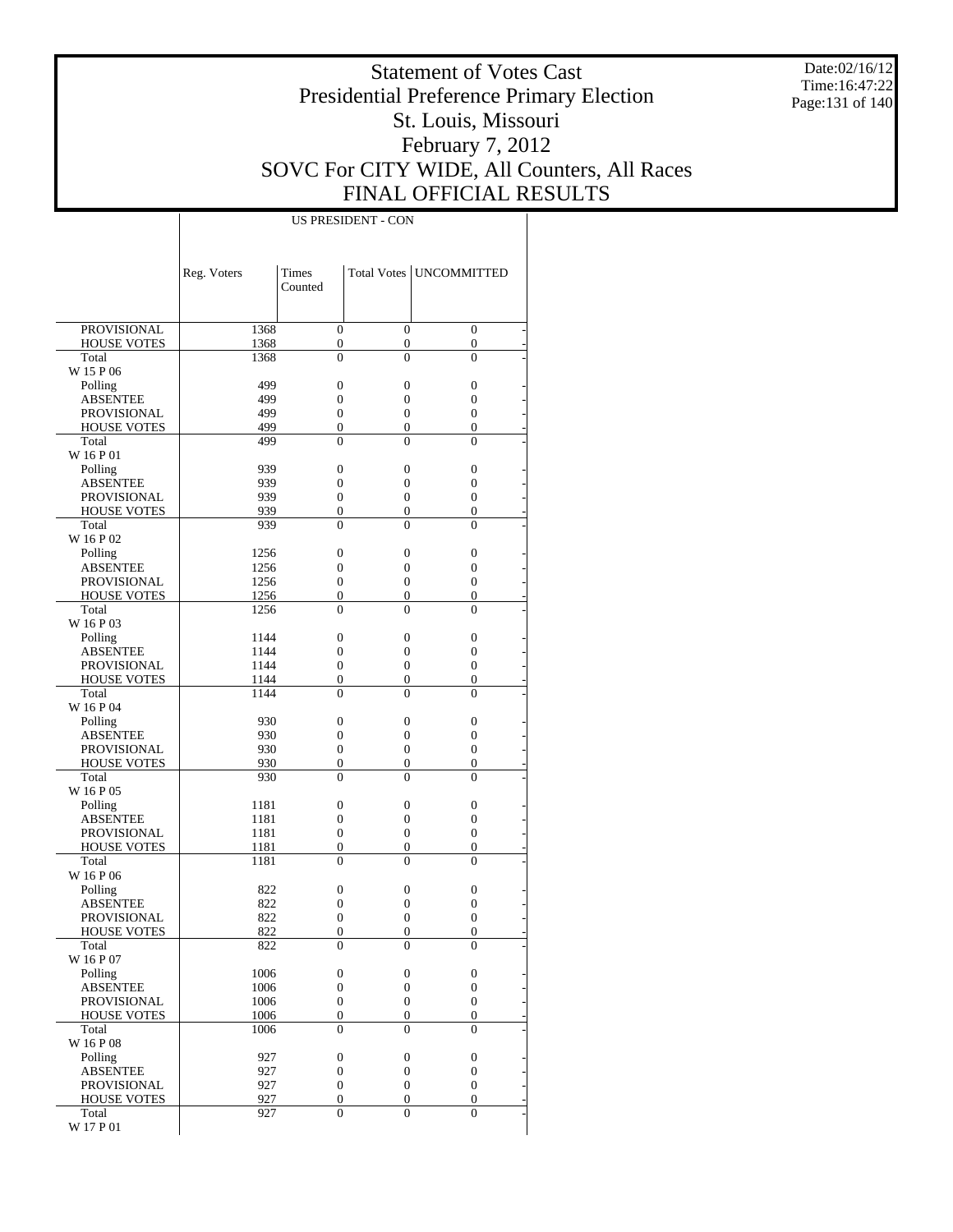Date:02/16/12 Time:16:47:22 Page:131 of 140

### Statement of Votes Cast Presidential Preference Primary Election St. Louis, Missouri February 7, 2012 SOVC For CITY WIDE, All Counters, All Races FINAL OFFICIAL RESULTS

|                             | Reg. Voters  | Times               | Total Votes                          | <b>UNCOMMITTED</b>                 |
|-----------------------------|--------------|---------------------|--------------------------------------|------------------------------------|
|                             |              | Counted             |                                      |                                    |
|                             |              |                     |                                      |                                    |
| <b>PROVISIONAL</b>          | 1368         | $\boldsymbol{0}$    | $\boldsymbol{0}$                     | $\boldsymbol{0}$                   |
| <b>HOUSE VOTES</b><br>Total | 1368<br>1368 | 0<br>$\overline{0}$ | $\boldsymbol{0}$<br>$\overline{0}$   | $\boldsymbol{0}$<br>$\overline{0}$ |
| W 15 P 06                   |              |                     |                                      |                                    |
| Polling                     | 499          | $\boldsymbol{0}$    | $\boldsymbol{0}$                     | 0                                  |
| ABSENTEE                    | 499          | 0                   | $\boldsymbol{0}$                     | 0                                  |
| <b>PROVISIONAL</b>          | 499          | 0                   | $\boldsymbol{0}$                     | 0                                  |
| <b>HOUSE VOTES</b>          | 499          | 0                   | $\boldsymbol{0}$                     | 0                                  |
| Total                       | 499          | $\overline{0}$      | $\overline{0}$                       | $\overline{0}$                     |
| W 16 P 01                   |              |                     |                                      |                                    |
| Polling                     | 939          | $\boldsymbol{0}$    | $\boldsymbol{0}$                     | 0                                  |
| ABSENTEE                    | 939          | 0                   | $\boldsymbol{0}$                     | 0                                  |
| <b>PROVISIONAL</b>          | 939          | 0                   | $\boldsymbol{0}$                     | 0                                  |
| <b>HOUSE VOTES</b>          | 939          | $\boldsymbol{0}$    | $\boldsymbol{0}$                     | $\boldsymbol{0}$                   |
| Total                       | 939          | 0                   | $\overline{0}$                       | $\overline{0}$                     |
| W 16 P 02                   |              |                     |                                      |                                    |
| Polling                     | 1256         | $\boldsymbol{0}$    | $\boldsymbol{0}$                     | 0                                  |
| ABSENTEE                    | 1256         | 0                   | $\boldsymbol{0}$                     | 0                                  |
| <b>PROVISIONAL</b>          | 1256         | 0                   | $\boldsymbol{0}$<br>$\boldsymbol{0}$ | 0                                  |
| <b>HOUSE VOTES</b><br>Total | 1256<br>1256 | 0<br>0              | $\overline{0}$                       | 0<br>$\overline{0}$                |
| W 16 P 03                   |              |                     |                                      |                                    |
| Polling                     | 1144         | $\boldsymbol{0}$    | $\boldsymbol{0}$                     | 0                                  |
| ABSENTEE                    | 1144         | 0                   | $\boldsymbol{0}$                     | 0                                  |
| <b>PROVISIONAL</b>          | 1144         | 0                   | $\boldsymbol{0}$                     | 0                                  |
| <b>HOUSE VOTES</b>          | 1144         | $\boldsymbol{0}$    | $\boldsymbol{0}$                     | $\boldsymbol{0}$                   |
| Total                       | 1144         | 0                   | $\overline{0}$                       | $\overline{0}$                     |
| W 16 P 04                   |              |                     |                                      |                                    |
| Polling                     | 930          | $\boldsymbol{0}$    | $\boldsymbol{0}$                     | 0                                  |
| ABSENTEE                    | 930          | 0                   | $\boldsymbol{0}$                     | 0                                  |
| <b>PROVISIONAL</b>          | 930          | 0                   | $\boldsymbol{0}$                     | 0                                  |
| <b>HOUSE VOTES</b>          | 930          | 0                   | $\boldsymbol{0}$                     | 0                                  |
| Total                       | 930          | 0                   | $\overline{0}$                       | $\overline{0}$                     |
| W 16 P 05                   |              |                     |                                      |                                    |
| Polling                     | 1181         | $\boldsymbol{0}$    | $\boldsymbol{0}$                     | 0                                  |
| ABSENTEE                    | 1181         | 0                   | $\boldsymbol{0}$                     | 0                                  |
| PROVISIONAL                 | 1181         | 0                   | $\boldsymbol{0}$                     | 0                                  |
| <b>HOUSE VOTES</b>          | 1181         | 0                   | $\boldsymbol{0}$                     | $\boldsymbol{0}$                   |
| Total                       | 1181         | 0                   | $\overline{0}$                       | $\overline{0}$                     |
| W 16 P 06                   | 822          |                     | $\boldsymbol{0}$                     | 0                                  |
| Polling<br>ABSENTEE         | 822          | 0<br>0              | $\boldsymbol{0}$                     | 0                                  |
| PROVISIONAL                 | 822          | 0                   | 0                                    | 0                                  |
| <b>HOUSE VOTES</b>          | 822          | 0                   | $\boldsymbol{0}$                     | $\overline{0}$                     |
| Total                       | 822          | 0                   | 0                                    | 0                                  |
| W 16 P 07                   |              |                     |                                      |                                    |
| Polling                     | 1006         | $\boldsymbol{0}$    | $\boldsymbol{0}$                     | 0                                  |
| <b>ABSENTEE</b>             | 1006         | $\boldsymbol{0}$    | $\boldsymbol{0}$                     | $\boldsymbol{0}$                   |
| PROVISIONAL                 | 1006         | $\boldsymbol{0}$    | $\boldsymbol{0}$                     | $\boldsymbol{0}$                   |
| <b>HOUSE VOTES</b>          | 1006         | $\boldsymbol{0}$    | $\boldsymbol{0}$                     | $\boldsymbol{0}$                   |
| Total                       | 1006         | $\overline{0}$      | $\overline{0}$                       | $\overline{0}$                     |
| W 16 P 08                   |              |                     |                                      |                                    |
| Polling                     | 927          | $\boldsymbol{0}$    | $\boldsymbol{0}$                     | 0                                  |
| <b>ABSENTEE</b>             | 927          | $\boldsymbol{0}$    | $\boldsymbol{0}$                     | $\boldsymbol{0}$                   |
| <b>PROVISIONAL</b>          | 927          | $\boldsymbol{0}$    | $\boldsymbol{0}$                     | $\boldsymbol{0}$                   |
| <b>HOUSE VOTES</b>          | 927          | $\boldsymbol{0}$    | $\boldsymbol{0}$                     | $\boldsymbol{0}$                   |
| Total                       | 927          | $\boldsymbol{0}$    | $\boldsymbol{0}$                     | $\overline{0}$                     |
| W 17 P 01                   |              |                     |                                      |                                    |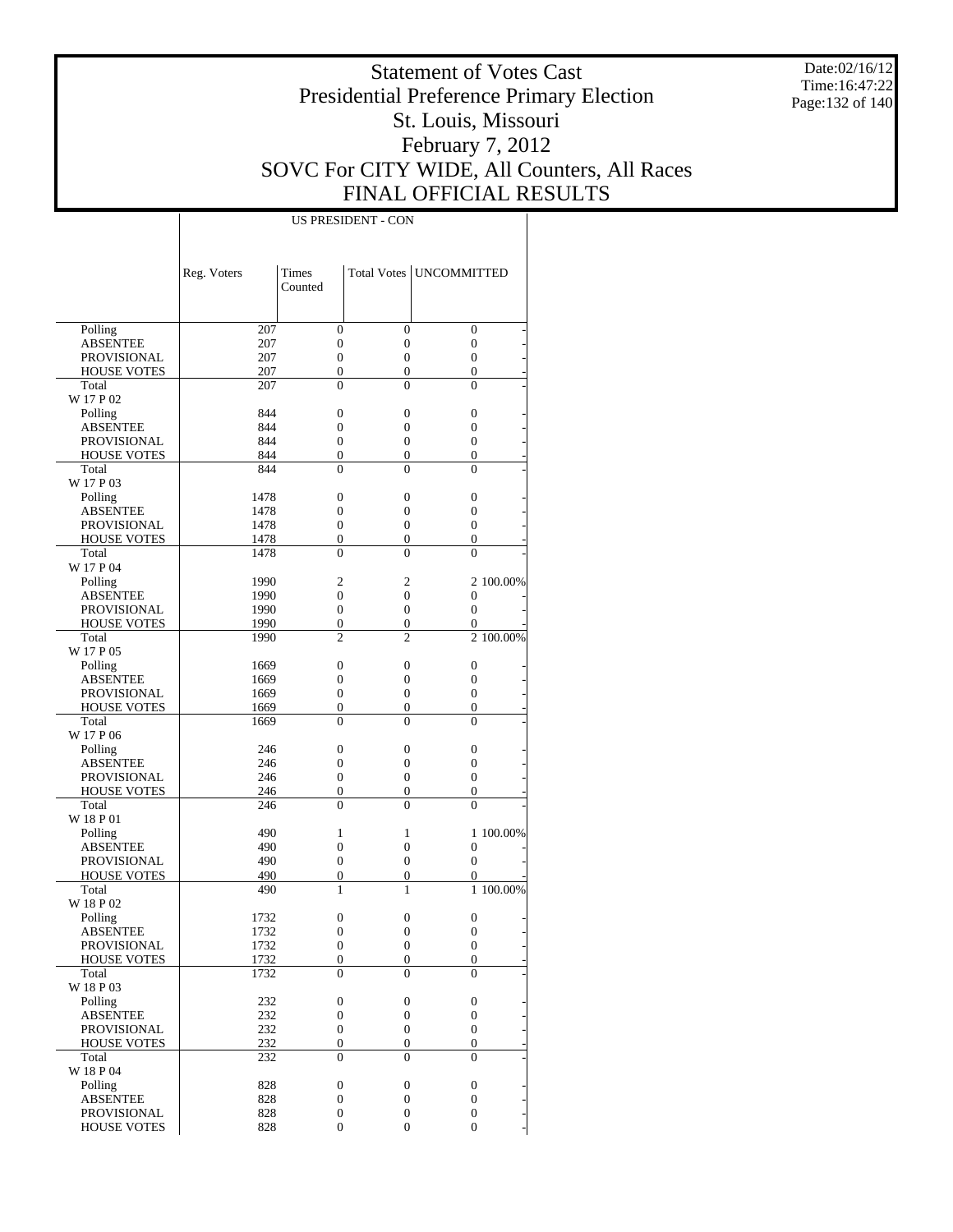Date:02/16/12 Time:16:47:22 Page:132 of 140

### Statement of Votes Cast Presidential Preference Primary Election St. Louis, Missouri February 7, 2012 SOVC For CITY WIDE, All Counters, All Races FINAL OFFICIAL RESULTS

|                    | Reg. Voters | Times<br>Counted |                  | Total Votes   UNCOMMITTED |           |
|--------------------|-------------|------------------|------------------|---------------------------|-----------|
| Polling            | 207         | $\overline{0}$   | $\boldsymbol{0}$ | $\boldsymbol{0}$          |           |
| <b>ABSENTEE</b>    | 207         | $\boldsymbol{0}$ | 0                | $\boldsymbol{0}$          |           |
| <b>PROVISIONAL</b> | 207         | $\overline{0}$   | $\boldsymbol{0}$ | $\boldsymbol{0}$          |           |
| <b>HOUSE VOTES</b> | 207         | $\overline{0}$   | $\boldsymbol{0}$ | $\boldsymbol{0}$          |           |
| Total              | 207         | $\theta$         | $\overline{0}$   | $\overline{0}$            |           |
| W 17 P 02          |             |                  |                  |                           |           |
| Polling            | 844         | $\boldsymbol{0}$ | 0                | 0                         |           |
| <b>ABSENTEE</b>    | 844         | 0                | 0                | 0                         |           |
| <b>PROVISIONAL</b> | 844         | 0                | 0                | $\boldsymbol{0}$          |           |
| <b>HOUSE VOTES</b> | 844         | $\overline{0}$   | $\boldsymbol{0}$ | $\boldsymbol{0}$          |           |
| Total              | 844         | $\overline{0}$   | $\overline{0}$   | $\overline{0}$            |           |
| W 17 P 03          |             |                  |                  |                           |           |
| Polling            | 1478        | $\boldsymbol{0}$ | 0                | $\boldsymbol{0}$          |           |
| <b>ABSENTEE</b>    | 1478        | 0                | 0                | 0                         |           |
| <b>PROVISIONAL</b> | 1478        | 0                | 0                | 0                         |           |
| <b>HOUSE VOTES</b> | 1478        | $\mathbf{0}$     | 0                | $\boldsymbol{0}$          |           |
| Total              | 1478        | $\theta$         | $\overline{0}$   | $\overline{0}$            |           |
| W 17 P 04          |             |                  |                  |                           |           |
| Polling            | 1990        | $\mathbf{2}$     | 2                |                           | 2 100.00% |
| <b>ABSENTEE</b>    | 1990        | $\boldsymbol{0}$ | 0                | $\boldsymbol{0}$          |           |
| <b>PROVISIONAL</b> | 1990        | 0                | $\boldsymbol{0}$ | $\overline{0}$            |           |
| <b>HOUSE VOTES</b> | 1990        | $\boldsymbol{0}$ | $\boldsymbol{0}$ | $\boldsymbol{0}$          |           |
| Total              | 1990        | $\overline{2}$   | $\overline{c}$   |                           | 2 100.00% |
| W 17 P 05          |             |                  |                  |                           |           |
| Polling            | 1669        | $\boldsymbol{0}$ | 0                | $\boldsymbol{0}$          |           |
| <b>ABSENTEE</b>    | 1669        | $\boldsymbol{0}$ | 0                | 0                         |           |
| <b>PROVISIONAL</b> | 1669        | 0                | 0                | 0                         |           |
| <b>HOUSE VOTES</b> | 1669        | $\mathbf{0}$     | 0                | $\boldsymbol{0}$          |           |
| Total              | 1669        | $\overline{0}$   | $\overline{0}$   | $\overline{0}$            |           |
| W 17 P 06          |             |                  |                  |                           |           |
| Polling            | 246         | $\boldsymbol{0}$ | 0                | 0                         |           |
| <b>ABSENTEE</b>    | 246         | 0                | 0                | 0                         |           |
| <b>PROVISIONAL</b> | 246         | 0                | $\boldsymbol{0}$ | 0                         |           |
| <b>HOUSE VOTES</b> | 246         | $\boldsymbol{0}$ | $\boldsymbol{0}$ | $\boldsymbol{0}$          |           |
| Total              | 246         | $\overline{0}$   | $\overline{0}$   | $\overline{0}$            |           |
| W 18 P 01          |             |                  |                  |                           |           |
| Polling            | 490         | 1                | 1                |                           | 1 100.00% |
| <b>ABSENTEE</b>    | 490         | $\boldsymbol{0}$ | 0                | $\boldsymbol{0}$          |           |
| <b>PROVISIONAL</b> | 490         | $\boldsymbol{0}$ | $\boldsymbol{0}$ | $\boldsymbol{0}$          |           |
| <b>HOUSE VOTES</b> | 490         | $\boldsymbol{0}$ | 0                | 0                         |           |
| Total              | 490         | $\mathbf{1}$     | 1                |                           | 1 100.00% |
| W 18 P 02          |             |                  |                  |                           |           |
| Polling            | 1732        | $\boldsymbol{0}$ | 0                | $\boldsymbol{0}$          |           |
| <b>ABSENTEE</b>    | 1732        | $\overline{0}$   | $\boldsymbol{0}$ | $\overline{0}$            |           |
| <b>PROVISIONAL</b> | 1732        | $\boldsymbol{0}$ | 0                | $\boldsymbol{0}$          |           |
| <b>HOUSE VOTES</b> | 1732        | $\boldsymbol{0}$ | $\boldsymbol{0}$ | $\boldsymbol{0}$          |           |
| Total              | 1732        | $\overline{0}$   | $\overline{0}$   | $\theta$                  |           |
| W 18 P 03          |             |                  |                  |                           |           |
| Polling            | 232         | $\boldsymbol{0}$ | 0                | $\boldsymbol{0}$          |           |
| <b>ABSENTEE</b>    | 232         | $\boldsymbol{0}$ | $\boldsymbol{0}$ | $\boldsymbol{0}$          |           |
| <b>PROVISIONAL</b> | 232         | $\boldsymbol{0}$ | 0                | $\boldsymbol{0}$          |           |
| <b>HOUSE VOTES</b> | 232         | $\boldsymbol{0}$ | $\boldsymbol{0}$ | $\boldsymbol{0}$          |           |
| Total              | 232         | $\boldsymbol{0}$ | $\overline{0}$   | $\overline{0}$            |           |
| W 18 P 04          |             |                  |                  |                           |           |
| Polling            | 828         | $\boldsymbol{0}$ | $\boldsymbol{0}$ | $\boldsymbol{0}$          |           |
| <b>ABSENTEE</b>    | 828         | $\boldsymbol{0}$ | $\boldsymbol{0}$ | $\mathbf{0}$              |           |
| <b>PROVISIONAL</b> | 828         | $\boldsymbol{0}$ | 0                | 0                         |           |
| <b>HOUSE VOTES</b> | 828         | $\boldsymbol{0}$ | 0                | $\overline{0}$            |           |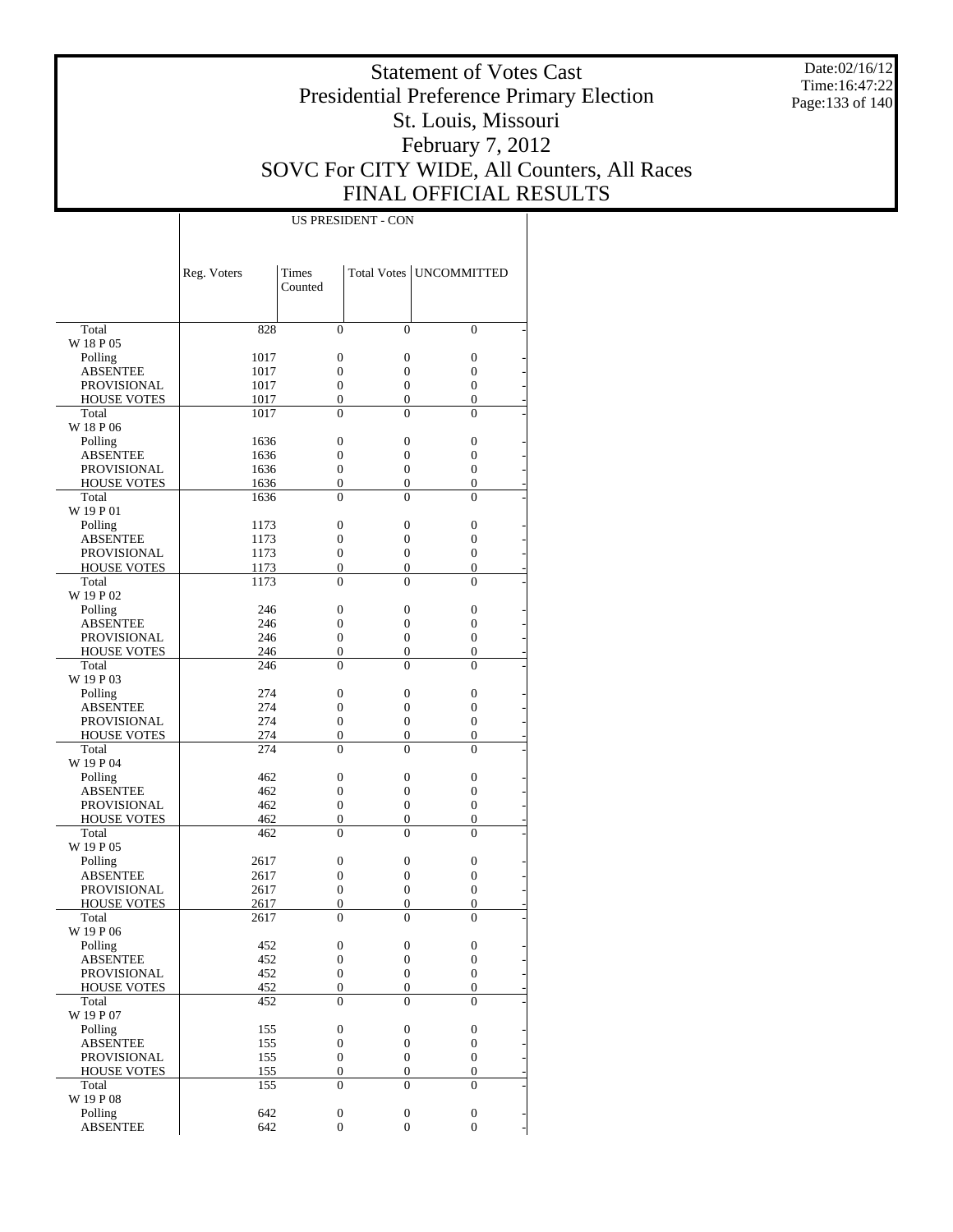Date:02/16/12 Time:16:47:22 Page:133 of 140

### Statement of Votes Cast Presidential Preference Primary Election St. Louis, Missouri February 7, 2012 SOVC For CITY WIDE, All Counters, All Races FINAL OFFICIAL RESULTS

|                            | Reg. Voters      | <b>Times</b><br>Counted |                                      | Total Votes   UNCOMMITTED |
|----------------------------|------------------|-------------------------|--------------------------------------|---------------------------|
|                            |                  |                         |                                      |                           |
| Total                      | 828              | $\theta$                | $\Omega$                             | $\mathbf{0}$              |
| W 18 P 05                  |                  |                         |                                      |                           |
| Polling<br>ABSENTEE        | 1017<br>1017     | 0<br>$\overline{0}$     | $\boldsymbol{0}$<br>$\boldsymbol{0}$ | 0<br>$\overline{0}$       |
| <b>PROVISIONAL</b>         | 1017             | 0                       | $\boldsymbol{0}$                     | 0                         |
| <b>HOUSE VOTES</b>         | 1017             | $\boldsymbol{0}$        | $\mathbf{0}$                         | $\mathbf{0}$              |
| Total                      | 1017             | 0                       | $\mathbf{0}$                         | $\overline{0}$            |
| W 18 P 06                  |                  |                         |                                      |                           |
| Polling                    | 1636             | 0                       | $\boldsymbol{0}$                     | $\boldsymbol{0}$          |
| ABSENTEE                   | 1636             | 0                       | $\boldsymbol{0}$                     | $\overline{0}$            |
| PROVISIONAL                | 1636             | 0                       | $\boldsymbol{0}$                     | 0                         |
| <b>HOUSE VOTES</b>         | 1636             | 0                       | $\boldsymbol{0}$                     | 0                         |
| Total                      | 1636             | $\theta$                | $\Omega$                             | $\theta$                  |
| W 19 P 01                  |                  |                         |                                      |                           |
| Polling                    | 1173             | 0                       | $\boldsymbol{0}$                     | 0                         |
| <b>ABSENTEE</b>            | 1173             | 0                       | $\boldsymbol{0}$                     | 0                         |
| <b>PROVISIONAL</b>         | 1173             | 0                       | $\boldsymbol{0}$                     | $\mathbf{0}$              |
| <b>HOUSE VOTES</b>         | 1173             | 0                       | $\boldsymbol{0}$                     | $\mathbf{0}$              |
| Total                      | 1173             | 0                       | $\mathbf{0}$                         | $\overline{0}$            |
| W 19 P 02                  | 246              | 0                       | $\boldsymbol{0}$                     | $\boldsymbol{0}$          |
| Polling<br>ABSENTEE        | 246              | 0                       | $\boldsymbol{0}$                     | $\overline{0}$            |
| PROVISIONAL                | 246              | 0                       | $\boldsymbol{0}$                     | 0                         |
| <b>HOUSE VOTES</b>         | 246              | 0                       | $\boldsymbol{0}$                     | 0                         |
| Total                      | 246              | $\theta$                | $\Omega$                             | $\theta$                  |
| W 19 P 03                  |                  |                         |                                      |                           |
| Polling                    | 274              | 0                       | $\boldsymbol{0}$                     | 0                         |
| <b>ABSENTEE</b>            | 274              | 0                       | $\boldsymbol{0}$                     | 0                         |
| <b>PROVISIONAL</b>         | 274              | 0                       | $\boldsymbol{0}$                     | $\mathbf{0}$              |
| <b>HOUSE VOTES</b>         | 274              | $\boldsymbol{0}$        | $\boldsymbol{0}$                     | $\mathbf{0}$              |
| Total                      | 274              | 0                       | $\mathbf{0}$                         | $\overline{0}$            |
| W 19 P 04                  |                  |                         |                                      |                           |
| Polling                    | 462              | 0                       | $\boldsymbol{0}$                     | $\boldsymbol{0}$          |
| ABSENTEE                   | 462              | 0                       | $\boldsymbol{0}$                     | 0                         |
| PROVISIONAL                | 462              | 0                       | $\boldsymbol{0}$                     | 0                         |
| <b>HOUSE VOTES</b>         | 462              | 0                       | $\boldsymbol{0}$                     | 0                         |
| Total                      | 462              | $\theta$                | $\Omega$                             | $\theta$                  |
| W 19 P 05                  | 2617             |                         |                                      |                           |
| Polling<br><b>ABSENTEE</b> | 2617             | 0<br>0                  | $\boldsymbol{0}$<br>$\boldsymbol{0}$ | 0<br>0                    |
| PROVISIONAL                | 2617             | 0                       | $\boldsymbol{0}$                     | $\mathbf{0}$              |
| <b>HOUSE VOTES</b>         | 2617             | 0                       | $\boldsymbol{0}$                     | $\mathbf{0}$              |
| Total                      | 2617             | 0                       | 0                                    | $\overline{0}$            |
| W 19 P 06                  |                  |                         |                                      |                           |
| Polling                    | 452              | 0                       | 0                                    | $\boldsymbol{0}$          |
| ABSENTEE                   | 452              | $\boldsymbol{0}$        | $\boldsymbol{0}$                     | $\boldsymbol{0}$          |
| PROVISIONAL                | 452              | $\boldsymbol{0}$        | $\boldsymbol{0}$                     | $\boldsymbol{0}$          |
| <b>HOUSE VOTES</b>         | 452              | $\boldsymbol{0}$        | $\boldsymbol{0}$                     | $\boldsymbol{0}$          |
| Total                      | $\overline{452}$ | $\boldsymbol{0}$        | $\overline{0}$                       | $\mathbf{0}$              |
| W 19 P 07                  |                  |                         |                                      |                           |
| Polling                    | 155              | $\boldsymbol{0}$        | $\boldsymbol{0}$                     | $\boldsymbol{0}$          |
| <b>ABSENTEE</b>            | 155              | $\boldsymbol{0}$        | $\boldsymbol{0}$                     | $\boldsymbol{0}$          |
| PROVISIONAL                | 155              | $\boldsymbol{0}$        | $\boldsymbol{0}$                     | $\boldsymbol{0}$          |
| <b>HOUSE VOTES</b>         | 155              | $\boldsymbol{0}$        | $\boldsymbol{0}$                     | $\boldsymbol{0}$          |
| Total                      | 155              | 0                       | $\overline{0}$                       | $\mathbf{0}$              |
| W 19 P 08                  |                  |                         |                                      |                           |
| Polling                    | 642              | $\boldsymbol{0}$        | $\boldsymbol{0}$                     | $\boldsymbol{0}$          |
| <b>ABSENTEE</b>            | 642              | $\boldsymbol{0}$        | $\boldsymbol{0}$                     | $\overline{0}$            |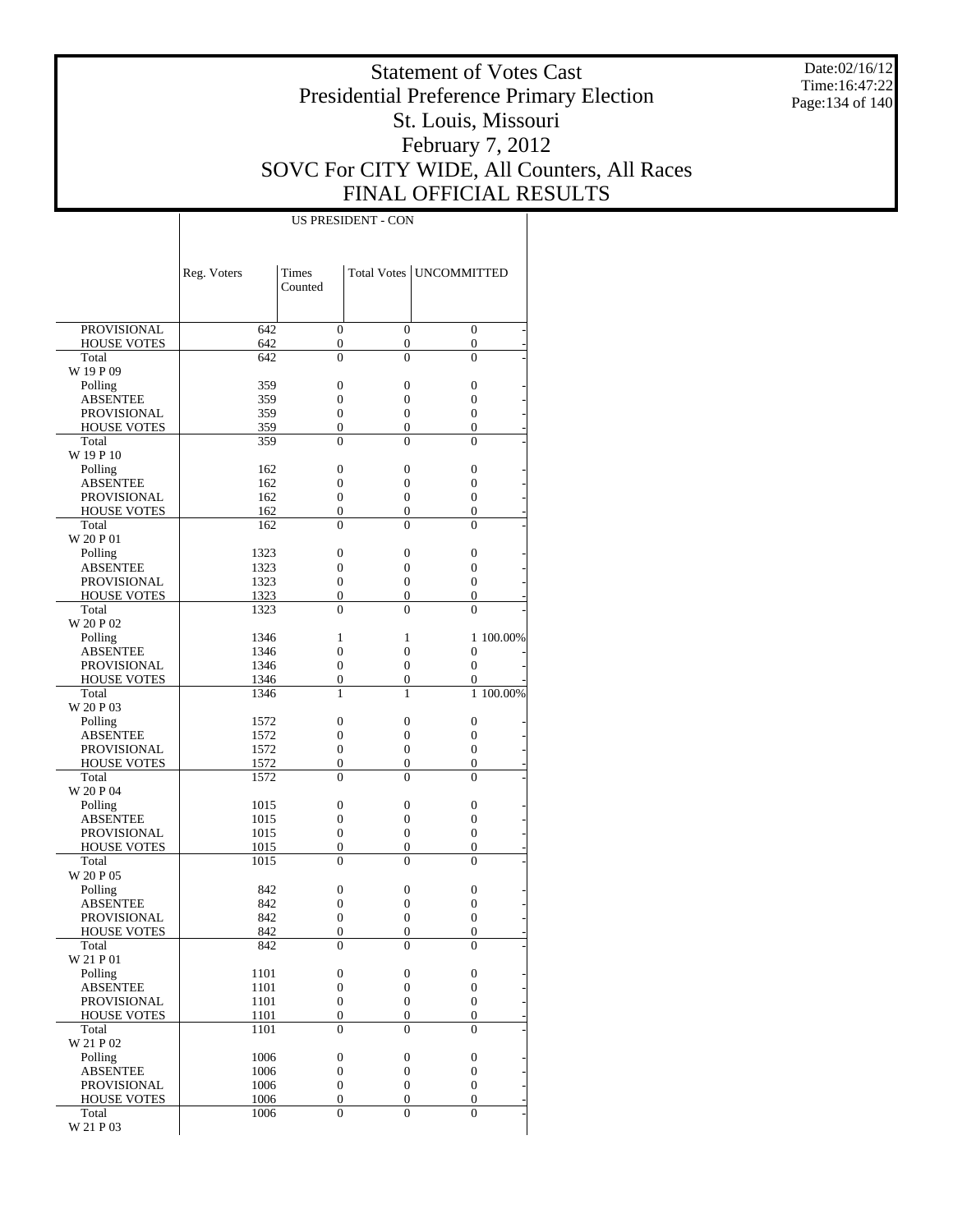Date:02/16/12 Time:16:47:22 Page:134 of 140

### Statement of Votes Cast Presidential Preference Primary Election St. Louis, Missouri February 7, 2012 SOVC For CITY WIDE, All Counters, All Races FINAL OFFICIAL RESULTS

|                                   | Reg. Voters  | <b>Times</b><br>Counted              |                                      | Total Votes   UNCOMMITTED        |           |
|-----------------------------------|--------------|--------------------------------------|--------------------------------------|----------------------------------|-----------|
|                                   |              |                                      |                                      |                                  |           |
| PROVISIONAL                       | 642          | $\mathbf{0}$                         | $\overline{0}$                       | $\overline{0}$                   |           |
| <b>HOUSE VOTES</b><br>Total       | 642<br>642   | $\boldsymbol{0}$<br>$\overline{0}$   | $\boldsymbol{0}$<br>$\overline{0}$   | 0<br>$\overline{0}$              |           |
| W 19 P 09                         |              |                                      |                                      |                                  |           |
| Polling                           | 359          | $\boldsymbol{0}$                     | $\overline{0}$                       | 0                                |           |
| ABSENTEE                          | 359          | 0                                    | 0                                    | $\boldsymbol{0}$                 |           |
| PROVISIONAL                       | 359          | $\mathbf{0}$                         | $\overline{0}$                       | $\overline{0}$                   |           |
| <b>HOUSE VOTES</b>                | 359          | 0                                    | $\boldsymbol{0}$                     | 0                                |           |
| Total                             | 359          | $\theta$                             | $\theta$                             | $\theta$                         |           |
| W 19 P 10                         |              |                                      |                                      |                                  |           |
| Polling                           | 162          | $\boldsymbol{0}$                     | $\boldsymbol{0}$                     | 0                                |           |
| ABSENTEE                          | 162          | 0                                    | 0                                    | $\overline{0}$                   |           |
| <b>PROVISIONAL</b>                | 162          | $\boldsymbol{0}$                     | $\overline{0}$                       | $\boldsymbol{0}$                 |           |
| <b>HOUSE VOTES</b>                | 162          | $\boldsymbol{0}$                     | $\boldsymbol{0}$                     | 0                                |           |
| Total<br>W 20 P 01                | 162          | $\mathbf{0}$                         | $\overline{0}$                       | $\overline{0}$                   |           |
| Polling                           | 1323         | $\boldsymbol{0}$                     | $\boldsymbol{0}$                     | 0                                |           |
| ABSENTEE                          | 1323         | 0                                    | $\overline{0}$                       | $\boldsymbol{0}$                 |           |
| PROVISIONAL                       | 1323         | $\mathbf{0}$                         | $\overline{0}$                       | $\overline{0}$                   |           |
| <b>HOUSE VOTES</b>                | 1323         | $\boldsymbol{0}$                     | $\boldsymbol{0}$                     | 0                                |           |
| Total                             | 1323         | $\theta$                             | $\theta$                             | $\theta$                         |           |
| W 20 P 02                         |              |                                      |                                      |                                  |           |
| Polling                           | 1346         | 1                                    | 1                                    |                                  | 1 100.00% |
| <b>ABSENTEE</b>                   | 1346         | $\overline{0}$                       | 0                                    | $\overline{0}$                   |           |
| <b>PROVISIONAL</b>                | 1346         | 0                                    | $\overline{0}$                       | $\overline{0}$                   |           |
| <b>HOUSE VOTES</b>                | 1346         | 0                                    | $\boldsymbol{0}$                     | $\overline{0}$                   |           |
| Total                             | 1346         | 1                                    | 1                                    |                                  | 1 100.00% |
| W 20 P 03                         |              |                                      |                                      |                                  |           |
| Polling                           | 1572         | $\boldsymbol{0}$                     | $\boldsymbol{0}$                     | 0                                |           |
| ABSENTEE                          | 1572         | 0                                    | 0                                    | $\overline{0}$<br>$\overline{0}$ |           |
| PROVISIONAL<br><b>HOUSE VOTES</b> | 1572<br>1572 | $\boldsymbol{0}$<br>$\boldsymbol{0}$ | $\boldsymbol{0}$<br>$\boldsymbol{0}$ | 0                                |           |
| Total                             | 1572         | $\theta$                             | 0                                    | $\theta$                         |           |
| W 20 P 04                         |              |                                      |                                      |                                  |           |
| Polling                           | 1015         | $\boldsymbol{0}$                     | $\boldsymbol{0}$                     | 0                                |           |
| <b>ABSENTEE</b>                   | 1015         | 0                                    | $\boldsymbol{0}$                     | $\overline{0}$                   |           |
| <b>PROVISIONAL</b>                | 1015         | $\boldsymbol{0}$                     | $\overline{0}$                       | $\boldsymbol{0}$                 |           |
| <b>HOUSE VOTES</b>                | 1015         | 0                                    | $\boldsymbol{0}$                     | 0                                |           |
| Total                             | 1015         | $\mathbf{0}$                         | $\overline{0}$                       | $\overline{0}$                   |           |
| W 20 P 05                         |              |                                      |                                      |                                  |           |
| Polling                           | 842          | $\boldsymbol{0}$                     | $\boldsymbol{0}$                     | 0                                |           |
| ABSENTEE                          | 842          | 0                                    | $\boldsymbol{0}$                     | $\boldsymbol{0}$                 |           |
| PROVISIONAL                       | 842          | 0                                    | $\boldsymbol{0}$                     | $\overline{0}$                   |           |
| <b>HOUSE VOTES</b>                | 842          | 0                                    | $\overline{0}$                       | $\overline{0}$                   |           |
| Total<br>W 21 P 01                | 842          | 0                                    | 0                                    | 0                                |           |
| Polling                           | 1101         | $\boldsymbol{0}$                     | $\boldsymbol{0}$                     | 0                                |           |
| <b>ABSENTEE</b>                   | 1101         | $\boldsymbol{0}$                     | $\boldsymbol{0}$                     | $\boldsymbol{0}$                 |           |
| <b>PROVISIONAL</b>                | 1101         | $\boldsymbol{0}$                     | $\boldsymbol{0}$                     | $\boldsymbol{0}$                 |           |
| <b>HOUSE VOTES</b>                | 1101         | $\boldsymbol{0}$                     | $\boldsymbol{0}$                     | 0                                |           |
| Total                             | 1101         | $\mathbf{0}$                         | $\overline{0}$                       | $\overline{0}$                   |           |
| W 21 P 02                         |              |                                      |                                      |                                  |           |
| Polling                           | 1006         | $\boldsymbol{0}$                     | $\boldsymbol{0}$                     | 0                                |           |
| <b>ABSENTEE</b>                   | 1006         | $\boldsymbol{0}$                     | $\boldsymbol{0}$                     | 0                                |           |
| <b>PROVISIONAL</b>                | 1006         | $\boldsymbol{0}$                     | $\boldsymbol{0}$                     | $\boldsymbol{0}$                 |           |
| <b>HOUSE VOTES</b>                | 1006         | $\boldsymbol{0}$                     | $\boldsymbol{0}$                     | $\boldsymbol{0}$                 |           |
| Total                             | 1006         | $\overline{0}$                       | $\overline{0}$                       | $\overline{0}$                   |           |
| W 21 P 03                         |              |                                      |                                      |                                  |           |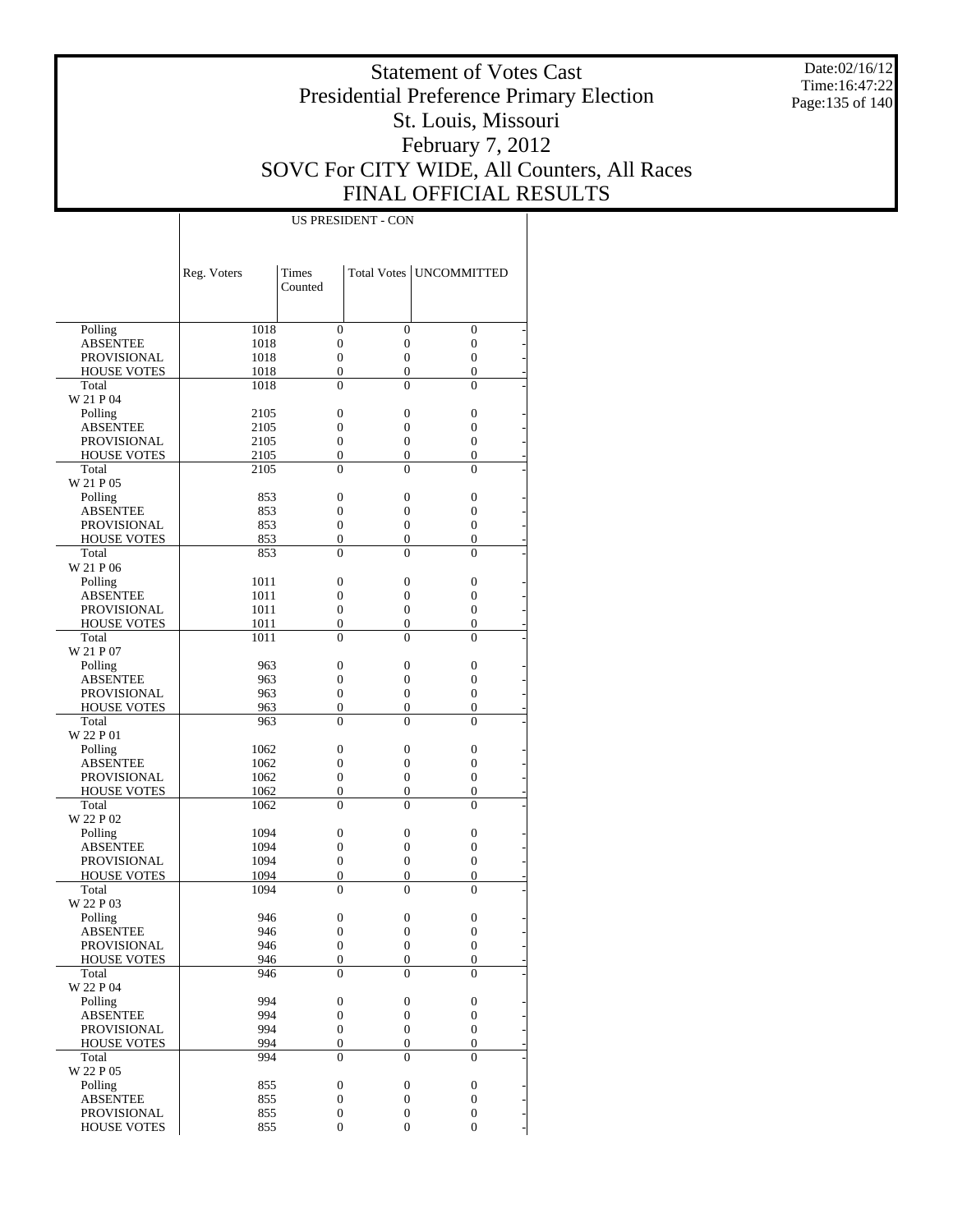Date:02/16/12 Time:16:47:22 Page:135 of 140

### Statement of Votes Cast Presidential Preference Primary Election St. Louis, Missouri February 7, 2012 SOVC For CITY WIDE, All Counters, All Races FINAL OFFICIAL RESULTS

|                                          | Reg. Voters  | Times                                |                                      | Total Votes   UNCOMMITTED            |  |
|------------------------------------------|--------------|--------------------------------------|--------------------------------------|--------------------------------------|--|
|                                          |              | Counted                              |                                      |                                      |  |
|                                          |              |                                      |                                      |                                      |  |
| Polling                                  | 1018         | $\overline{0}$                       | $\overline{0}$                       | $\overline{0}$                       |  |
| <b>ABSENTEE</b>                          | 1018         | $\overline{0}$                       | $\mathbf{0}$                         | $\overline{0}$                       |  |
| <b>PROVISIONAL</b>                       | 1018         | $\overline{0}$                       | $\overline{0}$                       | $\overline{0}$                       |  |
| <b>HOUSE VOTES</b>                       | 1018         | $\overline{0}$                       | $\overline{0}$                       | $\overline{0}$                       |  |
| Total                                    | 1018         | $\theta$                             | $\theta$                             | $\theta$                             |  |
| W 21 P 04                                |              |                                      |                                      |                                      |  |
| Polling                                  | 2105         | $\overline{0}$                       | $\overline{0}$                       | $\overline{0}$                       |  |
| <b>ABSENTEE</b>                          | 2105         | $\overline{0}$                       | $\overline{0}$                       | $\overline{0}$                       |  |
| PROVISIONAL<br><b>HOUSE VOTES</b>        | 2105         | $\overline{0}$<br>$\boldsymbol{0}$   | $\overline{0}$<br>$\overline{0}$     | $\overline{0}$<br>$\overline{0}$     |  |
| Total                                    | 2105<br>2105 | $\theta$                             | $\theta$                             | $\theta$                             |  |
| W 21 P 05                                |              |                                      |                                      |                                      |  |
| Polling                                  | 853          | $\overline{0}$                       | $\overline{0}$                       | $\overline{0}$                       |  |
| <b>ABSENTEE</b>                          | 853          | $\overline{0}$                       | $\overline{0}$                       | $\overline{0}$                       |  |
| <b>PROVISIONAL</b>                       | 853          | $\overline{0}$                       | $\overline{0}$                       | $\overline{0}$                       |  |
| <b>HOUSE VOTES</b>                       | 853          | $\overline{0}$                       | $\overline{0}$                       | $\overline{0}$                       |  |
| Total                                    | 853          | $\theta$                             | $\theta$                             | $\theta$                             |  |
| W 21 P 06                                |              |                                      |                                      |                                      |  |
| Polling                                  | 1011         | $\overline{0}$                       | $\overline{0}$                       | $\overline{0}$                       |  |
| <b>ABSENTEE</b>                          | 1011         | $\overline{0}$                       | $\overline{0}$                       | $\overline{0}$                       |  |
| PROVISIONAL                              | 1011         | $\overline{0}$                       | $\overline{0}$<br>$\overline{0}$     | $\overline{0}$                       |  |
| <b>HOUSE VOTES</b><br>Total              | 1011<br>1011 | $\boldsymbol{0}$<br>$\theta$         | $\theta$                             | $\boldsymbol{0}$<br>$\theta$         |  |
| W 21 P 07                                |              |                                      |                                      |                                      |  |
| Polling                                  | 963          | $\overline{0}$                       | $\overline{0}$                       | $\overline{0}$                       |  |
| <b>ABSENTEE</b>                          | 963          | $\overline{0}$                       | $\overline{0}$                       | $\overline{0}$                       |  |
| <b>PROVISIONAL</b>                       | 963          | $\overline{0}$                       | $\overline{0}$                       | $\overline{0}$                       |  |
| <b>HOUSE VOTES</b>                       | 963          | $\overline{0}$                       | $\overline{0}$                       | $\boldsymbol{0}$                     |  |
| Total                                    | 963          | $\theta$                             | $\theta$                             | $\theta$                             |  |
| W 22 P 01                                |              |                                      |                                      |                                      |  |
| Polling                                  | 1062         | $\overline{0}$                       | $\overline{0}$                       | $\overline{0}$                       |  |
| <b>ABSENTEE</b>                          | 1062         | $\overline{0}$                       | $\overline{0}$                       | $\overline{0}$                       |  |
| <b>PROVISIONAL</b><br><b>HOUSE VOTES</b> | 1062<br>1062 | $\overline{0}$<br>$\boldsymbol{0}$   | $\overline{0}$<br>$\boldsymbol{0}$   | $\overline{0}$<br>$\boldsymbol{0}$   |  |
| Total                                    | 1062         | $\theta$                             | $\theta$                             | $\theta$                             |  |
| W 22 P 02                                |              |                                      |                                      |                                      |  |
| Polling                                  | 1094         | $\mathbf{0}$                         | $\overline{0}$                       | $\overline{0}$                       |  |
| <b>ABSENTEE</b>                          | 1094         | $\overline{0}$                       | $\overline{0}$                       | $\overline{0}$                       |  |
| PROVISIONAL                              | 1094         | $\overline{0}$                       | $\overline{0}$                       | $\boldsymbol{0}$                     |  |
| <b>HOUSE VOTES</b>                       | 1094         | $\overline{0}$                       | $\mathbf{0}$                         | $\boldsymbol{0}$                     |  |
| Total                                    | 1094         | $\theta$                             | $\theta$                             | $\theta$                             |  |
| W 22 P 03                                |              |                                      |                                      |                                      |  |
| Polling                                  | 946          | $\boldsymbol{0}$                     | $\mathbf{0}$                         | $\mathbf{0}$                         |  |
| <b>ABSENTEE</b><br>PROVISIONAL           | 946<br>946   | $\theta$<br>$\boldsymbol{0}$         | $\theta$<br>$\mathbf{0}$             | $\theta$<br>$\boldsymbol{0}$         |  |
| <b>HOUSE VOTES</b>                       | 946          | $\boldsymbol{0}$                     | $\boldsymbol{0}$                     | $\boldsymbol{0}$                     |  |
| Total                                    | 946          | $\overline{0}$                       | $\theta$                             | $\theta$                             |  |
| W 22 P 04                                |              |                                      |                                      |                                      |  |
| Polling                                  | 994          | $\boldsymbol{0}$                     | $\boldsymbol{0}$                     | $\boldsymbol{0}$                     |  |
| <b>ABSENTEE</b>                          | 994          | $\boldsymbol{0}$                     | $\boldsymbol{0}$                     | $\boldsymbol{0}$                     |  |
| PROVISIONAL                              | 994          | $\boldsymbol{0}$                     | $\boldsymbol{0}$                     | $\boldsymbol{0}$                     |  |
| <b>HOUSE VOTES</b>                       | 994          | $\boldsymbol{0}$                     | $\boldsymbol{0}$                     | $\boldsymbol{0}$                     |  |
| Total                                    | 994          | $\overline{0}$                       | $\theta$                             | $\Omega$                             |  |
| W 22 P 05                                |              |                                      |                                      |                                      |  |
| Polling                                  | 855          | $\boldsymbol{0}$<br>$\boldsymbol{0}$ | $\boldsymbol{0}$<br>$\boldsymbol{0}$ | $\boldsymbol{0}$<br>$\boldsymbol{0}$ |  |
| <b>ABSENTEE</b><br>PROVISIONAL           | 855<br>855   | $\boldsymbol{0}$                     | $\boldsymbol{0}$                     | $\overline{0}$                       |  |
| <b>HOUSE VOTES</b>                       | 855          | $\boldsymbol{0}$                     | $\boldsymbol{0}$                     | $\boldsymbol{0}$                     |  |
|                                          |              |                                      |                                      |                                      |  |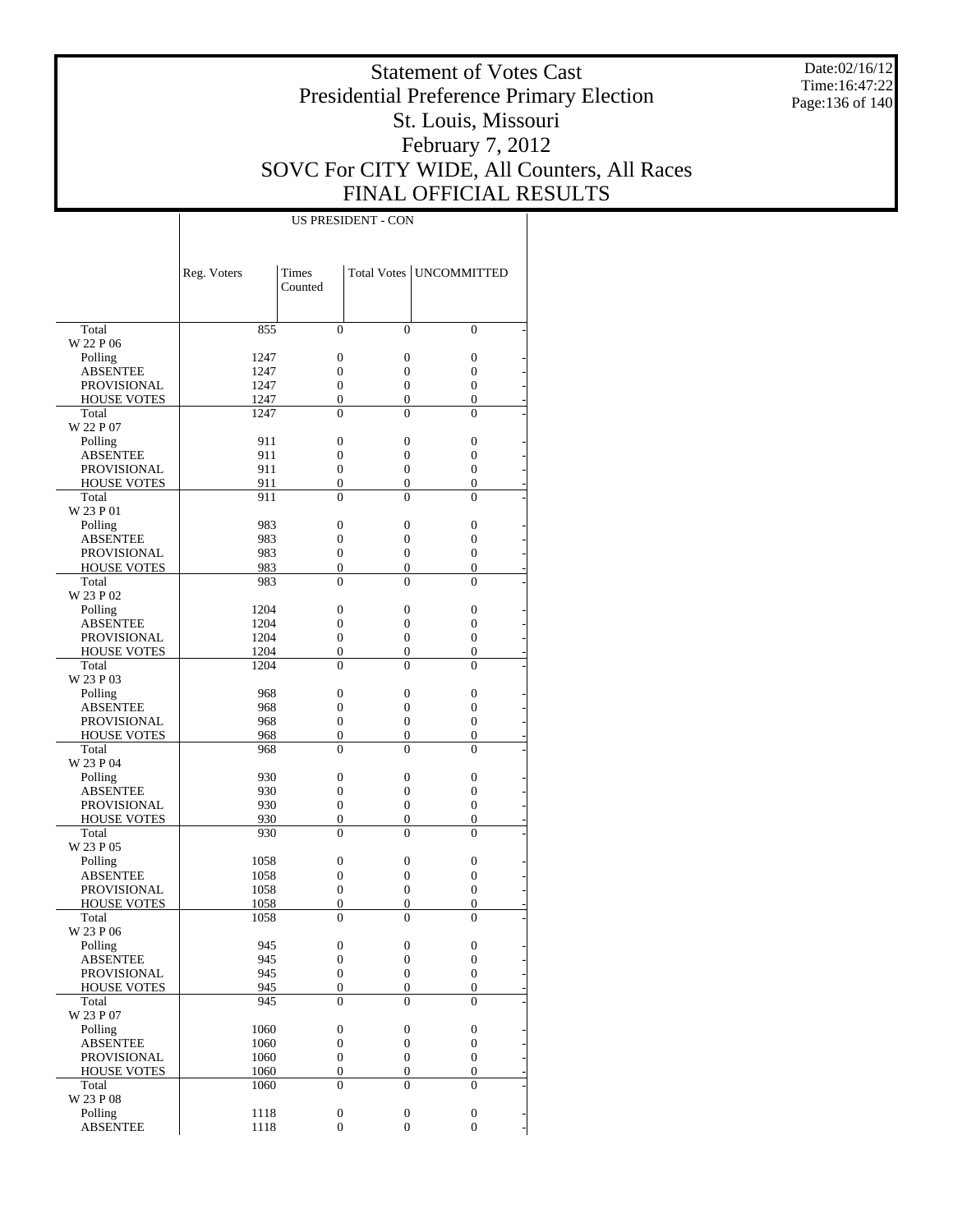Date:02/16/12 Time:16:47:22 Page:136 of 140

### Statement of Votes Cast Presidential Preference Primary Election St. Louis, Missouri February 7, 2012 SOVC For CITY WIDE, All Counters, All Races FINAL OFFICIAL RESULTS

|                             | Reg. Voters | Times<br>Counted |                                    | Total Votes   UNCOMMITTED          |
|-----------------------------|-------------|------------------|------------------------------------|------------------------------------|
|                             |             |                  |                                    |                                    |
| Total                       | 855         | $\mathbf{0}$     | $\overline{0}$                     | $\mathbf{0}$                       |
| W 22 P 06                   |             |                  |                                    |                                    |
| Polling                     | 1247        | $\boldsymbol{0}$ | $\boldsymbol{0}$                   | $\boldsymbol{0}$                   |
| <b>ABSENTEE</b>             | 1247        | $\overline{0}$   | $\boldsymbol{0}$                   | 0                                  |
| <b>PROVISIONAL</b>          | 1247        | $\boldsymbol{0}$ | $\boldsymbol{0}$                   | 0                                  |
| <b>HOUSE VOTES</b>          | 1247        | $\overline{0}$   | $\mathbf{0}$                       | $\overline{0}$                     |
| Total                       | 1247        | $\overline{0}$   | $\overline{0}$                     | $\overline{0}$                     |
| W 22 P 07                   |             |                  |                                    |                                    |
| Polling                     | 911         | $\boldsymbol{0}$ | $\boldsymbol{0}$                   | $\boldsymbol{0}$                   |
| <b>ABSENTEE</b>             | 911         | $\overline{0}$   | $\boldsymbol{0}$                   | 0                                  |
| <b>PROVISIONAL</b>          | 911         | $\mathbf{0}$     | $\boldsymbol{0}$                   | $\boldsymbol{0}$                   |
| <b>HOUSE VOTES</b><br>Total | 911<br>911  | 0<br>0           | $\boldsymbol{0}$<br>$\overline{0}$ | $\boldsymbol{0}$<br>$\overline{0}$ |
| W 23 P 01                   |             |                  |                                    |                                    |
| Polling                     | 983         | $\boldsymbol{0}$ | $\boldsymbol{0}$                   | $\boldsymbol{0}$                   |
| <b>ABSENTEE</b>             | 983         | $\overline{0}$   | $\boldsymbol{0}$                   | 0                                  |
| <b>PROVISIONAL</b>          | 983         | $\boldsymbol{0}$ | $\boldsymbol{0}$                   | 0                                  |
| <b>HOUSE VOTES</b>          | 983         | $\overline{0}$   | $\boldsymbol{0}$                   | $\overline{0}$                     |
| Total                       | 983         | $\overline{0}$   | $\overline{0}$                     | $\overline{0}$                     |
| W 23 P 02                   |             |                  |                                    |                                    |
| Polling                     | 1204        | $\boldsymbol{0}$ | $\boldsymbol{0}$                   | $\boldsymbol{0}$                   |
| <b>ABSENTEE</b>             | 1204        | $\overline{0}$   | $\boldsymbol{0}$                   | 0                                  |
| <b>PROVISIONAL</b>          | 1204        | $\mathbf{0}$     | $\boldsymbol{0}$                   | $\boldsymbol{0}$                   |
| <b>HOUSE VOTES</b>          | 1204        | 0                | $\boldsymbol{0}$                   | $\boldsymbol{0}$                   |
| Total                       | 1204        | 0                | $\overline{0}$                     | $\overline{0}$                     |
| W 23 P 03                   |             |                  |                                    |                                    |
| Polling                     | 968         | $\boldsymbol{0}$ | $\boldsymbol{0}$                   | $\boldsymbol{0}$                   |
| <b>ABSENTEE</b>             | 968         | $\overline{0}$   | $\boldsymbol{0}$                   | 0                                  |
| <b>PROVISIONAL</b>          | 968         | $\boldsymbol{0}$ | $\boldsymbol{0}$                   | $\boldsymbol{0}$                   |
| <b>HOUSE VOTES</b>          | 968         | $\overline{0}$   | $\boldsymbol{0}$                   | 0                                  |
| Total                       | 968         | $\overline{0}$   | $\overline{0}$                     | $\overline{0}$                     |
| W 23 P 04                   |             |                  |                                    |                                    |
| Polling                     | 930         | $\boldsymbol{0}$ | $\boldsymbol{0}$                   | $\boldsymbol{0}$                   |
| <b>ABSENTEE</b>             | 930         | $\overline{0}$   | $\boldsymbol{0}$                   | 0                                  |
| <b>PROVISIONAL</b>          | 930         | $\boldsymbol{0}$ | $\boldsymbol{0}$                   | $\boldsymbol{0}$                   |
| <b>HOUSE VOTES</b>          | 930         | 0                | $\boldsymbol{0}$                   | $\boldsymbol{0}$                   |
| Total                       | 930         | 0                | $\overline{0}$                     | $\overline{0}$                     |
| W 23 P 05                   |             |                  |                                    |                                    |
| Polling                     | 1058        | $\boldsymbol{0}$ | $\boldsymbol{0}$                   | $\boldsymbol{0}$                   |
| <b>ABSENTEE</b>             | 1058        | $\boldsymbol{0}$ | $\boldsymbol{0}$                   | 0                                  |
| <b>PROVISIONAL</b>          | 1058        | $\boldsymbol{0}$ | $\boldsymbol{0}$                   | 0                                  |
| <b>HOUSE VOTES</b>          | 1058        | 0                | $\boldsymbol{0}$                   | 0                                  |
| Total                       | 1058        | $\overline{0}$   | $\overline{0}$                     | 0                                  |
| W 23 P 06                   |             |                  |                                    |                                    |
| Polling                     | 945         | $\boldsymbol{0}$ | $\boldsymbol{0}$                   | $\boldsymbol{0}$                   |
| <b>ABSENTEE</b>             | 945         | $\boldsymbol{0}$ | $\boldsymbol{0}$                   | $\boldsymbol{0}$                   |
| PROVISIONAL                 | 945         | $\boldsymbol{0}$ | $\boldsymbol{0}$                   | $\boldsymbol{0}$                   |
| <b>HOUSE VOTES</b>          | 945         | $\boldsymbol{0}$ | $\boldsymbol{0}$                   | $\overline{0}$                     |
| Total<br>W 23 P 07          | 945         | $\boldsymbol{0}$ | $\boldsymbol{0}$                   | $\overline{0}$                     |
| Polling                     | 1060        | $\boldsymbol{0}$ | $\boldsymbol{0}$                   | $\boldsymbol{0}$                   |
| <b>ABSENTEE</b>             | 1060        | $\boldsymbol{0}$ | $\boldsymbol{0}$                   | $\boldsymbol{0}$                   |
| PROVISIONAL                 | 1060        | $\boldsymbol{0}$ | $\boldsymbol{0}$                   | $\boldsymbol{0}$                   |
| <b>HOUSE VOTES</b>          | 1060        | $\boldsymbol{0}$ | $\boldsymbol{0}$                   | $\boldsymbol{0}$                   |
| Total                       | 1060        | $\boldsymbol{0}$ | $\mathbf{0}$                       | $\overline{0}$                     |
| W 23 P 08                   |             |                  |                                    |                                    |
| Polling                     | 1118        | $\boldsymbol{0}$ | $\boldsymbol{0}$                   | $\boldsymbol{0}$                   |
| <b>ABSENTEE</b>             | 1118        | $\boldsymbol{0}$ | $\boldsymbol{0}$                   | $\boldsymbol{0}$                   |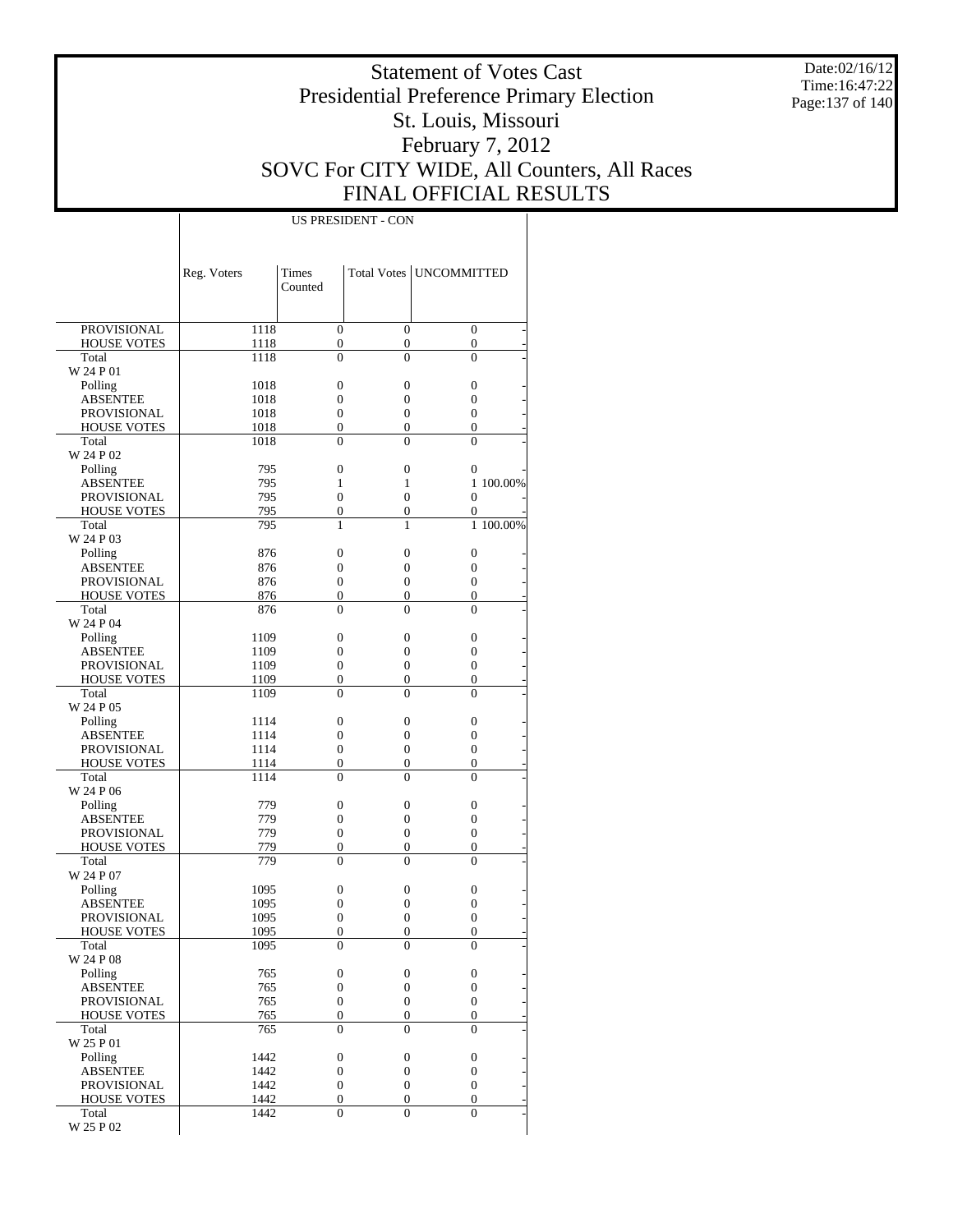Date:02/16/12 Time:16:47:22 Page:137 of 140

### Statement of Votes Cast Presidential Preference Primary Election St. Louis, Missouri February 7, 2012 SOVC For CITY WIDE, All Counters, All Races FINAL OFFICIAL RESULTS

|                                          | Reg. Voters  | Times<br>Counted                     | Total Votes                          | <b>UNCOMMITTED</b>                   |           |
|------------------------------------------|--------------|--------------------------------------|--------------------------------------|--------------------------------------|-----------|
|                                          |              |                                      |                                      |                                      |           |
| PROVISIONAL.                             | 1118         | $\overline{0}$                       | $\overline{0}$                       | $\overline{0}$                       |           |
| <b>HOUSE VOTES</b>                       | 1118         | 0                                    | 0                                    | 0                                    |           |
| Total                                    | 1118         | $\overline{0}$                       | $\theta$                             | $\overline{0}$                       |           |
| W 24 P 01                                | 1018         | $\mathbf{0}$                         | $\overline{0}$                       | 0                                    |           |
| Polling<br><b>ABSENTEE</b>               | 1018         | $\mathbf{0}$                         | $\mathbf{0}$                         | $\overline{0}$                       |           |
| <b>PROVISIONAL</b>                       | 1018         | $\overline{0}$                       | $\overline{0}$                       | 0                                    |           |
| <b>HOUSE VOTES</b>                       | 1018         | 0                                    | $\mathbf{0}$                         | 0                                    |           |
| Total                                    | 1018         | $\theta$                             | $\theta$                             | $\theta$                             |           |
| W 24 P 02                                |              |                                      |                                      |                                      |           |
| Polling                                  | 795          | $\mathbf{0}$                         | $\overline{0}$                       | $\overline{0}$                       |           |
| <b>ABSENTEE</b>                          | 795          | 1                                    | 1                                    |                                      | 1 100,00% |
| <b>PROVISIONAL</b><br><b>HOUSE VOTES</b> | 795<br>795   | $\overline{0}$<br>0                  | $\overline{0}$<br>$\boldsymbol{0}$   | $\overline{0}$<br>0                  |           |
| Total                                    | 795          | $\mathbf{1}$                         | 1                                    |                                      | 1 100.00% |
| W 24 P 03                                |              |                                      |                                      |                                      |           |
| Polling                                  | 876          | $\mathbf{0}$                         | $\overline{0}$                       | $\overline{0}$                       |           |
| <b>ABSENTEE</b>                          | 876          | $\mathbf{0}$                         | $\mathbf{0}$                         | $\overline{0}$                       |           |
| <b>PROVISIONAL</b>                       | 876          | $\overline{0}$                       | $\overline{0}$                       | 0                                    |           |
| <b>HOUSE VOTES</b>                       | 876          | 0                                    | $\mathbf{0}$                         | $\overline{0}$                       |           |
| Total<br>W 24 P 04                       | 876          | $\overline{0}$                       | $\theta$                             | $\theta$                             |           |
| Polling                                  | 1109         | $\mathbf{0}$                         | $\overline{0}$                       | 0                                    |           |
| <b>ABSENTEE</b>                          | 1109         | 0                                    | $\mathbf{0}$                         | $\overline{0}$                       |           |
| PROVISIONAL                              | 1109         | $\overline{0}$                       | $\overline{0}$                       | $\overline{0}$                       |           |
| <b>HOUSE VOTES</b>                       | 1109         | 0                                    | $\boldsymbol{0}$                     | 0                                    |           |
| Total                                    | 1109         | $\overline{0}$                       | $\theta$                             | $\theta$                             |           |
| W 24 P 05                                |              |                                      |                                      |                                      |           |
| Polling                                  | 1114         | $\mathbf{0}$                         | $\overline{0}$                       | 0                                    |           |
| <b>ABSENTEE</b><br><b>PROVISIONAL</b>    | 1114<br>1114 | $\mathbf{0}$<br>$\overline{0}$       | $\mathbf{0}$<br>$\overline{0}$       | $\overline{0}$<br>$\overline{0}$     |           |
| <b>HOUSE VOTES</b>                       | 1114         | 0                                    | $\mathbf{0}$                         | $\overline{0}$                       |           |
| Total                                    | 1114         | $\overline{0}$                       | $\overline{0}$                       | $\theta$                             |           |
| W 24 P 06                                |              |                                      |                                      |                                      |           |
| Polling                                  | 779          | $\mathbf{0}$                         | $\overline{0}$                       | 0                                    |           |
| <b>ABSENTEE</b>                          | 779          | 0                                    | $\mathbf{0}$                         | $\overline{0}$                       |           |
| <b>PROVISIONAL</b>                       | 779          | $\overline{0}$                       | $\overline{0}$                       | $\overline{0}$                       |           |
| <b>HOUSE VOTES</b>                       | 779          | 0                                    | $\boldsymbol{0}$                     | 0                                    |           |
| Total<br>W 24 P 07                       | 779          | $\overline{0}$                       | $\overline{0}$                       | $\theta$                             |           |
| Polling                                  | 1095         | $\boldsymbol{0}$                     | $\boldsymbol{0}$                     | 0                                    |           |
| <b>ABSENTEE</b>                          | 1095         | 0                                    | $\mathbf{0}$                         | 0                                    |           |
| PROVISIONAL                              | 1095         | $\overline{0}$                       | 0                                    | $\overline{0}$                       |           |
| <b>HOUSE VOTES</b>                       | 1095         | 0                                    | $\overline{0}$                       | 0                                    |           |
| Total                                    | 1095         | $\boldsymbol{0}$                     | $\boldsymbol{0}$                     | $\boldsymbol{0}$                     |           |
| W 24 P 08                                |              |                                      |                                      |                                      |           |
| Polling<br><b>ABSENTEE</b>               | 765          | $\boldsymbol{0}$                     | $\boldsymbol{0}$                     | $\boldsymbol{0}$                     |           |
| <b>PROVISIONAL</b>                       | 765<br>765   | $\boldsymbol{0}$<br>$\boldsymbol{0}$ | $\boldsymbol{0}$<br>$\boldsymbol{0}$ | $\boldsymbol{0}$<br>$\boldsymbol{0}$ |           |
| <b>HOUSE VOTES</b>                       | 765          | 0                                    | $\boldsymbol{0}$                     | 0                                    |           |
| Total                                    | 765          | $\overline{0}$                       | $\overline{0}$                       | $\overline{0}$                       |           |
| W 25 P 01                                |              |                                      |                                      |                                      |           |
| Polling                                  | 1442         | $\boldsymbol{0}$                     | $\boldsymbol{0}$                     | 0                                    |           |
| <b>ABSENTEE</b>                          | 1442         | $\boldsymbol{0}$                     | $\boldsymbol{0}$                     | $\boldsymbol{0}$                     |           |
| <b>PROVISIONAL</b>                       | 1442         | $\boldsymbol{0}$                     | $\boldsymbol{0}$                     | $\boldsymbol{0}$                     |           |
| <b>HOUSE VOTES</b>                       | 1442         | 0                                    | $\boldsymbol{0}$                     | $\boldsymbol{0}$                     |           |
| Total<br>W 25 P 02                       | 1442         | $\overline{0}$                       | $\overline{0}$                       | $\overline{0}$                       |           |
|                                          |              |                                      |                                      |                                      |           |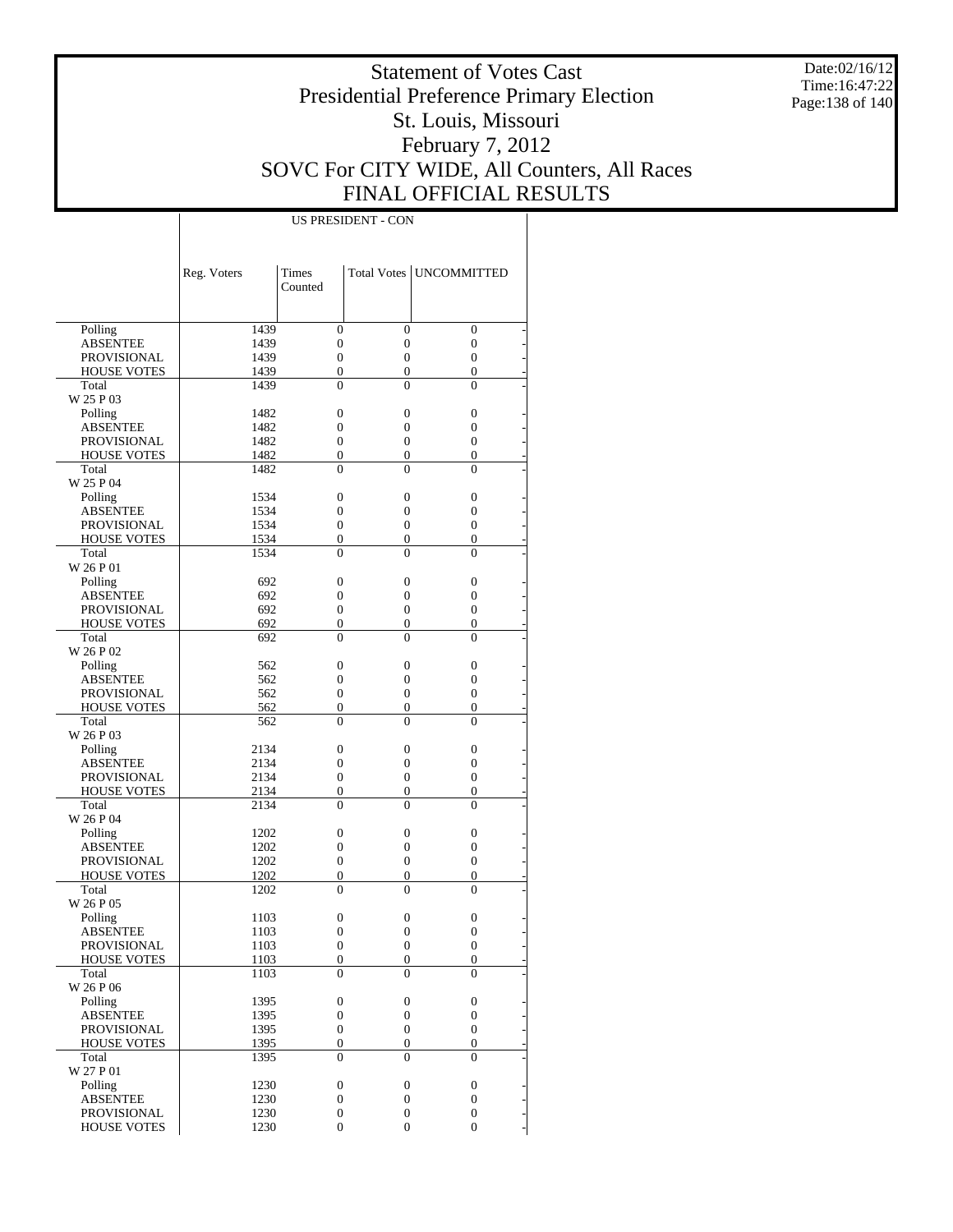Date:02/16/12 Time:16:47:22 Page:138 of 140

### Statement of Votes Cast Presidential Preference Primary Election St. Louis, Missouri February 7, 2012 SOVC For CITY WIDE, All Counters, All Races FINAL OFFICIAL RESULTS

|                             | Reg. Voters | Times                    |                            | Total Votes   UNCOMMITTED  |  |
|-----------------------------|-------------|--------------------------|----------------------------|----------------------------|--|
|                             |             | Counted                  |                            |                            |  |
|                             |             |                          |                            |                            |  |
| Polling                     | 1439        | $\mathbf{0}$             | $\overline{0}$             | $\overline{0}$             |  |
| <b>ABSENTEE</b>             | 1439        | $\overline{0}$           | $\overline{0}$             | $\overline{0}$             |  |
| PROVISIONAL                 | 1439        | $\theta$                 | $\overline{0}$             | $\theta$                   |  |
| <b>HOUSE VOTES</b>          | 1439        | $\mathbf{0}$             | $\overline{0}$             | $\overline{0}$             |  |
| Total                       | 1439        | $\Omega$                 | $\theta$                   | $\theta$                   |  |
| W 25 P 03                   |             |                          |                            |                            |  |
| Polling                     | 1482        | $\mathbf{0}$             | $\overline{0}$             | $\overline{0}$             |  |
| <b>ABSENTEE</b>             | 1482        | $\overline{0}$           | $\overline{0}$             | $\overline{0}$             |  |
| <b>PROVISIONAL</b>          | 1482        | $\mathbf{0}$             | $\overline{0}$             | $\theta$                   |  |
| <b>HOUSE VOTES</b>          | 1482        | $\mathbf{0}$             | $\overline{0}$             | $\overline{0}$             |  |
| Total                       | 1482        | $\theta$                 | $\theta$                   | $\theta$                   |  |
| W 25 P 04                   |             |                          |                            |                            |  |
| Polling                     | 1534        | $\mathbf{0}$             | $\overline{0}$             | $\overline{0}$             |  |
| <b>ABSENTEE</b>             | 1534        | $\mathbf{0}$             | $\overline{0}$             | $\overline{0}$             |  |
| <b>PROVISIONAL</b>          | 1534        | $\mathbf{0}$             | $\overline{0}$             | $\overline{0}$             |  |
| <b>HOUSE VOTES</b>          | 1534        | $\mathbf{0}$             | $\overline{0}$             | $\overline{0}$             |  |
| Total                       | 1534        | $\Omega$                 | $\theta$                   | $\theta$                   |  |
| W 26 P 01                   |             |                          |                            |                            |  |
| Polling                     | 692         | $\mathbf{0}$             | $\overline{0}$             | $\overline{0}$             |  |
| <b>ABSENTEE</b>             | 692         | $\overline{0}$           | $\overline{0}$             | $\overline{0}$             |  |
| <b>PROVISIONAL</b>          | 692         | $\overline{0}$           | $\overline{0}$             | $\theta$                   |  |
| <b>HOUSE VOTES</b>          | 692         | $\overline{0}$           | $\overline{0}$             | $\overline{0}$             |  |
| Total                       | 692         | $\theta$                 | $\theta$                   | $\theta$                   |  |
| W 26 P 02                   |             |                          |                            |                            |  |
| Polling                     | 562         | $\mathbf{0}$             | $\overline{0}$             | $\overline{0}$             |  |
| <b>ABSENTEE</b>             | 562         | $\overline{0}$           | $\overline{0}$             | $\overline{0}$             |  |
| <b>PROVISIONAL</b>          | 562         | $\overline{0}$           | $\overline{0}$             | $\overline{0}$             |  |
| <b>HOUSE VOTES</b><br>Total | 562         | $\mathbf{0}$<br>$\theta$ | $\overline{0}$<br>$\theta$ | $\overline{0}$<br>$\theta$ |  |
| W 26 P 03                   | 562         |                          |                            |                            |  |
|                             | 2134        | $\overline{0}$           | $\overline{0}$             | $\overline{0}$             |  |
| Polling<br><b>ABSENTEE</b>  | 2134        | $\overline{0}$           | $\overline{0}$             | $\overline{0}$             |  |
| <b>PROVISIONAL</b>          | 2134        | $\overline{0}$           | $\overline{0}$             | $\theta$                   |  |
| <b>HOUSE VOTES</b>          | 2134        | $\overline{0}$           | $\overline{0}$             | $\overline{0}$             |  |
| Total                       | 2134        | $\theta$                 | $\theta$                   | $\theta$                   |  |
| W 26 P 04                   |             |                          |                            |                            |  |
| Polling                     | 1202        | $\mathbf{0}$             | $\overline{0}$             | $\overline{0}$             |  |
| <b>ABSENTEE</b>             | 1202        | $\mathbf{0}$             | $\overline{0}$             | $\overline{0}$             |  |
| <b>PROVISIONAL</b>          | 1202        | $\overline{0}$           | $\overline{0}$             | $\overline{0}$             |  |
| <b>HOUSE VOTES</b>          | 1202        | $\mathbf{0}$             | $\mathbf{0}$               | $\overline{0}$             |  |
| Total                       | 1202        | $\theta$                 | $\theta$                   | $\theta$                   |  |
| W 26 P 05                   |             |                          |                            |                            |  |
| Polling                     | 1103        | $\boldsymbol{0}$         | $\boldsymbol{0}$           | $\overline{0}$             |  |
| <b>ABSENTEE</b>             | 1103        | $\theta$                 | $\overline{0}$             | $\overline{0}$             |  |
| PROVISIONAL                 | 1103        | $\boldsymbol{0}$         | $\boldsymbol{0}$           | $\boldsymbol{0}$           |  |
| <b>HOUSE VOTES</b>          | 1103        | $\boldsymbol{0}$         | $\boldsymbol{0}$           | $\boldsymbol{0}$           |  |
| Total                       | 1103        | $\theta$                 | $\theta$                   | $\theta$                   |  |
| W 26 P 06                   |             |                          |                            |                            |  |
| Polling                     | 1395        | $\boldsymbol{0}$         | $\boldsymbol{0}$           | $\boldsymbol{0}$           |  |
| <b>ABSENTEE</b>             | 1395        | $\boldsymbol{0}$         | $\boldsymbol{0}$           | $\boldsymbol{0}$           |  |
| <b>PROVISIONAL</b>          | 1395        | $\boldsymbol{0}$         | $\boldsymbol{0}$           | $\overline{0}$             |  |
| <b>HOUSE VOTES</b>          | 1395        | $\boldsymbol{0}$         | $\mathbf{0}$               | $\boldsymbol{0}$           |  |
| Total                       | 1395        | $\mathbf{0}$             | $\Omega$                   | $\Omega$                   |  |
| W 27 P 01                   |             |                          |                            |                            |  |
| Polling                     | 1230        | $\boldsymbol{0}$         | $\boldsymbol{0}$           | $\boldsymbol{0}$           |  |
| <b>ABSENTEE</b>             | 1230        | $\boldsymbol{0}$         | $\boldsymbol{0}$           | $\boldsymbol{0}$           |  |
| <b>PROVISIONAL</b>          | 1230        | $\boldsymbol{0}$         | $\boldsymbol{0}$           | $\boldsymbol{0}$           |  |
| <b>HOUSE VOTES</b>          | 1230        | $\mathbf{0}$             | $\overline{0}$             | $\overline{0}$             |  |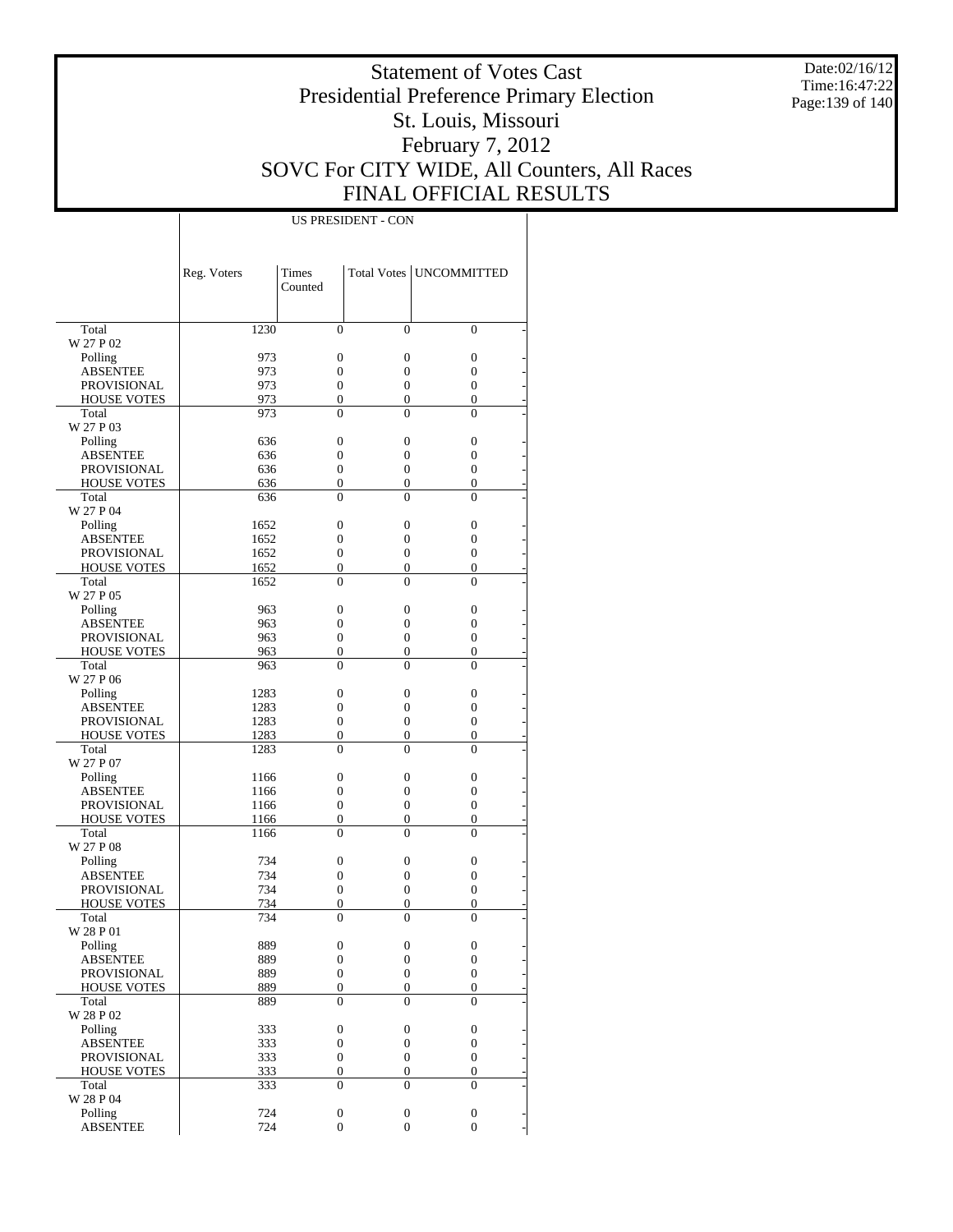Date:02/16/12 Time:16:47:22 Page:139 of 140

### Statement of Votes Cast Presidential Preference Primary Election St. Louis, Missouri February 7, 2012 SOVC For CITY WIDE, All Counters, All Races FINAL OFFICIAL RESULTS

|                    | Reg. Voters | <b>Times</b><br>Counted |                  | Total Votes   UNCOMMITTED |
|--------------------|-------------|-------------------------|------------------|---------------------------|
| Total              | 1230        | $\theta$                | $\Omega$         | $\Omega$                  |
| W 27 P 02          |             |                         |                  |                           |
| Polling            | 973         | 0                       | $\overline{0}$   | $\mathbf{0}$              |
| <b>ABSENTEE</b>    | 973         | $\overline{0}$          | $\overline{0}$   | $\overline{0}$            |
| <b>PROVISIONAL</b> | 973         | 0                       | $\boldsymbol{0}$ | $\overline{0}$            |
| <b>HOUSE VOTES</b> | 973         | 0                       | $\overline{0}$   | $\overline{0}$            |
| Total<br>W 27 P 03 | 973         | $\theta$                | $\theta$         | $\theta$                  |
| Polling            | 636         | $\overline{0}$          | $\overline{0}$   | $\mathbf{0}$              |
| <b>ABSENTEE</b>    | 636         | $\overline{0}$          | $\overline{0}$   | $\overline{0}$            |
| <b>PROVISIONAL</b> | 636         | 0                       | $\mathbf{0}$     | 0                         |
| <b>HOUSE VOTES</b> | 636         | 0                       | $\overline{0}$   | $\overline{0}$            |
| Total<br>W 27 P 04 | 636         | $\theta$                | $\theta$         | $\theta$                  |
| Polling            | 1652        | 0                       | $\overline{0}$   | 0                         |
| <b>ABSENTEE</b>    | 1652        | $\overline{0}$          | $\overline{0}$   | $\overline{0}$            |
| <b>PROVISIONAL</b> | 1652        | 0                       | $\boldsymbol{0}$ | $\overline{0}$            |
| <b>HOUSE VOTES</b> | 1652        | 0                       | $\overline{0}$   | $\overline{0}$            |
| Total<br>W 27 P 05 | 1652        | $\theta$                | $\theta$         | $\theta$                  |
| Polling            | 963         | $\overline{0}$          | $\overline{0}$   | $\mathbf{0}$              |
| <b>ABSENTEE</b>    | 963         | $\overline{0}$          | $\overline{0}$   | $\overline{0}$            |
| PROVISIONAL        | 963         | 0                       | $\overline{0}$   | $\overline{0}$            |
| <b>HOUSE VOTES</b> | 963         | 0                       | $\overline{0}$   | $\overline{0}$            |
| Total              | 963         | $\theta$                | $\theta$         | $\theta$                  |
| W 27 P 06          |             |                         |                  |                           |
| Polling            | 1283        | 0                       | $\overline{0}$   | 0                         |
| <b>ABSENTEE</b>    | 1283        | $\overline{0}$          | $\overline{0}$   | $\overline{0}$            |
| <b>PROVISIONAL</b> | 1283        | 0                       | $\mathbf{0}$     | $\overline{0}$            |
| <b>HOUSE VOTES</b> | 1283        | $\boldsymbol{0}$        | $\overline{0}$   | $\overline{0}$            |
| Total<br>W 27 P 07 | 1283        | $\theta$                | $\theta$         | $\theta$                  |
| Polling            | 1166        | 0                       | $\overline{0}$   | $\mathbf{0}$              |
| <b>ABSENTEE</b>    | 1166        | $\overline{0}$          | 0                | $\overline{0}$            |
| PROVISIONAL        | 1166        | 0                       | $\overline{0}$   | $\overline{0}$            |
| <b>HOUSE VOTES</b> | 1166        | 0                       | $\overline{0}$   | 0                         |
| Total<br>W 27 P 08 | 1166        | $\theta$                | $\theta$         | $\theta$                  |
| Polling            | 734         | 0                       | $\overline{0}$   | 0                         |
| <b>ABSENTEE</b>    | 734         | $\overline{0}$          | $\overline{0}$   | 0                         |
| <b>PROVISIONAL</b> | 734         | 0                       | $\mathbf{0}$     | 0                         |
| <b>HOUSE VOTES</b> | 734         | 0                       | 0                | $\overline{0}$            |
| Total              | 734         | $\theta$                | $\theta$         | $\theta$                  |
| W 28 P 01          |             |                         |                  |                           |
| Polling            | 889         | $\boldsymbol{0}$        | $\boldsymbol{0}$ | $\boldsymbol{0}$          |
| <b>ABSENTEE</b>    | 889         | $\boldsymbol{0}$        | $\boldsymbol{0}$ | $\boldsymbol{0}$          |
| PROVISIONAL        | 889         | $\boldsymbol{0}$        | $\boldsymbol{0}$ | $\boldsymbol{0}$          |
| <b>HOUSE VOTES</b> | 889         | $\boldsymbol{0}$        | $\overline{0}$   | $\overline{0}$            |
| Total<br>W 28 P 02 | 889         | $\overline{0}$          | $\theta$         | $\theta$                  |
| Polling            | 333         | $\boldsymbol{0}$        | $\boldsymbol{0}$ | 0                         |
| <b>ABSENTEE</b>    | 333         | $\boldsymbol{0}$        | $\boldsymbol{0}$ | $\boldsymbol{0}$          |
| PROVISIONAL        | 333         | $\boldsymbol{0}$        | $\boldsymbol{0}$ | $\boldsymbol{0}$          |
| <b>HOUSE VOTES</b> | 333         | $\boldsymbol{0}$        | $\boldsymbol{0}$ | $\boldsymbol{0}$          |
| Total<br>W 28 P 04 | 333         | $\overline{0}$          | $\theta$         | $\theta$                  |
| Polling            | 724         | $\boldsymbol{0}$        | $\boldsymbol{0}$ | $\boldsymbol{0}$          |
| <b>ABSENTEE</b>    | 724         | $\boldsymbol{0}$        | $\overline{0}$   | $\overline{0}$            |